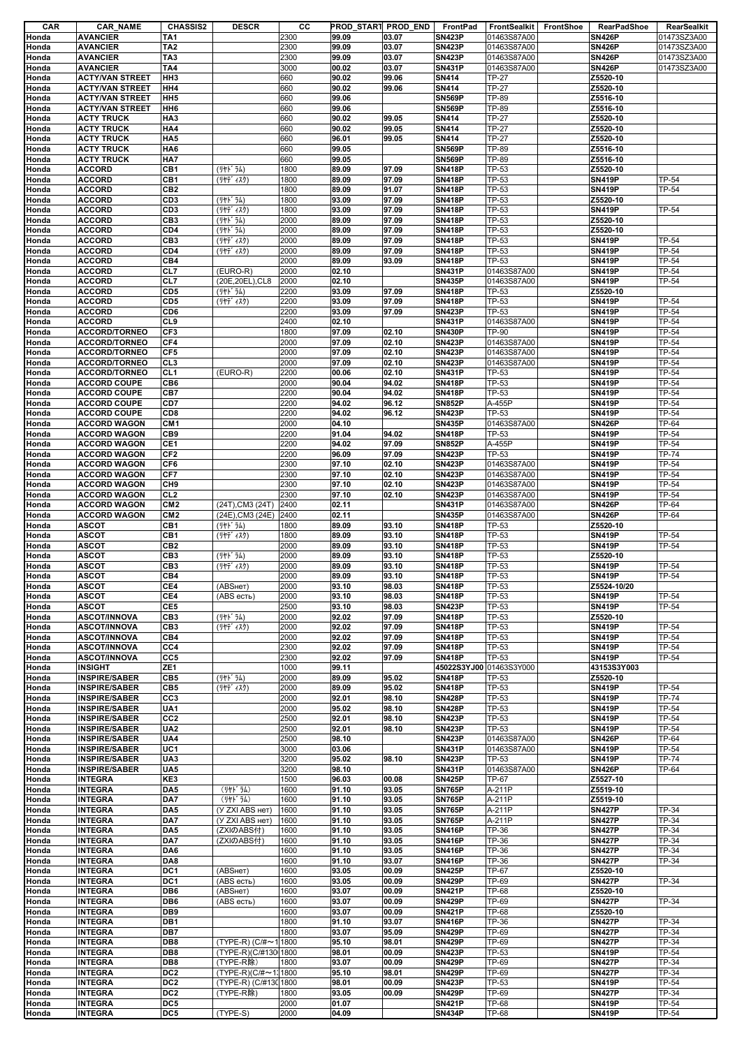| CAR   | <b>CAR_NAME</b>        | <b>CHASSIS2</b> | <b>DESCR</b>          | cс   | PROD_STAR1 PROD_END |       | FrontPad                | FrontSealkit | <b>FrontShoe</b> | RearPadShoe   | RearSealkit |
|-------|------------------------|-----------------|-----------------------|------|---------------------|-------|-------------------------|--------------|------------------|---------------|-------------|
| Honda | <b>AVANCIER</b>        | TA1             |                       | 2300 | 99.09               | 03.07 | <b>SN423P</b>           | 01463S87A00  |                  | <b>SN426P</b> | 01473SZ3A00 |
| Honda | <b>AVANCIER</b>        | TA <sub>2</sub> |                       | 2300 | 99.09               | 03.07 | <b>SN423P</b>           | 01463S87A00  |                  | <b>SN426P</b> | 01473SZ3A00 |
| Honda | <b>AVANCIER</b>        | TA <sub>3</sub> |                       | 2300 | 99.09               | 03.07 | <b>SN423P</b>           | 01463S87A00  |                  | <b>SN426P</b> | 01473SZ3A00 |
| Honda | <b>AVANCIER</b>        | TA4             |                       | 3000 | 00.02               | 03.07 | <b>SN431P</b>           | 01463S87A00  |                  | <b>SN426P</b> | 01473SZ3A00 |
|       | <b>ACTY/VAN STREET</b> | HH <sub>3</sub> |                       | 660  | 90.02               | 99.06 | SN414                   |              |                  | Z5520-10      |             |
| Honda |                        |                 |                       |      |                     |       |                         | <b>TP-27</b> |                  |               |             |
| Honda | <b>ACTY/VAN STREET</b> | HH4             |                       | 660  | 90.02               | 99.06 | SN414                   | <b>TP-27</b> |                  | Z5520-10      |             |
| Honda | <b>ACTY/VAN STREET</b> | HH <sub>5</sub> |                       | 660  | 99.06               |       | <b>SN569P</b>           | TP-89        |                  | Z5516-10      |             |
| Honda | <b>ACTY/VAN STREET</b> | HH <sub>6</sub> |                       | 660  | 99.06               |       | <b>SN569P</b>           | <b>TP-89</b> |                  | Z5516-10      |             |
| Honda | <b>ACTY TRUCK</b>      | HA <sub>3</sub> |                       | 660  | 90.02               | 99.05 | SN414                   | <b>TP-27</b> |                  | Z5520-10      |             |
| Honda | <b>ACTY TRUCK</b>      | HA4             |                       | 660  | 90.02               | 99.05 | SN414                   | <b>TP-27</b> |                  | Z5520-10      |             |
|       |                        |                 |                       |      |                     |       |                         |              |                  |               |             |
| Honda | <b>ACTY TRUCK</b>      | HA <sub>5</sub> |                       | 660  | 96.01               | 99.05 | SN414                   | <b>TP-27</b> |                  | Z5520-10      |             |
| Honda | <b>ACTY TRUCK</b>      | HA <sub>6</sub> |                       | 660  | 99.05               |       | <b>SN569P</b>           | TP-89        |                  | Z5516-10      |             |
| Honda | <b>ACTY TRUCK</b>      | HA7             |                       | 660  | 99.05               |       | <b>SN569P</b>           | TP-89        |                  | Z5516-10      |             |
| Honda | <b>ACCORD</b>          | CB1             | (リヤト ラム)              | 1800 | 89.09               | 97.09 | <b>SN418P</b>           | TP-53        |                  | Z5520-10      |             |
| Honda | <b>ACCORD</b>          | CB1             | (リヤデ ィスク)             | 1800 | 89.09               | 97.09 | <b>SN418P</b>           | TP-53        |                  | <b>SN419P</b> | TP-54       |
| Honda | <b>ACCORD</b>          | CB <sub>2</sub> |                       | 1800 | 89.09               | 91.07 | <b>SN418P</b>           | TP-53        |                  | <b>SN419P</b> | TP-54       |
| Honda | <b>ACCORD</b>          | CD <sub>3</sub> | (リヤト ラム)              | 1800 | 93.09               | 97.09 | <b>SN418P</b>           | TP-53        |                  | Z5520-10      |             |
|       |                        |                 |                       |      |                     |       |                         |              |                  |               |             |
| Honda | <b>ACCORD</b>          | CD <sub>3</sub> | (リヤデ゛ィスク)             | 1800 | 93.09               | 97.09 | <b>SN418P</b>           | TP-53        |                  | <b>SN419P</b> | TP-54       |
| Honda | <b>ACCORD</b>          | CB <sub>3</sub> | (リヤト ラム)              | 2000 | 89.09               | 97.09 | <b>SN418P</b>           | TP-53        |                  | Z5520-10      |             |
| Honda | <b>ACCORD</b>          | CD4             | (リヤドラム)               | 2000 | 89.09               | 97.09 | <b>SN418P</b>           | TP-53        |                  | Z5520-10      |             |
| Honda | <b>ACCORD</b>          | CB <sub>3</sub> | (リヤデ ィスク)             | 2000 | 89.09               | 97.09 | <b>SN418P</b>           | TP-53        |                  | <b>SN419P</b> | TP-54       |
| Honda | <b>ACCORD</b>          | CD4             | (リヤデ ィスク)             | 2000 | 89.09               | 97.09 | <b>SN418P</b>           | TP-53        |                  | <b>SN419P</b> | TP-54       |
|       |                        |                 |                       |      |                     |       |                         |              |                  |               |             |
| Honda | <b>ACCORD</b>          | CB4             |                       | 2000 | 89.09               | 93.09 | <b>SN418P</b>           | TP-53        |                  | <b>SN419P</b> | TP-54       |
| Honda | <b>ACCORD</b>          | CL7             | (EURO-R)              | 2000 | 02.10               |       | <b>SN431P</b>           | 01463S87A00  |                  | <b>SN419P</b> | TP-54       |
| Honda | <b>ACCORD</b>          | CL7             | (20E, 20EL), CL8      | 2000 | 02.10               |       | <b>SN435P</b>           | 01463S87A00  |                  | <b>SN419P</b> | TP-54       |
| Honda | <b>ACCORD</b>          | CD <sub>5</sub> | (リヤト゛ラム)              | 2200 | 93.09               | 97.09 | <b>SN418P</b>           | TP-53        |                  | Z5520-10      |             |
| Honda | <b>ACCORD</b>          | CD <sub>5</sub> | (リヤデ ィスク)             | 2200 | 93.09               | 97.09 | <b>SN418P</b>           | TP-53        |                  | <b>SN419P</b> | TP-54       |
| Honda | <b>ACCORD</b>          | CD6             |                       | 2200 | 93.09               | 97.09 | <b>SN423P</b>           | TP-53        |                  | <b>SN419P</b> | TP-54       |
|       |                        |                 |                       |      |                     |       |                         |              |                  |               |             |
| Honda | <b>ACCORD</b>          | CL9             |                       | 2400 | 02.10               |       | <b>SN431P</b>           | 01463S87A00  |                  | <b>SN419P</b> | TP-54       |
| Honda | <b>ACCORD/TORNEO</b>   | CF3             |                       | 1800 | 97.09               | 02.10 | <b>SN430P</b>           | TP-90        |                  | <b>SN419P</b> | TP-54       |
| Honda | ACCORD/TORNEO          | CF4             |                       | 2000 | 97.09               | 02.10 | <b>SN423P</b>           | 01463S87A00  |                  | <b>SN419P</b> | TP-54       |
| Honda | <b>ACCORD/TORNEO</b>   | CF5             |                       | 2000 | 97.09               | 02.10 | <b>SN423P</b>           | 01463S87A00  |                  | <b>SN419P</b> | TP-54       |
| Honda | <b>ACCORD/TORNEO</b>   | CL <sub>3</sub> |                       | 2000 | 97.09               | 02.10 | <b>SN423P</b>           | 01463S87A00  |                  | <b>SN419P</b> | TP-54       |
|       |                        |                 |                       |      |                     |       |                         |              |                  |               |             |
| Honda | <b>ACCORD/TORNEO</b>   | CL <sub>1</sub> | (EURO-R)              | 2200 | 00.06               | 02.10 | <b>SN431P</b>           | TP-53        |                  | <b>SN419P</b> | TP-54       |
| Honda | <b>ACCORD COUPE</b>    | CB6             |                       | 2000 | 90.04               | 94.02 | <b>SN418P</b>           | TP-53        |                  | <b>SN419P</b> | TP-54       |
| Honda | <b>ACCORD COUPE</b>    | CB7             |                       | 2200 | 90.04               | 94.02 | <b>SN418P</b>           | TP-53        |                  | <b>SN419P</b> | TP-54       |
| Honda | <b>ACCORD COUPE</b>    | CD7             |                       | 2200 | 94.02               | 96.12 | <b>SN852P</b>           | A-455P       |                  | <b>SN419P</b> | TP-54       |
| Honda | <b>ACCORD COUPE</b>    | CD <sub>8</sub> |                       | 2200 | 94.02               | 96.12 | <b>SN423P</b>           | TP-53        |                  | <b>SN419P</b> | TP-54       |
|       |                        |                 |                       |      |                     |       |                         |              |                  |               |             |
| Honda | <b>ACCORD WAGON</b>    | CM <sub>1</sub> |                       | 2000 | 04.10               |       | <b>SN435P</b>           | 01463S87A00  |                  | <b>SN426P</b> | TP-64       |
| Honda | <b>ACCORD WAGON</b>    | CB <sub>9</sub> |                       | 2200 | 91.04               | 94.02 | <b>SN418P</b>           | TP-53        |                  | <b>SN419P</b> | TP-54       |
| Honda | <b>ACCORD WAGON</b>    | CE1             |                       | 2200 | 94.02               | 97.09 | <b>SN852P</b>           | A-455P       |                  | <b>SN419P</b> | TP-54       |
| Honda | <b>ACCORD WAGON</b>    | CF <sub>2</sub> |                       | 2200 | 96.09               | 97.09 | <b>SN423P</b>           | TP-53        |                  | <b>SN419P</b> | TP-74       |
| Honda | <b>ACCORD WAGON</b>    | CF6             |                       | 2300 | 97.10               | 02.10 | <b>SN423P</b>           | 01463S87A00  |                  | <b>SN419P</b> | TP-54       |
| Honda | <b>ACCORD WAGON</b>    | CF7             |                       | 2300 | 97.10               | 02.10 | <b>SN423P</b>           | 01463S87A00  |                  | <b>SN419P</b> | TP-54       |
|       |                        |                 |                       |      |                     |       |                         |              |                  |               |             |
| Honda | <b>ACCORD WAGON</b>    | CH <sub>9</sub> |                       | 2300 | 97.10               | 02.10 | <b>SN423P</b>           | 01463S87A00  |                  | <b>SN419P</b> | TP-54       |
| Honda | <b>ACCORD WAGON</b>    | CL <sub>2</sub> |                       | 2300 | 97.10               | 02.10 | <b>SN423P</b>           | 01463S87A00  |                  | <b>SN419P</b> | TP-54       |
| Honda | <b>ACCORD WAGON</b>    | CM <sub>2</sub> | (24T), CM3 (24T)      | 2400 | 02.11               |       | <b>SN431P</b>           | 01463S87A00  |                  | <b>SN426P</b> | TP-64       |
| Honda | <b>ACCORD WAGON</b>    | CM <sub>2</sub> | (24E), CM3 (24E)      | 2400 | 02.11               |       | <b>SN435P</b>           | 01463S87A00  |                  | <b>SN426P</b> | TP-64       |
| Honda | <b>ASCOT</b>           | CB1             | (リヤト ラム)              | 1800 | 89.09               | 93.10 | <b>SN418P</b>           | TP-53        |                  | Z5520-10      |             |
|       |                        |                 |                       |      |                     |       |                         |              |                  |               |             |
| Honda | <b>ASCOT</b>           | CB <sub>1</sub> | (リヤデ ィスク)             | 1800 | 89.09               | 93.10 | <b>SN418P</b>           | TP-53        |                  | <b>SN419P</b> | TP-54       |
| Honda | <b>ASCOT</b>           | CB <sub>2</sub> |                       | 2000 | 89.09               | 93.10 | <b>SN418P</b>           | TP-53        |                  | <b>SN419P</b> | TP-54       |
| Honda | <b>ASCOT</b>           | CB <sub>3</sub> | (リヤト ラム)              | 2000 | 89.09               | 93.10 | <b>SN418P</b>           | TP-53        |                  | Z5520-10      |             |
| Honda | <b>ASCOT</b>           | CB <sub>3</sub> | (リヤデ ィスク)             | 2000 | 89.09               | 93.10 | <b>SN418P</b>           | TP-53        |                  | <b>SN419P</b> | TP-54       |
| Honda | <b>ASCOT</b>           | CB4             |                       | 2000 | 89.09               | 93.10 | <b>SN418P</b>           | TP-53        |                  | <b>SN419P</b> | TP-54       |
| Honda | <b>ASCOT</b>           | CE4             | (АВЅнет)              | 2000 | 93.10               | 98.03 | <b>SN418P</b>           | TP-53        |                  | Z5524-10/20   |             |
|       |                        |                 |                       |      |                     |       |                         |              |                  |               |             |
| Honda | <b>ASCOT</b>           | CE4             | (ABS есть)            | 2000 | 93.10               | 98.03 | <b>SN418P</b>           | TP-53        |                  | <b>SN419P</b> | TP-54       |
| Honda | <b>ASCOT</b>           | CE5             |                       | 2500 | 93.10               | 98.03 | <b>SN423P</b>           | TP-53        |                  | <b>SN419P</b> | TP-54       |
| Honda | <b>ASCOT/INNOVA</b>    | CB <sub>3</sub> | (リヤト ラム)              | 2000 | 92.02               | 97.09 | <b>SN418P</b>           | TP-53        |                  | Z5520-10      |             |
| Honda | <b>ASCOT/INNOVA</b>    | CB <sub>3</sub> | (リヤデ ィスク)             | 2000 | 92.02               | 97.09 | <b>SN418P</b>           | TP-53        |                  | <b>SN419P</b> | TP-54       |
| Honda | <b>ASCOT/INNOVA</b>    | CB4             |                       | 2000 | 92.02               | 97.09 | <b>SN418P</b>           | TP-53        |                  | <b>SN419P</b> | TP-54       |
|       |                        |                 |                       |      |                     |       |                         |              |                  |               |             |
| Honda | <b>ASCOT/INNOVA</b>    | CC4             |                       | 2300 | 92.02               | 97.09 | <b>SN418P</b>           | TP-53        |                  | <b>SN419P</b> | TP-54       |
| Honda | <b>ASCOT/INNOVA</b>    | CC5             |                       | 2300 | 92.02               | 97.09 | <b>SN418P</b>           | TP-53        |                  | <b>SN419P</b> | TP-54       |
| Honda | <b>INSIGHT</b>         | ZE <sub>1</sub> |                       | 1000 | 99.11               |       | 45022S3YJ00 01463S3Y000 |              |                  | 43153S3Y003   |             |
| Honda | <b>INSPIRE/SABER</b>   | CB5             | (リヤト ラム)              | 2000 | 89.09               | 95.02 | <b>SN418P</b>           | TP-53        |                  | Z5520-10      |             |
| Honda | <b>INSPIRE/SABER</b>   | CB <sub>5</sub> | (リヤデ ィスク)             | 2000 | 89.09               | 95.02 | <b>SN418P</b>           | TP-53        |                  | <b>SN419P</b> | TP-54       |
| Honda | <b>INSPIRE/SABER</b>   | CC <sub>3</sub> |                       | 2000 | 92.01               | 98.10 | <b>SN428P</b>           | TP-53        |                  | <b>SN419P</b> | TP-74       |
|       |                        |                 |                       |      |                     |       |                         |              |                  |               |             |
| Honda | <b>INSPIRE/SABER</b>   | UA1             |                       | 2000 | 95.02               | 98.10 | <b>SN428P</b>           | TP-53        |                  | <b>SN419P</b> | TP-54       |
| Honda | <b>INSPIRE/SABER</b>   | CC <sub>2</sub> |                       | 2500 | 92.01               | 98.10 | <b>SN423P</b>           | TP-53        |                  | <b>SN419P</b> | TP-54       |
| Honda | <b>INSPIRE/SABER</b>   | UA <sub>2</sub> |                       | 2500 | 92.01               | 98.10 | <b>SN423P</b>           | TP-53        |                  | <b>SN419P</b> | TP-54       |
| Honda | <b>INSPIRE/SABER</b>   | UA4             |                       | 2500 | 98.10               |       | <b>SN423P</b>           | 01463S87A00  |                  | <b>SN426P</b> | TP-64       |
| Honda | <b>INSPIRE/SABER</b>   | UC1             |                       | 3000 | 03.06               |       | <b>SN431P</b>           | 01463S87A00  |                  | <b>SN419P</b> | TP-54       |
| Honda | <b>INSPIRE/SABER</b>   | UA3             |                       | 3200 | 95.02               | 98.10 | <b>SN423P</b>           | TP-53        |                  | <b>SN419P</b> | TP-74       |
|       |                        |                 |                       |      |                     |       |                         |              |                  |               |             |
| Honda | <b>INSPIRE/SABER</b>   | UA5             |                       | 3200 | 98.10               |       | <b>SN431P</b>           | 01463S87A00  |                  | <b>SN426P</b> | TP-64       |
| Honda | <b>INTEGRA</b>         | KE3             |                       | 1500 | 96.03               | 00.08 | <b>SN425P</b>           | TP-67        |                  | Z5527-10      |             |
| Honda | <b>INTEGRA</b>         | DA5             | (リヤト ラム)              | 1600 | 91.10               | 93.05 | <b>SN765P</b>           | A-211P       |                  | Z5519-10      |             |
| Honda | <b>INTEGRA</b>         | DA7             | (リヤト ラム)              | 1600 | 91.10               | 93.05 | <b>SN765P</b>           | A-211P       |                  | Z5519-10      |             |
| Honda | <b>INTEGRA</b>         | DA5             | (У ZXI ABS нет)       | 1600 | 91.10               | 93.05 | <b>SN765P</b>           | A-211P       |                  | <b>SN427P</b> | TP-34       |
| Honda | <b>INTEGRA</b>         | DA7             | (У ZXI ABS нет)       | 1600 | 91.10               | 93.05 | <b>SN765P</b>           | A-211P       |                  | <b>SN427P</b> | TP-34       |
|       |                        |                 |                       |      |                     |       |                         |              |                  |               |             |
| Honda | <b>INTEGRA</b>         | DA5             | (ZXIのABS付)            | 1600 | 91.10               | 93.05 | <b>SN416P</b>           | TP-36        |                  | <b>SN427P</b> | TP-34       |
| Honda | <b>INTEGRA</b>         | DA7             | (ZXIのABS付)            | 1600 | 91.10               | 93.05 | <b>SN416P</b>           | TP-36        |                  | <b>SN427P</b> | TP-34       |
| Honda | <b>INTEGRA</b>         | DA6             |                       | 1600 | 91.10               | 93.05 | <b>SN416P</b>           | TP-36        |                  | <b>SN427P</b> | TP-34       |
| Honda | <b>INTEGRA</b>         | DA8             |                       | 1600 | 91.10               | 93.07 | <b>SN416P</b>           | <b>TP-36</b> |                  | <b>SN427P</b> | TP-34       |
| Honda | <b>INTEGRA</b>         | DC1             | (ABSHeT)              | 1600 | 93.05               | 00.09 | <b>SN425P</b>           | <b>TP-67</b> |                  | Z5520-10      |             |
|       |                        |                 |                       |      |                     |       |                         |              |                  |               |             |
| Honda | <b>INTEGRA</b>         | DC1             | (ABS есть)            | 1600 | 93.05               | 00.09 | <b>SN429P</b>           | TP-69        |                  | <b>SN427P</b> | TP-34       |
| Honda | <b>INTEGRA</b>         | DB6             | (ABSнет)              | 1600 | 93.07               | 00.09 | <b>SN421P</b>           | <b>TP-68</b> |                  | Z5520-10      |             |
| Honda |                        | DB <sub>6</sub> | (ABS есть)            | 1600 | 93.07               | 00.09 | <b>SN429P</b>           | TP-69        |                  | <b>SN427P</b> | TP-34       |
|       | <b>INTEGRA</b>         |                 |                       |      |                     |       | <b>SN421P</b>           | <b>TP-68</b> |                  |               |             |
|       |                        |                 |                       |      |                     |       |                         |              |                  |               |             |
| Honda | <b>INTEGRA</b>         | DB <sub>9</sub> |                       | 1600 | 93.07               | 00.09 |                         |              |                  | Z5520-10      |             |
| Honda | <b>INTEGRA</b>         | DB1             |                       | 1800 | 91.10               | 93.07 | <b>SN416P</b>           | TP-36        |                  | <b>SN427P</b> | TP-34       |
| Honda | <b>INTEGRA</b>         | DB7             |                       | 1800 | 93.07               | 95.09 | <b>SN429P</b>           | TP-69        |                  | <b>SN427P</b> | TP-34       |
| Honda | <b>INTEGRA</b>         | DB8             | (TYPE-R) (C/#~11800   |      | 95.10               | 98.01 | <b>SN429P</b>           | TP-69        |                  | <b>SN427P</b> | TP-34       |
| Honda | <b>INTEGRA</b>         | DB8             | (TYPE-R)(C/#130 1800  |      | 98.01               | 00.09 | <b>SN423P</b>           | TP-53        |                  | <b>SN419P</b> | TP-54       |
|       |                        |                 |                       |      |                     |       |                         |              |                  |               |             |
| Honda | <b>INTEGRA</b>         | DB8             | (TYPE-R除)             | 1800 | 93.07               | 00.09 | <b>SN429P</b>           | TP-69        |                  | <b>SN427P</b> | TP-34       |
| Honda | <b>INTEGRA</b>         | DC <sub>2</sub> | (TYPE-R)(C/#~1, 1800  |      | 95.10               | 98.01 | <b>SN429P</b>           | TP-69        |                  | <b>SN427P</b> | TP-34       |
| Honda | <b>INTEGRA</b>         | DC <sub>2</sub> | (TYPE-R) (C/#130 1800 |      | 98.01               | 00.09 | <b>SN423P</b>           | TP-53        |                  | <b>SN419P</b> | TP-54       |
| Honda | <b>INTEGRA</b>         | DC <sub>2</sub> | (TYPE-R除)             | 1800 | 93.05               | 00.09 | <b>SN429P</b>           | TP-69        |                  | <b>SN427P</b> | TP-34       |
| Honda | <b>INTEGRA</b>         | DC5             |                       | 2000 | 01.07               |       | <b>SN421P</b>           | <b>TP-68</b> |                  | <b>SN419P</b> | TP-54       |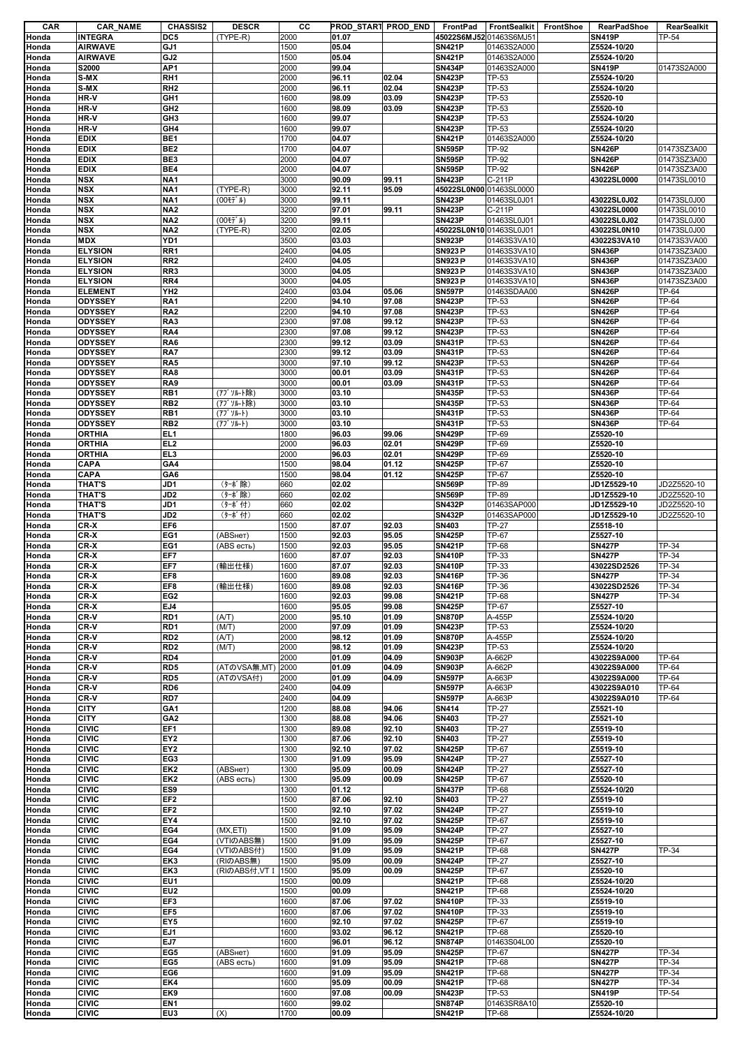| CAR            | <b>CAR_NAME</b>           | <b>CHASSIS2</b>        | <b>DESCR</b>           | cс           | PROD START PROD END |                | FrontPad                       | FrontSealkit          | FrontShoe | RearPadShoe                    | RearSealkit    |
|----------------|---------------------------|------------------------|------------------------|--------------|---------------------|----------------|--------------------------------|-----------------------|-----------|--------------------------------|----------------|
| Honda          | <b>INTEGRA</b>            | DC5                    | (TYPE-R)               | 2000         | 01.07               |                | 45022S6MJ52 01463S6MJ51        |                       |           | <b>SN419P</b>                  | TP-54          |
| Honda          | <b>AIRWAVE</b>            | GJ1                    |                        | 1500         | 05.04               |                | <b>SN421P</b>                  | 01463S2A000           |           | Z5524-10/20                    |                |
| Honda          | <b>AIRWAVE</b>            | GJ <sub>2</sub>        |                        | 1500         | 05.04               |                | <b>SN421P</b>                  | 01463S2A000           |           | Z5524-10/20                    |                |
| Honda          | <b>S2000</b>              | AP1                    |                        | 2000         | 99.04               |                | <b>SN434P</b>                  | 01463S2A000           |           | <b>SN419P</b>                  | 01473S2A000    |
| Honda          | S-MX                      | RH <sub>1</sub>        |                        | 2000         | 96.11               | 02.04          | <b>SN423P</b>                  | TP-53                 |           | Z5524-10/20                    |                |
| Honda          | S-MX                      | RH <sub>2</sub>        |                        | 2000         | 96.11               | 02.04          | <b>SN423P</b>                  | TP-53                 |           | Z5524-10/20                    |                |
| Honda          | HR-V                      | GH <sub>1</sub>        |                        | 1600         | 98.09               | 03.09          | <b>SN423P</b>                  | TP-53                 |           | Z5520-10                       |                |
| Honda          | HR-V                      | GH <sub>2</sub>        |                        | 1600         | 98.09               | 03.09          | <b>SN423P</b>                  | TP-53                 |           | Z5520-10                       |                |
| Honda          | HR-V                      | GH <sub>3</sub>        |                        | 1600         | 99.07               |                | <b>SN423P</b>                  | TP-53                 |           | Z5524-10/20                    |                |
| Honda          | HR-V                      | GH4                    |                        | 1600         | 99.07               |                | <b>SN423P</b>                  | TP-53                 |           | Z5524-10/20                    |                |
| Honda          | <b>EDIX</b>               | BE <sub>1</sub>        |                        | 1700         | 04.07               |                | <b>SN421P</b>                  | 01463S2A000           |           | Z5524-10/20                    |                |
| Honda          | <b>EDIX</b>               | BE <sub>2</sub>        |                        | 1700         | 04.07               |                | <b>SN595P</b>                  | <b>TP-92</b>          |           | <b>SN426P</b>                  | 01473SZ3A00    |
| Honda          | <b>EDIX</b>               | BE <sub>3</sub>        |                        | 2000         | 04.07               |                | <b>SN595P</b>                  | TP-92                 |           | <b>SN426P</b>                  | 01473SZ3A00    |
| Honda          | <b>EDIX</b>               | BE4                    |                        | 2000         | 04.07               |                | <b>SN595P</b>                  | <b>TP-92</b>          |           | <b>SN426P</b>                  | 01473SZ3A00    |
| Honda          | <b>NSX</b>                | NA <sub>1</sub>        |                        | 3000         | 90.09               | 99.11          | <b>SN423P</b>                  | C-211P                |           | 43022SL0000                    | 01473SL0010    |
| Honda          | <b>NSX</b>                | NA <sub>1</sub>        | (TYPE-R)               | 3000         | 92.11               | 95.09          | 45022SL0N00 01463SL0000        |                       |           |                                |                |
| Honda          | <b>NSX</b>                | NA <sub>1</sub>        | (00 + T' IV)           | 3000         | 99.11               |                | <b>SN423P</b>                  | 01463SL0J01           |           | 43022SL0J02                    | 01473SL0J00    |
| Honda          | <b>NSX</b>                | NA <sub>2</sub>        |                        | 3200         | 97.01               | 99.11          | <b>SN423P</b>                  | C-211P                |           | 43022SL0000                    | 01473SL0010    |
| Honda          | <b>NSX</b>                | <b>NA2</b>             | (00 + T' IV)           | 3200         | 99.11               |                | <b>SN423P</b>                  | 01463SL0J01           |           | 43022SL0J02                    | 01473SL0J00    |
| Honda          | <b>NSX</b>                | NA <sub>2</sub>        | (TYPE-R)               | 3200         | 02.05               |                | 45022SL0N10 01463SL0J01        |                       |           | 43022SL0N10                    | 01473SL0J00    |
| Honda          | <b>MDX</b>                | YD1                    |                        | 3500         | 03.03               |                | <b>SN923P</b>                  | 01463S3VA10           |           | 43022S3VA10                    | 01473S3VA00    |
| Honda          | <b>ELYSION</b>            | RR1                    |                        | 2400         | 04.05               |                | <b>SN923P</b>                  | 01463S3VA10           |           | <b>SN436P</b>                  | 01473SZ3A00    |
| Honda          | <b>ELYSION</b>            | RR <sub>2</sub>        |                        | 2400         | 04.05               |                | <b>SN923P</b>                  | 01463S3VA10           |           | <b>SN436P</b>                  | 01473SZ3A00    |
| Honda          | <b>ELYSION</b>            | RR3                    |                        | 3000         | 04.05               |                | <b>SN923P</b>                  | 01463S3VA10           |           | <b>SN436P</b>                  | 01473SZ3A00    |
| Honda          | <b>ELYSION</b>            | RR4                    |                        | 3000         | 04.05               |                | <b>SN923P</b><br><b>SN597P</b> | 01463S3VA10           |           | <b>SN436P</b>                  | 01473SZ3A00    |
| Honda          | <b>ELEMENT</b>            | YH <sub>2</sub>        |                        | 2400         | 03.04               | 05.06          |                                | 01463SDAA00           |           | <b>SN426P</b>                  | TP-64          |
| Honda          | <b>ODYSSEY</b>            | RA1<br>RA <sub>2</sub> |                        | 2200         | 94.10               | 97.08          | <b>SN423P</b><br><b>SN423P</b> | TP-53                 |           | <b>SN426P</b>                  | TP-64<br>TP-64 |
| Honda          | <b>ODYSSEY</b><br>ODYSSEY | RA3                    |                        | 2200<br>2300 | 94.10<br>97.08      | 97.08<br>99.12 | <b>SN423P</b>                  | TP-53<br>TP-53        |           | <b>SN426P</b>                  | TP-64          |
| Honda          | ODYSSEY                   | RA4                    |                        |              | 97.08               | 99.12          | <b>SN423P</b>                  | TP-53                 |           | <b>SN426P</b><br><b>SN426P</b> | TP-64          |
| Honda          |                           | RA <sub>6</sub>        |                        | 2300         | 99.12               | 03.09          | <b>SN431P</b>                  |                       |           | <b>SN426P</b>                  | TP-64          |
| Honda          | ODYSSEY                   |                        |                        | 2300         |                     |                |                                | TP-53                 |           |                                |                |
| Honda          | ODYSSEY<br>ODYSSEY        | RA7<br>RA5             |                        | 2300         | 99.12               | 03.09          | <b>SN431P</b><br><b>SN423P</b> | <b>TP-53</b><br>TP-53 |           | <b>SN426P</b>                  | TP-64<br>TP-64 |
| Honda<br>Honda | <b>ODYSSEY</b>            | RA <sub>8</sub>        |                        | 3000<br>3000 | 97.10<br>00.01      | 99.12<br>03.09 | <b>SN431P</b>                  | <b>TP-53</b>          |           | <b>SN426P</b><br><b>SN426P</b> | TP-64          |
|                |                           |                        |                        |              |                     |                |                                |                       |           |                                |                |
| Honda          | ODYSSEY<br>ODYSSEY        | RA9<br>RB1             |                        | 3000<br>3000 | 00.01<br>03.10      | 03.09          | <b>SN431P</b><br><b>SN435P</b> | <b>TP-53</b><br>TP-53 |           | <b>SN426P</b><br><b>SN436P</b> | TP-64<br>TP-64 |
| Honda<br>Honda | ODYSSEY                   | RB <sub>2</sub>        | (アブソルート除)<br>(アブソルート除) | 3000         | 03.10               |                | <b>SN435P</b>                  | TP-53                 |           | <b>SN436P</b>                  | TP-64          |
| Honda          | ODYSSEY                   | RB1                    | (アブ ソルート)              | 3000         | 03.10               |                | <b>SN431P</b>                  | TP-53                 |           | <b>SN436P</b>                  | TP-64          |
| Honda          | <b>ODYSSEY</b>            | RB <sub>2</sub>        | (アブソルート)               | 3000         | 03.10               |                | <b>SN431P</b>                  | <b>TP-53</b>          |           | <b>SN436P</b>                  | TP-64          |
| Honda          | <b>ORTHIA</b>             | EL <sub>1</sub>        |                        | 1800         | 96.03               | 99.06          | <b>SN429P</b>                  | TP-69                 |           | Z5520-10                       |                |
| Honda          | <b>ORTHIA</b>             | EL <sub>2</sub>        |                        | 2000         | 96.03               | 02.01          | <b>SN429P</b>                  | TP-69                 |           | Z5520-10                       |                |
| Honda          | <b>ORTHIA</b>             | EL <sub>3</sub>        |                        | 2000         | 96.03               | 02.01          | <b>SN429P</b>                  | TP-69                 |           | Z5520-10                       |                |
| Honda          | <b>CAPA</b>               | GA4                    |                        | 1500         | 98.04               | 01.12          | <b>SN425P</b>                  | <b>TP-67</b>          |           | Z5520-10                       |                |
| Honda          | CAPA                      | GA6                    |                        | 1500         | 98.04               | 01.12          | <b>SN425P</b>                  | <b>TP-67</b>          |           | Z5520-10                       |                |
| Honda          | <b>THAT'S</b>             | JD1                    | (ターボ除)                 | 660          | 02.02               |                | <b>SN569P</b>                  | TP-89                 |           | <b>JD1Z5529-10</b>             | JD2Z5520-10    |
| Honda          | <b>THAT'S</b>             | JD <sub>2</sub>        | (ターボ除)                 | 660          | 02.02               |                | <b>SN569P</b>                  | TP-89                 |           | JD1Z5529-10                    | JD2Z5520-10    |
| Honda          | <b>THAT'S</b>             | JD <sub>1</sub>        | (ターボ付)                 | 660          | 02.02               |                | <b>SN432P</b>                  | 01463SAP000           |           | JD1Z5529-10                    | JD2Z5520-10    |
| Honda          | <b>THAT'S</b>             | JD <sub>2</sub>        | (ターボ付)                 | 660          | 02.02               |                | <b>SN432P</b>                  | 01463SAP000           |           | JD1Z5529-10                    | JD2Z5520-10    |
| Honda          | CR-X                      | EF <sub>6</sub>        |                        | 1500         | 87.07               | 92.03          | SN403                          | <b>TP-27</b>          |           | Z5518-10                       |                |
| Honda          | CR-X                      | EG1                    | (ABSнет)               | 1500         | 92.03               | 95.05          | <b>SN425P</b>                  | TP-67                 |           | Z5527-10                       |                |
| Honda          | CR-X                      | EG1                    | (ABS есть)             | 1500         | 92.03               | 95.05          | <b>SN421P</b>                  | <b>TP-68</b>          |           | <b>SN427P</b>                  | TP-34          |
| Honda          | CR-X                      | EF7                    |                        | 1600         | 87.07               | 92.03          | <b>SN410P</b>                  | TP-33                 |           | <b>SN427P</b>                  | TP-34          |
| Honda          | CR-X                      | EF7                    | (輸出仕様)                 | 1600         | 87.07               | 92.03          | <b>SN410P</b>                  | TP-33                 |           | 43022SD2526                    | TP-34          |
| Honda          | CR-X                      | EF <sub>8</sub>        |                        | 1600         | 89.08               | 92.03          | <b>SN416P</b>                  | TP-36                 |           | <b>SN427P</b>                  | TP-34          |
| Honda          | CR-X                      | EF8                    | (輸出仕様)                 | 1600         | 89.08               | 92.03          | <b>SN416P</b>                  | TP-36                 |           | 43022SD2526                    | TP-34          |
| Honda          | CR-X                      | EG <sub>2</sub>        |                        | 1600         | 92.03               | 99.08          | <b>SN421P</b>                  | <b>TP-68</b>          |           | <b>SN427P</b>                  | TP-34          |
| Honda          | CR-X                      | EJ4                    |                        | 1600         | 95.05               | 99.08          | <b>SN425P</b>                  | TP-67                 |           | Z5527-10                       |                |
| Honda          | CR-V                      | RD1                    | (AYT)                  | 2000         | 95.10               | 01.09          | <b>SN870P</b>                  | A-455P                |           | Z5524-10/20                    |                |
| Honda          | CR-V                      | RD1                    | (M/T)                  | 2000         | 97.09               | 01.09          | <b>SN423P</b>                  | TP-53                 |           | Z5524-10/20                    |                |
| Honda          | CR-V                      | RD <sub>2</sub>        | (AT)                   | 2000         | 98.12               | 01.09          | <b>SN870P</b>                  | A-455P                |           | Z5524-10/20                    |                |
| Honda          | CR-V                      | RD <sub>2</sub>        | (M/T)                  | 2000         | 98.12               | 01.09          | <b>SN423P</b>                  | TP-53                 |           | Z5524-10/20                    |                |
| Honda          | CR-V                      | RD4                    |                        | 2000         | 01.09               | 04.09          | <b>SN903P</b>                  | A-662P                |           | 43022S9A000                    | TP-64          |
| Honda          | CR-V                      | RD <sub>5</sub>        | (ATのVSA無.MT)           | 2000         | 01.09               | 04.09          | <b>SN903P</b>                  | A-662P                |           | 43022S9A000                    | TP-64          |
| Honda          | CR-V                      | RD <sub>5</sub>        | (ATのVSA付)              | 2000         | 01.09               | 04.09          | <b>SN597P</b>                  | A-663P                |           | 43022S9A000                    | TP-64          |
| Honda          | CR-V                      | RD <sub>6</sub>        |                        | 2400         | 04.09               |                | <b>SN597P</b>                  | A-663P                |           | 43022S9A010                    | TP-64          |
| Honda          | CR-V                      | RD7                    |                        | 2400         | 04.09               |                | <b>SN597P</b>                  | A-663P                |           | 43022S9A010                    | TP-64          |
| Honda          | <b>CITY</b>               | GA <sub>1</sub>        |                        | 1200         | 88.08               | 94.06          | <b>SN414</b>                   | <b>TP-27</b>          |           | Z5521-10                       |                |
| Honda          | <b>CITY</b>               | GA <sub>2</sub>        |                        | 1300         | 88.08               | 94.06          | SN403                          | <b>TP-27</b>          |           | Z5521-10                       |                |
| Honda          | <b>CIVIC</b>              | EF <sub>1</sub>        |                        | 1300         | 89.08               | 92.10          | SN403                          | <b>TP-27</b>          |           | Z5519-10                       |                |
| Honda          | <b>CIVIC</b>              | EY <sub>2</sub>        |                        | 1300         | 87.06               | 92.10          | SN403                          | <b>TP-27</b>          |           | Z5519-10                       |                |
| Honda          | <b>CIVIC</b>              | EY <sub>2</sub>        |                        | 1300         | 92.10               | 97.02          | <b>SN425P</b>                  | <b>TP-67</b>          |           | Z5519-10                       |                |
| Honda          | <b>CIVIC</b>              | EG <sub>3</sub>        |                        | 1300         | 91.09               | 95.09          | <b>SN424P</b>                  | <b>TP-27</b>          |           | Z5527-10                       |                |
| Honda          | <b>CIVIC</b>              | EK <sub>2</sub>        | (ABSHeT)               | 1300         | 95.09               | 00.09          | <b>SN424P</b>                  | <b>TP-27</b>          |           | Z5527-10                       |                |
| Honda          | <b>CIVIC</b>              | EK <sub>2</sub>        | (ABS есть)             | 1300         | 95.09               | 00.09          | <b>SN425P</b>                  | <b>TP-67</b>          |           | Z5520-10                       |                |
| Honda          | <b>CIVIC</b>              | ES9                    |                        | 1300         | 01.12               |                | <b>SN437P</b>                  | <b>TP-68</b>          |           | Z5524-10/20                    |                |
| Honda          | <b>CIVIC</b>              | EF <sub>2</sub>        |                        | 1500         | 87.06               | 92.10          | SN403                          | <b>TP-27</b>          |           | Z5519-10                       |                |
| Honda          | <b>CIVIC</b>              | EF <sub>2</sub>        |                        | 1500         | 92.10               | 97.02          | <b>SN424P</b>                  | <b>TP-27</b>          |           | Z5519-10                       |                |
| Honda          | <b>CIVIC</b>              | EY4                    |                        | 1500         | 92.10               | 97.02          | <b>SN425P</b>                  | TP-67                 |           | Z5519-10                       |                |
| Honda          | <b>CIVIC</b>              | EG4                    | (MX,ETI)               | 1500         | 91.09               | 95.09          | <b>SN424P</b>                  | <b>TP-27</b>          |           | Z5527-10                       |                |
| Honda          | <b>CIVIC</b>              | EG4                    | (VTIのABS無)             | 1500         | 91.09               | 95.09          | <b>SN425P</b>                  | <b>TP-67</b>          |           | Z5527-10                       |                |
| Honda          | <b>CIVIC</b>              | EG4                    | (VTIのABS付)             | 1500         | 91.09               | 95.09          | <b>SN421P</b>                  | <b>TP-68</b>          |           | <b>SN427P</b>                  | TP-34          |
| Honda          | <b>CIVIC</b>              | EK3                    | (RIのABS無)              | 1500         | 95.09               | 00.09          | <b>SN424P</b>                  | <b>TP-27</b>          |           | Z5527-10                       |                |
| Honda          | <b>CIVIC</b>              | EK3                    | (RIのABS付,VT I          | 1500         | 95.09               | 00.09          | <b>SN425P</b>                  | TP-67                 |           | Z5520-10                       |                |
| Honda          | <b>CIVIC</b>              | EU1                    |                        | 1500         | 00.09               |                | <b>SN421P</b>                  | <b>TP-68</b>          |           | Z5524-10/20                    |                |
| Honda          | <b>CIVIC</b>              | EU <sub>2</sub>        |                        | 1500         | 00.09               |                | <b>SN421P</b>                  | <b>TP-68</b>          |           | Z5524-10/20                    |                |
| Honda          | <b>CIVIC</b>              | EF3                    |                        | 1600         | 87.06               | 97.02          | <b>SN410P</b>                  | TP-33                 |           | Z5519-10                       |                |
| Honda          | <b>CIVIC</b>              | EF <sub>5</sub>        |                        | 1600         | 87.06               | 97.02          | <b>SN410P</b>                  | TP-33                 |           | Z5519-10                       |                |
| Honda          | <b>CIVIC</b>              | EY <sub>5</sub>        |                        | 1600         | 92.10               | 97.02          | <b>SN425P</b>                  | TP-67                 |           | Z5519-10                       |                |
| Honda          | <b>CIVIC</b>              | EJ1                    |                        | 1600         | 93.02               | 96.12          | <b>SN421P</b>                  | <b>TP-68</b>          |           | Z5520-10                       |                |
| Honda          | <b>CIVIC</b>              | EJ7                    |                        | 1600         | 96.01               | 96.12          | <b>SN874P</b>                  | 01463S04L00           |           | Z5520-10                       |                |
| Honda          | <b>CIVIC</b>              | EG <sub>5</sub>        | (ABSHeT)               | 1600         | 91.09               | 95.09          | <b>SN425P</b>                  | <b>TP-67</b>          |           | <b>SN427P</b>                  | TP-34          |
| Honda          | <b>CIVIC</b>              | EG5                    | (ABS есть)             | 1600         | 91.09               | 95.09          | <b>SN421P</b>                  | <b>TP-68</b>          |           | <b>SN427P</b>                  | TP-34          |
| Honda          | <b>CIVIC</b>              | EG6                    |                        | 1600         | 91.09               | 95.09          | <b>SN421P</b>                  | <b>TP-68</b>          |           | <b>SN427P</b>                  | TP-34          |
| Honda          | <b>CIVIC</b>              | EK4                    |                        | 1600         | 95.09               | 00.09          | <b>SN421P</b>                  | <b>TP-68</b>          |           | <b>SN427P</b>                  | TP-34          |
| Honda          | <b>CIVIC</b>              | EK9                    |                        | 1600         | 97.08               | 00.09          | <b>SN423P</b>                  | TP-53                 |           | <b>SN419P</b>                  | TP-54          |
| Honda          | <b>CIVIC</b>              | EN <sub>1</sub>        |                        | 1600         | 99.02               |                | <b>SN874P</b>                  | 01463SR8A10           |           | Z5520-10                       |                |
| Honda          | <b>CIVIC</b>              | EU <sub>3</sub>        | (X)                    | 1700         | 00.09               |                | <b>SN421P</b>                  | <b>TP-68</b>          |           | Z5524-10/20                    |                |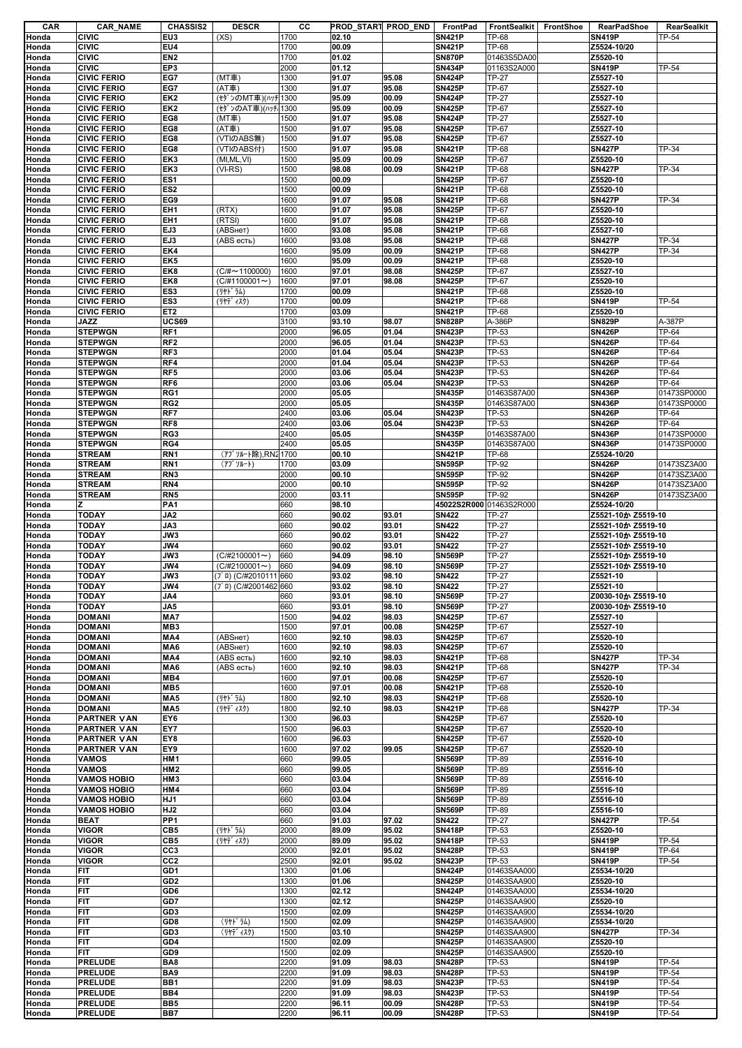| CAR            | <b>CAR_NAME</b>                          | <b>CHASSIS2</b>                    | <b>DESCR</b>           | cс           | PROD_START PROD_END |                | FrontPad                       | FrontSealkit           | <b>FrontShoe</b> | <b>RearPadShoe</b>             | RearSealkit    |
|----------------|------------------------------------------|------------------------------------|------------------------|--------------|---------------------|----------------|--------------------------------|------------------------|------------------|--------------------------------|----------------|
| Honda          | <b>CIVIC</b>                             | EU3                                | (XS)                   | 1700         | 02.10               |                | <b>SN421P</b>                  | <b>TP-68</b>           |                  | <b>SN419P</b>                  | TP-54          |
| Honda          | <b>CIVIC</b>                             | EU4                                |                        | 1700         | 00.09               |                | <b>SN421P</b>                  | <b>TP-68</b>           |                  | Z5524-10/20                    |                |
| Honda          | <b>CIVIC</b>                             | EN <sub>2</sub>                    |                        | 1700         | 01.02               |                | <b>SN870P</b>                  | 01463S5DA00            |                  | Z5520-10                       |                |
| Honda          | <b>CIVIC</b>                             | EP3                                |                        | 2000         | 01.12               |                | <b>SN434P</b>                  | 01163S2A000            |                  | <b>SN419P</b>                  | TP-54          |
| Honda          | <b>CIVIC FERIO</b>                       | EG7                                | (MT車)                  | 1300         | 91.07               | 95.08          | <b>SN424P</b>                  | <b>TP-27</b>           |                  | Z5527-10                       |                |
| Honda          | <b>CIVIC FERIO</b>                       | EG7                                | (AT車)                  | 1300         | 91.07               | 95.08          | <b>SN425P</b>                  | TP-67                  |                  | Z5527-10                       |                |
| Honda          | <b>CIVIC FERIO</b>                       | EK <sub>2</sub>                    | (セダンのMT車)(ハッチ 1300     |              | 95.09               | 00.09          | <b>SN424P</b>                  | <b>TP-27</b>           |                  | Z5527-10                       |                |
| Honda          | <b>CIVIC FERIO</b>                       | EK <sub>2</sub>                    | (セダンのAT車)(ハッチ 1300     |              | 95.09               | 00.09          | <b>SN425P</b>                  | TP-67                  |                  | Z5527-10                       |                |
| Honda          | <b>CIVIC FERIO</b>                       | EG8                                | (MT車)                  | 1500         | 91.07               | 95.08          | <b>SN424P</b>                  | <b>TP-27</b>           |                  | Z5527-10                       |                |
| Honda          | <b>CIVIC FERIO</b>                       | EG8                                | (AT車)                  | 1500         | 91.07               | 95.08          | <b>SN425P</b>                  | TP-67                  |                  | Z5527-10                       |                |
| Honda          | <b>CIVIC FERIO</b>                       | EG8                                | (VTIのABS無)             | 1500         | 91.07               | 95.08          | <b>SN425P</b>                  | TP-67                  |                  | Z5527-10                       |                |
| Honda          | <b>CIVIC FERIO</b>                       | EG8                                | (VTIのABS付)             | 1500         | 91.07               | 95.08          | <b>SN421P</b>                  | <b>TP-68</b>           |                  | <b>SN427P</b>                  | TP-34          |
| Honda          | <b>CIVIC FERIO</b>                       | EK3                                | (MI,ML,VI)             | 1500         | 95.09               | 00.09          | <b>SN425P</b>                  | TP-67                  |                  | Z5520-10                       |                |
| Honda          | <b>CIVIC FERIO</b>                       | EK3                                | $(VI-RS)$              | 1500         | 98.08               | 00.09          | <b>SN421P</b>                  | <b>TP-68</b>           |                  | <b>SN427P</b>                  | TP-34          |
| Honda          | <b>CIVIC FERIO</b>                       | ES <sub>1</sub>                    |                        | 1500         | 00.09               |                | <b>SN425P</b>                  | TP-67                  |                  | Z5520-10                       |                |
| Honda          | <b>CIVIC FERIO</b>                       | ES <sub>2</sub>                    |                        | 1500         | 00.09               |                | <b>SN421P</b>                  | <b>TP-68</b>           |                  | Z5520-10                       |                |
| Honda          | <b>CIVIC FERIO</b>                       | EG9                                |                        | 1600         | 91.07               | 95.08          | <b>SN421P</b>                  | <b>TP-68</b>           |                  | <b>SN427P</b>                  | TP-34          |
| Honda          | <b>CIVIC FERIO</b>                       | EH <sub>1</sub>                    | (RTX)                  | 1600         | 91.07               | 95.08          | <b>SN425P</b>                  | TP-67                  |                  | Z5520-10                       |                |
| Honda          | <b>CIVIC FERIO</b>                       | EH <sub>1</sub>                    | (RTSI)                 | 1600         | 91.07               | 95.08          | <b>SN421P</b>                  | <b>TP-68</b>           |                  | Z5520-10                       |                |
| Honda          | <b>CIVIC FERIO</b>                       | EJ3                                | (ABSHeT)               | 1600         | 93.08               | 95.08          | <b>SN421P</b>                  | <b>TP-68</b>           |                  | Z5527-10                       |                |
| Honda          | <b>CIVIC FERIO</b>                       | EJ3                                | (ABS есть)             | 1600         | 93.08               | 95.08          | <b>SN421P</b>                  | <b>TP-68</b>           |                  | <b>SN427P</b>                  | TP-34          |
| Honda          | <b>CIVIC FERIO</b>                       | EK4                                |                        | 1600         | 95.09               | 00.09          | <b>SN421P</b>                  | <b>TP-68</b>           |                  | <b>SN427P</b>                  | TP-34          |
| Honda          | <b>CIVIC FERIO</b>                       | EK <sub>5</sub>                    |                        | 1600         | 95.09               | 00.09          | <b>SN421P</b>                  | <b>TP-68</b>           |                  | Z5520-10                       |                |
| Honda          | <b>CIVIC FERIO</b>                       | EK8                                | $(C/\# \sim 1100000)$  | 1600         | 97.01               | 98.08          | <b>SN425P</b>                  | <b>TP-67</b>           |                  | Z5527-10                       |                |
| Honda          | <b>CIVIC FERIO</b>                       | EK8                                | $(C/H1100001\sim)$     | 1600         | 97.01               | 98.08          | <b>SN425P</b>                  | TP-67                  |                  | Z5520-10                       |                |
| Honda          | <b>CIVIC FERIO</b>                       | ES <sub>3</sub>                    | (リヤト゛ラム)               | 1700         | 00.09               |                | <b>SN421P</b>                  | <b>TP-68</b>           |                  | Z5520-10                       |                |
| Honda          | <b>CIVIC FERIO</b>                       | ES <sub>3</sub><br>ET <sub>2</sub> | (リヤデ ィスク)              | 1700         | 00.09               |                | <b>SN421P</b>                  | <b>TP-68</b>           |                  | <b>SN419P</b>                  | TP-54          |
| Honda<br>Honda | <b>CIVIC FERIO</b><br><b>JAZZ</b>        | <b>UCS69</b>                       |                        | 1700<br>3100 | 03.09<br>93.10      | 98.07          | <b>SN421P</b><br><b>SN828P</b> | <b>TP-68</b><br>A-386P |                  | Z5520-10<br><b>SN829P</b>      | A-387P         |
| Honda          | <b>STEPWGN</b>                           | RF1                                |                        | 2000         | 96.05               | 01.04          | <b>SN423P</b>                  | TP-53                  |                  | <b>SN426P</b>                  | TP-64          |
| Honda          | <b>STEPWGN</b>                           | RF <sub>2</sub>                    |                        | 2000         | 96.05               | 01.04          | <b>SN423P</b>                  | TP-53                  |                  | <b>SN426P</b>                  | TP-64          |
| Honda          | <b>STEPWGN</b>                           | RF3                                |                        | 2000         | 01.04               | 05.04          | <b>SN423P</b>                  | TP-53                  |                  | <b>SN426P</b>                  | TP-64          |
| Honda          | <b>STEPWGN</b>                           | RF4                                |                        | 2000         | 01.04               | 05.04          | <b>SN423P</b>                  | TP-53                  |                  | <b>SN426P</b>                  | TP-64          |
| Honda          | <b>STEPWGN</b>                           | RF <sub>5</sub>                    |                        | 2000         | 03.06               | 05.04          | <b>SN423P</b>                  | TP-53                  |                  | <b>SN426P</b>                  | TP-64          |
| Honda          | <b>STEPWGN</b>                           | RF <sub>6</sub>                    |                        | 2000         | 03.06               | 05.04          | <b>SN423P</b>                  | TP-53                  |                  | <b>SN426P</b>                  | TP-64          |
| Honda          | <b>STEPWGN</b>                           | RG1                                |                        | 2000         | 05.05               |                | <b>SN435P</b>                  | 01463S87A00            |                  | <b>SN436P</b>                  | 01473SP0000    |
| Honda          | <b>STEPWGN</b>                           | RG <sub>2</sub>                    |                        | 2000         | 05.05               |                | <b>SN435P</b>                  | 01463S87A00            |                  | <b>SN436P</b>                  | 01473SP0000    |
| Honda          | <b>STEPWGN</b>                           | RF7                                |                        | 2400         | 03.06               | 05.04          | <b>SN423P</b>                  | TP-53                  |                  | <b>SN426P</b>                  | TP-64          |
| Honda          | <b>STEPWGN</b>                           | RF <sub>8</sub>                    |                        | 2400         | 03.06               | 05.04          | <b>SN423P</b>                  | TP-53                  |                  | <b>SN426P</b>                  | TP-64          |
| Honda          | <b>STEPWGN</b>                           | RG3                                |                        | 2400         | 05.05               |                | <b>SN435P</b>                  | 01463S87A00            |                  | <b>SN436P</b>                  | 01473SP0000    |
| Honda          | <b>STEPWGN</b>                           | RG4                                |                        | 2400         | 05.05               |                | <b>SN435P</b>                  | 01463S87A00            |                  | <b>SN436P</b>                  | 01473SP0000    |
| Honda          | <b>STREAM</b>                            | RN <sub>1</sub>                    | (アブソルート除),RN2 1700     |              | 00.10               |                | <b>SN421P</b>                  | <b>TP-68</b>           |                  | Z5524-10/20                    |                |
| Honda          | <b>STREAM</b>                            | RN <sub>1</sub>                    | (アブ ソルート)              | 1700         | 03.09               |                | <b>SN595P</b>                  | TP-92                  |                  | <b>SN426P</b>                  | 01473SZ3A00    |
| Honda          | <b>STREAM</b>                            | RN <sub>3</sub>                    |                        | 2000         | 00.10               |                | <b>SN595P</b>                  | TP-92                  |                  | <b>SN426P</b>                  | 01473SZ3A00    |
| Honda          | <b>STREAM</b>                            | RN4                                |                        | 2000         | 00.10               |                | <b>SN595P</b>                  | TP-92                  |                  | <b>SN426P</b>                  | 01473SZ3A00    |
| Honda          | <b>STREAM</b>                            | RN <sub>5</sub>                    |                        | 2000         | 03.11               |                | <b>SN595P</b>                  | TP-92                  |                  | <b>SN426P</b>                  | 01473SZ3A00    |
| Honda          | z                                        | PA <sub>1</sub>                    |                        | 660          | 98.10               |                | 45022S2R000 01463S2R000        |                        |                  | Z5524-10/20                    |                |
| Honda          | <b>TODAY</b>                             | JA2                                |                        | 660          | 90.02               | 93.01          | <b>SN422</b>                   | <b>TP-27</b>           |                  | Z5521-10か Z5519-10             |                |
| Honda          | <b>TODAY</b>                             | JA3                                |                        | 660          | 90.02               | 93.01          | <b>SN422</b>                   | <b>TP-27</b>           |                  | Z5521-10か Z5519-10             |                |
| Honda          | <b>TODAY</b>                             | JW3                                |                        | 660          | 90.02               | 93.01          | <b>SN422</b>                   | <b>TP-27</b>           |                  | Z5521-10か Z5519-10             |                |
| Honda          | <b>TODAY</b>                             | JW4                                |                        | 660          | 90.02               | 93.01          | <b>SN422</b>                   | <b>TP-27</b>           |                  | Z5521-10か Z5519-10             |                |
| Honda          | <b>TODAY</b>                             | JW3                                | $(C/H2100001\sim)$     | 660          | 94.09               | 98.10          | <b>SN569P</b>                  | <b>TP-27</b>           |                  | Z5521-10か Z5519-10             |                |
| Honda          | <b>TODAY</b>                             | JW4                                | $(C/H2100001\sim)$     | 660          | 94.09               | 98.10          | <b>SN569P</b>                  | <b>TP-27</b>           |                  | Z5521-10か Z5519-10             |                |
| Honda          | <b>TODAY</b>                             | JW3                                | (7° ¤) (C/#2010111 660 |              | 93.02               | 98.10          | <b>SN422</b>                   | <b>TP-27</b>           |                  | Z5521-10                       |                |
| Honda          | <b>TODAY</b>                             | JW4                                | (7 µ) (C/#2001462 660  |              | 93.02               | 98.10          | <b>SN422</b>                   | <b>TP-27</b>           |                  | Z5521-10                       |                |
| Honda          | <b>TODAY</b>                             | JA4                                |                        | 660          | 93.01               | 98.10          | <b>SN569P</b>                  | <b>TP-27</b>           |                  | Z0030-10か Z5519-10             |                |
| Honda          | <b>TODAY</b>                             | JA5                                |                        | 660          | 93.01               | 98.10          | <b>SN569P</b>                  | <b>TP-27</b>           |                  | Z0030-10か Z5519-10             |                |
| Honda          | <b>DOMANI</b>                            | MA7                                |                        | 1500         | 94.02               | 98.03          | <b>SN425P</b>                  | <b>TP-67</b>           |                  | Z5527-10                       |                |
| Honda          | <b>DOMANI</b>                            | MB <sub>3</sub>                    |                        | 1500         | 97.01               | 00.08          | <b>SN425P</b>                  | TP-67                  |                  | Z5527-10                       |                |
| Honda          | <b>DOMANI</b>                            | MA4                                | (ABSHeT)               | 1600         | 92.10               | 98.03          | <b>SN425P</b>                  | <b>TP-67</b>           |                  | Z5520-10                       |                |
| Honda          | <b>DOMANI</b>                            | MA6                                | (ABSHeT)               | 1600         | 92.10               | 98.03          | <b>SN425P</b>                  | <b>TP-67</b>           |                  | Z5520-10                       |                |
| Honda          | <b>DOMANI</b>                            | MA4                                | (ABS есть)             | 1600         | 92.10               | 98.03          | <b>SN421P</b>                  | <b>TP-68</b>           |                  | <b>SN427P</b>                  | TP-34          |
| Honda          | <b>DOMANI</b>                            | MA <sub>6</sub>                    | (ABS есть)             | 1600         | 92.10               | 98.03          | <b>SN421P</b>                  | <b>TP-68</b>           |                  | <b>SN427P</b>                  | TP-34          |
| Honda          | <b>DOMANI</b>                            | MBA                                |                        | 1600         | 97.01               | 00.08          | <b>SN425P</b>                  | <b>TP-67</b>           |                  | Z5520-10                       |                |
| Honda          | <b>DOMANI</b>                            | MB <sub>5</sub>                    |                        | 1600         | 97.01               | 00.08          | <b>SN421P</b>                  | <b>TP-68</b>           |                  | Z5520-10                       |                |
| Honda          | <b>DOMANI</b>                            | MA <sub>5</sub>                    | (リヤト ラム)               | 1800         | 92.10               | 98.03          | <b>SN421P</b>                  | <b>TP-68</b>           |                  | Z5520-10                       |                |
| Honda          | <b>DOMANI</b>                            | MA <sub>5</sub>                    | (リヤデ ィスク)              | 1800         | 92.10               | 98.03          | <b>SN421P</b>                  | <b>TP-68</b>           |                  | <b>SN427P</b>                  | TP-34          |
| Honda          | <b>PARTNER VAN</b>                       | EY6<br>EY7                         |                        | 1300<br>1500 | 96.03<br>96.03      |                | <b>SN425P</b><br><b>SN425P</b> | TP-67<br>TP-67         |                  | Z5520-10<br>Z5520-10           |                |
| Honda<br>Honda | <b>PARTNER VAN</b><br><b>PARTNER VAN</b> | EY8                                |                        | 1600         | 96.03               |                | <b>SN425P</b>                  | TP-67                  |                  | Z5520-10                       |                |
| Honda          | <b>PARTNER VAN</b>                       | EY9                                |                        | 1600         | 97.02               | 99.05          | <b>SN425P</b>                  | TP-67                  |                  | Z5520-10                       |                |
| Honda          | <b>VAMOS</b>                             | HM <sub>1</sub>                    |                        | 660          | 99.05               |                | <b>SN569P</b>                  | TP-89                  |                  | Z5516-10                       |                |
| Honda          | <b>VAMOS</b>                             | HM <sub>2</sub>                    |                        | 660          | 99.05               |                | <b>SN569P</b>                  | <b>TP-89</b>           |                  | Z5516-10                       |                |
| Honda          | <b>VAMOS HOBIO</b>                       | HM <sub>3</sub>                    |                        | 660          | 03.04               |                | <b>SN569P</b>                  | TP-89                  |                  | Z5516-10                       |                |
| Honda          | <b>VAMOS HOBIO</b>                       | HM4                                |                        | 660          | 03.04               |                | <b>SN569P</b>                  | TP-89                  |                  | Z5516-10                       |                |
| Honda          | <b>VAMOS HOBIO</b>                       | HJ1                                |                        | 660          | 03.04               |                | <b>SN569P</b>                  | TP-89                  |                  | Z5516-10                       |                |
| Honda          | <b>VAMOS HOBIO</b>                       | HJ <sub>2</sub>                    |                        | 660          | 03.04               |                | <b>SN569P</b>                  | TP-89                  |                  | Z5516-10                       |                |
| Honda          | <b>BEAT</b>                              | PP <sub>1</sub>                    |                        | 660          | 91.03               | 97.02          | <b>SN422</b>                   | <b>TP-27</b>           |                  | <b>SN427P</b>                  | TP-54          |
| Honda          | <b>VIGOR</b>                             | CB <sub>5</sub>                    | (リヤト ラム)               | 2000         | 89.09               | 95.02          | <b>SN418P</b>                  | TP-53                  |                  | Z5520-10                       |                |
| Honda          | <b>VIGOR</b>                             | CB5                                | (リヤデ ィスク)              | 2000         | 89.09               | 95.02          | <b>SN418P</b>                  | TP-53                  |                  | <b>SN419P</b>                  | TP-54          |
| Honda          | <b>VIGOR</b>                             | CC <sub>3</sub>                    |                        | 2000         | 92.01               | 95.02          | <b>SN428P</b>                  | TP-53                  |                  | <b>SN419P</b>                  | TP-64          |
| Honda          | <b>VIGOR</b>                             | CC <sub>2</sub>                    |                        | 2500         | 92.01               | 95.02          | <b>SN423P</b>                  | TP-53                  |                  | <b>SN419P</b>                  | TP-54          |
| Honda          | FIT                                      | GD1                                |                        | 1300         | 01.06               |                | <b>SN424P</b>                  | 01463SAA000            |                  | Z5534-10/20                    |                |
| Honda          | <b>FIT</b>                               | GD <sub>2</sub>                    |                        | 1300         | 01.06               |                | <b>SN425P</b>                  | 01463SAA900            |                  | Z5520-10                       |                |
| Honda          | <b>FIT</b>                               | GD6                                |                        | 1300         | 02.12               |                | <b>SN424P</b>                  | 01463SAA000            |                  | Z5534-10/20                    |                |
| Honda          | <b>FIT</b>                               | GD7                                |                        | 1300         | 02.12               |                | <b>SN425P</b>                  | 01463SAA900            |                  | Z5520-10                       |                |
| Honda          | <b>FIT</b>                               | GD <sub>3</sub>                    |                        | 1500         | 02.09               |                | <b>SN425P</b>                  | 01463SAA900            |                  | Z5534-10/20                    |                |
| Honda          | <b>FIT</b>                               | GD <sub>8</sub>                    | (リヤト・ラム)               | 1500         | 02.09               |                | <b>SN425P</b>                  | 01463SAA900            |                  | Z5534-10/20                    |                |
| Honda          | <b>FIT</b>                               | GD <sub>3</sub>                    | (リヤデ ィスク)              | 1500         | 03.10               |                | <b>SN425P</b>                  | 01463SAA900            |                  | <b>SN427P</b>                  | TP-34          |
| Honda          | FIT                                      | GD4                                |                        | 1500         | 02.09               |                | <b>SN425P</b>                  | 01463SAA900            |                  | Z5520-10                       |                |
| Honda          | <b>FIT</b>                               | GD9                                |                        | 1500         | 02.09               |                | <b>SN425P</b>                  | 01463SAA900            |                  | Z5520-10                       |                |
| Honda          | <b>PRELUDE</b>                           | BA8                                |                        | 2200         | 91.09               | 98.03          | <b>SN428P</b>                  | TP-53                  |                  | <b>SN419P</b>                  | TP-54          |
| Honda          | <b>PRELUDE</b>                           | BA9                                |                        | 2200         | 91.09               | 98.03          | <b>SN428P</b>                  | TP-53                  |                  | <b>SN419P</b>                  | TP-54          |
| Honda          | <b>PRELUDE</b>                           | BB1                                |                        | 2200         | 91.09               | 98.03          | <b>SN423P</b>                  | TP-53                  |                  |                                |                |
|                |                                          |                                    |                        |              |                     |                |                                |                        |                  | <b>SN419P</b>                  | TP-54          |
| Honda          | <b>PRELUDE</b>                           | BB4                                |                        | 2200         | 91.09               | 98.03          | <b>SN423P</b>                  | TP-53                  |                  | <b>SN419P</b>                  | TP-54          |
| Honda<br>Honda | <b>PRELUDE</b><br><b>PRELUDE</b>         | BB <sub>5</sub><br>BB7             |                        | 2200<br>2200 | 96.11<br>96.11      | 00.09<br>00.09 | <b>SN428P</b><br><b>SN428P</b> | TP-53<br>TP-53         |                  | <b>SN419P</b><br><b>SN419P</b> | TP-54<br>TP-54 |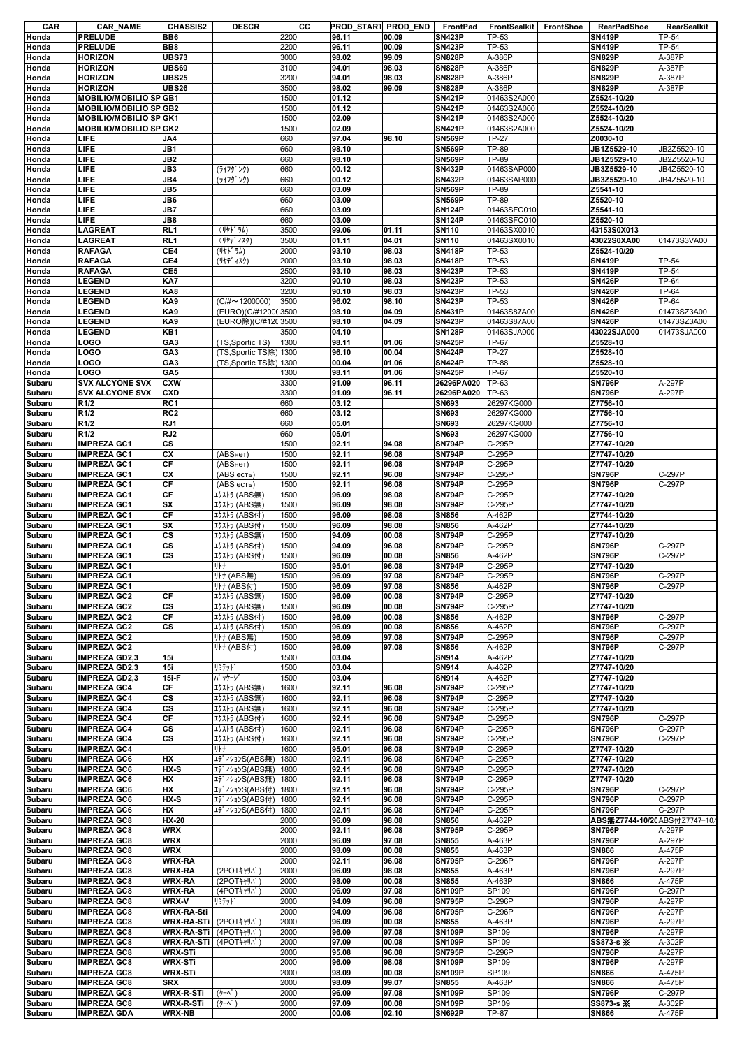| CAR    | <b>CAR_NAME</b>               | <b>CHASSIS2</b>   | <b>DESCR</b>          | СC   | PROD_START PROD_END |       | FrontPad      | FrontSealkit   FrontShoe | <b>RearPadShoe</b>             | RearSealkit  |
|--------|-------------------------------|-------------------|-----------------------|------|---------------------|-------|---------------|--------------------------|--------------------------------|--------------|
| Honda  | <b>PRELUDE</b>                | BB6               |                       | 2200 | 96.11               | 00.09 | <b>SN423P</b> | TP-53                    | <b>SN419P</b>                  | <b>TP-54</b> |
| Honda  | <b>PRELUDE</b>                | BB8               |                       | 2200 | 96.11               | 00.09 | <b>SN423P</b> | TP-53                    | <b>SN419P</b>                  | TP-54        |
| Honda  | <b>HORIZON</b>                | <b>UBS73</b>      |                       | 3000 | 98.02               | 99.09 | <b>SN828P</b> | A-386P                   | <b>SN829P</b>                  | A-387P       |
| Honda  | <b>HORIZON</b>                | UBS69             |                       | 3100 | 94.01               | 98.03 | <b>SN828P</b> | A-386P                   | <b>SN829P</b>                  | A-387P       |
| Honda  | <b>HORIZON</b>                | <b>UBS25</b>      |                       | 3200 | 94.01               | 98.03 | <b>SN828P</b> | A-386P                   | <b>SN829P</b>                  | A-387P       |
| Honda  | <b>HORIZON</b>                | <b>UBS26</b>      |                       | 3500 | 98.02               | 99.09 | <b>SN828P</b> | A-386P                   | <b>SN829P</b>                  | A-387P       |
|        |                               |                   |                       |      |                     |       |               |                          | Z5524-10/20                    |              |
| Honda  | <b>MOBILIO/MOBILIO SPGB1</b>  |                   |                       | 1500 | 01.12               |       | <b>SN421P</b> | 01463S2A000              |                                |              |
| Honda  | <b>MOBILIO/MOBILIO SPGB2</b>  |                   |                       | 1500 | 01.12               |       | <b>SN421P</b> | 01463S2A000              | Z5524-10/20                    |              |
| Honda  | <b>MOBILIO/MOBILIO SP GK1</b> |                   |                       | 1500 | 02.09               |       | <b>SN421P</b> | 01463S2A000              | Z5524-10/20                    |              |
| Honda  | <b>MOBILIO/MOBILIO SP GK2</b> |                   |                       | 1500 | 02.09               |       | <b>SN421P</b> | 01463S2A000              | Z5524-10/20                    |              |
| Honda  | LIFE                          | JA4               |                       | 660  | 97.04               | 98.10 | <b>SN569P</b> | TP-27                    | Z0030-10                       |              |
| Honda  | LIFE                          | JB1               |                       | 660  | 98.10               |       | <b>SN569P</b> | TP-89                    | JB1Z5529-10                    | JB2Z5520-10  |
| Honda  | LIFE                          | JB <sub>2</sub>   |                       | 660  | 98.10               |       | <b>SN569P</b> | TP-89                    | JB1Z5529-10                    | JB2Z5520-10  |
| Honda  | LIFE                          | JB3               | (ライフタ゛ンク)             | 660  | 00.12               |       | <b>SN432P</b> | 01463SAP000              | JB3Z5529-10                    | JB4Z5520-10  |
| Honda  | LIFE                          | JB4               | (ライフタ゛ンク)             | 660  | 00.12               |       | <b>SN432P</b> | 01463SAP000              | JB3Z5529-10                    | JB4Z5520-10  |
| Honda  | LIFE                          | JB5               |                       | 660  | 03.09               |       | <b>SN569P</b> | TP-89                    | Z5541-10                       |              |
|        | LIFE                          | JB6               |                       | 660  | 03.09               |       | <b>SN569P</b> | TP-89                    | Z5520-10                       |              |
| Honda  |                               |                   |                       |      |                     |       |               |                          |                                |              |
| Honda  | LIFE                          | JB7               |                       | 660  | 03.09               |       | <b>SN124P</b> | 01463SFC010              | Z5541-10                       |              |
| Honda  | LIFE                          | JB8               |                       | 660  | 03.09               |       | <b>SN124P</b> | 01463SFC010              | Z5520-10                       |              |
| Honda  | <b>LAGREAT</b>                | RL <sub>1</sub>   | (リヤト・ラム)              | 3500 | 99.06               | 01.11 | <b>SN110</b>  | 01463SX0010              | 43153S0X013                    |              |
| Honda  | <b>LAGREAT</b>                | RL <sub>1</sub>   | (リヤデ ィスク)             | 3500 | 01.11               | 04.01 | <b>SN110</b>  | 01463SX0010              | 43022S0XA00                    | 01473S3VA00  |
| Honda  | <b>RAFAGA</b>                 | CE4               | (リヤト・ラム)              | 2000 | 93.10               | 98.03 | <b>SN418P</b> | TP-53                    | Z5524-10/20                    |              |
| Honda  | <b>RAFAGA</b>                 | CE4               | (リヤデ ィスク)             | 2000 | 93.10               | 98.03 | <b>SN418P</b> | TP-53                    | <b>SN419P</b>                  | TP-54        |
| Honda  | <b>RAFAGA</b>                 | CE5               |                       | 2500 | 93.10               | 98.03 | <b>SN423P</b> | TP-53                    | <b>SN419P</b>                  | <b>TP-54</b> |
| Honda  | <b>LEGEND</b>                 | KA7               |                       | 3200 | 90.10               | 98.03 | <b>SN423P</b> | TP-53                    | <b>SN426P</b>                  | TP-64        |
| Honda  | <b>LEGEND</b>                 | KA8               |                       | 3200 | 90.10               | 98.03 | <b>SN423P</b> | TP-53                    | <b>SN426P</b>                  | TP-64        |
| Honda  | <b>LEGEND</b>                 | KA9               | $(C/H \sim 1200000)$  | 3500 | 96.02               | 98.10 | <b>SN423P</b> | TP-53                    | <b>SN426P</b>                  | TP-64        |
|        |                               |                   |                       |      |                     |       |               | 01463S87A00              |                                |              |
| Honda  | <b>LEGEND</b>                 | KA9               | (EURO)(C/#1200(3500   |      | 98.10               | 04.09 | <b>SN431P</b> |                          | <b>SN426P</b><br><b>SN426P</b> | 01473SZ3A00  |
| Honda  | <b>LEGEND</b>                 | KA9               | (EURO除)(C/#120 3500   |      | 98.10               | 04.09 | <b>SN423P</b> | 01463S87A00              |                                | 01473SZ3A00  |
| Honda  | <b>LEGEND</b>                 | KB1               |                       | 3500 | 04.10               |       | <b>SN128P</b> | 01463SJA000              | 43022SJA000                    | 01473SJA000  |
| Honda  | LOGO                          | GA <sub>3</sub>   | (TS,Sportic TS)       | 1300 | 98.11               | 01.06 | <b>SN425P</b> | TP-67                    | Z5528-10                       |              |
| Honda  | LOGO                          | GA <sub>3</sub>   | (TS,Sportic TS除) 1300 |      | 96.10               | 00.04 | <b>SN424P</b> | <b>TP-27</b>             | Z5528-10                       |              |
| Honda  | LOGO                          | GA <sub>3</sub>   | (TS,Sportic TS除) 1300 |      | 00.04               | 01.06 | <b>SN424P</b> | <b>TP-88</b>             | Z5528-10                       |              |
| Honda  | LOGO                          | GA5               |                       | 1300 | 98.11               | 01.06 | <b>SN425P</b> | TP-67                    | Z5520-10                       |              |
| Subaru | <b>SVX ALCYONE SVX</b>        | <b>CXW</b>        |                       | 3300 | 91.09               | 96.11 | 26296PA020    | TP-63                    | <b>SN796P</b>                  | A-297P       |
| Subaru | <b>SVX ALCYONE SVX</b>        | <b>CXD</b>        |                       | 3300 | 91.09               | 96.11 | 26296PA020    | TP-63                    | <b>SN796P</b>                  | A-297P       |
| Subaru | R <sub>1/2</sub>              | RC1               |                       | 660  | 03.12               |       | <b>SN693</b>  | 26297KG000               | Z7756-10                       |              |
|        | R <sub>1/2</sub>              | RC <sub>2</sub>   |                       | 660  | 03.12               |       | <b>SN693</b>  | 26297KG000               | Z7756-10                       |              |
| Subaru |                               |                   |                       |      |                     |       |               |                          |                                |              |
| Subaru | R <sub>1/2</sub>              | RJ1               |                       | 660  | 05.01               |       | <b>SN693</b>  | 26297KG000               | Z7756-10                       |              |
| Subaru | R <sub>1/2</sub>              | RJ <sub>2</sub>   |                       | 660  | 05.01               |       | <b>SN693</b>  | 26297KG000               | Z7756-10                       |              |
| Subaru | <b>IMPREZA GC1</b>            | СS                |                       | 1500 | 92.11               | 94.08 | <b>SN794P</b> | C-295P                   | Z7747-10/20                    |              |
| Subaru | <b>IMPREZA GC1</b>            | CX                | (ABSHeT)              | 1500 | 92.11               | 96.08 | <b>SN794P</b> | C-295P                   | Z7747-10/20                    |              |
| Subaru | <b>IMPREZA GC1</b>            | СF                | (ABSHeT)              | 1500 | 92.11               | 96.08 | <b>SN794P</b> | C-295P                   | Z7747-10/20                    |              |
| Subaru | <b>IMPREZA GC1</b>            | CX                | (ABS есть)            | 1500 | 92.11               | 96.08 | <b>SN794P</b> | C-295P                   | <b>SN796P</b>                  | C-297P       |
| Subaru | <b>IMPREZA GC1</b>            | CF                | (ABS есть)            | 1500 | 92.11               | 96.08 | <b>SN794P</b> | C-295P                   | <b>SN796P</b>                  | C-297P       |
| Subaru | <b>IMPREZA GC1</b>            | CF                | エクストラ (ABS無)          | 1500 | 96.09               | 98.08 | <b>SN794P</b> | C-295P                   | Z7747-10/20                    |              |
| Subaru | <b>IMPREZA GC1</b>            | SX                | エクストラ (ABS無)          | 1500 | 96.09               | 98.08 | <b>SN794P</b> | C-295P                   | Z7747-10/20                    |              |
|        |                               |                   |                       |      |                     |       |               |                          |                                |              |
| Subaru | <b>IMPREZA GC1</b>            | СF                | エクストラ (ABS付)          | 1500 | 96.09               | 98.08 | <b>SN856</b>  | A-462P                   | Z7744-10/20                    |              |
| Subaru | <b>IMPREZA GC1</b>            | SX                | エクストラ (ABS付)          | 1500 | 96.09               | 98.08 | <b>SN856</b>  | A-462P                   | Z7744-10/20                    |              |
| Subaru | <b>IMPREZA GC1</b>            | CS                | エクストラ (ABS無)          | 1500 | 94.09               | 00.08 | <b>SN794P</b> | C-295P                   | Z7747-10/20                    |              |
| Subaru | <b>IMPREZA GC1</b>            | CS                | Iクストラ (ABS付)          | 1500 | 94.09               | 96.08 | <b>SN794P</b> | C-295P                   | <b>SN796P</b>                  | C-297P       |
| Subaru | <b>IMPREZA GC1</b>            | <b>CS</b>         | エクストラ (ABS付)          | 1500 | 96.09               | 00.08 | <b>SN856</b>  | A-462P                   | <b>SN796P</b>                  | C-297P       |
| Subaru | <b>IMPREZA GC1</b>            |                   | リトナ                   | 1500 | 95.01               | 96.08 | <b>SN794P</b> | C-295P                   | Z7747-10/20                    |              |
| Subaru | <b>IMPREZA GC1</b>            |                   | <b>リトナ (ABS無)</b>     | 1500 | 96.09               | 97.08 | <b>SN794P</b> | C-295P                   | <b>SN796P</b>                  | C-297P       |
| Subaru | <b>IMPREZA GC1</b>            |                   | 小ナ (ABS付)             | 1500 | 96.09               | 97.08 | <b>SN856</b>  | A-462P                   | <b>SN796P</b>                  | C-297P       |
| Subaru | <b>IMPREZA GC2</b>            | СF                | エクストラ (ABS無)          | 1500 | 96.09               | 00.08 | <b>SN794P</b> | C-295P                   | Z7747-10/20                    |              |
| Subaru | <b>IMPREZA GC2</b>            | CS                | エクストラ (ABS無)          | 1500 | 96.09               | 00.08 | <b>SN794P</b> | C-295P                   | Z7747-10/20                    |              |
| Subaru | <b>IMPREZA GC2</b>            | СF                | エクストラ (ABS付)          | 1500 | 96.09               | 00.08 | <b>SN856</b>  | A-462P                   | <b>SN796P</b>                  | C-297P       |
|        |                               |                   |                       |      |                     |       |               |                          |                                |              |
| Subaru | <b>IMPREZA GC2</b>            | <b>CS</b>         | エクストラ (ABS付)          | 1500 | 96.09               | 00.08 | <b>SN856</b>  | A-462P                   | <b>SN796P</b>                  | C-297P       |
| Subaru | <b>IMPREZA GC2</b>            |                   | <b>Jトナ (ABS無)</b>     | 1500 | 96.09               | 97.08 | <b>SN794P</b> | C-295P                   | <b>SN796P</b>                  | C-297P       |
| Subaru | <b>IMPREZA GC2</b>            |                   | <b>小ナ (ABS付)</b>      | 1500 | 96.09               | 97.08 | <b>SN856</b>  | A-462P                   | <b>SN796P</b>                  | C-297P       |
| Subaru | <b>IMPREZA GD2,3</b>          | 15i               |                       | 1500 | 03.04               |       | <b>SN914</b>  | A-462P                   | Z7747-10/20                    |              |
| Subaru | <b>IMPREZA GD2,3</b>          | 15i               | リミテット゛                | 1500 | 03.04               |       | SN914         | A-462P                   | Z7747-10/20                    |              |
| Subaru | <b>IMPREZA GD2,3</b>          | $15i-F$           | <b>パッケージ</b>          | 1500 | 03.04               |       | <b>SN914</b>  | A-462P                   | Z7747-10/20                    |              |
| Subaru | <b>IMPREZA GC4</b>            | СF                | エクストラ (ABS無)          | 1600 | 92.11               | 96.08 | <b>SN794P</b> | C-295P                   | Z7747-10/20                    |              |
| Subaru | <b>IMPREZA GC4</b>            | CS                | <b>エクストラ (ABS無)</b>   | 1600 | 92.11               | 96.08 | <b>SN794P</b> | C-295P                   | Z7747-10/20                    |              |
| Subaru | <b>IMPREZA GC4</b>            | CS                | エクストラ (ABS無)          | 1600 | 92.11               | 96.08 | <b>SN794P</b> | C-295P                   | Z7747-10/20                    |              |
| Subaru | <b>IMPREZA GC4</b>            | СF                | エクストラ (ABS付)          | 1600 | 92.11               | 96.08 | <b>SN794P</b> | C-295P                   | <b>SN796P</b>                  | C-297P       |
| Subaru | <b>IMPREZA GC4</b>            | CS                | エクストラ (ABS付)          | 1600 | 92.11               | 96.08 | <b>SN794P</b> | C-295P                   | <b>SN796P</b>                  | C-297P       |
| Subaru | <b>IMPREZA GC4</b>            | CS                | エクストラ (ABS付)          | 1600 | 92.11               | 96.08 | <b>SN794P</b> | C-295P                   | <b>SN796P</b>                  | C-297P       |
| Subaru | <b>IMPREZA GC4</b>            |                   | リトナ                   | 1600 | 95.01               | 96.08 | <b>SN794P</b> | C-295P                   | Z7747-10/20                    |              |
|        | <b>IMPREZA GC6</b>            | HX                |                       |      | 92.11               |       | <b>SN794P</b> |                          | Z7747-10/20                    |              |
| Subaru |                               |                   | エデ イションS(ABS無)        | 1800 |                     | 96.08 |               | C-295P                   |                                |              |
| Subaru | <b>IMPREZA GC6</b>            | HX-S              | IディションS(ABS無)         | 1800 | 92.11               | 96.08 | <b>SN794P</b> | C-295P                   | Z7747-10/20                    |              |
| Subaru | <b>IMPREZA GC6</b>            | НX                | エディションS(ABS無)         | 1800 | 92.11               | 96.08 | <b>SN794P</b> | C-295P                   | Z7747-10/20                    |              |
| Subaru | <b>IMPREZA GC6</b>            | НX                | エディションS(ABS付)  1800   |      | 92.11               | 96.08 | <b>SN794P</b> | C-295P                   | <b>SN796P</b>                  | C-297P       |
| Subaru | <b>IMPREZA GC6</b>            | $HX-S$            | エディションS(ABS付)  1800   |      | 92.11               | 96.08 | <b>SN794P</b> | $\overline{C}$ -295P     | <b>SN796P</b>                  | C-297P       |
| Subaru | <b>IMPREZA GC6</b>            | НX                | エディションS(ABS付)         | 1800 | 92.11               | 96.08 | <b>SN794P</b> | C-295P                   | <b>SN796P</b>                  | C-297P       |
| Subaru | <b>IMPREZA GC8</b>            | HX-20             |                       | 2000 | 96.09               | 98.08 | <b>SN856</b>  | A-462P                   | ABS無Z7744-10/20 ABS付Z7747-10/  |              |
| Subaru | <b>IMPREZA GC8</b>            | <b>WRX</b>        |                       | 2000 | 92.11               | 96.08 | <b>SN795P</b> | C-295P                   | <b>SN796P</b>                  | A-297P       |
| Subaru | <b>IMPREZA GC8</b>            | <b>WRX</b>        |                       | 2000 | 96.09               | 97.08 | <b>SN855</b>  | A-463P                   | <b>SN796P</b>                  | A-297P       |
| Subaru | <b>IMPREZA GC8</b>            | <b>WRX</b>        |                       | 2000 | 98.09               | 00.08 | <b>SN855</b>  | A-463P                   | <b>SN866</b>                   | A-475P       |
| Subaru | <b>IMPREZA GC8</b>            | <b>WRX-RA</b>     |                       | 2000 | 92.11               | 96.08 | <b>SN795P</b> | C-296P                   | <b>SN796P</b>                  | A-297P       |
|        | <b>IMPREZA GC8</b>            | <b>WRX-RA</b>     | (2POT+rリパ)            | 2000 | 96.09               | 98.08 | <b>SN855</b>  |                          | <b>SN796P</b>                  | A-297P       |
| Subaru |                               |                   |                       |      |                     |       |               | A-463P                   |                                |              |
| Subaru | <b>IMPREZA GC8</b>            | <b>WRX-RA</b>     | (2POTキャリパ)            | 2000 | 98.09               | 00.08 | <b>SN855</b>  | A-463P                   | <b>SN866</b>                   | A-475P       |
| Subaru | <b>IMPREZA GC8</b>            | <b>WRX-RA</b>     | (4POTキャリパ)            | 2000 | 96.09               | 97.08 | <b>SN109P</b> | SP109                    | <b>SN796P</b>                  | C-297P       |
| Subaru | <b>IMPREZA GC8</b>            | WRX-V             | リミテット゛                | 2000 | 94.09               | 96.08 | <b>SN795P</b> | C-296P                   | <b>SN796P</b>                  | A-297P       |
| Subaru | <b>IMPREZA GC8</b>            | <b>WRX-RA-Sti</b> |                       | 2000 | 94.09               | 96.08 | <b>SN795P</b> | C-296P                   | <b>SN796P</b>                  | A-297P       |
| Subaru | <b>IMPREZA GC8</b>            | WRX-RA-STi        | (2POTキャリパ)            | 2000 | 96.09               | 00.08 | <b>SN855</b>  | A-463P                   | <b>SN796P</b>                  | A-297P       |
| Subaru | <b>IMPREZA GC8</b>            | WRX-RA-STi        | (4POT+rリパ)            | 2000 | 96.09               | 97.08 | <b>SN109P</b> | SP109                    | <b>SN796P</b>                  | A-297P       |
| Subaru | <b>IMPREZA GC8</b>            | <b>WRX-RA-STi</b> | (4POTキャリパ)            | 2000 | 97.09               | 00.08 | <b>SN109P</b> | SP109                    | SS873-s *                      | A-302P       |
| Subaru | <b>IMPREZA GC8</b>            | WRX-STi           |                       | 2000 | 95.08               | 96.08 | <b>SN795P</b> | C-296P                   | <b>SN796P</b>                  | A-297P       |
| Subaru | <b>IMPREZA GC8</b>            | WRX-STi           |                       | 2000 | 96.09               | 98.08 | <b>SN109P</b> | SP109                    | <b>SN796P</b>                  | A-297P       |
|        | <b>IMPREZA GC8</b>            | <b>WRX-STi</b>    |                       | 2000 |                     | 00.08 | <b>SN109P</b> | SP109                    | <b>SN866</b>                   | A-475P       |
| Subaru |                               |                   |                       |      | 98.09               |       |               |                          |                                |              |
| Subaru | <b>IMPREZA GC8</b>            | <b>SRX</b>        |                       | 2000 | 98.09               | 99.07 | <b>SN855</b>  | A-463P                   | <b>SN866</b>                   | A-475P       |
| Subaru | <b>IMPREZA GC8</b>            | WRX-R-STi         | (クーベ)                 | 2000 | 96.09               | 97.08 | <b>SN109P</b> | SP109                    | <b>SN796P</b>                  | C-297P       |
| Subaru | <b>IMPREZA GC8</b>            | WRX-R-STi         | (クーベ)                 | 2000 | 97.09               | 00.08 | <b>SN109P</b> | SP109                    | SS873-s *                      | A-302P       |
| Subaru | <b>IMPREZA GDA</b>            | <b>WRX-NB</b>     |                       | 2000 | 00.08               | 02.10 | <b>SN692P</b> | <b>TP-87</b>             | <b>SN866</b>                   | A-475P       |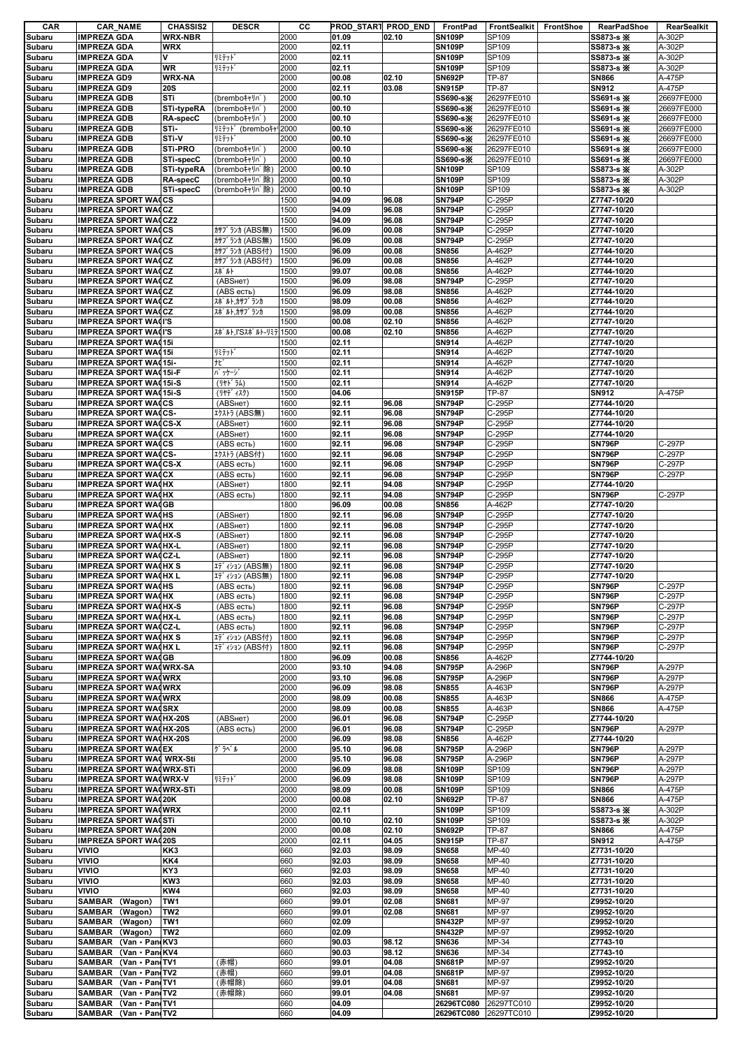| CAR              | <b>CAR_NAME</b>                                               | <b>CHASSIS2</b>              | <b>DESCR</b>                   | cс           | PROD_START PROD_END |                | FrontPad                       | FrontSealkit     | FrontShoe | <b>RearPadShoe</b>           | RearSealkit      |
|------------------|---------------------------------------------------------------|------------------------------|--------------------------------|--------------|---------------------|----------------|--------------------------------|------------------|-----------|------------------------------|------------------|
| Subaru           | <b>IMPREZA GDA</b>                                            | <b>WRX-NBR</b>               |                                | 2000         | 01.09               | 02.10          | <b>SN109P</b>                  | SP109            |           | SS873-s *                    | A-302P           |
| Subaru           | <b>IMPREZA GDA</b><br><b>IMPREZA GDA</b>                      | <b>WRX</b><br>V              |                                | 2000         | 02.11               |                | <b>SN109P</b>                  | SP109            |           | SS873-s *                    | A-302P           |
| Subaru           | <b>IMPREZA GDA</b>                                            | <b>WR</b>                    | リミテット゛<br>リミテット゛               | 2000<br>2000 | 02.11<br>02.11      |                | <b>SN109P</b><br><b>SN109P</b> | SP109<br>SP109   |           | SS873-s *<br>SS873-s ※       | A-302P<br>A-302P |
| Subaru<br>Subaru | <b>IMPREZA GD9</b>                                            | <b>WRX-NA</b>                |                                | 2000         | 00.08               | 02.10          | <b>SN692P</b>                  | <b>TP-87</b>     |           | <b>SN866</b>                 | A-475P           |
| Subaru           | <b>IMPREZA GD9</b>                                            | <b>20S</b>                   |                                | 2000         | 02.11               | 03.08          | <b>SN915P</b>                  | <b>TP-87</b>     |           | SN912                        | A-475P           |
| Subaru           | <b>IMPREZA GDB</b>                                            | STi                          | (brembo‡ャリパ                    | 2000         | 00.10               |                | SS690-s※                       | 26297FE010       |           | SS691-s *                    | 26697FE000       |
| Subaru           | <b>IMPREZA GDB</b>                                            | STi-typeRA                   | (brembo++Jn°                   | 2000         | 00.10               |                | SS690-sX                       | 26297FE010       |           | SS691-s *                    | 26697FE000       |
| Subaru           | <b>IMPREZA GDB</b>                                            | RA-specC                     | (brembo‡ャリパ                    | 2000         | 00.10               |                | SS690-s※                       | 26297FE010       |           | SS691-s *                    | 26697FE000       |
| Subaru           | <b>IMPREZA GDB</b>                                            | STi-                         | リミテット (bremboキャ 2000           |              | 00.10               |                | SS690-s※                       | 26297FE010       |           | SS691-s *                    | 26697FE000       |
| Subaru           | <b>IMPREZA GDB</b>                                            | STi-V                        | リミテット゛                         | 2000         | 00.10               |                | SS690-s※                       | 26297FE010       |           | SS691-s *                    | 26697FE000       |
| Subaru           | <b>IMPREZA GDB</b>                                            | <b>STI-PRO</b>               | (brembo‡ャリパ                    | 2000         | 00.10               |                | SS690-s※                       | 26297FE010       |           | SS691-s *                    | 26697FE000       |
| Subaru           | <b>IMPREZA GDB</b>                                            | STi-specC                    | (brembo++Jn*                   | 2000         | 00.10               |                | SS690-s※                       | 26297FE010       |           | SS691-s *                    | 26697FE000       |
| Subaru           | <b>IMPREZA GDB</b>                                            | <b>STi-typeRA</b>            | (bremboキャリパ除)<br>(bremboキャリバ除) | 2000         | 00.10<br>00.10      |                | <b>SN109P</b><br><b>SN109P</b> | SP109            |           | SS873-s *                    | A-302P<br>A-302P |
| Subaru<br>Subaru | <b>IMPREZA GDB</b><br><b>IMPREZA GDB</b>                      | <b>RA-specC</b><br>STi-specC | (bremboキャリパ除)                  | 2000<br>2000 | 00.10               |                | <b>SN109P</b>                  | SP109<br>SP109   |           | SS873-s *<br>SS873-s X       | A-302P           |
| Subaru           | <b>IMPREZA SPORT WAICS</b>                                    |                              |                                | 1500         | 94.09               | 96.08          | <b>SN794P</b>                  | C-295P           |           | Z7747-10/20                  |                  |
| Subaru           | <b>IMPREZA SPORT WA(CZ</b>                                    |                              |                                | 1500         | 94.09               | 96.08          | <b>SN794P</b>                  | C-295P           |           | Z7747-10/20                  |                  |
| Subaru           | <b>IMPREZA SPORT WA(CZ2</b>                                   |                              |                                | 1500         | 94.09               | 96.08          | <b>SN794P</b>                  | C-295P           |           | Z7747-10/20                  |                  |
| Subaru           | <b>IMPREZA SPORT WAICS</b>                                    |                              | カサブランカ (ABS無)                  | 1500         | 96.09               | 00.08          | <b>SN794P</b>                  | C-295P           |           | Z7747-10/20                  |                  |
| Subaru           | <b>IMPREZA SPORT WA(CZ</b>                                    |                              | カサブランカ (ABS無)                  | 1500         | 96.09               | 00.08          | <b>SN794P</b>                  | C-295P           |           | Z7747-10/20                  |                  |
| Subaru           | <b>IMPREZA SPORT WA(CS</b>                                    |                              | カサブランカ (ABS付)                  | 1500         | 96.09               | 00.08          | <b>SN856</b>                   | A-462P           |           | Z7744-10/20                  |                  |
| Subaru           | <b>IMPREZA SPORT WA(CZ</b>                                    |                              | カサブランカ (ABS付)                  | 1500         | 96.09               | 00.08          | <b>SN856</b>                   | A-462P           |           | Z7744-10/20                  |                  |
| Subaru           | <b>IMPREZA SPORT WA(CZ</b>                                    |                              | スポルト                           | 1500         | 99.07               | 00.08          | <b>SN856</b>                   | A-462P           |           | Z7744-10/20                  |                  |
| Subaru           | <b>IMPREZA SPORT WA(CZ</b>                                    |                              | (ABSHeT)                       | 1500         | 96.09               | 98.08          | <b>SN794P</b>                  | C-295P           |           | Z7747-10/20                  |                  |
| Subaru<br>Subaru | <b>IMPREZA SPORT WA(CZ</b><br><b>IMPREZA SPORT WA(CZ</b>      |                              | (ABS есть)<br>スポ゜ルト,カサフ゛ランカ    | 1500<br>1500 | 96.09<br>98.09      | 98.08<br>00.08 | <b>SN856</b><br><b>SN856</b>   | A-462P<br>A-462P |           | Z7744-10/20<br>Z7744-10/20   |                  |
| Subaru           | <b>IMPREZA SPORT WA(CZ</b>                                    |                              | スポ゜ルト、カサフ゛ランカ                  | 1500         | 98.09               | 00.08          | <b>SN856</b>                   | A-462P           |           | Z7744-10/20                  |                  |
| Subaru           | <b>IMPREZA SPORT WA(I'S</b>                                   |                              |                                | 1500         | 00.08               | 02.10          | <b>SN856</b>                   | A-462P           |           | Z7747-10/20                  |                  |
| Subaru           | <b>IMPREZA SPORT WA(I'S</b>                                   |                              | スポルト.I'Sスポルト-リミテ 1500          |              | 00.08               | 02.10          | <b>SN856</b>                   | A-462P           |           | Z7747-10/20                  |                  |
| Subaru           | <b>IMPREZA SPORT WA(15)</b>                                   |                              |                                | 1500         | 02.11               |                | SN914                          | A-462P           |           | Z7747-10/20                  |                  |
| Subaru           | <b>IMPREZA SPORT WA(15)</b>                                   |                              | リミテット゛                         | 1500         | 02.11               |                | SN914                          | A-462P           |           | Z7747-10/20                  |                  |
| Subaru           | <b>IMPREZA SPORT WA(15i-</b>                                  |                              | tť                             | 1500         | 02.11               |                | SN914                          | A-462P           |           | Z7747-10/20                  |                  |
| Subaru           | <b>IMPREZA SPORT WA(15i-F</b>                                 |                              | <b>パッケージ</b>                   | 1500         | 02.11               |                | SN914                          | A-462P           |           | Z7747-10/20                  |                  |
| Subaru           | <b>IMPREZA SPORT WA(15i-S</b>                                 |                              | (リヤト・ラム)                       | 1500         | 02.11               |                | SN914                          | A-462P           |           | Z7747-10/20                  |                  |
| Subaru           | <b>IMPREZA SPORT WA(15i-S)</b>                                |                              | (リヤデ ィスク)                      | 1500         | 04.06               |                | <b>SN915P</b>                  | TP-87            |           | SN912                        | A-475P           |
| Subaru<br>Subaru | <b>IMPREZA SPORT WAICS</b>                                    |                              | (ABSнет)                       | 1600<br>1600 | 92.11               | 96.08<br>96.08 | <b>SN794P</b>                  | C-295P           |           | Z7744-10/20                  |                  |
| Subaru           | <b>IMPREZA SPORT WA(CS-</b><br><b>IMPREZA SPORT WA(CS-X</b>   |                              | エクストラ (ABS無)<br>(ABSHeT)       | 1600         | 92.11<br>92.11      | 96.08          | <b>SN794P</b><br><b>SN794P</b> | C-295P<br>C-295P |           | Z7744-10/20<br>Z7744-10/20   |                  |
| Subaru           | <b>IMPREZA SPORT WA(CX</b>                                    |                              | (ABSнет)                       | 1600         | 92.11               | 96.08          | <b>SN794P</b>                  | C-295P           |           | Z7744-10/20                  |                  |
| Subaru           | <b>IMPREZA SPORT WAICS</b>                                    |                              | (ABS есть)                     | 1600         | 92.11               | 96.08          | <b>SN794P</b>                  | C-295P           |           | <b>SN796P</b>                | C-297P           |
| Subaru           | <b>IMPREZA SPORT WA(CS-</b>                                   |                              | エクストラ (ABS付)                   | 1600         | 92.11               | 96.08          | <b>SN794P</b>                  | C-295P           |           | <b>SN796P</b>                | C-297P           |
| Subaru           | <b>IMPREZA SPORT WA(CS-X</b>                                  |                              | (ABS есть)                     | 1600         | 92.11               | 96.08          | <b>SN794P</b>                  | C-295P           |           | <b>SN796P</b>                | C-297P           |
| Subaru           | <b>IMPREZA SPORT WA(CX)</b>                                   |                              | (ABS есть)                     | 1600         | 92.11               | 96.08          | <b>SN794P</b>                  | C-295P           |           | <b>SN796P</b>                | C-297P           |
| Subaru           | <b>IMPREZA SPORT WA(HX</b>                                    |                              | (ABSHeT)                       | 1800         | 92.11               | 94.08          | <b>SN794P</b>                  | C-295P           |           | Z7744-10/20                  |                  |
| Subaru           | <b>IMPREZA SPORT WA(HX</b>                                    |                              | (ABS есть)                     | 1800         | 92.11               | 94.08          | <b>SN794P</b>                  | C-295P           |           | <b>SN796P</b>                | C-297P           |
| Subaru           | <b>IMPREZA SPORT WA(GB</b>                                    |                              |                                | 1800         | 96.09               | 00.08          | <b>SN856</b>                   | A-462P           |           | Z7747-10/20                  |                  |
| Subaru           | <b>IMPREZA SPORT WA(HS</b>                                    |                              | (ABSHeT)                       | 1800         | 92.11               | 96.08          | <b>SN794P</b>                  | C-295P           |           | Z7747-10/20                  |                  |
| Subaru           | <b>IMPREZA SPORT WA(HX</b>                                    |                              | (ABSHeT)                       | 1800         | 92.11               | 96.08          | <b>SN794P</b>                  | C-295P           |           | Z7747-10/20                  |                  |
| Subaru<br>Subaru | <b>IMPREZA SPORT WA(HX-S</b><br><b>IMPREZA SPORT WA(HX-L</b>  |                              | (ABSнет)<br>(ABSнет)           | 1800<br>1800 | 92.11<br>92.11      | 96.08<br>96.08 | <b>SN794P</b><br><b>SN794P</b> | C-295P<br>C-295P |           | Z7747-10/20<br>Z7747-10/20   |                  |
| Subaru           | <b>IMPREZA SPORT WA(CZ-L</b>                                  |                              | (ABSHeT)                       | 1800         | 92.11               | 96.08          | <b>SN794P</b>                  | C-295P           |           | Z7747-10/20                  |                  |
| Subaru           | <b>IMPREZA SPORT WA(HX S</b>                                  |                              | エディション (ABS無)                  | 1800         | 92.11               | 96.08          | <b>SN794P</b>                  | C-295P           |           | Z7747-10/20                  |                  |
| Subaru           | <b>IMPREZA SPORT WA(HXL</b>                                   |                              | エディション (ABS無)                  | 1800         | 92.11               | 96.08          | <b>SN794P</b>                  | C-295P           |           | Z7747-10/20                  |                  |
| Subaru           | <b>IMPREZA SPORT WA(HS</b>                                    |                              | (ABS есть)                     | 1800         | 92.11               | 96.08          | <b>SN794P</b>                  | C-295P           |           | <b>SN796P</b>                | C-297P           |
| Subaru           | <b>IMPREZA SPORT WA(HX</b>                                    |                              | (ABS есть)                     | 1800         | 92.11               | 96.08          | <b>SN794P</b>                  | C-295P           |           | <b>SN796P</b>                | C-297P           |
| Subaru           | <b>IMPREZA SPORT WA(HX-S)</b>                                 |                              | (ABS есть)                     | 1800         | 92.11               | 96.08          | <b>SN794P</b>                  | C-295P           |           | <b>SN796P</b>                | C-297P           |
| Subaru           | <b>IMPREZA SPORT WA(HX-L</b>                                  |                              | (ABS есть)                     | 1800         | 92.11               | 96.08          | <b>SN794P</b>                  | C-295P           |           | <b>SN796P</b>                | C-297P           |
| Subaru           | <b>IMPREZA SPORT WA(CZ-L</b>                                  |                              | (ABS есть)                     | 1800         | 92.11               | 96.08          | <b>SN794P</b>                  | C-295P           |           | <b>SN796P</b>                | C-297P           |
| Subaru           | <b>IMPREZA SPORT WA(HX S</b>                                  |                              | エディション (ABS付)                  | 1800         | 92.11               | 96.08          | <b>SN794P</b>                  | C-295P           |           | <b>SN796P</b>                | C-297P           |
| Subaru<br>Subaru | <b>IMPREZA SPORT WA(HXL</b><br><b>IMPREZA SPORT WA(GB</b>     |                              | エディション (ABS付)                  | 1800<br>1800 | 92.11<br>96.09      | 96.08<br>00.08 | <b>SN794P</b><br><b>SN856</b>  | C-295P<br>A-462P |           | <b>SN796P</b><br>Z7744-10/20 | C-297P           |
| Subaru           | <b>IMPREZA SPORT WA(WRX-SA</b>                                |                              |                                | 2000         | 93.10               | 94.08          | <b>SN795P</b>                  | A-296P           |           | <b>SN796P</b>                | A-297P           |
| Subaru           | <b>IMPREZA SPORT WA(WRX</b>                                   |                              |                                | 2000         | 93.10               | 96.08          | <b>SN795P</b>                  | A-296P           |           | <b>SN796P</b>                | A-297P           |
| Subaru           | <b>IMPREZA SPORT WA(WRX</b>                                   |                              |                                | 2000         | 96.09               | 98.08          | <b>SN855</b>                   | A-463P           |           | <b>SN796P</b>                | A-297P           |
| Subaru           | <b>IMPREZA SPORT WA(WRX</b>                                   |                              |                                | 2000         | 98.09               | 00.08          | <b>SN855</b>                   | A-463P           |           | <b>SN866</b>                 | A-475P           |
| Subaru           | <b>IMPREZA SPORT WA(SRX</b>                                   |                              |                                | 2000         | 98.09               | 00.08          | <b>SN855</b>                   | A-463P           |           | <b>SN866</b>                 | A-475P           |
| Subaru           | <b>IMPREZA SPORT WA(HX-20S</b>                                |                              | (ABSHeT)                       | 2000         | 96.01               | 96.08          | <b>SN794P</b>                  | C-295P           |           | Z7744-10/20                  |                  |
| Subaru           | <b>IMPREZA SPORT WA(HX-20S</b>                                |                              | (ABS есть)                     | 2000         | 96.01               | 96.08          | <b>SN794P</b>                  | C-295P           |           | <b>SN796P</b>                | A-297P           |
| Subaru           | <b>IMPREZA SPORT WA(HX-20S</b><br><b>IMPREZA SPORT WA(EX)</b> |                              | ゲラベル                           | 2000<br>2000 | 96.09<br>95.10      | 98.08<br>96.08 | <b>SN856</b><br><b>SN795P</b>  | A-462P<br>A-296P |           | Z7744-10/20<br><b>SN796P</b> | A-297P           |
| Subaru<br>Subaru | <b>IMPREZA SPORT WAC WRX-Sti</b>                              |                              |                                | 2000         | 95.10               | 96.08          | <b>SN795P</b>                  | A-296P           |           | <b>SN796P</b>                | A-297P           |
| Subaru           | <b>IMPREZA SPORT WA(WRX-STI</b>                               |                              |                                | 2000         | 96.09               | 98.08          | <b>SN109P</b>                  | SP109            |           | <b>SN796P</b>                | A-297P           |
| Subaru           | <b>IMPREZA SPORT WA(WRX-V</b>                                 |                              | リミテット゛                         | 2000         | 96.09               | 98.08          | <b>SN109P</b>                  | SP109            |           | <b>SN796P</b>                | A-297P           |
| Subaru           | <b>IMPREZA SPORT WA(WRX-STI</b>                               |                              |                                | 2000         | 98.09               | 00.08          | <b>SN109P</b>                  | SP109            |           | <b>SN866</b>                 | A-475P           |
| Subaru           | <b>IMPREZA SPORT WA(20K)</b>                                  |                              |                                | 2000         | 00.08               | 02.10          | <b>SN692P</b>                  | <b>TP-87</b>     |           | <b>SN866</b>                 | A-475P           |
| Subaru           | <b>IMPREZA SPORT WA(WRX</b>                                   |                              |                                | 2000         | 02.11               |                | <b>SN109P</b>                  | SP109            |           | SS873-s *                    | A-302P           |
| Subaru           | <b>IMPREZA SPORT WA(STI</b>                                   |                              |                                | 2000         | 00.10               | 02.10          | <b>SN109P</b>                  | SP109            |           | SS873-s *                    | A-302P           |
| Subaru           | <b>IMPREZA SPORT WA(20N</b>                                   |                              |                                | 2000         | 00.08               | 02.10          | <b>SN692P</b>                  | TP-87            |           | <b>SN866</b>                 | A-475P           |
| Subaru           | <b>IMPREZA SPORT WA(20S)</b>                                  |                              |                                | 2000         | 02.11               | 04.05          | <b>SN915P</b>                  | <b>TP-87</b>     |           | SN912                        | A-475P           |
| Subaru           | VIVIO<br>VIVIO                                                | KK3<br>KK4                   |                                | 660<br>660   | 92.03<br>92.03      | 98.09<br>98.09 | <b>SN658</b><br><b>SN658</b>   | MP-40            |           | Z7731-10/20                  |                  |
| Subaru<br>Subaru | VIVIO                                                         | KY3                          |                                | 660          | 92.03               | 98.09          | <b>SN658</b>                   | MP-40<br>MP-40   |           | Z7731-10/20<br>Z7731-10/20   |                  |
| Subaru           | VIVIO                                                         | KW3                          |                                | 660          | 92.03               | 98.09          | <b>SN658</b>                   | MP-40            |           | Z7731-10/20                  |                  |
| Subaru           | VIVIO                                                         | KW4                          |                                | 660          | 92.03               | 98.09          | <b>SN658</b>                   | MP-40            |           | Z7731-10/20                  |                  |
| Subaru           | SAMBAR (Wagon)                                                | TW <sub>1</sub>              |                                | 660          | 99.01               | 02.08          | <b>SN681</b>                   | MP-97            |           | Z9952-10/20                  |                  |
| Subaru           | SAMBAR (Wagon)                                                | TW <sub>2</sub>              |                                | 660          | 99.01               | 02.08          | SN681                          | MP-97            |           | Z9952-10/20                  |                  |
| Subaru           | SAMBAR (Wagon)                                                | TW <sub>1</sub>              |                                | 660          | 02.09               |                | <b>SN432P</b>                  | MP-97            |           | Z9952-10/20                  |                  |
| Subaru           | SAMBAR (Wagon)                                                | TW <sub>2</sub>              |                                | 660          | 02.09               |                | <b>SN432P</b>                  | MP-97            |           | Z9952-10/20                  |                  |
| Subaru           | <b>SAMBAR</b><br>(Van · PandKV3                               |                              |                                | 660          | 90.03               | 98.12          | <b>SN636</b>                   | MP-34            |           | Z7743-10                     |                  |
| Subaru           | SAMBAR (Van · Pan KV4                                         |                              |                                | 660          | 90.03               | 98.12          | <b>SN636</b>                   | MP-34            |           | Z7743-10                     |                  |
| Subaru           | SAMBAR (Van · Pan(TV1<br>SAMBAR<br>(Van · Pan TV2             |                              | (赤帽)                           | 660<br>660   | 99.01               | 04.08<br>04.08 | <b>SN681P</b><br><b>SN681P</b> | MP-97<br>MP-97   |           | Z9952-10/20                  |                  |
| Subaru<br>Subaru | SAMBAR (Van · Pan TV1                                         |                              | (赤帽)<br>(赤帽除)                  | 660          | 99.01<br>99.01      | 04.08          | <b>SN681</b>                   | MP-97            |           | Z9952-10/20<br>Z9952-10/20   |                  |
| Subaru           | SAMBAR (Van · Pan TV2                                         |                              | (赤帽除)                          | 660          | 99.01               | 04.08          | SN681                          | MP-97            |           | Z9952-10/20                  |                  |
| Subaru           | SAMBAR (Van · Pan TV1                                         |                              |                                | 660          | 04.09               |                | 26296TC080                     | 26297TC010       |           | Z9952-10/20                  |                  |
| Subaru           | SAMBAR (Van · Pan TV2                                         |                              |                                | 660          | 04.09               |                | 26296TC080 26297TC010          |                  |           | Z9952-10/20                  |                  |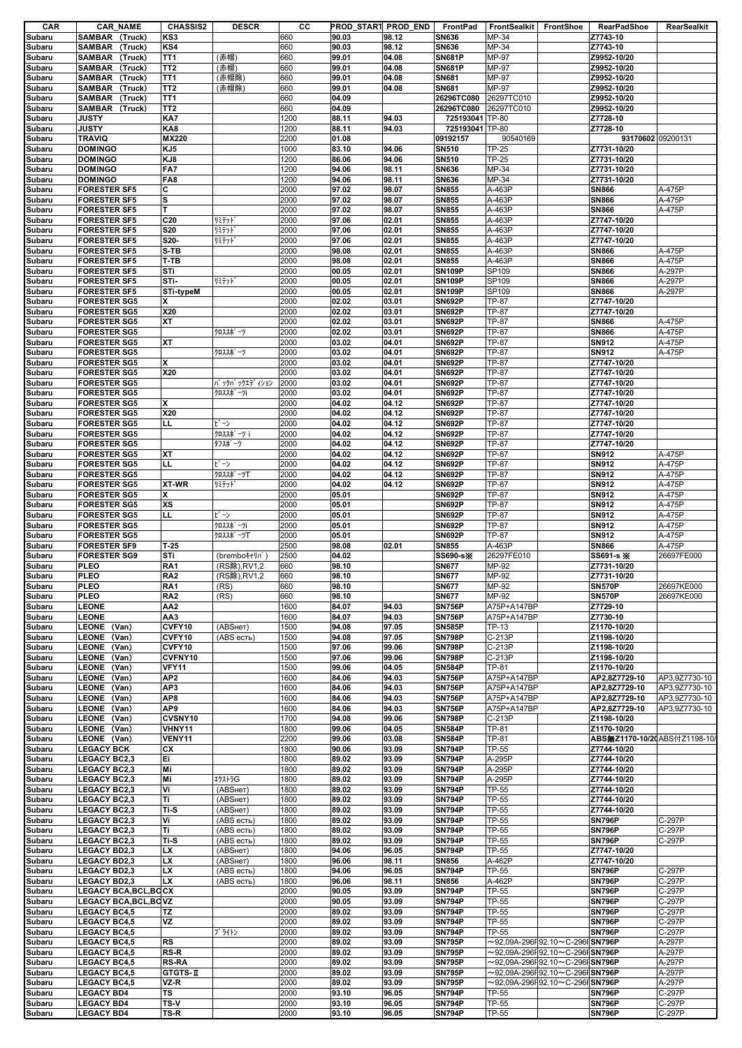| CAR              | <b>CAR_NAME</b>                            | <b>CHASSIS2</b>        | <b>DESCR</b>                      | CС           |                | PROD_START PROD_END | FrontPad                       | <b>FrontSealkit</b>          | FrontShoe                                                                                    | RearPadShoe                    | RearSealkit                    |
|------------------|--------------------------------------------|------------------------|-----------------------------------|--------------|----------------|---------------------|--------------------------------|------------------------------|----------------------------------------------------------------------------------------------|--------------------------------|--------------------------------|
| Subaru           | SAMBAR (Truck)                             | KS3                    |                                   | 660          | 90.03          | 98.12               | <b>SN636</b>                   | MP-34                        |                                                                                              | Z7743-10                       |                                |
| Subaru           | SAMBAR (Truck)                             | KS4                    |                                   | 660<br>660   | 90.03          | 98.12               | <b>SN636</b><br><b>SN681P</b>  | MP-34<br>MP-97               |                                                                                              | Z7743-10<br>Z9952-10/20        |                                |
| Subaru           | SAMBAR<br>(Truck)<br>SAMBAR<br>(Truck)     | TT1<br>TT <sub>2</sub> | (赤帽)<br>(赤帽)                      | 660          | 99.01<br>99.01 | 04.08<br>04.08      | <b>SN681P</b>                  | MP-97                        |                                                                                              | Z9952-10/20                    |                                |
| Subaru<br>Subaru | SAMBAR (Truck)                             | TT1                    | (赤帽除)                             | 660          | 99.01          | 04.08               | <b>SN681</b>                   | MP-97                        |                                                                                              | Z9952-10/20                    |                                |
| Subaru           | SAMBAR<br>(Truck)                          | TT <sub>2</sub>        | (赤帽除)                             | 660          | 99.01          | 04.08               | <b>SN681</b>                   | MP-97                        |                                                                                              | Z9952-10/20                    |                                |
| Subaru           | SAMBAR (Truck)                             | TT <sub>1</sub>        |                                   | 660          | 04.09          |                     | 26296TC080                     | 26297TC010                   |                                                                                              | Z9952-10/20                    |                                |
| Subaru           | SAMBAR (Truck)                             | TT <sub>2</sub>        |                                   | 660          | 04.09          |                     | 26296TC080                     | 26297TC010                   |                                                                                              | Z9952-10/20                    |                                |
| Subaru           | <b>JUSTY</b>                               | KA7                    |                                   | 1200         | 88.11          | 94.03               | 725193041 TP-80                |                              |                                                                                              | Z7728-10                       |                                |
| Subaru           | <b>JUSTY</b>                               | KA8                    |                                   | 1200         | 88.11          | 94.03               | 725193041 TP-80                |                              |                                                                                              | Z7728-10                       |                                |
| Subaru           | <b>TRAVIQ</b>                              | MX220                  |                                   | 2200         | 01.08          |                     | 09192157                       | 90540169                     |                                                                                              | 93170602 09200131              |                                |
| Subaru           | <b>DOMINGO</b>                             | KJ5                    |                                   | 1000         | 83.10          | 94.06               | <b>SN510</b>                   | <b>TP-25</b>                 |                                                                                              | Z7731-10/20                    |                                |
| Subaru           | <b>DOMINGO</b>                             | KJ8                    |                                   | 1200         | 86.06          | 94.06               | <b>SN510</b>                   | <b>TP-25</b>                 |                                                                                              | Z7731-10/20                    |                                |
| Subaru           | <b>DOMINGO</b><br><b>DOMINGO</b>           | FA7<br>FA8             |                                   | 1200<br>1200 | 94.06<br>94.06 | 98.11<br>98.11      | <b>SN636</b>                   | MP-34<br>MP-34               |                                                                                              | Z7731-10/20<br>Z7731-10/20     |                                |
| Subaru<br>Subaru | <b>FORESTER SF5</b>                        | C                      |                                   | 2000         | 97.02          | 98.07               | <b>SN636</b><br><b>SN855</b>   | A-463P                       |                                                                                              | <b>SN866</b>                   | A-475P                         |
| Subaru           | <b>FORESTER SF5</b>                        | S                      |                                   | 2000         | 97.02          | 98.07               | <b>SN855</b>                   | A-463P                       |                                                                                              | <b>SN866</b>                   | A-475P                         |
| Subaru           | <b>FORESTER SF5</b>                        | T                      |                                   | 2000         | 97.02          | 98.07               | <b>SN855</b>                   | A-463P                       |                                                                                              | <b>SN866</b>                   | A-475P                         |
| Subaru           | <b>FORESTER SF5</b>                        | C <sub>20</sub>        | リミテット                             | 2000         | 97.06          | 02.01               | <b>SN855</b>                   | A-463P                       |                                                                                              | Z7747-10/20                    |                                |
| Subaru           | <b>FORESTER SF5</b>                        | <b>S20</b>             | リミテット                             | 2000         | 97.06          | 02.01               | <b>SN855</b>                   | A-463P                       |                                                                                              | Z7747-10/20                    |                                |
| Subaru           | <b>FORESTER SF5</b>                        | S20-                   | リミテット                             | 2000         | 97.06          | 02.01               | <b>SN855</b>                   | A-463P                       |                                                                                              | Z7747-10/20                    |                                |
| Subaru           | <b>FORESTER SF5</b>                        | S-TB                   |                                   | 2000         | 98.08          | 02.01               | <b>SN855</b>                   | A-463P                       |                                                                                              | <b>SN866</b>                   | A-475P                         |
| Subaru           | <b>FORESTER SF5</b>                        | T-TB                   |                                   | 2000         | 98.08          | 02.01               | <b>SN855</b>                   | A-463P                       |                                                                                              | <b>SN866</b>                   | A-475P                         |
| Subaru           | <b>FORESTER SF5</b>                        | STi                    |                                   | 2000         | 00.05          | 02.01               | <b>SN109P</b>                  | SP109                        |                                                                                              | <b>SN866</b>                   | A-297P                         |
| Subaru           | <b>FORESTER SF5</b>                        | STi-                   | リミテット                             | 2000         | 00.05          | 02.01               | <b>SN109P</b>                  | SP109                        |                                                                                              | <b>SN866</b>                   | A-297P                         |
| Subaru           | <b>FORESTER SF5</b>                        | <b>STi-typeM</b>       |                                   | 2000         | 00.05          | 02.01               | <b>SN109P</b>                  | SP109                        |                                                                                              | <b>SN866</b>                   | A-297P                         |
| Subaru<br>Subaru | <b>FORESTER SG5</b><br><b>FORESTER SG5</b> | x<br>X20               |                                   | 2000<br>2000 | 02.02<br>02.02 | 03.01<br>03.01      | <b>SN692P</b><br><b>SN692P</b> | <b>TP-87</b><br><b>TP-87</b> |                                                                                              | Z7747-10/20<br>Z7747-10/20     |                                |
| Subaru           | <b>FORESTER SG5</b>                        | <b>XT</b>              |                                   | 2000         | 02.02          | 03.01               | <b>SN692P</b>                  | <b>TP-87</b>                 |                                                                                              | <b>SN866</b>                   | A-475P                         |
| Subaru           | <b>FORESTER SG5</b>                        |                        | クロススポ ーツ                          | 2000         | 02.02          | 03.01               | <b>SN692P</b>                  | <b>TP-87</b>                 |                                                                                              | <b>SN866</b>                   | A-475P                         |
| Subaru           | <b>FORESTER SG5</b>                        | ΧT                     |                                   | 2000         | 03.02          | 04.01               | <b>SN692P</b>                  | <b>TP-87</b>                 |                                                                                              | SN912                          | A-475P                         |
| Subaru           | <b>FORESTER SG5</b>                        |                        | クロススポ゜ーツ                          | 2000         | 03.02          | 04.01               | <b>SN692P</b>                  | <b>TP-87</b>                 |                                                                                              | SN912                          | A-475P                         |
| Subaru           | <b>FORESTER SG5</b>                        | x                      |                                   | 2000         | 03.02          | 04.01               | <b>SN692P</b>                  | TP-87                        |                                                                                              | Z7747-10/20                    |                                |
| Subaru           | <b>FORESTER SG5</b>                        | X20                    |                                   | 2000         | 03.02          | 04.01               | <b>SN692P</b>                  | <b>TP-87</b>                 |                                                                                              | Z7747-10/20                    |                                |
| Subaru           | <b>FORESTER SG5</b>                        |                        | バ ックパ ックエデ イション                   | 2000         | 03.02          | 04.01               | <b>SN692P</b>                  | <b>TP-87</b>                 |                                                                                              | Z7747-10/20                    |                                |
| Subaru           | <b>FORESTER SG5</b>                        |                        | クロススポ <sup>®</sup> ーツi            | 2000         | 03.02          | 04.01               | <b>SN692P</b>                  | <b>TP-87</b>                 |                                                                                              | Z7747-10/20                    |                                |
| Subaru           | <b>FORESTER SG5</b>                        | x                      |                                   | 2000         | 04.02          | 04.12               | <b>SN692P</b>                  | <b>TP-87</b>                 |                                                                                              | Z7747-10/20                    |                                |
| Subaru           | <b>FORESTER SG5</b>                        | X20                    |                                   | 2000         | 04.02          | 04.12               | <b>SN692P</b>                  | TP-87                        |                                                                                              | Z7747-10/20                    |                                |
| Subaru           | <b>FORESTER SG5</b>                        | LL                     | ビン                                | 2000         | 04.02          | 04.12               | <b>SN692P</b>                  | <b>TP-87</b>                 |                                                                                              | Z7747-10/20                    |                                |
| Subaru           | <b>FORESTER SG5</b><br><b>FORESTER SG5</b> |                        | クロススポ <sup>°</sup> ーツ i<br>タフスポーツ | 2000<br>2000 | 04.02<br>04.02 | 04.12<br>04.12      | <b>SN692P</b><br><b>SN692P</b> | <b>TP-87</b><br><b>TP-87</b> |                                                                                              | Z7747-10/20<br>Z7747-10/20     |                                |
| Subaru<br>Subaru | <b>FORESTER SG5</b>                        | ХT                     |                                   | 2000         | 04.02          | 04.12               | <b>SN692P</b>                  | <b>TP-87</b>                 |                                                                                              | SN912                          | A-475P                         |
| Subaru           | <b>FORESTER SG5</b>                        | LL                     | ビーン                               | 2000         | 04.02          | 04.12               | <b>SN692P</b>                  | <b>TP-87</b>                 |                                                                                              | SN912                          | A-475P                         |
| Subaru           | <b>FORESTER SG5</b>                        |                        | クロススポ ーツ丁                         | 2000         | 04.02          | 04.12               | <b>SN692P</b>                  | TP-87                        |                                                                                              | SN912                          | A-475P                         |
| Subaru           | <b>FORESTER SG5</b>                        | XT-WR                  | リミテット                             | 2000         | 04.02          | 04.12               | <b>SN692P</b>                  | <b>TP-87</b>                 |                                                                                              | SN912                          | A-475P                         |
| Subaru           | <b>FORESTER SG5</b>                        | x                      |                                   | 2000         | 05.01          |                     | <b>SN692P</b>                  | <b>TP-87</b>                 |                                                                                              | SN912                          | A-475P                         |
| Subaru           | <b>FORESTER SG5</b>                        | XS                     |                                   | 2000         | 05.01          |                     | <b>SN692P</b>                  | TP-87                        |                                                                                              | SN912                          | A-475P                         |
| Subaru           | <b>FORESTER SG5</b>                        | ᄔ                      | ピーン                               | 2000         | 05.01          |                     | <b>SN692P</b>                  | <b>TP-87</b>                 |                                                                                              | SN912                          | A-475P                         |
| Subaru           | <b>FORESTER SG5</b>                        |                        | クロススポ <sup>°</sup> ーツi            | 2000         | 05.01          |                     | <b>SN692P</b>                  | <b>TP-87</b>                 |                                                                                              | SN912                          | A-475P                         |
| Subaru           | <b>FORESTER SG5</b>                        |                        | クロススポ <sup>°</sup> ーツT            | 2000         | 05.01          |                     | <b>SN692P</b>                  | <b>TP-87</b>                 |                                                                                              | SN912                          | A-475P                         |
| Subaru           | <b>FORESTER SF9</b>                        | $T-25$                 |                                   | 2500         | 98.08          | 02.01               | <b>SN855</b>                   | A-463P                       |                                                                                              | <b>SN866</b>                   | A-475P                         |
| Subaru           | <b>FORESTER SG9</b>                        | STi                    | (brembo++Jn°                      | 2500         | 04.02          |                     | SS690-s※                       | 26297FE010                   |                                                                                              | SS691-s ※                      | 26697FE000                     |
| Subaru           | <b>PLEO</b>                                | RA1                    | (RS除), RV1, 2                     | 660          | 98.10          |                     | <b>SN677</b>                   | MP-92                        |                                                                                              | Z7731-10/20                    |                                |
| Subaru<br>Subaru | <b>PLEO</b><br><b>PLEO</b>                 | RA <sub>2</sub><br>RA1 | (RS除), RV1, 2<br>(RS)             | 660<br>660   | 98.10<br>98.10 |                     | <b>SN677</b><br><b>SN677</b>   | MP-92<br>MP-92               |                                                                                              | Z7731-10/20<br><b>SN570P</b>   | 26697KE000                     |
| Subaru           | <b>PLEO</b>                                | RA <sub>2</sub>        | (RS)                              | 660          | 98.10          |                     | <b>SN677</b>                   | MP-92                        |                                                                                              | <b>SN570P</b>                  | 26697KE000                     |
| Subaru           | <b>LEONE</b>                               | AA <sub>2</sub>        |                                   | 1600         | 84.07          | 94.03               | <b>SN756P</b>                  | A75P+A147BP                  |                                                                                              | Z7729-10                       |                                |
| Subaru           | <b>LEONE</b>                               | AA3                    |                                   | 1600         | 84.07          | 94.03               | <b>SN756P</b>                  | A75P+A147BP                  |                                                                                              | Z7730-10                       |                                |
| Subaru           | LEONE (Van)                                | CVFY10                 | (ABSHeT)                          | 1500         | 94.08          | 97.05               | <b>SN585P</b>                  | TP-13                        |                                                                                              | Z1170-10/20                    |                                |
| Subaru           | LEONE (Van)                                | CVFY10                 | (ABS есть)                        | 1500         | 94.08          | 97.05               | <b>SN798P</b>                  | C-213P                       |                                                                                              | Z1198-10/20                    |                                |
| Subaru           | LEONE (Van)                                | CVFY10                 |                                   | 1500         | 97.06          | 99.06               | <b>SN798P</b>                  | C-213P                       |                                                                                              | Z1198-10/20                    |                                |
| Subaru           | LEONE (Van)                                | CVFNY10                |                                   | 1500         | 97.06          | 99.06               | <b>SN798P</b>                  | C-213P                       |                                                                                              | Z1198-10/20                    |                                |
| Subaru           | LEONE (Van)                                | <b>VFY11</b>           |                                   | 1500         | 99.06          | 04.05               | <b>SN584P</b>                  | TP-81                        |                                                                                              | Z1170-10/20                    |                                |
| Subaru           | LEONE (Van)                                | AP <sub>2</sub>        |                                   | 1600         | 84.06          | 94.03               | <b>SN756P</b>                  | A75P+A147BP                  |                                                                                              | AP2,8Z7729-10                  | AP3,9Z7730-10                  |
| Subaru           | LEONE (Van)<br>LEONE (Van)                 | AP3                    |                                   | 1600         | 84.06          | 94.03               | <b>SN756P</b>                  | A75P+A147BP                  |                                                                                              | AP2,8Z7729-10                  | AP3,9Z7730-10<br>AP3,9Z7730-10 |
| Subaru<br>Subaru | LEONE (Van)                                | AP8<br>AP9             |                                   | 1600<br>1600 | 84.06<br>84.06 | 94.03<br>94.03      | <b>SN756P</b><br><b>SN756P</b> | A75P+A147BP<br>A75P+A147BP   |                                                                                              | AP2,8Z7729-10<br>AP2.8Z7729-10 | AP3,9Z7730-10                  |
| Subaru           | LEONE (Van)                                | CVSNY10                |                                   | 1700         | 94.08          | 99.06               | <b>SN798P</b>                  | C-213P                       |                                                                                              | Z1198-10/20                    |                                |
| Subaru           | LEONE (Van)                                | VHNY11                 |                                   | 1800         | 99.06          | 04.05               | <b>SN584P</b>                  | TP-81                        |                                                                                              | Z1170-10/20                    |                                |
| Subaru           | LEONE (Van)                                | VENY11                 |                                   | 2200         | 99.06          | 03.08               | <b>SN584P</b>                  | TP-81                        |                                                                                              | ABS無Z1170-10/2(ABS付Z1198-10)   |                                |
| Subaru           | <b>LEGACY BCK</b>                          | СX                     |                                   | 1800         | 90.06          | 93.09               | <b>SN794P</b>                  | <b>TP-55</b>                 |                                                                                              | Z7744-10/20                    |                                |
| Subaru           | <b>LEGACY BC2,3</b>                        | Ei                     |                                   | 1800         | 89.02          | 93.09               | <b>SN794P</b>                  | A-295P                       |                                                                                              | Z7744-10/20                    |                                |
| Subaru           | <b>LEGACY BC2,3</b>                        | Mi                     |                                   | 1800         | 89.02          | 93.09               | <b>SN794P</b>                  | A-295P                       |                                                                                              | Z7744-10/20                    |                                |
| Subaru           | <b>LEGACY BC2,3</b>                        | Mi                     | エクストラG                            | 1800         | 89.02          | 93.09               | <b>SN794P</b>                  | A-295P                       |                                                                                              | Z7744-10/20                    |                                |
| Subaru           | <b>LEGACY BC2,3</b>                        | Vi                     | (ABSHeT)                          | 1800         | 89.02          | 93.09               | <b>SN794P</b>                  | <b>TP-55</b>                 |                                                                                              | Z7744-10/20                    |                                |
| Subaru           | <b>LEGACY BC2,3</b>                        | Τi                     | (ABSHeT)                          | 1800         | 89.02          | 93.09               | <b>SN794P</b>                  | <b>TP-55</b>                 |                                                                                              | Z7744-10/20                    |                                |
| Subaru<br>Subaru | <b>LEGACY BC2,3</b><br><b>LEGACY BC2,3</b> | Ti-S<br>Vi             | (ABSHeT)<br>(ABS есть)            | 1800<br>1800 | 89.02<br>89.02 | 93.09<br>93.09      | <b>SN794P</b><br><b>SN794P</b> | <b>TP-55</b><br><b>TP-55</b> |                                                                                              | Z7744-10/20<br><b>SN796P</b>   | C-297P                         |
| Subaru           | <b>LEGACY BC2,3</b>                        | Τi                     | (ABS есть)                        | 1800         | 89.02          | 93.09               | <b>SN794P</b>                  | <b>TP-55</b>                 |                                                                                              | <b>SN796P</b>                  | C-297P                         |
| Subaru           | <b>LEGACY BC2,3</b>                        | Ti-S                   | (ABS есть)                        | 1800         | 89.02          | 93.09               | <b>SN794P</b>                  | <b>TP-55</b>                 |                                                                                              | <b>SN796P</b>                  | C-297P                         |
| Subaru           | <b>LEGACY BD2,3</b>                        | LX                     | (ABSHeT)                          | 1800         | 94.06          | 96.05               | <b>SN794P</b>                  | <b>TP-55</b>                 |                                                                                              | Z7747-10/20                    |                                |
| Subaru           | <b>LEGACY BD2,3</b>                        | LX                     | (ABSHeT)                          | 1800         | 96.06          | 98.11               | <b>SN856</b>                   | A-462P                       |                                                                                              | Z7747-10/20                    |                                |
| Subaru           | <b>LEGACY BD2,3</b>                        | LX                     | (ABS есть)                        | 1800         | 94.06          | 96.05               | <b>SN794P</b>                  | TP-55                        |                                                                                              | <b>SN796P</b>                  | C-297P                         |
| Subaru           | <b>LEGACY BD2,3</b>                        | LX                     | (ABS есть)                        | 1800         | 96.06          | 98.11               | <b>SN856</b>                   | A-462P                       |                                                                                              | <b>SN796P</b>                  | C-297P                         |
| Subaru           | LEGACY BCA, BCL, BCCX                      |                        |                                   | 2000         | 90.05          | 93.09               | <b>SN794P</b>                  | <b>TP-55</b>                 |                                                                                              | <b>SN796P</b>                  | C-297P                         |
| Subaru           | <b>LEGACY BCA, BCL, BCVZ</b>               |                        |                                   | 2000         | 90.05          | 93.09               | <b>SN794P</b>                  | <b>TP-55</b>                 |                                                                                              | <b>SN796P</b>                  | C-297P                         |
| Subaru           | <b>LEGACY BC4,5</b>                        | TZ                     |                                   | 2000         | 89.02          | 93.09               | <b>SN794P</b>                  | TP-55                        |                                                                                              | <b>SN796P</b>                  | C-297P                         |
| Subaru           | <b>LEGACY BC4,5</b>                        | VZ                     |                                   | 2000         | 89.02          | 93.09               | <b>SN794P</b>                  | TP-55                        |                                                                                              | <b>SN796P</b>                  | C-297P                         |
| Subaru           | <b>LEGACY BC4,5</b>                        |                        | ブ ライトン                            | 2000         | 89.02          | 93.09               | <b>SN794P</b>                  | TP-55                        |                                                                                              | <b>SN796P</b>                  | C-297P                         |
| Subaru           | <b>LEGACY BC4,5</b>                        | <b>RS</b>              |                                   | 2000         | 89.02          | 93.09               | <b>SN795P</b>                  |                              | $\sim$ 92,09A-296F92.10 $\sim$ C-296FSN796P                                                  |                                | A-297P                         |
| Subaru           | <b>LEGACY BC4,5</b>                        | RS-R<br>RS-RA          |                                   | 2000<br>2000 | 89.02<br>89.02 | 93.09<br>93.09      | <b>SN795P</b><br><b>SN795P</b> |                              | $\sim$ 92,09A-296F92.10 $\sim$ C-296FSN796P                                                  |                                | A-297P                         |
| Subaru<br>Subaru | <b>LEGACY BC4,5</b><br><b>LEGACY BC4,5</b> | <b>GTGTS-II</b>        |                                   | 2000         | 89.02          | 93.09               | <b>SN795P</b>                  |                              | $\sim$ 92,09A-296F92.10 $\sim$ C-296FSN796P<br>$\sim$ 92,09A-296F 92.10 $\sim$ C-296F SN796P |                                | A-297P<br>A-297P               |
| Subaru           | <b>LEGACY BC4,5</b>                        | VZ-R                   |                                   | 2000         | 89.02          | 93.09               | <b>SN795P</b>                  |                              | $\sim$ 92,09A-296F 92.10 $\sim$ C-296F SN796P                                                |                                | A-297P                         |
| Subaru           | <b>LEGACY BD4</b>                          | TS                     |                                   | 2000         | 93.10          | 96.05               | <b>SN794P</b>                  | TP-55                        |                                                                                              | <b>SN796P</b>                  | C-297P                         |
| Subaru           | <b>LEGACY BD4</b>                          | TS-V                   |                                   | 2000         | 93.10          | 96.05               | <b>SN794P</b>                  | <b>TP-55</b>                 |                                                                                              | <b>SN796P</b>                  | C-297P                         |
| Subaru           | <b>LEGACY BD4</b>                          | TS-R                   |                                   | 2000         | 93.10          | 96.05               | <b>SN794P</b>                  | <b>TP-55</b>                 |                                                                                              | <b>SN796P</b>                  | C-297P                         |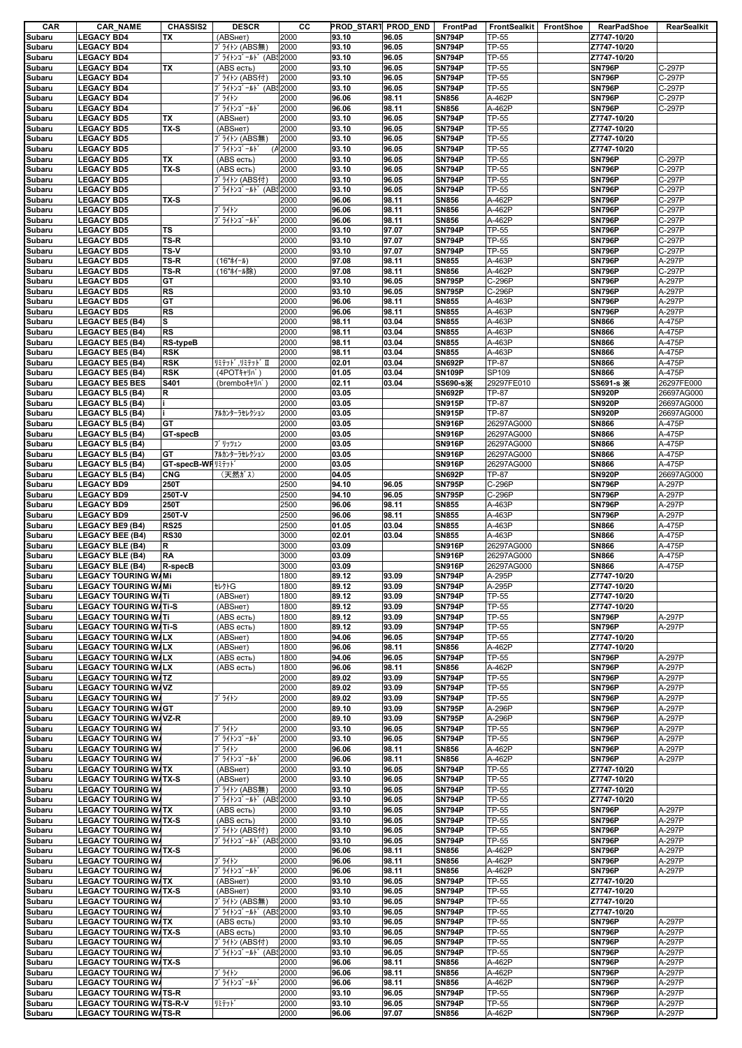| CAR              | <b>CAR_NAME</b>                                      | <b>CHASSIS2</b>    | <b>DESCR</b>                                           | cс           | PROD_START PROD_END |                | FrontPad                       | FrontSealkit                 | FrontShoe | <b>RearPadShoe</b>             | RearSealkit              |
|------------------|------------------------------------------------------|--------------------|--------------------------------------------------------|--------------|---------------------|----------------|--------------------------------|------------------------------|-----------|--------------------------------|--------------------------|
| Subaru           | <b>LEGACY BD4</b>                                    | ТX                 | (ABSHeT)                                               | 2000         | 93.10               | 96.05          | <b>SN794P</b>                  | <b>TP-55</b>                 |           | Z7747-10/20                    |                          |
| Subaru           | <b>LEGACY BD4</b>                                    |                    | ブ ライトン (ABS無)                                          | 2000         | 93.10               | 96.05          | <b>SN794P</b>                  | <b>TP-55</b>                 |           | Z7747-10/20                    |                          |
| Subaru           | <b>LEGACY BD4</b>                                    |                    | ブ ライトンゴ ールト (AB 2000                                   |              | 93.10               | 96.05          | <b>SN794P</b>                  | <b>TP-55</b>                 |           | Z7747-10/20                    |                          |
| Subaru           | <b>LEGACY BD4</b>                                    | TX                 | (ABS есть)                                             | 2000         | 93.10<br>93.10      | 96.05          | <b>SN794P</b>                  | <b>TP-55</b>                 |           | <b>SN796P</b>                  | C-297P                   |
| Subaru<br>Subaru | <b>LEGACY BD4</b>                                    |                    | ブライトン (ABS付)<br>ブ ライトンゴ ールト (AB 2000                   | 2000         | 93.10               | 96.05<br>96.05 | <b>SN794P</b><br><b>SN794P</b> | <b>TP-55</b><br><b>TP-55</b> |           | <b>SN796P</b><br><b>SN796P</b> | C-297P<br>C-297P         |
| Subaru           | <b>LEGACY BD4</b><br><b>LEGACY BD4</b>               |                    | ブライトン                                                  | 2000         | 96.06               | 98.11          | <b>SN856</b>                   | A-462P                       |           | <b>SN796P</b>                  | C-297P                   |
| Subaru           | <b>LEGACY BD4</b>                                    |                    | ブ ライトンゴ ールト                                            | 2000         | 96.06               | 98.11          | <b>SN856</b>                   | A-462P                       |           | <b>SN796P</b>                  | C-297P                   |
| Subaru           | <b>LEGACY BD5</b>                                    | <b>TX</b>          | (ABSHeT)                                               | 2000         | 93.10               | 96.05          | <b>SN794P</b>                  | <b>TP-55</b>                 |           | Z7747-10/20                    |                          |
| Subaru           | <b>LEGACY BD5</b>                                    | TX-S               | (АВSнет)                                               | 2000         | 93.10               | 96.05          | <b>SN794P</b>                  | <b>TP-55</b>                 |           | Z7747-10/20                    |                          |
| Subaru           | <b>LEGACY BD5</b>                                    |                    | ブ ライトン (ABS無)                                          | 2000         | 93.10               | 96.05          | <b>SN794P</b>                  | <b>TP-55</b>                 |           | Z7747-10/20                    |                          |
| Subaru           | <b>LEGACY BD5</b>                                    |                    | ブライトンゴールド                                              | (A 2000      | 93.10               | 96.05          | <b>SN794P</b>                  | <b>TP-55</b>                 |           | Z7747-10/20                    |                          |
| Subaru           | <b>LEGACY BD5</b>                                    | TX                 | (ABS есть)                                             | 2000         | 93.10               | 96.05          | <b>SN794P</b>                  | <b>TP-55</b>                 |           | <b>SN796P</b>                  | C-297P                   |
| Subaru           | <b>LEGACY BD5</b>                                    | TX-S               | (ABS есть)                                             | 2000         | 93.10               | 96.05          | <b>SN794P</b>                  | <b>TP-55</b>                 |           | <b>SN796P</b>                  | C-297P                   |
| Subaru           | <b>LEGACY BD5</b>                                    |                    | ブ ライトン (ABS付)                                          | 2000         | 93.10               | 96.05          | <b>SN794P</b>                  | <b>TP-55</b>                 |           | <b>SN796P</b>                  | C-297P                   |
| Subaru           | <b>LEGACY BD5</b>                                    |                    | ブライトンゴールド (AB 2000                                     |              | 93.10               | 96.05          | <b>SN794P</b>                  | <b>TP-55</b>                 |           | <b>SN796P</b>                  | C-297P                   |
| Subaru           | <b>LEGACY BD5</b>                                    | TX-S               |                                                        | 2000         | 96.06               | 98.11          | <b>SN856</b>                   | A-462P                       |           | <b>SN796P</b>                  | C-297P                   |
| Subaru           | <b>LEGACY BD5</b>                                    |                    | ブライトン                                                  | 2000         | 96.06               | 98.11          | <b>SN856</b>                   | A-462P                       |           | <b>SN796P</b>                  | C-297P                   |
| Subaru           | <b>LEGACY BD5</b>                                    |                    | ブライトンゴールド                                              | 2000         | 96.06               | 98.11          | <b>SN856</b>                   | A-462P                       |           | <b>SN796P</b>                  | C-297P                   |
| Subaru           | <b>LEGACY BD5</b>                                    | <b>TS</b>          |                                                        | 2000         | 93.10               | 97.07          | <b>SN794P</b>                  | <b>TP-55</b>                 |           | <b>SN796P</b>                  | C-297P                   |
| Subaru           | <b>LEGACY BD5</b>                                    | TS-R               |                                                        | 2000         | 93.10               | 97.07          | <b>SN794P</b>                  | TP-55                        |           | <b>SN796P</b>                  | $\overline{C-2}97P$      |
| Subaru           | <b>LEGACY BD5</b>                                    | TS-V               |                                                        | 2000         | 93.10               | 97.07          | <b>SN794P</b>                  | <b>TP-55</b>                 |           | <b>SN796P</b>                  | C-297P                   |
| Subaru           | <b>LEGACY BD5</b>                                    | TS-R               | (16"ホイール)                                              | 2000         | 97.08               | 98.11          | <b>SN855</b>                   | A-463P                       |           | <b>SN796P</b>                  | A-297P                   |
| Subaru           | <b>LEGACY BD5</b>                                    | TS-R               | (16"ホイール除)                                             | 2000         | 97.08               | 98.11          | <b>SN856</b>                   | A-462P                       |           | <b>SN796P</b>                  | C-297P                   |
| Subaru           | <b>LEGACY BD5</b>                                    | GT                 |                                                        | 2000         | 93.10               | 96.05          | <b>SN795P</b>                  | C-296P                       |           | <b>SN796P</b>                  | A-297P                   |
| Subaru           | <b>LEGACY BD5</b>                                    | <b>RS</b>          |                                                        | 2000         | 93.10               | 96.05          | <b>SN795P</b>                  | C-296P                       |           | <b>SN796P</b>                  | A-297P                   |
| Subaru           | <b>LEGACY BD5</b>                                    | GT                 |                                                        | 2000         | 96.06               | 98.11          | <b>SN855</b>                   | A-463P                       |           | <b>SN796P</b>                  | A-297P                   |
| Subaru           | <b>LEGACY BD5</b>                                    | <b>RS</b>          |                                                        | 2000         | 96.06               | 98.11          | <b>SN855</b>                   | A-463P                       |           | <b>SN796P</b>                  | A-297P                   |
| Subaru           | <b>LEGACY BE5 (B4)</b>                               | S<br><b>RS</b>     |                                                        | 2000         | 98.11               | 03.04          | <b>SN855</b>                   | A-463P                       |           | <b>SN866</b>                   | A-475P<br>A-475P         |
| Subaru           | <b>LEGACY BE5 (B4)</b>                               |                    |                                                        | 2000         | 98.11               | 03.04          | <b>SN855</b>                   | A-463P                       |           | <b>SN866</b>                   |                          |
| Subaru           | <b>LEGACY BE5 (B4)</b>                               | <b>RS-typeB</b>    |                                                        | 2000         | 98.11               | 03.04          | <b>SN855</b>                   | A-463P                       |           | <b>SN866</b>                   | A-475P                   |
| Subaru           | <b>LEGACY BE5 (B4)</b>                               | <b>RSK</b>         |                                                        | 2000         | 98.11               | 03.04          | <b>SN855</b>                   | A-463P<br><b>TP-87</b>       |           | <b>SN866</b>                   | A-475P<br>A-475P         |
| Subaru           | <b>LEGACY BE5 (B4)</b>                               | <b>RSK</b>         | リミテット <sup>*</sup> ,リミテット <sup>*</sup> Ⅱ<br>(4POTキャリパ) | 2000         | 02.01               | 03.04          | <b>SN692P</b>                  |                              |           | <b>SN866</b>                   |                          |
| Subaru           | <b>LEGACY BE5 (B4)</b>                               | <b>RSK</b><br>S401 |                                                        | 2000         | 01.05               | 03.04<br>03.04 | <b>SN109P</b>                  | SP109<br>29297FE010          |           | <b>SN866</b>                   | A-475P                   |
| Subaru           | <b>LEGACY BE5 BES</b>                                |                    | (brembo#rl)n°                                          | 2000<br>2000 | 02.11<br>03.05      |                | SS690-s※<br><b>SN692P</b>      | <b>TP-87</b>                 |           | SS691-s *<br><b>SN920P</b>     | 26297FE000<br>26697AG000 |
| Subaru<br>Subaru | <b>LEGACY BL5 (B4)</b><br><b>LEGACY BL5 (B4)</b>     | R                  |                                                        | 2000         | 03.05               |                | <b>SN915P</b>                  | <b>TP-87</b>                 |           | <b>SN920P</b>                  | 26697AG000               |
| Subaru           | <b>LEGACY BL5 (B4)</b>                               |                    | アルカンターラセレクション                                          | 2000         | 03.05               |                | <b>SN915P</b>                  | <b>TP-87</b>                 |           | <b>SN920P</b>                  | 26697AG000               |
| Subaru           | <b>LEGACY BL5 (B4)</b>                               | GT                 |                                                        | 2000         | 03.05               |                | <b>SN916P</b>                  | 26297AG000                   |           | <b>SN866</b>                   | A-475P                   |
| Subaru           | <b>LEGACY BL5 (B4)</b>                               | GT-specB           |                                                        | 2000         | 03.05               |                | <b>SN916P</b>                  | 26297AG000                   |           | <b>SN866</b>                   | A-475P                   |
| Subaru           | <b>LEGACY BL5 (B4)</b>                               |                    | ブリッツェン                                                 | 2000         | 03.05               |                | <b>SN916P</b>                  | 26297AG000                   |           | <b>SN866</b>                   | A-475P                   |
| Subaru           | <b>LEGACY BL5 (B4)</b>                               | GT                 | アルカンターラセレクション                                          | 2000         | 03.05               |                | <b>SN916P</b>                  | 26297AG000                   |           | <b>SN866</b>                   | A-475P                   |
| Subaru           | <b>LEGACY BL5 (B4)</b>                               | GT-specB-WI リミテット  |                                                        | 2000         | 03.05               |                | <b>SN916P</b>                  | 26297AG000                   |           | <b>SN866</b>                   | A-475P                   |
| Subaru           | <b>LEGACY BL5 (B4)</b>                               | <b>CNG</b>         | (天然ガス)                                                 | 2000         | 04.05               |                | <b>SN692P</b>                  | <b>TP-87</b>                 |           | <b>SN920P</b>                  | 26697AG000               |
| Subaru           | <b>LEGACY BD9</b>                                    | 250T               |                                                        | 2500         | 94.10               | 96.05          | <b>SN795P</b>                  | C-296P                       |           | <b>SN796P</b>                  | A-297P                   |
| Subaru           | <b>LEGACY BD9</b>                                    | 250T-V             |                                                        | 2500         | 94.10               | 96.05          | <b>SN795P</b>                  | C-296P                       |           | <b>SN796P</b>                  | A-297P                   |
| Subaru           | <b>LEGACY BD9</b>                                    | 250T               |                                                        | 2500         | 96.06               | 98.11          | <b>SN855</b>                   | A-463P                       |           | <b>SN796P</b>                  | A-297P                   |
| Subaru           | <b>LEGACY BD9</b>                                    | 250T-V             |                                                        | 2500         | 96.06               | 98.11          | <b>SN855</b>                   | A-463P                       |           | <b>SN796P</b>                  | A-297P                   |
| Subaru           | <b>LEGACY BE9 (B4)</b>                               | <b>RS25</b>        |                                                        | 2500         | 01.05               | 03.04          | <b>SN855</b>                   | A-463P                       |           | <b>SN866</b>                   | A-475P                   |
| Subaru           | <b>LEGACY BEE (B4)</b>                               | <b>RS30</b>        |                                                        | 3000         | 02.01               | 03.04          | <b>SN855</b>                   | A-463P                       |           | <b>SN866</b>                   | A-475P                   |
| Subaru           | <b>LEGACY BLE (B4)</b>                               | R                  |                                                        | 3000         | 03.09               |                | <b>SN916P</b>                  | 26297AG000                   |           | <b>SN866</b>                   | A-475P                   |
| Subaru           | <b>LEGACY BLE (B4)</b>                               | <b>RA</b>          |                                                        | 3000         | 03.09               |                | <b>SN916P</b>                  | 26297AG000                   |           | <b>SN866</b>                   | A-475P                   |
| Subaru           | <b>LEGACY BLE (B4)</b>                               | R-specB            |                                                        | 3000         | 03.09               |                | <b>SN916P</b>                  | 26297AG000                   |           | <b>SN866</b>                   | A-475P                   |
| Subaru           | <b>LEGACY TOURING W/Mi</b>                           |                    |                                                        | 1800         | 89.12               | 93.09          | <b>SN794P</b>                  | A-295P                       |           | Z7747-10/20                    |                          |
| Subaru           | <b>LEGACY TOURING W/Mi</b>                           |                    | <b>t</b> レクトG                                          | 1800         | 89.12               | 93.09          | <b>SN794P</b>                  | A-295P                       |           | Z7747-10/20                    |                          |
| Subaru           | <b>LEGACY TOURING WATI</b>                           |                    | (ABSHeT)                                               | 1800         | 89.12               | 93.09          | <b>SN794P</b>                  | <b>TP-55</b>                 |           | Z7747-10/20                    |                          |
| Subaru           | <b>LEGACY TOURING WATI-S</b>                         |                    | (ABSHeT)                                               | 1800         | 89.12               | 93.09          | <b>SN794P</b>                  | <b>TP-55</b>                 |           | Z7747-10/20                    |                          |
| Subaru           | <b>LEGACY TOURING WATE</b>                           |                    | (ABS есть)                                             | 1800         | 89.12               | 93.09          | <b>SN794P</b>                  | <b>TP-55</b>                 |           | <b>SN796P</b>                  | A-297P                   |
| Subaru           | <b>LEGACY TOURING WATI-S</b>                         |                    | (ABS есть)                                             | 1800         | 89.12               | 93.09          | <b>SN794P</b>                  | <b>TP-55</b>                 |           | <b>SN796P</b>                  | A-297P                   |
| Subaru           | <b>LEGACY TOURING WALX</b>                           |                    | (ABSHeT)                                               | 1800         | 94.06               | 96.05          | <b>SN794P</b>                  | <b>TP-55</b>                 |           | Z7747-10/20                    |                          |
| Subaru           | <b>LEGACY TOURING WALX</b>                           |                    | (ABSHeT)                                               | 1800         | 96.06               | 98.11          | <b>SN856</b>                   | A-462P                       |           | Z7747-10/20                    |                          |
| Subaru           | <b>LEGACY TOURING WALX</b>                           |                    | (ABS есть)                                             | 1800         | 94.06               | 96.05          | <b>SN794P</b>                  | <b>TP-55</b>                 |           | <b>SN796P</b>                  | A-297P                   |
| Subaru           | <b>LEGACY TOURING WALX</b>                           |                    | (ABS есть)                                             | 1800         | 96.06               | 98.11          | <b>SN856</b>                   | A-462P                       |           | <b>SN796P</b>                  | A-297P                   |
| Subaru           | <b>LEGACY TOURING WATZ</b>                           |                    |                                                        | 2000         | 89.02               | 93.09          | <b>SN794P</b>                  | <b>TP-55</b>                 |           | <b>SN796P</b>                  | A-297P                   |
| Subaru           | <b>LEGACY TOURING WAVZ</b>                           |                    |                                                        | 2000         | 89.02               | 93.09          | <b>SN794P</b>                  | <b>TP-55</b>                 |           | <b>SN796P</b>                  | A-297P                   |
| Subaru           | <b>LEGACY TOURING WA</b>                             |                    | ブ ライトン                                                 | 2000         | 89.02               | 93.09          | <b>SN794P</b>                  | <b>TP-55</b>                 |           | <b>SN796P</b>                  | A-297P                   |
| Subaru           | <b>LEGACY TOURING W/GT</b>                           |                    |                                                        | 2000         | 89.10               | 93.09          | <b>SN795P</b>                  | A-296P                       |           | <b>SN796P</b>                  | A-297P                   |
| Subaru           | <b>LEGACY TOURING WAVZ-R</b>                         |                    | ブライトン                                                  | 2000         | 89.10               | 93.09          | <b>SN795P</b>                  | A-296P                       |           | <b>SN796P</b>                  | A-297P                   |
| Subaru           | <b>LEGACY TOURING WA</b><br><b>LEGACY TOURING WA</b> |                    | ブライトンゴールド                                              | 2000<br>2000 | 93.10<br>93.10      | 96.05<br>96.05 | <b>SN794P</b><br><b>SN794P</b> | <b>TP-55</b><br><b>TP-55</b> |           | <b>SN796P</b><br><b>SN796P</b> | A-297P<br>A-297P         |
| Subaru<br>Subaru | <b>LEGACY TOURING WA</b>                             |                    | ブライトン                                                  | 2000         | 96.06               | 98.11          | <b>SN856</b>                   | A-462P                       |           | <b>SN796P</b>                  | A-297P                   |
| Subaru           | <b>LEGACY TOURING WA</b>                             |                    | ブライトンゴールド                                              | 2000         | 96.06               | 98.11          | <b>SN856</b>                   | A-462P                       |           | <b>SN796P</b>                  | A-297P                   |
| Subaru           | <b>LEGACY TOURING WATX</b>                           |                    | (ABSHeT)                                               | 2000         | 93.10               | 96.05          | <b>SN794P</b>                  | <b>TP-55</b>                 |           | Z7747-10/20                    |                          |
| Subaru           | <b>LEGACY TOURING W/TX-S</b>                         |                    | (ABSHeT)                                               | 2000         | 93.10               | 96.05          | <b>SN794P</b>                  | <b>TP-55</b>                 |           | Z7747-10/20                    |                          |
| Subaru           | <b>LEGACY TOURING WA</b>                             |                    | ブ ライトン (ABS無)                                          | 2000         | 93.10               | 96.05          | <b>SN794P</b>                  | <b>TP-55</b>                 |           | Z7747-10/20                    |                          |
| Subaru           | <b>LEGACY TOURING WA</b>                             |                    | ブライトンゴールド (ABS2000                                     |              | 93.10               | 96.05          | <b>SN794P</b>                  | <b>TP-55</b>                 |           | Z7747-10/20                    |                          |
| Subaru           | <b>LEGACY TOURING WATX</b>                           |                    | (ABS есть)                                             | 2000         | 93.10               | 96.05          | <b>SN794P</b>                  | <b>TP-55</b>                 |           | <b>SN796P</b>                  | A-297P                   |
| Subaru           | <b>LEGACY TOURING W/TX-S</b>                         |                    | (ABS есть)                                             | 2000         | 93.10               | 96.05          | <b>SN794P</b>                  | <b>TP-55</b>                 |           | <b>SN796P</b>                  | A-297P                   |
| Subaru           | <b>LEGACY TOURING WA</b>                             |                    | ブライトン (ABS付)                                           | 2000         | 93.10               | 96.05          | <b>SN794P</b>                  | <b>TP-55</b>                 |           | <b>SN796P</b>                  | A-297P                   |
| Subaru           | <b>LEGACY TOURING WA</b>                             |                    | ブ ライトンゴ ールト (ABS 2000                                  |              | 93.10               | 96.05          | <b>SN794P</b>                  | <b>TP-55</b>                 |           | <b>SN796P</b>                  | A-297P                   |
| Subaru           | <b>LEGACY TOURING W/TX-S</b>                         |                    |                                                        | 2000         | 96.06               | 98.11          | <b>SN856</b>                   | A-462P                       |           | <b>SN796P</b>                  | A-297P                   |
| Subaru           | <b>LEGACY TOURING WA</b>                             |                    | ブライトン                                                  | 2000         | 96.06               | 98.11          | <b>SN856</b>                   | A-462P                       |           | <b>SN796P</b>                  | A-297P                   |
| Subaru           | <b>LEGACY TOURING WA</b>                             |                    | ブライトンゴールド                                              | 2000         | 96.06               | 98.11          | <b>SN856</b>                   | A-462P                       |           | <b>SN796P</b>                  | A-297P                   |
| Subaru           | <b>LEGACY TOURING WATX</b>                           |                    | (ABSHeT)                                               | 2000         | 93.10               | 96.05          | <b>SN794P</b>                  | <b>TP-55</b>                 |           | Z7747-10/20                    |                          |
| Subaru           | <b>LEGACY TOURING W/TX-S</b>                         |                    | (АВSнет)                                               | 2000         | 93.10               | 96.05          | <b>SN794P</b>                  | <b>TP-55</b>                 |           | Z7747-10/20                    |                          |
| Subaru           | <b>LEGACY TOURING WA</b>                             |                    | ブ ライトン (ABS無)                                          | 2000         | 93.10               | 96.05          | <b>SN794P</b>                  | <b>TP-55</b>                 |           | Z7747-10/20                    |                          |
| Subaru           | <b>LEGACY TOURING WA</b>                             |                    | ブライトンゴールド (AB 2000                                     |              | 93.10               | 96.05          | <b>SN794P</b>                  | <b>TP-55</b>                 |           | Z7747-10/20                    |                          |
| Subaru           | <b>LEGACY TOURING WATX</b>                           |                    | (ABS есть)                                             | 2000         | 93.10               | 96.05          | <b>SN794P</b>                  | <b>TP-55</b>                 |           | <b>SN796P</b>                  | A-297P                   |
| Subaru           | <b>LEGACY TOURING W/TX-S</b>                         |                    | (ABS есть)                                             | 2000         | 93.10               | 96.05          | <b>SN794P</b>                  | <b>TP-55</b>                 |           | <b>SN796P</b>                  | A-297P                   |
| Subaru           | <b>LEGACY TOURING WA</b>                             |                    | ブライトン (ABS付)                                           | 2000         | 93.10               | 96.05          | <b>SN794P</b>                  | <b>TP-55</b>                 |           | <b>SN796P</b>                  | A-297P                   |
| Subaru           | <b>LEGACY TOURING WA</b>                             |                    | ブライトンゴールド (ABS2000                                     |              | 93.10               | 96.05          | <b>SN794P</b>                  | <b>TP-55</b>                 |           | <b>SN796P</b>                  | A-297P                   |
| Subaru           | <b>LEGACY TOURING WATX-S</b>                         |                    |                                                        | 2000         | 96.06               | 98.11          | <b>SN856</b>                   | A-462P                       |           | <b>SN796P</b>                  | A-297P                   |
| Subaru           | <b>LEGACY TOURING WA</b>                             |                    | ブライトン                                                  | 2000         | 96.06               | 98.11          | <b>SN856</b>                   | A-462P                       |           | <b>SN796P</b>                  | A-297P                   |
| Subaru           | <b>LEGACY TOURING WA</b>                             |                    | ブライトンゴールド                                              | 2000         | 96.06               | 98.11          | <b>SN856</b>                   | A-462P                       |           | <b>SN796P</b>                  | A-297P                   |
| Subaru           | <b>LEGACY TOURING WATS-R</b>                         |                    |                                                        | 2000         | 93.10               | 96.05          | <b>SN794P</b>                  | <b>TP-55</b>                 |           | <b>SN796P</b>                  | A-297P                   |
| Subaru           | <b>LEGACY TOURING W/TS-R-V</b>                       |                    | リミテット゛                                                 | 2000         | 93.10               | 96.05          | <b>SN794P</b>                  | <b>TP-55</b>                 |           | <b>SN796P</b>                  | A-297P                   |
| Subaru           | <b>LEGACY TOURING W/TS-R</b>                         |                    |                                                        | 2000         | 96.06               | 97.07          | <b>SN856</b>                   | A-462P                       |           | <b>SN796P</b>                  | A-297P                   |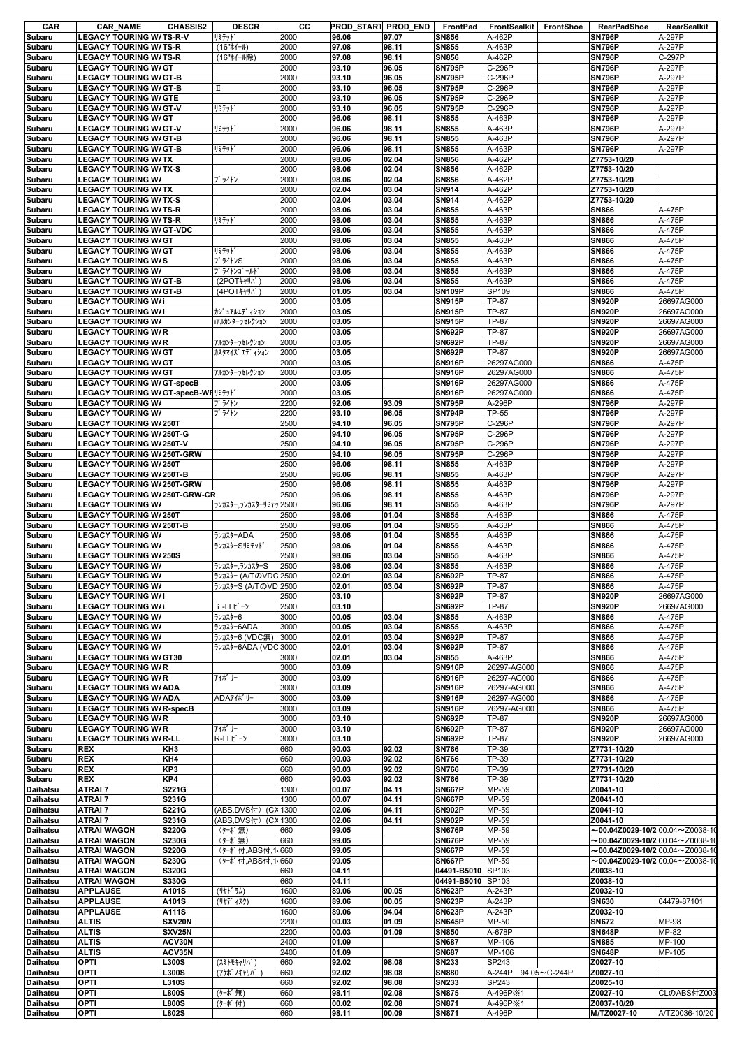| CAR             | <b>CAR NAME</b>                                            | <b>CHASSIS2</b> | <b>DESCR</b>          | CС   | PROD_START PROD_END |       | FrontPad          | <b>FrontSealkit</b>   | <b>FrontShoe</b> | <b>RearPadShoe</b>                                  | RearSealkit    |
|-----------------|------------------------------------------------------------|-----------------|-----------------------|------|---------------------|-------|-------------------|-----------------------|------------------|-----------------------------------------------------|----------------|
| Subaru          | <b>LEGACY TOURING W/TS-R-V</b>                             |                 | リミテット゛                | 2000 | 96.06               | 97.07 | <b>SN856</b>      | A-462P                |                  | <b>SN796P</b>                                       | A-297P         |
| Subaru          | <b>LEGACY TOURING W/TS-R</b>                               |                 | (16"ホイール)             | 2000 | 97.08               | 98.11 | <b>SN855</b>      | A-463P                |                  | <b>SN796P</b>                                       | A-297P         |
| Subaru          | <b>LEGACY TOURING W/TS-R</b><br><b>LEGACY TOURING WAGT</b> |                 | (16"ホイール除)            | 2000 | 97.08               | 98.11 | <b>SN856</b>      | A-462P                |                  | <b>SN796P</b>                                       | C-297P         |
| Subaru          |                                                            |                 |                       | 2000 | 93.10               | 96.05 | <b>SN795P</b>     | C-296P                |                  | <b>SN796P</b>                                       | A-297P         |
| Subaru          | <b>LEGACY TOURING WAGT-B</b>                               |                 |                       | 2000 | 93.10               | 96.05 | <b>SN795P</b>     | C-296P                |                  | <b>SN796P</b>                                       | A-297P         |
| Subaru          | <b>LEGACY TOURING W/GT-B</b>                               |                 | П                     | 2000 | 93.10               | 96.05 | <b>SN795P</b>     | C-296P                |                  | <b>SN796P</b>                                       | A-297P         |
| Subaru          | <b>LEGACY TOURING WAGTE</b>                                |                 |                       | 2000 | 93.10               | 96.05 | <b>SN795P</b>     | C-296P                |                  | <b>SN796P</b>                                       | A-297P         |
| Subaru          | <b>LEGACY TOURING W/GT-V</b>                               |                 | リミテット                 | 2000 | 93.10               | 96.05 | <b>SN795P</b>     | C-296P                |                  | <b>SN796P</b>                                       | A-297P         |
| Subaru          | <b>LEGACY TOURING WAGT</b>                                 |                 |                       | 2000 | 96.06               | 98.11 | <b>SN855</b>      | A-463P                |                  | <b>SN796P</b>                                       | A-297P         |
| Subaru          | <b>LEGACY TOURING W/GT-V</b>                               |                 | リミテット                 | 2000 | 96.06               | 98.11 | <b>SN855</b>      | A-463P                |                  | <b>SN796P</b>                                       | A-297P         |
| Subaru          | <b>LEGACY TOURING W/GT-B</b>                               |                 |                       | 2000 | 96.06               | 98.11 | <b>SN855</b>      | A-463P                |                  | <b>SN796P</b>                                       | A-297P         |
| Subaru          | <b>LEGACY TOURING W/GT-B</b>                               |                 | リミテット                 | 2000 | 96.06               | 98.11 | <b>SN855</b>      | A-463P                |                  | <b>SN796P</b>                                       | A-297P         |
| Subaru          | <b>LEGACY TOURING WATX</b>                                 |                 |                       | 2000 | 98.06               | 02.04 | <b>SN856</b>      | A-462P                |                  | Z7753-10/20                                         |                |
| Subaru          | <b>LEGACY TOURING W/TX-S</b>                               |                 |                       | 2000 | 98.06               | 02.04 | <b>SN856</b>      | A-462P                |                  | Z7753-10/20                                         |                |
| Subaru          | <b>LEGACY TOURING WA</b>                                   |                 | ブ ライトン                | 2000 | 98.06               | 02.04 | <b>SN856</b>      | A-462P                |                  | Z7753-10/20                                         |                |
| Subaru          | <b>LEGACY TOURING WATX</b>                                 |                 |                       | 2000 | 02.04               | 03.04 | SN914             | A-462P                |                  | Z7753-10/20                                         |                |
| Subaru          | <b>LEGACY TOURING W/TX-S</b>                               |                 |                       | 2000 | 02.04               | 03.04 | <b>SN914</b>      | A-462P                |                  | Z7753-10/20                                         |                |
| Subaru          | <b>LEGACY TOURING W/TS-R</b>                               |                 |                       | 2000 | 98.06               | 03.04 | <b>SN855</b>      | A-463P                |                  | <b>SN866</b>                                        | A-475P         |
| Subaru          | <b>LEGACY TOURING W/TS-R</b>                               |                 | リミテット                 | 2000 | 98.06               | 03.04 | <b>SN855</b>      | A-463P                |                  | <b>SN866</b>                                        | A-475P         |
| Subaru          | <b>LEGACY TOURING W/GT-VDC</b>                             |                 |                       | 2000 | 98.06               | 03.04 | <b>SN855</b>      | A-463P                |                  | <b>SN866</b>                                        | A-475P         |
| Subaru          | <b>LEGACY TOURING WAGT</b>                                 |                 |                       | 2000 | 98.06               | 03.04 | <b>SN855</b>      | A-463P                |                  | <b>SN866</b>                                        | A-475P         |
| Subaru          | <b>LEGACY TOURING WAGT</b>                                 |                 | リミテット                 | 2000 | 98.06               | 03.04 | <b>SN855</b>      | A-463P                |                  | <b>SN866</b>                                        | A-475P         |
| Subaru          | <b>LEGACY TOURING W/S</b>                                  |                 | ブライトンS                | 2000 | 98.06               | 03.04 | <b>SN855</b>      | A-463P                |                  | <b>SN866</b>                                        | A-475P         |
| Subaru          | <b>LEGACY TOURING W/</b>                                   |                 | ブライトンゴールド             | 2000 | 98.06               | 03.04 | <b>SN855</b>      | A-463P                |                  | <b>SN866</b>                                        | A-475P         |
| Subaru          | <b>LEGACY TOURING W/GT-B</b>                               |                 | (2POTキャリパ             | 2000 | 98.06               | 03.04 | <b>SN855</b>      | A-463P                |                  | <b>SN866</b>                                        | A-475P         |
| Subaru          | <b>LEGACY TOURING W/GT-B</b>                               |                 | (4POTキャリパ             | 2000 | 01.05               | 03.04 | <b>SN109P</b>     | SP109                 |                  | <b>SN866</b>                                        | A-475P         |
| Subaru          | <b>LEGACY TOURING WA</b> I                                 |                 |                       | 2000 | 03.05               |       | <b>SN915P</b>     | TP-87                 |                  | <b>SN920P</b>                                       | 26697AG000     |
| Subaru          | <b>LEGACY TOURING WA</b> I                                 |                 | カゾ ュアルエデ イション         | 2000 | 03.05               |       | <b>SN915P</b>     | TP-87                 |                  | <b>SN920P</b>                                       | 26697AG000     |
| Subaru          | <b>LEGACY TOURING WA</b>                                   |                 | iアルカンターラセレクション        | 2000 | 03.05               |       | <b>SN915P</b>     | TP-87                 |                  | <b>SN920P</b>                                       | 26697AG000     |
| Subaru          | <b>LEGACY TOURING WAR</b>                                  |                 |                       | 2000 | 03.05               |       | <b>SN692P</b>     | TP-87                 |                  | <b>SN920P</b>                                       | 26697AG000     |
| Subaru          | <b>LEGACY TOURING W/R</b>                                  |                 | アルカンターラセレクション         | 2000 | 03.05               |       | <b>SN692P</b>     | TP-87                 |                  | <b>SN920P</b>                                       | 26697AG000     |
| Subaru          | <b>LEGACY TOURING W/GT</b>                                 |                 | カスタマイズ エデ イション        | 2000 | 03.05               |       | <b>SN692P</b>     | TP-87                 |                  | <b>SN920P</b>                                       | 26697AG000     |
| Subaru          | <b>LEGACY TOURING W/GT</b>                                 |                 |                       | 2000 | 03.05               |       | <b>SN916P</b>     | 26297AG000            |                  | <b>SN866</b>                                        | A-475P         |
| Subaru          | <b>LEGACY TOURING WAGT</b>                                 |                 | アルカンターラセレクション         | 2000 | 03.05               |       | <b>SN916P</b>     | 26297AG000            |                  | <b>SN866</b>                                        | A-475P         |
| Subaru          | <b>LEGACY TOURING WAGT-specB</b>                           |                 |                       | 2000 | 03.05               |       | <b>SN916P</b>     | 26297AG000            |                  | <b>SN866</b>                                        | A-475P         |
| Subaru          | LEGACY TOURING W/GT-specB-WF JEF71                         |                 |                       | 2000 | 03.05               |       | <b>SN916P</b>     | 26297AG000            |                  | <b>SN866</b>                                        | A-475P         |
| Subaru          | <b>LEGACY TOURING WA</b>                                   |                 | ブライトン                 | 2200 | 92.06               | 93.09 | <b>SN795P</b>     | A-296P                |                  | <b>SN796P</b>                                       | A-297P         |
| Subaru          | <b>LEGACY TOURING WA</b>                                   |                 | ブ ライトン                | 2200 | 93.10               | 96.05 | <b>SN794P</b>     | TP-55                 |                  | <b>SN796P</b>                                       | A-297P         |
| Subaru          | <b>LEGACY TOURING W/250T</b>                               |                 |                       | 2500 | 94.10               | 96.05 | <b>SN795P</b>     | C-296P                |                  | <b>SN796P</b>                                       | A-297P         |
| Subaru          | <b>LEGACY TOURING W/250T-G</b>                             |                 |                       | 2500 | 94.10               | 96.05 | <b>SN795P</b>     | C-296P                |                  | <b>SN796P</b>                                       | A-297P         |
| Subaru          | <b>LEGACY TOURING W/250T-V</b>                             |                 |                       | 2500 | 94.10               | 96.05 | <b>SN795P</b>     | C-296P                |                  | <b>SN796P</b>                                       | A-297P         |
| Subaru          | <b>LEGACY TOURING W/250T-GRW</b>                           |                 |                       | 2500 | 94.10               | 96.05 | <b>SN795P</b>     | C-296P                |                  | <b>SN796P</b>                                       | A-297P         |
| Subaru          | <b>LEGACY TOURING W/250T</b>                               |                 |                       | 2500 | 96.06               | 98.11 | <b>SN855</b>      | A-463P                |                  | <b>SN796P</b>                                       | A-297P         |
| Subaru          | <b>LEGACY TOURING W/250T-B</b>                             |                 |                       | 2500 | 96.06               | 98.11 | <b>SN855</b>      | A-463P                |                  | <b>SN796P</b>                                       | A-297P         |
| Subaru          | <b>LEGACY TOURING W/250T-GRW</b>                           |                 |                       | 2500 | 96.06               | 98.11 | <b>SN855</b>      | A-463P                |                  | <b>SN796P</b>                                       | A-297P         |
| Subaru          | <b>LEGACY TOURING W/250T-GRW-CR</b>                        |                 |                       | 2500 | 96.06               | 98.11 | <b>SN855</b>      | A-463P                |                  | <b>SN796P</b>                                       | A-297P         |
| Subaru          | <b>LEGACY TOURING WA</b>                                   |                 | ランカスター,ランカスターリミテッ2500 |      | 96.06               | 98.11 | <b>SN855</b>      | A-463P                |                  | <b>SN796P</b>                                       | A-297P         |
| Subaru          | <b>LEGACY TOURING W/250T</b>                               |                 |                       | 2500 | 98.06               | 01.04 | <b>SN855</b>      | A-463P                |                  | <b>SN866</b>                                        | A-475P         |
| Subaru          | <b>LEGACY TOURING W/250T-B</b>                             |                 |                       | 2500 | 98.06               | 01.04 | <b>SN855</b>      | A-463P                |                  | <b>SN866</b>                                        | A-475P         |
| Subaru          | <b>LEGACY TOURING WA</b>                                   |                 | ランカスターADA             | 2500 | 98.06               | 01.04 | <b>SN855</b>      | A-463P                |                  | <b>SN866</b>                                        | A-475P         |
| Subaru          | <b>LEGACY TOURING WA</b>                                   |                 | ランカスターSリミテット          | 2500 | 98.06               | 01.04 | <b>SN855</b>      | A-463P                |                  | <b>SN866</b>                                        | A-475P         |
| Subaru          | <b>LEGACY TOURING W/250S</b>                               |                 |                       | 2500 | 98.06               | 03.04 | <b>SN855</b>      | A-463P                |                  | <b>SN866</b>                                        | A-475P         |
| Subaru          | <b>LEGACY TOURING WA</b>                                   |                 | ランカスター、ランカスターS        | 2500 | 98.06               | 03.04 | <b>SN855</b>      | A-463P                |                  | <b>SN866</b>                                        | A-475P         |
| Subaru          | <b>LEGACY TOURING WA</b>                                   |                 | ランカスター (A/TのVDC2500   |      | 02.01               | 03.04 | <b>SN692P</b>     | TP-87                 |                  | <b>SN866</b>                                        | A-475P         |
| Subaru          | <b>LEGACY TOURING WA</b>                                   |                 | ランカスターS (A/TのVD 2500  |      | 02.01               | 03.04 | <b>SN692P</b>     | TP-87                 |                  | <b>SN866</b>                                        | A-475P         |
| Subaru          | <b>LEGACY TOURING WA</b>                                   |                 |                       | 2500 | 03.10               |       | <b>SN692P</b>     | <b>TP-87</b>          |                  | <b>SN920P</b>                                       | 26697AG000     |
|                 | <b>LEGACY TOURING WAI</b>                                  |                 | i -LLt゙-ン             | 2500 | 03.10               |       | <b>SN692P</b>     | TP-87                 |                  | <b>SN920P</b>                                       | 26697AG000     |
| Subaru          |                                                            |                 |                       | 3000 | 00.05               | 03.04 |                   |                       |                  | <b>SN866</b>                                        | A-475P         |
| Subaru          | <b>LEGACY TOURING WA</b><br><b>LEGACY TOURING WA</b>       |                 | ランカスター6<br>ランカスター6ADA |      |                     |       | <b>SN855</b>      | A-463P                |                  |                                                     | A-475P         |
| Subaru          |                                                            |                 |                       | 3000 | 00.05               | 03.04 | <b>SN855</b>      | A-463P                |                  | <b>SN866</b>                                        |                |
| Subaru          | <b>LEGACY TOURING WA</b>                                   |                 | ランカスター6 (VDC無)        | 3000 | 02.01               | 03.04 | <b>SN692P</b>     | TP-87                 |                  | <b>SN866</b>                                        | A-475P         |
| Subaru          | <b>LEGACY TOURING WA</b>                                   |                 | ランカスター6ADA (VDC 3000  |      | 02.01               | 03.04 | <b>SN692P</b>     | TP-87                 |                  | <b>SN866</b>                                        | A-475P         |
| Subaru          | <b>LEGACY TOURING WAGT30</b>                               |                 |                       | 3000 | 02.01               | 03.04 | <b>SN855</b>      | A-463P                |                  | <b>SN866</b>                                        | A-475P         |
| Subaru          | <b>LEGACY TOURING W/R</b>                                  |                 |                       | 3000 | 03.09               |       | <b>SN916P</b>     | 26297-AG000           |                  | <b>SN866</b>                                        | A-475P         |
| Subaru          | <b>LEGACY TOURING WAR</b>                                  |                 | アイポリー                 | 3000 | 03.09               |       | <b>SN916P</b>     | 26297-AG000           |                  | <b>SN866</b>                                        | A-475P         |
| Subaru          | <b>LEGACY TOURING WAADA</b>                                |                 |                       | 3000 | 03.09               |       | <b>SN916P</b>     | 26297-AG000           |                  | <b>SN866</b>                                        | A-475P         |
| Subaru          | <b>LEGACY TOURING WAADA</b>                                |                 | ADA71# J-             | 3000 | 03.09               |       | <b>SN916P</b>     | 26297-AG000           |                  | <b>SN866</b>                                        | A-475P         |
| Subaru          | <b>LEGACY TOURING W/R-specB</b>                            |                 |                       | 3000 | 03.09               |       | <b>SN916P</b>     | 26297-AG000           |                  | <b>SN866</b>                                        | A-475P         |
| Subaru          | <b>LEGACY TOURING WAR</b>                                  |                 |                       | 3000 | 03.10               |       | <b>SN692P</b>     | TP-87                 |                  | <b>SN920P</b>                                       | 26697AG000     |
| Subaru          | <b>LEGACY TOURING WAR</b>                                  |                 | アイポリー                 | 3000 | 03.10               |       | <b>SN692P</b>     | TP-87                 |                  | <b>SN920P</b>                                       | 26697AG000     |
| Subaru          | <b>LEGACY TOURING W/R-LL</b>                               |                 | R-LLビーン               | 3000 | 03.10               |       | <b>SN692P</b>     | TP-87                 |                  | <b>SN920P</b>                                       | 26697AG000     |
| Subaru          | <b>REX</b>                                                 | KH <sub>3</sub> |                       | 660  | 90.03               | 92.02 | <b>SN766</b>      | TP-39                 |                  | Z7731-10/20                                         |                |
| Subaru          | <b>REX</b>                                                 | KH4             |                       | 660  | 90.03               | 92.02 | <b>SN766</b>      | TP-39                 |                  | Z7731-10/20                                         |                |
| Subaru          | <b>REX</b>                                                 | KP3             |                       | 660  | 90.03               | 92.02 | <b>SN766</b>      | TP-39                 |                  | Z7731-10/20                                         |                |
| Subaru          | <b>REX</b>                                                 | KP4             |                       | 660  | 90.03               | 92.02 | <b>SN766</b>      | TP-39                 |                  | Z7731-10/20                                         |                |
| Daihatsu        | <b>ATRAI</b> 7                                             | S221G           |                       | 1300 | 00.07               | 04.11 | <b>SN667P</b>     | MP-59                 |                  | Z0041-10                                            |                |
| Daihatsu        | <b>ATRAI7</b>                                              | S231G           |                       | 1300 | 00.07               | 04.11 | <b>SN667P</b>     | MP-59                 |                  | Z0041-10                                            |                |
| <b>Daihatsu</b> | <b>ATRAI7</b>                                              | S221G           | (ABS,DVS付) (CX 1300   |      | 02.06               | 04.11 | <b>SN902P</b>     | MP-59                 |                  | Z0041-10                                            |                |
| <b>Daihatsu</b> | <b>ATRAI</b> 7                                             | S231G           | (ABS,DVS付) (CX 1300   |      | 02.06               | 04.11 | <b>SN902P</b>     | MP-59                 |                  | Z0041-10                                            |                |
| <b>Daihatsu</b> | <b>ATRAI WAGON</b>                                         | <b>S220G</b>    | (ターボ無)                | 660  | 99.05               |       | <b>SN676P</b>     | MP-59                 |                  | $\sim$ 00.04Z0029-10/2 00.04 $\sim$ Z0038-10        |                |
| <b>Daihatsu</b> | <b>ATRAI WAGON</b>                                         | S230G           | (ターボ無)                | 660  | 99.05               |       | <b>SN676P</b>     | MP-59                 |                  | $\sim$ 00.04Z0029-10/2 00.04 $\sim$ Z0038-10        |                |
| Daihatsu        | <b>ATRAI WAGON</b>                                         | <b>S220G</b>    | (ターボ付,ABS付,14660      |      | 99.05               |       | <b>SN667P</b>     | MP-59                 |                  | $\sim$ 00.04Z0029-10/2 00.04 $\sim$ Z0038-10        |                |
| <b>Daihatsu</b> | <b>ATRAI WAGON</b>                                         | <b>S230G</b>    | (ターボ付,ABS付,14660      |      | 99.05               |       | <b>SN667P</b>     | MP-59                 |                  | $\sim$ 00.04Z0029-10/2 $\mid$ 00.04 $\sim$ Z0038-1( |                |
| <b>Daihatsu</b> | <b>ATRAI WAGON</b>                                         | S320G           |                       | 660  | 04.11               |       | 04491-B5010 SP103 |                       |                  | Z0038-10                                            |                |
| <b>Daihatsu</b> | <b>ATRAI WAGON</b>                                         | S330G           |                       | 660  | 04.11               |       | 04491-B5010       | SP103                 |                  | Z0038-10                                            |                |
| <b>Daihatsu</b> | <b>APPLAUSE</b>                                            | A101S           | (リヤト゛ラム)              | 1600 | 89.06               | 00.05 | <b>SN623P</b>     | A-243P                |                  | Z0032-10                                            |                |
| Daihatsu        | <b>APPLAUSE</b>                                            | A101S           | (リヤデ ィスク)             | 1600 | 89.06               | 00.05 | <b>SN623P</b>     | A-243P                |                  | <b>SN630</b>                                        | 04479-87101    |
| <b>Daihatsu</b> | <b>APPLAUSE</b>                                            | A111S           |                       | 1600 | 89.06               | 94.04 | <b>SN623P</b>     | A-243P                |                  | Z0032-10                                            |                |
| Daihatsu        | <b>ALTIS</b>                                               | SXV20N          |                       | 2200 | 00.03               | 01.09 | <b>SN645P</b>     | MP-50                 |                  | <b>SN672</b>                                        | MP-98          |
| Daihatsu        | <b>ALTIS</b>                                               | SXV25N          |                       | 2200 | 00.03               | 01.09 | <b>SN850</b>      | A-678P                |                  | <b>SN648P</b>                                       | MP-82          |
| <b>Daihatsu</b> | <b>ALTIS</b>                                               | ACV30N          |                       | 2400 | 01.09               |       | <b>SN687</b>      | MP-106                |                  | <b>SN885</b>                                        | MP-100         |
| <b>Daihatsu</b> | <b>ALTIS</b>                                               | ACV35N          |                       | 2400 | 01.09               |       | <b>SN687</b>      | MP-106                |                  | <b>SN648P</b>                                       | MP-105         |
| <b>Daihatsu</b> | <b>OPTI</b>                                                | <b>L300S</b>    | (スミトモキャリバ)            | 660  | 92.02               | 98.08 | <b>SN233</b>      | SP243                 |                  | Z0027-10                                            |                |
| Daihatsu        | <b>OPTI</b>                                                | <b>L300S</b>    | (アケボ゛ノキャリハ゛           | 660  | 92.02               | 98.08 | <b>SN880</b>      | A-244P                | 94.05~C-244P     | Z0027-10                                            |                |
| <b>Daihatsu</b> | OPTI                                                       | <b>L310S</b>    |                       | 660  | 92.02               | 98.08 | <b>SN233</b>      | SP243                 |                  | Z0025-10                                            |                |
| Daihatsu        | OPTI                                                       | <b>L800S</b>    | (ターボ無)                | 660  | 98.11               | 02.08 | <b>SN875</b>      | A-496P <sup>×</sup> 1 |                  | Z0027-10                                            | CLのABS付Z003    |
| <b>Daihatsu</b> | OPTI                                                       | <b>L800S</b>    | (ターボ付)                | 660  | 00.02               | 02.08 | <b>SN871</b>      | A-496P <sup>×</sup> 1 |                  | Z0037-10/20                                         |                |
| Daihatsu        | OPTI                                                       | L802S           |                       | 660  | 98.11               | 00.09 | <b>SN871</b>      | A-496P                |                  | M/TZ0027-10                                         | A/TZ0036-10/20 |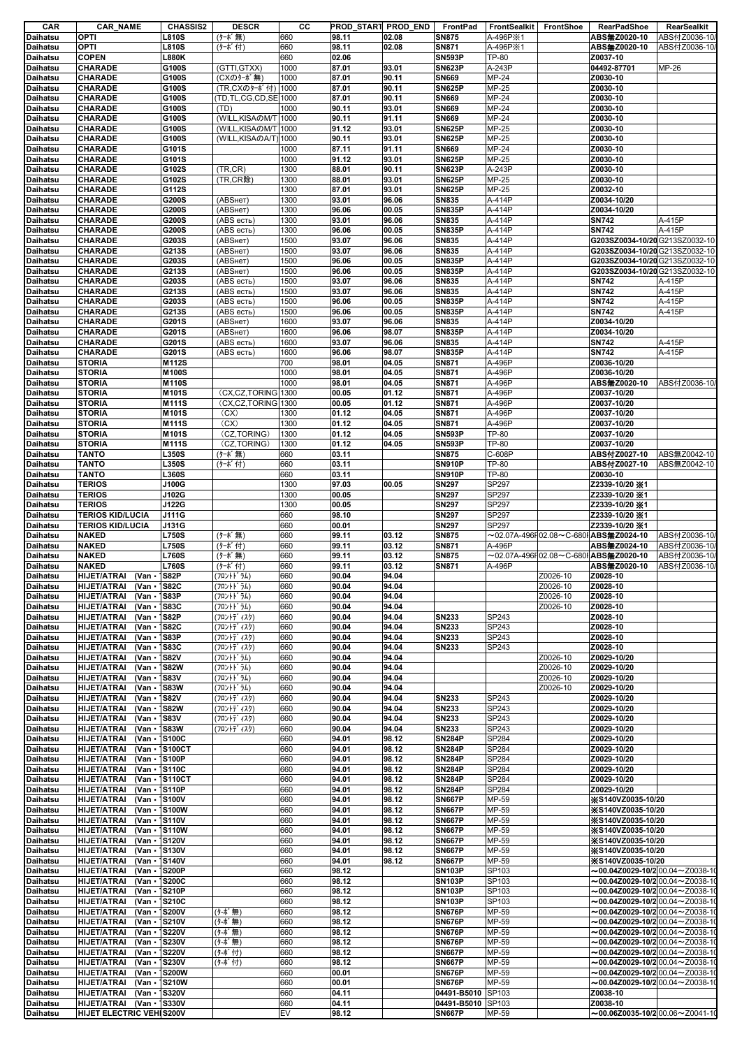| CAR                  | <b>CAR_NAME</b>                                              | <b>CHASSIS2</b>              | <b>DESCR</b>               | CС           | <b>PROD START PROD END</b> |                | FrontPad                       | FrontSealkit FrontShoe         |                      | RearPadShoe                                                                                  | RearSealkit  |
|----------------------|--------------------------------------------------------------|------------------------------|----------------------------|--------------|----------------------------|----------------|--------------------------------|--------------------------------|----------------------|----------------------------------------------------------------------------------------------|--------------|
| Daihatsu             | OPTI                                                         | <b>L810S</b>                 | (ターボ無)                     | 660          | 98.11                      | 02.08          | <b>SN875</b>                   | A-496P <sup>×</sup> 1          |                      | ABS無Z0020-10                                                                                 | ABS付Z0036-10 |
| Daihatsu<br>Daihatsu | OPTI<br><b>COPEN</b>                                         | <b>L810S</b><br><b>L880K</b> | (ターボ付)                     | 660<br>660   | 98.11<br>02.06             | 02.08          | <b>SN871</b><br><b>SN593P</b>  | A-496P <sup>×</sup> 1<br>TP-80 |                      | ABS無Z0020-10<br>Z0037-10                                                                     | ABS付Z0036-10 |
| Daihatsu             | CHARADE                                                      | G100S                        | (GTTI, GTXX)               | 1000         | 87.01                      | 93.01          | <b>SN623P</b>                  | A-243P                         |                      | 04492-87701                                                                                  | MP-26        |
| Daihatsu             | CHARADE                                                      | G100S                        | (CXのターボ無)                  | 1000         | 87.01                      | 90.11          | <b>SN669</b>                   | MP-24                          |                      | Z0030-10                                                                                     |              |
| Daihatsu             | CHARADE                                                      | G100S                        | (TR,CXのターボ付)               | 1000         | 87.01                      | 90.11          | <b>SN625P</b>                  | MP-25                          |                      | Z0030-10                                                                                     |              |
| Daihatsu             | <b>CHARADE</b>                                               | G100S                        | TD,TL,CG,CD,SE 1000        |              | 87.01                      | 90.11          | <b>SN669</b>                   | MP-24                          |                      | Z0030-10                                                                                     |              |
| Daihatsu             | <b>CHARADE</b>                                               | G100S                        | (TD)                       | 1000         | 90.11                      | 93.01          | <b>SN669</b>                   | MP-24                          |                      | Z0030-10                                                                                     |              |
| Daihatsu             | <b>CHARADE</b>                                               | G100S                        | (WILL, KISAOM/T 1000       |              | 90.11                      | 91.11          | <b>SN669</b>                   | MP-24                          |                      | Z0030-10                                                                                     |              |
| Daihatsu             | <b>CHARADE</b>                                               | G100S                        | (WILL, KISAOM/T 1000       |              | 91.12                      | 93.01          | <b>SN625P</b>                  | MP-25                          |                      | Z0030-10                                                                                     |              |
| Daihatsu<br>Daihatsu | <b>CHARADE</b><br><b>CHARADE</b>                             | G100S<br>G101S               | (WILL, KISAOA/T)           | 1000<br>1000 | 90.11<br>87.11             | 93.01<br>91.11 | <b>SN625P</b><br><b>SN669</b>  | MP-25<br>MP-24                 |                      | Z0030-10<br>Z0030-10                                                                         |              |
| Daihatsu             | <b>CHARADE</b>                                               | G101S                        |                            | 1000         | 91.12                      | 93.01          | <b>SN625P</b>                  | MP-25                          |                      | Z0030-10                                                                                     |              |
| Daihatsu             | CHARADE                                                      | G102S                        | (TR, CR)                   | 1300         | 88.01                      | 90.11          | <b>SN623P</b>                  | A-243P                         |                      | Z0030-10                                                                                     |              |
| Daihatsu             | <b>CHARADE</b>                                               | G102S                        | (TR,CR除)                   | 1300         | 88.01                      | 93.01          | <b>SN625P</b>                  | MP-25                          |                      | Z0030-10                                                                                     |              |
| Daihatsu             | <b>CHARADE</b>                                               | G112S                        |                            | 1300         | 87.01                      | 93.01          | <b>SN625P</b>                  | MP-25                          |                      | Z0032-10                                                                                     |              |
| Daihatsu<br>Daihatsu | CHARADE<br>CHARADE                                           | G200S<br>G200S               | (ABSHeT)<br>(ABSHeT)       | 1300<br>1300 | 93.01<br>96.06             | 96.06<br>00.05 | <b>SN835</b><br><b>SN835P</b>  | A-414P<br>A-414P               |                      | Z0034-10/20<br>Z0034-10/20                                                                   |              |
| Daihatsu             | CHARADE                                                      | G200S                        | (ABS есть)                 | 1300         | 93.01                      | 96.06          | <b>SN835</b>                   | A-414P                         |                      | <b>SN742</b>                                                                                 | A-415P       |
| Daihatsu             | <b>CHARADE</b>                                               | G200S                        | (ABS есть)                 | 1300         | 96.06                      | 00.05          | <b>SN835P</b>                  | A-414P                         |                      | <b>SN742</b>                                                                                 | A-415P       |
| Daihatsu             | CHARADE                                                      | G203S                        | (АВSнет)                   | 1500         | 93.07                      | 96.06          | <b>SN835</b>                   | A-414P                         |                      | G203SZ0034-10/20 G213SZ0032-10                                                               |              |
| Daihatsu             | <b>CHARADE</b>                                               | G213S                        | (АВSнет)                   | 1500         | 93.07                      | 96.06          | <b>SN835</b>                   | A-414P                         |                      | G203SZ0034-10/20 G213SZ0032-10                                                               |              |
| Daihatsu             | <b>CHARADE</b>                                               | G203S                        | (ABSнет)                   | 1500         | 96.06                      | 00.05          | <b>SN835P</b>                  | A-414P                         |                      | G203SZ0034-10/20 G213SZ0032-10                                                               |              |
| Daihatsu<br>Daihatsu | CHARADE<br><b>CHARADE</b>                                    | G213S<br>G203S               | (ABSHeT)<br>(ABS есть)     | 1500<br>1500 | 96.06<br>93.07             | 00.05<br>96.06 | <b>SN835P</b><br><b>SN835</b>  | A-414P<br>A-414P               |                      | G203SZ0034-10/20 G213SZ0032-10<br><b>SN742</b>                                               | A-415P       |
| Daihatsu             | CHARADE                                                      | G213S                        | (ABS есть)                 | 1500         | 93.07                      | 96.06          | <b>SN835</b>                   | A-414P                         |                      | <b>SN742</b>                                                                                 | A-415P       |
| Daihatsu             | CHARADE                                                      | G203S                        | (ABS есть)                 | 1500         | 96.06                      | 00.05          | <b>SN835P</b>                  | A-414P                         |                      | <b>SN742</b>                                                                                 | A-415P       |
| Daihatsu             | CHARADE                                                      | G213S                        | (ABS есть)                 | 1500         | 96.06                      | 00.05          | <b>SN835P</b>                  | A-414P                         |                      | <b>SN742</b>                                                                                 | A-415P       |
| Daihatsu             | <b>CHARADE</b>                                               | G201S                        | (ABSHeT)                   | 1600         | 93.07                      | 96.06          | <b>SN835</b>                   | A-414P                         |                      | Z0034-10/20                                                                                  |              |
| Daihatsu             | CHARADE                                                      | G201S                        | (АВSнет)                   | 1600         | 96.06                      | 98.07          | <b>SN835P</b>                  | A-414P                         |                      | Z0034-10/20                                                                                  |              |
| Daihatsu             | CHARADE                                                      | G201S                        | (ABS есть)                 | 1600         | 93.07                      | 96.06          | <b>SN835</b>                   | A-414P                         |                      | <b>SN742</b>                                                                                 | A-415P       |
| Daihatsu<br>Daihatsu | CHARADE<br><b>STORIA</b>                                     | G201S<br>M112S               | (ABS есть)                 | 1600<br>700  | 96.06<br>98.01             | 98.07<br>04.05 | <b>SN835P</b><br><b>SN871</b>  | A-414P<br>A-496P               |                      | <b>SN742</b><br>Z0036-10/20                                                                  | A-415P       |
| Daihatsu             | <b>STORIA</b>                                                | M100S                        |                            | 1000         | 98.01                      | 04.05          | <b>SN871</b>                   | A-496P                         |                      | Z0036-10/20                                                                                  |              |
| Daihatsu             | <b>STORIA</b>                                                | M110S                        |                            | 1000         | 98.01                      | 04.05          | <b>SN871</b>                   | A-496P                         |                      | ABS無Z0020-10                                                                                 | ABS付Z0036-10 |
| Daihatsu             | <b>STORIA</b>                                                | M101S                        | (CX,CZ,TORING 1300         |              | 00.05                      | 01.12          | <b>SN871</b>                   | A-496P                         |                      | Z0037-10/20                                                                                  |              |
| Daihatsu             | <b>STORIA</b>                                                | <b>M111S</b>                 | (CX,CZ,TORING 1300         |              | 00.05                      | 01.12          | <b>SN871</b>                   | A-496P                         |                      | Z0037-10/20                                                                                  |              |
| Daihatsu             | <b>STORIA</b>                                                | M101S                        | (CX)                       | 1300         | 01.12                      | 04.05          | <b>SN871</b>                   | A-496P                         |                      | Z0037-10/20                                                                                  |              |
| Daihatsu             | <b>STORIA</b>                                                | M111S<br>M101S               | (CX)                       | 1300         | 01.12                      | 04.05          | <b>SN871</b>                   | A-496P<br>TP-80                |                      | Z0037-10/20                                                                                  |              |
| Daihatsu<br>Daihatsu | <b>STORIA</b><br><b>STORIA</b>                               | M111S                        | (CZ,TORING)<br>(CZ,TORING) | 1300<br>1300 | 01.12<br>01.12             | 04.05<br>04.05 | <b>SN593P</b><br><b>SN593P</b> | TP-80                          |                      | Z0037-10/20<br>Z0037-10/20                                                                   |              |
| Daihatsu             | <b>TANTO</b>                                                 | <b>L350S</b>                 | (ターボ無)                     | 660          | 03.11                      |                | <b>SN875</b>                   | C-608P                         |                      | ABS付Z0027-10                                                                                 | ABS無Z0042-10 |
| Daihatsu             | <b>TANTO</b>                                                 | <b>L350S</b>                 | (ターボ付)                     | 660          | 03.11                      |                | <b>SN910P</b>                  | <b>TP-80</b>                   |                      | ABS付Z0027-10                                                                                 | ABS無Z0042-10 |
| Daihatsu             | <b>TANTO</b>                                                 | <b>L360S</b>                 |                            | 660          | 03.11                      |                | <b>SN910P</b>                  | <b>TP-80</b>                   |                      | Z0030-10                                                                                     |              |
| Daihatsu             | <b>TERIOS</b>                                                | J100G                        |                            | 1300         | 97.03                      | 00.05          | <b>SN297</b>                   | SP297                          |                      | Z2339-10/20 X1                                                                               |              |
| Daihatsu             | <b>TERIOS</b>                                                | J102G                        |                            | 1300         | 00.05                      |                | <b>SN297</b>                   | SP297                          |                      | Z2339-10/20 X1                                                                               |              |
| Daihatsu<br>Daihatsu | <b>TERIOS</b><br><b>TERIOS KID/LUCIA</b>                     | J122G<br>J111G               |                            | 1300<br>660  | 00.05<br>98.10             |                | <b>SN297</b><br><b>SN297</b>   | SP297<br>SP297                 |                      | Z2339-10/20 X1<br>Z2339-10/20 X1                                                             |              |
| Daihatsu             | <b>TERIOS KID/LUCIA</b>                                      | J131G                        |                            | 660          | 00.01                      |                | <b>SN297</b>                   | SP297                          |                      | Z2339-10/20 X1                                                                               |              |
| Daihatsu             | <b>NAKED</b>                                                 | <b>L750S</b>                 | (ターボ無)                     | 660          | 99.11                      | 03.12          | <b>SN875</b>                   |                                |                      | $\sim$ 02.07A-496F 02.08 $\sim$ C-680F ABS無Z0024-10                                          | ABS付Z0036-10 |
| Daihatsu             | <b>NAKED</b>                                                 | <b>L750S</b>                 | (ターボ付)                     | 660          | 99.11                      | 03.12          | <b>SN871</b>                   | A-496P                         |                      | ABS無Z0024-10                                                                                 | ABS付Z0036-10 |
| Daihatsu             | <b>NAKED</b>                                                 | <b>L760S</b>                 | (ターボ無)                     | 660          | 99.11                      | 03.12          | <b>SN875</b>                   |                                |                      | $\sim$ 02.07A-496F02.08 $\sim$ C-680FABS無Z0020-10                                            | ABS付Z0036-10 |
| Daihatsu             | <b>NAKED</b>                                                 | <b>L760S</b>                 | (ターボ付)                     | 660          | 99.11                      | 03.12          | <b>SN871</b>                   | A-496P                         |                      | ABS無Z0020-10                                                                                 | ABS付Z0036-10 |
| <b>Daihatsu</b>      | <b>HIJET/ATRAI</b><br>(Van •                                 | <b>S82P</b>                  | (フロントト・ラム)                 | 660          | 90.04                      | 94.04          |                                |                                | Z0026-10             | Z0028-10                                                                                     |              |
| Daihatsu<br>Daihatsu | <b>HIJET/ATRAI</b><br>(Van -<br><b>HIJET/ATRAI</b><br>(Van - | <b>S82C</b><br>S83P          | (フロントドラム)<br>(フロントドラム)     | 660<br>660   | 90.04<br>90.04             | 94.04<br>94.04 |                                |                                | Z0026-10<br>Z0026-10 | Z0028-10<br>Z0028-10                                                                         |              |
| Daihatsu             | <b>HIJET/ATRAI</b><br>(Van -                                 | S83C                         | (フロントト・ラム)                 | 660          | 90.04                      | 94.04          |                                |                                | Z0026-10             | Z0028-10                                                                                     |              |
| Daihatsu             | <b>HIJET/ATRAI</b><br>(Van -                                 | <b>S82P</b>                  | (フロントデ゛ィスク)                | 660          | 90.04                      | 94.04          | <b>SN233</b>                   | SP243                          |                      | Z0028-10                                                                                     |              |
| Daihatsu             | <b>HIJET/ATRAI</b><br>(Van -                                 | <b>S82C</b>                  | (フロントデ゛ィスク)                | 660          | 90.04                      | 94.04          | <b>SN233</b>                   | SP243                          |                      | Z0028-10                                                                                     |              |
| Daihatsu             | <b>HIJET/ATRAI</b><br>(Van -                                 | S83P                         | (フロントデ゛ィスク)                | 660          | 90.04                      | 94.04          | <b>SN233</b>                   | SP243                          |                      | Z0028-10                                                                                     |              |
| Daihatsu             | <b>HIJET/ATRAI</b><br>(Van -                                 | <b>S83C</b>                  | (フロントデ ィスク)                | 660          | 90.04                      | 94.04          | <b>SN233</b>                   | SP243                          |                      | Z0028-10                                                                                     |              |
| Daihatsu             | <b>HIJET/ATRAI</b><br>(Van -<br><b>HIJET/ATRAI</b><br>(Van - | <b>S82V</b>                  | (フロントドラム)<br>(フロントドラム)     | 660<br>660   | 90.04<br>90.04             | 94.04<br>94.04 |                                |                                | Z0026-10<br>Z0026-10 | Z0029-10/20<br>Z0029-10/20                                                                   |              |
| Daihatsu<br>Daihatsu | <b>HIJET/ATRAI</b><br>(Van -                                 | <b>S82W</b><br><b>S83V</b>   | (フロントドラム)                  | 660          | 90.04                      | 94.04          |                                |                                | Z0026-10             | Z0029-10/20                                                                                  |              |
| Daihatsu             | <b>HIJET/ATRAI</b><br>(Van ·                                 | <b>S83W</b>                  | (フロントドラム)                  | 660          | 90.04                      | 94.04          |                                |                                | Z0026-10             | Z0029-10/20                                                                                  |              |
| Daihatsu             | <b>HIJET/ATRAI</b><br>(Van -                                 | <b>S82V</b>                  | (フロントデ ィスク)                | 660          | 90.04                      | 94.04          | <b>SN233</b>                   | SP243                          |                      | Z0029-10/20                                                                                  |              |
| Daihatsu             | <b>HIJET/ATRAI</b><br>(Van ·                                 | <b>S82W</b>                  | (フロントデ゛ィスク)                | 660          | 90.04                      | 94.04          | <b>SN233</b>                   | SP243                          |                      | Z0029-10/20                                                                                  |              |
| Daihatsu             | <b>HIJET/ATRAI</b><br>(Van -                                 | <b>S83V</b>                  | (フロントデ ィスク)                | 660          | 90.04                      | 94.04          | <b>SN233</b>                   | SP243                          |                      | Z0029-10/20                                                                                  |              |
| Daihatsu             | <b>HIJET/ATRAI</b><br>(Van -                                 | <b>S83W</b>                  | (フロントデ ィスク)                | 660          | 90.04                      | 94.04          | <b>SN233</b>                   | SP243                          |                      | Z0029-10/20                                                                                  |              |
| Daihatsu<br>Daihatsu | <b>HIJET/ATRAI</b><br>(Van ·<br><b>HIJET/ATRAI</b><br>(Van - | 1S100C<br><b>S100CT</b>      |                            | 660<br>660   | 94.01<br>94.01             | 98.12<br>98.12 | <b>SN284P</b><br><b>SN284P</b> | SP284<br>SP284                 |                      | Z0029-10/20<br>Z0029-10/20                                                                   |              |
| Daihatsu             | <b>HIJET/ATRAI</b><br>(Van -                                 | <b>S100P</b>                 |                            | 660          | 94.01                      | 98.12          | <b>SN284P</b>                  | SP284                          |                      | Z0029-10/20                                                                                  |              |
| Daihatsu             | <b>HIJET/ATRAI</b><br>(Van -                                 | <b>S110C</b>                 |                            | 660          | 94.01                      | 98.12          | <b>SN284P</b>                  | SP284                          |                      | Z0029-10/20                                                                                  |              |
| Daihatsu             | <b>HIJET/ATRAI</b>                                           | (Van · S110CT                |                            | 660          | 94.01                      | 98.12          | <b>SN284P</b>                  | <b>SP284</b>                   |                      | Z0029-10/20                                                                                  |              |
| Daihatsu             | <b>HIJET/ATRAI</b><br>(Van 1S110P)                           |                              |                            | 660          | 94.01                      | 98.12          | <b>SN284P</b>                  | SP284                          |                      | Z0029-10/20                                                                                  |              |
| Daihatsu             | <b>HIJET/ATRAI</b><br>(Van -                                 | <b>S100V</b>                 |                            | 660          | 94.01                      | 98.12          | <b>SN667P</b>                  | MP-59                          |                      | ※S140VZ0035-10/20                                                                            |              |
| Daihatsu             | <b>HIJET/ATRAI</b><br>(Van 1S100W)<br><b>HIJET/ATRAI</b>     |                              |                            | 660          | 94.01                      | 98.12          | <b>SN667P</b>                  | MP-59                          |                      | <b>※S140VZ0035-10/20</b>                                                                     |              |
| Daihatsu<br>Daihatsu | (Van · 1S110V<br><b>HIJET/ATRAI</b><br>(Van · S110W)         |                              |                            | 660<br>660   | 94.01<br>94.01             | 98.12<br>98.12 | <b>SN667P</b><br><b>SN667P</b> | MP-59<br>MP-59                 |                      | ※S140VZ0035-10/20<br>※S140VZ0035-10/20                                                       |              |
| Daihatsu             | <b>HIJET/ATRAI</b><br>(Van -                                 | <b>S120V</b>                 |                            | 660          | 94.01                      | 98.12          | <b>SN667P</b>                  | MP-59                          |                      | ※S140VZ0035-10/20                                                                            |              |
| Daihatsu             | <b>HIJET/ATRAI</b><br>(Van -                                 | <b>S130V</b>                 |                            | 660          | 94.01                      | 98.12          | <b>SN667P</b>                  | MP-59                          |                      | ※S140VZ0035-10/20                                                                            |              |
| Daihatsu             | <b>HIJET/ATRAI</b><br>(Van •                                 | <b>S140V</b>                 |                            | 660          | 94.01                      | 98.12          | <b>SN667P</b>                  | MP-59                          |                      | ※S140VZ0035-10/20                                                                            |              |
| Daihatsu             | <b>HIJET/ATRAI</b><br>(Van -                                 | <b>S200P</b>                 |                            | 660          | 98.12                      |                | <b>SN103P</b>                  | SP103                          |                      | $\sim$ 00.04Z0029-10/2 00.04 $\sim$ Z0038-1                                                  |              |
| Daihatsu             | <b>HIJET/ATRAI</b><br>(Van -                                 | <b>S200C</b>                 |                            | 660          | 98.12                      |                | <b>SN103P</b>                  | SP103                          |                      | $\sim$ 00.04Z0029-10/2 00.04 $\sim$ Z0038-10                                                 |              |
| Daihatsu<br>Daihatsu | <b>HIJET/ATRAI</b><br>(Van -<br><b>HIJET/ATRAI</b><br>(Van - | <b>S210P</b><br><b>S210C</b> |                            | 660<br>660   | 98.12<br>98.12             |                | <b>SN103P</b><br><b>SN103P</b> | SP103<br>SP103                 |                      | $\sim$ 00.04Z0029-10/2 00.04 $\sim$ Z0038-10<br>$\sim$ 00.04Z0029-10/2 00.04 $\sim$ Z0038-10 |              |
| Daihatsu             | <b>HIJET/ATRAI</b><br>(Van -                                 | <b>S200V</b>                 | (ターボ無)                     | 660          | 98.12                      |                | <b>SN676P</b>                  | MP-59                          |                      | $\sim$ 00.04Z0029-10/2 00.04 $\sim$ Z0038-1(                                                 |              |
| Daihatsu             | <b>HIJET/ATRAI</b><br>(Van -                                 | <b>S210V</b>                 | (ターボ無)                     | 660          | 98.12                      |                | <b>SN676P</b>                  | MP-59                          |                      | $\sim$ 00.04Z0029-10/2 00.04 $\sim$ Z0038-10                                                 |              |
| Daihatsu             | <b>HIJET/ATRAI</b><br>(Van -                                 | <b>S220V</b>                 | (ターボ無)                     | 660          | 98.12                      |                | <b>SN676P</b>                  | MP-59                          |                      | $\sim$ 00.04Z0029-10/2 00.04 $\sim$ Z0038-10                                                 |              |
| Daihatsu             | <b>HIJET/ATRAI</b><br>(Van -                                 | <b>S230V</b>                 | (ターボ無)                     | 660          | 98.12                      |                | <b>SN676P</b>                  | MP-59                          |                      | $\sim$ 00.04Z0029-10/2 00.04 $\sim$ Z0038-10                                                 |              |
| Daihatsu             | <b>HIJET/ATRAI</b><br>(Van -                                 | <b>S220V</b>                 | (ターボ付)                     | 660          | 98.12                      |                | <b>SN667P</b>                  | MP-59                          |                      | $\sim$ 00.04Z0029-10/2 00.04 $\sim$ Z0038-10                                                 |              |
| Daihatsu             | <b>HIJET/ATRAI</b><br>(Van ·<br>(Van -                       | S230V<br><b>S200W</b>        | (ターボ付)                     | 660<br>660   | 98.12<br>00.01             |                | <b>SN667P</b><br><b>SN676P</b> | MP-59<br>MP-59                 |                      | $\sim$ 00.04Z0029-10/2 00.04 $\sim$ Z0038-1<br>$\sim$ 00.04Z0029-10/2 00.04 $\sim$ Z0038-10  |              |
| Daihatsu<br>Daihatsu | <b>HIJET/ATRAI</b><br><b>HIJET/ATRAI</b><br>(Van -           | <b>S210W</b>                 |                            | 660          | 00.01                      |                | <b>SN676P</b>                  | MP-59                          |                      | $\sim$ 00.04Z0029-10/2 00.04 $\sim$ Z0038-10                                                 |              |
| Daihatsu             | <b>HIJET/ATRAI</b><br>(Van S320V                             |                              |                            | 660          | 04.11                      |                | 04491-B5010                    | SP103                          |                      | Z0038-10                                                                                     |              |
| <b>Daihatsu</b>      | <b>HIJET/ATRAI</b><br>(Van - 1S330V                          |                              |                            | 660          | 04.11                      |                | 04491-B5010                    | SP103                          |                      | Z0038-10                                                                                     |              |
| Daihatsu             | HIJET ELECTRIC VEHIS200V                                     |                              |                            | EV           | 98.12                      |                | <b>SN667P</b>                  | MP-59                          |                      | $\sim$ 00.06Z0035-10/2 00.06 $\sim$ Z0041-10                                                 |              |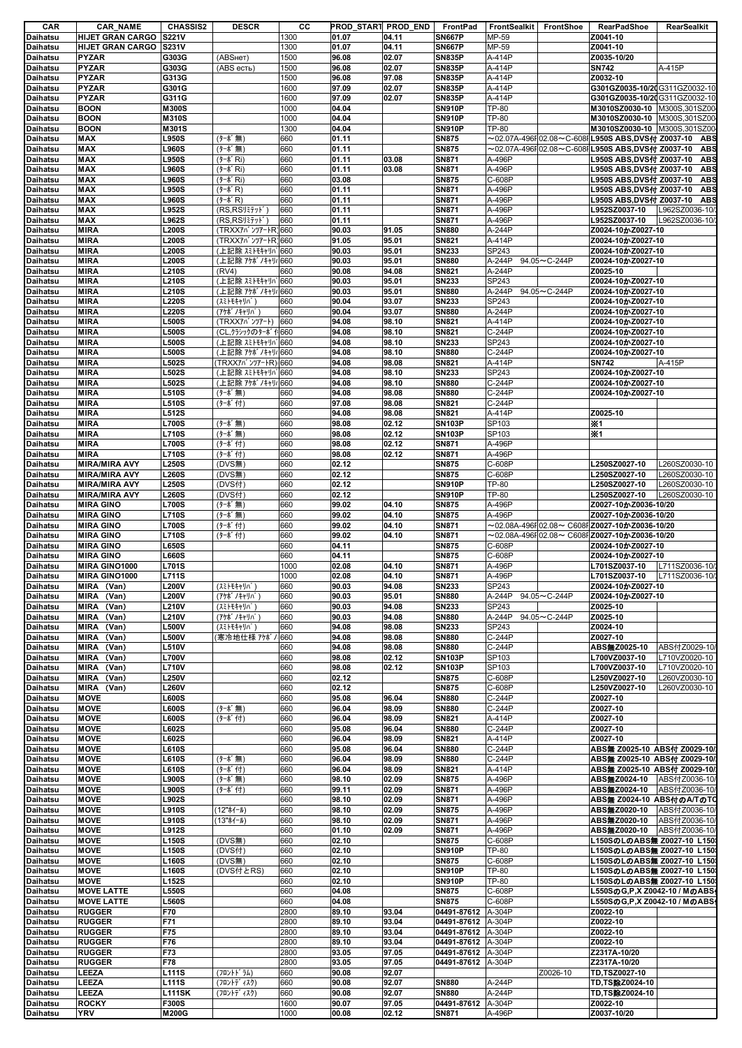| CAR                                | <b>CAR_NAME</b>                                    | <b>CHASSIS2</b>              | <b>DESCR</b>                          | CС           |                | PROD_START PROD_END | <b>FrontPad</b>                | FrontSealkit           | FrontShoe                              | <b>RearPadShoe</b>                                           | RearSealkit                    |
|------------------------------------|----------------------------------------------------|------------------------------|---------------------------------------|--------------|----------------|---------------------|--------------------------------|------------------------|----------------------------------------|--------------------------------------------------------------|--------------------------------|
| Daihatsu<br>Daihatsu               | <b>HIJET GRAN CARGO</b><br><b>HIJET GRAN CARGO</b> | <b>S221V</b><br>S231V        |                                       | 1300<br>1300 | 01.07<br>01.07 | 04.11<br>04.11      | <b>SN667P</b><br><b>SN667P</b> | MP-59<br>MP-59         |                                        | Z0041-10<br>Z0041-10                                         |                                |
| <b>Daihatsu</b>                    | <b>PYZAR</b>                                       | G303G                        | (ABSHeT)                              | 1500         | 96.08          | 02.07               | <b>SN835P</b>                  | A-414P                 |                                        | Z0035-10/20                                                  |                                |
| <b>Daihatsu</b>                    | <b>PYZAR</b>                                       | G303G                        | (ABS есть)                            | 1500         | 96.08          | 02.07               | <b>SN835P</b>                  | A-414P                 |                                        | <b>SN742</b>                                                 | A-415P                         |
| <b>Daihatsu</b>                    | <b>PYZAR</b>                                       | G313G                        |                                       | 1500         | 96.08          | 97.08               | <b>SN835P</b>                  | A-414P                 |                                        | Z0032-10                                                     |                                |
| <b>Daihatsu</b>                    | <b>PYZAR</b>                                       | G301G                        |                                       | 1600         | 97.09          | 02.07               | <b>SN835P</b>                  | A-414P                 |                                        | G301GZ0035-10/20 G311GZ0032-10                               |                                |
| Daihatsu                           | <b>PYZAR</b>                                       | G311G                        |                                       | 1600         | 97.09          | 02.07               | <b>SN835P</b>                  | A-414P                 |                                        | G301GZ0035-10/2(G311GZ0032-10                                |                                |
| Daihatsu                           | <b>BOON</b><br><b>BOON</b>                         | <b>M300S</b><br><b>M310S</b> |                                       | 1000<br>1000 | 04.04<br>04.04 |                     | <b>SN910P</b>                  | TP-80<br><b>TP-80</b>  |                                        | M3010SZ0030-10 M300S,301SZ00<br>M3010SZ0030-10 M300S,301SZ00 |                                |
| Daihatsu<br><b>Daihatsu</b>        | <b>BOON</b>                                        | M301S                        |                                       | 1300         | 04.04          |                     | <b>SN910P</b><br><b>SN910P</b> | <b>TP-80</b>           |                                        | M3010SZ0030-10 M300S,301SZ00                                 |                                |
| Daihatsu                           | <b>MAX</b>                                         | <b>L950S</b>                 | (ターボ無)                                | 660          | 01.11          |                     | <b>SN875</b>                   |                        | $\sim$ 02.07A-496F 02.08 $\sim$ C-608F | L950S ABS,DVS付 Z0037-10                                      | <b>ABS</b>                     |
| <b>Daihatsu</b>                    | MAX                                                | <b>L960S</b>                 | (ターボ無)                                | 660          | 01.11          |                     | <b>SN875</b>                   |                        |                                        | ~02.07A-496F 02.08~C-608F L950S ABS,DVS付 Z0037-10            | <b>ABS</b>                     |
| Daihatsu                           | MAX                                                | <b>L950S</b>                 | (ターボRi)                               | 660          | 01.11          | 03.08               | <b>SN871</b>                   | A-496P                 |                                        | _950S ABS,DVS付 Z0037-10                                      | <b>ABS</b>                     |
| Daihatsu                           | MAX                                                | <b>L960S</b>                 | (ターボ Ri)                              | 660          | 01.11          | 03.08               | <b>SN871</b>                   | A-496P                 |                                        | L950S ABS,DVS付 Z0037-10                                      | <b>ABS</b>                     |
| Daihatsu                           | MAX                                                | <b>L960S</b>                 | (ターボRi)                               | 660          | 03.08          |                     | <b>SN875</b>                   | C-608P                 |                                        | L950S ABS,DVS付 Z0037-10                                      | <b>ABS</b>                     |
| Daihatsu<br><b>Daihatsu</b>        | MAX<br><b>MAX</b>                                  | <b>L950S</b><br><b>L960S</b> | $(9 - k^* R)$<br>$(9 - k^* R)$        | 660<br>660   | 01.11<br>01.11 |                     | <b>SN871</b><br><b>SN871</b>   | A-496P<br>A-496P       |                                        | L950S ABS,DVS付 Z0037-10<br>L950S ABS,DVS付 Z0037-10           | <b>ABS</b><br><b>ABS</b>       |
| Daihatsu                           | MAX                                                | L952S                        | (RS,RSJEFy)'                          | 660          | 01.11          |                     | <b>SN871</b>                   | A-496P                 |                                        | L952SZ0037-10                                                | L962SZ0036-10/                 |
| <b>Daihatsu</b>                    | MAX                                                | L962S                        | $(RS,RS$ リミテットン                       | 660          | 01.11          |                     | <b>SN871</b>                   | A-496P                 |                                        | L952SZ0037-10                                                | L962SZ0036-10/                 |
| <b>Daihatsu</b>                    | <b>MIRA</b>                                        | <b>L200S</b>                 | (TRXX7^* )***7-1-R'660                |              | 90.03          | 91.05               | <b>SN880</b>                   | A-244P                 |                                        | Z0024-10かZ0027-10                                            |                                |
| Daihatsu                           | <b>MIRA</b>                                        | <b>L200S</b>                 | (TRXX7n' )*/7-1-R'660                 |              | 91.05          | 95.01               | <b>SN821</b>                   | A-414P                 |                                        | Z0024-10かZ0027-10                                            |                                |
| Daihatsu                           | <b>MIRA</b>                                        | <b>L200S</b>                 | (上記除 スミトモキャリパ 660                     |              | 90.03          | 95.01               | <b>SN233</b>                   | SP243                  |                                        | Z0024-10かZ0027-10                                            |                                |
| Daihatsu                           | <b>MIRA</b>                                        | <b>L200S</b>                 | (上記除 アケボノキャリ៸ 660                     |              | 90.03          | 95.01               | <b>SN880</b>                   | A-244P                 | 94.05~C-244P                           | Z0024-10かZ0027-10                                            |                                |
| Daihatsu<br>Daihatsu               | <b>MIRA</b><br><b>MIRA</b>                         | <b>L210S</b><br><b>L210S</b> | (RV4)<br>(上記除 スミトモキャリハ                | 660<br>660   | 90.08<br>90.03 | 94.08<br>95.01      | <b>SN821</b><br><b>SN233</b>   | A-244P<br>SP243        |                                        | Z0025-10<br>Z0024-10かZ0027-10                                |                                |
| Daihatsu                           | <b>MIRA</b>                                        | <b>L210S</b>                 | (上記除 アケボノキャリノ 660                     |              | 90.03          | 95.01               | <b>SN880</b>                   | A-244P                 | 94.05~C-244P                           | Z0024-10かZ0027-10                                            |                                |
| Daihatsu                           | <b>MIRA</b>                                        | <b>L220S</b>                 | (スミトモキャリハ^)                           | 660          | 90.04          | 93.07               | <b>SN233</b>                   | SP243                  |                                        | Z0024-10かZ0027-10                                            |                                |
| Daihatsu                           | <b>MIRA</b>                                        | <b>L220S</b>                 | (アケボノキャリパ                             | 660          | 90.04          | 93.07               | <b>SN880</b>                   | A-244P                 |                                        | Z0024-10かZ0027-10                                            |                                |
| Daihatsu                           | <b>MIRA</b>                                        | <b>L500S</b>                 | (TRXX7n' )"77-1)                      | 660          | 94.08          | 98.10               | <b>SN821</b>                   | A-414P                 |                                        | Z0024-10かZ0027-10                                            |                                |
| <b>Daihatsu</b>                    | <b>MIRA</b>                                        | <b>L500S</b>                 | (CL,クラシックのターボイ 660                    |              | 94.08          | 98.10               | <b>SN821</b>                   | C-244P                 |                                        | Z0024-10かZ0027-10                                            |                                |
| <b>Daihatsu</b>                    | <b>MIRA</b>                                        | <b>L500S</b>                 | (上記除 スミトモキャリパ 660                     |              | 94.08          | 98.10               | <b>SN233</b>                   | SP243                  |                                        | Z0024-10かZ0027-10                                            |                                |
| Daihatsu                           | <b>MIRA</b>                                        | <b>L500S</b>                 | (上記除 アケボノキャリ៸ 660                     |              | 94.08          | 98.10               | <b>SN880</b>                   | C-244P                 |                                        | Z0024-10かZ0027-10                                            |                                |
| Daihatsu                           | <b>MIRA</b>                                        | L502S                        | (TRXX7n' )*7-1-R) 660                 |              | 94.08          | 98.08               | <b>SN821</b>                   | A-414P                 |                                        | <b>SN742</b>                                                 | A-415P                         |
| Daihatsu<br>Daihatsu               | <b>MIRA</b><br><b>MIRA</b>                         | L502S<br>L502S               | (上記除 スミトモキャリパ660<br>(上記除 アケボノキャリノ 660 |              | 94.08<br>94.08 | 98.10<br>98.10      | <b>SN233</b><br><b>SN880</b>   | SP243<br>C-244P        |                                        | Z0024-10かZ0027-10<br>Z0024-10かZ0027-10                       |                                |
| Daihatsu                           | <b>MIRA</b>                                        | <b>L510S</b>                 | (ターボ無)                                | 660          | 94.08          | 98.08               | <b>SN880</b>                   | C-244P                 |                                        | Z0024-10かZ0027-10                                            |                                |
| Daihatsu                           | <b>MIRA</b>                                        | <b>L510S</b>                 | (ターボ付)                                | 660          | 97.08          | 98.08               | <b>SN821</b>                   | C-244P                 |                                        |                                                              |                                |
| Daihatsu                           | <b>MIRA</b>                                        | L512S                        |                                       | 660          | 94.08          | 98.08               | SN821                          | A-414P                 |                                        | Z0025-10                                                     |                                |
| <b>Daihatsu</b>                    | <b>MIRA</b>                                        | <b>L700S</b>                 | (ターボ無)                                | 660          | 98.08          | 02.12               | <b>SN103P</b>                  | SP103                  |                                        | <b>※1</b>                                                    |                                |
| Daihatsu                           | <b>MIRA</b>                                        | <b>L710S</b>                 | (ターボ無)                                | 660          | 98.08          | 02.12               | <b>SN103P</b>                  | SP103                  |                                        | ×1                                                           |                                |
| <b>Daihatsu</b>                    | <b>MIRA</b>                                        | <b>L700S</b>                 | (ターボ付)                                | 660          | 98.08          | 02.12               | <b>SN871</b>                   | A-496P                 |                                        |                                                              |                                |
| <b>Daihatsu</b>                    | <b>MIRA</b>                                        | <b>L710S</b>                 | (ターボ付)                                | 660          | 98.08          | 02.12               | <b>SN871</b>                   | A-496P                 |                                        |                                                              |                                |
| <b>Daihatsu</b>                    | <b>MIRA/MIRA AVY</b>                               | <b>L250S</b>                 | (DVS無)                                | 660          | 02.12          |                     | <b>SN875</b>                   | C-608P                 |                                        | L250SZ0027-10                                                | L260SZ0030-10                  |
| <b>Daihatsu</b><br><b>Daihatsu</b> | <b>MIRA/MIRA AVY</b><br><b>MIRA/MIRA AVY</b>       | <b>L260S</b><br><b>L250S</b> | (DVS無)<br>(DVS付)                      | 660<br>660   | 02.12<br>02.12 |                     | <b>SN875</b><br><b>SN910P</b>  | C-608P<br><b>TP-80</b> |                                        | L250SZ0027-10<br>L250SZ0027-10                               | L260SZ0030-10<br>L260SZ0030-10 |
| <b>Daihatsu</b>                    | <b>MIRA/MIRA AVY</b>                               | <b>L260S</b>                 | (DVS付)                                | 660          | 02.12          |                     | <b>SN910P</b>                  | <b>TP-80</b>           |                                        | L250SZ0027-10                                                | L260SZ0030-10                  |
| <b>Daihatsu</b>                    | <b>MIRA GINO</b>                                   | <b>L700S</b>                 | (ターボ無)                                | 660          | 99.02          | 04.10               | <b>SN875</b>                   | A-496P                 |                                        | Z0027-10かZ0036-10/20                                         |                                |
| Daihatsu                           | <b>MIRA GINO</b>                                   | <b>L710S</b>                 | (ターボ無)                                | 660          | 99.02          | 04.10               | <b>SN875</b>                   | A-496P                 |                                        | Z0027-10かZ0036-10/20                                         |                                |
| <b>Daihatsu</b>                    | <b>MIRA GINO</b>                                   | <b>L700S</b>                 | (ターボ付)                                | 660          | 99.02          | 04.10               | <b>SN871</b>                   |                        |                                        | $\sim$ 02.08A-496F 02.08 $\sim$ C608F Z0027-10かZ0036-10/20   |                                |
| <b>Daihatsu</b>                    | <b>MIRA GINO</b>                                   | <b>L710S</b>                 | (ターボ付)                                | 660          | 99.02          | 04.10               | <b>SN871</b>                   |                        |                                        | ~02.08A-496F02.08~ C608FZ0027-10かZ0036-10/20                 |                                |
| Daihatsu                           | <b>MIRA GINO</b>                                   | <b>L650S</b>                 |                                       | 660          | 04.11          |                     | <b>SN875</b>                   | C-608P                 |                                        | Z0024-10かZ0027-10                                            |                                |
| <b>Daihatsu</b>                    | <b>MIRA GINO</b>                                   | <b>L660S</b>                 |                                       | 660          | 04.11          |                     | <b>SN875</b>                   | C-608P                 |                                        | Z0024-10かZ0027-10                                            |                                |
| <b>Daihatsu</b>                    | <b>MIRA GINO1000</b>                               | <b>L701S</b>                 |                                       | 1000         | 02.08          | 04.10               | <b>SN871</b>                   | A-496P                 |                                        | L701SZ0037-10                                                | L711SZ0036-10/                 |
| <b>Daihatsu</b><br><b>Daihatsu</b> | <b>MIRA GINO1000</b><br>MIRA (Van)                 | <b>L711S</b><br><b>L200V</b> |                                       | 1000<br>660  | 02.08<br>90.03 | 04.10<br>94.08      | <b>SN871</b><br><b>SN233</b>   | A-496P<br>SP243        |                                        | L701SZ0037-10<br>Z0024-10かZ0027-10                           | L711SZ0036-10/                 |
| <b>Daihatsu</b>                    | MIRA<br>(Van)                                      | <b>L200V</b>                 | (スミトモキャリバ)<br>(アケボ ノキャリパ )            | 660          | 90.03          | 95.01               | <b>SN880</b>                   | A-244P                 | 94.05~C-244P                           | Z0024-10かZ0027-10                                            |                                |
| Daihatsu                           | <b>MIRA</b><br>(Van)                               | <b>L210V</b>                 | (スミトモキャリハン)                           | 660          | 90.03          | 94.08               | <b>SN233</b>                   | SP243                  |                                        | Z0025-10                                                     |                                |
| <b>Daihatsu</b>                    | (Van)<br>MIRA                                      | <b>L210V</b>                 | (アケボ ノキャリパ)                           | 660          | 90.03          | 94.08               | <b>SN880</b>                   | A-244P                 | 94.05~C-244P                           | Z0025-10                                                     |                                |
| <b>Daihatsu</b>                    | MIRA<br>(Van)                                      | <b>L500V</b>                 | (スミトモキャリハ^)                           | 660          | 94.08          | 98.08               | <b>SN233</b>                   | SP243                  |                                        | Z0024-10                                                     |                                |
| <b>Daihatsu</b>                    | <b>MIRA</b><br>(Van)                               | <b>L500V</b>                 | (寒冷地仕様 アケボノ                           | 660          | 94.08          | 98.08               | <b>SN880</b>                   | C-244P                 |                                        | Z0027-10                                                     |                                |
| Daihatsu                           | (Van)<br>MIRA                                      | <b>L510V</b>                 |                                       | 660          | 94.08          | 98.08               | <b>SN880</b>                   | C-244P                 |                                        | ABS無Z0025-10                                                 | ABS付Z0029-10                   |
| <b>Daihatsu</b>                    | MIRA<br>(Van)                                      | <b>L700V</b>                 |                                       | 660          | 98.08          | 02.12               | <b>SN103P</b>                  | SP103                  |                                        | L700VZ0037-10                                                | L710VZ0020-10                  |
| <b>Daihatsu</b><br>Daihatsu        | <b>MIRA</b><br>(Van)<br>(Van)<br>MIRA              | <b>L710V</b><br><b>L250V</b> |                                       | 660<br>660   | 98.08<br>02.12 | 02.12               | <b>SN103P</b><br><b>SN875</b>  | SP103<br>C-608P        |                                        | L700VZ0037-10<br>L250VZ0027-10                               | L710VZ0020-10<br>L260VZ0030-10 |
| <b>Daihatsu</b>                    | (Van)<br>MIRA                                      | <b>L260V</b>                 |                                       | 660          | 02.12          |                     | <b>SN875</b>                   | C-608P                 |                                        | L250VZ0027-10                                                | L260VZ0030-10                  |
| Daihatsu                           | <b>MOVE</b>                                        | <b>L600S</b>                 |                                       | 660          | 95.08          | 96.04               | <b>SN880</b>                   | C-244P                 |                                        | Z0027-10                                                     |                                |
| <b>Daihatsu</b>                    | <b>MOVE</b>                                        | <b>L600S</b>                 | (ターボ無)                                | 660          | 96.04          | 98.09               | <b>SN880</b>                   | C-244P                 |                                        | Z0027-10                                                     |                                |
| <b>Daihatsu</b>                    | <b>MOVE</b>                                        | <b>L600S</b>                 | (ターボ付)                                | 660          | 96.04          | 98.09               | <b>SN821</b>                   | A-414P                 |                                        | Z0027-10                                                     |                                |
| <b>Daihatsu</b>                    | <b>MOVE</b>                                        | L602S                        |                                       | 660          | 95.08          | 96.04               | <b>SN880</b>                   | C-244P                 |                                        | Z0027-10                                                     |                                |
| Daihatsu                           | <b>MOVE</b>                                        | <b>L602S</b>                 |                                       | 660          | 96.04          | 98.09               | <b>SN821</b>                   | A-414P                 |                                        | Z0027-10                                                     |                                |
| Daihatsu<br>Daihatsu               | <b>MOVE</b><br><b>MOVE</b>                         | <b>L610S</b><br><b>L610S</b> | (ターボ無)                                | 660<br>660   | 95.08<br>96.04 | 96.04<br>98.09      | <b>SN880</b><br><b>SN880</b>   | C-244P<br>C-244P       |                                        | ABS無 Z0025-10 ABS付 Z0029-10/<br>ABS無 Z0025-10 ABS付 Z0029-10/ |                                |
| <b>Daihatsu</b>                    | <b>MOVE</b>                                        | <b>L610S</b>                 | (ターボ付)                                | 660          | 96.04          | 98.09               | <b>SN821</b>                   | A-414P                 |                                        | ABS無 Z0025-10 ABS付 Z0029-10/                                 |                                |
| Daihatsu                           | <b>MOVE</b>                                        | <b>L900S</b>                 | (ターボ無)                                | 660          | 98.10          | 02.09               | <b>SN875</b>                   | A-496P                 |                                        | ABS無Z0024-10                                                 | ABS付Z0036-10/                  |
| <b>Daihatsu</b>                    | <b>MOVE</b>                                        | <b>L900S</b>                 | (ターボ付)                                | 660          | 99.11          | 02.09               | <b>SN871</b>                   | A-496P                 |                                        | ABS無Z0024-10                                                 | ABS付Z0036-10/                  |
| <b>Daihatsu</b>                    | <b>MOVE</b>                                        | L902S                        |                                       | 660          | 98.10          | 02.09               | <b>SN871</b>                   | A-496P                 |                                        | ABS無 Z0024-10 ABS付のA/TのTC                                    |                                |
| Daihatsu                           | <b>MOVE</b>                                        | <b>L910S</b>                 | (12"ホイール)                             | 660          | 98.10          | 02.09               | <b>SN875</b>                   | A-496P                 |                                        | ABS無Z0020-10                                                 | ABS付Z0036-10                   |
| <b>Daihatsu</b>                    | <b>MOVE</b>                                        | <b>L910S</b>                 | (13"ホイール)                             | 660          | 98.10          | 02.09               | <b>SN871</b>                   | A-496P                 |                                        | ABS無Z0020-10                                                 | ABS付Z0036-10/                  |
| <b>Daihatsu</b><br>Daihatsu        | <b>MOVE</b><br><b>MOVE</b>                         | L912S<br><b>L150S</b>        | (DVS無)                                | 660<br>660   | 01.10<br>02.10 | 02.09               | <b>SN871</b><br><b>SN875</b>   | A-496P<br>C-608P       |                                        | ABS無Z0020-10<br>L150SのLのABS無 Z0027-10 L150                   | ABS付Z0036-10/                  |
| Daihatsu                           | <b>MOVE</b>                                        | <b>L150S</b>                 | (DVS付)                                | 660          | 02.10          |                     | <b>SN910P</b>                  | <b>TP-80</b>           |                                        | L150SのLのABS無 Z0027-10 L150%                                  |                                |
| Daihatsu                           | <b>MOVE</b>                                        | <b>L160S</b>                 | (DVS無)                                | 660          | 02.10          |                     | <b>SN875</b>                   | C-608P                 |                                        | L150SのLのABS無 Z0027-10 L150                                   |                                |
| <b>Daihatsu</b>                    | <b>MOVE</b>                                        | <b>L160S</b>                 | (DVS付とRS)                             | 660          | 02.10          |                     | <b>SN910P</b>                  | TP-80                  |                                        | L150SのLのABS無 Z0027-10 L150%                                  |                                |
| Daihatsu                           | <b>MOVE</b>                                        | L152S                        |                                       | 660          | 02.10          |                     | <b>SN910P</b>                  | TP-80                  |                                        | L150SのLのABS無 Z0027-10 L150%                                  |                                |
| Daihatsu                           | <b>MOVE LATTE</b>                                  | <b>L550S</b>                 |                                       | 660          | 04.08          |                     | <b>SN875</b>                   | C-608P                 |                                        | L550SのG,P,X Z0042-10 / MのABS                                 |                                |
| Daihatsu                           | <b>MOVE LATTE</b>                                  | <b>L560S</b>                 |                                       | 660          | 04.08          |                     | <b>SN875</b>                   | C-608P                 |                                        | L550SのG,P,X Z0042-10 / MのABS                                 |                                |
| <b>Daihatsu</b>                    | <b>RUGGER</b>                                      | F70                          |                                       | 2800         | 89.10          | 93.04               | 04491-87612                    | A-304P                 |                                        | Z0022-10                                                     |                                |
| Daihatsu<br>Daihatsu               | <b>RUGGER</b>                                      | F71<br>F75                   |                                       | 2800         | 89.10          | 93.04<br>93.04      | 04491-87612                    | A-304P<br>A-304P       |                                        | Z0022-10                                                     |                                |
| Daihatsu                           | <b>RUGGER</b><br><b>RUGGER</b>                     | F76                          |                                       | 2800<br>2800 | 89.10<br>89.10 | 93.04               | 04491-87612<br>04491-87612     | A-304P                 |                                        | Z0022-10<br>Z0022-10                                         |                                |
| <b>Daihatsu</b>                    | <b>RUGGER</b>                                      | F73                          |                                       | 2800         | 93.05          | 97.05               | 04491-87612 A-304P             |                        |                                        | Z2317A-10/20                                                 |                                |
| <b>Daihatsu</b>                    | <b>RUGGER</b>                                      | F78                          |                                       | 2800         | 93.05          | 97.05               | 04491-87612                    | A-304P                 |                                        | Z2317A-10/20                                                 |                                |
| Daihatsu                           | LEEZA                                              | <b>L111S</b>                 | (フロントト・ラム)                            | 660          | 90.08          | 92.07               |                                |                        | Z0026-10                               | TD,TSZ0027-10                                                |                                |
| <b>Daihatsu</b>                    | LEEZA                                              | <b>L111S</b>                 | (フロントデ ィスク)                           | 660          | 90.08          | 92.07               | <b>SN880</b>                   | A-244P                 |                                        | TD,TS除Z0024-10                                               |                                |
| Daihatsu                           | LEEZA                                              | <b>L111SK</b>                | (フロントデ ィスク)                           | 660          | 90.08          | 92.07               | <b>SN880</b>                   | A-244P                 |                                        | TD,TS除Z0024-10                                               |                                |
| Daihatsu                           | <b>ROCKY</b>                                       | <b>F300S</b>                 |                                       | 1600         | 90.07          | 97.05               | 04491-87612                    | A-304P                 |                                        | Z0022-10                                                     |                                |
| <b>Daihatsu</b>                    | <b>YRV</b>                                         | <b>M200G</b>                 |                                       | 1000         | 00.08          | 02.12               | <b>SN871</b>                   | A-496P                 |                                        | Z0037-10/20                                                  |                                |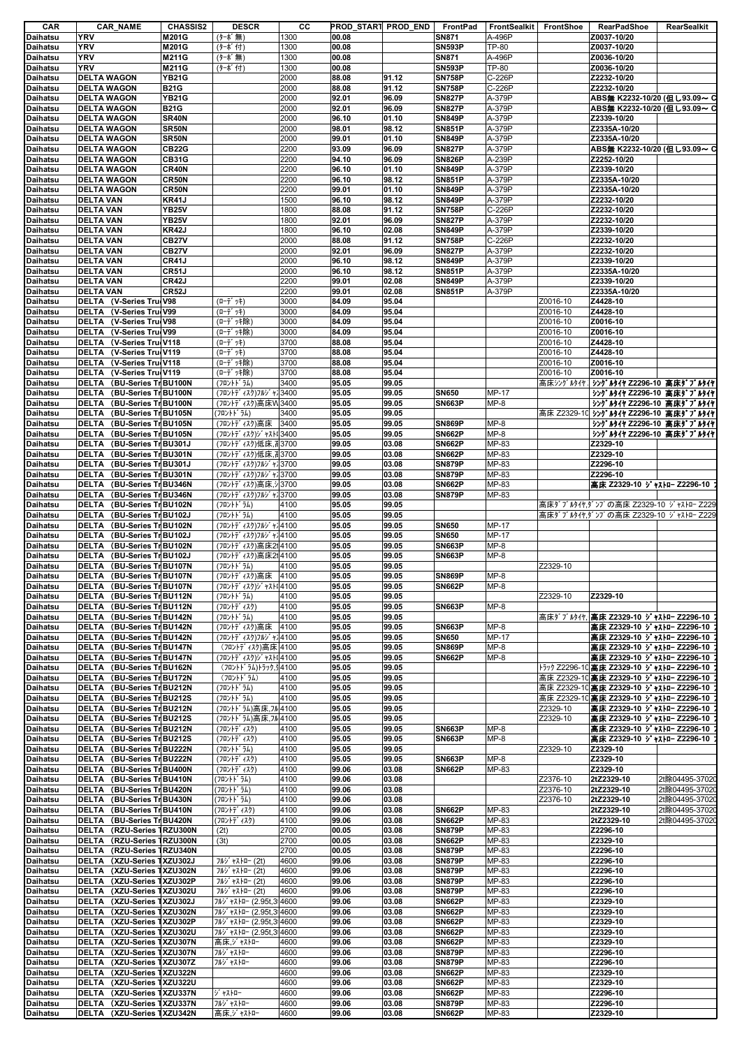| CAR                                                        | <b>CAR_NAME</b>                                                | <b>CHASSIS2</b> | <b>DESCR</b>                               | cс           | PROD START PROD END |                | FrontPad                       | <b>FrontSealkit</b>    | FrontShoe | RearPadShoe                                   | RearSealkit    |
|------------------------------------------------------------|----------------------------------------------------------------|-----------------|--------------------------------------------|--------------|---------------------|----------------|--------------------------------|------------------------|-----------|-----------------------------------------------|----------------|
| Daihatsu                                                   | YRV                                                            | M201G           | (ターボ無)                                     | 1300         | 00.08               |                | <b>SN871</b>                   | A-496P                 |           | Z0037-10/20                                   |                |
| <b>Daihatsu</b>                                            | <b>YRV</b>                                                     | M201G           | (ターボ付)                                     | 1300         | 00.08               |                | <b>SN593P</b>                  | TP-80                  |           | Z0037-10/20                                   |                |
| <b>Daihatsu</b>                                            | <b>YRV</b><br>YRV                                              | M211G<br>M211G  | (ターボ無)<br>(ターボ付)                           | 1300<br>1300 | 00.08<br>00.08      |                | <b>SN871</b><br><b>SN593P</b>  | A-496P<br><b>TP-80</b> |           | Z0036-10/20<br>Z0036-10/20                    |                |
| Daihatsu<br>Daihatsu                                       | <b>DELTA WAGON</b>                                             | <b>YB21G</b>    |                                            | 2000         | 88.08               | 91.12          | <b>SN758P</b>                  | C-226P                 |           | Z2232-10/20                                   |                |
| <b>Daihatsu</b>                                            | <b>DELTA WAGON</b>                                             | <b>B21G</b>     |                                            | 2000         | 88.08               | 91.12          | <b>SN758P</b>                  | C-226P                 |           | Z2232-10/20                                   |                |
| Daihatsu                                                   | <b>DELTA WAGON</b>                                             | <b>YB21G</b>    |                                            | 2000         | 92.01               | 96.09          | <b>SN827P</b>                  | A-379P                 |           | ABS無 K2232-10/20 (但し93.09~ C                  |                |
| Daihatsu                                                   | <b>DELTA WAGON</b>                                             | <b>B21G</b>     |                                            | 2000         | 92.01               | 96.09          | <b>SN827P</b>                  | A-379P                 |           | ABS無 K2232-10/20 (但し93.09~ C                  |                |
| Daihatsu                                                   | <b>DELTA WAGON</b>                                             | SR40N           |                                            | 2000         | 96.10               | 01.10          | <b>SN849P</b>                  | A-379P                 |           | Z2339-10/20                                   |                |
| Daihatsu                                                   | <b>DELTA WAGON</b>                                             | SR50N           |                                            | 2000         | 98.01               | 98.12          | <b>SN851P</b>                  | A-379P                 |           | Z2335A-10/20                                  |                |
| Daihatsu                                                   | <b>DELTA WAGON</b>                                             | SR50N           |                                            | 2000         | 99.01               | 01.10          | <b>SN849P</b>                  | A-379P                 |           | Z2335A-10/20                                  |                |
| Daihatsu                                                   | <b>DELTA WAGON</b>                                             | <b>CB22G</b>    |                                            | 2200         | 93.09               | 96.09          | <b>SN827P</b>                  | A-379P                 |           | ABS無 K2232-10/20 (但し93.09~ C                  |                |
| Daihatsu                                                   | <b>DELTA WAGON</b>                                             | <b>CB31G</b>    |                                            | 2200         | 94.10               | 96.09          | <b>SN826P</b>                  | A-239P                 |           | Z2252-10/20                                   |                |
| Daihatsu                                                   | <b>DELTA WAGON</b>                                             | CR40N           |                                            | 2200         | 96.10               | 01.10          | <b>SN849P</b>                  | A-379P                 |           | Z2339-10/20                                   |                |
| Daihatsu                                                   | <b>DELTA WAGON</b>                                             | CR50N           |                                            | 2200         | 96.10               | 98.12          | <b>SN851P</b>                  | A-379P                 |           | Z2335A-10/20                                  |                |
| Daihatsu                                                   | <b>DELTA WAGON</b>                                             | CR50N           |                                            | 2200         | 99.01               | 01.10          | <b>SN849P</b>                  | A-379P                 |           | Z2335A-10/20                                  |                |
| <b>Daihatsu</b>                                            | <b>DELTA VAN</b>                                               | <b>KR41J</b>    |                                            | 1500         | 96.10               | 98.12          | <b>SN849P</b>                  | A-379P                 |           | Z2232-10/20                                   |                |
| Daihatsu                                                   | <b>DELTA VAN</b>                                               | <b>YB25V</b>    |                                            | 1800         | 88.08               | 91.12          | <b>SN758P</b>                  | C-226P                 |           | Z2232-10/20                                   |                |
| Daihatsu                                                   | <b>DELTA VAN</b>                                               | <b>YB25V</b>    |                                            | 1800         | 92.01               | 96.09          | <b>SN827P</b>                  | A-379P                 |           | Z2232-10/20                                   |                |
| Daihatsu                                                   | <b>DELTA VAN</b>                                               | <b>KR42J</b>    |                                            | 1800         | 96.10               | 02.08          | <b>SN849P</b>                  | A-379P                 |           | Z2339-10/20                                   |                |
| Daihatsu                                                   | <b>DELTA VAN</b>                                               | <b>CB27V</b>    |                                            | 2000         | 88.08               | 91.12          | <b>SN758P</b>                  | C-226P                 |           | Z2232-10/20                                   |                |
| Daihatsu                                                   | <b>DELTA VAN</b>                                               | <b>CB27V</b>    |                                            | 2000         | 92.01               | 96.09          | <b>SN827P</b>                  | A-379P                 |           | Z2232-10/20                                   |                |
| <b>Daihatsu</b>                                            | <b>DELTA VAN</b>                                               | CR41J           |                                            | 2000         | 96.10               | 98.12          | <b>SN849P</b>                  | A-379P                 |           | Z2339-10/20                                   |                |
| Daihatsu                                                   | <b>DELTA VAN</b>                                               | <b>CR51J</b>    |                                            | 2000         | 96.10               | 98.12          | <b>SN851P</b>                  | A-379P                 |           | Z2335A-10/20                                  |                |
| <b>Daihatsu</b>                                            | <b>DELTA VAN</b>                                               | CR42J           |                                            | 2200         | 99.01               | 02.08          | <b>SN849P</b>                  | A-379P                 |           | Z2339-10/20                                   |                |
| Daihatsu                                                   | <b>DELTA VAN</b>                                               | <b>CR52J</b>    |                                            | 2200         | 99.01               | 02.08          | <b>SN851P</b>                  | A-379P                 |           | Z2335A-10/20                                  |                |
| <b>Daihatsu</b>                                            | DELTA (V-Series Tru V98                                        |                 | (ローデ゙ッキ)                                   | 3000         | 84.09               | 95.04          |                                |                        | Z0016-10  | Z4428-10                                      |                |
| Daihatsu                                                   | DELTA (V-Series Tru V99                                        |                 | (ローデ゛ッキ)                                   | 3000         | 84.09               | 95.04          |                                |                        | Z0016-10  | Z4428-10                                      |                |
| Daihatsu                                                   | DELTA (V-Series Tru V98                                        |                 | (ローデッキ除)                                   | 3000         | 84.09               | 95.04          |                                |                        | Z0016-10  | Z0016-10                                      |                |
| Daihatsu                                                   | DELTA (V-Series Tru(V99                                        |                 | (ローデッキ除)                                   | 3000         | 84.09               | 95.04          |                                |                        | Z0016-10  | Z0016-10                                      |                |
| <b>Daihatsu</b>                                            | DELTA (V-Series Tru(V118                                       |                 | (ローデ ッキ)                                   | 3700         | 88.08               | 95.04          |                                |                        | Z0016-10  | Z4428-10                                      |                |
| Daihatsu                                                   | DELTA<br>(V-Series Tru(V119                                    |                 | (ローデ ッキ)                                   | 3700         | 88.08               | 95.04          |                                |                        | Z0016-10  | Z4428-10                                      |                |
| Daihatsu                                                   | DELTA (V-Series Tru(V118                                       |                 | (ローデッキ除)                                   | 3700         | 88.08               | 95.04          |                                |                        | Z0016-10  | Z0016-10                                      |                |
| Daihatsu                                                   | DELTA<br>(V-Series Tru(V119                                    |                 | (ローデッキ除)                                   | 3700         | 88.08               | 95.04          |                                |                        | Z0016-10  | Z0016-10                                      |                |
| Daihatsu                                                   | DELTA (BU-Series Tr BU100N                                     |                 | (フロントドラム)                                  | 3400         | 95.05               | 99.05          |                                |                        |           | 高床シングルタイヤ 】シングルタイヤ Z2296-10 高床ダブルタイヤ          |                |
| Daihatsu                                                   | DELTA (BU-Series Tr BU100N                                     |                 | (フロントデ ィスク)フルシ ャプ3400                      |              | 95.05               | 99.05          | <b>SN650</b>                   | MP-17                  |           | シングルタイヤ Z2296-10 高床ダブルタイヤ                     |                |
| Daihatsu                                                   | DELTA<br>(BU-Series Tr BU100N                                  |                 | (フロントディスク)高床W3400                          |              | 95.05               | 99.05          | <b>SN663P</b>                  | $MP-8$                 |           | シングルタイヤ Z2296-10 高床ダブルタイヤ                     |                |
| Daihatsu                                                   | DELTA (BU-Series Tr BU105N                                     |                 | (フロントドラム)                                  | 3400         | 95.05               | 99.05          |                                |                        |           | 高床 Z2329-10 シングルタイヤ Z2296-10 高床ダブルタイヤ         |                |
| Daihatsu                                                   | DELTA (BU-Series Tr BU105N                                     |                 | (フロントディスク)高床                               | 3400         | 95.05               | 99.05          | <b>SN869P</b>                  | $MP-8$                 |           | シングルタイヤ Z2296-10 高床ダブルタイヤ                     |                |
| Daihatsu                                                   | DELTA<br>(BU-Series Tr BU105N                                  |                 | (フロントディスク)ジャストル3400                        |              | 95.05               | 99.05          | <b>SN662P</b>                  | $MP-8$                 |           | シングルタイヤ Z2296-10 高床ダブルタイヤ                     |                |
| Daihatsu                                                   | (BU-Series Tr BU301J<br>DELTA                                  |                 | (フロントディスク)低床,il3700                        |              | 99.05               | 03.08          | <b>SN662P</b>                  | MP-83                  |           | Z2329-10                                      |                |
| Daihatsu                                                   | DELTA (BU-Series Tr BU301N                                     |                 | (フロントディスク)低床,il3700                        |              | 99.05               | 03.08<br>03.08 | <b>SN662P</b><br><b>SN879P</b> | MP-83                  |           | Z2329-10<br>Z2296-10                          |                |
| Daihatsu                                                   | DELTA<br>(BU-Series Tr BU301J<br>(BU-Series Tr BU301N<br>DELTA |                 | (フロントディスク)フルジャシ3700                        |              | 99.05               |                | <b>SN879P</b>                  | MP-83<br>MP-83         |           | Z2296-10                                      |                |
| Daihatsu<br>Daihatsu                                       | DELTA<br>(BU-Series Tr BU346N                                  |                 | (フロントディスク)フルジャプ3700<br>(フロントディスク)高床,シ 3700 |              | 99.05<br>99.05      | 03.08<br>03.08 | <b>SN662P</b>                  | MP-83                  |           | 高床 Z2329-10 ジャストロー Z2296-10                   |                |
| Daihatsu                                                   | DELTA<br>(BU-Series Tr BU346N                                  |                 | (フロントディスク)フルジャプ3700                        |              | 99.05               | 03.08          | <b>SN879P</b>                  | MP-83                  |           |                                               |                |
| Daihatsu                                                   | DELTA<br>(BU-Series Tr BU102N                                  |                 | (フロントドラム)                                  | 4100         | 95.05               | 99.05          |                                |                        |           | 高床ダブルタイヤ,ダンプの高床 Z2329-10 ジャストロー Z229          |                |
| Daihatsu                                                   | DELTA<br>(BU-Series Tr BU102J                                  |                 | (フロントト・ラム)                                 | 4100         | 95.05               | 99.05          |                                |                        |           | 高床ダブルタイヤ,ダンプの高床 Z2329-10 ジャストロー Z229          |                |
| Daihatsu                                                   | DELTA (BU-Series Tr BU102N                                     |                 | (フロントデ ィスク)フルジ ャプ4100                      |              | 95.05               | 99.05          | <b>SN650</b>                   | MP-17                  |           |                                               |                |
| Daihatsu                                                   | (BU-Series Tr BU102J<br>DELTA                                  |                 | (フロントディスク)フルジャフ4100                        |              | 95.05               | 99.05          | <b>SN650</b>                   | MP-17                  |           |                                               |                |
| Daihatsu                                                   | DELTA<br>(BU-Series Tr BU102N                                  |                 | (フロントディスク)高床214100                         |              | 95.05               | 99.05          | <b>SN663P</b>                  | $MP-8$                 |           |                                               |                |
| <b>Daihatsu</b>                                            | DELTA<br>(BU-Series Tr BU102J                                  |                 | (フロントディスク)高床214100                         |              | 95.05               | 99.05          | <b>SN663P</b>                  | $MP-8$                 |           |                                               |                |
| Daihatsu                                                   | DELTA (BU-Series Tr BU107N                                     |                 | (フロントドラム)                                  | 4100         | 95.05               | 99.05          |                                |                        | Z2329-10  |                                               |                |
| Daihatsu                                                   | DELTA (BU-Series Tr BU107N                                     |                 | (フロントディスク)高床                               | 4100         | 95.05               | 99.05          | <b>SN869P</b>                  | $MP-8$                 |           |                                               |                |
| Daihatsu                                                   | DELTA (BU-Series Tr BU107N                                     |                 | (フロントディスク)ジャストI4100                        |              | 95.05               | 99.05          | SN662P                         | MP-8                   |           |                                               |                |
| Daihatsu                                                   | DELTA (BU-Series Tr BU112N                                     |                 | (フロントト・ラム)                                 | 4100         | 95.05               | 99.05          |                                |                        | Z2329-10  | Z2329-10                                      |                |
| Daihatsu                                                   | DELTA (BU-Series Tr BU112N                                     |                 | (フロントデ ィスク)                                | 4100         | 95.05               | 99.05          | <b>SN663P</b>                  | MP-8                   |           |                                               |                |
| Daihatsu                                                   | DELTA (BU-Series Tr BU142N                                     |                 | (フロントドラム)                                  | 4100         | 95.05               | 99.05          |                                |                        |           | 高床ダブルタイヤ.  <b>高床 Z2329-10 ジャストロー Z2296-10</b> |                |
| Daihatsu                                                   | DELTA<br>(BU-Series Tr BU142N                                  |                 | (フロントディスク)高床                               | 4100         | 95.05               | 99.05          | <b>SN663P</b>                  | $MP-8$                 |           | 高床 Z2329-10 ジャストロー Z2296-10                   |                |
| Daihatsu                                                   | DELTA (BU-Series Tr BU142N                                     |                 | (フロントディスク)フルジャフ4100                        |              | 95.05               | 99.05          | <b>SN650</b>                   | MP-17                  |           | 高床 Z2329-10 ジャストロー Z2296-10                   |                |
| <b>Daihatsu</b>                                            | DELTA (BU-Series Tr BU147N                                     |                 | (フロントディスク)高床 4100                          |              | 95.05               | 99.05          | <b>SN869P</b>                  | $MP-8$                 |           | 高床 Z2329-10 ジャストロー Z2296-10                   |                |
| Daihatsu                                                   | DELTA<br>(BU-Series Tr BU147N                                  |                 | (フロントディスク)ジャストI4100                        |              | 95.05               | 99.05          | <b>SN662P</b>                  | $MP-8$                 |           | 高床 Z2329-10 ジャストロー Z2296-10                   |                |
| <b>Daihatsu</b>                                            | DELTA (BU-Series Tr BU162N                                     |                 | (フロントドラム)トラック,タ4100                        |              | 95.05               | 99.05          |                                |                        |           | トラック Z2296-10 高床 Z2329-10 ジャストロー Z2296-10     |                |
| Daihatsu                                                   | DELTA (BU-Series Tr BU172N                                     |                 | (フロントト・ラム)                                 | 4100         | 95.05               | 99.05          |                                |                        |           | 高床 Z2329-10 高床 Z2329-10 ジャストロー Z2296-10       |                |
| Daihatsu                                                   | DELTA (BU-Series Tr BU212N                                     |                 | (フロントドラム)                                  | 4100         | 95.05               | 99.05          |                                |                        |           | 高床 Z2329-10 高床 Z2329-10 ジャストロー Z2296-10       |                |
| <b>Daihatsu</b>                                            | DELTA (BU-Series Tr BU212S                                     |                 | (フロントト ラム)                                 | 4100         | 95.05               | 99.05          |                                |                        |           | 高床 Z2329-10 高床 Z2329-10 ジャストロー Z2296-10       |                |
| Daihatsu                                                   | DELTA (BU-Series Tr BU212N                                     |                 | (フロントドラム)高床,フル 4100                        |              | 95.05               | 99.05          |                                |                        | Z2329-10  | 高床 Z2329-10 ジャストロー Z2296-10                   |                |
| Daihatsu                                                   | (BU-Series Tr BU212S<br>DELTA                                  |                 | (フロントドラム)高床,フル4100                         |              | 95.05               | 99.05          |                                |                        | Z2329-10  | 高床 Z2329-10 ジャストロー Z2296-10                   |                |
| Daihatsu                                                   | (BU-Series Tr BU212N<br>DELTA                                  |                 | (フロントデ ィスク)                                | 4100         | 95.05               | 99.05          | <b>SN663P</b>                  | $MP-8$                 |           | 高床 Z2329-10 ジャストロー Z2296-10                   |                |
| <b>Daihatsu</b>                                            | DELTA (BU-Series Tr BU212S                                     |                 | (フロントデ ィスク)                                | 4100         | 95.05               | 99.05          | <b>SN663P</b>                  | $MP-8$                 |           | 高床 Z2329-10 ジャストロー Z2296-10                   |                |
| Daihatsu                                                   | DELTA (BU-Series Tr BU222N                                     |                 | (フロントドラム)                                  | 4100         | 95.05               | 99.05          |                                |                        | Z2329-10  | Z2329-10                                      |                |
| <b>Daihatsu</b>                                            | DELTA (BU-Series Tr BU222N                                     |                 | (フロントデ ィスク)                                | 4100         | 95.05               | 99.05          | <b>SN663P</b>                  | $MP-8$                 |           | Z2329-10                                      |                |
| <b>Daihatsu</b>                                            | DELTA<br>(BU-Series Tr BU400N                                  |                 | (フロントデ ィスク)                                | 4100         | 99.06               | 03.08          | <b>SN662P</b>                  | MP-83                  |           | Z2329-10                                      |                |
| Daihatsu                                                   | DELTA (BU-Series Tr BU410N                                     |                 | (フロントドラム)                                  | 4100         | 99.06               | 03.08          |                                |                        | Z2376-10  | 2tZ2329-10                                    | 2t除04495-37020 |
| Daihatsu                                                   | DELTA (BU-Series Tr BU420N                                     |                 | (フロントドラム)                                  | 4100         | 99.06               | 03.08          |                                |                        | Z2376-10  | 2tZ2329-10                                    | 2t除04495-37020 |
| Daihatsu                                                   | DELTA (BU-Series Tr BU430N                                     |                 | (フロントドラム)                                  | 4100         | 99.06               | 03.08          |                                |                        | Z2376-10  | 2tZ2329-10                                    | 2t除04495-37020 |
| <b>Daihatsu</b>                                            | DELTA (BU-Series Tr BU410N                                     |                 | (フロントデ゛ィスク)                                | 4100         | 99.06               | 03.08          | <b>SN662P</b>                  | MP-83                  |           | 2tZ2329-10                                    | 2t除04495-37020 |
| <b>Daihatsu</b>                                            | DELTA (BU-Series Tr BU420N                                     |                 | (フロントデ ィスク)                                | 4100         | 99.06               | 03.08          | <b>SN662P</b>                  | MP-83                  |           | 2tZ2329-10                                    | 2t除04495-37020 |
| Daihatsu                                                   | DELTA (RZU-Series 1RZU300N                                     |                 | (2t)                                       | 2700         | 00.05               | 03.08          | <b>SN879P</b>                  | MP-83                  |           | Z2296-10                                      |                |
| <b>Daihatsu</b>                                            | DELTA (RZU-Series 1RZU300N                                     |                 | (3t)                                       | 2700         | 00.05               | 03.08          | <b>SN662P</b>                  | MP-83                  |           | Z2329-10                                      |                |
| Daihatsu                                                   | DELTA (RZU-Series 1RZU340N<br>DELTA (XZU-Series 1XZU302J       |                 |                                            | 2700         | 00.05               | 03.08          | <b>SN879P</b>                  | MP-83                  |           | Z2296-10                                      |                |
| Daihatsu<br>Daihatsu                                       | DELTA (XZU-Series 1XZU302N                                     |                 | フルジャストロー (2t)<br>フルジ ャストロー (2t)            | 4600<br>4600 | 99.06<br>99.06      | 03.08<br>03.08 | <b>SN879P</b><br><b>SN879P</b> | MP-83<br>MP-83         |           | Z2296-10<br>Z2296-10                          |                |
| <b>Daihatsu</b>                                            | DELTA (XZU-Series 1XZU302P                                     |                 | フルジ ャストロー (2t)                             | 4600         | 99.06               | 03.08          | <b>SN879P</b>                  | MP-83                  |           | Z2296-10                                      |                |
| Daihatsu                                                   | DELTA (XZU-Series 1XZU302U                                     |                 | フルジ ャストロー (2t)                             | 4600         | 99.06               | 03.08          | <b>SN879P</b>                  | MP-83                  |           | Z2296-10                                      |                |
| Daihatsu                                                   | DELTA (XZU-Series 1XZU302J                                     |                 | フルジ ャストロー (2.95t,3 4600                    |              | 99.06               | 03.08          | <b>SN662P</b>                  | MP-83                  |           | Z2329-10                                      |                |
|                                                            | DELTA (XZU-Series 1XZU302N                                     |                 |                                            |              |                     |                | <b>SN662P</b>                  |                        |           | Z2329-10                                      |                |
| Daihatsu<br>Daihatsu                                       |                                                                |                 | フルジ ャストロー (2.95t, 3 4600                   |              | 99.06               | 03.08          |                                | MP-83                  |           | Z2329-10                                      |                |
|                                                            | DELTA (XZU-Series 1XZU302P                                     |                 | フルジ ャストロー (2.95t,314600                    |              | 99.06               | 03.08          | <b>SN662P</b>                  | MP-83                  |           | Z2329-10                                      |                |
| Daihatsu                                                   | DELTA (XZU-Series 1XZU302U                                     |                 | フルジ ャストロー (2.95t,3 4600                    |              | 99.06               | 03.08          | <b>SN662P</b>                  | MP-83                  |           |                                               |                |
| Daihatsu                                                   | DELTA (XZU-Series 1XZU307N                                     |                 | 高床,ジャストロー                                  | 4600         | 99.06               | 03.08          | <b>SN662P</b>                  | MP-83                  |           | Z2329-10<br>Z2296-10                          |                |
| <b>Daihatsu</b>                                            | DELTA (XZU-Series 1XZU307N                                     |                 | フルジ ャストロー<br>フルジ ャストロー                     | 4600<br>4600 | 99.06               | 03.08          | <b>SN879P</b><br><b>SN879P</b> | MP-83                  |           | Z2296-10                                      |                |
| Daihatsu                                                   | DELTA (XZU-Series 1XZU307Z<br>(XZU-Series 1XZU322N<br>DELTA    |                 |                                            | 4600         | 99.06<br>99.06      | 03.08<br>03.08 | <b>SN662P</b>                  | MP-83<br>MP-83         |           | Z2329-10                                      |                |
|                                                            |                                                                |                 |                                            |              |                     |                |                                |                        |           |                                               |                |
|                                                            |                                                                |                 |                                            |              |                     |                |                                |                        |           |                                               |                |
|                                                            | DELTA (XZU-Series 1XZU322U                                     |                 |                                            | 4600         | 99.06               | 03.08          | <b>SN662P</b>                  | MP-83                  |           | Z2329-10                                      |                |
| Daihatsu<br>Daihatsu<br><b>Daihatsu</b><br><b>Daihatsu</b> | DELTA (XZU-Series 1XZU337N<br>DELTA (XZU-Series 1XZU337N       |                 | ジャストロー<br>フルジ ャストロー                        | 4600<br>4600 | 99.06<br>99.06      | 03.08<br>03.08 | <b>SN662P</b><br><b>SN879P</b> | MP-83<br>MP-83         |           | Z2296-10<br>Z2296-10                          |                |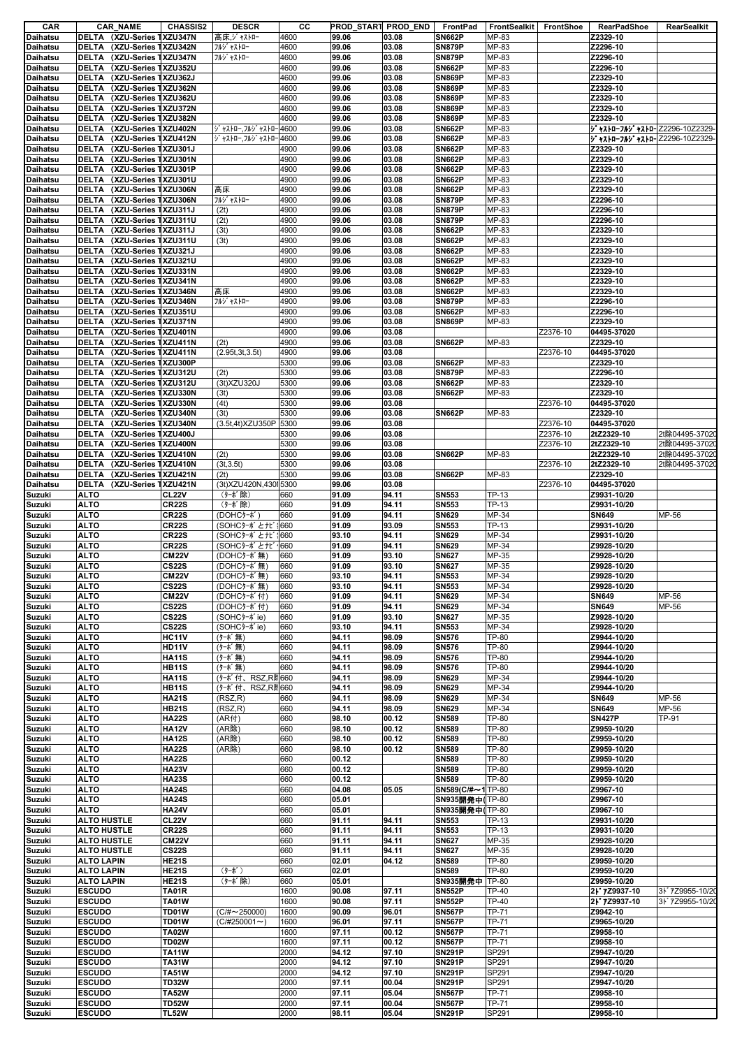| CAR             | <b>CAR_NAME</b>                      | <b>CHASSIS2</b>    | <b>DESCR</b>           | cс   | PROD_START PROD_END |       | FrontPad          | FrontSealkit FrontShoe |          | <b>RearPadShoe</b>                | RearSealkit     |
|-----------------|--------------------------------------|--------------------|------------------------|------|---------------------|-------|-------------------|------------------------|----------|-----------------------------------|-----------------|
| Daihatsu        | DELTA (XZU-Series 1XZU347N           |                    | 高床,ジャストロー              | 4600 | 99.06               | 03.08 | <b>SN662P</b>     | MP-83                  |          | Z2329-10                          |                 |
| Daihatsu        | DELTA (XZU-Series 1XZU342N           |                    | フルジ ャストロー              | 4600 | 99.06               | 03.08 | <b>SN879P</b>     | MP-83                  |          | Z2296-10                          |                 |
| Daihatsu        | DELTA (XZU-Series 1XZU347N           |                    | フルジ ャストロー              | 4600 | 99.06               | 03.08 | <b>SN879P</b>     | MP-83                  |          | Z2296-10                          |                 |
| Daihatsu        | DELTA (XZU-Series 1XZU352U           |                    |                        | 4600 | 99.06               | 03.08 | <b>SN662P</b>     | MP-83                  |          | Z2296-10                          |                 |
| <b>Daihatsu</b> | DELTA (XZU-Series 1XZU362J           |                    |                        | 4600 | 99.06               | 03.08 | <b>SN869P</b>     | MP-83                  |          | Z2329-10                          |                 |
| Daihatsu        | DELTA (XZU-Series 1XZU362N           |                    |                        | 4600 | 99.06               | 03.08 | <b>SN869P</b>     | MP-83                  |          | Z2329-10                          |                 |
| Daihatsu        | DELTA (XZU-Series 1XZU362U           |                    |                        | 4600 | 99.06               | 03.08 | <b>SN869P</b>     | MP-83                  |          | Z2329-10                          |                 |
| Daihatsu        | DELTA (XZU-Series 1XZU372N           |                    |                        | 4600 | 99.06               | 03.08 | <b>SN869P</b>     | MP-83                  |          | Z2329-10                          |                 |
| Daihatsu        | DELTA (XZU-Series 1XZU382N           |                    |                        | 4600 | 99.06               | 03.08 | <b>SN869P</b>     | MP-83                  |          | Z2329-10                          |                 |
| Daihatsu        | DELTA (XZU-Series 1XZU402N           |                    | ジャストロー,フルジャストロー        | 4600 | 99.06               | 03.08 | <b>SN662P</b>     | MP-83                  |          | ジャストローフルジャストロ-Z2296-10Z2329-      |                 |
| Daihatsu        | (XZU-Series 1XZU412N<br>DELTA        |                    | ジャストロー,フルジャストロー4600    |      | 99.06               | 03.08 | <b>SN662P</b>     | MP-83                  |          | 5' +XI-D-7J>' +XI-D-Z2296-10Z2329 |                 |
| Daihatsu        | <b>DELTA</b><br>(XZU-Series 1XZU301J |                    |                        | 4900 | 99.06               | 03.08 | <b>SN662P</b>     | MP-83                  |          | Z2329-10                          |                 |
| <b>Daihatsu</b> | DELTA (XZU-Series 1XZU301N           |                    |                        | 4900 | 99.06               | 03.08 | <b>SN662P</b>     | MP-83                  |          | Z2329-10                          |                 |
| Daihatsu        | DELTA (XZU-Series 1XZU301P           |                    |                        | 4900 | 99.06               | 03.08 | <b>SN662P</b>     | MP-83                  |          | Z2329-10                          |                 |
| Daihatsu        | DELTA (XZU-Series 1XZU301U           |                    |                        | 4900 | 99.06               | 03.08 | <b>SN662P</b>     | MP-83                  |          | Z2329-10                          |                 |
| <b>Daihatsu</b> | DELTA (XZU-Series 1XZU306N           |                    | 高床                     | 4900 | 99.06               | 03.08 | <b>SN662P</b>     | MP-83                  |          | Z2329-10                          |                 |
| <b>Daihatsu</b> | DELTA (XZU-Series 1XZU306N           |                    | フルジ ャストロー              | 4900 | 99.06               | 03.08 | <b>SN879P</b>     | MP-83                  |          | Z2296-10                          |                 |
| Daihatsu        | DELTA (XZU-Series 1XZU311J           |                    | (2t)                   | 4900 | 99.06               | 03.08 | <b>SN879P</b>     | MP-83                  |          | Z2296-10                          |                 |
| Daihatsu        | DELTA (XZU-Series 1XZU311U           |                    | (2t)                   | 4900 | 99.06               | 03.08 | <b>SN879P</b>     | MP-83                  |          | Z2296-10                          |                 |
| Daihatsu        | DELTA (XZU-Series 1XZU311J           |                    | (3t)                   | 4900 | 99.06               | 03.08 | <b>SN662P</b>     | MP-83                  |          | Z2329-10                          |                 |
| Daihatsu        | (XZU-Series 1XZU311U<br>DELTA        |                    | (3t)                   | 4900 | 99.06               | 03.08 | <b>SN662P</b>     | MP-83                  |          | Z2329-10                          |                 |
| Daihatsu        | DELTA (XZU-Series 1XZU321J           |                    |                        | 4900 | 99.06               | 03.08 | <b>SN662P</b>     | MP-83                  |          | Z2329-10                          |                 |
| Daihatsu        | DELTA (XZU-Series 1XZU321U           |                    |                        | 4900 | 99.06               | 03.08 | <b>SN662P</b>     | MP-83                  |          | Z2329-10                          |                 |
| <b>Daihatsu</b> | DELTA (XZU-Series 1XZU331N           |                    |                        | 4900 | 99.06               | 03.08 | <b>SN662P</b>     | MP-83                  |          | Z2329-10                          |                 |
| Daihatsu        | DELTA (XZU-Series 1XZU341N           |                    |                        | 4900 | 99.06               | 03.08 | <b>SN662P</b>     | MP-83                  |          | Z2329-10                          |                 |
| Daihatsu        | DELTA (XZU-Series 1XZU346N           |                    | 高床                     | 4900 | 99.06               | 03.08 | <b>SN662P</b>     | MP-83                  |          | Z2329-10                          |                 |
| Daihatsu        | DELTA (XZU-Series 1XZU346N           |                    | フルジ ャストロー              | 4900 | 99.06               | 03.08 | <b>SN879P</b>     | MP-83                  |          | Z2296-10                          |                 |
| Daihatsu        | DELTA (XZU-Series 1XZU351U           |                    |                        | 4900 | 99.06               | 03.08 | <b>SN662P</b>     | MP-83                  |          | Z2296-10                          |                 |
| Daihatsu        | DELTA (XZU-Series 1XZU371N           |                    |                        | 4900 | 99.06               | 03.08 | <b>SN869P</b>     | MP-83                  |          | Z2329-10                          |                 |
| <b>Daihatsu</b> | DELTA (XZU-Series 1XZU401N           |                    |                        | 4900 | 99.06               | 03.08 |                   |                        | Z2376-10 | 04495-37020                       |                 |
| Daihatsu        | DELTA (XZU-Series 1XZU411N           |                    | (2t)                   | 4900 | 99.06               | 03.08 | <b>SN662P</b>     | MP-83                  |          | Z2329-10                          |                 |
| Daihatsu        | (XZU-Series 1XZU411N<br>DELTA        |                    | (2.95t, 3t, 3.5t)      | 4900 | 99.06               | 03.08 |                   |                        | Z2376-10 | 04495-37020                       |                 |
| Daihatsu        | DELTA (XZU-Series 1XZU300P           |                    |                        | 5300 | 99.06               | 03.08 | <b>SN662P</b>     | MP-83                  |          | Z2329-10                          |                 |
| Daihatsu        | DELTA (XZU-Series 1XZU312U           |                    | (2t)                   | 5300 | 99.06               | 03.08 | <b>SN879P</b>     | MP-83                  |          | Z2296-10                          |                 |
| Daihatsu        | DELTA (XZU-Series 1XZU312U           |                    | (3t) XZU320J           | 5300 | 99.06               | 03.08 | <b>SN662P</b>     | MP-83                  |          | Z2329-10                          |                 |
| Daihatsu        | (XZU-Series 1XZU330N<br><b>DELTA</b> |                    | (3t)                   | 5300 | 99.06               | 03.08 | <b>SN662P</b>     | MP-83                  |          | Z2329-10                          |                 |
| Daihatsu        | <b>DELTA</b><br>(XZU-Series 1XZU330N |                    | (4t)                   | 5300 | 99.06               | 03.08 |                   |                        | Z2376-10 | 04495-37020                       |                 |
| Daihatsu        | DELTA (XZU-Series 1XZU340N           |                    | (3t)                   | 5300 | 99.06               | 03.08 | <b>SN662P</b>     | MP-83                  |          | Z2329-10                          |                 |
| Daihatsu        | DELTA (XZU-Series 1XZU340N           |                    | (3.5t,4t)XZU350P       | 5300 | 99.06               | 03.08 |                   |                        | Z2376-10 | 04495-37020                       |                 |
| Daihatsu        | DELTA (XZU-Series 1XZU400J           |                    |                        | 5300 | 99.06               | 03.08 |                   |                        | Z2376-10 | 2tZ2329-10                        | 2t除04495-37020  |
| Daihatsu        | DELTA (XZU-Series 1XZU400N           |                    |                        | 5300 | 99.06               | 03.08 |                   |                        | Z2376-10 | 2tZ2329-10                        | 2t除04495-37020  |
| Daihatsu        | DELTA (XZU-Series 1XZU410N           |                    | (2t)                   | 5300 | 99.06               | 03.08 | <b>SN662P</b>     | MP-83                  |          | 2tZ2329-10                        | 2t除04495-37020  |
| Daihatsu        | DELTA (XZU-Series 1XZU410N           |                    | (3t, 3.5t)             | 5300 | 99.06               | 03.08 |                   |                        | Z2376-10 | 2tZ2329-10                        | 2t除04495-37020  |
| Daihatsu        | DELTA (XZU-Series 1XZU421N           |                    | (2t)                   | 5300 | 99.06               | 03.08 | <b>SN662P</b>     | MP-83                  |          | Z2329-10                          |                 |
| Daihatsu        | DELTA (XZU-Series 1XZU421N           |                    | (3t) XZU420N, 430 5300 |      | 99.06               | 03.08 |                   |                        | Z2376-10 | 04495-37020                       |                 |
| Suzuki          | <b>ALTO</b>                          | CL <sub>22</sub> V | (ターボ除)                 | 660  | 91.09               | 94.11 | <b>SN553</b>      | TP-13                  |          | Z9931-10/20                       |                 |
| Suzuki          | <b>ALTO</b>                          | <b>CR22S</b>       | (ターボ除)                 | 660  | 91.09               | 94.11 | <b>SN553</b>      | TP-13                  |          | Z9931-10/20                       |                 |
| Suzuki          | <b>ALTO</b>                          | <b>CR22S</b>       | (DOHCターボ)              | 660  | 91.09               | 94.11 | SN629             | MP-34                  |          | <b>SN649</b>                      | MP-56           |
| Suzuki          | <b>ALTO</b>                          | <b>CR22S</b>       | (SOHCターボとナビ            | 660  | 91.09               | 93.09 | <b>SN553</b>      | TP-13                  |          | Z9931-10/20                       |                 |
| Suzuki          | <b>ALTO</b>                          | <b>CR22S</b>       | (SOHCターボとナビ            | 660  | 93.10               | 94.11 | <b>SN629</b>      | MP-34                  |          | Z9931-10/20                       |                 |
| Suzuki          | <b>ALTO</b>                          | <b>CR22S</b>       | (SOHCターボとナビ            | 660  | 91.09               | 94.11 | SN629             | MP-34                  |          | Z9928-10/20                       |                 |
| <b>Suzuki</b>   | <b>ALTO</b>                          | <b>CM22V</b>       | (DOHCターボ無)             | 660  | 91.09               | 93.10 | <b>SN627</b>      | MP-35                  |          | Z9928-10/20                       |                 |
| Suzuki          | <b>ALTO</b>                          | <b>CS22S</b>       | (DOHCターボ無)             | 660  | 91.09               | 93.10 | <b>SN627</b>      | MP-35                  |          | Z9928-10/20                       |                 |
| Suzuki          | <b>ALTO</b>                          | <b>CM22V</b>       | (DOHCターボ無)             | 660  | 93.10               | 94.11 | <b>SN553</b>      | MP-34                  |          | Z9928-10/20                       |                 |
| Suzuki          | <b>ALTO</b>                          | <b>CS22S</b>       | (DOHCターボ無)             | 660  | 93.10               | 94.11 | <b>SN553</b>      | MP-34                  |          | Z9928-10/20                       |                 |
| Suzuki          | <b>ALTO</b>                          | <b>CM22V</b>       | (DOHCターボ付)             | 660  | 91.09               | 94.11 | <b>SN629</b>      | MP-34                  |          | <b>SN649</b>                      | MP-56           |
| Suzuki          | <b>ALTO</b>                          | <b>CS22S</b>       | (DOHCターボ付)             | 660  | 91.09               | 94.11 | SN629             | MP-34                  |          | <b>SN649</b>                      | MP-56           |
| Suzuki          | <b>ALTO</b>                          | <b>CS22S</b>       | (SOHC)-** ie)          | 660  | 91.09               | 93.10 | <b>SN627</b>      | MP-35                  |          | Z9928-10/20                       |                 |
| Suzuki          | <b>ALTO</b>                          | <b>CS22S</b>       | (SOHC)-** ie)          | 660  | 93.10               | 94.11 | <b>SN553</b>      | MP-34                  |          | Z9928-10/20                       |                 |
| Suzuki          | <b>ALTO</b>                          | <b>HC11V</b>       | (ターボ無)                 | 660  | 94.11               | 98.09 | <b>SN576</b>      | <b>TP-80</b>           |          | Z9944-10/20                       |                 |
| Suzuki          | <b>ALTO</b>                          | HD11V              | (ターボ無)                 | 660  | 94.11               | 98.09 | <b>SN576</b>      | TP-80                  |          | Z9944-10/20                       |                 |
| Suzuki          | <b>ALTO</b>                          | <b>HA11S</b>       | (ターボ無)                 | 660  | 94.11               | 98.09 | <b>SN576</b>      | <b>TP-80</b>           |          | Z9944-10/20                       |                 |
| Suzuki          | <b>ALTO</b>                          | <b>HB11S</b>       | (ターボ無)                 | 660  | 94.11               | 98.09 | <b>SN576</b>      | <b>TP-80</b>           |          | Z9944-10/20                       |                 |
| Suzuki          | <b>ALTO</b>                          | <b>HA11S</b>       | (ターボ付、RSZ,R附660        |      | 94.11               | 98.09 | <b>SN629</b>      | MP-34                  |          | Z9944-10/20                       |                 |
| Suzuki          | <b>ALTO</b>                          | <b>HB11S</b>       | (ターボ付、RSZ,R隊660        |      | 94.11               | 98.09 | <b>SN629</b>      | MP-34                  |          | Z9944-10/20                       |                 |
| Suzuki          | <b>ALTO</b>                          | <b>HA21S</b>       | (RSZ, R)               | 660  | 94.11               | 98.09 | <b>SN629</b>      | MP-34                  |          | <b>SN649</b>                      | MP-56           |
| Suzuki          | <b>ALTO</b>                          | <b>HB21S</b>       | (RSZ,R)                | 660  | 94.11               | 98.09 | SN629             | MP-34                  |          | <b>SN649</b>                      | MP-56           |
| Suzuki          | <b>ALTO</b>                          | <b>HA22S</b>       | (AR付)                  | 660  | 98.10               | 00.12 | <b>SN589</b>      | TP-80                  |          | <b>SN427P</b>                     | TP-91           |
| Suzuki          | <b>ALTO</b>                          | <b>HA12V</b>       | (AR除)                  | 660  | 98.10               | 00.12 | <b>SN589</b>      | TP-80                  |          | Z9959-10/20                       |                 |
| Suzuki          | <b>ALTO</b>                          | <b>HA12S</b>       | (AR除)                  | 660  | 98.10               | 00.12 | <b>SN589</b>      | <b>TP-80</b>           |          | Z9959-10/20                       |                 |
| Suzuki          | <b>ALTO</b>                          | <b>HA22S</b>       | (AR除)                  | 660  | 98.10               | 00.12 | <b>SN589</b>      | TP-80                  |          | Z9959-10/20                       |                 |
| Suzuki          | <b>ALTO</b>                          | <b>HA22S</b>       |                        | 660  | 00.12               |       | <b>SN589</b>      | TP-80                  |          | Z9959-10/20                       |                 |
| Suzuki          | <b>ALTO</b>                          | <b>HA23V</b>       |                        | 660  | 00.12               |       | SN589             | <b>TP-80</b>           |          | Z9959-10/20                       |                 |
| Suzuki          | <b>ALTO</b>                          | <b>HA23S</b>       |                        | 660  | 00.12               |       | SN589             | <b>TP-80</b>           |          | Z9959-10/20                       |                 |
| Suzuki          | <b>ALTO</b>                          | <b>HA24S</b>       |                        | 660  | 04.08               | 05.05 | SN589(C/#~1 TP-80 |                        |          | Z9967-10                          |                 |
| Suzuki          | <b>ALTO</b>                          | <b>HA24S</b>       |                        | 660  | 05.01               |       | SN935開発中(TP-80    |                        |          | Z9967-10                          |                 |
| <b>Suzuki</b>   | <b>ALTO</b>                          | <b>HA24V</b>       |                        | 660  | 05.01               |       | SN935開発中(TP-80    |                        |          | Z9967-10                          |                 |
| Suzuki          | <b>ALTO HUSTLE</b>                   | <b>CL22V</b>       |                        | 660  | 91.11               | 94.11 | <b>SN553</b>      | TP-13                  |          | Z9931-10/20                       |                 |
| Suzuki          | <b>ALTO HUSTLE</b>                   | <b>CR22S</b>       |                        | 660  | 91.11               | 94.11 | <b>SN553</b>      | <b>TP-13</b>           |          | Z9931-10/20                       |                 |
| Suzuki          | <b>ALTO HUSTLE</b>                   | <b>CM22V</b>       |                        | 660  | 91.11               | 94.11 | <b>SN627</b>      | MP-35                  |          | Z9928-10/20                       |                 |
| Suzuki          | <b>ALTO HUSTLE</b>                   | <b>CS22S</b>       |                        | 660  | 91.11               | 94.11 | <b>SN627</b>      | MP-35                  |          | Z9928-10/20                       |                 |
| Suzuki          | <b>ALTO LAPIN</b>                    | <b>HE21S</b>       |                        | 660  | 02.01               | 04.12 | SN589             | <b>TP-80</b>           |          | Z9959-10/20                       |                 |
| Suzuki          | <b>ALTO LAPIN</b>                    | <b>HE21S</b>       | $(9 - k^*)$            | 660  | 02.01               |       | SN589             | <b>TP-80</b>           |          | Z9959-10/20                       |                 |
| Suzuki          | <b>ALTO LAPIN</b>                    | <b>HE21S</b>       | (ターボ除)                 | 660  | 05.01               |       | SN935開発中 TP-80    |                        |          | Z9959-10/20                       |                 |
| Suzuki          | <b>ESCUDO</b>                        | <b>TA01R</b>       |                        | 1600 | 90.08               | 97.11 | <b>SN552P</b>     | TP-40                  |          | 21 7Z9937-10                      | 3ドアZ9955-10/20  |
| Suzuki          | <b>ESCUDO</b>                        | <b>TA01W</b>       |                        | 1600 | 90.08               | 97.11 | <b>SN552P</b>     | TP-40                  |          | 21 7Z9937-10                      | 3ド 7Z9955-10/20 |
| Suzuki          | <b>ESCUDO</b>                        | <b>TD01W</b>       | $(C/H \sim 250000)$    | 1600 | 90.09               | 96.01 | <b>SN567P</b>     | TP-71                  |          | Z9942-10                          |                 |
| Suzuki          | <b>ESCUDO</b>                        | <b>TD01W</b>       | $(C/H250001 \sim )$    | 1600 | 96.01               | 97.11 | <b>SN567P</b>     | TP-71                  |          | Z9965-10/20                       |                 |
| Suzuki          | <b>ESCUDO</b>                        | <b>TA02W</b>       |                        | 1600 | 97.11               | 00.12 | <b>SN567P</b>     | TP-71                  |          | Z9958-10                          |                 |
| Suzuki          | <b>ESCUDO</b>                        | <b>TD02W</b>       |                        | 1600 | 97.11               | 00.12 | <b>SN567P</b>     | TP-71                  |          | Z9958-10                          |                 |
| Suzuki          | <b>ESCUDO</b>                        | <b>TA11W</b>       |                        | 2000 | 94.12               | 97.10 | <b>SN291P</b>     | SP291                  |          | Z9947-10/20                       |                 |
| Suzuki          | <b>ESCUDO</b>                        | <b>TA31W</b>       |                        | 2000 | 94.12               | 97.10 | <b>SN291P</b>     | SP291                  |          | Z9947-10/20                       |                 |
| Suzuki          | <b>ESCUDO</b>                        | <b>TA51W</b>       |                        | 2000 | 94.12               | 97.10 | <b>SN291P</b>     | SP291                  |          | Z9947-10/20                       |                 |
| Suzuki          | <b>ESCUDO</b>                        | <b>TD32W</b>       |                        | 2000 | 97.11               | 00.04 | <b>SN291P</b>     | SP291                  |          | Z9947-10/20                       |                 |
| Suzuki          | <b>ESCUDO</b>                        | <b>TA52W</b>       |                        | 2000 | 97.11               | 05.04 | <b>SN567P</b>     | <b>TP-71</b>           |          | Z9958-10                          |                 |
| <b>Suzuki</b>   | <b>ESCUDO</b>                        | <b>TD52W</b>       |                        | 2000 | 97.11               | 00.04 | <b>SN567P</b>     | TP-71                  |          | Z9958-10                          |                 |
| Suzuki          | <b>ESCUDO</b>                        | <b>TL52W</b>       |                        | 2000 | 98.11               | 05.04 | <b>SN291P</b>     | SP291                  |          | Z9958-10                          |                 |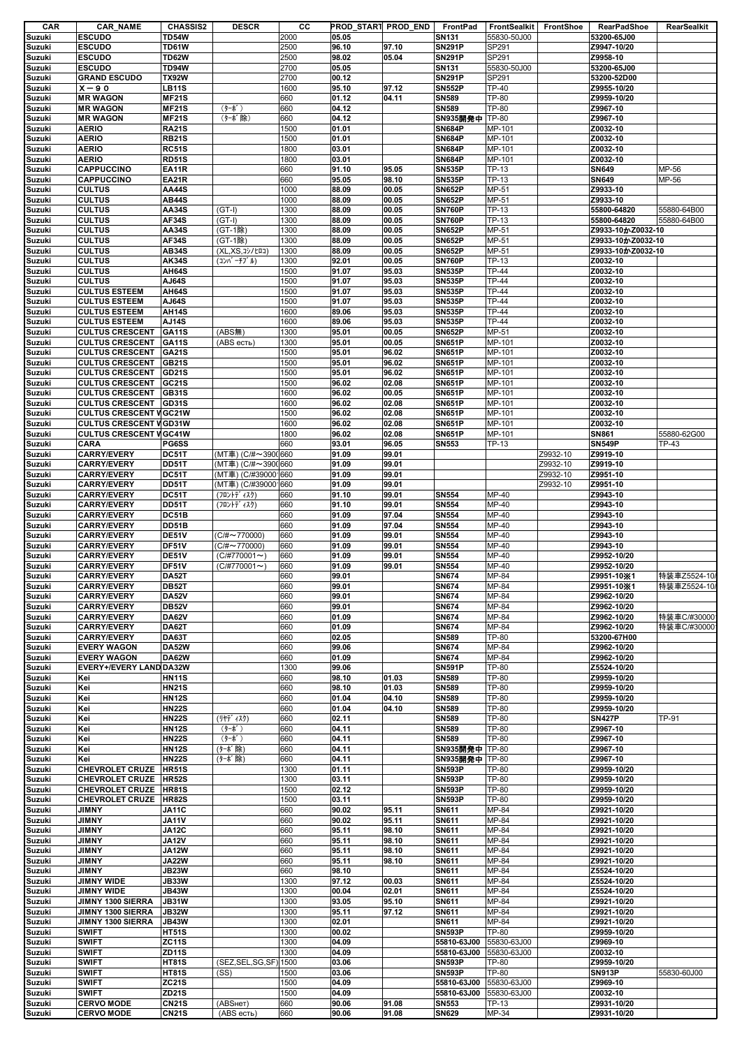| CAR           | <b>CAR_NAME</b>                | <b>CHASSIS2</b>              | <b>DESCR</b>        | CС           |       | PROD_START PROD_END | FrontPad                     | FrontSealkit FrontShoe |          | RearPadShoe       | RearSealkit  |
|---------------|--------------------------------|------------------------------|---------------------|--------------|-------|---------------------|------------------------------|------------------------|----------|-------------------|--------------|
| Suzuki        | <b>ESCUDO</b>                  | <b>TD54W</b>                 |                     | 2000         | 05.05 |                     | <b>SN131</b>                 | 55830-50J00            |          | 53200-65J00       |              |
| Suzuki        | <b>ESCUDO</b>                  | TD61W                        |                     | 2500         | 96.10 | 97.10               | <b>SN291P</b>                | SP291                  |          | Z9947-10/20       |              |
| Suzuki        | <b>ESCUDO</b>                  | <b>TD62W</b>                 |                     | 2500         | 98.02 | 05.04               | <b>SN291P</b>                | SP291                  |          | Z9958-10          |              |
| Suzuki        | <b>ESCUDO</b>                  | <b>TD94W</b>                 |                     | 2700         | 05.05 |                     | <b>SN131</b>                 | 55830-50J00            |          | 53200-65J00       |              |
| Suzuki        | <b>GRAND ESCUDO</b>            | <b>TX92W</b>                 |                     | 2700         | 00.12 |                     | <b>SN291P</b>                | SP291                  |          | 53200-52D00       |              |
| Suzuki        | $X - 90$                       | <b>LB11S</b>                 |                     | 1600         | 95.10 | 97.12               | <b>SN552P</b>                | <b>TP-40</b>           |          | Z9955-10/20       |              |
| <b>Suzuki</b> | <b>MR WAGON</b>                | <b>MF21S</b>                 |                     | 660          | 01.12 | 04.11               | <b>SN589</b>                 | <b>TP-80</b>           |          | Z9959-10/20       |              |
| Suzuki        | <b>MR WAGON</b>                | <b>MF21S</b>                 | (ターボ)               | 660          | 04.12 |                     | <b>SN589</b>                 | TP-80                  |          | Z9967-10          |              |
| Suzuki        | <b>MR WAGON</b>                | <b>MF21S</b>                 | (ターボ除)              | 660          | 04.12 |                     | SN935開発中 TP-80               |                        |          | Z9967-10          |              |
| Suzuki        | <b>AERIO</b>                   | <b>RA21S</b>                 |                     | 1500         | 01.01 |                     | <b>SN684P</b>                | MP-101                 |          | Z0032-10          |              |
| Suzuki        | <b>AERIO</b>                   | <b>RB21S</b>                 |                     | 1500         | 01.01 |                     | <b>SN684P</b>                | MP-101                 |          | Z0032-10          |              |
| Suzuki        | <b>AERIO</b>                   | <b>RC51S</b>                 |                     | 1800         | 03.01 |                     | <b>SN684P</b>                | MP-101                 |          | Z0032-10          |              |
| Suzuki        | <b>AERIO</b>                   | <b>RD51S</b>                 |                     | 1800         | 03.01 |                     | <b>SN684P</b>                | MP-101                 |          | Z0032-10          |              |
| Suzuki        | CAPPUCCINO                     | <b>EA11R</b>                 |                     | 660          | 91.10 | 95.05               | <b>SN535P</b>                | TP-13                  |          | <b>SN649</b>      | MP-56        |
| Suzuki        | <b>CAPPUCCINO</b>              | <b>EA21R</b>                 |                     | 660          | 95.05 | 98.10               | <b>SN535P</b>                | <b>TP-13</b>           |          | <b>SN649</b>      | MP-56        |
| Suzuki        | <b>CULTUS</b>                  | <b>AA44S</b>                 |                     | 1000         | 88.09 | 00.05               | <b>SN652P</b>                | MP-51                  |          | Z9933-10          |              |
| Suzuki        | <b>CULTUS</b>                  | <b>AB44S</b>                 |                     | 1000         | 88.09 | 00.05               | <b>SN652P</b>                | MP-51                  |          | Z9933-10          |              |
| <b>Suzuki</b> | <b>CULTUS</b>                  | AA34S                        | $(GT-I)$            | 1300         | 88.09 | 00.05               | <b>SN760P</b>                | TP-13                  |          | 55800-64820       | 55880-64B00  |
| <b>Suzuki</b> | <b>CULTUS</b>                  | <b>AF34S</b>                 | $(GT-I)$            | 1300         | 88.09 | 00.05               | <b>SN760P</b>                | TP-13                  |          | 55800-64820       | 55880-64B00  |
| Suzuki        | <b>CULTUS</b>                  | AA34S                        | (GT-1除)             | 1300         | 88.09 | 00.05               | <b>SN652P</b>                | MP-51                  |          | Z9933-10かZ0032-10 |              |
| <b>Suzuki</b> | <b>CULTUS</b>                  | <b>AF34S</b>                 | (GT-1除)             | 1300         | 88.09 | 00.05               | <b>SN652P</b>                | MP-51                  |          | Z9933-10かZ0032-10 |              |
|               |                                |                              |                     |              |       | 00.05               | <b>SN652P</b>                |                        |          |                   |              |
| Suzuki        | <b>CULTUS</b>                  | <b>AB34S</b>                 | (XL,XS, 1)/t01)     | 1300         | 88.09 |                     |                              | MP-51                  |          | Z9933-10かZ0032-10 |              |
| Suzuki        | <b>CULTUS</b>                  | <b>AK34S</b>                 | (コンパーチブル)           | 1300         | 92.01 | 00.05               | <b>SN760P</b>                | TP-13                  |          | Z0032-10          |              |
| Suzuki        | <b>CULTUS</b>                  | AH64S                        |                     | 1500         | 91.07 | 95.03               | <b>SN535P</b>                | <b>TP-44</b>           |          | Z0032-10          |              |
| Suzuki        | <b>CULTUS</b>                  | AJ64S                        |                     | 1500         | 91.07 | 95.03               | <b>SN535P</b>                | <b>TP-44</b>           |          | Z0032-10          |              |
| Suzuki        | <b>CULTUS ESTEEM</b>           | AH64S                        |                     | 1500         | 91.07 | 95.03               | <b>SN535P</b>                | TP-44                  |          | Z0032-10          |              |
| Suzuki        | <b>CULTUS ESTEEM</b>           | AJ64S                        |                     | 1500         | 91.07 | 95.03               | <b>SN535P</b>                | <b>TP-44</b>           |          | Z0032-10          |              |
| Suzuki        | <b>CULTUS ESTEEM</b>           | <b>AH14S</b>                 |                     | 1600         | 89.06 | 95.03               | <b>SN535P</b>                | <b>TP-44</b>           |          | Z0032-10          |              |
| Suzuki        | <b>CULTUS ESTEEM</b>           | AJ14S                        |                     | 1600         | 89.06 | 95.03               | <b>SN535P</b>                | <b>TP-44</b>           |          | Z0032-10          |              |
| <b>Suzuki</b> | <b>CULTUS CRESCENT</b>         | <b>GA11S</b>                 | (ABS無)              | 1300         | 95.01 | 00.05               | <b>SN652P</b>                | MP-51                  |          | Z0032-10          |              |
| Suzuki        | <b>CULTUS CRESCENT</b>         | <b>GA11S</b>                 | (ABS есть)          | 1300         | 95.01 | 00.05               | <b>SN651P</b>                | MP-101                 |          | Z0032-10          |              |
| Suzuki        | <b>CULTUS CRESCENT</b>         | <b>GA21S</b>                 |                     | 1500         | 95.01 | 96.02               | <b>SN651P</b>                | MP-101                 |          | Z0032-10          |              |
| <b>Suzuki</b> | <b>CULTUS CRESCENT</b>         | <b>GB21S</b>                 |                     | 1500         | 95.01 | 96.02               | <b>SN651P</b>                | MP-101                 |          | Z0032-10          |              |
| Suzuki        | <b>CULTUS CRESCENT</b>         | <b>GD21S</b>                 |                     | 1500         | 95.01 | 96.02               | <b>SN651P</b>                | MP-101                 |          | Z0032-10          |              |
| Suzuki        | <b>CULTUS CRESCENT</b>         | GC21S                        |                     | 1500         | 96.02 | 02.08               | <b>SN651P</b>                | MP-101                 |          | Z0032-10          |              |
| <b>Suzuki</b> | <b>CULTUS CRESCENT</b>         | GB31S                        |                     | 1600         | 96.02 | 00.05               | <b>SN651P</b>                | MP-101                 |          | Z0032-10          |              |
| Suzuki        | <b>CULTUS CRESCENT</b>         | GD31S                        |                     | 1600         | 96.02 | 02.08               | <b>SN651P</b>                | MP-101                 |          | Z0032-10          |              |
| Suzuki        | <b>CULTUS CRESCENT V GC21W</b> |                              |                     | 1500         | 96.02 | 02.08               | <b>SN651P</b>                | MP-101                 |          | Z0032-10          |              |
| Suzuki        | <b>CULTUS CRESCENT V GD31W</b> |                              |                     | 1600         | 96.02 | 02.08               | <b>SN651P</b>                | MP-101                 |          | Z0032-10          |              |
| Suzuki        | <b>CULTUS CRESCENT V GC41W</b> |                              |                     | 1800         | 96.02 | 02.08               | <b>SN651P</b>                | MP-101                 |          | <b>SN861</b>      | 55880-62G00  |
| Suzuki        | CARA                           | PG6SS                        |                     | 660          | 93.01 | 96.05               | <b>SN553</b>                 | TP-13                  |          | <b>SN549P</b>     | TP-43        |
| Suzuki        | <b>CARRY/EVERY</b>             | DC51T                        | (MT車) (C/#~3900660  |              | 91.09 | 99.01               |                              |                        | Z9932-10 | Z9919-10          |              |
|               | <b>CARRY/EVERY</b>             | DD51T                        | (MT車) (C/#~3900660  |              | 91.09 | 99.01               |                              |                        | Z9932-10 | Z9919-10          |              |
| <b>Suzuki</b> |                                |                              |                     |              |       |                     |                              |                        |          |                   |              |
| Suzuki        | <b>CARRY/EVERY</b>             | DC51T                        | (MT車) (C/#39000 660 |              | 91.09 | 99.01               |                              |                        | Z9932-10 | Z9951-10          |              |
| Suzuki        | <b>CARRY/EVERY</b>             | <b>DD51T</b>                 | (MT車) (C/#390001660 |              | 91.09 | 99.01               |                              |                        | Z9932-10 | Z9951-10          |              |
| <b>Suzuki</b> | <b>CARRY/EVERY</b>             | DC51T                        | (フロントデ ィスク)         | 660          | 91.10 | 99.01               | <b>SN554</b>                 | MP-40                  |          | Z9943-10          |              |
| Suzuki        | <b>CARRY/EVERY</b>             | DD51T                        | (フロントデ ィスク)         | 660          | 91.10 | 99.01               | <b>SN554</b>                 | MP-40                  |          | Z9943-10          |              |
| Suzuki        | <b>CARRY/EVERY</b>             | DC51B                        |                     | 660          | 91.09 | 97.04               | <b>SN554</b>                 | MP-40                  |          | Z9943-10          |              |
| Suzuki        | <b>CARRY/EVERY</b>             | <b>DD51B</b>                 |                     | 660          | 91.09 | 97.04               | <b>SN554</b>                 | MP-40                  |          | Z9943-10          |              |
| Suzuki        | <b>CARRY/EVERY</b>             | DE51V                        | $(C/H \sim 770000)$ | 660          | 91.09 | 99.01               | <b>SN554</b>                 | MP-40                  |          | Z9943-10          |              |
| <b>Suzuki</b> | <b>CARRY/EVERY</b>             | DF51V                        | $(C/H \sim 770000)$ | 660          | 91.09 | 99.01               | <b>SN554</b>                 | MP-40                  |          | Z9943-10          |              |
| Suzuki        | <b>CARRY/EVERY</b>             | DE51V                        | $(C/H770001 \sim )$ | 660          | 91.09 | 99.01               | <b>SN554</b>                 | MP-40                  |          | Z9952-10/20       |              |
| Suzuki        | <b>CARRY/EVERY</b>             | DF51V                        | $(C/H770001 \sim )$ | 660          | 91.09 | 99.01               | <b>SN554</b>                 | MP-40                  |          | Z9952-10/20       |              |
| <b>Suzuki</b> | <b>CARRY/EVERY</b>             | <b>DA52T</b>                 |                     | 660          | 99.01 |                     | <b>SN674</b>                 | MP-84                  |          | Z9951-10X1        | 特装車Z5524-10/ |
| <b>Suzuki</b> | <b>CARRY/EVERY</b>             | <b>DB52T</b>                 |                     | 660          | 99.01 |                     | <b>SN674</b>                 | MP-84                  |          | Z9951-10X1        | 特装車Z5524-10/ |
| Suzuki        | <b>CARRY/EVERY</b>             | <b>DA52V</b>                 |                     | 660          | 99.01 |                     | <b>SN674</b>                 | MP-84                  |          | Z9962-10/20       |              |
| Suzuki        | <b>CARRY/EVERY</b>             | <b>DB52V</b>                 |                     | 660          | 99.01 |                     | <b>SN674</b>                 | MP-84                  |          | Z9962-10/20       |              |
| Suzuki        | <b>CARRY/EVERY</b>             | <b>DA62V</b>                 |                     | 660          | 01.09 |                     | <b>SN674</b>                 | MP-84                  |          | Z9962-10/20       | 特装車C/#30000  |
| Suzuki        | <b>CARRY/EVERY</b>             | DA62T                        |                     | 660          | 01.09 |                     | <b>SN674</b>                 | MP-84                  |          | Z9962-10/20       | 特装車C/#30000  |
| Suzuki        | <b>CARRY/EVERY</b>             | DA63T                        |                     | 660          | 02.05 |                     | <b>SN589</b>                 | TP-80                  |          | 53200-67H00       |              |
| Suzuki        | <b>EVERY WAGON</b>             | <b>DA52W</b>                 |                     | 660          | 99.06 |                     | <b>SN674</b>                 | MP-84                  |          | Z9962-10/20       |              |
| Suzuki        | <b>EVERY WAGON</b>             | <b>DA62W</b>                 |                     | 660          | 01.09 |                     | <b>SN674</b>                 | MP-84                  |          | Z9962-10/20       |              |
| Suzuki        | EVERY+/EVERY LAND DA32W        |                              |                     | 1300         | 99.06 |                     | <b>SN591P</b>                | TP-80                  |          | Z5524-10/20       |              |
| Suzuki        | Kei                            | <b>HN11S</b>                 |                     | 660          | 98.10 | 01.03               | <b>SN589</b>                 | <b>TP-80</b>           |          | Z9959-10/20       |              |
|               | Kei                            | <b>HN21S</b>                 |                     | 660          | 98.10 | 01.03               | <b>SN589</b>                 | <b>TP-80</b>           |          | Z9959-10/20       |              |
| Suzuki        |                                | <b>HN12S</b>                 |                     | 660          | 01.04 | 04.10               | <b>SN589</b>                 | TP-80                  |          | Z9959-10/20       |              |
| Suzuki        | Kei                            | <b>HN22S</b>                 |                     |              |       |                     |                              |                        |          | Z9959-10/20       |              |
| Suzuki        | Kei                            |                              |                     | 660          | 01.04 | 04.10               | <b>SN589</b>                 | <b>TP-80</b>           |          |                   |              |
| Suzuki        | Kei                            | <b>HN22S</b>                 | (リヤデ ィスク)           | 660          | 02.11 |                     | <b>SN589</b>                 | <b>TP-80</b>           |          | <b>SN427P</b>     | TP-91        |
| Suzuki        | Kei                            | <b>HN12S</b>                 | (ターボ)               | 660          | 04.11 |                     | <b>SN589</b>                 | TP-80                  |          | Z9967-10          |              |
| Suzuki        | Kei                            | <b>HN22S</b>                 | $(9 - \hbar^*)$     | 660          | 04.11 |                     | <b>SN589</b>                 | TP-80                  |          | Z9967-10          |              |
| Suzuki        | Kei                            | <b>HN12S</b>                 | (ターボ除)              | 660          | 04.11 |                     | <b>SN935開発中</b>              | <b>TP-80</b>           |          | Z9967-10          |              |
| Suzuki        | Kei                            | <b>HN22S</b>                 | (ターボ除)              | 660          | 04.11 |                     | SN935開発中 TP-80               |                        |          | Z9967-10          |              |
| Suzuki        | <b>CHEVROLET CRUZE</b>         | <b>HR51S</b>                 |                     | 1300         | 01.11 |                     | <b>SN593P</b>                | TP-80                  |          | Z9959-10/20       |              |
| <b>Suzuki</b> | <b>CHEVROLET CRUZE</b>         | <b>HR52S</b>                 |                     | 1300         | 03.11 |                     | <b>SN593P</b>                | TP-80                  |          | Z9959-10/20       |              |
| Suzuki        | <b>CHEVROLET CRUZE</b>         | HR81S                        |                     | 1500         | 02.12 |                     | <b>SN593P</b>                | TP-80                  |          | Z9959-10/20       |              |
| Suzuki        | <b>CHEVROLET CRUZE</b>         | HR82S                        |                     | 1500         | 03.11 |                     | <b>SN593P</b>                | TP-80                  |          | Z9959-10/20       |              |
| Suzuki        | <b>JIMNY</b>                   | JA11C                        |                     | 660          | 90.02 | 95.11               | <b>SN611</b>                 | MP-84                  |          | Z9921-10/20       |              |
| Suzuki        | <b>JIMNY</b>                   | <b>JA11V</b>                 |                     | 660          | 90.02 | 95.11               | <b>SN611</b>                 | MP-84                  |          | Z9921-10/20       |              |
| Suzuki        | <b>JIMNY</b>                   | <b>JA12C</b>                 |                     | 660          | 95.11 | 98.10               | <b>SN611</b>                 | MP-84                  |          | Z9921-10/20       |              |
| Suzuki        | <b>JIMNY</b>                   | <b>JA12V</b>                 |                     | 660          | 95.11 | 98.10               | <b>SN611</b>                 | MP-84                  |          | Z9921-10/20       |              |
| Suzuki        | <b>JIMNY</b>                   | <b>JA12W</b>                 |                     | 660          | 95.11 | 98.10               | SN611                        | MP-84                  |          | Z9921-10/20       |              |
| Suzuki        | <b>JIMNY</b>                   | <b>JA22W</b>                 |                     | 660          | 95.11 | 98.10               | <b>SN611</b>                 | MP-84                  |          | Z9921-10/20       |              |
| Suzuki        | <b>JIMNY</b>                   | <b>JB23W</b>                 |                     | 660          | 98.10 |                     | <b>SN611</b>                 | MP-84                  |          | Z5524-10/20       |              |
| Suzuki        | <b>JIMNY WIDE</b>              | <b>JB33W</b>                 |                     | 1300         | 97.12 | 00.03               | <b>SN611</b>                 | MP-84                  |          | Z5524-10/20       |              |
| Suzuki        | <b>JIMNY WIDE</b>              | <b>JB43W</b>                 |                     | 1300         | 00.04 | 02.01               | <b>SN611</b>                 | MP-84                  |          | Z5524-10/20       |              |
| Suzuki        | JIMNY 1300 SIERRA              | <b>JB31W</b>                 |                     | 1300         | 93.05 | 95.10               | <b>SN611</b>                 | MP-84                  |          | Z9921-10/20       |              |
| Suzuki        | JIMNY 1300 SIERRA              | <b>JB32W</b>                 |                     | 1300         | 95.11 | 97.12               | <b>SN611</b>                 | MP-84                  |          | Z9921-10/20       |              |
| Suzuki        | JIMNY 1300 SIERRA              | <b>JB43W</b>                 |                     | 1300         | 02.01 |                     | <b>SN611</b>                 | MP-84                  |          | Z9921-10/20       |              |
| Suzuki        | <b>SWIFT</b>                   | <b>HT51S</b>                 |                     | 1300         | 00.02 |                     | <b>SN593P</b>                | TP-80                  |          | Z9959-10/20       |              |
| Suzuki        | <b>SWIFT</b>                   | <b>ZC11S</b>                 |                     | 1300         | 04.09 |                     | 55810-63J00                  | 55830-63J00            |          | Z9969-10          |              |
|               | <b>SWIFT</b>                   |                              |                     |              | 04.09 |                     |                              |                        |          | Z0032-10          |              |
| Suzuki        | <b>SWIFT</b>                   | <b>ZD11S</b><br><b>HT81S</b> | (SEZ, SEL, SG, SF)  | 1300<br>1500 | 03.06 |                     | 55810-63J00<br><b>SN593P</b> | 55830-63J00            |          | Z9959-10/20       |              |
| Suzuki        |                                |                              |                     |              |       |                     |                              | TP-80                  |          |                   |              |
| Suzuki        | <b>SWIFT</b>                   | <b>HT81S</b>                 | (SS)                | 1500         | 03.06 |                     | <b>SN593P</b>                | TP-80                  |          | <b>SN913P</b>     | 55830-60J00  |
| Suzuki        | <b>SWIFT</b>                   | <b>ZC21S</b>                 |                     | 1500         | 04.09 |                     | 55810-63J00                  | 55830-63J00            |          | Z9969-10          |              |
| Suzuki        | <b>SWIFT</b>                   | ZD21S                        |                     | 1500         | 04.09 |                     | 55810-63J00                  | 55830-63J00            |          | Z0032-10          |              |
| <b>Suzuki</b> | <b>CERVO MODE</b>              | <b>CN21S</b>                 | (ABSHeT)            | 660          | 90.06 | 91.08               | <b>SN553</b>                 | TP-13                  |          | Z9931-10/20       |              |
| <b>Suzuki</b> | <b>CERVO MODE</b>              | <b>CN21S</b>                 | (ABS есть)          | 660          | 90.06 | 91.08               | <b>SN629</b>                 | MP-34                  |          | Z9931-10/20       |              |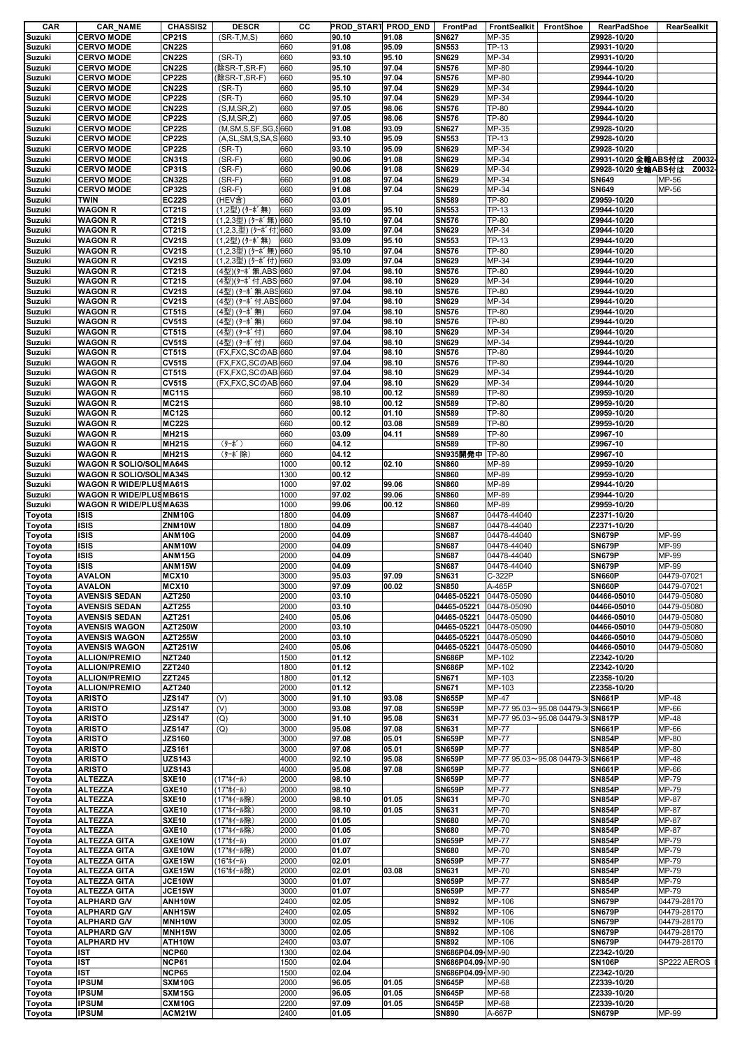| CAR    | <b>CAR_NAME</b>                | <b>CHASSIS2</b> | <b>DESCR</b>                                                 | CС   |       | PROD_START PROD_END |                   | FrontPad FrontSealkit FrontShoe   | RearPadShoe         | RearSealkit  |
|--------|--------------------------------|-----------------|--------------------------------------------------------------|------|-------|---------------------|-------------------|-----------------------------------|---------------------|--------------|
| Suzuki | <b>CERVO MODE</b>              | <b>CP21S</b>    | $(SR-T, M, S)$                                               | 660  | 90.10 | 91.08               | <b>SN627</b>      | MP-35                             | Z9928-10/20         |              |
| Suzuki | <b>CERVO MODE</b>              | <b>CN22S</b>    |                                                              | 660  | 91.08 | 95.09               | <b>SN553</b>      | TP-13                             | Z9931-10/20         |              |
| Suzuki | <b>CERVO MODE</b>              | <b>CN22S</b>    | $(SR-T)$                                                     | 660  | 93.10 | 95.10               | <b>SN629</b>      | MP-34                             | Z9931-10/20         |              |
| Suzuki | <b>CERVO MODE</b>              | <b>CN22S</b>    | (除SR-T,SR-F)                                                 | 660  | 95.10 | 97.04               | <b>SN576</b>      | <b>MP-80</b>                      | Z9944-10/20         |              |
|        |                                |                 |                                                              |      |       |                     |                   |                                   |                     |              |
| Suzuki | <b>CERVO MODE</b>              | <b>CP22S</b>    | (除SR-T,SR-F)                                                 | 660  | 95.10 | 97.04               | <b>SN576</b>      | MP-80                             | Z9944-10/20         |              |
| Suzuki | <b>CERVO MODE</b>              | <b>CN22S</b>    | $(SR-T)$                                                     | 660  | 95.10 | 97.04               | <b>SN629</b>      | MP-34                             | Z9944-10/20         |              |
| Suzuki | <b>CERVO MODE</b>              | <b>CP22S</b>    | $(SR-T)$                                                     | 660  | 95.10 | 97.04               | <b>SN629</b>      | MP-34                             | Z9944-10/20         |              |
| Suzuki | <b>CERVO MODE</b>              | <b>CN22S</b>    | (S, M, SR, Z)                                                | 660  | 97.05 | 98.06               | <b>SN576</b>      | TP-80                             | Z9944-10/20         |              |
| Suzuki | <b>CERVO MODE</b>              | <b>CP22S</b>    | (S, M, SR, Z)                                                | 660  | 97.05 | 98.06               | <b>SN576</b>      | <b>TP-80</b>                      | Z9944-10/20         |              |
| Suzuki | <b>CERVO MODE</b>              | <b>CP22S</b>    | (M,SM,S,SF,SG,S660                                           |      | 91.08 | 93.09               | <b>SN627</b>      | MP-35                             | Z9928-10/20         |              |
| Suzuki | <b>CERVO MODE</b>              | <b>CP22S</b>    | (A,SL,SM,S,SA,S 660                                          |      | 93.10 | 95.09               | <b>SN553</b>      | TP-13                             | Z9928-10/20         |              |
|        |                                |                 |                                                              |      |       |                     |                   |                                   |                     |              |
| Suzuki | <b>CERVO MODE</b>              | <b>CP22S</b>    | $(SR-T)$                                                     | 660  | 93.10 | 95.09               | <b>SN629</b>      | MP-34                             | Z9928-10/20         |              |
| Suzuki | <b>CERVO MODE</b>              | <b>CN31S</b>    | $(SR-F)$                                                     | 660  | 90.06 | 91.08               | <b>SN629</b>      | MP-34                             | Z9931-10/20 全輪ABS付は | Z0032        |
| Suzuki | <b>CERVO MODE</b>              | <b>CP31S</b>    | $(SR-F)$                                                     | 660  | 90.06 | 91.08               | <b>SN629</b>      | MP-34                             | Z9928-10/20 全輸ABS付は | Z0032        |
| Suzuki | <b>CERVO MODE</b>              | <b>CN32S</b>    | $(SR-F)$                                                     | 660  | 91.08 | 97.04               | <b>SN629</b>      | MP-34                             | <b>SN649</b>        | MP-56        |
| Suzuki | <b>CERVO MODE</b>              | <b>CP32S</b>    | $(SR-F)$                                                     | 660  | 91.08 | 97.04               | <b>SN629</b>      | MP-34                             | <b>SN649</b>        | MP-56        |
| Suzuki | <b>TWIN</b>                    | <b>EC22S</b>    | (HEV含)                                                       | 660  | 03.01 |                     | <b>SN589</b>      | <b>TP-80</b>                      | Z9959-10/20         |              |
| Suzuki | <b>WAGON R</b>                 | CT21S           | (1,2型) (ターボ無)                                                | 660  | 93.09 | 95.10               | <b>SN553</b>      | TP-13                             | Z9944-10/20         |              |
|        |                                |                 |                                                              |      |       |                     |                   |                                   |                     |              |
| Suzuki | <b>WAGON R</b>                 | CT21S           | (1,2,3型) (ターボ無) 660                                          |      | 95.10 | 97.04               | <b>SN576</b>      | TP-80                             | Z9944-10/20         |              |
| Suzuki | <b>WAGON R</b>                 | CT21S           | $(1,2,3,\underline{\mathbb{Z}})$ $(9-\pi^{\prime} \pi)$ [660 |      | 93.09 | 97.04               | <b>SN629</b>      | MP-34                             | Z9944-10/20         |              |
| Suzuki | <b>WAGON R</b>                 | <b>CV21S</b>    | (1,2型) (ターボ無)                                                | 660  | 93.09 | 95.10               | <b>SN553</b>      | <b>TP-13</b>                      | Z9944-10/20         |              |
| Suzuki | <b>WAGON R</b>                 | <b>CV21S</b>    | (1,2,3型) (ターボ無) 660                                          |      | 95.10 | 97.04               | <b>SN576</b>      | <b>TP-80</b>                      | Z9944-10/20         |              |
| Suzuki | <b>WAGON R</b>                 | <b>CV21S</b>    | (1,2,3型) (ターボ付) 660                                          |      | 93.09 | 97.04               | <b>SN629</b>      | MP-34                             | Z9944-10/20         |              |
| Suzuki | <b>WAGON R</b>                 | <b>CT21S</b>    | (4型)(ターボ無,ABS 660                                            |      | 97.04 | 98.10               | <b>SN576</b>      | <b>TP-80</b>                      | Z9944-10/20         |              |
| Suzuki | <b>WAGON R</b>                 | CT21S           | (4型)(ターボ付,ABS 660                                            |      | 97.04 | 98.10               | <b>SN629</b>      | MP-34                             | Z9944-10/20         |              |
|        | <b>WAGON R</b>                 | <b>CV21S</b>    |                                                              |      | 97.04 | 98.10               | <b>SN576</b>      | TP-80                             | Z9944-10/20         |              |
| Suzuki |                                |                 | (4型) (ターボ無,ABS 660                                           |      |       |                     |                   |                                   |                     |              |
| Suzuki | <b>WAGON R</b>                 | <b>CV21S</b>    | (4型) (ターボ付,ABS 660                                           |      | 97.04 | 98.10               | <b>SN629</b>      | MP-34                             | Z9944-10/20         |              |
| Suzuki | <b>WAGON R</b>                 | <b>CT51S</b>    | (4型) (ターボ無)                                                  | 660  | 97.04 | 98.10               | <b>SN576</b>      | <b>TP-80</b>                      | Z9944-10/20         |              |
| Suzuki | <b>WAGON R</b>                 | <b>CV51S</b>    | (4型) (ターボ無)                                                  | 660  | 97.04 | 98.10               | <b>SN576</b>      | <b>TP-80</b>                      | Z9944-10/20         |              |
| Suzuki | <b>WAGON R</b>                 | <b>CT51S</b>    | (4型) (ターボ付)                                                  | 660  | 97.04 | 98.10               | <b>SN629</b>      | MP-34                             | Z9944-10/20         |              |
| Suzuki | <b>WAGON R</b>                 | <b>CV51S</b>    | (4型) (ターボ付)                                                  | 660  | 97.04 | 98.10               | <b>SN629</b>      | MP-34                             | Z9944-10/20         |              |
| Suzuki | <b>WAGON R</b>                 | <b>CT51S</b>    | (FX,FXC,SCのAB 660                                            |      | 97.04 | 98.10               | <b>SN576</b>      | TP-80                             | Z9944-10/20         |              |
|        | <b>WAGON R</b>                 | <b>CV51S</b>    | (FX,FXC,SCのAB 660                                            |      | 97.04 | 98.10               | <b>SN576</b>      | TP-80                             | Z9944-10/20         |              |
| Suzuki |                                |                 |                                                              |      |       |                     |                   |                                   |                     |              |
| Suzuki | <b>WAGON R</b>                 | <b>CT51S</b>    | (FX,FXC,SCのAB 660                                            |      | 97.04 | 98.10               | <b>SN629</b>      | MP-34                             | Z9944-10/20         |              |
| Suzuki | <b>WAGON R</b>                 | <b>CV51S</b>    | (FX,FXC,SCのAB 660                                            |      | 97.04 | 98.10               | <b>SN629</b>      | MP-34                             | Z9944-10/20         |              |
| Suzuki | <b>WAGON R</b>                 | <b>MC11S</b>    |                                                              | 660  | 98.10 | 00.12               | <b>SN589</b>      | TP-80                             | Z9959-10/20         |              |
| Suzuki | <b>WAGON R</b>                 | <b>MC21S</b>    |                                                              | 660  | 98.10 | 00.12               | <b>SN589</b>      | TP-80                             | Z9959-10/20         |              |
| Suzuki | <b>WAGON R</b>                 | <b>MC12S</b>    |                                                              | 660  | 00.12 | 01.10               | <b>SN589</b>      | <b>TP-80</b>                      | Z9959-10/20         |              |
| Suzuki | <b>WAGON R</b>                 | <b>MC22S</b>    |                                                              | 660  | 00.12 | 03.08               | <b>SN589</b>      | TP-80                             | Z9959-10/20         |              |
|        | <b>WAGON R</b>                 | <b>MH21S</b>    |                                                              | 660  | 03.09 | 04.11               | <b>SN589</b>      | <b>TP-80</b>                      | Z9967-10            |              |
| Suzuki |                                |                 |                                                              |      |       |                     |                   |                                   |                     |              |
| Suzuki | <b>WAGON R</b>                 | <b>MH21S</b>    | (ターボ)                                                        | 660  | 04.12 |                     | <b>SN589</b>      | TP-80                             | Z9967-10            |              |
| Suzuki | <b>WAGON R</b>                 | <b>MH21S</b>    | (ターボ除)                                                       | 660  | 04.12 |                     | SN935開発中 TP-80    |                                   | Z9967-10            |              |
| Suzuki | <b>WAGON R SOLIO/SOL MA64S</b> |                 |                                                              | 1000 | 00.12 | 02.10               | <b>SN860</b>      | MP-89                             | Z9959-10/20         |              |
| Suzuki | <b>WAGON R SOLIO/SOL MA34S</b> |                 |                                                              | 1300 | 00.12 |                     | <b>SN860</b>      | MP-89                             | Z9959-10/20         |              |
| Suzuki | <b>WAGON R WIDE/PLUSMA61S</b>  |                 |                                                              | 1000 | 97.02 | 99.06               | <b>SN860</b>      | MP-89                             | Z9944-10/20         |              |
| Suzuki | WAGON R WIDE/PLUSMB61S         |                 |                                                              | 1000 | 97.02 | 99.06               | <b>SN860</b>      | MP-89                             | Z9944-10/20         |              |
|        |                                |                 |                                                              |      |       |                     |                   | MP-89                             |                     |              |
| Suzuki | <b>WAGON R WIDE/PLUSMA63S</b>  |                 |                                                              | 1000 | 99.06 | 00.12               | <b>SN860</b>      |                                   | Z9959-10/20         |              |
| Toyota | <b>ISIS</b>                    | ZNM10G          |                                                              | 1800 | 04.09 |                     | <b>SN687</b>      | 04478-44040                       | Z2371-10/20         |              |
| Toyota | ISIS                           | <b>ZNM10W</b>   |                                                              | 1800 | 04.09 |                     | <b>SN687</b>      | 04478-44040                       | Z2371-10/20         |              |
| Toyota | <b>ISIS</b>                    | ANM10G          |                                                              | 2000 | 04.09 |                     | <b>SN687</b>      | 04478-44040                       | <b>SN679P</b>       | MP-99        |
| Toyota | ISIS                           | ANM10W          |                                                              | 2000 | 04.09 |                     | <b>SN687</b>      | 04478-44040                       | <b>SN679P</b>       | MP-99        |
|        | <b>ISIS</b>                    | ANM15G          |                                                              | 2000 | 04.09 |                     | <b>SN687</b>      | 04478-44040                       | <b>SN679P</b>       | MP-99        |
| Toyota |                                |                 |                                                              |      |       |                     |                   |                                   |                     |              |
| Toyota | <b>ISIS</b>                    | ANM15W          |                                                              | 2000 | 04.09 |                     | <b>SN687</b>      | 04478-44040                       | <b>SN679P</b>       | MP-99        |
| Toyota | <b>AVALON</b>                  | MCX10           |                                                              | 3000 | 95.03 | 97.09               | <b>SN631</b>      | C-322P                            | <b>SN660P</b>       | 04479-07021  |
| Toyota | <b>AVALON</b>                  | MCX10           |                                                              | 3000 | 97.09 | 00.02               | <b>SN850</b>      | A-465P                            | <b>SN660P</b>       | 04479-07021  |
| Toyota | <b>AVENSIS SEDAN</b>           | AZT250          |                                                              | 2000 | 03.10 |                     | 04465-05221       | 04478-05090                       | 04466-05010         | 04479-05080  |
| Toyota | <b>AVENSIS SEDAN</b>           | <b>AZT255</b>   |                                                              | 2000 | 03.10 |                     | 04465-05221       | 04478-05090                       | 04466-05010         | 04479-05080  |
| Toyota | <b>AVENSIS SEDAN</b>           | <b>AZT251</b>   |                                                              | 2400 | 05.06 |                     | 04465-05221       | 04478-05090                       | 04466-05010         | 04479-05080  |
|        | <b>AVENSIS WAGON</b>           | AZT250W         |                                                              | 2000 | 03.10 |                     | 04465-05221       | 04478-05090                       | 04466-05010         | 04479-05080  |
| Toyota |                                |                 |                                                              |      |       |                     |                   |                                   |                     |              |
| Toyota | <b>AVENSIS WAGON</b>           | <b>AZT255W</b>  |                                                              | 2000 | 03.10 |                     | 04465-05221       | 04478-05090                       | 04466-05010         | 04479-05080  |
| Toyota | <b>AVENSIS WAGON</b>           | <b>AZT251W</b>  |                                                              | 2400 | 05.06 |                     | 04465-05221       | 04478-05090                       | 04466-05010         | 04479-05080  |
| Toyota | <b>ALLION/PREMIO</b>           | <b>NZT240</b>   |                                                              | 1500 | 01.12 |                     | <b>SN686P</b>     | MP-102                            | Z2342-10/20         |              |
| Toyota | <b>ALLION/PREMIO</b>           | ZZT240          |                                                              | 1800 | 01.12 |                     | <b>SN686P</b>     | MP-102                            | Z2342-10/20         |              |
| Toyota | <b>ALLION/PREMIO</b>           | <b>ZZT245</b>   |                                                              | 1800 | 01.12 |                     | <b>SN671</b>      | MP-103                            | Z2358-10/20         |              |
| Toyota | <b>ALLION/PREMIO</b>           | AZT240          |                                                              | 2000 | 01.12 |                     | <b>SN671</b>      | MP-103                            | Z2358-10/20         |              |
|        | <b>ARISTO</b>                  | <b>JZS147</b>   | (V)                                                          | 3000 | 91.10 | 93.08               | <b>SN655P</b>     | <b>MP-47</b>                      | <b>SN661P</b>       | MP-48        |
| Toyota |                                |                 |                                                              |      |       |                     |                   |                                   |                     |              |
| Toyota | <b>ARISTO</b>                  | <b>JZS147</b>   | (V)                                                          | 3000 | 93.08 | 97.08               | <b>SN659P</b>     | MP-77 95.03~95.08 04479-30 SN661P |                     | <b>MP-66</b> |
| Toyota | <b>ARISTO</b>                  | <b>JZS147</b>   | (Q)                                                          | 3000 | 91.10 | 95.08               | <b>SN631</b>      | MP-77 95.03~95.08 04479-30 SN817P |                     | MP-48        |
| Toyota | <b>ARISTO</b>                  | <b>JZS147</b>   | (Q)                                                          | 3000 | 95.08 | 97.08               | <b>SN631</b>      | <b>MP-77</b>                      | <b>SN661P</b>       | MP-66        |
| Toyota | <b>ARISTO</b>                  | <b>JZS160</b>   |                                                              | 3000 | 97.08 | 05.01               | <b>SN659P</b>     | <b>MP-77</b>                      | <b>SN854P</b>       | MP-80        |
| Toyota | <b>ARISTO</b>                  | <b>JZS161</b>   |                                                              | 3000 | 97.08 | 05.01               | <b>SN659P</b>     | <b>MP-77</b>                      | <b>SN854P</b>       | MP-80        |
| Toyota | <b>ARISTO</b>                  | <b>UZS143</b>   |                                                              | 4000 | 92.10 | 95.08               | <b>SN659P</b>     | MP-77 95.03~95.08 04479-30 SN661P |                     | MP-48        |
| Toyota | <b>ARISTO</b>                  | <b>UZS143</b>   |                                                              | 4000 | 95.08 | 97.08               | <b>SN659P</b>     | <b>MP-77</b>                      | <b>SN661P</b>       | MP-66        |
| Toyota | <b>ALTEZZA</b>                 | <b>SXE10</b>    | (17"ホイール)                                                    | 2000 | 98.10 |                     | <b>SN659P</b>     | <b>MP-77</b>                      | <b>SN854P</b>       | MP-79        |
|        |                                |                 |                                                              |      |       |                     |                   |                                   |                     |              |
| Toyota | <b>ALTEZZA</b>                 | <b>GXE10</b>    | (17"ホイール)                                                    | 2000 | 98.10 |                     | <b>SN659P</b>     | <b>MP-77</b>                      | <b>SN854P</b>       | MP-79        |
| Toyota | <b>ALTEZZA</b>                 | <b>SXE10</b>    | (17"ホイール除)                                                   | 2000 | 98.10 | 01.05               | <b>SN631</b>      | MP-70                             | <b>SN854P</b>       | MP-87        |
| Toyota | <b>ALTEZZA</b>                 | <b>GXE10</b>    | (17"ホイール除)                                                   | 2000 | 98.10 | 01.05               | <b>SN631</b>      | MP-70                             | <b>SN854P</b>       | MP-87        |
| Toyota | <b>ALTEZZA</b>                 | <b>SXE10</b>    | (17"ホイール除)                                                   | 2000 | 01.05 |                     | <b>SN680</b>      | MP-70                             | <b>SN854P</b>       | MP-87        |
| Toyota | <b>ALTEZZA</b>                 | <b>GXE10</b>    | (17"ホイール除)                                                   | 2000 | 01.05 |                     | <b>SN680</b>      | MP-70                             | <b>SN854P</b>       | MP-87        |
| Toyota | <b>ALTEZZA GITA</b>            | GXE10W          | (17"ホイール)                                                    | 2000 | 01.07 |                     | <b>SN659P</b>     | <b>MP-77</b>                      | <b>SN854P</b>       | MP-79        |
|        | <b>ALTEZZA GITA</b>            | GXE10W          | (17"ホイール除)                                                   | 2000 | 01.07 |                     | <b>SN680</b>      | MP-70                             | <b>SN854P</b>       | MP-79        |
| Toyota |                                |                 |                                                              |      |       |                     |                   |                                   |                     |              |
| Toyota | <b>ALTEZZA GITA</b>            | GXE15W          | (16"ホイール)                                                    | 2000 | 02.01 |                     | <b>SN659P</b>     | <b>MP-77</b>                      | <b>SN854P</b>       | MP-79        |
| Toyota | <b>ALTEZZA GITA</b>            | GXE15W          | (16"ホイール除)                                                   | 2000 | 02.01 | 03.08               | <b>SN631</b>      | MP-70                             | <b>SN854P</b>       | MP-79        |
| Toyota | <b>ALTEZZA GITA</b>            | JCE10W          |                                                              | 3000 | 01.07 |                     | <b>SN659P</b>     | <b>MP-77</b>                      | <b>SN854P</b>       | MP-79        |
| Toyota | <b>ALTEZZA GITA</b>            | JCE15W          |                                                              | 3000 | 01.07 |                     | <b>SN659P</b>     | <b>MP-77</b>                      | <b>SN854P</b>       | MP-79        |
| Toyota | <b>ALPHARD G/V</b>             | ANH10W          |                                                              | 2400 | 02.05 |                     | <b>SN892</b>      | MP-106                            | <b>SN679P</b>       | 04479-28170  |
|        |                                |                 |                                                              |      |       |                     |                   |                                   |                     |              |
| Toyota | <b>ALPHARD G/V</b>             | ANH15W          |                                                              | 2400 | 02.05 |                     | <b>SN892</b>      | MP-106                            | <b>SN679P</b>       | 04479-28170  |
| Toyota | <b>ALPHARD G/V</b>             | MNH10W          |                                                              | 3000 | 02.05 |                     | <b>SN892</b>      | MP-106                            | <b>SN679P</b>       | 04479-28170  |
| Toyota | <b>ALPHARD G/V</b>             | MNH15W          |                                                              | 3000 | 02.05 |                     | <b>SN892</b>      | MP-106                            | <b>SN679P</b>       | 04479-28170  |
| Toyota | <b>ALPHARD HV</b>              | ATH10W          |                                                              | 2400 | 03.07 |                     | <b>SN892</b>      | MP-106                            | <b>SN679P</b>       | 04479-28170  |
| Toyota | <b>IST</b>                     | NCP60           |                                                              | 1300 | 02.04 |                     | SN686P04.09 MP-90 |                                   | Z2342-10/20         |              |
| Toyota | <b>IST</b>                     | NCP61           |                                                              | 1500 | 02.04 |                     | SN686P04.09-MP-90 |                                   | <b>SN106P</b>       | SP222 AEROS  |
| Toyota | <b>IST</b>                     | <b>NCP65</b>    |                                                              | 1500 | 02.04 |                     | SN686P04.09 MP-90 |                                   | Z2342-10/20         |              |
|        | <b>IPSUM</b>                   | SXM10G          |                                                              | 2000 |       | 01.05               | <b>SN645P</b>     |                                   | Z2339-10/20         |              |
| Toyota |                                |                 |                                                              |      | 96.05 |                     |                   | MP-68                             |                     |              |
| Toyota | <b>IPSUM</b>                   | <b>SXM15G</b>   |                                                              | 2000 | 96.05 | 01.05               | <b>SN645P</b>     | MP-68                             | Z2339-10/20         |              |
| Toyota | <b>IPSUM</b>                   | CXM10G          |                                                              | 2200 | 97.09 | 01.05               | <b>SN645P</b>     | MP-68                             | Z2339-10/20         |              |
| Toyota | <b>IPSUM</b>                   | ACM21W          |                                                              | 2400 | 01.05 |                     | <b>SN890</b>      | A-667P                            | <b>SN679P</b>       | MP-99        |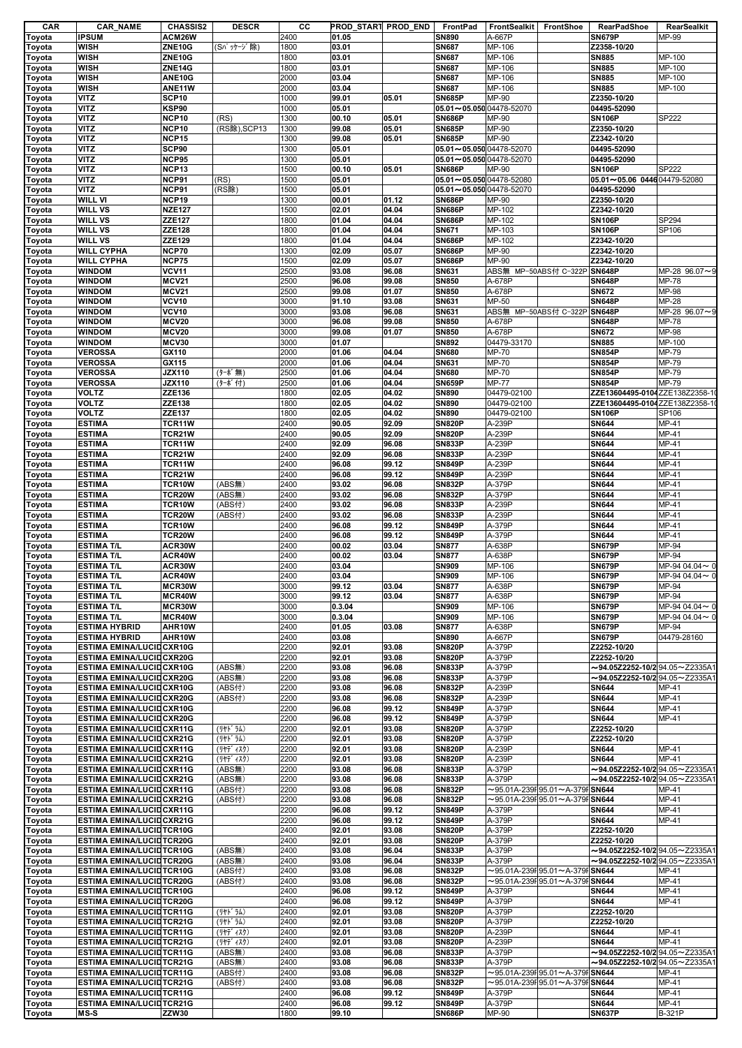| CAR    | <b>CAR_NAME</b>                  | <b>CHASSIS2</b> | <b>DESCR</b> | CС   |        | PROD START PROD END | <b>FrontPad</b>                | FrontSealkit FrontShoe |                                              | <b>RearPadShoe</b>                          | RearSealkit   |
|--------|----------------------------------|-----------------|--------------|------|--------|---------------------|--------------------------------|------------------------|----------------------------------------------|---------------------------------------------|---------------|
| Toyota | <b>IPSUM</b>                     | ACM26W          |              | 2400 | 01.05  |                     | <b>SN890</b>                   | A-667P                 |                                              | <b>SN679P</b>                               | MP-99         |
| Toyota | <b>WISH</b>                      | ZNE10G          | (Sパッケージ除)    | 1800 | 03.01  |                     | <b>SN687</b>                   | MP-106                 |                                              | Z2358-10/20                                 |               |
| Toyota | <b>WISH</b>                      | ZNE10G          |              | 1800 | 03.01  |                     | <b>SN687</b>                   | MP-106                 |                                              | <b>SN885</b>                                | MP-100        |
| Toyota | <b>WISH</b>                      | ZNE14G          |              | 1800 | 03.01  |                     | <b>SN687</b>                   | MP-106                 |                                              | <b>SN885</b>                                | MP-100        |
| Toyota | <b>WISH</b>                      | ANE10G          |              | 2000 | 03.04  |                     | <b>SN687</b>                   | MP-106                 |                                              | <b>SN885</b>                                | MP-100        |
| Toyota | <b>WISH</b>                      | ANE11W          |              | 2000 | 03.04  |                     | <b>SN687</b>                   | MP-106                 |                                              | <b>SN885</b>                                | MP-100        |
| Toyota | <b>VITZ</b>                      | SCP10           |              | 1000 | 99.01  | 05.01               | <b>SN685P</b>                  | MP-90                  |                                              | Z2350-10/20                                 |               |
| Toyota | <b>VITZ</b>                      | KSP90           |              | 1000 | 05.01  |                     | $05.01 - 05.050004478 - 52070$ |                        |                                              | 04495-52090                                 |               |
| Toyota | <b>VITZ</b>                      | NCP10           | (RS)         | 1300 | 00.10  | 05.01               | <b>SN686P</b>                  | MP-90                  |                                              | <b>SN106P</b>                               | SP222         |
| Toyota | <b>VITZ</b>                      | NCP10           | (RS除), SCP13 | 1300 | 99.08  | 05.01               | <b>SN685P</b>                  | MP-90                  |                                              | Z2350-10/20                                 |               |
| Toyota | <b>VITZ</b>                      | <b>NCP15</b>    |              | 1300 | 99.08  | 05.01               | <b>SN685P</b>                  | MP-90                  |                                              | Z2342-10/20                                 |               |
| Toyota | <b>VITZ</b>                      | SCP90           |              | 1300 | 05.01  |                     | 05.01~05.050 04478-52070       |                        |                                              | 04495-52090                                 |               |
| Toyota | <b>VITZ</b>                      | <b>NCP95</b>    |              | 1300 | 05.01  |                     | $05.01 - 05.050004478 - 52070$ |                        |                                              | 04495-52090                                 |               |
| Toyota | <b>VITZ</b>                      | NCP13           |              | 1500 | 00.10  | 05.01               | <b>SN686P</b>                  | MP-90                  |                                              | <b>SN106P</b>                               | SP222         |
| Toyota | <b>VITZ</b>                      | NCP91           | (RS)         | 1500 | 05.01  |                     | 05.01~05.050 04478-52080       |                        |                                              | 05.01~05.06 0446 04479-52080                |               |
| Toyota | <b>VITZ</b>                      | NCP91           | (RS除)        | 1500 | 05.01  |                     | $05.01 - 05.050004478 - 52070$ |                        |                                              | 04495-52090                                 |               |
| Toyota | <b>WILL VI</b>                   | <b>NCP19</b>    |              | 1300 | 00.01  | 01.12               | <b>SN686P</b>                  | MP-90                  |                                              | Z2350-10/20                                 |               |
| Toyota | <b>WILL VS</b>                   | <b>NZE127</b>   |              | 1500 | 02.01  | 04.04               | <b>SN686P</b>                  | MP-102                 |                                              | Z2342-10/20                                 |               |
| Toyota | <b>WILL VS</b>                   | ZZE127          |              | 1800 | 01.04  | 04.04               | <b>SN686P</b>                  | MP-102                 |                                              | <b>SN106P</b>                               | SP294         |
| Toyota | <b>WILL VS</b>                   | <b>ZZE128</b>   |              | 1800 | 01.04  | 04.04               | <b>SN671</b>                   | MP-103                 |                                              | <b>SN106P</b>                               | SP106         |
| Toyota | <b>WILL VS</b>                   | ZZE129          |              | 1800 | 01.04  | 04.04               | <b>SN686P</b>                  | MP-102                 |                                              | Z2342-10/20                                 |               |
| Toyota | <b>WILL CYPHA</b>                | <b>NCP70</b>    |              | 1300 | 02.09  | 05.07               | <b>SN686P</b>                  | MP-90                  |                                              | Z2342-10/20                                 |               |
| Toyota | <b>WILL CYPHA</b>                | <b>NCP75</b>    |              | 1500 | 02.09  | 05.07               | <b>SN686P</b>                  | MP-90                  |                                              | Z2342-10/20                                 |               |
| Toyota | <b>WINDOM</b>                    | <b>VCV11</b>    |              | 2500 | 93.08  | 96.08               | <b>SN631</b>                   |                        | ABS無 MP-50ABS付 C-322P                        | <b>SN648P</b>                               | MP-28 96.07~9 |
| Toyota | <b>WINDOM</b>                    | <b>MCV21</b>    |              | 2500 | 96.08  | 99.08               | <b>SN850</b>                   | A-678P                 |                                              | <b>SN648P</b>                               | <b>MP-78</b>  |
| Toyota | <b>WINDOM</b>                    | <b>MCV21</b>    |              | 2500 | 99.08  | 01.07               | <b>SN850</b>                   | A-678P                 |                                              | <b>SN672</b>                                | MP-98         |
| Toyota | <b>WINDOM</b>                    | <b>VCV10</b>    |              | 3000 | 91.10  | 93.08               | <b>SN631</b>                   | MP-50                  |                                              | <b>SN648P</b>                               | <b>MP-28</b>  |
| Toyota | <b>WINDOM</b>                    | <b>VCV10</b>    |              | 3000 | 93.08  | 96.08               | <b>SN631</b>                   |                        | ABS無 MP-50ABS付 C-322P                        | <b>SN648P</b>                               | MP-28 96.07~9 |
| Toyota | <b>WINDOM</b>                    | <b>MCV20</b>    |              | 3000 | 96.08  | 99.08               | <b>SN850</b>                   | A-678P                 |                                              | <b>SN648P</b>                               | MP-78         |
| Toyota | <b>WINDOM</b>                    | MCV20           |              | 3000 | 99.08  | 01.07               | <b>SN850</b>                   | A-678P                 |                                              | <b>SN672</b>                                | MP-98         |
| Toyota | <b>WINDOM</b>                    | MCV30           |              | 3000 | 01.07  |                     | <b>SN892</b>                   | 04479-33170            |                                              | <b>SN885</b>                                | MP-100        |
| Toyota | <b>VEROSSA</b>                   | GX110           |              | 2000 | 01.06  | 04.04               | <b>SN680</b>                   | MP-70                  |                                              | <b>SN854P</b>                               | MP-79         |
| Toyota | <b>VEROSSA</b>                   | GX115           |              | 2000 | 01.06  | 04.04               | <b>SN631</b>                   | MP-70                  |                                              | <b>SN854P</b>                               | MP-79         |
| Toyota | <b>VEROSSA</b>                   | <b>JZX110</b>   | (ターボ無)       | 2500 | 01.06  | 04.04               | <b>SN680</b>                   | MP-70                  |                                              | <b>SN854P</b>                               | MP-79         |
| Toyota | <b>VEROSSA</b>                   | <b>JZX110</b>   | (ターボ付)       | 2500 | 01.06  | 04.04               | <b>SN659P</b>                  | <b>MP-77</b>           |                                              | <b>SN854P</b>                               | MP-79         |
| Toyota | <b>VOLTZ</b>                     | ZZE136          |              | 1800 | 02.05  | 04.02               | <b>SN890</b>                   | 04479-02100            |                                              | ZZE13604495-0104 ZZE138Z2358-1              |               |
| Toyota | <b>VOLTZ</b>                     | ZZE138          |              | 1800 | 02.05  | 04.02               | <b>SN890</b>                   | 04479-02100            |                                              | ZZE13604495-0104 ZZE138Z2358-1              |               |
| Toyota | <b>VOLTZ</b>                     | ZZE137          |              | 1800 | 02.05  | 04.02               | <b>SN890</b>                   | 04479-02100            |                                              | <b>SN106P</b>                               | SP106         |
| Toyota | <b>ESTIMA</b>                    | TCR11W          |              | 2400 | 90.05  | 92.09               | <b>SN820P</b>                  | A-239P                 |                                              | <b>SN644</b>                                | MP-41         |
| Toyota | <b>ESTIMA</b>                    | TCR21W          |              | 2400 | 90.05  | 92.09               | <b>SN820P</b>                  | A-239P                 |                                              | <b>SN644</b>                                | MP-41         |
| Toyota | <b>ESTIMA</b>                    | TCR11W          |              | 2400 | 92.09  | 96.08               | <b>SN833P</b>                  | A-239P                 |                                              | <b>SN644</b>                                | MP-41         |
| Toyota | <b>ESTIMA</b>                    | TCR21W          |              | 2400 | 92.09  | 96.08               | <b>SN833P</b>                  | A-239P                 |                                              | <b>SN644</b>                                | MP-41         |
| Toyota | <b>ESTIMA</b>                    | TCR11W          |              | 2400 | 96.08  | 99.12               | <b>SN849P</b>                  | A-239P                 |                                              | SN644                                       | MP-41         |
| Toyota | <b>ESTIMA</b>                    | TCR21W          |              | 2400 | 96.08  | 99.12               | <b>SN849P</b>                  | A-239P                 |                                              | <b>SN644</b>                                | MP-41         |
| Toyota | <b>ESTIMA</b>                    | TCR10W          | (ABS無)       | 2400 | 93.02  | 96.08               | <b>SN832P</b>                  | A-379P                 |                                              | <b>SN644</b>                                | MP-41         |
| Toyota | <b>ESTIMA</b>                    | TCR20W          | (ABS無)       | 2400 | 93.02  | 96.08               | <b>SN832P</b>                  | A-379P                 |                                              | <b>SN644</b>                                | MP-41         |
| Toyota | <b>ESTIMA</b>                    | TCR10W          | (ABS付)       | 2400 | 93.02  | 96.08               | <b>SN833P</b>                  | A-239P                 |                                              | <b>SN644</b>                                | MP-41         |
| Toyota | <b>ESTIMA</b>                    | TCR20W          | (ABS付)       | 2400 | 93.02  | 96.08               | <b>SN833P</b>                  | A-239P                 |                                              | SN644                                       | MP-41         |
| Toyota | <b>ESTIMA</b>                    | TCR10W          |              | 2400 | 96.08  | 99.12               | <b>SN849P</b>                  | A-379P                 |                                              | <b>SN644</b>                                | MP-41         |
| Toyota | <b>ESTIMA</b>                    | TCR20W          |              | 2400 | 96.08  | 99.12               | <b>SN849P</b>                  | A-379P                 |                                              | <b>SN644</b>                                | MP-41         |
| Toyota | <b>ESTIMA T/L</b>                | ACR30W          |              | 2400 | 00.02  | 03.04               | <b>SN877</b>                   | A-638P                 |                                              | <b>SN679P</b>                               | MP-94         |
| Toyota | <b>ESTIMA T/L</b>                | ACR40W          |              | 2400 | 00.02  | 03.04               | <b>SN877</b>                   | A-638P                 |                                              | <b>SN679P</b>                               | MP-94         |
| Toyota | <b>ESTIMA T/L</b>                | ACR30W          |              | 2400 | 03.04  |                     | <b>SN909</b>                   | MP-106                 |                                              | <b>SN679P</b>                               | MP-94 04.04~0 |
| Toyota | <b>ESTIMA T/L</b>                | ACR40W          |              | 2400 | 03.04  |                     | <b>SN909</b>                   | MP-106                 |                                              | <b>SN679P</b>                               | MP-94 04.04~0 |
| Toyota | <b>ESTIMA T/L</b>                | MCR30W          |              | 3000 | 99.12  | 03.04               | <b>SN877</b>                   | A-638P                 |                                              | <b>SN679P</b>                               | MP-94         |
| Toyota | <b>ESTIMA T/L</b>                | MCR40W          |              | 3000 | 99.12  | 03.04               | <b>SN877</b>                   | A-638P                 |                                              | <b>SN679P</b>                               | MP-94         |
| Toyota | <b>ESTIMA T/L</b>                | MCR30W          |              | 3000 | 0.3.04 |                     | <b>SN909</b>                   | MP-106                 |                                              | <b>SN679P</b>                               | MP-94 04.04~0 |
| Toyota | <b>ESTIMA T/L</b>                | MCR40W          |              | 3000 | 0.3.04 |                     | <b>SN909</b>                   | MP-106                 |                                              | <b>SN679P</b>                               | MP-94 04.04~0 |
| Toyota | <b>ESTIMA HYBRID</b>             | AHR10W          |              | 2400 | 01.05  | 03.08               | <b>SN877</b>                   | A-638P                 |                                              | <b>SN679P</b>                               | MP-94         |
| Toyota | <b>ESTIMA HYBRID</b>             | AHR10W          |              | 2400 | 03.08  |                     | <b>SN890</b>                   | A-667P                 |                                              | <b>SN679P</b>                               | 04479-28160   |
| Toyota | <b>ESTIMA EMINA/LUCID CXR10G</b> |                 |              | 2200 | 92.01  | 93.08               | <b>SN820P</b>                  | A-379P                 |                                              | Z2252-10/20                                 |               |
| Toyota | <b>ESTIMA EMINA/LUCID CXR20G</b> |                 |              | 2200 | 92.01  | 93.08               | <b>SN820P</b>                  | A-379P                 |                                              | Z2252-10/20                                 |               |
| Toyota | <b>ESTIMA EMINA/LUCID CXR10G</b> |                 | (ABS#)       | 2200 | 93.08  | 96.08               | <b>SN833P</b>                  | A-379P                 |                                              | $\sim$ 94.05Z2252-10/294.05~Z2335A1         |               |
| Toyota | <b>ESTIMA EMINA/LUCID CXR20G</b> |                 | (ABS無)       | 2200 | 93.08  | 96.08               | <b>SN833P</b>                  | A-379P                 |                                              | $\sim$ 94.05Z2252-10/2 94.05 $\sim$ Z2335A1 |               |
| Toyota | <b>ESTIMA EMINA/LUCID CXR10G</b> |                 | (ABS付)       | 2200 | 93.08  | 96.08               | <b>SN832P</b>                  | A-239P                 |                                              | <b>SN644</b>                                | MP-41         |
| Toyota | <b>ESTIMA EMINA/LUCID CXR20G</b> |                 | (ABS付)       | 2200 | 93.08  | 96.08               | <b>SN832P</b>                  | A-239P                 |                                              | SN644                                       | MP-41         |
| Toyota | ESTIMA EMINA/LUCIDCXR10G         |                 |              | 2200 | 96.08  | 99.12               | <b>SN849P</b>                  | A-379P                 |                                              | <b>SN644</b>                                | MP-41         |
| Toyota | <b>ESTIMA EMINA/LUCID CXR20G</b> |                 |              | 2200 | 96.08  | 99.12               | <b>SN849P</b>                  | A-379P                 |                                              | <b>SN644</b>                                | MP-41         |
| Toyota | <b>ESTIMA EMINA/LUCID CXR11G</b> |                 | (リヤト・ラム)     | 2200 | 92.01  | 93.08               | <b>SN820P</b>                  | A-379P                 |                                              | Z2252-10/20                                 |               |
| Toyota | <b>ESTIMA EMINA/LUCID CXR21G</b> |                 | (リヤト・ラム)     | 2200 | 92.01  | 93.08               | <b>SN820P</b>                  | A-379P                 |                                              | Z2252-10/20                                 |               |
| Toyota | <b>ESTIMA EMINA/LUCID CXR11G</b> |                 | (リヤデ ィスク)    | 2200 | 92.01  | 93.08               | <b>SN820P</b>                  | A-239P                 |                                              | <b>SN644</b>                                | MP-41         |
| Toyota | <b>ESTIMA EMINA/LUCID CXR21G</b> |                 | (リヤデ゛ィスク)    | 2200 | 92.01  | 93.08               | <b>SN820P</b>                  | A-239P                 |                                              | <b>SN644</b>                                | MP-41         |
| Toyota | <b>ESTIMA EMINA/LUCID CXR11G</b> |                 | (ABS無)       | 2200 | 93.08  | 96.08               | <b>SN833P</b>                  | A-379P                 |                                              | $\sim$ 94.05Z2252-10/2 94.05 $\sim$ Z2335A1 |               |
| Toyota | <b>ESTIMA EMINA/LUCID CXR21G</b> |                 | (ABS無)       | 2200 | 93.08  | 96.08               | <b>SN833P</b>                  | A-379P                 |                                              | $\sim$ 94.05Z2252-10/2 94.05 $\sim$ Z2335A1 |               |
| Toyota | <b>ESTIMA EMINA/LUCID CXR11G</b> |                 | (ABS付)       | 2200 | 93.08  | 96.08               | <b>SN832P</b>                  |                        | $\sim$ 95.01A-239F 95.01 $\sim$ A-379F SN644 |                                             | MP-41         |
| Toyota | <b>ESTIMA EMINA/LUCID CXR21G</b> |                 | (ABS付)       | 2200 | 93.08  | 96.08               | <b>SN832P</b>                  |                        | $\sim$ 95.01A-239F 95.01 $\sim$ A-379F SN644 |                                             | MP-41         |
| Toyota | <b>ESTIMA EMINA/LUCID CXR11G</b> |                 |              | 2200 | 96.08  | 99.12               | <b>SN849P</b>                  | A-379P                 |                                              | <b>SN644</b>                                | MP-41         |
| Toyota | <b>ESTIMA EMINA/LUCID CXR21G</b> |                 |              | 2200 | 96.08  | 99.12               | <b>SN849P</b>                  | A-379P                 |                                              | <b>SN644</b>                                | MP-41         |
| Toyota | <b>ESTIMA EMINA/LUCID TCR10G</b> |                 |              | 2400 | 92.01  | 93.08               | <b>SN820P</b>                  | A-379P                 |                                              | Z2252-10/20                                 |               |
| Toyota | <b>ESTIMA EMINA/LUCIDTCR20G</b>  |                 |              | 2400 | 92.01  | 93.08               | <b>SN820P</b>                  | A-379P                 |                                              | Z2252-10/20                                 |               |
| Toyota | <b>ESTIMA EMINA/LUCID TCR10G</b> |                 | (ABS#)       | 2400 | 93.08  | 96.04               | <b>SN833P</b>                  | A-379P                 |                                              | $\sim$ 94.05Z2252-10/2 94.05 $\sim$ Z2335A1 |               |
| Toyota | <b>ESTIMA EMINA/LUCID TCR20G</b> |                 | (ABS無)       | 2400 | 93.08  | 96.04               | <b>SN833P</b>                  | A-379P                 |                                              | $\sim$ 94.05Z2252-10/2 94.05 $\sim$ Z2335A1 |               |
| Toyota | <b>ESTIMA EMINA/LUCIDTCR10G</b>  |                 | (ABS付)       | 2400 | 93.08  | 96.08               | <b>SN832P</b>                  |                        | $\sim$ 95.01A-239F 95.01 $\sim$ A-379F SN644 |                                             | MP-41         |
| Toyota | <b>ESTIMA EMINA/LUCID TCR20G</b> |                 | (ABS付)       | 2400 | 93.08  | 96.08               | <b>SN832P</b>                  |                        | $\sim$ 95.01A-239F 95.01 $\sim$ A-379F SN644 |                                             | MP-41         |
| Toyota | <b>ESTIMA EMINA/LUCID TCR10G</b> |                 |              | 2400 | 96.08  | 99.12               | <b>SN849P</b>                  | A-379P                 |                                              | <b>SN644</b>                                | MP-41         |
| Toyota | <b>ESTIMA EMINA/LUCID TCR20G</b> |                 |              | 2400 | 96.08  | 99.12               | <b>SN849P</b>                  | A-379P                 |                                              | <b>SN644</b>                                | MP-41         |
| Toyota | <b>ESTIMA EMINA/LUCID TCR11G</b> |                 | (リヤト゛ラム)     | 2400 | 92.01  | 93.08               | <b>SN820P</b>                  | A-379P                 |                                              | Z2252-10/20                                 |               |
| Toyota | <b>ESTIMA EMINA/LUCID TCR21G</b> |                 | (リヤト゛ラム)     | 2400 | 92.01  | 93.08               | <b>SN820P</b>                  | A-379P                 |                                              | Z2252-10/20                                 |               |
| Toyota | <b>ESTIMA EMINA/LUCID TCR11G</b> |                 | (リヤデ ィスク)    | 2400 | 92.01  | 93.08               | <b>SN820P</b>                  | A-239P                 |                                              | <b>SN644</b>                                | MP-41         |
| Toyota | <b>ESTIMA EMINA/LUCID TCR21G</b> |                 | (リヤデ ィスク)    | 2400 | 92.01  | 93.08               | <b>SN820P</b>                  | A-239P                 |                                              | <b>SN644</b>                                | MP-41         |
| Toyota | <b>ESTIMA EMINA/LUCID TCR11G</b> |                 | (ABS無)       | 2400 | 93.08  | 96.08               | <b>SN833P</b>                  | A-379P                 |                                              | $\sim$ 94.05Z2252-10/2 94.05 $\sim$ Z2335A1 |               |
| Toyota | <b>ESTIMA EMINA/LUCID TCR21G</b> |                 | (ABS無)       | 2400 | 93.08  | 96.08               | <b>SN833P</b>                  | A-379P                 |                                              | $\sim$ 94.05Z2252-10/2 94.05 $\sim$ Z2335A1 |               |
| Toyota | <b>ESTIMA EMINA/LUCID TCR11G</b> |                 | (ABS付)       | 2400 | 93.08  | 96.08               | <b>SN832P</b>                  |                        | $\sim$ 95.01A-239F 95.01 $\sim$ A-379F SN644 |                                             | MP-41         |
| Toyota | <b>ESTIMA EMINA/LUCID TCR21G</b> |                 | (ABS付)       | 2400 | 93.08  | 96.08               | <b>SN832P</b>                  |                        | $\sim$ 95.01A-239F 95.01 $\sim$ A-379F SN644 |                                             | MP-41         |
| Toyota | <b>ESTIMA EMINA/LUCID TCR11G</b> |                 |              | 2400 | 96.08  | 99.12               | <b>SN849P</b>                  | A-379P                 |                                              | <b>SN644</b>                                | MP-41         |
| Toyota | <b>ESTIMA EMINA/LUCIDTCR21G</b>  |                 |              | 2400 | 96.08  | 99.12               | <b>SN849P</b>                  | A-379P                 |                                              | <b>SN644</b>                                | MP-41         |
| Toyota | $MS-S$                           | <b>ZZW30</b>    |              | 1800 | 99.10  |                     | <b>SN686P</b>                  | MP-90                  |                                              | <b>SN637P</b>                               | <b>B-321P</b> |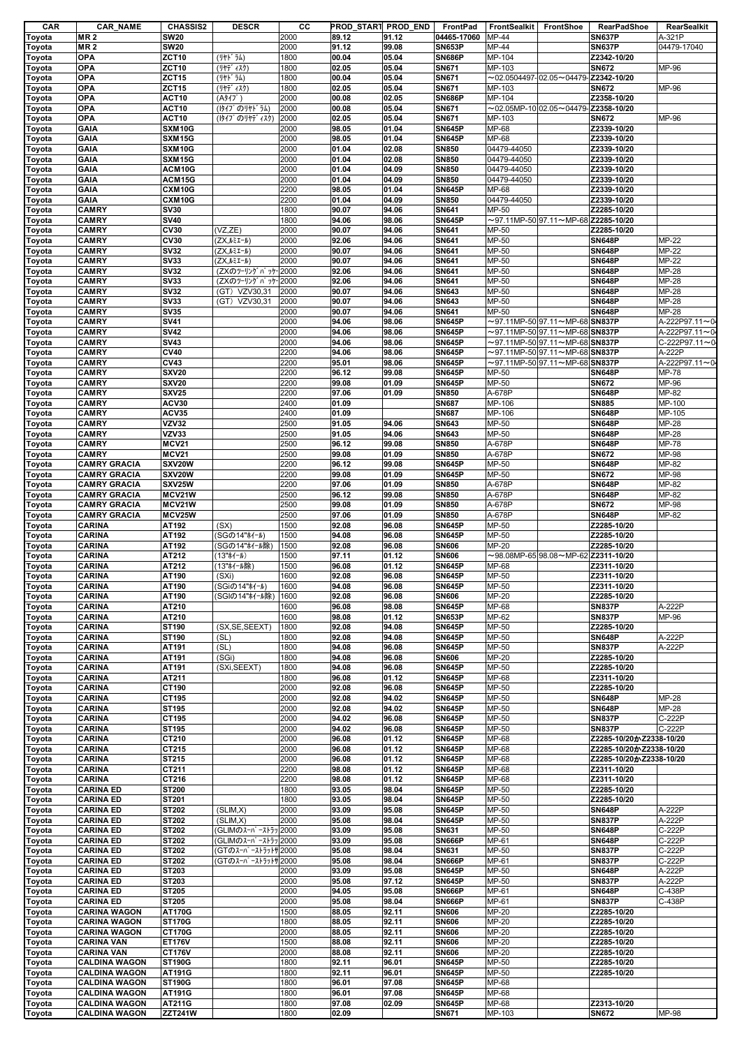| <b>CAR</b>                 | <b>CAR_NAME</b>                              | <b>CHASSIS2</b>                 | <b>DESCR</b>        | cс           | PROD_START PROD_END |       | FrontPad                      | FrontSealkit    | FrontShoe                                           | RearPadShoe                 | RearSealkit    |
|----------------------------|----------------------------------------------|---------------------------------|---------------------|--------------|---------------------|-------|-------------------------------|-----------------|-----------------------------------------------------|-----------------------------|----------------|
| Toyota                     | <b>MR2</b>                                   | <b>SW20</b>                     |                     | 2000         | 89.12               | 91.12 | 04465-17060                   | MP-44           |                                                     | <b>SN637P</b>               | A-321P         |
| Toyota                     | <b>MR2</b>                                   | <b>SW20</b>                     |                     | 2000         | 91.12               | 99.08 | <b>SN653P</b>                 | MP-44           |                                                     | <b>SN637P</b>               | 04479-17040    |
| Toyota                     | <b>OPA</b>                                   | <b>ZCT10</b>                    | (リヤト ラム)            | 1800         | 00.04               | 05.04 | <b>SN686P</b>                 | MP-104          |                                                     | Z2342-10/20                 |                |
| Toyota                     | <b>OPA</b>                                   | <b>ZCT10</b>                    | (リヤデ ィスク)           | 1800         | 02.05               | 05.04 | <b>SN671</b>                  | MP-103          |                                                     | <b>SN672</b>                | MP-96          |
|                            | <b>OPA</b>                                   | <b>ZCT15</b>                    | (リヤト ラム)            | 1800         | 00.04               | 05.04 | <b>SN671</b>                  |                 | $\sim$ 02.0504497-02.05 $\sim$ 04479-Z2342-10/20    |                             |                |
| Toyota                     |                                              |                                 |                     |              |                     |       |                               |                 |                                                     |                             |                |
| Toyota                     | <b>OPA</b>                                   | ZCT <sub>15</sub>               | (リヤデ ィスク)           | 1800         | 02.05               | 05.04 | SN671                         | MP-103          |                                                     | <b>SN672</b>                | MP-96          |
| Toyota                     | <b>OPA</b>                                   | ACT <sub>10</sub>               | (A917)              | 2000         | 00.08               | 02.05 | <b>SN686P</b>                 | MP-104          |                                                     | Z2358-10/20                 |                |
| Toyota                     | <b>OPA</b>                                   | ACT <sub>10</sub>               | (1947° のリヤト* ラム)    | 2000         | 00.08               | 05.04 | <b>SN671</b>                  |                 | $\sim$ 02.05MP-10 02.05 $\sim$ 04479- Z2358-10/20   |                             |                |
| Toyota                     | <b>OPA</b>                                   | ACT <sub>10</sub>               | (1947° のリヤデ ィスク)    | 2000         | 02.05               | 05.04 | SN671                         | MP-103          |                                                     | <b>SN672</b>                | MP-96          |
| Toyota                     | <b>GAIA</b>                                  | SXM10G                          |                     | 2000         | 98.05               | 01.04 | <b>SN645P</b>                 | MP-68           |                                                     | Z2339-10/20                 |                |
| Toyota                     | GAIA                                         | SXM15G                          |                     | 2000         | 98.05               | 01.04 | <b>SN645P</b>                 | MP-68           |                                                     | Z2339-10/20                 |                |
|                            | GAIA                                         | SXM10G                          |                     | 2000         | 01.04               | 02.08 | <b>SN850</b>                  | 04479-44050     |                                                     | Z2339-10/20                 |                |
| Toyota                     |                                              |                                 |                     |              |                     |       |                               |                 |                                                     |                             |                |
| Toyota                     | GAIA                                         | SXM15G                          |                     | 2000         | 01.04               | 02.08 | <b>SN850</b>                  | 04479-44050     |                                                     | Z2339-10/20                 |                |
| Toyota                     | GAIA                                         | ACM10G                          |                     | 2000         | 01.04               | 04.09 | <b>SN850</b>                  | 04479-44050     |                                                     | Z2339-10/20                 |                |
| Toyota                     | GAIA                                         | ACM15G                          |                     | 2000         | 01.04               | 04.09 | <b>SN850</b>                  | 04479-44050     |                                                     | Z2339-10/20                 |                |
| Toyota                     | GAIA                                         | CXM10G                          |                     | 2200         | 98.05               | 01.04 | <b>SN645P</b>                 | MP-68           |                                                     | Z2339-10/20                 |                |
| Toyota                     | <b>GAIA</b>                                  | CXM10G                          |                     | 2200         | 01.04               | 04.09 | <b>SN850</b>                  | 04479-44050     |                                                     | Z2339-10/20                 |                |
| Toyota                     | <b>CAMRY</b>                                 | <b>SV30</b>                     |                     | 1800         | 90.07               | 94.06 | SN641                         | MP-50           |                                                     | Z2285-10/20                 |                |
| Toyota                     | <b>CAMRY</b>                                 | <b>SV40</b>                     |                     | 1800         | 94.06               | 98.06 | <b>SN645P</b>                 |                 | $\sim$ 97.11MP-50 97.11 $\sim$ MP-68 Z2285-10/20    |                             |                |
|                            | <b>CAMRY</b>                                 | <b>CV30</b>                     | (VZ,ZE)             | 2000         | 90.07               | 94.06 | SN641                         | MP-50           |                                                     | Z2285-10/20                 |                |
| Toyota                     |                                              |                                 |                     |              |                     |       |                               |                 |                                                     |                             |                |
| Toyota                     | <b>CAMRY</b>                                 | <b>CV30</b>                     | (ZX,ルミエール)          | 2000         | 92.06               | 94.06 | <b>SN641</b>                  | MP-50           |                                                     | <b>SN648P</b>               | MP-22          |
| Toyota                     | <b>CAMRY</b>                                 | <b>SV32</b>                     | (ZX,ルミエール)          | 2000         | 90.07               | 94.06 | <b>SN641</b>                  | MP-50           |                                                     | <b>SN648P</b>               | MP-22          |
| Toyota                     | <b>CAMRY</b>                                 | <b>SV33</b>                     | (ZX,ルミエール)          | 2000         | 90.07               | 94.06 | <b>SN641</b>                  | MP-50           |                                                     | <b>SN648P</b>               | MP-22          |
| Toyota                     | <b>CAMRY</b>                                 | <b>SV32</b>                     | (ZXのツーリングパッケー2000   |              | 92.06               | 94.06 | SN641                         | MP-50           |                                                     | <b>SN648P</b>               | MP-28          |
| Toyota                     | <b>CAMRY</b>                                 | <b>SV33</b>                     | (ZXのツーリングパッケー2000   |              | 92.06               | 94.06 | <b>SN641</b>                  | MP-50           |                                                     | <b>SN648P</b>               | MP-28          |
| Toyota                     | <b>CAMRY</b>                                 | <b>SV32</b>                     | (GT) VZV30,31       | 2000         | 90.07               | 94.06 | <b>SN643</b>                  | MP-50           |                                                     | <b>SN648P</b>               | MP-28          |
|                            | <b>CAMRY</b>                                 | <b>SV33</b>                     | (GT) VZV30,31       | 2000         | 90.07               | 94.06 | <b>SN643</b>                  | MP-50           |                                                     | <b>SN648P</b>               | $MP-28$        |
| Toyota                     |                                              |                                 |                     |              |                     |       |                               |                 |                                                     |                             |                |
| Toyota                     | <b>CAMRY</b>                                 | <b>SV35</b>                     |                     | 2000         | 90.07               | 94.06 | SN641                         | MP-50           |                                                     | <b>SN648P</b>               | MP-28          |
| Toyota                     | <b>CAMRY</b>                                 | <b>SV41</b>                     |                     | 2000         | 94.06               | 98.06 | <b>SN645P</b>                 |                 | $\sim$ 97.11MP-50 97.11 $\sim$ MP-68 SN837P         |                             | A-222P97.11~04 |
| Toyota                     | <b>CAMRY</b>                                 | <b>SV42</b>                     |                     | 2000         | 94.06               | 98.06 | <b>SN645P</b>                 |                 | $\sim$ 97.11MP-50 97.11 $\sim$ MP-68 SN837P         |                             | A-222P97.11~04 |
| Toyota                     | <b>CAMRY</b>                                 | <b>SV43</b>                     |                     | 2000         | 94.06               | 98.06 | <b>SN645P</b>                 |                 | $\sim$ 97.11MP-50 97.11 $\sim$ MP-68 SN837P         |                             | C-222P97.11~0  |
| Toyota                     | <b>CAMRY</b>                                 | <b>CV40</b>                     |                     | 2200         | 94.06               | 98.06 | <b>SN645P</b>                 |                 | $\sim$ 97.11MP-50 $ $ 97.11 $\sim$ MP-68 SN837P     |                             | A-222P         |
| Toyota                     | <b>CAMRY</b>                                 | <b>CV43</b>                     |                     | 2200         | 95.01               | 98.06 | <b>SN645P</b>                 |                 | ${\sim}$ 97.11MP-50 $ $ 97.11 ${\sim}$ MP-68 SN837P |                             | A-222P97.11~04 |
|                            |                                              |                                 |                     |              |                     |       |                               |                 |                                                     | <b>SN648P</b>               |                |
| Toyota                     | <b>CAMRY</b>                                 | <b>SXV20</b>                    |                     | 2200         | 96.12               | 99.08 | <b>SN645P</b>                 | MP-50           |                                                     |                             | MP-78          |
| Toyota                     | <b>CAMRY</b>                                 | <b>SXV20</b>                    |                     | 2200         | 99.08               | 01.09 | <b>SN645P</b>                 | MP-50           |                                                     | <b>SN672</b>                | MP-96          |
| Toyota                     | <b>CAMRY</b>                                 | <b>SXV25</b>                    |                     | 2200         | 97.06               | 01.09 | <b>SN850</b>                  | A-678P          |                                                     | <b>SN648P</b>               | MP-82          |
| Toyota                     | <b>CAMRY</b>                                 | ACV30                           |                     | 2400         | 01.09               |       | <b>SN687</b>                  | MP-106          |                                                     | <b>SN885</b>                | MP-100         |
| Toyota                     | <b>CAMRY</b>                                 | ACV35                           |                     | 2400         | 01.09               |       | <b>SN687</b>                  | MP-106          |                                                     | <b>SN648P</b>               | MP-105         |
| Toyota                     | <b>CAMRY</b>                                 | <b>VZV32</b>                    |                     | 2500         | 91.05               | 94.06 | SN643                         | MP-50           |                                                     | <b>SN648P</b>               | MP-28          |
|                            | <b>CAMRY</b>                                 | <b>VZV33</b>                    |                     | 2500         | 91.05               | 94.06 | <b>SN643</b>                  | MP-50           |                                                     | <b>SN648P</b>               | MP-28          |
| Toyota                     |                                              |                                 |                     |              |                     |       |                               |                 |                                                     |                             |                |
| Toyota                     | <b>CAMRY</b>                                 | <b>MCV21</b>                    |                     | 2500         | 96.12               | 99.08 | <b>SN850</b>                  | A-678P          |                                                     | <b>SN648P</b>               | MP-78          |
| Toyota                     | <b>CAMRY</b>                                 | <b>MCV21</b>                    |                     | 2500         | 99.08               | 01.09 | <b>SN850</b>                  | A-678P          |                                                     | <b>SN672</b>                | MP-98          |
| Toyota                     | <b>CAMRY GRACIA</b>                          | SXV20W                          |                     | 2200         | 96.12               | 99.08 | <b>SN645P</b>                 | MP-50           |                                                     | <b>SN648P</b>               | MP-82          |
| Toyota                     | <b>CAMRY GRACIA</b>                          | SXV20W                          |                     | 2200         | 99.08               | 01.09 | <b>SN645P</b>                 | MP-50           |                                                     | <b>SN672</b>                | MP-98          |
| Toyota                     | <b>CAMRY GRACIA</b>                          | SXV25W                          |                     | 2200         | 97.06               | 01.09 | <b>SN850</b>                  | A-678P          |                                                     | <b>SN648P</b>               | MP-82          |
| Toyota                     | <b>CAMRY GRACIA</b>                          | MCV21W                          |                     | 2500         | 96.12               | 99.08 | <b>SN850</b>                  | A-678P          |                                                     | <b>SN648P</b>               | MP-82          |
| Toyota                     | <b>CAMRY GRACIA</b>                          | MCV21W                          |                     | 2500         | 99.08               | 01.09 | <b>SN850</b>                  | A-678P          |                                                     | <b>SN672</b>                | MP-98          |
|                            |                                              |                                 |                     |              |                     |       |                               |                 |                                                     |                             |                |
| Toyota                     | <b>CAMRY GRACIA</b>                          | MCV25W                          |                     | 2500         | 97.06               | 01.09 | <b>SN850</b>                  | A-678P          |                                                     | <b>SN648P</b>               | MP-82          |
| Toyota                     | <b>CARINA</b>                                | AT192                           | (SX)                | 1500         | 92.08               | 96.08 | <b>SN645P</b>                 | MP-50           |                                                     | Z2285-10/20                 |                |
| Toyota                     | <b>CARINA</b>                                | AT192                           | (SGの14"ホイール)        | 1500         | 94.08               | 96.08 | <b>SN645P</b>                 | MP-50           |                                                     | Z2285-10/20                 |                |
| Toyota                     | <b>CARINA</b>                                | AT192                           | SGの14"ホイール除)        | 1500         | 92.08               | 96.08 | <b>SN606</b>                  | MP-20           |                                                     | Z2285-10/20                 |                |
| Toyota                     | <b>CARINA</b>                                | AT212                           | (13"ホイール)           | 1500         | 97.11               | 01.12 | <b>SN606</b>                  |                 | $\sim$ 98.08MP-65 98.08 $\sim$ MP-62 Z2311-10/20    |                             |                |
|                            |                                              |                                 |                     |              |                     |       |                               |                 |                                                     |                             |                |
| Toyota                     | <b>CARINA</b>                                | AT212                           | (13"ホイール除)          | 1500         | 96.08               | 01.12 | <b>SN645P</b>                 | MP-68           |                                                     | Z2311-10/20                 |                |
| Toyota                     | <b>CARINA</b>                                | AT190                           | (SXi)               | 1600         | 92.08               | 96.08 | <b>SN645P</b>                 | MP-50           |                                                     | Z2311-10/20                 |                |
| Toyota                     | <b>CARINA</b>                                | AT190                           | (SGiの14"ホイール)       | 1600         | 94.08               | 96.08 | <b>SN645P</b>                 | MP-50           |                                                     | Z2311-10/20                 |                |
| Toyota                     | <b>CARINA</b>                                | AT190                           | (SGIの14"ホイール除)      | 1600         | 92.08               | 96.08 | <b>SN606</b>                  | MP-20           |                                                     | Z2285-10/20                 |                |
| Toyota                     | <b>CARINA</b>                                | AT210                           |                     | 1600         | 96.08               | 98.08 | <b>SN645P</b>                 | MP-68           |                                                     | <b>SN837P</b>               | A-222P         |
| Toyota                     | <b>CARINA</b>                                | AT210                           |                     | 1600         | 98.08               | 01.12 | <b>SN653P</b>                 | MP-62           |                                                     | <b>SN837P</b>               | MP-96          |
| Toyota                     | <b>CARINA</b>                                | <b>ST190</b>                    | (SX, SE, SEEXT)     | 1800         | 92.08               | 94.08 | <b>SN645P</b>                 | MP-50           |                                                     | Z2285-10/20                 |                |
|                            |                                              |                                 |                     |              |                     |       |                               |                 |                                                     |                             |                |
| Toyota                     | <b>CARINA</b>                                | ST190                           | (SL)                | 1800         | 92.08               | 94.08 | <b>SN645P</b>                 | MP-50           |                                                     | <b>SN648P</b>               | A-222P         |
| Toyota                     | <b>CARINA</b>                                | AT191                           | (SL)                | 1800         | 94.08               | 96.08 | <b>SN645P</b>                 | MP-50           |                                                     | <b>SN837P</b>               | A-222P         |
| Toyota                     | CARINA                                       | AT191                           | (SGi)               | 1800         | 94.08               | 96.08 | <b>SN606</b>                  | MP-20           |                                                     | Z2285-10/20                 |                |
| Toyota                     | <b>CARINA</b>                                | AT191                           | (SXi, SEEXT)        | 1800         | 94.08               | 96.08 | <b>SN645P</b>                 | MP-50           |                                                     | Z2285-10/20                 |                |
| Toyota                     | <b>CARINA</b>                                | AT211                           |                     | 1800         | 96.08               | 01.12 | <b>SN645P</b>                 | MP-68           |                                                     | Z2311-10/20                 |                |
| Toyota                     | <b>CARINA</b>                                | CT190                           |                     | 2000         | 92.08               | 96.08 | <b>SN645P</b>                 | MP-50           |                                                     | Z2285-10/20                 |                |
| Toyota                     | <b>CARINA</b>                                | CT195                           |                     | 2000         | 92.08               | 94.02 | <b>SN645P</b>                 | MP-50           |                                                     | <b>SN648P</b>               | MP-28          |
|                            | <b>CARINA</b>                                | <b>ST195</b>                    |                     | 2000         |                     | 94.02 | <b>SN645P</b>                 | MP-50           |                                                     | <b>SN648P</b>               | MP-28          |
| Toyota                     |                                              |                                 |                     |              | 92.08               |       |                               |                 |                                                     |                             |                |
| Toyota                     | <b>CARINA</b>                                | CT195                           |                     | 2000         | 94.02               | 96.08 | <b>SN645P</b>                 | MP-50           |                                                     | <b>SN837P</b>               | C-222P         |
| Toyota                     | <b>CARINA</b>                                | ST195                           |                     | 2000         | 94.02               | 96.08 | <b>SN645P</b>                 | MP-50           |                                                     | <b>SN837P</b>               | C-222P         |
| Toyota                     | <b>CARINA</b>                                | CT210                           |                     | 2000         | 96.08               | 01.12 | <b>SN645P</b>                 | MP-68           |                                                     | Z2285-10/20かZ2338-10/20     |                |
| Toyota                     | <b>CARINA</b>                                | CT215                           |                     | 2000         | 96.08               | 01.12 | <b>SN645P</b>                 | MP-68           |                                                     | Z2285-10/20かZ2338-10/20     |                |
| Toyota                     | <b>CARINA</b>                                | ST215                           |                     | 2000         | 96.08               | 01.12 | <b>SN645P</b>                 | MP-68           |                                                     | Z2285-10/20かZ2338-10/20     |                |
| Toyota                     | <b>CARINA</b>                                | CT211                           |                     | 2200         | 98.08               | 01.12 | <b>SN645P</b>                 | MP-68           |                                                     | Z2311-10/20                 |                |
| Toyota                     | <b>CARINA</b>                                | CT216                           |                     | 2200         | 98.08               | 01.12 | <b>SN645P</b>                 | MP-68           |                                                     | Z2311-10/20                 |                |
| Toyota                     | <b>CARINA ED</b>                             | <b>ST200</b>                    |                     | 1800         | 93.05               | 98.04 | <b>SN645P</b>                 | MP-50           |                                                     | Z2285-10/20                 |                |
|                            | <b>CARINA ED</b>                             | ST201                           |                     | 1800         | 93.05               | 98.04 | <b>SN645P</b>                 | MP-50           |                                                     | Z2285-10/20                 |                |
| Toyota                     |                                              |                                 |                     |              |                     |       |                               |                 |                                                     |                             |                |
| Toyota                     | <b>CARINA ED</b>                             | ST202                           | (SLIM, X)           | 2000         | 93.09               | 95.08 | <b>SN645P</b>                 | MP-50           |                                                     | <b>SN648P</b>               | A-222P         |
| Toyota                     | <b>CARINA ED</b>                             | ST202                           | (SLIM, X)           | 2000         | 95.08               | 98.04 | <b>SN645P</b>                 | MP-50           |                                                     | <b>SN837P</b>               | A-222P         |
| Toyota                     | <b>CARINA ED</b>                             | ST202                           | (GLIMのスーパーストラッ2000  |              | 93.09               | 95.08 | <b>SN631</b>                  | MP-50           |                                                     | <b>SN648P</b>               | C-222P         |
| Toyota                     | <b>CARINA ED</b>                             | ST202                           | (GLIMのスーパーストラッ2000  |              | 93.09               | 95.08 | <b>SN666P</b>                 | MP-61           |                                                     | <b>SN648P</b>               | C-222P         |
| Toyota                     | <b>CARINA ED</b>                             | <b>ST202</b>                    | (GTのスーパーストラットサ 2000 |              | 95.08               | 98.04 | SN631                         | MP-50           |                                                     | <b>SN837P</b>               | C-222P         |
| Toyota                     | <b>CARINA ED</b>                             | ST202                           | (GTのスーパーストラットサ 2000 |              | 95.08               | 98.04 | <b>SN666P</b>                 | MP-61           |                                                     | <b>SN837P</b>               | C-222P         |
|                            |                                              |                                 |                     |              |                     |       |                               |                 |                                                     |                             |                |
| Toyota                     | <b>CARINA ED</b>                             | ST203                           |                     | 2000         | 93.09               | 95.08 | <b>SN645P</b>                 | MP-50           |                                                     | <b>SN648P</b>               | A-222P         |
| Toyota                     | <b>CARINA ED</b>                             | ST203                           |                     | 2000         | 95.08               | 97.12 | <b>SN645P</b>                 | MP-50           |                                                     | <b>SN837P</b>               | A-222P         |
| Toyota                     | <b>CARINA ED</b>                             | ST205                           |                     | 2000         | 94.05               | 95.08 | <b>SN666P</b>                 | MP-61           |                                                     | <b>SN648P</b>               | C-438P         |
| Toyota                     | <b>CARINA ED</b>                             | <b>ST205</b>                    |                     | 2000         | 95.08               | 98.04 | <b>SN666P</b>                 | MP-61           |                                                     | <b>SN837P</b>               | C-438P         |
| Toyota                     | <b>CARINA WAGON</b>                          | <b>AT170G</b>                   |                     | 1500         | 88.05               | 92.11 | <b>SN606</b>                  | MP-20           |                                                     | Z2285-10/20                 |                |
| Toyota                     | <b>CARINA WAGON</b>                          | <b>ST170G</b>                   |                     | 1800         | 88.05               | 92.11 | <b>SN606</b>                  | MP-20           |                                                     | Z2285-10/20                 |                |
|                            |                                              |                                 |                     |              |                     |       |                               |                 |                                                     |                             |                |
| Toyota                     | <b>CARINA WAGON</b>                          | <b>CT170G</b>                   |                     | 2000         | 88.05               | 92.11 | <b>SN606</b>                  | MP-20           |                                                     | Z2285-10/20                 |                |
| Toyota                     | <b>CARINA VAN</b>                            | <b>ET176V</b>                   |                     | 1500         | 88.08               | 92.11 | <b>SN606</b>                  | MP-20           |                                                     | Z2285-10/20                 |                |
| Toyota                     | <b>CARINA VAN</b>                            | <b>CT176V</b>                   |                     | 2000         | 88.08               | 92.11 | <b>SN606</b>                  | MP-20           |                                                     | Z2285-10/20                 |                |
| Toyota                     | <b>CALDINA WAGON</b>                         | ST190G                          |                     | 1800         | 92.11               | 96.01 | <b>SN645P</b>                 | MP-50           |                                                     | Z2285-10/20                 |                |
| Toyota                     | <b>CALDINA WAGON</b>                         | <b>AT191G</b>                   |                     | 1800         | 92.11               | 96.01 | <b>SN645P</b>                 | MP-50           |                                                     | Z2285-10/20                 |                |
| Toyota                     |                                              |                                 |                     |              |                     |       |                               |                 |                                                     |                             |                |
|                            |                                              |                                 |                     |              |                     |       |                               |                 |                                                     |                             |                |
|                            | <b>CALDINA WAGON</b>                         | <b>ST190G</b>                   |                     | 1800         | 96.01               | 97.08 | <b>SN645P</b>                 | MP-68           |                                                     |                             |                |
|                            | <b>CALDINA WAGON</b>                         | <b>AT191G</b>                   |                     | 1800         | 96.01               | 97.08 | <b>SN645P</b>                 | MP-68           |                                                     |                             |                |
| Toyota<br>Toyota<br>Toyota | <b>CALDINA WAGON</b><br><b>CALDINA WAGON</b> | <b>AT211G</b><br><b>ZZT241W</b> |                     | 1800<br>1800 | 97.08<br>02.09      | 02.09 | <b>SN645P</b><br><b>SN671</b> | MP-68<br>MP-103 |                                                     | Z2313-10/20<br><b>SN672</b> | MP-98          |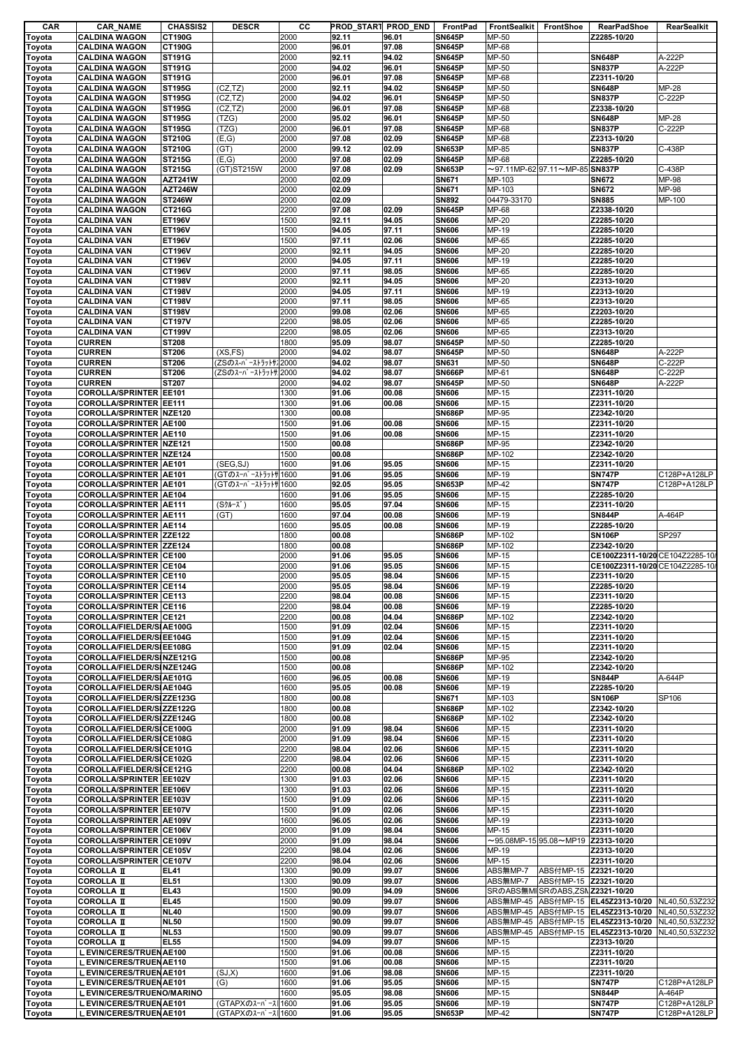| CAR              | <b>CAR NAME</b>                                                | <b>CHASSIS2</b>                 | <b>DESCR</b>        | cс           | PROD START PROD END |                | FrontPad                       | <b>FrontSealkit</b>    | FrontShoe                                       | <b>RearPadShoe</b>                                                                   | RearSealkit     |
|------------------|----------------------------------------------------------------|---------------------------------|---------------------|--------------|---------------------|----------------|--------------------------------|------------------------|-------------------------------------------------|--------------------------------------------------------------------------------------|-----------------|
| Toyota           | <b>CALDINA WAGON</b>                                           | CT190G                          |                     | 2000         | 92.11               | 96.01          | <b>SN645P</b>                  | MP-50                  |                                                 | Z2285-10/20                                                                          |                 |
| Toyota           | <b>CALDINA WAGON</b>                                           | CT190G                          |                     | 2000         | 96.01               | 97.08          | <b>SN645P</b>                  | MP-68                  |                                                 |                                                                                      |                 |
| Toyota           | <b>CALDINA WAGON</b>                                           | <b>ST191G</b>                   |                     | 2000         | 92.11               | 94.02          | <b>SN645P</b>                  | MP-50                  |                                                 | <b>SN648P</b>                                                                        | A-222P          |
| Toyota           | <b>CALDINA WAGON</b>                                           | <b>ST191G</b>                   |                     | 2000         | 94.02               | 96.01          | <b>SN645P</b>                  | MP-50                  |                                                 | <b>SN837P</b>                                                                        | A-222P          |
| Toyota           | <b>CALDINA WAGON</b><br><b>CALDINA WAGON</b>                   | <b>ST191G</b>                   | (CZ, TZ)            | 2000<br>2000 | 96.01               | 97.08<br>94.02 | <b>SN645P</b><br><b>SN645P</b> | MP-68<br>MP-50         |                                                 | Z2311-10/20<br><b>SN648P</b>                                                         | <b>MP-28</b>    |
| Toyota<br>Toyota | <b>CALDINA WAGON</b>                                           | <b>ST195G</b><br><b>ST195G</b>  | (CZ, TZ)            | 2000         | 92.11<br>94.02      | 96.01          | <b>SN645P</b>                  | MP-50                  |                                                 | <b>SN837P</b>                                                                        | C-222P          |
| Toyota           | <b>CALDINA WAGON</b>                                           | <b>ST195G</b>                   | (CZ, TZ)            | 2000         | 96.01               | 97.08          | <b>SN645P</b>                  | MP-68                  |                                                 | Z2338-10/20                                                                          |                 |
| Toyota           | <b>CALDINA WAGON</b>                                           | <b>ST195G</b>                   | (TZG)               | 2000         | 95.02               | 96.01          | <b>SN645P</b>                  | MP-50                  |                                                 | <b>SN648P</b>                                                                        | <b>MP-28</b>    |
| Toyota           | <b>CALDINA WAGON</b>                                           | <b>ST195G</b>                   | (TZG)               | 2000         | 96.01               | 97.08          | <b>SN645P</b>                  | MP-68                  |                                                 | <b>SN837P</b>                                                                        | C-222P          |
| Toyota           | <b>CALDINA WAGON</b>                                           | <b>ST210G</b>                   | (E,G)               | 2000         | 97.08               | 02.09          | <b>SN645P</b>                  | MP-68                  |                                                 | Z2313-10/20                                                                          |                 |
| Toyota           | <b>CALDINA WAGON</b>                                           | <b>ST210G</b>                   | (GT)                | 2000         | 99.12               | 02.09          | <b>SN653P</b>                  | MP-85                  |                                                 | <b>SN837P</b>                                                                        | C-438P          |
| Toyota           | <b>CALDINA WAGON</b>                                           | <b>ST215G</b>                   | (E,G)               | 2000         | 97.08               | 02.09          | <b>SN645P</b>                  | MP-68                  |                                                 | Z2285-10/20                                                                          |                 |
| Toyota           | <b>CALDINA WAGON</b>                                           | <b>ST215G</b>                   | (GT)ST215W          | 2000         | 97.08               | 02.09          | <b>SN653P</b>                  |                        | $\sim$ 97.11MP-62 97.11 $\sim$ MP-85 SN837P     |                                                                                      | C-438P          |
| Toyota           | <b>CALDINA WAGON</b>                                           | <b>AZT241W</b>                  |                     | 2000         | 02.09               |                | <b>SN671</b>                   | MP-103                 |                                                 | <b>SN672</b>                                                                         | MP-98           |
| Toyota           | <b>CALDINA WAGON</b>                                           | <b>AZT246W</b><br><b>ST246W</b> |                     | 2000<br>2000 | 02.09<br>02.09      |                | <b>SN671</b><br><b>SN892</b>   | MP-103<br>04479-33170  |                                                 | <b>SN672</b><br><b>SN885</b>                                                         | MP-98<br>MP-100 |
| Toyota           | <b>CALDINA WAGON</b><br><b>CALDINA WAGON</b>                   | CT216G                          |                     | 2200         | 97.08               | 02.09          | <b>SN645P</b>                  | MP-68                  |                                                 | Z2338-10/20                                                                          |                 |
| Toyota<br>Toyota | <b>CALDINA VAN</b>                                             | <b>ET196V</b>                   |                     | 1500         | 92.11               | 94.05          | <b>SN606</b>                   | MP-20                  |                                                 | Z2285-10/20                                                                          |                 |
| Toyota           | <b>CALDINA VAN</b>                                             | <b>ET196V</b>                   |                     | 1500         | 94.05               | 97.11          | <b>SN606</b>                   | MP-19                  |                                                 | Z2285-10/20                                                                          |                 |
| Toyota           | <b>CALDINA VAN</b>                                             | <b>ET196V</b>                   |                     | 1500         | 97.11               | 02.06          | <b>SN606</b>                   | MP-65                  |                                                 | Z2285-10/20                                                                          |                 |
| Toyota           | <b>CALDINA VAN</b>                                             | CT196V                          |                     | 2000         | 92.11               | 94.05          | <b>SN606</b>                   | MP-20                  |                                                 | Z2285-10/20                                                                          |                 |
| Toyota           | <b>CALDINA VAN</b>                                             | <b>CT196V</b>                   |                     | 2000         | 94.05               | 97.11          | <b>SN606</b>                   | MP-19                  |                                                 | Z2285-10/20                                                                          |                 |
| Toyota           | <b>CALDINA VAN</b>                                             | <b>CT196V</b>                   |                     | 2000         | 97.11               | 98.05          | <b>SN606</b>                   | MP-65                  |                                                 | Z2285-10/20                                                                          |                 |
| Toyota           | <b>CALDINA VAN</b>                                             | <b>CT198V</b>                   |                     | 2000         | 92.11               | 94.05          | <b>SN606</b>                   | MP-20                  |                                                 | Z2313-10/20                                                                          |                 |
| Toyota           | <b>CALDINA VAN</b>                                             | <b>CT198V</b>                   |                     | 2000         | 94.05               | 97.11          | <b>SN606</b>                   | MP-19                  |                                                 | Z2313-10/20                                                                          |                 |
| Toyota           | <b>CALDINA VAN</b>                                             | <b>CT198V</b>                   |                     | 2000         | 97.11               | 98.05          | <b>SN606</b>                   | MP-65                  |                                                 | Z2313-10/20                                                                          |                 |
| Toyota           | <b>CALDINA VAN</b>                                             | <b>ST198V</b>                   |                     | 2000<br>2200 | 99.08               | 02.06          | <b>SN606</b>                   | $MP-65$<br>MP-65       |                                                 | Z2203-10/20<br>Z2285-10/20                                                           |                 |
| Toyota<br>Toyota | <b>CALDINA VAN</b><br><b>CALDINA VAN</b>                       | CT197V<br><b>CT199V</b>         |                     | 2200         | 98.05<br>98.05      | 02.06<br>02.06 | <b>SN606</b><br><b>SN606</b>   | MP-65                  |                                                 | Z2313-10/20                                                                          |                 |
| Toyota           | <b>CURREN</b>                                                  | <b>ST208</b>                    |                     | 1800         | 95.09               | 98.07          | <b>SN645P</b>                  | MP-50                  |                                                 | Z2285-10/20                                                                          |                 |
| Toyota           | <b>CURREN</b>                                                  | ST206                           | (XS, FS)            | 2000         | 94.02               | 98.07          | <b>SN645P</b>                  | MP-50                  |                                                 | <b>SN648P</b>                                                                        | A-222P          |
| Toyota           | <b>CURREN</b>                                                  | ST206                           | (ZSのスーパーストラットサ.     | 2000         | 94.02               | 98.07          | SN631                          | MP-50                  |                                                 | <b>SN648P</b>                                                                        | C-222P          |
| Toyota           | <b>CURREN</b>                                                  | ST206                           | (ZSのスーパーストラットサ 2000 |              | 94.02               | 98.07          | <b>SN666P</b>                  | MP-61                  |                                                 | <b>SN648P</b>                                                                        | C-222P          |
| Toyota           | <b>CURREN</b>                                                  | ST207                           |                     | 2000         | 94.02               | 98.07          | <b>SN645P</b>                  | MP-50                  |                                                 | <b>SN648P</b>                                                                        | A-222P          |
| Toyota           | COROLLA/SPRINTER EE101                                         |                                 |                     | 1300         | 91.06               | 00.08          | <b>SN606</b>                   | MP-15                  |                                                 | Z2311-10/20                                                                          |                 |
| Toyota           | COROLLA/SPRINTER EE111                                         |                                 |                     | 1300         | 91.06               | 00.08          | <b>SN606</b>                   | MP-15                  |                                                 | Z2311-10/20                                                                          |                 |
| Toyota           | COROLLA/SPRINTER NZE120                                        |                                 |                     | 1300         | 00.08               |                | <b>SN686P</b>                  | MP-95                  |                                                 | Z2342-10/20                                                                          |                 |
| Toyota           | COROLLA/SPRINTER AE100                                         |                                 |                     | 1500         | 91.06               | 00.08          | <b>SN606</b>                   | MP-15                  |                                                 | Z2311-10/20                                                                          |                 |
| Toyota           | COROLLA/SPRINTER AE110                                         |                                 |                     | 1500         | 91.06               | 00.08          | <b>SN606</b>                   | MP-15                  |                                                 | Z2311-10/20                                                                          |                 |
| Toyota           | COROLLA/SPRINTER NZE121                                        |                                 |                     | 1500<br>1500 | 00.08               |                | <b>SN686P</b><br><b>SN686P</b> | MP-95<br>MP-102        |                                                 | Z2342-10/20                                                                          |                 |
| Toyota           | COROLLA/SPRINTER NZE124<br>COROLLA/SPRINTER AE101              |                                 | (SEG,SJ)            | 1600         | 00.08<br>91.06      | 95.05          | <b>SN606</b>                   | MP-15                  |                                                 | Z2342-10/20<br>Z2311-10/20                                                           |                 |
| Toyota<br>Toyota | COROLLA/SPRINTER AE101                                         |                                 | (GTのスーパーストラットサ 1600 |              | 91.06               | 95.05          | <b>SN606</b>                   | MP-19                  |                                                 | <b>SN747P</b>                                                                        | C128P+A128LP    |
| Toyota           | COROLLA/SPRINTER AE101                                         |                                 | (GTのスーパーストラットサ 1600 |              | 92.05               | 95.05          | <b>SN653P</b>                  | MP-42                  |                                                 | <b>SN747P</b>                                                                        | C128P+A128LP    |
| Toyota           | <b>COROLLA/SPRINTER AE104</b>                                  |                                 |                     | 1600         | 91.06               | 95.05          | <b>SN606</b>                   | MP-15                  |                                                 | Z2285-10/20                                                                          |                 |
| Toyota           | COROLLA/SPRINTER AE111                                         |                                 | (Sクルーズ)             | 1600         | 95.05               | 97.04          | <b>SN606</b>                   | MP-15                  |                                                 | Z2311-10/20                                                                          |                 |
| Toyota           | COROLLA/SPRINTER AE111                                         |                                 | (GT)                | 1600         | 97.04               | 00.08          | <b>SN606</b>                   | MP-19                  |                                                 | <b>SN844P</b>                                                                        | A-464P          |
| Toyota           | <b>COROLLA/SPRINTER AE114</b>                                  |                                 |                     | 1600         | 95.05               | 00.08          | <b>SN606</b>                   | MP-19                  |                                                 | Z2285-10/20                                                                          |                 |
| Toyota           | COROLLA/SPRINTER ZZE122                                        |                                 |                     | 1800         | 00.08               |                | <b>SN686P</b>                  | MP-102                 |                                                 | <b>SN106P</b>                                                                        | <b>SP297</b>    |
| Toyota           | <b>COROLLA/SPRINTER ZZE124</b>                                 |                                 |                     | 1800         | 00.08               |                | <b>SN686P</b>                  | MP-102                 |                                                 | Z2342-10/20                                                                          |                 |
| <b>Toyota</b>    | COROLLA/SPRINTER CE100                                         |                                 |                     | 2000         | 91.06               | 95.05          | <b>SN606</b>                   | MP-15                  |                                                 | CE100Z2311-10/20 CE104Z2285-10                                                       |                 |
| Toyota           | COROLLA/SPRINTER CE104                                         |                                 |                     | 2000<br>2000 | 91.06               | 95.05<br>98.04 | <b>SN606</b><br><b>SN606</b>   | MP-15<br>MP-15         |                                                 | CE100Z2311-10/20 CE104Z2285-10<br>Z2311-10/20                                        |                 |
| Toyota<br>Toyota | <b>COROLLA/SPRINTER CE110</b><br><b>COROLLA/SPRINTER CE114</b> |                                 |                     | 2000         | 95.05<br>95.05      | 98.04          | <b>SN606</b>                   | MP-19                  |                                                 | Z2285-10/20                                                                          |                 |
| Toyota           | <b>COROLLA/SPRINTER CE113</b>                                  |                                 |                     | 2200         | 98.04               | 00.08          | <b>SN606</b>                   | MP-15                  |                                                 | Z2311-10/20                                                                          |                 |
| Toyota           | COROLLA/SPRINTER CE116                                         |                                 |                     | 2200         | 98.04               | 00.08          | <b>SN606</b>                   | MP-19                  |                                                 | Z2285-10/20                                                                          |                 |
| Toyota           | COROLLA/SPRINTER CE121                                         |                                 |                     | 2200         | 00.08               | 04.04          | <b>SN686P</b>                  | MP-102                 |                                                 | Z2342-10/20                                                                          |                 |
| Toyota           | COROLLA/FIELDER/SIAE100G                                       |                                 |                     | 1500         | 91.09               | 02.04          | <b>SN606</b>                   | MP-15                  |                                                 | Z2311-10/20                                                                          |                 |
| Toyota           | COROLLA/FIELDER/SIEE104G                                       |                                 |                     | 1500         | 91.09               | 02.04          | <b>SN606</b>                   | MP-15                  |                                                 | Z2311-10/20                                                                          |                 |
| Toyota           | COROLLA/FIELDER/SIEE108G                                       |                                 |                     | 1500         | 91.09               | 02.04          | <b>SN606</b>                   | MP-15                  |                                                 | Z2311-10/20                                                                          |                 |
| Toyota           | COROLLA/FIELDER/SINZE121G                                      |                                 |                     | 1500         | 00.08               |                | <b>SN686P</b>                  | MP-95                  |                                                 | Z2342-10/20                                                                          |                 |
| Toyota           | COROLLA/FIELDER/SINZE124G                                      |                                 |                     | 1500         | 00.08               |                | <b>SN686P</b>                  | MP-102                 |                                                 | Z2342-10/20                                                                          |                 |
| Toyota           | COROLLA/FIELDER/SIAE101G<br>COROLLA/FIELDER/SIAE104G           |                                 |                     | 1600<br>1600 | 96.05<br>95.05      | 00.08<br>00.08 | <b>SN606</b><br><b>SN606</b>   | MP-19<br>MP-19         |                                                 | <b>SN844P</b><br>Z2285-10/20                                                         | A-644P          |
| Toyota<br>Toyota | COROLLA/FIELDER/SIZZE123G                                      |                                 |                     | 1800         | 00.08               |                | <b>SN671</b>                   | MP-103                 |                                                 | <b>SN106P</b>                                                                        | SP106           |
| Toyota           | COROLLA/FIELDER/SIZZE122G                                      |                                 |                     | 1800         | 00.08               |                | <b>SN686P</b>                  | MP-102                 |                                                 | Z2342-10/20                                                                          |                 |
| Toyota           | COROLLA/FIELDER/SIZZE124G                                      |                                 |                     | 1800         | 00.08               |                | <b>SN686P</b>                  | MP-102                 |                                                 | Z2342-10/20                                                                          |                 |
| Toyota           | COROLLA/FIELDER/SICE100G                                       |                                 |                     | 2000         | 91.09               | 98.04          | <b>SN606</b>                   | MP-15                  |                                                 | Z2311-10/20                                                                          |                 |
| Toyota           | COROLLA/FIELDER/SICE108G                                       |                                 |                     | 2000         | 91.09               | 98.04          | <b>SN606</b>                   | MP-15                  |                                                 | Z2311-10/20                                                                          |                 |
| Toyota           | COROLLA/FIELDER/SICE101G                                       |                                 |                     | 2200         | 98.04               | 02.06          | <b>SN606</b>                   | MP-15                  |                                                 | Z2311-10/20                                                                          |                 |
| Toyota           | COROLLA/FIELDER/SICE102G                                       |                                 |                     | 2200         | 98.04               | 02.06          | <b>SN606</b>                   | MP-15                  |                                                 | Z2311-10/20                                                                          |                 |
| Toyota           | COROLLA/FIELDER/SICE121G                                       |                                 |                     | 2200         | 00.08               | 04.04          | <b>SN686P</b>                  | MP-102                 |                                                 | Z2342-10/20                                                                          |                 |
| Toyota           | COROLLA/SPRINTER EE102V                                        |                                 |                     | 1300         | 91.03<br>91.03      | 02.06          | <b>SN606</b>                   | MP-15<br>MP-15         |                                                 | Z2311-10/20                                                                          |                 |
| Toyota<br>Toyota | COROLLA/SPRINTER EE106V<br>COROLLA/SPRINTER EE103V             |                                 |                     | 1300<br>1500 | 91.09               | 02.06<br>02.06 | <b>SN606</b><br><b>SN606</b>   | MP-15                  |                                                 | Z2311-10/20<br>Z2311-10/20                                                           |                 |
| Toyota           | COROLLA/SPRINTER EE107V                                        |                                 |                     | 1500         | 91.09               | 02.06          | <b>SN606</b>                   | MP-15                  |                                                 | Z2311-10/20                                                                          |                 |
| Toyota           | COROLLA/SPRINTER AE109V                                        |                                 |                     | 1600         | 96.05               | 02.06          | <b>SN606</b>                   | MP-19                  |                                                 | Z2313-10/20                                                                          |                 |
| Toyota           | COROLLA/SPRINTER CE106V                                        |                                 |                     | 2000         | 91.09               | 98.04          | <b>SN606</b>                   | MP-15                  |                                                 | Z2311-10/20                                                                          |                 |
| Toyota           | COROLLA/SPRINTER CE109V                                        |                                 |                     | 2000         | 91.09               | 98.04          | <b>SN606</b>                   |                        | $\sim$ 95.08MP-15 95.08 $\sim$ MP19 Z2313-10/20 |                                                                                      |                 |
| Toyota           | COROLLA/SPRINTER CE105V                                        |                                 |                     | 2200         | 98.04               | 02.06          | <b>SN606</b>                   | MP-19                  |                                                 | Z2313-10/20                                                                          |                 |
| Toyota           | COROLLA/SPRINTER CE107V                                        |                                 |                     | 2200         | 98.04               | 02.06          | <b>SN606</b>                   | MP-15                  |                                                 | Z2311-10/20                                                                          |                 |
| Toyota           | <b>COROLLA II</b>                                              | <b>EL41</b>                     |                     | 1300         | 90.09               | 99.07          | <b>SN606</b>                   | ABS無MP-7               | ABS付MP-15 Z2321-10/20                           |                                                                                      |                 |
| Toyota           | <b>COROLLA II</b>                                              | <b>EL51</b>                     |                     | 1300         | 90.09               | 99.07          | <b>SN606</b>                   | ABS無MP-7               | ABS付MP-15 Z2321-10/20                           |                                                                                      |                 |
| Toyota           | <b>COROLLA II</b>                                              | <b>EL43</b>                     |                     | 1500         | 90.09               | 94.09          | <b>SN606</b>                   |                        | SRのABS無MISRのABS,ZSN Z2321-10/20                 |                                                                                      |                 |
| Toyota           | <b>COROLLA II</b>                                              | <b>EL45</b>                     |                     | 1500         | 90.09               | 99.07          | <b>SN606</b>                   | ABS無MP-45              |                                                 | ABS付MP-15 EL45Z2313-10/20 NL40,50,53Z232                                             |                 |
| Toyota<br>Toyota | <b>COROLLA II</b><br><b>COROLLA II</b>                         | <b>NL40</b><br><b>NL50</b>      |                     | 1500<br>1500 | 90.09<br>90.09      | 99.07<br>99.07 | <b>SN606</b><br><b>SN606</b>   | ABS無MP-45<br>ABS無MP-45 |                                                 | ABS付MP-15 EL45Z2313-10/20 NL40,50,53Z232<br>ABS付MP-15 EL45Z2313-10/20 NL40,50,53Z232 |                 |
| Toyota           | <b>COROLLA II</b>                                              | <b>NL53</b>                     |                     | 1500         | 90.09               | 99.07          | <b>SN606</b>                   | ABS無MP-45              |                                                 | ABS付MP-15 EL45Z2313-10/20 NL40,50,53Z232                                             |                 |
| Toyota           | <b>COROLLA II</b>                                              | <b>EL55</b>                     |                     | 1500         | 94.09               | 99.07          | <b>SN606</b>                   | MP-15                  |                                                 | Z2313-10/20                                                                          |                 |
| Toyota           | L EVIN/CERES/TRUEN AE100                                       |                                 |                     | 1500         | 91.06               | 00.08          | <b>SN606</b>                   | MP-15                  |                                                 | Z2311-10/20                                                                          |                 |
| Toyota           | L EVIN/CERES/TRUEN AE110                                       |                                 |                     | 1500         | 91.06               | 00.08          | <b>SN606</b>                   | MP-15                  |                                                 | Z2311-10/20                                                                          |                 |
| Toyota           | L EVIN/CERES/TRUEN AE101                                       |                                 | (SJ,X)              | 1600         | 91.06               | 98.08          | <b>SN606</b>                   | MP-15                  |                                                 | Z2311-10/20                                                                          |                 |
| Toyota           | L EVIN/CERES/TRUEN AE101                                       |                                 | (G)                 | 1600         | 91.06               | 95.05          | <b>SN606</b>                   | MP-15                  |                                                 | <b>SN747P</b>                                                                        | C128P+A128LP    |
| Toyota           | L EVIN/CERES/TRUENO/MARINO                                     |                                 |                     | 1600         | 95.05               | 98.08          | <b>SN606</b>                   | MP-15                  |                                                 | <b>SN844P</b>                                                                        | A-464P          |
| Toyota           | L EVIN/CERES/TRUEN AE101                                       |                                 | (GTAPXのスーパース 1600   |              | 91.06               | 95.05          | <b>SN606</b>                   | MP-19                  |                                                 | <b>SN747P</b>                                                                        | C128P+A128LP    |
| Toyota           | L EVIN/CERES/TRUEN AE101                                       |                                 | (GTAPXのスーパース 1600   |              | 91.06               | 95.05          | <b>SN653P</b>                  | MP-42                  |                                                 | <b>SN747P</b>                                                                        | C128P+A128LP    |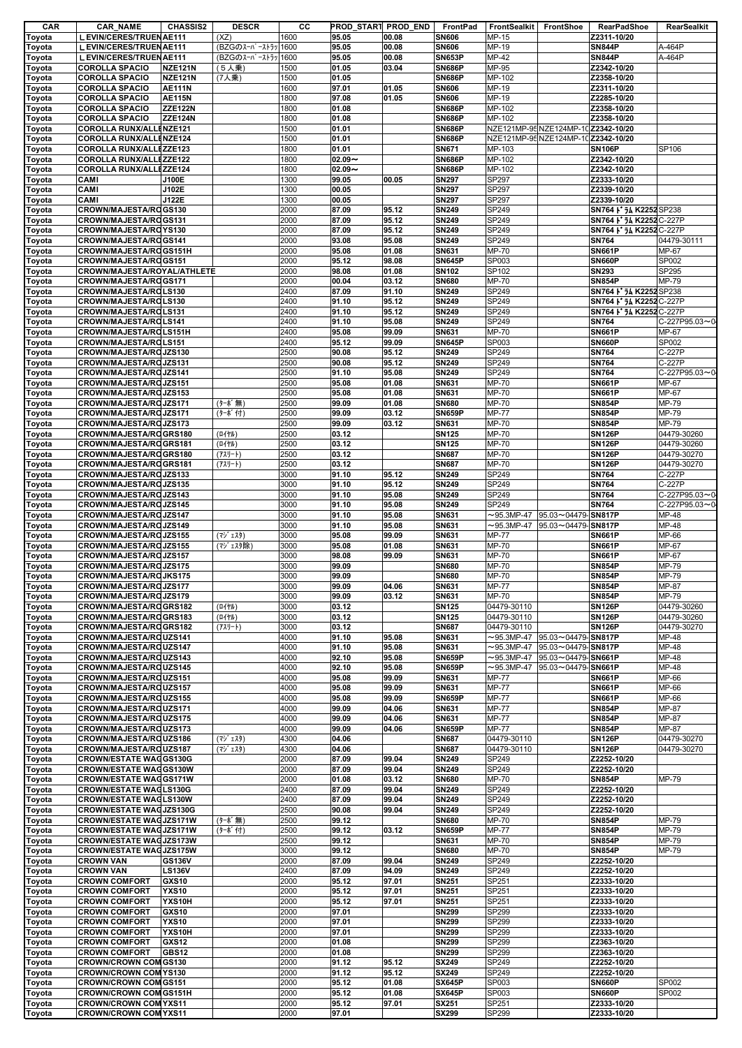| CAR           | <b>CAR_NAME</b>                | <b>CHASSIS2</b> | <b>DESCR</b>       | cс   | PROD START PROD END |       | FrontPad      | FrontSealkit     | FrontShoe                           | <b>RearPadShoe</b>      | RearSealkit   |
|---------------|--------------------------------|-----------------|--------------------|------|---------------------|-------|---------------|------------------|-------------------------------------|-------------------------|---------------|
| Toyota        | L EVIN/CERES/TRUEN AE111       |                 | (XZ)               | 1600 | 95.05               | 00.08 | <b>SN606</b>  | MP-15            |                                     | Z2311-10/20             |               |
| Toyota        | L EVIN/CERES/TRUEN AE111       |                 | (BZGのスーパーストラッ 1600 |      | 95.05               | 00.08 | <b>SN606</b>  | MP-19            |                                     | <b>SN844P</b>           | A-464P        |
| Toyota        | L EVIN/CERES/TRUENAE111        |                 | (BZGのスーパーストラッ 1600 |      | 95.05               | 00.08 | <b>SN653P</b> | MP-42            |                                     | <b>SN844P</b>           | A-464P        |
| Toyota        | <b>COROLLA SPACIO</b>          | <b>NZE121N</b>  | (5人乗)              | 1500 | 01.05               | 03.04 | <b>SN686P</b> | MP-95            |                                     | Z2342-10/20             |               |
| Toyota        | <b>COROLLA SPACIO</b>          | <b>NZE121N</b>  | (7人乗)              | 1500 | 01.05               |       | <b>SN686P</b> | MP-102           |                                     | Z2358-10/20             |               |
| Toyota        | <b>COROLLA SPACIO</b>          | <b>AE111N</b>   |                    | 1600 | 97.01               | 01.05 | <b>SN606</b>  | MP-19            |                                     | Z2311-10/20             |               |
|               | <b>COROLLA SPACIO</b>          | <b>AE115N</b>   |                    | 1800 | 97.08               | 01.05 | <b>SN606</b>  | MP-19            |                                     | Z2285-10/20             |               |
| Toyota        | <b>COROLLA SPACIO</b>          | <b>ZZE122N</b>  |                    |      |                     |       |               | MP-102           |                                     |                         |               |
| Toyota        |                                |                 |                    | 1800 | 01.08               |       | <b>SN686P</b> |                  |                                     | Z2358-10/20             |               |
| Toyota        | <b>COROLLA SPACIO</b>          | <b>ZZE124N</b>  |                    | 1800 | 01.08               |       | <b>SN686P</b> | MP-102           |                                     | Z2358-10/20             |               |
| Toyota        | <b>COROLLA RUNX/ALLENZE121</b> |                 |                    | 1500 | 01.01               |       | <b>SN686P</b> |                  | NZE121MP-95 NZE124MP-10 Z2342-10/20 |                         |               |
| Toyota        | <b>COROLLA RUNX/ALLENZE124</b> |                 |                    | 1500 | 01.01               |       | <b>SN686P</b> |                  | NZE121MP-95 NZE124MP-10 Z2342-10/20 |                         |               |
| Toyota        | <b>COROLLA RUNX/ALLEZZE123</b> |                 |                    | 1800 | 01.01               |       | <b>SN671</b>  | MP-103           |                                     | <b>SN106P</b>           | SP106         |
| Toyota        | <b>COROLLA RUNX/ALLEZZE122</b> |                 |                    | 1800 | $02.09 -$           |       | <b>SN686P</b> | MP-102           |                                     | Z2342-10/20             |               |
|               | <b>COROLLA RUNX/ALLEZZE124</b> |                 |                    | 1800 | $02.09 -$           |       | <b>SN686P</b> | MP-102           |                                     | Z2342-10/20             |               |
| Toyota        |                                |                 |                    |      |                     |       |               |                  |                                     |                         |               |
| Toyota        | CAMI                           | J100E           |                    | 1300 | 99.05               | 00.05 | <b>SN297</b>  | SP297            |                                     | Z2333-10/20             |               |
| Toyota        | CAMI                           | J102E           |                    | 1300 | 00.05               |       | <b>SN297</b>  | SP297            |                                     | Z2339-10/20             |               |
| Toyota        | CAMI                           | J122E           |                    | 1300 | 00.05               |       | <b>SN297</b>  | SP297            |                                     | Z2339-10/20             |               |
| Toyota        | CROWN/MAJESTA/ROGS130          |                 |                    | 2000 | 87.09               | 95.12 | <b>SN249</b>  | SP249            |                                     | SN764   J K2252 SP238   |               |
| Toyota        | CROWN/MAJESTA/ROGS131          |                 |                    | 2000 | 87.09               | 95.12 | <b>SN249</b>  | SP249            |                                     | SN764   J4 K2252 C-227P |               |
| Toyota        | CROWN/MAJESTA/ROYS130          |                 |                    | 2000 | 87.09               | 95.12 | <b>SN249</b>  | SP249            |                                     | SN764   54 K2252 C-227P |               |
| <b>Toyota</b> | CROWN/MAJESTA/ROGS141          |                 |                    | 2000 | 93.08               | 95.08 | <b>SN249</b>  | SP249            |                                     | <b>SN764</b>            | 04479-30111   |
| Toyota        | CROWN/MAJESTA/ROGS151H         |                 |                    | 2000 | 95.08               | 01.08 | SN631         | MP-70            |                                     | <b>SN661P</b>           | MP-67         |
|               | CROWN/MAJESTA/ROGS151          |                 |                    | 2000 | 95.12               | 98.08 | <b>SN645P</b> | SP003            |                                     | <b>SN660P</b>           | SP002         |
| Toyota        |                                |                 |                    |      |                     |       |               |                  |                                     |                         |               |
| Toyota        | CROWN/MAJESTA/ROYAL/ATHLETE    |                 |                    | 2000 | 98.08               | 01.08 | <b>SN102</b>  | SP102            |                                     | <b>SN293</b>            | SP295         |
| Toyota        | CROWN/MAJESTA/ROGS171          |                 |                    | 2000 | 00.04               | 03.12 | <b>SN680</b>  | MP-70            |                                     | <b>SN854P</b>           | MP-79         |
| Toyota        | CROWN/MAJESTA/ROLS130          |                 |                    | 2400 | 87.09               | 91.10 | <b>SN249</b>  | SP249            |                                     | SN764   J4 K2252 SP238  |               |
| Toyota        | CROWN/MAJESTA/ROLS130          |                 |                    | 2400 | 91.10               | 95.12 | <b>SN249</b>  | SP249            |                                     | SN764 1 54 K2252 C-227P |               |
| Toyota        | CROWN/MAJESTA/ROLS131          |                 |                    | 2400 | 91.10               | 95.12 | <b>SN249</b>  | SP249            |                                     | SN764   54 K2252 C-227P |               |
| Toyota        | CROWN/MAJESTA/ROLS141          |                 |                    | 2400 | 91.10               | 95.08 | <b>SN249</b>  | SP249            |                                     | <b>SN764</b>            | C-227P95.03~0 |
|               |                                |                 |                    |      |                     |       |               |                  |                                     |                         |               |
| Toyota        | CROWN/MAJESTA/ROLS151H         |                 |                    | 2400 | 95.08               | 99.09 | SN631         | MP-70            |                                     | <b>SN661P</b>           | MP-67         |
| Toyota        | CROWN/MAJESTA/ROLS151          |                 |                    | 2400 | 95.12               | 99.09 | <b>SN645P</b> | SP003            |                                     | <b>SN660P</b>           | SP002         |
| Toyota        | CROWN/MAJESTA/ROJZS130         |                 |                    | 2500 | 90.08               | 95.12 | <b>SN249</b>  | SP249            |                                     | <b>SN764</b>            | C-227P        |
| Toyota        | CROWN/MAJESTA/ROJZS131         |                 |                    | 2500 | 90.08               | 95.12 | <b>SN249</b>  | SP249            |                                     | <b>SN764</b>            | C-227P        |
| Toyota        | CROWN/MAJESTA/ROJZS141         |                 |                    | 2500 | 91.10               | 95.08 | <b>SN249</b>  | SP249            |                                     | <b>SN764</b>            | C-227P95.03~0 |
| Toyota        | CROWN/MAJESTA/ROJZS151         |                 |                    | 2500 | 95.08               | 01.08 | SN631         | MP-70            |                                     | <b>SN661P</b>           | MP-67         |
|               |                                |                 |                    |      |                     |       |               |                  |                                     |                         |               |
| Toyota        | CROWN/MAJESTA/ROJZS153         |                 |                    | 2500 | 95.08               | 01.08 | SN631         | MP-70            |                                     | <b>SN661P</b>           | MP-67         |
| Toyota        | CROWN/MAJESTA/ROJZS171         |                 | (ターボ無)             | 2500 | 99.09               | 01.08 | <b>SN680</b>  | MP-70            |                                     | <b>SN854P</b>           | MP-79         |
| Toyota        | CROWN/MAJESTA/ROJZS171         |                 | (ターボ付)             | 2500 | 99.09               | 03.12 | <b>SN659P</b> | <b>MP-77</b>     |                                     | <b>SN854P</b>           | MP-79         |
| Toyota        | CROWN/MAJESTA/ROJZS173         |                 |                    | 2500 | 99.09               | 03.12 | SN631         | MP-70            |                                     | <b>SN854P</b>           | MP-79         |
| Toyota        | CROWN/MAJESTA/ROGRS180         |                 | (ロイヤル)             | 2500 | 03.12               |       | <b>SN125</b>  | MP-70            |                                     | <b>SN126P</b>           | 04479-30260   |
| Toyota        | CROWN/MAJESTA/ROGRS181         |                 | (ロイヤル)             | 2500 | 03.12               |       | <b>SN125</b>  | MP-70            |                                     | <b>SN126P</b>           | 04479-30260   |
| Toyota        | CROWN/MAJESTA/ROGRS180         |                 | $(77!) - )$        | 2500 | 03.12               |       | <b>SN687</b>  | MP-70            |                                     | <b>SN126P</b>           | 04479-30270   |
|               |                                |                 |                    |      |                     |       |               |                  |                                     |                         |               |
| Toyota        | CROWN/MAJESTA/ROGRS181         |                 | $(77! - 1)$        | 2500 | 03.12               |       | <b>SN687</b>  | MP-70            |                                     | <b>SN126P</b>           | 04479-30270   |
| Toyota        | CROWN/MAJESTA/ROJZS133         |                 |                    | 3000 | 91.10               | 95.12 | <b>SN249</b>  | SP249            |                                     | <b>SN764</b>            | C-227P        |
| Toyota        | CROWN/MAJESTA/ROJZS135         |                 |                    | 3000 | 91.10               | 95.12 | <b>SN249</b>  | SP249            |                                     | <b>SN764</b>            | C-227P        |
| Toyota        | CROWN/MAJESTA/ROJZS143         |                 |                    | 3000 | 91.10               | 95.08 | <b>SN249</b>  | SP249            |                                     | <b>SN764</b>            | C-227P95.03~0 |
| Toyota        | CROWN/MAJESTA/ROJZS145         |                 |                    | 3000 | 91.10               | 95.08 | <b>SN249</b>  | SP249            |                                     | <b>SN764</b>            | C-227P95.03~0 |
| Toyota        | CROWN/MAJESTA/ROJZS147         |                 |                    | 3000 | 91.10               | 95.08 | <b>SN631</b>  | $\sim$ 95.3MP-47 | 95.03~04479-SN817P                  |                         | MP-48         |
|               | CROWN/MAJESTA/ROJZS149         |                 |                    | 3000 |                     |       |               | $\sim$ 95.3MP-47 |                                     |                         |               |
| Toyota        |                                |                 |                    |      | 91.10               | 95.08 | SN631         |                  | 95.03~04479-SN817P                  |                         | MP-48         |
| Toyota        | CROWN/MAJESTA/ROJZS155         |                 | (マジェスタ)            | 3000 | 95.08               | 99.09 | <b>SN631</b>  | <b>MP-77</b>     |                                     | <b>SN661P</b>           | MP-66         |
| Toyota        | CROWN/MAJESTA/ROJZS155         |                 | (マジェスタ除)           | 3000 | 95.08               | 01.08 | <b>SN631</b>  | MP-70            |                                     | <b>SN661P</b>           | MP-67         |
| Toyota        | CROWN/MAJESTA/ROJZS157         |                 |                    | 3000 | 98.08               | 99.09 | <b>SN631</b>  | MP-70            |                                     | <b>SN661P</b>           | MP-67         |
| Toyota        | CROWN/MAJESTA/ROJZS175         |                 |                    | 3000 | 99.09               |       | <b>SN680</b>  | MP-70            |                                     | <b>SN854P</b>           | MP-79         |
| Toyota        | CROWN/MAJESTA/ROJKS175         |                 |                    | 3000 | 99.09               |       | <b>SN680</b>  | <b>MP-70</b>     |                                     | <b>SN854P</b>           | MP-79         |
| Toyota        | CROWN/MAJESTA/ROJZS177         |                 |                    | 3000 | 99.09               | 04.06 | <b>SN631</b>  | <b>MP-77</b>     |                                     | <b>SN854P</b>           | MP-87         |
|               | CROWN/MAJESTA/ROJZS179         |                 |                    | 3000 | 99.09               | 03.12 | <b>SN631</b>  | <b>MP-70</b>     |                                     | <b>SN854P</b>           | MP-79         |
| Toyota        |                                |                 |                    |      |                     |       |               |                  |                                     |                         |               |
| Toyota        | CROWN/MAJESTA/ROGRS182         |                 | (ロイヤル)             | 3000 | 03.12               |       | <b>SN125</b>  | 04479-30110      |                                     | <b>SN126P</b>           | 04479-30260   |
| Toyota        | CROWN/MAJESTA/ROGRS183         |                 | (ロイヤル)             | 3000 | 03.12               |       | <b>SN125</b>  | 04479-30110      |                                     | <b>SN126P</b>           | 04479-30260   |
| Toyota        | CROWN/MAJESTA/ROGRS182         |                 | $(77! - 1)$        | 3000 | 03.12               |       | <b>SN687</b>  | 04479-30110      |                                     | <b>SN126P</b>           | 04479-30270   |
| Toyota        | CROWN/MAJESTA/ROUZS141         |                 |                    | 4000 | 91.10               | 95.08 | <b>SN631</b>  | $\sim$ 95.3MP-47 | 95.03~04479-SN817P                  |                         | MP-48         |
| Toyota        | CROWN/MAJESTA/ROUZS147         |                 |                    | 4000 | 91.10               | 95.08 | SN631         | $\sim$ 95.3MP-47 | 95.03~04479-SN817P                  |                         | MP-48         |
|               | CROWN/MAJESTA/ROUZS143         |                 |                    | 4000 | 92.10               | 95.08 | <b>SN659P</b> | $\sim$ 95.3MP-47 | 95.03~04479-SN661P                  |                         | MP-48         |
| Toyota        |                                |                 |                    |      |                     |       |               |                  |                                     |                         |               |
| Toyota        | CROWN/MAJESTA/ROUZS145         |                 |                    | 4000 | 92.10               | 95.08 | <b>SN659P</b> | $\sim$ 95.3MP-47 | 95.03~04479-SN661P                  |                         | MP-48         |
| Toyota        | CROWN/MAJESTA/ROUZS151         |                 |                    | 4000 | 95.08               | 99.09 | <b>SN631</b>  | <b>MP-77</b>     |                                     | <b>SN661P</b>           | MP-66         |
| Toyota        | CROWN/MAJESTA/ROUZS157         |                 |                    | 4000 | 95.08               | 99.09 | SN631         | <b>MP-77</b>     |                                     | <b>SN661P</b>           | MP-66         |
| Toyota        | CROWN/MAJESTA/ROUZS155         |                 |                    | 4000 | 95.08               | 99.09 | <b>SN659P</b> | <b>MP-77</b>     |                                     | <b>SN661P</b>           | MP-66         |
| Toyota        | CROWN/MAJESTA/ROUZS171         |                 |                    | 4000 | 99.09               | 04.06 | <b>SN631</b>  | <b>MP-77</b>     |                                     | <b>SN854P</b>           | MP-87         |
| Toyota        | CROWN/MAJESTA/ROUZS175         |                 |                    | 4000 | 99.09               | 04.06 | <b>SN631</b>  | <b>MP-77</b>     |                                     | <b>SN854P</b>           | MP-87         |
| Toyota        | CROWN/MAJESTA/ROUZS173         |                 |                    | 4000 | 99.09               | 04.06 | <b>SN659P</b> | <b>MP-77</b>     |                                     | <b>SN854P</b>           | MP-87         |
|               | CROWN/MAJESTA/ROUZS186         |                 |                    | 4300 | 04.06               |       | <b>SN687</b>  |                  |                                     | <b>SN126P</b>           |               |
| Toyota        |                                |                 | (マジェスタ)            |      |                     |       |               | 04479-30110      |                                     |                         | 04479-30270   |
| Toyota        | CROWN/MAJESTA/ROUZS187         |                 | (マジェスタ)            | 4300 | 04.06               |       | <b>SN687</b>  | 04479-30110      |                                     | <b>SN126P</b>           | 04479-30270   |
| Toyota        | <b>CROWN/ESTATE WAGGS130G</b>  |                 |                    | 2000 | 87.09               | 99.04 | <b>SN249</b>  | SP249            |                                     | Z2252-10/20             |               |
| Toyota        | <b>CROWN/ESTATE WAGGS130W</b>  |                 |                    | 2000 | 87.09               | 99.04 | <b>SN249</b>  | SP249            |                                     | Z2252-10/20             |               |
| Toyota        | <b>CROWN/ESTATE WAGGS171W</b>  |                 |                    | 2000 | 01.08               | 03.12 | <b>SN680</b>  | MP-70            |                                     | <b>SN854P</b>           | MP-79         |
| Toyota        | <b>CROWN/ESTATE WAGLS130G</b>  |                 |                    | 2400 | 87.09               | 99.04 | <b>SN249</b>  | SP249            |                                     | Z2252-10/20             |               |
| Toyota        | <b>CROWN/ESTATE WAGLS130W</b>  |                 |                    | 2400 | 87.09               | 99.04 | <b>SN249</b>  | SP249            |                                     | Z2252-10/20             |               |
| Toyota        | <b>CROWN/ESTATE WAGJZS130G</b> |                 |                    | 2500 | 90.08               | 99.04 | <b>SN249</b>  | SP249            |                                     | Z2252-10/20             |               |
|               |                                |                 |                    |      |                     |       |               |                  |                                     |                         |               |
| Toyota        | <b>CROWN/ESTATE WAGJZS171W</b> |                 | (ターボ無)             | 2500 | 99.12               |       | <b>SN680</b>  | MP-70            |                                     | <b>SN854P</b>           | MP-79         |
| Toyota        | <b>CROWN/ESTATE WAGJZS171W</b> |                 | (ターボ付)             | 2500 | 99.12               | 03.12 | <b>SN659P</b> | <b>MP-77</b>     |                                     | <b>SN854P</b>           | MP-79         |
| Toyota        | <b>CROWN/ESTATE WAGJZS173W</b> |                 |                    | 2500 | 99.12               |       | <b>SN631</b>  | MP-70            |                                     | <b>SN854P</b>           | MP-79         |
| Toyota        | <b>CROWN/ESTATE WAGJZS175W</b> |                 |                    | 3000 | 99.12               |       | <b>SN680</b>  | MP-70            |                                     | <b>SN854P</b>           | MP-79         |
| Toyota        | <b>CROWN VAN</b>               | <b>GS136V</b>   |                    | 2000 | 87.09               | 99.04 | <b>SN249</b>  | SP249            |                                     | Z2252-10/20             |               |
| Toyota        | <b>CROWN VAN</b>               | <b>LS136V</b>   |                    | 2400 | 87.09               | 94.09 | <b>SN249</b>  | SP249            |                                     | Z2252-10/20             |               |
|               | <b>CROWN COMFORT</b>           | <b>GXS10</b>    |                    | 2000 | 95.12               | 97.01 | <b>SN251</b>  | SP251            |                                     | Z2333-10/20             |               |
| Toyota        |                                |                 |                    |      |                     |       |               |                  |                                     |                         |               |
| Toyota        | <b>CROWN COMFORT</b>           | <b>YXS10</b>    |                    | 2000 | 95.12               | 97.01 | <b>SN251</b>  | SP251            |                                     | Z2333-10/20             |               |
| Toyota        | <b>CROWN COMFORT</b>           | YXS10H          |                    | 2000 | 95.12               | 97.01 | <b>SN251</b>  | SP251            |                                     | Z2333-10/20             |               |
| Toyota        | <b>CROWN COMFORT</b>           | <b>GXS10</b>    |                    | 2000 | 97.01               |       | <b>SN299</b>  | SP299            |                                     | Z2333-10/20             |               |
| Toyota        | <b>CROWN COMFORT</b>           | <b>YXS10</b>    |                    | 2000 | 97.01               |       | <b>SN299</b>  | SP299            |                                     | Z2333-10/20             |               |
| Toyota        | <b>CROWN COMFORT</b>           | YXS10H          |                    | 2000 | 97.01               |       | <b>SN299</b>  | SP299            |                                     | Z2333-10/20             |               |
|               |                                |                 |                    |      |                     |       |               |                  |                                     | Z2363-10/20             |               |
| Toyota        | <b>CROWN COMFORT</b>           | <b>GXS12</b>    |                    | 2000 | 01.08               |       | <b>SN299</b>  | SP299            |                                     |                         |               |
| Toyota        | <b>CROWN COMFORT</b>           | <b>GBS12</b>    |                    | 2000 | 01.08               |       | <b>SN299</b>  | SP299            |                                     | Z2363-10/20             |               |
| Toyota        | <b>CROWN/CROWN COM GS130</b>   |                 |                    | 2000 | 91.12               | 95.12 | SX249         | SP249            |                                     | Z2252-10/20             |               |
| Toyota        | <b>CROWN/CROWN COM YS130</b>   |                 |                    | 2000 | 91.12               | 95.12 | SX249         | SP249            |                                     | Z2252-10/20             |               |
| Toyota        | <b>CROWN/CROWN COM GS151</b>   |                 |                    | 2000 | 95.12               | 01.08 | <b>SX645P</b> | SP003            |                                     | <b>SN660P</b>           | SP002         |
| Toyota        | <b>CROWN/CROWN COM GS151H</b>  |                 |                    | 2000 | 95.12               | 01.08 | <b>SX645P</b> | SP003            |                                     | <b>SN660P</b>           | SP002         |
| Toyota        | <b>CROWN/CROWN COM YXS11</b>   |                 |                    | 2000 | 95.12               | 97.01 | <b>SX251</b>  | SP251            |                                     | Z2333-10/20             |               |
| Toyota        | <b>CROWN/CROWN COM YXS11</b>   |                 |                    | 2000 | 97.01               |       | <b>SX299</b>  | SP299            |                                     | Z2333-10/20             |               |
|               |                                |                 |                    |      |                     |       |               |                  |                                     |                         |               |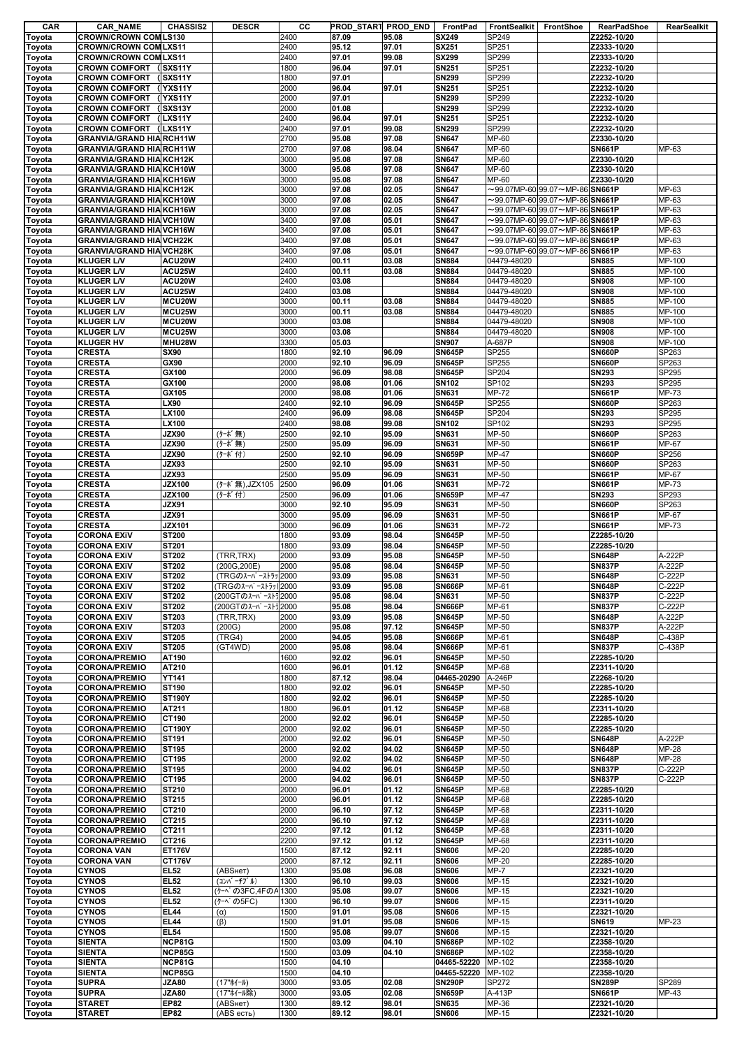| CAR              | <b>CAR_NAME</b>                              | <b>CHASSIS2</b>    | <b>DESCR</b>        | cс           | PROD START PROD_END |                | FrontPad                       | FrontSealkit   | FrontShoe                                   | <b>RearPadShoe</b>         | RearSealkit          |
|------------------|----------------------------------------------|--------------------|---------------------|--------------|---------------------|----------------|--------------------------------|----------------|---------------------------------------------|----------------------------|----------------------|
| Toyota           | <b>CROWN/CROWN COMLS130</b>                  |                    |                     | 2400         | 87.09               | 95.08          | <b>SX249</b>                   | SP249          |                                             | Z2252-10/20                |                      |
| Toyota           | <b>CROWN/CROWN COM LXS11</b>                 |                    |                     | 2400         | 95.12               | 97.01          | <b>SX251</b>                   | SP251          |                                             | Z2333-10/20                |                      |
| Toyota           | <b>CROWN/CROWN COM LXS11</b>                 |                    |                     | 2400         | 97.01               | 99.08          | SX299                          | SP299          |                                             | Z2333-10/20                |                      |
| Toyota           | <b>CROWN COMFORT (SXS11Y</b>                 |                    |                     | 1800         | 96.04               | 97.01          | <b>SN251</b>                   | SP251          |                                             | Z2232-10/20                |                      |
| Toyota           | <b>CROWN COMFORT (SXS11Y</b>                 |                    |                     | 1800         | 97.01               |                | <b>SN299</b>                   | SP299          |                                             | Z2232-10/20                |                      |
| Toyota           | <b>CROWN COMFORT</b><br><b>CROWN COMFORT</b> | (YXS11Y<br>(YXS11Y |                     | 2000<br>2000 | 96.04<br>97.01      | 97.01          | <b>SN251</b><br><b>SN299</b>   | SP251<br>SP299 |                                             | Z2232-10/20<br>Z2232-10/20 |                      |
| Toyota<br>Toyota | <b>CROWN COMFORT</b>                         | (SXS13Y)           |                     | 2000         | 01.08               |                | <b>SN299</b>                   | SP299          |                                             | Z2232-10/20                |                      |
| Toyota           | <b>CROWN COMFORT</b>                         | (LXS11Y            |                     | 2400         | 96.04               | 97.01          | <b>SN251</b>                   | SP251          |                                             | Z2232-10/20                |                      |
| Toyota           | <b>CROWN COMFORT (LXS11Y</b>                 |                    |                     | 2400         | 97.01               | 99.08          | <b>SN299</b>                   | SP299          |                                             | Z2232-10/20                |                      |
| Toyota           | <b>GRANVIA/GRAND HIA RCH11W</b>              |                    |                     | 2700         | 95.08               | 97.08          | <b>SN647</b>                   | MP-60          |                                             | Z2330-10/20                |                      |
| Toyota           | <b>GRANVIA/GRAND HIA RCH11W</b>              |                    |                     | 2700         | 97.08               | 98.04          | <b>SN647</b>                   | MP-60          |                                             | <b>SN661P</b>              | MP-63                |
| Toyota           | <b>GRANVIA/GRAND HIA KCH12K</b>              |                    |                     | 3000         | 95.08               | 97.08          | <b>SN647</b>                   | MP-60          |                                             | Z2330-10/20                |                      |
| Toyota           | <b>GRANVIA/GRAND HIA KCH10W</b>              |                    |                     | 3000         | 95.08               | 97.08          | <b>SN647</b>                   | MP-60          |                                             | Z2330-10/20                |                      |
| Toyota           | <b>GRANVIA/GRAND HIA KCH16W</b>              |                    |                     | 3000         | 95.08               | 97.08          | <b>SN647</b>                   | MP-60          |                                             | Z2330-10/20                |                      |
| Toyota           | <b>GRANVIA/GRAND HIA KCH12K</b>              |                    |                     | 3000         | 97.08               | 02.05          | <b>SN647</b>                   |                | $\sim$ 99.07MP-60 99.07 $\sim$ MP-86 SN661P |                            | MP-63                |
| Toyota           | <b>GRANVIA/GRAND HIA KCH10W</b>              |                    |                     | 3000         | 97.08               | 02.05          | <b>SN647</b>                   |                | $\sim$ 99.07MP-60 99.07 $\sim$ MP-86 SN661P |                            | MP-63                |
| Toyota           | <b>GRANVIA/GRAND HIA KCH16W</b>              |                    |                     | 3000         | 97.08               | 02.05          | <b>SN647</b>                   |                | $\sim$ 99.07MP-60 99.07 $\sim$ MP-86 SN661P |                            | MP-63                |
| Toyota           | <b>GRANVIA/GRAND HIA VCH10W</b>              |                    |                     | 3400         | 97.08               | 05.01          | <b>SN647</b>                   |                | $\sim$ 99.07MP-60 99.07 $\sim$ MP-86 SN661P |                            | MP-63                |
| Toyota           | <b>GRANVIA/GRAND HIA VCH16W</b>              |                    |                     | 3400         | 97.08               | 05.01          | <b>SN647</b>                   |                | $\sim$ 99.07MP-60 99.07 $\sim$ MP-86 SN661P |                            | MP-63                |
| Toyota           | <b>GRANVIA/GRAND HIA VCH22K</b>              |                    |                     | 3400         | 97.08               | 05.01          | <b>SN647</b>                   |                | $\sim$ 99.07MP-60 99.07 $\sim$ MP-86 SN661P |                            | MP-63                |
| Toyota           | <b>GRANVIA/GRAND HIA VCH28K</b>              |                    |                     | 3400         | 97.08               | 05.01          | <b>SN647</b>                   |                | $\sim$ 99.07MP-60 99.07 $\sim$ MP-86 SN661P |                            | MP-63                |
| Toyota           | <b>KLUGER L/V</b>                            | ACU20W             |                     | 2400         | 00.11               | 03.08          | <b>SN884</b>                   | 04479-48020    |                                             | <b>SN885</b>               | MP-100               |
| Toyota           | <b>KLUGER L/V</b>                            | ACU25W             |                     | 2400         | 00.11               | 03.08          | <b>SN884</b>                   | 04479-48020    |                                             | <b>SN885</b>               | MP-100               |
| Toyota           | <b>KLUGER L/V</b>                            | ACU20W             |                     | 2400         | 03.08               |                | <b>SN884</b>                   | 04479-48020    |                                             | <b>SN908</b>               | MP-100               |
| Toyota           | <b>KLUGER L/V</b>                            | ACU25W             |                     | 2400         | 03.08               |                | <b>SN884</b>                   | 04479-48020    |                                             | <b>SN908</b>               | MP-100               |
| Toyota           | <b>KLUGER L/V</b>                            | MCU20W             |                     | 3000         | 00.11               | 03.08          | <b>SN884</b>                   | 04479-48020    |                                             | <b>SN885</b>               | MP-100               |
| Toyota           | <b>KLUGER L/V</b>                            | MCU25W             |                     | 3000         | 00.11               | 03.08          | <b>SN884</b>                   | 04479-48020    |                                             | <b>SN885</b>               | MP-100               |
| Toyota           | <b>KLUGER L/V</b>                            | MCU20W             |                     | 3000         | 03.08               |                | <b>SN884</b>                   | 04479-48020    |                                             | <b>SN908</b>               | MP-100               |
| Toyota           | <b>KLUGER L/V</b>                            | MCU25W             |                     | 3000         | 03.08               |                | <b>SN884</b>                   | 04479-48020    |                                             | <b>SN908</b>               | $\overline{MP}$ -100 |
| Toyota           | <b>KLUGER HV</b>                             | MHU28W             |                     | 3300         | 05.03               |                | <b>SN907</b>                   | A-687P         |                                             | <b>SN908</b>               | MP-100               |
| Toyota           | <b>CRESTA</b>                                | <b>SX90</b>        |                     | 1800         | 92.10               | 96.09          | <b>SN645P</b>                  | SP255          |                                             | <b>SN660P</b>              | SP263                |
| Toyota           | <b>CRESTA</b>                                | GX90               |                     | 2000         | 92.10               | 96.09          | <b>SN645P</b>                  | SP255          |                                             | <b>SN660P</b>              | SP263                |
| Toyota           | <b>CRESTA</b>                                | GX100              |                     | 2000         | 96.09               | 98.08          | <b>SN645P</b>                  | SP204          |                                             | <b>SN293</b>               | SP295                |
| Toyota           | <b>CRESTA</b>                                | GX100              |                     | 2000         | 98.08               | 01.06          | <b>SN102</b>                   | SP102          |                                             | <b>SN293</b>               | SP295                |
| Toyota           | <b>CRESTA</b>                                | GX105              |                     | 2000         | 98.08               | 01.06          | <b>SN631</b>                   | MP-72          |                                             | <b>SN661P</b>              | MP-73                |
| Toyota           | <b>CRESTA</b>                                | LX90               |                     | 2400         | 92.10               | 96.09          | <b>SN645P</b>                  | SP255          |                                             | <b>SN660P</b>              | SP263                |
| Toyota           | <b>CRESTA</b>                                | LX100              |                     | 2400         | 96.09               | 98.08          | <b>SN645P</b>                  | SP204          |                                             | <b>SN293</b>               | SP295                |
| Toyota           | <b>CRESTA</b>                                | LX100              |                     | 2400         | 98.08               | 99.08          | <b>SN102</b>                   | SP102          |                                             | <b>SN293</b>               | SP295                |
| Toyota           | <b>CRESTA</b>                                | <b>JZX90</b>       | (ターボ無)              | 2500         | 92.10               | 95.09          | <b>SN631</b>                   | MP-50          |                                             | <b>SN660P</b>              | SP263                |
| Toyota           | <b>CRESTA</b>                                | JZX90              | (ターボ無)              | 2500         | 95.09               | 96.09          | <b>SN631</b>                   | MP-50          |                                             | <b>SN661P</b>              | MP-67                |
| Toyota           | <b>CRESTA</b>                                | JZX90              | (ターボ付)              | 2500         | 92.10               | 96.09          | <b>SN659P</b>                  | MP-47          |                                             | <b>SN660P</b>              | SP256                |
| Toyota           | <b>CRESTA</b>                                | JZX93              |                     | 2500         | 92.10               | 95.09          | <b>SN631</b>                   | MP-50          |                                             | <b>SN660P</b>              | SP263                |
| Toyota           | <b>CRESTA</b>                                | JZX93              |                     | 2500         | 95.09               | 96.09          | <b>SN631</b>                   | MP-50          |                                             | <b>SN661P</b>              | MP-67                |
| Toyota           | <b>CRESTA</b>                                | <b>JZX100</b>      | (ターボ無),JZX105       | 2500         | 96.09               | 01.06          | <b>SN631</b>                   | MP-72          |                                             | <b>SN661P</b>              | MP-73                |
| Toyota           | <b>CRESTA</b>                                | <b>JZX100</b>      | (ターボ付)              | 2500         | 96.09               | 01.06          | <b>SN659P</b>                  | $MP-47$        |                                             | <b>SN293</b>               | SP293                |
| Toyota           | <b>CRESTA</b>                                | JZX91              |                     | 3000         | 92.10               | 95.09          | <b>SN631</b>                   | MP-50          |                                             | <b>SN660P</b>              | SP263                |
| Toyota           | <b>CRESTA</b>                                | JZX91              |                     | 3000         | 95.09               | 96.09          | <b>SN631</b>                   | MP-50          |                                             | <b>SN661P</b>              | MP-67                |
| Toyota           | <b>CRESTA</b>                                | <b>JZX101</b>      |                     | 3000         | 96.09               | 01.06          | <b>SN631</b>                   | MP-72          |                                             | <b>SN661P</b>              | MP-73                |
| Toyota           | <b>CORONA EXIV</b>                           | <b>ST200</b>       |                     | 1800         | 93.09               | 98.04          | <b>SN645P</b>                  | MP-50          |                                             | Z2285-10/20                |                      |
| Toyota           | <b>CORONA EXIV</b>                           | ST201              |                     | 1800         | 93.09               | 98.04          | <b>SN645P</b>                  | MP-50          |                                             | Z2285-10/20                |                      |
| Toyota           | <b>CORONA EXIV</b>                           | ST202              | (TRR,TRX)           | 2000         | 93.09               | 95.08          | <b>SN645P</b>                  | MP-50          |                                             | <b>SN648P</b>              | A-222P               |
| Toyota           | <b>CORONA EXIV</b>                           | ST202              | (200G, 200E)        | 2000         | 95.08               | 98.04          | <b>SN645P</b>                  | MP-50          |                                             | <b>SN837P</b>              | A-222P               |
| Toyota           | <b>CORONA EXIV</b>                           | <b>ST202</b>       | (TRGのスーパーストラッ2000   |              | 93.09               | 95.08          | SN631                          | MP-50          |                                             | <b>SN648P</b>              | C-222P               |
| Toyota           | <b>CORONA EXIV</b>                           | ST202              | (TRGのスーパーストラッ  2000 |              | 93.09               | 95.08          | <b>SN666P</b>                  | MP-61          |                                             | <b>SN648P</b>              | C-222P               |
| Toyota           | <b>CORONA EXIV</b>                           | <b>ST202</b>       | (200GTのスーパーストラ2000  |              | 95.08               | 98.04          | SN631                          | MP-50          |                                             | <b>SN837P</b>              | C-222P               |
| Toyota           | <b>CORONA EXIV</b>                           | <b>ST202</b>       | (200GTのスーパーストラ2000  |              | 95.08               | 98.04          | <b>SN666P</b>                  | MP-61          |                                             | <b>SN837P</b>              | C-222P               |
| Toyota           | <b>CORONA EXIV</b>                           | <b>ST203</b>       | (TRR,TRX)           | 2000         | 93.09               | 95.08          | <b>SN645P</b>                  | MP-50          |                                             | <b>SN648P</b>              | A-222P               |
| Toyota           | <b>CORONA EXIV</b>                           | ST203              | (200G)              | 2000         | 95.08               | 97.12          | <b>SN645P</b>                  | MP-50          |                                             | <b>SN837P</b>              | A-222P               |
| Toyota           | <b>CORONA EXIV</b>                           | <b>ST205</b>       | (TRG4)              | 2000         | 94.05               | 95.08          | <b>SN666P</b>                  | MP-61          |                                             | <b>SN648P</b>              | C-438P               |
| Toyota           | <b>CORONA EXIV</b>                           | <b>ST205</b>       | (GT4WD)             | 2000         | 95.08               | 98.04          | <b>SN666P</b>                  | MP-61          |                                             | <b>SN837P</b>              | C-438P               |
| Toyota           | <b>CORONA/PREMIO</b>                         | AT190              |                     | 1600         | 92.02               | 96.01          | <b>SN645P</b>                  | MP-50          |                                             | Z2285-10/20                |                      |
| Toyota           | <b>CORONA/PREMIO</b>                         | AT210              |                     | 1600         | 96.01               | 01.12          | <b>SN645P</b>                  | MP-68          |                                             | Z2311-10/20                |                      |
| Toyota           | <b>CORONA/PREMIO</b>                         | <b>YT141</b>       |                     | 1800         | 87.12               | 98.04          | 04465-20290                    | A-246P         |                                             | Z2268-10/20                |                      |
| Toyota           | <b>CORONA/PREMIO</b>                         | <b>ST190</b>       |                     | 1800         | 92.02               | 96.01          | <b>SN645P</b>                  | MP-50          |                                             | Z2285-10/20                |                      |
| Toyota           | <b>CORONA/PREMIO</b>                         | <b>ST190Y</b>      |                     | 1800         | 92.02               | 96.01          | <b>SN645P</b><br><b>SN645P</b> | MP-50          |                                             | Z2285-10/20                |                      |
| Toyota           | <b>CORONA/PREMIO</b><br><b>CORONA/PREMIO</b> | AT211<br>CT190     |                     | 1800<br>2000 | 96.01<br>92.02      | 01.12<br>96.01 | <b>SN645P</b>                  | MP-68<br>MP-50 |                                             | Z2311-10/20<br>Z2285-10/20 |                      |
| Toyota<br>Toyota | <b>CORONA/PREMIO</b>                         | <b>CT190Y</b>      |                     | 2000         | 92.02               | 96.01          | <b>SN645P</b>                  | MP-50          |                                             | Z2285-10/20                |                      |
| Toyota           | <b>CORONA/PREMIO</b>                         | <b>ST191</b>       |                     | 2000         | 92.02               | 96.01          | <b>SN645P</b>                  | MP-50          |                                             | <b>SN648P</b>              | A-222P               |
| Toyota           | <b>CORONA/PREMIO</b>                         | <b>ST195</b>       |                     | 2000         | 92.02               | 94.02          | <b>SN645P</b>                  | MP-50          |                                             | <b>SN648P</b>              | <b>MP-28</b>         |
| Toyota           | <b>CORONA/PREMIO</b>                         | CT195              |                     | 2000         | 92.02               | 94.02          | <b>SN645P</b>                  | MP-50          |                                             | <b>SN648P</b>              | MP-28                |
| Toyota           | <b>CORONA/PREMIO</b>                         | ST195              |                     | 2000         | 94.02               | 96.01          | <b>SN645P</b>                  | MP-50          |                                             | <b>SN837P</b>              | C-222P               |
| Toyota           | <b>CORONA/PREMIO</b>                         | CT195              |                     | 2000         | 94.02               | 96.01          | <b>SN645P</b>                  | MP-50          |                                             | <b>SN837P</b>              | C-222P               |
| Toyota           | <b>CORONA/PREMIO</b>                         | ST210              |                     | 2000         | 96.01               | 01.12          | <b>SN645P</b>                  | MP-68          |                                             | Z2285-10/20                |                      |
| Toyota           | <b>CORONA/PREMIO</b>                         | ST215              |                     | 2000         | 96.01               | 01.12          | <b>SN645P</b>                  | MP-68          |                                             | Z2285-10/20                |                      |
| Toyota           | <b>CORONA/PREMIO</b>                         | CT210              |                     | 2000         | 96.10               | 97.12          | <b>SN645P</b>                  | MP-68          |                                             | Z2311-10/20                |                      |
| Toyota           | <b>CORONA/PREMIO</b>                         | CT215              |                     | 2000         | 96.10               | 97.12          | <b>SN645P</b>                  | MP-68          |                                             | Z2311-10/20                |                      |
| Toyota           | <b>CORONA/PREMIO</b>                         | CT211              |                     | 2200         | 97.12               | 01.12          | <b>SN645P</b>                  | MP-68          |                                             | Z2311-10/20                |                      |
| Toyota           | <b>CORONA/PREMIO</b>                         | CT216              |                     | 2200         | 97.12               | 01.12          | <b>SN645P</b>                  | MP-68          |                                             | Z2311-10/20                |                      |
| Toyota           | <b>CORONA VAN</b>                            | <b>ET176V</b>      |                     | 1500         | 87.12               | 92.11          | <b>SN606</b>                   | MP-20          |                                             | Z2285-10/20                |                      |
| Toyota           | <b>CORONA VAN</b>                            | <b>CT176V</b>      |                     | 2000         | 87.12               | 92.11          | <b>SN606</b>                   | MP-20          |                                             | Z2285-10/20                |                      |
| Toyota           | <b>CYNOS</b>                                 | <b>EL52</b>        | (ABSHeT)            | 1300         | 95.08               | 96.08          | <b>SN606</b>                   | $MP-7$         |                                             | Z2321-10/20                |                      |
| Toyota           | <b>CYNOS</b>                                 | <b>EL52</b>        | (コンバ ーチブ ル)         | 1300         | 96.10               | 99.03          | <b>SN606</b>                   | MP-15          |                                             | Z2321-10/20                |                      |
| Toyota           | <b>CYNOS</b>                                 | <b>EL52</b>        | (クーペの3FC,4FのA 1300  |              | 95.08               | 99.07          | <b>SN606</b>                   | MP-15          |                                             | Z2321-10/20                |                      |
| Toyota           | <b>CYNOS</b>                                 | <b>EL52</b>        | (ケーベの5FC)           | 1300         | 96.10               | 99.07          | <b>SN606</b>                   | MP-15          |                                             | Z2311-10/20                |                      |
| Toyota           | <b>CYNOS</b>                                 | <b>EL44</b>        | $(\alpha)$          | 1500         | 91.01               | 95.08          | <b>SN606</b>                   | MP-15          |                                             | Z2321-10/20                |                      |
| Toyota           | <b>CYNOS</b>                                 | <b>EL44</b>        | $(\beta)$           | 1500         | 91.01               | 95.08          | <b>SN606</b>                   | MP-15          |                                             | <b>SN619</b>               | MP-23                |
| Toyota           | <b>CYNOS</b>                                 | <b>EL54</b>        |                     | 1500         | 95.08               | 99.07          | <b>SN606</b>                   | MP-15          |                                             | Z2321-10/20                |                      |
| Toyota           | <b>SIENTA</b>                                | <b>NCP81G</b>      |                     | 1500         | 03.09               | 04.10          | <b>SN686P</b>                  | MP-102         |                                             | Z2358-10/20                |                      |
| Toyota           | <b>SIENTA</b>                                | <b>NCP85G</b>      |                     | 1500         | 03.09               | 04.10          | <b>SN686P</b>                  | MP-102         |                                             | Z2358-10/20                |                      |
| Toyota           | <b>SIENTA</b>                                | NCP81G             |                     | 1500         | 04.10               |                | 04465-52220                    | MP-102         |                                             | Z2358-10/20                |                      |
| Toyota           | <b>SIENTA</b>                                | <b>NCP85G</b>      |                     | 1500         | 04.10               |                | 04465-52220                    | MP-102         |                                             | Z2358-10/20                |                      |
| Toyota           | <b>SUPRA</b>                                 | <b>JZA80</b>       | (17"ホイール)           | 3000         | 93.05               | 02.08          | <b>SN290P</b>                  | SP272          |                                             | <b>SN289P</b>              | SP289                |
| Toyota           | <b>SUPRA</b>                                 | <b>JZA80</b>       | (17"ホイール除)          | 3000         | 93.05               | 02.08          | <b>SN659P</b>                  | A-413P         |                                             | <b>SN661P</b>              | MP-43                |
| Toyota           | <b>STARET</b>                                | <b>EP82</b>        | (ABSHeT)            | 1300         | 89.12               | 98.01          | SN635                          | MP-36          |                                             | Z2321-10/20                |                      |
| Toyota           | <b>STARET</b>                                | <b>EP82</b>        | (ABS есть)          | 1300         | 89.12               | 98.01          | <b>SN606</b>                   | MP-15          |                                             | Z2321-10/20                |                      |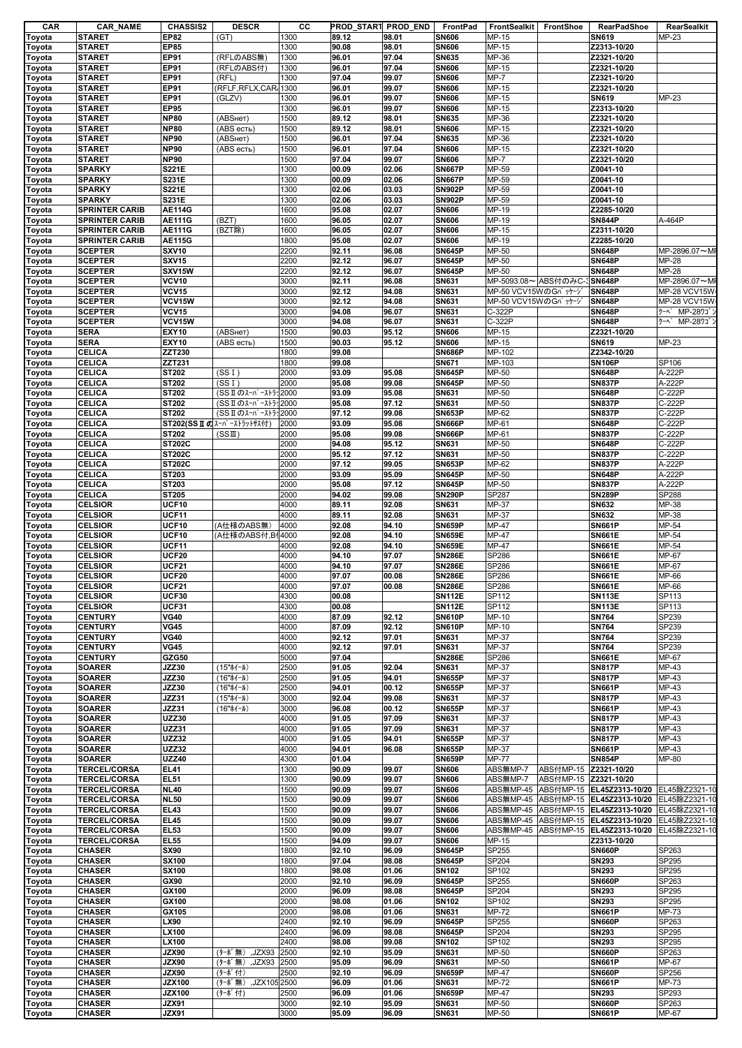| CAR    | <b>CAR_NAME</b>       | <b>CHASSIS2</b> | <b>DESCR</b>                   | cс   |       | PROD_START PROD_END | FrontPad      | FrontSealkit        | FrontShoe             | <b>RearPadShoe</b>                      | RearSealkit     |
|--------|-----------------------|-----------------|--------------------------------|------|-------|---------------------|---------------|---------------------|-----------------------|-----------------------------------------|-----------------|
| Toyota | <b>STARET</b>         | <b>EP82</b>     | (GT)                           | 1300 | 89.12 | 98.01               | <b>SN606</b>  | MP-15               |                       | SN619                                   | MP-23           |
| Toyota | <b>STARET</b>         | <b>EP85</b>     |                                | 1300 | 90.08 | 98.01               | <b>SN606</b>  | MP-15               |                       | Z2313-10/20                             |                 |
| Toyota | <b>STARET</b>         | EP91            | (RFLのABS無)                     | 1300 | 96.01 | 97.04               | <b>SN635</b>  | MP-36               |                       | Z2321-10/20                             |                 |
| Toyota | <b>STARET</b>         | EP91            | (RFLのABS付)                     | 1300 | 96.01 | 97.04               | <b>SN606</b>  | MP-15               |                       | Z2321-10/20                             |                 |
| Toyota | STARET                | <b>EP91</b>     | (RFL)                          | 1300 | 97.04 | 99.07               | <b>SN606</b>  | $MP-7$              |                       | Z2321-10/20                             |                 |
| Toyota | <b>STARET</b>         | EP91            | (RFLF, RFLX, CAR,              | 1300 | 96.01 | 99.07               | <b>SN606</b>  | MP-15               |                       | Z2321-10/20                             |                 |
| Toyota | STARET                | <b>EP91</b>     | (GLZV)                         | 1300 | 96.01 | 99.07               | <b>SN606</b>  | MP-15               |                       | SN619                                   | MP-23           |
| Toyota | <b>STARET</b>         | <b>EP95</b>     |                                | 1300 | 96.01 | 99.07               | <b>SN606</b>  | MP-15               |                       | Z2313-10/20                             |                 |
| Toyota | STARET                | <b>NP80</b>     | (ABSHeT)                       | 1500 | 89.12 | 98.01               | <b>SN635</b>  | MP-36               |                       | Z2321-10/20                             |                 |
| Toyota | STARET                | <b>NP80</b>     | (ABS есть)                     | 1500 | 89.12 | 98.01               | <b>SN606</b>  | MP-15               |                       | Z2321-10/20                             |                 |
| Toyota | <b>STARET</b>         | <b>NP90</b>     | (АВSнет)                       | 1500 | 96.01 | 97.04               | <b>SN635</b>  | MP-36               |                       | Z2321-10/20                             |                 |
|        | <b>STARET</b>         | <b>NP90</b>     | (ABS есть)                     | 1500 | 96.01 | 97.04               | <b>SN606</b>  | MP-15               |                       | Z2321-10/20                             |                 |
| Toyota |                       |                 |                                |      |       |                     |               |                     |                       |                                         |                 |
| Toyota | STARET                | <b>NP90</b>     |                                | 1500 | 97.04 | 99.07               | <b>SN606</b>  | $MP-7$              |                       | Z2321-10/20                             |                 |
| Toyota | <b>SPARKY</b>         | <b>S221E</b>    |                                | 1300 | 00.09 | 02.06               | <b>SN667P</b> | MP-59               |                       | Z0041-10                                |                 |
| Toyota | <b>SPARKY</b>         | S231E           |                                | 1300 | 00.09 | 02.06               | <b>SN667P</b> | MP-59               |                       | Z0041-10                                |                 |
| Toyota | <b>SPARKY</b>         | S221E           |                                | 1300 | 02.06 | 03.03               | <b>SN902P</b> | MP-59               |                       | Z0041-10                                |                 |
| Toyota | <b>SPARKY</b>         | S231E           |                                | 1300 | 02.06 | 03.03               | <b>SN902P</b> | MP-59               |                       | Z0041-10                                |                 |
| Toyota | <b>SPRINTER CARIB</b> | <b>AE114G</b>   |                                | 1600 | 95.08 | 02.07               | <b>SN606</b>  | MP-19               |                       | Z2285-10/20                             |                 |
| Toyota | <b>SPRINTER CARIB</b> | <b>AE111G</b>   | (BZT)                          | 1600 | 96.05 | 02.07               | <b>SN606</b>  | MP-19               |                       | <b>SN844P</b>                           | A-464P          |
| Toyota | <b>SPRINTER CARIB</b> | <b>AE111G</b>   | (BZT除)                         | 1600 | 96.05 | 02.07               | <b>SN606</b>  | MP-15               |                       | Z2311-10/20                             |                 |
| Toyota | <b>SPRINTER CARIB</b> | <b>AE115G</b>   |                                | 1800 | 95.08 | 02.07               | <b>SN606</b>  | MP-19               |                       | Z2285-10/20                             |                 |
| Toyota | <b>SCEPTER</b>        | <b>SXV10</b>    |                                | 2200 | 92.11 | 96.08               | <b>SN645P</b> | MP-50               |                       | <b>SN648P</b>                           | MP-2896.07~MI   |
| Toyota | <b>SCEPTER</b>        | <b>SXV15</b>    |                                | 2200 | 92.12 | 96.07               | <b>SN645P</b> | MP-50               |                       | <b>SN648P</b>                           | MP-28           |
| Toyota | <b>SCEPTER</b>        | SXV15W          |                                | 2200 | 92.12 | 96.07               | <b>SN645P</b> | MP-50               |                       | <b>SN648P</b>                           | MP-28           |
|        | <b>SCEPTER</b>        | <b>VCV10</b>    |                                | 3000 | 92.11 | 96.08               | <b>SN631</b>  | MP-5093.08~ ABS付のみC |                       | 3SN648P                                 | MP-2896.07~MI   |
| Toyota |                       |                 |                                |      |       |                     |               |                     |                       |                                         |                 |
| Toyota | <b>SCEPTER</b>        | <b>VCV15</b>    |                                | 3000 | 92.12 | 94.08               | <b>SN631</b>  | MP-50 VCV15WのGパッケーシ |                       | <b>SN648P</b>                           | MP-28 VCV15W    |
| Toyota | <b>SCEPTER</b>        | VCV15W          |                                | 3000 | 92.12 | 94.08               | <b>SN631</b>  | MP-50 VCV15WのGパッケーシ |                       | <b>SN648P</b>                           | MP-28 VCV15W    |
| Toyota | <b>SCEPTER</b>        | <b>VCV15</b>    |                                | 3000 | 94.08 | 96.07               | <b>SN631</b>  | C-322P              |                       | <b>SN648P</b>                           | クーへ MP-28ワゴ     |
| Toyota | <b>SCEPTER</b>        | VCV15W          |                                | 3000 | 94.08 | 96.07               | <b>SN631</b>  | C-322P              |                       | <b>SN648P</b>                           | MP-2871<br>クーヘ゜ |
| Toyota | <b>SERA</b>           | <b>EXY10</b>    | (ABSHeT)                       | 1500 | 90.03 | 95.12               | <b>SN606</b>  | MP-15               |                       | Z2321-10/20                             |                 |
| Toyota | <b>SERA</b>           | <b>EXY10</b>    | (ABS есть)                     | 1500 | 90.03 | 95.12               | <b>SN606</b>  | MP-15               |                       | SN619                                   | MP-23           |
| Toyota | <b>CELICA</b>         | ZZT230          |                                | 1800 | 99.08 |                     | <b>SN686P</b> | MP-102              |                       | Z2342-10/20                             |                 |
| Toyota | CELICA                | ZZT231          |                                | 1800 | 99.08 |                     | <b>SN671</b>  | MP-103              |                       | <b>SN106P</b>                           | SP106           |
| Toyota | CELICA                | ST202           | (SS I)                         | 2000 | 93.09 | 95.08               | <b>SN645P</b> | MP-50               |                       | <b>SN648P</b>                           | A-222P          |
| Toyota | CELICA                | ST202           | (SS I)                         | 2000 | 95.08 | 99.08               | <b>SN645P</b> | MP-50               |                       | <b>SN837P</b>                           | A-222P          |
| Toyota | CELICA                | ST202           | (SSIのスーパーストラ: 2000             |      | 93.09 | 95.08               | <b>SN631</b>  | MP-50               |                       | <b>SN648P</b>                           | C-222P          |
| Toyota | <b>CELICA</b>         | ST202           | (SSIのスーパーストラ: 2000             |      | 95.08 | 97.12               | <b>SN631</b>  | MP-50               |                       | <b>SN837P</b>                           | C-222P          |
|        | CELICA                | ST202           | (SSI のスーパーストラ: 2000            |      | 97.12 | 99.08               | <b>SN653P</b> | MP-62               |                       | <b>SN837P</b>                           | C-222P          |
| Toyota |                       |                 |                                |      |       |                     |               |                     |                       |                                         |                 |
| Toyota | <b>CELICA</b>         |                 | $ST202(SSII C1λ-∧° -λ+5γ+†λ付)$ | 2000 | 93.09 | 95.08               | <b>SN666P</b> | MP-61               |                       | <b>SN648P</b>                           | C-222P          |
| Toyota | CELICA                | ST202           | (SSIII)                        | 2000 | 95.08 | 99.08               | <b>SN666P</b> | MP-61               |                       | <b>SN837P</b>                           | C-222P          |
| Toyota | CELICA                | <b>ST202C</b>   |                                | 2000 | 94.08 | 95.12               | <b>SN631</b>  | MP-50               |                       | <b>SN648P</b>                           | C-222P          |
| Toyota | <b>CELICA</b>         | <b>ST202C</b>   |                                | 2000 | 95.12 | 97.12               | <b>SN631</b>  | MP-50               |                       | <b>SN837P</b>                           | C-222P          |
| Toyota | <b>CELICA</b>         | <b>ST202C</b>   |                                | 2000 | 97.12 | 99.05               | <b>SN653P</b> | MP-62               |                       | <b>SN837P</b>                           | A-222P          |
| Toyota | CELICA                | ST203           |                                | 2000 | 93.09 | 95.09               | <b>SN645P</b> | MP-50               |                       | <b>SN648P</b>                           | A-222P          |
| Toyota | <b>CELICA</b>         | ST203           |                                | 2000 | 95.08 | 97.12               | <b>SN645P</b> | MP-50               |                       | <b>SN837P</b>                           | A-222P          |
| Toyota | <b>CELICA</b>         | ST205           |                                | 2000 | 94.02 | 99.08               | <b>SN290P</b> | SP287               |                       | <b>SN289P</b>                           | SP288           |
| Toyota | <b>CELSIOR</b>        | UCF10           |                                | 4000 | 89.11 | 92.08               | <b>SN631</b>  | MP-37               |                       | SN632                                   | MP-38           |
| Toyota | <b>CELSIOR</b>        | UCF11           |                                | 4000 | 89.11 | 92.08               | <b>SN631</b>  | MP-37               |                       | SN632                                   | MP-38           |
| Toyota | <b>CELSIOR</b>        | UCF10           | (A仕様のABS無                      | 4000 | 92.08 | 94.10               | <b>SN659P</b> | <b>MP-47</b>        |                       | <b>SN661P</b>                           | MP-54           |
|        | <b>CELSIOR</b>        | UCF10           | (A仕様のABS付,B14000               |      | 92.08 | 94.10               | <b>SN659E</b> | MP-47               |                       | <b>SN661E</b>                           | MP-54           |
| Toyota |                       |                 |                                |      |       |                     |               |                     |                       |                                         |                 |
| Toyota | <b>CELSIOR</b>        | UCF11           |                                | 4000 | 92.08 | 94.10               | <b>SN659E</b> | <b>MP-47</b>        |                       | <b>SN661E</b>                           | MP-54           |
| Toyota | <b>CELSIOR</b>        | <b>UCF20</b>    |                                | 4000 | 94.10 | 97.07               | <b>SN286E</b> | SP286               |                       | <b>SN661E</b>                           | MP-67           |
| Toyota | <b>CELSIOR</b>        | <b>UCF21</b>    |                                | 4000 | 94.10 | 97.07               | <b>SN286E</b> | SP286               |                       | <b>SN661E</b>                           | MP-67           |
| Toyota | <b>CELSIOR</b>        | <b>UCF20</b>    |                                | 4000 | 97.07 | 00.08               | <b>SN286E</b> | SP286               |                       | <b>SN661E</b>                           | MP-66           |
| Toyota | <b>CELSIOR</b>        | <b>UCF21</b>    |                                | 4000 | 97.07 | 00.08               | <b>SN286E</b> | SP286               |                       | <b>SN661E</b>                           | MP-66           |
| Toyota | <b>CELSIOR</b>        | UCF30           |                                | 4300 | 00.08 |                     | <b>SN112E</b> | SP112               |                       | <b>SN113E</b>                           | SP113           |
| Toyota | <b>CELSIOR</b>        | UCF31           |                                | 4300 | 00.08 |                     | <b>SN112E</b> | SP112               |                       | <b>SN113E</b>                           | SP113           |
| Toyota | <b>CENTURY</b>        | <b>VG40</b>     |                                | 4000 | 87.09 | 92.12               | <b>SN610P</b> | MP-10               |                       | <b>SN764</b>                            | SP239           |
| Toyota | <b>CENTURY</b>        | <b>VG45</b>     |                                | 4000 | 87.09 | 92.12               | <b>SN610P</b> | MP-10               |                       | <b>SN764</b>                            | SP239           |
| Toyota | <b>CENTURY</b>        | <b>VG40</b>     |                                | 4000 | 92.12 | 97.01               | <b>SN631</b>  | MP-37               |                       | <b>SN764</b>                            | SP239           |
| Toyota | <b>CENTURY</b>        | <b>VG45</b>     |                                | 4000 | 92.12 | 97.01               | <b>SN631</b>  | MP-37               |                       | <b>SN764</b>                            | SP239           |
| Toyota | <b>CENTURY</b>        | GZG50           |                                | 5000 | 97.04 |                     | <b>SN286E</b> | SP286               |                       | <b>SN661E</b>                           | MP-67           |
| Toyota | <b>SOARER</b>         | JZZ30           | (15"ホイール)                      | 2500 | 91.05 | 92.04               | <b>SN631</b>  | MP-37               |                       | <b>SN817P</b>                           | MP-43           |
| Toyota | <b>SOARER</b>         | JZZ30           | (16"ホイール)                      | 2500 | 91.05 | 94.01               | <b>SN655P</b> | MP-37               |                       | <b>SN817P</b>                           | MP-43           |
|        | <b>SOARER</b>         | JZZ30           | (16"ホイール)                      | 2500 | 94.01 | 00.12               | <b>SN655P</b> | MP-37               |                       | <b>SN661P</b>                           | MP-43           |
| Toyota |                       | JZZ31           |                                | 3000 | 92.04 | 99.08               |               |                     |                       | <b>SN817P</b>                           | MP-43           |
| Toyota | <b>SOARER</b>         |                 | (15"ホイール)                      |      |       |                     | <b>SN631</b>  | MP-37               |                       |                                         |                 |
| Toyota | <b>SOARER</b>         | JZZ31           | (16"ホイール)                      | 3000 | 96.08 | 00.12               | <b>SN655P</b> | MP-37               |                       | <b>SN661P</b>                           | MP-43           |
| Toyota | <b>SOARER</b>         | <b>UZZ30</b>    |                                | 4000 | 91.05 | 97.09               | <b>SN631</b>  | MP-37               |                       | <b>SN817P</b>                           | MP-43           |
| Toyota | <b>SOARER</b>         | UZZ31           |                                | 4000 | 91.05 | 97.09               | <b>SN631</b>  | MP-37               |                       | <b>SN817P</b>                           | MP-43           |
| Toyota | <b>SOARER</b>         | <b>UZZ32</b>    |                                | 4000 | 91.05 | 94.01               | <b>SN655P</b> | MP-37               |                       | <b>SN817P</b>                           | MP-43           |
| Toyota | <b>SOARER</b>         | <b>UZZ32</b>    |                                | 4000 | 94.01 | 96.08               | <b>SN655P</b> | MP-37               |                       | <b>SN661P</b>                           | MP-43           |
| Toyota | <b>SOARER</b>         | <b>UZZ40</b>    |                                | 4300 | 01.04 |                     | <b>SN659P</b> | <b>MP-77</b>        |                       | <b>SN854P</b>                           | MP-80           |
| Toyota | <b>TERCEL/CORSA</b>   | <b>EL41</b>     |                                | 1300 | 90.09 | 99.07               | <b>SN606</b>  | ABS無MP-7            | ABS付MP-15             | Z2321-10/20                             |                 |
| Toyota | <b>TERCEL/CORSA</b>   | <b>EL51</b>     |                                | 1300 | 90.09 | 99.07               | <b>SN606</b>  | ABS無MP-7            | ABS付MP-15 Z2321-10/20 |                                         |                 |
| Toyota | <b>TERCEL/CORSA</b>   | <b>NL40</b>     |                                | 1500 | 90.09 | 99.07               | <b>SN606</b>  | ABS無MP-45           |                       | ABS付MP-15 EL45Z2313-10/20 EL45除Z2321-10 |                 |
| Toyota | <b>TERCEL/CORSA</b>   | <b>NL50</b>     |                                | 1500 | 90.09 | 99.07               | <b>SN606</b>  | ABS無MP-45           |                       | ABS付MP-15 EL45Z2313-10/20 EL45除Z2321-10 |                 |
| Toyota | <b>TERCEL/CORSA</b>   | <b>EL43</b>     |                                | 1500 | 90.09 | 99.07               | <b>SN606</b>  | ABS無MP-45           |                       | ABS付MP-15 EL45Z2313-10/20               | EL45除Z2321-10   |
| Toyota | <b>TERCEL/CORSA</b>   | <b>EL45</b>     |                                | 1500 | 90.09 | 99.07               | <b>SN606</b>  | ABS無MP-45           |                       | ABS付MP-15  EL45Z2313-10/20              | EL45除Z2321-10   |
| Toyota | <b>TERCEL/CORSA</b>   | <b>EL53</b>     |                                | 1500 | 90.09 | 99.07               | <b>SN606</b>  | ABS無MP-45           |                       | ABS付MP-15 EL45Z2313-10/20               | EL45除Z2321-10   |
| Toyota | <b>TERCEL/CORSA</b>   | <b>EL55</b>     |                                | 1500 | 94.09 | 99.07               | <b>SN606</b>  | MP-15               |                       | Z2313-10/20                             |                 |
| Toyota | <b>CHASER</b>         | <b>SX90</b>     |                                | 1800 | 92.10 | 96.09               | <b>SN645P</b> | SP255               |                       | <b>SN660P</b>                           | SP263           |
|        | <b>CHASER</b>         | <b>SX100</b>    |                                | 1800 | 97.04 | 98.08               | <b>SN645P</b> | SP204               |                       | SN293                                   | SP295           |
| Toyota |                       | <b>SX100</b>    |                                | 1800 | 98.08 | 01.06               | <b>SN102</b>  |                     |                       | SN293                                   |                 |
| Toyota | <b>CHASER</b>         |                 |                                |      |       |                     |               | SP102               |                       |                                         | SP295           |
| Toyota | <b>CHASER</b>         | GX90            |                                | 2000 | 92.10 | 96.09               | <b>SN645P</b> | SP255               |                       | <b>SN660P</b>                           | SP263           |
| Toyota | <b>CHASER</b>         | GX100           |                                | 2000 | 96.09 | 98.08               | <b>SN645P</b> | SP204               |                       | SN293                                   | SP295           |
| Toyota | <b>CHASER</b>         | GX100           |                                | 2000 | 98.08 | 01.06               | <b>SN102</b>  | SP102               |                       | SN293                                   | SP295           |
| Toyota | <b>CHASER</b>         | GX105           |                                | 2000 | 98.08 | 01.06               | <b>SN631</b>  | MP-72               |                       | <b>SN661P</b>                           | MP-73           |
| Toyota | <b>CHASER</b>         | LX90            |                                | 2400 | 92.10 | 96.09               | <b>SN645P</b> | SP255               |                       | <b>SN660P</b>                           | SP263           |
| Toyota | <b>CHASER</b>         | LX100           |                                | 2400 | 96.09 | 98.08               | <b>SN645P</b> | SP204               |                       | SN293                                   | SP295           |
| Toyota | <b>CHASER</b>         | LX100           |                                | 2400 | 98.08 | 99.08               | <b>SN102</b>  | SP102               |                       | <b>SN293</b>                            | SP295           |
| Toyota | <b>CHASER</b>         | <b>JZX90</b>    | (ターボ無)<br>,JZX93               | 2500 | 92.10 | 95.09               | <b>SN631</b>  | MP-50               |                       | <b>SN660P</b>                           | SP263           |
| Toyota | <b>CHASER</b>         | JZX90           | (ターボ無)<br>,JZX93               | 2500 | 95.09 | 96.09               | <b>SN631</b>  | MP-50               |                       | <b>SN661P</b>                           | MP-67           |
| Toyota | <b>CHASER</b>         | JZX90           | (ターボ付)                         | 2500 | 92.10 | 96.09               | <b>SN659P</b> | MP-47               |                       | <b>SN660P</b>                           | SP256           |
|        | <b>CHASER</b>         | <b>JZX100</b>   | (ターボ無), JZX1052500             |      | 96.09 | 01.06               | <b>SN631</b>  | MP-72               |                       | <b>SN661P</b>                           | MP-73           |
| Toyota |                       |                 |                                |      |       |                     |               |                     |                       |                                         |                 |
| Toyota | <b>CHASER</b>         | <b>JZX100</b>   | (ターボ付)                         | 2500 | 96.09 | 01.06               | <b>SN659P</b> | <b>MP-47</b>        |                       | SN293                                   | SP293           |
| Toyota | <b>CHASER</b>         | JZX91           |                                | 3000 | 92.10 | 95.09               | <b>SN631</b>  | MP-50               |                       | <b>SN660P</b>                           | SP263           |
| Toyota | <b>CHASER</b>         | JZX91           |                                | 3000 | 95.09 | 96.09               | <b>SN631</b>  | MP-50               |                       | <b>SN661P</b>                           | MP-67           |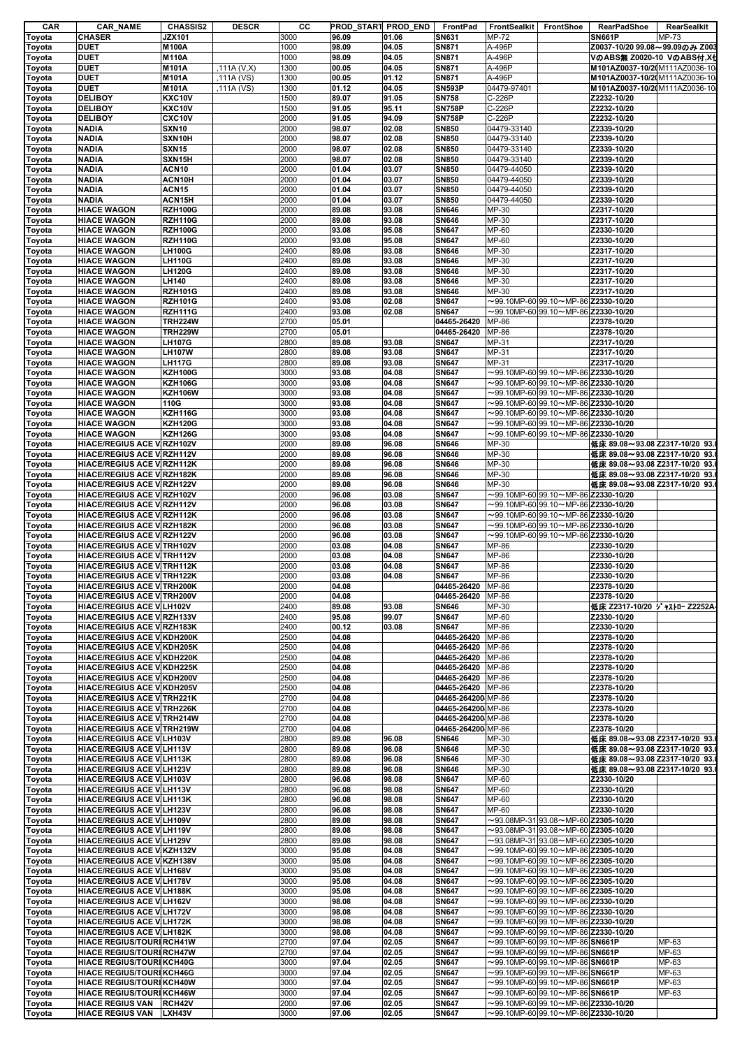| CAR                                                                          | <b>CAR_NAME</b>                    | <b>CHASSIS2</b>   | <b>DESCR</b> | cс   | PROD START PROD END |       | FrontPad           | FrontSealkit FrontShoe |                                                  |               | <b>RearPadShoe</b> | RearSealkit                    |
|------------------------------------------------------------------------------|------------------------------------|-------------------|--------------|------|---------------------|-------|--------------------|------------------------|--------------------------------------------------|---------------|--------------------|--------------------------------|
| Toyota                                                                       | <b>CHASER</b>                      | <b>JZX101</b>     |              | 3000 | 96.09               | 01.06 | <b>SN631</b>       | MP-72                  |                                                  | <b>SN661P</b> |                    | MP-73                          |
| Toyota                                                                       | DUET                               | <b>M100A</b>      |              | 1000 | 98.09               | 04.05 | SN871              | A-496P                 |                                                  |               |                    | Z0037-10/20 99.08~99.09のみ Z003 |
| Toyota                                                                       | <b>DUET</b>                        | <b>M110A</b>      |              | 1000 | 98.09               | 04.05 | <b>SN871</b>       | A-496P                 |                                                  |               |                    | VのABS無 Z0020-10 VのABS付,X台      |
| Toyota                                                                       | DUET                               | M101A             | .111A (V,X)  | 1300 | 00.05               | 04.05 | <b>SN871</b>       | A-496P                 |                                                  |               |                    | M101AZ0037-10/2(M111AZ0036-10  |
|                                                                              | <b>DUET</b>                        | M101A             | ,111A (VS)   | 1300 | 00.05               | 01.12 | SN871              | A-496P                 |                                                  |               |                    | M101AZ0037-10/2(M111AZ0036-10  |
| Toyota                                                                       |                                    |                   |              |      |                     |       |                    |                        |                                                  |               |                    |                                |
| Toyota                                                                       | <b>DUET</b>                        | M101A             | ,111A (VS)   | 1300 | 01.12               | 04.05 | <b>SN593P</b>      | 04479-97401            |                                                  |               |                    | M101AZ0037-10/2(M111AZ0036-10  |
| Toyota                                                                       | <b>DELIBOY</b>                     | <b>KXC10V</b>     |              | 1500 | 89.07               | 91.05 | <b>SN758</b>       | C-226P                 |                                                  |               | Z2232-10/20        |                                |
| Toyota                                                                       | <b>DELIBOY</b>                     | <b>KXC10V</b>     |              | 1500 | 91.05               | 95.11 | <b>SN758P</b>      | C-226P                 |                                                  |               | Z2232-10/20        |                                |
| Toyota                                                                       | <b>DELIBOY</b>                     | CXC10V            |              | 2000 | 91.05               | 94.09 | <b>SN758P</b>      | C-226P                 |                                                  |               | Z2232-10/20        |                                |
| Toyota                                                                       | <b>NADIA</b>                       | <b>SXN10</b>      |              | 2000 | 98.07               | 02.08 | <b>SN850</b>       | 04479-33140            |                                                  |               | Z2339-10/20        |                                |
|                                                                              | <b>NADIA</b>                       | SXN10H            |              | 2000 | 98.07               | 02.08 | <b>SN850</b>       | 04479-33140            |                                                  |               | Z2339-10/20        |                                |
| Toyota                                                                       |                                    |                   |              |      |                     |       |                    |                        |                                                  |               |                    |                                |
| Toyota                                                                       | <b>NADIA</b>                       | <b>SXN15</b>      |              | 2000 | 98.07               | 02.08 | <b>SN850</b>       | 04479-33140            |                                                  |               | Z2339-10/20        |                                |
| Toyota                                                                       | <b>NADIA</b>                       | SXN15H            |              | 2000 | 98.07               | 02.08 | <b>SN850</b>       | 04479-33140            |                                                  |               | Z2339-10/20        |                                |
| Toyota                                                                       | <b>NADIA</b>                       | ACN <sub>10</sub> |              | 2000 | 01.04               | 03.07 | <b>SN850</b>       | 04479-44050            |                                                  |               | Z2339-10/20        |                                |
| Toyota                                                                       | <b>NADIA</b>                       | ACN10H            |              | 2000 | 01.04               | 03.07 | <b>SN850</b>       | 04479-44050            |                                                  |               | Z2339-10/20        |                                |
| Toyota                                                                       | <b>NADIA</b>                       | <b>ACN15</b>      |              | 2000 | 01.04               | 03.07 | <b>SN850</b>       | 04479-44050            |                                                  |               | Z2339-10/20        |                                |
|                                                                              | <b>NADIA</b>                       | ACN15H            |              | 2000 | 01.04               | 03.07 | <b>SN850</b>       | 04479-44050            |                                                  |               | Z2339-10/20        |                                |
| Toyota                                                                       |                                    |                   |              |      |                     |       |                    |                        |                                                  |               |                    |                                |
| Toyota                                                                       | <b>HIACE WAGON</b>                 | <b>RZH100G</b>    |              | 2000 | 89.08               | 93.08 | <b>SN646</b>       | MP-30                  |                                                  |               | Z2317-10/20        |                                |
| Toyota                                                                       | <b>HIACE WAGON</b>                 | <b>RZH110G</b>    |              | 2000 | 89.08               | 93.08 | <b>SN646</b>       | MP-30                  |                                                  |               | Z2317-10/20        |                                |
| Toyota                                                                       | <b>HIACE WAGON</b>                 | <b>RZH100G</b>    |              | 2000 | 93.08               | 95.08 | <b>SN647</b>       | MP-60                  |                                                  |               | Z2330-10/20        |                                |
| Toyota                                                                       | <b>HIACE WAGON</b>                 | <b>RZH110G</b>    |              | 2000 | 93.08               | 95.08 | <b>SN647</b>       | MP-60                  |                                                  |               | Z2330-10/20        |                                |
| Toyota                                                                       | <b>HIACE WAGON</b>                 | <b>LH100G</b>     |              | 2400 | 89.08               | 93.08 | <b>SN646</b>       | MP-30                  |                                                  |               | Z2317-10/20        |                                |
|                                                                              | <b>HIACE WAGON</b>                 | <b>LH110G</b>     |              | 2400 | 89.08               | 93.08 | <b>SN646</b>       | MP-30                  |                                                  |               | Z2317-10/20        |                                |
| Toyota                                                                       |                                    |                   |              |      |                     |       |                    |                        |                                                  |               |                    |                                |
| Toyota                                                                       | <b>HIACE WAGON</b>                 | <b>LH120G</b>     |              | 2400 | 89.08               | 93.08 | <b>SN646</b>       | MP-30                  |                                                  |               | Z2317-10/20        |                                |
| Toyota                                                                       | <b>HIACE WAGON</b>                 | <b>LH140</b>      |              | 2400 | 89.08               | 93.08 | <b>SN646</b>       | MP-30                  |                                                  |               | Z2317-10/20        |                                |
| Toyota                                                                       | <b>HIACE WAGON</b>                 | <b>RZH101G</b>    |              | 2400 | 89.08               | 93.08 | <b>SN646</b>       | MP-30                  |                                                  |               | Z2317-10/20        |                                |
| Toyota                                                                       | <b>HIACE WAGON</b>                 | <b>RZH101G</b>    |              | 2400 | 93.08               | 02.08 | <b>SN647</b>       |                        | $\sim$ 99.10MP-60 99.10 $\sim$ MP-86 Z2330-10/20 |               |                    |                                |
| Toyota                                                                       | <b>HIACE WAGON</b>                 | <b>RZH111G</b>    |              | 2400 | 93.08               | 02.08 | <b>SN647</b>       |                        | $\sim$ 99.10MP-60 99.10 $\sim$ MP-86 Z2330-10/20 |               |                    |                                |
|                                                                              | <b>HIACE WAGON</b>                 | <b>TRH224W</b>    |              | 2700 | 05.01               |       | 04465-26420        | <b>MP-86</b>           |                                                  |               | Z2378-10/20        |                                |
| Toyota                                                                       |                                    |                   |              |      |                     |       |                    |                        |                                                  |               |                    |                                |
| Toyota                                                                       | <b>HIACE WAGON</b>                 | <b>TRH229W</b>    |              | 2700 | 05.01               |       | 04465-26420        | MP-86                  |                                                  |               | Z2378-10/20        |                                |
| Toyota                                                                       | <b>HIACE WAGON</b>                 | <b>LH107G</b>     |              | 2800 | 89.08               | 93.08 | <b>SN647</b>       | MP-31                  |                                                  |               | Z2317-10/20        |                                |
| Toyota                                                                       | <b>HIACE WAGON</b>                 | <b>LH107W</b>     |              | 2800 | 89.08               | 93.08 | <b>SN647</b>       | MP-31                  |                                                  |               | Z2317-10/20        |                                |
| Toyota                                                                       | <b>HIACE WAGON</b>                 | <b>LH117G</b>     |              | 2800 | 89.08               | 93.08 | <b>SN647</b>       | MP-31                  |                                                  |               | Z2317-10/20        |                                |
| Toyota                                                                       | <b>HIACE WAGON</b>                 | <b>KZH100G</b>    |              | 3000 | 93.08               | 04.08 | <b>SN647</b>       |                        | $\sim$ 99.10MP-60 99.10 $\sim$ MP-86 Z2330-10/20 |               |                    |                                |
| Toyota                                                                       | <b>HIACE WAGON</b>                 | <b>KZH106G</b>    |              | 3000 | 93.08               | 04.08 | <b>SN647</b>       |                        | $\sim$ 99.10MP-60 99.10 $\sim$ MP-86 Z2330-10/20 |               |                    |                                |
|                                                                              | <b>HIACE WAGON</b>                 | <b>KZH106W</b>    |              | 3000 | 93.08               | 04.08 | <b>SN647</b>       |                        | $\sim$ 99.10MP-60 99.10 $\sim$ MP-86 Z2330-10/20 |               |                    |                                |
| Toyota                                                                       |                                    |                   |              |      |                     |       |                    |                        |                                                  |               |                    |                                |
| Toyota                                                                       | <b>HIACE WAGON</b>                 | 110G              |              | 3000 | 93.08               | 04.08 | <b>SN647</b>       |                        | $\sim$ 99.10MP-60 99.10 $\sim$ MP-86 Z2330-10/20 |               |                    |                                |
| Toyota                                                                       | <b>HIACE WAGON</b>                 | <b>KZH116G</b>    |              | 3000 | 93.08               | 04.08 | <b>SN647</b>       |                        | $\sim$ 99.10MP-60 99.10 $\sim$ MP-86 Z2330-10/20 |               |                    |                                |
| Toyota                                                                       | <b>HIACE WAGON</b>                 | <b>KZH120G</b>    |              | 3000 | 93.08               | 04.08 | <b>SN647</b>       |                        | $\sim$ 99.10MP-60 99.10 $\sim$ MP-86 Z2330-10/20 |               |                    |                                |
| Toyota                                                                       | <b>HIACE WAGON</b>                 | <b>KZH126G</b>    |              | 3000 | 93.08               | 04.08 | <b>SN647</b>       |                        | $\sim$ 99.10MP-60 99.10 $\sim$ MP-86 Z2330-10/20 |               |                    |                                |
| Toyota                                                                       | <b>HIACE/REGIUS ACE V RZH102V</b>  |                   |              | 2000 | 89.08               | 96.08 | <b>SN646</b>       | MP-30                  |                                                  |               |                    | 低床 89.08~93.08 Z2317-10/20 93  |
|                                                                              | <b>HIACE/REGIUS ACE V RZH112V</b>  |                   |              | 2000 | 89.08               | 96.08 | <b>SN646</b>       | MP-30                  |                                                  |               |                    | 低床 89.08~93.08 Z2317-10/20 93. |
| Toyota                                                                       |                                    |                   |              |      |                     |       |                    |                        |                                                  |               |                    |                                |
| Toyota                                                                       | <b>HIACE/REGIUS ACE V RZH112K</b>  |                   |              | 2000 | 89.08               | 96.08 | <b>SN646</b>       | MP-30                  |                                                  |               |                    | 低床 89.08~93.08 Z2317-10/20 93. |
| Toyota                                                                       | <b>HIACE/REGIUS ACE V RZH182K</b>  |                   |              | 2000 | 89.08               | 96.08 | <b>SN646</b>       | MP-30                  |                                                  |               |                    | 低床 89.08~93.08 Z2317-10/20 93  |
| Toyota                                                                       | <b>HIACE/REGIUS ACE V RZH122V</b>  |                   |              | 2000 | 89.08               | 96.08 | <b>SN646</b>       | MP-30                  |                                                  |               |                    | 低床 89.08~93.08 Z2317-10/20 93. |
| Toyota                                                                       | <b>HIACE/REGIUS ACE V RZH102V</b>  |                   |              | 2000 | 96.08               | 03.08 | <b>SN647</b>       |                        | $\sim$ 99.10MP-60 99.10 $\sim$ MP-86 Z2330-10/20 |               |                    |                                |
| Toyota                                                                       | HIACE/REGIUS ACE V RZH112V         |                   |              | 2000 | 96.08               | 03.08 | <b>SN647</b>       |                        | $\sim$ 99.10MP-60 99.10 $\sim$ MP-86 Z2330-10/20 |               |                    |                                |
|                                                                              | HIACE/REGIUS ACE V RZH112K         |                   |              | 2000 | 96.08               | 03.08 | <b>SN647</b>       |                        | $\sim$ 99.10MP-60 99.10 $\sim$ MP-86 Z2330-10/20 |               |                    |                                |
| Toyota                                                                       |                                    |                   |              |      |                     |       |                    |                        |                                                  |               |                    |                                |
| Toyota                                                                       | <b>HIACE/REGIUS ACE V RZH182K</b>  |                   |              | 2000 | 96.08               | 03.08 | <b>SN647</b>       |                        | $\sim$ 99.10MP-60 99.10 $\sim$ MP-86 Z2330-10/20 |               |                    |                                |
| Toyota                                                                       | <b>HIACE/REGIUS ACE V RZH122V</b>  |                   |              | 2000 | 96.08               | 03.08 | <b>SN647</b>       |                        | $\sim$ 99.10MP-60 99.10 $\sim$ MP-86 Z2330-10/20 |               |                    |                                |
| Toyota                                                                       | HIACE/REGIUS ACE V TRH102V         |                   |              | 2000 | 03.08               | 04.08 | <b>SN647</b>       | MP-86                  |                                                  |               | Z2330-10/20        |                                |
| Toyota                                                                       | <b>HIACE/REGIUS ACE V TRH112V</b>  |                   |              | 2000 | 03.08               | 04.08 | <b>SN647</b>       | MP-86                  |                                                  |               | Z2330-10/20        |                                |
| Toyota                                                                       | <b>HIACE/REGIUS ACE V TRH112K</b>  |                   |              | 2000 | 03.08               | 04.08 | <b>SN647</b>       | MP-86                  |                                                  |               | Z2330-10/20        |                                |
|                                                                              | <b>HIACE/REGIUS ACE V TRH122K</b>  |                   |              | 2000 | 03.08               | 04.08 | <b>SN647</b>       | <b>MP-86</b>           |                                                  |               | Z2330-10/20        |                                |
| Toyota                                                                       |                                    |                   |              |      |                     |       |                    |                        |                                                  |               |                    |                                |
| Toyota                                                                       | <b>HIACE/REGIUS ACE V TRH200K</b>  |                   |              | 2000 | 04.08               |       | 04465-26420 MP-86  |                        |                                                  |               | Z2378-10/20        |                                |
| Toyota                                                                       | <b>HIACE/REGIUS ACE V TRH200V</b>  |                   |              | 2000 | 04.08               |       | 04465-26420 MP-86  |                        |                                                  |               | Z2378-10/20        |                                |
| Toyota                                                                       | HIACE/REGIUS ACE VILH102V          |                   |              | 2400 | 89.08               | 93.08 | <b>SN646</b>       | MP-30                  |                                                  |               |                    | 低床 Z2317-10/20 ジャストロー Z2252A   |
| Toyota                                                                       | <b>HIACE/REGIUS ACE V RZH133V</b>  |                   |              | 2400 | 95.08               | 99.07 | <b>SN647</b>       | MP-60                  |                                                  |               | Z2330-10/20        |                                |
| Toyota                                                                       | <b>HIACE/REGIUS ACE V RZH183K</b>  |                   |              | 2400 | 00.12               | 03.08 | <b>SN647</b>       | MP-86                  |                                                  |               | Z2330-10/20        |                                |
|                                                                              |                                    |                   |              |      |                     |       |                    |                        |                                                  |               |                    |                                |
| Toyota                                                                       | <b>HIACE/REGIUS ACE V KDH200K</b>  |                   |              | 2500 | 04.08               |       | 04465-26420 MP-86  |                        |                                                  |               | Z2378-10/20        |                                |
| Toyota                                                                       | <b>HIACE/REGIUS ACE V KDH205K</b>  |                   |              | 2500 | 04.08               |       | 04465-26420 MP-86  |                        |                                                  |               | Z2378-10/20        |                                |
| Toyota                                                                       | <b>HIACE/REGIUS ACE V KDH220K</b>  |                   |              | 2500 | 04.08               |       | 04465-26420        | <b>MP-86</b>           |                                                  |               | Z2378-10/20        |                                |
| Toyota                                                                       | <b>HIACE/REGIUS ACE V KDH225K</b>  |                   |              | 2500 | 04.08               |       | 04465-26420        | <b>MP-86</b>           |                                                  |               | Z2378-10/20        |                                |
| Toyota                                                                       | HIACE/REGIUS ACE V KDH200V         |                   |              | 2500 | 04.08               |       | 04465-26420 MP-86  |                        |                                                  |               | Z2378-10/20        |                                |
| Toyota                                                                       | <b>HIACE/REGIUS ACE V. KDH205V</b> |                   |              | 2500 | 04.08               |       | 04465-26420 MP-86  |                        |                                                  |               | Z2378-10/20        |                                |
| Toyota                                                                       | <b>HIACE/REGIUS ACE V TRH221K</b>  |                   |              | 2700 | 04.08               |       | 04465-264200 MP-86 |                        |                                                  |               | Z2378-10/20        |                                |
| Toyota                                                                       | <b>HIACE/REGIUS ACE V TRH226K</b>  |                   |              | 2700 | 04.08               |       | 04465-264200 MP-86 |                        |                                                  |               | Z2378-10/20        |                                |
|                                                                              |                                    |                   |              |      |                     |       |                    |                        |                                                  |               |                    |                                |
| Toyota                                                                       | <b>HIACE/REGIUS ACE V TRH214W</b>  |                   |              | 2700 | 04.08               |       | 04465-264200 MP-86 |                        |                                                  |               | Z2378-10/20        |                                |
| Toyota                                                                       | <b>HIACE/REGIUS ACE V TRH219W</b>  |                   |              | 2700 | 04.08               |       | 04465-264200 MP-86 |                        |                                                  |               | Z2378-10/20        |                                |
| Toyota                                                                       | HIACE/REGIUS ACE V LH103V          |                   |              | 2800 | 89.08               | 96.08 | <b>SN646</b>       | MP-30                  |                                                  |               |                    | 低床 89.08~93.08 Z2317-10/20 93. |
| Toyota                                                                       | <b>HIACE/REGIUS ACE V LH113V</b>   |                   |              | 2800 | 89.08               | 96.08 | <b>SN646</b>       | MP-30                  |                                                  |               |                    | 低床 89.08~93.08 Z2317-10/20 93. |
| Toyota                                                                       | <b>HIACE/REGIUS ACE VILH113K</b>   |                   |              | 2800 | 89.08               | 96.08 | <b>SN646</b>       | MP-30                  |                                                  |               |                    | 低床 89.08~93.08 Z2317-10/20 93. |
| Toyota                                                                       | HIACE/REGIUS ACE V LH123V          |                   |              | 2800 | 89.08               | 96.08 | <b>SN646</b>       | MP-30                  |                                                  |               |                    | 低床 89.08~93.08 Z2317-10/20 93. |
| Toyota                                                                       | <b>HIACE/REGIUS ACE VILH103V</b>   |                   |              | 2800 | 96.08               | 98.08 | <b>SN647</b>       | MP-60                  |                                                  |               | Z2330-10/20        |                                |
| Toyota                                                                       | <b>HIACE/REGIUS ACE V LH113V</b>   |                   |              | 2800 | 96.08               | 98.08 | <b>SN647</b>       | MP-60                  |                                                  |               | Z2330-10/20        |                                |
| Toyota                                                                       | <b>HIACE/REGIUS ACE V LH113K</b>   |                   |              | 2800 | 96.08               | 98.08 | <b>SN647</b>       | MP-60                  |                                                  |               | Z2330-10/20        |                                |
|                                                                              |                                    |                   |              | 2800 | 96.08               |       | <b>SN647</b>       | MP-60                  |                                                  |               | Z2330-10/20        |                                |
| Toyota                                                                       | HIACE/REGIUS ACE V LH123V          |                   |              |      |                     | 98.08 |                    |                        |                                                  |               |                    |                                |
| Toyota                                                                       | <b>HIACE/REGIUS ACE V LH109V</b>   |                   |              | 2800 | 89.08               | 98.08 | <b>SN647</b>       |                        | $\sim$ 93.08MP-31 93.08 $\sim$ MP-60 Z2305-10/20 |               |                    |                                |
| Toyota                                                                       | <b>HIACE/REGIUS ACE V LH119V</b>   |                   |              | 2800 | 89.08               | 98.08 | <b>SN647</b>       |                        | $\sim$ 93.08MP-31 93.08 $\sim$ MP-60 Z2305-10/20 |               |                    |                                |
| Toyota                                                                       | HIACE/REGIUS ACE V LH129V          |                   |              | 2800 | 89.08               | 98.08 | <b>SN647</b>       |                        | $\sim$ 93.08MP-31 93.08 $\sim$ MP-60 Z2305-10/20 |               |                    |                                |
| Toyota                                                                       | <b>HIACE/REGIUS ACE V KZH132V</b>  |                   |              | 3000 | 95.08               | 04.08 | <b>SN647</b>       |                        | $\sim$ 99.10MP-60 99.10 $\sim$ MP-86 Z2305-10/20 |               |                    |                                |
| Toyota                                                                       | <b>HIACE/REGIUS ACE V KZH138V</b>  |                   |              | 3000 | 95.08               | 04.08 | <b>SN647</b>       |                        | $\sim$ 99.10MP-60 99.10 $\sim$ MP-86 Z2305-10/20 |               |                    |                                |
| Toyota                                                                       | <b>HIACE/REGIUS ACE V LH168V</b>   |                   |              | 3000 | 95.08               | 04.08 | <b>SN647</b>       |                        | $\sim$ 99.10MP-60 99.10 $\sim$ MP-86 Z2305-10/20 |               |                    |                                |
| Toyota                                                                       | <b>HIACE/REGIUS ACE V LH178V</b>   |                   |              | 3000 | 95.08               | 04.08 | <b>SN647</b>       |                        | $\sim$ 99.10MP-60 99.10 $\sim$ MP-86 Z2305-10/20 |               |                    |                                |
|                                                                              |                                    |                   |              |      |                     |       |                    |                        |                                                  |               |                    |                                |
| Toyota                                                                       | <b>HIACE/REGIUS ACE VILH188K</b>   |                   |              | 3000 | 95.08               | 04.08 | <b>SN647</b>       |                        | $\sim$ 99.10MP-60 99.10 $\sim$ MP-86 Z2305-10/20 |               |                    |                                |
| Toyota                                                                       | HIACE/REGIUS ACE V LH162V          |                   |              | 3000 | 98.08               | 04.08 | <b>SN647</b>       |                        | $\sim$ 99.10MP-60 99.10 $\sim$ MP-86 Z2330-10/20 |               |                    |                                |
| Toyota                                                                       | <b>HIACE/REGIUS ACE V LH172V</b>   |                   |              | 3000 | 98.08               | 04.08 | <b>SN647</b>       |                        | $\sim$ 99.10MP-60 99.10 $\sim$ MP-86 Z2330-10/20 |               |                    |                                |
| Toyota                                                                       | <b>HIACE/REGIUS ACE V LH172K</b>   |                   |              | 3000 | 98.08               | 04.08 | <b>SN647</b>       |                        | $\sim$ 99.10MP-60 99.10 $\sim$ MP-86 Z2330-10/20 |               |                    |                                |
|                                                                              | <b>HIACE/REGIUS ACE V LH182K</b>   |                   |              | 3000 | 98.08               | 04.08 | <b>SN647</b>       |                        | $\sim$ 99.10MP-60 99.10 $\sim$ MP-86 Z2330-10/20 |               |                    |                                |
|                                                                              |                                    |                   |              |      |                     | 02.05 | <b>SN647</b>       |                        | $\sim$ 99.10MP-60 99.10 $\sim$ MP-86 SN661P      |               |                    | MP-63                          |
|                                                                              |                                    |                   |              |      |                     |       |                    |                        |                                                  |               |                    |                                |
|                                                                              | <b>HIACE REGIUS/TOURI RCH41W</b>   |                   |              | 2700 | 97.04               |       |                    |                        |                                                  |               |                    |                                |
|                                                                              | <b>HIACE REGIUS/TOURI RCH47W</b>   |                   |              | 2700 | 97.04               | 02.05 | <b>SN647</b>       |                        | $\sim$ 99.10MP-60 99.10 $\sim$ MP-86 SN661P      |               |                    | MP-63                          |
|                                                                              | <b>HIACE REGIUS/TOURI KCH40G</b>   |                   |              | 3000 | 97.04               | 02.05 | <b>SN647</b>       |                        | $\sim$ 99.10MP-60 99.10 $\sim$ MP-86 SN661P      |               |                    | MP-63                          |
|                                                                              | <b>HIACE REGIUS/TOURI KCH46G</b>   |                   |              | 3000 | 97.04               | 02.05 | <b>SN647</b>       |                        | $\sim$ 99.10MP-60 99.10 $\sim$ MP-86 SN661P      |               |                    | MP-63                          |
|                                                                              | <b>HIACE REGIUS/TOURI KCH40W</b>   |                   |              | 3000 | 97.04               | 02.05 | <b>SN647</b>       |                        | $\sim$ 99.10MP-60 99.10 $\sim$ MP-86 SN661P      |               |                    | MP-63                          |
|                                                                              | <b>HIACE REGIUS/TOURI KCH46W</b>   |                   |              | 3000 | 97.04               | 02.05 | <b>SN647</b>       |                        | $\sim$ 99.10MP-60 99.10 $\sim$ MP-86 SN661P      |               |                    |                                |
| Toyota<br>Toyota<br>Toyota<br>Toyota<br>Toyota<br>Toyota<br>Toyota<br>Toyota | <b>HIACE REGIUS VAN RCH42V</b>     |                   |              | 2000 | 97.06               | 02.05 | <b>SN647</b>       |                        | $\sim$ 99.10MP-60 99.10 $\sim$ MP-86 Z2330-10/20 |               |                    | MP-63                          |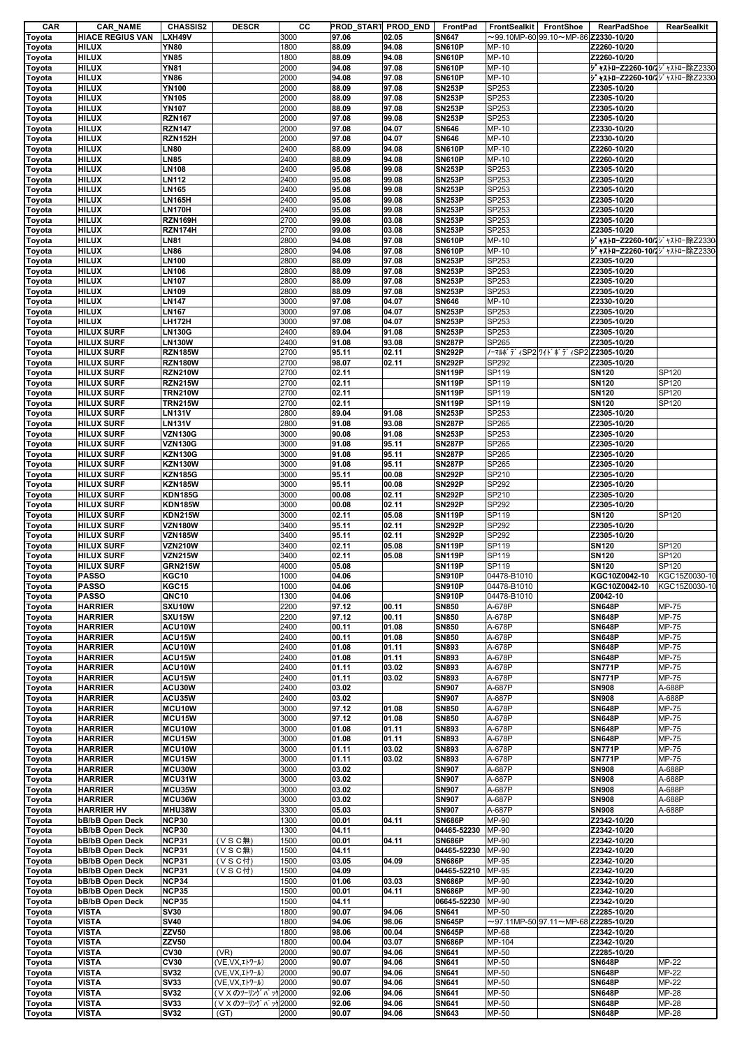| CAR    | <b>CAR NAME</b>         | <b>CHASSIS2</b> | <b>DESCR</b>       | cс   |       | PROD START PROD END | FrontPad                       | <b>FrontSealkit</b><br>FrontShoe                 | <b>RearPadShoe</b>             | <b>RearSealkit</b>  |
|--------|-------------------------|-----------------|--------------------|------|-------|---------------------|--------------------------------|--------------------------------------------------|--------------------------------|---------------------|
| Toyota | <b>HIACE REGIUS VAN</b> | LXH49V          |                    | 3000 | 97.06 | 02.05               | <b>SN647</b>                   | $\sim$ 99.10MP-60 99.10 $\sim$ MP-86 Z2330-10/20 |                                |                     |
| Toyota | <b>HILUX</b>            | <b>YN80</b>     |                    | 1800 | 88.09 | 94.08               | <b>SN610P</b>                  | MP-10                                            | Z2260-10/20                    |                     |
| Toyota | <b>HILUX</b>            | <b>YN85</b>     |                    | 1800 | 88.09 | 94.08               | <b>SN610P</b>                  | MP-10                                            | Z2260-10/20                    |                     |
| Toyota | <b>HILUX</b>            | <b>YN81</b>     |                    | 2000 | 94.08 | 97.08               | <b>SN610P</b>                  | MP-10                                            | ジャストローZ2260-10/!ジャストロー除Z2330   |                     |
| Toyota | <b>HILUX</b>            | <b>YN86</b>     |                    | 2000 | 94.08 | 97.08               | <b>SN610P</b>                  | MP-10                                            | ジャストローZ2260-10/ ジャストロー除Z2330   |                     |
| Toyota | <b>HILUX</b>            | <b>YN100</b>    |                    | 2000 | 88.09 | 97.08               | <b>SN253P</b>                  | SP253                                            | Z2305-10/20                    |                     |
| Toyota | <b>HILUX</b>            | <b>YN105</b>    |                    | 2000 | 88.09 | 97.08               | <b>SN253P</b>                  | SP253                                            | Z2305-10/20                    |                     |
| Toyota | <b>HILUX</b>            | <b>YN107</b>    |                    | 2000 | 88.09 | 97.08               | <b>SN253P</b>                  | SP253                                            | Z2305-10/20                    |                     |
| Toyota | <b>HILUX</b>            | <b>RZN167</b>   |                    | 2000 | 97.08 | 99.08               | <b>SN253P</b>                  | SP253                                            | Z2305-10/20                    |                     |
| Toyota | <b>HILUX</b>            | <b>RZN147</b>   |                    | 2000 | 97.08 | 04.07               | <b>SN646</b>                   | MP-10                                            | Z2330-10/20                    |                     |
| Toyota | <b>HILUX</b>            | RZN152H         |                    | 2000 | 97.08 | 04.07               | <b>SN646</b>                   | MP-10                                            | Z2330-10/20                    |                     |
| Toyota | <b>HILUX</b>            | <b>LN80</b>     |                    | 2400 | 88.09 | 94.08               | <b>SN610P</b>                  | MP-10                                            | Z2260-10/20                    |                     |
| Toyota | <b>HILUX</b>            | <b>LN85</b>     |                    | 2400 | 88.09 | 94.08               | <b>SN610P</b>                  | MP-10                                            | Z2260-10/20                    |                     |
| Toyota | <b>HILUX</b>            | <b>LN108</b>    |                    | 2400 | 95.08 | 99.08               | <b>SN253P</b>                  | SP253                                            | Z2305-10/20                    |                     |
| Toyota | <b>HILUX</b>            | <b>LN112</b>    |                    | 2400 | 95.08 | 99.08               | <b>SN253P</b>                  | SP253                                            | Z2305-10/20                    |                     |
| Toyota | <b>HILUX</b>            | <b>LN165</b>    |                    | 2400 | 95.08 | 99.08               | <b>SN253P</b>                  | SP253                                            | Z2305-10/20                    |                     |
|        | <b>HILUX</b>            | <b>LN165H</b>   |                    | 2400 | 95.08 | 99.08               | <b>SN253P</b>                  | SP253                                            | Z2305-10/20                    |                     |
| Toyota | <b>HILUX</b>            | <b>LN170H</b>   |                    | 2400 | 95.08 |                     | <b>SN253P</b>                  | SP253                                            |                                |                     |
| Toyota |                         |                 |                    |      |       | 99.08               |                                |                                                  | Z2305-10/20                    |                     |
| Toyota | <b>HILUX</b>            | <b>RZN169H</b>  |                    | 2700 | 99.08 | 03.08               | <b>SN253P</b><br><b>SN253P</b> | SP253                                            | Z2305-10/20                    |                     |
| Toyota | <b>HILUX</b>            | RZN174H         |                    | 2700 | 99.08 | 03.08               |                                | SP253                                            | Z2305-10/20                    |                     |
| Toyota | <b>HILUX</b>            | <b>LN81</b>     |                    | 2800 | 94.08 | 97.08               | <b>SN610P</b>                  | MP-10                                            | ジ ャストローZ2260-10/パ ジャストロー除Z2330 |                     |
| Toyota | <b>HILUX</b>            | <b>LN86</b>     |                    | 2800 | 94.08 | 97.08               | <b>SN610P</b>                  | MP-10                                            | ジャストローZ2260-10/ ジャストロー除Z2330   |                     |
| Toyota | <b>HILUX</b>            | <b>LN100</b>    |                    | 2800 | 88.09 | 97.08               | <b>SN253P</b>                  | SP253                                            | Z2305-10/20                    |                     |
| Toyota | <b>HILUX</b>            | <b>LN106</b>    |                    | 2800 | 88.09 | 97.08               | <b>SN253P</b>                  | SP253                                            | Z2305-10/20                    |                     |
| Toyota | <b>HILUX</b>            | <b>LN107</b>    |                    | 2800 | 88.09 | 97.08               | <b>SN253P</b>                  | SP253                                            | Z2305-10/20                    |                     |
| Toyota | <b>HILUX</b>            | LN109           |                    | 2800 | 88.09 | 97.08               | <b>SN253P</b>                  | SP253                                            | Z2305-10/20                    |                     |
| Toyota | <b>HILUX</b>            | <b>LN147</b>    |                    | 3000 | 97.08 | 04.07               | <b>SN646</b>                   | MP-10                                            | Z2330-10/20                    |                     |
| Toyota | <b>HILUX</b>            | <b>LN167</b>    |                    | 3000 | 97.08 | 04.07               | <b>SN253P</b>                  | SP253                                            | Z2305-10/20                    |                     |
| Toyota | <b>HILUX</b>            | <b>LH172H</b>   |                    | 3000 | 97.08 | 04.07               | <b>SN253P</b>                  | SP253                                            | Z2305-10/20                    |                     |
| Toyota | <b>HILUX SURF</b>       | <b>LN130G</b>   |                    | 2400 | 89.04 | 91.08               | <b>SN253P</b>                  | SP253                                            | Z2305-10/20                    |                     |
| Toyota | <b>HILUX SURF</b>       | <b>LN130W</b>   |                    | 2400 | 91.08 | 93.08               | <b>SN287P</b>                  | SP265                                            | Z2305-10/20                    |                     |
| Toyota | <b>HILUX SURF</b>       | <b>RZN185W</b>  |                    | 2700 | 95.11 | 02.11               | <b>SN292P</b>                  | ノーマルボディSP2 ワイドボディSP2  <b>Z2305-10/20</b>         |                                |                     |
| Toyota | <b>HILUX SURF</b>       | <b>RZN180W</b>  |                    | 2700 | 98.07 | 02.11               | <b>SN292P</b>                  | SP292                                            | Z2305-10/20                    |                     |
|        |                         |                 |                    |      |       |                     | <b>SN119P</b>                  |                                                  |                                | SP120               |
| Toyota | <b>HILUX SURF</b>       | <b>RZN210W</b>  |                    | 2700 | 02.11 |                     |                                | SP119                                            | <b>SN120</b>                   |                     |
| Toyota | <b>HILUX SURF</b>       | <b>RZN215W</b>  |                    | 2700 | 02.11 |                     | <b>SN119P</b>                  | SP119                                            | <b>SN120</b>                   | SP120               |
| Toyota | <b>HILUX SURF</b>       | <b>TRN210W</b>  |                    | 2700 | 02.11 |                     | <b>SN119P</b>                  | SP119                                            | <b>SN120</b>                   | SP120               |
| Toyota | <b>HILUX SURF</b>       | <b>TRN215W</b>  |                    | 2700 | 02.11 |                     | <b>SN119P</b>                  | SP119                                            | <b>SN120</b>                   | SP120               |
| Toyota | <b>HILUX SURF</b>       | <b>LN131V</b>   |                    | 2800 | 89.04 | 91.08               | <b>SN253P</b>                  | SP253                                            | Z2305-10/20                    |                     |
| Toyota | <b>HILUX SURF</b>       | <b>LN131V</b>   |                    | 2800 | 91.08 | 93.08               | <b>SN287P</b>                  | SP265                                            | Z2305-10/20                    |                     |
| Toyota | <b>HILUX SURF</b>       | <b>VZN130G</b>  |                    | 3000 | 90.08 | 91.08               | <b>SN253P</b>                  | SP253                                            | Z2305-10/20                    |                     |
| Toyota | <b>HILUX SURF</b>       | <b>VZN130G</b>  |                    | 3000 | 91.08 | 95.11               | <b>SN287P</b>                  | SP265                                            | Z2305-10/20                    |                     |
| Toyota | <b>HILUX SURF</b>       | <b>KZN130G</b>  |                    | 3000 | 91.08 | 95.11               | <b>SN287P</b>                  | SP265                                            | Z2305-10/20                    |                     |
| Toyota | <b>HILUX SURF</b>       | <b>KZN130W</b>  |                    | 3000 | 91.08 | 95.11               | <b>SN287P</b>                  | SP265                                            | Z2305-10/20                    |                     |
| Toyota | <b>HILUX SURF</b>       | <b>KZN185G</b>  |                    | 3000 | 95.11 | 00.08               | <b>SN292P</b>                  | SP210                                            | Z2305-10/20                    |                     |
| Toyota | <b>HILUX SURF</b>       | <b>KZN185W</b>  |                    | 3000 | 95.11 | 00.08               | <b>SN292P</b>                  | SP292                                            | Z2305-10/20                    |                     |
|        | <b>HILUX SURF</b>       | <b>KDN185G</b>  |                    | 3000 | 00.08 | 02.11               | <b>SN292P</b>                  | SP210                                            | Z2305-10/20                    |                     |
| Toyota |                         |                 |                    |      |       |                     |                                |                                                  |                                |                     |
| Toyota | <b>HILUX SURF</b>       | <b>KDN185W</b>  |                    | 3000 | 00.08 | 02.11               | <b>SN292P</b>                  | SP292                                            | Z2305-10/20                    |                     |
| Toyota | <b>HILUX SURF</b>       | <b>KDN215W</b>  |                    | 3000 | 02.11 | 05.08               | <b>SN119P</b>                  | SP119                                            | <b>SN120</b>                   | SP120               |
| Toyota | <b>HILUX SURF</b>       | <b>VZN180W</b>  |                    | 3400 | 95.11 | 02.11               | <b>SN292P</b>                  | SP292                                            | Z2305-10/20                    |                     |
| Toyota | <b>HILUX SURF</b>       | <b>VZN185W</b>  |                    | 3400 | 95.11 | 02.11               | <b>SN292P</b>                  | SP292                                            | Z2305-10/20                    |                     |
| Toyota | <b>HILUX SURF</b>       | <b>VZN210W</b>  |                    | 3400 | 02.11 | 05.08               | <b>SN119P</b>                  | SP119                                            | <b>SN120</b>                   | SP120               |
| Toyota | <b>HILUX SURF</b>       | <b>VZN215W</b>  |                    | 3400 | 02.11 | 05.08               | <b>SN119P</b>                  | SP119                                            | <b>SN120</b>                   | SP120               |
| Toyota | <b>HILUX SURF</b>       | <b>GRN215W</b>  |                    | 4000 | 05.08 |                     | <b>SN119P</b>                  | SP119                                            | <b>SN120</b>                   | SP120               |
| Toyota | <b>PASSO</b>            | KGC10           |                    | 1000 | 04.06 |                     | <b>SN910P</b>                  | 04478-B1010                                      | KGC10Z0042-10                  | KGC15Z0030-10       |
| Toyota | <b>PASSO</b>            | KGC15           |                    | 1000 | 04.06 |                     | <b>SN910P</b>                  | 04478-B1010                                      | KGC10Z0042-10                  | KGC15Z0030-10       |
| Toyota | <b>PASSO</b>            | QNC10           |                    | 1300 | 04.06 |                     | <b>SN910P</b>                  | 04478-B1010                                      | Z0042-10                       |                     |
| Toyota | <b>HARRIER</b>          | SXU10W          |                    | 2200 | 97.12 | 00.11               | <b>SN850</b>                   | A-678P                                           | <b>SN648P</b>                  | <b>MP-75</b>        |
|        |                         |                 |                    | 2200 |       | 00.11               |                                |                                                  |                                | $\overline{MP}$ -75 |
| Toyota | <b>HARRIER</b>          | SXU15W          |                    |      | 97.12 |                     | <b>SN850</b>                   | A-678P                                           | <b>SN648P</b>                  |                     |
| Toyota | <b>HARRIER</b>          | ACU10W          |                    | 2400 | 00.11 | 01.08               | <b>SN850</b>                   | A-678P                                           | <b>SN648P</b>                  | MP-75               |
| Toyota | <b>HARRIER</b>          | ACU15W          |                    | 2400 | 00.11 | 01.08               | <b>SN850</b>                   | A-678P                                           | <b>SN648P</b>                  | MP-75               |
| Toyota | <b>HARRIER</b>          | ACU10W          |                    | 2400 | 01.08 | 01.11               | <b>SN893</b>                   | A-678P                                           | <b>SN648P</b>                  | MP-75               |
| Toyota | <b>HARRIER</b>          | ACU15W          |                    | 2400 | 01.08 | 01.11               | <b>SN893</b>                   | A-678P                                           | <b>SN648P</b>                  | MP-75               |
| Toyota | <b>HARRIER</b>          | ACU10W          |                    | 2400 | 01.11 | 03.02               | <b>SN893</b>                   | A-678P                                           | <b>SN771P</b>                  | MP-75               |
| Toyota | <b>HARRIER</b>          | ACU15W          |                    | 2400 | 01.11 | 03.02               | <b>SN893</b>                   | A-678P                                           | <b>SN771P</b>                  | MP-75               |
| Toyota | <b>HARRIER</b>          | ACU30W          |                    | 2400 | 03.02 |                     | <b>SN907</b>                   | A-687P                                           | <b>SN908</b>                   | A-688P              |
| Toyota | <b>HARRIER</b>          | ACU35W          |                    | 2400 | 03.02 |                     | <b>SN907</b>                   | A-687P                                           | <b>SN908</b>                   | A-688P              |
| Toyota | <b>HARRIER</b>          | MCU10W          |                    | 3000 | 97.12 | 01.08               | <b>SN850</b>                   | A-678P                                           | <b>SN648P</b>                  | MP-75               |
| Toyota | <b>HARRIER</b>          | MCU15W          |                    | 3000 | 97.12 | 01.08               | <b>SN850</b>                   | A-678P                                           | <b>SN648P</b>                  | MP-75               |
| Toyota | <b>HARRIER</b>          | MCU10W          |                    | 3000 | 01.08 | 01.11               | SN893                          | A-678P                                           | <b>SN648P</b>                  | MP-75               |
| Toyota | <b>HARRIER</b>          | MCU15W          |                    | 3000 | 01.08 | 01.11               | <b>SN893</b>                   | A-678P                                           | <b>SN648P</b>                  | MP-75               |
| Toyota | <b>HARRIER</b>          | MCU10W          |                    | 3000 | 01.11 | 03.02               | <b>SN893</b>                   | A-678P                                           | <b>SN771P</b>                  | MP-75               |
| Toyota | <b>HARRIER</b>          | MCU15W          |                    | 3000 | 01.11 | 03.02               | <b>SN893</b>                   | A-678P                                           | <b>SN771P</b>                  | MP-75               |
| Toyota | <b>HARRIER</b>          | MCU30W          |                    | 3000 | 03.02 |                     | <b>SN907</b>                   | A-687P                                           | <b>SN908</b>                   | A-688P              |
|        | <b>HARRIER</b>          | MCU31W          |                    | 3000 | 03.02 |                     | <b>SN907</b>                   | A-687P                                           | <b>SN908</b>                   | A-688P              |
| Toyota |                         | MCU35W          |                    | 3000 | 03.02 |                     | <b>SN907</b>                   | A-687P                                           | <b>SN908</b>                   | A-688P              |
| Toyota | <b>HARRIER</b>          |                 |                    |      |       |                     |                                |                                                  |                                |                     |
| Toyota | <b>HARRIER</b>          | MCU36W          |                    | 3000 | 03.02 |                     | <b>SN907</b>                   | A-687P                                           | <b>SN908</b>                   | A-688P              |
| Toyota | <b>HARRIER HV</b>       | MHU38W          |                    | 3300 | 05.03 |                     | <b>SN907</b>                   | A-687P                                           | <b>SN908</b>                   | A-688P              |
| Toyota | bB/bB Open Deck         | <b>NCP30</b>    |                    | 1300 | 00.01 | 04.11               | <b>SN686P</b>                  | MP-90                                            | Z2342-10/20                    |                     |
| Toyota | bB/bB Open Deck         | <b>NCP30</b>    |                    | 1300 | 04.11 |                     | 04465-52230                    | MP-90                                            | Z2342-10/20                    |                     |
| Toyota | bB/bB Open Deck         | <b>NCP31</b>    | (VSCH              | 1500 | 00.01 | 04.11               | <b>SN686P</b>                  | MP-90                                            | Z2342-10/20                    |                     |
| Toyota | bB/bB Open Deck         | <b>NCP31</b>    | (VSCH)             | 1500 | 04.11 |                     | 04465-52230                    | MP-90                                            | Z2342-10/20                    |                     |
| Toyota | bB/bB Open Deck         | <b>NCP31</b>    | (VSC付)             | 1500 | 03.05 | 04.09               | <b>SN686P</b>                  | MP-95                                            | Z2342-10/20                    |                     |
| Toyota | bB/bB Open Deck         | <b>NCP31</b>    | (VSC付)             | 1500 | 04.09 |                     | 04465-52210                    | MP-95                                            | Z2342-10/20                    |                     |
| Toyota | bB/bB Open Deck         | NCP34           |                    | 1500 | 01.06 | 03.03               | <b>SN686P</b>                  | MP-90                                            | Z2342-10/20                    |                     |
| Toyota | bB/bB Open Deck         | <b>NCP35</b>    |                    | 1500 | 00.01 | 04.11               | <b>SN686P</b>                  | MP-90                                            | Z2342-10/20                    |                     |
| Toyota | bB/bB Open Deck         | <b>NCP35</b>    |                    | 1500 | 04.11 |                     | 06645-52230                    | MP-90                                            | Z2342-10/20                    |                     |
|        | <b>VISTA</b>            | <b>SV30</b>     |                    | 1800 | 90.07 | 94.06               | <b>SN641</b>                   | MP-50                                            | Z2285-10/20                    |                     |
| Toyota |                         |                 |                    |      |       |                     |                                |                                                  |                                |                     |
| Toyota | <b>VISTA</b>            | <b>SV40</b>     |                    | 1800 | 94.06 | 98.06               | <b>SN645P</b>                  | $\sim$ 97.11MP-50 97.11 $\sim$ MP-68 Z2285-10/20 |                                |                     |
| Toyota | <b>VISTA</b>            | <b>ZZV50</b>    |                    | 1800 | 98.06 | 00.04               | <b>SN645P</b>                  | MP-68                                            | Z2342-10/20                    |                     |
| Toyota | <b>VISTA</b>            | <b>ZZV50</b>    |                    | 1800 | 00.04 | 03.07               | <b>SN686P</b>                  | MP-104                                           | Z2342-10/20                    |                     |
| Toyota | <b>VISTA</b>            | <b>CV30</b>     | (VR)               | 2000 | 90.07 | 94.06               | <b>SN641</b>                   | MP-50                                            | Z2285-10/20                    |                     |
| Toyota | <b>VISTA</b>            | <b>CV30</b>     | (VE, VX, II-7-II)  | 2000 | 90.07 | 94.06               | SN641                          | MP-50                                            | <b>SN648P</b>                  | MP-22               |
| Toyota | <b>VISTA</b>            | <b>SV32</b>     | (VE, VX, II-7-II)  | 2000 | 90.07 | 94.06               | <b>SN641</b>                   | MP-50                                            | <b>SN648P</b>                  | MP-22               |
| Toyota | <b>VISTA</b>            | <b>SV33</b>     | (VE, VX, II-7-II)  | 2000 | 90.07 | 94.06               | <b>SN641</b>                   | MP-50                                            | <b>SN648P</b>                  | MP-22               |
| Toyota | <b>VISTA</b>            | <b>SV32</b>     | (V X のツーリングバック2000 |      | 92.06 | 94.06               | <b>SN641</b>                   | MP-50                                            | <b>SN648P</b>                  | MP-28               |
| Toyota | <b>VISTA</b>            | SV33            | (VXのツーリングバック2000   |      | 92.06 | 94.06               | <b>SN641</b>                   | MP-50                                            | <b>SN648P</b>                  | MP-28               |
| Toyota | <b>VISTA</b>            | <b>SV32</b>     | (GT)               | 2000 | 90.07 | 94.06               | <b>SN643</b>                   | MP-50                                            | <b>SN648P</b>                  | MP-28               |
|        |                         |                 |                    |      |       |                     |                                |                                                  |                                |                     |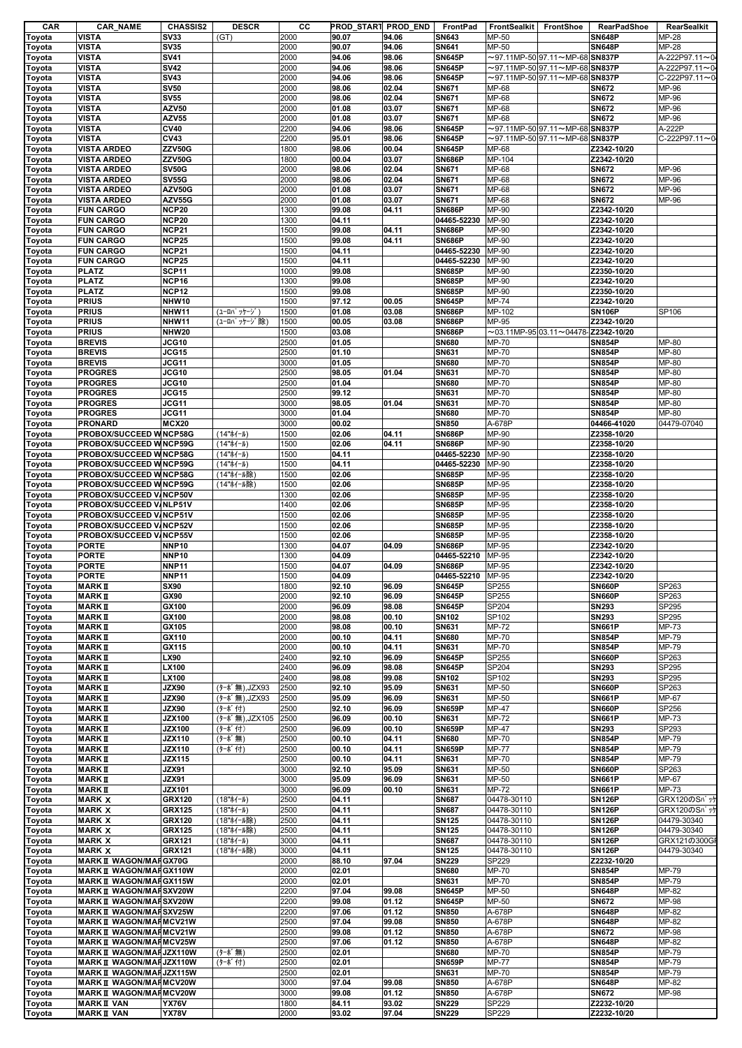| CAR    | <b>CAR_NAME</b>                 | <b>CHASSIS2</b> | <b>DESCR</b>       | cс   | PROD_START PROD_END |       | FrontPad      | <b>FrontSealkit</b> | FrontShoe                                                | <b>RearPadShoe</b> | RearSealkit    |
|--------|---------------------------------|-----------------|--------------------|------|---------------------|-------|---------------|---------------------|----------------------------------------------------------|--------------------|----------------|
| Toyota | <b>VISTA</b>                    | <b>SV33</b>     | (GT)               | 2000 | 90.07               | 94.06 | <b>SN643</b>  | MP-50               |                                                          | <b>SN648P</b>      | MP-28          |
| Toyota | <b>VISTA</b>                    | <b>SV35</b>     |                    | 2000 | 90.07               | 94.06 | <b>SN641</b>  | MP-50               |                                                          | <b>SN648P</b>      | MP-28          |
| Toyota | <b>VISTA</b>                    | <b>SV41</b>     |                    | 2000 | 94.06               | 98.06 | <b>SN645P</b> |                     | $\sim$ 97.11MP-50 97.11 $\sim$ MP-68 SN837P              |                    | A-222P97.11~0  |
| Toyota | VISTA                           | <b>SV42</b>     |                    | 2000 | 94.06               | 98.06 | <b>SN645P</b> |                     | $\sim$ 97.11MP-50 $ $ 97.11 $\sim$ MP-68 $ $ SN837P      |                    | A-222P97.11~04 |
| Toyota | <b>VISTA</b>                    | <b>SV43</b>     |                    | 2000 | 94.06               | 98.06 | <b>SN645P</b> |                     | $\sim$ 97.11MP-50 97.11 $\sim$ MP-68 SN837P              |                    | C-222P97.11~0  |
|        |                                 | <b>SV50</b>     |                    |      |                     |       |               |                     |                                                          |                    |                |
| Toyota | <b>VISTA</b>                    |                 |                    | 2000 | 98.06               | 02.04 | <b>SN671</b>  | MP-68               |                                                          | <b>SN672</b>       | MP-96          |
| Toyota | <b>VISTA</b>                    | <b>SV55</b>     |                    | 2000 | 98.06               | 02.04 | <b>SN671</b>  | MP-68               |                                                          | <b>SN672</b>       | MP-96          |
| Toyota | <b>VISTA</b>                    | <b>AZV50</b>    |                    | 2000 | 01.08               | 03.07 | <b>SN671</b>  | MP-68               |                                                          | <b>SN672</b>       | MP-96          |
| Toyota | <b>VISTA</b>                    | <b>AZV55</b>    |                    | 2000 | 01.08               | 03.07 | <b>SN671</b>  | MP-68               |                                                          | <b>SN672</b>       | MP-96          |
| Toyota | <b>VISTA</b>                    | <b>CV40</b>     |                    | 2200 | 94.06               | 98.06 | <b>SN645P</b> |                     | $\sim$ 97.11MP-50 97.11 $\sim$ MP-68 SN837P              |                    | A-222P         |
| Toyota | <b>VISTA</b>                    | <b>CV43</b>     |                    | 2200 | 95.01               | 98.06 | <b>SN645P</b> |                     | $\sim$ 97.11MP-50 97.11 $\sim$ MP-68 SN837P              |                    | C-222P97.11~0  |
| Toyota | <b>VISTA ARDEO</b>              | ZZV50G          |                    | 1800 | 98.06               | 00.04 | <b>SN645P</b> | MP-68               |                                                          | Z2342-10/20        |                |
| Toyota | <b>VISTA ARDEO</b>              | ZZV50G          |                    | 1800 | 00.04               | 03.07 | <b>SN686P</b> | MP-104              |                                                          | Z2342-10/20        |                |
| Toyota | <b>VISTA ARDEO</b>              | <b>SV50G</b>    |                    | 2000 | 98.06               | 02.04 | SN671         | MP-68               |                                                          | <b>SN672</b>       | MP-96          |
|        | <b>VISTA ARDEO</b>              | <b>SV55G</b>    |                    | 2000 | 98.06               | 02.04 | <b>SN671</b>  | MP-68               |                                                          | <b>SN672</b>       | MP-96          |
| Toyota |                                 |                 |                    |      |                     |       |               |                     |                                                          |                    |                |
| Toyota | <b>VISTA ARDEO</b>              | AZV50G          |                    | 2000 | 01.08               | 03.07 | <b>SN671</b>  | MP-68               |                                                          | <b>SN672</b>       | MP-96          |
| Toyota | <b>VISTA ARDEO</b>              | AZV55G          |                    | 2000 | 01.08               | 03.07 | SN671         | MP-68               |                                                          | <b>SN672</b>       | MP-96          |
| Toyota | <b>FUN CARGO</b>                | <b>NCP20</b>    |                    | 1300 | 99.08               | 04.11 | <b>SN686P</b> | MP-90               |                                                          | Z2342-10/20        |                |
| Toyota | <b>FUN CARGO</b>                | <b>NCP20</b>    |                    | 1300 | 04.11               |       | 04465-52230   | MP-90               |                                                          | Z2342-10/20        |                |
| Toyota | <b>FUN CARGO</b>                | <b>NCP21</b>    |                    | 1500 | 99.08               | 04.11 | <b>SN686P</b> | MP-90               |                                                          | Z2342-10/20        |                |
| Toyota | <b>FUN CARGO</b>                | <b>NCP25</b>    |                    | 1500 | 99.08               | 04.11 | <b>SN686P</b> | MP-90               |                                                          | Z2342-10/20        |                |
| Toyota | <b>FUN CARGO</b>                | <b>NCP21</b>    |                    | 1500 | 04.11               |       | 04465-52230   | MP-90               |                                                          | Z2342-10/20        |                |
| Toyota | <b>FUN CARGO</b>                | <b>NCP25</b>    |                    | 1500 | 04.11               |       | 04465-52230   | MP-90               |                                                          | Z2342-10/20        |                |
| Toyota | <b>PLATZ</b>                    | <b>SCP11</b>    |                    | 1000 | 99.08               |       | <b>SN685P</b> | MP-90               |                                                          | Z2350-10/20        |                |
|        | <b>PLATZ</b>                    | NCP16           |                    | 1300 | 99.08               |       | <b>SN685P</b> | MP-90               |                                                          | Z2342-10/20        |                |
| Toyota |                                 |                 |                    |      |                     |       |               |                     |                                                          |                    |                |
| Toyota | <b>PLATZ</b>                    | <b>NCP12</b>    |                    | 1500 | 99.08               |       | <b>SN685P</b> | MP-90               |                                                          | Z2350-10/20        |                |
| Toyota | <b>PRIUS</b>                    | NHW10           |                    | 1500 | 97.12               | 00.05 | <b>SN645P</b> | MP-74               |                                                          | Z2342-10/20        |                |
| Toyota | <b>PRIUS</b>                    | NHW11           | (ユーロハ゜ッケージ゛)       | 1500 | 01.08               | 03.08 | <b>SN686P</b> | MP-102              |                                                          | <b>SN106P</b>      | SP106          |
| Toyota | <b>PRIUS</b>                    | NHW11           | (ユーロパッケージ除)        | 1500 | 00.05               | 03.08 | <b>SN686P</b> | MP-95               |                                                          | Z2342-10/20        |                |
| Toyota | <b>PRIUS</b>                    | NHW20           |                    | 1500 | 03.08               |       | <b>SN686P</b> |                     | $\sim$ 03.11MP-95 03.11 $\sim$ 04478- <b>Z2342-10/20</b> |                    |                |
| Toyota | <b>BREVIS</b>                   | JCG10           |                    | 2500 | 01.05               |       | <b>SN680</b>  | <b>MP-70</b>        |                                                          | <b>SN854P</b>      | MP-80          |
| Toyota | <b>BREVIS</b>                   | JCG15           |                    | 2500 | 01.10               |       | SN631         | MP-70               |                                                          | <b>SN854P</b>      | MP-80          |
| Toyota | <b>BREVIS</b>                   | JCG11           |                    | 3000 | 01.05               |       | <b>SN680</b>  | MP-70               |                                                          | <b>SN854P</b>      | MP-80          |
| Toyota | <b>PROGRES</b>                  | JCG10           |                    | 2500 | 98.05               | 01.04 | <b>SN631</b>  | MP-70               |                                                          | <b>SN854P</b>      | MP-80          |
|        |                                 |                 |                    |      |                     |       |               |                     |                                                          |                    |                |
| Toyota | <b>PROGRES</b>                  | JCG10           |                    | 2500 | 01.04               |       | <b>SN680</b>  | MP-70               |                                                          | <b>SN854P</b>      | MP-80          |
| Toyota | <b>PROGRES</b>                  | JCG15           |                    | 2500 | 99.12               |       | <b>SN631</b>  | MP-70               |                                                          | <b>SN854P</b>      | MP-80          |
| Toyota | <b>PROGRES</b>                  | JCG11           |                    | 3000 | 98.05               | 01.04 | <b>SN631</b>  | MP-70               |                                                          | <b>SN854P</b>      | MP-80          |
| Toyota | <b>PROGRES</b>                  | JCG11           |                    | 3000 | 01.04               |       | <b>SN680</b>  | MP-70               |                                                          | <b>SN854P</b>      | MP-80          |
| Toyota | <b>PRONARD</b>                  | <b>MCX20</b>    |                    | 3000 | 00.02               |       | <b>SN850</b>  | A-678P              |                                                          | 04466-41020        | 04479-07040    |
| Toyota | PROBOX/SUCCEED WNCP58G          |                 | (14"ホイール)          | 1500 | 02.06               | 04.11 | <b>SN686P</b> | MP-90               |                                                          | Z2358-10/20        |                |
| Toyota | PROBOX/SUCCEED WNCP59G          |                 | (14"ホイール)          | 1500 | 02.06               | 04.11 | <b>SN686P</b> | MP-90               |                                                          | Z2358-10/20        |                |
| Toyota | PROBOX/SUCCEED WNCP58G          |                 | (14"ホイール)          | 1500 | 04.11               |       | 04465-52230   | MP-90               |                                                          | Z2358-10/20        |                |
| Toyota | PROBOX/SUCCEED W NCP59G         |                 | (14"ホイール)          | 1500 | 04.11               |       | 04465-52230   | MP-90               |                                                          | Z2358-10/20        |                |
|        |                                 |                 |                    |      |                     |       |               |                     |                                                          |                    |                |
| Toyota | PROBOX/SUCCEED WNCP58G          |                 | (14"ホイール除)         | 1500 | 02.06               |       | <b>SN685P</b> | MP-95               |                                                          | Z2358-10/20        |                |
| Toyota | PROBOX/SUCCEED WNCP59G          |                 | (14"ホイール除)         | 1500 | 02.06               |       | <b>SN685P</b> | MP-95               |                                                          | Z2358-10/20        |                |
| Toyota | PROBOX/SUCCEED V/NCP50V         |                 |                    | 1300 | 02.06               |       | <b>SN685P</b> | MP-95               |                                                          | Z2358-10/20        |                |
| Toyota | PROBOX/SUCCEED V/NLP51V         |                 |                    | 1400 | 02.06               |       | <b>SN685P</b> | MP-95               |                                                          | Z2358-10/20        |                |
| Toyota | PROBOX/SUCCEED V/NCP51V         |                 |                    | 1500 | 02.06               |       | <b>SN685P</b> | MP-95               |                                                          | Z2358-10/20        |                |
| Toyota | PROBOX/SUCCEED V/NCP52V         |                 |                    | 1500 | 02.06               |       | <b>SN685P</b> | MP-95               |                                                          | Z2358-10/20        |                |
| Toyota | PROBOX/SUCCEED V/NCP55V         |                 |                    | 1500 | 02.06               |       | <b>SN685P</b> | MP-95               |                                                          | Z2358-10/20        |                |
| Toyota | <b>PORTE</b>                    | <b>NNP10</b>    |                    | 1300 | 04.07               | 04.09 | <b>SN686P</b> | MP-95               |                                                          | Z2342-10/20        |                |
|        |                                 |                 |                    |      |                     |       | 04465-52210   |                     |                                                          |                    |                |
| Toyota | <b>PORTE</b>                    | <b>NNP10</b>    |                    | 1300 | 04.09               |       |               | MP-95               |                                                          | Z2342-10/20        |                |
| Toyota | <b>PORTE</b>                    | <b>NNP11</b>    |                    | 1500 | 04.07               | 04.09 | <b>SN686P</b> | MP-95               |                                                          | Z2342-10/20        |                |
| Toyota | <b>PORTE</b>                    | <b>NNP11</b>    |                    | 1500 | 04.09               |       | 04465-52210   | MP-95               |                                                          | Z2342-10/20        |                |
| Toyota | <b>MARKI</b>                    | <b>SX90</b>     |                    | 1800 | 92.10               | 96.09 | <b>SN645P</b> | SP255               |                                                          | <b>SN660P</b>      | SP263          |
| Toyota | <b>MARKI</b>                    | GX90            |                    | 2000 | 92.10               | 96.09 | <b>SN645P</b> | SP255               |                                                          | <b>SN660P</b>      | SP263          |
| Toyota | <b>MARKII</b>                   | GX100           |                    | 2000 | 96.09               | 98.08 | <b>SN645P</b> | SP204               |                                                          | <b>SN293</b>       | SP295          |
| Toyota | <b>MARKII</b>                   | GX100           |                    | 2000 | 98.08               | 00.10 | SN102         | SP102               |                                                          | <b>SN293</b>       | SP295          |
| Toyota | <b>MARKI</b>                    | GX105           |                    | 2000 | 98.08               | 00.10 | SN631         | MP-72               |                                                          | <b>SN661P</b>      | MP-73          |
| Toyota | <b>MARKI</b>                    | GX110           |                    | 2000 | 00.10               | 04.11 | <b>SN680</b>  | MP-70               |                                                          | <b>SN854P</b>      | MP-79          |
|        |                                 |                 |                    |      |                     |       |               |                     |                                                          |                    |                |
| Toyota | <b>MARKI</b>                    | GX115           |                    | 2000 | 00.10               | 04.11 | <b>SN631</b>  | MP-70               |                                                          | <b>SN854P</b>      | MP-79          |
| Toyota | <b>MARKI</b>                    | LX90            |                    | 2400 | 92.10               | 96.09 | <b>SN645P</b> | SP255               |                                                          | <b>SN660P</b>      | SP263          |
| Toyota | <b>MARKI</b>                    | LX100           |                    | 2400 | 96.09               | 98.08 | <b>SN645P</b> | SP204               |                                                          | <b>SN293</b>       | SP295          |
| Toyota | <b>MARKI</b>                    | LX100           |                    | 2400 | 98.08               | 99.08 | SN102         | SP102               |                                                          | <b>SN293</b>       | SP295          |
| Toyota | <b>MARKII</b>                   | JZX90           | (ターボ 無), JZX93     | 2500 | 92.10               | 95.09 | SN631         | MP-50               |                                                          | <b>SN660P</b>      | SP263          |
| Toyota | <b>MARKI</b>                    | JZX90           | (ターボ無),JZX93       | 2500 | 95.09               | 96.09 | SN631         | MP-50               |                                                          | <b>SN661P</b>      | MP-67          |
| Toyota | <b>MARKI</b>                    | JZX90           | (ターボ付)             | 2500 | 92.10               | 96.09 | <b>SN659P</b> | MP-47               |                                                          | <b>SN660P</b>      | SP256          |
| Toyota | <b>MARKI</b>                    | <b>JZX100</b>   | (ターボ無),JZX105 2500 |      | 96.09               | 00.10 | SN631         | MP-72               |                                                          | <b>SN661P</b>      | MP-73          |
| Toyota | <b>MARKI</b>                    | <b>JZX100</b>   | (ターボ付)             | 2500 | 96.09               | 00.10 | <b>SN659P</b> | MP-47               |                                                          | <b>SN293</b>       | SP293          |
| Toyota | <b>MARKI</b>                    | <b>JZX110</b>   | (ターボ無)             | 2500 | 00.10               | 04.11 | <b>SN680</b>  | MP-70               |                                                          | <b>SN854P</b>      | MP-79          |
| Toyota | <b>MARKII</b>                   | <b>JZX110</b>   | (ターボ付)             | 2500 | 00.10               | 04.11 | <b>SN659P</b> | <b>MP-77</b>        |                                                          | <b>SN854P</b>      | MP-79          |
|        |                                 |                 |                    |      |                     |       |               |                     |                                                          |                    |                |
| Toyota | <b>MARKI</b>                    | <b>JZX115</b>   |                    | 2500 | 00.10               | 04.11 | SN631         | MP-70               |                                                          | <b>SN854P</b>      | MP-79          |
| Toyota | <b>MARKI</b>                    | JZX91           |                    | 3000 | 92.10               | 95.09 | <b>SN631</b>  | MP-50               |                                                          | <b>SN660P</b>      | SP263          |
| Toyota | <b>MARKII</b>                   | JZX91           |                    | 3000 | 95.09               | 96.09 | SN631         | MP-50               |                                                          | <b>SN661P</b>      | MP-67          |
| Toyota | <b>MARKI</b>                    | <b>JZX101</b>   |                    | 3000 | 96.09               | 00.10 | SN631         | MP-72               |                                                          | <b>SN661P</b>      | MP-73          |
| Toyota | <b>MARK X</b>                   | <b>GRX120</b>   | (18"ホイール)          | 2500 | 04.11               |       | <b>SN687</b>  | 04478-30110         |                                                          | <b>SN126P</b>      | GRX120のSパッケ    |
| Toyota | <b>MARK X</b>                   | <b>GRX125</b>   | (18"ホイール)          | 2500 | 04.11               |       | <b>SN687</b>  | 04478-30110         |                                                          | <b>SN126P</b>      | GRX120のSパッケ    |
| Toyota | <b>MARK X</b>                   | <b>GRX120</b>   | (18"ホイール除)         | 2500 | 04.11               |       | <b>SN125</b>  | 04478-30110         |                                                          | <b>SN126P</b>      | 04479-30340    |
| Toyota | <b>MARK X</b>                   | <b>GRX125</b>   | (18"ホイール除)         | 2500 | 04.11               |       | <b>SN125</b>  | 04478-30110         |                                                          | <b>SN126P</b>      | 04479-30340    |
|        | <b>MARK X</b>                   | <b>GRX121</b>   | (18"ホイール)          | 3000 | 04.11               |       | <b>SN687</b>  | 04478-30110         |                                                          | <b>SN126P</b>      | GRX121の300GF   |
| Toyota |                                 |                 |                    |      |                     |       |               |                     |                                                          |                    |                |
| Toyota | <b>MARK X</b>                   | <b>GRX121</b>   | (18"ホイール除)         | 3000 | 04.11               |       | <b>SN125</b>  | 04478-30110         |                                                          | <b>SN126P</b>      | 04479-30340    |
| Toyota | <b>MARK II WAGON/MAFGX70G</b>   |                 |                    | 2000 | 88.10               | 97.04 | <b>SN229</b>  | SP229               |                                                          | Z2232-10/20        |                |
| Toyota | <b>MARK II WAGON/MAFGX110W</b>  |                 |                    | 2000 | 02.01               |       | <b>SN680</b>  | MP-70               |                                                          | <b>SN854P</b>      | MP-79          |
| Toyota | <b>MARK II WAGON/MAFGX115W</b>  |                 |                    | 2000 | 02.01               |       | SN631         | MP-70               |                                                          | <b>SN854P</b>      | MP-79          |
| Toyota | <b>MARK II WAGON/MAFSXV20W</b>  |                 |                    | 2200 | 97.04               | 99.08 | <b>SN645P</b> | MP-50               |                                                          | <b>SN648P</b>      | MP-82          |
| Toyota | <b>MARK II WAGON/MAFSXV20W</b>  |                 |                    | 2200 | 99.08               | 01.12 | <b>SN645P</b> | MP-50               |                                                          | <b>SN672</b>       | MP-98          |
| Toyota | <b>MARK II WAGON/MAFSXV25W</b>  |                 |                    | 2200 | 97.06               | 01.12 | <b>SN850</b>  | A-678P              |                                                          | <b>SN648P</b>      | MP-82          |
|        |                                 |                 |                    | 2500 | 97.04               | 99.08 | <b>SN850</b>  | A-678P              |                                                          | <b>SN648P</b>      | MP-82          |
| Toyota | <b>MARK II WAGON/MARMCV21W</b>  |                 |                    |      |                     |       |               |                     |                                                          |                    |                |
| Toyota | <b>MARK II WAGON/MARMCV21W</b>  |                 |                    | 2500 | 99.08               | 01.12 | <b>SN850</b>  | A-678P              |                                                          | <b>SN672</b>       | MP-98          |
| Toyota | <b>MARK II WAGON/MARMCV25W</b>  |                 |                    | 2500 | 97.06               | 01.12 | <b>SN850</b>  | A-678P              |                                                          | <b>SN648P</b>      | MP-82          |
| Toyota | <b>MARK II WAGON/MAFJZX110W</b> |                 | (ターボ無)             | 2500 | 02.01               |       | <b>SN680</b>  | MP-70               |                                                          | <b>SN854P</b>      | MP-79          |
| Toyota | <b>MARK II WAGON/MAFJZX110W</b> |                 | (ターボ付)             | 2500 | 02.01               |       | <b>SN659P</b> | <b>MP-77</b>        |                                                          | <b>SN854P</b>      | MP-79          |
| Toyota | <b>MARK II WAGON/MAFJZX115W</b> |                 |                    | 2500 | 02.01               |       | SN631         | MP-70               |                                                          | <b>SN854P</b>      | MP-79          |
| Toyota | <b>MARK II WAGON/MARMCV20W</b>  |                 |                    | 3000 | 97.04               | 99.08 | <b>SN850</b>  | A-678P              |                                                          | <b>SN648P</b>      | MP-82          |
| Toyota | <b>MARK II WAGON/MARMCV20W</b>  |                 |                    | 3000 | 99.08               | 01.12 | <b>SN850</b>  | A-678P              |                                                          | <b>SN672</b>       | MP-98          |
| Toyota | <b>MARKI VAN</b>                | <b>YX76V</b>    |                    | 1800 | 84.11               | 93.02 | <b>SN229</b>  | SP229               |                                                          | Z2232-10/20        |                |
|        | <b>MARKI VAN</b>                | <b>YX78V</b>    |                    | 2000 | 93.02               | 97.04 | <b>SN229</b>  | SP229               |                                                          | Z2232-10/20        |                |
| Toyota |                                 |                 |                    |      |                     |       |               |                     |                                                          |                    |                |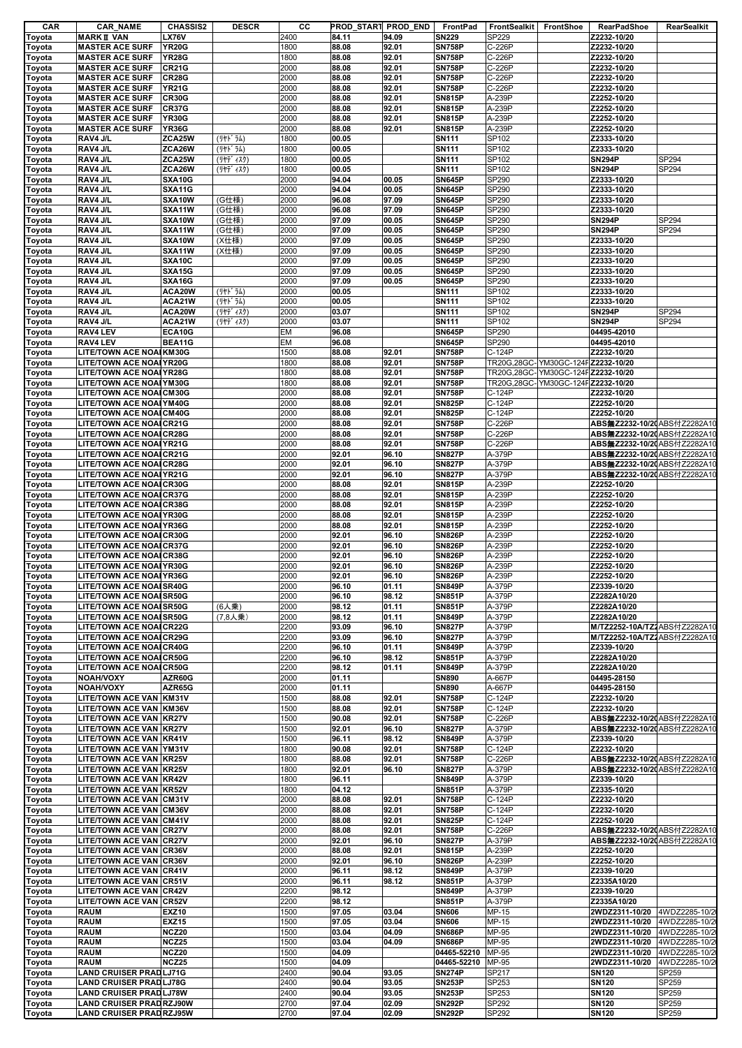| CAR    | <b>CAR NAME</b>                 | <b>CHASSIS2</b> | <b>DESCR</b> | cс   | PROD_START PROD_END |       | FrontPad      | FrontSealkit | FrontShoe                         | <b>RearPadShoe</b>            | <b>RearSealkit</b> |
|--------|---------------------------------|-----------------|--------------|------|---------------------|-------|---------------|--------------|-----------------------------------|-------------------------------|--------------------|
| Toyota | <b>MARKI VAN</b>                | <b>LX76V</b>    |              | 2400 | 84.11               | 94.09 | <b>SN229</b>  | SP229        |                                   | Z2232-10/20                   |                    |
| Toyota | <b>MASTER ACE SURF</b>          | <b>YR20G</b>    |              | 1800 | 88.08               | 92.01 | <b>SN758P</b> | C-226P       |                                   | Z2232-10/20                   |                    |
| Toyota | <b>MASTER ACE SURF</b>          | <b>YR28G</b>    |              | 1800 | 88.08               | 92.01 | <b>SN758P</b> | C-226P       |                                   | Z2232-10/20                   |                    |
| Toyota | <b>MASTER ACE SURF</b>          | <b>CR21G</b>    |              | 2000 | 88.08               | 92.01 | <b>SN758P</b> | C-226P       |                                   | Z2232-10/20                   |                    |
|        | <b>MASTER ACE SURF</b>          | <b>CR28G</b>    |              | 2000 | 88.08               | 92.01 | <b>SN758P</b> | C-226P       |                                   | Z2232-10/20                   |                    |
| Toyota |                                 |                 |              |      |                     |       |               |              |                                   |                               |                    |
| Toyota | <b>MASTER ACE SURF</b>          | <b>YR21G</b>    |              | 2000 | 88.08               | 92.01 | <b>SN758P</b> | C-226P       |                                   | Z2232-10/20                   |                    |
| Toyota | <b>MASTER ACE SURF</b>          | <b>CR30G</b>    |              | 2000 | 88.08               | 92.01 | <b>SN815P</b> | A-239P       |                                   | Z2252-10/20                   |                    |
| Toyota | <b>MASTER ACE SURF</b>          | <b>CR37G</b>    |              | 2000 | 88.08               | 92.01 | <b>SN815P</b> | A-239P       |                                   | Z2252-10/20                   |                    |
| Toyota | <b>MASTER ACE SURF</b>          | <b>YR30G</b>    |              | 2000 | 88.08               | 92.01 | <b>SN815P</b> | A-239P       |                                   | Z2252-10/20                   |                    |
| Toyota | <b>MASTER ACE SURF</b>          | <b>YR36G</b>    |              | 2000 | 88.08               | 92.01 | <b>SN815P</b> | A-239P       |                                   | Z2252-10/20                   |                    |
| Toyota | RAV4 J/L                        | ZCA25W          | (リヤト・ラム)     | 1800 | 00.05               |       | <b>SN111</b>  | SP102        |                                   | Z2333-10/20                   |                    |
| Toyota | RAV4 J/L                        | ZCA26W          | (リヤト・ラム)     | 1800 | 00.05               |       | <b>SN111</b>  | SP102        |                                   | Z2333-10/20                   |                    |
|        | RAV4 J/L                        | ZCA25W          |              | 1800 | 00.05               |       | <b>SN111</b>  | SP102        |                                   | <b>SN294P</b>                 | SP294              |
| Toyota |                                 |                 | (リヤデ゛ィスク)    |      |                     |       |               |              |                                   |                               |                    |
| Toyota | RAV4 J/L                        | ZCA26W          | (リヤデ ィスク)    | 1800 | 00.05               |       | <b>SN111</b>  | SP102        |                                   | <b>SN294P</b>                 | SP294              |
| Toyota | RAV4 J/L                        | <b>SXA10G</b>   |              | 2000 | 94.04               | 00.05 | <b>SN645P</b> | SP290        |                                   | Z2333-10/20                   |                    |
| Toyota | RAV4 J/L                        | <b>SXA11G</b>   |              | 2000 | 94.04               | 00.05 | <b>SN645P</b> | SP290        |                                   | Z2333-10/20                   |                    |
| Toyota | RAV4 J/L                        | SXA10W          | (G仕様)        | 2000 | 96.08               | 97.09 | <b>SN645P</b> | SP290        |                                   | Z2333-10/20                   |                    |
| Toyota | RAV4 J/L                        | SXA11W          | (G仕様)        | 2000 | 96.08               | 97.09 | <b>SN645P</b> | SP290        |                                   | Z2333-10/20                   |                    |
| Toyota | RAV4 J/L                        | SXA10W          | (G仕様)        | 2000 | 97.09               | 00.05 | <b>SN645P</b> | SP290        |                                   | <b>SN294P</b>                 | SP294              |
| Toyota | RAV4 J/L                        | SXA11W          | (G仕様)        | 2000 | 97.09               | 00.05 | <b>SN645P</b> | SP290        |                                   | <b>SN294P</b>                 | SP294              |
|        | RAV4 J/L                        | SXA10W          | (X仕様)        | 2000 | 97.09               | 00.05 | <b>SN645P</b> | SP290        |                                   | Z2333-10/20                   |                    |
| Toyota |                                 |                 |              |      |                     |       |               |              |                                   | Z2333-10/20                   |                    |
| Toyota | RAV4 J/L                        | SXA11W          | (X仕様)        | 2000 | 97.09               | 00.05 | <b>SN645P</b> | SP290        |                                   |                               |                    |
| Toyota | RAV4 J/L                        | <b>SXA10C</b>   |              | 2000 | 97.09               | 00.05 | <b>SN645P</b> | SP290        |                                   | Z2333-10/20                   |                    |
| Toyota | RAV4 J/L                        | <b>SXA15G</b>   |              | 2000 | 97.09               | 00.05 | <b>SN645P</b> | SP290        |                                   | Z2333-10/20                   |                    |
| Toyota | RAV4 J/L                        | <b>SXA16G</b>   |              | 2000 | 97.09               | 00.05 | <b>SN645P</b> | SP290        |                                   | Z2333-10/20                   |                    |
| Toyota | RAV4 J/L                        | ACA20W          | (リヤト・ラム)     | 2000 | 00.05               |       | <b>SN111</b>  | SP102        |                                   | Z2333-10/20                   |                    |
| Toyota | RAV4 J/L                        | ACA21W          | (リヤト・ラム)     | 2000 | 00.05               |       | <b>SN111</b>  | SP102        |                                   | Z2333-10/20                   |                    |
| Toyota | RAV4 J/L                        | ACA20W          | (リヤデ゛ィスク)    | 2000 | 03.07               |       | <b>SN111</b>  | SP102        |                                   | <b>SN294P</b>                 | SP294              |
|        |                                 | ACA21W          |              |      |                     |       |               |              |                                   | <b>SN294P</b>                 | SP294              |
| Toyota | RAV4 J/L                        |                 | (リヤデ゛ィスク)    | 2000 | 03.07               |       | <b>SN111</b>  | SP102        |                                   |                               |                    |
| Toyota | RAV4 LEV                        | ECA10G          |              | EM   | 96.08               |       | <b>SN645P</b> | SP290        |                                   | 04495-42010                   |                    |
| Toyota | RAV4 LEV                        | BEA11G          |              | EM   | 96.08               |       | <b>SN645P</b> | SP290        |                                   | 04495-42010                   |                    |
| Toyota | LITE/TOWN ACE NOAI KM30G        |                 |              | 1500 | 88.08               | 92.01 | <b>SN758P</b> | C-124P       |                                   | Z2232-10/20                   |                    |
| Toyota | <b>LITE/TOWN ACE NOAI YR20G</b> |                 |              | 1800 | 88.08               | 92.01 | <b>SN758P</b> |              | TR20G,28GC-YM30GC-124FZ2232-10/20 |                               |                    |
| Toyota | <b>LITE/TOWN ACE NOAI YR28G</b> |                 |              | 1800 | 88.08               | 92.01 | <b>SN758P</b> |              | TR20G,28GC-YM30GC-124FZ2232-10/20 |                               |                    |
|        | <b>LITE/TOWN ACE NOAI YM30G</b> |                 |              | 1800 | 88.08               | 92.01 | <b>SN758P</b> |              | TR20G,28GC-YM30GC-124FZ2232-10/20 |                               |                    |
| Toyota |                                 |                 |              |      |                     |       |               |              |                                   |                               |                    |
| Toyota | <b>LITE/TOWN ACE NOAI CM30G</b> |                 |              | 2000 | 88.08               | 92.01 | <b>SN758P</b> | C-124P       |                                   | Z2232-10/20                   |                    |
| Toyota | <b>LITE/TOWN ACE NOAI YM40G</b> |                 |              | 2000 | 88.08               | 92.01 | <b>SN825P</b> | C-124P       |                                   | Z2252-10/20                   |                    |
| Toyota | <b>LITE/TOWN ACE NOAI CM40G</b> |                 |              | 2000 | 88.08               | 92.01 | <b>SN825P</b> | C-124P       |                                   | Z2252-10/20                   |                    |
| Toyota | <b>LITE/TOWN ACE NOAI CR21G</b> |                 |              | 2000 | 88.08               | 92.01 | <b>SN758P</b> | C-226P       |                                   | ABS無Z2232-10/20 ABS付Z2282A10  |                    |
| Toyota | <b>LITE/TOWN ACE NOAI CR28G</b> |                 |              | 2000 | 88.08               | 92.01 | <b>SN758P</b> | C-226P       |                                   | ABS無Z2232-10/20 ABS付Z2282A10  |                    |
| Toyota | <b>LITE/TOWN ACE NOAI YR21G</b> |                 |              | 2000 | 88.08               | 92.01 | <b>SN758P</b> | C-226P       |                                   | ABS無Z2232-10/2(ABS付Z2282A10   |                    |
| Toyota | <b>LITE/TOWN ACE NOAI CR21G</b> |                 |              | 2000 | 92.01               | 96.10 | <b>SN827P</b> | A-379P       |                                   | ABS無Z2232-10/2(ABS付Z2282A1    |                    |
|        |                                 |                 |              |      |                     |       |               |              |                                   |                               |                    |
| Toyota | <b>LITE/TOWN ACE NOAI CR28G</b> |                 |              | 2000 | 92.01               | 96.10 | <b>SN827P</b> | A-379P       |                                   | ABS無Z2232-10/20 ABS付Z2282A10  |                    |
| Toyota | <b>LITE/TOWN ACE NOAI YR21G</b> |                 |              | 2000 | 92.01               | 96.10 | <b>SN827P</b> | A-379P       |                                   | ABS無Z2232-10/20 ABS付Z2282A10  |                    |
| Toyota | <b>LITE/TOWN ACE NOAI CR30G</b> |                 |              | 2000 | 88.08               | 92.01 | <b>SN815P</b> | A-239P       |                                   | Z2252-10/20                   |                    |
| Toyota | <b>LITE/TOWN ACE NOAI CR37G</b> |                 |              | 2000 | 88.08               | 92.01 | <b>SN815P</b> | A-239P       |                                   | Z2252-10/20                   |                    |
| Toyota | <b>LITE/TOWN ACE NOAI CR38G</b> |                 |              | 2000 | 88.08               | 92.01 | <b>SN815P</b> | A-239P       |                                   | Z2252-10/20                   |                    |
| Toyota | LITE/TOWN ACE NOAI YR30G        |                 |              | 2000 | 88.08               | 92.01 | <b>SN815P</b> | A-239P       |                                   | Z2252-10/20                   |                    |
|        |                                 |                 |              |      | 88.08               |       | <b>SN815P</b> | A-239P       |                                   |                               |                    |
| Toyota | <b>LITE/TOWN ACE NOAI YR36G</b> |                 |              | 2000 |                     | 92.01 |               |              |                                   | Z2252-10/20                   |                    |
| Toyota | <b>LITE/TOWN ACE NOAI CR30G</b> |                 |              | 2000 | 92.01               | 96.10 | <b>SN826P</b> | A-239P       |                                   | Z2252-10/20                   |                    |
| Toyota | <b>LITE/TOWN ACE NOAI CR37G</b> |                 |              | 2000 | 92.01               | 96.10 | <b>SN826P</b> | A-239P       |                                   | Z2252-10/20                   |                    |
| Toyota | <b>LITE/TOWN ACE NOAI CR38G</b> |                 |              | 2000 | 92.01               | 96.10 | <b>SN826P</b> | A-239P       |                                   | Z2252-10/20                   |                    |
| Toyota | <b>LITE/TOWN ACE NOAI YR30G</b> |                 |              | 2000 | 92.01               | 96.10 | <b>SN826P</b> | A-239P       |                                   | Z2252-10/20                   |                    |
| Toyota | <b>LITE/TOWN ACE NOAI YR36G</b> |                 |              | 2000 | 92.01               | 96.10 | <b>SN826P</b> | A-239P       |                                   | Z2252-10/20                   |                    |
| Toyota | LITE/TOWN ACE NOAI SR40G        |                 |              | 2000 | 96.10               | 01.11 | <b>SN849P</b> | A-379P       |                                   | Z2339-10/20                   |                    |
| Toyota | <b>LITE/TOWN ACE NOAI SR50G</b> |                 |              | 2000 | 96.10               | 98.12 | <b>SN851P</b> | A-379P       |                                   | Z2282A10/20                   |                    |
|        | <b>LITE/TOWN ACE NOAI SR50G</b> |                 | (6人乗)        | 2000 | 98.12               | 01.11 | <b>SN851P</b> | A-379P       |                                   | Z2282A10/20                   |                    |
| Toyota |                                 |                 |              |      |                     |       |               |              |                                   |                               |                    |
| Toyota | <b>LITE/TOWN ACE NOAISR50G</b>  |                 | (7,8人乗)      | 2000 | 98.12               | 01.11 | <b>SN849P</b> | A-379P       |                                   | Z2282A10/20                   |                    |
| Toyota | <b>LITE/TOWN ACE NOAI CR22G</b> |                 |              | 2200 | 93.09               | 96.10 | <b>SN827P</b> | A-379P       |                                   | M/TZ2252-10A/TZ: ABS付Z2282A10 |                    |
| Toyota | <b>LITE/TOWN ACE NOAI CR29G</b> |                 |              | 2200 | 93.09               | 96.10 | <b>SN827P</b> | A-379P       |                                   | M/TZ2252-10A/TZ: ABS付Z2282A10 |                    |
| Toyota | <b>LITE/TOWN ACE NOAI CR40G</b> |                 |              | 2200 | 96.10               | 01.11 | <b>SN849P</b> | A-379P       |                                   | Z2339-10/20                   |                    |
| Toyota | LITE/TOWN ACE NOAICR50G         |                 |              | 2200 | 96.10               | 98.12 | <b>SN851P</b> | A-379P       |                                   | Z2282A10/20                   |                    |
| Toyota | <b>LITE/TOWN ACE NOAI CR50G</b> |                 |              | 2200 | 98.12               | 01.11 | <b>SN849P</b> | A-379P       |                                   | Z2282A10/20                   |                    |
| Toyota | <b>NOAH/VOXY</b>                | AZR60G          |              | 2000 | 01.11               |       | <b>SN890</b>  | A-667P       |                                   | 04495-28150                   |                    |
|        |                                 |                 |              |      |                     |       |               |              |                                   |                               |                    |
| Toyota | <b>NOAH/VOXY</b>                | AZR65G          |              | 2000 | 01.11               |       | <b>SN890</b>  | A-667P       |                                   | 04495-28150                   |                    |
| Toyota | LITE/TOWN ACE VAN KM31V         |                 |              | 1500 | 88.08               | 92.01 | <b>SN758P</b> | C-124P       |                                   | Z2232-10/20                   |                    |
| Toyota | LITE/TOWN ACE VAN KM36V         |                 |              | 1500 | 88.08               | 92.01 | <b>SN758P</b> | C-124P       |                                   | Z2232-10/20                   |                    |
| Toyota | LITE/TOWN ACE VAN KR27V         |                 |              | 1500 | 90.08               | 92.01 | <b>SN758P</b> | C-226P       |                                   | ABS無Z2232-10/20 ABS付Z2282A10  |                    |
| Toyota | LITE/TOWN ACE VAN KR27V         |                 |              | 1500 | 92.01               | 96.10 | <b>SN827P</b> | A-379P       |                                   | ABS無Z2232-10/2(ABS付Z2282A10   |                    |
| Toyota | LITE/TOWN ACE VAN KR41V         |                 |              | 1500 | 96.11               | 98.12 | <b>SN849P</b> | A-379P       |                                   | Z2339-10/20                   |                    |
| Toyota | LITE/TOWN ACE VAN YM31V         |                 |              | 1800 | 90.08               | 92.01 | <b>SN758P</b> | C-124P       |                                   | Z2232-10/20                   |                    |
| Toyota | LITE/TOWN ACE VAN KR25V         |                 |              | 1800 | 88.08               | 92.01 | <b>SN758P</b> | C-226P       |                                   | ABS無Z2232-10/2(ABS付Z2282A10   |                    |
| Toyota | LITE/TOWN ACE VAN KR25V         |                 |              | 1800 | 92.01               | 96.10 | <b>SN827P</b> | A-379P       |                                   | ABS無Z2232-10/2(ABS付Z2282A10   |                    |
| Toyota | <b>LITE/TOWN ACE VAN KR42V</b>  |                 |              | 1800 | 96.11               |       | <b>SN849P</b> | A-379P       |                                   | Z2339-10/20                   |                    |
|        | LITE/TOWN ACE VAN KR52V         |                 |              | 1800 | 04.12               |       | <b>SN851P</b> | A-379P       |                                   | Z2335-10/20                   |                    |
| Toyota |                                 |                 |              |      |                     |       |               |              |                                   |                               |                    |
| Toyota | LITE/TOWN ACE VAN CM31V         |                 |              | 2000 | 88.08               | 92.01 | <b>SN758P</b> | C-124P       |                                   | Z2232-10/20                   |                    |
| Toyota | LITE/TOWN ACE VAN CM36V         |                 |              | 2000 | 88.08               | 92.01 | <b>SN758P</b> | C-124P       |                                   | Z2232-10/20                   |                    |
| Toyota | <b>LITE/TOWN ACE VAN CM41V</b>  |                 |              | 2000 | 88.08               | 92.01 | <b>SN825P</b> | C-124P       |                                   | Z2252-10/20                   |                    |
| Toyota | <b>LITE/TOWN ACE VAN CR27V</b>  |                 |              | 2000 | 88.08               | 92.01 | <b>SN758P</b> | C-226P       |                                   | ABS無Z2232-10/2(ABS付Z2282A10   |                    |
| Toyota | LITE/TOWN ACE VAN CR27V         |                 |              | 2000 | 92.01               | 96.10 | <b>SN827P</b> | A-379P       |                                   | ABS無Z2232-10/2(ABS付Z2282A10   |                    |
| Toyota | LITE/TOWN ACE VAN CR36V         |                 |              | 2000 | 88.08               | 92.01 | <b>SN815P</b> | A-239P       |                                   | Z2252-10/20                   |                    |
| Toyota | LITE/TOWN ACE VAN CR36V         |                 |              | 2000 | 92.01               | 96.10 | <b>SN826P</b> | A-239P       |                                   | Z2252-10/20                   |                    |
| Toyota | LITE/TOWN ACE VAN CR41V         |                 |              | 2000 | 96.11               | 98.12 | <b>SN849P</b> | A-379P       |                                   | Z2339-10/20                   |                    |
|        |                                 |                 |              |      |                     |       |               |              |                                   |                               |                    |
| Toyota | LITE/TOWN ACE VAN CR51V         |                 |              | 2000 | 96.11               | 98.12 | <b>SN851P</b> | A-379P       |                                   | Z2335A10/20                   |                    |
| Toyota | <b>LITE/TOWN ACE VAN CR42V</b>  |                 |              | 2200 | 98.12               |       | <b>SN849P</b> | A-379P       |                                   | Z2339-10/20                   |                    |
| Toyota | <b>LITE/TOWN ACE VAN CR52V</b>  |                 |              | 2200 | 98.12               |       | <b>SN851P</b> | A-379P       |                                   | Z2335A10/20                   |                    |
| Toyota | <b>RAUM</b>                     | <b>EXZ10</b>    |              | 1500 | 97.05               | 03.04 | <b>SN606</b>  | MP-15        |                                   | 2WDZ2311-10/20                | 4WDZ2285-10/2      |
| Toyota | <b>RAUM</b>                     | <b>EXZ15</b>    |              | 1500 | 97.05               | 03.04 | <b>SN606</b>  | MP-15        |                                   | 2WDZ2311-10/20                | 4WDZ2285-10/2      |
| Toyota | <b>RAUM</b>                     | <b>NCZ20</b>    |              | 1500 | 03.04               | 04.09 | <b>SN686P</b> | MP-95        |                                   | 2WDZ2311-10/20                | 4WDZ2285-10/2      |
|        | <b>RAUM</b>                     | <b>NCZ25</b>    |              | 1500 | 03.04               | 04.09 | <b>SN686P</b> | MP-95        |                                   | 2WDZ2311-10/20                | 4WDZ2285-10/2      |
| Toyota |                                 |                 |              |      |                     |       |               |              |                                   |                               |                    |
| Toyota | <b>RAUM</b>                     | <b>NCZ20</b>    |              | 1500 | 04.09               |       | 04465-52210   | MP-95        |                                   | 2WDZ2311-10/20                | 4WDZ2285-10/2      |
| Toyota | <b>RAUM</b>                     | <b>NCZ25</b>    |              | 1500 | 04.09               |       | 04465-52210   | MP-95        |                                   | 2WDZ2311-10/20                | 4WDZ2285-10/2      |
| Toyota | <b>LAND CRUISER PRAD LJ71G</b>  |                 |              | 2400 | 90.04               | 93.05 | <b>SN274P</b> | SP217        |                                   | <b>SN120</b>                  | SP259              |
| Toyota | <b>LAND CRUISER PRADLJ78G</b>   |                 |              | 2400 | 90.04               | 93.05 | <b>SN253P</b> | SP253        |                                   | <b>SN120</b>                  | SP259              |
| Toyota | <b>LAND CRUISER PRAD LJ78W</b>  |                 |              | 2400 | 90.04               | 93.05 | <b>SN253P</b> | SP253        |                                   | <b>SN120</b>                  | SP259              |
| Toyota | <b>LAND CRUISER PRAD RZJ90W</b> |                 |              | 2700 | 97.04               | 02.09 | <b>SN292P</b> | SP292        |                                   | <b>SN120</b>                  | SP259              |
| Toyota | <b>LAND CRUISER PRAD RZJ95W</b> |                 |              | 2700 | 97.04               | 02.09 | <b>SN292P</b> | SP292        |                                   | <b>SN120</b>                  | SP259              |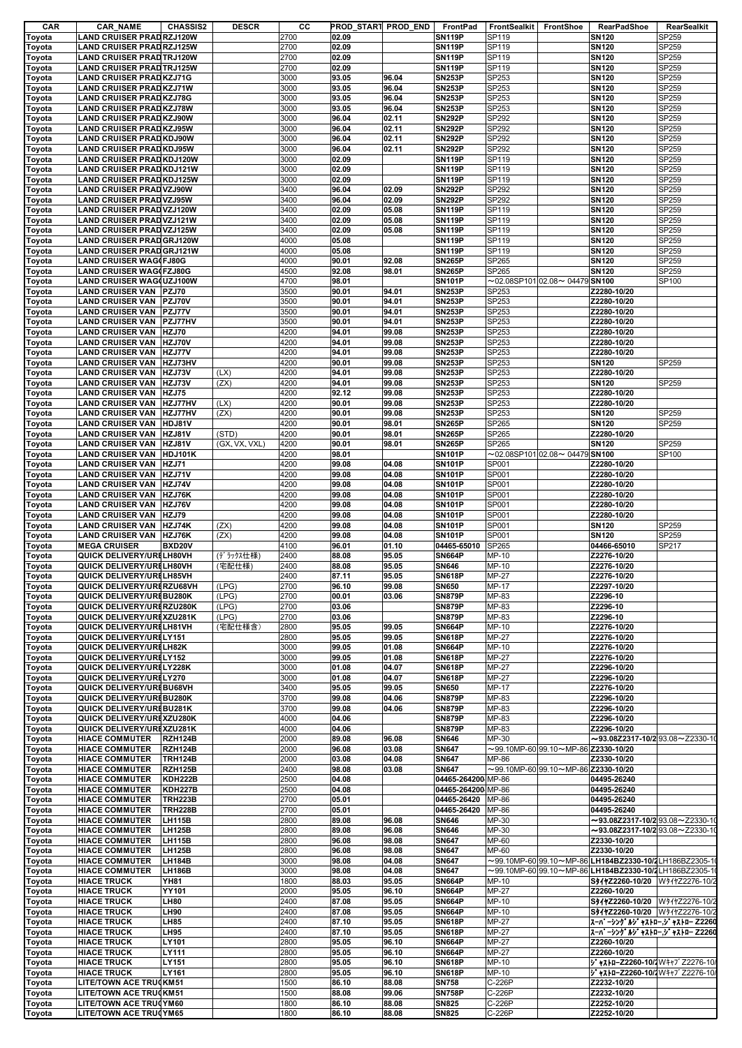| CAR              | <b>CAR_NAME</b><br><b>CHASSIS2</b>                               | <b>DESCR</b>  | cс           |                | PROD_START PROD_END | FrontPad                       | <b>FrontSealkit</b> | FrontShoe                                        | RearPadShoe                                            | RearSealkit    |
|------------------|------------------------------------------------------------------|---------------|--------------|----------------|---------------------|--------------------------------|---------------------|--------------------------------------------------|--------------------------------------------------------|----------------|
| Toyota           | <b>LAND CRUISER PRADRZJ120W</b>                                  |               | 2700         | 02.09          |                     | <b>SN119P</b>                  | SP119               |                                                  | <b>SN120</b>                                           | SP259          |
| Toyota           | <b>LAND CRUISER PRADRZJ125W</b>                                  |               | 2700         | 02.09          |                     | <b>SN119P</b>                  | SP119               |                                                  | <b>SN120</b>                                           | SP259          |
| Toyota           | <b>LAND CRUISER PRADTRJ120W</b>                                  |               | 2700         | 02.09          |                     | <b>SN119P</b>                  | SP119               |                                                  | <b>SN120</b>                                           | SP259          |
| Toyota           | <b>LAND CRUISER PRADTRJ125W</b>                                  |               | 2700<br>3000 | 02.09          |                     | <b>SN119P</b><br><b>SN253P</b> | SP119<br>SP253      |                                                  | <b>SN120</b>                                           | SP259          |
| Toyota           | <b>LAND CRUISER PRADKZJ71G</b>                                   |               | 3000         | 93.05<br>93.05 | 96.04<br>96.04      | <b>SN253P</b>                  | SP253               |                                                  | <b>SN120</b><br><b>SN120</b>                           | SP259<br>SP259 |
| Toyota<br>Toyota | <b>LAND CRUISER PRADKZJ71W</b><br><b>LAND CRUISER PRADKZJ78G</b> |               | 3000         | 93.05          | 96.04               | <b>SN253P</b>                  | SP253               |                                                  | <b>SN120</b>                                           | SP259          |
| Toyota           | <b>LAND CRUISER PRADKZJ78W</b>                                   |               | 3000         | 93.05          | 96.04               | <b>SN253P</b>                  | SP253               |                                                  | <b>SN120</b>                                           | SP259          |
| Toyota           | <b>LAND CRUISER PRADKZJ90W</b>                                   |               | 3000         | 96.04          | 02.11               | <b>SN292P</b>                  | SP292               |                                                  | <b>SN120</b>                                           | SP259          |
| Toyota           | <b>LAND CRUISER PRADKZJ95W</b>                                   |               | 3000         | 96.04          | 02.11               | <b>SN292P</b>                  | SP292               |                                                  | <b>SN120</b>                                           | SP259          |
| Toyota           | <b>LAND CRUISER PRADKDJ90W</b>                                   |               | 3000         | 96.04          | 02.11               | <b>SN292P</b>                  | SP292               |                                                  | <b>SN120</b>                                           | SP259          |
| Toyota           | <b>LAND CRUISER PRADKDJ95W</b>                                   |               | 3000         | 96.04          | 02.11               | <b>SN292P</b>                  | SP292               |                                                  | <b>SN120</b>                                           | SP259          |
| Toyota           | <b>LAND CRUISER PRADKDJ120W</b>                                  |               | 3000         | 02.09          |                     | <b>SN119P</b>                  | SP119               |                                                  | <b>SN120</b>                                           | SP259          |
| Toyota           | <b>LAND CRUISER PRADKDJ121W</b>                                  |               | 3000         | 02.09          |                     | <b>SN119P</b>                  | SP119               |                                                  | <b>SN120</b>                                           | SP259          |
| Toyota           | <b>LAND CRUISER PRADKDJ125W</b>                                  |               | 3000         | 02.09          |                     | <b>SN119P</b>                  | SP119               |                                                  | <b>SN120</b>                                           | SP259          |
| Toyota           | <b>LAND CRUISER PRAD VZJ90W</b>                                  |               | 3400         | 96.04          | 02.09               | <b>SN292P</b>                  | SP292               |                                                  | <b>SN120</b>                                           | SP259          |
| Toyota           | <b>LAND CRUISER PRAD VZJ95W</b>                                  |               | 3400         | 96.04          | 02.09               | <b>SN292P</b>                  | SP292               |                                                  | <b>SN120</b>                                           | SP259          |
| Toyota           | <b>LAND CRUISER PRADVZJ120W</b>                                  |               | 3400         | 02.09          | 05.08               | <b>SN119P</b>                  | SP119               |                                                  | <b>SN120</b>                                           | SP259          |
| Toyota           | <b>LAND CRUISER PRAD VZJ121W</b>                                 |               | 3400         | 02.09          | 05.08               | <b>SN119P</b>                  | SP119               |                                                  | <b>SN120</b>                                           | SP259          |
| Toyota           | <b>LAND CRUISER PRADVZJ125W</b>                                  |               | 3400         | 02.09          | 05.08               | <b>SN119P</b>                  | SP119               |                                                  | <b>SN120</b>                                           | SP259          |
| Toyota           | <b>LAND CRUISER PRAD GRJ120W</b>                                 |               | 4000         | 05.08          |                     | <b>SN119P</b>                  | SP119               |                                                  | <b>SN120</b>                                           | SP259          |
| Toyota           | <b>LAND CRUISER PRAD GRJ121W</b>                                 |               | 4000         | 05.08          |                     | <b>SN119P</b>                  | SP119               |                                                  | <b>SN120</b>                                           | SP259          |
| Toyota           | <b>LAND CRUISER WAG(FJ80G</b>                                    |               | 4000         | 90.01          | 92.08               | <b>SN265P</b>                  | SP265               |                                                  | <b>SN120</b>                                           | SP259          |
| Toyota           | <b>LAND CRUISER WAG(FZJ80G</b>                                   |               | 4500         | 92.08          | 98.01               | <b>SN265P</b>                  | SP265               |                                                  | <b>SN120</b>                                           | SP259          |
| Toyota           | <b>LAND CRUISER WAG(UZJ100W</b>                                  |               | 4700         | 98.01          |                     | <b>SN101P</b>                  |                     | $\sim$ 02.08SP101 02.08 $\sim$ 04479 SN100       |                                                        | SP100          |
|                  | <b>LAND CRUISER VAN PZJ70</b>                                    |               | 3500         | 90.01          | 94.01               | <b>SN253P</b>                  | SP253               |                                                  | Z2280-10/20                                            |                |
| Toyota           | <b>LAND CRUISER VAN</b><br>PZJ70V                                |               | 3500         | 90.01          | 94.01               | <b>SN253P</b>                  | SP253               |                                                  | Z2280-10/20                                            |                |
| Toyota           | <b>LAND CRUISER VAN PZJ77V</b>                                   |               | 3500         | 90.01          | 94.01               | <b>SN253P</b>                  | SP253               |                                                  | Z2280-10/20                                            |                |
| Toyota<br>Toyota | <b>LAND CRUISER VAN PZJ77HV</b>                                  |               | 3500         | 90.01          | 94.01               | <b>SN253P</b>                  | SP253               |                                                  | Z2280-10/20                                            |                |
| Toyota           | <b>LAND CRUISER VAN   HZJ70</b>                                  |               | 4200         | 94.01          | 99.08               | <b>SN253P</b>                  | SP253               |                                                  | Z2280-10/20                                            |                |
|                  | <b>LAND CRUISER VAN</b><br>HZJ70V                                |               | 4200         | 94.01          | 99.08               | <b>SN253P</b>                  | SP253               |                                                  | Z2280-10/20                                            |                |
| Toyota           |                                                                  |               |              |                |                     |                                |                     |                                                  |                                                        |                |
| Toyota           | <b>LAND CRUISER VAN HZJ77V</b><br>HZJ73HV                        |               | 4200<br>4200 | 94.01<br>90.01 | 99.08<br>99.08      | <b>SN253P</b><br><b>SN253P</b> | SP253<br>SP253      |                                                  | Z2280-10/20                                            | SP259          |
| Toyota           | <b>LAND CRUISER VAN</b>                                          |               |              |                |                     |                                |                     |                                                  | <b>SN120</b>                                           |                |
| Toyota           | <b>LAND CRUISER VAN</b><br>HZJ73V                                | (LX)          | 4200         | 94.01          | 99.08               | <b>SN253P</b>                  | SP253               |                                                  | Z2280-10/20                                            |                |
| Toyota           | HZJ73V<br>LAND CRUISER VAN                                       | (ZX)          | 4200         | 94.01          | 99.08               | <b>SN253P</b>                  | SP253               |                                                  | <b>SN120</b>                                           | SP259          |
| Toyota           | <b>LAND CRUISER VAN HZJ75</b>                                    |               | 4200         | 92.12          | 99.08               | <b>SN253P</b>                  | SP253               |                                                  | Z2280-10/20                                            |                |
| Toyota           | <b>LAND CRUISER VAN</b><br><b>HZJ77HV</b>                        | (LX)          | 4200         | 90.01          | 99.08               | <b>SN253P</b>                  | SP253               |                                                  | Z2280-10/20                                            |                |
| Toyota           | LAND CRUISER VAN<br><b>HZJ77HV</b>                               | (ZX)          | 4200         | 90.01          | 99.08               | <b>SN253P</b>                  | SP253               |                                                  | <b>SN120</b>                                           | SP259          |
| Toyota           | LAND CRUISER VAN  HDJ81V                                         |               | 4200         | 90.01          | 98.01               | <b>SN265P</b>                  | SP265               |                                                  | <b>SN120</b>                                           | SP259          |
| Toyota           | LAND CRUISER VAN<br>HZJ81V                                       | (STD)         | 4200         | 90.01          | 98.01               | <b>SN265P</b>                  | SP265               |                                                  | Z2280-10/20                                            |                |
| Toyota           | LAND CRUISER VAN HZJ81V                                          | (GX, VX, VXL) | 4200         | 90.01          | 98.01               | <b>SN265P</b>                  | SP265               |                                                  | <b>SN120</b>                                           | SP259          |
| Toyota           | LAND CRUISER VAN HDJ101K                                         |               | 4200         | 98.01          |                     | <b>SN101P</b>                  |                     | $\sim$ 02.08SP101 02.08 $\sim$ 04479 SN100       |                                                        | SP100          |
| Toyota           | LAND CRUISER VAN HZJ71                                           |               | 4200         | 99.08          | 04.08               | <b>SN101P</b>                  | SP001               |                                                  | Z2280-10/20                                            |                |
| Toyota           | <b>LAND CRUISER VAN</b><br>HZJ71V                                |               | 4200         | 99.08          | 04.08               | <b>SN101P</b>                  | SP001               |                                                  | Z2280-10/20                                            |                |
| Toyota           | <b>LAND CRUISER VAN</b><br>HZJ74V                                |               | 4200         | 99.08          | 04.08               | <b>SN101P</b>                  | SP001               |                                                  | Z2280-10/20                                            |                |
| Toyota           | <b>LAND CRUISER VAN</b><br>HZJ76K                                |               | 4200         | 99.08          | 04.08               | <b>SN101P</b>                  | SP001               |                                                  | Z2280-10/20                                            |                |
| Toyota           | LAND CRUISER VAN HZJ76V                                          |               | 4200         | 99.08          | 04.08               | <b>SN101P</b>                  | SP001               |                                                  | Z2280-10/20                                            |                |
| Toyota           | <b>LAND CRUISER VAN</b><br><b>HZJ79</b>                          |               | 4200         | 99.08          | 04.08               | <b>SN101P</b>                  | SP001               |                                                  | Z2280-10/20                                            |                |
| Toyota           | <b>LAND CRUISER VAN</b><br>HZJ74K                                | (ZX)          | 4200         | 99.08          | 04.08               | <b>SN101P</b>                  | SP001               |                                                  | <b>SN120</b>                                           | SP259          |
| Toyota           | <b>LAND CRUISER VAN HZJ76K</b>                                   | (ZX)          | 4200         | 99.08          | 04.08               | <b>SN101P</b>                  | SP001               |                                                  | <b>SN120</b>                                           | SP259          |
| Toyota           | <b>MEGA CRUISER</b><br>BXD20V                                    |               | 4100         | 96.01          | 01.10               | 04465-65010                    | SP265               |                                                  | 04466-65010                                            | SP217          |
| Toyota           | QUICK DELIVERY/URELH80VH                                         | (デラックス仕様)     | 2400         | 88.08          | 95.05               | <b>SN664P</b>                  | MP-10               |                                                  | Z2276-10/20                                            |                |
| Toyota           | QUICK DELIVERY/URELH80VH                                         | (宅配仕様)        | 2400         | 88.08          | 95.05               | <b>SN646</b>                   | MP-10               |                                                  | Z2276-10/20                                            |                |
| Toyota           | QUICK DELIVERY/URELH85VH                                         |               | 2400         | 87.11          | 95.05               | <b>SN618P</b>                  | MP-27               |                                                  | Z2276-10/20                                            |                |
| Toyota           | QUICK DELIVERY/URERZU68VH                                        | (LPG)         | 2700         | 96.10          | 99.08               | <b>SN650</b>                   | MP-17               |                                                  | Z2297-10/20                                            |                |
| Toyota           | QUICK DELIVERY/UREBU280K                                         | (LPG)         | 2700         | 00.01          | 03.06               | <b>SN879P</b>                  | MP-83               |                                                  | Z2296-10                                               |                |
| Toyota           | QUICK DELIVERY/URERZU280K                                        | (LPG)         | 2700         | 03.06          |                     | <b>SN879P</b>                  | MP-83               |                                                  | Z2296-10                                               |                |
| Toyota           | QUICK DELIVERY/URI XZU281K                                       | (LPG)         | 2700         | 03.06          |                     | <b>SN879P</b>                  | MP-83               |                                                  | Z2296-10                                               |                |
| Toyota           | QUICK DELIVERY/URELH81VH                                         | (宅配仕様含)       | 2800         | 95.05          | 99.05               | <b>SN664P</b>                  | MP-10               |                                                  | Z2276-10/20                                            |                |
| Toyota           | QUICK DELIVERY/URELY151                                          |               | 2800         | 95.05          | 99.05               | <b>SN618P</b>                  | MP-27               |                                                  | Z2276-10/20                                            |                |
| Toyota           | <b>QUICK DELIVERY/URELH82K</b>                                   |               | 3000         | 99.05          | 01.08               | <b>SN664P</b>                  | MP-10               |                                                  | Z2276-10/20                                            |                |
| Toyota           | QUICK DELIVERY/URELY152                                          |               | 3000         | 99.05          | 01.08               | <b>SN618P</b>                  | MP-27               |                                                  | Z2276-10/20                                            |                |
| Toyota           | <b>QUICK DELIVERY/URELY228K</b>                                  |               | 3000         | 01.08          | 04.07               | <b>SN618P</b>                  | MP-27               |                                                  | Z2296-10/20                                            |                |
| Toyota           | QUICK DELIVERY/URELY270                                          |               | 3000         | 01.08          | 04.07               | <b>SN618P</b>                  | MP-27               |                                                  | Z2296-10/20                                            |                |
| Toyota           | QUICK DELIVERY/URIBU68VH                                         |               | 3400         | 95.05          | 99.05               | <b>SN650</b>                   | <b>MP-17</b>        |                                                  | Z2276-10/20                                            |                |
| Toyota           | QUICK DELIVERY/UREBU280K                                         |               | 3700         | 99.08          | 04.06               | <b>SN879P</b>                  | MP-83               |                                                  | Z2296-10/20                                            |                |
| Toyota           | QUICK DELIVERY/UREBU281K                                         |               | 3700         | 99.08          | 04.06               | <b>SN879P</b>                  | MP-83               |                                                  | Z2296-10/20                                            |                |
| Toyota           | QUICK DELIVERY/UREXZU280K                                        |               | 4000         | 04.06          |                     | <b>SN879P</b>                  | MP-83               |                                                  | Z2296-10/20                                            |                |
| Toyota           | QUICK DELIVERY/UREXZU281K                                        |               | 4000         | 04.06          |                     | <b>SN879P</b>                  | MP-83               |                                                  | Z2296-10/20                                            |                |
| Toyota           | <b>HIACE COMMUTER</b><br><b>RZH124B</b>                          |               | 2000         | 89.08          | 96.08               | <b>SN646</b>                   | MP-30               |                                                  | $\sim$ 93.08Z2317-10/293.08 $\sim$ Z2330-10            |                |
| Toyota           | <b>HIACE COMMUTER</b><br><b>RZH124B</b>                          |               | 2000         | 96.08          | 03.08               | <b>SN647</b>                   |                     | $\sim$ 99.10MP-60 99.10 $\sim$ MP-86 Z2330-10/20 |                                                        |                |
| Toyota           | <b>TRH124B</b><br><b>HIACE COMMUTER</b>                          |               | 2000         | 03.08          | 04.08               | <b>SN647</b>                   | MP-86               |                                                  | Z2330-10/20                                            |                |
| Toyota           | <b>RZH125B</b><br><b>HIACE COMMUTER</b>                          |               | 2400         | 98.08          | 03.08               | <b>SN647</b>                   |                     | $\sim$ 99.10MP-60 99.10 $\sim$ MP-86 Z2330-10/20 |                                                        |                |
| Toyota           | <b>HIACE COMMUTER</b><br><b>KDH222B</b>                          |               | 2500         | 04.08          |                     | 04465-264200 MP-86             |                     |                                                  | 04495-26240                                            |                |
| Toyota           | <b>HIACE COMMUTER</b><br><b>KDH227B</b>                          |               | 2500         | 04.08          |                     | 04465-264200 MP-86             |                     |                                                  | 04495-26240                                            |                |
| Toyota           | <b>HIACE COMMUTER</b><br><b>TRH223B</b>                          |               | 2700         | 05.01          |                     | 04465-26420                    | MP-86               |                                                  | 04495-26240                                            |                |
| Toyota           | <b>TRH228B</b><br><b>HIACE COMMUTER</b>                          |               | 2700         | 05.01          |                     | 04465-26420                    | MP-86               |                                                  | 04495-26240                                            |                |
| Toyota           | <b>LH115B</b><br><b>HIACE COMMUTER</b>                           |               | 2800         | 89.08          | 96.08               | <b>SN646</b>                   | MP-30               |                                                  | $\sim$ 93.08Z2317-10/293.08 $\sim$ Z2330-1             |                |
| Toyota           | <b>HIACE COMMUTER</b><br><b>LH125B</b>                           |               | 2800         | 89.08          | 96.08               | <b>SN646</b>                   | MP-30               |                                                  | $\sim$ 93.08Z2317-10/2 93.08 $\sim$ Z2330-10           |                |
| Toyota           | <b>LH115B</b><br><b>HIACE COMMUTER</b>                           |               | 2800         | 96.08          | 98.08               | <b>SN647</b>                   | MP-60               |                                                  | Z2330-10/20                                            |                |
| Toyota           | <b>HIACE COMMUTER</b><br><b>LH125B</b>                           |               | 2800         | 96.08          | 98.08               | <b>SN647</b>                   | MP-60               |                                                  | Z2330-10/20                                            |                |
| Toyota           | <b>LH184B</b><br><b>HIACE COMMUTER</b>                           |               | 3000         | 98.08          | 04.08               | <b>SN647</b>                   |                     |                                                  | ~99.10MP-60 99.10~MP-86 LH184BZ2330-10/2 LH186BZ2305-1 |                |
| Toyota           | <b>LH186B</b><br><b>HIACE COMMUTER</b>                           |               | 3000         | 98.08          | 04.08               | <b>SN647</b>                   |                     |                                                  | ~99.10MP-60 99.10~MP-86 LH184BZ2330-10/2 LH186BZ2305-1 |                |
| Toyota           | <b>HIACE TRUCK</b><br>YH81                                       |               | 1800         | 88.03          | 95.05               | <b>SN664P</b>                  | MP-10               |                                                  | S941Z2260-10/20 W941Z2276-10/2                         |                |
| Toyota           | <b>HIACE TRUCK</b><br>YY101                                      |               | 2000         | 95.05          | 96.10               | <b>SN664P</b>                  | <b>MP-27</b>        |                                                  | Z2260-10/20                                            |                |
| Toyota           | <b>HIACE TRUCK</b><br>LH80                                       |               | 2400         | 87.08          | 95.05               | <b>SN664P</b>                  | MP-10               |                                                  | S94+22260-10/20 W94+Z2276-10/2                         |                |
| Toyota           | <b>HIACE TRUCK</b><br>LH90                                       |               | 2400         | 87.08          | 95.05               | <b>SN664P</b>                  | MP-10               |                                                  | S941Z2260-10/20 W941Z2276-10/2                         |                |
| Toyota           | LH85<br><b>HIACE TRUCK</b>                                       |               | 2400         | 87.10          | 95.05               | <b>SN618P</b>                  | MP-27               |                                                  | スーパ ーシンク* ルジャストロー,ジャストロー Z2260                         |                |
| Toyota           | <b>HIACE TRUCK</b><br>LH95                                       |               | 2400         | 87.10          | 95.05               | <b>SN618P</b>                  | MP-27               |                                                  | スーパ ーシンク゛ルジ ャストロー,ジ ャストロー Z2260                        |                |
| Toyota           | <b>HIACE TRUCK</b><br>LY101                                      |               | 2800         | 95.05          | 96.10               | <b>SN664P</b>                  | MP-27               |                                                  | Z2260-10/20                                            |                |
| Toyota           | <b>HIACE TRUCK</b><br>LY111                                      |               | 2800         | 95.05          | 96.10               | <b>SN664P</b>                  | MP-27               |                                                  | Z2260-10/20                                            |                |
| Toyota           | <b>HIACE TRUCK</b><br>LY151                                      |               | 2800         | 95.05          | 96.10               | <b>SN618P</b>                  | MP-10               |                                                  | ジ ャストローZ2260-10/ Wキャブ Z2276-10/                        |                |
| Toyota           | <b>HIACE TRUCK</b><br>LY161                                      |               | 2800         | 95.05          | 96.10               | <b>SN618P</b>                  | MP-10               |                                                  | ジ ャストローZ2260-10/ Wキャブ Z2276-10/                        |                |
| Toyota           | LITE/TOWN ACE TRUCKM51                                           |               | 1500         | 86.10          | 88.08               | <b>SN758</b>                   | C-226P              |                                                  | Z2232-10/20                                            |                |
| Toyota           | LITE/TOWN ACE TRUCKM51                                           |               | 1500         | 88.08          | 99.06               | <b>SN758P</b>                  | C-226P              |                                                  | Z2232-10/20                                            |                |
| Toyota           | LITE/TOWN ACE TRU(YM60                                           |               | 1800         | 86.10          | 88.08               | <b>SN825</b>                   | C-226P              |                                                  | Z2252-10/20                                            |                |
| Toyota           | LITE/TOWN ACE TRU(YM65                                           |               | 1800         | 86.10          | 88.08               | <b>SN825</b>                   | C-226P              |                                                  | Z2252-10/20                                            |                |
|                  |                                                                  |               |              |                |                     |                                |                     |                                                  |                                                        |                |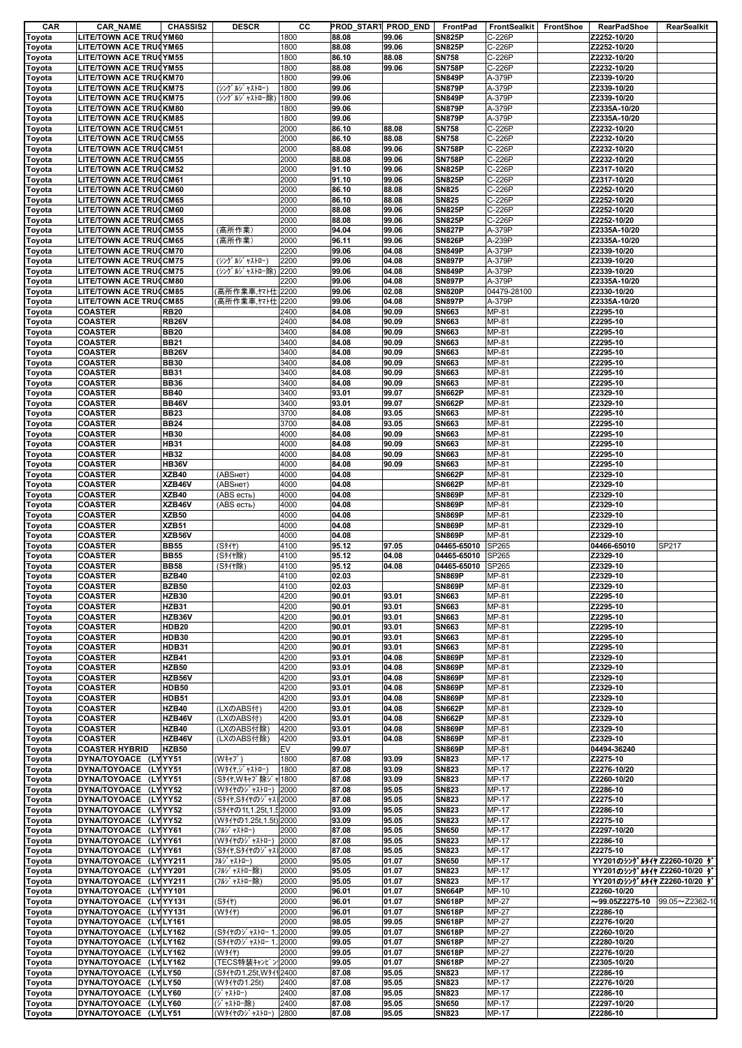| CAR              | <b>CAR_NAME</b>                                                | <b>CHASSIS2</b>              | <b>DESCR</b>                         | cс           | PROD_START PROD_END |                | FrontPad                       | FrontSealkit     | <b>FrontShoe</b> | <b>RearPadShoe</b>                                         | RearSealkit |
|------------------|----------------------------------------------------------------|------------------------------|--------------------------------------|--------------|---------------------|----------------|--------------------------------|------------------|------------------|------------------------------------------------------------|-------------|
| Toyota           | LITE/TOWN ACE TRU(YM60                                         |                              |                                      | 1800         | 88.08               | 99.06          | <b>SN825P</b>                  | C-226P           |                  | Z2252-10/20                                                |             |
| Toyota           | <b>LITE/TOWN ACE TRU(YM65</b>                                  |                              |                                      | 1800         | 88.08               | 99.06          | <b>SN825P</b>                  | C-226P           |                  | Z2252-10/20                                                |             |
| Toyota           | <b>LITE/TOWN ACE TRU(YM55</b>                                  |                              |                                      | 1800         | 86.10               | 88.08          | <b>SN758</b>                   | C-226P           |                  | Z2232-10/20                                                |             |
| Toyota           | <b>LITE/TOWN ACE TRUCYM55</b>                                  |                              |                                      | 1800         | 88.08               | 99.06          | <b>SN758P</b>                  | C-226P           |                  | Z2232-10/20                                                |             |
| Toyota           | LITE/TOWN ACE TRUCKM70                                         |                              |                                      | 1800         | 99.06               |                | <b>SN849P</b>                  | A-379P           |                  | Z2339-10/20                                                |             |
| Toyota           | LITE/TOWN ACE TRU(KM75                                         |                              | (シング ルジ ャストロー)                       | 1800         | 99.06               |                | <b>SN879P</b>                  | A-379P           |                  | Z2339-10/20                                                |             |
| Toyota           | <b>LITE/TOWN ACE TRUCKM75</b><br><b>LITE/TOWN ACE TRUCKM80</b> |                              | (シングルジャストロー除)                        | 1800<br>1800 | 99.06<br>99.06      |                | <b>SN849P</b><br><b>SN879P</b> | A-379P           |                  | Z2339-10/20<br>Z2335A-10/20                                |             |
| Toyota           | <b>LITE/TOWN ACE TRUCKM85</b>                                  |                              |                                      | 1800         | 99.06               |                | <b>SN879P</b>                  | A-379P<br>A-379P |                  | Z2335A-10/20                                               |             |
| Toyota           | <b>LITE/TOWN ACE TRUCCM51</b>                                  |                              |                                      | 2000         | 86.10               | 88.08          | <b>SN758</b>                   | C-226P           |                  | Z2232-10/20                                                |             |
| Toyota<br>Toyota | <b>LITE/TOWN ACE TRUCCM55</b>                                  |                              |                                      | 2000         | 86.10               | 88.08          | <b>SN758</b>                   | C-226P           |                  | Z2232-10/20                                                |             |
| Toyota           | <b>LITE/TOWN ACE TRU(CM51</b>                                  |                              |                                      | 2000         | 88.08               | 99.06          | <b>SN758P</b>                  | C-226P           |                  | Z2232-10/20                                                |             |
| Toyota           | <b>LITE/TOWN ACE TRUCCM55</b>                                  |                              |                                      | 2000         | 88.08               | 99.06          | <b>SN758P</b>                  | C-226P           |                  | Z2232-10/20                                                |             |
| Toyota           | <b>LITE/TOWN ACE TRUCCM52</b>                                  |                              |                                      | 2000         | 91.10               | 99.06          | <b>SN825P</b>                  | C-226P           |                  | Z2317-10/20                                                |             |
| Toyota           | <b>LITE/TOWN ACE TRUCCM61</b>                                  |                              |                                      | 2000         | 91.10               | 99.06          | <b>SN825P</b>                  | C-226P           |                  | Z2317-10/20                                                |             |
| Toyota           | <b>LITE/TOWN ACE TRUCCM60</b>                                  |                              |                                      | 2000         | 86.10               | 88.08          | <b>SN825</b>                   | C-226P           |                  | Z2252-10/20                                                |             |
| Toyota           | <b>LITE/TOWN ACE TRUCCM65</b>                                  |                              |                                      | 2000         | 86.10               | 88.08          | <b>SN825</b>                   | C-226P           |                  | Z2252-10/20                                                |             |
| Toyota           | <b>LITE/TOWN ACE TRUCCM60</b>                                  |                              |                                      | 2000         | 88.08               | 99.06          | <b>SN825P</b>                  | C-226P           |                  | Z2252-10/20                                                |             |
| Toyota           | <b>LITE/TOWN ACE TRUCCM65</b>                                  |                              |                                      | 2000         | 88.08               | 99.06          | <b>SN825P</b>                  | C-226P           |                  | Z2252-10/20                                                |             |
| Toyota           | <b>LITE/TOWN ACE TRUCCM55</b>                                  |                              | (高所作業)                               | 2000         | 94.04               | 99.06          | <b>SN827P</b>                  | A-379P           |                  | Z2335A-10/20                                               |             |
| Toyota           | <b>LITE/TOWN ACE TRUCCM65</b>                                  |                              | (高所作業)                               | 2000         | 96.11               | 99.06          | <b>SN826P</b>                  | A-239P           |                  | Z2335A-10/20                                               |             |
| Toyota           | <b>LITE/TOWN ACE TRUCCM70</b>                                  |                              |                                      | 2200         | 99.06               | 04.08          | <b>SN849P</b>                  | A-379P           |                  | Z2339-10/20                                                |             |
| Toyota           | <b>LITE/TOWN ACE TRUCCM75</b>                                  |                              | (シング ルジ ャストロー)                       | 2200         | 99.06               | 04.08          | <b>SN897P</b>                  | A-379P           |                  | Z2339-10/20                                                |             |
| Toyota           | <b>LITE/TOWN ACE TRU(CM75</b>                                  |                              | (シング ルゾ ャストロー除)                      | 2200         | 99.06               | 04.08          | <b>SN849P</b>                  | A-379P           |                  | Z2339-10/20                                                |             |
| Toyota           | <b>LITE/TOWN ACE TRUCCM80</b>                                  |                              |                                      | 2200         | 99.06               | 04.08          | <b>SN897P</b>                  | A-379P           |                  | Z2335A-10/20                                               |             |
| Toyota           | <b>LITE/TOWN ACE TRUCCM85</b>                                  |                              | (高所作業車,ヤマト仕                          | 2200         | 99.06               | 02.08          | <b>SN820P</b>                  | 04479-28100      |                  | Z2330-10/20                                                |             |
| Toyota           | <b>LITE/TOWN ACE TRUCCM85</b>                                  |                              | (高所作業車,ヤマト仕2200                      |              | 99.06               | 04.08          | <b>SN897P</b>                  | A-379P           |                  | Z2335A-10/20                                               |             |
| Toyota           | <b>COASTER</b>                                                 | <b>RB20</b>                  |                                      | 2400         | 84.08               | 90.09          | SN663                          | MP-81            |                  | Z2295-10                                                   |             |
| Toyota           | <b>COASTER</b>                                                 | <b>RB26V</b>                 |                                      | 2400         | 84.08               | 90.09          | SN663                          | MP-81            |                  | Z2295-10<br>Z2295-10                                       |             |
| Toyota           | <b>COASTER</b>                                                 | <b>BB20</b>                  |                                      | 3400         | 84.08               | 90.09          | SN663                          | MP-81            |                  |                                                            |             |
| Toyota           | <b>COASTER</b><br><b>COASTER</b>                               | <b>BB21</b><br><b>BB26V</b>  |                                      | 3400<br>3400 | 84.08<br>84.08      | 90.09<br>90.09 | SN663<br>SN663                 | MP-81<br>MP-81   |                  | Z2295-10<br>Z2295-10                                       |             |
| Toyota<br>Toyota | <b>COASTER</b>                                                 | <b>BB30</b>                  |                                      | 3400         | 84.08               | 90.09          | SN663                          | MP-81            |                  | Z2295-10                                                   |             |
| Toyota           | <b>COASTER</b>                                                 | <b>BB31</b>                  |                                      | 3400         | 84.08               | 90.09          | SN663                          | MP-81            |                  | Z2295-10                                                   |             |
| Toyota           | <b>COASTER</b>                                                 | <b>BB36</b>                  |                                      | 3400         | 84.08               | 90.09          | SN663                          | MP-81            |                  | Z2295-10                                                   |             |
| Toyota           | <b>COASTER</b>                                                 | <b>BB40</b>                  |                                      | 3400         | 93.01               | 99.07          | <b>SN662P</b>                  | MP-81            |                  | Z2329-10                                                   |             |
| Toyota           | <b>COASTER</b>                                                 | <b>BB46V</b>                 |                                      | 3400         | 93.01               | 99.07          | <b>SN662P</b>                  | MP-81            |                  | Z2329-10                                                   |             |
| Toyota           | <b>COASTER</b>                                                 | <b>BB23</b>                  |                                      | 3700         | 84.08               | 93.05          | SN663                          | MP-81            |                  | Z2295-10                                                   |             |
| Toyota           | <b>COASTER</b>                                                 | <b>BB24</b>                  |                                      | 3700         | 84.08               | 93.05          | SN663                          | MP-81            |                  | Z2295-10                                                   |             |
| Toyota           | <b>COASTER</b>                                                 | <b>HB30</b>                  |                                      | 4000         | 84.08               | 90.09          | SN663                          | MP-81            |                  | Z2295-10                                                   |             |
| Toyota           | <b>COASTER</b>                                                 | <b>HB31</b>                  |                                      | 4000         | 84.08               | 90.09          | SN663                          | MP-81            |                  | Z2295-10                                                   |             |
| Toyota           | <b>COASTER</b>                                                 | <b>HB32</b>                  |                                      | 4000         | 84.08               | 90.09          | SN663                          | MP-81            |                  | Z2295-10                                                   |             |
| Toyota           | <b>COASTER</b>                                                 | <b>HB36V</b>                 |                                      | 4000         | 84.08               | 90.09          | <b>SN663</b>                   | MP-81            |                  | Z2295-10                                                   |             |
| Toyota<br>Toyota | <b>COASTER</b><br><b>COASTER</b>                               | XZB40<br>XZB46V              | (ABSнет)<br>(ABSнет)                 | 4000<br>4000 | 04.08<br>04.08      |                | <b>SN662P</b><br><b>SN662P</b> | MP-81<br>MP-81   |                  | Z2329-10<br>Z2329-10                                       |             |
| Toyota           | <b>COASTER</b>                                                 | XZB40                        | (ABS есть)                           | 4000         | 04.08               |                | <b>SN869P</b>                  | MP-81            |                  | Z2329-10                                                   |             |
| Toyota           | <b>COASTER</b>                                                 | XZB46V                       | (ABS есть)                           | 4000         | 04.08               |                | <b>SN869P</b>                  | MP-81            |                  | Z2329-10                                                   |             |
| Toyota           | <b>COASTER</b>                                                 | XZB50                        |                                      | 4000         | 04.08               |                | <b>SN869P</b>                  | MP-81            |                  | Z2329-10                                                   |             |
| Toyota           | <b>COASTER</b>                                                 | XZB51                        |                                      | 4000         | 04.08               |                | <b>SN869P</b>                  | MP-81            |                  | Z2329-10                                                   |             |
| Toyota           | <b>COASTER</b>                                                 | XZB56V                       |                                      | 4000         | 04.08               |                | <b>SN869P</b>                  | MP-81            |                  | Z2329-10                                                   |             |
| Toyota           | <b>COASTER</b>                                                 | <b>BB55</b>                  | (S917)                               | 4100         | 95.12               | 97.05          | 04465-65010                    | SP265            |                  | 04466-65010                                                | SP217       |
| Toyota           | <b>COASTER</b>                                                 | <b>BB55</b>                  | (Sタイヤ除)                              | 4100         | 95.12               | 04.08          | 04465-65010                    | SP265            |                  | Z2329-10                                                   |             |
| Toyota           | <b>COASTER</b>                                                 | <b>BB58</b>                  | (Sタイヤ除)                              | 4100         | 95.12               | 04.08          | 04465-65010                    | SP265            |                  | Z2329-10                                                   |             |
| Toyota           | <b>COASTER</b>                                                 | <b>BZB40</b><br><b>BZB50</b> |                                      | 4100<br>4100 | 02.03               |                | <b>SN869P</b><br><b>SN869P</b> | MP-81            |                  | Z2329-10                                                   |             |
| Toyota<br>Toyota | <b>COASTER</b><br><b>COASTER</b>                               | <b>HZB30</b>                 |                                      | 4200         | 02.03<br>90.01      | 93.01          | <b>SN663</b>                   | MP-81<br>MP-81   |                  | Z2329-10<br>Z2295-10                                       |             |
| Toyota           | <b>COASTER</b>                                                 | <b>HZB31</b>                 |                                      | 4200         | 90.01               | 93.01          | SN663                          | MP-81            |                  | Z2295-10                                                   |             |
| Toyota           | <b>COASTER</b>                                                 | HZB36V                       |                                      | 4200         | 90.01               | 93.01          | SN663                          | MP-81            |                  | Z2295-10                                                   |             |
| Toyota           | <b>COASTER</b>                                                 | <b>HDB20</b>                 |                                      | 4200         | 90.01               | 93.01          | SN663                          | MP-81            |                  | Z2295-10                                                   |             |
| Toyota           | <b>COASTER</b>                                                 | HDB30                        |                                      | 4200         | 90.01               | 93.01          | SN663                          | MP-81            |                  | Z2295-10                                                   |             |
| Toyota           | <b>COASTER</b>                                                 | HDB31                        |                                      | 4200         | 90.01               | 93.01          | <b>SN663</b>                   | MP-81            |                  | Z2295-10                                                   |             |
| Toyota           | <b>COASTER</b>                                                 | HZB41                        |                                      | 4200         | 93.01               | 04.08          | <b>SN869P</b>                  | MP-81            |                  | Z2329-10                                                   |             |
| Toyota           | <b>COASTER</b>                                                 | <b>HZB50</b>                 |                                      | 4200         | 93.01               | 04.08          | <b>SN869P</b>                  | MP-81            |                  | Z2329-10                                                   |             |
| Toyota           | <b>COASTER</b>                                                 | HZB56V                       |                                      | 4200         | 93.01               | 04.08          | <b>SN869P</b>                  | MP-81            |                  | Z2329-10                                                   |             |
| Toyota           | <b>COASTER</b>                                                 | <b>HDB50</b>                 |                                      | 4200         | 93.01               | 04.08          | <b>SN869P</b>                  | MP-81            |                  | Z2329-10                                                   |             |
| Toyota           | <b>COASTER</b>                                                 | HDB51                        |                                      | 4200         | 93.01               | 04.08          | <b>SN869P</b>                  | MP-81            |                  | Z2329-10                                                   |             |
| Toyota           | <b>COASTER</b><br><b>COASTER</b>                               | <b>HZB40</b><br>HZB46V       | (LXのABS付)<br>(LXのABS付)               | 4200<br>4200 | 93.01<br>93.01      | 04.08<br>04.08 | <b>SN662P</b><br><b>SN662P</b> | MP-81<br>MP-81   |                  | Z2329-10<br>Z2329-10                                       |             |
| Toyota<br>Toyota | <b>COASTER</b>                                                 | <b>HZB40</b>                 | (LXのABS付除)                           | 4200         | 93.01               | 04.08          | <b>SN869P</b>                  | MP-81            |                  | Z2329-10                                                   |             |
| Toyota           | <b>COASTER</b>                                                 | HZB46V                       | (LXのABS付除)                           | 4200         | 93.01               | 04.08          | <b>SN869P</b>                  | MP-81            |                  | Z2329-10                                                   |             |
| Toyota           | <b>COASTER HYBRID</b>                                          | HZB50                        |                                      | EV           | 99.07               |                | <b>SN869P</b>                  | MP-81            |                  | 04494-36240                                                |             |
| Toyota           | DYNA/TOYOACE (LYYY51                                           |                              | (W‡†J*)                              | 1800         | 87.08               | 93.09          | <b>SN823</b>                   | MP-17            |                  | Z2275-10                                                   |             |
| Toyota           |                                                                |                              |                                      |              |                     |                |                                |                  |                  |                                                            |             |
| Toyota           | DYNA/TOYOACE (LY YY51                                          |                              | (W911, ) *** +7.                     | 1800         | 87.08               | 93.09          | SN823                          | MP-17            |                  | Z2276-10/20                                                |             |
|                  | DYNA/TOYOACE (LYYY51                                           |                              | (Sタイヤ,Wキャブ除ジャ                        | 1800         | 87.08               | 93.09          | SN823                          | MP-17            |                  | Z2260-10/20                                                |             |
| Toyota           | DYNA/TOYOACE (LYYY52                                           |                              | (Wタイヤのジャストロー) 2000                   |              | 87.08               | 95.05          | SN823                          | MP-17            |                  | Z2286-10                                                   |             |
| Toyota           | DYNA/TOYOACE (LYYY52                                           |                              | (Sタイヤ,Sタイヤのジャス 2000                  |              | 87.08               | 95.05          | SN823                          | MP-17            |                  | Z2275-10                                                   |             |
| Toyota           | DYNA/TOYOACE (LYYY52                                           |                              | (Sタイヤの1t,1.25t,1.5 2000              |              | 93.09               | 95.05          | SN823                          | MP-17            |                  | Z2286-10                                                   |             |
| Toyota           | DYNA/TOYOACE (LYYY52                                           |                              | (W31+の1.25t, 1.5t) 2000              |              | 93.09               | 95.05          | <b>SN823</b>                   | MP-17            |                  | Z2275-10                                                   |             |
| Toyota           | DYNA/TOYOACE (LY YY61                                          |                              | (フルジャストロー)                           | 2000         | 87.08               | 95.05          | <b>SN650</b>                   | MP-17            |                  | Z2297-10/20                                                |             |
| Toyota           | DYNA/TOYOACE (LY YY61                                          |                              | (Wタイヤのジャストロー)                        | 2000         | 87.08               | 95.05          | SN823                          | MP-17            |                  | Z2286-10                                                   |             |
| Toyota           | DYNA/TOYOACE (LYYY61                                           |                              | (Sタイヤ,Sタイヤのジャス 2000                  |              | 87.08               | 95.05          | SN823                          | MP-17            |                  | Z2275-10                                                   |             |
| Toyota<br>Toyota | DYNA/TOYOACE (LYYY211<br>DYNA/TOYOACE (LY YY201                |                              | フルジ ャストロー)<br>(フルジャストロー除)            | 2000<br>2000 | 95.05<br>95.05      | 01.07<br>01.07 | <b>SN650</b><br>SN823          | MP-17<br>MP-17   |                  | YY201のシングルタイヤ Z2260-10/20 ダ<br>YY201のシングルタイヤ Z2260-10/20 ダ |             |
| Toyota           | DYNA/TOYOACE (LY YY211                                         |                              | (フルジャストロー除)                          | 2000         | 95.05               | 01.07          | SN823                          | MP-17            |                  | YY201のシングルタイヤ Z2260-10/20 ダ                                |             |
| Toyota           | DYNA/TOYOACE (LY YY101                                         |                              |                                      | 2000         | 96.01               | 01.07          | <b>SN664P</b>                  | MP-10            |                  | Z2260-10/20                                                |             |
| Toyota           | DYNA/TOYOACE (LY YY131                                         |                              | (S917)                               | 2000         | 96.01               | 01.07          | <b>SN618P</b>                  | MP-27            |                  | $\sim$ 99.05Z2275-10 99.05~Z2362-10                        |             |
| Toyota           | DYNA/TOYOACE (LY YY131                                         |                              | (W31+)                               | 2000         | 96.01               | 01.07          | <b>SN618P</b>                  | MP-27            |                  | Z2286-10                                                   |             |
| Toyota           | DYNA/TOYOACE (LYLY161                                          |                              |                                      | 2000         | 98.05               | 99.05          | <b>SN618P</b>                  | MP-27            |                  | Z2276-10/20                                                |             |
| Toyota           | DYNA/TOYOACE (LYLY162                                          |                              | (Sタイヤのジャストロー 1.:                     | 2000         | 99.05               | 01.07          | <b>SN618P</b>                  | MP-27            |                  | Z2260-10/20                                                |             |
| Toyota           | DYNA/TOYOACE (LYLY162                                          |                              | (Sタイヤのジャストロー 1. 2000                 |              | 99.05               | 01.07          | <b>SN618P</b>                  | MP-27            |                  | Z2280-10/20                                                |             |
| Toyota           | DYNA/TOYOACE (LYLY162                                          |                              | (W317)                               | 2000         | 99.05               | 01.07          | <b>SN618P</b>                  | MP-27            |                  | Z2276-10/20                                                |             |
| Toyota           | DYNA/TOYOACE (LYLY162                                          |                              | (TECS特装キャンピン/2000                    |              | 99.05<br>87.08      | 01.07<br>95.05 | <b>SN618P</b><br><b>SN823</b>  | MP-27<br>MP-17   |                  | Z2305-10/20                                                |             |
| Toyota           | DYNA/TOYOACE (LYLY50<br>DYNA/TOYOACE (LYLY50                   |                              | (Sタイヤの1.25t,Wタイ12400<br>(Wタイヤの1.25t) | 2400         | 87.08               | 95.05          | <b>SN823</b>                   | MP-17            |                  | Z2286-10<br>Z2276-10/20                                    |             |
| Toyota<br>Toyota | DYNA/TOYOACE (LYLY60                                           |                              | (ジャストロー)                             | 2400         | 87.08               | 95.05          | SN823                          | MP-17            |                  | Z2286-10                                                   |             |
| Toyota           | DYNA/TOYOACE (LYLY60                                           |                              | (ジャストロー除)<br>(W3イヤのジャストロー) 2800      | 2400         | 87.08               | 95.05          | <b>SN650</b>                   | MP-17            |                  | Z2297-10/20<br>Z2286-10                                    |             |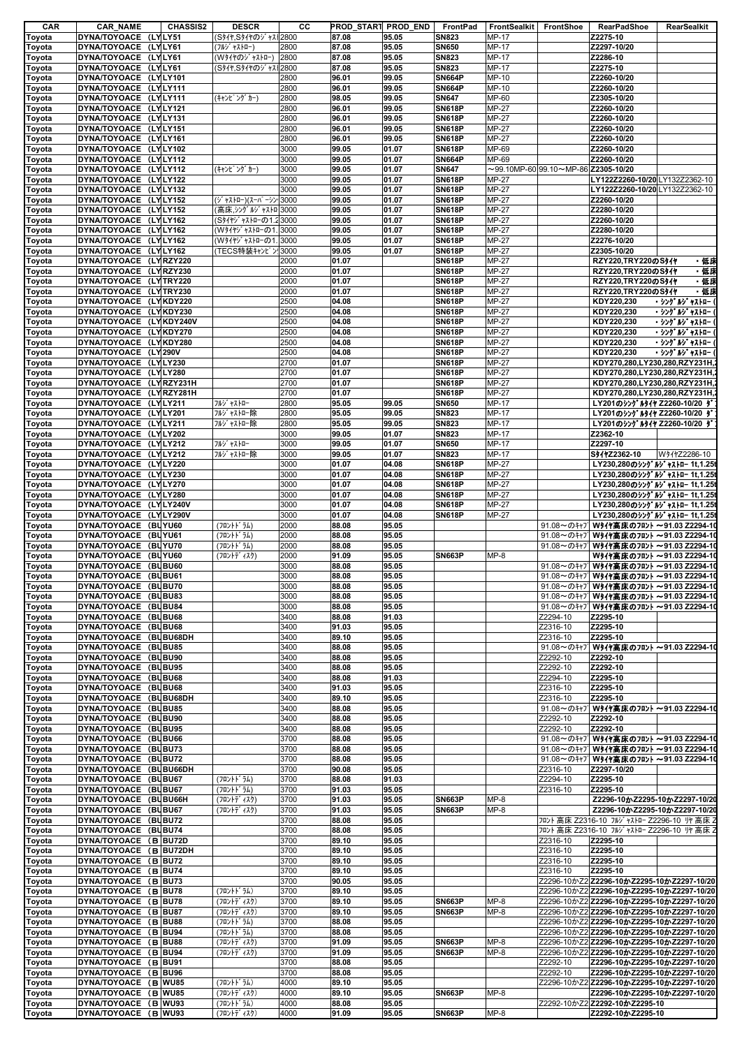| CAR    | <b>CAR_NAME</b>                                | <b>CHASSIS2</b> | <b>DESCR</b>         | cс   | <b>PROD_START PROD_END</b> |                | FrontPad                       | FrontSealkit | FrontShoe                                        | <b>RearPadShoe</b>                                  | RearSealkit    |
|--------|------------------------------------------------|-----------------|----------------------|------|----------------------------|----------------|--------------------------------|--------------|--------------------------------------------------|-----------------------------------------------------|----------------|
| Toyota | DYNA/TOYOACE (LYLY51                           |                 | (S311, S311のジャス 2800 |      | 87.08                      | 95.05          | <b>SN823</b>                   | <b>MP-17</b> |                                                  | Z2275-10                                            |                |
| Toyota | DYNA/TOYOACE (LYLY61                           |                 | (フルジャストロー)           | 2800 | 87.08                      | 95.05          | <b>SN650</b>                   | MP-17        |                                                  | Z2297-10/20                                         |                |
| Toyota | DYNA/TOYOACE (LYLY61                           |                 | (W3イヤのジャストロー) 2800   |      | 87.08                      | 95.05          | <b>SN823</b>                   | MP-17        |                                                  | Z2286-10                                            |                |
| Toyota | DYNA/TOYOACE (LYLY61                           |                 | (Sタイヤ.Sタイヤのジャス 2800  |      | 87.08                      | 95.05          | <b>SN823</b>                   | MP-17        |                                                  | Z2275-10                                            |                |
| Toyota | DYNA/TOYOACE (LYLY101                          |                 |                      | 2800 | 96.01                      | 99.05          | <b>SN664P</b>                  | MP-10        |                                                  | Z2260-10/20                                         |                |
|        | DYNA/TOYOACE (LYLY111                          |                 |                      | 2800 | 96.01                      | 99.05          | <b>SN664P</b>                  | MP-10        |                                                  | Z2260-10/20                                         |                |
| Toyota | DYNA/TOYOACE (LYLY111                          |                 |                      | 2800 | 98.05                      | 99.05          | <b>SN647</b>                   | MP-60        |                                                  | Z2305-10/20                                         |                |
| Toyota | DYNA/TOYOACE (LYLY121                          |                 | (キャンピ ング カー)         | 2800 | 96.01                      |                |                                | MP-27        |                                                  | Z2260-10/20                                         |                |
| Toyota | DYNA/TOYOACE (LYLY131                          |                 |                      | 2800 | 96.01                      | 99.05<br>99.05 | <b>SN618P</b><br><b>SN618P</b> | MP-27        |                                                  | Z2260-10/20                                         |                |
| Toyota |                                                |                 |                      |      |                            |                |                                |              |                                                  |                                                     |                |
| Toyota | DYNA/TOYOACE (LYLY151                          |                 |                      | 2800 | 96.01                      | 99.05          | <b>SN618P</b>                  | MP-27        |                                                  | Z2260-10/20                                         |                |
| Toyota | DYNA/TOYOACE (LYLY161                          |                 |                      | 2800 | 96.01                      | 99.05          | <b>SN618P</b>                  | MP-27        |                                                  | Z2260-10/20                                         |                |
| Toyota | DYNA/TOYOACE (LYLY102                          |                 |                      | 3000 | 99.05                      | 01.07          | <b>SN618P</b>                  | MP-69        |                                                  | Z2260-10/20                                         |                |
| Toyota | DYNA/TOYOACE (LYLY112                          |                 |                      | 3000 | 99.05                      | 01.07          | <b>SN664P</b>                  | MP-69        |                                                  | Z2260-10/20                                         |                |
| Toyota | DYNA/TOYOACE (LYLY112                          |                 | (キャンピ ング カー)         | 3000 | 99.05                      | 01.07          | <b>SN647</b>                   |              | $\sim$ 99.10MP-60 99.10 $\sim$ MP-86 Z2305-10/20 |                                                     |                |
| Toyota | DYNA/TOYOACE (LYLY122                          |                 |                      | 3000 | 99.05                      | 01.07          | <b>SN618P</b>                  | <b>MP-27</b> |                                                  | LY122Z2260-10/20 LY132Z2362-10                      |                |
| Toyota | DYNA/TOYOACE (LYLY132                          |                 |                      | 3000 | 99.05                      | 01.07          | <b>SN618P</b>                  | MP-27        |                                                  | LY122Z2260-10/20 LY132Z2362-10                      |                |
| Toyota | DYNA/TOYOACE (LYLY152                          |                 | (ジャストロー)(スーパーシン・3000 |      | 99.05                      | 01.07          | <b>SN618P</b>                  | MP-27        |                                                  | Z2260-10/20                                         |                |
| Toyota | DYNA/TOYOACE (LYLY152                          |                 | (高床, シングルジャストロ 3000  |      | 99.05                      | 01.07          | <b>SN618P</b>                  | MP-27        |                                                  | Z2280-10/20                                         |                |
| Toyota | DYNA/TOYOACE (LYLY162                          |                 | (Sタイヤジャストローの1.23000  |      | 99.05                      | 01.07          | <b>SN618P</b>                  | MP-27        |                                                  | Z2260-10/20                                         |                |
| Toyota | DYNA/TOYOACE (LYLY162                          |                 | (W タイヤゾ ャストローの1.3000 |      | 99.05                      | 01.07          | <b>SN618P</b>                  | MP-27        |                                                  | Z2280-10/20                                         |                |
| Toyota | DYNA/TOYOACE (LYLY162                          |                 | (W9イヤジャストローの1.       | 3000 | 99.05                      | 01.07          | <b>SN618P</b>                  | <b>MP-27</b> |                                                  | Z2276-10/20                                         |                |
| Toyota | DYNA/TOYOACE (LYLY162                          |                 | (TECS特装キャンピン!3000    |      | 99.05                      | 01.07          | <b>SN618P</b>                  | MP-27        |                                                  | Z2305-10/20                                         |                |
| Toyota | DYNA/TOYOACE (LYRZY220                         |                 |                      | 2000 | 01.07                      |                | <b>SN618P</b>                  | MP-27        |                                                  | RZY220,TRY220のS外々                                   | ・低床            |
| Toyota | DYNA/TOYOACE (LYRZY230                         |                 |                      | 2000 | 01.07                      |                | <b>SN618P</b>                  | MP-27        |                                                  | RZY220,TRY220のS外                                    | ・低床            |
| Toyota | DYNA/TOYOACE (LY TRY220                        |                 |                      | 2000 | 01.07                      |                | <b>SN618P</b>                  | MP-27        |                                                  | RZY220,TRY220のS外化                                   | ・低床            |
| Toyota | DYNA/TOYOACE (LYTRY230                         |                 |                      | 2000 | 01.07                      |                | <b>SN618P</b>                  | MP-27        |                                                  | RZY220,TRY220のSタイヤ                                  | ・低床            |
| Toyota | DYNA/TOYOACE (LYKDY220                         |                 |                      | 2500 | 04.08                      |                | <b>SN618P</b>                  | <b>MP-27</b> |                                                  | KDY220.230                                          | ・シングルジャストロー    |
| Toyota | DYNA/TOYOACE (LYKDY230                         |                 |                      | 2500 | 04.08                      |                | <b>SN618P</b>                  | MP-27        |                                                  | KDY220,230                                          | ・ シング ルジ ャストロー |
| Toyota | DYNA/TOYOACE (LYKDY240V                        |                 |                      | 2500 | 04.08                      |                | <b>SN618P</b>                  | MP-27        |                                                  | KDY220,230                                          | ・ シング ルジ ャストロー |
|        | DYNA/TOYOACE (LYKDY270                         |                 |                      | 2500 | 04.08                      |                | <b>SN618P</b>                  | MP-27        |                                                  | KDY220.230                                          | ・シングルジャストロー    |
| Toyota |                                                |                 |                      | 2500 | 04.08                      |                |                                | MP-27        |                                                  |                                                     |                |
| Toyota | DYNA/TOYOACE (LYKDY280<br>DYNA/TOYOACE (LY290V |                 |                      |      |                            |                | <b>SN618P</b>                  |              |                                                  | KDY220,230                                          | ・シングルジャストロー    |
| Toyota |                                                |                 |                      | 2500 | 04.08                      |                | <b>SN618P</b>                  | MP-27        |                                                  | KDY220,230                                          | ・シングルジャストロー    |
| Toyota | DYNA/TOYOACE (LYLY230                          |                 |                      | 2700 | 01.07                      |                | <b>SN618P</b>                  | MP-27        |                                                  | KDY270,280,LY230,280,RZY231H,2                      |                |
| Toyota | DYNA/TOYOACE (LYLY280                          |                 |                      | 2700 | 01.07                      |                | <b>SN618P</b>                  | MP-27        |                                                  | KDY270,280,LY230,280,RZY231H,                       |                |
| Toyota | DYNA/TOYOACE (LYRZY231H                        |                 |                      | 2700 | 01.07                      |                | <b>SN618P</b>                  | <b>MP-27</b> |                                                  | KDY270,280,LY230,280,RZY231H,                       |                |
| Toyota | DYNA/TOYOACE (LYRZY281H                        |                 |                      | 2700 | 01.07                      |                | <b>SN618P</b>                  | MP-27        |                                                  | KDY270,280,LY230,280,RZY231H,                       |                |
| Toyota | DYNA/TOYOACE (LYLY211                          |                 | フルジ ャストロー            | 2800 | 95.05                      | 99.05          | <b>SN650</b>                   | MP-17        |                                                  | LY201のシングルタイヤ Z2260-10/20 タ                         |                |
| Toyota | DYNA/TOYOACE (LYLY201                          |                 | フルジャストロー除            | 2800 | 95.05                      | 99.05          | <b>SN823</b>                   | MP-17        |                                                  | LY201のシングルタイヤ Z2260-10/20 ダ                         |                |
| Toyota | DYNA/TOYOACE (LYLY211                          |                 | フルジャストロー除            | 2800 | 95.05                      | 99.05          | <b>SN823</b>                   | MP-17        |                                                  | LY201のシングルタイヤ Z2260-10/20 ダ                         |                |
| Toyota | DYNA/TOYOACE (LYLY202                          |                 |                      | 3000 | 99.05                      | 01.07          | <b>SN823</b>                   | MP-17        |                                                  | Z2362-10                                            |                |
| Toyota | DYNA/TOYOACE (LYLY212                          |                 | フルジ ャストロー            | 3000 | 99.05                      | 01.07          | <b>SN650</b>                   | MP-17        |                                                  | Z2297-10                                            |                |
| Toyota | DYNA/TOYOACE (LYLY212                          |                 | フルジャストロー除            | 3000 | 99.05                      | 01.07          | <b>SN823</b>                   | MP-17        |                                                  | S94122362-10                                        | W911Z2286-10   |
| Toyota | DYNA/TOYOACE (LYLY220                          |                 |                      | 3000 | 01.07                      | 04.08          | <b>SN618P</b>                  | MP-27        |                                                  | LY230,280のシングルジャストロー 1t,1.25t                       |                |
| Toyota | DYNA/TOYOACE (LYLY230                          |                 |                      | 3000 | 01.07                      | 04.08          | <b>SN618P</b>                  | MP-27        |                                                  | LY230,280のシングルジャストロー 1t,1.25t                       |                |
| Toyota | DYNA/TOYOACE (LYLY270                          |                 |                      | 3000 | 01.07                      | 04.08          | <b>SN618P</b>                  | MP-27        |                                                  | LY230,280のシングルジャストロー 1t,1.25t                       |                |
| Toyota | DYNA/TOYOACE (LYLY280                          |                 |                      | 3000 | 01.07                      | 04.08          | <b>SN618P</b>                  | MP-27        |                                                  | LY230,280のシングルジャストロー 1t,1.25t                       |                |
| Toyota | DYNA/TOYOACE (LYLY240V                         |                 |                      | 3000 | 01.07                      | 04.08          | <b>SN618P</b>                  | MP-27        |                                                  | LY230,280のシングルジャストロー 1t,1.25t                       |                |
| Toyota | DYNA/TOYOACE (LYLY290V                         |                 |                      | 3000 | 01.07                      | 04.08          | <b>SN618P</b>                  | MP-27        |                                                  | LY230.280のシングルジャストロー 1t,1.25t                       |                |
| Toyota | DYNA/TOYOACE (BUYU60                           |                 | (フロントト・ラム)           | 2000 | 88.08                      | 95.05          |                                |              |                                                  | 91.08~のキャブWタイヤ高床のフロント ~91.03 Z2294-10               |                |
| Toyota | DYNA/TOYOACE (BUYU61                           |                 | (フロントト・ラム)           | 2000 | 88.08                      | 95.05          |                                |              |                                                  | 91.08~のキャブ Wタイヤ高床のフロント ~91.03 Z2294-10              |                |
| Toyota | DYNA/TOYOACE (BUYU70                           |                 | (フロントト゛ラム)           | 2000 | 88.08                      | 95.05          |                                |              |                                                  | 91.08~のキャフ <sup>゙</sup> Wタイヤ高床のフロント ~91.03 Z2294-10 |                |
| Toyota | DYNA/TOYOACE (BUYU60                           |                 | (フロントデ ィスク)          | 2000 | 91.09                      | 95.05          | <b>SN663P</b>                  | $MP-8$       |                                                  | Wタイヤ高床のフロント ~91.03 Z2294-10                         |                |
| Toyota | DYNA/TOYOACE (BUBU60                           |                 |                      | 3000 | 88.08                      | 95.05          |                                |              |                                                  | 91.08~のキャブWタイヤ高床のフロント ~91.03 Z2294-10               |                |
| Toyota | DYNA/TOYOACE (BUBU61                           |                 |                      | 3000 | 88.08                      | 95.05          |                                |              |                                                  | 91.08~のキャフ <sup>1</sup> Wタイヤ高床のフロント ~91.03 Z2294-10 |                |
| Toyota | DYNA/TOYOACE (BUBU70                           |                 |                      | 3000 | 88.08                      | 95.05          |                                |              |                                                  | 91.08~のキャブ Wタイヤ高床のフロント ~91.03 Z2294-10              |                |
| Toyota | DYNA/TOYOACE (BUBU83                           |                 |                      | 3000 | 88.08                      | 95.05          |                                |              |                                                  | 91.08~のキャブ Wタイヤ高床のフロント ~91.03 Z2294-10              |                |
|        | DYNA/TOYOACE (BUBU84                           |                 |                      | 3000 | 88.08                      | 95.05          |                                |              |                                                  | 91.08~のキャフ <sup>1</sup> Wタイヤ高床のフロント ~91.03 Z2294-10 |                |
| Toyota | DYNA/TOYOACE (BUBU68                           |                 |                      | 3400 |                            |                |                                |              |                                                  |                                                     |                |
| Toyota |                                                |                 |                      |      | 88.08                      | 91.03          |                                |              | Z2294-10                                         | Z2295-10                                            |                |
| Toyota | DYNA/TOYOACE (BUBU68                           |                 |                      | 3400 | 91.03                      | 95.05          |                                |              | Z2316-10                                         | Z2295-10                                            |                |
| Toyota | DYNA/TOYOACE (BUBU68DH                         |                 |                      | 3400 | 89.10                      | 95.05          |                                |              | Z2316-10                                         | Z2295-10                                            |                |
| Toyota | DYNA/TOYOACE (BUBU85                           |                 |                      | 3400 | 88.08                      | 95.05          |                                |              |                                                  | 91.08~のキャフ <sup>1</sup> Wタイヤ高床のフロント ~91.03 Z2294-10 |                |
| Toyota | DYNA/TOYOACE (BUBU90                           |                 |                      | 3400 | 88.08                      | 95.05          |                                |              | Z2292-10                                         | Z2292-10                                            |                |
| Toyota | DYNA/TOYOACE (BUBU95                           |                 |                      | 3400 | 88.08                      | 95.05          |                                |              | Z2292-10                                         | Z2292-10                                            |                |
| Toyota | DYNA/TOYOACE (BUBU68                           |                 |                      | 3400 | 88.08                      | 91.03          |                                |              | Z2294-10                                         | Z2295-10                                            |                |
| Toyota | DYNA/TOYOACE (BUBU68                           |                 |                      | 3400 | 91.03                      | 95.05          |                                |              | Z2316-10                                         | Z2295-10                                            |                |
| Toyota | DYNA/TOYOACE (BUBU68DH                         |                 |                      | 3400 | 89.10                      | 95.05          |                                |              | Z2316-10                                         | Z2295-10                                            |                |
| Toyota | DYNA/TOYOACE (BUBU85                           |                 |                      | 3400 | 88.08                      | 95.05          |                                |              |                                                  | 91.08~のキャプ Wタイヤ高床のフロント ~91.03 Z2294-10              |                |
| Toyota | DYNA/TOYOACE (BUBU90                           |                 |                      | 3400 | 88.08                      | 95.05          |                                |              | Z2292-10                                         | Z2292-10                                            |                |
| Toyota | DYNA/TOYOACE (BUBU95                           |                 |                      | 3400 | 88.08                      | 95.05          |                                |              | Z2292-10                                         | Z2292-10                                            |                |
| Toyota | DYNA/TOYOACE (BUBU66                           |                 |                      | 3700 | 88.08                      | 95.05          |                                |              |                                                  | 91.08~のキャフ <sup>1</sup> Wタイヤ高床のフロント ~91.03 Z2294-10 |                |
| Toyota | DYNA/TOYOACE (BUBU73                           |                 |                      | 3700 | 88.08                      | 95.05          |                                |              |                                                  | 91.08~のキャブ Wタイヤ高床のフロント ~91.03 Z2294-10              |                |
| Toyota | DYNA/TOYOACE (BUBU72                           |                 |                      | 3700 | 88.08                      | 95.05          |                                |              |                                                  | 91.08~のキャブ Wタイヤ高床のフロント ~91.03 Z2294-10              |                |
| Toyota | DYNA/TOYOACE (BUBU66DH                         |                 |                      | 3700 | 90.08                      | 95.05          |                                |              | Z2316-10                                         | Z2297-10/20                                         |                |
| Toyota | DYNA/TOYOACE (BUBU67                           |                 | (フロントト・ラム)           | 3700 | 88.08                      | 91.03          |                                |              | Z2294-10                                         | Z2295-10                                            |                |
| Toyota | DYNA/TOYOACE (BUBU67                           |                 | (フロントト・ラム)           | 3700 | 91.03                      | 95.05          |                                |              | Z2316-10                                         | Z2295-10                                            |                |
| Toyota | DYNA/TOYOACE (BUBU66H                          |                 | (フロントデ ィスク)          | 3700 | 91.03                      | 95.05          | <b>SN663P</b>                  | $MP-8$       |                                                  | Z2296-10かZ2295-10かZ2297-10/20                       |                |
| Toyota | DYNA/TOYOACE (BUBU67                           |                 | (フロントデ ィスク)          | 3700 | 91.03                      | 95.05          | <b>SN663P</b>                  | $MP-8$       |                                                  | Z2296-10かZ2295-10かZ2297-10/20                       |                |
|        | DYNA/TOYOACE (BUBU72                           |                 |                      | 3700 | 88.08                      | 95.05          |                                |              |                                                  | フロント 高床 Z2316-10 フルジャストロー Z2296-10 リヤ 高床 Z          |                |
| Toyota | DYNA/TOYOACE (BUBU74                           |                 |                      | 3700 | 88.08                      | 95.05          |                                |              |                                                  | フロント 高床 Z2316-10 フルジャストロー Z2296-10 リヤ 高床 Z          |                |
| Toyota | DYNA/TOYOACE (B BU72D                          |                 |                      | 3700 | 89.10                      |                |                                |              |                                                  |                                                     |                |
| Toyota |                                                |                 |                      |      |                            | 95.05          |                                |              | Z2316-10                                         | Z2295-10                                            |                |
| Toyota | DYNA/TOYOACE (B BU72DH                         |                 |                      | 3700 | 89.10                      | 95.05          |                                |              | Z2316-10                                         | Z2295-10                                            |                |
| Toyota | DYNA/TOYOACE (B BU72                           |                 |                      | 3700 | 89.10                      | 95.05          |                                |              | Z2316-10                                         | Z2295-10                                            |                |
| Toyota | DYNA/TOYOACE (B BU74                           |                 |                      | 3700 | 89.10                      | 95.05          |                                |              | Z2316-10                                         | Z2295-10                                            |                |
| Toyota | DYNA/TOYOACE (B BU73                           |                 |                      | 3700 | 90.05                      | 95.05          |                                |              |                                                  | Z2296-10かZ2 Z2296-10かZ2295-10かZ2297-10/20           |                |
| Toyota | DYNA/TOYOACE (B BU78                           |                 | (フロントドラム)            | 3700 | 89.10                      | 95.05          |                                |              |                                                  | Z2296-10かZ2 Z2296-10かZ2295-10かZ2297-10/20           |                |
| Toyota | DYNA/TOYOACE (B BU78                           |                 | (フロントデ ィスク)          | 3700 | 89.10                      | 95.05          | <b>SN663P</b>                  | $MP-8$       |                                                  | Z2296-10かZ2 Z2296-10かZ2295-10かZ2297-10/20           |                |
| Toyota | DYNA/TOYOACE (B BU87                           |                 | (フロントデ ィスク)          | 3700 | 89.10                      | 95.05          | <b>SN663P</b>                  | $MP-8$       |                                                  | Z2296-10かZ2 Z2296-10かZ2295-10かZ2297-10/20           |                |
| Toyota | DYNA/TOYOACE (B BU88                           |                 | (フロントドラム)            | 3700 | 88.08                      | 95.05          |                                |              |                                                  | Z2296-10かZ2 Z2296-10かZ2295-10かZ2297-10/20           |                |
| Toyota | DYNA/TOYOACE (B BU94                           |                 | (フロントドラム)            | 3700 | 88.08                      | 95.05          |                                |              |                                                  | Z2296-10かZ2 Z2296-10かZ2295-10かZ2297-10/20           |                |
| Toyota | DYNA/TOYOACE (B BU88                           |                 | (フロントデ ィスク)          | 3700 | 91.09                      | 95.05          | <b>SN663P</b>                  | $MP-8$       |                                                  | Z2296-10かZ2 Z2296-10かZ2295-10かZ2297-10/20           |                |
| Toyota | DYNA/TOYOACE (B BU94                           |                 | (フロントデ ィスク)          | 3700 | 91.09                      | 95.05          | <b>SN663P</b>                  | $MP-8$       |                                                  | Z2296-10かZ2 Z2296-10かZ2295-10かZ2297-10/20           |                |
| Toyota | DYNA/TOYOACE (B BU91                           |                 |                      | 3700 | 88.08                      | 95.05          |                                |              | Z2292-10                                         | Z2296-10かZ2295-10かZ2297-10/20                       |                |
| Toyota | DYNA/TOYOACE (B BU96                           |                 |                      | 3700 | 88.08                      | 95.05          |                                |              | Z2292-10                                         | Z2296-10かZ2295-10かZ2297-10/20                       |                |
| Toyota | DYNA/TOYOACE (B WU85                           |                 | (フロントト゛ラム)           | 4000 | 89.10                      | 95.05          |                                |              |                                                  | Z2296-10かZ2 Z2296-10かZ2295-10かZ2297-10/20           |                |
| Toyota | DYNA/TOYOACE (B WU85                           |                 | (フロントディスク)           | 4000 | 89.10                      | 95.05          | <b>SN663P</b>                  | $MP-8$       |                                                  | Z2296-10かZ2295-10かZ2297-10/20                       |                |
| Toyota | DYNA/TOYOACE (B WU93                           |                 | (フロントドラム)            | 4000 | 88.08                      | 95.05          |                                |              |                                                  | Z2292-10かZ2 Z2292-10かZ2295-10                       |                |
| Toyota | DYNA/TOYOACE (B WU93                           |                 | (フロントデ ィスク)          | 4000 | 91.09                      | 95.05          | <b>SN663P</b>                  | $MP-8$       |                                                  | Z2292-10かZ2295-10                                   |                |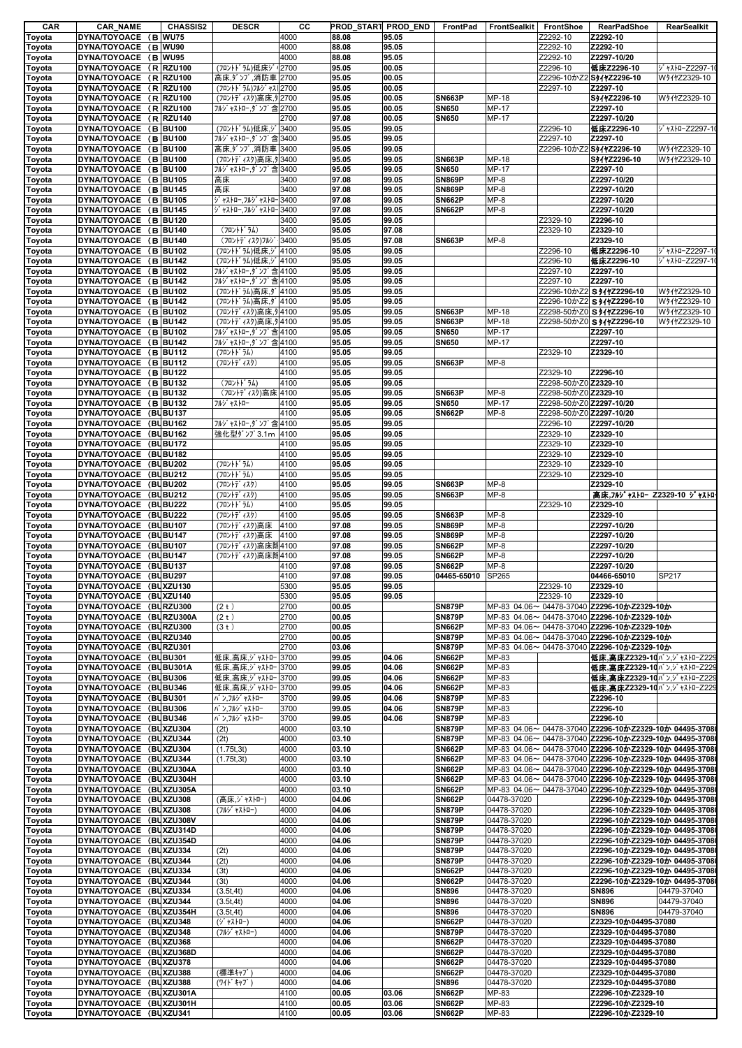| CAR              | <b>CAR_NAME</b>         | <b>CHASSIS2</b> | <b>DESCR</b>          | CС   |       | PROD_START PROD_END | FrontPad      | <b>FrontSealkit</b> | FrontShoe               | <b>RearPadShoe</b>                                      | RearSealkit     |
|------------------|-------------------------|-----------------|-----------------------|------|-------|---------------------|---------------|---------------------|-------------------------|---------------------------------------------------------|-----------------|
| Toyota           | DYNA/TOYOACE (B WU75    |                 |                       | 4000 | 88.08 | 95.05               |               |                     | Z2292-10                | Z2292-10                                                |                 |
| Toyota           | DYNA/TOYOACE (B WU90    |                 |                       | 4000 | 88.08 | 95.05               |               |                     | Z2292-10                | Z2292-10                                                |                 |
| Toyota           | DYNA/TOYOACE (B WU95    |                 |                       | 4000 | 88.08 | 95.05               |               |                     | Z2292-10                | Z2297-10/20                                             |                 |
| Toyota           | DYNA/TOYOACE (R RZU100  |                 | (フロントドラム)低床シ          | 2700 | 95.05 | 00.05               |               |                     | Z2296-10                | 低床Z2296-10                                              | ジ ャストローZ2297-1  |
| Toyota           | DYNA/TOYOACE (R RZU100  |                 | 高床,ダンプ,消防車 2700       |      | 95.05 | 00.05               |               |                     |                         | Z2296-10かZ2 S41ヤZ2296-10                                | W91122329-10    |
| Toyota           | DYNA/TOYOACE (R RZU100  |                 | (フロントト ラム)フルジ ャス 2700 |      | 95.05 | 00.05               |               |                     | Z2297-10                | Z2297-10                                                |                 |
| Toyota           | DYNA/TOYOACE (R RZU100  |                 | (フロントディスク)高床,タ 2700   |      | 95.05 | 00.05               | <b>SN663P</b> | MP-18               |                         | S911Z2296-10                                            | W911Z2329-10    |
| Toyota           | DYNA/TOYOACE (R RZU100  |                 | フルジャストロー,ダンプ含2700     |      | 95.05 | 00.05               | <b>SN650</b>  | MP-17               |                         | Z2297-10                                                |                 |
| Toyota           | DYNA/TOYOACE (R RZU140  |                 |                       | 2700 | 97.08 | 00.05               | <b>SN650</b>  | MP-17               |                         | Z2297-10/20                                             |                 |
| Toyota           | DYNA/TOYOACE (B BU100   |                 | (フロントドラム)低床,ジ         | 3400 | 95.05 | 99.05               |               |                     | Z2296-10                | 低床Z2296-10                                              | ジ ャストローZ2297-10 |
| Toyota           | DYNA/TOYOACE (B BU100   |                 | フルジャストロー,ダンプ含3400     |      | 95.05 | 99.05               |               |                     | Z2297-10                | Z2297-10                                                |                 |
| Toyota           | DYNA/TOYOACE (B BU100   |                 | 高床,ダンプ,消防車 3400       |      | 95.05 | 99.05               |               |                     |                         | Z2296-10かZ2 S41+Z2296-10                                | W911Z2329-10    |
| Toyota           | DYNA/TOYOACE (B BU100   |                 | (フロントディスク)高床.タ 3400   |      | 95.05 | 99.05               | <b>SN663P</b> | MP-18               |                         | S941Z2296-10                                            | W91122329-10    |
| Toyota           | DYNA/TOYOACE (B BU100   |                 | フルジャストロー,ダンプ含3400     |      | 95.05 | 99.05               | <b>SN650</b>  | MP-17               |                         | Z2297-10                                                |                 |
| Toyota           | DYNA/TOYOACE (B BU105   |                 | 高床                    | 3400 | 97.08 | 99.05               | <b>SN869P</b> | $MP-8$              |                         | Z2297-10/20                                             |                 |
| Toyota           | DYNA/TOYOACE (B BU145   |                 | 高床                    | 3400 | 97.08 | 99.05               | <b>SN869P</b> | $MP-8$              |                         | Z2297-10/20                                             |                 |
| Toyota           | DYNA/TOYOACE (B BU105   |                 | ジ ャストロー,フルジ ャストロー3400 |      | 97.08 | 99.05               | <b>SN662P</b> | $MP-8$              |                         | Z2297-10/20                                             |                 |
| Toyota           | DYNA/TOYOACE (B BU145   |                 | ジャストロー,フルジャストロー3400   |      | 97.08 | 99.05               | <b>SN662P</b> | $MP-8$              |                         | Z2297-10/20                                             |                 |
| Toyota           | DYNA/TOYOACE (B BU120   |                 |                       | 3400 | 95.05 | 99.05               |               |                     | Z2329-10                | Z2296-10                                                |                 |
| Toyota           | DYNA/TOYOACE (B BU140   |                 | (フロントト・ラム)            | 3400 | 95.05 | 97.08               |               |                     | Z2329-10                | Z2329-10                                                |                 |
| Toyota           | DYNA/TOYOACE (B BU140   |                 | (フロントデ ィスク)フルシ        | 3400 | 95.05 | 97.08               | <b>SN663P</b> | $MP-8$              |                         | Z2329-10                                                |                 |
| Toyota           | DYNA/TOYOACE (B BU102   |                 | (フロントドラム)低床,ジ 4100    |      | 95.05 | 99.05               |               |                     | Z2296-10                | 低床Z2296-10                                              | ジャストローZ2297-1៲  |
| Toyota           | DYNA/TOYOACE (B BU142   |                 | (フロントドラム)低床,ジ 4100    |      | 95.05 | 99.05               |               |                     | Z2296-10                | 低床Z2296-10                                              | ジャストローZ2297-1   |
| Toyota           | DYNA/TOYOACE (B BU102   |                 | フルジャストロー,ダンプ含 4100    |      | 95.05 | 99.05               |               |                     | Z2297-10                | Z2297-10                                                |                 |
| Toyota           | DYNA/TOYOACE (B BU142   |                 | フルジャストロー,ダンプ含4100     |      | 95.05 | 99.05               |               |                     | Z2297-10                | Z2297-10                                                |                 |
|                  | DYNA/TOYOACE (B BU102   |                 | (フロントドラム)高床,ダ 4100    |      | 95.05 | 99.05               |               |                     | Z2296-10かZ2             | S 94 72296-10                                           | W911Z2329-10    |
| Toyota           | DYNA/TOYOACE (B BU142   |                 | (フロントドラム)高床.ダ 4100    |      | 95.05 |                     |               |                     |                         |                                                         |                 |
| Toyota           |                         |                 |                       |      |       | 99.05               |               |                     |                         | Z2296-10かZ2 S タイヤZ2296-10                               | W91122329-10    |
| Toyota           | DYNA/TOYOACE (B BU102   |                 | (フロントディスク)高床,タ 4100   |      | 95.05 | 99.05               | <b>SN663P</b> | <b>MP-18</b>        |                         | Z2298-50かZ0 S 94 7Z2296-10                              | W91122329-10    |
| Toyota           | DYNA/TOYOACE (B BU142   |                 | (フロントディスク)高床,タ 4100   |      | 95.05 | 99.05               | <b>SN663P</b> | MP-18               |                         | Z2298-50かZ0 S タイヤZ2296-10                               | W911Z2329-10    |
| Toyota           | DYNA/TOYOACE (B BU102   |                 | フルジャストロー.ダンプ含4100     |      | 95.05 | 99.05               | <b>SN650</b>  | MP-17               |                         | Z2297-10                                                |                 |
| Toyota           | DYNA/TOYOACE (B BU142   |                 | フルジャストロー,ダンプ含4100     |      | 95.05 | 99.05               | <b>SN650</b>  | MP-17               |                         | Z2297-10                                                |                 |
| Toyota           | DYNA/TOYOACE (B BU112   |                 | (フロントト・ラム)            | 4100 | 95.05 | 99.05               |               |                     | Z2329-10                | Z2329-10                                                |                 |
| Toyota           | DYNA/TOYOACE (B BU112   |                 | (フロントディスク)            | 4100 | 95.05 | 99.05               | <b>SN663P</b> | $MP-8$              |                         |                                                         |                 |
| Toyota           | DYNA/TOYOACE (B BU122   |                 |                       | 4100 | 95.05 | 99.05               |               |                     | Z2329-10                | Z2296-10                                                |                 |
| Toyota           | DYNA/TOYOACE (B BU132   |                 | (フロントト・ラム)            | 4100 | 95.05 | 99.05               |               |                     | Z2298-50かZ0 Z2329-10    |                                                         |                 |
| Toyota           | DYNA/TOYOACE (B BU132   |                 | (フロントディスク)高床4100      |      | 95.05 | 99.05               | <b>SN663P</b> | $MP-8$              | Z2298-50かZ0 Z2329-10    |                                                         |                 |
| Toyota           | DYNA/TOYOACE (B BU132   |                 | フルジ ャストロー             | 4100 | 95.05 | 99.05               | <b>SN650</b>  | MP-17               | Z2298-50かZ0 Z2297-10/20 |                                                         |                 |
| Toyota           | DYNA/TOYOACE (BUBU137   |                 |                       | 4100 | 95.05 | 99.05               | <b>SN662P</b> | $MP-8$              | Z2298-50かZ0 Z2297-10/20 |                                                         |                 |
| Toyota           | DYNA/TOYOACE (BUBU162   |                 | フルジャストロー,ダンプ含4100     |      | 95.05 | 99.05               |               |                     | Z2296-10                | Z2297-10/20                                             |                 |
| Toyota           | DYNA/TOYOACE (BUBU162   |                 | 強化型ダンプ3.1m 4100       |      | 95.05 | 99.05               |               |                     | Z2329-10                | Z2329-10                                                |                 |
| Toyota           | DYNA/TOYOACE (BUBU172   |                 |                       | 4100 | 95.05 | 99.05               |               |                     | Z2329-10                | Z2329-10                                                |                 |
| Toyota           | DYNA/TOYOACE (BUBU182   |                 |                       | 4100 | 95.05 | 99.05               |               |                     | Z2329-10                | Z2329-10                                                |                 |
| Toyota           | DYNA/TOYOACE (BUBU202   |                 | (フロントト・ラム)            | 4100 | 95.05 | 99.05               |               |                     | Z2329-10                | Z2329-10                                                |                 |
| Toyota           | DYNA/TOYOACE (BUBU212   |                 | (フロントト・ラム)            | 4100 | 95.05 | 99.05               |               |                     | Z2329-10                | Z2329-10                                                |                 |
| Toyota           | DYNA/TOYOACE (BUBU202   |                 | (フロントデ ィスク)           | 4100 | 95.05 | 99.05               | <b>SN663P</b> | $MP-8$              |                         | Z2329-10                                                |                 |
| Toyota           | DYNA/TOYOACE (BUBU212   |                 | (フロントデ ィスク)           | 4100 | 95.05 | 99.05               | <b>SN663P</b> | $MP-8$              |                         | 高床,フルジャストロー Z2329-10 ジャストロ                              |                 |
| Toyota           | DYNA/TOYOACE (BUBU222   |                 | (フロントト・ラム)            | 4100 | 95.05 | 99.05               |               |                     | Z2329-10                | Z2329-10                                                |                 |
| Toyota           | DYNA/TOYOACE (BUBU222   |                 | (フロントディスク)            | 4100 | 95.05 | 99.05               | <b>SN663P</b> | $MP-8$              |                         | Z2329-10                                                |                 |
|                  | DYNA/TOYOACE (BUBU107   |                 |                       | 4100 | 97.08 | 99.05               | <b>SN869P</b> | $MP-8$              |                         | Z2297-10/20                                             |                 |
| Toyota           |                         |                 | (フロントディスク)高床          |      |       |                     |               |                     |                         | Z2297-10/20                                             |                 |
| Toyota           | DYNA/TOYOACE (BUBU147   |                 | (フロントディスク)高床          | 4100 | 97.08 | 99.05               | <b>SN869P</b> | $MP-8$              |                         |                                                         |                 |
| Toyota           | DYNA/TOYOACE (BUBU107   |                 | (フロントディスク)高床隙4100     |      | 97.08 | 99.05               | <b>SN662P</b> | $MP-8$              |                         | Z2297-10/20                                             |                 |
| Toyota           | DYNA/TOYOACE (BUBU147   |                 | (フロントディスク)高床隙4100     |      | 97.08 | 99.05               | <b>SN662P</b> | $MP-8$              |                         | Z2297-10/20                                             |                 |
| Toyota           | DYNA/TOYOACE (BUBU137   |                 |                       | 4100 | 97.08 | 99.05               | <b>SN662P</b> | $MP-8$              |                         | Z2297-10/20                                             |                 |
| Toyota           | DYNA/TOYOACE (BUBU297   |                 |                       | 4100 | 97.08 | 99.05               | 04465-65010   | <b>SP265</b>        |                         | 04466-65010                                             | SP217           |
| Toyota           | DYNA/TOYOACE (BUXZU130  |                 |                       | 5300 | 95.05 | 99.05               |               |                     | Z2329-10                | Z2329-10                                                |                 |
| Toyota           | DYNA/TOYOACE (BUXZU140  |                 |                       | 5300 | 95.05 | 99.05               |               |                     | Z2329-10                | Z2329-10                                                |                 |
| Toyota           | DYNA/TOYOACE (BURZU300  |                 | (2 t)                 | 2700 | 00.05 |                     | <b>SN879P</b> |                     |                         | MP-83 04.06~ 04478-37040 Z2296-10かZ2329-10か             |                 |
| Toyota           | DYNA/TOYOACE (BURZU300A |                 | (2 t)                 | 2700 | 00.05 |                     | <b>SN879P</b> |                     |                         | MP-83 04.06~ 04478-37040 Z2296-10かZ2329-10か             |                 |
| Toyota           | DYNA/TOYOACE (BURZU300  |                 | (3t)                  | 2700 | 00.05 |                     | <b>SN662P</b> |                     |                         | MP-83 04.06~ 04478-37040 Z2296-10かZ2329-10か             |                 |
| Toyota           | DYNA/TOYOACE (BURZU340  |                 |                       | 2700 | 00.05 |                     | <b>SN879P</b> |                     |                         | MP-83 04.06~ 04478-37040 Z2296-10かZ2329-10か             |                 |
| Toyota           | DYNA/TOYOACE (BURZU301  |                 |                       | 2700 | 03.06 |                     | <b>SN879P</b> |                     |                         | MP-83 04.06~ 04478-37040 Z2296-10かZ2329-10か             |                 |
| Toyota           | DYNA/TOYOACE (BUBU301   |                 | 低床,高床、ジャストロー 3700     |      | 99.05 | 04.06               | <b>SN662P</b> | MP-83               |                         | 低床,高床Z2329-10 n ), y +xhn-Z229                          |                 |
| Toyota           | DYNA/TOYOACE (BUBU301A  |                 | 低床,高床,ジャストロー 3700     |      | 99.05 | 04.06               | <b>SN662P</b> | MP-83               |                         | 低床,高床Z2329-10 n ン, ジャストローZ229                           |                 |
| Toyota           | DYNA/TOYOACE (BUBU306   |                 | 低床,高床,ジャストロー 3700     |      | 99.05 | 04.06               | <b>SN662P</b> | MP-83               |                         | 低床,高床Z2329-10 バン,ジャストローZ229                             |                 |
| Toyota           | DYNA/TOYOACE (BUBU346   |                 | 低床,高床,ジャストロー          | 3700 | 99.05 | 04.06               | <b>SN662P</b> | MP-83               |                         | 低床,高床Z2329-10 バン,ジャストローZ229                             |                 |
| Toyota           | DYNA/TOYOACE (BUBU301   |                 | バ ン,フルジ ャストロー         | 3700 | 99.05 | 04.06               | <b>SN879P</b> | MP-83               |                         | Z2296-10                                                |                 |
| Toyota           | DYNA/TOYOACE (BUBU306   |                 | バ ン,フルジ ャストロー         | 3700 | 99.05 | 04.06               | <b>SN879P</b> | MP-83               |                         | Z2296-10                                                |                 |
| Toyota           | DYNA/TOYOACE (BUBU346   |                 | バ ン,フルジ ャストロー         | 3700 | 99.05 | 04.06               | <b>SN879P</b> | MP-83               |                         | Z2296-10                                                |                 |
| Toyota           | DYNA/TOYOACE (BUXZU304  |                 | (2t)                  | 4000 | 03.10 |                     | <b>SN879P</b> |                     |                         | MP-83 04.06~ 04478-37040 Z2296-10かZ2329-10か 04495-3708  |                 |
| Toyota           | DYNA/TOYOACE (BUXZU344  |                 | (2t)                  | 4000 | 03.10 |                     | <b>SN879P</b> |                     |                         | MP-83 04.06~ 04478-37040 Z2296-10かZ2329-10か 04495-37080 |                 |
| Toyota           | DYNA/TOYOACE (BUXZU304  |                 | (1.75t, 3t)           | 4000 | 03.10 |                     | <b>SN662P</b> |                     |                         | MP-83 04.06~ 04478-37040 Z2296-10かZ2329-10か 04495-37080 |                 |
| Toyota           | DYNA/TOYOACE (BUXZU344  |                 | (1.75t, 3t)           | 4000 | 03.10 |                     | <b>SN662P</b> |                     |                         | MP-83 04.06~ 04478-37040 Z2296-10かZ2329-10か 04495-37080 |                 |
| Toyota           | DYNA/TOYOACE (BUXZU304A |                 |                       | 4000 | 03.10 |                     | <b>SN662P</b> |                     |                         | MP-83 04.06~ 04478-37040 Z2296-10かZ2329-10か 04495-3708  |                 |
| Toyota           | DYNA/TOYOACE (BUXZU304H |                 |                       | 4000 | 03.10 |                     | <b>SN662P</b> |                     |                         | MP-83 04.06~ 04478-37040 Z2296-10かZ2329-10か 04495-3708  |                 |
| Toyota           | DYNA/TOYOACE (BUXZU305A |                 |                       | 4000 | 03.10 |                     | <b>SN662P</b> |                     |                         | MP-83 04.06~ 04478-37040 Z2296-10かZ2329-10か 04495-3708  |                 |
| Toyota           | DYNA/TOYOACE (BUXZU308  |                 | (高床, ジャストロー)          | 4000 | 04.06 |                     | <b>SN662P</b> | 04478-37020         |                         | Z2296-10かZ2329-10か 04495-3708                           |                 |
| Toyota           | DYNA/TOYOACE (BUXZU308  |                 | (フルジャストロー)            | 4000 | 04.06 |                     | <b>SN879P</b> | 04478-37020         |                         | Z2296-10かZ2329-10か 04495-37080                          |                 |
| Toyota           | DYNA/TOYOACE (BUXZU308V |                 |                       | 4000 | 04.06 |                     | <b>SN879P</b> | 04478-37020         |                         | Z2296-10かZ2329-10か 04495-37080                          |                 |
| Toyota           | DYNA/TOYOACE (BUXZU314D |                 |                       | 4000 | 04.06 |                     | <b>SN879P</b> | 04478-37020         |                         | Z2296-10かZ2329-10か 04495-3708                           |                 |
| Toyota           | DYNA/TOYOACE (BUXZU354D |                 |                       | 4000 | 04.06 |                     | <b>SN879P</b> | 04478-37020         |                         | Z2296-10かZ2329-10か 04495-3708                           |                 |
| Toyota           | DYNA/TOYOACE (BUXZU334  |                 | (2t)                  | 4000 | 04.06 |                     | <b>SN879P</b> | 04478-37020         |                         | Z2296-10かZ2329-10か 04495-37080                          |                 |
|                  | DYNA/TOYOACE (BUXZU344  |                 | (2t)                  | 4000 | 04.06 |                     | <b>SN879P</b> | 04478-37020         |                         | Z2296-10かZ2329-10か 04495-3708                           |                 |
| Toyota           | DYNA/TOYOACE (BUXZU334  |                 | (3t)                  | 4000 | 04.06 |                     | <b>SN662P</b> | 04478-37020         |                         | Z2296-10かZ2329-10か 04495-3708                           |                 |
| Toyota           |                         |                 |                       |      |       |                     |               |                     |                         | Z2296-10かZ2329-10か 04495-37080                          |                 |
| Toyota           | DYNA/TOYOACE (BUXZU344  |                 | (3t)                  | 4000 | 04.06 |                     | <b>SN662P</b> | 04478-37020         |                         |                                                         |                 |
| Toyota           | DYNA/TOYOACE (BUXZU334  |                 | (3.5t, 4t)            | 4000 | 04.06 |                     | <b>SN896</b>  | 04478-37020         |                         | <b>SN896</b>                                            | 04479-37040     |
| Toyota           | DYNA/TOYOACE (BUXZU344  |                 | (3.5t, 4t)            | 4000 | 04.06 |                     | <b>SN896</b>  | 04478-37020         |                         | <b>SN896</b>                                            | 04479-37040     |
| Toyota           | DYNA/TOYOACE (BUXZU354H |                 | (3.5t, 4t)            | 4000 | 04.06 |                     | <b>SN896</b>  | 04478-37020         |                         | <b>SN896</b>                                            | 04479-37040     |
| Toyota           | DYNA/TOYOACE (BUXZU348  |                 | (ジャストロー)              | 4000 | 04.06 |                     | <b>SN662P</b> | 04478-37020         |                         | Z2329-10か04495-37080                                    |                 |
|                  |                         |                 | (フルジャストロー)            | 4000 | 04.06 |                     | <b>SN879P</b> | 04478-37020         |                         | Z2329-10か04495-37080                                    |                 |
|                  | DYNA/TOYOACE (BUXZU348  |                 |                       | 4000 | 04.06 |                     | <b>SN662P</b> | 04478-37020         |                         | Z2329-10か04495-37080                                    |                 |
| Toyota<br>Toyota | DYNA/TOYOACE (BUXZU368  |                 |                       |      |       |                     |               |                     |                         |                                                         |                 |
| Toyota           | DYNA/TOYOACE (BUXZU368D |                 |                       | 4000 | 04.06 |                     | <b>SN662P</b> | 04478-37020         |                         | Z2329-10か04495-37080                                    |                 |
| Toyota           | DYNA/TOYOACE (BUXZU378  |                 |                       | 4000 | 04.06 |                     | <b>SN662P</b> | 04478-37020         |                         | Z2329-10か04495-37080                                    |                 |
| Toyota           | DYNA/TOYOACE (BUXZU388  |                 | (標準キャブ)               | 4000 | 04.06 |                     | <b>SN662P</b> | 04478-37020         |                         | Z2329-10か04495-37080                                    |                 |
|                  | DYNA/TOYOACE (BUXZU388  |                 | (ワイト゛キャブ゜)            | 4000 | 04.06 |                     | <b>SN896</b>  | 04478-37020         |                         | Z2329-10か04495-37080                                    |                 |
| Toyota<br>Toyota | DYNA/TOYOACE (BUXZU301A |                 |                       | 4100 | 00.05 | 03.06               | <b>SN662P</b> | MP-83               |                         | Z2296-10かZ2329-10                                       |                 |
| Toyota           | DYNA/TOYOACE (BUXZU301H |                 |                       | 4100 | 00.05 | 03.06               | <b>SN662P</b> | MP-83               |                         | Z2296-10かZ2329-10                                       |                 |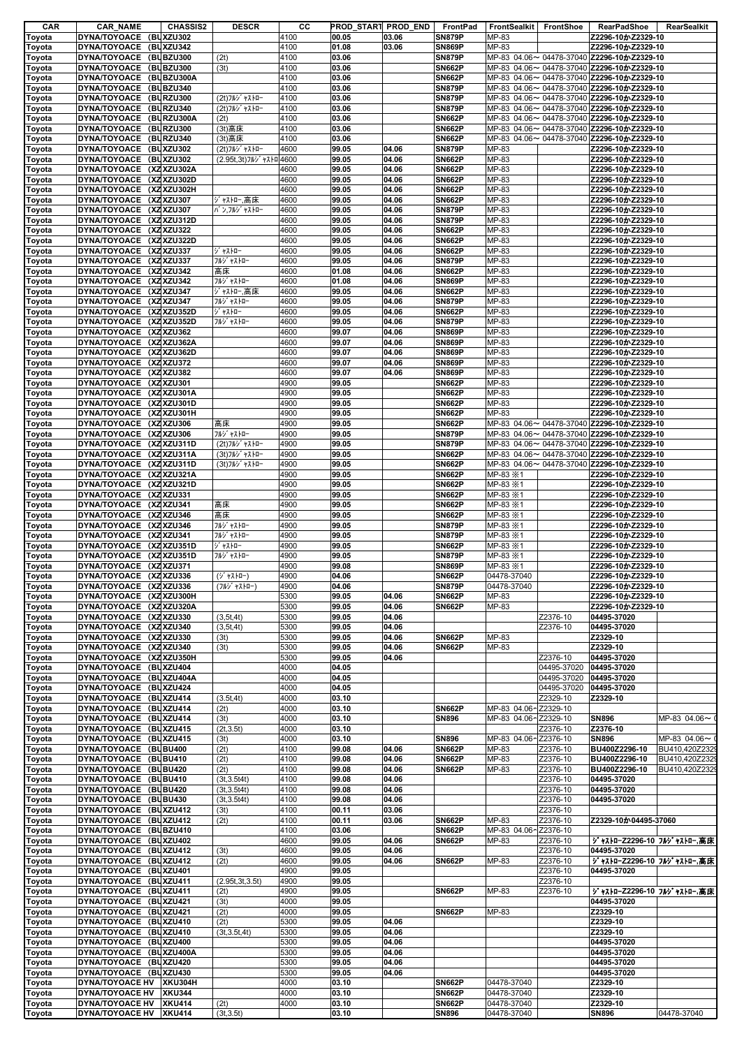| DYNA/TOYOACE (BUXZU302<br>4100<br>00.05<br>03.06<br><b>SN879P</b><br>MP-83<br>Toyota<br>DYNA/TOYOACE (BUXZU342<br>4100<br>01.08<br><b>SN869P</b><br>MP-83<br>03.06<br>Toyota<br><b>SN879P</b><br>DYNA/TOYOACE (BUBZU300<br>(2t)<br>4100<br>03.06<br>Toyota<br>DYNA/TOYOACE (BUBZU300<br>4100<br>03.06<br><b>SN662P</b><br>(3t)<br>Toyota<br>DYNA/TOYOACE (BUBZU300A<br>4100<br><b>SN662P</b><br>03.06<br>Toyota<br>DYNA/TOYOACE (BUBZU340<br>4100<br>03.06<br><b>SN879P</b><br>Toyota<br>DYNA/TOYOACE (BURZU300<br>4100<br><b>SN879P</b><br>(2t)フルジャストロー<br>03.06<br>Toyota<br>DYNA/TOYOACE (BURZU340<br>4100<br><b>SN879P</b><br>(2t)フルジ ャストロー<br>03.06<br>Toyota<br>4100<br><b>SN662P</b><br>DYNA/TOYOACE (BURZU300A<br>03.06<br>Toyota<br>(2t)<br>DYNA/TOYOACE (BURZU300<br>4100<br>03.06<br><b>SN662P</b><br>(3t) 高床<br>Toyota<br>DYNA/TOYOACE (BURZU340<br><b>SN662P</b><br>(3t)高床<br>4100<br>03.06<br>Toyota<br><b>SN879P</b><br>DYNA/TOYOACE (BUXZU302<br>(2t)フルジ ャストロー<br>4600<br>99.05<br>04.06<br>MP-83<br>Toyota | Z2296-10かZ2329-10<br>Z2296-10かZ2329-10<br>MP-83 04.06~ 04478-37040 Z2296-10かZ2329-10<br>MP-83 04.06~ 04478-37040 Z2296-10かZ2329-10<br>MP-83 04.06~ 04478-37040 Z2296-10かZ2329-10<br>MP-83 04.06~ 04478-37040 Z2296-10かZ2329-10<br>MP-83 04.06~ 04478-37040 Z2296-10かZ2329-10<br>MP-83 04.06~ 04478-37040 Z2296-10かZ2329-10<br>MP-83 04.06~ 04478-37040 Z2296-10かZ2329-10 |
|-----------------------------------------------------------------------------------------------------------------------------------------------------------------------------------------------------------------------------------------------------------------------------------------------------------------------------------------------------------------------------------------------------------------------------------------------------------------------------------------------------------------------------------------------------------------------------------------------------------------------------------------------------------------------------------------------------------------------------------------------------------------------------------------------------------------------------------------------------------------------------------------------------------------------------------------------------------------------------------------------------------------------------|--------------------------------------------------------------------------------------------------------------------------------------------------------------------------------------------------------------------------------------------------------------------------------------------------------------------------------------------------------------------------|
|                                                                                                                                                                                                                                                                                                                                                                                                                                                                                                                                                                                                                                                                                                                                                                                                                                                                                                                                                                                                                             |                                                                                                                                                                                                                                                                                                                                                                          |
|                                                                                                                                                                                                                                                                                                                                                                                                                                                                                                                                                                                                                                                                                                                                                                                                                                                                                                                                                                                                                             |                                                                                                                                                                                                                                                                                                                                                                          |
|                                                                                                                                                                                                                                                                                                                                                                                                                                                                                                                                                                                                                                                                                                                                                                                                                                                                                                                                                                                                                             |                                                                                                                                                                                                                                                                                                                                                                          |
|                                                                                                                                                                                                                                                                                                                                                                                                                                                                                                                                                                                                                                                                                                                                                                                                                                                                                                                                                                                                                             |                                                                                                                                                                                                                                                                                                                                                                          |
|                                                                                                                                                                                                                                                                                                                                                                                                                                                                                                                                                                                                                                                                                                                                                                                                                                                                                                                                                                                                                             |                                                                                                                                                                                                                                                                                                                                                                          |
|                                                                                                                                                                                                                                                                                                                                                                                                                                                                                                                                                                                                                                                                                                                                                                                                                                                                                                                                                                                                                             |                                                                                                                                                                                                                                                                                                                                                                          |
|                                                                                                                                                                                                                                                                                                                                                                                                                                                                                                                                                                                                                                                                                                                                                                                                                                                                                                                                                                                                                             |                                                                                                                                                                                                                                                                                                                                                                          |
|                                                                                                                                                                                                                                                                                                                                                                                                                                                                                                                                                                                                                                                                                                                                                                                                                                                                                                                                                                                                                             |                                                                                                                                                                                                                                                                                                                                                                          |
|                                                                                                                                                                                                                                                                                                                                                                                                                                                                                                                                                                                                                                                                                                                                                                                                                                                                                                                                                                                                                             | MP-83 04.06~ 04478-37040 Z2296-10かZ2329-10                                                                                                                                                                                                                                                                                                                               |
|                                                                                                                                                                                                                                                                                                                                                                                                                                                                                                                                                                                                                                                                                                                                                                                                                                                                                                                                                                                                                             | MP-83 04.06~ 04478-37040 Z2296-10かZ2329-10                                                                                                                                                                                                                                                                                                                               |
|                                                                                                                                                                                                                                                                                                                                                                                                                                                                                                                                                                                                                                                                                                                                                                                                                                                                                                                                                                                                                             | Z2296-10かZ2329-10                                                                                                                                                                                                                                                                                                                                                        |
| DYNA/TOYOACE (BUXZU302<br>(2.95t, 3t) フルジ ャストロ 4600<br>99.05<br>04.06<br><b>SN662P</b><br>MP-83<br>Toyota                                                                                                                                                                                                                                                                                                                                                                                                                                                                                                                                                                                                                                                                                                                                                                                                                                                                                                                   | Z2296-10かZ2329-10                                                                                                                                                                                                                                                                                                                                                        |
| DYNA/TOYOACE (XZXZU302A<br><b>SN662P</b><br>4600<br>99.05<br>04.06<br>MP-83<br>Toyota                                                                                                                                                                                                                                                                                                                                                                                                                                                                                                                                                                                                                                                                                                                                                                                                                                                                                                                                       | Z2296-10かZ2329-10                                                                                                                                                                                                                                                                                                                                                        |
| DYNA/TOYOACE (XZXZU302D<br>4600<br>99.05<br><b>SN662P</b><br>MP-83<br>04.06<br>Toyota                                                                                                                                                                                                                                                                                                                                                                                                                                                                                                                                                                                                                                                                                                                                                                                                                                                                                                                                       | Z2296-10かZ2329-10                                                                                                                                                                                                                                                                                                                                                        |
| DYNA/TOYOACE (XZXZU302H<br>4600<br><b>SN662P</b><br>99.05<br>04.06<br>MP-83<br>Toyota                                                                                                                                                                                                                                                                                                                                                                                                                                                                                                                                                                                                                                                                                                                                                                                                                                                                                                                                       | Z2296-10かZ2329-10                                                                                                                                                                                                                                                                                                                                                        |
| DYNA/TOYOACE (XZXZU307<br>ジャストロー,高床<br>4600<br>99.05<br>04.06<br><b>SN662P</b><br>MP-83<br>Toyota                                                                                                                                                                                                                                                                                                                                                                                                                                                                                                                                                                                                                                                                                                                                                                                                                                                                                                                           | Z2296-10かZ2329-10                                                                                                                                                                                                                                                                                                                                                        |
| DYNA/TOYOACE (XZXZU307<br>4600<br>バ ン,フルジ ャストロー<br>99.05<br>04.06<br><b>SN879P</b><br>MP-83<br>Toyota<br>DYNA/TOYOACE (XZXZU312D<br>4600<br><b>SN879P</b><br>99.05                                                                                                                                                                                                                                                                                                                                                                                                                                                                                                                                                                                                                                                                                                                                                                                                                                                          | Z2296-10かZ2329-10                                                                                                                                                                                                                                                                                                                                                        |
| 04.06<br>MP-83<br>Toyota<br>DYNA/TOYOACE (XZXZU322<br>4600<br>99.05<br><b>SN662P</b><br>MP-83<br>04.06<br>Toyota                                                                                                                                                                                                                                                                                                                                                                                                                                                                                                                                                                                                                                                                                                                                                                                                                                                                                                            | Z2296-10かZ2329-10<br>Z2296-10かZ2329-10                                                                                                                                                                                                                                                                                                                                   |
| DYNA/TOYOACE (XZXZU322D<br>4600<br><b>SN662P</b><br>99.05<br>04.06<br>MP-83<br>Toyota                                                                                                                                                                                                                                                                                                                                                                                                                                                                                                                                                                                                                                                                                                                                                                                                                                                                                                                                       | Z2296-10かZ2329-10                                                                                                                                                                                                                                                                                                                                                        |
| DYNA/TOYOACE (XZXZU337<br>ジャストロー<br>4600<br><b>SN662P</b><br>MP-83<br>99.05<br>04.06<br>Toyota                                                                                                                                                                                                                                                                                                                                                                                                                                                                                                                                                                                                                                                                                                                                                                                                                                                                                                                              | Z2296-10かZ2329-10                                                                                                                                                                                                                                                                                                                                                        |
| DYNA/TOYOACE (XZXZU337<br>フルジ ャストロー<br>4600<br><b>SN879P</b><br>99.05<br>04.06<br>MP-83<br>Toyota                                                                                                                                                                                                                                                                                                                                                                                                                                                                                                                                                                                                                                                                                                                                                                                                                                                                                                                           | Z2296-10かZ2329-10                                                                                                                                                                                                                                                                                                                                                        |
| DYNA/TOYOACE (XZXZU342<br>4600<br><b>SN662P</b><br>高床<br>01.08<br>04.06<br>MP-83<br>Toyota                                                                                                                                                                                                                                                                                                                                                                                                                                                                                                                                                                                                                                                                                                                                                                                                                                                                                                                                  | Z2296-10かZ2329-10                                                                                                                                                                                                                                                                                                                                                        |
| フルジ ャストロー<br>4600<br><b>SN869P</b><br>DYNA/TOYOACE (XZXZU342<br>01.08<br>04.06<br>MP-83<br>Toyota                                                                                                                                                                                                                                                                                                                                                                                                                                                                                                                                                                                                                                                                                                                                                                                                                                                                                                                           | Z2296-10かZ2329-10                                                                                                                                                                                                                                                                                                                                                        |
| DYNA/TOYOACE (XZXZU347<br>ジャストロー,高床<br><b>SN662P</b><br>MP-83<br>4600<br>99.05<br>04.06<br>Toyota                                                                                                                                                                                                                                                                                                                                                                                                                                                                                                                                                                                                                                                                                                                                                                                                                                                                                                                           | Z2296-10かZ2329-10                                                                                                                                                                                                                                                                                                                                                        |
| DYNA/TOYOACE (XZXZU347<br>4600<br><b>SN879P</b><br>MP-83<br>フルジ ャストロー<br>99.05<br>04.06<br>Toyota                                                                                                                                                                                                                                                                                                                                                                                                                                                                                                                                                                                                                                                                                                                                                                                                                                                                                                                           | Z2296-10かZ2329-10                                                                                                                                                                                                                                                                                                                                                        |
| <b>SN662P</b><br>DYNA/TOYOACE (XZXZU352D<br>ジャストロー<br>4600<br>99.05<br>04.06<br>MP-83<br>Toyota                                                                                                                                                                                                                                                                                                                                                                                                                                                                                                                                                                                                                                                                                                                                                                                                                                                                                                                             | Z2296-10かZ2329-10                                                                                                                                                                                                                                                                                                                                                        |
| DYNA/TOYOACE (XZXZU352D<br>4600<br><b>SN879P</b><br>MP-83<br>フルジ ャストロー<br>99.05<br>04.06<br>Toyota                                                                                                                                                                                                                                                                                                                                                                                                                                                                                                                                                                                                                                                                                                                                                                                                                                                                                                                          | Z2296-10かZ2329-10                                                                                                                                                                                                                                                                                                                                                        |
| DYNA/TOYOACE (XZXZU362<br>4600<br><b>SN869P</b><br>99.07<br>04.06<br>MP-83<br>Toyota                                                                                                                                                                                                                                                                                                                                                                                                                                                                                                                                                                                                                                                                                                                                                                                                                                                                                                                                        | Z2296-10かZ2329-10                                                                                                                                                                                                                                                                                                                                                        |
| DYNA/TOYOACE (XZXZU362A<br>4600<br>99.07<br>04.06<br><b>SN869P</b><br>MP-83<br>Toyota                                                                                                                                                                                                                                                                                                                                                                                                                                                                                                                                                                                                                                                                                                                                                                                                                                                                                                                                       | Z2296-10かZ2329-10                                                                                                                                                                                                                                                                                                                                                        |
| DYNA/TOYOACE (XZXZU362D<br>4600<br><b>SN869P</b><br>MP-83<br>99.07<br>04.06<br>Toyota                                                                                                                                                                                                                                                                                                                                                                                                                                                                                                                                                                                                                                                                                                                                                                                                                                                                                                                                       | Z2296-10かZ2329-10                                                                                                                                                                                                                                                                                                                                                        |
| DYNA/TOYOACE (XZXZU372<br>4600<br>MP-83<br>99.07<br>04.06<br><b>SN869P</b><br>Toyota                                                                                                                                                                                                                                                                                                                                                                                                                                                                                                                                                                                                                                                                                                                                                                                                                                                                                                                                        | Z2296-10かZ2329-10                                                                                                                                                                                                                                                                                                                                                        |
| DYNA/TOYOACE (XZXZU382<br>4600<br>99.07<br><b>SN869P</b><br>MP-83<br>04.06<br>Toyota                                                                                                                                                                                                                                                                                                                                                                                                                                                                                                                                                                                                                                                                                                                                                                                                                                                                                                                                        | Z2296-10かZ2329-10                                                                                                                                                                                                                                                                                                                                                        |
| DYNA/TOYOACE (XZXZU301<br>4900<br>99.05<br><b>SN662P</b><br>MP-83<br>Toyota                                                                                                                                                                                                                                                                                                                                                                                                                                                                                                                                                                                                                                                                                                                                                                                                                                                                                                                                                 | Z2296-10かZ2329-10                                                                                                                                                                                                                                                                                                                                                        |
| DYNA/TOYOACE (XZXZU301A<br>4900<br><b>SN662P</b><br>99.05<br>MP-83<br>Toyota<br><b>SN662P</b><br>DYNA/TOYOACE (XZXZU301D<br>4900<br>99.05<br>MP-83                                                                                                                                                                                                                                                                                                                                                                                                                                                                                                                                                                                                                                                                                                                                                                                                                                                                          | Z2296-10かZ2329-10<br>Z2296-10かZ2329-10                                                                                                                                                                                                                                                                                                                                   |
| Toyota<br>DYNA/TOYOACE (XZXZU301H<br>4900<br>99.05<br><b>SN662P</b><br>MP-83<br>Toyota                                                                                                                                                                                                                                                                                                                                                                                                                                                                                                                                                                                                                                                                                                                                                                                                                                                                                                                                      | Z2296-10かZ2329-10                                                                                                                                                                                                                                                                                                                                                        |
| DYNA/TOYOACE (XZXZU306<br>4900<br><b>SN662P</b><br>高床<br>99.05<br>Toyota                                                                                                                                                                                                                                                                                                                                                                                                                                                                                                                                                                                                                                                                                                                                                                                                                                                                                                                                                    | MP-83 04.06~ 04478-37040 Z2296-10かZ2329-10                                                                                                                                                                                                                                                                                                                               |
| DYNA/TOYOACE (XZXZU306<br>フルジ ャストロー<br>4900<br>99.05<br><b>SN879P</b><br>Toyota                                                                                                                                                                                                                                                                                                                                                                                                                                                                                                                                                                                                                                                                                                                                                                                                                                                                                                                                             | MP-83 04.06~ 04478-37040 Z2296-1020 Z2329-10                                                                                                                                                                                                                                                                                                                             |
| DYNA/TOYOACE (XZXZU311D<br><b>SN879P</b><br>(2t)フルジ ャストロー<br>4900<br>99.05<br>Toyota                                                                                                                                                                                                                                                                                                                                                                                                                                                                                                                                                                                                                                                                                                                                                                                                                                                                                                                                        | MP-83 04.06~ 04478-37040 Z2296-10かZ2329-10                                                                                                                                                                                                                                                                                                                               |
| DYNA/TOYOACE (XZXZU311A<br>4900<br>99.05<br><b>SN662P</b><br>(3t)フルジャストロー<br>Toyota                                                                                                                                                                                                                                                                                                                                                                                                                                                                                                                                                                                                                                                                                                                                                                                                                                                                                                                                         | MP-83 04.06~ 04478-37040 Z2296-10かZ2329-10                                                                                                                                                                                                                                                                                                                               |
| <b>SN662P</b><br>DYNA/TOYOACE (XZXZU311D<br>(3t)フルジ ャストロー<br>4900<br>99.05<br>Toyota                                                                                                                                                                                                                                                                                                                                                                                                                                                                                                                                                                                                                                                                                                                                                                                                                                                                                                                                        | MP-83 04.06~ 04478-37040 Z2296-10かZ2329-10                                                                                                                                                                                                                                                                                                                               |
| DYNA/TOYOACE (XZXZU321A<br>4900<br><b>SN662P</b><br>MP-83 $\times$ 1<br>99.05<br>Toyota                                                                                                                                                                                                                                                                                                                                                                                                                                                                                                                                                                                                                                                                                                                                                                                                                                                                                                                                     | Z2296-10かZ2329-10                                                                                                                                                                                                                                                                                                                                                        |
| DYNA/TOYOACE (XZXZU321D<br>4900<br>99.05<br><b>SN662P</b><br>MP-83 $×1$<br>Toyota                                                                                                                                                                                                                                                                                                                                                                                                                                                                                                                                                                                                                                                                                                                                                                                                                                                                                                                                           | Z2296-10かZ2329-10                                                                                                                                                                                                                                                                                                                                                        |
| 4900<br><b>SN662P</b><br>DYNA/TOYOACE (XZXZU331<br>99.05<br>MP-83 $×1$<br>Toyota                                                                                                                                                                                                                                                                                                                                                                                                                                                                                                                                                                                                                                                                                                                                                                                                                                                                                                                                            | Z2296-10かZ2329-10                                                                                                                                                                                                                                                                                                                                                        |
| DYNA/TOYOACE (XZXZU341<br>高床<br>4900<br><b>SN662P</b><br>MP-83 $\times$ 1<br>99.05<br>Toyota                                                                                                                                                                                                                                                                                                                                                                                                                                                                                                                                                                                                                                                                                                                                                                                                                                                                                                                                | Z2296-10かZ2329-10                                                                                                                                                                                                                                                                                                                                                        |
| DYNA/TOYOACE (XZXZU346<br>4900<br><b>SN662P</b><br>MP-83 $\times$ 1<br>高床<br>99.05<br>Toyota                                                                                                                                                                                                                                                                                                                                                                                                                                                                                                                                                                                                                                                                                                                                                                                                                                                                                                                                | Z2296-10かZ2329-10                                                                                                                                                                                                                                                                                                                                                        |
| DYNA/TOYOACE (XZXZU346<br>4900<br>99.05<br><b>SN879P</b><br>MP-83 $\times$ 1<br>フルジ ャストロー<br>Toyota                                                                                                                                                                                                                                                                                                                                                                                                                                                                                                                                                                                                                                                                                                                                                                                                                                                                                                                         | Z2296-10かZ2329-10                                                                                                                                                                                                                                                                                                                                                        |
| DYNA/TOYOACE (XZXZU341<br>フルジ ャストロー<br>4900<br>99.05<br><b>SN879P</b><br>MP-83 $×1$<br>Toyota                                                                                                                                                                                                                                                                                                                                                                                                                                                                                                                                                                                                                                                                                                                                                                                                                                                                                                                               | Z2296-10かZ2329-10                                                                                                                                                                                                                                                                                                                                                        |
| DYNA/TOYOACE (XZXZU351D<br>4900<br><b>SN662P</b><br>ジャストロー<br>99.05<br>MP-83 $×1$<br>Toyota                                                                                                                                                                                                                                                                                                                                                                                                                                                                                                                                                                                                                                                                                                                                                                                                                                                                                                                                 | Z2296-10かZ2329-10                                                                                                                                                                                                                                                                                                                                                        |
| DYNA/TOYOACE (XZXZU351D<br>フルジ ャストロー<br>4900<br>99.05<br><b>SN879P</b><br>MP-83 $×1$<br>Toyota                                                                                                                                                                                                                                                                                                                                                                                                                                                                                                                                                                                                                                                                                                                                                                                                                                                                                                                              | Z2296-10かZ2329-10                                                                                                                                                                                                                                                                                                                                                        |
| DYNA/TOYOACE (XZXZU371<br>4900<br><b>SN869P</b><br>Toyota<br>99.08<br>MP-83 $×1$                                                                                                                                                                                                                                                                                                                                                                                                                                                                                                                                                                                                                                                                                                                                                                                                                                                                                                                                            | Z2296-10かZ2329-10                                                                                                                                                                                                                                                                                                                                                        |
| 4900<br><b>SN662P</b><br>DYNA/TOYOACE (XZXZU336<br>(ジャストロー)<br>04.06<br>04478-37040<br>Toyota<br>04478-37040                                                                                                                                                                                                                                                                                                                                                                                                                                                                                                                                                                                                                                                                                                                                                                                                                                                                                                                | Z2296-10かZ2329-10                                                                                                                                                                                                                                                                                                                                                        |
| DYNA/TOYOACE (XZXZU336<br>4900<br>04.06<br><b>SN879P</b><br>Toyota<br>(フルジャストロー)<br>Toyota<br>DYNA/TOYOACE (XZXZU300H<br>5300<br>99.05<br>04.06<br><b>SN662P</b><br>MP-83                                                                                                                                                                                                                                                                                                                                                                                                                                                                                                                                                                                                                                                                                                                                                                                                                                                   | Z2296-10かZ2329-10<br>Z2296-10かZ2329-10                                                                                                                                                                                                                                                                                                                                   |
| 5300<br>DYNA/TOYOACE (XZXZU320A<br>99.05<br>04.06<br><b>SN662P</b><br>MP-83<br>Toyota                                                                                                                                                                                                                                                                                                                                                                                                                                                                                                                                                                                                                                                                                                                                                                                                                                                                                                                                       |                                                                                                                                                                                                                                                                                                                                                                          |
| DYNA/TOYOACE (XZXZU330<br>5300<br>99.05<br>04.06                                                                                                                                                                                                                                                                                                                                                                                                                                                                                                                                                                                                                                                                                                                                                                                                                                                                                                                                                                            |                                                                                                                                                                                                                                                                                                                                                                          |
|                                                                                                                                                                                                                                                                                                                                                                                                                                                                                                                                                                                                                                                                                                                                                                                                                                                                                                                                                                                                                             | Z2296-10かZ2329-10                                                                                                                                                                                                                                                                                                                                                        |
| (3, 5t, 4t)                                                                                                                                                                                                                                                                                                                                                                                                                                                                                                                                                                                                                                                                                                                                                                                                                                                                                                                                                                                                                 | Z2376-10<br>04495-37020                                                                                                                                                                                                                                                                                                                                                  |
| DYNA/TOYOACE (XZXZU340<br>5300<br>Z2376-10<br>(3, 5t, 4t)<br>99.05<br>04.06                                                                                                                                                                                                                                                                                                                                                                                                                                                                                                                                                                                                                                                                                                                                                                                                                                                                                                                                                 | 04495-37020                                                                                                                                                                                                                                                                                                                                                              |
| DYNA/TOYOACE (XZXZU330<br>5300<br>99.05<br>04.06<br>MP-83<br>(3t)<br><b>SN662P</b>                                                                                                                                                                                                                                                                                                                                                                                                                                                                                                                                                                                                                                                                                                                                                                                                                                                                                                                                          | Z2329-10                                                                                                                                                                                                                                                                                                                                                                 |
| DYNA/TOYOACE (XZXZU340<br>5300<br><b>SN662P</b><br>(3t)<br>99.05<br>04.06<br>MP-83<br>DYNA/TOYOACE (XZXZU350H<br>5300<br>Z2376-10<br>99.05<br>04.06                                                                                                                                                                                                                                                                                                                                                                                                                                                                                                                                                                                                                                                                                                                                                                                                                                                                         | Z2329-10<br>04495-37020                                                                                                                                                                                                                                                                                                                                                  |
| DYNA/TOYOACE (BUXZU404<br>4000<br>04.05                                                                                                                                                                                                                                                                                                                                                                                                                                                                                                                                                                                                                                                                                                                                                                                                                                                                                                                                                                                     | 04495-37020<br>04495-37020                                                                                                                                                                                                                                                                                                                                               |
| DYNA/TOYOACE (BUXZU404A<br>4000<br>04.05                                                                                                                                                                                                                                                                                                                                                                                                                                                                                                                                                                                                                                                                                                                                                                                                                                                                                                                                                                                    | 04495-37020<br>04495-37020                                                                                                                                                                                                                                                                                                                                               |
| DYNA/TOYOACE (BUXZU424<br>4000<br>04.05                                                                                                                                                                                                                                                                                                                                                                                                                                                                                                                                                                                                                                                                                                                                                                                                                                                                                                                                                                                     | 04495-37020<br>04495-37020                                                                                                                                                                                                                                                                                                                                               |
| DYNA/TOYOACE (BUXZU414<br>4000<br>03.10<br>Z2329-10<br>(3.5t, 4t)<br>Toyota                                                                                                                                                                                                                                                                                                                                                                                                                                                                                                                                                                                                                                                                                                                                                                                                                                                                                                                                                 | Z2329-10                                                                                                                                                                                                                                                                                                                                                                 |
| DYNA/TOYOACE (BUXZU414<br>4000<br>03.10<br><b>SN662P</b><br>MP-83 04.06~Z2329-10<br>(2t)                                                                                                                                                                                                                                                                                                                                                                                                                                                                                                                                                                                                                                                                                                                                                                                                                                                                                                                                    |                                                                                                                                                                                                                                                                                                                                                                          |
| DYNA/TOYOACE (BUXZU414<br>4000<br>03.10<br>MP-83 04.06~Z2329-10<br>(3t)<br><b>SN896</b>                                                                                                                                                                                                                                                                                                                                                                                                                                                                                                                                                                                                                                                                                                                                                                                                                                                                                                                                     | MP-83 04.06~<br><b>SN896</b>                                                                                                                                                                                                                                                                                                                                             |
| DYNA/TOYOACE (BUXZU415<br>4000<br>(2t, 3.5t)<br>03.10<br>Z2376-10                                                                                                                                                                                                                                                                                                                                                                                                                                                                                                                                                                                                                                                                                                                                                                                                                                                                                                                                                           | Z2376-10                                                                                                                                                                                                                                                                                                                                                                 |
| DYNA/TOYOACE (BUXZU415<br>4000<br>03.10<br><b>SN896</b><br>MP-83 04.06~Z2376-10<br>(3t)                                                                                                                                                                                                                                                                                                                                                                                                                                                                                                                                                                                                                                                                                                                                                                                                                                                                                                                                     | <b>SN896</b><br>MP-83 04.06~                                                                                                                                                                                                                                                                                                                                             |
| DYNA/TOYOACE (BUBU400<br>4100<br><b>SN662P</b><br>MP-83<br>(2t)<br>99.08<br>04.06<br>Z2376-10                                                                                                                                                                                                                                                                                                                                                                                                                                                                                                                                                                                                                                                                                                                                                                                                                                                                                                                               | BU400Z2296-10<br>BU410,420Z232                                                                                                                                                                                                                                                                                                                                           |
| DYNA/TOYOACE (BUBU410<br>(2t)<br>4100<br>99.08<br>04.06<br><b>SN662P</b><br>MP-83<br>Z2376-10                                                                                                                                                                                                                                                                                                                                                                                                                                                                                                                                                                                                                                                                                                                                                                                                                                                                                                                               | BU400Z2296-10<br>BU410,420Z232                                                                                                                                                                                                                                                                                                                                           |
| DYNA/TOYOACE (BUBU420<br>4100<br>99.08<br>04.06<br><b>SN662P</b><br>Z2376-10<br>(2t)<br>MP-83                                                                                                                                                                                                                                                                                                                                                                                                                                                                                                                                                                                                                                                                                                                                                                                                                                                                                                                               | BU400Z2296-10<br>BU410,420Z232                                                                                                                                                                                                                                                                                                                                           |
| DYNA/TOYOACE (BUBU410<br>(3t, 3.5t4t)<br>4100<br>99.08<br>04.06<br>Z2376-10                                                                                                                                                                                                                                                                                                                                                                                                                                                                                                                                                                                                                                                                                                                                                                                                                                                                                                                                                 | 04495-37020                                                                                                                                                                                                                                                                                                                                                              |
| DYNA/TOYOACE (BUBU420<br>4100<br>Z2376-10<br>(3t, 3.5t4t)<br>99.08<br>04.06                                                                                                                                                                                                                                                                                                                                                                                                                                                                                                                                                                                                                                                                                                                                                                                                                                                                                                                                                 | 04495-37020                                                                                                                                                                                                                                                                                                                                                              |
| DYNA/TOYOACE (BUBU430<br>4100<br>99.08<br>Z2376-10<br>(3t, 3.5t4t)<br>04.06<br>4100<br>Z2376-10                                                                                                                                                                                                                                                                                                                                                                                                                                                                                                                                                                                                                                                                                                                                                                                                                                                                                                                             | 04495-37020                                                                                                                                                                                                                                                                                                                                                              |
| DYNA/TOYOACE (BUXZU412<br>00.11<br>(3t)<br>03.06<br>DYNA/TOYOACE (BUXZU412<br>4100<br>00.11<br><b>SN662P</b><br>MP-83<br>Z2376-10<br>(2t)<br>03.06                                                                                                                                                                                                                                                                                                                                                                                                                                                                                                                                                                                                                                                                                                                                                                                                                                                                          | Z2329-10か04495-37060                                                                                                                                                                                                                                                                                                                                                     |
| DYNA/TOYOACE (BUBZU410<br>4100<br>03.06<br><b>SN662P</b><br>MP-83 04.06~Z2376-10                                                                                                                                                                                                                                                                                                                                                                                                                                                                                                                                                                                                                                                                                                                                                                                                                                                                                                                                            |                                                                                                                                                                                                                                                                                                                                                                          |
| DYNA/TOYOACE (BUXZU402<br>4600<br><b>SN662P</b><br>MP-83<br>Z2376-10<br>99.05<br>04.06<br>Toyota                                                                                                                                                                                                                                                                                                                                                                                                                                                                                                                                                                                                                                                                                                                                                                                                                                                                                                                            | ジャストローZ2296-10 フルジャストロー,高床                                                                                                                                                                                                                                                                                                                                               |
| DYNA/TOYOACE (BUXZU412<br>(3t)<br>4600<br>99.05<br>04.06<br>Z2376-10                                                                                                                                                                                                                                                                                                                                                                                                                                                                                                                                                                                                                                                                                                                                                                                                                                                                                                                                                        | 04495-37020                                                                                                                                                                                                                                                                                                                                                              |
| DYNA/TOYOACE (BUXZU412<br>4600<br>99.05<br>04.06<br>MP-83<br>Z2376-10<br>(2t)<br><b>SN662P</b>                                                                                                                                                                                                                                                                                                                                                                                                                                                                                                                                                                                                                                                                                                                                                                                                                                                                                                                              | ジャストローZ2296-10 フルジャストロー,高床                                                                                                                                                                                                                                                                                                                                               |
| DYNA/TOYOACE (BUXZU401<br>4900<br>Z2376-10<br>99.05                                                                                                                                                                                                                                                                                                                                                                                                                                                                                                                                                                                                                                                                                                                                                                                                                                                                                                                                                                         | 04495-37020                                                                                                                                                                                                                                                                                                                                                              |
| DYNA/TOYOACE (BUXZU411<br>4900<br>99.05<br>Z2376-10<br>(2.95t, 3t, 3.5t)                                                                                                                                                                                                                                                                                                                                                                                                                                                                                                                                                                                                                                                                                                                                                                                                                                                                                                                                                    |                                                                                                                                                                                                                                                                                                                                                                          |
| DYNA/TOYOACE (BUXZU411<br>4900<br>99.05<br><b>SN662P</b><br>MP-83<br>Z2376-10<br>(2t)                                                                                                                                                                                                                                                                                                                                                                                                                                                                                                                                                                                                                                                                                                                                                                                                                                                                                                                                       | ジャストローZ2296-10 フルジャストロー,高床                                                                                                                                                                                                                                                                                                                                               |
| DYNA/TOYOACE (BUXZU421<br>4000<br>99.05<br>(3t)                                                                                                                                                                                                                                                                                                                                                                                                                                                                                                                                                                                                                                                                                                                                                                                                                                                                                                                                                                             | 04495-37020                                                                                                                                                                                                                                                                                                                                                              |
| DYNA/TOYOACE (BUXZU421<br>4000<br>99.05<br><b>SN662P</b><br>MP-83<br>(2t)                                                                                                                                                                                                                                                                                                                                                                                                                                                                                                                                                                                                                                                                                                                                                                                                                                                                                                                                                   | Z2329-10                                                                                                                                                                                                                                                                                                                                                                 |
| DYNA/TOYOACE (BUXZU410<br>5300<br>99.05<br>04.06<br>(2t)                                                                                                                                                                                                                                                                                                                                                                                                                                                                                                                                                                                                                                                                                                                                                                                                                                                                                                                                                                    | Z2329-10                                                                                                                                                                                                                                                                                                                                                                 |
| DYNA/TOYOACE (BUXZU410<br>5300<br>04.06<br>(3t, 3.5t, 4t)<br>99.05                                                                                                                                                                                                                                                                                                                                                                                                                                                                                                                                                                                                                                                                                                                                                                                                                                                                                                                                                          | Z2329-10                                                                                                                                                                                                                                                                                                                                                                 |
| DYNA/TOYOACE (BUXZU400<br>5300<br>99.05<br>04.06                                                                                                                                                                                                                                                                                                                                                                                                                                                                                                                                                                                                                                                                                                                                                                                                                                                                                                                                                                            | 04495-37020                                                                                                                                                                                                                                                                                                                                                              |
| DYNA/TOYOACE (BUXZU400A<br>5300<br>99.05<br>04.06<br>Toyota                                                                                                                                                                                                                                                                                                                                                                                                                                                                                                                                                                                                                                                                                                                                                                                                                                                                                                                                                                 | 04495-37020                                                                                                                                                                                                                                                                                                                                                              |
| DYNA/TOYOACE (BUXZU420<br>5300<br>99.05<br>04.06                                                                                                                                                                                                                                                                                                                                                                                                                                                                                                                                                                                                                                                                                                                                                                                                                                                                                                                                                                            | 04495-37020                                                                                                                                                                                                                                                                                                                                                              |
| 5300<br>99.05<br>DYNA/TOYOACE (BUXZU430<br>04.06                                                                                                                                                                                                                                                                                                                                                                                                                                                                                                                                                                                                                                                                                                                                                                                                                                                                                                                                                                            | 04495-37020                                                                                                                                                                                                                                                                                                                                                              |
| DYNA/TOYOACE HV XKU304H<br>4000<br><b>SN662P</b><br>03.10<br>04478-37040                                                                                                                                                                                                                                                                                                                                                                                                                                                                                                                                                                                                                                                                                                                                                                                                                                                                                                                                                    | Z2329-10                                                                                                                                                                                                                                                                                                                                                                 |
| Toyota<br>Toyota<br>Toyota<br>Toyota<br>Toyota<br>Toyota<br>Toyota<br>Toyota<br>Toyota<br>Toyota<br>Toyota<br>Toyota<br>Toyota<br>Toyota<br>Toyota<br>Toyota<br>Toyota<br>Toyota<br>Toyota<br>Toyota<br>Toyota<br>Toyota<br>Toyota<br>Toyota<br>Toyota<br>Toyota<br>Toyota<br>Toyota<br>Toyota<br>Toyota<br>Toyota<br>Toyota<br>Toyota<br>Toyota<br><b>DYNA/TOYOACE HV</b><br>4000<br>03.10<br><b>SN662P</b><br>04478-37040<br><b>XKU344</b><br>Toyota<br>DYNA/TOYOACE HV XKU414<br>(2t)<br>4000<br>03.10<br><b>SN662P</b><br>04478-37040<br>Toyota                                                                                                                                                                                                                                                                                                                                                                                                                                                                         | Z2329-10<br>Z2329-10                                                                                                                                                                                                                                                                                                                                                     |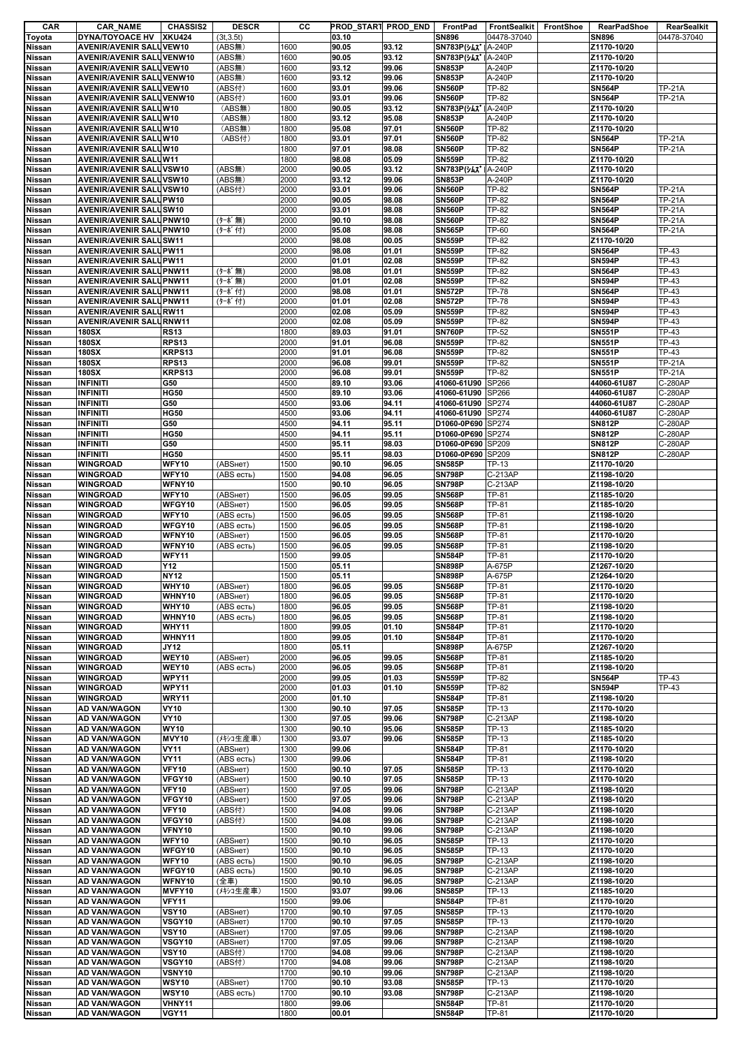| CAR           | <b>CAR_NAME</b>                 | <b>CHASSIS2</b> | <b>DESCR</b> | cс   | PROD_START PROD_END |       | FrontPad                     | FrontSealkit | FrontShoe | <b>RearPadShoe</b> | RearSealkit   |
|---------------|---------------------------------|-----------------|--------------|------|---------------------|-------|------------------------------|--------------|-----------|--------------------|---------------|
| Toyota        | <b>DYNA/TOYOACE HV</b>          | <b>XKU424</b>   | (3t, 3.5t)   |      | 03.10               |       | <b>SN896</b>                 | 04478-37040  |           | <b>SN896</b>       | 04478-37040   |
| Nissan        | <b>AVENIR/AVENIR SALUVEW10</b>  |                 | (ABS無)       | 1600 | 90.05               | 93.12 | SN783P(347   A-240P          |              |           | Z1170-10/20        |               |
| <b>Nissan</b> | <b>AVENIR/AVENIR SALUVENW10</b> |                 | (ABS無)       | 1600 | 90.05               | 93.12 | SN783P(yAX'   A-240P         |              |           | Z1170-10/20        |               |
| Nissan        | <b>AVENIR/AVENIR SALUVEW10</b>  |                 | (ABS無)       | 1600 | 93.12               | 99.06 | <b>SN853P</b>                | A-240P       |           | Z1170-10/20        |               |
| Nissan        | <b>AVENIR/AVENIR SALUVENW10</b> |                 | (ABS#)       | 1600 | 93.12               | 99.06 | <b>SN853P</b>                | A-240P       |           | Z1170-10/20        |               |
|               |                                 |                 |              |      |                     |       |                              | <b>TP-82</b> |           |                    |               |
| <b>Nissan</b> | AVENIR/AVENIR SALUVEW10         |                 | (ABS付)       | 1600 | 93.01               | 99.06 | <b>SN560P</b>                |              |           | <b>SN564P</b>      | <b>TP-21A</b> |
| Nissan        | <b>AVENIR/AVENIR SALUVENW10</b> |                 | (ABS付)       | 1600 | 93.01               | 99.06 | <b>SN560P</b>                | TP-82        |           | <b>SN564P</b>      | <b>TP-21A</b> |
| <b>Nissan</b> | <b>AVENIR/AVENIR SALUW10</b>    |                 | (ABS無)       | 1800 | 90.05               | 93.12 | <b>SN783P(%LX*</b>           | A-240P       |           | Z1170-10/20        |               |
| Nissan        | AVENIR/AVENIR SALUW10           |                 | (ABS無)       | 1800 | 93.12               | 95.08 | <b>SN853P</b>                | A-240P       |           | Z1170-10/20        |               |
| <b>Nissan</b> | <b>AVENIR/AVENIR SALUW10</b>    |                 | (ABS無)       | 1800 | 95.08               | 97.01 | <b>SN560P</b>                | <b>TP-82</b> |           | Z1170-10/20        |               |
| <b>Nissan</b> | <b>AVENIR/AVENIR SALUW10</b>    |                 | (ABS付)       | 1800 | 93.01               | 97.01 | <b>SN560P</b>                | TP-82        |           | <b>SN564P</b>      | <b>TP-21A</b> |
| Nissan        | <b>AVENIR/AVENIR SALUW10</b>    |                 |              | 1800 | 97.01               | 98.08 | <b>SN560P</b>                | <b>TP-82</b> |           | <b>SN564P</b>      | <b>TP-21A</b> |
| <b>Nissan</b> | <b>AVENIR/AVENIR SALUW11</b>    |                 |              | 1800 | 98.08               | 05.09 | <b>SN559P</b>                | <b>TP-82</b> |           | Z1170-10/20        |               |
|               |                                 |                 |              |      |                     |       |                              |              |           |                    |               |
| Nissan        | <b>AVENIR/AVENIR SALUVSW10</b>  |                 | (ABS無)       | 2000 | 90.05               | 93.12 | SN783P( $\frac{1}{2}$ A-240P |              |           | Z1170-10/20        |               |
| Nissan        | <b>AVENIR/AVENIR SALUVSW10</b>  |                 | (ABS#)       | 2000 | 93.12               | 99.06 | <b>SN853P</b>                | A-240P       |           | Z1170-10/20        |               |
| Nissan        | <b>AVENIR/AVENIR SALUVSW10</b>  |                 | (ABS付)       | 2000 | 93.01               | 99.06 | <b>SN560P</b>                | TP-82        |           | <b>SN564P</b>      | <b>TP-21A</b> |
| <b>Nissan</b> | <b>AVENIR/AVENIR SALUPW10</b>   |                 |              | 2000 | 90.05               | 98.08 | <b>SN560P</b>                | <b>TP-82</b> |           | <b>SN564P</b>      | <b>TP-21A</b> |
| Nissan        | <b>AVENIR/AVENIR SALUSW10</b>   |                 |              | 2000 | 93.01               | 98.08 | <b>SN560P</b>                | <b>TP-82</b> |           | <b>SN564P</b>      | <b>TP-21A</b> |
| <b>Nissan</b> | <b>AVENIR/AVENIR SALUPNW10</b>  |                 | (ターボ無)       | 2000 | 90.10               | 98.08 | <b>SN560P</b>                | <b>TP-82</b> |           | <b>SN564P</b>      | <b>TP-21A</b> |
| Nissan        | <b>AVENIR/AVENIR SALUPNW10</b>  |                 | (ターボ付)       | 2000 | 95.08               | 98.08 | <b>SN565P</b>                | TP-60        |           | <b>SN564P</b>      | <b>TP-21A</b> |
| <b>Nissan</b> | <b>AVENIR/AVENIR SALUSW11</b>   |                 |              | 2000 | 98.08               | 00.05 | <b>SN559P</b>                | TP-82        |           | Z1170-10/20        |               |
| Nissan        | <b>AVENIR/AVENIR SALUPW11</b>   |                 |              | 2000 | 98.08               | 01.01 | <b>SN559P</b>                | <b>TP-82</b> |           | <b>SN564P</b>      | <b>TP-43</b>  |
|               |                                 |                 |              |      |                     |       | <b>SN559P</b>                | <b>TP-82</b> |           | <b>SN594P</b>      | <b>TP-43</b>  |
| Nissan        | <b>AVENIR/AVENIR SALUPW11</b>   |                 |              | 2000 | 01.01               | 02.08 |                              |              |           |                    |               |
| <b>Nissan</b> | <b>AVENIR/AVENIR SALUPNW11</b>  |                 | (ターボ無)       | 2000 | 98.08               | 01.01 | <b>SN559P</b>                | TP-82        |           | <b>SN564P</b>      | <b>TP-43</b>  |
| Nissan        | <b>AVENIR/AVENIR SALUPNW11</b>  |                 | (ターボ無)       | 2000 | 01.01               | 02.08 | <b>SN559P</b>                | <b>TP-82</b> |           | <b>SN594P</b>      | <b>TP-43</b>  |
| Nissan        | <b>AVENIR/AVENIR SALUPNW11</b>  |                 | (ターボ付)       | 2000 | 98.08               | 01.01 | <b>SN572P</b>                | <b>TP-78</b> |           | <b>SN564P</b>      | <b>TP-43</b>  |
| <b>Nissan</b> | <b>AVENIR/AVENIR SALUPNW11</b>  |                 | (ターボ付)       | 2000 | 01.01               | 02.08 | <b>SN572P</b>                | <b>TP-78</b> |           | <b>SN594P</b>      | <b>TP-43</b>  |
| <b>Nissan</b> | <b>AVENIR/AVENIR SALURW11</b>   |                 |              | 2000 | 02.08               | 05.09 | <b>SN559P</b>                | TP-82        |           | <b>SN594P</b>      | <b>TP-43</b>  |
| Nissan        | <b>AVENIR/AVENIR SALURNW11</b>  |                 |              | 2000 | 02.08               | 05.09 | <b>SN559P</b>                | TP-82        |           | <b>SN594P</b>      | <b>TP-43</b>  |
| <b>Nissan</b> | <b>180SX</b>                    | <b>RS13</b>     |              | 1800 | 89.03               | 91.01 | <b>SN760P</b>                | <b>TP-52</b> |           | <b>SN551P</b>      | <b>TP-43</b>  |
|               |                                 |                 |              |      |                     |       |                              |              |           |                    |               |
| Nissan        | <b>180SX</b>                    | <b>RPS13</b>    |              | 2000 | 91.01               | 96.08 | <b>SN559P</b>                | TP-82        |           | <b>SN551P</b>      | <b>TP-43</b>  |
| <b>Nissan</b> | <b>180SX</b>                    | KRPS13          |              | 2000 | 91.01               | 96.08 | <b>SN559P</b>                | TP-82        |           | <b>SN551P</b>      | <b>TP-43</b>  |
| <b>Nissan</b> | <b>180SX</b>                    | <b>RPS13</b>    |              | 2000 | 96.08               | 99.01 | <b>SN559P</b>                | TP-82        |           | <b>SN551P</b>      | <b>TP-21A</b> |
| Nissan        | <b>180SX</b>                    | KRPS13          |              | 2000 | 96.08               | 99.01 | <b>SN559P</b>                | <b>TP-82</b> |           | <b>SN551P</b>      | <b>TP-21A</b> |
| <b>Nissan</b> | <b>INFINITI</b>                 | G50             |              | 4500 | 89.10               | 93.06 | 41060-61U90                  | SP266        |           | 44060-61U87        | C-280AP       |
| <b>Nissan</b> | <b>INFINITI</b>                 | <b>HG50</b>     |              | 4500 | 89.10               | 93.06 | 41060-61U90                  | <b>SP266</b> |           | 44060-61U87        | C-280AP       |
| Nissan        | <b>INFINITI</b>                 | G50             |              | 4500 | 93.06               | 94.11 | 41060-61U90                  | SP274        |           | 44060-61U87        | C-280AP       |
|               |                                 |                 |              |      |                     |       |                              |              |           |                    |               |
| <b>Nissan</b> | <b>INFINITI</b>                 | <b>HG50</b>     |              | 4500 | 93.06               | 94.11 | 41060-61U90                  | SP274        |           | 44060-61U87        | C-280AP       |
| <b>Nissan</b> | <b>INFINITI</b>                 | G50             |              | 4500 | 94.11               | 95.11 | D1060-0P690 SP274            |              |           | <b>SN812P</b>      | C-280AP       |
| Nissan        | <b>INFINITI</b>                 | <b>HG50</b>     |              | 4500 | 94.11               | 95.11 | D1060-0P690 SP274            |              |           | <b>SN812P</b>      | C-280AP       |
| Nissan        | <b>INFINITI</b>                 | G50             |              | 4500 | 95.11               | 98.03 | D1060-0P690 SP209            |              |           | <b>SN812P</b>      | C-280AP       |
| <b>Nissan</b> | <b>INFINITI</b>                 | <b>HG50</b>     |              | 4500 | 95.11               | 98.03 | D1060-0P690 SP209            |              |           | <b>SN812P</b>      | C-280AP       |
| <b>Nissan</b> | <b>WINGROAD</b>                 | WFY10           | (ABSHeT)     | 1500 | 90.10               | 96.05 | <b>SN585P</b>                | TP-13        |           | Z1170-10/20        |               |
| <b>Nissan</b> | <b>WINGROAD</b>                 | WFY10           | (ABS есть)   | 1500 | 94.08               | 96.05 | <b>SN798P</b>                | C-213AP      |           | Z1198-10/20        |               |
|               |                                 | WFNY10          |              | 1500 | 90.10               |       | <b>SN798P</b>                |              |           |                    |               |
| Nissan        | <b>WINGROAD</b>                 |                 |              |      |                     | 96.05 |                              | C-213AP      |           | Z1198-10/20        |               |
| <b>Nissan</b> | <b>WINGROAD</b>                 | WFY10           | (ABSHeT)     | 1500 | 96.05               | 99.05 | <b>SN568P</b>                | TP-81        |           | Z1185-10/20        |               |
| <b>Nissan</b> | WINGROAD                        | WFGY10          | (ABSHeT)     | 1500 | 96.05               | 99.05 | <b>SN568P</b>                | TP-81        |           | Z1185-10/20        |               |
| Nissan        | <b>WINGROAD</b>                 | WFY10           | (ABS есть)   | 1500 | 96.05               | 99.05 | <b>SN568P</b>                | TP-81        |           | Z1198-10/20        |               |
| <b>Nissan</b> | <b>WINGROAD</b>                 | WFGY10          | (ABS есть)   | 1500 | 96.05               | 99.05 | <b>SN568P</b>                | TP-81        |           | Z1198-10/20        |               |
| <b>Nissan</b> | <b>WINGROAD</b>                 | WFNY10          | (ABSHeT)     | 1500 | 96.05               | 99.05 | <b>SN568P</b>                | TP-81        |           | Z1170-10/20        |               |
| Nissan        | <b>WINGROAD</b>                 | WFNY10          | (ABS есть)   | 1500 | 96.05               | 99.05 | <b>SN568P</b>                | TP-81        |           | Z1198-10/20        |               |
| <b>Nissan</b> | <b>WINGROAD</b>                 | <b>WFY11</b>    |              | 1500 | 99.05               |       | <b>SN584P</b>                | TP-81        |           | Z1170-10/20        |               |
|               |                                 |                 |              |      |                     |       |                              |              |           |                    |               |
| <b>Nissan</b> | <b>WINGROAD</b>                 | Y12             |              | 1500 | 05.11               |       | <b>SN898P</b>                | A-675P       |           | Z1267-10/20        |               |
| Nissan        | <b>WINGROAD</b>                 | <b>NY12</b>     |              | 1500 | 05.11               |       | <b>SN898P</b>                | A-675P       |           | Z1264-10/20        |               |
| Nissan        | <b>WINGROAD</b>                 | <b>WHY10</b>    | (ABSHeT)     | 1800 | 96.05               | 99.05 | <b>SN568P</b>                | TP-81        |           | Z1170-10/20        |               |
| Nissan        | <b>WINGROAD</b>                 | WHNY10          | (ABSHeT)     | 1800 | 96.05               | 99.05 | <b>SN568P</b>                | TP-81        |           | Z1170-10/20        |               |
| <b>Nissan</b> | <b>WINGROAD</b>                 | WHY10           | (ABS есть)   | 1800 | 96.05               | 99.05 | <b>SN568P</b>                | TP-81        |           | Z1198-10/20        |               |
| <b>Nissan</b> | <b>WINGROAD</b>                 | WHNY10          | (ABS есть)   | 1800 | 96.05               | 99.05 | <b>SN568P</b>                | <b>TP-81</b> |           | Z1198-10/20        |               |
| <b>Nissan</b> | <b>WINGROAD</b>                 | <b>WHY11</b>    |              | 1800 | 99.05               | 01.10 | <b>SN584P</b>                | TP-81        |           | Z1170-10/20        |               |
| Nissan        | <b>WINGROAD</b>                 | WHNY11          |              | 1800 | 99.05               | 01.10 | <b>SN584P</b>                | <b>TP-81</b> |           | Z1170-10/20        |               |
|               |                                 |                 |              |      |                     |       |                              |              |           |                    |               |
| Nissan        | <b>WINGROAD</b>                 | JY12            |              | 1800 | 05.11               |       | <b>SN898P</b>                | A-675P       |           | Z1267-10/20        |               |
| Nissan        | <b>WINGROAD</b>                 | WEY10           | (ABSHeT)     | 2000 | 96.05               | 99.05 | <b>SN568P</b>                | TP-81        |           | Z1185-10/20        |               |
| Nissan        | <b>WINGROAD</b>                 | WEY10           | (ABS есть)   | 2000 | 96.05               | 99.05 | <b>SN568P</b>                | <b>TP-81</b> |           | Z1198-10/20        |               |
| <b>Nissan</b> | <b>WINGROAD</b>                 | WPY11           |              | 2000 | 99.05               | 01.03 | <b>SN559P</b>                | <b>TP-82</b> |           | <b>SN564P</b>      | <b>TP-43</b>  |
| <b>Nissan</b> | <b>WINGROAD</b>                 | WPY11           |              | 2000 | 01.03               | 01.10 | <b>SN559P</b>                | TP-82        |           | <b>SN594P</b>      | <b>TP-43</b>  |
| <b>Nissan</b> | <b>WINGROAD</b>                 | WRY11           |              | 2000 | 01.10               |       | <b>SN584P</b>                | TP-81        |           | Z1198-10/20        |               |
| <b>Nissan</b> | <b>AD VAN/WAGON</b>             | <b>VY10</b>     |              | 1300 | 90.10               | 97.05 | <b>SN585P</b>                | TP-13        |           | Z1170-10/20        |               |
| <b>Nissan</b> | <b>AD VAN/WAGON</b>             | <b>VY10</b>     |              | 1300 | 97.05               | 99.06 | <b>SN798P</b>                | C-213AP      |           | Z1198-10/20        |               |
|               | <b>AD VAN/WAGON</b>             | <b>WY10</b>     |              | 1300 | 90.10               | 95.06 | <b>SN585P</b>                | TP-13        |           | Z1185-10/20        |               |
| <b>Nissan</b> |                                 |                 |              |      |                     |       |                              |              |           |                    |               |
| Nissan        | <b>AD VAN/WAGON</b>             | MVY10           | (メキシコ生産車)    | 1300 | 93.07               | 99.06 | <b>SN585P</b>                | TP-13        |           | Z1185-10/20        |               |
| <b>Nissan</b> | <b>AD VAN/WAGON</b>             | <b>VY11</b>     | (ABSHeT)     | 1300 | 99.06               |       | <b>SN584P</b>                | <b>TP-81</b> |           | Z1170-10/20        |               |
| <b>Nissan</b> | <b>AD VAN/WAGON</b>             | <b>VY11</b>     | (ABS есть)   | 1300 | 99.06               |       | <b>SN584P</b>                | TP-81        |           | Z1198-10/20        |               |
| Nissan        | <b>AD VAN/WAGON</b>             | <b>VFY10</b>    | (ABSHeT)     | 1500 | 90.10               | 97.05 | <b>SN585P</b>                | TP-13        |           | Z1170-10/20        |               |
| <b>Nissan</b> | <b>AD VAN/WAGON</b>             | VFGY10          | (ABSHeT)     | 1500 | 90.10               | 97.05 | <b>SN585P</b>                | TP-13        |           | Z1170-10/20        |               |
| <b>Nissan</b> | <b>AD VAN/WAGON</b>             | <b>VFY10</b>    | (ABSHeT)     | 1500 | 97.05               | 99.06 | <b>SN798P</b>                | C-213AP      |           | Z1198-10/20        |               |
| Nissan        | <b>AD VAN/WAGON</b>             | VFGY10          | (ABSHeT)     | 1500 | 97.05               | 99.06 | <b>SN798P</b>                | $C-213AP$    |           | Z1198-10/20        |               |
| Nissan        | <b>AD VAN/WAGON</b>             | <b>VFY10</b>    | (ABS付)       | 1500 | 94.08               | 99.06 | <b>SN798P</b>                | C-213AP      |           | Z1198-10/20        |               |
|               |                                 | VFGY10          |              |      | 94.08               |       | <b>SN798P</b>                | C-213AP      |           |                    |               |
| <b>Nissan</b> | <b>AD VAN/WAGON</b>             |                 | (ABS付)       | 1500 |                     | 99.06 |                              |              |           | Z1198-10/20        |               |
| Nissan        | <b>AD VAN/WAGON</b>             | VFNY10          |              | 1500 | 90.10               | 99.06 | <b>SN798P</b>                | C-213AP      |           | Z1198-10/20        |               |
| <b>Nissan</b> | <b>AD VAN/WAGON</b>             | WFY10           | (ABSHeT)     | 1500 | 90.10               | 96.05 | <b>SN585P</b>                | TP-13        |           | Z1170-10/20        |               |
| Nissan        | <b>AD VAN/WAGON</b>             | WFGY10          | (ABSHeT)     | 1500 | 90.10               | 96.05 | <b>SN585P</b>                | TP-13        |           | Z1170-10/20        |               |
| <b>Nissan</b> | <b>AD VAN/WAGON</b>             | WFY10           | (ABS есть)   | 1500 | 90.10               | 96.05 | <b>SN798P</b>                | C-213AP      |           | Z1198-10/20        |               |
| <b>Nissan</b> | <b>AD VAN/WAGON</b>             | WFGY10          | (ABS есть)   | 1500 | 90.10               | 96.05 | <b>SN798P</b>                | C-213AP      |           | Z1198-10/20        |               |
| Nissan        | <b>AD VAN/WAGON</b>             | WFNY10          | (全車)         | 1500 | 90.10               | 96.05 | <b>SN798P</b>                | C-213AP      |           | Z1198-10/20        |               |
| <b>Nissan</b> | <b>AD VAN/WAGON</b>             | MVFY10          | (メキシコ生産車)    | 1500 | 93.07               | 99.06 | <b>SN585P</b>                | TP-13        |           | Z1185-10/20        |               |
|               |                                 |                 |              |      |                     |       |                              |              |           |                    |               |
| <b>Nissan</b> | <b>AD VAN/WAGON</b>             | <b>VFY11</b>    |              | 1500 | 99.06               |       | <b>SN584P</b>                | TP-81        |           | Z1170-10/20        |               |
| Nissan        | <b>AD VAN/WAGON</b>             | <b>VSY10</b>    | (ABSHeT)     | 1700 | 90.10               | 97.05 | <b>SN585P</b>                | TP-13        |           | Z1170-10/20        |               |
| <b>Nissan</b> | <b>AD VAN/WAGON</b>             | VSGY10          | (ABSHeT)     | 1700 | 90.10               | 97.05 | <b>SN585P</b>                | TP-13        |           | Z1170-10/20        |               |
| <b>Nissan</b> | <b>AD VAN/WAGON</b>             | <b>VSY10</b>    | (ABSHeT)     | 1700 | 97.05               | 99.06 | <b>SN798P</b>                | C-213AP      |           | Z1198-10/20        |               |
| Nissan        | <b>AD VAN/WAGON</b>             | VSGY10          | (ABSHeT)     | 1700 | 97.05               | 99.06 | <b>SN798P</b>                | C-213AP      |           | Z1198-10/20        |               |
| Nissan        | <b>AD VAN/WAGON</b>             | <b>VSY10</b>    | (ABS付)       | 1700 | 94.08               | 99.06 | <b>SN798P</b>                | C-213AP      |           | Z1198-10/20        |               |
| Nissan        | <b>AD VAN/WAGON</b>             | VSGY10          | (ABS付)       | 1700 | 94.08               | 99.06 | <b>SN798P</b>                | C-213AP      |           | Z1198-10/20        |               |
|               |                                 |                 |              |      |                     |       |                              |              |           |                    |               |
| Nissan        | <b>AD VAN/WAGON</b>             | VSNY10          |              | 1700 | 90.10               | 99.06 | <b>SN798P</b>                | C-213AP      |           | Z1198-10/20        |               |
| Nissan        | <b>AD VAN/WAGON</b>             | <b>WSY10</b>    | (ABSHeT)     | 1700 | 90.10               | 93.08 | <b>SN585P</b>                | TP-13        |           | Z1170-10/20        |               |
| Nissan        | <b>AD VAN/WAGON</b>             | <b>WSY10</b>    | (ABS есть)   | 1700 | 90.10               | 93.08 | <b>SN798P</b>                | C-213AP      |           | Z1198-10/20        |               |
| Nissan        | <b>AD VAN/WAGON</b>             | VHNY11          |              | 1800 | 99.06               |       | <b>SN584P</b>                | TP-81        |           | Z1170-10/20        |               |
| Nissan        | AD VAN/WAGON                    | <b>VGY11</b>    |              | 1800 | 00.01               |       | <b>SN584P</b>                | TP-81        |           | Z1170-10/20        |               |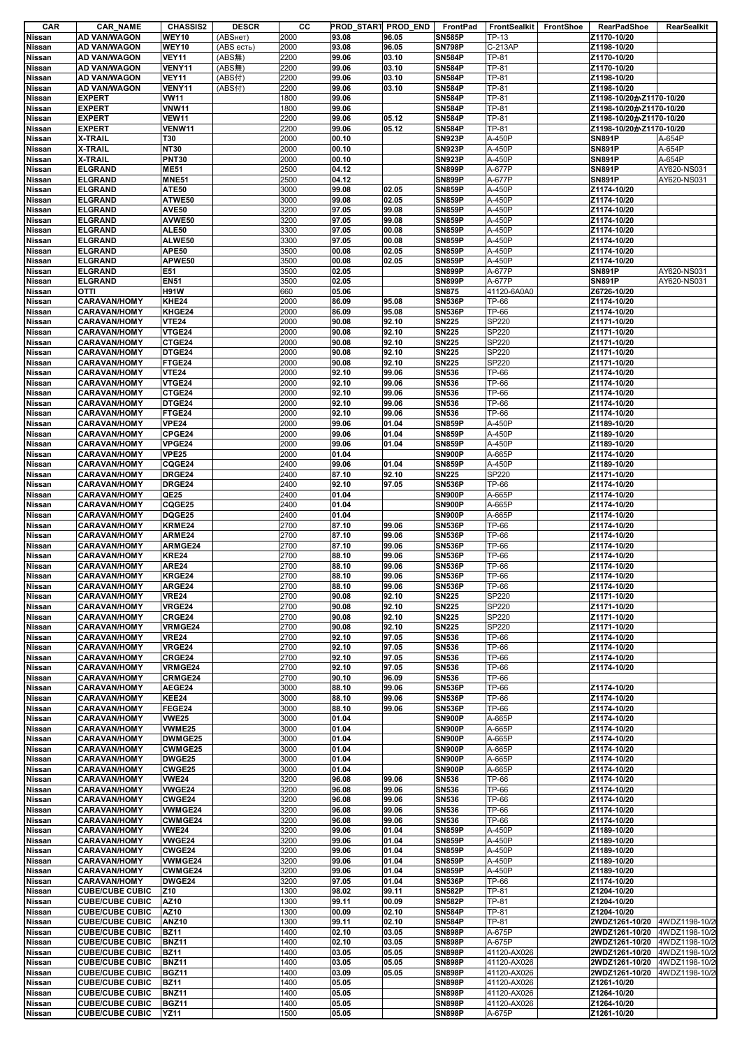| CAR           | <b>CAR_NAME</b>        | <b>CHASSIS2</b> | <b>DESCR</b> | cс   | PROD_START PROD_END |       | FrontPad      | <b>FrontSealkit</b> | FrontShoe | <b>RearPadShoe</b>      | RearSealkit   |
|---------------|------------------------|-----------------|--------------|------|---------------------|-------|---------------|---------------------|-----------|-------------------------|---------------|
| Nissan        | AD VAN/WAGON           | WEY10           | (ABSнет)     | 2000 | 93.08               | 96.05 | <b>SN585P</b> | TP-13               |           | Z1170-10/20             |               |
| <b>Nissan</b> | AD VAN/WAGON           | WEY10           | (ABS есть)   | 2000 | 93.08               | 96.05 | <b>SN798P</b> | C-213AP             |           | Z1198-10/20             |               |
| Nissan        | AD VAN/WAGON           | <b>VEY11</b>    | (ABS無)       | 2200 | 99.06               | 03.10 | <b>SN584P</b> | TP-81               |           | Z1170-10/20             |               |
| Nissan        | AD VAN/WAGON           | VENY11          | (ABS無)       | 2200 | 99.06               | 03.10 | <b>SN584P</b> | TP-81               |           | Z1170-10/20             |               |
|               |                        |                 |              |      |                     |       |               |                     |           |                         |               |
| Nissan        | AD VAN/WAGON           | <b>VEY11</b>    | (ABS付)       | 2200 | 99.06               | 03.10 | <b>SN584P</b> | TP-81               |           | Z1198-10/20             |               |
| <b>Nissan</b> | AD VAN/WAGON           | VENY11          | (ABS付)       | 2200 | 99.06               | 03.10 | <b>SN584P</b> | TP-81               |           | Z1198-10/20             |               |
| Nissan        | <b>EXPERT</b>          | <b>VW11</b>     |              | 1800 | 99.06               |       | <b>SN584P</b> | TP-81               |           | Z1198-10/20かZ1170-10/20 |               |
| <b>Nissan</b> | <b>EXPERT</b>          | <b>VNW11</b>    |              | 1800 | 99.06               |       | <b>SN584P</b> | TP-81               |           | Z1198-10/20かZ1170-10/20 |               |
| <b>Nissan</b> | <b>EXPERT</b>          | <b>VEW11</b>    |              | 2200 | 99.06               | 05.12 | <b>SN584P</b> | <b>TP-81</b>        |           | Z1198-10/20かZ1170-10/20 |               |
| <b>Nissan</b> | <b>EXPERT</b>          | VENW11          |              | 2200 | 99.06               | 05.12 | <b>SN584P</b> | TP-81               |           | Z1198-10/20かZ1170-10/20 |               |
|               | X-TRAIL                | <b>T30</b>      |              | 2000 | 00.10               |       | <b>SN923P</b> | A-450P              |           | <b>SN891P</b>           | A-654P        |
| <b>Nissan</b> |                        |                 |              |      |                     |       |               |                     |           |                         |               |
| Nissan        | <b>X-TRAIL</b>         | <b>NT30</b>     |              | 2000 | 00.10               |       | <b>SN923P</b> | A-450P              |           | <b>SN891P</b>           | A-654P        |
| <b>Nissan</b> | X-TRAIL                | <b>PNT30</b>    |              | 2000 | 00.10               |       | <b>SN923P</b> | A-450P              |           | <b>SN891P</b>           | A-654P        |
| <b>Nissan</b> | <b>ELGRAND</b>         | <b>ME51</b>     |              | 2500 | 04.12               |       | <b>SN899P</b> | A-677P              |           | <b>SN891P</b>           | AY620-NS031   |
| Nissan        | <b>ELGRAND</b>         | <b>MNE51</b>    |              | 2500 | 04.12               |       | SN899P        | A-677P              |           | <b>SN891P</b>           | AY620-NS031   |
| <b>Nissan</b> | <b>ELGRAND</b>         | ATE50           |              | 3000 | 99.08               | 02.05 | <b>SN859P</b> | A-450P              |           | Z1174-10/20             |               |
| <b>Nissan</b> | <b>ELGRAND</b>         | ATWE50          |              | 3000 | 99.08               | 02.05 | <b>SN859P</b> | A-450P              |           | Z1174-10/20             |               |
|               |                        | <b>AVE50</b>    |              | 3200 | 97.05               | 99.08 | <b>SN859P</b> | A-450P              |           |                         |               |
| Nissan        | <b>ELGRAND</b>         |                 |              |      |                     |       |               |                     |           | Z1174-10/20             |               |
| Nissan        | <b>ELGRAND</b>         | AVWE50          |              | 3200 | 97.05               | 99.08 | <b>SN859P</b> | A-450P              |           | Z1174-10/20             |               |
| <b>Nissan</b> | <b>ELGRAND</b>         | <b>ALE50</b>    |              | 3300 | 97.05               | 00.08 | <b>SN859P</b> | A-450P              |           | Z1174-10/20             |               |
| <b>Nissan</b> | <b>ELGRAND</b>         | ALWE50          |              | 3300 | 97.05               | 00.08 | <b>SN859P</b> | A-450P              |           | Z1174-10/20             |               |
| <b>Nissan</b> | <b>ELGRAND</b>         | APE50           |              | 3500 | 00.08               | 02.05 | <b>SN859P</b> | A-450P              |           | Z1174-10/20             |               |
| <b>Nissan</b> | <b>ELGRAND</b>         | APWE50          |              | 3500 | 00.08               | 02.05 | <b>SN859P</b> | A-450P              |           | Z1174-10/20             |               |
| <b>Nissan</b> | <b>ELGRAND</b>         | E51             |              | 3500 | 02.05               |       | <b>SN899P</b> | A-677P              |           | <b>SN891P</b>           | AY620-NS031   |
|               |                        |                 |              |      |                     |       |               |                     |           |                         |               |
| <b>Nissan</b> | <b>ELGRAND</b>         | <b>EN51</b>     |              | 3500 | 02.05               |       | <b>SN899P</b> | A-677P              |           | <b>SN891P</b>           | AY620-NS031   |
| Nissan        | ΟΤΤΙ                   | <b>H91W</b>     |              | 660  | 05.06               |       | <b>SN875</b>  | 41120-6A0A0         |           | Z6726-10/20             |               |
| <b>Nissan</b> | <b>CARAVAN/HOMY</b>    | KHE24           |              | 2000 | 86.09               | 95.08 | <b>SN536P</b> | <b>TP-66</b>        |           | Z1174-10/20             |               |
| <b>Nissan</b> | <b>CARAVAN/HOMY</b>    | KHGE24          |              | 2000 | 86.09               | 95.08 | <b>SN536P</b> | TP-66               |           | Z1174-10/20             |               |
| Nissan        | <b>CARAVAN/HOMY</b>    | <b>VTE24</b>    |              | 2000 | 90.08               | 92.10 | <b>SN225</b>  | SP220               |           | Z1171-10/20             |               |
|               |                        | VTGE24          |              | 2000 | 90.08               | 92.10 |               | SP220               |           |                         |               |
| Nissan        | <b>CARAVAN/HOMY</b>    |                 |              |      |                     |       | <b>SN225</b>  |                     |           | Z1171-10/20             |               |
| <b>Nissan</b> | <b>CARAVAN/HOMY</b>    | CTGE24          |              | 2000 | 90.08               | 92.10 | <b>SN225</b>  | SP220               |           | Z1171-10/20             |               |
| <b>Nissan</b> | <b>CARAVAN/HOMY</b>    | DTGE24          |              | 2000 | 90.08               | 92.10 | <b>SN225</b>  | SP220               |           | Z1171-10/20             |               |
| <b>Nissan</b> | <b>CARAVAN/HOMY</b>    | FTGE24          |              | 2000 | 90.08               | 92.10 | <b>SN225</b>  | SP220               |           | Z1171-10/20             |               |
| <b>Nissan</b> | <b>CARAVAN/HOMY</b>    | <b>VTE24</b>    |              | 2000 | 92.10               | 99.06 | <b>SN536</b>  | TP-66               |           | Z1174-10/20             |               |
| Nissan        | <b>CARAVAN/HOMY</b>    | VTGE24          |              | 2000 | 92.10               | 99.06 | <b>SN536</b>  | <b>TP-66</b>        |           | Z1174-10/20             |               |
|               |                        |                 |              |      |                     |       |               |                     |           |                         |               |
| <b>Nissan</b> | <b>CARAVAN/HOMY</b>    | CTGE24          |              | 2000 | 92.10               | 99.06 | <b>SN536</b>  | TP-66               |           | Z1174-10/20             |               |
| Nissan        | <b>CARAVAN/HOMY</b>    | DTGE24          |              | 2000 | 92.10               | 99.06 | <b>SN536</b>  | TP-66               |           | Z1174-10/20             |               |
| <b>Nissan</b> | <b>CARAVAN/HOMY</b>    | FTGE24          |              | 2000 | 92.10               | 99.06 | <b>SN536</b>  | <b>TP-66</b>        |           | Z1174-10/20             |               |
| Nissan        | <b>CARAVAN/HOMY</b>    | <b>VPE24</b>    |              | 2000 | 99.06               | 01.04 | <b>SN859P</b> | A-450P              |           | Z1189-10/20             |               |
| Nissan        | <b>CARAVAN/HOMY</b>    | CPGE24          |              | 2000 | 99.06               | 01.04 | <b>SN859P</b> | A-450P              |           | Z1189-10/20             |               |
| <b>Nissan</b> | <b>CARAVAN/HOMY</b>    | VPGE24          |              | 2000 | 99.06               | 01.04 | <b>SN859P</b> | A-450P              |           | Z1189-10/20             |               |
| <b>Nissan</b> | <b>CARAVAN/HOMY</b>    | <b>VPE25</b>    |              | 2000 | 01.04               |       | <b>SN900P</b> | A-665P              |           | Z1174-10/20             |               |
|               |                        |                 |              |      |                     |       |               |                     |           |                         |               |
| <b>Nissan</b> | <b>CARAVAN/HOMY</b>    | CQGE24          |              | 2400 | 99.06               | 01.04 | <b>SN859P</b> | A-450P              |           | Z1189-10/20             |               |
| <b>Nissan</b> | <b>CARAVAN/HOMY</b>    | DRGE24          |              | 2400 | 87.10               | 92.10 | <b>SN225</b>  | SP220               |           | Z1171-10/20             |               |
| <b>Nissan</b> | <b>CARAVAN/HOMY</b>    | DRGE24          |              | 2400 | 92.10               | 97.05 | <b>SN536P</b> | TP-66               |           | Z1174-10/20             |               |
| <b>Nissan</b> | <b>CARAVAN/HOMY</b>    | <b>QE25</b>     |              | 2400 | 01.04               |       | <b>SN900P</b> | A-665P              |           | Z1174-10/20             |               |
| <b>Nissan</b> | <b>CARAVAN/HOMY</b>    | CQGE25          |              | 2400 | 01.04               |       | <b>SN900P</b> | A-665P              |           | Z1174-10/20             |               |
|               | CARAVAN/HOMY           | DQGE25          |              | 2400 | 01.04               |       | <b>SN900P</b> | A-665P              |           |                         |               |
| <b>Nissan</b> |                        |                 |              |      |                     |       |               |                     |           | Z1174-10/20             |               |
| <b>Nissan</b> | <b>CARAVAN/HOMY</b>    | KRME24          |              | 2700 | 87.10               | 99.06 | <b>SN536P</b> | <b>TP-66</b>        |           | Z1174-10/20             |               |
| <b>Nissan</b> | <b>CARAVAN/HOMY</b>    | ARME24          |              | 2700 | 87.10               | 99.06 | <b>SN536P</b> | TP-66               |           | Z1174-10/20             |               |
| <b>Nissan</b> | <b>CARAVAN/HOMY</b>    | ARMGE24         |              | 2700 | 87.10               | 99.06 | <b>SN536P</b> | <b>TP-66</b>        |           | Z1174-10/20             |               |
| <b>Nissan</b> | <b>CARAVAN/HOMY</b>    | <b>KRE24</b>    |              | 2700 | 88.10               | 99.06 | <b>SN536P</b> | TP-66               |           | Z1174-10/20             |               |
| <b>Nissan</b> | <b>CARAVAN/HOMY</b>    | ARE24           |              | 2700 | 88.10               | 99.06 | <b>SN536P</b> | TP-66               |           | Z1174-10/20             |               |
| <b>Nissan</b> | <b>CARAVAN/HOMY</b>    | KRGE24          |              | 2700 | 88.10               | 99.06 | <b>SN536P</b> | <b>TP-66</b>        |           | Z1174-10/20             |               |
|               |                        |                 |              |      |                     |       |               |                     |           |                         |               |
| Nissan        | <b>CARAVAN/HOMY</b>    | ARGE24          |              | 2700 | 88.10               | 99.06 | <b>SN536P</b> | TP-66               |           | Z1174-10/20             |               |
| Nissan        | <b>CARAVAN/HOMY</b>    | <b>VRE24</b>    |              | 2700 | 90.08               | 92.10 | <b>SN225</b>  | SP220               |           | Z1171-10/20             |               |
| Nissan        | <b>CARAVAN/HOMY</b>    | <b>VRGE24</b>   |              | 2700 | 90.08               | 92.10 | <b>SN225</b>  | SP220               |           | Z1171-10/20             |               |
| <b>Nissan</b> | <b>CARAVAN/HOMY</b>    | CRGE24          |              | 2700 | 90.08               | 92.10 | <b>SN225</b>  | SP220               |           | Z1171-10/20             |               |
| Nissan        | <b>CARAVAN/HOMY</b>    | VRMGE24         |              | 2700 | 90.08               | 92.10 | <b>SN225</b>  | SP220               |           | Z1171-10/20             |               |
| Nissan        | <b>CARAVAN/HOMY</b>    | <b>VRE24</b>    |              | 2700 | 92.10               | 97.05 | <b>SN536</b>  | TP-66               |           | Z1174-10/20             |               |
|               |                        | VRGE24          |              |      |                     |       |               | TP-66               |           |                         |               |
| <b>Nissan</b> | <b>CARAVAN/HOMY</b>    |                 |              | 2700 | 92.10               | 97.05 | <b>SN536</b>  |                     |           | Z1174-10/20             |               |
| Nissan        | <b>CARAVAN/HOMY</b>    | CRGE24          |              | 2700 | 92.10               | 97.05 | <b>SN536</b>  | <b>TP-66</b>        |           | Z1174-10/20             |               |
| Nissan        | <b>CARAVAN/HOMY</b>    | VRMGE24         |              | 2700 | 92.10               | 97.05 | <b>SN536</b>  | <b>TP-66</b>        |           | Z1174-10/20             |               |
| <b>Nissan</b> | <b>CARAVAN/HOMY</b>    | CRMGE24         |              | 2700 | 90.10               | 96.09 | <b>SN536</b>  | TP-66               |           |                         |               |
| Nissan        | <b>CARAVAN/HOMY</b>    | AEGE24          |              | 3000 | 88.10               | 99.06 | <b>SN536P</b> | TP-66               |           | Z1174-10/20             |               |
| Nissan        | <b>CARAVAN/HOMY</b>    | KEE24           |              | 3000 | 88.10               | 99.06 | <b>SN536P</b> | TP-66               |           | Z1174-10/20             |               |
| <b>Nissan</b> | <b>CARAVAN/HOMY</b>    | FEGE24          |              | 3000 | 88.10               | 99.06 | <b>SN536P</b> | TP-66               |           | Z1174-10/20             |               |
| <b>Nissan</b> | <b>CARAVAN/HOMY</b>    | <b>VWE25</b>    |              | 3000 | 01.04               |       | <b>SN900P</b> | A-665P              |           | Z1174-10/20             |               |
|               |                        |                 |              |      |                     |       |               |                     |           |                         |               |
| <b>Nissan</b> | <b>CARAVAN/HOMY</b>    | <b>VWME25</b>   |              | 3000 | 01.04               |       | <b>SN900P</b> | A-665P              |           | Z1174-10/20             |               |
| Nissan        | <b>CARAVAN/HOMY</b>    | DWMGE25         |              | 3000 | 01.04               |       | <b>SN900P</b> | A-665P              |           | Z1174-10/20             |               |
| <b>Nissan</b> | <b>CARAVAN/HOMY</b>    | <b>CWMGE25</b>  |              | 3000 | 01.04               |       | <b>SN900P</b> | A-665P              |           | Z1174-10/20             |               |
| Nissan        | <b>CARAVAN/HOMY</b>    | DWGE25          |              | 3000 | 01.04               |       | <b>SN900P</b> | A-665P              |           | Z1174-10/20             |               |
| Nissan        | <b>CARAVAN/HOMY</b>    | <b>CWGE25</b>   |              | 3000 | 01.04               |       | <b>SN900P</b> | A-665P              |           | Z1174-10/20             |               |
| Nissan        | <b>CARAVAN/HOMY</b>    | <b>VWE24</b>    |              | 3200 | 96.08               | 99.06 | <b>SN536</b>  | TP-66               |           | Z1174-10/20             |               |
| Nissan        | <b>CARAVAN/HOMY</b>    | <b>VWGE24</b>   |              | 3200 | 96.08               | 99.06 | <b>SN536</b>  | <b>TP-66</b>        |           | Z1174-10/20             |               |
|               | <b>CARAVAN/HOMY</b>    | CWGE24          |              | 3200 | 96.08               | 99.06 | <b>SN536</b>  | TP-66               |           | Z1174-10/20             |               |
| Nissan        |                        |                 |              |      |                     |       |               |                     |           |                         |               |
| <b>Nissan</b> | <b>CARAVAN/HOMY</b>    | VWMGE24         |              | 3200 | 96.08               | 99.06 | <b>SN536</b>  | <b>TP-66</b>        |           | Z1174-10/20             |               |
| <b>Nissan</b> | <b>CARAVAN/HOMY</b>    | <b>CWMGE24</b>  |              | 3200 | 96.08               | 99.06 | <b>SN536</b>  | TP-66               |           | Z1174-10/20             |               |
| Nissan        | <b>CARAVAN/HOMY</b>    | <b>VWE24</b>    |              | 3200 | 99.06               | 01.04 | <b>SN859P</b> | A-450P              |           | Z1189-10/20             |               |
| <b>Nissan</b> | <b>CARAVAN/HOMY</b>    | VWGE24          |              | 3200 | 99.06               | 01.04 | <b>SN859P</b> | A-450P              |           | Z1189-10/20             |               |
| Nissan        | <b>CARAVAN/HOMY</b>    | CWGE24          |              | 3200 | 99.06               | 01.04 | <b>SN859P</b> | A-450P              |           | Z1189-10/20             |               |
| <b>Nissan</b> | <b>CARAVAN/HOMY</b>    | VWMGE24         |              | 3200 | 99.06               | 01.04 | <b>SN859P</b> | A-450P              |           | Z1189-10/20             |               |
|               |                        |                 |              |      |                     | 01.04 |               | A-450P              |           |                         |               |
| <b>Nissan</b> | <b>CARAVAN/HOMY</b>    | <b>CWMGE24</b>  |              | 3200 | 99.06               |       | <b>SN859P</b> |                     |           | Z1189-10/20             |               |
| Nissan        | <b>CARAVAN/HOMY</b>    | DWGE24          |              | 3200 | 97.05               | 01.04 | <b>SN536P</b> | TP-66               |           | Z1174-10/20             |               |
| Nissan        | <b>CUBE/CUBE CUBIC</b> | Z10             |              | 1300 | 98.02               | 99.11 | <b>SN582P</b> | TP-81               |           | Z1204-10/20             |               |
| <b>Nissan</b> | <b>CUBE/CUBE CUBIC</b> | AZ10            |              | 1300 | 99.11               | 00.09 | <b>SN582P</b> | TP-81               |           | Z1204-10/20             |               |
| Nissan        | <b>CUBE/CUBE CUBIC</b> | AZ10            |              | 1300 | 00.09               | 02.10 | <b>SN584P</b> | TP-81               |           | Z1204-10/20             |               |
| Nissan        | <b>CUBE/CUBE CUBIC</b> | <b>ANZ10</b>    |              | 1300 | 99.11               | 02.10 | <b>SN584P</b> | TP-81               |           | 2WDZ1261-10/20          | 4WDZ1198-10/2 |
| <b>Nissan</b> | <b>CUBE/CUBE CUBIC</b> | <b>BZ11</b>     |              | 1400 | 02.10               | 03.05 | <b>SN898P</b> | A-675P              |           | 2WDZ1261-10/20          | 4WDZ1198-10/2 |
|               |                        |                 |              |      |                     |       |               |                     |           |                         |               |
| Nissan        | <b>CUBE/CUBE CUBIC</b> | <b>BNZ11</b>    |              | 1400 | 02.10               | 03.05 | <b>SN898P</b> | A-675P              |           | 2WDZ1261-10/20          | 4WDZ1198-10/2 |
| <b>Nissan</b> | <b>CUBE/CUBE CUBIC</b> | <b>BZ11</b>     |              | 1400 | 03.05               | 05.05 | <b>SN898P</b> | 41120-AX026         |           | 2WDZ1261-10/20          | 4WDZ1198-10/2 |
| <b>Nissan</b> | <b>CUBE/CUBE CUBIC</b> | <b>BNZ11</b>    |              | 1400 | 03.05               | 05.05 | <b>SN898P</b> | 41120-AX026         |           | 2WDZ1261-10/20          | 4WDZ1198-10/2 |
| Nissan        | <b>CUBE/CUBE CUBIC</b> | <b>BGZ11</b>    |              | 1400 | 03.09               | 05.05 | <b>SN898P</b> | 41120-AX026         |           | 2WDZ1261-10/20          | 4WDZ1198-10/2 |
| <b>Nissan</b> | <b>CUBE/CUBE CUBIC</b> | <b>BZ11</b>     |              | 1400 | 05.05               |       | <b>SN898P</b> | 41120-AX026         |           | Z1261-10/20             |               |
|               | <b>CUBE/CUBE CUBIC</b> | <b>BNZ11</b>    |              | 1400 |                     |       | <b>SN898P</b> | 41120-AX026         |           | Z1264-10/20             |               |
| Nissan        |                        |                 |              |      | 05.05               |       |               |                     |           |                         |               |
| Nissan        | <b>CUBE/CUBE CUBIC</b> | <b>BGZ11</b>    |              | 1400 | 05.05               |       | <b>SN898P</b> | 41120-AX026         |           | Z1264-10/20             |               |
| Nissan        | <b>CUBE/CUBE CUBIC</b> | <b>YZ11</b>     |              | 1500 | 05.05               |       | <b>SN898P</b> | A-675P              |           | Z1261-10/20             |               |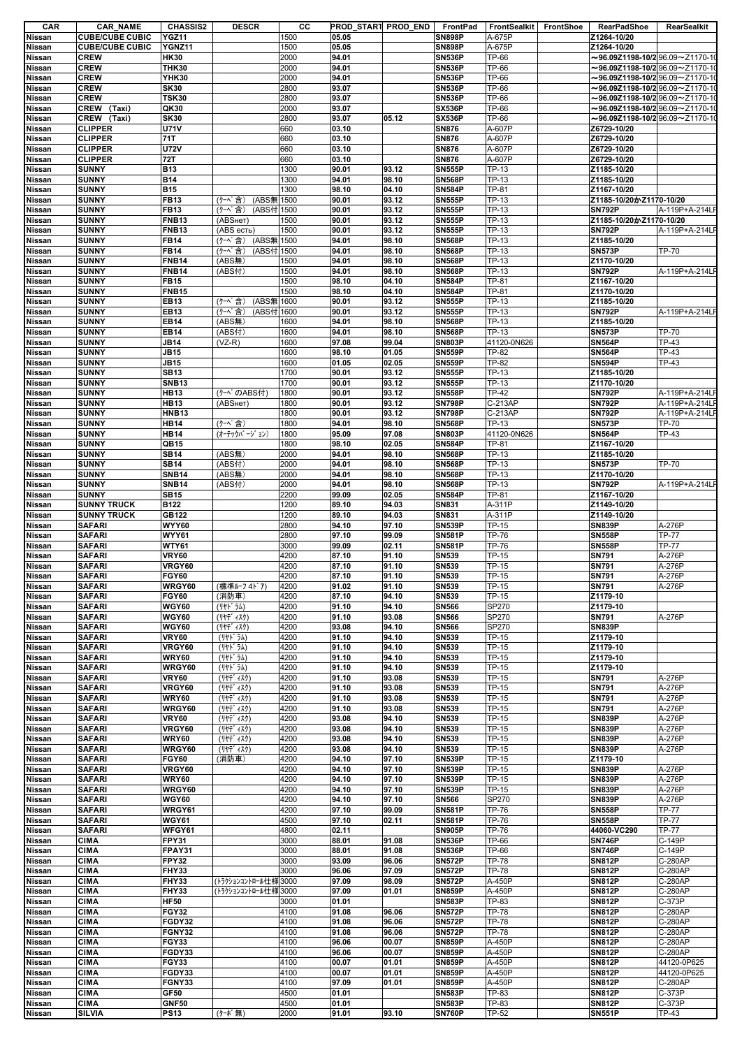| <b>CAR</b>       | <b>CAR_NAME</b>                       | <b>CHASSIS2</b>            | <b>DESCR</b>                   | CС           | PROD START PROD END |                | FrontPad                       | FrontSealkit     | FrontShoe | RearPadShoe                                               | RearSealkit      |
|------------------|---------------------------------------|----------------------------|--------------------------------|--------------|---------------------|----------------|--------------------------------|------------------|-----------|-----------------------------------------------------------|------------------|
| Nissan           | <b>CUBE/CUBE CUBIC</b>                | YGZ11                      |                                | 1500         | 05.05               |                | <b>SN898P</b>                  | A-675P           |           | Z1264-10/20                                               |                  |
| Nissan<br>Nissan | <b>CUBE/CUBE CUBIC</b><br><b>CREW</b> | YGNZ11<br><b>HK30</b>      |                                | 1500<br>2000 | 05.05<br>94.01      |                | <b>SN898P</b><br><b>SN536P</b> | A-675P<br>TP-66  |           | Z1264-10/20<br>$\sim$ 96.09Z1198-10/296.09 $\sim$ Z1170-1 |                  |
| Nissan           | <b>CREW</b>                           | <b>THK30</b>               |                                | 2000         | 94.01               |                | <b>SN536P</b>                  | TP-66            |           | $\sim$ 96.09Z1198-10/296.09 $\sim$ Z1170-1                |                  |
| Nissan           | <b>CREW</b>                           | YHK30                      |                                | 2000         | 94.01               |                | <b>SN536P</b>                  | TP-66            |           | $\sim$ 96.09Z1198-10/2 96.09 $\sim$ Z1170-1               |                  |
| Nissan           | <b>CREW</b>                           | <b>SK30</b>                |                                | 2800         | 93.07               |                | <b>SN536P</b>                  | TP-66            |           | $\sim$ 96.09Z1198-10/296.09 $\sim$ Z1170-1                |                  |
| Nissan           | <b>CREW</b>                           | <b>TSK30</b>               |                                | 2800         | 93.07               |                | <b>SN536P</b>                  | TP-66            |           | $\sim$ 96.09Z1198-10/2 96.09 $\sim$ Z1170-1               |                  |
| Nissan           | CREW (Taxi)                           | QK30                       |                                | 2000         | 93.07               |                | <b>SX536P</b>                  | TP-66            |           | $\sim$ 96.09Z1198-10/2 96.09 $\sim$ Z1170-1               |                  |
| Nissan           | CREW (Taxi)                           | <b>SK30</b>                |                                | 2800         | 93.07               | 05.12          | <b>SX536P</b>                  | TP-66            |           | $\sim$ 96.09Z1198-10/2 96.09 $\sim$ Z1170-10              |                  |
| Nissan           | <b>CLIPPER</b>                        | <b>U71V</b>                |                                | 660          | 03.10               |                | <b>SN876</b>                   | A-607P           |           | Z6729-10/20                                               |                  |
| Nissan           | <b>CLIPPER</b>                        | 71T                        |                                | 660          | 03.10               |                | <b>SN876</b>                   | A-607P           |           | Z6729-10/20                                               |                  |
| Nissan           | <b>CLIPPER</b>                        | <b>U72V</b>                |                                | 660          | 03.10               |                | <b>SN876</b>                   | A-607P           |           | Z6729-10/20                                               |                  |
| Nissan           | <b>CLIPPER</b>                        | <b>72T</b>                 |                                | 660          | 03.10               |                | <b>SN876</b>                   | A-607P           |           | Z6729-10/20                                               |                  |
| Nissan           | <b>SUNNY</b>                          | <b>B13</b>                 |                                | 1300         | 90.01               | 93.12          | <b>SN555P</b>                  | TP-13            |           | Z1185-10/20<br>Z1185-10/20                                |                  |
| Nissan<br>Nissan | <b>SUNNY</b><br><b>SUNNY</b>          | <b>B14</b><br><b>B15</b>   |                                | 1300<br>1300 | 94.01<br>98.10      | 98.10<br>04.10 | <b>SN568P</b><br><b>SN584P</b> | TP-13<br>TP-81   |           | Z1167-10/20                                               |                  |
| Nissan           | <b>SUNNY</b>                          | <b>FB13</b>                | (ABS無 1500<br>(クーペ含)           |              | 90.01               | 93.12          | <b>SN555P</b>                  | TP-13            |           | Z1185-10/20かZ1170-10/20                                   |                  |
| Nissan           | <b>SUNNY</b>                          | <b>FB13</b>                | (クーペ含)<br>(ABS付 1500           |              | 90.01               | 93.12          | <b>SN555P</b>                  | TP-13            |           | <b>SN792P</b>                                             | A-119P+A-214L    |
| Nissan           | <b>SUNNY</b>                          | <b>FNB13</b>               | (АВSнет)                       | 1500         | 90.01               | 93.12          | <b>SN555P</b>                  | TP-13            |           | Z1185-10/20かZ1170-10/20                                   |                  |
| Nissan           | <b>SUNNY</b>                          | <b>FNB13</b>               | (ABS есть)                     | 1500         | 90.01               | 93.12          | <b>SN555P</b>                  | TP-13            |           | <b>SN792P</b>                                             | A-119P+A-214LF   |
| Nissan           | <b>SUNNY</b>                          | <b>FB14</b>                | (ABS無 1500<br>(クーベ含)           |              | 94.01               | 98.10          | <b>SN568P</b>                  | TP-13            |           | Z1185-10/20                                               |                  |
| Nissan           | <b>SUNNY</b>                          | <b>FB14</b>                | (クーペ含)<br>(ABS付 1500           |              | 94.01               | 98.10          | <b>SN568P</b>                  | TP-13            |           | <b>SN573P</b>                                             | TP-70            |
| Nissan           | <b>SUNNY</b>                          | <b>FNB14</b>               | (ABS#)                         | 1500         | 94.01               | 98.10          | <b>SN568P</b>                  | TP-13            |           | Z1170-10/20                                               |                  |
| Nissan           | <b>SUNNY</b>                          | <b>FNB14</b>               | (ABS付)                         | 1500         | 94.01               | 98.10          | <b>SN568P</b>                  | TP-13            |           | <b>SN792P</b>                                             | A-119P+A-214LF   |
| Nissan           | <b>SUNNY</b>                          | <b>FB15</b>                |                                | 1500         | 98.10               | 04.10          | <b>SN584P</b>                  | TP-81            |           | Z1167-10/20                                               |                  |
| Nissan           | <b>SUNNY</b>                          | <b>FNB15</b>               |                                | 1500         | 98.10               | 04.10          | <b>SN584P</b>                  | TP-81            |           | Z1170-10/20                                               |                  |
| Nissan           | <b>SUNNY</b>                          | EB13                       | (クーベ含)<br>(ABS無                | 1600         | 90.01               | 93.12          | <b>SN555P</b>                  | TP-13            |           | Z1185-10/20                                               |                  |
| Nissan<br>Nissan | <b>SUNNY</b><br><b>SUNNY</b>          | <b>EB13</b><br><b>EB14</b> | (クーペ含)<br>(ABS付 1600<br>(ABS無) | 1600         | 90.01<br>94.01      | 93.12<br>98.10 | <b>SN555P</b><br><b>SN568P</b> | TP-13<br>TP-13   |           | <b>SN792P</b><br>Z1185-10/20                              | A-119P+A-214LF   |
| Nissan           | <b>SUNNY</b>                          | <b>EB14</b>                | (ABS付)                         | 1600         | 94.01               | 98.10          | <b>SN568P</b>                  | TP-13            |           | <b>SN573P</b>                                             | <b>TP-70</b>     |
| Nissan           | <b>SUNNY</b>                          | <b>JB14</b>                | $(VZ-R)$                       | 1600         | 97.08               | 99.04          | <b>SN803P</b>                  | 41120-0N626      |           | <b>SN564P</b>                                             | TP-43            |
| Nissan           | <b>SUNNY</b>                          | <b>JB15</b>                |                                | 1600         | 98.10               | 01.05          | <b>SN559P</b>                  | TP-82            |           | <b>SN564P</b>                                             | TP-43            |
| Nissan           | <b>SUNNY</b>                          | <b>JB15</b>                |                                | 1600         | 01.05               | 02.05          | <b>SN559P</b>                  | TP-82            |           | <b>SN594P</b>                                             | <b>TP-43</b>     |
| Nissan           | <b>SUNNY</b>                          | <b>SB13</b>                |                                | 1700         | 90.01               | 93.12          | <b>SN555P</b>                  | TP-13            |           | Z1185-10/20                                               |                  |
| Nissan           | <b>SUNNY</b>                          | <b>SNB13</b>               |                                | 1700         | 90.01               | 93.12          | <b>SN555P</b>                  | TP-13            |           | Z1170-10/20                                               |                  |
| Nissan           | <b>SUNNY</b>                          | <b>HB13</b>                | (ケーペのABS付)                     | 1800         | 90.01               | 93.12          | <b>SN558P</b>                  | TP-42            |           | <b>SN792P</b>                                             | A-119P+A-214L    |
| Nissan           | <b>SUNNY</b>                          | <b>HB13</b>                | (АВSнет)                       | 1800         | 90.01               | 93.12          | <b>SN798P</b>                  | C-213AP          |           | <b>SN792P</b>                                             | A-119P+A-214LF   |
| <b>Nissan</b>    | <b>SUNNY</b>                          | <b>HNB13</b>               |                                | 1800         | 90.01               | 93.12          | <b>SN798P</b>                  | C-213AP          |           | <b>SN792P</b>                                             | A-119P+A-214LF   |
| Nissan           | <b>SUNNY</b>                          | <b>HB14</b>                | (クーペ含)                         | 1800         | 94.01               | 98.10          | <b>SN568P</b>                  | TP-13            |           | <b>SN573P</b>                                             | <b>TP-70</b>     |
| Nissan           | <b>SUNNY</b>                          | <b>HB14</b>                | (オーテックバージョン)                   | 1800         | 95.09               | 97.08          | <b>SN803P</b>                  | 41120-0N626      |           | <b>SN564P</b>                                             | TP-43            |
| Nissan           | <b>SUNNY</b>                          | QB15                       |                                | 1800         | 98.10               | 02.05          | <b>SN584P</b>                  | TP-81            |           | Z1167-10/20                                               |                  |
| Nissan           | <b>SUNNY</b>                          | <b>SB14</b>                | (ABS無)                         | 2000         | 94.01               | 98.10          | <b>SN568P</b>                  | TP-13            |           | Z1185-10/20                                               |                  |
| <b>Nissan</b>    | <b>SUNNY</b>                          | <b>SB14</b>                | (ABS付)                         | 2000         | 94.01               | 98.10          | <b>SN568P</b>                  | TP-13            |           | <b>SN573P</b>                                             | <b>TP-70</b>     |
| Nissan           | <b>SUNNY</b>                          | <b>SNB14</b>               | (ABS#)                         | 2000         | 94.01               | 98.10          | <b>SN568P</b>                  | TP-13            |           | Z1170-10/20                                               |                  |
| Nissan           | <b>SUNNY</b>                          | <b>SNB14</b>               | (ABS付)                         | 2000         | 94.01               | 98.10          | <b>SN568P</b>                  | TP-13            |           | <b>SN792P</b>                                             | A-119P+A-214LI   |
| <b>Nissan</b>    | <b>SUNNY</b>                          | <b>SB15</b>                |                                | 2200         | 99.09               | 02.05          | <b>SN584P</b>                  | TP-81            |           | Z1167-10/20                                               |                  |
| <b>Nissan</b>    | <b>SUNNY TRUCK</b>                    | B122<br>GB122              |                                | 1200         | 89.10<br>89.10      | 94.03          | SN831<br><b>SN831</b>          | A-311P<br>A-311P |           | Z1149-10/20<br>Z1149-10/20                                |                  |
| Nissan<br>Nissan | <b>SUNNY TRUCK</b><br><b>SAFARI</b>   | <b>WYY60</b>               |                                | 1200<br>2800 | 94.10               | 94.03<br>97.10 | <b>SN539P</b>                  | TP-15            |           | <b>SN839P</b>                                             | A-276P           |
| Nissan           | <b>SAFARI</b>                         | <b>WYY61</b>               |                                | 2800         | 97.10               | 99.09          | <b>SN581P</b>                  | TP-76            |           | <b>SN558P</b>                                             | <b>TP-77</b>     |
| Nissan           | <b>SAFARI</b>                         | <b>WTY61</b>               |                                | 3000         | 99.09               | 02.11          | <b>SN581P</b>                  | TP-76            |           | <b>SN558P</b>                                             | <b>TP-77</b>     |
| Nissan           | <b>SAFARI</b>                         | <b>VRY60</b>               |                                | 4200         | 87.10               | 91.10          | <b>SN539</b>                   | TP-15            |           | <b>SN791</b>                                              | A-276P           |
| Nissan           | <b>SAFARI</b>                         | VRGY60                     |                                | 4200         | 87.10               | 91.10          | SN539                          | TP-15            |           | <b>SN791</b>                                              | A-276P           |
| Nissan           | <b>SAFARI</b>                         | <b>FGY60</b>               |                                | 4200         | 87.10               | 91.10          | SN539                          | TP-15            |           | <b>SN791</b>                                              | A-276P           |
| Nissan           | <b>SAFARI</b>                         | WRGY60                     | (標準ルーフ 4ドア)                    | 4200         | 91.02               | 91.10          | <b>SN539</b>                   | TP-15            |           | <b>SN791</b>                                              | A-276P           |
| Nissan           | <b>SAFARI</b>                         | <b>FGY60</b>               | (消防車)                          | 4200         | 87.10               | 94.10          | <b>SN539</b>                   | TP-15            |           | Z1179-10                                                  |                  |
| Nissan           | <b>SAFARI</b>                         | <b>WGY60</b>               | (リヤト゛ラム)                       | 4200         | 91.10               | 94.10          | <b>SN566</b>                   | SP270            |           | Z1179-10                                                  |                  |
| Nissan           | <b>SAFARI</b>                         | <b>WGY60</b>               | (リヤデ゛ィスク)                      | 4200         | 91.10               | 93.08          | <b>SN566</b>                   | SP270            |           | <b>SN791</b>                                              | A-276P           |
| <b>Nissan</b>    | <b>SAFARI</b>                         | <b>WGY60</b>               | (リヤデ ィスク)                      | 4200         | 93.08               | 94.10          | <b>SN566</b>                   | SP270            |           | <b>SN839P</b>                                             |                  |
| Nissan           | <b>SAFARI</b>                         | <b>VRY60</b>               | (リヤト・ラム)                       | 4200         | 91.10               |                |                                |                  |           |                                                           |                  |
| Nissan           | <b>SAFARI</b>                         |                            |                                |              |                     | 94.10          | <b>SN539</b>                   | TP-15            |           | Z1179-10                                                  |                  |
| Nissan<br>Nissan |                                       | VRGY60                     | ( Jヤト ラム)                      | 4200         | 91.10               | 94.10          | <b>SN539</b>                   | TP-15            |           | Z1179-10                                                  |                  |
|                  | <b>SAFARI</b>                         | <b>WRY60</b>               | (リヤト・ラム)                       | 4200         | 91.10               | 94.10          | <b>SN539</b>                   | TP-15            |           | Z1179-10                                                  |                  |
|                  | <b>SAFARI</b>                         | WRGY60                     | (リヤト・ラム)                       | 4200         | 91.10               | 94.10          | <b>SN539</b>                   | TP-15            |           | Z1179-10                                                  |                  |
| Nissan           | <b>SAFARI</b>                         | <b>VRY60</b>               | $(1177 + 177)$                 | 4200         | 91.10               | 93.08          | <b>SN539</b>                   | TP-15            |           | <b>SN791</b>                                              | A-276P           |
| Nissan           | <b>SAFARI</b>                         | VRGY60                     | (リヤデ ィスク)                      | 4200         | 91.10               | 93.08          | <b>SN539</b>                   | TP-15            |           | <b>SN791</b>                                              | A-276P           |
| Nissan<br>Nissan | <b>SAFARI</b><br><b>SAFARI</b>        | <b>WRY60</b><br>WRGY60     | (リヤデ ィスク)<br>(リヤデ ィスク)         | 4200<br>4200 | 91.10<br>91.10      | 93.08<br>93.08 | <b>SN539</b><br><b>SN539</b>   | TP-15<br>TP-15   |           | <b>SN791</b><br><b>SN791</b>                              | A-276P<br>A-276P |
| Nissan           | <b>SAFARI</b>                         | <b>VRY60</b>               | (リヤデ ィスク)                      | 4200         | 93.08               | 94.10          | <b>SN539</b>                   | TP-15            |           | <b>SN839P</b>                                             | A-276P           |
| Nissan           | <b>SAFARI</b>                         | VRGY60                     | (リヤデ ィスク)                      | 4200         | 93.08               | 94.10          | <b>SN539</b>                   | TP-15            |           | <b>SN839P</b>                                             | A-276P           |
| <b>Nissan</b>    | <b>SAFARI</b>                         | <b>WRY60</b>               | (リヤデ ィスク)                      | 4200         | 93.08               | 94.10          | <b>SN539</b>                   | TP-15            |           | <b>SN839P</b>                                             | A-276P           |
| Nissan           | <b>SAFARI</b>                         | WRGY60                     | (リヤデ ィスク)                      | 4200         | 93.08               | 94.10          | <b>SN539</b>                   | TP-15            |           | <b>SN839P</b>                                             | A-276P           |
| Nissan           | <b>SAFARI</b>                         | <b>FGY60</b>               | (消防車)                          | 4200         | 94.10               | 97.10          | <b>SN539P</b>                  | TP-15            |           | Z1179-10                                                  |                  |
| Nissan           | <b>SAFARI</b>                         | <b>VRGY60</b>              |                                | 4200         | 94.10               | 97.10          | <b>SN539P</b>                  | TP-15            |           | <b>SN839P</b>                                             | A-276P           |
| Nissan           | <b>SAFARI</b>                         | <b>WRY60</b>               |                                | 4200         | 94.10               | 97.10          | <b>SN539P</b>                  | TP-15            |           | <b>SN839P</b>                                             | A-276P           |
| Nissan           | <b>SAFARI</b>                         | WRGY60                     |                                | 4200         | 94.10               | 97.10          | <b>SN539P</b>                  | TP-15            |           | <b>SN839P</b>                                             | A-276P           |
| Nissan           | <b>SAFARI</b>                         | <b>WGY60</b>               |                                | 4200         | 94.10               | 97.10          | <b>SN566</b>                   | SP270            |           | <b>SN839P</b>                                             | A-276P           |
| Nissan           | <b>SAFARI</b>                         | WRGY61                     |                                | 4200         | 97.10               | 99.09          | <b>SN581P</b>                  | TP-76            |           | <b>SN558P</b>                                             | <b>TP-77</b>     |
| Nissan           | <b>SAFARI</b>                         | <b>WGY61</b>               |                                | 4500         | 97.10               | 02.11          | <b>SN581P</b>                  | TP-76            |           | <b>SN558P</b>                                             | <b>TP-77</b>     |
| Nissan           | <b>SAFARI</b>                         | WFGY61                     |                                | 4800         | 02.11               |                | <b>SN905P</b>                  | TP-76            |           | 44060-VC290                                               | <b>TP-77</b>     |
| Nissan<br>Nissan | <b>CIMA</b><br><b>CIMA</b>            | FPY31<br>FPAY31            |                                | 3000<br>3000 | 88.01<br>88.01      | 91.08<br>91.08 | <b>SN536P</b><br><b>SN536P</b> | TP-66<br>TP-66   |           | <b>SN746P</b><br><b>SN746P</b>                            | C-149P<br>C-149P |
| Nissan           | <b>CIMA</b>                           | FPY32                      |                                | 3000         | 93.09               | 96.06          | <b>SN572P</b>                  | TP-78            |           | <b>SN812P</b>                                             | C-280AP          |
| Nissan           | <b>CIMA</b>                           | FHY33                      |                                | 3000         | 96.06               | 97.09          | <b>SN572P</b>                  | TP-78            |           | <b>SN812P</b>                                             | C-280AP          |
| Nissan           | <b>CIMA</b>                           | FHY33                      | (トラクションコントロール仕様                | 3000         | 97.09               | 98.09          | <b>SN572P</b>                  | A-450P           |           | <b>SN812P</b>                                             | C-280AP          |
| Nissan           | <b>CIMA</b>                           | FHY33                      | トラクションコントロール仕様                 | 3000         | 97.09               | 01.01          | <b>SN859P</b>                  | A-450P           |           | <b>SN812P</b>                                             | C-280AP          |
| Nissan           | <b>CIMA</b>                           | <b>HF50</b>                |                                | 3000         | 01.01               |                | <b>SN583P</b>                  | TP-83            |           | <b>SN812P</b>                                             | C-373P           |
| Nissan           | <b>CIMA</b>                           | <b>FGY32</b>               |                                | 4100         | 91.08               | 96.06          | <b>SN572P</b>                  | TP-78            |           | <b>SN812P</b>                                             | C-280AP          |
| Nissan           | <b>CIMA</b>                           | FGDY32                     |                                | 4100         | 91.08               | 96.06          | <b>SN572P</b>                  | TP-78            |           | <b>SN812P</b>                                             | C-280AP          |
| Nissan           | <b>CIMA</b>                           | FGNY32                     |                                | 4100         | 91.08               | 96.06          | <b>SN572P</b>                  | TP-78            |           | <b>SN812P</b>                                             | C-280AP          |
| Nissan           | <b>CIMA</b>                           | FGY33                      |                                | 4100         | 96.06               | 00.07          | <b>SN859P</b>                  | A-450P           |           | <b>SN812P</b>                                             | C-280AP          |
| Nissan           | <b>CIMA</b>                           | FGDY33                     |                                | 4100         | 96.06               | 00.07          | <b>SN859P</b>                  | A-450P           |           | <b>SN812P</b>                                             | C-280AP          |
| Nissan           | <b>CIMA</b>                           | <b>FGY33</b>               |                                | 4100         | 00.07               | 01.01          | <b>SN859P</b>                  | A-450P           |           | <b>SN812P</b>                                             | 44120-0P625      |
| Nissan           | <b>CIMA</b>                           | FGDY33                     |                                | 4100         | 00.07               | 01.01          | <b>SN859P</b>                  | A-450P           |           | <b>SN812P</b>                                             | 44120-0P625      |
| Nissan           | <b>CIMA</b>                           | FGNY33                     |                                | 4100         | 97.09               | 01.01          | <b>SN859P</b>                  | A-450P           |           | <b>SN812P</b>                                             | C-280AP          |
| Nissan<br>Nissan | <b>CIMA</b><br><b>CIMA</b>            | GF50<br><b>GNF50</b>       |                                | 4500<br>4500 | 01.01<br>01.01      |                | <b>SN583P</b><br><b>SN583P</b> | TP-83<br>TP-83   |           | <b>SN812P</b><br><b>SN812P</b>                            | C-373P<br>C-373P |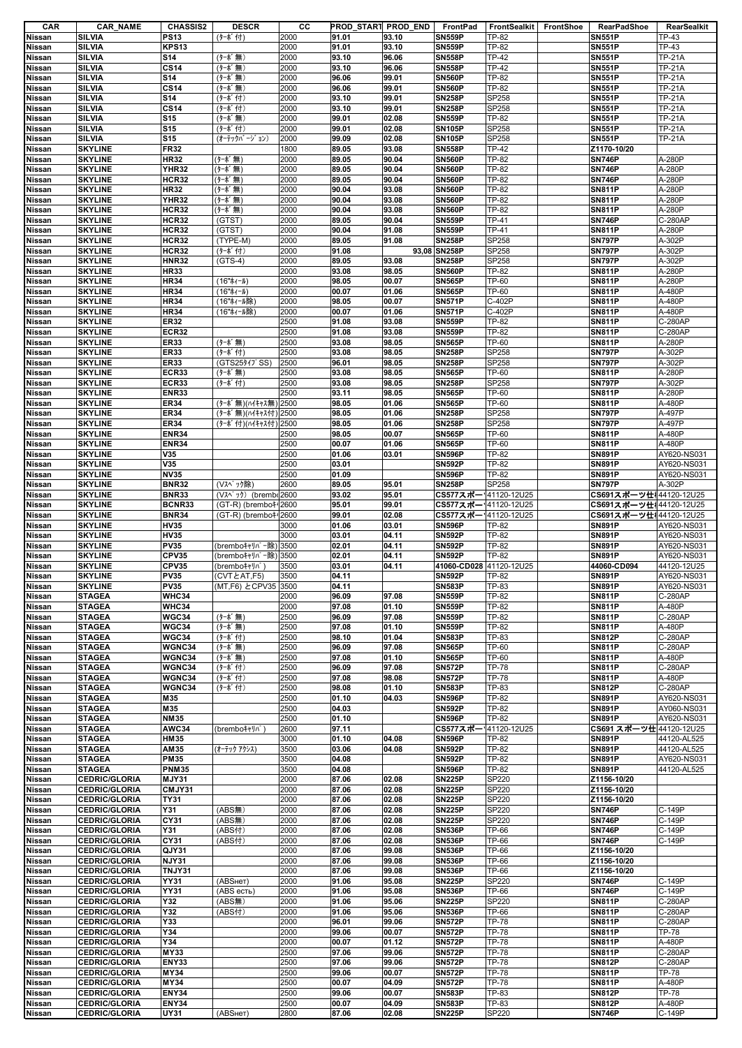| CAR                            | <b>CAR_NAME</b>                              | <b>CHASSIS2</b>              | <b>DESCR</b>                | cс           | PROD START PROD_END |                | FrontPad                              | FrontSealkit   | FrontShoe | RearPadShoe                             | RearSealkit                    |
|--------------------------------|----------------------------------------------|------------------------------|-----------------------------|--------------|---------------------|----------------|---------------------------------------|----------------|-----------|-----------------------------------------|--------------------------------|
| Nissan                         | <b>SILVIA</b>                                | <b>PS13</b>                  | (ターボ付)                      | 2000         | 91.01               | 93.10          | <b>SN559P</b>                         | <b>TP-82</b>   |           | <b>SN551P</b>                           | TP-43                          |
| Nissan                         | SILVIA                                       | <b>KPS13</b>                 |                             | 2000         | 91.01               | 93.10          | <b>SN559P</b>                         | TP-82          |           | <b>SN551P</b>                           | TP-43                          |
| Nissan                         | SILVIA                                       | <b>S14</b>                   | (ターボ無)                      | 2000         | 93.10               | 96.06          | <b>SN558P</b>                         | <b>TP-42</b>   |           | <b>SN551P</b>                           | <b>TP-21A</b>                  |
| Nissan                         | SILVIA                                       | <b>CS14</b>                  | (ターボ無)                      | 2000         | 93.10               | 96.06          | <b>SN558P</b>                         | <b>TP-42</b>   |           | <b>SN551P</b>                           | TP-21A                         |
| Nissan                         | SILVIA                                       | <b>S14</b>                   | (ターボ無)                      | 2000         | 96.06               | 99.01          | <b>SN560P</b>                         | <b>TP-82</b>   |           | <b>SN551P</b>                           | <b>TP-21A</b>                  |
| Nissan                         | <b>SILVIA</b>                                | <b>CS14</b>                  | (ターボ無)                      | 2000         | 96.06               | 99.01          | <b>SN560P</b>                         | <b>TP-82</b>   |           | <b>SN551P</b>                           | <b>TP-21A</b>                  |
| Nissan                         | SILVIA                                       | <b>S14</b>                   | (ターボ付)                      | 2000         | 93.10               | 99.01          | <b>SN258P</b>                         | SP258          |           | <b>SN551P</b>                           | <b>TP-21A</b>                  |
| Nissan                         | SILVIA                                       | <b>CS14</b>                  | (ターボ付)                      | 2000         | 93.10               | 99.01          | <b>SN258P</b>                         | SP258          |           | <b>SN551P</b>                           | <b>TP-21A</b>                  |
| Nissan                         | SILVIA                                       | <b>S15</b>                   | (ターボ無)                      | 2000         | 99.01               | 02.08          | <b>SN559P</b><br><b>SN105P</b>        | <b>TP-82</b>   |           | <b>SN551P</b>                           | <b>TP-21A</b>                  |
| <b>Nissan</b>                  | SILVIA<br>SILVIA                             | <b>S15</b><br><b>S15</b>     | (ターボ付)<br>(オーテックバ ージ ョン)    | 2000<br>2000 | 99.01<br>99.09      | 02.08<br>02.08 | <b>SN105P</b>                         | SP258<br>SP258 |           | <b>SN551P</b><br><b>SN551P</b>          | <b>TP-21A</b><br><b>TP-21A</b> |
| Nissan<br>Nissan               | <b>SKYLINE</b>                               | <b>FR32</b>                  |                             | 1800         | 89.05               | 93.08          | <b>SN558P</b>                         | TP-42          |           | Z1170-10/20                             |                                |
| <b>Nissan</b>                  | <b>SKYLINE</b>                               | <b>HR32</b>                  | (ターボ無)                      | 2000         | 89.05               | 90.04          | <b>SN560P</b>                         | <b>TP-82</b>   |           | <b>SN746P</b>                           | A-280P                         |
| <b>Nissan</b>                  | <b>SKYLINE</b>                               | <b>YHR32</b>                 | (ターボ無)                      | 2000         | 89.05               | 90.04          | <b>SN560P</b>                         | <b>TP-82</b>   |           | <b>SN746P</b>                           | A-280P                         |
| Nissan                         | <b>SKYLINE</b>                               | HCR32                        | (ターボ無)                      | 2000         | 89.05               | 90.04          | <b>SN560P</b>                         | <b>TP-82</b>   |           | <b>SN746P</b>                           | A-280P                         |
| Nissan                         | <b>SKYLINE</b>                               | <b>HR32</b>                  | (ターボ無)                      | 2000         | 90.04               | 93.08          | <b>SN560P</b>                         | <b>TP-82</b>   |           | <b>SN811P</b>                           | A-280P                         |
| <b>Nissan</b>                  | <b>SKYLINE</b>                               | <b>YHR32</b>                 | (ターボ無)                      | 2000         | 90.04               | 93.08          | <b>SN560P</b>                         | <b>TP-82</b>   |           | <b>SN811P</b>                           | A-280P                         |
| Nissan                         | <b>SKYLINE</b>                               | HCR32                        | (ターボ無)                      | 2000         | 90.04               | 93.08          | <b>SN560P</b>                         | <b>TP-82</b>   |           | <b>SN811P</b>                           | A-280P                         |
| Nissan                         | <b>SKYLINE</b>                               | HCR32                        | (GTST)                      | 2000         | 89.05               | 90.04          | <b>SN559P</b>                         | <b>TP-41</b>   |           | <b>SN746P</b>                           | C-280AP                        |
| <b>Nissan</b>                  | <b>SKYLINE</b>                               | HCR32                        | (GTST)                      | 2000         | 90.04               | 91.08          | <b>SN559P</b>                         | <b>TP-41</b>   |           | <b>SN811P</b>                           | A-280P                         |
| <b>Nissan</b>                  | <b>SKYLINE</b>                               | HCR32                        | (TYPE-M)                    | 2000         | 89.05               | 91.08          | <b>SN258P</b>                         | SP258          |           | <b>SN797P</b>                           | A-302P                         |
| <b>Nissan</b>                  | <b>SKYLINE</b>                               | HCR32                        | (ターボ付)                      | 2000         | 91.08               |                | 93,08 SN258P                          | SP258          |           | <b>SN797P</b>                           | A-302P                         |
| Nissan                         | <b>SKYLINE</b>                               | <b>HNR32</b>                 | $(GTS-4)$                   | 2000         | 89.05               | 93.08          | <b>SN258P</b>                         | SP258          |           | <b>SN797P</b>                           | A-302P                         |
| <b>Nissan</b>                  | <b>SKYLINE</b>                               | <b>HR33</b>                  |                             | 2000         | 93.08               | 98.05          | <b>SN560P</b>                         | <b>TP-82</b>   |           | <b>SN811P</b>                           | A-280P                         |
| Nissan                         | <b>SKYLINE</b>                               | <b>HR34</b>                  | (16"ホィール)                   | 2000         | 98.05               | 00.07          | <b>SN565P</b>                         | TP-60          |           | <b>SN811P</b>                           | A-280P                         |
| Nissan                         | <b>SKYLINE</b>                               | <b>HR34</b>                  | (16"ホィール)                   | 2000         | 00.07               | 01.06          | <b>SN565P</b>                         | TP-60          |           | <b>SN811P</b>                           | A-480P                         |
| <b>Nissan</b>                  | <b>SKYLINE</b>                               | <b>HR34</b>                  | (16"ホィール除)                  | 2000         | 98.05               | 00.07          | <b>SN571P</b>                         | C-402P         |           | <b>SN811P</b>                           | A-480P                         |
| <b>Nissan</b>                  | <b>SKYLINE</b>                               | <b>HR34</b>                  | (16"ホィール除)                  | 2000         | 00.07               | 01.06          | <b>SN571P</b>                         | C-402P         |           | <b>SN811P</b>                           | A-480P                         |
| Nissan                         | <b>SKYLINE</b>                               | <b>ER32</b>                  |                             | 2500         | 91.08               | 93.08          | <b>SN559P</b>                         | TP-82          |           | <b>SN811P</b>                           | C-280AP                        |
| Nissan                         | <b>SKYLINE</b>                               | <b>ECR32</b>                 |                             | 2500         | 91.08               | 93.08          | <b>SN559P</b>                         | <b>TP-82</b>   |           | <b>SN811P</b>                           | $C-280AP$                      |
| Nissan                         | <b>SKYLINE</b>                               | <b>ER33</b>                  | (ターボ無)                      | 2500         | 93.08               | 98.05          | <b>SN565P</b>                         | <b>TP-60</b>   |           | <b>SN811P</b>                           | A-280P                         |
| <b>Nissan</b>                  | <b>SKYLINE</b><br><b>SKYLINE</b>             | <b>ER33</b><br><b>ER33</b>   | (ターボ付)<br>(GTS25)47° SS)    | 2500<br>2500 | 93.08<br>96.01      | 98.05<br>98.05 | <b>SN258P</b><br><b>SN258P</b>        | SP258<br>SP258 |           | <b>SN797P</b><br><b>SN797P</b>          | A-302P<br>A-302P               |
| <b>Nissan</b><br>Nissan        | <b>SKYLINE</b>                               | <b>ECR33</b>                 | (ターボ無)                      | 2500         | 93.08               | 98.05          | <b>SN565P</b>                         | <b>TP-60</b>   |           | <b>SN811P</b>                           | A-280P                         |
| <b>Nissan</b>                  | <b>SKYLINE</b>                               | <b>ECR33</b>                 | (ターボ付)                      | 2500         | 93.08               | 98.05          | <b>SN258P</b>                         | SP258          |           | <b>SN797P</b>                           | A-302P                         |
| Nissan                         | <b>SKYLINE</b>                               | <b>ENR33</b>                 |                             | 2500         | 93.11               | 98.05          | <b>SN565P</b>                         | TP-60          |           | <b>SN811P</b>                           | A-280P                         |
| Nissan                         | <b>SKYLINE</b>                               | <b>ER34</b>                  | (ターボ無)(ハイキャス無)              | 2500         | 98.05               | 01.06          | <b>SN565P</b>                         | <b>TP-60</b>   |           | <b>SN811P</b>                           | A-480P                         |
| <b>Nissan</b>                  | <b>SKYLINE</b>                               | <b>ER34</b>                  | (ターボ無)(ハイキャス付)2500          |              | 98.05               | 01.06          | <b>SN258P</b>                         | SP258          |           | <b>SN797P</b>                           | A-497P                         |
| <b>Nissan</b>                  | <b>SKYLINE</b>                               | <b>ER34</b>                  | (ターボ付)(ハイキャス付) 2500         |              | 98.05               | 01.06          | <b>SN258P</b>                         | SP258          |           | <b>SN797P</b>                           | A-497P                         |
| Nissan                         | <b>SKYLINE</b>                               | <b>ENR34</b>                 |                             | 2500         | 98.05               | 00.07          | <b>SN565P</b>                         | <b>TP-60</b>   |           | <b>SN811P</b>                           | A-480P                         |
| Nissan                         | <b>SKYLINE</b>                               | <b>ENR34</b>                 |                             | 2500         | 00.07               | 01.06          | <b>SN565P</b>                         | <b>TP-60</b>   |           | <b>SN811P</b>                           | A-480P                         |
| <b>Nissan</b>                  | <b>SKYLINE</b>                               | V35                          |                             | 2500         | 01.06               | 03.01          | <b>SN596P</b>                         | <b>TP-82</b>   |           | <b>SN891P</b>                           | AY620-NS031                    |
| <b>Nissan</b>                  | <b>SKYLINE</b>                               | V35                          |                             | 2500         | 03.01               |                | <b>SN592P</b>                         | TP-82          |           | <b>SN891P</b>                           | AY620-NS031                    |
| Nissan                         | <b>SKYLINE</b>                               | <b>NV35</b>                  |                             | 2500         | 01.09               |                | <b>SN596P</b>                         | TP-82          |           | <b>SN891P</b>                           | AY620-NS031                    |
| <b>Nissan</b><br><b>Nissan</b> | <b>SKYLINE</b><br><b>SKYLINE</b>             | <b>BNR32</b><br><b>BNR33</b> | (Vスペック除)<br>(Vスペック) (brembo | 2600<br>2600 | 89.05<br>93.02      | 95.01<br>95.01 | <b>SN258P</b><br>CS577スポー141120-12U25 | SP258          |           | <b>SN797P</b><br>CS691スポーツ仕144120-12U25 | A-302P                         |
| <b>Nissan</b>                  | <b>SKYLINE</b>                               | BCNR33                       | (GT-R) (brembo‡ 2600        |              | 95.01               | 99.01          | CS577スポー141120-12U25                  |                |           | CS691スポーツ仕144120-12U25                  |                                |
| Nissan                         | <b>SKYLINE</b>                               | <b>BNR34</b>                 | (GT-R) (brembo‡             | 2600         | 99.01               | 02.08          | CS577スポー141120-12U25                  |                |           | CS691スポーツ仕144120-12U25                  |                                |
| <b>Nissan</b>                  | <b>SKYLINE</b>                               | <b>HV35</b>                  |                             | 3000         | 01.06               | 03.01          | <b>SN596P</b>                         | <b>TP-82</b>   |           | <b>SN891P</b>                           | AY620-NS031                    |
| Nissan                         | <b>SKYLINE</b>                               | <b>HV35</b>                  |                             | 3000         | 03.01               | 04.11          | <b>SN592P</b>                         | <b>TP-82</b>   |           | <b>SN891P</b>                           | AY620-NS031                    |
| Nissan                         | <b>SKYLINE</b>                               | <b>PV35</b>                  | (bremboキャリパー除)              | 3500         | 02.01               | 04.11          | <b>SN592P</b>                         | <b>TP-82</b>   |           | <b>SN891P</b>                           | AY620-NS031                    |
| Nissan                         | <b>SKYLINE</b>                               | CPV35                        | (bremboキャリパー除)              | 3500         | 02.01               | 04.11          | <b>SN592P</b>                         | TP-82          |           | <b>SN891P</b>                           | AY620-NS031                    |
| <b>Nissan</b>                  | <b>SKYLINE</b>                               | CPV35                        | (brembo#rl)n°               | 3500         | 03.01               | 04.11          | 41060-CD028 41120-12U25               |                |           | 44060-CD094                             | 44120-12U25                    |
| Nissan                         | <b>SKYLINE</b>                               | <b>PV35</b>                  | (CVTとAT,F5)                 | 3500         | 04.11               |                | <b>SN592P</b>                         | <b>TP-82</b>   |           | <b>SN891P</b>                           | AY620-NS031                    |
| Nissan                         | <b>SKYLINE</b>                               | <b>PV35</b>                  | (MT,F6) とCPV35 3500         |              | 04.11               |                | <b>SN583P</b>                         | TP-83          |           | <b>SN891P</b>                           | AY620-NS031                    |
| Nissan                         | <b>STAGEA</b><br><b>STAGEA</b>               | WHC34<br>WHC34               |                             | 2000         | 96.09<br>97.08      | 97.08<br>01.10 | <b>SN559P</b>                         | TP-82<br>TP-82 |           | <b>SN811P</b><br><b>SN811P</b>          | C-280AP<br>A-480P              |
| <b>Nissan</b><br>Nissan        | <b>STAGEA</b>                                | WGC34                        | (ターボ無)                      | 2000<br>2500 | 96.09               | 97.08          | <b>SN559P</b><br><b>SN559P</b>        | <b>TP-82</b>   |           | <b>SN811P</b>                           | C-280AP                        |
| Nissan                         | <b>STAGEA</b>                                | WGC34                        | (ターボ無)                      | 2500         | 97.08               | 01.10          | <b>SN559P</b>                         | <b>TP-82</b>   |           | <b>SN811P</b>                           | A-480P                         |
| Nissan                         | <b>STAGEA</b>                                | WGC34                        | (ターボ付)                      | 2500         | 98.10               | 01.04          | <b>SN583P</b>                         | TP-83          |           | <b>SN812P</b>                           | C-280AP                        |
| Nissan                         | <b>STAGEA</b>                                | WGNC34                       | (ターボ無)                      | 2500         | 96.09               | 97.08          | <b>SN565P</b>                         | TP-60          |           | <b>SN811P</b>                           | C-280AP                        |
| Nissan                         | <b>STAGEA</b>                                | WGNC34                       | (ターボ無)                      | 2500         | 97.08               | 01.10          |                                       |                |           |                                         |                                |
| Nissan                         | <b>STAGEA</b>                                | WGNC34                       | (ターボ付)                      | 2500         |                     |                | <b>SN565P</b>                         | <b>TP-60</b>   |           | <b>SN811P</b>                           | A-480P                         |
| <b>Nissan</b>                  | <b>STAGEA</b>                                | WGNC34                       |                             |              | 96.09               | 97.08          | <b>SN572P</b>                         | <b>TP-78</b>   |           | <b>SN811P</b>                           | C-280AP                        |
| Nissan                         | <b>STAGEA</b>                                |                              | (ターボ付)                      | 2500         | 97.08               | 98.08          | <b>SN572P</b>                         | <b>TP-78</b>   |           | <b>SN811P</b>                           | A-480P                         |
| <b>Nissan</b>                  |                                              | WGNC34                       | (ターボ付)                      | 2500         | 98.08               | 01.10          | <b>SN583P</b>                         | TP-83          |           | <b>SN812P</b>                           | C-280AP                        |
|                                | <b>STAGEA</b>                                | M35                          |                             | 2500         | 01.10               | 04.03          | <b>SN596P</b>                         | <b>TP-82</b>   |           | <b>SN891P</b>                           | AY620-NS031                    |
| Nissan                         | <b>STAGEA</b>                                | M35                          |                             | 2500         | 04.03               |                | <b>SN592P</b>                         | <b>TP-82</b>   |           | <b>SN891P</b>                           | AY060-NS031                    |
| Nissan                         | <b>STAGEA</b>                                | <b>NM35</b>                  |                             | 2500         | 01.10               |                | <b>SN596P</b>                         | TP-82          |           | <b>SN891P</b>                           | AY620-NS031                    |
| Nissan                         | <b>STAGEA</b>                                | <b>AWC34</b>                 | (brembo++Jn°                | 2600         | 97.11               |                | CS577スポー                              | 41120-12U25    |           | CS691 スポーツ仕 44120-12U25                 |                                |
| <b>Nissan</b>                  | <b>STAGEA</b>                                | <b>HM35</b>                  |                             | 3000         | 01.10               | 04.08          | <b>SN596P</b>                         | TP-82          |           | <b>SN891P</b>                           | 44120-AL525                    |
| Nissan                         | <b>STAGEA</b>                                | AM35                         | (オーテック アクシス)                | 3500         | 03.06               | 04.08          | <b>SN592P</b>                         | <b>TP-82</b>   |           | <b>SN891P</b>                           | 44120-AL525                    |
| <b>Nissan</b>                  | <b>STAGEA</b>                                | <b>PM35</b>                  |                             | 3500         | 04.08               |                | <b>SN592P</b>                         | <b>TP-82</b>   |           | <b>SN891P</b>                           | AY620-NS031                    |
| Nissan                         | <b>STAGEA</b><br><b>CEDRIC/GLORIA</b>        | <b>PNM35</b>                 |                             | 3500         | 04.08               | 02.08          | <b>SN596P</b><br><b>SN225P</b>        | <b>TP-82</b>   |           | <b>SN891P</b>                           | 44120-AL525                    |
| <b>Nissan</b><br>Nissan        | <b>CEDRIC/GLORIA</b>                         | MJY31<br>CMJY31              |                             | 2000<br>2000 | 87.06<br>87.06      | 02.08          | <b>SN225P</b>                         | SP220<br>SP220 |           | Z1156-10/20<br>Z1156-10/20              |                                |
| Nissan                         | <b>CEDRIC/GLORIA</b>                         | TY31                         |                             | 2000         | 87.06               | 02.08          | <b>SN225P</b>                         | SP220          |           | Z1156-10/20                             |                                |
| <b>Nissan</b>                  | <b>CEDRIC/GLORIA</b>                         | Y31                          | (ABS無)                      | 2000         | 87.06               | 02.08          | <b>SN225P</b>                         | SP220          |           | <b>SN746P</b>                           | C-149P                         |
| <b>Nissan</b>                  | <b>CEDRIC/GLORIA</b>                         | CY31                         | (ABS無)                      | 2000         | 87.06               | 02.08          | <b>SN225P</b>                         | <b>SP220</b>   |           | <b>SN746P</b>                           | C-149P                         |
| Nissan                         | <b>CEDRIC/GLORIA</b>                         | Y31                          | (ABS付)                      | 2000         | 87.06               | 02.08          | <b>SN536P</b>                         | <b>TP-66</b>   |           | <b>SN746P</b>                           | C-149P                         |
| <b>Nissan</b>                  | <b>CEDRIC/GLORIA</b>                         | CY31                         | (ABS付)                      | 2000         | 87.06               | 02.08          | <b>SN536P</b>                         | TP-66          |           | <b>SN746P</b>                           | C-149P                         |
| <b>Nissan</b>                  | <b>CEDRIC/GLORIA</b>                         | QJY31                        |                             | 2000         | 87.06               | 99.08          | <b>SN536P</b>                         | TP-66          |           | Z1156-10/20                             |                                |
| <b>Nissan</b>                  | <b>CEDRIC/GLORIA</b>                         | <b>NJY31</b>                 |                             | 2000         | 87.06               | 99.08          | <b>SN536P</b>                         | <b>TP-66</b>   |           | Z1156-10/20                             |                                |
| Nissan                         | <b>CEDRIC/GLORIA</b>                         | TNJY31                       |                             | 2000         | 87.06               | 99.08          | <b>SN536P</b>                         | <b>TP-66</b>   |           | Z1156-10/20                             |                                |
| Nissan                         | <b>CEDRIC/GLORIA</b>                         | <b>YY31</b>                  | (ABSHeT)                    | 2000         | 91.06               | 95.08          | <b>SN225P</b>                         | SP220          |           | <b>SN746P</b>                           | C-149P                         |
| <b>Nissan</b>                  | <b>CEDRIC/GLORIA</b>                         | <b>YY31</b><br>Y32           | (ABS есть)                  | 2000<br>2000 | 91.06<br>91.06      | 95.08<br>95.06 | <b>SN536P</b><br><b>SN225P</b>        | TP-66          |           | <b>SN746P</b>                           | C-149P<br>C-280AP              |
| Nissan<br>Nissan               | <b>CEDRIC/GLORIA</b><br><b>CEDRIC/GLORIA</b> | Y32                          | (ABS無)<br>(ABS付)            | 2000         | 91.06               | 95.06          | <b>SN536P</b>                         | SP220<br>TP-66 |           | <b>SN811P</b><br><b>SN811P</b>          | C-280AP                        |
| <b>Nissan</b>                  | <b>CEDRIC/GLORIA</b>                         | Y33                          |                             | 2000         | 96.01               | 99.06          | <b>SN572P</b>                         | <b>TP-78</b>   |           | <b>SN811P</b>                           | C-280AP                        |
| <b>Nissan</b>                  | <b>CEDRIC/GLORIA</b>                         | Y34                          |                             | 2000         | 99.06               | 00.07          | <b>SN572P</b>                         | <b>TP-78</b>   |           | <b>SN811P</b>                           | <b>TP-78</b>                   |
| Nissan                         | <b>CEDRIC/GLORIA</b>                         | Y34                          |                             | 2000         | 00.07               | 01.12          | <b>SN572P</b>                         | <b>TP-78</b>   |           | <b>SN811P</b>                           | A-480P                         |
|                                | <b>CEDRIC/GLORIA</b>                         | MY33                         |                             | 2500         | 97.06               | 99.06          | <b>SN572P</b>                         | <b>TP-78</b>   |           | <b>SN811P</b>                           | C-280AP                        |
| Nissan<br>Nissan               | <b>CEDRIC/GLORIA</b>                         | ENY33                        |                             | 2500         | 97.06               | 99.06          | <b>SN572P</b>                         | <b>TP-78</b>   |           | <b>SN812P</b>                           | C-280AP                        |
| Nissan                         | <b>CEDRIC/GLORIA</b>                         | <b>MY34</b>                  |                             | 2500         | 99.06               | 00.07          | <b>SN572P</b>                         | <b>TP-78</b>   |           | <b>SN811P</b>                           | <b>TP-78</b>                   |
| Nissan                         | <b>CEDRIC/GLORIA</b>                         | <b>MY34</b>                  |                             | 2500         | 00.07               | 04.09          | <b>SN572P</b>                         | <b>TP-78</b>   |           | <b>SN811P</b>                           | A-480P                         |
| <b>Nissan</b><br>Nissan        | <b>CEDRIC/GLORIA</b><br><b>CEDRIC/GLORIA</b> | <b>ENY34</b><br><b>ENY34</b> |                             | 2500<br>2500 | 99.06<br>00.07      | 00.07<br>04.09 | <b>SN583P</b><br><b>SN583P</b>        | TP-83<br>TP-83 |           | <b>SN812P</b><br><b>SN812P</b>          | <b>TP-78</b><br>A-480P         |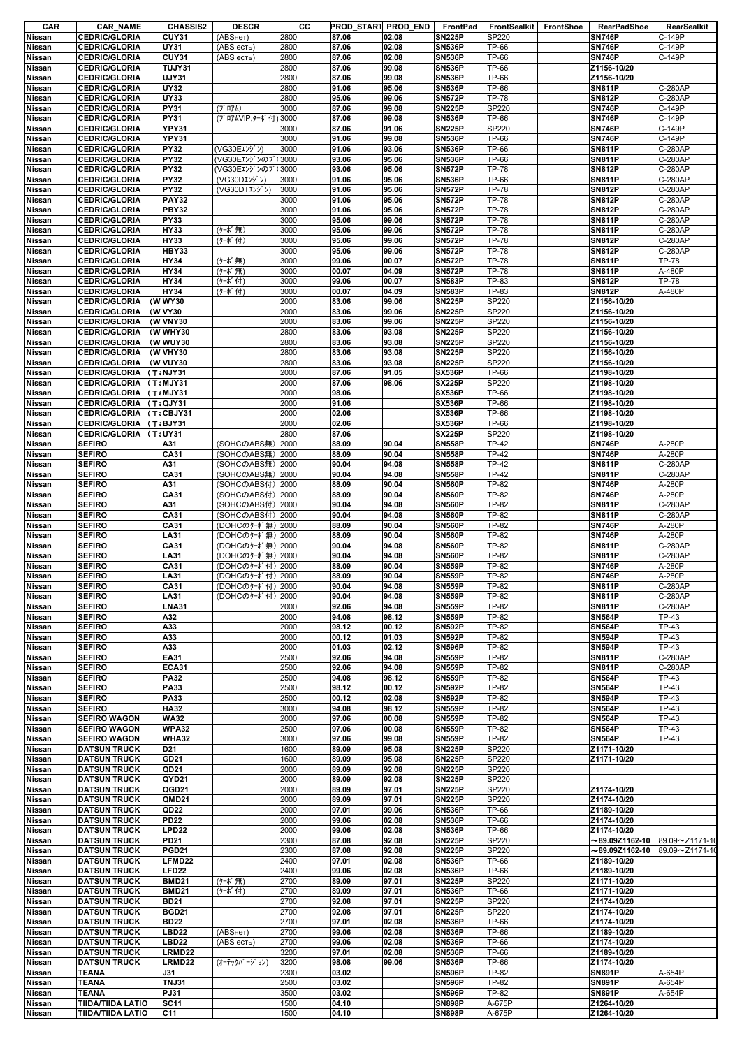| CAR           | <b>CAR NAME</b>          | <b>CHASSIS2</b>   | <b>DESCR</b>       | cс   | PROD_START PROD_END |       | FrontPad      | FrontSealkit | <b>FrontShoe</b> | <b>RearPadShoe</b>   | RearSealkit    |
|---------------|--------------------------|-------------------|--------------------|------|---------------------|-------|---------------|--------------|------------------|----------------------|----------------|
| Nissan        | <b>CEDRIC/GLORIA</b>     | CUY31             | (ABSHeT)           | 2800 | 87.06               | 02.08 | <b>SN225P</b> | SP220        |                  | <b>SN746P</b>        | C-149P         |
| Nissan        | <b>CEDRIC/GLORIA</b>     | <b>UY31</b>       | (ABS есть)         | 2800 | 87.06               | 02.08 | <b>SN536P</b> | TP-66        |                  | <b>SN746P</b>        | C-149P         |
| Nissan        | <b>CEDRIC/GLORIA</b>     | CUY31             | (ABS есть)         | 2800 | 87.06               | 02.08 | <b>SN536P</b> | TP-66        |                  | <b>SN746P</b>        | C-149P         |
|               |                          |                   |                    |      |                     |       |               |              |                  |                      |                |
| Nissan        | <b>CEDRIC/GLORIA</b>     | TUJY31            |                    | 2800 | 87.06               | 99.08 | <b>SN536P</b> | TP-66        |                  | Z1156-10/20          |                |
| <b>Nissan</b> | <b>CEDRIC/GLORIA</b>     | <b>UJY31</b>      |                    | 2800 | 87.06               | 99.08 | <b>SN536P</b> | TP-66        |                  | Z1156-10/20          |                |
| <b>Nissan</b> | <b>CEDRIC/GLORIA</b>     | <b>UY32</b>       |                    | 2800 | 91.06               | 95.06 | <b>SN536P</b> | TP-66        |                  | <b>SN811P</b>        | C-280AP        |
| Nissan        | <b>CEDRIC/GLORIA</b>     | <b>UY33</b>       |                    | 2800 | 95.06               | 99.06 | <b>SN572P</b> | TP-78        |                  | <b>SN812P</b>        | C-280AP        |
| Nissan        | <b>CEDRIC/GLORIA</b>     | <b>PY31</b>       | $(7'$ $\Box 7L)$   | 3000 | 87.06               | 99.08 | <b>SN225P</b> | SP220        |                  | <b>SN746P</b>        | C-149P         |
| Nissan        | <b>CEDRIC/GLORIA</b>     | <b>PY31</b>       | (ブロアムVIP.ターボ付)     | 3000 | 87.06               | 99.08 | <b>SN536P</b> | TP-66        |                  | <b>SN746P</b>        | C-149P         |
|               |                          |                   |                    |      | 87.06               |       |               |              |                  | <b>SN746P</b>        | C-149P         |
| Nissan        | <b>CEDRIC/GLORIA</b>     | <b>YPY31</b>      |                    | 3000 |                     | 91.06 | <b>SN225P</b> | SP220        |                  |                      |                |
| Nissan        | <b>CEDRIC/GLORIA</b>     | YPY31             |                    | 3000 | 91.06               | 99.08 | <b>SN536P</b> | TP-66        |                  | <b>SN746P</b>        | C-149P         |
| Nissan        | <b>CEDRIC/GLORIA</b>     | <b>PY32</b>       | (VG30Eエンジン)        | 3000 | 91.06               | 93.06 | <b>SN536P</b> | TP-66        |                  | <b>SN811P</b>        | C-280AP        |
| Nissan        | <b>CEDRIC/GLORIA</b>     | <b>PY32</b>       | (VG30Eエンジンのフ       | 3000 | 93.06               | 95.06 | <b>SN536P</b> | TP-66        |                  | <b>SN811P</b>        | C-280AP        |
| Nissan        | <b>CEDRIC/GLORIA</b>     | <b>PY32</b>       | (VG30EエンジンのブI      | 3000 | 93.06               | 95.06 | <b>SN572P</b> | TP-78        |                  | <b>SN812P</b>        | C-280AP        |
| Nissan        | <b>CEDRIC/GLORIA</b>     | <b>PY32</b>       | (VG30Dエンジン)        | 3000 | 91.06               | 95.06 | <b>SN536P</b> | TP-66        |                  | <b>SN811P</b>        | C-280AP        |
|               | <b>CEDRIC/GLORIA</b>     | <b>PY32</b>       | (VG30DTエンジン)       | 3000 | 91.06               | 95.06 | <b>SN572P</b> | TP-78        |                  | <b>SN812P</b>        | C-280AP        |
| <b>Nissan</b> |                          |                   |                    |      |                     |       |               |              |                  |                      |                |
| <b>Nissan</b> | <b>CEDRIC/GLORIA</b>     | <b>PAY32</b>      |                    | 3000 | 91.06               | 95.06 | <b>SN572P</b> | TP-78        |                  | <b>SN812P</b>        | C-280AP        |
| Nissan        | <b>CEDRIC/GLORIA</b>     | <b>PBY32</b>      |                    | 3000 | 91.06               | 95.06 | <b>SN572P</b> | TP-78        |                  | <b>SN812P</b>        | C-280AP        |
| Nissan        | <b>CEDRIC/GLORIA</b>     | PY33              |                    | 3000 | 95.06               | 99.06 | <b>SN572P</b> | TP-78        |                  | <b>SN811P</b>        | C-280AP        |
| Nissan        | <b>CEDRIC/GLORIA</b>     | HY33              | (ターボ無)             | 3000 | 95.06               | 99.06 | <b>SN572P</b> | TP-78        |                  | <b>SN811P</b>        | C-280AP        |
| <b>Nissan</b> | <b>CEDRIC/GLORIA</b>     | HY33              | (ターボ付)             | 3000 | 95.06               | 99.06 | <b>SN572P</b> | TP-78        |                  | <b>SN812P</b>        | C-280AP        |
| Nissan        | <b>CEDRIC/GLORIA</b>     | HBY33             |                    | 3000 | 95.06               | 99.06 | <b>SN572P</b> | TP-78        |                  | <b>SN812P</b>        | C-280AP        |
|               |                          |                   |                    |      |                     |       |               |              |                  |                      |                |
| Nissan        | <b>CEDRIC/GLORIA</b>     | HY34              | (ターボ無)             | 3000 | 99.06               | 00.07 | <b>SN572P</b> | TP-78        |                  | <b>SN811P</b>        | <b>TP-78</b>   |
| <b>Nissan</b> | <b>CEDRIC/GLORIA</b>     | <b>HY34</b>       | (ターボ無)             | 3000 | 00.07               | 04.09 | <b>SN572P</b> | TP-78        |                  | <b>SN811P</b>        | A-480P         |
| <b>Nissan</b> | <b>CEDRIC/GLORIA</b>     | <b>HY34</b>       | (ターボ付)             | 3000 | 99.06               | 00.07 | <b>SN583P</b> | TP-83        |                  | <b>SN812P</b>        | <b>TP-78</b>   |
| Nissan        | <b>CEDRIC/GLORIA</b>     | <b>HY34</b>       | (ターボ付)             | 3000 | 00.07               | 04.09 | <b>SN583P</b> | TP-83        |                  | <b>SN812P</b>        | A-480P         |
| <b>Nissan</b> | <b>CEDRIC/GLORIA</b>     | (WWY30            |                    | 2000 | 83.06               | 99.06 | <b>SN225P</b> | SP220        |                  | Z1156-10/20          |                |
| Nissan        | <b>CEDRIC/GLORIA</b>     | (W VY30           |                    | 2000 | 83.06               | 99.06 | <b>SN225P</b> | SP220        |                  | Z1156-10/20          |                |
|               | <b>CEDRIC/GLORIA</b>     | (W VNY30          |                    | 2000 | 83.06               | 99.06 | <b>SN225P</b> | SP220        |                  | Z1156-10/20          |                |
| Nissan        |                          |                   |                    |      |                     |       |               |              |                  |                      |                |
| Nissan        | <b>CEDRIC/GLORIA</b>     | (WWHY30           |                    | 2800 | 83.06               | 93.08 | <b>SN225P</b> | SP220        |                  | Z1156-10/20          |                |
| <b>Nissan</b> | <b>CEDRIC/GLORIA</b>     | (WWUY30           |                    | 2800 | 83.06               | 93.08 | <b>SN225P</b> | SP220        |                  | Z1156-10/20          |                |
| <b>Nissan</b> | <b>CEDRIC/GLORIA</b>     | (W VHY30          |                    | 2800 | 83.06               | 93.08 | <b>SN225P</b> | SP220        |                  | Z1156-10/20          |                |
| Nissan        | <b>CEDRIC/GLORIA</b>     | (W VUY30          |                    | 2800 | 83.06               | 93.08 | <b>SN225P</b> | SP220        |                  | Z1156-10/20          |                |
| Nissan        | <b>CEDRIC/GLORIA</b>     | (T:NJY31          |                    | 2000 | 87.06               | 91.05 | <b>SX536P</b> | TP-66        |                  | Z1198-10/20          |                |
|               |                          |                   |                    |      | 87.06               | 98.06 |               |              |                  |                      |                |
| Nissan        | <b>CEDRIC/GLORIA</b>     | (T:MJY31          |                    | 2000 |                     |       | <b>SX225P</b> | SP220        |                  | Z1198-10/20          |                |
| Nissan        | <b>CEDRIC/GLORIA</b>     | $(T_iMJY31$       |                    | 2000 | 98.06               |       | <b>SX536P</b> | TP-66        |                  | Z1198-10/20          |                |
| Nissan        | <b>CEDRIC/GLORIA</b>     | (T:QJY31          |                    | 2000 | 91.06               |       | <b>SX536P</b> | TP-66        |                  | Z1198-10/20          |                |
| <b>Nissan</b> | CEDRIC/GLORIA (T:CBJY31  |                   |                    | 2000 | 02.06               |       | <b>SX536P</b> | TP-66        |                  | Z1198-10/20          |                |
| Nissan        | CEDRIC/GLORIA (T&BJY31   |                   |                    | 2000 | 02.06               |       | <b>SX536P</b> | TP-66        |                  | Z1198-10/20          |                |
| Nissan        | CEDRIC/GLORIA (TaUY31    |                   |                    | 2800 | 87.06               |       | <b>SX225P</b> | SP220        |                  | Z1198-10/20          |                |
| Nissan        | <b>SEFIRO</b>            | A31               | (SOHCのABS無)        | 2000 | 88.09               | 90.04 | <b>SN558P</b> | TP-42        |                  | <b>SN746P</b>        | A-280P         |
|               |                          |                   |                    |      |                     |       |               |              |                  |                      |                |
| <b>Nissan</b> | <b>SEFIRO</b>            | CA31              | (SOHCのABS無)        | 2000 | 88.09               | 90.04 | <b>SN558P</b> | TP-42        |                  | <b>SN746P</b>        | A-280P         |
| Nissan        | <b>SEFIRO</b>            | A31               | (SOHCのABS無)        | 2000 | 90.04               | 94.08 | <b>SN558P</b> | TP-42        |                  | <b>SN811P</b>        | C-280AP        |
| Nissan        | <b>SEFIRO</b>            | CA31              | (SOHCのABS無)        | 2000 | 90.04               | 94.08 | <b>SN558P</b> | TP-42        |                  | <b>SN811P</b>        | C-280AP        |
| Nissan        | <b>SEFIRO</b>            | A31               | (SOHCのABS付)   2000 |      | 88.09               | 90.04 | <b>SN560P</b> | TP-82        |                  | <b>SN746P</b>        | A-280P         |
| <b>Nissan</b> | <b>SEFIRO</b>            | CA31              | (SOHCのABS付)        | 2000 | 88.09               | 90.04 | <b>SN560P</b> | TP-82        |                  | <b>SN746P</b>        | A-280P         |
| Nissan        | <b>SEFIRO</b>            | A31               | (SOHCのABS付) 2000   |      | 90.04               | 94.08 | <b>SN560P</b> | TP-82        |                  | <b>SN811P</b>        | C-280AP        |
|               |                          |                   |                    |      |                     |       |               |              |                  |                      |                |
| Nissan        | <b>SEFIRO</b>            | CA31              | (SOHCのABS付)        | 2000 | 90.04               | 94.08 | <b>SN560P</b> | TP-82        |                  | <b>SN811P</b>        | C-280AP        |
| Nissan        | <b>SEFIRO</b>            | CA31              | (DOHCのターボ無)        | 2000 | 88.09               | 90.04 | <b>SN560P</b> | TP-82        |                  | <b>SN746P</b>        | A-280P         |
| Nissan        | <b>SEFIRO</b>            | LA31              | (DOHCのターボ無)        | 2000 | 88.09               | 90.04 | <b>SN560P</b> | TP-82        |                  | <b>SN746P</b>        | A-280P         |
| Nissan        | <b>SEFIRO</b>            | CA31              | (DOHCのターボ無)        | 2000 | 90.04               | 94.08 | <b>SN560P</b> | TP-82        |                  | <b>SN811P</b>        | C-280AP        |
| <b>Nissan</b> | <b>SEFIRO</b>            | LA31              | (DOHCのターボ無)        | 2000 | 90.04               | 94.08 | <b>SN560P</b> | TP-82        |                  | <b>SN811P</b>        | C-280AP        |
| Nissan        | <b>SEFIRO</b>            | <b>CA31</b>       | (DOHCのターボ付) 2000   |      | 88.09               | 90.04 | <b>SN559P</b> | TP-82        |                  | <b>SN746P</b>        | A-280P         |
|               |                          |                   |                    |      |                     |       |               |              |                  |                      |                |
| Nissan        | <b>SEFIRO</b>            | LA31              | (DOHCのターボ付) 2000   |      | 88.09               | 90.04 | <b>SN559P</b> | TP-82        |                  | <b>SN746P</b>        | A-280P         |
| Nissan        | <b>SEFIRO</b>            | CA31              | (DOHCのターボ付) 2000   |      | 90.04               | 94.08 | <b>SN559P</b> | TP-82        |                  | <b>SN811P</b>        | C-280AP        |
| Nissan        | <b>SEFIRO</b>            | LA31              | (DOHCのターボ付)        | 2000 | 90.04               | 94.08 | <b>SN559P</b> | TP-82        |                  | <b>SN811P</b>        | C-280AP        |
| Nissan        | <b>SEFIRO</b>            | <b>LNA31</b>      |                    | 2000 | 92.06               | 94.08 | <b>SN559P</b> | TP-82        |                  | <b>SN811P</b>        | C-280AP        |
| Nissan        | <b>SEFIRO</b>            | A32               |                    | 2000 | 94.08               | 98.12 | <b>SN559P</b> | TP-82        |                  | <b>SN564P</b>        | TP-43          |
| Nissan        | <b>SEFIRO</b>            | A33               |                    | 2000 | 98.12               | 00.12 | <b>SN592P</b> | TP-82        |                  | <b>SN564P</b>        | TP-43          |
|               |                          |                   |                    |      |                     |       |               |              |                  |                      |                |
| Nissan        | <b>SEFIRO</b>            | A33               |                    | 2000 | 00.12               | 01.03 | <b>SN592P</b> | TP-82        |                  | <b>SN594P</b>        | <b>TP-43</b>   |
| Nissan        | <b>SEFIRO</b>            | A33               |                    | 2000 | 01.03               | 02.12 | <b>SN596P</b> | TP-82        |                  | <b>SN594P</b>        | TP-43          |
| Nissan        | <b>SEFIRO</b>            | EA31              |                    | 2500 | 92.06               | 94.08 | <b>SN559P</b> | TP-82        |                  | <b>SN811P</b>        | C-280AP        |
| Nissan        | <b>SEFIRO</b>            | <b>ECA31</b>      |                    | 2500 | 92.06               | 94.08 | <b>SN559P</b> | TP-82        |                  | <b>SN811P</b>        | C-280AP        |
| Nissan        | <b>SEFIRO</b>            | <b>PA32</b>       |                    | 2500 | 94.08               | 98.12 | <b>SN559P</b> | TP-82        |                  | <b>SN564P</b>        | <b>TP-43</b>   |
| Nissan        | <b>SEFIRO</b>            | <b>PA33</b>       |                    | 2500 | 98.12               | 00.12 | <b>SN592P</b> | TP-82        |                  | <b>SN564P</b>        | <b>TP-43</b>   |
|               |                          | <b>PA33</b>       |                    | 2500 | 00.12               | 02.08 | <b>SN592P</b> | TP-82        |                  | <b>SN594P</b>        | TP-43          |
| Nissan        | <b>SEFIRO</b>            |                   |                    |      |                     |       |               |              |                  |                      |                |
| Nissan        | <b>SEFIRO</b>            | <b>HA32</b>       |                    | 3000 | 94.08               | 98.12 | <b>SN559P</b> | TP-82        |                  | <b>SN564P</b>        | TP-43          |
| Nissan        | <b>SEFIRO WAGON</b>      | <b>WA32</b>       |                    | 2000 | 97.06               | 00.08 | <b>SN559P</b> | TP-82        |                  | <b>SN564P</b>        | <b>TP-43</b>   |
| Nissan        | <b>SEFIRO WAGON</b>      | <b>WPA32</b>      |                    | 2500 | 97.06               | 00.08 | <b>SN559P</b> | TP-82        |                  | <b>SN564P</b>        | TP-43          |
| Nissan        | <b>SEFIRO WAGON</b>      | <b>WHA32</b>      |                    | 3000 | 97.06               | 99.08 | <b>SN559P</b> | TP-82        |                  | <b>SN564P</b>        | <b>TP-43</b>   |
| Nissan        | <b>DATSUN TRUCK</b>      | D <sub>21</sub>   |                    | 1600 | 89.09               | 95.08 | <b>SN225P</b> | SP220        |                  | Z1171-10/20          |                |
| Nissan        | <b>DATSUN TRUCK</b>      | GD21              |                    | 1600 | 89.09               | 95.08 | <b>SN225P</b> | SP220        |                  | Z1171-10/20          |                |
| Nissan        | <b>DATSUN TRUCK</b>      | QD <sub>21</sub>  |                    | 2000 | 89.09               | 92.08 | <b>SN225P</b> | SP220        |                  |                      |                |
|               |                          |                   |                    |      |                     |       |               |              |                  |                      |                |
| Nissan        | <b>DATSUN TRUCK</b>      | QYD21             |                    | 2000 | 89.09               | 92.08 | <b>SN225P</b> | SP220        |                  |                      |                |
| Nissan        | <b>DATSUN TRUCK</b>      | QGD21             |                    | 2000 | 89.09               | 97.01 | <b>SN225P</b> | SP220        |                  | Z1174-10/20          |                |
| Nissan        | <b>DATSUN TRUCK</b>      | QMD21             |                    | 2000 | 89.09               | 97.01 | <b>SN225P</b> | SP220        |                  | Z1174-10/20          |                |
| Nissan        | <b>DATSUN TRUCK</b>      | QD <sub>22</sub>  |                    | 2000 | 97.01               | 99.06 | <b>SN536P</b> | TP-66        |                  | Z1189-10/20          |                |
| Nissan        | <b>DATSUN TRUCK</b>      | <b>PD22</b>       |                    | 2000 | 99.06               | 02.08 | <b>SN536P</b> | TP-66        |                  | Z1174-10/20          |                |
| Nissan        | <b>DATSUN TRUCK</b>      | LPD <sub>22</sub> |                    | 2000 | 99.06               | 02.08 | <b>SN536P</b> | TP-66        |                  | Z1174-10/20          |                |
|               |                          |                   |                    |      |                     |       |               |              |                  |                      |                |
| Nissan        | <b>DATSUN TRUCK</b>      | <b>PD21</b>       |                    | 2300 | 87.08               | 92.08 | <b>SN225P</b> | SP220        |                  | $\sim$ 89.09Z1162-10 | 89.09~Z1171-10 |
| Nissan        | <b>DATSUN TRUCK</b>      | <b>PGD21</b>      |                    | 2300 | 87.08               | 92.08 | <b>SN225P</b> | SP220        |                  | $\sim$ 89.09Z1162-10 | 89.09~Z1171-10 |
| Nissan        | <b>DATSUN TRUCK</b>      | LFMD22            |                    | 2400 | 97.01               | 02.08 | <b>SN536P</b> | TP-66        |                  | Z1189-10/20          |                |
| Nissan        | <b>DATSUN TRUCK</b>      | LFD <sub>22</sub> |                    | 2400 | 99.06               | 02.08 | <b>SN536P</b> | TP-66        |                  | Z1189-10/20          |                |
| Nissan        | <b>DATSUN TRUCK</b>      | <b>BMD21</b>      | (ターボ無)             | 2700 | 89.09               | 97.01 | <b>SN225P</b> | SP220        |                  | Z1171-10/20          |                |
| Nissan        | <b>DATSUN TRUCK</b>      | <b>BMD21</b>      | (ターボ付)             | 2700 | 89.09               | 97.01 | <b>SN536P</b> | TP-66        |                  | Z1171-10/20          |                |
|               |                          |                   |                    |      |                     |       |               |              |                  |                      |                |
| Nissan        | <b>DATSUN TRUCK</b>      | <b>BD21</b>       |                    | 2700 | 92.08               | 97.01 | <b>SN225P</b> | SP220        |                  | Z1174-10/20          |                |
| Nissan        | <b>DATSUN TRUCK</b>      | <b>BGD21</b>      |                    | 2700 | 92.08               | 97.01 | <b>SN225P</b> | SP220        |                  | Z1174-10/20          |                |
| Nissan        | <b>DATSUN TRUCK</b>      | <b>BD22</b>       |                    | 2700 | 97.01               | 02.08 | <b>SN536P</b> | TP-66        |                  | Z1174-10/20          |                |
| Nissan        | <b>DATSUN TRUCK</b>      | LBD22             | (ABSHET)           | 2700 | 99.06               | 02.08 | <b>SN536P</b> | TP-66        |                  | Z1189-10/20          |                |
| Nissan        | <b>DATSUN TRUCK</b>      | LBD22             | (ABS есть)         | 2700 | 99.06               | 02.08 | <b>SN536P</b> | TP-66        |                  | Z1174-10/20          |                |
|               | <b>DATSUN TRUCK</b>      | LRMD22            |                    | 3200 | 97.01               | 02.08 | <b>SN536P</b> | TP-66        |                  | Z1189-10/20          |                |
| Nissan        |                          |                   |                    |      |                     |       |               |              |                  |                      |                |
| Nissan        | <b>DATSUN TRUCK</b>      | LRMD22            | (オーテックバ ージ ョン)     | 3200 | 98.08               | 99.06 | <b>SN536P</b> | TP-66        |                  | Z1174-10/20          |                |
| Nissan        | TEANA                    | J31               |                    | 2300 | 03.02               |       | <b>SN596P</b> | TP-82        |                  | <b>SN891P</b>        | A-654P         |
| Nissan        | TEANA                    | TNJ31             |                    | 2500 | 03.02               |       | <b>SN596P</b> | TP-82        |                  | <b>SN891P</b>        | A-654P         |
| Nissan        | <b>TEANA</b>             | PJ31              |                    | 3500 | 03.02               |       | <b>SN596P</b> | TP-82        |                  | <b>SN891P</b>        | A-654P         |
| Nissan        | <b>TIIDA/TIIDA LATIO</b> | <b>SC11</b>       |                    | 1500 | 04.10               |       | <b>SN898P</b> | A-675P       |                  | Z1264-10/20          |                |
| Nissan        | <b>TIIDA/TIIDA LATIO</b> | C <sub>11</sub>   |                    | 1500 | 04.10               |       | <b>SN898P</b> | A-675P       |                  | Z1264-10/20          |                |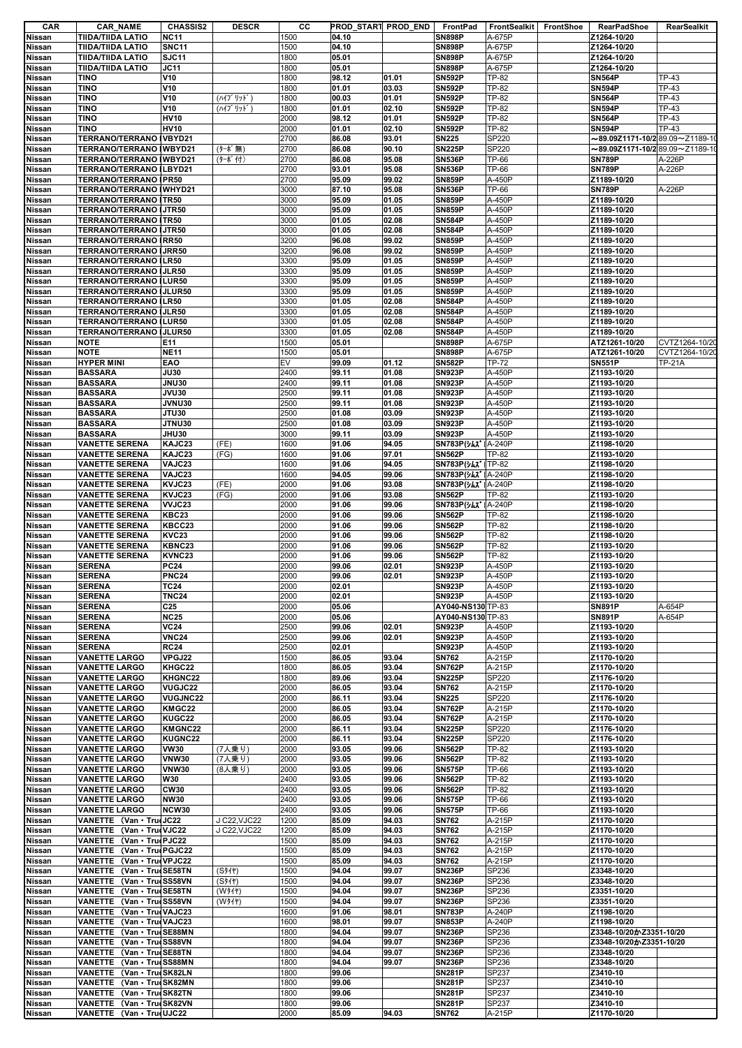| <b>CAR</b>              | <b>CAR_NAME</b>                                 | <b>CHASSIS2</b>             | <b>DESCR</b> | cс           | PROD START PROD END |                | FrontPad                                      | FrontSealkit     | FrontShoe | RearPadShoe                                  | RearSealkit           |
|-------------------------|-------------------------------------------------|-----------------------------|--------------|--------------|---------------------|----------------|-----------------------------------------------|------------------|-----------|----------------------------------------------|-----------------------|
| Nissan                  | <b>TIIDA/TIIDA LATIO</b>                        | <b>NC11</b>                 |              | 1500         | 04.10               |                | <b>SN898P</b>                                 | A-675P           |           | Z1264-10/20                                  |                       |
| Nissan                  | <b>TIIDA/TIIDA LATIO</b>                        | <b>SNC11</b>                |              | 1500         | 04.10               |                | <b>SN898P</b>                                 | A-675P           |           | Z1264-10/20                                  |                       |
| Nissan                  | <b>TIIDA/TIIDA LATIO</b>                        | SJC11                       |              | 1800         | 05.01               |                | <b>SN898P</b>                                 | A-675P           |           | Z1264-10/20                                  |                       |
| Nissan                  | TIIDA/TIIDA LATIO                               | <b>JC11</b>                 |              | 1800         | 05.01               |                | <b>SN898P</b>                                 | A-675P           |           | Z1264-10/20                                  |                       |
| <b>Nissan</b>           | TINO<br>TINO                                    | V10<br>V10                  |              | 1800<br>1800 | 98.12<br>01.01      | 01.01<br>03.03 | <b>SN592P</b><br><b>SN592P</b>                | TP-82<br>TP-82   |           | <b>SN564P</b><br><b>SN594P</b>               | <b>TP-43</b><br>TP-43 |
| Nissan<br>Nissan        | <b>TINO</b>                                     | V10                         | (ハイブリット゛)    | 1800         | 00.03               | 01.01          | <b>SN592P</b>                                 | TP-82            |           | <b>SN564P</b>                                | <b>TP-43</b>          |
| Nissan                  | <b>TINO</b>                                     | V10                         | (ハイブリット゛)    | 1800         | 01.01               | 02.10          | <b>SN592P</b>                                 | TP-82            |           | <b>SN594P</b>                                | <b>TP-43</b>          |
| Nissan                  | TINO                                            | <b>HV10</b>                 |              | 2000         | 98.12               | 01.01          | <b>SN592P</b>                                 | TP-82            |           | <b>SN564P</b>                                | <b>TP-43</b>          |
| <b>Nissan</b>           | TINO                                            | <b>HV10</b>                 |              | 2000         | 01.01               | 02.10          | <b>SN592P</b>                                 | TP-82            |           | <b>SN594P</b>                                | TP-43                 |
| Nissan                  | TERRANO/TERRANO   VBYD21                        |                             |              | 2700         | 86.08               | 93.01          | <b>SN225</b>                                  | SP220            |           | $\sim$ 89.09Z1171-10/289.09 $\sim$ Z1189-1   |                       |
| Nissan                  | TERRANO/TERRANO I WBYD21                        |                             | (ターボ無)       | 2700         | 86.08               | 90.10          | <b>SN225P</b>                                 | SP220            |           | $\sim$ 89.09Z1171-10/2 89.09 $\sim$ Z1189-1( |                       |
| Nissan                  | TERRANO/TERRANO IWBYD21                         |                             | (ターボ付)       | 2700         | 86.08               | 95.08          | <b>SN536P</b>                                 | TP-66            |           | <b>SN789P</b>                                | A-226P                |
| Nissan                  | TERRANO/TERRANO ILBYD21                         |                             |              | 2700         | 93.01               | 95.08          | <b>SN536P</b>                                 | TP-66            |           | <b>SN789P</b>                                | A-226P                |
| Nissan                  | TERRANO/TERRANO IPR50                           |                             |              | 2700         | 95.09               | 99.02          | <b>SN859P</b>                                 | A-450P           |           | Z1189-10/20                                  |                       |
| Nissan                  | TERRANO/TERRANO (WHYD21                         |                             |              | 3000         | 87.10               | 95.08          | <b>SN536P</b>                                 | TP-66            |           | <b>SN789P</b>                                | A-226P                |
| Nissan                  | TERRANO/TERRANO ITR50                           |                             |              | 3000         | 95.09               | 01.05          | <b>SN859P</b>                                 | A-450P           |           | Z1189-10/20                                  |                       |
| <b>Nissan</b>           | TERRANO/TERRANO                                 | <b>JTR50</b>                |              | 3000         | 95.09               | 01.05          | <b>SN859P</b>                                 | A-450P           |           | Z1189-10/20                                  |                       |
| Nissan                  | <b>TERRANO/TERRANO</b>                          | ITR50                       |              | 3000         | 01.05               | 02.08          | <b>SN584P</b>                                 | A-450P           |           | Z1189-10/20                                  |                       |
| Nissan                  | <b>TERRANO/TERRANO</b>                          | <b>JTR50</b>                |              | 3000         | 01.05               | 02.08          | <b>SN584P</b>                                 | A-450P           |           | Z1189-10/20                                  |                       |
| Nissan<br>Nissan        | <b>TERRANO/TERRANO IRR50</b><br>TERRANO/TERRANO | <b>IJRR50</b>               |              | 3200<br>3200 | 96.08<br>96.08      | 99.02<br>99.02 | <b>SN859P</b><br><b>SN859P</b>                | A-450P<br>A-450P |           | Z1189-10/20<br>Z1189-10/20                   |                       |
| Nissan                  | TERRANO/TERRANO ILR50                           |                             |              | 3300         | 95.09               | 01.05          | <b>SN859P</b>                                 | A-450P           |           | Z1189-10/20                                  |                       |
| Nissan                  | TERRANO/TERRANO   JLR50                         |                             |              | 3300         | 95.09               | 01.05          | <b>SN859P</b>                                 | A-450P           |           | Z1189-10/20                                  |                       |
| <b>Nissan</b>           | TERRANO/TERRANO                                 | <b>ILUR50</b>               |              | 3300         | 95.09               | 01.05          | <b>SN859P</b>                                 | A-450P           |           | Z1189-10/20                                  |                       |
| Nissan                  | TERRANO/TERRANO I JLUR50                        |                             |              | 3300         | 95.09               | 01.05          | <b>SN859P</b>                                 | A-450P           |           | Z1189-10/20                                  |                       |
| Nissan                  | TERRANO/TERRANO ILR50                           |                             |              | 3300         | 01.05               | 02.08          | <b>SN584P</b>                                 | A-450P           |           | Z1189-10/20                                  |                       |
| Nissan                  | <b>TERRANO/TERRANO   JLR50</b>                  |                             |              | 3300         | 01.05               | 02.08          | <b>SN584P</b>                                 | A-450P           |           | Z1189-10/20                                  |                       |
| <b>Nissan</b>           | TERRANO/TERRANO ILUR50                          |                             |              | 3300         | 01.05               | 02.08          | <b>SN584P</b>                                 | A-450P           |           | Z1189-10/20                                  |                       |
| Nissan                  | TERRANO/TERRANO I JLUR50                        |                             |              | 3300         | 01.05               | 02.08          | <b>SN584P</b>                                 | A-450P           |           | Z1189-10/20                                  |                       |
| Nissan                  | <b>NOTE</b>                                     | E11                         |              | 1500         | 05.01               |                | <b>SN898P</b>                                 | A-675P           |           | ATZ1261-10/20                                | CVTZ1264-10/20        |
| Nissan                  | <b>NOTE</b>                                     | <b>NE11</b>                 |              | 1500         | 05.01               |                | <b>SN898P</b>                                 | A-675P           |           | ATZ1261-10/20                                | CVTZ1264-10/20        |
| Nissan                  | <b>HYPER MINI</b>                               | EAO                         |              | EV           | 99.09               | 01.12          | <b>SN582P</b>                                 | TP-72            |           | <b>SN551P</b>                                | <b>TP-21A</b>         |
| Nissan                  | <b>BASSARA</b>                                  | JU30                        |              | 2400         | 99.11               | 01.08          | <b>SN923P</b>                                 | A-450P           |           | Z1193-10/20                                  |                       |
| <b>Nissan</b>           | <b>BASSARA</b>                                  | <b>JNU30</b>                |              | 2400         | 99.11               | 01.08          | <b>SN923P</b>                                 | A-450P           |           | Z1193-10/20                                  |                       |
| Nissan                  | <b>BASSARA</b>                                  | <b>JVU30</b>                |              | 2500         | 99.11               | 01.08          | <b>SN923P</b>                                 | A-450P           |           | Z1193-10/20                                  |                       |
| Nissan                  | <b>BASSARA</b>                                  | <b>JVNU30</b>               |              | 2500         | 99.11               | 01.08          | <b>SN923P</b>                                 | A-450P           |           | Z1193-10/20                                  |                       |
| Nissan                  | <b>BASSARA</b>                                  | JTU30                       |              | 2500         | 01.08               | 03.09          | <b>SN923P</b>                                 | A-450P           |           | Z1193-10/20                                  |                       |
| Nissan                  | <b>BASSARA</b>                                  | JTNU30                      |              | 2500         | 01.08               | 03.09          | <b>SN923P</b>                                 | A-450P           |           | Z1193-10/20                                  |                       |
| Nissan                  | <b>BASSARA</b>                                  | JHU30                       |              | 3000         | 99.11               | 03.09          | <b>SN923P</b>                                 | A-450P           |           | Z1193-10/20                                  |                       |
| Nissan                  | <b>VANETTE SERENA</b>                           | KAJC23                      | (FE)         | 1600         | 91.06               | 94.05          | SN783P(yAX'   A-240P                          |                  |           | Z1198-10/20                                  |                       |
| Nissan                  | <b>VANETTE SERENA</b>                           | KAJC23                      | (FG)         | 1600         | 91.06               | 97.01          | <b>SN562P</b>                                 | TP-82            |           | Z1193-10/20                                  |                       |
| <b>Nissan</b>           | <b>VANETTE SERENA</b>                           | VAJC23                      |              | 1600         | 91.06               | 94.05          | SN783P( $\frac{1}{2}$ AX <sup>*</sup>   TP-82 |                  |           | Z1198-10/20                                  |                       |
| Nissan                  | <b>VANETTE SERENA</b>                           | VAJC23                      |              | 1600         | 94.05               | 99.06          | SN783P( $\frac{1}{2}$ A <sup>+</sup>   A-240P |                  |           | Z1198-10/20                                  |                       |
| Nissan                  | <b>VANETTE SERENA</b>                           | KVJC23                      | (FE)         | 2000         | 91.06               | 93.08          | SN783P(yAX'   A-240P                          |                  |           | Z1198-10/20                                  |                       |
| <b>Nissan</b>           | <b>VANETTE SERENA</b>                           | KVJC23                      | (FG)         | 2000         | 91.06               | 93.08          | <b>SN562P</b>                                 | TP-82            |           | Z1193-10/20                                  |                       |
| Nissan                  | <b>VANETTE SERENA</b>                           | VVJC23                      |              | 2000         | 91.06               | 99.06          | SN783P( $\frac{1}{2}$ A-240P                  |                  |           | Z1198-10/20                                  |                       |
| Nissan                  | <b>VANETTE SERENA</b>                           | KBC23                       |              | 2000         | 91.06               | 99.06          | <b>SN562P</b>                                 | TP-82            |           | Z1198-10/20                                  |                       |
| Nissan                  | <b>VANETTE SERENA</b>                           | KBCC23                      |              | 2000         | 91.06               | 99.06          | <b>SN562P</b>                                 | TP-82            |           | Z1198-10/20                                  |                       |
| Nissan                  | <b>VANETTE SERENA</b>                           | <b>KVC23</b>                |              | 2000         | 91.06               | 99.06          | <b>SN562P</b>                                 | TP-82            |           | Z1198-10/20                                  |                       |
| Nissan                  | <b>VANETTE SERENA</b>                           | KBNC23                      |              | 2000         | 91.06               | 99.06          | <b>SN562P</b>                                 | TP-82            |           | Z1193-10/20                                  |                       |
| Nissan                  | <b>VANETTE SERENA</b>                           | KVNC23                      |              | 2000         | 91.06               | 99.06          | <b>SN562P</b>                                 | TP-82            |           | Z1193-10/20                                  |                       |
| Nissan                  | <b>SERENA</b>                                   | <b>PC24</b><br><b>PNC24</b> |              | 2000<br>2000 | 99.06               | 02.01<br>02.01 | <b>SN923P</b><br><b>SN923P</b>                | A-450P           |           | Z1193-10/20                                  |                       |
| Nissan                  | <b>SERENA</b><br><b>SERENA</b>                  |                             |              |              | 99.06               |                |                                               | A-450P           |           | Z1193-10/20                                  |                       |
| Nissan<br><b>Nissan</b> | <b>SERENA</b>                                   | TC24<br><b>TNC24</b>        |              | 2000<br>2000 | 02.01<br>02.01      |                | <b>SN923P</b><br><b>SN923P</b>                | A-450P<br>A-450P |           | Z1193-10/20<br>Z1193-10/20                   |                       |
| Nissan                  | <b>SERENA</b>                                   | C <sub>25</sub>             |              | 2000         | 05.06               |                | AY040-NS130 TP-83                             |                  |           | <b>SN891P</b>                                | A-654P                |
| Nissan                  | <b>SERENA</b>                                   | <b>NC25</b>                 |              | 2000         | 05.06               |                | AY040-NS130 TP-83                             |                  |           | <b>SN891P</b>                                | A-654P                |
| Nissan                  | <b>SERENA</b>                                   | <b>VC24</b>                 |              | 2500         | 99.06               | 02.01          | <b>SN923P</b>                                 | A-450P           |           | Z1193-10/20                                  |                       |
| Nissan                  | <b>SERENA</b>                                   | <b>VNC24</b>                |              | 2500         | 99.06               | 02.01          | <b>SN923P</b>                                 | A-450P           |           | Z1193-10/20                                  |                       |
| Nissan                  | <b>SERENA</b>                                   | <b>RC24</b>                 |              | 2500         | 02.01               |                | <b>SN923P</b>                                 | A-450P           |           | Z1193-10/20                                  |                       |
| Nissan                  | <b>VANETTE LARGO</b>                            | VPGJ22                      |              | 1500         | 86.05               | 93.04          | <b>SN762</b>                                  | A-215P           |           | Z1170-10/20                                  |                       |
| Nissan                  | <b>VANETTE LARGO</b>                            | KHGC22                      |              | 1800         | 86.05               | 93.04          | <b>SN762P</b>                                 | A-215P           |           | Z1170-10/20                                  |                       |
| Nissan                  | <b>VANETTE LARGO</b>                            | KHGNC22                     |              | 1800         | 89.06               | 93.04          | <b>SN225P</b>                                 | SP220            |           | Z1176-10/20                                  |                       |
| Nissan                  | <b>VANETTE LARGO</b>                            | <b>VUGJC22</b>              |              | 2000         | 86.05               | 93.04          | <b>SN762</b>                                  | A-215P           |           | Z1170-10/20                                  |                       |
| Nissan                  | <b>VANETTE LARGO</b>                            | <b>VUGJNC22</b>             |              | 2000         | 86.11               | 93.04          | <b>SN225</b>                                  | SP220            |           | Z1176-10/20                                  |                       |
| Nissan                  | <b>VANETTE LARGO</b>                            | KMGC22                      |              | 2000         | 86.05               | 93.04          | <b>SN762P</b>                                 | A-215P           |           | Z1170-10/20                                  |                       |
| Nissan                  | <b>VANETTE LARGO</b>                            | KUGC22                      |              | 2000         | 86.05               | 93.04          | <b>SN762P</b>                                 | A-215P           |           | Z1170-10/20                                  |                       |
| Nissan                  | <b>VANETTE LARGO</b>                            | KMGNC22                     |              | 2000         | 86.11               | 93.04          | <b>SN225P</b>                                 | SP220            |           | Z1176-10/20                                  |                       |
| Nissan                  | <b>VANETTE LARGO</b>                            | KUGNC22                     |              | 2000         | 86.11               | 93.04          | <b>SN225P</b>                                 | SP220            |           | Z1176-10/20                                  |                       |
| Nissan                  | <b>VANETTE LARGO</b>                            | <b>VW30</b>                 | (7人乗り)       | 2000         | 93.05               | 99.06          | <b>SN562P</b>                                 | TP-82            |           | Z1193-10/20                                  |                       |
| Nissan                  | <b>VANETTE LARGO</b>                            | <b>VNW30</b>                | (7人乗り)       | 2000         | 93.05               | 99.06          | <b>SN562P</b>                                 | TP-82            |           | Z1193-10/20                                  |                       |
| Nissan                  | <b>VANETTE LARGO</b>                            | <b>VNW30</b>                | (8人乗り)       | 2000         | 93.05               | 99.06          | <b>SN575P</b>                                 | TP-66            |           | Z1193-10/20                                  |                       |
| Nissan                  | <b>VANETTE LARGO</b>                            | <b>W30</b><br><b>CW30</b>   |              | 2400<br>2400 | 93.05<br>93.05      | 99.06<br>99.06 | <b>SN562P</b><br><b>SN562P</b>                | TP-82<br>TP-82   |           | Z1193-10/20                                  |                       |
| Nissan<br>Nissan        | <b>VANETTE LARGO</b><br><b>VANETTE LARGO</b>    | <b>NW30</b>                 |              | 2400         | 93.05               | 99.06          | <b>SN575P</b>                                 | TP-66            |           | Z1193-10/20<br>Z1193-10/20                   |                       |
| Nissan                  | <b>VANETTE LARGO</b>                            | <b>NCW30</b>                |              | 2400         | 93.05               | 99.06          | <b>SN575P</b>                                 | TP-66            |           | Z1193-10/20                                  |                       |
| Nissan                  | VANETTE (Van · TrueJC22                         |                             | J C22, VJC22 | 1200         | 85.09               | 94.03          | <b>SN762</b>                                  | A-215P           |           | Z1170-10/20                                  |                       |
| Nissan                  | VANETTE (Van · TrueVJC22                        |                             | J C22, VJC22 | 1200         | 85.09               | 94.03          | <b>SN762</b>                                  | A-215P           |           | Z1170-10/20                                  |                       |
| Nissan                  | VANETTE (Van · TruePJC22                        |                             |              | 1500         | 85.09               | 94.03          | <b>SN762</b>                                  | A-215P           |           | Z1170-10/20                                  |                       |
| Nissan                  | VANETTE (Van · TruePGJC22                       |                             |              | 1500         | 85.09               | 94.03          | <b>SN762</b>                                  | A-215P           |           | Z1170-10/20                                  |                       |
| Nissan                  | VANETTE (Van · TrueVPJC22                       |                             |              | 1500         | 85.09               | 94.03          | <b>SN762</b>                                  | A-215P           |           | Z1170-10/20                                  |                       |
| Nissan                  | VANETTE (Van · TrueSE58TN                       |                             | (S91)        | 1500         | 94.04               | 99.07          | <b>SN236P</b>                                 | SP236            |           | Z3348-10/20                                  |                       |
| Nissan                  | VANETTE (Van · TrueSS58VN                       |                             | (S91)        | 1500         | 94.04               | 99.07          | <b>SN236P</b>                                 | SP236            |           | Z3348-10/20                                  |                       |
| Nissan                  | VANETTE (Van · Trus SE58TN                      |                             | (W31)        | 1500         | 94.04               | 99.07          | <b>SN236P</b>                                 | SP236            |           | Z3351-10/20                                  |                       |
| Nissan                  | VANETTE (Van · TrueSS58VN                       |                             | (W3(1))      | 1500         | 94.04               | 99.07          | <b>SN236P</b>                                 | SP236            |           | Z3351-10/20                                  |                       |
| Nissan                  | VANETTE (Van · TrueVAJC23                       |                             |              | 1600         | 91.06               | 98.01          | <b>SN783P</b>                                 | A-240P           |           | Z1198-10/20                                  |                       |
| Nissan                  | VANETTE (Van · TrueVAJC23                       |                             |              | 1600         | 98.01               | 99.07          | <b>SN853P</b>                                 | A-240P           |           | Z1198-10/20                                  |                       |
| Nissan                  | VANETTE (Van · TrueSE88MN                       |                             |              | 1800         | 94.04               | 99.07          | <b>SN236P</b>                                 | SP236            |           | Z3348-10/20かZ3351-10/20                      |                       |
| Nissan                  | VANETTE (Van · TrueSS88VN                       |                             |              | 1800         | 94.04               | 99.07          | <b>SN236P</b>                                 | SP236            |           | Z3348-10/20かZ3351-10/20                      |                       |
| Nissan                  | VANETTE (Van · TrueSE88TN                       |                             |              | 1800         | 94.04               | 99.07          | <b>SN236P</b>                                 | SP236            |           | Z3348-10/20                                  |                       |
| Nissan                  | VANETTE (Van · TrueSS88MN                       |                             |              | 1800         | 94.04               | 99.07          | <b>SN236P</b>                                 | SP236            |           | Z3348-10/20                                  |                       |
| Nissan                  | VANETTE (Van · TrueSK82LN                       |                             |              | 1800         | 99.06               |                | <b>SN281P</b>                                 | SP237            |           | Z3410-10                                     |                       |
| Nissan                  | VANETTE (Van · Trus SK82MN                      |                             |              | 1800         | 99.06               |                | <b>SN281P</b>                                 | SP237            |           | Z3410-10                                     |                       |
| Nissan                  | VANETTE (Van · TrueSK82TN                       |                             |              | 1800         | 99.06               |                | <b>SN281P</b>                                 | SP237            |           | Z3410-10                                     |                       |
| <b>Nissan</b>           | VANETTE (Van · TrueSK82VN                       |                             |              | 1800         | 99.06               |                | <b>SN281P</b>                                 | SP237            |           | Z3410-10                                     |                       |
| Nissan                  | VANETTE (Van · Tru(UJC22                        |                             |              | 2000         | 85.09               | 94.03          | <b>SN762</b>                                  | A-215P           |           | Z1170-10/20                                  |                       |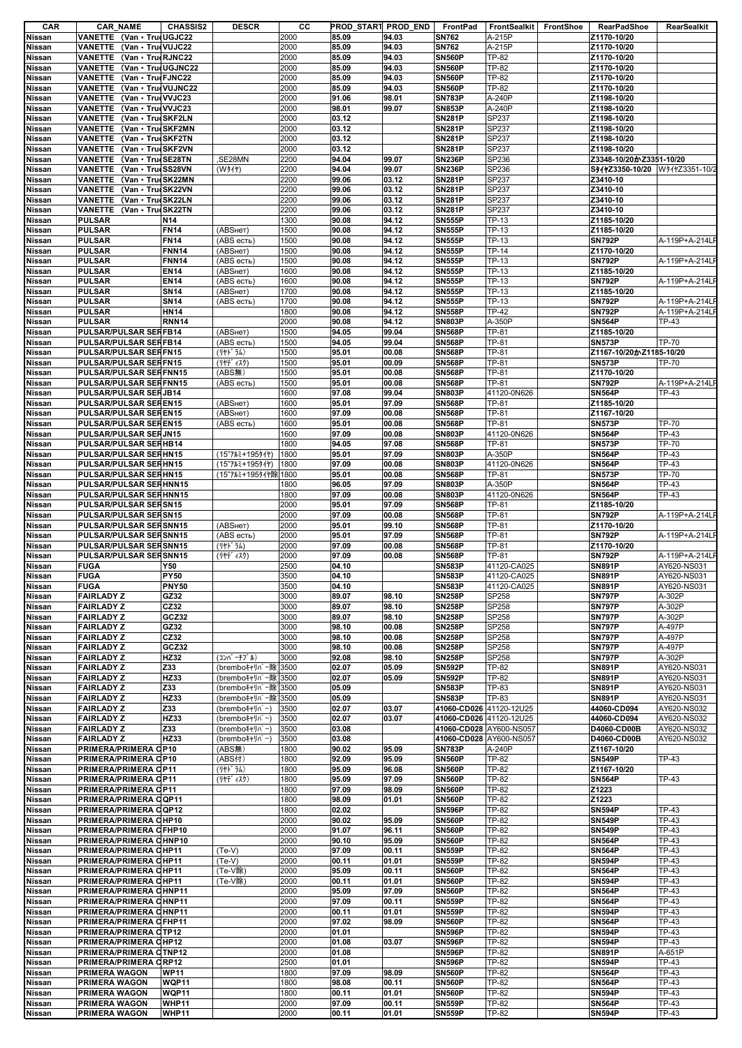| CAR                     | <b>CAR NAME</b>                        | <b>CHASSIS2</b>             | <b>DESCR</b>                         | CС           | PROD_START PROD_END |                | FrontPad                       | FrontSealkit          | FrontShoe | <b>RearPadShoe</b>             | RearSealkit                      |
|-------------------------|----------------------------------------|-----------------------------|--------------------------------------|--------------|---------------------|----------------|--------------------------------|-----------------------|-----------|--------------------------------|----------------------------------|
| Nissan                  | VANETTE (Van · TrueUGJC22              |                             |                                      | 2000         | 85.09               | 94.03          | <b>SN762</b>                   | A-215P                |           | Z1170-10/20                    |                                  |
| Nissan                  | VANETTE (Van · TrueVUJC22              |                             |                                      | 2000         | 85.09               | 94.03          | <b>SN762</b>                   | A-215P                |           | Z1170-10/20                    |                                  |
| <b>Nissan</b>           | <b>VANETTE</b><br>(Van • TrucRJNC22)   |                             |                                      | 2000         | 85.09               | 94.03          | <b>SN560P</b>                  | TP-82                 |           | Z1170-10/20                    |                                  |
| Nissan                  | <b>VANETTE</b><br>(Van · TrutUGJNC22   |                             |                                      | 2000         | 85.09               | 94.03          | <b>SN560P</b>                  | TP-82                 |           | Z1170-10/20                    |                                  |
| Nissan                  | VANETTE (Van · TrueFJNC22              |                             |                                      | 2000         | 85.09               | 94.03          | <b>SN560P</b>                  | TP-82                 |           | Z1170-10/20                    |                                  |
| Nissan                  | (Van · True VUJNC22<br>VANETTE         |                             |                                      | 2000         | 85.09               | 94.03          | <b>SN560P</b>                  | <b>TP-82</b>          |           | Z1170-10/20                    |                                  |
| Nissan                  | VANETTE<br>(Van · True VVJC23          |                             |                                      | 2000         | 91.06               | 98.01          | <b>SN783P</b>                  | A-240P                |           | Z1198-10/20                    |                                  |
| Nissan                  | VANETTE (Van · TrueVVJC23              |                             |                                      | 2000         | 98.01               | 99.07          | <b>SN853P</b>                  | A-240P                |           | Z1198-10/20                    |                                  |
| <b>Nissan</b>           | <b>VANETTE</b><br>(Van · TrueSKF2LN    |                             |                                      | 2000         | 03.12               |                | <b>SN281P</b>                  | SP237                 |           | Z1198-10/20                    |                                  |
| Nissan                  | VANETTE<br>(Van · TrueSKF2MN           |                             |                                      | 2000         | 03.12               |                | <b>SN281P</b>                  | SP237                 |           | Z1198-10/20                    |                                  |
| Nissan                  | VANETTE (Van · TrueSKF2TN              |                             |                                      | 2000         | 03.12               |                | <b>SN281P</b>                  | SP237                 |           | Z1198-10/20                    |                                  |
| <b>Nissan</b>           | <b>VANETTE</b><br>(Van · TrueSKF2VN    |                             |                                      | 2000         | 03.12               |                | <b>SN281P</b>                  | SP237                 |           | Z1198-10/20                    |                                  |
| Nissan                  | VANETTE<br>(Van · TrueSE28TN           |                             | ,SE28MN                              | 2200         | 94.04               | 99.07          | <b>SN236P</b>                  | SP236                 |           | Z3348-10/20かZ3351-10/20        |                                  |
| Nissan                  | (Van TrueSS28VN<br>VANETTE             |                             | (W31)                                | 2200         | 94.04               | 99.07          | <b>SN236P</b>                  | SP236                 |           | S941Z3350-10/20 W941Z3351-10/2 |                                  |
| <b>Nissan</b>           | <b>VANETTE</b><br>(Van · TrueSK22MN    |                             |                                      | 2200         | 99.06               | 03.12          | <b>SN281P</b>                  | SP237                 |           | Z3410-10                       |                                  |
| Nissan                  | VANETTE (Van · TrueSK22VN              |                             |                                      | 2200         | 99.06               | 03.12          | <b>SN281P</b>                  | SP237                 |           | Z3410-10                       |                                  |
| Nissan                  | VANETTE<br>(Van • TrucSK22LN           |                             |                                      | 2200         | 99.06               | 03.12          | <b>SN281P</b>                  | SP237                 |           | Z3410-10                       |                                  |
| Nissan                  | <b>VANETTE</b><br>(Van • TrueSK22TN    |                             |                                      | 2200         | 99.06               | 03.12          | <b>SN281P</b>                  | SP237                 |           | Z3410-10                       |                                  |
| Nissan                  | <b>PULSAR</b>                          | N <sub>14</sub>             |                                      | 1300         | 90.08               | 94.12          | <b>SN555P</b>                  | TP-13                 |           | Z1185-10/20                    |                                  |
| Nissan                  | <b>PULSAR</b>                          | <b>FN14</b>                 | (ABSHeT)                             | 1500         | 90.08               | 94.12          | <b>SN555P</b>                  | <b>TP-13</b>          |           | Z1185-10/20                    |                                  |
| <b>Nissan</b>           | <b>PULSAR</b>                          | <b>FN14</b>                 | (ABS есть)                           | 1500         | 90.08               | 94.12          | <b>SN555P</b>                  | TP-13                 |           | <b>SN792P</b>                  | A-119P+A-214LP                   |
| Nissan                  | <b>PULSAR</b>                          | <b>FNN14</b>                | (АВSнет)                             | 1500         | 90.08               | 94.12          | <b>SN555P</b>                  | TP-14                 |           | Z1170-10/20                    |                                  |
| Nissan                  | <b>PULSAR</b><br><b>PULSAR</b>         | <b>FNN14</b><br><b>EN14</b> | (ABS есть)                           | 1500         | 90.08<br>90.08      | 94.12<br>94.12 | <b>SN555P</b>                  | TP-13<br><b>TP-13</b> |           | <b>SN792P</b><br>Z1185-10/20   | A-119P+A-214LF                   |
| Nissan<br><b>Nissan</b> | <b>PULSAR</b>                          | <b>EN14</b>                 | (ABSHeT)<br>(ABS есть)               | 1600<br>1600 | 90.08               | 94.12          | <b>SN555P</b><br><b>SN555P</b> | TP-13                 |           | <b>SN792P</b>                  | A-119P+A-214LF                   |
|                         | <b>PULSAR</b>                          | <b>SN14</b>                 | (ABSнет)                             | 1700         | 90.08               | 94.12          | <b>SN555P</b>                  | TP-13                 |           | Z1185-10/20                    |                                  |
| Nissan                  | <b>PULSAR</b>                          | <b>SN14</b>                 |                                      | 1700         | 90.08               | 94.12          | <b>SN555P</b>                  | <b>TP-13</b>          |           | <b>SN792P</b>                  |                                  |
| Nissan<br>Nissan        | <b>PULSAR</b>                          | <b>HN14</b>                 | (ABS есть)                           | 1800         | 90.08               | 94.12          | <b>SN558P</b>                  | TP-42                 |           | <b>SN792P</b>                  | A-119P+A-214LF<br>A-119P+A-214LF |
| Nissan                  | <b>PULSAR</b>                          | <b>RNN14</b>                |                                      | 2000         | 90.08               | 94.12          | <b>SN803P</b>                  | A-350P                |           | <b>SN564P</b>                  | TP-43                            |
| Nissan                  | PULSAR/PULSAR SERFB14                  |                             | (ABSHeT)                             | 1500         | 94.05               | 99.04          | <b>SN568P</b>                  | TP-81                 |           | Z1185-10/20                    |                                  |
| <b>Nissan</b>           | PULSAR/PULSAR SERFB14                  |                             | (ABS есть)                           | 1500         | 94.05               | 99.04          | <b>SN568P</b>                  | <b>TP-81</b>          |           | <b>SN573P</b>                  | TP-70                            |
| Nissan                  | PULSAR/PULSAR SERFN15                  |                             | (リヤト・ラム)                             | 1500         | 95.01               | 00.08          | <b>SN568P</b>                  | TP-81                 |           | Z1167-10/20かZ1185-10/20        |                                  |
| Nissan                  | PULSAR/PULSAR SERFN15                  |                             | (リヤデ ィスク)                            | 1500         | 95.01               | 00.09          | <b>SN568P</b>                  | TP-81                 |           | <b>SN573P</b>                  | TP-70                            |
| <b>Nissan</b>           | PULSAR/PULSAR SERFNN15                 |                             | (ABS#)                               | 1500         | 95.01               | 00.08          | <b>SN568P</b>                  | TP-81                 |           | Z1170-10/20                    |                                  |
| Nissan                  | PULSAR/PULSAR SERFNN15                 |                             | (ABS есть)                           | 1500         | 95.01               | 00.08          | <b>SN568P</b>                  | <b>TP-81</b>          |           | <b>SN792P</b>                  | A-119P+A-214LF                   |
| Nissan                  | PULSAR/PULSAR SERJB14                  |                             |                                      | 1600         | 97.08               | 99.04          | <b>SN803P</b>                  | 41120-0N626           |           | <b>SN564P</b>                  | TP-43                            |
| Nissan                  | PULSAR/PULSAR SEREN15                  |                             | (ABSHeT)                             | 1600         | 95.01               | 97.09          | <b>SN568P</b>                  | TP-81                 |           | Z1185-10/20                    |                                  |
| Nissan                  | PULSAR/PULSAR SEREN15                  |                             | (ABSHeT)                             | 1600         | 97.09               | 00.08          | <b>SN568P</b>                  | <b>TP-81</b>          |           | Z1167-10/20                    |                                  |
| Nissan                  | PULSAR/PULSAR SEREN15                  |                             | (ABS есть)                           | 1600         | 95.01               | 00.08          | <b>SN568P</b>                  | TP-81                 |           | <b>SN573P</b>                  | TP-70                            |
| Nissan                  | PULSAR/PULSAR SERJN15                  |                             |                                      | 1600         | 97.09               | 00.08          | <b>SN803P</b>                  | 41120-0N626           |           | <b>SN564P</b>                  | TP-43                            |
| <b>Nissan</b>           | PULSAR/PULSAR SERHB14                  |                             |                                      | 1800         | 94.05               | 97.08          | <b>SN568P</b>                  | TP-81                 |           | <b>SN573P</b>                  | TP-70                            |
| <b>Nissan</b>           | PULSAR/PULSAR SERHN15                  |                             | (15"7ルミ+195タイヤ)                      | 1800         | 95.01               | 97.09          | <b>SN803P</b>                  | A-350P                |           | <b>SN564P</b>                  | TP-43                            |
| Nissan                  | PULSAR/PULSAR SERHN15                  |                             | (15"7ルミ+195タイヤ)                      | 1800         | 97.09               | 00.08          | <b>SN803P</b>                  | 41120-0N626           |           | <b>SN564P</b>                  | TP-43                            |
| Nissan                  | PULSAR/PULSAR SERHN15                  |                             | (15"7ルミ+195タイヤ除 1800                 |              | 95.01               | 00.08          | <b>SN568P</b>                  | TP-81                 |           | <b>SN573P</b>                  | TP-70                            |
| <b>Nissan</b>           | PULSAR/PULSAR SERHNN15                 |                             |                                      | 1800         | 96.05               | 97.09          | <b>SN803P</b>                  | A-350P                |           | <b>SN564P</b>                  | TP-43                            |
| Nissan                  | PULSAR/PULSAR SERHNN15                 |                             |                                      | 1800         | 97.09               | 00.08          | <b>SN803P</b>                  | 41120-0N626           |           | <b>SN564P</b>                  | TP-43                            |
| <b>Nissan</b>           | PULSAR/PULSAR SERSN15                  |                             |                                      | 2000         | 95.01               | 97.09          | <b>SN568P</b>                  | TP-81                 |           | Z1185-10/20                    |                                  |
| Nissan                  | PULSAR/PULSAR SERSN15                  |                             |                                      | 2000         | 97.09               | 00.08          | <b>SN568P</b>                  | TP-81                 |           | <b>SN792P</b>                  | A-119P+A-214LF                   |
| Nissan                  | PULSAR/PULSAR SERSNN15                 |                             | (ABSHeT)                             | 2000         | 95.01               | 99.10          | <b>SN568P</b>                  | <b>TP-81</b>          |           | Z1170-10/20                    |                                  |
| Nissan                  | PULSAR/PULSAR SERSNN15                 |                             | (ABS есть)                           | 2000         | 95.01               | 97.09          | <b>SN568P</b>                  | TP-81                 |           | <b>SN792P</b>                  | A-119P+A-214LF                   |
| Nissan                  | PULSAR/PULSAR SERSNN15                 |                             | (リヤト・ラム)                             | 2000         | 97.09               | 00.08          | <b>SN568P</b>                  | TP-81                 |           | Z1170-10/20                    |                                  |
| <b>Nissan</b>           | PULSAR/PULSAR SERSNN15                 |                             | (リヤデ イスク)                            | 2000         | 97.09               | 00.08          | <b>SN568P</b>                  | TP-81                 |           | <b>SN792P</b>                  | A-119P+A-214LF                   |
| Nissan                  | <b>FUGA</b>                            | <b>Y50</b>                  |                                      | 2500         | 04.10               |                | <b>SN583P</b>                  | 41120-CA025           |           | <b>SN891P</b>                  | AY620-NS031                      |
| <b>Nissan</b>           | <b>FUGA</b>                            | <b>PY50</b>                 |                                      | 3500         | 04.10               |                | <b>SN583P</b>                  | 41120-CA025           |           | <b>SN891P</b>                  | AY620-NS031                      |
| Nissan                  | <b>FUGA</b>                            | <b>PNY50</b>                |                                      | 3500         | 04.10               |                | <b>SN583P</b>                  | 41120-CA025           |           | <b>SN891P</b>                  | AY620-NS031                      |
| Nissan                  | <b>FAIRLADY Z</b>                      | GZ32                        |                                      | 3000         | 89.07               | 98.10          | <b>SN258P</b>                  | SP258                 |           | <b>SN797P</b>                  | A-302P                           |
| <b>Nissan</b>           | <b>FAIRLADY Z</b>                      | CZ32                        |                                      | 3000         | 89.07               | 98.10          | <b>SN258P</b>                  | SP258                 |           | <b>SN797P</b>                  | A-302P                           |
| Nissan                  | <b>FAIRLADY Z</b>                      | GCZ32                       |                                      | 3000         | 89.07               | 98.10          | <b>SN258P</b>                  | SP258                 |           | <b>SN797P</b>                  | A-302P                           |
| Nissan                  | <b>FAIRLADY Z</b>                      | GZ32                        |                                      | 3000         | 98.10               | 00.08          | <b>SN258P</b>                  | SP258                 |           | <b>SN797P</b>                  | A-497P                           |
| Nissan                  | <b>FAIRLADY Z</b>                      | CZ32                        |                                      | 3000         | 98.10               | 00.08          | <b>SN258P</b>                  | SP258                 |           | <b>SN797P</b>                  | A-497P                           |
| <b>Nissan</b>           | <b>FAIRLADY Z</b>                      | GCZ32                       |                                      | 3000         | 98.10               | 00.08          | <b>SN258P</b>                  | SP258                 |           | <b>SN797P</b>                  | A-497P                           |
| <b>Nissan</b>           | <b>FAIRLADY Z</b>                      | HZ32                        | (コンバ ーチブ ル)                          | 3000         | 92.08               | 98.10          | <b>SN258P</b>                  | SP258                 |           | <b>SN797P</b>                  | A-302P                           |
| Nissan                  | <b>FAIRLADY Z</b>                      | Z33                         | (bremboキャリパー除)<br>(bremboキャリパー除13500 | 3500         | 02.07               | 05.09          | <b>SN592P</b>                  | TP-82                 |           | <b>SN891P</b>                  | AY620-NS031                      |
| Nissan                  | <b>FAIRLADY Z</b><br><b>FAIRLADY Z</b> | HZ33<br>Z33                 |                                      |              | 02.07<br>05.09      | 05.09          | <b>SN592P</b><br><b>SN583P</b> | TP-82<br>TP-83        |           | <b>SN891P</b><br><b>SN891P</b> | AY620-NS031<br>AY620-NS031       |
| Nissan                  | <b>FAIRLADY Z</b>                      | HZ33                        | (bremboキャリパー除]3500                   |              | 05.09               |                | <b>SN583P</b>                  | TP-83                 |           | <b>SN891P</b>                  | AY620-NS031                      |
| Nissan<br>Nissan        | <b>FAIRLADY Z</b>                      | Z33                         | (bremboキャリパー除]3500<br>(brembo++Jn°-) | 3500         | 02.07               | 03.07          | 41060-CD026 41120-12U25        |                       |           | 44060-CD094                    | AY620-NS032                      |
| Nissan                  | <b>FAIRLADY Z</b>                      | HZ33                        | (brembo++リパ-)                        | 3500         | 02.07               | 03.07          | 41060-CD026 41120-12U25        |                       |           | 44060-CD094                    | AY620-NS032                      |
| Nissan                  | <b>FAIRLADY Z</b>                      | Z33                         | (brembo++リパ-)                        | 3500         | 03.08               |                | 41060-CD028 AY600-NS057        |                       |           | D4060-CD00B                    | AY620-NS032                      |
| Nissan                  | <b>FAIRLADY Z</b>                      | HZ33                        | (brembo++リパ-)                        | 3500         | 03.08               |                | 41060-CD028                    | AY600-NS057           |           | D4060-CD00B                    | AY620-NS032                      |
| Nissan                  | PRIMERA/PRIMERA CP10                   |                             | (ABS#)                               | 1800         | 90.02               | 95.09          | <b>SN783P</b>                  | A-240P                |           | Z1167-10/20                    |                                  |
| Nissan                  | PRIMERA/PRIMERA CP10                   |                             | (ABS付)                               | 1800         | 92.09               | 95.09          | <b>SN560P</b>                  | TP-82                 |           | <b>SN549P</b>                  | TP-43                            |
| <b>Nissan</b>           | PRIMERA/PRIMERA CP11                   |                             | (リヤト・ラム)                             | 1800         | 95.09               | 96.08          | <b>SN560P</b>                  | TP-82                 |           | Z1167-10/20                    |                                  |
| Nissan                  | PRIMERA/PRIMERA CP11                   |                             | (リヤデ ィスク)                            | 1800         | 95.09               | 97.09          | <b>SN560P</b>                  | TP-82                 |           | <b>SN564P</b>                  | TP-43                            |
| Nissan                  | PRIMERA/PRIMERA CP11                   |                             |                                      | 1800         | 97.09               | 98.09          | <b>SN560P</b>                  | TP-82                 |           | Z1223                          |                                  |
| Nissan                  | PRIMERA/PRIMERA COP11                  |                             |                                      | 1800         | 98.09               | 01.01          | <b>SN560P</b>                  | TP-82                 |           | Z1223                          |                                  |
| Nissan                  | PRIMERA/PRIMERA COP12                  |                             |                                      | 1800         | 02.02               |                | <b>SN596P</b>                  | <b>TP-82</b>          |           | <b>SN594P</b>                  | TP-43                            |
| Nissan                  | PRIMERA/PRIMERA CHP10                  |                             |                                      | 2000         | 90.02               | 95.09          | <b>SN560P</b>                  | TP-82                 |           | <b>SN549P</b>                  | TP-43                            |
| Nissan                  | PRIMERA/PRIMERA CFHP10                 |                             |                                      | 2000         | 91.07               | 96.11          | <b>SN560P</b>                  | TP-82                 |           | <b>SN549P</b>                  | TP-43                            |
| <b>Nissan</b>           | PRIMERA/PRIMERA CHNP10                 |                             |                                      | 2000         | 90.10               | 95.09          | <b>SN560P</b>                  | TP-82                 |           | <b>SN564P</b>                  | TP-43                            |
| Nissan                  | PRIMERA/PRIMERA CHP11                  |                             | $(Te-V)$                             | 2000         | 97.09               | 00.11          | <b>SN559P</b>                  | TP-82                 |           | <b>SN564P</b>                  | TP-43                            |
| Nissan                  | PRIMERA/PRIMERA CHP11                  |                             | $(Te-V)$                             | 2000         | 00.11               | 01.01          | <b>SN559P</b>                  | TP-82                 |           | <b>SN594P</b>                  | TP-43                            |
| <b>Nissan</b>           | PRIMERA/PRIMERA CHP11                  |                             | (Te-V除)                              | 2000         | 95.09               | 00.11          | <b>SN560P</b>                  | TP-82                 |           | <b>SN564P</b>                  | TP-43                            |
| <b>Nissan</b>           | PRIMERA/PRIMERA CHP11                  |                             | (Te-V除)                              | 2000         | 00.11               | 01.01          | <b>SN560P</b>                  | <b>TP-82</b>          |           | <b>SN594P</b>                  | TP-43                            |
| Nissan                  | PRIMERA/PRIMERA CHNP11                 |                             |                                      | 2000         | 95.09               | 97.09          | <b>SN560P</b>                  | TP-82                 |           | <b>SN564P</b>                  | TP-43                            |
| <b>Nissan</b>           | PRIMERA/PRIMERA CHNP11                 |                             |                                      | 2000         | 97.09               | 00.11          | <b>SN559P</b>                  | TP-82                 |           | <b>SN564P</b>                  | TP-43                            |
| Nissan                  | PRIMERA/PRIMERA CHNP11                 |                             |                                      | 2000         | 00.11               | 01.01          | <b>SN559P</b>                  | TP-82                 |           | <b>SN594P</b>                  | TP-43                            |
| Nissan                  | PRIMERA/PRIMERA CFHP11                 |                             |                                      | 2000         | 97.02               | 98.09          | <b>SN560P</b>                  | <b>TP-82</b>          |           | <b>SN564P</b>                  | TP-43                            |
| Nissan                  | PRIMERA/PRIMERA CTP12                  |                             |                                      | 2000         | 01.01               |                | <b>SN596P</b>                  | TP-82                 |           | <b>SN594P</b>                  | TP-43                            |
| Nissan                  | PRIMERA/PRIMERA CHP12                  |                             |                                      | 2000         | 01.08               | 03.07          | <b>SN596P</b>                  | TP-82                 |           | <b>SN594P</b>                  | TP-43                            |
| Nissan                  | PRIMERA/PRIMERA CTNP12                 |                             |                                      | 2000         | 01.08               |                | <b>SN596P</b>                  | TP-82                 |           | <b>SN891P</b>                  | A-651P                           |
| Nissan                  | PRIMERA/PRIMERA CRP12                  |                             |                                      | 2500         | 01.01<br>97.09      |                | <b>SN596P</b><br><b>SN560P</b> | TP-82<br>TP-82        |           | <b>SN594P</b><br><b>SN564P</b> | TP-43<br>TP-43                   |
| Nissan<br>Nissan        | PRIMERA WAGON<br>PRIMERA WAGON         | <b>WP11</b><br><b>WQP11</b> |                                      | 1800<br>1800 | 98.08               | 98.09<br>00.11 | <b>SN560P</b>                  | TP-82                 |           | <b>SN564P</b>                  | TP-43                            |
| Nissan                  | PRIMERA WAGON                          | WQP11                       |                                      | 1800         | 00.11               | 01.01          | <b>SN560P</b>                  | TP-82                 |           | <b>SN594P</b>                  | TP-43                            |
| Nissan                  | <b>PRIMERA WAGON</b>                   | <b>WHP11</b>                |                                      | 2000         | 97.09               | 00.11          | <b>SN559P</b>                  | TP-82                 |           | <b>SN564P</b>                  | TP-43                            |
| Nissan                  | PRIMERA WAGON                          | <b>WHP11</b>                |                                      | 2000         | 00.11               | 01.01          | <b>SN559P</b>                  | <b>TP-82</b>          |           | <b>SN594P</b>                  | TP-43                            |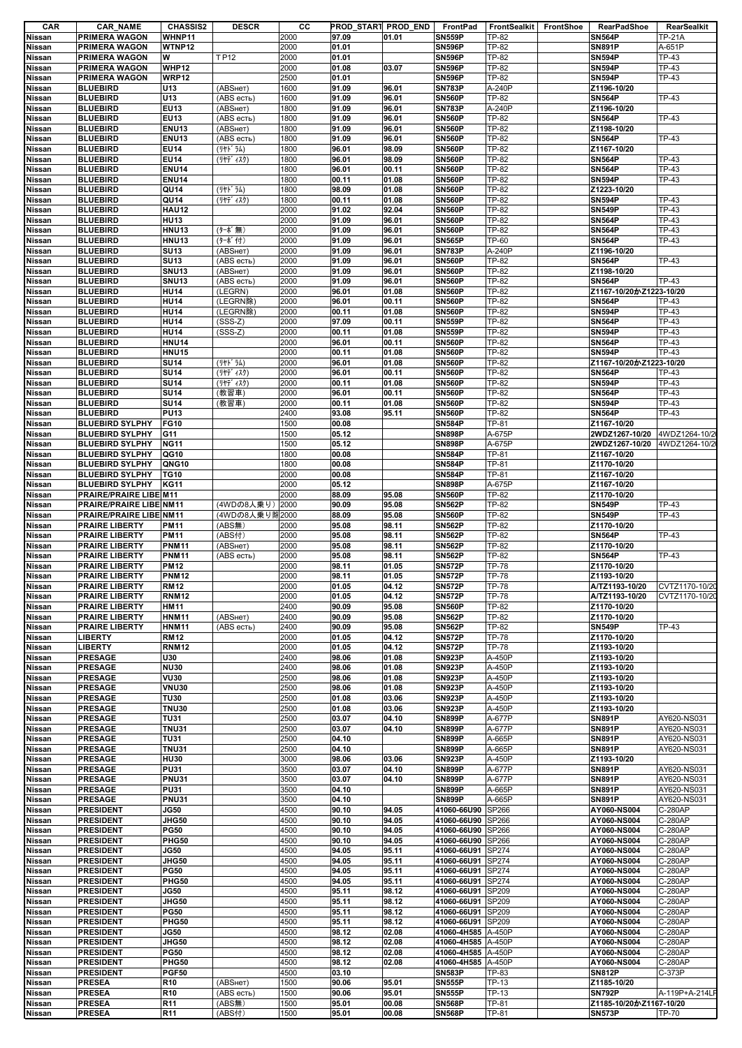| CAR                        | <b>CAR_NAME</b>                  | <b>CHASSIS2</b>                    | <b>DESCR</b>     | cс           | PROD_START PROD_END |                | FrontPad                       | FrontSealkit FrontShoe | RearPadShoe                              | RearSealkit    |
|----------------------------|----------------------------------|------------------------------------|------------------|--------------|---------------------|----------------|--------------------------------|------------------------|------------------------------------------|----------------|
| Nissan                     | <b>PRIMERA WAGON</b>             | WHNP11                             |                  | 2000         | 97.09               | 01.01          | <b>SN559P</b>                  | TP-82                  | <b>SN564P</b>                            | <b>TP-21A</b>  |
| Nissan                     | PRIMERA WAGON                    | WTNP12                             |                  | 2000         | 01.01               |                | <b>SN596P</b>                  | TP-82                  | <b>SN891P</b>                            | A-651P         |
| <b>Nissan</b>              | PRIMERA WAGON                    | w                                  | TP12             | 2000         | 01.01               |                | <b>SN596P</b>                  | TP-82                  | <b>SN594P</b>                            | TP-43          |
| <b>Nissan</b>              | PRIMERA WAGON                    | <b>WHP12</b>                       |                  | 2000         | 01.08               | 03.07          | <b>SN596P</b>                  | TP-82                  | <b>SN594P</b>                            | TP-43          |
| Nissan                     | PRIMERA WAGON<br><b>BLUEBIRD</b> | WRP12                              | (ABSHeT)         | 2500         | 01.01               |                | <b>SN596P</b><br><b>SN783P</b> | TP-82                  | <b>SN594P</b>                            | TP-43          |
| Nissan<br><b>Nissan</b>    | <b>BLUEBIRD</b>                  | U13<br>U13                         | (ABS есть)       | 1600<br>1600 | 91.09<br>91.09      | 96.01<br>96.01 | <b>SN560P</b>                  | A-240P<br><b>TP-82</b> | Z1196-10/20<br><b>SN564P</b>             | TP-43          |
| <b>Nissan</b>              | <b>BLUEBIRD</b>                  | <b>EU13</b>                        | (ABSHeT)         | 1800         | 91.09               | 96.01          | <b>SN783P</b>                  | A-240P                 | Z1196-10/20                              |                |
| Nissan                     | <b>BLUEBIRD</b>                  | <b>EU13</b>                        | (ABS есть)       | 1800         | 91.09               | 96.01          | <b>SN560P</b>                  | <b>TP-82</b>           | <b>SN564P</b>                            | <b>TP-43</b>   |
| <b>Nissan</b>              | <b>BLUEBIRD</b>                  | <b>ENU13</b>                       | (ABSHeT)         | 1800         | 91.09               | 96.01          | <b>SN560P</b>                  | TP-82                  | Z1198-10/20                              |                |
| <b>Nissan</b>              | <b>BLUEBIRD</b>                  | <b>ENU13</b>                       | (ABS есть)       | 1800         | 91.09               | 96.01          | <b>SN560P</b>                  | <b>TP-82</b>           | <b>SN564P</b>                            | <b>TP-43</b>   |
| Nissan                     | <b>BLUEBIRD</b>                  | <b>EU14</b>                        | (リヤドラム)          | 1800         | 96.01               | 98.09          | <b>SN560P</b>                  | TP-82                  | Z1167-10/20                              |                |
| <b>Nissan</b>              | <b>BLUEBIRD</b>                  | <b>EU14</b>                        | (リヤデ ィスク)        | 1800         | 96.01               | 98.09          | <b>SN560P</b>                  | TP-82                  | <b>SN564P</b>                            | <b>TP-43</b>   |
| <b>Nissan</b>              | <b>BLUEBIRD</b>                  | <b>ENU14</b>                       |                  | 1800         | 96.01               | 00.11          | <b>SN560P</b>                  | TP-82                  | <b>SN564P</b>                            | TP-43          |
| Nissan                     | <b>BLUEBIRD</b>                  | <b>ENU14</b>                       |                  | 1800         | 00.11               | 01.08          | <b>SN560P</b>                  | TP-82                  | <b>SN594P</b>                            | TP-43          |
| Nissan                     | <b>BLUEBIRD</b>                  | QU14                               | (リヤト ラム)         | 1800         | 98.09               | 01.08          | <b>SN560P</b>                  | TP-82                  | Z1223-10/20                              |                |
| <b>Nissan</b>              | <b>BLUEBIRD</b>                  | QU14                               | (リヤデ ィスク)        | 1800         | 00.11               | 01.08          | <b>SN560P</b>                  | TP-82                  | <b>SN594P</b>                            | TP-43          |
| <b>Nissan</b>              | <b>BLUEBIRD</b>                  | <b>HAU12</b>                       |                  | 2000         | 91.02               | 92.04          | <b>SN560P</b>                  | <b>TP-82</b>           | <b>SN549P</b>                            | <b>TP-43</b>   |
| <b>Nissan</b>              | <b>BLUEBIRD</b>                  | <b>HU13</b>                        |                  | 2000         | 91.09               | 96.01          | <b>SN560P</b>                  | TP-82                  | <b>SN564P</b>                            | TP-43          |
| Nissan                     | <b>BLUEBIRD</b>                  | <b>HNU13</b>                       | (ターボ無)           | 2000         | 91.09               | 96.01          | <b>SN560P</b>                  | TP-82                  | <b>SN564P</b>                            | <b>TP-43</b>   |
| <b>Nissan</b>              | <b>BLUEBIRD</b>                  | <b>HNU13</b>                       | (ターボ付)           | 2000         | 91.09               | 96.01          | <b>SN565P</b>                  | <b>TP-60</b>           | <b>SN564P</b>                            | <b>TP-43</b>   |
| Nissan                     | <b>BLUEBIRD</b>                  | <b>SU13</b>                        | (ABSHeT)         | 2000         | 91.09               | 96.01          | <b>SN783P</b>                  | A-240P                 | Z1196-10/20                              |                |
| Nissan                     | <b>BLUEBIRD</b>                  | <b>SU13</b>                        | (ABS есть)       | 2000         | 91.09               | 96.01          | <b>SN560P</b>                  | TP-82                  | <b>SN564P</b>                            | TP-43          |
| Nissan                     | <b>BLUEBIRD</b>                  | <b>SNU13</b>                       | (ABSHeT)         | 2000         | 91.09               | 96.01          | <b>SN560P</b>                  | TP-82                  | Z1198-10/20                              |                |
| <b>Nissan</b>              | <b>BLUEBIRD</b>                  | <b>SNU13</b>                       | (ABS есть)       | 2000         | 91.09               | 96.01          | <b>SN560P</b>                  | TP-82                  | <b>SN564P</b>                            | <b>TP-43</b>   |
| Nissan                     | <b>BLUEBIRD</b>                  | <b>HU14</b>                        | (LEGRN)          | 2000         | 96.01               | 01.08          | <b>SN560P</b>                  | TP-82                  | Z1167-10/20かZ1223-10/20                  |                |
| <b>Nissan</b>              | <b>BLUEBIRD</b>                  | <b>HU14</b>                        | (LEGRN除)         | 2000         | 96.01               | 00.11          | <b>SN560P</b>                  | TP-82                  | <b>SN564P</b>                            | <b>TP-43</b>   |
| <b>Nissan</b>              | <b>BLUEBIRD</b>                  | <b>HU14</b>                        | (LEGRN除)         | 2000         | 00.11               | 01.08          | <b>SN560P</b>                  | TP-82                  | <b>SN594P</b>                            | TP-43          |
| Nissan                     | <b>BLUEBIRD</b>                  | <b>HU14</b>                        | $(SSS-Z)$        | 2000         | 97.09               | 00.11          | <b>SN559P</b>                  | TP-82                  | <b>SN564P</b>                            | TP-43          |
| <b>Nissan</b>              | <b>BLUEBIRD</b>                  | <b>HU14</b>                        | $(SSS-Z)$        | 2000         | 00.11               | 01.08          | <b>SN559P</b>                  | TP-82                  | <b>SN594P</b>                            | <b>TP-43</b>   |
| Nissan                     | <b>BLUEBIRD</b>                  | <b>HNU14</b>                       |                  | 2000         | 96.01               | 00.11          | <b>SN560P</b>                  | TP-82                  | <b>SN564P</b>                            | <b>TP-43</b>   |
| <b>Nissan</b>              | <b>BLUEBIRD</b>                  | <b>HNU15</b>                       |                  | 2000         | 00.11               | 01.08          | <b>SN560P</b>                  | <b>TP-82</b>           | <b>SN594P</b>                            | TP-43          |
| <b>Nissan</b>              | <b>BLUEBIRD</b>                  | <b>SU14</b>                        | (リヤト ラム)         | 2000         | 96.01               | 01.08          | <b>SN560P</b>                  | TP-82                  | Z1167-10/20かZ1223-10/20                  |                |
| Nissan                     | <b>BLUEBIRD</b>                  | <b>SU14</b>                        | (リヤデ ィスク)        | 2000         | 96.01               | 00.11          | <b>SN560P</b>                  | <b>TP-82</b>           | <b>SN564P</b>                            | TP-43          |
| <b>Nissan</b>              | <b>BLUEBIRD</b>                  | <b>SU14</b>                        | (リヤデ ィスク)        | 2000         | 00.11               | 01.08          | <b>SN560P</b>                  | TP-82                  | <b>SN594P</b>                            | TP-43          |
| <b>Nissan</b>              | <b>BLUEBIRD</b>                  | <b>SU14</b>                        | (教習車)            | 2000         | 96.01               | 00.11          | <b>SN560P</b>                  | TP-82                  | <b>SN564P</b>                            | TP-43          |
| Nissan                     | <b>BLUEBIRD</b>                  | <b>SU14</b>                        | (教習車)            | 2000         | 00.11               | 01.08          | <b>SN560P</b>                  | TP-82                  | <b>SN594P</b>                            | <b>TP-43</b>   |
| <b>Nissan</b>              | <b>BLUEBIRD</b>                  | <b>PU13</b>                        |                  | 2400         | 93.08               | 95.11          | <b>SN560P</b>                  | TP-82                  | <b>SN564P</b>                            | TP-43          |
| <b>Nissan</b>              | <b>BLUEBIRD SYLPHY</b>           | <b>FG10</b>                        |                  | 1500         | 00.08               |                | <b>SN584P</b>                  | TP-81                  | Z1167-10/20                              |                |
| <b>Nissan</b>              | <b>BLUEBIRD SYLPHY</b>           | G11                                |                  | 1500         | 05.12               |                | <b>SN898P</b>                  | A-675P                 | 2WDZ1267-10/20                           | 4WDZ1264-10/2  |
| Nissan                     | <b>BLUEBIRD SYLPHY</b>           | <b>NG11</b>                        |                  | 1500         | 05.12               |                | <b>SN898P</b>                  | A-675P                 | 2WDZ1267-10/20                           | 4WDZ1264-10/2  |
| <b>Nissan</b>              | <b>BLUEBIRD SYLPHY</b>           | QG10                               |                  | 1800         | 00.08               |                | <b>SN584P</b>                  | TP-81                  | Z1167-10/20                              |                |
| <b>Nissan</b>              | <b>BLUEBIRD SYLPHY</b>           | QNG10                              |                  | 1800         | 00.08               |                | <b>SN584P</b>                  | <b>TP-81</b>           | Z1170-10/20                              |                |
| <b>Nissan</b>              | <b>BLUEBIRD SYLPHY</b>           | <b>TG10</b>                        |                  | 2000         | 00.08               |                | <b>SN584P</b>                  | TP-81                  | Z1167-10/20                              |                |
| Nissan                     | <b>BLUEBIRD SYLPHY</b>           | <b>KG11</b>                        |                  | 2000         | 05.12               |                | <b>SN898P</b>                  | A-675P                 | Z1167-10/20                              |                |
| <b>Nissan</b>              | PRAIRE/PRAIRE LIBE M11           |                                    |                  | 2000         | 88.09               | 95.08          | <b>SN560P</b>                  | TP-82                  | Z1170-10/20                              |                |
| Nissan                     | <b>PRAIRE/PRAIRE LIBE NM11</b>   |                                    | (4WDの8人乗り)       | 2000         | 90.09               | 95.08          | <b>SN562P</b>                  | TP-82                  | <b>SN549P</b>                            | TP-43          |
| Nissan                     |                                  |                                    |                  |              |                     |                |                                |                        |                                          |                |
|                            | <b>PRAIRE/PRAIRE LIBE NM11</b>   |                                    | (4WDの8人乗り隙2000   |              | 88.09               | 95.08          | <b>SN560P</b>                  | TP-82                  | <b>SN549P</b>                            | TP-43          |
| Nissan                     | <b>PRAIRE LIBERTY</b>            | <b>PM11</b>                        | (ABS無)           | 2000         | 95.08               | 98.11          | <b>SN562P</b>                  | TP-82                  | Z1170-10/20                              |                |
| <b>Nissan</b>              | <b>PRAIRE LIBERTY</b>            | <b>PM11</b>                        | (ABS付)           | 2000         | 95.08               | 98.11          | <b>SN562P</b>                  | TP-82                  | <b>SN564P</b>                            | TP-43          |
| <b>Nissan</b>              | <b>PRAIRE LIBERTY</b>            | <b>PNM11</b>                       | (ABSHeT)         | 2000         | 95.08               | 98.11          | <b>SN562P</b>                  | TP-82                  | Z1170-10/20                              |                |
| Nissan                     | <b>PRAIRE LIBERTY</b>            | <b>PNM11</b>                       | (ABS есть)       | 2000         | 95.08               | 98.11          | <b>SN562P</b>                  | TP-82                  | <b>SN564P</b>                            | TP-43          |
| Nissan                     | <b>PRAIRE LIBERTY</b>            | <b>PM12</b>                        |                  | 2000         | 98.11               | 01.05          | <b>SN572P</b>                  | <b>TP-78</b>           | Z1170-10/20                              |                |
| Nissan                     | <b>PRAIRE LIBERTY</b>            | <b>PNM12</b>                       |                  | 2000         | 98.11               | 01.05          | <b>SN572P</b>                  | <b>TP-78</b>           | Z1193-10/20                              |                |
|                            | <b>PRAIRE LIBERTY</b>            | <b>RM12</b>                        |                  | 2000         | 01.05               | 04.12          | <b>SN572P</b>                  | TP-78                  | A/TZ1193-10/20                           | CVTZ1170-10/20 |
| Nissan<br>Nissan           | PRAIRE LIBERTY                   | <b>RNM12</b>                       |                  | 2000         | 01.05               | 04.12          | <b>SN572P</b>                  | TP-78                  | A/TZ1193-10/20                           | CVTZ1170-10/20 |
| Nissan                     | <b>PRAIRE LIBERTY</b>            | <b>HM11</b>                        |                  | 2400         | 90.09               | 95.08          | <b>SN560P</b>                  | TP-82                  | Z1170-10/20                              |                |
| <b>Nissan</b>              | <b>PRAIRE LIBERTY</b>            | <b>HNM11</b>                       | (ABSHeT)         | 2400         | 90.09               | 95.08          | <b>SN562P</b>                  | TP-82                  | Z1170-10/20                              |                |
| Nissan                     | <b>PRAIRE LIBERTY</b>            | <b>HNM11</b>                       | (ABS есть)       | 2400         | 90.09               | 95.08          | <b>SN562P</b>                  | TP-82                  | <b>SN549P</b>                            | <b>TP-43</b>   |
| <b>Nissan</b>              | <b>LIBERTY</b>                   | <b>RM12</b>                        |                  | 2000         | 01.05               | 04.12          | <b>SN572P</b>                  | <b>TP-78</b>           | Z1170-10/20                              |                |
| <b>Nissan</b>              | LIBERTY                          | <b>RNM12</b>                       |                  | 2000         | 01.05               | 04.12          | <b>SN572P</b>                  | <b>TP-78</b>           | Z1193-10/20                              |                |
| <b>Nissan</b>              | <b>PRESAGE</b>                   | U30                                |                  | 2400         | 98.06               | 01.08          | <b>SN923P</b>                  | A-450P                 | Z1193-10/20                              |                |
| <b>Nissan</b>              | <b>PRESAGE</b>                   | <b>NU30</b>                        |                  | 2400         | 98.06               | 01.08          | <b>SN923P</b>                  | A-450P                 | Z1193-10/20                              |                |
| <b>Nissan</b>              | <b>PRESAGE</b>                   | <b>VU30</b>                        |                  | 2500         | 98.06               | 01.08          | <b>SN923P</b>                  | A-450P                 | Z1193-10/20                              |                |
| <b>Nissan</b>              | <b>PRESAGE</b>                   | <b>VNU30</b>                       |                  | 2500         | 98.06               | 01.08          | <b>SN923P</b>                  | A-450P                 | Z1193-10/20                              |                |
| <b>Nissan</b>              | <b>PRESAGE</b>                   | <b>TU30</b>                        |                  | 2500         | 01.08               | 03.06          | <b>SN923P</b>                  | A-450P                 | Z1193-10/20                              |                |
| <b>Nissan</b>              | <b>PRESAGE</b>                   | <b>TNU30</b>                       |                  | 2500         | 01.08               | 03.06          | <b>SN923P</b>                  | A-450P                 | Z1193-10/20                              |                |
|                            | <b>PRESAGE</b>                   | <b>TU31</b>                        |                  | 2500         | 03.07               | 04.10          | <b>SN899P</b>                  | A-677P                 | <b>SN891P</b>                            | AY620-NS031    |
| Nissan                     | <b>PRESAGE</b>                   | <b>TNU31</b>                       |                  | 2500         | 03.07               | 04.10          | <b>SN899P</b>                  | A-677P                 | <b>SN891P</b>                            | AY620-NS031    |
| Nissan                     | <b>PRESAGE</b>                   | <b>TU31</b>                        |                  | 2500         | 04.10               |                | <b>SN899P</b>                  | A-665P                 | <b>SN891P</b>                            | AY620-NS031    |
| Nissan<br>Nissan           | <b>PRESAGE</b>                   | <b>TNU31</b>                       |                  | 2500         | 04.10               |                | <b>SN899P</b>                  | A-665P                 | <b>SN891P</b>                            | AY620-NS031    |
| Nissan                     | <b>PRESAGE</b>                   | <b>HU30</b>                        |                  | 3000         | 98.06               | 03.06          | <b>SN923P</b>                  | A-450P                 | Z1193-10/20                              |                |
| Nissan                     | <b>PRESAGE</b>                   | <b>PU31</b>                        |                  | 3500         | 03.07               | 04.10          | <b>SN899P</b>                  | A-677P                 | <b>SN891P</b>                            | AY620-NS031    |
| Nissan                     | <b>PRESAGE</b>                   | <b>PNU31</b>                       |                  | 3500         | 03.07               | 04.10          | <b>SN899P</b>                  | A-677P                 | <b>SN891P</b>                            | AY620-NS031    |
| Nissan                     | <b>PRESAGE</b>                   | <b>PU31</b>                        |                  | 3500         | 04.10               |                | <b>SN899P</b>                  | A-665P                 | <b>SN891P</b>                            | AY620-NS031    |
| Nissan                     | <b>PRESAGE</b>                   | <b>PNU31</b>                       |                  | 3500         | 04.10               |                | <b>SN899P</b>                  | A-665P                 | <b>SN891P</b>                            | AY620-NS031    |
| Nissan                     | <b>PRESIDENT</b>                 | JG50                               |                  | 4500         | 90.10               | 94.05          | 41060-66U90                    | SP266                  | AY060-NS004                              | C-280AP        |
| Nissan                     | <b>PRESIDENT</b>                 | <b>JHG50</b>                       |                  | 4500         | 90.10               | 94.05          | 41060-66U90                    | SP266                  | AY060-NS004                              | C-280AP        |
| Nissan                     | <b>PRESIDENT</b>                 | <b>PG50</b>                        |                  | 4500         | 90.10               | 94.05          | 41060-66U90                    | SP266                  | AY060-NS004                              | C-280AP        |
| Nissan                     | <b>PRESIDENT</b>                 | <b>PHG50</b>                       |                  | 4500         | 90.10               | 94.05          | 41060-66U90                    | <b>SP266</b>           | AY060-NS004                              | C-280AP        |
| Nissan                     | <b>PRESIDENT</b>                 | JG50                               |                  | 4500         | 94.05               | 95.11          | 41060-66U91                    | SP274                  | AY060-NS004                              | C-280AP        |
|                            | <b>PRESIDENT</b>                 | JHG50                              |                  | 4500         | 94.05               | 95.11          | 41060-66U91                    | SP274                  | AY060-NS004                              | C-280AP        |
| Nissan                     | <b>PRESIDENT</b>                 | <b>PG50</b>                        |                  | 4500         | 94.05               | 95.11          | 41060-66U91                    | <b>SP274</b>           | AY060-NS004                              | C-280AP        |
| Nissan                     | <b>PRESIDENT</b>                 | <b>PHG50</b>                       |                  | 4500         | 94.05               | 95.11          | 41060-66U91                    | SP274                  | AY060-NS004                              | C-280AP        |
|                            | <b>PRESIDENT</b>                 | JG50                               |                  | 4500         | 95.11               | 98.12          | 41060-66U91                    | SP209                  | AY060-NS004                              | C-280AP        |
| Nissan                     | <b>PRESIDENT</b>                 | JHG50                              |                  | 4500         | 95.11               | 98.12          | 41060-66U91                    | SP209                  | AY060-NS004                              | C-280AP        |
| Nissan                     | <b>PRESIDENT</b>                 | <b>PG50</b>                        |                  | 4500         | 95.11               | 98.12          | 41060-66U91                    | <b>SP209</b>           | AY060-NS004                              | C-280AP        |
| Nissan                     | <b>PRESIDENT</b>                 | <b>PHG50</b>                       |                  | 4500         | 95.11               | 98.12          | 41060-66U91                    | SP209                  | AY060-NS004                              | C-280AP        |
| Nissan                     | <b>PRESIDENT</b>                 | <b>JG50</b>                        |                  | 4500         | 98.12               | 02.08          | 41060-4H585 A-450P             |                        | AY060-NS004                              | C-280AP        |
| Nissan                     | <b>PRESIDENT</b>                 | <b>JHG50</b>                       |                  | 4500         | 98.12               | 02.08          | 41060-4H585 A-450P             |                        | AY060-NS004                              | C-280AP        |
| Nissan                     | <b>PRESIDENT</b>                 | <b>PG50</b>                        |                  | 4500         | 98.12               | 02.08          | 41060-4H585                    | A-450P                 | AY060-NS004                              | C-280AP        |
| Nissan<br>Nissan<br>Nissan | <b>PRESIDENT</b>                 | PHG50                              |                  | 4500         | 98.12               | 02.08          | 41060-4H585                    | A-450P                 | AY060-NS004                              | C-280AP        |
| Nissan                     | <b>PRESIDENT</b>                 | <b>PGF50</b>                       |                  | 4500         | 03.10               |                | <b>SN583P</b>                  | TP-83                  | <b>SN812P</b>                            | C-373P         |
| Nissan                     | <b>PRESEA</b>                    | <b>R10</b>                         | (ABSHeT)         | 1500         | 90.06               | 95.01          | <b>SN555P</b>                  | TP-13                  | Z1185-10/20                              |                |
| Nissan                     | <b>PRESEA</b>                    | <b>R10</b>                         | (ABS есть)       | 1500         | 90.06               | 95.01          | <b>SN555P</b>                  | TP-13                  | <b>SN792P</b>                            | A-119P+A-214LF |
| <b>Nissan</b><br>Nissan    | <b>PRESEA</b><br><b>PRESEA</b>   | R <sub>11</sub><br>R <sub>11</sub> | (ABS無)<br>(ABS付) | 1500<br>1500 | 95.01<br>95.01      | 00.08<br>00.08 | <b>SN568P</b><br><b>SN568P</b> | TP-81<br>TP-81         | Z1185-10/20かZ1167-10/20<br><b>SN573P</b> | <b>TP-70</b>   |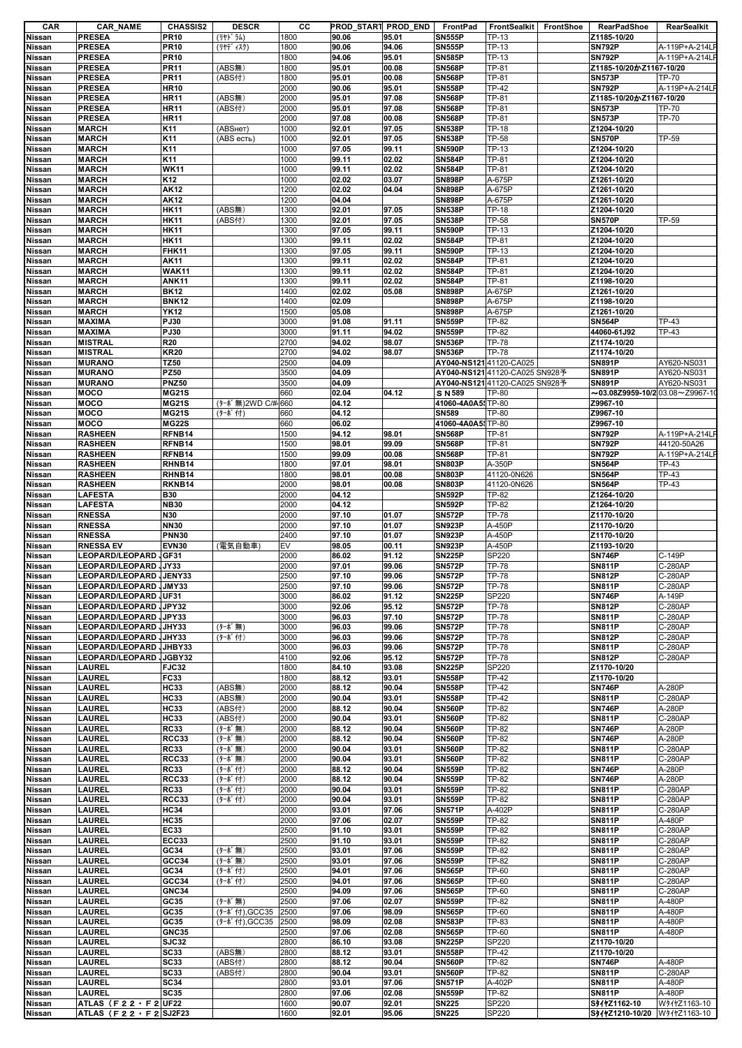| CAR                     | <b>CAR_NAME</b>                                | <b>CHASSIS2</b>              | <b>DESCR</b>     | cс           | PROD_START PROD_END |                | FrontPad                       | FrontSealkit                   | FrontShoe | RearPadShoe                                  | RearSealkit            |
|-------------------------|------------------------------------------------|------------------------------|------------------|--------------|---------------------|----------------|--------------------------------|--------------------------------|-----------|----------------------------------------------|------------------------|
| Nissan                  | <b>PRESEA</b>                                  | <b>PR10</b>                  | (リヤト゛ラム)         | 1800         | 90.06               | 95.01          | <b>SN555P</b>                  | TP-13                          |           | Z1185-10/20                                  |                        |
| Nissan                  | <b>PRESEA</b>                                  | <b>PR10</b>                  | (リヤデ ィスク)        | 1800         | 90.06               | 94.06          | <b>SN555P</b>                  | TP-13                          |           | <b>SN792P</b>                                | A-119P+A-214LF         |
| <b>Nissan</b>           | <b>PRESEA</b>                                  | <b>PR10</b>                  |                  | 1800         | 94.06               | 95.01          | <b>SN585P</b>                  | TP-13                          |           | <b>SN792P</b>                                | A-119P+A-214LF         |
| Nissan                  | <b>PRESEA</b>                                  | <b>PR11</b>                  | (ABS無)           | 1800         | 95.01               | 00.08          | <b>SN568P</b>                  | TP-81                          |           | Z1185-10/20かZ1167-10/20                      |                        |
| Nissan                  | <b>PRESEA</b>                                  | <b>PR11</b>                  | (ABS付)           | 1800         | 95.01               | 00.08          | <b>SN568P</b>                  | <b>TP-81</b>                   |           | <b>SN573P</b>                                | <b>TP-70</b>           |
| Nissan                  | <b>PRESEA</b>                                  | <b>HR10</b>                  |                  | 2000         | 90.06               | 95.01          | <b>SN558P</b>                  | <b>TP-42</b>                   |           | <b>SN792P</b>                                | A-119P+A-214LF         |
| Nissan                  | <b>PRESEA</b>                                  | <b>HR11</b>                  | (ABS無)           | 2000         | 95.01               | 97.08          | <b>SN568P</b>                  | TP-81                          |           | Z1185-10/20かZ1167-10/20                      |                        |
| Nissan                  | <b>PRESEA</b>                                  | <b>HR11</b>                  | (ABS付)           | 2000         | 95.01               | 97.08          | <b>SN568P</b>                  | TP-81                          |           | <b>SN573P</b>                                | <b>TP-70</b>           |
| Nissan                  | <b>PRESEA</b>                                  | <b>HR11</b>                  |                  | 2000         | 97.08               | 00.08          | <b>SN568P</b>                  | TP-81                          |           | <b>SN573P</b>                                | TP-70                  |
| <b>Nissan</b>           | <b>MARCH</b>                                   | K11                          | (АВSнет)         | 1000         | 92.01               | 97.05          | <b>SN538P</b>                  | <b>TP-18</b>                   |           | Z1204-10/20                                  |                        |
| Nissan                  | <b>MARCH</b>                                   | K11                          | (ABS есть)       | 1000         | 92.01               | 97.05          | <b>SN538P</b>                  | <b>TP-58</b>                   |           | <b>SN570P</b>                                | TP-59                  |
| Nissan                  | <b>MARCH</b>                                   | K11                          |                  | 1000         | 97.05               | 99.11          | <b>SN590P</b>                  | TP-13                          |           | Z1204-10/20                                  |                        |
| <b>Nissan</b>           | <b>MARCH</b>                                   | K11                          |                  | 1000         | 99.11               | 02.02          | <b>SN584P</b>                  | <b>TP-81</b>                   |           | Z1204-10/20                                  |                        |
| <b>Nissan</b>           | <b>MARCH</b>                                   | <b>WK11</b>                  |                  | 1000         | 99.11               | 02.02          | <b>SN584P</b>                  | <b>TP-81</b>                   |           | Z1204-10/20                                  |                        |
| Nissan                  | <b>MARCH</b>                                   | K <sub>12</sub>              |                  | 1000         | 02.02               | 03.07          | <b>SN898P</b>                  | A-675P                         |           | Z1261-10/20                                  |                        |
| Nissan                  | <b>MARCH</b>                                   | <b>AK12</b>                  |                  | 1200         | 02.02               | 04.04          | <b>SN898P</b>                  | A-675P                         |           | Z1261-10/20                                  |                        |
| <b>Nissan</b>           | <b>MARCH</b>                                   | <b>AK12</b>                  |                  | 1200<br>1300 | 04.04               |                | <b>SN898P</b><br><b>SN538P</b> | A-675P                         |           | Z1261-10/20                                  |                        |
| <b>Nissan</b>           | <b>MARCH</b>                                   | <b>HK11</b>                  | (ABS無)           |              | 92.01               | 97.05          | <b>SN538P</b>                  | <b>TP-18</b>                   |           | Z1204-10/20<br><b>SN570P</b>                 | TP-59                  |
| Nissan<br><b>Nissan</b> | <b>MARCH</b><br><b>MARCH</b>                   | <b>HK11</b><br><b>HK11</b>   | (ABS付)           | 1300<br>1300 | 92.01<br>97.05      | 97.05<br>99.11 | <b>SN590P</b>                  | <b>TP-58</b><br>TP-13          |           | Z1204-10/20                                  |                        |
| <b>Nissan</b>           | <b>MARCH</b>                                   | <b>HK11</b>                  |                  | 1300         | 99.11               | 02.02          | <b>SN584P</b>                  | <b>TP-81</b>                   |           | Z1204-10/20                                  |                        |
| <b>Nissan</b>           | <b>MARCH</b>                                   | <b>FHK11</b>                 |                  | 1300         | 97.05               | 99.11          | <b>SN590P</b>                  | TP-13                          |           | Z1204-10/20                                  |                        |
| Nissan                  | <b>MARCH</b>                                   | <b>AK11</b>                  |                  | 1300         | 99.11               | 02.02          | <b>SN584P</b>                  | TP-81                          |           | Z1204-10/20                                  |                        |
| <b>Nissan</b>           | <b>MARCH</b>                                   | <b>WAK11</b>                 |                  | 1300         | 99.11               | 02.02          | <b>SN584P</b>                  | <b>TP-81</b>                   |           | Z1204-10/20                                  |                        |
| Nissan                  | <b>MARCH</b>                                   | <b>ANK11</b>                 |                  | 1300         | 99.11               | 02.02          | <b>SN584P</b>                  | <b>TP-81</b>                   |           | Z1198-10/20                                  |                        |
| Nissan                  | <b>MARCH</b>                                   | <b>BK12</b>                  |                  | 1400         | 02.02               | 05.08          | <b>SN898P</b>                  | A-675P                         |           | Z1261-10/20                                  |                        |
| <b>Nissan</b>           | <b>MARCH</b>                                   | <b>BNK12</b>                 |                  | 1400         | 02.09               |                | <b>SN898P</b>                  | A-675P                         |           | Z1198-10/20                                  |                        |
| <b>Nissan</b>           | <b>MARCH</b>                                   | <b>YK12</b>                  |                  | 1500         | 05.08               |                | <b>SN898P</b>                  | A-675P                         |           | Z1261-10/20                                  |                        |
| Nissan                  | <b>MAXIMA</b>                                  | PJ30                         |                  | 3000         | 91.08               | 91.11          | <b>SN559P</b>                  | <b>TP-82</b>                   |           | <b>SN564P</b>                                | TP-43                  |
| Nissan                  | <b>MAXIMA</b>                                  | PJ30                         |                  | 3000         | 91.11               | 94.02          | <b>SN559P</b>                  | <b>TP-82</b>                   |           | 44060-61J92                                  | <b>TP-43</b>           |
| Nissan                  | <b>MISTRAL</b>                                 | <b>R20</b>                   |                  | 2700         | 94.02               | 98.07          | <b>SN536P</b>                  | <b>TP-78</b>                   |           | Z1174-10/20                                  |                        |
| <b>Nissan</b>           | <b>MISTRAL</b>                                 | <b>KR20</b>                  |                  | 2700         | 94.02               | 98.07          | <b>SN536P</b>                  | <b>TP-78</b>                   |           | Z1174-10/20                                  |                        |
| <b>Nissan</b>           | <b>MURANO</b>                                  | <b>TZ50</b>                  |                  | 2500         | 04.09               |                | AY040-NS121 41120-CA025        |                                |           | <b>SN891P</b>                                | AY620-NS031            |
| Nissan                  | <b>MURANO</b>                                  | <b>PZ50</b>                  |                  | 3500         | 04.09               |                |                                | AY040-NS12141120-CA025 SN928予  |           | <b>SN891P</b>                                | AY620-NS031            |
| <b>Nissan</b>           | <b>MURANO</b>                                  | <b>PNZ50</b>                 |                  | 3500         | 04.09               |                |                                | AY040-NS121 41120-CA025 SN928予 |           | <b>SN891P</b>                                | AY620-NS031            |
| Nissan                  | <b>MOCO</b>                                    | <b>MG21S</b>                 |                  | 660          | 02.04               | 04.12          | S N 589                        | TP-80                          |           | $\sim$ 03.08Z9959-10/2 03.08 $\sim$ Z9967-10 |                        |
| Nissan                  | <b>MOCO</b>                                    | <b>MG21S</b>                 | (ターボ無)2WD C/#    | 660          | 04.12               |                | 41060-4A0A5: TP-80             |                                |           | Z9967-10                                     |                        |
| <b>Nissan</b>           | <b>MOCO</b>                                    | <b>MG21S</b>                 | (ターボ付)           | 660          | 04.12               |                | <b>SN589</b>                   | <b>TP-80</b>                   |           | Z9967-10                                     |                        |
| <b>Nissan</b>           | <b>MOCO</b>                                    | <b>MG22S</b>                 |                  | 660          | 06.02               |                | 41060-4A0A5 TP-80              |                                |           | Z9967-10                                     |                        |
| Nissan                  | <b>RASHEEN</b>                                 | RFNB14                       |                  | 1500         | 94.12               | 98.01          | <b>SN568P</b>                  | <b>TP-81</b>                   |           | <b>SN792P</b>                                | A-119P+A-214LF         |
| Nissan                  | <b>RASHEEN</b>                                 | RFNB14                       |                  | 1500         | 98.01               | 99.09          | <b>SN568P</b>                  | TP-81                          |           | <b>SN792P</b>                                | 44120-50A26            |
| <b>Nissan</b>           | <b>RASHEEN</b>                                 | RFNB14                       |                  | 1500         | 99.09               | 00.08          | <b>SN568P</b>                  | TP-81                          |           | <b>SN792P</b>                                | A-119P+A-214LF         |
| <b>Nissan</b>           | <b>RASHEEN</b>                                 | RHNB14                       |                  | 1800         | 97.01               | 98.01          | <b>SN803P</b>                  | A-350P                         |           | <b>SN564P</b>                                | TP-43                  |
| Nissan                  | <b>RASHEEN</b>                                 | RHNB14                       |                  | 1800         | 98.01               | 00.08          | <b>SN803P</b>                  | 41120-0N626                    |           | <b>SN564P</b>                                | TP-43                  |
| <b>Nissan</b>           | <b>RASHEEN</b>                                 | RKNB14                       |                  | 2000         | 98.01               | 00.08          | <b>SN803P</b>                  | 41120-0N626                    |           | <b>SN564P</b>                                | TP-43                  |
| <b>Nissan</b>           | <b>LAFESTA</b>                                 | <b>B30</b>                   |                  | 2000         | 04.12               |                | <b>SN592P</b>                  | <b>TP-82</b>                   |           | Z1264-10/20                                  |                        |
| <b>Nissan</b>           | <b>LAFESTA</b>                                 | <b>NB30</b>                  |                  | 2000         | 04.12               |                | <b>SN592P</b>                  | <b>TP-82</b>                   |           | Z1264-10/20                                  |                        |
| Nissan                  | <b>RNESSA</b>                                  | N30                          |                  | 2000         | 97.10               | 01.07          | <b>SN572P</b>                  | <b>TP-78</b>                   |           | Z1170-10/20                                  |                        |
| <b>Nissan</b>           | <b>RNESSA</b>                                  | <b>NN30</b>                  |                  | 2000<br>2400 | 97.10               | 01.07          | <b>SN923P</b><br><b>SN923P</b> | A-450P                         |           | Z1170-10/20                                  |                        |
| <b>Nissan</b>           | <b>RNESSA</b><br><b>RNESSA EV</b>              | <b>PNN30</b><br><b>EVN30</b> | (電気自動車)          | EV           | 97.10<br>98.05      | 01.07<br>00.11 | <b>SN923P</b>                  | A-450P<br>A-450P               |           | Z1170-10/20<br>Z1193-10/20                   |                        |
| Nissan<br>Nissan        | <b>LEOPARD/LEOPARD</b>                         | GF31                         |                  | 2000         | 86.02               | 91.12          | <b>SN225P</b>                  | SP220                          |           | <b>SN746P</b>                                | C-149P                 |
| <b>Nissan</b>           | LEOPARD/LEOPARD JY33                           |                              |                  | 2000         | 97.01               | 99.06          | <b>SN572P</b>                  | <b>TP-78</b>                   |           | <b>SN811P</b>                                | C-280AP                |
| Nissan                  | LEOPARD/LEOPARD JENY33                         |                              |                  | 2500         | 97.10               | 99.06          | <b>SN572P</b>                  | <b>TP-78</b>                   |           | <b>SN812P</b>                                | C-280AP                |
| Nissan                  | LEOPARD/LEOPARD JMY33                          |                              |                  | 2500         | 97.10               | 99.06          | <b>SN572P</b>                  | <b>TP-78</b>                   |           | <b>SN811P</b>                                | C-280AP                |
| Nissan                  | LEOPARD/LEOPARD JUF31                          |                              |                  | 3000         | 86.02               | 91.12          | <b>SN225P</b>                  | SP220                          |           | <b>SN746P</b>                                | A-149P                 |
| Nissan                  | LEOPARD/LEOPARD JJPY32                         |                              |                  | 3000         | 92.06               | 95.12          | <b>SN572P</b>                  | <b>TP-78</b>                   |           | <b>SN812P</b>                                | C-280AP                |
| Nissan                  | LEOPARD/LEOPARD JPY33                          |                              |                  | 3000         | 96.03               | 97.10          | <b>SN572P</b>                  | <b>TP-78</b>                   |           | <b>SN811P</b>                                | C-280AP                |
| Nissan                  | LEOPARD/LEOPARD JHY33                          |                              | (ターボ無)           | 3000         | 96.03               | 99.06          | <b>SN572P</b>                  | <b>TP-78</b>                   |           | <b>SN811P</b>                                | C-280AP                |
| Nissan                  | LEOPARD/LEOPARD JJHY33                         |                              | (ターボ付)           | 3000         | 96.03               | 99.06          | <b>SN572P</b>                  | <b>TP-78</b>                   |           | <b>SN812P</b>                                | C-280AP                |
| Nissan                  | LEOPARD/LEOPARD JJHBY33                        |                              |                  | 3000         | 96.03               | 99.06          | <b>SN572P</b>                  | <b>TP-78</b>                   |           | <b>SN811P</b>                                | C-280AP                |
| Nissan                  | <b>LEOPARD/LEOPARD</b>                         | JGBY32                       |                  | 4100         | 92.06               | 95.12          | <b>SN572P</b>                  | <b>TP-78</b>                   |           | <b>SN812P</b>                                | C-280AP                |
| Nissan                  | LAUREL                                         | <b>FJC32</b>                 |                  | 1800         | 84.10               | 93.08          | <b>SN225P</b>                  | SP220                          |           | Z1170-10/20                                  |                        |
| Nissan                  | <b>LAUREL</b>                                  | <b>FC33</b>                  |                  | 1800         | 88.12               | 93.01          | <b>SN558P</b>                  | <b>TP-42</b>                   |           | Z1170-10/20                                  |                        |
| Nissan                  | <b>LAUREL</b>                                  | <b>HC33</b>                  | (ABS無)           | 2000         | 88.12               | 90.04          | <b>SN558P</b>                  | <b>TP-42</b>                   |           | <b>SN746P</b>                                | A-280P                 |
| <b>Nissan</b>           | <b>LAUREL</b>                                  | <b>HC33</b>                  | (ABS無)           | 2000         | 90.04               | 93.01          | <b>SN558P</b>                  | <b>TP-42</b>                   |           | <b>SN811P</b>                                | C-280AP                |
| <b>Nissan</b>           | <b>LAUREL</b>                                  | <b>HC33</b>                  | (ABS付)           | 2000         | 88.12               | 90.04          | <b>SN560P</b>                  | <b>TP-82</b>                   |           | <b>SN746P</b>                                | A-280P                 |
| Nissan                  | LAUREL                                         | <b>HC33</b>                  | (ABS付)           | 2000         | 90.04               | 93.01          | <b>SN560P</b>                  | <b>TP-82</b>                   |           | <b>SN811P</b>                                | C-280AP                |
| <b>Nissan</b>           | LAUREL<br><b>LAUREL</b>                        | <b>RC33</b><br><b>RCC33</b>  | (ターボ無)           | 2000<br>2000 | 88.12<br>88.12      | 90.04<br>90.04 | <b>SN560P</b><br><b>SN560P</b> | <b>TP-82</b><br><b>TP-82</b>   |           | <b>SN746P</b><br><b>SN746P</b>               | A-280P<br>A-280P       |
| <b>Nissan</b><br>Nissan | LAUREL                                         | <b>RC33</b>                  | (ターボ無)<br>(ターボ無) | 2000         | 90.04               | 93.01          | <b>SN560P</b>                  | <b>TP-82</b>                   |           | <b>SN811P</b>                                | C-280AP                |
| Nissan                  | LAUREL                                         | RCC33                        | (ターボ無)           | 2000         | 90.04               | 93.01          | <b>SN560P</b>                  | <b>TP-82</b>                   |           | <b>SN811P</b>                                | C-280AP                |
| Nissan                  | <b>LAUREL</b>                                  | <b>RC33</b>                  | (ターボ付)           | 2000         | 88.12               | 90.04          | <b>SN559P</b>                  | <b>TP-82</b>                   |           | <b>SN746P</b>                                | A-280P                 |
| <b>Nissan</b>           | LAUREL                                         | <b>RCC33</b>                 | (ターボ付)           | 2000         | 88.12               | 90.04          | <b>SN559P</b>                  | <b>TP-82</b>                   |           | <b>SN746P</b>                                | A-280P                 |
| Nissan                  | LAUREL                                         | <b>RC33</b>                  | (ターボ付)           | 2000         | 90.04               | 93.01          | <b>SN559P</b>                  | <b>TP-82</b>                   |           | <b>SN811P</b>                                | C-280AP                |
| Nissan                  | <b>LAUREL</b>                                  | <b>RCC33</b>                 | (ターボ付)           | 2000         | 90.04               | 93.01          | <b>SN559P</b>                  | <b>TP-82</b>                   |           | <b>SN811P</b>                                | C-280AP                |
| <b>Nissan</b>           | <b>LAUREL</b>                                  | <b>HC34</b>                  |                  | 2000         | 93.01               | 97.06          | <b>SN571P</b>                  | A-402P                         |           | <b>SN811P</b>                                | C-280AP                |
| Nissan                  | <b>LAUREL</b>                                  | <b>HC35</b>                  |                  | 2000         | 97.06               | 02.07          | <b>SN559P</b>                  | <b>TP-82</b>                   |           | <b>SN811P</b>                                | A-480P                 |
| Nissan                  | LAUREL                                         | <b>EC33</b>                  |                  | 2500         | 91.10               | 93.01          | <b>SN559P</b>                  | <b>TP-82</b>                   |           | <b>SN811P</b>                                | C-280AP                |
| Nissan                  | <b>LAUREL</b>                                  | <b>ECC33</b>                 |                  | 2500         | 91.10               | 93.01          | <b>SN559P</b>                  | <b>TP-82</b>                   |           | <b>SN811P</b>                                | C-280AP                |
| Nissan                  | <b>LAUREL</b>                                  | GC34                         | (ターボ無)           | 2500         | 93.01               | 97.06          | <b>SN559P</b>                  | <b>TP-82</b>                   |           | <b>SN811P</b>                                | C-280AP                |
| <b>Nissan</b>           | <b>LAUREL</b>                                  | GCC34                        | (ターボ無)           | 2500         | 93.01               | 97.06          | <b>SN559P</b>                  | TP-82                          |           | <b>SN811P</b>                                | C-280AP                |
| Nissan                  | LAUREL                                         | GC34                         | (ターボ付)           | 2500         | 94.01               | 97.06          | <b>SN565P</b>                  | TP-60                          |           | <b>SN811P</b>                                | C-280AP                |
| Nissan                  | <b>LAUREL</b>                                  | GCC34                        | (ターボ付)           | 2500         | 94.01               | 97.06          | <b>SN565P</b>                  | TP-60                          |           | <b>SN811P</b>                                | C-280AP                |
| <b>Nissan</b>           | LAUREL                                         | <b>GNC34</b>                 |                  | 2500         | 94.09               | 97.06          | <b>SN565P</b>                  | TP-60                          |           | <b>SN811P</b>                                | C-280AP                |
| Nissan                  | LAUREL                                         | GC35                         | (ターボ無)           | 2500         | 97.06               | 02.07          | <b>SN559P</b>                  | <b>TP-82</b>                   |           | <b>SN811P</b>                                | A-480P                 |
| Nissan                  | <b>LAUREL</b>                                  | GC35                         | (ターボ付),GCC35     | 2500         | 97.06               | 98.09          | <b>SN565P</b>                  | TP-60                          |           | <b>SN811P</b>                                | A-480P                 |
| Nissan                  | LAUREL                                         | GC35                         | (ターボ付),GCC35     | 2500         | 98.09               | 02.08          | <b>SN583P</b>                  | TP-83                          |           | <b>SN811P</b>                                | A-480P                 |
| Nissan                  | <b>LAUREL</b>                                  | <b>GNC35</b>                 |                  | 2500         | 97.06               | 02.08          | <b>SN565P</b>                  | TP-60                          |           | <b>SN811P</b>                                | A-480P                 |
| Nissan                  | <b>LAUREL</b>                                  | <b>SJC32</b>                 |                  | 2800         | 86.10               | 93.08          | <b>SN225P</b>                  | SP220                          |           | Z1170-10/20                                  |                        |
| Nissan                  | <b>LAUREL</b>                                  | <b>SC33</b><br><b>SC33</b>   | (ABS無)           | 2800         | 88.12               | 93.01          | <b>SN558P</b>                  | <b>TP-42</b><br><b>TP-82</b>   |           | Z1170-10/20                                  | A-480P                 |
| Nissan                  | LAUREL                                         |                              | (ABS付)           | 2800         | 88.12               | 90.04          | <b>SN560P</b>                  | <b>TP-82</b>                   |           | <b>SN746P</b>                                |                        |
|                         |                                                |                              |                  |              |                     |                |                                |                                |           |                                              |                        |
| Nissan                  | LAUREL                                         | <b>SC33</b>                  | (ABS付)           | 2800         | 90.04               | 93.01          | <b>SN560P</b>                  |                                |           | <b>SN811P</b>                                | C-280AP                |
| Nissan                  | <b>LAUREL</b>                                  | <b>SC34</b>                  |                  | 2800         | 93.01               | 97.06          | <b>SN571P</b>                  | A-402P                         |           | <b>SN811P</b>                                | A-480P                 |
| <b>Nissan</b><br>Nissan | <b>LAUREL</b><br>ATLAS (F 2 2 $\cdot$ F 2 UF22 | <b>SC35</b>                  |                  | 2800<br>1600 | 97.06<br>90.07      | 02.08<br>92.01 | <b>SN559P</b><br><b>SN225</b>  | <b>TP-82</b><br>SP220          |           | <b>SN811P</b><br>S41121162-10                | A-480P<br>W91121163-10 |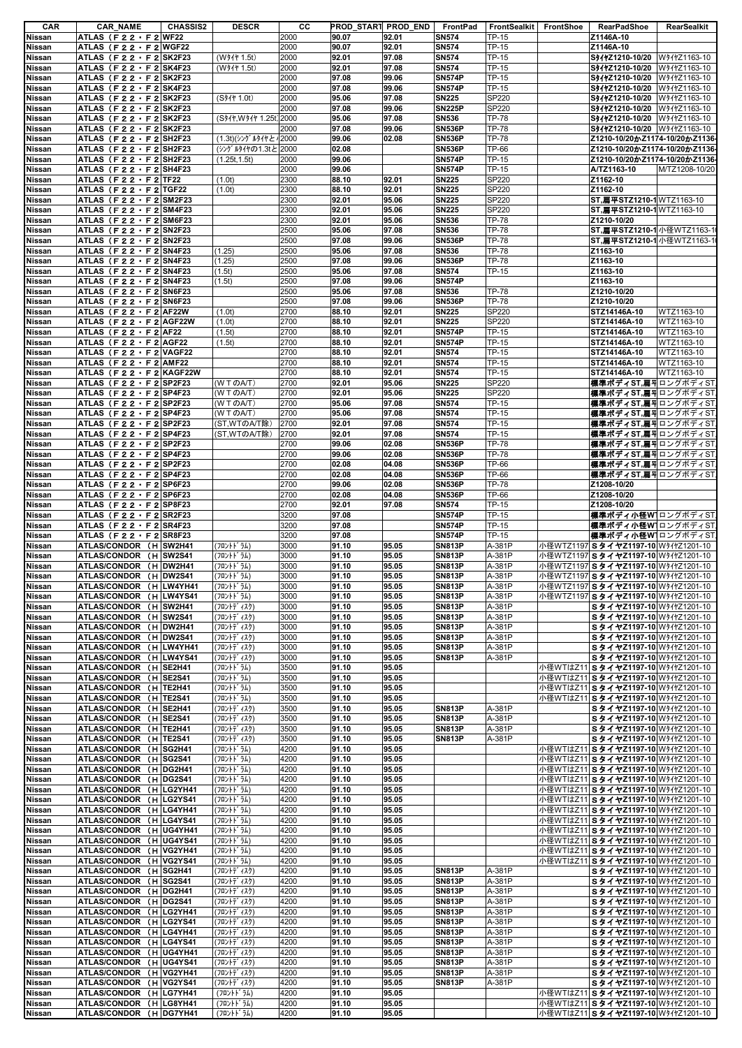| CAR                     | <b>CAR NAME</b>                                                    | <b>CHASSIS2</b> | <b>DESCR</b>              | CС           |                | <b>PROD_START PROD_END</b> | FrontPad                       | <b>FrontSealkit</b> | FrontShoe | RearPadShoe                                                                | RearSealkit                  |
|-------------------------|--------------------------------------------------------------------|-----------------|---------------------------|--------------|----------------|----------------------------|--------------------------------|---------------------|-----------|----------------------------------------------------------------------------|------------------------------|
| Nissan                  | ATLAS $(F 2 2 \cdot F 2)$ WF22                                     |                 |                           | 2000         | 90.07          | 92.01                      | <b>SN574</b>                   | TP-15               |           | Z1146A-10                                                                  |                              |
| Nissan                  | ATLAS $(F 2 2 \cdot F 2)$ WGF22                                    |                 |                           | 2000         | 90.07          | 92.01                      | <b>SN574</b>                   | TP-15               |           | Z1146A-10                                                                  |                              |
| Nissan                  | ATLAS (F $2 2 \cdot F 2$ SK2F23                                    |                 | (W91+ 1.5t)               | 2000         | 92.01          | 97.08                      | <b>SN574</b>                   | TP-15               |           | S417Z1210-10/20                                                            | W91121163-10                 |
| Nissan                  | ATLAS (F 2 2 · F 2 SK4F23                                          |                 | (W91+ 1.5t)               | 2000         | 92.01          | 97.08                      | <b>SN574</b>                   | TP-15               |           | S94121210-10/20                                                            | W94+Z1163-10                 |
| Nissan                  | ATLAS (F 2 2 F 2 SK2F23                                            |                 |                           | 2000         | 97.08          | 99.06                      | <b>SN574P</b>                  | TP-15               |           | S11121210-10/20                                                            | W91+21163-10                 |
| Nissan<br>Nissan        | ATLAS (F 2 2 · F 2 SK4F23<br>ATLAS (F $22 \cdot F2$ SK2F23         |                 | (S91+ 1.0t)               | 2000<br>2000 | 97.08<br>95.06 | 99.06<br>97.08             | <b>SN574P</b><br><b>SN225</b>  | TP-15<br>SP220      |           | S%1121210-10/20<br>S417Z1210-10/20                                         | W911Z1163-10<br>W911Z1163-10 |
| Nissan                  | ATLAS (F 2 2 · F 2 SK2F23                                          |                 |                           | 2000         | 97.08          | 99.06                      | <b>SN225P</b>                  | SP220               |           | S417Z1210-10/20                                                            | W911Z1163-10                 |
| Nissan                  | ATLAS (F22 F2 SK2F23                                               |                 | (S}1+, W } 1+ 1.25t) 2000 |              | 95.06          | 97.08                      | <b>SN536</b>                   | <b>TP-78</b>        |           | S947Z1210-10/20                                                            | W91121163-10                 |
| Nissan                  | ATLAS (F $2 2 \cdot F 2$ SK2F23                                    |                 |                           | 2000         | 97.08          | 99.06                      | <b>SN536P</b>                  | <b>TP-78</b>        |           | S91121210-10/20 W91121163-10                                               |                              |
| Nissan                  | ATLAS (F 2 2 $\cdot$ F 2 SH2F23                                    |                 | (1.3t)(シング ルタイヤと /2000    |              | 99.06          | 02.08                      | <b>SN536P</b>                  | <b>TP-78</b>        |           | Z1210-10/20かZ1174-10/20かZ1136                                              |                              |
| Nissan                  | ATLAS (F 2 2 $\cdot$ F 2 SH2F23                                    |                 | (シングルタイヤの1.3tと2000        |              | 02.08          |                            | <b>SN536P</b>                  | <b>TP-66</b>        |           | Z1210-10/20かZ1174-10/20かZ1136                                              |                              |
| <b>Nissan</b>           | ATLAS (F 2 2 F 2 SH2F23                                            |                 | (1.25t.1.5t)              | 2000         | 99.06          |                            | <b>SN574P</b>                  | TP-15               |           | Z1210-10/20かZ1174-10/20かZ1136-                                             |                              |
| Nissan                  | ATLAS (F $2 2 \cdot F 2$ SH4F23                                    |                 |                           | 2000         | 99.06          |                            | <b>SN574P</b>                  | TP-15               |           | A/TZ1163-10                                                                | M/TZ1208-10/20               |
| Nissan                  | ATLAS (F 2 2 $\cdot$ F 2 TF22                                      |                 | (1.0t)                    | 2300         | 88.10          | 92.01                      | <b>SN225</b>                   | SP220               |           | Z1162-10                                                                   |                              |
| Nissan                  | ATLAS (F 2 2 $\cdot$ F 2 TGF22                                     |                 | (1.0t)                    | 2300         | 88.10          | 92.01                      | <b>SN225</b>                   | SP220               |           | Z1162-10                                                                   |                              |
| Nissan                  | ATLAS (F22 · F2 SM2F23                                             |                 |                           | 2300         | 92.01          | 95.06                      | <b>SN225</b>                   | SP220               |           | ST, MTSTZ1210-1 WTZ1163-10                                                 |                              |
| Nissan                  | ATLAS (F $22 \cdot F2$ SM4F23                                      |                 |                           | 2300         | 92.01          | 95.06                      | <b>SN225</b>                   | SP220               |           | ST, MT STZ1210-1 WTZ1163-10                                                |                              |
| <b>Nissan</b>           | ATLAS (F $22 \cdot F2$ SM6F23                                      |                 |                           | 2300         | 92.01          | 95.06                      | <b>SN536</b>                   | <b>TP-78</b>        |           | Z1210-10/20                                                                |                              |
| Nissan                  | ATLAS (F $2 2 \cdot F 2$ SN2F23                                    |                 |                           | 2500         | 95.06          | 97.08                      | <b>SN536</b>                   | <b>TP-78</b>        |           | ST, MT 9TZ1210-1 小径WTZ1163-1                                               |                              |
| <b>Nissan</b>           | ATLAS (F 2 2 · F 2 SN2F23                                          |                 |                           | 2500         | 97.08          | 99.06                      | <b>SN536P</b>                  | <b>TP-78</b>        |           | ST, MT STZ1210-1 小径WTZ1163-1                                               |                              |
| Nissan                  | ATLAS (F 2 2 · F 2 SN4F23                                          |                 | (1.25)                    | 2500         | 95.06          | 97.08                      | <b>SN536</b>                   | <b>TP-78</b>        |           | Z1163-10                                                                   |                              |
| Nissan                  | ATLAS (F $22 \cdot F2$ SN4F23                                      |                 | (1.25)                    | 2500         | 97.08          | 99.06                      | <b>SN536P</b>                  | <b>TP-78</b>        |           | Z1163-10                                                                   |                              |
| Nissan                  | ATLAS (F22 $\cdot$ F2 SN4F23                                       |                 | (1.5t)                    | 2500         | 95.06          | 97.08                      | <b>SN574</b>                   | TP-15               |           | Z1163-10                                                                   |                              |
| Nissan                  | ATLAS (F 2 2 · F 2 SN4F23                                          |                 | (1.5t)                    | 2500         | 97.08          | 99.06                      | <b>SN574P</b>                  |                     |           | Z1163-10                                                                   |                              |
| Nissan                  | ATLAS (F 2 2 F 2 SN6F23                                            |                 |                           | 2500         | 95.06          | 97.08                      | <b>SN536</b>                   | <b>TP-78</b>        |           | Z1210-10/20                                                                |                              |
| Nissan                  | ATLAS $(F 2 2 \cdot F 2)$ SN6F23                                   |                 |                           | 2500         | 97.08          | 99.06                      | <b>SN536P</b>                  | <b>TP-78</b>        |           | Z1210-10/20                                                                |                              |
| Nissan                  | ATLAS (F $2 2 \cdot F 2$ AF22W                                     |                 | (1.0t)                    | 2700         | 88.10          | 92.01                      | <b>SN225</b>                   | <b>SP220</b>        |           | STZ14146A-10                                                               | WTZ1163-10                   |
| Nissan                  | ATLAS (F22 · F2 AGF22W                                             |                 | (1.0t)                    | 2700         | 88.10          | 92.01                      | <b>SN225</b>                   | SP220               |           | STZ14146A-10                                                               | WTZ1163-10                   |
| Nissan                  | ATLAS (F 2 2 $\cdot$ F 2 AF22                                      |                 | (1.5t)                    | 2700         | 88.10          | 92.01                      | <b>SN574P</b>                  | TP-15               |           | STZ14146A-10                                                               | WTZ1163-10                   |
| Nissan                  | ATLAS (F $2 2 \cdot F 2$ AGF22                                     |                 | (1.5t)                    | 2700         | 88.10          | 92.01                      | <b>SN574P</b>                  | <b>TP-15</b>        |           | STZ14146A-10                                                               | WTZ1163-10                   |
| Nissan                  | ATLAS $(F 2 2 \cdot F 2)$ VAGF22                                   |                 |                           | 2700<br>2700 | 88.10          | 92.01<br>92.01             | <b>SN574</b>                   | TP-15<br>TP-15      |           | STZ14146A-10                                                               | WTZ1163-10                   |
| Nissan                  | ATLAS (F $2 2 \cdot F 2$ AMF22                                     |                 |                           | 2700         | 88.10<br>88.10 | 92.01                      | <b>SN574</b><br><b>SN574</b>   | TP-15               |           | STZ14146A-10<br>STZ14146A-10                                               | WTZ1163-10<br>WTZ1163-10     |
| Nissan                  | ATLAS (F22 · F2 KAGF22W                                            |                 |                           | 2700         | 92.01          | 95.06                      | <b>SN225</b>                   | SP220               |           | 標準ポディST,扁平ロングボディST                                                         |                              |
| Nissan                  | ATLAS (F $2 2 \cdot F 2$ SP2F23                                    |                 | (WT のA/T)                 | 2700         | 92.01          |                            |                                | <b>SP220</b>        |           |                                                                            |                              |
| Nissan<br>Nissan        | ATLAS (F 2 2 $\cdot$ F 2 SP4F23<br>ATLAS (F 2 2 $\cdot$ F 2 SP2F23 |                 | (WT のA/T)<br>(WT のA/T)    | 2700         | 95.06          | 95.06<br>97.08             | <b>SN225</b><br><b>SN574</b>   | TP-15               |           | 標準ポディST,扁平ロングボディST<br>標準ポディST,扁平ロングボディST                                   |                              |
| <b>Nissan</b>           | ATLAS (F 2 2 · F 2 SP4F23                                          |                 | $(W T \mathcal{D} A/T)$   | 2700         | 95.06          | 97.08                      | <b>SN574</b>                   | TP-15               |           | <b>標準ポディST,扁平</b> ロングボディST                                                 |                              |
| Nissan                  | ATLAS (F 2 2 · F 2 SP2F23                                          |                 | (ST,WTのA/T除)              | 2700         | 92.01          | 97.08                      | <b>SN574</b>                   | TP-15               |           | 標準ポディST,扁平ロングボディST                                                         |                              |
| Nissan                  | ATLAS (F 2 2 $\cdot$ F 2 SP4F23                                    |                 | (ST,WTのA/T除)              | 2700         | 92.01          | 97.08                      | <b>SN574</b>                   | TP-15               |           | 標準ポディST.扁平ロングボディST                                                         |                              |
| Nissan                  | ATLAS (F $2 2 \cdot F 2$ SP2F23                                    |                 |                           | 2700         | 99.06          | 02.08                      | <b>SN536P</b>                  | <b>TP-78</b>        |           | <b>標準ポディST,扁平</b> ロングボディST                                                 |                              |
| Nissan                  | ATLAS (F 2 2 · F 2 SP4F23                                          |                 |                           | 2700         | 99.06          | 02.08                      | <b>SN536P</b>                  | <b>TP-78</b>        |           | 標準ポディST,扁平ロングボディST                                                         |                              |
| <b>Nissan</b>           | ATLAS (F 2 2 · F 2 SP2F23                                          |                 |                           | 2700         | 02.08          | 04.08                      | <b>SN536P</b>                  | <b>TP-66</b>        |           | 標準ポディST,扁平ロングボディST                                                         |                              |
| <b>Nissan</b>           | ATLAS (F $22 \cdot F2$ SP4F23                                      |                 |                           | 2700         | 02.08          | 04.08                      | <b>SN536P</b>                  | <b>TP-66</b>        |           | 標準ポディST,扁平ロングボディST                                                         |                              |
| Nissan                  | ATLAS (F $2 2 \cdot F 2$ SP6F23                                    |                 |                           | 2700         | 99.06          | 02.08                      | <b>SN536P</b>                  | <b>TP-78</b>        |           | Z1208-10/20                                                                |                              |
| Nissan                  | ATLAS (F 2 2 · F 2 SP6F23                                          |                 |                           | 2700         | 02.08          | 04.08                      | <b>SN536P</b>                  | <b>TP-66</b>        |           | Z1208-10/20                                                                |                              |
| Nissan                  | ATLAS (F 2 2 F 2 SP8F23                                            |                 |                           | 2700         | 92.01          | 97.08                      | <b>SN574</b>                   | TP-15               |           | Z1208-10/20                                                                |                              |
| Nissan                  | ATLAS (F $22 \cdot F2$ SR2F23                                      |                 |                           | 3200         | 97.08          |                            | <b>SN574P</b>                  | TP-15               |           | <b>標準ボディ小径W1ロン</b> グボディST                                                  |                              |
| <b>Nissan</b>           | ATLAS (F22 $\cdot$ F2 SR4F23                                       |                 |                           | 3200         | 97.08          |                            | <b>SN574P</b>                  | <b>TP-15</b>        |           | 標準ポディ小径W1ロングボディST                                                          |                              |
| Nissan                  | ATLAS (F 2 2 · F 2 SR8F23                                          |                 |                           | 3200         | 97.08          |                            | <b>SN574P</b>                  | TP-15               |           | 標準ポディ小径W ロングボディST                                                          |                              |
| Nissan                  | ATLAS/CONDOR (H SW2H41                                             |                 | (フロントドラム)                 | 3000         | 91.10          | 95.05                      | <b>SN813P</b>                  | A-381P              |           | 小径WTZ1197 SタイヤZ1197-10 WタイヤZ1201-10                                        |                              |
| Nissan                  | ATLAS/CONDOR (H SW2S41                                             |                 | (フロントト゛ラム)                | 3000         | 91.10          | 95.05                      | <b>SN813P</b>                  | A-381P              |           | 小径WTZ1197 SタイヤZ1197-10 WタイヤZ1201-10                                        |                              |
| Nissan                  | ATLAS/CONDOR (H DW2H41                                             |                 | (フロントト゛ ラム)               | 3000         | 91.10          | 95.05                      | <b>SN813P</b>                  | A-381P              |           | 小径WTZ1197 SタイヤZ1197-10 WタイヤZ1201-10                                        |                              |
| Nissan                  | ATLAS/CONDOR (H DW2S41                                             |                 | (フロントドラム)                 | 3000         | 91.10          | 95.05                      | <b>SN813P</b>                  | A-381P              |           | 小径WTZ1197 SタイヤZ1197-10 WタイヤZ1201-10                                        |                              |
| Nissan                  | ATLAS/CONDOR (H LW4YH41                                            |                 | (フロントドラム)                 | 3000         | 91.10          | 95.05                      | <b>SN813P</b>                  | A-381P              |           | 小径WTZ1197 SタイヤZ1197-10 WタイヤZ1201-10                                        |                              |
| <b>Nissan</b>           | ATLAS/CONDOR (H LW4YS41                                            |                 | (フロントドラム)                 | 3000         | 91.10          | 95.05                      | <b>SN813P</b>                  | A-381P              |           | 小径WTZ1197 SタイヤZ1197-10 WタイヤZ1201-10                                        |                              |
| Nissan                  | ATLAS/CONDOR (H SW2H41                                             |                 | (フロントデ ィスク)               | 3000         | 91.10          | 95.05                      | <b>SN813P</b>                  | A-381P              |           | SタイヤZ1197-10 W94+Z1201-10                                                  |                              |
| Nissan                  | ATLAS/CONDOR (H SW2S41                                             |                 | (フロントデ゛ィスク)               | 3000         | 91.10          | 95.05                      | <b>SN813P</b>                  | A-381P              |           | SタイヤZ1197-10 WタイヤZ1201-10                                                  |                              |
| Nissan                  | ATLAS/CONDOR (H DW2H41                                             |                 | (フロントデ ィスク)               | 3000         | 91.10          | 95.05                      | <b>SN813P</b>                  | A-381P              |           | SタイヤZ1197-10 W 4121201-10                                                  |                              |
| Nissan                  | ATLAS/CONDOR (H DW2S41                                             |                 | (フロントデ ィスク)               | 3000         | 91.10          | 95.05                      | <b>SN813P</b>                  | A-381P              |           | SタイヤZ1197-10 WタイヤZ1201-10                                                  |                              |
| Nissan                  | ATLAS/CONDOR (H LW4YH41                                            |                 | (フロントデ ィスク)               | 3000         | 91.10          | 95.05                      | <b>SN813P</b>                  | A-381P              |           | SタイヤZ1197-10 WタイヤZ1201-10                                                  |                              |
| Nissan                  | ATLAS/CONDOR (H LW4YS41                                            |                 | (フロントディスク)                | 3000         | 91.10          | 95.05                      | <b>SN813P</b>                  | A-381P              |           | SタイヤZ1197-10 WタイヤZ1201-10                                                  |                              |
| Nissan<br>Nissan        | ATLAS/CONDOR (H SE2H41<br>ATLAS/CONDOR (H SE2S41                   |                 | (フロントト・ラム)<br>(フロントドラム)   | 3500<br>3500 | 91.10<br>91.10 | 95.05<br>95.05             |                                |                     |           | 小径WTはZ11 S タイヤZ1197-10 WタイヤZ1201-10<br>小径WTはZ11 S タイヤZ1197-10 WタイヤZ1201-10 |                              |
|                         | ATLAS/CONDOR (H TE2H41                                             |                 |                           | 3500         | 91.10          | 95.05                      |                                |                     |           | 小径WTはZ11 S タイヤZ1197-10 W 4121201-10                                        |                              |
| Nissan<br><b>Nissan</b> | ATLAS/CONDOR (H TE2S41                                             |                 | (フロントドラム)<br>(フロントドラム)    | 3500         | 91.10          | 95.05                      |                                |                     |           | 小径WTはZ11 S タイヤZ1197-10 WタイヤZ1201-10                                        |                              |
| <b>Nissan</b>           | ATLAS/CONDOR (H SE2H41                                             |                 | (フロントデ ィスク)               | 3500         | 91.10          | 95.05                      | <b>SN813P</b>                  | A-381P              |           | SタイヤZ1197-10 W 4121201-10                                                  |                              |
| Nissan                  | ATLAS/CONDOR (H SE2S41                                             |                 | (フロントデ゛ィスク)               | 3500         | 91.10          | 95.05                      | <b>SN813P</b>                  | A-381P              |           | SタイヤZ1197-10 WタイヤZ1201-10                                                  |                              |
| Nissan                  | ATLAS/CONDOR (H TE2H41                                             |                 | (フロントデ ィスク)               | 3500         | 91.10          | 95.05                      | <b>SN813P</b>                  | A-381P              |           | SタイヤZ1197-10 WタイヤZ1201-10                                                  |                              |
| <b>Nissan</b>           | ATLAS/CONDOR (H TE2S41                                             |                 | (フロントデ゛ィスク)               | 3500         | 91.10          | 95.05                      | <b>SN813P</b>                  | A-381P              |           | SタイヤZ1197-10 WタイヤZ1201-10                                                  |                              |
| Nissan                  | ATLAS/CONDOR (H SG2H41                                             |                 | (フロントドラム)                 | 4200         | 91.10          | 95.05                      |                                |                     |           | 小径WTはZ11 S タイヤZ1197-10 WタイヤZ1201-10                                        |                              |
| Nissan                  | ATLAS/CONDOR (H SG2S41                                             |                 | (フロントドラム)                 | 4200         | 91.10          | 95.05                      |                                |                     |           | 小径WTはZ11 S タイヤZ1197-10 WタイヤZ1201-10                                        |                              |
| Nissan                  | ATLAS/CONDOR (H DG2H41                                             |                 | (フロントドラム)                 | 4200         | 91.10          | 95.05                      |                                |                     |           | 小径WTはZ11 SタイヤZ1197-10 WタイヤZ1201-10                                         |                              |
| <b>Nissan</b>           | ATLAS/CONDOR (H DG2S41                                             |                 | (フロントドラム)                 | 4200         | 91.10          | 95.05                      |                                |                     |           | 小径WTはZ11 S タイヤZ1197-10 WタイヤZ1201-10                                        |                              |
| Nissan                  | ATLAS/CONDOR (H LG2YH41                                            |                 | (フロントドラム)                 | 4200         | 91.10          | 95.05                      |                                |                     |           | 小径WTはZ11 SタイヤZ1197-10 WタイヤZ1201-10                                         |                              |
| Nissan                  | ATLAS/CONDOR (H LG2YS41                                            |                 | (フロントドラム)                 | 4200         | 91.10          | 95.05                      |                                |                     |           | 小径WTはZ11 S タイヤZ1197-10 WタイヤZ1201-10                                        |                              |
| Nissan                  | ATLAS/CONDOR (H LG4YH41                                            |                 | (フロントドラム)                 | 4200         | 91.10          | 95.05                      |                                |                     |           | 小径WTはZ11 S タイヤZ1197-10 WタイヤZ1201-10                                        |                              |
| Nissan                  | ATLAS/CONDOR (H LG4YS41                                            |                 | (フロントドラム)                 | 4200         | 91.10          | 95.05                      |                                |                     |           | 小径WTはZ11 SタイヤZ1197-10 WタイヤZ1201-10                                         |                              |
| Nissan                  | ATLAS/CONDOR (H UG4YH41                                            |                 | (フロントドラム)                 | 4200         | 91.10          | 95.05                      |                                |                     |           | 小径WTはZ11 S タイヤZ1197-10 WタイヤZ1201-10                                        |                              |
| Nissan                  | ATLAS/CONDOR (H UG4YS41                                            |                 | (フロントドラム)                 | 4200         | 91.10          | 95.05                      |                                |                     |           | 小径WTはZ11 S タイヤZ1197-10 WタイヤZ1201-10                                        |                              |
| Nissan                  | ATLAS/CONDOR (H VG2YH41                                            |                 | (フロントドラム)                 | 4200         | 91.10          | 95.05                      |                                |                     |           | 小径WTはZ11 S タイヤZ1197-10 WタイヤZ1201-10                                        |                              |
| Nissan                  | ATLAS/CONDOR (H VG2YS41                                            |                 | (フロントドラム)                 | 4200         | 91.10          | 95.05                      |                                |                     |           | 小径WTはZ11 SタイヤZ1197-10 WタイヤZ1201-10                                         |                              |
| Nissan                  | ATLAS/CONDOR (H SG2H41                                             |                 | (フロントデ゛ィスク)               | 4200         | 91.10          | 95.05                      | <b>SN813P</b>                  | A-381P              |           | SタイヤZ1197-10 WタイヤZ1201-10                                                  |                              |
| Nissan                  | ATLAS/CONDOR (H SG2S41                                             |                 | (フロントデ゛ィスク)               | 4200         | 91.10          | 95.05                      | <b>SN813P</b>                  | A-381P              |           | SタイヤZ1197-10 WタイヤZ1201-10                                                  |                              |
| Nissan                  | ATLAS/CONDOR (H DG2H41                                             |                 | (フロントデ ィスク)               | 4200         | 91.10          | 95.05                      | <b>SN813P</b>                  | A-381P              |           | SタイヤZ1197-10 WタイヤZ1201-10                                                  |                              |
| Nissan                  | ATLAS/CONDOR (H DG2S41                                             |                 | (フロントデ ィスク)               | 4200         | 91.10          | 95.05                      | <b>SN813P</b>                  | A-381P              |           | SタイヤZ1197-10 WタイヤZ1201-10                                                  |                              |
| Nissan                  | ATLAS/CONDOR (H LG2YH41                                            |                 | (フロントデ ィスク)               | 4200<br>4200 | 91.10<br>91.10 | 95.05                      | <b>SN813P</b><br><b>SN813P</b> | A-381P<br>A-381P    |           | SタイヤZ1197-10 WタイヤZ1201-10                                                  |                              |
| Nissan                  | ATLAS/CONDOR (H LG2YS41<br>ATLAS/CONDOR (H LG4YH41                 |                 | (フロントデ ィスク)               | 4200         |                | 95.05<br>95.05             | <b>SN813P</b>                  | A-381P              |           | SタイヤZ1197-10 WタイヤZ1201-10<br>SタイヤZ1197-10 WタイヤZ1201-10                     |                              |
| Nissan                  | ATLAS/CONDOR (H LG4YS41                                            |                 | (フロントディスク)<br>(フロントデ ィスク) | 4200         | 91.10<br>91.10 | 95.05                      | <b>SN813P</b>                  | A-381P              |           | SタイヤZ1197-10 WタイヤZ1201-10                                                  |                              |
| Nissan<br>Nissan        | ATLAS/CONDOR (H UG4YH41                                            |                 | (フロントデ ィスク)               | 4200         | 91.10          | 95.05                      | <b>SN813P</b>                  | A-381P              |           | SタイヤZ1197-10 WタイヤZ1201-10                                                  |                              |
| Nissan                  | ATLAS/CONDOR (H UG4YS41                                            |                 | (フロントディスク)                | 4200         | 91.10          | 95.05                      | <b>SN813P</b>                  | A-381P              |           | SタイヤZ1197-10 WタイヤZ1201-10                                                  |                              |
| Nissan                  | ATLAS/CONDOR (H VG2YH41                                            |                 | (フロントデ゛ィスク)               | 4200         | 91.10          | 95.05                      | <b>SN813P</b>                  | A-381P              |           | SタイヤZ1197-10 WタイヤZ1201-10                                                  |                              |
| Nissan                  | ATLAS/CONDOR (H VG2YS41                                            |                 | (フロントデ ィスク)               | 4200         | 91.10          | 95.05                      | <b>SN813P</b>                  | A-381P              |           | SタイヤZ1197-10 WタイヤZ1201-10                                                  |                              |
| Nissan                  | ATLAS/CONDOR (H LG7YH41                                            |                 | (フロントト・ラム)                | 4200         | 91.10          | 95.05                      |                                |                     |           | 小径WTはZ11 S タイヤZ1197-10 WタイヤZ1201-10                                        |                              |
| Nissan                  | ATLAS/CONDOR (H LG8YH41                                            |                 | (フロントト・ラム)                | 4200         | 91.10          | 95.05                      |                                |                     |           | 小径WTはZ11 S タイヤZ1197-10 WタイヤZ1201-10                                        |                              |
| Nissan                  | ATLAS/CONDOR (H DG7YH41                                            |                 | (フロントト・ラム)                | 4200         | 91.10          | 95.05                      |                                |                     |           | 小径WTはZ11 S タイヤZ1197-10 WタイヤZ1201-10                                        |                              |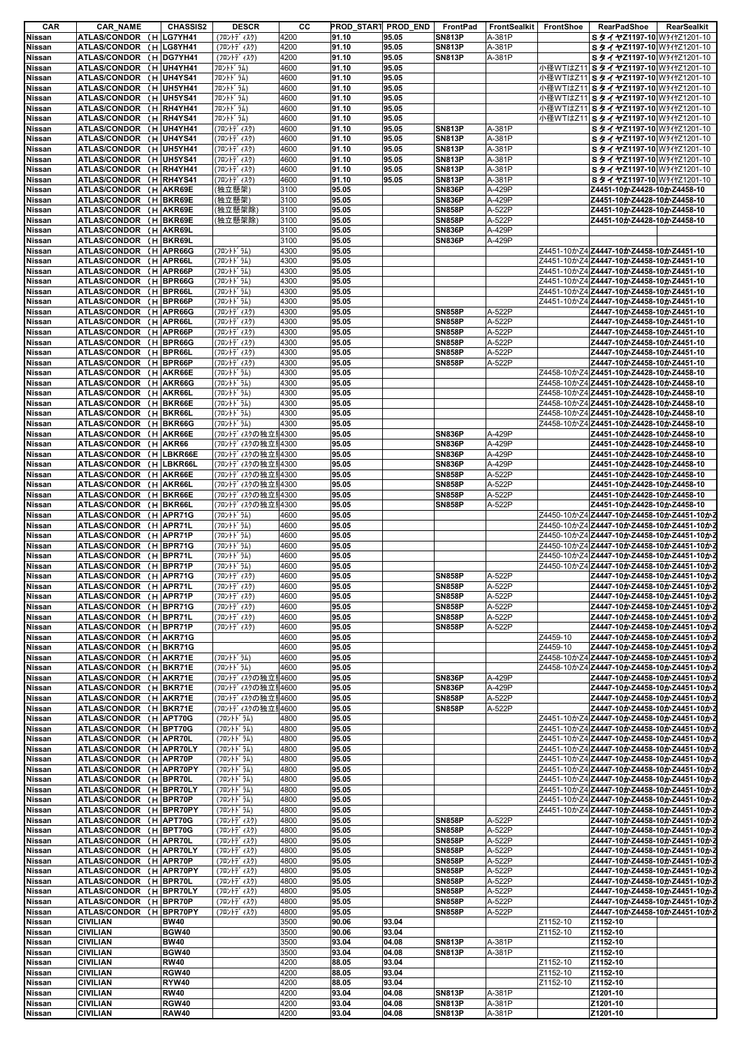| CAR                            | <b>CAR_NAME</b>                                | <b>CHASSIS2</b>             | <b>DESCR</b>                           | cс           | PROD_START PROD_END |                | FrontPad                       | FrontSealkit     | FrontShoe            | RearPadShoe<br>RearSealkit                                               |
|--------------------------------|------------------------------------------------|-----------------------------|----------------------------------------|--------------|---------------------|----------------|--------------------------------|------------------|----------------------|--------------------------------------------------------------------------|
| <b>Nissan</b>                  | ATLAS/CONDOR (H LG7YH41                        |                             | (フロントデ ィスク)                            | 4200         | 91.10               | 95.05          | <b>SN813P</b>                  | A-381P           |                      | SタイヤZ1197-10 WタイヤZ1201-10                                                |
| <b>Nissan</b>                  | ATLAS/CONDOR (H LG8YH41                        |                             | (フロントデ ィスク)                            | 4200         | 91.10               | 95.05          | <b>SN813P</b>                  | A-381P           |                      | S タイヤZ1197-10 W 4121201-10                                               |
| Nissan                         | <b>ATLAS/CONDOR</b>                            | (H DG7YH41                  | (フロントデ ィスク)                            | 4200         | 91.10               | 95.05          | <b>SN813P</b>                  | A-381P           |                      | SタイヤZ1197-10 WタイヤZ1201-10                                                |
| <b>Nissan</b>                  | <b>ATLAS/CONDOR</b>                            | (H UH4YH41                  | フロントト ラム)                              | 4600         | 91.10               | 95.05          |                                |                  |                      | 小径WTはZ11 SタイヤZ1197-10 WタイヤZ1201-10                                       |
| <b>Nissan</b>                  | ATLAS/CONDOR (H UH4YS41                        |                             | フロントト ラム)                              | 4600         | 91.10               | 95.05          |                                |                  |                      | 小径WTはZ11 S タイヤZ1197-10 WタイヤZ1201-10                                      |
| Nissan                         | ATLAS/CONDOR (H UH5YH41                        |                             | フロントト ラム)                              | 4600         | 91.10               | 95.05          |                                |                  |                      | 小径WTはZ11 SタイヤZ1197-10 WタイヤZ1201-10                                       |
| <b>Nissan</b>                  | <b>ATLAS/CONDOR</b>                            | (H UH5YS41                  | フロントト ラム)                              | 4600         | 91.10               | 95.05          |                                |                  |                      | 小径WTはZ11 S タイヤZ1197-10 WタイヤZ1201-10                                      |
| Nissan                         | <b>ATLAS/CONDOR</b>                            | (H RH4YH41                  | フロントト ラム)                              | 4600<br>4600 | 91.10<br>91.10      | 95.05<br>95.05 |                                |                  |                      | 小径WTはZ11 S タイヤZ1197-10 WタイヤZ1201-10                                      |
| Nissan                         | <b>ATLAS/CONDOR</b>                            | (H RH4YS41<br>(H UH4YH41    | フロントト ラム)                              |              |                     |                |                                | A-381P           |                      | 小径WTはZ11 S タイヤZ1197-10 WタイヤZ1201-10                                      |
| <b>Nissan</b><br><b>Nissan</b> | <b>ATLAS/CONDOR</b><br>ATLAS/CONDOR (H UH4YS41 |                             | (フロントデ ィスク)<br>(フロントディスク)              | 4600<br>4600 | 91.10<br>91.10      | 95.05<br>95.05 | <b>SN813P</b><br><b>SN813P</b> | A-381P           |                      | SタイヤZ1197-10 WタイヤZ1201-10<br>SタイヤZ1197-10 WタイヤZ1201-10                   |
| <b>Nissan</b>                  | <b>ATLAS/CONDOR</b>                            | (H UH5YH41                  | (フロントデ゛ィスク)                            | 4600         | 91.10               | 95.05          | <b>SN813P</b>                  | A-381P           |                      | SタイヤZ1197-10 WタイヤZ1201-10                                                |
| Nissan                         | ATLAS/CONDOR (H UH5YS41                        |                             | (フロントデ ィスク)                            | 4600         | 91.10               | 95.05          | <b>SN813P</b>                  | A-381P           |                      | SタイヤZ1197-10 W 4121201-10                                                |
| <b>Nissan</b>                  | ATLAS/CONDOR (H RH4YH41                        |                             | (フロントデ゛ィスク)                            | 4600         | 91.10               | 95.05          | <b>SN813P</b>                  | A-381P           |                      | SタイヤZ1197-10 WタイヤZ1201-10                                                |
| <b>Nissan</b>                  | <b>ATLAS/CONDOR</b>                            | (H RH4YS41                  | (フロントデ ィスク)                            | 4600         | 91.10               | 95.05          | <b>SN813P</b>                  | A-381P           |                      | SタイヤZ1197-10 WタイヤZ1201-10                                                |
| Nissan                         | <b>ATLAS/CONDOR</b>                            | (H AKR69E                   | (独立懸架)                                 | 3100         | 95.05               |                | <b>SN836P</b>                  | A-429P           |                      | Z4451-10かZ4428-10かZ4458-10                                               |
| Nissan                         | <b>ATLAS/CONDOR</b>                            | (H BKR69E                   | (独立懸架)                                 | 3100         | 95.05               |                | <b>SN836P</b>                  | A-429P           |                      | Z4451-10かZ4428-10かZ4458-10                                               |
| <b>Nissan</b>                  | <b>ATLAS/CONDOR</b>                            | (H AKR69E                   | (独立懸架除)                                | 3100         | 95.05               |                | <b>SN858P</b>                  | A-522P           |                      | Z4451-10かZ4428-10かZ4458-10                                               |
| <b>Nissan</b>                  | <b>ATLAS/CONDOR</b>                            | (H BKR69E                   | (独立懸架除)                                | 3100         | 95.05               |                | <b>SN858P</b>                  | A-522P           |                      | Z4451-10かZ4428-10かZ4458-10                                               |
| Nissan                         | <b>ATLAS/CONDOR</b>                            | (H AKR69L                   |                                        | 3100         | 95.05               |                | <b>SN836P</b>                  | A-429P           |                      |                                                                          |
| Nissan                         | <b>ATLAS/CONDOR</b>                            | (H BKR69L                   |                                        | 3100         | 95.05               |                | <b>SN836P</b>                  | A-429P           |                      |                                                                          |
| Nissan                         | <b>ATLAS/CONDOR</b>                            | (H APR66G                   | (フロントト・ラム)                             | 4300         | 95.05               |                |                                |                  |                      | Z4451-10かZ4 Z4447-10かZ4458-10かZ4451-10                                   |
| Nissan                         | <b>ATLAS/CONDOR</b>                            | (H APR66L                   | (フロントトンラム)                             | 4300         | 95.05               |                |                                |                  |                      | Z4451-10かZ4 Z4447-10かZ4458-10かZ4451-10                                   |
| <b>Nissan</b>                  | <b>ATLAS/CONDOR</b>                            | (H APR66P                   | (フロントドラム)                              | 4300         | 95.05               |                |                                |                  |                      | Z4451-10かZ4 Z4447-10かZ4458-10かZ4451-10                                   |
| Nissan                         | <b>ATLAS/CONDOR</b>                            | (H BPR66G                   | (フロントドラム)                              | 4300         | 95.05               |                |                                |                  |                      | Z4451-10かZ4 Z4447-10かZ4458-10かZ4451-10                                   |
| <b>Nissan</b>                  | <b>ATLAS/CONDOR</b>                            | (H BPR66L                   | (フロントドラム)                              | 4300         | 95.05               |                |                                |                  |                      | Z4451-10かZ4 Z4447-10かZ4458-10かZ4451-10                                   |
| Nissan                         | <b>ATLAS/CONDOR</b>                            | (H BPR66P                   | (フロントドラム)                              | 4300         | 95.05               |                |                                |                  |                      | Z4451-10かZ4 Z4447-10かZ4458-10かZ4451-10                                   |
| Nissan                         | <b>ATLAS/CONDOR</b>                            | (H APR66G                   | (フロントデ゛ィスク)                            | 4300         | 95.05               |                | <b>SN858P</b>                  | A-522P           |                      | Z4447-10かZ4458-10かZ4451-10                                               |
| Nissan                         | <b>ATLAS/CONDOR</b><br>ATLAS/CONDOR (H APR66P  | (H APR66L                   | (フロントデ゛ィスク)                            | 4300<br>4300 | 95.05<br>95.05      |                | <b>SN858P</b><br><b>SN858P</b> | A-522P           |                      | Z4447-10かZ4458-10かZ4451-10<br>Z4447-10かZ4458-10かZ4451-10                 |
| Nissan<br>Nissan               | <b>ATLAS/CONDOR</b>                            |                             | (フロントデ゛ィスク)                            | 4300         | 95.05               |                | <b>SN858P</b>                  | A-522P<br>A-522P |                      | Z4447-10かZ4458-10かZ4451-10                                               |
| Nissan                         | <b>ATLAS/CONDOR</b>                            | (H BPR66G<br>(H BPR66L      | (フロントデ゛ィスク)<br>(フロントデ ィスク)             | 4300         | 95.05               |                | <b>SN858P</b>                  | A-522P           |                      | Z4447-10かZ4458-10かZ4451-10                                               |
| <b>Nissan</b>                  | <b>ATLAS/CONDOR</b>                            | (H BPR66P                   | (フロントデ゛ィスク)                            | 4300         | 95.05               |                | <b>SN858P</b>                  | A-522P           |                      | Z4447-10かZ4458-10かZ4451-10                                               |
| Nissan                         | <b>ATLAS/CONDOR</b>                            | (H AKR66E                   | (フロントドラム)                              | 4300         | 95.05               |                |                                |                  |                      | Z4458-10かZ4 Z4451-10かZ4428-10かZ4458-10                                   |
| Nissan                         | <b>ATLAS/CONDOR</b>                            | (H AKR66G                   | (フロントドラム)                              | 4300         | 95.05               |                |                                |                  |                      | Z4458-10かZ4 Z4451-10かZ4428-10かZ4458-10                                   |
| Nissan                         | <b>ATLAS/CONDOR</b>                            | (H AKR66L                   | (フロントドラム)                              | 4300         | 95.05               |                |                                |                  |                      | Z4458-10かZ4 Z4451-10かZ4428-10かZ4458-10                                   |
| Nissan                         | <b>ATLAS/CONDOR</b>                            | (H BKR66E                   | (フロントドラム)                              | 4300         | 95.05               |                |                                |                  |                      | Z4458-10かZ4 Z4451-10かZ4428-10かZ4458-10                                   |
| Nissan                         | ATLAS/CONDOR (H BKR66L                         |                             | (フロントドラム)                              | 4300         | 95.05               |                |                                |                  |                      | Z4458-10かZ4 Z4451-10かZ4428-10かZ4458-10                                   |
| Nissan                         | ATLAS/CONDOR (H BKR66G                         |                             | (フロントドラム)                              | 4300         | 95.05               |                |                                |                  |                      | Z4458-10かZ4 Z4451-10かZ4428-10かZ4458-10                                   |
| Nissan                         | <b>ATLAS/CONDOR</b>                            | (H AKR66E                   | (フロントディスクの独立!4300                      |              | 95.05               |                | <b>SN836P</b>                  | A-429P           |                      | Z4451-10かZ4428-10かZ4458-10                                               |
| Nissan                         | <b>ATLAS/CONDOR</b>                            | (H AKR66                    | (フロントディスクの独立‼4300                      |              | 95.05               |                | <b>SN836P</b>                  | A-429P           |                      | Z4451-10かZ4428-10かZ4458-10                                               |
| Nissan                         | <b>ATLAS/CONDOR</b>                            | (H LBKR66E                  | (フロントディスクの独立‼4300                      |              | 95.05               |                | <b>SN836P</b>                  | A-429P           |                      | Z4451-10かZ4428-10かZ4458-10                                               |
| Nissan                         | <b>ATLAS/CONDOR</b>                            | (H LBKR66L                  | (フロントディスクの独立‼4300                      |              | 95.05               |                | <b>SN836P</b>                  | A-429P           |                      | Z4451-10かZ4428-10かZ4458-10                                               |
| Nissan                         | <b>ATLAS/CONDOR</b>                            | (H AKR66E                   | (フロントディスクの独立‼4300                      |              | 95.05               |                | <b>SN858P</b>                  | A-522P           |                      | Z4451-10かZ4428-10かZ4458-10                                               |
| Nissan<br>Nissan               | <b>ATLAS/CONDOR</b><br><b>ATLAS/CONDOR</b>     | (H AKR66L<br>(H BKR66E      | (フロントディスクの独立‼4300<br>(フロントディスクの独立‼4300 |              | 95.05<br>95.05      |                | <b>SN858P</b><br><b>SN858P</b> | A-522P<br>A-522P |                      | Z4451-10かZ4428-10かZ4458-10<br>Z4451-10かZ4428-10かZ4458-10                 |
| Nissan                         | ATLAS/CONDOR (H BKR66L                         |                             | (フロントディスクの独立‼4300                      |              | 95.05               |                | <b>SN858P</b>                  | A-522P           |                      | Z4451-10かZ4428-10かZ4458-10                                               |
| Nissan                         | <b>ATLAS/CONDOR</b>                            | (H APR71G                   | (フロントドラム)                              | 4600         | 95.05               |                |                                |                  |                      | Z4450-10かZ4 <b>Z4447-10かZ4458-10かZ4451-10かZ</b>                          |
| Nissan                         | ATLAS/CONDOR (H APR71L                         |                             | (フロントドラム)                              | 4600         | 95.05               |                |                                |                  |                      | Z4450-10かZ4 Z4447-10かZ4458-10かZ4451-10かZ                                 |
| Nissan                         | <b>ATLAS/CONDOR</b>                            | (H APR71P                   | (フロントドラム)                              | 4600         | 95.05               |                |                                |                  |                      | Z4450-10かZ4 Z4447-10かZ4458-10かZ4451-10かZ                                 |
| <b>Nissan</b>                  | <b>ATLAS/CONDOR</b>                            | (H BPR71G                   | (フロントト゛ラム)                             | 4600         | 95.05               |                |                                |                  |                      | Z4450-10かZ4 Z4447-10かZ4458-10かZ4451-10かZ                                 |
| Nissan                         | <b>ATLAS/CONDOR</b>                            | (H BPR71L                   | (フロントドラム)                              | 4600         | 95.05               |                |                                |                  |                      | Z4450-10かZ4 Z4447-10かZ4458-10かZ4451-10かZ                                 |
| Nissan                         | ATLAS/CONDOR (H BPR71P                         |                             | (フロントドラム)                              | 4600         | 95.05               |                |                                |                  |                      | Z4450-10かZ4 <b>Z4447-10かZ4458-10かZ4451-10かZ</b>                          |
| Nissan                         | ATLAS/CONDOR (H APR71G                         |                             | (フロントデ ィスク)                            | 4600         | 95.05               |                | <b>SN858P</b>                  | A-522P           |                      | Z4447-10かZ4458-10かZ4451-10かZ                                             |
| Nissan<br>Nissan               | ATLAS/CONDOR (H APR71L                         |                             | (フロントデ゛ィスク)<br>(フロントデ ィスク)             | 4600         | 95.05               |                | <b>SN858P</b>                  | A-522P<br>A-522P |                      | Z4447-10かZ4458-10かZ4451-10かZ<br>Z4447-10かZ4458-10かZ4451-10かZ             |
| Nissan                         | ATLAS/CONDOR (H APR71P<br><b>ATLAS/CONDOR</b>  | (H BPR71G                   | (フロントデ ィスク)                            | 4600<br>4600 | 95.05<br>95.05      |                | <b>SN858P</b><br><b>SN858P</b> | A-522P           |                      | Z4447-10かZ4458-10かZ4451-10かZ                                             |
| Nissan                         | <b>ATLAS/CONDOR</b>                            | (H BPR71L                   | (フロントディスク)                             | 4600         | 95.05               |                | <b>SN858P</b>                  | A-522P           |                      | Z4447-10かZ4458-10かZ4451-10かZ                                             |
| <b>Nissan</b>                  | <b>ATLAS/CONDOR</b>                            | (H BPR71P                   | (フロントデ ィスク)                            | 4600         | 95.05               |                | <b>SN858P</b>                  | A-522P           |                      | Z4447-10かZ4458-10かZ4451-10かZ                                             |
| Nissan                         | <b>ATLAS/CONDOR</b>                            | (H AKR71G                   |                                        | 4600         | 95.05               |                |                                |                  | Z4459-10             | Z4447-10かZ4458-10かZ4451-10かZ                                             |
| Nissan                         | ATLAS/CONDOR (H BKR71G                         |                             |                                        | 4600         | 95.05               |                |                                |                  | Z4459-10             | Z4447-10かZ4458-10かZ4451-10かZ                                             |
| Nissan                         | <b>ATLAS/CONDOR</b>                            | (H AKR71E                   | (ጋ¤ントドラム)                              | 4600         | 95.05               |                |                                |                  |                      | Z4458-10かZ4 Z4447-10かZ4458-10かZ4451-10かZ                                 |
| Nissan                         | ATLAS/CONDOR (H BKR71E                         |                             | (フロントト・ラム)                             | 4600         | 95.05               |                |                                |                  |                      | Z4458-10かZ4 Z4447-10かZ4458-10かZ4451-10かZ                                 |
| Nissan                         | ATLAS/CONDOR (H AKR71E                         |                             | (フロントディスクの独立‼4600                      |              | 95.05               |                | <b>SN836P</b>                  | A-429P           |                      | Z4447-10かZ4458-10かZ4451-10かZ                                             |
| Nissan                         | <b>ATLAS/CONDOR</b>                            | (H BKR71E                   | (フロントディスクの独立!4600                      |              | 95.05               |                | <b>SN836P</b>                  | A-429P           |                      | Z4447-10かZ4458-10かZ4451-10かZ                                             |
| Nissan                         | <b>ATLAS/CONDOR</b>                            | (H AKR71E                   | (フロントディスクの独立!4600                      |              | 95.05               |                | <b>SN858P</b>                  | A-522P           |                      | Z4447-10かZ4458-10かZ4451-10かZ                                             |
| Nissan<br>Nissan               | ATLAS/CONDOR (H BKR71E<br><b>ATLAS/CONDOR</b>  | (H APT70G                   | (フロントディスクの独立リ4600<br>(フロントト・ラム)        | 4800         | 95.05<br>95.05      |                | <b>SN858P</b>                  | A-522P           |                      | Z4447-10かZ4458-10かZ4451-10かZ<br>Z4451-10かZ4 Z4447-10かZ4458-10かZ4451-10かZ |
| Nissan                         | <b>ATLAS/CONDOR</b>                            | (H BPT70G                   | (フロントト゛ラム)                             | 4800         | 95.05               |                |                                |                  |                      | Ζ4451-10かΖ4 Ζ4447-10かΖ4458-10かΖ4451-10かΖ                                 |
| <b>Nissan</b>                  | <b>ATLAS/CONDOR</b>                            | (H APR70L                   | (フロントト・ラム)                             | 4800         | 95.05               |                |                                |                  |                      | Z4451-10かZ4 Z4447-10かZ4458-10かZ4451-10かZ                                 |
| Nissan                         | ATLAS/CONDOR (H APR70LY                        |                             | (フロントト・ラム)                             | 4800         | 95.05               |                |                                |                  |                      | Z4451-10かZ4 Z4447-10かZ4458-10かZ4451-10かZ                                 |
| Nissan                         | ATLAS/CONDOR (H APR70P                         |                             | (フロントト・ラム)                             | 4800         | 95.05               |                |                                |                  |                      | Z4451-10かZ4 Z4447-10かZ4458-10かZ4451-10かZ                                 |
| Nissan                         | <b>ATLAS/CONDOR</b>                            | (H APR70PY                  | (フロントト・ラム)                             | 4800         | 95.05               |                |                                |                  |                      | Z4451-10かZ4 Z4447-10かZ4458-10かZ4451-10かZ                                 |
| Nissan                         | ATLAS/CONDOR (H BPR70L                         |                             | (フロントト・ラム)                             | 4800         | 95.05               |                |                                |                  |                      | Z4451-10かZ4 Z4447-10かZ4458-10かZ4451-10かZ                                 |
| Nissan                         | <b>ATLAS/CONDOR</b>                            | (H BPR70LY                  | (フロントドラム)                              | 4800         | 95.05               |                |                                |                  |                      | Z4451-10かZ4 Z4447-10かZ4458-10かZ4451-10かZ                                 |
| Nissan                         | <b>ATLAS/CONDOR</b>                            | (H BPR70P                   | (フロントト・ラム)                             | 4800         | 95.05               |                |                                |                  |                      | Z4451-10かZ4 Z4447-10かZ4458-10かZ4451-10かZ                                 |
| Nissan                         | ATLAS/CONDOR (H BPR70PY                        |                             | (フロントト・ラム)                             | 4800         | 95.05               |                |                                |                  |                      | Z4451-10かZ4 Z4447-10かZ4458-10かZ4451-10かZ                                 |
| <b>Nissan</b>                  | ATLAS/CONDOR (H APT70G                         |                             | (フロントデ ィスク)                            | 4800         | 95.05               |                | <b>SN858P</b>                  | A-522P           |                      | Z4447-10かZ4458-10かZ4451-10かZ                                             |
| Nissan<br>Nissan               | <b>ATLAS/CONDOR</b><br><b>ATLAS/CONDOR</b>     | (H BPT70G<br>(H APR70L      | (フロントデ ィスク)<br>$(7D)+77/47)$           | 4800<br>4800 | 95.05<br>95.05      |                | <b>SN858P</b><br><b>SN858P</b> | A-522P<br>A-522P |                      | Z4447-10かZ4458-10かZ4451-10かZ<br>Z4447-10かZ4458-10かZ4451-10かZ             |
| Nissan                         | <b>ATLAS/CONDOR</b>                            | (H APR70LY                  | (フロントデ ィスク)                            | 4800         | 95.05               |                | <b>SN858P</b>                  | A-522P           |                      | Z4447-10かZ4458-10かZ4451-10かZ                                             |
| Nissan                         | <b>ATLAS/CONDOR</b>                            | (H APR70P                   | (フロントデ ィスク)                            | 4800         | 95.05               |                | <b>SN858P</b>                  | A-522P           |                      | Z4447-10かZ4458-10かZ4451-10かZ                                             |
| Nissan                         | <b>ATLAS/CONDOR</b>                            | (H APR70PY                  | (フロントデ ィスク)                            | 4800         | 95.05               |                | <b>SN858P</b>                  | A-522P           |                      | Z4447-10かZ4458-10かZ4451-10かZ                                             |
| <b>Nissan</b>                  | <b>ATLAS/CONDOR</b>                            | (H BPR70L                   | (フロントディスク)                             | 4800         | 95.05               |                | <b>SN858P</b>                  | A-522P           |                      | Z4447-10かZ4458-10かZ4451-10かZ                                             |
| Nissan                         | <b>ATLAS/CONDOR</b>                            | (H BPR70LY                  | (フロントデ ィスク)                            | 4800         | 95.05               |                | <b>SN858P</b>                  | A-522P           |                      | Z4447-10かZ4458-10かZ4451-10かZ                                             |
| Nissan                         | ATLAS/CONDOR (H BPR70P                         |                             | (フロントデ ィスク)                            | 4800         | 95.05               |                | <b>SN858P</b>                  | A-522P           |                      | Z4447-10かZ4458-10かZ4451-10かZ                                             |
| Nissan                         | ATLAS/CONDOR (H BPR70PY                        |                             | (フロントデ ィスク)                            | 4800         | 95.05               |                | <b>SN858P</b>                  | A-522P           |                      | Z4447-10かZ4458-10かZ4451-10かZ                                             |
| Nissan                         | <b>CIVILIAN</b>                                | <b>BW40</b>                 |                                        | 3500         | 90.06               | 93.04          |                                |                  | Z1152-10             | Z1152-10                                                                 |
| Nissan                         | <b>CIVILIAN</b>                                | <b>BGW40</b>                |                                        | 3500         | 90.06               | 93.04          |                                |                  | Z1152-10             | Z1152-10                                                                 |
| Nissan                         | <b>CIVILIAN</b>                                | <b>BW40</b>                 |                                        | 3500         | 93.04               | 04.08          | <b>SN813P</b>                  | A-381P           |                      | Z1152-10                                                                 |
| Nissan                         | <b>CIVILIAN</b>                                | <b>BGW40</b>                |                                        | 3500         | 93.04               | 04.08          | <b>SN813P</b>                  | A-381P           |                      | Z1152-10                                                                 |
| Nissan<br>Nissan               | <b>CIVILIAN</b><br><b>CIVILIAN</b>             | <b>RW40</b><br><b>RGW40</b> |                                        | 4200<br>4200 | 88.05<br>88.05      | 93.04<br>93.04 |                                |                  | Z1152-10<br>Z1152-10 | Z1152-10<br>Z1152-10                                                     |
| Nissan                         | <b>CIVILIAN</b>                                | RYW40                       |                                        | 4200         | 88.05               | 93.04          |                                |                  | Z1152-10             | Z1152-10                                                                 |
| Nissan                         | <b>CIVILIAN</b>                                | <b>RW40</b>                 |                                        | 4200         | 93.04               | 04.08          | <b>SN813P</b>                  | A-381P           |                      | Z1201-10                                                                 |
| Nissan                         | <b>CIVILIAN</b>                                | <b>RGW40</b>                |                                        | 4200         | 93.04               | 04.08          | <b>SN813P</b>                  | A-381P           |                      | Z1201-10                                                                 |
| <b>Nissan</b>                  | <b>CIVILIAN</b>                                | <b>RAW40</b>                |                                        | 4200         | 93.04               | 04.08          | <b>SN813P</b>                  | A-381P           |                      | Z1201-10                                                                 |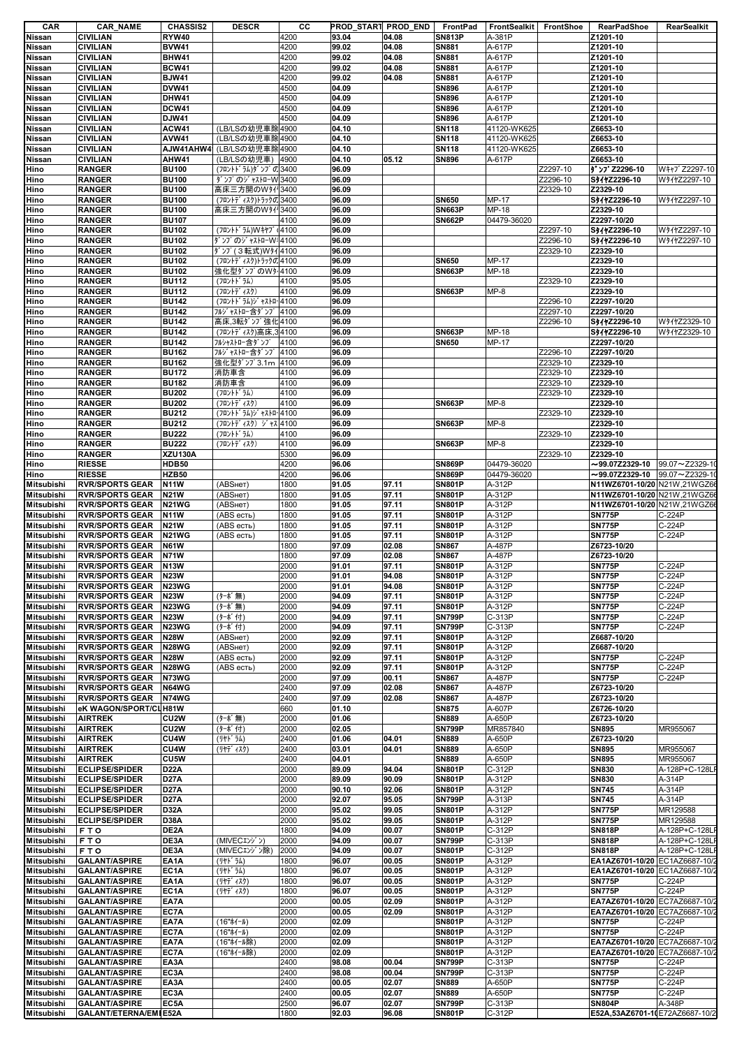| CAR                                                                                                                                                                                              | <b>CAR_NAME</b>                              | <b>CHASSIS2</b>                | <b>DESCR</b>                    | cс           | PROD_START PROD_END FrontPad |                |                               | <b>FrontSealkit</b> | FrontShoe            | <b>RearPadShoe</b>             | RearSealkit      |
|--------------------------------------------------------------------------------------------------------------------------------------------------------------------------------------------------|----------------------------------------------|--------------------------------|---------------------------------|--------------|------------------------------|----------------|-------------------------------|---------------------|----------------------|--------------------------------|------------------|
| <b>Nissan</b>                                                                                                                                                                                    | <b>CIVILIAN</b>                              | RYW40                          |                                 | 4200         | 93.04                        | 04.08          | <b>SN813P</b>                 | A-381P              |                      | Z1201-10                       |                  |
| Nissan                                                                                                                                                                                           | <b>CIVILIAN</b>                              | <b>BVW41</b>                   |                                 | 4200         | 99.02                        | 04.08          | <b>SN881</b>                  | A-617P              |                      | Z1201-10                       |                  |
| Nissan                                                                                                                                                                                           | <b>CIVILIAN</b>                              | <b>BHW41</b>                   |                                 | 4200         | 99.02                        | 04.08          | <b>SN881</b>                  | A-617P              |                      | Z1201-10                       |                  |
| <b>Nissan</b>                                                                                                                                                                                    | <b>CIVILIAN</b>                              | <b>BCW41</b>                   |                                 | 4200         | 99.02                        | 04.08          | <b>SN881</b>                  | A-617P              |                      | Z1201-10                       |                  |
| Nissan                                                                                                                                                                                           | <b>CIVILIAN</b>                              | <b>BJW41</b>                   |                                 | 4200         | 99.02                        | 04.08          | <b>SN881</b>                  | A-617P              |                      | Z1201-10                       |                  |
| <b>Nissan</b><br><b>Nissan</b>                                                                                                                                                                   | <b>CIVILIAN</b>                              | <b>DVW41</b><br>DHW41          |                                 | 4500<br>4500 | 04.09<br>04.09               |                | <b>SN896</b><br><b>SN896</b>  | A-617P<br>A-617P    |                      | Z1201-10<br>Z1201-10           |                  |
| Nissan                                                                                                                                                                                           | <b>CIVILIAN</b><br><b>CIVILIAN</b>           | <b>DCW41</b>                   |                                 | 4500         | 04.09                        |                | <b>SN896</b>                  | A-617P              |                      | Z1201-10                       |                  |
| <b>Nissan</b>                                                                                                                                                                                    | <b>CIVILIAN</b>                              | <b>DJW41</b>                   |                                 | 4500         | 04.09                        |                | SN896                         | A-617P              |                      | Z1201-10                       |                  |
| <b>Nissan</b>                                                                                                                                                                                    | <b>CIVILIAN</b>                              | <b>ACW41</b>                   | (LB/LSの幼児車除4900                 |              | 04.10                        |                | <b>SN118</b>                  | 41120-WK625         |                      | Z6653-10                       |                  |
| <b>Nissan</b>                                                                                                                                                                                    | <b>CIVILIAN</b>                              | <b>AVW41</b>                   | (LB/LSの幼児車除4900                 |              | 04.10                        |                | <b>SN118</b>                  | 41120-WK625         |                      | Z6653-10                       |                  |
| Nissan                                                                                                                                                                                           | <b>CIVILIAN</b>                              |                                | AJW41AHW4 (LB/LSの幼児車除4900       |              | 04.10                        |                | <b>SN118</b>                  | 41120-WK625         |                      | Z6653-10                       |                  |
| <b>Nissan</b>                                                                                                                                                                                    | <b>CIVILIAN</b>                              | AHW41                          | (LB/LSの幼児車)                     | 4900         | 04.10                        | 05.12          | <b>SN896</b>                  | A-617P              |                      | Z6653-10                       |                  |
| Hino                                                                                                                                                                                             | <b>RANGER</b>                                | <b>BU100</b>                   | (フロントドラム)ダンプの3400               |              | 96.09                        |                |                               |                     | Z2297-10             | <b>ダンプZ2296-10</b>             | W‡†J` Z2297-10   |
| Hino                                                                                                                                                                                             | <b>RANGER</b>                                | <b>BU100</b>                   | ダンプのジャストローW 3400                |              | 96.09                        |                |                               |                     | Z2296-10             | S91122296-10                   | W911Z2297-10     |
| Hino                                                                                                                                                                                             | <b>RANGER</b>                                | <b>BU100</b>                   | 高床三方開のWタイ <sup>1</sup> 3400     |              | 96.09                        |                |                               |                     | Z2329-10             | Z2329-10                       |                  |
| Hino                                                                                                                                                                                             | <b>RANGER</b>                                | <b>BU100</b>                   | (フロントディスク)トラックの3400             |              | 96.09                        |                | <b>SN650</b>                  | MP-17               |                      | S91122296-10                   | W911Z2297-10     |
| Hino                                                                                                                                                                                             | <b>RANGER</b>                                | <b>BU100</b>                   | 高床三方開のWタイリ3400                  |              | 96.09                        |                | <b>SN663P</b>                 | MP-18               |                      | Z2329-10                       |                  |
| Hino                                                                                                                                                                                             | <b>RANGER</b>                                | <b>BU107</b>                   |                                 | 4100         | 96.09                        |                | <b>SN662P</b>                 | 04479-36020         |                      | Z2297-10/20                    |                  |
| Hino                                                                                                                                                                                             | <b>RANGER</b>                                | <b>BU102</b>                   | (フロントドラム)Wキヤブ(4100              |              | 96.09                        |                |                               |                     | Z2297-10             | S941Z2296-10                   | W911Z2297-10     |
| Hino                                                                                                                                                                                             | <b>RANGER</b>                                | <b>BU102</b>                   | ダンプのジャストローW:4100                |              | 96.09                        |                |                               |                     | Z2296-10             | S911Z2296-10                   | W911Z2297-10     |
| Hino                                                                                                                                                                                             | <b>RANGER</b>                                | <b>BU102</b>                   | ダンプ(3転式)Wタイ 4100                |              | 96.09                        |                |                               |                     | Z2329-10             | Z2329-10                       |                  |
| Hino                                                                                                                                                                                             | <b>RANGER</b>                                | <b>BU102</b>                   | (フロントディスク)トラックの4100             |              | 96.09                        |                | <b>SN650</b>                  | MP-17               |                      | Z2329-10                       |                  |
| Hino                                                                                                                                                                                             | <b>RANGER</b>                                | <b>BU102</b>                   | 強化型ダンプのWタ <sup>.</sup> 4100     |              | 96.09                        |                | <b>SN663P</b>                 | MP-18               |                      | Z2329-10                       |                  |
| Hino                                                                                                                                                                                             | <b>RANGER</b>                                | <b>BU112</b>                   | (フロントト゛ラム)                      | 4100         | 95.05                        |                |                               |                     | Z2329-10             | Z2329-10                       |                  |
| Hino<br>Hino                                                                                                                                                                                     | <b>RANGER</b><br><b>RANGER</b>               | <b>BU112</b><br><b>BU142</b>   | (フロントデ ィスク)                     | 4100         | 96.09<br>96.09               |                | <b>SN663P</b>                 | $MP-8$              |                      | Z2329-10<br>Z2297-10/20        |                  |
|                                                                                                                                                                                                  | <b>RANGER</b>                                | <b>BU142</b>                   | (フロントドラム)ジャストロー4100             | 4100         | 96.09                        |                |                               |                     | Z2296-10<br>Z2297-10 | Z2297-10/20                    |                  |
| Hino<br>Hino                                                                                                                                                                                     | <b>RANGER</b>                                | <b>BU142</b>                   | フルジャストロー含ダンプ<br>高床, 3転ダンプ強化4100 |              | 96.09                        |                |                               |                     | Z2296-10             | S91122296-10                   | W91122329-10     |
| Hino                                                                                                                                                                                             | <b>RANGER</b>                                | <b>BU142</b>                   | (フロントディスク)高床,34100              |              | 96.09                        |                | <b>SN663P</b>                 | MP-18               |                      | S911Z2296-10                   | W91122329-10     |
| Hino                                                                                                                                                                                             | <b>RANGER</b>                                | <b>BU142</b>                   | フルシャストロー含ダンプ                    | 4100         | 96.09                        |                | <b>SN650</b>                  | MP-17               |                      | Z2297-10/20                    |                  |
| Hino                                                                                                                                                                                             | <b>RANGER</b>                                | <b>BU162</b>                   | フルジャストロー含ダンプ                    | 4100         | 96.09                        |                |                               |                     | Z2296-10             | Z2297-10/20                    |                  |
| Hino                                                                                                                                                                                             | <b>RANGER</b>                                | <b>BU162</b>                   | 強化型ダンプ3.1m 4100                 |              | 96.09                        |                |                               |                     | Z2329-10             | Z2329-10                       |                  |
| Hino                                                                                                                                                                                             | <b>RANGER</b>                                | <b>BU172</b>                   | 消防車含                            | 4100         | 96.09                        |                |                               |                     | Z2329-10             | Z2329-10                       |                  |
| Hino                                                                                                                                                                                             | <b>RANGER</b>                                | <b>BU182</b>                   | 消防車含                            | 4100         | 96.09                        |                |                               |                     | Z2329-10             | Z2329-10                       |                  |
| Hino                                                                                                                                                                                             | <b>RANGER</b>                                | <b>BU202</b>                   | (フロントト゛ラム)                      | 4100         | 96.09                        |                |                               |                     | Z2329-10             | Z2329-10                       |                  |
| Hino                                                                                                                                                                                             | <b>RANGER</b>                                | <b>BU202</b>                   | (フロントデ ィスク)                     | 4100         | 96.09                        |                | <b>SN663P</b>                 | $MP-8$              |                      | Z2329-10                       |                  |
| Hino                                                                                                                                                                                             | <b>RANGER</b>                                | <b>BU212</b>                   | (フロントドラム)ジャストロー4100             |              | 96.09                        |                |                               |                     | Z2329-10             | Z2329-10                       |                  |
| Hino                                                                                                                                                                                             | <b>RANGER</b>                                | <b>BU212</b>                   | (フロントディスク) ジャス 4100             |              | 96.09                        |                | <b>SN663P</b>                 | $MP-8$              |                      | Z2329-10                       |                  |
| Hino                                                                                                                                                                                             | <b>RANGER</b>                                | <b>BU222</b>                   | (フロントト・ラム)                      | 4100         | 96.09                        |                |                               |                     | Z2329-10             | Z2329-10                       |                  |
| Hino                                                                                                                                                                                             | <b>RANGER</b>                                | <b>BU222</b>                   | (フロントデ ィスク)                     | 4100         | 96.09                        |                | <b>SN663P</b>                 | $MP-8$              |                      | Z2329-10                       |                  |
| Hino                                                                                                                                                                                             | <b>RANGER</b>                                | <b>XZU130A</b>                 |                                 | 5300         | 96.09                        |                |                               |                     | Z2329-10             | Z2329-10                       |                  |
| Hino                                                                                                                                                                                             | <b>RIESSE</b>                                | HDB50                          |                                 | 4200         | 96.06                        |                | <b>SN869P</b>                 | 04479-36020         |                      | ~99.07Z2329-10                 | 99.07~Z2329-1    |
| Hino                                                                                                                                                                                             | <b>RIESSE</b>                                | HZB50                          |                                 | 4200         | 96.06                        |                | <b>SN869P</b>                 | 04479-36020         |                      | $\sim$ 99.07Z2329-10           | 99.07~Z2329-1    |
| <b>Mitsubishi</b>                                                                                                                                                                                | <b>RVR/SPORTS GEAR</b>                       | <b>N11W</b>                    | (АВSнет)                        | 1800         | 91.05                        | 97.11          | <b>SN801P</b>                 | A-312P              |                      | N11WZ6701-10/20 N21W,21WGZ66   |                  |
| <b>Mitsubishi</b>                                                                                                                                                                                | <b>RVR/SPORTS GEAR</b>                       | <b>N21W</b>                    | (АВSнет)                        | 1800         | 91.05                        | 97.11          | <b>SN801P</b>                 | A-312P              |                      | N11WZ6701-10/20 N21W,21WGZ66   |                  |
| <b>Mitsubishi</b>                                                                                                                                                                                | <b>RVR/SPORTS GEAR</b>                       | <b>N21WG</b>                   | (ABSHeT)                        | 1800         | 91.05                        | 97.11          | <b>SN801P</b>                 | A-312P              |                      | N11WZ6701-10/20 N21W,21WGZ66   |                  |
| <b>Mitsubishi</b>                                                                                                                                                                                | <b>RVR/SPORTS GEAR</b>                       | <b>N11W</b>                    | (ABS есть)                      | 1800         | 91.05                        | 97.11          | <b>SN801P</b>                 | A-312P              |                      | <b>SN775P</b>                  | C-224P           |
| <b>Mitsubishi</b>                                                                                                                                                                                | <b>RVR/SPORTS GEAR</b>                       | <b>N21W</b>                    | (ABS есть)                      | 1800         | 91.05                        | 97.11          | <b>SN801P</b>                 | A-312P              |                      | <b>SN775P</b>                  | C-224P           |
| <b>Mitsubishi</b>                                                                                                                                                                                | <b>RVR/SPORTS GEAR</b>                       | <b>N21WG</b>                   | (ABS есть)                      | 1800         | 91.05                        | 97.11          | <b>SN801P</b>                 | A-312P              |                      | <b>SN775P</b>                  | C-224P           |
| <b>Mitsubishi</b>                                                                                                                                                                                | <b>RVR/SPORTS GEAR</b>                       | <b>N61W</b>                    |                                 | 1800         | 97.09                        | 02.08          | <b>SN867</b>                  | A-487P              |                      | Z6723-10/20                    |                  |
| <b>Mitsubishi</b>                                                                                                                                                                                | <b>RVR/SPORTS GEAR</b>                       | <b>N71W</b>                    |                                 | 1800         | 97.09                        | 02.08          | <b>SN867</b>                  | A-487P              |                      | Z6723-10/20                    |                  |
| <b>Mitsubishi</b>                                                                                                                                                                                | <b>RVR/SPORTS GEAR</b>                       | <b>N13W</b>                    |                                 | 2000         | 91.01                        | 97.11          | <b>SN801P</b>                 | A-312P              |                      | <b>SN775P</b>                  | C-224P           |
| Mitsubishi                                                                                                                                                                                       | <b>RVR/SPORTS GEAR</b>                       | <b>N23W</b>                    |                                 | 2000         | 91.01                        | 94.08          | <b>SN801P</b>                 | A-312P              |                      | <b>SN775P</b>                  | C-224P           |
| Mitsubishi                                                                                                                                                                                       | <b>RVR/SPORTS GEAR</b>                       | N <sub>23</sub> W <sub>G</sub> |                                 | 2000         | 91.01                        | 94.08          | <b>SN801P</b>                 | A-312P              |                      | <b>SN775P</b>                  | C-224P           |
| Mitsubishi                                                                                                                                                                                       | <b>RVR/SPORTS GEAR</b>                       | <b>N23W</b>                    | (ターボ無)                          | 2000         | 94.09                        | 97.11          | <b>SN801P</b>                 | A-312P              |                      | <b>SN775P</b>                  | C-224P           |
| <b>Mitsubishi</b>                                                                                                                                                                                | <b>RVR/SPORTS GEAR</b>                       | <b>N23WG</b>                   | (ターボ無)                          | 2000         | 94.09                        | 97.11          | <b>SN801P</b>                 | A-312P              |                      | <b>SN775P</b>                  | C-224P           |
| <b>Mitsubishi</b>                                                                                                                                                                                | <b>RVR/SPORTS GEAR</b>                       | <b>N23W</b>                    | (ターボ付)                          | 2000         | 94.09                        | 97.11          | <b>SN799P</b>                 | C-313P              |                      | <b>SN775P</b>                  | C-224P           |
| <b>Mitsubishi</b>                                                                                                                                                                                | <b>RVR/SPORTS GEAR</b>                       | <b>N23WG</b>                   | (ターボ付)                          | 2000         | 94.09                        | 97.11          | <b>SN799P</b>                 | C-313P              |                      | <b>SN775P</b>                  | C-224P           |
| <b>Mitsubishi</b>                                                                                                                                                                                | <b>RVR/SPORTS GEAR</b>                       | <b>N28W</b>                    | (ABSHeT)                        | 2000         | 92.09                        | 97.11          | <b>SN801P</b>                 | A-312P              |                      | Z6687-10/20                    |                  |
| Mitsubishi                                                                                                                                                                                       | <b>RVR/SPORTS GEAR</b>                       | <b>N28WG</b>                   | (ABSHeT)                        | 2000         | 92.09                        | 97.11          | <b>SN801P</b>                 | A-312P              |                      | Z6687-10/20                    |                  |
| <b>Mitsubishi</b>                                                                                                                                                                                | <b>RVR/SPORTS GEAR</b>                       | <b>N28W</b>                    | (ABS есть)                      | 2000         | 92.09                        | 97.11          | <b>SN801P</b>                 | A-312P              |                      | <b>SN775P</b>                  | C-224P           |
| Mitsubishi                                                                                                                                                                                       | <b>RVR/SPORTS GEAR</b>                       | <b>N28WG</b>                   | (ABS есть)                      | 2000         | 92.09                        | 97.11          | <b>SN801P</b>                 | A-312P              |                      | <b>SN775P</b>                  | C-224P           |
| <b>Mitsubishi</b>                                                                                                                                                                                | <b>RVR/SPORTS GEAR</b>                       | <b>N73WG</b>                   |                                 | 2000         | 97.09                        | 00.11          | <b>SN867</b>                  | A-487P              |                      | <b>SN775P</b>                  | C-224P           |
| <b>Mitsubishi</b>                                                                                                                                                                                | <b>RVR/SPORTS GEAR</b>                       | N64WG                          |                                 | 2400         | 97.09                        | 02.08          | <b>SN867</b>                  | A-487P              |                      | Z6723-10/20                    |                  |
| Mitsubishi                                                                                                                                                                                       | <b>RVR/SPORTS GEAR</b>                       | <b>N74WG</b>                   |                                 | 2400         | 97.09                        | 02.08          | <b>SN867</b>                  | A-487P              |                      | Z6723-10/20                    |                  |
| Mitsubishi                                                                                                                                                                                       | eK WAGON/SPORT/CL H81W                       |                                |                                 | 660          | 01.10                        |                | <b>SN875</b>                  | A-607P              |                      | Z6726-10/20                    |                  |
| Mitsubishi<br>Mitsubishi                                                                                                                                                                         | <b>AIRTREK</b>                               | <b>CU2W</b>                    | (ターボ無)                          | 2000         | 01.06                        |                | <b>SN889</b>                  | A-650P              |                      | Z6723-10/20                    |                  |
| Mitsubishi                                                                                                                                                                                       | <b>AIRTREK</b>                               | CU <sub>2</sub> W<br>CU4W      | (ターボ付)                          | 2000<br>2400 | 02.05<br>01.06               |                | <b>SN799P</b><br><b>SN889</b> | MR857840<br>A-650P  |                      | SN895<br>Z6723-10/20           | MR955067         |
| Mitsubishi                                                                                                                                                                                       | <b>AIRTREK</b><br><b>AIRTREK</b>             | <b>CU4W</b>                    | (リヤト゛ラム)                        | 2400         | 03.01                        | 04.01<br>04.01 | <b>SN889</b>                  | A-650P              |                      | <b>SN895</b>                   | MR955067         |
| Mitsubishi                                                                                                                                                                                       | <b>AIRTREK</b>                               | CU5W                           | (リヤデ゛ィスク)                       | 2400         | 04.01                        |                | <b>SN889</b>                  | A-650P              |                      | <b>SN895</b>                   | MR955067         |
| Mitsubishi                                                                                                                                                                                       | <b>ECLIPSE/SPIDER</b>                        | D22A                           |                                 | 2000         | 89.09                        | 94.04          | <b>SN801P</b>                 | C-312P              |                      | <b>SN830</b>                   | A-128P+C-128LF   |
| Mitsubishi                                                                                                                                                                                       | <b>ECLIPSE/SPIDER</b>                        | <b>D27A</b>                    |                                 | 2000         | 89.09                        | 90.09          | <b>SN801P</b>                 | A-312P              |                      | <b>SN830</b>                   | A-314P           |
| Mitsubishi                                                                                                                                                                                       | <b>ECLIPSE/SPIDER</b>                        | <b>D27A</b>                    |                                 | 2000         | 90.10                        | 92.06          | <b>SN801P</b>                 | A-312P              |                      | <b>SN745</b>                   | A-314P           |
| Mitsubishi                                                                                                                                                                                       | <b>ECLIPSE/SPIDER</b>                        | <b>D27A</b>                    |                                 | 2000         | 92.07                        | 95.05          | <b>SN799P</b>                 | A-313P              |                      | <b>SN745</b>                   | A-314P           |
| Mitsubishi                                                                                                                                                                                       | <b>ECLIPSE/SPIDER</b>                        | D32A                           |                                 | 2000         | 95.02                        | 99.05          | <b>SN801P</b>                 | A-312P              |                      | <b>SN775P</b>                  | MR129588         |
| Mitsubishi                                                                                                                                                                                       | <b>ECLIPSE/SPIDER</b>                        | D38A                           |                                 | 2000         | 95.02                        | 99.05          | <b>SN801P</b>                 | A-312P              |                      | <b>SN775P</b>                  | MR129588         |
| Mitsubishi                                                                                                                                                                                       | <b>FTO</b>                                   | DE <sub>2</sub> A              |                                 | 1800         | 94.09                        | 00.07          | <b>SN801P</b>                 | C-312P              |                      | <b>SN818P</b>                  | A-128P+C-128L    |
| Mitsubishi                                                                                                                                                                                       | <b>FTO</b>                                   | DE3A                           | (MIVECエンジン)                     | 2000         | 94.09                        | 00.07          | <b>SN799P</b>                 | C-313P              |                      | <b>SN818P</b>                  | A-128P+C-128LF   |
| Mitsubishi                                                                                                                                                                                       | <b>FTO</b>                                   | DE3A                           | (MIVECエンジン除)                    | 2000         | 94.09                        | 00.07          | <b>SN801P</b>                 | C-312P              |                      | <b>SN818P</b>                  | A-128P+C-128L    |
| Mitsubishi                                                                                                                                                                                       | <b>GALANT/ASPIRE</b>                         | EA1A                           | (リヤト゛ラム)                        | 1800         | 96.07                        | 00.05          | <b>SN801P</b>                 | A-312P              |                      | EA1AZ6701-10/20                | EC1AZ6687-10/2   |
| <b>Mitsubishi</b>                                                                                                                                                                                | <b>GALANT/ASPIRE</b>                         | EC1A                           | (リヤト゛ラム)                        | 1800         | 96.07                        | 00.05          | <b>SN801P</b>                 | A-312P              |                      | EA1AZ6701-10/20 EC1AZ6687-10/2 |                  |
| Mitsubishi                                                                                                                                                                                       | <b>GALANT/ASPIRE</b>                         | EA <sub>1</sub> A              | (リヤデ ィスク)                       | 1800         | 96.07                        | 00.05          | <b>SN801P</b>                 | A-312P              |                      | <b>SN775P</b>                  | C-224P           |
| Mitsubishi                                                                                                                                                                                       | <b>GALANT/ASPIRE</b>                         | EC1A                           | (リヤデ ィスク)                       | 1800         | 96.07                        | 00.05          | <b>SN801P</b>                 | A-312P              |                      | <b>SN775P</b>                  | C-224P           |
|                                                                                                                                                                                                  | <b>GALANT/ASPIRE</b>                         | EA7A                           |                                 | 2000         | 00.05                        | 02.09          | <b>SN801P</b>                 | A-312P              |                      | EA7AZ6701-10/20 EC7AZ6687-10/2 |                  |
|                                                                                                                                                                                                  |                                              |                                |                                 | 2000         | 00.05                        | 02.09          | <b>SN801P</b>                 | A-312P              |                      | EA7AZ6701-10/20                | EC7AZ6687-10/2   |
|                                                                                                                                                                                                  |                                              |                                |                                 |              | 02.09                        |                | <b>SN801P</b>                 | A-312P              |                      | <b>SN775P</b>                  | C-224P           |
|                                                                                                                                                                                                  | <b>GALANT/ASPIRE</b>                         | EC7A                           |                                 |              |                              |                |                               |                     |                      |                                |                  |
|                                                                                                                                                                                                  | <b>GALANT/ASPIRE</b>                         | EA7A                           | (16"ホイール)                       | 2000         |                              |                |                               |                     |                      |                                |                  |
|                                                                                                                                                                                                  | <b>GALANT/ASPIRE</b>                         | EC7A                           | (16"ホイール)                       | 2000         | 02.09                        |                | <b>SN801P</b>                 | A-312P              |                      | <b>SN775P</b>                  | C-224P           |
|                                                                                                                                                                                                  | <b>GALANT/ASPIRE</b>                         | EA7A                           | (16"ホイール除)                      | 2000         | 02.09                        |                | <b>SN801P</b>                 | A-312P              |                      | EA7AZ6701-10/20                | EC7AZ6687-10/2   |
|                                                                                                                                                                                                  | <b>GALANT/ASPIRE</b>                         | EC7A                           | (16"ホイール除)                      | 2000         | 02.09                        |                | <b>SN801P</b>                 | A-312P              |                      | EA7AZ6701-10/20 EC7AZ6687-10/2 |                  |
|                                                                                                                                                                                                  | <b>GALANT/ASPIRE</b>                         | EA3A                           |                                 | 2400         | 98.08                        | 00.04          | <b>SN799P</b>                 | C-313P              |                      | <b>SN775P</b>                  | C-224P           |
|                                                                                                                                                                                                  | <b>GALANT/ASPIRE</b>                         | EC3A                           |                                 | 2400         | 98.08                        | 00.04          | <b>SN799P</b>                 | C-313P              |                      | <b>SN775P</b>                  | C-224P           |
|                                                                                                                                                                                                  | <b>GALANT/ASPIRE</b>                         | EA3A                           |                                 | 2400         | 00.05                        | 02.07          | <b>SN889</b>                  | A-650P              |                      | <b>SN775P</b>                  | C-224P           |
| Mitsubishi<br>Mitsubishi<br><b>Mitsubishi</b><br><b>Mitsubishi</b><br><b>Mitsubishi</b><br>Mitsubishi<br><b>Mitsubishi</b><br><b>Mitsubishi</b><br>Mitsubishi<br>Mitsubishi<br><b>Mitsubishi</b> | <b>GALANT/ASPIRE</b><br><b>GALANT/ASPIRE</b> | EC3A<br>EC5A                   |                                 | 2400<br>2500 | 00.05<br>96.07               | 02.07<br>02.07 | <b>SN889</b><br><b>SN799P</b> | A-650P<br>C-313P    |                      | <b>SN775P</b><br><b>SN804P</b> | C-224P<br>A-348P |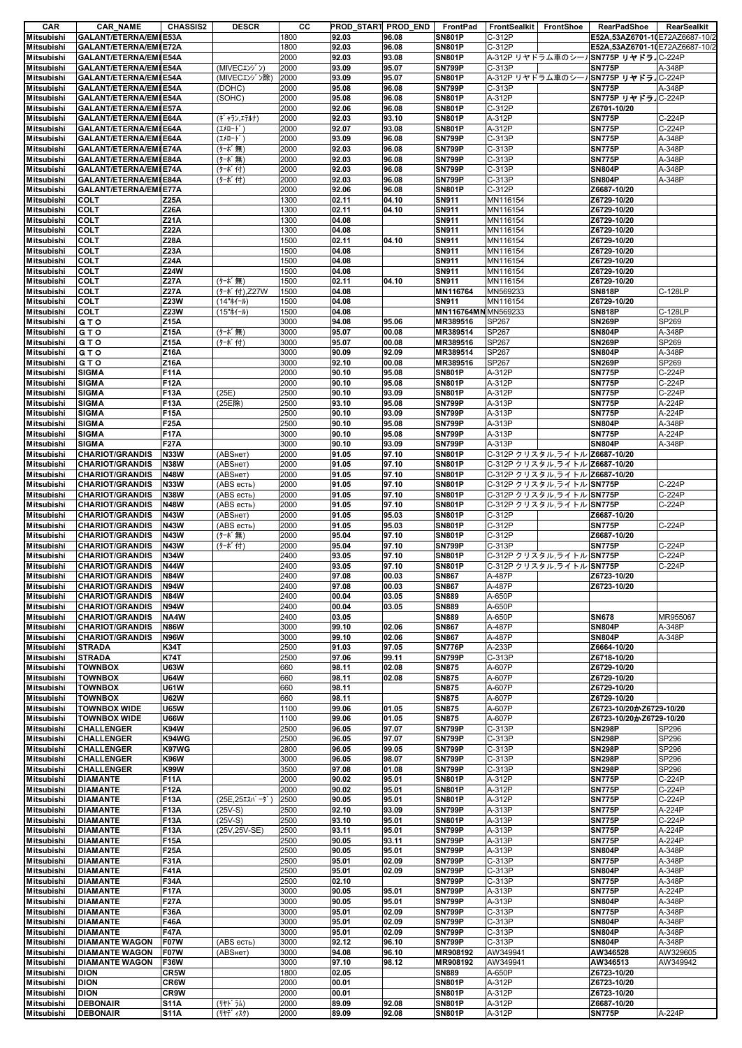| CAR                                    | <b>CAR_NAME</b>                                  | <b>CHASSIS2</b>            | <b>DESCR</b>                | CС           | PROD_START PROD_END |                | FrontPad                       | FrontSealkit FrontShoe                                         | <b>RearPadShoe</b>             | RearSealkit      |
|----------------------------------------|--------------------------------------------------|----------------------------|-----------------------------|--------------|---------------------|----------------|--------------------------------|----------------------------------------------------------------|--------------------------------|------------------|
| <b>Mitsubishi</b>                      | GALANT/ETERNA/EMIE53A                            |                            |                             | 1800         | 92.03               | 96.08          | <b>SN801P</b>                  | C-312P                                                         | E52A,53AZ6701-1(E72AZ6687-10/2 |                  |
| <b>Mitsubishi</b>                      | <b>GALANT/ETERNA/EMI E72A</b>                    |                            |                             | 1800         | 92.03               | 96.08          | <b>SN801P</b>                  | C-312P                                                         | E52A,53AZ6701-1(E72AZ6687-10/2 |                  |
| <b>Mitsubishi</b>                      | GALANT/ETERNA/EMIE54A                            |                            |                             | 2000         | 92.03               | 93.08          | <b>SN801P</b>                  | A-312P リヤドラム車のシールSN775P リヤドラ C-224P                            |                                |                  |
| <b>Mitsubishi</b><br>Mitsubishi        | GALANT/ETERNA/EMIE54A<br>GALANT/ETERNA/EMIE54A   |                            | (MIVECエンジン)<br>(MIVECエンジン除) | 2000<br>2000 | 93.09<br>93.09      | 95.07<br>95.07 | <b>SN799P</b><br><b>SN801P</b> | C-313P<br>A-312P リヤドラム車のシールSN775P リヤドラ IC-224P                 | <b>SN775P</b>                  | A-348P           |
| <b>Mitsubishi</b>                      | GALANT/ETERNA/EMIE54A                            |                            | (DOHC)                      | 2000         | 95.08               | 96.08          | <b>SN799P</b>                  | C-313P                                                         | <b>SN775P</b>                  | A-348P           |
| <b>Mitsubishi</b>                      | GALANT/ETERNA/EMIE54A                            |                            | (SOHC)                      | 2000         | 95.08               | 96.08          | <b>SN801P</b>                  | A-312P                                                         | SN775P リヤドラJC-224P             |                  |
| <b>Mitsubishi</b>                      | GALANT/ETERNA/EMIE57A                            |                            |                             | 2000         | 92.06               | 96.08          | <b>SN801P</b>                  | C-312P                                                         | Z6701-10/20                    |                  |
| <b>Mitsubishi</b>                      | GALANT/ETERNA/EMIE64A                            |                            | (ギャラン,エテルナ)                 | 2000         | 92.03               | 93.10          | <b>SN801P</b>                  | A-312P                                                         | <b>SN775P</b>                  | C-224P           |
| <b>Mitsubishi</b>                      | <b>GALANT/ETERNA/EMI E64A</b>                    |                            | (IXO-}')                    | 2000         | 92.07               | 93.08          | <b>SN801P</b>                  | A-312P                                                         | <b>SN775P</b>                  | C-224P           |
| <b>Mitsubishi</b>                      | GALANT/ETERNA/EMIE64A                            |                            | (Iメロード)                     | 2000         | 93.09               | 96.08          | <b>SN799P</b>                  | C-313P                                                         | <b>SN775P</b>                  | A-348P           |
| <b>Mitsubishi</b>                      | GALANT/ETERNA/EMIE74A                            |                            | (ターボ無)                      | 2000         | 92.03               | 96.08          | <b>SN799P</b>                  | C-313P                                                         | <b>SN775P</b>                  | A-348P           |
| <b>Mitsubishi</b>                      | GALANT/ETERNA/EMIE84A                            |                            | (ターボ無)                      | 2000         | 92.03               | 96.08          | <b>SN799P</b>                  | C-313P                                                         | <b>SN775P</b>                  | A-348P           |
| <b>Mitsubishi</b><br><b>Mitsubishi</b> | GALANT/ETERNA/EMIE74A<br>GALANT/ETERNA/EMI E84A  |                            | (ターボ付)<br>(ターボ付)            | 2000<br>2000 | 92.03<br>92.03      | 96.08<br>96.08 | <b>SN799P</b><br><b>SN799P</b> | C-313P<br>C-313P                                               | <b>SN804P</b><br><b>SN804P</b> | A-348P<br>A-348P |
| <b>Mitsubishi</b>                      | <b>GALANT/ETERNA/EMI E77A</b>                    |                            |                             | 2000         | 92.06               | 96.08          | <b>SN801P</b>                  | C-312P                                                         | Z6687-10/20                    |                  |
| <b>Mitsubishi</b>                      | <b>COLT</b>                                      | Z25A                       |                             | 1300         | 02.11               | 04.10          | <b>SN911</b>                   | MN116154                                                       | Z6729-10/20                    |                  |
| <b>Mitsubishi</b>                      | <b>COLT</b>                                      | Z26A                       |                             | 1300         | 02.11               | 04.10          | <b>SN911</b>                   | MN116154                                                       | Z6729-10/20                    |                  |
| <b>Mitsubishi</b>                      | <b>COLT</b>                                      | Z21A                       |                             | 1300         | 04.08               |                | <b>SN911</b>                   | MN116154                                                       | Z6729-10/20                    |                  |
| <b>Mitsubishi</b>                      | <b>COLT</b>                                      | <b>Z22A</b>                |                             | 1300         | 04.08               |                | SN911                          | MN116154                                                       | Z6729-10/20                    |                  |
| <b>Mitsubishi</b>                      | <b>COLT</b>                                      | Z28A                       |                             | 1500         | 02.11               | 04.10          | <b>SN911</b>                   | MN116154                                                       | Z6729-10/20                    |                  |
| <b>Mitsubishi</b>                      | <b>COLT</b>                                      | Z23A                       |                             | 1500         | 04.08               |                | <b>SN911</b>                   | MN116154                                                       | Z6729-10/20                    |                  |
| <b>Mitsubishi</b><br><b>Mitsubishi</b> | <b>COLT</b><br><b>COLT</b>                       | Z24A<br><b>Z24W</b>        |                             | 1500<br>1500 | 04.08<br>04.08      |                | <b>SN911</b><br><b>SN911</b>   | MN116154<br>MN116154                                           | Z6729-10/20<br>Z6729-10/20     |                  |
| <b>Mitsubishi</b>                      | <b>COLT</b>                                      | <b>Z27A</b>                | (ターボ無)                      | 1500         | 02.11               | 04.10          | <b>SN911</b>                   | MN116154                                                       | Z6729-10/20                    |                  |
| <b>Mitsubishi</b>                      | <b>COLT</b>                                      | <b>Z27A</b>                | (ターボ付),Z27W                 | 1500         | 04.08               |                | MN116764                       | MN569233                                                       | <b>SN818P</b>                  | C-128LP          |
| <b>Mitsubishi</b>                      | <b>COLT</b>                                      | Z23W                       | (14"ホイール)                   | 1500         | 04.08               |                | SN911                          | MN116154                                                       | Z6729-10/20                    |                  |
| <b>Mitsubishi</b>                      | <b>COLT</b>                                      | Z23W                       | (15"ホイール)                   | 1500         | 04.08               |                | MN116764MN MN569233            |                                                                | <b>SN818P</b>                  | C-128LP          |
| <b>Mitsubishi</b>                      | <b>GTO</b>                                       | <b>Z15A</b>                |                             | 3000         | 94.08               | 95.06          | MR389516                       | SP267                                                          | <b>SN269P</b>                  | SP269            |
| <b>Mitsubishi</b>                      | <b>GTO</b>                                       | <b>Z15A</b>                | (ターボ無)                      | 3000         | 95.07               | 00.08          | MR389514                       | SP267                                                          | <b>SN804P</b>                  | A-348P           |
| <b>Mitsubishi</b>                      | <b>GTO</b>                                       | Z15A                       | (ターボ付)                      | 3000         | 95.07               | 00.08          | MR389516                       | SP267                                                          | <b>SN269P</b>                  | SP269            |
| <b>Mitsubishi</b>                      | GTO                                              | <b>Z16A</b>                |                             | 3000         | 90.09               | 92.09          | MR389514                       | SP267                                                          | <b>SN804P</b>                  | A-348P<br>SP269  |
| <b>Mitsubishi</b><br><b>Mitsubishi</b> | <b>GTO</b><br><b>SIGMA</b>                       | <b>Z16A</b><br><b>F11A</b> |                             | 3000<br>2000 | 92.10<br>90.10      | 00.08<br>95.08 | MR389516<br><b>SN801P</b>      | SP267<br>A-312P                                                | <b>SN269P</b><br><b>SN775P</b> | C-224P           |
| <b>Mitsubishi</b>                      | <b>SIGMA</b>                                     | <b>F12A</b>                |                             | 2000         | 90.10               | 95.08          | <b>SN801P</b>                  | A-312P                                                         | <b>SN775P</b>                  | C-224P           |
| <b>Mitsubishi</b>                      | <b>SIGMA</b>                                     | F13A                       | (25E)                       | 2500         | 90.10               | 93.09          | <b>SN801P</b>                  | A-312P                                                         | <b>SN775P</b>                  | C-224P           |
| <b>Mitsubishi</b>                      | <b>SIGMA</b>                                     | <b>F13A</b>                | (25E除)                      | 2500         | 93.10               | 95.08          | <b>SN799P</b>                  | A-313P                                                         | <b>SN775P</b>                  | A-224P           |
| <b>Mitsubishi</b>                      | <b>SIGMA</b>                                     | <b>F15A</b>                |                             | 2500         | 90.10               | 93.09          | <b>SN799P</b>                  | A-313P                                                         | <b>SN775P</b>                  | A-224P           |
| <b>Mitsubishi</b>                      | <b>SIGMA</b>                                     | <b>F25A</b>                |                             | 2500         | 90.10               | 95.08          | <b>SN799P</b>                  | A-313P                                                         | <b>SN804P</b>                  | A-348P           |
| <b>Mitsubishi</b>                      | <b>SIGMA</b>                                     | <b>F17A</b>                |                             | 3000         | 90.10               | 95.08          | <b>SN799P</b>                  | A-313P                                                         | <b>SN775P</b>                  | A-224P           |
| Mitsubishi                             | <b>SIGMA</b>                                     | <b>F27A</b>                |                             | 3000         | 90.10               | 93.09          | <b>SN799P</b>                  | A-313P                                                         | <b>SN804P</b>                  | A-348P           |
| <b>Mitsubishi</b>                      | <b>CHARIOT/GRANDIS</b>                           | <b>N33W</b>                | (ABSHeT)                    | 2000         | 91.05               | 97.10          | <b>SN801P</b>                  | C-312P クリスタル,ライトル Z6687-10/20                                  |                                |                  |
| <b>Mitsubishi</b><br><b>Mitsubishi</b> | <b>CHARIOT/GRANDIS</b><br><b>CHARIOT/GRANDIS</b> | <b>N38W</b><br><b>N48W</b> | (ABSнет)<br>(ABSнет)        | 2000<br>2000 | 91.05<br>91.05      | 97.10<br>97.10 | <b>SN801P</b><br><b>SN801P</b> | C-312P クリスタル,ライトル Z6687-10/20<br>C-312P クリスタル,ライトル Z6687-10/20 |                                |                  |
| <b>Mitsubishi</b>                      | <b>CHARIOT/GRANDIS</b>                           | <b>N33W</b>                | (ABS есть)                  | 2000         | 91.05               | 97.10          | <b>SN801P</b>                  | C-312P クリスタル,ライトル SN775P                                       |                                | C-224P           |
| <b>Mitsubishi</b>                      | <b>CHARIOT/GRANDIS</b>                           | <b>N38W</b>                | (ABS есть)                  | 2000         | 91.05               | 97.10          | <b>SN801P</b>                  | C-312P クリスタル,ライトル SN775P                                       |                                | C-224P           |
| <b>Mitsubishi</b>                      | <b>CHARIOT/GRANDIS</b>                           | <b>N48W</b>                | (ABS есть)                  | 2000         | 91.05               | 97.10          | <b>SN801P</b>                  | C-312P クリスタル、ライトル·SN775P                                       |                                | C-224P           |
| <b>Mitsubishi</b>                      | <b>CHARIOT/GRANDIS</b>                           | <b>N43W</b>                | (ABSнет)                    | 2000         | 91.05               | 95.03          | <b>SN801P</b>                  | C-312P                                                         | Z6687-10/20                    |                  |
| <b>Mitsubishi</b>                      | <b>CHARIOT/GRANDIS</b>                           | <b>N43W</b>                | (ABS есть)                  | 2000         | 91.05               | 95.03          | <b>SN801P</b>                  | C-312P                                                         | <b>SN775P</b>                  | C-224P           |
| <b>Mitsubishi</b>                      | <b>CHARIOT/GRANDIS</b>                           | <b>N43W</b>                | (ターボ無)                      | 2000         | 95.04               | 97.10          | <b>SN801P</b>                  | C-312P                                                         | Z6687-10/20                    |                  |
| <b>Mitsubishi</b>                      | <b>CHARIOT/GRANDIS</b>                           | <b>N43W</b>                | (ターボ付)                      | 2000         | 95.04               | 97.10          | <b>SN799P</b>                  | C-313P                                                         | <b>SN775P</b>                  | C-224P           |
| Mitsubishi                             | <b>CHARIOT/GRANDIS</b>                           | <b>N34W</b>                |                             | 2400         | 93.05               | 97.10          | <b>SN801P</b>                  | C-312P クリスタル,ライトル SN775P                                       |                                | C-224P           |
| <b>Mitsubishi</b><br><b>Mitsubishi</b> | <b>CHARIOT/GRANDIS</b><br><b>CHARIOT/GRANDIS</b> | <b>N44W</b><br><b>N84W</b> |                             | 2400<br>2400 | 93.05<br>97.08      | 97.10<br>00.03 | <b>SN801P</b><br><b>SN867</b>  | C-312P クリスタル,ライトル SN775P<br>A-487P                             | Z6723-10/20                    | C-224P           |
| Mitsubishi                             | <b>CHARIOT/GRANDIS</b>                           | <b>N94W</b>                |                             | 2400         | 97.08               | 00.03          | <b>SN867</b>                   | A-487P                                                         | Z6723-10/20                    |                  |
| <b>Mitsubishi</b>                      | <b>CHARIOT/GRANDIS</b>                           | <b>N84W</b>                |                             | 2400         | 00.04               | 03.05          | <b>SN889</b>                   | A-650P                                                         |                                |                  |
| <b>Mitsubishi</b>                      | <b>CHARIOT/GRANDIS</b>                           | <b>N94W</b>                |                             | 2400         | 00.04               | 03.05          | <b>SN889</b>                   | A-650P                                                         |                                |                  |
| <b>Mitsubishi</b>                      | <b>CHARIOT/GRANDIS</b>                           | NA4W                       |                             | 2400         | 03.05               |                | <b>SN889</b>                   | A-650P                                                         | <b>SN678</b>                   | MR955067         |
| Mitsubishi                             | <b>CHARIOT/GRANDIS</b>                           | <b>N86W</b>                |                             | 3000         | 99.10               | 02.06          | <b>SN867</b>                   | A-487P                                                         | <b>SN804P</b>                  | A-348P           |
| <b>Mitsubishi</b>                      | <b>CHARIOT/GRANDIS</b>                           | <b>N96W</b>                |                             | 3000         | 99.10               | 02.06          | <b>SN867</b>                   | A-487P                                                         | <b>SN804P</b>                  | A-348P           |
| <b>Mitsubishi</b>                      | <b>STRADA</b>                                    | <b>K34T</b>                |                             | 2500         | 91.03               | 97.05          | <b>SN776P</b>                  | A-233P                                                         | Z6664-10/20                    |                  |
| Mitsubishi<br><b>Mitsubishi</b>        | <b>STRADA</b><br><b>TOWNBOX</b>                  | <b>K74T</b><br><b>U63W</b> |                             | 2500<br>660  | 97.06<br>98.11      | 99.11          | <b>SN799P</b><br><b>SN875</b>  | C-313P<br>A-607P                                               | Z6718-10/20<br>Z6729-10/20     |                  |
| <b>Mitsubishi</b>                      | <b>TOWNBOX</b>                                   | <b>U64W</b>                |                             | 660          | 98.11               | 02.08<br>02.08 | <b>SN875</b>                   | A-607P                                                         | Z6729-10/20                    |                  |
| <b>Mitsubishi</b>                      | <b>TOWNBOX</b>                                   | <b>U61W</b>                |                             | 660          | 98.11               |                | <b>SN875</b>                   | A-607P                                                         | Z6729-10/20                    |                  |
| <b>Mitsubishi</b>                      | <b>TOWNBOX</b>                                   | <b>U62W</b>                |                             | 660          | 98.11               |                | <b>SN875</b>                   | A-607P                                                         | Z6729-10/20                    |                  |
| <b>Mitsubishi</b>                      | <b>TOWNBOX WIDE</b>                              | <b>U65W</b>                |                             | 1100         | 99.06               | 01.05          | <b>SN875</b>                   | A-607P                                                         | Z6723-10/20かZ6729-10/20        |                  |
| <b>Mitsubishi</b>                      | <b>TOWNBOX WIDE</b>                              | <b>U66W</b>                |                             | 1100         | 99.06               | 01.05          | <b>SN875</b>                   | A-607P                                                         | Z6723-10/20かZ6729-10/20        |                  |
| <b>Mitsubishi</b>                      | <b>CHALLENGER</b>                                | <b>K94W</b>                |                             | 2500         | 96.05               | 97.07          | <b>SN799P</b>                  | C-313P                                                         | <b>SN298P</b>                  | SP296            |
| Mitsubishi<br><b>Mitsubishi</b>        | <b>CHALLENGER</b><br><b>CHALLENGER</b>           | K94WG<br>K97WG             |                             | 2500<br>2800 | 96.05               | 97.07          | <b>SN799P</b><br><b>SN799P</b> | C-313P<br>C-313P                                               | <b>SN298P</b><br><b>SN298P</b> | SP296<br>SP296   |
| <b>Mitsubishi</b>                      | <b>CHALLENGER</b>                                | <b>K96W</b>                |                             | 3000         | 96.05<br>96.05      | 99.05<br>98.07 | <b>SN799P</b>                  | C-313P                                                         | <b>SN298P</b>                  | SP296            |
| Mitsubishi                             | <b>CHALLENGER</b>                                | <b>K99W</b>                |                             | 3500         | 97.08               | 01.08          | <b>SN799P</b>                  | C-313P                                                         | <b>SN298P</b>                  | SP296            |
| Mitsubishi                             | <b>DIAMANTE</b>                                  | <b>F11A</b>                |                             | 2000         | 90.02               | 95.01          | <b>SN801P</b>                  | A-312P                                                         | <b>SN775P</b>                  | C-224P           |
| <b>Mitsubishi</b>                      | <b>DIAMANTE</b>                                  | <b>F12A</b>                |                             | 2000         | 90.02               | 95.01          | <b>SN801P</b>                  | A-312P                                                         | <b>SN775P</b>                  | C-224P           |
| Mitsubishi                             | <b>DIAMANTE</b>                                  | <b>F13A</b>                | $(25E, 25I3N^2 - 9^*)$      | 2500         | 90.05               | 95.01          | <b>SN801P</b>                  | A-312P                                                         | <b>SN775P</b>                  | C-224P           |
| Mitsubishi                             | <b>DIAMANTE</b>                                  | <b>F13A</b>                | $(25V-S)$                   | 2500         | 92.10               | 93.09          | <b>SN799P</b>                  | A-313P                                                         | <b>SN775P</b>                  | A-224P           |
| <b>Mitsubishi</b>                      | <b>DIAMANTE</b>                                  | <b>F13A</b>                | $(25V-S)$                   | 2500         | 93.10               | 95.01          | <b>SN801P</b>                  | A-313P                                                         | <b>SN775P</b>                  | C-224P           |
| <b>Mitsubishi</b>                      | <b>DIAMANTE</b>                                  | <b>F13A</b>                | (25V,25V-SE)                | 2500         | 93.11               | 95.01          | <b>SN799P</b>                  | A-313P                                                         | <b>SN775P</b>                  | A-224P<br>A-224P |
| <b>Mitsubishi</b><br><b>Mitsubishi</b> | <b>DIAMANTE</b><br><b>DIAMANTE</b>               | <b>F15A</b><br><b>F25A</b> |                             | 2500<br>2500 | 90.05<br>90.05      | 93.11<br>95.01 | <b>SN799P</b><br><b>SN799P</b> | A-313P<br>A-313P                                               | <b>SN775P</b><br><b>SN804P</b> | A-348P           |
| <b>Mitsubishi</b>                      | <b>DIAMANTE</b>                                  | <b>F31A</b>                |                             | 2500         | 95.01               | 02.09          | <b>SN799P</b>                  | C-313P                                                         | <b>SN775P</b>                  | A-348P           |
| <b>Mitsubishi</b>                      | <b>DIAMANTE</b>                                  | <b>F41A</b>                |                             | 2500         | 95.01               | 02.09          | <b>SN799P</b>                  | C-313P                                                         | <b>SN804P</b>                  | A-348P           |
| Mitsubishi                             | <b>DIAMANTE</b>                                  | <b>F34A</b>                |                             | 2500         | 02.10               |                | <b>SN799P</b>                  | C-313P                                                         | <b>SN775P</b>                  | A-348P           |
| <b>Mitsubishi</b>                      | <b>DIAMANTE</b>                                  | <b>F17A</b>                |                             | 3000         | 90.05               | 95.01          | <b>SN799P</b>                  | A-313P                                                         | <b>SN775P</b>                  | A-224P           |
| <b>Mitsubishi</b>                      | <b>DIAMANTE</b>                                  | <b>F27A</b>                |                             | 3000         | 90.05               | 95.01          | <b>SN799P</b>                  | A-313P                                                         | <b>SN804P</b>                  | A-348P           |
| Mitsubishi                             | <b>DIAMANTE</b>                                  | F36A                       |                             | 3000         | 95.01               | 02.09          | <b>SN799P</b>                  | C-313P                                                         | <b>SN775P</b>                  | A-348P           |
| <b>Mitsubishi</b>                      | <b>DIAMANTE</b>                                  | <b>F46A</b>                |                             | 3000         | 95.01               | 02.09          | <b>SN799P</b>                  | C-313P                                                         | <b>SN804P</b>                  | A-348P           |
| <b>Mitsubishi</b><br><b>Mitsubishi</b> | <b>DIAMANTE</b><br><b>DIAMANTE WAGON</b>         | <b>F47A</b><br><b>F07W</b> | (ABS есть)                  | 3000<br>3000 | 95.01<br>92.12      | 02.09<br>96.10 | <b>SN799P</b><br><b>SN799P</b> | C-313P<br>C-313P                                               | <b>SN804P</b><br><b>SN804P</b> | A-348P<br>A-348P |
| <b>Mitsubishi</b>                      | <b>DIAMANTE WAGON</b>                            | <b>F07W</b>                | (ABSнет)                    | 3000         | 94.08               | 96.10          | MR908192                       | AW349941                                                       | AW346528                       | AW329605         |
| <b>Mitsubishi</b>                      | <b>DIAMANTE WAGON</b>                            | <b>F36W</b>                |                             | 3000         | 97.10               | 98.12          | MR908192                       | AW349941                                                       | AW346513                       | AW349942         |
| <b>Mitsubishi</b>                      | <b>DION</b>                                      | CR5W                       |                             | 1800         | 02.05               |                | <b>SN889</b>                   | A-650P                                                         | Z6723-10/20                    |                  |
| <b>Mitsubishi</b>                      | <b>DION</b>                                      | <b>CR6W</b>                |                             | 2000         | 00.01               |                | <b>SN801P</b>                  | A-312P                                                         | Z6723-10/20                    |                  |
| <b>Mitsubishi</b>                      | <b>DION</b>                                      | CR9W                       |                             | 2000         | 00.01               |                | <b>SN801P</b>                  | A-312P                                                         | Z6723-10/20                    |                  |
| <b>Mitsubishi</b>                      | <b>DEBONAIR</b>                                  | <b>S11A</b>                | (リヤト・ラム)                    | 2000         | 89.09               | 92.08          | <b>SN801P</b>                  | A-312P                                                         | Z6687-10/20                    |                  |
| <b>Mitsubishi</b>                      | <b>DEBONAIR</b>                                  | <b>S11A</b>                | (リヤデ ィスク)                   | 2000         | 89.09               | 92.08          | <b>SN801P</b>                  | A-312P                                                         | <b>SN775P</b>                  | A-224P           |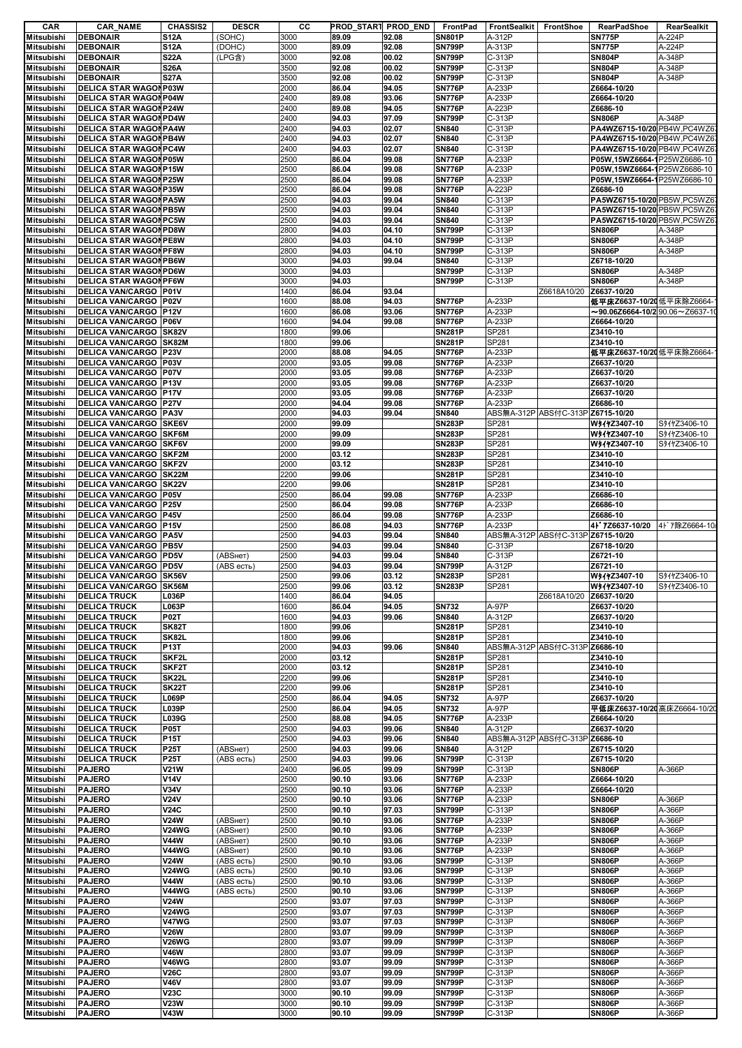| CAR                                                  | <b>CAR_NAME</b>                | <b>CHASSIS2</b>            | <b>DESCR</b> | cс           | PROD_START PROD_END |                | FrontPad                       | FrontSealkit     | FrontShoe                         | RearPadShoe                                 | RearSealkit      |
|------------------------------------------------------|--------------------------------|----------------------------|--------------|--------------|---------------------|----------------|--------------------------------|------------------|-----------------------------------|---------------------------------------------|------------------|
| <b>Mitsubishi</b>                                    | <b>DEBONAIR</b>                | <b>S12A</b>                | (SOHC)       | 3000         | 89.09               | 92.08          | <b>SN801P</b>                  | A-312P           |                                   | <b>SN775P</b>                               | A-224P           |
| <b>Mitsubishi</b>                                    | <b>DEBONAIR</b>                | <b>S12A</b>                | (DOHC)       | 3000         | 89.09               | 92.08          | <b>SN799P</b>                  | A-313P           |                                   | <b>SN775P</b>                               | A-224P           |
| <b>Mitsubishi</b>                                    | <b>DEBONAIR</b>                | <b>S22A</b>                | (LPG含)       | 3000         | 92.08               | 00.02          | <b>SN799P</b>                  | C-313P           |                                   | <b>SN804P</b>                               | A-348P           |
| <b>Mitsubishi</b>                                    | <b>DEBONAIR</b>                | <b>S26A</b>                |              | 3500         | 92.08               | 00.02          | <b>SN799P</b>                  | C-313P           |                                   | <b>SN804P</b>                               | A-348P           |
| <b>Mitsubishi</b>                                    | <b>DEBONAIR</b>                | <b>S27A</b>                |              | 3500         | 92.08               | 00.02          | <b>SN799P</b>                  | C-313P           |                                   | <b>SN804P</b>                               | A-348P           |
| <b>Mitsubishi</b>                                    | <b>DELICA STAR WAGON P03W</b>  |                            |              | 2000         | 86.04               | 94.05          | <b>SN776P</b>                  | A-233P           |                                   | Z6664-10/20                                 |                  |
| <b>Mitsubishi</b>                                    | <b>DELICA STAR WAGON P04W</b>  |                            |              | 2400         | 89.08               | 93.06          | <b>SN776P</b>                  | A-233P           |                                   | Z6664-10/20                                 |                  |
| <b>Mitsubishi</b>                                    | <b>DELICA STAR WAGON P24W</b>  |                            |              | 2400         | 89.08               | 94.05          | <b>SN776P</b>                  | A-223P           |                                   | Z6686-10                                    |                  |
| <b>Mitsubishi</b>                                    | <b>DELICA STAR WAGON PD4W</b>  |                            |              | 2400         | 94.03               | 97.09          | <b>SN799P</b>                  | C-313P           |                                   | <b>SN806P</b>                               | A-348P           |
| <b>Mitsubishi</b>                                    | <b>DELICA STAR WAGON PA4W</b>  |                            |              | 2400         | 94.03               | 02.07          | <b>SN840</b>                   | C-313P           |                                   | PA4WZ6715-10/20 PB4W, PC4WZ6                |                  |
| <b>Mitsubishi</b>                                    | <b>DELICA STAR WAGON PB4W</b>  |                            |              | 2400         | 94.03               | 02.07          | <b>SN840</b>                   | C-313P           |                                   | PA4WZ6715-10/20 PB4W, PC4WZ6                |                  |
| <b>Mitsubishi</b>                                    | <b>DELICA STAR WAGON PC4W</b>  |                            |              | 2400         | 94.03               | 02.07          | <b>SN840</b>                   | C-313P           |                                   | PA4WZ6715-10/20 PB4W, PC4WZ6                |                  |
| <b>Mitsubishi</b>                                    | <b>DELICA STAR WAGON P05W</b>  |                            |              | 2500         | 86.04               | 99.08          | <b>SN776P</b>                  | A-233P           |                                   | P05W,15WZ6664-1P25WZ6686-10                 |                  |
| <b>Mitsubishi</b>                                    | <b>DELICA STAR WAGONP15W</b>   |                            |              | 2500         | 86.04               | 99.08          | <b>SN776P</b>                  | A-233P           |                                   | P05W,15WZ6664-1P25WZ6686-10                 |                  |
| <b>Mitsubishi</b>                                    | <b>DELICA STAR WAGON P25W</b>  |                            |              | 2500         |                     |                | <b>SN776P</b>                  | A-233P           |                                   |                                             |                  |
|                                                      | <b>DELICA STAR WAGON P35W</b>  |                            |              |              | 86.04               | 99.08          | <b>SN776P</b>                  |                  |                                   | P05W,15WZ6664-1P25WZ6686-10                 |                  |
| <b>Mitsubishi</b>                                    |                                |                            |              | 2500         | 86.04               | 99.08          |                                | A-223P           |                                   | Z6686-10                                    |                  |
| <b>Mitsubishi</b>                                    | <b>DELICA STAR WAGON PA5W</b>  |                            |              | 2500         | 94.03               | 99.04          | <b>SN840</b>                   | C-313P           |                                   | PA5WZ6715-10/20 PB5W, PC5WZ6                |                  |
| <b>Mitsubishi</b>                                    | <b>DELICA STAR WAGON PB5W</b>  |                            |              | 2500         | 94.03               | 99.04          | <b>SN840</b>                   | C-313P           |                                   | PA5WZ6715-10/20 PB5W, PC5WZ6                |                  |
| <b>Mitsubishi</b>                                    | <b>DELICA STAR WAGON PC5W</b>  |                            |              | 2500         | 94.03               | 99.04          | <b>SN840</b>                   | C-313P           |                                   | PA5WZ6715-10/20 PB5W, PC5WZ6                |                  |
| <b>Mitsubishi</b>                                    | <b>DELICA STAR WAGON PD8W</b>  |                            |              | 2800         | 94.03               | 04.10          | <b>SN799P</b>                  | C-313P           |                                   | <b>SN806P</b>                               | A-348P           |
| <b>Mitsubishi</b>                                    | <b>DELICA STAR WAGON PE8W</b>  |                            |              | 2800         | 94.03               | 04.10          | <b>SN799P</b>                  | C-313P           |                                   | <b>SN806P</b>                               | A-348P           |
| <b>Mitsubishi</b>                                    | <b>DELICA STAR WAGON PF8W</b>  |                            |              | 2800         | 94.03               | 04.10          | <b>SN799P</b>                  | C-313P           |                                   | <b>SN806P</b>                               | A-348P           |
| <b>Mitsubishi</b>                                    | <b>DELICA STAR WAGON PB6W</b>  |                            |              | 3000         | 94.03               | 99.04          | <b>SN840</b>                   | C-313P           |                                   | Z6718-10/20                                 |                  |
| <b>Mitsubishi</b>                                    | <b>DELICA STAR WAGON PD6W</b>  |                            |              | 3000         | 94.03               |                | <b>SN799P</b>                  | C-313P           |                                   | <b>SN806P</b>                               | A-348P           |
| <b>Mitsubishi</b>                                    | <b>DELICA STAR WAGON PF6W</b>  |                            |              | 3000         | 94.03               |                | <b>SN799P</b>                  | C-313P           |                                   | <b>SN806P</b>                               | A-348P           |
| <b>Mitsubishi</b>                                    | <b>DELICA VAN/CARGO P01V</b>   |                            |              | 1400         | 86.04               | 93.04          |                                |                  | Z6618A10/20                       | Z6637-10/20                                 |                  |
| <b>Mitsubishi</b>                                    | <b>DELICA VAN/CARGO P02V</b>   |                            |              | 1600         | 88.08               | 94.03          | <b>SN776P</b>                  | A-233P           |                                   | 低平床Z6637-10/20 低平床除Z6664                    |                  |
| <b>Mitsubishi</b>                                    | <b>DELICA VAN/CARGO</b>        | <b>P12V</b>                |              | 1600         | 86.08               | 93.06          | <b>SN776P</b>                  | A-233P           |                                   | $\sim$ 90.06Z6664-10/2 90.06 $\sim$ Z6637-1 |                  |
| <b>Mitsubishi</b>                                    | <b>DELICA VAN/CARGO P06V</b>   |                            |              | 1600         | 94.04               | 99.08          | <b>SN776P</b>                  | A-233P           |                                   | Z6664-10/20                                 |                  |
|                                                      |                                | <b>SK82V</b>               |              | 1800         |                     |                |                                |                  |                                   | Z3410-10                                    |                  |
| <b>Mitsubishi</b>                                    | <b>DELICA VAN/CARGO</b>        |                            |              |              | 99.06               |                | <b>SN281P</b>                  | SP281            |                                   |                                             |                  |
| <b>Mitsubishi</b>                                    | <b>DELICA VAN/CARGO</b>        | SK82M                      |              | 1800         | 99.06               |                | <b>SN281P</b>                  | SP281            |                                   | Z3410-10                                    |                  |
| <b>Mitsubishi</b>                                    | <b>DELICA VAN/CARGO P23V</b>   |                            |              | 2000         | 88.08               | 94.05          | <b>SN776P</b>                  | A-233P           |                                   | 低平床Z6637-10/20 低平床除Z6664-                   |                  |
| <b>Mitsubishi</b>                                    | <b>DELICA VAN/CARGO P03V</b>   |                            |              | 2000         | 93.05               | 99.08          | <b>SN776P</b>                  | A-233P           |                                   | Z6637-10/20                                 |                  |
| <b>Mitsubishi</b>                                    | <b>DELICA VAN/CARGO P07V</b>   |                            |              | 2000         | 93.05               | 99.08          | <b>SN776P</b>                  | A-233P           |                                   | Z6637-10/20                                 |                  |
| <b>Mitsubishi</b>                                    | <b>DELICA VAN/CARGO P13V</b>   |                            |              | 2000         | 93.05               | 99.08          | <b>SN776P</b>                  | A-233P           |                                   | Z6637-10/20                                 |                  |
| <b>Mitsubishi</b>                                    | <b>DELICA VAN/CARGO P17V</b>   |                            |              | 2000         | 93.05               | 99.08          | <b>SN776P</b>                  | A-233P           |                                   | Z6637-10/20                                 |                  |
| <b>Mitsubishi</b>                                    | <b>DELICA VAN/CARGO   P27V</b> |                            |              | 2000         | 94.04               | 99.08          | <b>SN776P</b>                  | A-233P           |                                   | Z6686-10                                    |                  |
| <b>Mitsubishi</b>                                    | <b>DELICA VAN/CARGO PA3V</b>   |                            |              | 2000         | 94.03               | 99.04          | <b>SN840</b>                   |                  | ABS無A-312P ABS付C-313P Z6715-10/20 |                                             |                  |
| <b>Mitsubishi</b>                                    | <b>DELICA VAN/CARGO</b>        | <b>SKE6V</b>               |              | 2000         | 99.09               |                | <b>SN283P</b>                  | SP281            |                                   | WI1123407-10                                | S91+23406-10     |
|                                                      |                                |                            |              |              |                     |                |                                |                  |                                   |                                             |                  |
| <b>Mitsubishi</b>                                    | <b>DELICA VAN/CARGO</b>        | SKF6M                      |              | 2000         | 99.09               |                | <b>SN283P</b>                  | SP281            |                                   | W111Z3407-10                                | S91+23406-10     |
| <b>Mitsubishi</b>                                    | <b>DELICA VAN/CARGO SKF6V</b>  |                            |              | 2000         | 99.09               |                | <b>SN283P</b>                  | SP281            |                                   | W911Z3407-10                                | S91+23406-10     |
| <b>Mitsubishi</b>                                    | <b>DELICA VAN/CARGO SKF2M</b>  |                            |              | 2000         | 03.12               |                | <b>SN283P</b>                  | SP281            |                                   | Z3410-10                                    |                  |
| <b>Mitsubishi</b>                                    | <b>DELICA VAN/CARGO</b>        | SKF <sub>2V</sub>          |              | 2000         | 03.12               |                | <b>SN283P</b>                  | SP281            |                                   | Z3410-10                                    |                  |
| <b>Mitsubishi</b>                                    | <b>DELICA VAN/CARGO</b>        | <b>SK22M</b>               |              | 2200         | 99.06               |                | <b>SN281P</b>                  | SP281            |                                   | Z3410-10                                    |                  |
| <b>Mitsubishi</b>                                    | <b>DELICA VAN/CARGO</b>        | <b>SK22V</b>               |              | 2200         | 99.06               |                | <b>SN281P</b>                  | SP281            |                                   | Z3410-10                                    |                  |
| <b>Mitsubishi</b>                                    | <b>DELICA VAN/CARGO</b>        | <b>P05V</b>                |              | 2500         | 86.04               | 99.08          | <b>SN776P</b>                  | A-233P           |                                   | Z6686-10                                    |                  |
| <b>Mitsubishi</b>                                    | <b>DELICA VAN/CARGO</b>        | <b>P25V</b>                |              | 2500         | 86.04               | 99.08          | <b>SN776P</b>                  | A-233P           |                                   | Z6686-10                                    |                  |
| <b>Mitsubishi</b>                                    | <b>DELICA VAN/CARGO</b>        | <b>P45V</b>                |              | 2500         | 86.04               | 99.08          | <b>SN776P</b>                  | A-233P           |                                   | Z6686-10                                    |                  |
|                                                      |                                |                            |              |              |                     |                |                                |                  |                                   |                                             |                  |
| <b>Mitsubishi</b>                                    | <b>DELICA VAN/CARGO</b>        | <b>P15V</b>                |              | 2500         | 86.08               | 94.03          | <b>SN776P</b>                  | A-233P           |                                   | 4 7Z6637-10/20                              | 4ドア除Z6664-10     |
| <b>Mitsubishi</b>                                    | <b>DELICA VAN/CARGO   PA5V</b> |                            |              | 2500         | 94.03               | 99.04          | <b>SN840</b>                   |                  | ABS無A-312P ABS付C-313P Z6715-10/20 |                                             |                  |
| <b>Mitsubishi</b>                                    | <b>DELICA VAN/CARGO</b>        | PB5V                       |              | 2500         | 94.03               | 99.04          | SN840                          | C-313P           |                                   | Z6718-10/20                                 |                  |
| <b>Mitsubishi</b>                                    | <b>DELICA VAN/CARGO</b>        | PD5V                       | (ABSHeT)     | 2500         | 94.03               | 99.04          | <b>SN840</b>                   | C-313P           |                                   | Z6721-10                                    |                  |
| <b>Mitsubishi</b>                                    | <b>DELICA VAN/CARGO</b>        | PD5V                       | (ABS есть)   | 2500         | 94.03               | 99.04          | <b>SN799P</b>                  | A-312P           |                                   | Z6721-10                                    |                  |
| <b>Mitsubishi</b>                                    | <b>DELICA VAN/CARGO SK56V</b>  |                            |              | 2500         | 99.06               | 03.12          | <b>SN283P</b>                  | SP281            |                                   | W941Z3407-10                                | S91+23406-10     |
| <b>Mitsubishi</b>                                    | <b>DELICA VAN/CARGO SK56M</b>  |                            |              | 2500         | 99.06               | 03.12          | <b>SN283P</b>                  | SP281            |                                   | W911Z3407-10                                | S91+23406-10     |
|                                                      |                                |                            |              |              |                     |                |                                |                  |                                   |                                             |                  |
| <b>Mitsubishi</b>                                    | <b>DELICA TRUCK</b>            | L036P                      |              | 1400         | 86.04               | 94.05          |                                |                  | Z6618A10/20                       | Z6637-10/20                                 |                  |
| Mitsubishi                                           | <b>DELICA TRUCK</b>            | L063P                      |              | 1600         | 86.04               | 94.05          | <b>SN732</b>                   | A-97P            |                                   | Z6637-10/20                                 |                  |
| <b>Mitsubishi</b>                                    | <b>DELICA TRUCK</b>            | <b>P02T</b>                |              | 1600         | 94.03               | 99.06          | <b>SN840</b>                   | A-312P           |                                   | Z6637-10/20                                 |                  |
| Mitsubishi                                           | <b>DELICA TRUCK</b>            | <b>SK82T</b>               |              | 1800         | 99.06               |                | <b>SN281P</b>                  | SP281            |                                   | Z3410-10                                    |                  |
| Mitsubishi                                           | <b>DELICA TRUCK</b>            | SK82L                      |              | 1800         | 99.06               |                | <b>SN281P</b>                  | SP281            |                                   | Z3410-10                                    |                  |
| Mitsubishi                                           | <b>DELICA TRUCK</b>            | P13T                       |              | 2000         | 94.03               | 99.06          | <b>SN840</b>                   |                  | ABS無A-312P ABS付C-313P Z6686-10    |                                             |                  |
| Mitsubishi                                           | <b>DELICA TRUCK</b>            | SKF2L                      |              | 2000         | 03.12               |                | <b>SN281P</b>                  | SP281            |                                   | Z3410-10                                    |                  |
| <b>Mitsubishi</b>                                    | <b>DELICA TRUCK</b>            | SKF2T                      |              | 2000         | 03.12               |                | <b>SN281P</b>                  | SP281            |                                   | Z3410-10                                    |                  |
| <b>Mitsubishi</b>                                    | <b>DELICA TRUCK</b>            | SK <sub>22</sub> L         |              | 2200         | 99.06               |                | <b>SN281P</b>                  | SP281            |                                   | Z3410-10                                    |                  |
| <b>Mitsubishi</b>                                    | <b>DELICA TRUCK</b>            | <b>SK22T</b>               |              | 2200         | 99.06               |                | <b>SN281P</b>                  | SP281            |                                   | Z3410-10                                    |                  |
| <b>Mitsubishi</b>                                    | <b>DELICA TRUCK</b>            | L069P                      |              | 2500         | 86.04               | 94.05          | <b>SN732</b>                   | A-97P            |                                   | Z6637-10/20                                 |                  |
|                                                      |                                |                            |              |              |                     |                |                                |                  |                                   |                                             |                  |
| Mitsubishi                                           | <b>DELICA TRUCK</b>            | L039P                      |              | 2500         | 86.04               | 94.05          | <b>SN732</b>                   | A-97P            |                                   | 平低床Z6637-10/20 高床Z6664-10/20                |                  |
| <b>Mitsubishi</b>                                    | <b>DELICA TRUCK</b>            | L039G                      |              | 2500         | 88.08               | 94.05          | <b>SN776P</b>                  | A-233P           |                                   | Z6664-10/20                                 |                  |
| Mitsubishi                                           | <b>DELICA TRUCK</b>            | <b>P05T</b>                |              | 2500         | 94.03               | 99.06          | <b>SN840</b>                   | A-312P           |                                   | Z6637-10/20                                 |                  |
| Mitsubishi                                           | <b>DELICA TRUCK</b>            | P15T                       |              | 2500         | 94.03               | 99.06          | <b>SN840</b>                   |                  | ABS無A-312P ABS付C-313P Z6686-10    |                                             |                  |
| <b>Mitsubishi</b>                                    | <b>DELICA TRUCK</b>            | P25T                       | (ABSHeT)     | 2500         | 94.03               | 99.06          | <b>SN840</b>                   | A-312P           |                                   | Z6715-10/20                                 |                  |
| <b>Mitsubishi</b>                                    | <b>DELICA TRUCK</b>            | P25T                       | (ABS есть)   | 2500         | 94.03               | 99.06          | <b>SN799P</b>                  | C-313P           |                                   | Z6715-10/20                                 |                  |
| <b>Mitsubishi</b>                                    | <b>PAJERO</b>                  | <b>V21W</b>                |              | 2400         | 96.05               | 99.09          | <b>SN799P</b>                  | C-313P           |                                   | <b>SN806P</b>                               | A-366P           |
| <b>Mitsubishi</b>                                    | <b>PAJERO</b>                  | <b>V14V</b>                |              | 2500         | 90.10               | 93.06          | <b>SN776P</b>                  | A-233P           |                                   | Z6664-10/20                                 |                  |
| Mitsubishi                                           | PAJERO                         | <b>V34V</b>                |              | 2500         | 90.10               | 93.06          | <b>SN776P</b>                  | A-233P           |                                   | Z6664-10/20                                 |                  |
| <b>Mitsubishi</b>                                    | <b>PAJERO</b>                  | <b>V24V</b>                |              | 2500         | 90.10               | 93.06          | <b>SN776P</b>                  | A-233P           |                                   | <b>SN806P</b>                               | A-366P           |
| Mitsubishi                                           | <b>PAJERO</b>                  | <b>V24C</b>                |              | 2500         | 90.10               | 97.03          | <b>SN799P</b>                  | C-313P           |                                   | <b>SN806P</b>                               | A-366P           |
|                                                      |                                |                            |              |              |                     |                |                                |                  |                                   |                                             |                  |
| Mitsubishi                                           | <b>PAJERO</b>                  | <b>V24W</b>                | (ABSHeT)     | 2500         | 90.10               | 93.06          | <b>SN776P</b>                  | A-233P           |                                   | <b>SN806P</b>                               | A-366P           |
| <b>Mitsubishi</b>                                    | <b>PAJERO</b>                  | <b>V24WG</b>               | (ABSHeT)     | 2500         | 90.10               | 93.06          | <b>SN776P</b>                  | A-233P           |                                   | <b>SN806P</b>                               | A-366P           |
| <b>Mitsubishi</b>                                    | <b>PAJERO</b>                  | <b>V44W</b>                | (ABSHeT)     | 2500         | 90.10               | 93.06          | <b>SN776P</b>                  | A-233P           |                                   | <b>SN806P</b>                               | A-366P           |
| <b>Mitsubishi</b>                                    | PAJERO                         | <b>V44WG</b>               | (ABSHeT)     | 2500         | 90.10               | 93.06          | <b>SN776P</b>                  | A-233P           |                                   | <b>SN806P</b>                               | A-366P           |
| <b>Mitsubishi</b>                                    | <b>PAJERO</b>                  | <b>V24W</b>                | (ABS есть)   | 2500         | 90.10               | 93.06          | <b>SN799P</b>                  | C-313P           |                                   | <b>SN806P</b>                               | A-366P           |
| <b>Mitsubishi</b>                                    | <b>PAJERO</b>                  | <b>V24WG</b>               | (ABS есть)   | 2500         | 90.10               | 93.06          | <b>SN799P</b>                  | C-313P           |                                   | <b>SN806P</b>                               | A-366P           |
| Mitsubishi                                           | <b>PAJERO</b>                  | <b>V44W</b>                | (ABS есть)   | 2500         | 90.10               | 93.06          | <b>SN799P</b>                  | C-313P           |                                   | <b>SN806P</b>                               | A-366P           |
| <b>Mitsubishi</b>                                    | <b>PAJERO</b>                  | <b>V44WG</b>               | (ABS есть)   | 2500         | 90.10               | 93.06          | <b>SN799P</b>                  | C-313P           |                                   | <b>SN806P</b>                               | A-366P           |
|                                                      |                                | <b>V24W</b>                |              | 2500         |                     |                |                                | C-313P           |                                   |                                             |                  |
| <b>Mitsubishi</b>                                    | <b>PAJERO</b>                  |                            |              |              | 93.07               | 97.03          | <b>SN799P</b>                  |                  |                                   | <b>SN806P</b>                               | A-366P           |
| <b>Mitsubishi</b>                                    | <b>PAJERO</b>                  | <b>V24WG</b>               |              | 2500         | 93.07               | 97.03          | <b>SN799P</b>                  | C-313P           |                                   | <b>SN806P</b>                               | A-366P           |
| <b>Mitsubishi</b>                                    | <b>PAJERO</b>                  | <b>V47WG</b>               |              | 2500         | 93.07               | 97.03          | <b>SN799P</b>                  | C-313P           |                                   | <b>SN806P</b>                               | A-366P           |
| <b>Mitsubishi</b>                                    | <b>PAJERO</b>                  | <b>V26W</b>                |              | 2800         | 93.07               | 99.09          | <b>SN799P</b>                  | C-313P           |                                   | <b>SN806P</b>                               | A-366P           |
| <b>Mitsubishi</b>                                    | <b>PAJERO</b>                  | <b>V26WG</b>               |              | 2800         | 93.07               | 99.09          | <b>SN799P</b>                  | C-313P           |                                   | <b>SN806P</b>                               | A-366P           |
| <b>Mitsubishi</b>                                    | <b>PAJERO</b>                  | <b>V46W</b>                |              | 2800         | 93.07               | 99.09          | <b>SN799P</b>                  | C-313P           |                                   | <b>SN806P</b>                               | A-366P           |
| <b>Mitsubishi</b>                                    | <b>PAJERO</b>                  | <b>V46WG</b>               |              | 2800         | 93.07               | 99.09          | <b>SN799P</b>                  | C-313P           |                                   | <b>SN806P</b>                               | A-366P           |
| <b>Mitsubishi</b>                                    | <b>PAJERO</b>                  | <b>V26C</b>                |              | 2800         | 93.07               | 99.09          | <b>SN799P</b>                  | C-313P           |                                   | <b>SN806P</b>                               | A-366P           |
|                                                      |                                | <b>V46V</b>                |              | 2800         | 93.07               |                | <b>SN799P</b>                  |                  |                                   |                                             | A-366P           |
| <b>Mitsubishi</b>                                    |                                |                            |              |              |                     | 99.09          |                                | C-313P           |                                   | <b>SN806P</b>                               |                  |
|                                                      | <b>PAJERO</b>                  |                            |              |              |                     |                |                                |                  |                                   |                                             |                  |
|                                                      | <b>PAJERO</b>                  | <b>V23C</b>                |              | 3000         | 90.10               | 99.09          | <b>SN799P</b>                  | C-313P           |                                   | <b>SN806P</b>                               | A-366P           |
| Mitsubishi<br><b>Mitsubishi</b><br><b>Mitsubishi</b> | <b>PAJERO</b><br><b>PAJERO</b> | <b>V23W</b><br><b>V43W</b> |              | 3000<br>3000 | 90.10<br>90.10      | 99.09<br>99.09 | <b>SN799P</b><br><b>SN799P</b> | C-313P<br>C-313P |                                   | <b>SN806P</b><br><b>SN806P</b>              | A-366P<br>A-366P |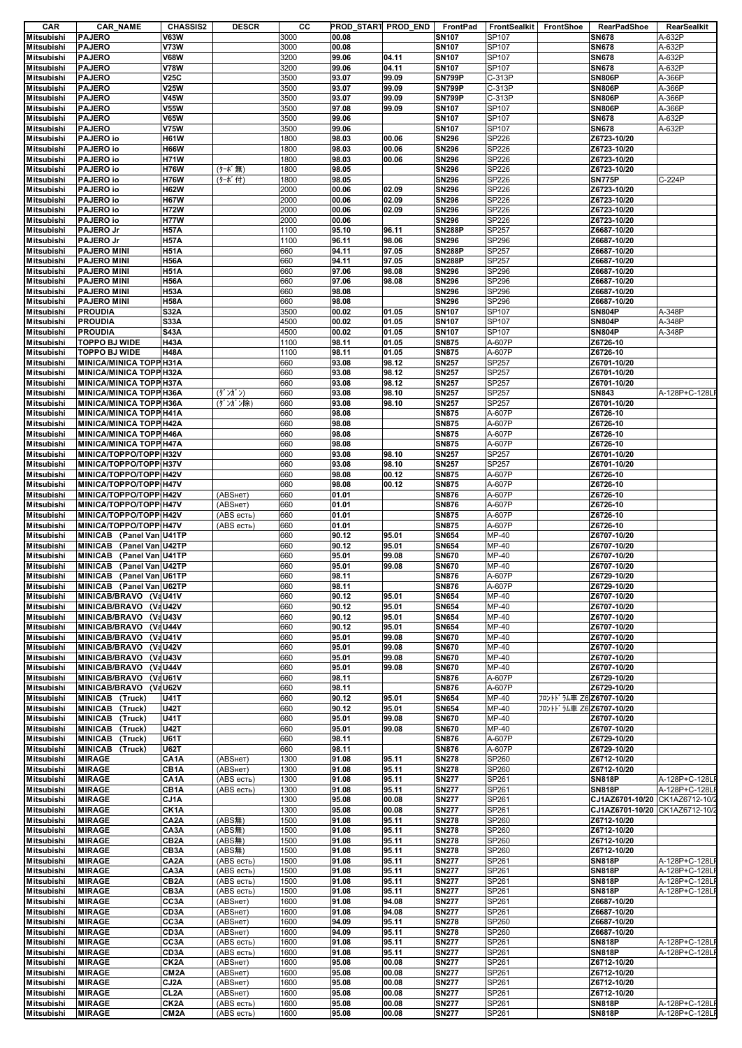| CAR               | <b>CAR_NAME</b>                     | <b>CHASSIS2</b>   | <b>DESCR</b> | cс   |       | PROD_START PROD_END | FrontPad      | FrontSealkit FrontShoe |                          | <b>RearPadShoe</b>             | <b>RearSealkit</b> |
|-------------------|-------------------------------------|-------------------|--------------|------|-------|---------------------|---------------|------------------------|--------------------------|--------------------------------|--------------------|
| <b>Mitsubishi</b> | <b>PAJERO</b>                       | <b>V63W</b>       |              | 3000 | 00.08 |                     | <b>SN107</b>  | SP107                  |                          | <b>SN678</b>                   | A-632P             |
| <b>Mitsubishi</b> | <b>PAJERO</b>                       | <b>V73W</b>       |              | 3000 | 00.08 |                     | <b>SN107</b>  | SP107                  |                          | <b>SN678</b>                   | A-632P             |
| <b>Mitsubishi</b> | <b>PAJERO</b>                       | <b>V68W</b>       |              | 3200 | 99.06 | 04.11               | <b>SN107</b>  | SP107                  |                          | <b>SN678</b>                   | A-632P             |
| Mitsubishi        | <b>PAJERO</b>                       | <b>V78W</b>       |              | 3200 | 99.06 | 04.11               | <b>SN107</b>  | SP107                  |                          | <b>SN678</b>                   | A-632P             |
|                   |                                     |                   |              |      |       |                     |               |                        |                          |                                |                    |
| <b>Mitsubishi</b> | <b>PAJERO</b>                       | <b>V25C</b>       |              | 3500 | 93.07 | 99.09               | <b>SN799P</b> | C-313P                 |                          | <b>SN806P</b>                  | A-366P             |
| <b>Mitsubishi</b> | <b>PAJERO</b>                       | <b>V25W</b>       |              | 3500 | 93.07 | 99.09               | <b>SN799P</b> | C-313P                 |                          | <b>SN806P</b>                  | A-366P             |
| <b>Mitsubishi</b> | <b>PAJERO</b>                       | <b>V45W</b>       |              | 3500 | 93.07 | 99.09               | <b>SN799P</b> | C-313P                 |                          | <b>SN806P</b>                  | A-366P             |
| <b>Mitsubishi</b> | <b>PAJERO</b>                       | <b>V55W</b>       |              | 3500 | 97.08 | 99.09               | <b>SN107</b>  | SP107                  |                          | <b>SN806P</b>                  | A-366P             |
| Mitsubishi        | <b>PAJERO</b>                       | <b>V65W</b>       |              | 3500 | 99.06 |                     | <b>SN107</b>  | SP107                  |                          | <b>SN678</b>                   | A-632P             |
| Mitsubishi        | <b>PAJERO</b>                       | <b>V75W</b>       |              | 3500 | 99.06 |                     | <b>SN107</b>  | SP107                  |                          | <b>SN678</b>                   | A-632P             |
|                   |                                     |                   |              |      |       |                     |               |                        |                          |                                |                    |
| Mitsubishi        | PAJERO io                           | <b>H61W</b>       |              | 1800 | 98.03 | 00.06               | <b>SN296</b>  | SP226                  |                          | Z6723-10/20                    |                    |
| <b>Mitsubishi</b> | PAJERO io                           | <b>H66W</b>       |              | 1800 | 98.03 | 00.06               | <b>SN296</b>  | SP226                  |                          | Z6723-10/20                    |                    |
| Mitsubishi        | PAJERO io                           | <b>H71W</b>       |              | 1800 | 98.03 | 00.06               | <b>SN296</b>  | SP226                  |                          | Z6723-10/20                    |                    |
| Mitsubishi        | PAJERO io                           | <b>H76W</b>       | (ターボ無)       | 1800 | 98.05 |                     | <b>SN296</b>  | SP226                  |                          | Z6723-10/20                    |                    |
| Mitsubishi        | PAJERO io                           | <b>H76W</b>       | (ターボ付)       | 1800 | 98.05 |                     | <b>SN296</b>  | SP226                  |                          | <b>SN775P</b>                  | C-224P             |
| <b>Mitsubishi</b> | PAJERO io                           | <b>H62W</b>       |              | 2000 | 00.06 | 02.09               | <b>SN296</b>  | SP226                  |                          | Z6723-10/20                    |                    |
|                   |                                     |                   |              |      | 00.06 | 02.09               |               |                        |                          |                                |                    |
| Mitsubishi        | PAJERO io                           | <b>H67W</b>       |              | 2000 |       |                     | <b>SN296</b>  | SP226                  |                          | Z6723-10/20                    |                    |
| Mitsubishi        | PAJERO io                           | <b>H72W</b>       |              | 2000 | 00.06 | 02.09               | <b>SN296</b>  | SP226                  |                          | Z6723-10/20                    |                    |
| <b>Mitsubishi</b> | PAJERO io                           | <b>H77W</b>       |              | 2000 | 00.06 |                     | <b>SN296</b>  | SP226                  |                          | Z6723-10/20                    |                    |
| Mitsubishi        | PAJERO Jr                           | <b>H57A</b>       |              | 1100 | 95.10 | 96.11               | <b>SN288P</b> | SP257                  |                          | Z6687-10/20                    |                    |
| <b>Mitsubishi</b> | PAJERO Jr                           | <b>H57A</b>       |              | 1100 | 96.11 | 98.06               | <b>SN296</b>  | SP296                  |                          | Z6687-10/20                    |                    |
| Mitsubishi        | <b>PAJERO MINI</b>                  | <b>H51A</b>       |              | 660  | 94.11 | 97.05               | <b>SN288P</b> | SP257                  |                          | Z6687-10/20                    |                    |
|                   |                                     |                   |              |      |       |                     |               |                        |                          |                                |                    |
| <b>Mitsubishi</b> | <b>PAJERO MINI</b>                  | <b>H56A</b>       |              | 660  | 94.11 | 97.05               | <b>SN288P</b> | SP257                  |                          | Z6687-10/20                    |                    |
| <b>Mitsubishi</b> | <b>PAJERO MINI</b>                  | <b>H51A</b>       |              | 660  | 97.06 | 98.08               | <b>SN296</b>  | SP296                  |                          | Z6687-10/20                    |                    |
| Mitsubishi        | <b>PAJERO MINI</b>                  | <b>H56A</b>       |              | 660  | 97.06 | 98.08               | <b>SN296</b>  | SP296                  |                          | Z6687-10/20                    |                    |
| Mitsubishi        | <b>PAJERO MINI</b>                  | <b>H53A</b>       |              | 660  | 98.08 |                     | <b>SN296</b>  | SP296                  |                          | Z6687-10/20                    |                    |
| <b>Mitsubishi</b> | <b>PAJERO MINI</b>                  | <b>H58A</b>       |              | 660  | 98.08 |                     | <b>SN296</b>  | SP296                  |                          | Z6687-10/20                    |                    |
| <b>Mitsubishi</b> | <b>PROUDIA</b>                      | <b>S32A</b>       |              | 3500 | 00.02 | 01.05               | <b>SN107</b>  | SP107                  |                          | <b>SN804P</b>                  | A-348P             |
|                   | <b>PROUDIA</b>                      |                   |              |      |       |                     |               |                        |                          | <b>SN804P</b>                  | A-348P             |
| Mitsubishi        |                                     | <b>S33A</b>       |              | 4500 | 00.02 | 01.05               | <b>SN107</b>  | SP107                  |                          |                                |                    |
| <b>Mitsubishi</b> | <b>PROUDIA</b>                      | <b>S43A</b>       |              | 4500 | 00.02 | 01.05               | <b>SN107</b>  | SP107                  |                          | <b>SN804P</b>                  | A-348P             |
| <b>Mitsubishi</b> | <b>TOPPO BJ WIDE</b>                | <b>H43A</b>       |              | 1100 | 98.11 | 01.05               | <b>SN875</b>  | A-607P                 |                          | Z6726-10                       |                    |
| <b>Mitsubishi</b> | <b>TOPPO BJ WIDE</b>                | <b>H48A</b>       |              | 1100 | 98.11 | 01.05               | <b>SN875</b>  | A-607P                 |                          | Z6726-10                       |                    |
| <b>Mitsubishi</b> | MINICA/MINICA TOPP H31A             |                   |              | 660  | 93.08 | 98.12               | <b>SN257</b>  | SP257                  |                          | Z6701-10/20                    |                    |
| Mitsubishi        | <b>MINICA/MINICA TOPP H32A</b>      |                   |              | 660  | 93.08 | 98.12               | <b>SN257</b>  | SP257                  |                          | Z6701-10/20                    |                    |
| Mitsubishi        |                                     |                   |              | 660  | 93.08 |                     |               | SP257                  |                          | Z6701-10/20                    |                    |
|                   | <b>MINICA/MINICA TOPP H37A</b>      |                   |              |      |       | 98.12               | <b>SN257</b>  |                        |                          |                                |                    |
| Mitsubishi        | MINICA/MINICA TOPP H36A             |                   | (ダンガン)       | 660  | 93.08 | 98.10               | <b>SN257</b>  | SP257                  |                          | <b>SN843</b>                   | A-128P+C-128L      |
| <b>Mitsubishi</b> | <b>MINICA/MINICA TOPP H36A</b>      |                   | (ダンガン除)      | 660  | 93.08 | 98.10               | <b>SN257</b>  | SP257                  |                          | Z6701-10/20                    |                    |
| Mitsubishi        | <b>MINICA/MINICA TOPP H41A</b>      |                   |              | 660  | 98.08 |                     | <b>SN875</b>  | A-607P                 |                          | Z6726-10                       |                    |
| Mitsubishi        | <b>MINICA/MINICA TOPP H42A</b>      |                   |              | 660  | 98.08 |                     | <b>SN875</b>  | A-607P                 |                          | Z6726-10                       |                    |
| Mitsubishi        | MINICA/MINICA TOPP H46A             |                   |              | 660  | 98.08 |                     | <b>SN875</b>  | A-607P                 |                          | Z6726-10                       |                    |
| Mitsubishi        | <b>MINICA/MINICA TOPP H47A</b>      |                   |              | 660  | 98.08 |                     | <b>SN875</b>  | A-607P                 |                          | Z6726-10                       |                    |
|                   |                                     |                   |              |      |       |                     |               |                        |                          |                                |                    |
| <b>Mitsubishi</b> | MINICA/TOPPO/TOPP H32V              |                   |              | 660  | 93.08 | 98.10               | <b>SN257</b>  | SP257                  |                          | Z6701-10/20                    |                    |
| <b>Mitsubishi</b> | MINICA/TOPPO/TOPP H37V              |                   |              | 660  | 93.08 | 98.10               | <b>SN257</b>  | SP257                  |                          | Z6701-10/20                    |                    |
| <b>Mitsubishi</b> | MINICA/TOPPO/TOPP H42V              |                   |              | 660  | 98.08 | 00.12               | <b>SN875</b>  | A-607P                 |                          | Z6726-10                       |                    |
| <b>Mitsubishi</b> | MINICA/TOPPO/TOPP H47V              |                   |              | 660  | 98.08 | 00.12               | <b>SN875</b>  | A-607P                 |                          | Z6726-10                       |                    |
| <b>Mitsubishi</b> | MINICA/TOPPO/TOPP H42V              |                   | (ABSHeT)     | 660  | 01.01 |                     | <b>SN876</b>  | A-607P                 |                          | Z6726-10                       |                    |
| Mitsubishi        | MINICA/TOPPO/TOPP H47V              |                   | (ABSнет)     | 660  | 01.01 |                     | <b>SN876</b>  | A-607P                 |                          | Z6726-10                       |                    |
|                   |                                     |                   |              |      |       |                     |               |                        |                          |                                |                    |
| <b>Mitsubishi</b> | MINICA/TOPPO/TOPP H42V              |                   | (ABS есть)   | 660  | 01.01 |                     | <b>SN875</b>  | A-607P                 |                          | Z6726-10                       |                    |
| <b>Mitsubishi</b> | MINICA/TOPPO/TOPP H47V              |                   | (ABS есть)   | 660  | 01.01 |                     | <b>SN875</b>  | A-607P                 |                          | Z6726-10                       |                    |
| Mitsubishi        | MINICAB (Panel Van U41TP            |                   |              | 660  | 90.12 | 95.01               | <b>SN654</b>  | MP-40                  |                          | Z6707-10/20                    |                    |
| <b>Mitsubishi</b> | <b>MINICAB</b><br>(Panel Van) U42TP |                   |              | 660  | 90.12 | 95.01               | <b>SN654</b>  | MP-40                  |                          | Z6707-10/20                    |                    |
| <b>Mitsubishi</b> | <b>MINICAB</b><br>(Panel Van)U41TP  |                   |              | 660  | 95.01 | 99.08               | <b>SN670</b>  | MP-40                  |                          | Z6707-10/20                    |                    |
| <b>Mitsubishi</b> | MINICAB (Panel Van U42TP            |                   |              | 660  | 95.01 | 99.08               | <b>SN670</b>  | MP-40                  |                          | Z6707-10/20                    |                    |
|                   |                                     |                   |              |      |       |                     |               |                        |                          |                                |                    |
| <b>Mitsubishi</b> | MINICAB (Panel Van U61TP            |                   |              | 660  | 98.11 |                     | <b>SN876</b>  | A-607P                 |                          | Z6729-10/20                    |                    |
| Mitsubishi        | MINICAB (Panel Van U62TP            |                   |              | 660  | 98.11 |                     | <b>SN876</b>  | A-607P                 |                          | Z6729-10/20                    |                    |
| <b>Mitsubishi</b> | MINICAB/BRAVO (VaU41V               |                   |              | 660  | 90.12 | 95.01               | <b>SN654</b>  | MP-40                  |                          | Z6707-10/20                    |                    |
| <b>Mitsubishi</b> | MINICAB/BRAVO (VaU42V               |                   |              | 660  | 90.12 | 95.01               | <b>SN654</b>  | MP-40                  |                          | Z6707-10/20                    |                    |
| <b>Mitsubishi</b> | MINICAB/BRAVO (VaU43V               |                   |              | 660  | 90.12 | 95.01               | <b>SN654</b>  | MP-40                  |                          | Z6707-10/20                    |                    |
| <b>Mitsubishi</b> | <b>MINICAB/BRAVO</b>                | (VaU44V)          |              | 660  | 90.12 | 95.01               | <b>SN654</b>  | MP-40                  |                          | Z6707-10/20                    |                    |
|                   |                                     |                   |              |      |       |                     |               |                        |                          |                                |                    |
| Mitsubishi        | <b>MINICAB/BRAVO</b>                | (VaU41V           |              | 660  | 95.01 | 99.08               | <b>SN670</b>  | MP-40                  |                          | Z6707-10/20                    |                    |
| <b>Mitsubishi</b> | MINICAB/BRAVO (VaU42V               |                   |              | 660  | 95.01 | 99.08               | <b>SN670</b>  | MP-40                  |                          | Z6707-10/20                    |                    |
| <b>Mitsubishi</b> | <b>MINICAB/BRAVO</b>                | (VaU43V           |              | 660  | 95.01 | 99.08               | <b>SN670</b>  | MP-40                  |                          | Z6707-10/20                    |                    |
| <b>Mitsubishi</b> | <b>MINICAB/BRAVO</b>                | (VaU44V           |              | 660  | 95.01 | 99.08               | <b>SN670</b>  | MP-40                  |                          | Z6707-10/20                    |                    |
| Mitsubishi        | <b>MINICAB/BRAVO</b>                | (VaU61V           |              | 660  | 98.11 |                     | <b>SN876</b>  | A-607P                 |                          | Z6729-10/20                    |                    |
| Mitsubishi        | MINICAB/BRAVO (VaU62V               |                   |              | 660  | 98.11 |                     | <b>SN876</b>  | A-607P                 |                          | Z6729-10/20                    |                    |
| <b>Mitsubishi</b> | MINICAB (Truck)                     | <b>U41T</b>       |              | 660  | 90.12 | 95.01               | <b>SN654</b>  | MP-40                  | フロントト・ラム車 Z6Z6707-10/20  |                                |                    |
|                   |                                     |                   |              |      |       | 95.01               |               |                        | フロントト*ラム車 Z6 Z6707-10/20 |                                |                    |
| <b>Mitsubishi</b> | MINICAB (Truck)                     | <b>U42T</b>       |              | 660  | 90.12 |                     | <b>SN654</b>  | MP-40                  |                          |                                |                    |
| Mitsubishi        | MINICAB (Truck)                     | <b>U41T</b>       |              | 660  | 95.01 | 99.08               | <b>SN670</b>  | MP-40                  |                          | Z6707-10/20                    |                    |
| Mitsubishi        | MINICAB (Truck)                     | <b>U42T</b>       |              | 660  | 95.01 | 99.08               | <b>SN670</b>  | MP-40                  |                          | Z6707-10/20                    |                    |
| <b>Mitsubishi</b> | MINICAB (Truck)                     | U61T              |              | 660  | 98.11 |                     | <b>SN876</b>  | A-607P                 |                          | Z6729-10/20                    |                    |
| <b>Mitsubishi</b> | MINICAB (Truck)                     | <b>U62T</b>       |              | 660  | 98.11 |                     | <b>SN876</b>  | A-607P                 |                          | Z6729-10/20                    |                    |
| <b>Mitsubishi</b> | <b>MIRAGE</b>                       | CA <sub>1</sub> A | (ABSHeT)     | 1300 | 91.08 | 95.11               | <b>SN278</b>  | SP260                  |                          | Z6712-10/20                    |                    |
| Mitsubishi        | <b>MIRAGE</b>                       | CB1A              | (ABSHeT)     | 1300 | 91.08 | 95.11               | <b>SN278</b>  | SP260                  |                          | Z6712-10/20                    |                    |
|                   |                                     |                   |              |      |       |                     |               |                        |                          |                                |                    |
| <b>Mitsubishi</b> | <b>MIRAGE</b>                       | CA <sub>1</sub> A | (ABS есть)   | 1300 | 91.08 | 95.11               | <b>SN277</b>  | SP261                  |                          | <b>SN818P</b>                  | A-128P+C-128LF     |
| <b>Mitsubishi</b> | <b>MIRAGE</b>                       | CB1A              | (ABS есть)   | 1300 | 91.08 | 95.11               | <b>SN277</b>  | SP261                  |                          | <b>SN818P</b>                  | A-128P+C-128LF     |
| Mitsubishi        | <b>MIRAGE</b>                       | CJ1A              |              | 1300 | 95.08 | 00.08               | <b>SN277</b>  | SP261                  |                          | CJ1AZ6701-10/20 CK1AZ6712-10/2 |                    |
| <b>Mitsubishi</b> | <b>MIRAGE</b>                       | CK1A              |              | 1300 | 95.08 | 00.08               | <b>SN277</b>  | SP261                  |                          | CJ1AZ6701-10/20 CK1AZ6712-10/2 |                    |
| Mitsubishi        | <b>MIRAGE</b>                       | CA <sub>2</sub> A | (ABS#)       | 1500 | 91.08 | 95.11               | <b>SN278</b>  | SP260                  |                          | Z6712-10/20                    |                    |
| Mitsubishi        | <b>MIRAGE</b>                       | CA3A              | (ABS無)       | 1500 | 91.08 | 95.11               | <b>SN278</b>  | SP260                  |                          | Z6712-10/20                    |                    |
| Mitsubishi        | <b>MIRAGE</b>                       | CB <sub>2</sub> A | (ABS無)       | 1500 | 91.08 | 95.11               | <b>SN278</b>  | SP260                  |                          | Z6712-10/20                    |                    |
|                   |                                     |                   |              |      |       |                     |               |                        |                          |                                |                    |
| <b>Mitsubishi</b> | <b>MIRAGE</b>                       | CB3A              | (ABS無)       | 1500 | 91.08 | 95.11               | <b>SN278</b>  | SP260                  |                          | Z6712-10/20                    |                    |
| <b>Mitsubishi</b> | <b>MIRAGE</b>                       | CA <sub>2</sub> A | (ABS есть)   | 1500 | 91.08 | 95.11               | <b>SN277</b>  | SP261                  |                          | <b>SN818P</b>                  | A-128P+C-128LF     |
| <b>Mitsubishi</b> | <b>MIRAGE</b>                       | CA3A              | (ABS есть)   | 1500 | 91.08 | 95.11               | <b>SN277</b>  | SP261                  |                          | <b>SN818P</b>                  | A-128P+C-128LF     |
| Mitsubishi        | <b>MIRAGE</b>                       | CB <sub>2</sub> A | (ABS есть)   | 1500 | 91.08 | 95.11               | <b>SN277</b>  | SP261                  |                          | <b>SN818P</b>                  | A-128P+C-128LI     |
| Mitsubishi        | <b>MIRAGE</b>                       | CB3A              | (ABS есть)   | 1500 | 91.08 | 95.11               | <b>SN277</b>  | SP261                  |                          | <b>SN818P</b>                  | A-128P+C-128LF     |
|                   |                                     |                   |              |      |       |                     |               |                        |                          |                                |                    |
| <b>Mitsubishi</b> | <b>MIRAGE</b>                       | CC3A              | (ABSHeT)     | 1600 | 91.08 | 94.08               | <b>SN277</b>  | SP261                  |                          | Z6687-10/20                    |                    |
| <b>Mitsubishi</b> | <b>MIRAGE</b>                       | CD3A              | (ABSHeT)     | 1600 | 91.08 | 94.08               | <b>SN277</b>  | SP261                  |                          | Z6687-10/20                    |                    |
| Mitsubishi        | <b>MIRAGE</b>                       | CC3A              | (ABSHeT)     | 1600 | 94.09 | 95.11               | <b>SN278</b>  | SP260                  |                          | Z6687-10/20                    |                    |
| <b>Mitsubishi</b> | <b>MIRAGE</b>                       | CD3A              | (ABSнет)     | 1600 | 94.09 | 95.11               | <b>SN278</b>  | SP260                  |                          | Z6687-10/20                    |                    |
| Mitsubishi        | <b>MIRAGE</b>                       | CC3A              | (ABS есть)   | 1600 | 91.08 | 95.11               | <b>SN277</b>  | SP261                  |                          | <b>SN818P</b>                  | A-128P+C-128Ll     |
| <b>Mitsubishi</b> | <b>MIRAGE</b>                       | CD3A              | (ABS есть)   | 1600 | 91.08 | 95.11               | <b>SN277</b>  | SP261                  |                          | <b>SN818P</b>                  | A-128P+C-128LF     |
|                   |                                     |                   |              |      |       |                     |               |                        |                          |                                |                    |
| <b>Mitsubishi</b> | <b>MIRAGE</b>                       | CK <sub>2</sub> A | (ABSнет)     | 1600 | 95.08 | 00.08               | <b>SN277</b>  | SP261                  |                          | Z6712-10/20                    |                    |
| Mitsubishi        | <b>MIRAGE</b>                       | CM <sub>2</sub> A | (ABSнет)     | 1600 | 95.08 | 00.08               | <b>SN277</b>  | SP261                  |                          | Z6712-10/20                    |                    |
| Mitsubishi        | <b>MIRAGE</b>                       | CJ2A              | (ABSHeT)     | 1600 | 95.08 | 00.08               | <b>SN277</b>  | SP261                  |                          | Z6712-10/20                    |                    |
| <b>Mitsubishi</b> | <b>MIRAGE</b>                       | CL <sub>2</sub> A | (ABSHeT)     | 1600 | 95.08 | 00.08               | <b>SN277</b>  | SP261                  |                          | Z6712-10/20                    |                    |
| Mitsubishi        | <b>MIRAGE</b>                       | CK <sub>2</sub> A | (ABS есть)   | 1600 | 95.08 | 00.08               | <b>SN277</b>  | SP261                  |                          | <b>SN818P</b>                  | A-128P+C-128LF     |
| <b>Mitsubishi</b> | <b>MIRAGE</b>                       | CM <sub>2</sub> A | (ABS есть)   | 1600 | 95.08 | 00.08               | <b>SN277</b>  | SP261                  |                          | <b>SN818P</b>                  | A-128P+C-128LF     |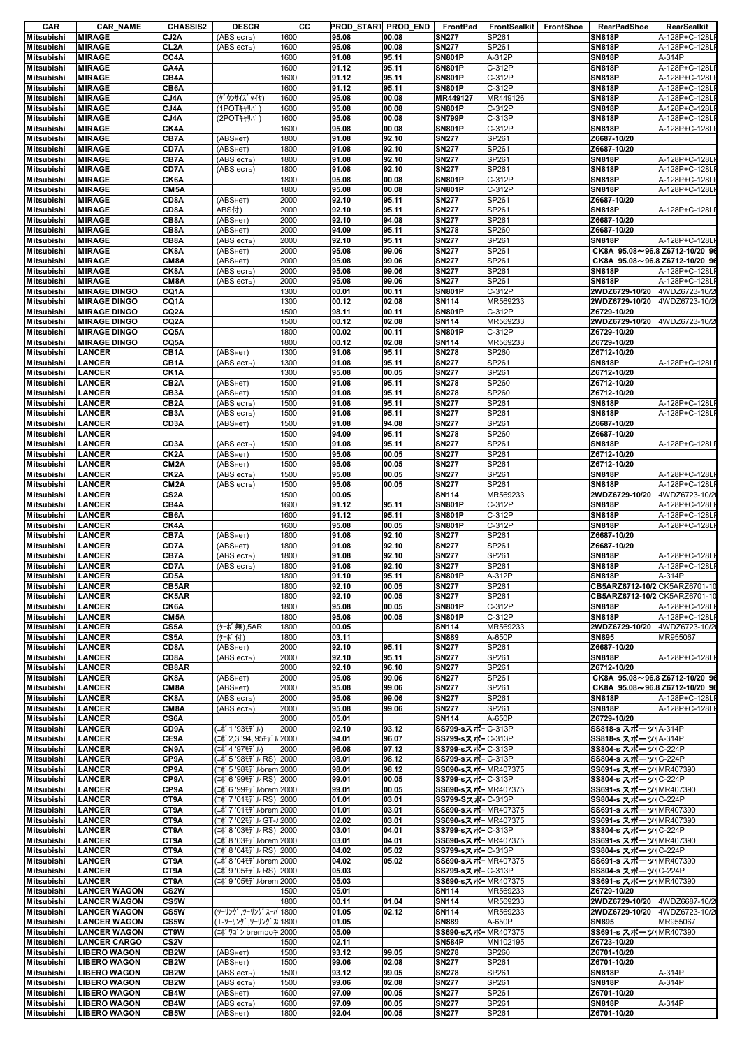| CAR               | CAR_NAME            | <b>CHASSIS2</b>   | <b>DESCR</b>               | cс   | PROD_STAR1 PROD_END |       | FrontPad                   | FrontSealkit | FrontShoe | <b>RearPadShoe</b>             | RearSealkit    |
|-------------------|---------------------|-------------------|----------------------------|------|---------------------|-------|----------------------------|--------------|-----------|--------------------------------|----------------|
| Mitsubishi        | <b>MIRAGE</b>       | CJ2A              | (ABS есть)                 | 1600 | 95.08               | 00.08 | <b>SN277</b>               | SP261        |           | <b>SN818P</b>                  | A-128P+C-128L  |
| <b>Mitsubishi</b> | <b>MIRAGE</b>       | CL <sub>2</sub> A | (ABS есть)                 | 1600 | 95.08               | 00.08 | <b>SN277</b>               | SP261        |           | <b>SN818P</b>                  | A-128P+C-128L  |
| <b>Mitsubishi</b> | <b>MIRAGE</b>       | CC4A              |                            | 1600 | 91.08               | 95.11 | <b>SN801P</b>              | A-312P       |           | <b>SN818P</b>                  | A-314P         |
| <b>Mitsubishi</b> | <b>MIRAGE</b>       | CA4A              |                            | 1600 | 91.12               | 95.11 | <b>SN801P</b>              | C-312P       |           | <b>SN818P</b>                  | A-128P+C-128L  |
| <b>Mitsubishi</b> | <b>MIRAGE</b>       | CB4A              |                            | 1600 | 91.12               | 95.11 | <b>SN801P</b>              | C-312P       |           | <b>SN818P</b>                  | A-128P+C-128L  |
| <b>Mitsubishi</b> | <b>MIRAGE</b>       | CB6A              |                            | 1600 | 91.12               | 95.11 | <b>SN801P</b>              | C-312P       |           | <b>SN818P</b>                  | A-128P+C-128L  |
| <b>Mitsubishi</b> | <b>MIRAGE</b>       | CJ4A              | (ダウンサイズタイヤ)                | 1600 | 95.08               | 00.08 | MR449127                   | MR449126     |           | <b>SN818P</b>                  | A-128P+C-128L  |
| <b>Mitsubishi</b> | <b>MIRAGE</b>       | CJ4A              | (1POTキャリパ)                 | 1600 | 95.08               | 00.08 | <b>SN801P</b>              | C-312P       |           | <b>SN818P</b>                  | A-128P+C-128L  |
| <b>Mitsubishi</b> | <b>MIRAGE</b>       | CJ4A              | (2POTキャリパ                  | 1600 | 95.08               | 00.08 | <b>SN799P</b>              | C-313P       |           | <b>SN818P</b>                  | A-128P+C-128L  |
| <b>Mitsubishi</b> | <b>MIRAGE</b>       | CK4A              |                            | 1600 | 95.08               | 00.08 | <b>SN801P</b>              | C-312P       |           | <b>SN818P</b>                  | A-128P+C-128L  |
| <b>Mitsubishi</b> | <b>MIRAGE</b>       | CB7A              | (ABSHeT)                   | 1800 | 91.08               | 92.10 | <b>SN277</b>               | SP261        |           | Z6687-10/20                    |                |
| <b>Mitsubishi</b> | <b>MIRAGE</b>       | CD7A              | (ABSHeT)                   | 1800 | 91.08               | 92.10 | <b>SN277</b>               | SP261        |           | Z6687-10/20                    |                |
| <b>Mitsubishi</b> | <b>MIRAGE</b>       | CB7A              | (ABS есть)                 | 1800 | 91.08               | 92.10 | <b>SN277</b>               | SP261        |           | <b>SN818P</b>                  | A-128P+C-128L  |
| <b>Mitsubishi</b> | <b>MIRAGE</b>       | CD7A              | (ABS есть)                 | 1800 | 91.08               | 92.10 | <b>SN277</b>               | SP261        |           | <b>SN818P</b>                  | A-128P+C-128L  |
| <b>Mitsubishi</b> | <b>MIRAGE</b>       | CK6A              |                            | 1800 | 95.08               | 00.08 | <b>SN801P</b>              | C-312P       |           | <b>SN818P</b>                  | A-128P+C-128L  |
| <b>Mitsubishi</b> | <b>MIRAGE</b>       | CM <sub>5</sub> A |                            | 1800 | 95.08               | 00.08 | <b>SN801P</b>              | C-312P       |           | <b>SN818P</b>                  | A-128P+C-128L  |
| <b>Mitsubishi</b> | <b>MIRAGE</b>       | CD8A              | (АВSнет)                   | 2000 | 92.10               | 95.11 | <b>SN277</b>               | SP261        |           | Z6687-10/20                    |                |
| <b>Mitsubishi</b> | <b>MIRAGE</b>       | CD8A              | ABS付)                      | 2000 | 92.10               | 95.11 | <b>SN277</b>               | SP261        |           | <b>SN818P</b>                  | A-128P+C-128L  |
| <b>Mitsubishi</b> | <b>MIRAGE</b>       | CB8A              | (АВSнет)                   | 2000 | 92.10               | 94.08 | <b>SN277</b>               | SP261        |           | Z6687-10/20                    |                |
| <b>Mitsubishi</b> | <b>MIRAGE</b>       | CB8A              | (АВSнет)                   | 2000 | 94.09               | 95.11 | <b>SN278</b>               | SP260        |           | Z6687-10/20                    |                |
| <b>Mitsubishi</b> | <b>MIRAGE</b>       | CB8A              | (ABS есть)                 | 2000 | 92.10               | 95.11 | <b>SN277</b>               | SP261        |           | <b>SN818P</b>                  | A-128P+C-128L  |
| <b>Mitsubishi</b> | <b>MIRAGE</b>       | CK8A              | (АВSнет)                   | 2000 | 95.08               | 99.06 | <b>SN277</b>               | SP261        |           | CK8A 95.08~96.8 Z6712-10/20 96 |                |
| <b>Mitsubishi</b> | <b>MIRAGE</b>       | CM8A              | (ABSнет)                   | 2000 | 95.08               | 99.06 | <b>SN277</b>               | SP261        |           | CK8A 95.08~96.8 Z6712-10/20 9  |                |
| <b>Mitsubishi</b> | <b>MIRAGE</b>       | CK8A              | (ABS есть)                 | 2000 | 95.08               | 99.06 | <b>SN277</b>               | SP261        |           | <b>SN818P</b>                  | A-128P+C-128L  |
| <b>Mitsubishi</b> | <b>MIRAGE</b>       | CM8A              | (ABS есть)                 | 2000 | 95.08               | 99.06 | <b>SN277</b>               | SP261        |           | <b>SN818P</b>                  | A-128P+C-128L  |
| <b>Mitsubishi</b> | <b>MIRAGE DINGO</b> | CQ1A              |                            | 1300 | 00.01               | 00.11 | <b>SN801P</b>              | C-312P       |           | 2WDZ6729-10/20                 | 4WDZ6723-10/2  |
| <b>Mitsubishi</b> | <b>MIRAGE DINGO</b> | CQ1A              |                            | 1300 | 00.12               | 02.08 | SN114                      | MR569233     |           | 2WDZ6729-10/20                 | 4WDZ6723-10/2  |
| <b>Mitsubishi</b> | <b>MIRAGE DINGO</b> | CQ2A              |                            | 1500 | 98.11               | 00.11 | <b>SN801P</b>              | C-312P       |           | Z6729-10/20                    |                |
| <b>Mitsubishi</b> | <b>MIRAGE DINGO</b> | CQ <sub>2</sub> A |                            | 1500 | 00.12               | 02.08 | <b>SN114</b>               | MR569233     |           | 2WDZ6729-10/20                 | 4WDZ6723-10/2  |
| <b>Mitsubishi</b> | <b>MIRAGE DINGO</b> | CQ5A              |                            | 1800 | 00.02               | 00.11 | <b>SN801P</b>              | C-312P       |           | Z6729-10/20                    |                |
| <b>Mitsubishi</b> | <b>MIRAGE DINGO</b> | CQ5A              |                            | 1800 | 00.12               | 02.08 | SN114                      | MR569233     |           | Z6729-10/20                    |                |
| <b>Mitsubishi</b> | <b>LANCER</b>       | CB1A              | (ABSHeT)                   | 1300 | 91.08               | 95.11 | <b>SN278</b>               | SP260        |           | Z6712-10/20                    |                |
| Mitsubishi        | <b>LANCER</b>       | CB1A              | (ABS есть)                 | 1300 | 91.08               | 95.11 | <b>SN277</b>               | SP261        |           | <b>SN818P</b>                  | A-128P+C-128L  |
| <b>Mitsubishi</b> | <b>LANCER</b>       | CK1A              |                            | 1300 | 95.08               | 00.05 | <b>SN277</b>               | SP261        |           | Z6712-10/20                    |                |
|                   |                     |                   |                            |      |                     |       |                            |              |           |                                |                |
| <b>Mitsubishi</b> | <b>LANCER</b>       | CB <sub>2</sub> A | (АВSнет)                   | 1500 | 91.08               | 95.11 | <b>SN278</b>               | SP260        |           | Z6712-10/20                    |                |
| Mitsubishi        | <b>LANCER</b>       | CB3A              | (ABSHeT)                   | 1500 | 91.08               | 95.11 | <b>SN278</b>               | SP260        |           | Z6712-10/20<br><b>SN818P</b>   |                |
| <b>Mitsubishi</b> | <b>LANCER</b>       | CB <sub>2</sub> A | (ABS есть)                 | 1500 | 91.08               | 95.11 | <b>SN277</b>               | SP261        |           |                                | A-128P+C-128L  |
| <b>Mitsubishi</b> | <b>LANCER</b>       | CB3A              | (ABS есть)                 | 1500 | 91.08               | 95.11 | <b>SN277</b>               | SP261        |           | <b>SN818P</b>                  | A-128P+C-128L  |
| <b>Mitsubishi</b> | <b>LANCER</b>       | CD <sub>3</sub> A | (АBSнет)                   | 1500 | 91.08               | 94.08 | <b>SN277</b>               | SP261        |           | Z6687-10/20                    |                |
| <b>Mitsubishi</b> | <b>LANCER</b>       |                   |                            | 1500 | 94.09               | 95.11 | <b>SN278</b>               | SP260        |           | Z6687-10/20                    |                |
| <b>Mitsubishi</b> | <b>LANCER</b>       | CD3A              | (ABS есть)                 | 1500 | 91.08               | 95.11 | <b>SN277</b>               | SP261        |           | <b>SN818P</b>                  | A-128P+C-128L  |
| <b>Mitsubishi</b> | <b>LANCER</b>       | CK <sub>2</sub> A | (АВSнет)                   | 1500 | 95.08               | 00.05 | <b>SN277</b>               | SP261        |           | Z6712-10/20                    |                |
| <b>Mitsubishi</b> | <b>LANCER</b>       | CM <sub>2</sub> A | (ABSHeT)                   | 1500 | 95.08               | 00.05 | <b>SN277</b>               | SP261        |           | Z6712-10/20                    |                |
| <b>Mitsubishi</b> | <b>LANCER</b>       | CK <sub>2</sub> A | (ABS есть)                 | 1500 | 95.08               | 00.05 | <b>SN277</b>               | SP261        |           | <b>SN818P</b>                  | A-128P+C-128L  |
| <b>Mitsubishi</b> | <b>LANCER</b>       | CM <sub>2</sub> A | (ABS есть)                 | 1500 | 95.08               | 00.05 | <b>SN277</b>               | SP261        |           | <b>SN818P</b>                  | A-128P+C-128L  |
| <b>Mitsubishi</b> | <b>LANCER</b>       | CS <sub>2</sub> A |                            | 1500 | 00.05               |       | SN114                      | MR569233     |           | 2WDZ6729-10/20                 | 4WDZ6723-10/2  |
| <b>Mitsubishi</b> | <b>LANCER</b>       | CB4A              |                            | 1600 | 91.12               | 95.11 | <b>SN801P</b>              | C-312P       |           | <b>SN818P</b>                  | A-128P+C-128L  |
| <b>Mitsubishi</b> | <b>LANCER</b>       | CB6A              |                            | 1600 | 91.12               | 95.11 | <b>SN801P</b>              | C-312P       |           | <b>SN818P</b>                  | A-128P+C-128L  |
| <b>Mitsubishi</b> | <b>LANCER</b>       | CK4A              |                            | 1600 | 95.08               | 00.05 | <b>SN801P</b>              | C-312P       |           | <b>SN818P</b>                  | A-128P+C-128L  |
| <b>Mitsubishi</b> | <b>LANCER</b>       | CB7A              | (ABSHeT)                   | 1800 | 91.08               | 92.10 | <b>SN277</b>               | SP261        |           | Z6687-10/20                    |                |
| <b>Mitsubishi</b> | <b>LANCER</b>       | CD7A              | (АВSнет)                   | 1800 | 91.08               | 92.10 | <b>SN277</b>               | SP261        |           | Z6687-10/20                    |                |
| <b>Mitsubishi</b> | <b>LANCER</b>       | CB7A              | (ABS есть)                 | 1800 | 91.08               | 92.10 | <b>SN277</b>               | SP261        |           | <b>SN818P</b>                  | A-128P+C-128L  |
| <b>Mitsubishi</b> | <b>LANCER</b>       | CD7A              | (ABS есть)                 | 1800 | 91.08               | 92.10 | <b>SN277</b>               | SP261        |           | <b>SN818P</b>                  | A-128P+C-128L  |
| <b>Mitsubishi</b> | <b>LANCER</b>       | CD5A              |                            | 1800 | 91.10               | 95.11 | <b>SN801P</b>              | A-312P       |           | <b>SN818P</b>                  | A-314P         |
| Mitsubishi        | <b>LANCER</b>       | CB5AR             |                            | 1800 | 92.10               | 00.05 | SN277                      | SP261        |           | CB5ARZ6712-10/2 CK5ARZ6701-10  |                |
| <b>Mitsubishi</b> | <b>LANCER</b>       | CK5AR             |                            | 1800 | 92.10               | 00.05 | <b>SN277</b>               | SP261        |           | CB5ARZ6712-10/2 CK5ARZ6701-10  |                |
| <b>Mitsubishi</b> | <b>LANCER</b>       | CK6A              |                            | 1800 | 95.08               | 00.05 | <b>SN801P</b>              | C-312P       |           | <b>SN818P</b>                  | A-128P+C-128LF |
| <b>Mitsubishi</b> | <b>LANCER</b>       | CM <sub>5</sub> A |                            | 1800 | 95.08               | 00.05 | <b>SN801P</b>              | C-312P       |           | <b>SN818P</b>                  | A-128P+C-128LI |
| <b>Mitsubishi</b> | <b>LANCER</b>       | CS5A              | (ターボ 無),5AR                | 1800 | 00.05               |       | SN114                      | MR569233     |           | 2WDZ6729-10/20                 | 4WDZ6723-10/2  |
| Mitsubishi        | <b>LANCER</b>       | CS5A              | (ターボ付)                     | 1800 | 03.11               |       | <b>SN889</b>               | A-650P       |           | SN895                          | MR955067       |
| Mitsubishi        | <b>LANCER</b>       | CD8A              | (ABSHeT)                   | 2000 | 92.10               | 95.11 | <b>SN277</b>               | SP261        |           | Z6687-10/20                    |                |
| <b>Mitsubishi</b> | <b>LANCER</b>       | CD8A              | (ABS есть)                 | 2000 | 92.10               | 95.11 | <b>SN277</b>               | SP261        |           | <b>SN818P</b>                  | A-128P+C-128L  |
| Mitsubishi        | <b>LANCER</b>       | CB8AR             |                            | 2000 | 92.10               | 96.10 | <b>SN277</b>               | SP261        |           | Z6712-10/20                    |                |
| Mitsubishi        | <b>LANCER</b>       | CK8A              | (ABSHeT)                   | 2000 | 95.08               | 99.06 | <b>SN277</b>               | SP261        |           | CK8A 95.08~96.8 Z6712-10/20 96 |                |
| <b>Mitsubishi</b> | <b>LANCER</b>       | CM8A              | (ABSHeT)                   | 2000 | 95.08               | 99.06 | <b>SN277</b>               | SP261        |           | CK8A 95.08~96.8 Z6712-10/20 96 |                |
| <b>Mitsubishi</b> | <b>LANCER</b>       | CK8A              | (ABS есть)                 | 2000 | 95.08               | 99.06 | <b>SN277</b>               | SP261        |           | <b>SN818P</b>                  | A-128P+C-128LI |
| Mitsubishi        | <b>LANCER</b>       | CM8A              | (ABS есть)                 | 2000 | 95.08               | 99.06 | <b>SN277</b>               | SP261        |           | <b>SN818P</b>                  | A-128P+C-128Ll |
| Mitsubishi        | <b>LANCER</b>       | CS6A              |                            | 2000 | 05.01               |       | SN114                      | A-650P       |           | Z6729-10/20                    |                |
| Mitsubishi        | <b>LANCER</b>       | CD9A              | (エボ1 '93モデル)               | 2000 | 92.10               | 93.12 | SS799-sスポ- C-313P          |              |           | SS818-s スポーツ A-314P            |                |
| <b>Mitsubishi</b> | <b>LANCER</b>       | CE9A              | (I# 2,3 '94, '95+7" N 2000 |      | 94.01               | 96.07 | <b>SS799-sスポ-</b> IC-313P  |              |           | <b>SS818-s スポーツ</b> A-314P     |                |
| Mitsubishi        | <b>LANCER</b>       | CN9A              | (エボ4 '97モデル)               | 2000 | 96.08               | 97.12 | <b>SS799-sスポ-</b> IC-313P  |              |           | SS804-s スポーツ C-224P            |                |
| Mitsubishi        | <b>LANCER</b>       | CP9A              | (I# 5'98+7' M RS) 2000     |      | 98.01               | 98.12 | SS799-sスポーC-313P           |              |           | SS804-s スポーツ C-224P            |                |
| <b>Mitsubishi</b> | <b>LANCER</b>       | CP9A              | (エボ5 '98モデルbrem 2000       |      | 98.01               | 98.12 | SS690-sスポ-MR407375         |              |           | SS691-s スポーツ MR407390          |                |
| <b>Mitsubishi</b> | <b>LANCER</b>       | CP9A              | (I# 6'99 + 5' M RS) 2000   |      | 99.01               | 00.05 | <b>SS799-sスポ-</b> IC-313P  |              |           | <b>SS804-s スポーツ</b> に-224P     |                |
| Mitsubishi        | <b>LANCER</b>       | CP9A              | (I# 6 '99+7" lbrem 2000    |      | 99.01               | 00.05 | SS690-sスポ-MR407375         |              |           | SS691-s スポーツ MR407390          |                |
| Mitsubishi        | <b>LANCER</b>       | CT9A              | (I#' 7'01 + 7' M RS) 2000  |      | 01.01               | 03.01 | <b>SS799-Sスポ-</b> IC-313P  |              |           | <b>SS804-s スポーツ</b> に-224P     |                |
| <b>Mitsubishi</b> | <b>LANCER</b>       | CT9A              | (I# 7'01 +7" Mbrem 2000    |      | 01.01               | 03.01 | SS690-sスポ-MR407375         |              |           | SS691-s スポーツ MR407390          |                |
| Mitsubishi        | <b>LANCER</b>       | CT9A              | (I#' 7'02 +7' N GT-/2000   |      | 02.02               | 03.01 | SS690-sスポ-MR407375         |              |           | SS691-s スポーツ∥MR407390          |                |
| <b>Mitsubishi</b> | <b>LANCER</b>       | CT9A              | (Iボ8 '03モデル RS)  2000      |      | 03.01               | 04.01 | <b>SS799-sスポ-</b> IC-313P  |              |           | <b>SS804-s スポーツ</b> に-224P     |                |
| <b>Mitsubishi</b> | <b>LANCER</b>       | CT9A              | (エボ8 '03モデルbrem 2000       |      | 03.01               | 04.01 | SS690-sスポ-MR407375         |              |           | SS691-s スポーツ MR407390          |                |
| Mitsubishi        | <b>LANCER</b>       | CT9A              | (I# 8'04 + 5" M RS) 2000   |      | 04.02               | 05.02 | SS799-sスポーC-313P           |              |           | SS804-s スポーツ C-224P            |                |
| Mitsubishi        | <b>LANCER</b>       | CT9A              | (エボ8 '04モデルbrem 2000       |      | 04.02               | 05.02 | SS690-sスポ- MR407375        |              |           | SS691-s スポーツ MR407390          |                |
| Mitsubishi        | <b>LANCER</b>       | CT9A              | (I# 9'05 + 5" M RS) 2000   |      | 05.03               |       | <b>SS799-sスポ-</b> IC-313P  |              |           | <b>SS804-s スポーツ</b> に-224P     |                |
| <b>Mitsubishi</b> | <b>LANCER</b>       | CT9A              | (I#' 9 '05+7' Mbrem 2000   |      | 05.03               |       | SS690-sスポ-MR407375         |              |           | SS691-s スポーツ MR407390          |                |
| Mitsubishi        | <b>LANCER WAGON</b> | CS <sub>2</sub> W |                            | 1500 | 05.01               |       | SN114                      | MR569233     |           | Z6729-10/20                    |                |
| Mitsubishi        | <b>LANCER WAGON</b> | CS5W              |                            | 1800 | 00.11               | 01.04 | SN114                      | MR569233     |           | 2WDZ6729-10/20                 | 4WDZ6687-10/2  |
| <b>Mitsubishi</b> | <b>LANCER WAGON</b> | CS5W              | (ツーリング ,ツーリング スーパ          | 1800 | 01.05               | 02.12 | SN114                      | MR569233     |           | 2WDZ6729-10/20                 | 4WDZ6723-10/2  |
| Mitsubishi        | <b>LANCER WAGON</b> | CS5W              | (T-ツーリング,ツーリングスi1800       |      | 01.05               |       | <b>SN889</b>               | A-650P       |           | <b>SN895</b>                   | MR955067       |
| <b>Mitsubishi</b> | <b>LANCER WAGON</b> | CT9W              | (I#' ワゴ ン bremboキ2000      |      | 05.09               |       | <b>SS690-sスポ-</b> MR407375 |              |           | SS691-s スポーツ MR407390          |                |
| Mitsubishi        | <b>LANCER CARGO</b> | CS <sub>2V</sub>  |                            | 1500 | 02.11               |       | <b>SN584P</b>              | MN102195     |           | Z6723-10/20                    |                |
| <b>Mitsubishi</b> | <b>LIBERO WAGON</b> | CB <sub>2</sub> W | (ABSHeT)                   | 1500 | 93.12               | 99.05 | <b>SN278</b>               | SP260        |           | Z6701-10/20                    |                |
| Mitsubishi        | <b>LIBERO WAGON</b> | CB <sub>2</sub> W | (ABSHeT)                   | 1500 | 99.06               | 02.08 | <b>SN277</b>               | SP261        |           | Z6701-10/20                    |                |
| Mitsubishi        | <b>LIBERO WAGON</b> | CB <sub>2</sub> W | (ABS есть)                 | 1500 | 93.12               | 99.05 | <b>SN278</b>               | SP261        |           | <b>SN818P</b>                  | A-314P         |
| Mitsubishi        | <b>LIBERO WAGON</b> | CB <sub>2</sub> W | (ABS есть)                 | 1500 | 99.06               | 02.08 | <b>SN277</b>               | SP261        |           | <b>SN818P</b>                  | A-314P         |
| <b>Mitsubishi</b> | <b>LIBERO WAGON</b> | CB4W              | (ABSHeT)                   | 1600 | 97.09               | 00.05 | <b>SN277</b>               | SP261        |           | Z6701-10/20                    |                |
| <b>Mitsubishi</b> | <b>LIBERO WAGON</b> | CB4W              | (ABS есть)                 | 1600 | 97.09               | 00.05 | <b>SN277</b>               | SP261        |           | <b>SN818P</b>                  | A-314P         |
| Mitsubishi        | <b>LIBERO WAGON</b> | CB5W              | (ABSHeT)                   | 1800 | 92.04               | 00.05 | <b>SN277</b>               | SP261        |           | Z6701-10/20                    |                |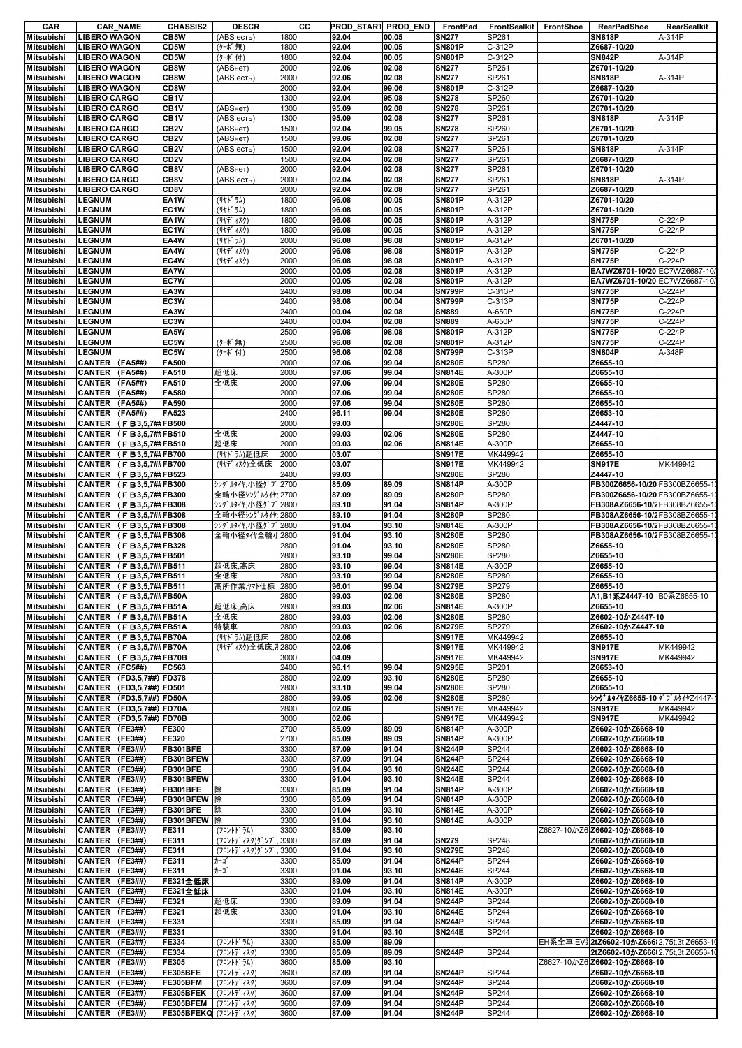| CAR               | <b>CAR_NAME</b>          | <b>CHASSIS2</b>       | <b>DESCR</b>      | cс   |       | PROD_START PROD_END | FrontPad      | <b>FrontSealkit</b> | FrontShoe | <b>RearPadShoe</b>                        | <b>RearSealkit</b> |
|-------------------|--------------------------|-----------------------|-------------------|------|-------|---------------------|---------------|---------------------|-----------|-------------------------------------------|--------------------|
| Mitsubishi        | <b>LIBERO WAGON</b>      | CB5W                  | (ABS есть)        | 1800 | 92.04 | 00.05               | <b>SN277</b>  | SP261               |           | <b>SN818P</b>                             | A-314P             |
| <b>Mitsubishi</b> | <b>LIBERO WAGON</b>      | CD5W                  | (ターボ無)            | 1800 | 92.04 | 00.05               | <b>SN801P</b> | C-312P              |           | Z6687-10/20                               |                    |
| Mitsubishi        | <b>LIBERO WAGON</b>      | CD5W                  | (ターボ付)            | 1800 | 92.04 | 00.05               | <b>SN801P</b> | C-312P              |           | <b>SN842P</b>                             | A-314P             |
| <b>Mitsubishi</b> | <b>LIBERO WAGON</b>      | CB8W                  | (АВSнет)          | 2000 | 92.06 | 02.08               | <b>SN277</b>  | SP261               |           | Z6701-10/20                               |                    |
|                   |                          |                       |                   |      |       |                     |               |                     |           |                                           |                    |
| <b>Mitsubishi</b> | <b>LIBERO WAGON</b>      | CB8W                  | (ABS есть)        | 2000 | 92.06 | 02.08               | <b>SN277</b>  | SP261               |           | <b>SN818P</b>                             | A-314P             |
| Mitsubishi        | <b>LIBERO WAGON</b>      | CD8W                  |                   | 2000 | 92.04 | 99.06               | <b>SN801P</b> | C-312P              |           | Z6687-10/20                               |                    |
| Mitsubishi        | <b>LIBERO CARGO</b>      | CB <sub>1</sub> V     |                   | 1300 | 92.04 | 95.08               | <b>SN278</b>  | SP260               |           | Z6701-10/20                               |                    |
| <b>Mitsubishi</b> | <b>LIBERO CARGO</b>      | CB <sub>1</sub> V     | (ABSHeT)          | 1300 | 95.09 | 02.08               | <b>SN278</b>  | SP261               |           | Z6701-10/20                               |                    |
| <b>Mitsubishi</b> | <b>LIBERO CARGO</b>      | CB <sub>1</sub> V     | (ABS есть)        | 1300 | 95.09 | 02.08               | <b>SN277</b>  | SP261               |           | <b>SN818P</b>                             | A-314P             |
| <b>Mitsubishi</b> | <b>LIBERO CARGO</b>      | CB <sub>2V</sub>      | (АВSнет)          | 1500 | 92.04 | 99.05               | <b>SN278</b>  | SP260               |           | Z6701-10/20                               |                    |
| Mitsubishi        | <b>LIBERO CARGO</b>      | CB <sub>2V</sub>      | (ABSHeT)          | 1500 | 99.06 | 02.08               | <b>SN277</b>  | SP261               |           | Z6701-10/20                               |                    |
|                   |                          |                       |                   |      |       |                     |               |                     |           |                                           |                    |
| Mitsubishi        | <b>LIBERO CARGO</b>      | CB <sub>2V</sub>      | (ABS есть)        | 1500 | 92.04 | 02.08               | <b>SN277</b>  | SP261               |           | <b>SN818P</b>                             | A-314P             |
| <b>Mitsubishi</b> | <b>LIBERO CARGO</b>      | CD <sub>2V</sub>      |                   | 1500 | 92.04 | 02.08               | <b>SN277</b>  | SP261               |           | Z6687-10/20                               |                    |
| Mitsubishi        | <b>LIBERO CARGO</b>      | CB8V                  | (ABSHeT)          | 2000 | 92.04 | 02.08               | <b>SN277</b>  | SP261               |           | Z6701-10/20                               |                    |
| Mitsubishi        | <b>LIBERO CARGO</b>      | CB8V                  | (ABS есть)        | 2000 | 92.04 | 02.08               | <b>SN277</b>  | SP261               |           | <b>SN818P</b>                             | A-314P             |
| <b>Mitsubishi</b> | <b>LIBERO CARGO</b>      | CD8V                  |                   | 2000 | 92.04 | 02.08               | <b>SN277</b>  | SP261               |           | Z6687-10/20                               |                    |
| <b>Mitsubishi</b> | <b>LEGNUM</b>            | EA <sub>1</sub> W     | (リヤト・ラム)          | 1800 | 96.08 | 00.05               | <b>SN801P</b> | A-312P              |           | Z6701-10/20                               |                    |
|                   | <b>LEGNUM</b>            | EC1W                  | (リヤト・ラム)          | 1800 |       | 00.05               | <b>SN801P</b> | A-312P              |           | Z6701-10/20                               |                    |
| <b>Mitsubishi</b> |                          |                       |                   |      | 96.08 |                     |               |                     |           |                                           |                    |
| <b>Mitsubishi</b> | <b>LEGNUM</b>            | EA <sub>1</sub> W     | (リヤデ ィスク)         | 1800 | 96.08 | 00.05               | <b>SN801P</b> | A-312P              |           | <b>SN775P</b>                             | C-224P             |
| <b>Mitsubishi</b> | <b>LEGNUM</b>            | EC1W                  | (リヤデ゛ィスク)         | 1800 | 96.08 | 00.05               | <b>SN801P</b> | A-312P              |           | <b>SN775P</b>                             | C-224P             |
| <b>Mitsubishi</b> | <b>LEGNUM</b>            | EA4W                  | (リヤト ラム)          | 2000 | 96.08 | 98.08               | <b>SN801P</b> | A-312P              |           | Z6701-10/20                               |                    |
| Mitsubishi        | <b>LEGNUM</b>            | EA4W                  | (リヤデ゛ィスク)         | 2000 | 96.08 | 98.08               | <b>SN801P</b> | A-312P              |           | <b>SN775P</b>                             | C-224P             |
| <b>Mitsubishi</b> | <b>LEGNUM</b>            | EC4W                  | (リヤデ゛ィスク)         | 2000 | 96.08 | 98.08               | <b>SN801P</b> | A-312P              |           | <b>SN775P</b>                             | C-224P             |
| <b>Mitsubishi</b> | <b>LEGNUM</b>            | EA7W                  |                   | 2000 | 00.05 | 02.08               | <b>SN801P</b> | A-312P              |           | EA7WZ6701-10/20 EC7WZ6687-10/             |                    |
|                   |                          |                       |                   |      |       |                     |               |                     |           |                                           |                    |
| Mitsubishi        | <b>LEGNUM</b>            | EC7W                  |                   | 2000 | 00.05 | 02.08               | <b>SN801P</b> | A-312P              |           | EA7WZ6701-10/20 EC7WZ6687-10/             |                    |
| <b>Mitsubishi</b> | <b>LEGNUM</b>            | EA3W                  |                   | 2400 | 98.08 | 00.04               | <b>SN799P</b> | C-313P              |           | <b>SN775P</b>                             | C-224P             |
| <b>Mitsubishi</b> | <b>LEGNUM</b>            | EC3W                  |                   | 2400 | 98.08 | 00.04               | <b>SN799P</b> | C-313P              |           | <b>SN775P</b>                             | C-224P             |
| <b>Mitsubishi</b> | <b>LEGNUM</b>            | EA3W                  |                   | 2400 | 00.04 | 02.08               | <b>SN889</b>  | A-650P              |           | <b>SN775P</b>                             | C-224P             |
| <b>Mitsubishi</b> | <b>LEGNUM</b>            | EC3W                  |                   | 2400 | 00.04 | 02.08               | <b>SN889</b>  | A-650P              |           | <b>SN775P</b>                             | C-224P             |
| <b>Mitsubishi</b> | <b>LEGNUM</b>            | EA5W                  |                   | 2500 | 96.08 | 98.08               | <b>SN801P</b> | A-312P              |           | <b>SN775P</b>                             | C-224P             |
|                   |                          |                       |                   |      |       |                     |               |                     |           |                                           |                    |
| <b>Mitsubishi</b> | <b>LEGNUM</b>            | EC5W                  | (ターボ無)            | 2500 | 96.08 | 02.08               | <b>SN801P</b> | A-312P              |           | <b>SN775P</b>                             | C-224P             |
| Mitsubishi        | <b>LEGNUM</b>            | EC5W                  | (ターボ付)            | 2500 | 96.08 | 02.08               | <b>SN799P</b> | C-313P              |           | <b>SN804P</b>                             | A-348P             |
| <b>Mitsubishi</b> | CANTER (FA5##)           | <b>FA500</b>          |                   | 2000 | 97.06 | 99.04               | <b>SN280E</b> | SP280               |           | Z6655-10                                  |                    |
| <b>Mitsubishi</b> | CANTER (FA5##)           | FA510                 | 超低床               | 2000 | 97.06 | 99.04               | <b>SN814E</b> | A-300P              |           | Z6655-10                                  |                    |
| <b>Mitsubishi</b> | CANTER (FA5##)           | <b>FA510</b>          | 全低床               | 2000 | 97.06 | 99.04               | <b>SN280E</b> | SP280               |           | Z6655-10                                  |                    |
| <b>Mitsubishi</b> | CANTER (FA5##)           | <b>FA580</b>          |                   | 2000 | 97.06 | 99.04               | <b>SN280E</b> | SP280               |           | Z6655-10                                  |                    |
|                   |                          |                       |                   |      |       |                     |               |                     |           |                                           |                    |
| <b>Mitsubishi</b> | CANTER (FA5##)           | FA590                 |                   | 2000 | 97.06 | 99.04               | <b>SN280E</b> | SP280               |           | Z6655-10                                  |                    |
| <b>Mitsubishi</b> | CANTER (FA5##)           | FA523                 |                   | 2400 | 96.11 | 99.04               | <b>SN280E</b> | SP280               |           | Z6653-10                                  |                    |
| <b>Mitsubishi</b> | CANTER (FB3,5,7##FB500   |                       |                   | 2000 | 99.03 |                     | <b>SN280E</b> | SP280               |           | Z4447-10                                  |                    |
| <b>Mitsubishi</b> | CANTER (FB3,5,7##FB510   |                       | 全低床               | 2000 | 99.03 | 02.06               | <b>SN280E</b> | SP280               |           | Z4447-10                                  |                    |
| <b>Mitsubishi</b> | CANTER (FB3,5,7##FB510   |                       | 超低床               | 2000 | 99.03 | 02.06               | <b>SN814E</b> | A-300P              |           | Z6655-10                                  |                    |
| <b>Mitsubishi</b> | CANTER (FB3,5,7##FB700   |                       | (リヤドラム)超低床        | 2000 | 03.07 |                     | <b>SN917E</b> | MK449942            |           | Z6655-10                                  |                    |
|                   |                          |                       |                   |      |       |                     |               | MK449942            |           | <b>SN917E</b>                             | MK449942           |
| <b>Mitsubishi</b> | CANTER (FB3,5,7##FB700   |                       | (リヤディスク)全低床       | 2000 | 03.07 |                     | <b>SN917E</b> |                     |           |                                           |                    |
| <b>Mitsubishi</b> | CANTER (FB3,5,7##FB523   |                       |                   | 2400 | 99.03 |                     | <b>SN280E</b> | SP280               |           | Z4447-10                                  |                    |
| <b>Mitsubishi</b> | CANTER (FB3,5,7##FB300   |                       | シングルタイヤ,小径ダブ2700  |      | 85.09 | 89.09               | <b>SN814P</b> | A-300P              |           | FB300Z6656-10/20 FB300BZ6655-1            |                    |
| <b>Mitsubishi</b> | CANTER (FB3,5,7##FB300   |                       | 全輪小径シングルタイヤ: 2700 |      | 87.09 | 89.09               | <b>SN280P</b> | SP280               |           | FB300Z6656-10/20 FB300BZ6655-1            |                    |
| <b>Mitsubishi</b> | CANTER (FB3,5,7##FB308   |                       | シングルタイヤ,小径ダブ2800  |      | 89.10 | 91.04               | <b>SN814P</b> | A-300P              |           | FB308AZ6656-10/2 FB308BZ6655-1            |                    |
| <b>Mitsubishi</b> | CANTER (FB3,5,7##FB308   |                       | 全輪小径シングルタイヤ: 2800 |      | 89.10 | 91.04               | <b>SN280P</b> | SP280               |           | FB308AZ6656-10/2 FB308BZ6655-1            |                    |
|                   |                          |                       |                   |      |       |                     |               |                     |           |                                           |                    |
| <b>Mitsubishi</b> | CANTER (FB3,5,7##FB308   |                       | シングルタイヤ,小径ダブ2800  |      | 91.04 | 93.10               | <b>SN814E</b> | A-300P              |           | FB308AZ6656-10/2 FB308BZ6655-1            |                    |
| <b>Mitsubishi</b> | CANTER (FB3,5,7##FB308   |                       | 全輪小径タイヤ全輪小2800    |      | 91.04 | 93.10               | <b>SN280E</b> | SP280               |           | FB308AZ6656-10/2 FB308BZ6655-1            |                    |
| <b>Mitsubishi</b> | CANTER (FB3,5,7##FB328   |                       |                   | 2800 | 91.04 | 93.10               | <b>SN280E</b> | SP280               |           | Z6655-10                                  |                    |
| <b>Mitsubishi</b> | CANTER (FB3,5,7##FB501   |                       |                   | 2800 | 93.10 | 99.04               | <b>SN280E</b> | SP280               |           | Z6655-10                                  |                    |
| <b>Mitsubishi</b> | CANTER (FB3,5,7##FB511   |                       | 超低床,高床            | 2800 | 93.10 | 99.04               | <b>SN814E</b> | A-300P              |           | Z6655-10                                  |                    |
| <b>Mitsubishi</b> | CANTER (FB3,5,7##FB511   |                       | 全低床               | 2800 | 93.10 | 99.04               | <b>SN280E</b> | SP280               |           | Z6655-10                                  |                    |
|                   |                          |                       |                   |      |       |                     |               |                     |           |                                           |                    |
| <b>Mitsubishi</b> | CANTER (FB3,5,7##FB511   |                       | 高所作業,ヤマト仕様 2800   |      | 96.01 | 99.04               | <b>SN279E</b> | SP279               |           | Z6655-10                                  |                    |
| <b>Mitsubishi</b> | CANTER (FB3,5,7##FB50A   |                       |                   | 2800 | 99.03 | 02.06               | <b>SN280E</b> | SP280               |           | A1, B1系Z4447-10 B0系Z6655-10               |                    |
| <b>Mitsubishi</b> | CANTER (FB3,5,7##FB51A   |                       | 超低床,高床            | 2800 | 99.03 | 02.06               | <b>SN814E</b> | A-300P              |           | Z6655-10                                  |                    |
| <b>Mitsubishi</b> | CANTER (FB3,5,7##FB51A   |                       | 全低床               | 2800 | 99.03 | 02.06               | <b>SN280E</b> | SP280               |           | Z6602-10かZ4447-10                         |                    |
| Mitsubishi        | CANTER (FB3,5,7##FB51A   |                       | 特装車               | 2800 | 99.03 | 02.06               | <b>SN279E</b> | SP279               |           | Z6602-10かZ4447-10                         |                    |
| <b>Mitsubishi</b> | CANTER (FB3,5,7##FB70A   |                       | (リヤドラム)超低床        | 2800 | 02.06 |                     | <b>SN917E</b> | MK449942            |           | Z6655-10                                  |                    |
|                   |                          |                       |                   |      |       |                     |               |                     |           |                                           |                    |
| Mitsubishi        | CANTER (FB3,5,7##FB70A   |                       | (リヤディスク)全低床,i2800 |      | 02.06 |                     | <b>SN917E</b> | MK449942            |           | <b>SN917E</b>                             | MK449942           |
| Mitsubishi        | CANTER (FB3,5,7##FB70B   |                       |                   | 3000 | 04.09 |                     | <b>SN917E</b> | MK449942            |           | <b>SN917E</b>                             | MK449942           |
| Mitsubishi        | CANTER (FC5##)           | FC563                 |                   | 2400 | 96.11 | 99.04               | <b>SN295E</b> | SP201               |           | Z6653-10                                  |                    |
| <b>Mitsubishi</b> | CANTER (FD3,5,7##) FD378 |                       |                   | 2800 | 92.09 | 93.10               | <b>SN280E</b> | SP280               |           | Z6655-10                                  |                    |
| Mitsubishi        | CANTER (FD3.5.7##) FD501 |                       |                   | 2800 | 93.10 | 99.04               | <b>SN280E</b> | SP280               |           | Z6655-10                                  |                    |
| Mitsubishi        | CANTER (FD3,5,7##) FD50A |                       |                   | 2800 | 99.05 | 02.06               | <b>SN280E</b> | SP280               |           | <b>シングルタイヤZ6655-10</b>  ダブルタイヤZ4447-      |                    |
| Mitsubishi        | CANTER (FD3,5,7##) FD70A |                       |                   | 2800 | 02.06 |                     | <b>SN917E</b> | MK449942            |           | <b>SN917E</b>                             | MK449942           |
|                   |                          |                       |                   |      |       |                     |               |                     |           |                                           |                    |
| <b>Mitsubishi</b> | CANTER (FD3,5,7##) FD70B |                       |                   | 3000 | 02.06 |                     | <b>SN917E</b> | MK449942            |           | <b>SN917E</b>                             | MK449942           |
| Mitsubishi        | CANTER (FE3##)           | <b>FE300</b>          |                   | 2700 | 85.09 | 89.09               | <b>SN814P</b> | A-300P              |           | Z6602-10かZ6668-10                         |                    |
| Mitsubishi        | CANTER (FE3##)           | <b>FE320</b>          |                   | 2700 | 85.09 | 89.09               | <b>SN814P</b> | A-300P              |           | Z6602-10かZ6668-10                         |                    |
| Mitsubishi        | CANTER (FE3##)           | FB301BFE              |                   | 3300 | 87.09 | 91.04               | <b>SN244P</b> | SP244               |           | Z6602-10かZ6668-10                         |                    |
| Mitsubishi        | CANTER (FE3##)           | FB301BFEW             |                   | 3300 | 87.09 | 91.04               | <b>SN244P</b> | SP244               |           | Z6602-10かZ6668-10                         |                    |
| Mitsubishi        | CANTER (FE3##)           | FB301BFE              |                   | 3300 | 91.04 | 93.10               | <b>SN244E</b> | SP244               |           | Z6602-10かZ6668-10                         |                    |
| Mitsubishi        | CANTER (FE3##)           | FB301BFEW             |                   | 3300 | 91.04 | 93.10               | <b>SN244E</b> | SP244               |           | Z6602-10かZ6668-10                         |                    |
|                   |                          |                       |                   |      |       |                     |               |                     |           |                                           |                    |
| Mitsubishi        | CANTER (FE3##)           | FB301BFE              | 除                 | 3300 | 85.09 | 91.04               | <b>SN814P</b> | A-300P              |           | Z6602-10かZ6668-10                         |                    |
| <b>Mitsubishi</b> | CANTER (FE3##)           | FB301BFEW             | 除                 | 3300 | 85.09 | 91.04               | <b>SN814P</b> | A-300P              |           | Z6602-10かZ6668-10                         |                    |
| Mitsubishi        | CANTER (FE3##)           | FB301BFE              | 除                 | 3300 | 91.04 | 93.10               | <b>SN814E</b> | A-300P              |           | Z6602-10かZ6668-10                         |                    |
| Mitsubishi        | CANTER (FE3##)           | FB301BFEW             | 除                 | 3300 | 91.04 | 93.10               | <b>SN814E</b> | A-300P              |           | Z6602-10かZ6668-10                         |                    |
| <b>Mitsubishi</b> | CANTER (FE3##)           | <b>FE311</b>          | (フロントト・ラム)        | 3300 | 85.09 | 93.10               |               |                     |           | Z6627-10かZ6 Z6602-10かZ6668-10             |                    |
| Mitsubishi        | CANTER (FE3##)           | FE311                 | (フロントデ ィスク)ダ ンプ   | 3300 | 87.09 | 91.04               | <b>SN279</b>  | SP248               |           | Z6602-10かZ6668-10                         |                    |
|                   |                          |                       |                   |      |       |                     |               |                     |           |                                           |                    |
| Mitsubishi        | CANTER (FE3##)           | FE311                 | (フロントデ ィスク)ダ ンプ   | 3300 | 91.04 | 93.10               | <b>SN279E</b> | SP248               |           | Z6602-10かZ6668-10                         |                    |
| <b>Mitsubishi</b> | CANTER (FE3##)           | FE311                 | カーゴ               | 3300 | 85.09 | 91.04               | <b>SN244P</b> | SP244               |           | Z6602-10かZ6668-10                         |                    |
| <b>Mitsubishi</b> | CANTER (FE3##)           | FE311                 | カーゴ               | 3300 | 91.04 | 93.10               | <b>SN244E</b> | SP244               |           | Z6602-10かZ6668-10                         |                    |
| Mitsubishi        | CANTER (FE3##)           | <b>FE321全低床</b>       |                   | 3300 | 89.09 | 91.04               | <b>SN814P</b> | A-300P              |           | Z6602-10かZ6668-10                         |                    |
| <b>Mitsubishi</b> | CANTER (FE3##)           | <b>FE321全低床</b>       |                   | 3300 | 91.04 | 93.10               | <b>SN814E</b> | A-300P              |           | Z6602-10かZ6668-10                         |                    |
| Mitsubishi        | CANTER (FE3##)           | FE321                 | 超低床               | 3300 | 89.09 | 91.04               | <b>SN244P</b> | SP244               |           | Z6602-10かZ6668-10                         |                    |
|                   |                          |                       |                   |      |       |                     |               |                     |           |                                           |                    |
| <b>Mitsubishi</b> | CANTER (FE3##)           | FE321                 | 超低床               | 3300 | 91.04 | 93.10               | <b>SN244E</b> | SP244               |           | Z6602-10かZ6668-10                         |                    |
| <b>Mitsubishi</b> | CANTER (FE3##)           | FE331                 |                   | 3300 | 85.09 | 91.04               | <b>SN244P</b> | SP244               |           | Z6602-10かZ6668-10                         |                    |
| Mitsubishi        | CANTER (FE3##)           | FE331                 |                   | 3300 | 91.04 | 93.10               | <b>SN244E</b> | SP244               |           | Z6602-10かZ6668-10                         |                    |
| <b>Mitsubishi</b> | CANTER (FE3##)           | FE334                 | (フロントト゛ラム)        | 3300 | 85.09 | 89.09               |               |                     |           | EH系全車,EV32tZ6602-10かZ666 2.75t,3t Z6653-1 |                    |
| Mitsubishi        | CANTER (FE3##)           | FE334                 | (フロントデ ィスク)       | 3300 | 85.09 | 89.09               | <b>SN244P</b> | SP244               |           | 2tZ6602-10かZ666 2.75t,3t Z6653-1          |                    |
|                   |                          |                       |                   |      | 85.09 |                     |               |                     |           |                                           |                    |
| Mitsubishi        | CANTER (FE3##)           | FE305                 | (フロントドラム)         | 3600 |       | 93.10               |               |                     |           | Z6627-10かZ6 Z6602-10かZ6668-10             |                    |
| <b>Mitsubishi</b> | CANTER (FE3##)           | FE305BFE              | (フロントデ ィスク)       | 3600 | 87.09 | 91.04               | <b>SN244P</b> | SP244               |           | Z6602-10かZ6668-10                         |                    |
| Mitsubishi        | CANTER (FE3##)           | FE305BFM              | (フロントデ ィスク)       | 3600 | 87.09 | 91.04               | <b>SN244P</b> | SP244               |           | Z6602-10かZ6668-10                         |                    |
| <b>Mitsubishi</b> | CANTER (FE3##)           | FE305BFEK             | (フロントデ ィスク)       | 3600 | 87.09 | 91.04               | <b>SN244P</b> | SP244               |           | Z6602-10かZ6668-10                         |                    |
| <b>Mitsubishi</b> | CANTER (FE3##)           | FE305BFEM             | (フロントデ ィスク)       | 3600 | 87.09 | 91.04               | <b>SN244P</b> | SP244               |           | Z6602-10かZ6668-10                         |                    |
| <b>Mitsubishi</b> | CANTER (FE3##)           | FE305BFEKQ (フロントディスク) |                   | 3600 | 87.09 | 91.04               | <b>SN244P</b> | SP244               |           | Z6602-10かZ6668-10                         |                    |
|                   |                          |                       |                   |      |       |                     |               |                     |           |                                           |                    |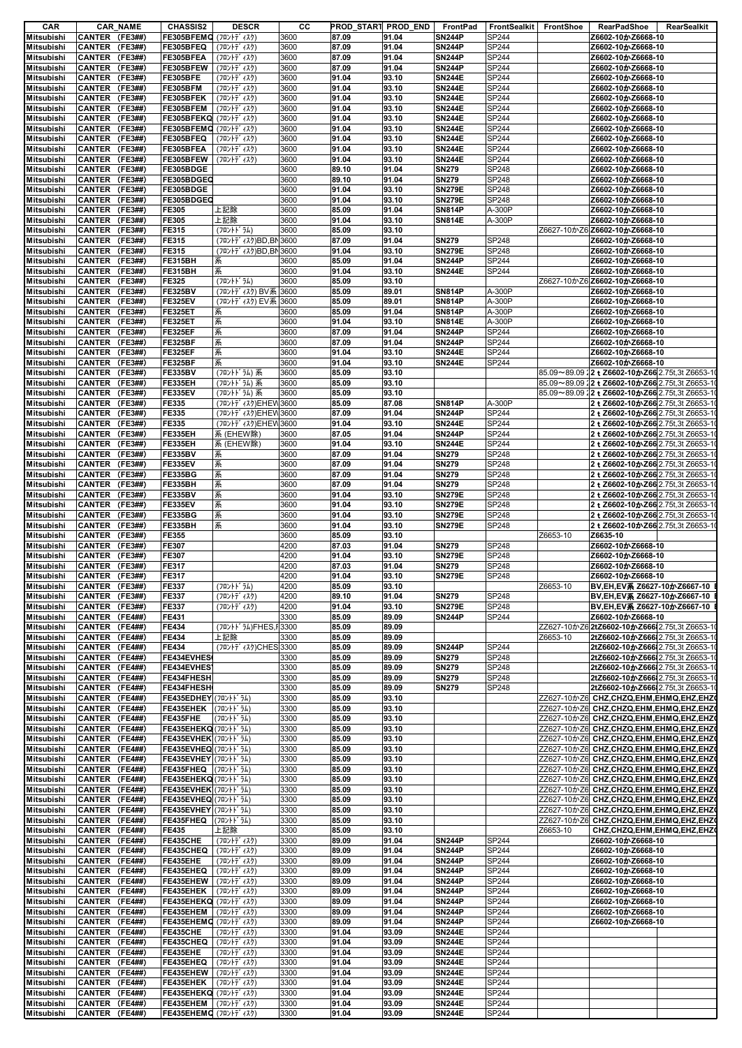| CAR                                                                                                                                                                                                            |                                  | <b>CAR_NAME</b> | <b>CHASSIS2</b>                                 | <b>DESCR</b>                               | cс           | PROD_START PROD_END FrontPad |                |                                | FrontSealkit FrontShoe |          | RearPadShoe<br>RearSealkit                                                          |
|----------------------------------------------------------------------------------------------------------------------------------------------------------------------------------------------------------------|----------------------------------|-----------------|-------------------------------------------------|--------------------------------------------|--------------|------------------------------|----------------|--------------------------------|------------------------|----------|-------------------------------------------------------------------------------------|
| <b>Mitsubishi</b>                                                                                                                                                                                              | CANTER (FE3##)                   |                 | FE305BFEMG (フロントディスク)                           |                                            | 3600         | 87.09                        | 91.04          | <b>SN244P</b>                  | <b>SP244</b>           |          | Z6602-10かZ6668-10                                                                   |
| <b>Mitsubishi</b>                                                                                                                                                                                              | CANTER (FE3##)                   |                 | FE305BFEQ                                       | (フロントデ ィスク)                                | 3600         | 87.09                        | 91.04          | <b>SN244P</b>                  | SP244                  |          | Z6602-10かZ6668-10                                                                   |
| <b>Mitsubishi</b>                                                                                                                                                                                              | CANTER (FE3##)                   |                 | FE305BFEA                                       | (フロントディスク)                                 | 3600         | 87.09                        | 91.04          | <b>SN244P</b>                  | <b>SP244</b>           |          | Z6602-10かZ6668-10                                                                   |
| <b>Mitsubishi</b>                                                                                                                                                                                              | CANTER (FE3##)                   |                 | FE305BFEW                                       | (フロントデ ィスク)                                | 3600         | 87.09                        | 91.04          | <b>SN244P</b>                  | <b>SP244</b>           |          | Z6602-10かZ6668-10                                                                   |
| <b>Mitsubishi</b>                                                                                                                                                                                              | CANTER (FE3##)                   |                 | FE305BFE                                        | (フロントデ ィスク)                                | 3600         | 91.04                        | 93.10          | <b>SN244E</b>                  | SP244                  |          | Z6602-10かZ6668-10                                                                   |
| <b>Mitsubishi</b>                                                                                                                                                                                              | CANTER (FE3##)                   |                 | FE305BFM                                        | (フロントデ ィスク)                                | 3600         | 91.04                        | 93.10          | <b>SN244E</b>                  | SP244                  |          | Z6602-10かZ6668-10                                                                   |
| Mitsubishi                                                                                                                                                                                                     | CANTER (FE3##)                   |                 | FE305BFEK                                       | (フロントデ ィスク)                                | 3600         | 91.04                        | 93.10          | <b>SN244E</b>                  | <b>SP244</b>           |          | Z6602-10かZ6668-10                                                                   |
| <b>Mitsubishi</b>                                                                                                                                                                                              | CANTER (FE3##)                   |                 | FE305BFEM (フロントディスク)                            |                                            | 3600         | 91.04                        | 93.10          | <b>SN244E</b>                  | <b>SP244</b>           |          | Z6602-10かZ6668-10                                                                   |
| <b>Mitsubishi</b>                                                                                                                                                                                              | CANTER (FE3##)                   |                 | FE305BFEKQ (フロントディスク)                           |                                            | 3600         | 91.04                        | 93.10          | <b>SN244E</b>                  | SP244                  |          | Z6602-10かZ6668-10                                                                   |
| <b>Mitsubishi</b>                                                                                                                                                                                              | CANTER (FE3##)                   |                 | FE305BFEMG (フロントディスク)                           |                                            | 3600         | 91.04                        | 93.10          | <b>SN244E</b>                  | <b>SP244</b>           |          | Z6602-10かZ6668-10                                                                   |
| <b>Mitsubishi</b>                                                                                                                                                                                              | CANTER (FE3##)                   |                 | FE305BFEQ (フロントディスク)                            |                                            | 3600         | 91.04                        | 93.10          | <b>SN244E</b>                  | SP244                  |          | Z6602-10かZ6668-10                                                                   |
| <b>Mitsubishi</b>                                                                                                                                                                                              | CANTER (FE3##)                   |                 | FE305BFEA                                       | (フロントデ ィスク)                                | 3600         | 91.04                        | 93.10          | <b>SN244E</b>                  | <b>SP244</b>           |          | Z6602-10かZ6668-10                                                                   |
| <b>Mitsubishi</b>                                                                                                                                                                                              | CANTER (FE3##)                   |                 | FE305BFEW (フロントディスク)                            |                                            | 3600         | 91.04                        | 93.10          | <b>SN244E</b>                  | <b>SP244</b>           |          | Z6602-10かZ6668-10                                                                   |
| <b>Mitsubishi</b>                                                                                                                                                                                              | CANTER (FE3##)                   |                 | FE305BDGE                                       |                                            | 3600         | 89.10                        | 91.04          | <b>SN279</b>                   | <b>SP248</b>           |          | Z6602-10かZ6668-10                                                                   |
| <b>Mitsubishi</b>                                                                                                                                                                                              | CANTER (FE3##)                   |                 | FE305BDGEC                                      |                                            | 3600         | 89.10                        | 91.04          | <b>SN279</b>                   | <b>SP248</b>           |          | Z6602-10かZ6668-10                                                                   |
| <b>Mitsubishi</b>                                                                                                                                                                                              | CANTER (FE3##)                   |                 | FE305BDGE                                       |                                            | 3600         | 91.04                        | 93.10          | <b>SN279E</b>                  | SP248                  |          | Z6602-10かZ6668-10                                                                   |
| <b>Mitsubishi</b>                                                                                                                                                                                              | CANTER (FE3##)                   |                 | FE305BDGEC                                      |                                            | 3600         | 91.04                        | 93.10          | <b>SN279E</b>                  | <b>SP248</b>           |          | Z6602-10かZ6668-10                                                                   |
| <b>Mitsubishi</b>                                                                                                                                                                                              | CANTER (FE3##)                   |                 | FE305                                           | 上記除                                        | 3600         | 85.09                        | 91.04          | <b>SN814P</b>                  | A-300P                 |          | Z6602-10かZ6668-10                                                                   |
| <b>Mitsubishi</b>                                                                                                                                                                                              | CANTER (FE3##)                   |                 | FE305                                           | 上記除                                        | 3600         | 91.04                        | 93.10          | <b>SN814E</b>                  | A-300P                 |          | Z6602-10かZ6668-10                                                                   |
| <b>Mitsubishi</b>                                                                                                                                                                                              | CANTER (FE3##)                   |                 | FE315                                           | (フロントト゛ラム)                                 | 3600         | 85.09<br>87.09               | 93.10<br>91.04 |                                | <b>SP248</b>           |          | Z6627-10かZ6 Z6602-10かZ6668-10                                                       |
| <b>Mitsubishi</b>                                                                                                                                                                                              | CANTER (FE3##)<br>CANTER (FE3##) |                 | FE315<br>FE315                                  | (フロントディスク)BD,BN3600<br>(フロントディスク)BD,BN3600 |              | 91.04                        | 93.10          | <b>SN279</b><br><b>SN279E</b>  | <b>SP248</b>           |          | Z6602-10かZ6668-10<br>Z6602-10かZ6668-10                                              |
| <b>Mitsubishi</b><br><b>Mitsubishi</b>                                                                                                                                                                         | CANTER (FE3##)                   |                 | <b>FE315BH</b>                                  | 系                                          | 3600         | 85.09                        | 91.04          | <b>SN244P</b>                  | <b>SP244</b>           |          | Z6602-10かZ6668-10                                                                   |
| <b>Mitsubishi</b>                                                                                                                                                                                              | CANTER (FE3##)                   |                 | <b>FE315BH</b>                                  | 系                                          | 3600         | 91.04                        | 93.10          | <b>SN244E</b>                  | <b>SP244</b>           |          | Z6602-10かZ6668-10                                                                   |
| <b>Mitsubishi</b>                                                                                                                                                                                              | CANTER (FE3##)                   |                 | FE325                                           | (フロントドラム)                                  | 3600         | 85.09                        | 93.10          |                                |                        |          | Z6627-10かZ6 Z6602-10かZ6668-10                                                       |
| <b>Mitsubishi</b>                                                                                                                                                                                              | CANTER (FE3##)                   |                 | <b>FE325BV</b>                                  | (フロントディスク) BV系 3600                        |              | 85.09                        | 89.01          | <b>SN814P</b>                  | A-300P                 |          | Z6602-10かZ6668-10                                                                   |
| <b>Mitsubishi</b>                                                                                                                                                                                              | CANTER (FE3##)                   |                 | <b>FE325EV</b>                                  | (フロントディスク) EV系 3600                        |              | 85.09                        | 89.01          | <b>SN814P</b>                  | A-300P                 |          | Z6602-10かZ6668-10                                                                   |
| <b>Mitsubishi</b>                                                                                                                                                                                              | CANTER (FE3##)                   |                 | FE325ET                                         | 系                                          | 3600         | 85.09                        | 91.04          | <b>SN814P</b>                  | A-300P                 |          | Z6602-10かZ6668-10                                                                   |
| <b>Mitsubishi</b>                                                                                                                                                                                              | CANTER (FE3##)                   |                 | <b>FE325ET</b>                                  | 系                                          | 3600         | 91.04                        | 93.10          | <b>SN814E</b>                  | A-300P                 |          | Z6602-10かZ6668-10                                                                   |
| <b>Mitsubishi</b>                                                                                                                                                                                              | CANTER (FE3##)                   |                 | FE325EF                                         | 系                                          | 3600         | 87.09                        | 91.04          | <b>SN244P</b>                  | SP244                  |          | Z6602-10かZ6668-10                                                                   |
| <b>Mitsubishi</b>                                                                                                                                                                                              | CANTER (FE3##)                   |                 | <b>FE325BF</b>                                  | 系                                          | 3600         | 87.09                        | 91.04          | <b>SN244P</b>                  | SP244                  |          | Z6602-10かZ6668-10                                                                   |
| <b>Mitsubishi</b>                                                                                                                                                                                              | CANTER (FE3##)                   |                 | <b>FE325EF</b>                                  | 系                                          | 3600         | 91.04                        | 93.10          | <b>SN244E</b>                  | <b>SP244</b>           |          | Z6602-10かZ6668-10                                                                   |
| <b>Mitsubishi</b>                                                                                                                                                                                              | CANTER (FE3##)                   |                 | <b>FE325BF</b>                                  | 系                                          | 3600         | 91.04                        | 93.10          | <b>SN244E</b>                  | <b>SP244</b>           |          | Z6602-10かZ6668-10                                                                   |
| <b>Mitsubishi</b>                                                                                                                                                                                              | CANTER (FE3##)                   |                 | <b>FE335BV</b>                                  | (フロントドラム)系                                 | 3600         | 85.09                        | 93.10          |                                |                        |          | 85.09~89.09 22 t Z6602-10かZ66 2.75t,3t Z6653-1                                      |
|                                                                                                                                                                                                                | CANTER (FE3##)                   |                 | FE335EH                                         | (フロントドラム)系                                 | 3600         | 85.09                        | 93.10          |                                |                        |          | 85.09~89.09 22 t Z6602-10かZ66 2.75t,3t Z6653-1                                      |
| <b>Mitsubishi</b>                                                                                                                                                                                              |                                  |                 | <b>FE335EV</b>                                  |                                            | 3600         | 85.09                        | 93.10          |                                |                        |          |                                                                                     |
| <b>Mitsubishi</b><br><b>Mitsubishi</b>                                                                                                                                                                         | CANTER (FE3##)<br>CANTER (FE3##) |                 | FE335                                           | (フロントドラム)系<br>(フロントデ ィスク) EHEV 3600        |              | 85.09                        | 87.08          | <b>SN814P</b>                  | A-300P                 |          | 85.09~89.09 22 t Z6602-10かZ66 2.75t,3t Z6653-1<br>2 t Z6602-10かZ66 2.75t,3t Z6653-1 |
|                                                                                                                                                                                                                | CANTER (FE3##)                   |                 | FE335                                           | (フロントデ ィスク) EHEV 3600                      |              | 87.09                        | 91.04          | <b>SN244P</b>                  | <b>SP244</b>           |          | 2 t Z6602-10かZ66 2.75t,3t Z6653-1                                                   |
| <b>Mitsubishi</b><br><b>Mitsubishi</b>                                                                                                                                                                         | CANTER (FE3##)                   |                 | FE335                                           | (フロントディスク)EHEW3600                         |              | 91.04                        | 93.10          | <b>SN244E</b>                  | <b>SP244</b>           |          | 2 t Z6602-10かZ66 2.75t, 3t Z6653-1                                                  |
|                                                                                                                                                                                                                | CANTER (FE3##)                   |                 | <b>FE335EH</b>                                  | 系 (EHEW除)                                  | 3600         | 87.05                        | 91.04          | <b>SN244P</b>                  | <b>SP244</b>           |          | 2 t Z6602-10かZ66 2.75t,3t Z6653-1                                                   |
| <b>Mitsubishi</b><br><b>Mitsubishi</b>                                                                                                                                                                         | CANTER (FE3##)                   |                 | <b>FE335EH</b>                                  | 系 (EHEW除)                                  | 3600         | 91.04                        | 93.10          | <b>SN244E</b>                  | SP244                  |          | 2 t Z6602-10かZ66 2.75t, 3t Z6653-1                                                  |
| <b>Mitsubishi</b>                                                                                                                                                                                              | CANTER (FE3##)                   |                 | <b>FE335BV</b>                                  | 系                                          | 3600         | 87.09                        | 91.04          | <b>SN279</b>                   | <b>SP248</b>           |          | 2 t Z6602-10かZ66 2.75t,3t Z6653-1                                                   |
| <b>Mitsubishi</b>                                                                                                                                                                                              | CANTER (FE3##)                   |                 | <b>FE335EV</b>                                  | 系                                          | 3600         | 87.09                        | 91.04          | <b>SN279</b>                   | <b>SP248</b>           |          | 2 t Z6602-10かZ66 2.75t,3t Z6653-1                                                   |
| <b>Mitsubishi</b>                                                                                                                                                                                              | CANTER (FE3##)                   |                 | <b>FE335BG</b>                                  | 系                                          | 3600         | 87.09                        | 91.04          | <b>SN279</b>                   | <b>SP248</b>           |          | 2 t Z6602-10かZ66 2.75t,3t Z6653-1                                                   |
| <b>Mitsubishi</b>                                                                                                                                                                                              | CANTER (FE3##)                   |                 | <b>FE335BH</b>                                  | 系                                          | 3600         | 87.09                        | 91.04          | <b>SN279</b>                   | <b>SP248</b>           |          | 2 t Z6602-10かZ66 2.75t,3t Z6653-1                                                   |
|                                                                                                                                                                                                                | CANTER (FE3##)                   |                 | <b>FE335BV</b>                                  | 系                                          | 3600         | 91.04                        | 93.10          | <b>SN279E</b>                  | <b>SP248</b>           |          | 2 t Z6602-10かZ66 2.75t,3t Z6653-1                                                   |
| <b>Mitsubishi</b>                                                                                                                                                                                              | CANTER (FE3##)                   |                 | <b>FE335EV</b>                                  | 系                                          |              | 91.04                        | 93.10          |                                |                        |          | 2 t Z6602-10かZ66 2.75t,3t Z6653-1                                                   |
| <b>Mitsubishi</b>                                                                                                                                                                                              |                                  |                 |                                                 |                                            | 3600         |                              |                | <b>SN279E</b>                  | <b>SP248</b>           |          |                                                                                     |
| <b>Mitsubishi</b>                                                                                                                                                                                              | CANTER (FE3##)                   |                 | <b>FE335BG</b>                                  | 系                                          | 3600         | 91.04                        | 93.10          | <b>SN279E</b>                  | <b>SP248</b>           |          | 2 t Z6602-10かZ66 2.75t,3t Z6653-1                                                   |
| <b>Mitsubishi</b>                                                                                                                                                                                              | CANTER (FE3##)                   |                 | <b>FE335BH</b>                                  | 系                                          | 3600         | 91.04                        | 93.10          | <b>SN279E</b>                  | SP248                  |          | 2 t Z6602-10かZ66 2.75t, 3t Z6653-1                                                  |
| <b>Mitsubishi</b>                                                                                                                                                                                              | CANTER (FE3##)                   |                 | FE355                                           |                                            | 3600         | 85.09                        | 93.10          |                                |                        | Z6653-10 | Z6635-10                                                                            |
| <b>Mitsubishi</b>                                                                                                                                                                                              | CANTER (FE3##)                   |                 | FE307                                           |                                            | 4200         | 87.03                        | 91.04          | <b>SN279</b>                   | <b>SP248</b>           |          | Z6602-10かZ6668-10                                                                   |
| <b>Mitsubishi</b>                                                                                                                                                                                              | CANTER (FE3##)                   |                 | FE307                                           |                                            | 4200         | 91.04                        | 93.10          | <b>SN279E</b>                  | SP248                  |          | Z6602-10かZ6668-10                                                                   |
| <b>Mitsubishi</b>                                                                                                                                                                                              | CANTER (FE3##)                   |                 | <b>FE317</b>                                    |                                            | 4200         | 87.03                        | 91.04          | <b>SN279</b>                   | <b>SP248</b>           |          | Z6602-10かZ6668-10                                                                   |
| Mitsubishi                                                                                                                                                                                                     | CANTER (FE3##)                   |                 | <b>FE317</b>                                    |                                            | 4200         | 91.04                        | 93.10          | <b>SN279E</b>                  | <b>SP248</b>           |          | Z6602-10かZ6668-10                                                                   |
| Mitsubishi                                                                                                                                                                                                     | CANTER (FE3##)                   |                 | FE337                                           | (フロントドラム)                                  | 4200         | 85.09                        | 93.10          |                                |                        | Z6653-10 | BV,EH,EV系 Z6627-10かZ6667-10 1                                                       |
| <b>Mitsubishi</b>                                                                                                                                                                                              | CANTER (FE3##)                   |                 | <b>FE337</b>                                    | (フロントデ ィスク)                                | 4200         | 89.10                        | 91.04          | <b>SN279</b>                   | <b>SP248</b>           |          | BV.EH.EV系 Z6627-10かZ6667-10                                                         |
| <b>Mitsubishi</b>                                                                                                                                                                                              | CANTER (FE3##)                   |                 | <b>FE337</b>                                    | (フロントデ ィスク)                                | 4200         | 91.04                        | 93.10          | <b>SN279E</b>                  | <b>SP248</b>           |          | BV.EH.EV系 Z6627-10かZ6667-10                                                         |
| Mitsubishi                                                                                                                                                                                                     | CANTER (FE4##)                   |                 | FE431                                           |                                            | 3300         | 85.09                        | 89.09          | <b>SN244P</b>                  | <b>SP244</b>           |          | Z6602-10かZ6668-10                                                                   |
| <b>Mitsubishi</b>                                                                                                                                                                                              | CANTER (FE4##)                   |                 | FE434                                           | (フロントドラム)FHES, F3300                       |              | 85.09                        | 89.09          |                                |                        |          | ZZ627-10かZ6 2tZ6602-10かZ666 2.75t,3t Z6653-1                                        |
| <b>Mitsubishi</b>                                                                                                                                                                                              | CANTER (FE4##)                   |                 | FE434                                           | 上記除                                        | 3300         | 85.09                        | 89.09          |                                |                        | Z6653-10 | 2tZ6602-10かZ666 2.75t,3t Z6653-1                                                    |
| <b>Mitsubishi</b>                                                                                                                                                                                              | CANTER (FE4##)                   |                 | FE434                                           | (フロントディスク)CHES3300                         |              | 85.09                        | 89.09          | <b>SN244P</b>                  | SP244                  |          | 2tZ6602-10かZ666 2.75t.3t Z6653-1                                                    |
| <b>Mitsubishi</b>                                                                                                                                                                                              | CANTER (FE4##)                   |                 | <b>FE434EVHES</b>                               |                                            | 3300         | 85.09                        | 89.09          | <b>SN279</b>                   | <b>SP248</b>           |          | 2tZ6602-10かZ666 2.75t,3t Z6653-1                                                    |
| <b>Mitsubishi</b>                                                                                                                                                                                              | CANTER (FE4##)                   |                 | <b>FE434EVHES</b>                               |                                            | 3300         | 85.09                        | 89.09          | <b>SN279</b>                   | SP248                  |          | 2tZ6602-10かZ666 2.75t,3t Z6653-1                                                    |
| <b>Mitsubishi</b>                                                                                                                                                                                              | CANTER (FE4##)                   |                 | FE434FHESH                                      |                                            | 3300         | 85.09                        | 89.09          | <b>SN279</b>                   | SP248                  |          | 2tZ6602-10かZ666 2.75t,3t Z6653-1                                                    |
| <b>Mitsubishi</b>                                                                                                                                                                                              | CANTER (FE4##)                   |                 | FE434FHESH                                      |                                            | 3300         | 85.09                        | 89.09          | <b>SN279</b>                   | <b>SP248</b>           |          | 2tZ6602-10かZ666 2.75t,3t Z6653-1                                                    |
| <b>Mitsubishi</b>                                                                                                                                                                                              | CANTER (FE4##)                   |                 | FE435EDHEY (フロントトン)                             |                                            | 3300         | 85.09                        | 93.10          |                                |                        |          | ZZ627-10かZ6 CHZ,CHZQ,EHM,EHMQ,EHZ,EHZ                                               |
| Mitsubishi                                                                                                                                                                                                     | CANTER (FE4##)                   |                 | FE435EHEK (フロントドラム)                             |                                            | 3300         | 85.09                        | 93.10          |                                |                        |          | ZZ627-10かZ6 CHZ,CHZQ,EHM,EHMQ,EHZ,EHZ                                               |
| <b>Mitsubishi</b>                                                                                                                                                                                              | CANTER (FE4##)                   |                 | FE435FHE                                        | (フロントドラム)                                  | 3300         | 85.09                        | 93.10          |                                |                        |          | ZZ627-10かZ6 CHZ,CHZQ,EHM,EHMQ,EHZ,EHZ                                               |
| Mitsubishi                                                                                                                                                                                                     | CANTER (FE4##)                   |                 | FE435EHEKQ (フロントドラム)                            |                                            | 3300         | 85.09                        | 93.10          |                                |                        |          | ZZ627-10かZ6 CHZ,CHZQ,EHM,EHMQ,EHZ,EHZ                                               |
| <b>Mitsubishi</b>                                                                                                                                                                                              | CANTER (FE4##)                   |                 | FE435EVHEK (フロントトン)                             |                                            | 3300         | 85.09                        | 93.10          |                                |                        |          | ZZ627-10かZ6 CHZ,CHZQ,EHM,EHMQ,EHZ,EHZ                                               |
| <b>Mitsubishi</b>                                                                                                                                                                                              | CANTER (FE4##)                   |                 | FE435EVHEQ (フロントドラム)                            |                                            | 3300         | 85.09                        | 93.10          |                                |                        |          | ZZ627-10かZ6 CHZ,CHZQ,EHM,EHMQ,EHZ,EHZ                                               |
| Mitsubishi                                                                                                                                                                                                     | CANTER (FE4##)                   |                 | FE435EVHEY (フロントトン)                             |                                            | 3300         | 85.09                        | 93.10          |                                |                        |          | ZZ627-10かZ6 CHZ,CHZQ,EHM,EHMQ,EHZ,EHZ                                               |
| <b>Mitsubishi</b>                                                                                                                                                                                              | CANTER (FE4##)                   |                 | FE435FHEQ (フロントドラム)                             |                                            | 3300         | 85.09                        | 93.10          |                                |                        |          | ZZ627-10かZ6 CHZ,CHZQ,EHM,EHMQ,EHZ,EHZ                                               |
| Mitsubishi                                                                                                                                                                                                     | CANTER (FE4##)                   |                 | FE435EHEKQ (フロントドラム)                            |                                            | 3300         | 85.09                        | 93.10          |                                |                        |          | ZZ627-10かZ6 CHZ,CHZQ,EHM,EHMQ,EHZ,EHZ                                               |
| <b>Mitsubishi</b>                                                                                                                                                                                              | CANTER (FE4##)                   |                 | <b>FE435EVHEK</b> (フロントドラム)                     |                                            | 3300         | 85.09                        | 93.10          |                                |                        |          | ZZ627-10かZ6 CHZ,CHZQ,EHM,EHMQ,EHZ,EHZ                                               |
| Mitsubishi                                                                                                                                                                                                     | CANTER (FE4##)                   |                 | FE435EVHEQ (フロントドラム)                            |                                            | 3300         | 85.09                        | 93.10          |                                |                        |          | ZZ627-10かZ6 CHZ,CHZQ,EHM,EHMQ,EHZ,EHZ                                               |
| Mitsubishi                                                                                                                                                                                                     | CANTER (FE4##)                   |                 | FE435EVHEY (フロントドラム)                            |                                            | 3300         | 85.09                        | 93.10          |                                |                        |          | ZZ627-10かZ6 CHZ,CHZQ,EHM,EHMQ,EHZ,EHZ                                               |
| <b>Mitsubishi</b>                                                                                                                                                                                              | CANTER (FE4##)                   |                 | FE435FHEQ (フロントドラム)                             |                                            | 3300         | 85.09                        | 93.10          |                                |                        |          | ZZ627-10かZ6 CHZ,CHZQ,EHM,EHMQ,EHZ,EHZ0                                              |
| <b>Mitsubishi</b>                                                                                                                                                                                              | CANTER (FE4##)                   |                 | <b>FE435</b>                                    | 上記除                                        | 3300         | 85.09                        | 93.10          |                                |                        | Z6653-10 | CHZ,CHZQ,EHM,EHMQ,EHZ,EHZ                                                           |
| <b>Mitsubishi</b>                                                                                                                                                                                              | CANTER (FE4##)                   |                 | FE435CHE                                        | (フロントデ ィスク)                                | 3300         | 89.09                        | 91.04          | <b>SN244P</b>                  | SP244                  |          | Z6602-10かZ6668-10                                                                   |
| Mitsubishi                                                                                                                                                                                                     | CANTER (FE4##)                   |                 | FE435CHEQ                                       | (フロントディスク)                                 | 3300         | 89.09                        | 91.04          | <b>SN244P</b>                  | SP244                  |          | Z6602-10かZ6668-10                                                                   |
| <b>Mitsubishi</b>                                                                                                                                                                                              | CANTER (FE4##)                   |                 | FE435EHE                                        | (フロントデ ィスク)                                | 3300         | 89.09                        | 91.04          | <b>SN244P</b>                  | <b>SP244</b>           |          | Z6602-10かZ6668-10                                                                   |
| Mitsubishi                                                                                                                                                                                                     | CANTER (FE4##)                   |                 | FE435EHEQ (フロントディスク)                            |                                            | 3300         | 89.09                        | 91.04          | <b>SN244P</b>                  | <b>SP244</b>           |          | Z6602-10かZ6668-10                                                                   |
| <b>Mitsubishi</b>                                                                                                                                                                                              | CANTER (FE4##)                   |                 | FE435EHEW (フロントディスク)                            |                                            | 3300         | 89.09                        | 91.04          | <b>SN244P</b>                  | SP244                  |          | Z6602-10かZ6668-10                                                                   |
| <b>Mitsubishi</b>                                                                                                                                                                                              | CANTER (FE4##)                   |                 | FE435EHEK ( 70) + 7 ( 7)                        |                                            | 3300         | 89.09                        | 91.04          | <b>SN244P</b>                  | <b>SP244</b>           |          | Z6602-10かZ6668-10                                                                   |
|                                                                                                                                                                                                                | CANTER (FE4##)                   |                 | FE435EHEKQ (フロントディスク)                           |                                            | 3300         | 89.09                        | 91.04          | <b>SN244P</b>                  | SP244                  |          | Z6602-10かZ6668-10                                                                   |
|                                                                                                                                                                                                                |                                  |                 | FE435EHEM ( Ju>トデ ィスク)                          |                                            | 3300         | 89.09                        | 91.04          | <b>SN244P</b>                  | <b>SP244</b>           |          | Z6602-10かZ6668-10                                                                   |
|                                                                                                                                                                                                                | CANTER (FE4##)                   |                 |                                                 |                                            |              | 89.09                        | 91.04          | <b>SN244P</b>                  | <b>SP244</b>           |          | Z6602-10かZ6668-10                                                                   |
|                                                                                                                                                                                                                | CANTER (FE4##)                   |                 | FE435EHEMC (フロントディスク)                           |                                            | 3300         |                              |                |                                |                        |          |                                                                                     |
|                                                                                                                                                                                                                | CANTER (FE4##)                   |                 | FE435CHE                                        | (フロントデ゛ィスク)                                | 3300         | 91.04                        | 93.09          | <b>SN244E</b>                  | <b>SP244</b>           |          |                                                                                     |
|                                                                                                                                                                                                                | CANTER (FE4##)                   |                 | FE435CHEQ ( 70) + 7 (7)                         |                                            | 3300         | 91.04                        | 93.09          | <b>SN244E</b>                  | <b>SP244</b>           |          |                                                                                     |
|                                                                                                                                                                                                                | CANTER (FE4##)                   |                 | FE435EHE                                        | (フロントデ ィスク)                                | 3300         | 91.04                        | 93.09          | <b>SN244E</b>                  | <b>SP244</b>           |          |                                                                                     |
|                                                                                                                                                                                                                | CANTER (FE4##)                   |                 | FE435EHEQ (フロントディスク)                            |                                            | 3300         | 91.04                        | 93.09          | <b>SN244E</b>                  | <b>SP244</b>           |          |                                                                                     |
|                                                                                                                                                                                                                | CANTER (FE4##)                   |                 | FE435EHEW ( Jロントデ ィスク)                          |                                            | 3300         | 91.04                        | 93.09          | <b>SN244E</b>                  | SP244                  |          |                                                                                     |
|                                                                                                                                                                                                                |                                  |                 |                                                 |                                            | 3300         | 91.04                        |                | <b>SN244E</b>                  |                        |          |                                                                                     |
|                                                                                                                                                                                                                | CANTER (FE4##)<br>CANTER (FE4##) |                 | FE435EHEK ( 70) + 7 ( 7)                        |                                            |              |                              | 93.09          |                                | <b>SP244</b>           |          |                                                                                     |
| <b>Mitsubishi</b><br>Mitsubishi<br><b>Mitsubishi</b><br><b>Mitsubishi</b><br>Mitsubishi<br><b>Mitsubishi</b><br>Mitsubishi<br><b>Mitsubishi</b><br><b>Mitsubishi</b><br><b>Mitsubishi</b><br><b>Mitsubishi</b> | CANTER (FE4##)                   |                 | FE435EHEKQ (フロントディスク)<br>FE435EHEM ( Ju>トデ ィスク) |                                            | 3300<br>3300 | 91.04<br>91.04               | 93.09<br>93.09 | <b>SN244E</b><br><b>SN244E</b> | SP244<br><b>SP244</b>  |          |                                                                                     |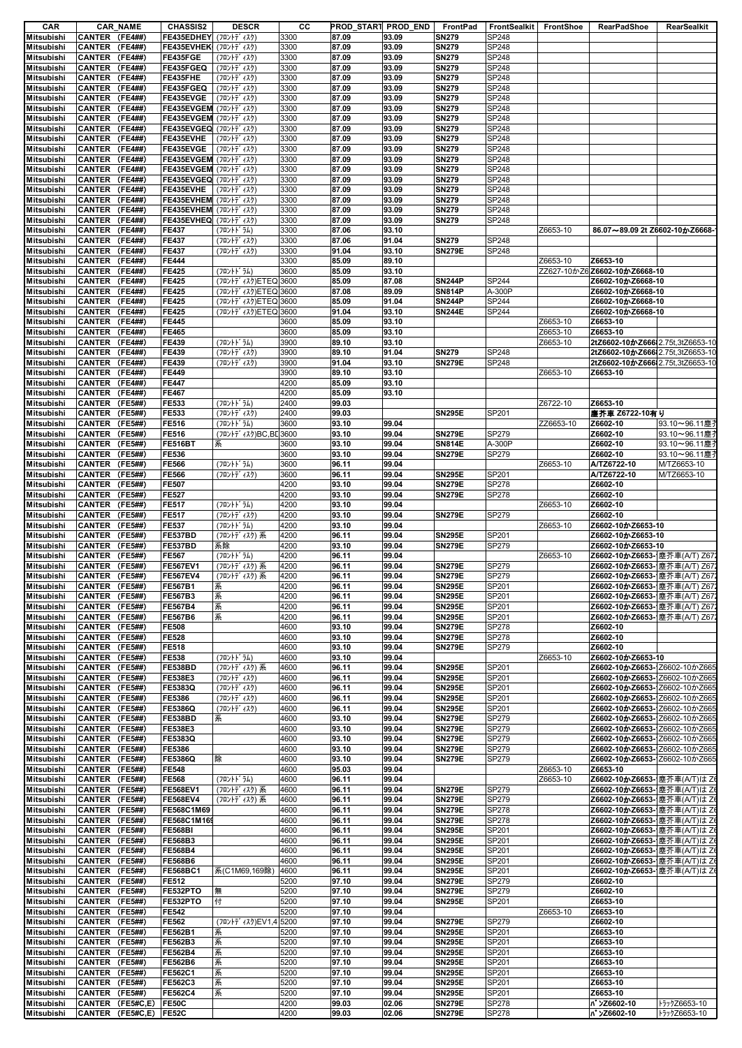| CAR                             |                  | <b>CAR_NAME</b> | <b>CHASSIS2</b>           | <b>DESCR</b>         | CС   |       | PROD_START PROD_END | FrontPad      | FrontSealkit | FrontShoe | <b>RearPadShoe</b>               | RearSealkit  |
|---------------------------------|------------------|-----------------|---------------------------|----------------------|------|-------|---------------------|---------------|--------------|-----------|----------------------------------|--------------|
| Mitsubishi                      | CANTER (FE4##)   |                 | FE435EDHEY (フロントディスク)     |                      | 3300 | 87.09 | 93.09               | <b>SN279</b>  | SP248        |           |                                  |              |
| Mitsubishi                      | CANTER (FE4##)   |                 | FE435EVHEK (フロントディスク)     |                      | 3300 | 87.09 | 93.09               | <b>SN279</b>  | SP248        |           |                                  |              |
| Mitsubishi                      | CANTER (FE4##)   |                 | FE435FGE                  | (フロントデ ィスク)          | 3300 | 87.09 | 93.09               | <b>SN279</b>  | SP248        |           |                                  |              |
| Mitsubishi                      | CANTER (FE4##)   |                 | FE435FGEQ                 | (フロントデ ィスク)          | 3300 | 87.09 | 93.09               | <b>SN279</b>  | SP248        |           |                                  |              |
| Mitsubishi                      | CANTER (FE4##)   |                 | FE435FHE                  | (フロントデ ィスク)          | 3300 | 87.09 | 93.09               | <b>SN279</b>  | SP248        |           |                                  |              |
| Mitsubishi                      | CANTER (FE4##)   |                 | FE435FGEQ                 | (フロントデ ィスク)          | 3300 | 87.09 | 93.09               | <b>SN279</b>  | SP248        |           |                                  |              |
| Mitsubishi                      | CANTER (FE4##)   |                 | FE435EVGE                 | (フロントデ ィスク)          | 3300 | 87.09 | 93.09               | <b>SN279</b>  | SP248        |           |                                  |              |
| Mitsubishi                      | CANTER (FE4##)   |                 | FE435EVGEM (フロントディスク)     |                      | 3300 | 87.09 | 93.09               | <b>SN279</b>  | SP248        |           |                                  |              |
| Mitsubishi                      | CANTER (FE4##)   |                 | FE435EVGEM (フロントディスク)     |                      | 3300 | 87.09 | 93.09               | <b>SN279</b>  | SP248        |           |                                  |              |
| Mitsubishi                      | CANTER (FE4##)   |                 | FE435EVGEQ (フロントディスク)     |                      | 3300 | 87.09 | 93.09               | <b>SN279</b>  | SP248        |           |                                  |              |
| Mitsubishi                      | CANTER (FE4##)   |                 | FE435EVHE                 | (フロントデ ィスク)          | 3300 | 87.09 | 93.09               | <b>SN279</b>  | SP248        |           |                                  |              |
| <b>Mitsubishi</b>               | CANTER (FE4##)   |                 | FE435EVGE                 | (フロントデ ィスク)          | 3300 | 87.09 | 93.09               | <b>SN279</b>  | SP248        |           |                                  |              |
| Mitsubishi                      | CANTER (FE4##)   |                 | FE435EVGEM (フロントディスク)     |                      | 3300 | 87.09 | 93.09               | <b>SN279</b>  | SP248        |           |                                  |              |
| Mitsubishi                      | CANTER (FE4##)   |                 | FE435EVGEM (フロントディスク)     |                      | 3300 | 87.09 | 93.09               | <b>SN279</b>  | SP248        |           |                                  |              |
| Mitsubishi                      | CANTER (FE4##)   |                 | FE435EVGEQ (フロントディスク)     |                      | 3300 | 87.09 | 93.09               | <b>SN279</b>  | SP248        |           |                                  |              |
| Mitsubishi                      | CANTER (FE4##)   |                 | FE435EVHE                 | (フロントデ゛ィスク)          | 3300 | 87.09 | 93.09               | <b>SN279</b>  | SP248        |           |                                  |              |
| Mitsubishi                      | CANTER (FE4##)   |                 | FE435EVHEM (フロントデ ィスク)    |                      | 3300 | 87.09 | 93.09               | <b>SN279</b>  | SP248        |           |                                  |              |
| Mitsubishi                      | CANTER (FE4##)   |                 | FE435EVHEM ( Ju> +7' ( 3) |                      | 3300 | 87.09 | 93.09               | <b>SN279</b>  | SP248        |           |                                  |              |
| Mitsubishi                      | CANTER (FE4##)   |                 | FE435EVHEQ (フロントディスク)     |                      | 3300 | 87.09 | 93.09               | <b>SN279</b>  | SP248        |           |                                  |              |
| Mitsubishi                      | CANTER (FE4##)   |                 | <b>FE437</b>              | (フロントドラム)            | 3300 | 87.06 | 93.10               |               |              | Z6653-10  | 86.07~89.09 2t Z6602-10かZ6668-   |              |
| Mitsubishi                      | CANTER (FE4##)   |                 | <b>FE437</b>              | $(7D)+77'$ (7)       | 3300 | 87.06 | 91.04               | <b>SN279</b>  | SP248        |           |                                  |              |
| Mitsubishi                      | CANTER (FE4##)   |                 | <b>FE437</b>              | (フロントデ ィスク)          | 3300 | 91.04 | 93.10               | <b>SN279E</b> | SP248        |           |                                  |              |
| Mitsubishi                      | CANTER (FE4##)   |                 | FE444                     |                      | 3300 | 85.09 | 89.10               |               |              | Z6653-10  | Z6653-10                         |              |
| Mitsubishi                      | CANTER (FE4##)   |                 | <b>FF425</b>              | (フロントト゛ラム)           | 3600 | 85.09 | 93.10               |               |              |           | ZZ627-10かZ6 Z6602-10かZ6668-10    |              |
| Mitsubishi                      | CANTER (FE4##)   |                 | <b>FE425</b>              | (フロントディスク)ETEQ 3600  |      | 85.09 | 87.08               | <b>SN244P</b> | SP244        |           | Z6602-10かZ6668-10                |              |
|                                 |                  |                 |                           |                      |      |       |                     |               |              |           |                                  |              |
| Mitsubishi                      | CANTER (FE4##)   |                 | <b>FE425</b>              | (フロントディスク)ETEQ 3600  |      | 87.08 | 89.09               | <b>SN814P</b> | A-300P       |           | Z6602-10かZ6668-10                |              |
| Mitsubishi                      | CANTER (FE4##)   |                 | <b>FE425</b>              | (フロントディスク)ETEQ 3600  |      | 85.09 | 91.04               | <b>SN244P</b> | SP244        |           | Z6602-10かZ6668-10                |              |
| Mitsubishi                      | CANTER (FE4##)   |                 | <b>FE425</b>              | (フロントデ ィスク)ETEQ 3600 |      | 91.04 | 93.10               | <b>SN244E</b> | SP244        |           | Z6602-10かZ6668-10                |              |
| Mitsubishi                      | CANTER (FE4##)   |                 | FE445                     |                      | 3600 | 85.09 | 93.10               |               |              | Z6653-10  | Z6653-10                         |              |
| <b>Mitsubishi</b>               | CANTER (FE4##)   |                 | FE465                     |                      | 3600 | 85.09 | 93.10               |               |              | Z6653-10  | Z6653-10                         |              |
| Mitsubishi                      | CANTER (FE4##)   |                 | FE439                     | (フロントト・ラム)           | 3900 | 89.10 | 93.10               |               |              | Z6653-10  | 2tZ6602-10かZ666 2.75t,3tZ6653-10 |              |
| Mitsubishi                      | CANTER (FE4##)   |                 | FE439                     | (フロントデ ィスク)          | 3900 | 89.10 | 91.04               | <b>SN279</b>  | SP248        |           | 2tZ6602-10かZ666 2.75t,3tZ6653-10 |              |
| Mitsubishi                      | CANTER (FE4##)   |                 | FE439                     | (フロントデ ィスク)          | 3900 | 91.04 | 93.10               | <b>SN279E</b> | SP248        |           | 2tZ6602-10かZ666 2.75t,3tZ6653-10 |              |
| Mitsubishi                      | CANTER (FE4##)   |                 | FE449                     |                      | 3900 | 89.10 | 93.10               |               |              | Z6653-10  | Z6653-10                         |              |
| Mitsubishi                      | CANTER (FE4##)   |                 | <b>FE447</b>              |                      | 4200 | 85.09 | 93.10               |               |              |           |                                  |              |
| Mitsubishi                      | CANTER (FE4##)   |                 | <b>FE467</b>              |                      | 4200 | 85.09 | 93.10               |               |              |           |                                  |              |
| Mitsubishi                      | CANTER (FE5##)   |                 | FE533                     | (フロントト・ラム)           | 2400 | 99.03 |                     |               |              | Z6722-10  | Z6653-10                         |              |
| Mitsubishi                      | CANTER (FE5##)   |                 | FE533                     | (フロントデ ィスク)          | 2400 | 99.03 |                     | <b>SN295E</b> | SP201        |           | 塵芥車 Z6722-10有り                   |              |
| Mitsubishi                      | CANTER (FE5##)   |                 | <b>FE516</b>              | (フロントト゛ラム)           | 3600 | 93.10 | 99.04               |               |              | ZZ6653-10 | Z6602-10                         | 93.10~96.11塵 |
| Mitsubishi                      | CANTER (FE5##)   |                 | FE516                     | (フロントディスク)BC,BE 3600 |      | 93.10 | 99.04               | <b>SN279E</b> | SP279        |           | Z6602-10                         | 93.10~96.11塵 |
| Mitsubishi                      | CANTER (FE5##)   |                 | <b>FE516BT</b>            | 系                    | 3600 | 93.10 | 99.04               | <b>SN814E</b> | A-300P       |           | Z6602-10                         | 93.10~96.11塵 |
| Mitsubishi                      | CANTER (FE5##)   |                 | FE536                     |                      | 3600 | 93.10 | 99.04               | <b>SN279E</b> | SP279        |           | Z6602-10                         | 93.10~96.11塵 |
| Mitsubishi                      | CANTER (FE5##)   |                 | FE566                     | (フロントト・ラム)           | 3600 | 96.11 | 99.04               |               |              | Z6653-10  | A/TZ6722-10                      | M/TZ6653-10  |
| Mitsubishi                      | CANTER (FE5##)   |                 | <b>FE566</b>              | (フロントデ ィスク)          | 3600 | 96.11 | 99.04               | <b>SN295E</b> | SP201        |           | A/TZ6722-10                      | M/TZ6653-10  |
| Mitsubishi                      | CANTER (FE5##)   |                 | <b>FE507</b>              |                      | 4200 | 93.10 | 99.04               | <b>SN279E</b> | SP278        |           | Z6602-10                         |              |
| Mitsubishi                      | CANTER (FE5##)   |                 | <b>FE527</b>              |                      | 4200 | 93.10 | 99.04               | <b>SN279E</b> | SP278        |           | Z6602-10                         |              |
| Mitsubishi                      | CANTER (FE5##)   |                 | <b>FE517</b>              | (フロントト・ラム)           | 4200 | 93.10 | 99.04               |               |              | Z6653-10  | Z6602-10                         |              |
| <b>Mitsubishi</b>               | CANTER (FE5##)   |                 | <b>FE517</b>              | (フロントデ ィスク)          | 4200 | 93.10 | 99.04               | <b>SN279E</b> | SP279        |           | Z6602-10                         |              |
| Mitsubishi                      | CANTER (FE5##)   |                 | FE537                     | (フロントト゛ラム)           | 4200 | 93.10 | 99.04               |               |              | Z6653-10  | Z6602-10かZ6653-10                |              |
| Mitsubishi                      | CANTER (FE5##)   |                 | <b>FE537BD</b>            | (フロントディスク)系          | 4200 | 96.11 | 99.04               | <b>SN295E</b> | SP201        |           | Z6602-10かZ6653-10                |              |
| Mitsubishi                      | CANTER (FE5##)   |                 | FE537BD                   | 系除                   | 4200 | 93.10 | 99.04               | <b>SN279E</b> | SP279        |           | Z6602-10かZ6653-10                |              |
| Mitsubishi                      | CANTER (FE5##)   |                 | <b>FE567</b>              | (フロントドラム)            | 4200 | 96.11 | 99.04               |               |              | Z6653-10  | Z6602-10かZ6653- 塵芥車(A/T) Z67     |              |
| Mitsubishi                      | CANTER (FE5##)   |                 | <b>FE567EV1</b>           | (フロントディスク)系          | 4200 | 96.11 | 99.04               | <b>SN279E</b> | SP279        |           | Z6602-10かZ6653- 塵芥車(A/T) Z67     |              |
| Mitsubishi                      | CANTER (FE5##)   |                 | <b>FE567EV4</b>           | (フロントディスク)系          | 4200 | 96.11 | 99.04               | <b>SN279E</b> | <b>SP279</b> |           | Z6602-10かZ6653- 塵芥車(A/T) Z672    |              |
| <b>Mitsubishi</b>               | CANTER (FE5##)   |                 | <b>FE567B1</b>            | 系                    | 4200 | 96.11 | 99.04               | <b>SN295E</b> | SP201        |           | Z6602-10かZ6653- 塵芥車(A/T) Z67     |              |
| Mitsubishi                      | CANTER (FE5##)   |                 | FE567B3                   | 系                    | 4200 | 96.11 | 99.04               | <b>SN295E</b> | SP201        |           | Z6602-10かZ6653- 塵芥車(A/T) Z67     |              |
| Mitsubishi                      | CANTER (FE5##)   |                 | FE567B4                   | 系                    | 4200 | 96.11 | 99.04               | <b>SN295E</b> | SP201        |           | Z6602-10かZ6653- 塵芥車(A/T) Z67.    |              |
| Mitsubishi                      | CANTER (FE5##)   |                 | <b>FE567B6</b>            | 系                    | 4200 | 96.11 | 99.04               | <b>SN295E</b> | SP201        |           | Z6602-10かZ6653- 塵芥車(A/T) Z67     |              |
| Mitsubishi                      | CANTER (FE5##)   |                 | <b>FE508</b>              |                      | 4600 | 93.10 | 99.04               | <b>SN279E</b> | <b>SP278</b> |           | Z6602-10                         |              |
| Mitsubishi                      | CANTER (FE5##)   |                 | <b>FE528</b>              |                      | 4600 | 93.10 | 99.04               | <b>SN279E</b> |              |           | Z6602-10                         |              |
|                                 |                  |                 |                           |                      |      |       |                     |               | <b>SP278</b> |           |                                  |              |
| Mitsubishi                      | CANTER (FE5##)   |                 | <b>FE518</b>              |                      | 4600 | 93.10 | 99.04               | <b>SN279E</b> | SP279        |           | Z6602-10                         |              |
| Mitsubishi                      | CANTER (FE5##)   |                 | <b>FE538</b>              | (フロントト゛ラム)           | 4600 | 93.10 | 99.04               |               |              | Z6653-10  | Z6602-10かZ6653-10                |              |
| <b>Mitsubishi</b>               | CANTER (FE5##)   |                 | <b>FE538BD</b>            | (フロントディスク)系          | 4600 | 96.11 | 99.04               | <b>SN295E</b> | SP201        |           | Z6602-10かZ6653-Z6602-10かZ665     |              |
| Mitsubishi                      | CANTER (FE5##)   |                 | FE538E3                   | (フロントデ ィスク)          | 4600 | 96.11 | 99.04               | <b>SN295E</b> | SP201        |           | Z6602-10かZ6653-Z6602-10かZ665     |              |
| Mitsubishi                      | CANTER (FE5##)   |                 | FE5383Q                   | (フロントデ ィスク)          | 4600 | 96.11 | 99.04               | <b>SN295E</b> | SP201        |           | Z6602-10かZ6653-Z6602-10かZ665     |              |
| Mitsubishi                      | CANTER (FE5##)   |                 | FE5386                    | (フロントデ ィスク)          | 4600 | 96.11 | 99.04               | <b>SN295E</b> | SP201        |           | Z6602-10かZ6653-Z6602-10かZ665     |              |
| <b>Mitsubishi</b>               | CANTER (FE5##)   |                 | FE5386Q                   | (フロントデ ィスク)          | 4600 | 96.11 | 99.04               | <b>SN295E</b> | SP201        |           | Z6602-10かZ6653-Z6602-10かZ665     |              |
| Mitsubishi                      | CANTER (FE5##)   |                 | <b>FE538BD</b>            | 系                    | 4600 | 93.10 | 99.04               | <b>SN279E</b> | <b>SP279</b> |           | Z6602-10かZ6653-Z6602-10かZ665     |              |
| Mitsubishi                      | CANTER (FE5##)   |                 | FE538E3                   |                      | 4600 | 93.10 | 99.04               | <b>SN279E</b> | SP279        |           | Z6602-10かZ6653-Z6602-10かZ665     |              |
| Mitsubishi                      | CANTER (FE5##)   |                 | FE5383Q                   |                      | 4600 | 93.10 | 99.04               | <b>SN279E</b> | SP279        |           | Z6602-10かZ6653-Z6602-10かZ66      |              |
| Mitsubishi                      | CANTER (FE5##)   |                 | FE5386                    |                      | 4600 | 93.10 | 99.04               | <b>SN279E</b> | <b>SP279</b> |           | Z6602-10かZ6653-Z6602-10かZ665     |              |
| Mitsubishi                      | CANTER (FE5##)   |                 | <b>FE5386Q</b>            | 除                    | 4600 | 93.10 | 99.04               | <b>SN279E</b> | SP279        |           | Z6602-10かZ6653-Z6602-10かZ665     |              |
| Mitsubishi                      | CANTER (FE5##)   |                 | <b>FE548</b>              |                      | 4600 | 95.03 | 99.04               |               |              | Z6653-10  | Z6653-10                         |              |
| Mitsubishi                      | CANTER (FE5##)   |                 | <b>FE568</b>              | (フロントドラム)            | 4600 | 96.11 | 99.04               |               |              | Z6653-10  | Z6602-10かZ6653- 塵芥車(A/T)はZ       |              |
| Mitsubishi                      | CANTER (FE5##)   |                 | <b>FE568EV1</b>           | (フロントディスク)系          | 4600 | 96.11 | 99.04               | <b>SN279E</b> | SP279        |           | Z6602-10かZ6653- 塵芥車(A/T)はZ       |              |
| Mitsubishi                      | CANTER (FE5##)   |                 | <b>FE568EV4</b>           | (フロントディスク)系          | 4600 | 96.11 | 99.04               | <b>SN279E</b> | SP279        |           | Z6602-10かZ6653- 塵芥車(A/T)はZ       |              |
| Mitsubishi                      | CANTER (FE5##)   |                 | FE568C1M69                |                      | 4600 | 96.11 | 99.04               | <b>SN279E</b> | SP278        |           | Z6602-10かZ6653- 塵芥車(A/T)はZ       |              |
| <b>Mitsubishi</b>               | CANTER (FE5##)   |                 | FE568C1M169               |                      | 4600 | 96.11 | 99.04               | <b>SN279E</b> | <b>SP278</b> |           | Z6602-10かZ6653- 塵芥車(A/T)はZ       |              |
| Mitsubishi                      | CANTER (FE5##)   |                 | <b>FE568BI</b>            |                      | 4600 | 96.11 | 99.04               | <b>SN295E</b> | SP201        |           | Z6602-10かZ6653- 塵芥車(A/T)は Z      |              |
| Mitsubishi                      | CANTER (FE5##)   |                 | FE568B3                   |                      | 4600 | 96.11 | 99.04               | <b>SN295E</b> | SP201        |           | Z6602-10かZ6653- 塵芥車(A/T)はZ       |              |
| Mitsubishi                      | CANTER (FE5##)   |                 | <b>FE568B4</b>            |                      | 4600 | 96.11 | 99.04               | <b>SN295E</b> | SP201        |           | Z6602-10かZ6653- 塵芥車(A/T)はZ       |              |
| Mitsubishi                      | CANTER (FE5##)   |                 | <b>FE568B6</b>            |                      | 4600 | 96.11 | 99.04               | <b>SN295E</b> | SP201        |           | Z6602-10かZ6653- 塵芥車(A/T)はZ       |              |
| Mitsubishi                      | CANTER (FE5##)   |                 | <b>FE568BC1</b>           | 系(C1M69,169除)        | 4600 | 96.11 | 99.04               | <b>SN295E</b> | SP201        |           | Z6602-10かZ6653- 塵芥車(A/T)は Z      |              |
| Mitsubishi                      | CANTER (FE5##)   |                 | FE512                     |                      | 5200 | 97.10 | 99.04               | <b>SN279E</b> | SP279        |           | Z6602-10                         |              |
| Mitsubishi                      | CANTER (FE5##)   |                 | FE532PTO                  | 無                    | 5200 | 97.10 | 99.04               | <b>SN279E</b> | SP279        |           | Z6602-10                         |              |
| Mitsubishi                      | CANTER (FE5##)   |                 | FE532PTO                  | 付                    | 5200 | 97.10 | 99.04               | <b>SN295E</b> | SP201        |           | Z6653-10                         |              |
|                                 | CANTER (FE5##)   |                 | <b>FE542</b>              |                      | 5200 | 97.10 | 99.04               |               |              | Z6653-10  | Z6653-10                         |              |
| Mitsubishi<br><b>Mitsubishi</b> | CANTER (FE5##)   |                 | FE562                     | (フロントデ ィスク)EV1,45200 |      |       | 99.04               | <b>SN279E</b> | SP279        |           | Z6602-10                         |              |
|                                 |                  |                 |                           |                      |      | 97.10 |                     |               |              |           |                                  |              |
| Mitsubishi                      | CANTER (FE5##)   |                 | FE562B1                   | 系                    | 5200 | 97.10 | 99.04               | <b>SN295E</b> | SP201        |           | Z6653-10                         |              |
| Mitsubishi                      | CANTER (FE5##)   |                 | FE562B3                   | 系                    | 5200 | 97.10 | 99.04               | <b>SN295E</b> | SP201        |           | Z6653-10                         |              |
| Mitsubishi                      | CANTER (FE5##)   |                 | FE562B4                   | 系                    | 5200 | 97.10 | 99.04               | <b>SN295E</b> | SP201        |           | Z6653-10                         |              |
| <b>Mitsubishi</b>               | CANTER (FE5##)   |                 | <b>FE562B6</b>            | 系                    | 5200 | 97.10 | 99.04               | <b>SN295E</b> | SP201        |           | Z6653-10                         |              |
| Mitsubishi                      | CANTER (FE5##)   |                 | <b>FE562C1</b>            | 系                    | 5200 | 97.10 | 99.04               | <b>SN295E</b> | SP201        |           | Z6653-10                         |              |
| Mitsubishi                      | CANTER (FE5##)   |                 | <b>FE562C3</b>            | 系                    | 5200 | 97.10 | 99.04               | <b>SN295E</b> | SP201        |           | Z6653-10                         |              |
| Mitsubishi                      | CANTER (FE5##)   |                 | <b>FE562C4</b>            | 系                    | 5200 | 97.10 | 99.04               | <b>SN295E</b> | SP201        |           | Z6653-10                         |              |
| <b>Mitsubishi</b>               | CANTER (FE5#C,E) |                 | <b>FE50C</b>              |                      | 4200 | 99.03 | 02.06               | <b>SN279E</b> | <b>SP278</b> |           | ^ >Z6602-10                      | トラックZ6653-10 |
| Mitsubishi                      | CANTER (FE5#C,E) |                 | <b>FE52C</b>              |                      | 4200 | 99.03 | 02.06               | <b>SN279E</b> | <b>SP278</b> |           | <b>バンZ6602-10</b>                | トラックZ6653-10 |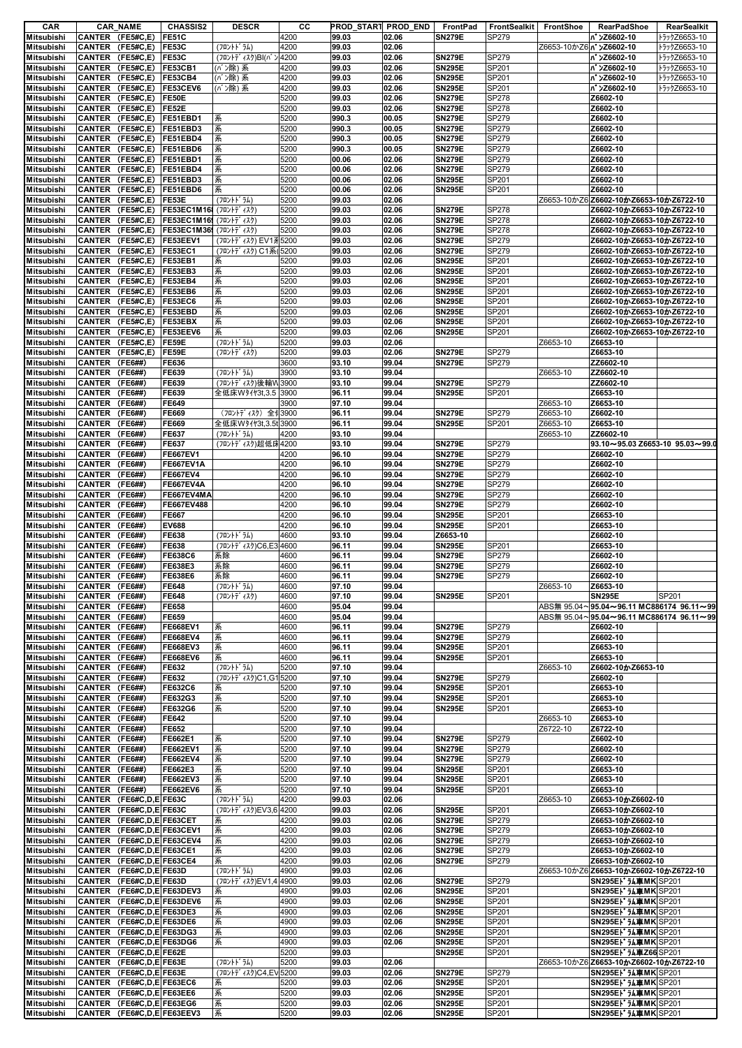| CAR               |                            | <b>CAR_NAME</b>            | <b>CHASSIS2</b>                         | <b>DESCR</b>           | cс   | PROD_START PROD_END |       | FrontPad      | FrontSealkit | FrontShoe                      | <b>RearPadShoe</b>                       | RearSealkit  |
|-------------------|----------------------------|----------------------------|-----------------------------------------|------------------------|------|---------------------|-------|---------------|--------------|--------------------------------|------------------------------------------|--------------|
| Mitsubishi        | CANTER (FE5#C,E)           |                            | <b>FE51C</b>                            |                        | 4200 | 99.03               | 02.06 | <b>SN279E</b> | SP279        |                                | <b>バンZ6602-10</b>                        | トラックZ6653-10 |
| Mitsubishi        | CANTER (FE5#C,E)           |                            | <b>FE53C</b>                            | (フロントト゛ラム)             | 4200 | 99.03               | 02.06 |               |              | Z6653-10かZ6  <b>バンZ6602-10</b> |                                          | トラックZ6653-10 |
| Mitsubishi        | CANTER (FE5#C,E)           |                            | FE53C                                   | (フロントデ ィスク)BI(バ ン 4200 |      | 99.03               | 02.06 | <b>SN279E</b> | SP279        |                                | n >Z6602-10                              | トラックZ6653-10 |
| Mitsubishi        |                            | CANTER (FE5#C,E) FE53CB1   |                                         | (バン除) 系                | 4200 | 99.03               | 02.06 | <b>SN295E</b> | SP201        |                                | n <sup>*</sup> ンZ6602-10                 | トラックZ6653-10 |
| Mitsubishi        |                            | CANTER (FE5#C,E) FE53CB4   |                                         | (バン除) 系                | 4200 | 99.03               | 02.06 | <b>SN295E</b> | SP201        |                                | n >Z6602-10                              | トラックZ6653-10 |
| Mitsubishi        |                            | CANTER (FE5#C,E) FE53CEV6  |                                         | (バン除)系                 | 4200 | 99.03               | 02.06 | <b>SN295E</b> | SP201        |                                | <b>バンZ6602-10</b>                        | トラックZ6653-10 |
| Mitsubishi        |                            | CANTER (FE5#C,E) FE50E     |                                         |                        | 5200 | 99.03               | 02.06 | <b>SN279E</b> | SP278        |                                | Z6602-10                                 |              |
| Mitsubishi        |                            | CANTER (FE5#C,E) FE52E     |                                         |                        | 5200 | 99.03               | 02.06 | <b>SN279E</b> | SP278        |                                | Z6602-10                                 |              |
| Mitsubishi        | CANTER (FE5#C,E)           |                            | FE51EBD1                                | 系                      | 5200 | 990.3               | 00.05 | <b>SN279E</b> | SP279        |                                | Z6602-10                                 |              |
|                   |                            |                            |                                         |                        |      |                     |       |               |              |                                |                                          |              |
| Mitsubishi        |                            | CANTER (FE5#C,E) FE51EBD3  |                                         | 系                      | 5200 | 990.3               | 00.05 | <b>SN279E</b> | SP279        |                                | Z6602-10                                 |              |
| Mitsubishi        |                            | CANTER (FE5#C,E) FE51EBD4  |                                         | 系                      | 5200 | 990.3               | 00.05 | <b>SN279E</b> | SP279        |                                | Z6602-10                                 |              |
| Mitsubishi        | CANTER (FE5#C,E)           |                            | FE51EBD6                                | 系                      | 5200 | 990.3               | 00.05 | <b>SN279E</b> | SP279        |                                | Z6602-10                                 |              |
| Mitsubishi        |                            | CANTER (FE5#C,E) FE51EBD1  |                                         | 系                      | 5200 | 00.06               | 02.06 | <b>SN279E</b> | SP279        |                                | Z6602-10                                 |              |
| Mitsubishi        |                            | CANTER (FE5#C,E) FE51EBD4  |                                         | 系                      | 5200 | 00.06               | 02.06 | <b>SN279E</b> | SP279        |                                | Z6602-10                                 |              |
| Mitsubishi        |                            | CANTER (FE5#C,E) FE51EBD3  |                                         | 系                      | 5200 | 00.06               | 02.06 | <b>SN295E</b> | SP201        |                                | Z6602-10                                 |              |
| Mitsubishi        |                            |                            | CANTER (FE5#C,E) FE51EBD6               | 系                      | 5200 | 00.06               | 02.06 | <b>SN295E</b> | SP201        |                                | Z6602-10                                 |              |
| Mitsubishi        |                            | CANTER (FE5#C,E)           |                                         |                        |      | 99.03               | 02.06 |               |              |                                |                                          |              |
|                   |                            |                            | FE53E                                   | (フロントト・ラム)             | 5200 |                     |       |               |              |                                | Z6653-10かZ6 Z6602-10かZ6653-10かZ6722-10   |              |
| Mitsubishi        | CANTER (FE5#C,E)           |                            | FE53EC1M16 (フロントディスク)                   |                        | 5200 | 99.03               | 02.06 | <b>SN279E</b> | SP278        |                                | Z6602-10かZ6653-10かZ6722-10               |              |
| Mitsubishi        |                            | CANTER (FE5#C,E)           | FE53EC1M16 (フロントディスク)                   |                        | 5200 | 99.03               | 02.06 | <b>SN279E</b> | SP278        |                                | Z6602-10かZ6653-10かZ6722-10               |              |
| Mitsubishi        |                            |                            | CANTER (FE5#C,E) FE53EC1M36 (70)+7 (74) |                        | 5200 | 99.03               | 02.06 | <b>SN279E</b> | SP278        |                                | Z6602-10かZ6653-10かZ6722-10               |              |
| Mitsubishi        |                            | CANTER (FE5#C,E) FE53EEV1  |                                         | (フロントディスク) EV1 系5200   |      | 99.03               | 02.06 | <b>SN279E</b> | SP279        |                                | Z6602-10かZ6653-10かZ6722-10               |              |
| Mitsubishi        |                            | CANTER (FE5#C,E) FE53EC1   |                                         | (フロントディスク) C1系(5200    |      | 99.03               | 02.06 | <b>SN279E</b> | SP279        |                                | Z6602-10かZ6653-10かZ6722-10               |              |
| Mitsubishi        |                            | CANTER (FE5#C,E) FE53EB1   |                                         | 系                      | 5200 | 99.03               | 02.06 | <b>SN295E</b> | SP201        |                                | Z6602-10かZ6653-10かZ6722-10               |              |
| Mitsubishi        |                            | CANTER (FE5#C,E) FE53EB3   |                                         | 系                      | 5200 | 99.03               | 02.06 | <b>SN295E</b> | SP201        |                                | Z6602-10かZ6653-10かZ6722-10               |              |
|                   |                            |                            |                                         |                        |      |                     |       |               |              |                                | Z6602-10かZ6653-10かZ6722-10               |              |
| Mitsubishi        |                            | CANTER (FE5#C,E) FE53EB4   |                                         | 系                      | 5200 | 99.03               | 02.06 | <b>SN295E</b> | SP201        |                                |                                          |              |
| Mitsubishi        | CANTER (FE5#C,E)           |                            | <b>FE53EB6</b>                          | 系                      | 5200 | 99.03               | 02.06 | <b>SN295E</b> | SP201        |                                | Z6602-10かZ6653-10かZ6722-10               |              |
| Mitsubishi        |                            | CANTER (FE5#C,E) FE53EC6   |                                         | 系                      | 5200 | 99.03               | 02.06 | <b>SN295E</b> | SP201        |                                | Z6602-10かZ6653-10かZ6722-10               |              |
| Mitsubishi        | CANTER (FE5#C,E)           |                            | FE53EBD                                 | 系                      | 5200 | 99.03               | 02.06 | <b>SN295E</b> | SP201        |                                | Z6602-10かZ6653-10かZ6722-10               |              |
| Mitsubishi        |                            | CANTER (FE5#C,E)           | FE53EBX                                 | 系                      | 5200 | 99.03               | 02.06 | <b>SN295E</b> | SP201        |                                | Z6602-10かZ6653-10かZ6722-10               |              |
| Mitsubishi        |                            | CANTER (FE5#C,E) FE53EEV6  |                                         | 系                      | 5200 | 99.03               | 02.06 | <b>SN295E</b> | SP201        |                                | Z6602-10かZ6653-10かZ6722-10               |              |
| Mitsubishi        |                            | CANTER (FE5#C,E)           | <b>FE59E</b>                            | (フロントト゛ラム)             | 5200 | 99.03               | 02.06 |               |              | Z6653-10                       | Z6653-10                                 |              |
|                   |                            |                            |                                         |                        |      |                     |       |               |              |                                |                                          |              |
| Mitsubishi        |                            | CANTER (FE5#C,E)           | <b>FE59E</b>                            | (フロントデ ィスク)            | 5200 | 99.03               | 02.06 | <b>SN279E</b> | SP279        |                                | Z6653-10                                 |              |
| Mitsubishi        | CANTER (FE6##)             |                            | FE636                                   |                        | 3600 | 93.10               | 99.04 | <b>SN279E</b> | SP279        |                                | ZZ6602-10                                |              |
| Mitsubishi        | CANTER (FE6##)             |                            | FE639                                   | (フロントト゛ラム)             | 3900 | 93.10               | 99.04 |               |              | Z6653-10                       | ZZ6602-10                                |              |
| Mitsubishi        | CANTER (FE6##)             |                            | FE639                                   | (フロントディスク)後輪W 3900     |      | 93.10               | 99.04 | <b>SN279E</b> | SP279        |                                | ZZ6602-10                                |              |
| Mitsubishi        | CANTER (FE6##)             |                            | FE639                                   | 全低床Wタイヤ3t,3.5 3900     |      | 96.11               | 99.04 | <b>SN295E</b> | SP201        |                                | Z6653-10                                 |              |
| Mitsubishi        | CANTER (FE6##)             |                            | FE649                                   |                        | 3900 | 97.10               | 99.04 |               |              | Z6653-10                       | Z6653-10                                 |              |
| Mitsubishi        | CANTER (FE6##)             |                            | FE669                                   | (フロントディスク) 全43900      |      | 96.11               | 99.04 | <b>SN279E</b> | SP279        | Z6653-10                       | Z6602-10                                 |              |
|                   |                            |                            |                                         |                        |      |                     |       |               |              |                                |                                          |              |
| Mitsubishi        | CANTER (FE6##)             |                            | FE669                                   | 全低床W 91+3t, 3.5t 3900  |      | 96.11               | 99.04 | <b>SN295E</b> | SP201        | Z6653-10                       | Z6653-10                                 |              |
| Mitsubishi        | CANTER (FE6##)             |                            | <b>FE637</b>                            | (フロントト゛ラム)             | 4200 | 93.10               | 99.04 |               |              | Z6653-10                       | ZZ6602-10                                |              |
| Mitsubishi        | CANTER (FE6##)             |                            | FE637                                   | (フロントディスク)超低床4200      |      | 93.10               | 99.04 | <b>SN279E</b> | SP279        |                                | 93.10~95.03 Z6653-10 95.03~99.0          |              |
| Mitsubishi        | CANTER (FE6##)             |                            | <b>FE667EV1</b>                         |                        | 4200 | 96.10               | 99.04 | <b>SN279E</b> | SP279        |                                | Z6602-10                                 |              |
| Mitsubishi        | CANTER (FE6##)             |                            | <b>FE667EV1A</b>                        |                        | 4200 | 96.10               | 99.04 | <b>SN279E</b> | SP279        |                                | Z6602-10                                 |              |
| Mitsubishi        | CANTER (FE6##)             |                            | <b>FE667EV4</b>                         |                        | 4200 | 96.10               | 99.04 | <b>SN279E</b> | SP279        |                                | Z6602-10                                 |              |
|                   |                            |                            |                                         |                        |      |                     |       |               |              |                                |                                          |              |
| Mitsubishi        | CANTER (FE6##)             |                            | <b>FE667EV4A</b>                        |                        | 4200 | 96.10               | 99.04 | <b>SN279E</b> | SP279        |                                | Z6602-10                                 |              |
| Mitsubishi        | CANTER (FE6##)             |                            | FE667EV4MA                              |                        | 4200 | 96.10               | 99.04 | <b>SN279E</b> | SP279        |                                | Z6602-10                                 |              |
| Mitsubishi        | CANTER (FE6##)             |                            | FE667EV488                              |                        | 4200 | 96.10               | 99.04 | <b>SN279E</b> | SP279        |                                | Z6602-10                                 |              |
| Mitsubishi        | CANTER (FE6##)             |                            | <b>FE667</b>                            |                        | 4200 | 96.10               | 99.04 | <b>SN295E</b> | SP201        |                                | Z6653-10                                 |              |
| Mitsubishi        | CANTER (FE6##)             |                            | <b>EV688</b>                            |                        | 4200 | 96.10               | 99.04 | <b>SN295E</b> | SP201        |                                | Z6653-10                                 |              |
| Mitsubishi        | CANTER (FE6##)             |                            | FE638                                   | (フロントト゛ラム)             | 4600 | 93.10               | 99.04 | Z6653-10      |              |                                | Z6602-10                                 |              |
|                   |                            |                            | FE638                                   | (フロントデ ィスク)C6,E34600   |      |                     | 99.04 |               | SP201        |                                |                                          |              |
| Mitsubishi        | CANTER (FE6##)             |                            |                                         |                        |      | 96.11               |       | <b>SN295E</b> |              |                                | Z6653-10                                 |              |
| Mitsubishi        | CANTER (FE6##)             |                            | <b>FE638C6</b>                          | 系除                     | 4600 | 96.11               | 99.04 | <b>SN279E</b> | SP279        |                                | Z6602-10                                 |              |
| <b>Mitsubishi</b> | CANTER (FE6##)             |                            | FE638E3                                 | 系除                     | 4600 | 96.11               | 99.04 | <b>SN279E</b> | SP279        |                                | Z6602-10                                 |              |
| <b>Mitsubishi</b> | CANTER (FE6##)             |                            | FE638E6                                 | 系除                     | 4600 | 96.11               | 99.04 | <b>SN279E</b> | SP279        |                                | Z6602-10                                 |              |
| <b>Mitsubishi</b> | CANTER (FE6##)             |                            | <b>FE648</b>                            | (フロントト・ラム)             | 4600 | 97.10               | 99.04 |               |              | Z6653-10                       | Z6653-10                                 |              |
| Mitsubishi        | CANTER (FE6##)             |                            | <b>FE648</b>                            | (フロントデ ィスク)            | 4600 | 97.10               | 99.04 | <b>SN295E</b> | SP201        |                                | <b>SN295E</b>                            | SP201        |
| Mitsubishi        | CANTER (FE6##)             |                            | <b>FE658</b>                            |                        | 4600 | 95.04               | 99.04 |               |              | ABS無 95.04~                    | 95.04~96.11 MC886174 96.11~99            |              |
| Mitsubishi        |                            |                            | FE659                                   |                        | 4600 | 95.04               | 99.04 |               |              |                                | ABS無 95.04~95.04~96.11 MC886174 96.11~99 |              |
|                   | CANTER (FE6##)             |                            |                                         |                        |      |                     |       |               |              |                                |                                          |              |
| Mitsubishi        | CANTER (FE6##)             |                            | <b>FE668EV1</b>                         | 系                      | 4600 | 96.11               | 99.04 | <b>SN279E</b> | SP279        |                                | Z6602-10                                 |              |
| <b>Mitsubishi</b> | CANTER (FE6##)             |                            | <b>FE668EV4</b>                         | 系                      | 4600 | 96.11               | 99.04 | <b>SN279E</b> | SP279        |                                | Z6602-10                                 |              |
| Mitsubishi        | CANTER (FE6##)             |                            | FE668EV3                                | 系                      | 4600 | 96.11               | 99.04 | <b>SN295E</b> | SP201        |                                | Z6653-10                                 |              |
| Mitsubishi        | CANTER (FE6##)             |                            | <b>FE668EV6</b>                         | 系                      | 4600 | 96.11               | 99.04 | <b>SN295E</b> | SP201        |                                | Z6653-10                                 |              |
| <b>Mitsubishi</b> | CANTER (FE6##)             |                            | FE632                                   | (フロントト・ラム)             | 5200 | 97.10               | 99.04 |               |              | Z6653-10                       | Z6602-10かZ6653-10                        |              |
| Mitsubishi        | CANTER (FE6##)             |                            | FE632                                   | (フロントディスク)C1,G15200    |      | 97.10               | 99.04 | <b>SN279E</b> | SP279        |                                | Z6602-10                                 |              |
|                   | CANTER (FE6##)             |                            | <b>FE632C6</b>                          |                        | 5200 |                     | 99.04 |               | SP201        |                                |                                          |              |
| <b>Mitsubishi</b> |                            |                            |                                         | 系                      |      | 97.10               |       | <b>SN295E</b> |              |                                | Z6653-10                                 |              |
| Mitsubishi        | CANTER (FE6##)             |                            | FE632G3                                 | 系                      | 5200 | 97.10               | 99.04 | <b>SN295E</b> | SP201        |                                | Z6653-10                                 |              |
| <b>Mitsubishi</b> | CANTER (FE6##)             |                            | FE632G6                                 | 系                      | 5200 | 97.10               | 99.04 | <b>SN295E</b> | SP201        |                                | Z6653-10                                 |              |
| Mitsubishi        | CANTER (FE6##)             |                            | <b>FE642</b>                            |                        | 5200 | 97.10               | 99.04 |               |              | Z6653-10                       | Z6653-10                                 |              |
| Mitsubishi        | CANTER (FE6##)             |                            | FE652                                   |                        | 5200 | 97.10               | 99.04 |               |              | Z6722-10                       | Z6722-10                                 |              |
| Mitsubishi        | CANTER (FE6##)             |                            | <b>FE662E1</b>                          | 系                      | 5200 | 97.10               | 99.04 | <b>SN279E</b> | SP279        |                                | Z6602-10                                 |              |
| <b>Mitsubishi</b> | CANTER (FE6##)             |                            | <b>FE662EV1</b>                         | 系                      | 5200 | 97.10               | 99.04 | <b>SN279E</b> | SP279        |                                | Z6602-10                                 |              |
|                   |                            |                            | <b>FE662EV4</b>                         |                        | 5200 |                     | 99.04 |               |              |                                |                                          |              |
| <b>Mitsubishi</b> | CANTER (FE6##)             |                            |                                         | 系                      |      | 97.10               |       | <b>SN279E</b> | SP279        |                                | Z6602-10                                 |              |
| Mitsubishi        | CANTER (FE6##)             |                            | FE662E3                                 | 系                      | 5200 | 97.10               | 99.04 | <b>SN295E</b> | SP201        |                                | Z6653-10                                 |              |
| Mitsubishi        | CANTER (FE6##)             |                            | FE662EV3                                | 系                      | 5200 | 97.10               | 99.04 | <b>SN295E</b> | SP201        |                                | Z6653-10                                 |              |
| Mitsubishi        | CANTER (FE6##)             |                            | <b>FE662EV6</b>                         | 系                      | 5200 | 97.10               | 99.04 | <b>SN295E</b> | SP201        |                                | Z6653-10                                 |              |
| <b>Mitsubishi</b> |                            | CANTER (FE6#C,D,E)FE63C    |                                         | (フロントト゛ラム)             | 4200 | 99.03               | 02.06 |               |              | Z6653-10                       | Z6653-10かZ6602-10                        |              |
| Mitsubishi        |                            | CANTER (FE6#C,D,E FE63C    |                                         | (フロントディスク)EV3,64200    |      | 99.03               | 02.06 | <b>SN295E</b> | SP201        |                                | Z6653-10かZ6602-10                        |              |
| <b>Mitsubishi</b> |                            | CANTER (FE6#C,D,E)FE63CET  |                                         | 系                      | 4200 | 99.03               | 02.06 | <b>SN279E</b> | SP279        |                                | Z6653-10かZ6602-10                        |              |
|                   |                            |                            |                                         |                        |      |                     |       |               |              |                                |                                          |              |
| Mitsubishi        |                            | CANTER (FE6#C,D,E)FE63CEV1 |                                         | 系                      | 4200 | 99.03               | 02.06 | <b>SN279E</b> | SP279        |                                | Z6653-10かZ6602-10                        |              |
| Mitsubishi        |                            | CANTER (FE6#C,D,E FE63CEV4 |                                         | 系                      | 4200 | 99.03               | 02.06 | <b>SN279E</b> | SP279        |                                | Z6653-10かZ6602-10                        |              |
| Mitsubishi        |                            | CANTER (FE6#C,D,E)FE63CE1  |                                         | 系                      | 4200 | 99.03               | 02.06 | <b>SN279E</b> | SP279        |                                | Z6653-10かZ6602-10                        |              |
| Mitsubishi        |                            | CANTER (FE6#C,D,E)FE63CE4  |                                         | 系                      | 4200 | 99.03               | 02.06 | <b>SN279E</b> | SP279        |                                | Z6653-10かZ6602-10                        |              |
| Mitsubishi        |                            | CANTER (FE6#C,D,E)FE63D    |                                         | (フロントト゛ラム)             | 4900 | 99.03               | 02.06 |               |              |                                | Z6653-10かZ6 Z6653-10かZ6602-10かZ6722-10   |              |
| Mitsubishi        |                            | CANTER (FE6#C,D,E)FE63D    |                                         | (フロントデ ィスク) EV1,4 4900 |      | 99.03               | 02.06 | <b>SN279E</b> | SP279        |                                | SN295E + 5A車MK SP201                     |              |
|                   |                            |                            |                                         |                        |      |                     |       |               |              |                                |                                          |              |
| Mitsubishi        |                            | CANTER (FE6#C,D,E FE63DEV3 |                                         | 系                      | 4900 | 99.03               | 02.06 | <b>SN295E</b> | SP201        |                                | SN295EI' 弘車MK SP201                      |              |
| Mitsubishi        |                            | CANTER (FE6#C,D,E)FE63DEV6 |                                         | 系                      | 4900 | 99.03               | 02.06 | <b>SN295E</b> | SP201        |                                | SN295EI JA車MK SP201                      |              |
| Mitsubishi        |                            | CANTER (FE6#C,D,E)FE63DE3  |                                         | 系                      | 4900 | 99.03               | 02.06 | <b>SN295E</b> | SP201        |                                | SN295EI JA車MK SP201                      |              |
| Mitsubishi        |                            | CANTER (FE6#C,D,E)FE63DE6  |                                         | 系                      | 4900 | 99.03               | 02.06 | <b>SN295E</b> | SP201        |                                | SN295E 74 車MK SP201                      |              |
| Mitsubishi        |                            | CANTER (FE6#C,D,E)FE63DG3  |                                         | 系                      | 4900 | 99.03               | 02.06 | <b>SN295E</b> | SP201        |                                | SN295EI' 弘車MK SP201                      |              |
|                   |                            |                            |                                         |                        |      |                     |       |               |              |                                |                                          |              |
| <b>Mitsubishi</b> |                            | CANTER (FE6#C,D,E)FE63DG6  |                                         | 系                      | 4900 | 99.03               | 02.06 | <b>SN295E</b> | SP201        |                                | SN295EI JA車MK SP201                      |              |
| Mitsubishi        |                            | CANTER (FE6#C,D,E)FE62E    |                                         |                        | 5200 | 99.03               |       | <b>SN295E</b> | SP201        |                                | SN295EI 丸車Z66 SP201                      |              |
| Mitsubishi        |                            | CANTER (FE6#C,D,E)FE63E    |                                         | (フロントト゛ラム)             | 5200 | 99.03               | 02.06 |               |              |                                | Z6653-10かZ6 Z6653-10かZ6602-10かZ6722-10   |              |
| Mitsubishi        |                            | CANTER (FE6#C,D,E)FE63E    |                                         | (フロントデ ィスク)C4, EV 5200 |      | 99.03               | 02.06 | <b>SN279E</b> | SP279        |                                | SN295Eドラム車MK SP201                       |              |
| Mitsubishi        |                            | CANTER (FE6#C,D,E)FE63EC6  |                                         | 系                      | 5200 | 99.03               | 02.06 | <b>SN295E</b> | SP201        |                                | SN295EI <sup>+</sup> 九車MK SP201          |              |
| Mitsubishi        |                            | CANTER (FE6#C,D,E)FE63EE6  |                                         | 系                      | 5200 | 99.03               | 02.06 | <b>SN295E</b> | SP201        |                                | SN295EI JA車MK SP201                      |              |
| <b>Mitsubishi</b> |                            | CANTER (FE6#C,D,E)FE63EG6  |                                         | 系                      | 5200 | 99.03               | 02.06 | <b>SN295E</b> | SP201        |                                | SN295E + 54車MK SP201                     |              |
| <b>Mitsubishi</b> |                            |                            |                                         | 系                      |      | 99.03               | 02.06 |               |              |                                |                                          |              |
|                   | CANTER (FE6#C,D,E)FE63EEV3 |                            |                                         |                        | 5200 |                     |       | <b>SN295E</b> | SP201        |                                | SN295EI' 弘車MK SP201                      |              |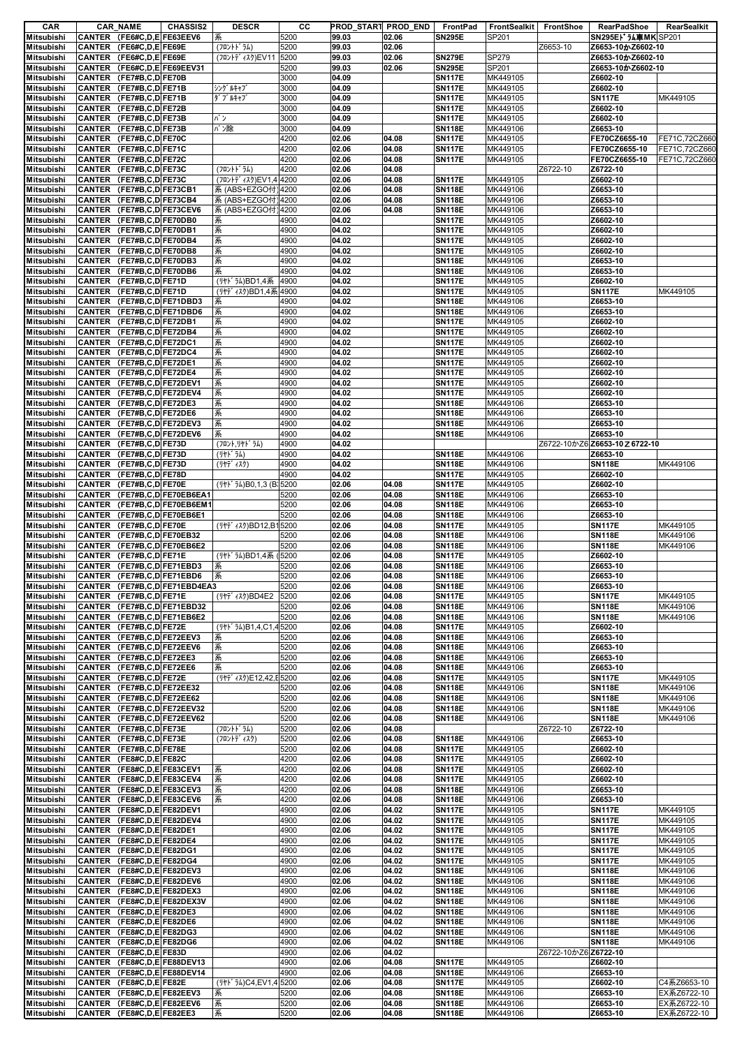| CAR                                    | <b>CAR NAME</b><br><b>CHASSIS2</b>                          | <b>DESCR</b>                                | CС           | PROD_START PROD_END |                | FrontPad                       | FrontSealkit         | <b>FrontShoe</b>     | <b>RearPadShoe</b>                         | RearSealkit          |
|----------------------------------------|-------------------------------------------------------------|---------------------------------------------|--------------|---------------------|----------------|--------------------------------|----------------------|----------------------|--------------------------------------------|----------------------|
| <b>Mitsubishi</b>                      | CANTER (FE6#C,D,E)FE63EEV6                                  | 系                                           | 5200         | 99.03               | 02.06          | <b>SN295E</b>                  | SP201                |                      | SN295EI <sup>+</sup> 认真MK SP201            |                      |
| <b>Mitsubishi</b>                      | CANTER (FE6#C,D,E)FE69E                                     | (フロントト゛ラム)                                  | 5200         | 99.03               | 02.06          |                                |                      | Z6653-10             | Z6653-10かZ6602-10                          |                      |
| <b>Mitsubishi</b>                      | CANTER (FE6#C,D,E)FE69E                                     | (フロントデ ィスク)EV11                             | 5200         | 99.03               | 02.06          | <b>SN279E</b>                  | SP279                |                      | Z6653-10かZ6602-10<br>Z6653-10かZ6602-10     |                      |
| <b>Mitsubishi</b><br><b>Mitsubishi</b> | CANTER (FE6#C,D,E)FE69EEV31<br>CANTER (FE7#B,C,D FE70B      |                                             | 5200<br>3000 | 99.03<br>04.09      | 02.06          | <b>SN295E</b><br><b>SN117E</b> | SP201<br>MK449105    |                      | Z6602-10                                   |                      |
| <b>Mitsubishi</b>                      | CANTER (FE7#B,C,D FE71B                                     | シング ルキャブ                                    | 3000         | 04.09               |                | <b>SN117E</b>                  | MK449105             |                      | Z6602-10                                   |                      |
| <b>Mitsubishi</b>                      | CANTER (FE7#B,C,D FE71B                                     | ダブ ルキャブ                                     | 3000         | 04.09               |                | <b>SN117E</b>                  | MK449105             |                      | <b>SN117E</b>                              | MK449105             |
| <b>Mitsubishi</b>                      | CANTER (FE7#B,C,D FE72B                                     |                                             | 3000         | 04.09               |                | <b>SN117E</b>                  | MK449105             |                      | Z6602-10                                   |                      |
| <b>Mitsubishi</b>                      | CANTER (FE7#B,C,D FE73B                                     | パン                                          | 3000         | 04.09               |                | <b>SN117E</b>                  | MK449105             |                      | Z6602-10                                   |                      |
| <b>Mitsubishi</b>                      | CANTER (FE7#B,C,D FE73B                                     | バン除                                         | 3000         | 04.09               |                | <b>SN118E</b>                  | MK449106             |                      | Z6653-10                                   |                      |
| <b>Mitsubishi</b>                      | CANTER (FE7#B,C,D FE70C                                     |                                             | 4200         | 02.06               | 04.08          | <b>SN117E</b>                  | MK449105             |                      | FE70CZ6655-10                              | FE71C,72CZ660        |
| <b>Mitsubishi</b>                      | CANTER (FE7#B,C,D FE71C                                     |                                             | 4200         | 02.06               | 04.08          | <b>SN117E</b>                  | MK449105             |                      | FE70CZ6655-10                              | FE71C,72CZ660        |
| <b>Mitsubishi</b>                      | CANTER (FE7#B,C,D FE72C                                     |                                             | 4200         | 02.06               | 04.08          | <b>SN117E</b>                  | MK449105             |                      | FE70CZ6655-10                              | FE71C,72CZ660        |
| <b>Mitsubishi</b>                      | CANTER (FE7#B,C,D FE73C                                     | (フロントト゛ラム)                                  | 4200         | 02.06               | 04.08          |                                |                      | Z6722-10             | Z6722-10                                   |                      |
| <b>Mitsubishi</b><br><b>Mitsubishi</b> | CANTER (FE7#B,C,D FE73C<br>CANTER (FE7#B,C,D FE73CB1        | (フロントデ ィスク)EV1,4 4200<br>系 (ABS+EZGO付) 4200 |              | 02.06<br>02.06      | 04.08<br>04.08 | <b>SN117E</b><br><b>SN118E</b> | MK449105<br>MK449106 |                      | Z6602-10<br>Z6653-10                       |                      |
| <b>Mitsubishi</b>                      | CANTER (FE7#B,C,D FE73CB4                                   | 系 (ABS+EZGO付) 4200                          |              | 02.06               | 04.08          | <b>SN118E</b>                  | MK449106             |                      | Z6653-10                                   |                      |
| <b>Mitsubishi</b>                      | CANTER (FE7#B,C,D FE73CEV6                                  | 系 (ABS+EZGO付) 4200                          |              | 02.06               | 04.08          | <b>SN118E</b>                  | MK449106             |                      | Z6653-10                                   |                      |
| Mitsubishi                             | CANTER (FE7#B,C,D FE70DB0                                   | 系                                           | 4900         | 04.02               |                | <b>SN117E</b>                  | MK449105             |                      | Z6602-10                                   |                      |
| <b>Mitsubishi</b>                      | CANTER (FE7#B,C,D FE70DB1                                   | 系                                           | 4900         | 04.02               |                | <b>SN117E</b>                  | MK449105             |                      | Z6602-10                                   |                      |
| <b>Mitsubishi</b>                      | CANTER (FE7#B,C,D FE70DB4                                   | 系                                           | 4900         | 04.02               |                | <b>SN117E</b>                  | MK449105             |                      | Z6602-10                                   |                      |
| <b>Mitsubishi</b>                      | CANTER (FE7#B,C,D FE70DB8                                   | 系                                           | 4900         | 04.02               |                | <b>SN117E</b>                  | MK449105             |                      | Z6602-10                                   |                      |
| <b>Mitsubishi</b>                      | CANTER (FE7#B,C,D FE70DB3                                   | 系                                           | 4900         | 04.02               |                | <b>SN118E</b>                  | MK449106             |                      | Z6653-10                                   |                      |
| <b>Mitsubishi</b>                      | CANTER (FE7#B,C,D FE70DB6                                   | 系                                           | 4900         | 04.02               |                | <b>SN118E</b>                  | MK449106             |                      | Z6653-10                                   |                      |
| <b>Mitsubishi</b>                      | CANTER (FE7#B,C,D FE71D                                     | (リヤドラム)BD1,4系                               | 4900         | 04.02               |                | <b>SN117E</b>                  | MK449105             |                      | Z6602-10                                   |                      |
| <b>Mitsubishi</b>                      | CANTER (FE7#B,C,D FE71D                                     | (リヤディスク)BD1,4系4900                          |              | 04.02               |                | <b>SN117E</b>                  | MK449105             |                      | <b>SN117E</b>                              | MK449105             |
| Mitsubishi                             | CANTER (FE7#B,C,D FE71DBD3                                  | 系<br>系                                      | 4900<br>4900 | 04.02<br>04.02      |                | <b>SN118E</b><br><b>SN118E</b> | MK449106             |                      | Z6653-10                                   |                      |
| <b>Mitsubishi</b><br><b>Mitsubishi</b> | CANTER (FE7#B,C,D FE71DBD6<br>CANTER (FE7#B,C,D FE72DB1     | 系                                           | 4900         | 04.02               |                | <b>SN117E</b>                  | MK449106<br>MK449105 |                      | Z6653-10<br>Z6602-10                       |                      |
| <b>Mitsubishi</b>                      | CANTER (FE7#B,C,D FE72DB4                                   | 系                                           | 4900         | 04.02               |                | <b>SN117E</b>                  | MK449105             |                      | Z6602-10                                   |                      |
| <b>Mitsubishi</b>                      | CANTER (FE7#B,C,D FE72DC1                                   | 系                                           | 4900         | 04.02               |                | <b>SN117E</b>                  | MK449105             |                      | Z6602-10                                   |                      |
| Mitsubishi                             | CANTER (FE7#B,C,D FE72DC4                                   | 系                                           | 4900         | 04.02               |                | <b>SN117E</b>                  | MK449105             |                      | Z6602-10                                   |                      |
| <b>Mitsubishi</b>                      | CANTER (FE7#B,C,D FE72DE1                                   | 系                                           | 4900         | 04.02               |                | <b>SN117E</b>                  | MK449105             |                      | Z6602-10                                   |                      |
| <b>Mitsubishi</b>                      | CANTER (FE7#B,C,D FE72DE4                                   | 系                                           | 4900         | 04.02               |                | <b>SN117E</b>                  | MK449105             |                      | Z6602-10                                   |                      |
| <b>Mitsubishi</b>                      | CANTER (FE7#B,C,D FE72DEV1                                  | 系                                           | 4900         | 04.02               |                | <b>SN117E</b>                  | MK449105             |                      | Z6602-10                                   |                      |
| <b>Mitsubishi</b>                      | CANTER (FE7#B,C,D FE72DEV4                                  | 系                                           | 4900         | 04.02               |                | <b>SN117E</b>                  | MK449105             |                      | Z6602-10                                   |                      |
| <b>Mitsubishi</b>                      | CANTER (FE7#B,C,D FE72DE3                                   | 系                                           | 4900         | 04.02               |                | <b>SN118E</b>                  | MK449106             |                      | Z6653-10                                   |                      |
| <b>Mitsubishi</b>                      | CANTER (FE7#B,C,D FE72DE6                                   | 系                                           | 4900         | 04.02               |                | <b>SN118E</b>                  | MK449106             |                      | Z6653-10                                   |                      |
| <b>Mitsubishi</b>                      | CANTER (FE7#B,C,D FE72DEV3                                  | 系                                           | 4900         | 04.02               |                | <b>SN118E</b>                  | MK449106             |                      | Z6653-10                                   |                      |
| <b>Mitsubishi</b>                      | CANTER (FE7#B,C,D FE72DEV6                                  | 系                                           | 4900         | 04.02               |                | <b>SN118E</b>                  | MK449106             |                      | Z6653-10                                   |                      |
| <b>Mitsubishi</b><br><b>Mitsubishi</b> | CANTER (FE7#B,C,D FE73D<br>CANTER (FE7#B,C,D FE73D          | (フロント,リヤドラム)<br>(リヤト ラム)                    | 4900<br>4900 | 04.02<br>04.02      |                | <b>SN118E</b>                  | MK449106             |                      | Z6722-10かZ6 Z6653-10 Z 6722-10<br>Z6653-10 |                      |
| <b>Mitsubishi</b>                      | CANTER (FE7#B,C,D FE73D                                     | (リヤデ ィスク)                                   | 4900         | 04.02               |                | <b>SN118E</b>                  | MK449106             |                      | <b>SN118E</b>                              | MK449106             |
| <b>Mitsubishi</b>                      | CANTER (FE7#B,C,D FE78D                                     |                                             | 4900         | 04.02               |                | <b>SN117E</b>                  | MK449105             |                      | Z6602-10                                   |                      |
| <b>Mitsubishi</b>                      | CANTER (FE7#B,C,D FE70E                                     | (リヤト うム)B0,1,3 (B: 5200                     |              | 02.06               | 04.08          | <b>SN117E</b>                  | MK449105             |                      | Z6602-10                                   |                      |
| <b>Mitsubishi</b>                      | CANTER (FE7#B,C,D FE70EB6EA1                                |                                             | 5200         | 02.06               | 04.08          | <b>SN118E</b>                  | MK449106             |                      | Z6653-10                                   |                      |
| <b>Mitsubishi</b>                      | CANTER (FE7#B,C,D FE70EB6EM1                                |                                             | 5200         | 02.06               | 04.08          | <b>SN118E</b>                  | MK449106             |                      | Z6653-10                                   |                      |
| <b>Mitsubishi</b>                      | CANTER (FE7#B,C,D FE70EB6E1                                 |                                             | 5200         | 02.06               | 04.08          | <b>SN118E</b>                  | MK449106             |                      | Z6653-10                                   |                      |
| <b>Mitsubishi</b>                      | CANTER (FE7#B,C,D FE70E                                     | (リヤデ ィスク)BD12,B15200                        |              | 02.06               | 04.08          | <b>SN117E</b>                  | MK449105             |                      | <b>SN117E</b>                              | MK449105             |
| <b>Mitsubishi</b>                      | CANTER (FE7#B,C,D FE70EB32                                  |                                             | 5200         | 02.06               | 04.08          | <b>SN118E</b>                  | MK449106             |                      | <b>SN118E</b>                              | MK449106             |
| <b>Mitsubishi</b>                      | CANTER (FE7#B,C,D FE70EB6E2                                 |                                             | 5200         | 02.06               | 04.08          | <b>SN118E</b>                  | MK449106             |                      | <b>SN118E</b>                              | MK449106             |
| <b>Mitsubishi</b>                      | CANTER (FE7#B,C,D FE71E                                     | (リヤドラム)BD1,4系 (5200                         |              | 02.06               | 04.08          | <b>SN117E</b>                  | MK449105             |                      | Z6602-10                                   |                      |
| <b>Mitsubishi</b>                      | CANTER (FE7#B,C,D FE71EBD3                                  | 系                                           | 5200<br>5200 | 02.06               | 04.08<br>04.08 | <b>SN118E</b>                  | MK449106             |                      | Z6653-10<br>Z6653-10                       |                      |
| <b>Mitsubishi</b><br>Mitsubishi        | CANTER (FE7#B,C,D FE71EBD6<br>CANTER (FE7#B,C,D FE71EBD4EA3 | 系                                           | 5200         | 02.06<br>02.06      | 04.08          | <b>SN118E</b><br><b>SN118E</b> | MK449106<br>MK449106 |                      | Z6653-10                                   |                      |
| Mitsubishi                             | CANTER (FE7#B,C,D FE71E                                     | ( Jヤデ ィスク)BD4E2                             | 5200         | 02.06               | 04.08          | <b>SN117E</b>                  | MK449105             |                      | <b>SN117E</b>                              | MK449105             |
| <b>Mitsubishi</b>                      | CANTER (FE7#B,C,D FE71EBD32                                 |                                             | 5200         | 02.06               | 04.08          | <b>SN118E</b>                  | MK449106             |                      | <b>SN118E</b>                              | MK449106             |
| Mitsubishi                             | CANTER (FE7#B,C,D FE71EB6E2                                 |                                             | 5200         | 02.06               | 04.08          | <b>SN118E</b>                  | MK449106             |                      | <b>SN118E</b>                              | MK449106             |
| <b>Mitsubishi</b>                      | CANTER (FE7#B,C,D FE72E                                     | (リヤト うム)B1,4,C1,45200                       |              | 02.06               | 04.08          | <b>SN117E</b>                  | MK449105             |                      | Z6602-10                                   |                      |
| <b>Mitsubishi</b>                      | CANTER (FE7#B,C,D FE72EEV3                                  | 系                                           | 5200         | 02.06               | 04.08          | <b>SN118E</b>                  | MK449106             |                      | Z6653-10                                   |                      |
| Mitsubishi                             | CANTER (FE7#B,C,D FE72EEV6                                  | 系                                           | 5200         | 02.06               | 04.08          | <b>SN118E</b>                  | MK449106             |                      | Z6653-10                                   |                      |
| <b>Mitsubishi</b>                      | CANTER (FE7#B,C,D FE72EE3                                   | 系                                           | 5200         | 02.06               | 04.08          | <b>SN118E</b>                  | MK449106             |                      | Z6653-10                                   |                      |
| <b>Mitsubishi</b>                      | CANTER (FE7#B,C,D FE72EE6                                   | 系                                           | 5200         | 02.06               | 04.08          | <b>SN118E</b>                  | MK449106             |                      | Z6653-10                                   |                      |
| Mitsubishi                             | CANTER (FE7#B,C,D FE72E                                     | (リヤデ ィスク)E12,42,E 5200                      |              | 02.06               | 04.08          | <b>SN117E</b>                  | MK449105             |                      | <b>SN117E</b>                              | MK449105             |
| <b>Mitsubishi</b><br>Mitsubishi        | CANTER (FE7#B,C,D FE72EE32<br>CANTER (FE7#B,C,D FE72EE62    |                                             | 5200<br>5200 | 02.06<br>02.06      | 04.08<br>04.08 | <b>SN118E</b><br><b>SN118E</b> | MK449106<br>MK449106 |                      | <b>SN118E</b><br><b>SN118E</b>             | MK449106<br>MK449106 |
| <b>Mitsubishi</b>                      | CANTER (FE7#B,C,D FE72EEV32                                 |                                             | 5200         | 02.06               | 04.08          | <b>SN118E</b>                  | MK449106             |                      | <b>SN118E</b>                              | MK449106             |
| <b>Mitsubishi</b>                      | CANTER (FE7#B,C,D FE72EEV62                                 |                                             | 5200         | 02.06               | 04.08          | <b>SN118E</b>                  | MK449106             |                      | <b>SN118E</b>                              | MK449106             |
| Mitsubishi                             | CANTER (FE7#B,C,D FE73E                                     | (フロントト・ラム)                                  | 5200         | 02.06               | 04.08          |                                |                      | Z6722-10             | Z6722-10                                   |                      |
| Mitsubishi                             | CANTER (FE7#B.C.D FE73E                                     | (フロントデ ィスク)                                 | 5200         | 02.06               | 04.08          | <b>SN118E</b>                  | MK449106             |                      | Z6653-10                                   |                      |
| Mitsubishi                             | CANTER (FE7#B,C,D FE78E                                     |                                             | 5200         | 02.06               | 04.08          | <b>SN117E</b>                  | MK449105             |                      | Z6602-10                                   |                      |
| Mitsubishi                             | CANTER (FE8#C,D,E)FE82C                                     |                                             | 4200         | 02.06               | 04.08          | <b>SN117E</b>                  | MK449105             |                      | Z6602-10                                   |                      |
| <b>Mitsubishi</b>                      | CANTER (FE8#C,D,E FE83CEV1                                  | 系                                           | 4200         | 02.06               | 04.08          | <b>SN117E</b>                  | MK449105             |                      | Z6602-10                                   |                      |
| <b>Mitsubishi</b>                      | CANTER (FE8#C,D,E FE83CEV4                                  | 系                                           | 4200         | 02.06               | 04.08          | <b>SN117E</b>                  | MK449105             |                      | Z6602-10                                   |                      |
| <b>Mitsubishi</b>                      | CANTER (FE8#C,D,E)FE83CEV3                                  | 系                                           | 4200         | 02.06               | 04.08          | <b>SN118E</b>                  | MK449106             |                      | Z6653-10                                   |                      |
| <b>Mitsubishi</b><br>Mitsubishi        | CANTER (FE8#C,D,E)FE83CEV6<br>CANTER (FE8#C,D,E FE82DEV1    | 系                                           | 4200<br>4900 | 02.06<br>02.06      | 04.08<br>04.02 | <b>SN118E</b><br><b>SN117E</b> | MK449106<br>MK449105 |                      | Z6653-10<br><b>SN117E</b>                  | MK449105             |
| <b>Mitsubishi</b>                      | CANTER (FE8#C,D,E)FE82DEV4                                  |                                             | 4900         | 02.06               | 04.02          | <b>SN117E</b>                  | MK449105             |                      | <b>SN117E</b>                              | MK449105             |
| Mitsubishi                             | CANTER (FE8#C,D,E FE82DE1                                   |                                             | 4900         | 02.06               | 04.02          | <b>SN117E</b>                  | MK449105             |                      | <b>SN117E</b>                              | MK449105             |
| Mitsubishi                             | CANTER (FE8#C,D,E)FE82DE4                                   |                                             | 4900         | 02.06               | 04.02          | <b>SN117E</b>                  | MK449105             |                      | <b>SN117E</b>                              | MK449105             |
| <b>Mitsubishi</b>                      | CANTER (FE8#C,D,E FE82DG1                                   |                                             | 4900         | 02.06               | 04.02          | <b>SN117E</b>                  | MK449105             |                      | <b>SN117E</b>                              | MK449105             |
| Mitsubishi                             | CANTER (FE8#C,D,E FE82DG4                                   |                                             | 4900         | 02.06               | 04.02          | <b>SN117E</b>                  | MK449105             |                      | <b>SN117E</b>                              | MK449105             |
| Mitsubishi                             | CANTER (FE8#C,D,E)FE82DEV3                                  |                                             | 4900         | 02.06               | 04.02          | <b>SN118E</b>                  | MK449106             |                      | <b>SN118E</b>                              | MK449106             |
| <b>Mitsubishi</b>                      | CANTER (FE8#C,D,E)FE82DEV6                                  |                                             | 4900         | 02.06               | 04.02          | <b>SN118E</b>                  | MK449106             |                      | <b>SN118E</b>                              | MK449106             |
| Mitsubishi                             | CANTER (FE8#C,D,E FE82DEX3                                  |                                             | 4900         | 02.06               | 04.02          | <b>SN118E</b>                  | MK449106             |                      | <b>SN118E</b>                              | MK449106             |
| Mitsubishi                             | CANTER (FE8#C,D,E)FE82DEX3V                                 |                                             | 4900         | 02.06               | 04.02          | <b>SN118E</b>                  | MK449106             |                      | <b>SN118E</b>                              | MK449106             |
| <b>Mitsubishi</b>                      | CANTER (FE8#C,D,E FE82DE3                                   |                                             | 4900         | 02.06               | 04.02          | <b>SN118E</b>                  | MK449106             |                      | <b>SN118E</b>                              | MK449106             |
| <b>Mitsubishi</b>                      | CANTER (FE8#C,D,E FE82DE6                                   |                                             | 4900<br>4900 | 02.06               | 04.02<br>04.02 | <b>SN118E</b>                  | MK449106             |                      | <b>SN118E</b>                              | MK449106             |
| Mitsubishi<br><b>Mitsubishi</b>        | CANTER (FE8#C,D,E FE82DG3<br>CANTER (FE8#C,D,E FE82DG6      |                                             | 4900         | 02.06<br>02.06      | 04.02          | <b>SN118E</b><br><b>SN118E</b> | MK449106<br>MK449106 |                      | <b>SN118E</b><br><b>SN118E</b>             | MK449106<br>MK449106 |
| Mitsubishi                             | CANTER (FE8#C,D,E FE83D                                     |                                             | 4900         | 02.06               | 04.02          |                                |                      | Z6722-10かZ6 Z6722-10 |                                            |                      |
| Mitsubishi                             | CANTER (FE8#C,D,E)FE88DEV13                                 |                                             | 4900         | 02.06               | 04.08          | <b>SN117E</b>                  | MK449105             |                      | Z6602-10                                   |                      |
| <b>Mitsubishi</b>                      | CANTER (FE8#C,D,E FE88DEV14                                 |                                             | 4900         | 02.06               | 04.08          | <b>SN118E</b>                  | MK449106             |                      | Z6653-10                                   |                      |
| Mitsubishi                             | CANTER (FE8#C,D,E)FE82E                                     | (リヤト うム)C4,EV1,45200                        |              | 02.06               | 04.08          | <b>SN117E</b>                  | MK449105             |                      | Z6602-10                                   | C4系Z6653-10          |
| Mitsubishi                             | CANTER (FE8#C,D,E FE82EEV3                                  | 系                                           | 5200         | 02.06               | 04.08          | <b>SN118E</b>                  | MK449106             |                      | Z6653-10                                   | EX系Z6722-10          |
| <b>Mitsubishi</b>                      | CANTER (FE8#C,D,E)FE82EEV6                                  | 系                                           | 5200         | 02.06               | 04.08          | <b>SN118E</b>                  | MK449106             |                      | Z6653-10                                   | EX系Z6722-10          |
| <b>Mitsubishi</b>                      | CANTER (FE8#C,D,E)FE82EE3                                   | 系                                           | 5200         | 02.06               | 04.08          | <b>SN118E</b>                  | MK449106             |                      | Z6653-10                                   | EX系Z6722-10          |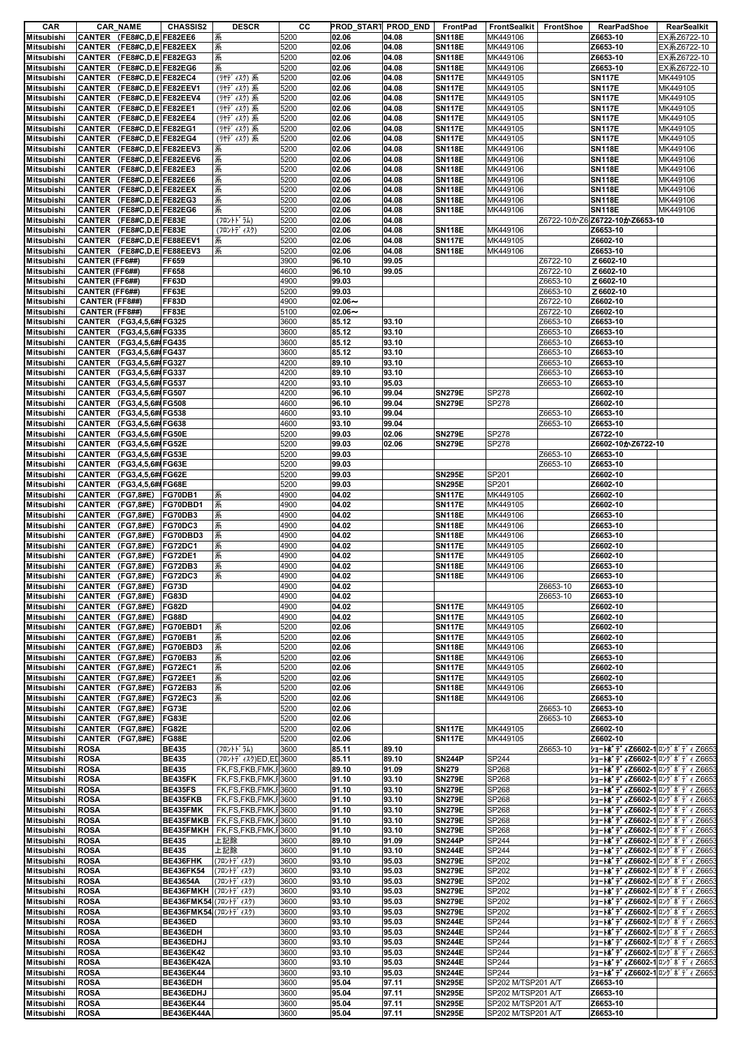| CAR               |                  | <b>CAR_NAME</b>            | <b>CHASSIS2</b>       | <b>DESCR</b>        | cс   |           | PROD_START PROD_END | FrontPad      | FrontSealkit FrontShoe |          | <b>RearPadShoe</b>                            | RearSealkit |
|-------------------|------------------|----------------------------|-----------------------|---------------------|------|-----------|---------------------|---------------|------------------------|----------|-----------------------------------------------|-------------|
| Mitsubishi        |                  | CANTER (FE8#C,D,E)FE82EE6  |                       | 系                   | 5200 | 02.06     | 04.08               | <b>SN118E</b> | MK449106               |          | Z6653-10                                      | EX系Z6722-10 |
| <b>Mitsubishi</b> |                  | CANTER (FE8#C,D,E)FE82EEX  |                       | 系                   | 5200 | 02.06     | 04.08               | <b>SN118E</b> | MK449106               |          | Z6653-10                                      | EX系Z6722-10 |
| Mitsubishi        |                  | CANTER (FE8#C,D,E)FE82EG3  |                       | 系                   | 5200 | 02.06     | 04.08               | <b>SN118E</b> | MK449106               |          | Z6653-10                                      | EX系Z6722-10 |
|                   |                  |                            |                       |                     |      |           |                     |               |                        |          |                                               |             |
| <b>Mitsubishi</b> |                  | CANTER (FE8#C,D,E)FE82EG6  |                       | 系                   | 5200 | 02.06     | 04.08               | <b>SN118E</b> | MK449106               |          | Z6653-10                                      | EX系Z6722-10 |
| <b>Mitsubishi</b> |                  | CANTER (FE8#C,D,E)FE82EC4  |                       | (リヤディスク) 系          | 5200 | 02.06     | 04.08               | <b>SN117E</b> | MK449105               |          | <b>SN117E</b>                                 | MK449105    |
| <b>Mitsubishi</b> |                  | CANTER (FE8#C,D,E)FE82EEV1 |                       | (リヤディスク)系           | 5200 | 02.06     | 04.08               | <b>SN117E</b> | MK449105               |          | <b>SN117E</b>                                 | MK449105    |
| <b>Mitsubishi</b> |                  | CANTER (FE8#C,D,E)FE82EEV4 |                       | (リヤディスク) 系          | 5200 | 02.06     | 04.08               | <b>SN117E</b> | MK449105               |          | <b>SN117E</b>                                 | MK449105    |
| <b>Mitsubishi</b> |                  | CANTER (FE8#C,D,E)FE82EE1  |                       | (リヤディスク)系           | 5200 | 02.06     | 04.08               | <b>SN117E</b> | MK449105               |          | <b>SN117E</b>                                 | MK449105    |
| <b>Mitsubishi</b> |                  | CANTER (FE8#C,D,E)FE82EE4  |                       | (リヤディスク)系           | 5200 | 02.06     | 04.08               | <b>SN117E</b> | MK449105               |          | <b>SN117E</b>                                 | MK449105    |
| <b>Mitsubishi</b> |                  | CANTER (FE8#C,D,E)FE82EG1  |                       | (リヤディスク) 系          | 5200 | 02.06     | 04.08               | <b>SN117E</b> | MK449105               |          | <b>SN117E</b>                                 | MK449105    |
|                   |                  |                            |                       |                     |      |           |                     |               |                        |          |                                               |             |
| <b>Mitsubishi</b> |                  | CANTER (FE8#C,D,E FE82EG4  |                       | (リヤディスク)系           | 5200 | 02.06     | 04.08               | <b>SN117E</b> | MK449105               |          | <b>SN117E</b>                                 | MK449105    |
| <b>Mitsubishi</b> | <b>CANTER</b>    | (FE8#C,D,E)FE82EEV3        |                       | 系                   | 5200 | 02.06     | 04.08               | <b>SN118E</b> | MK449106               |          | <b>SN118E</b>                                 | MK449106    |
| <b>Mitsubishi</b> |                  | CANTER (FE8#C,D,E)FE82EEV6 |                       | 系                   | 5200 | 02.06     | 04.08               | <b>SN118E</b> | MK449106               |          | <b>SN118E</b>                                 | MK449106    |
| Mitsubishi        |                  | CANTER (FE8#C,D,E)FE82EE3  |                       | 系                   | 5200 | 02.06     | 04.08               | <b>SN118E</b> | MK449106               |          | <b>SN118E</b>                                 | MK449106    |
| <b>Mitsubishi</b> |                  | CANTER (FE8#C,D,E)FE82EE6  |                       | 系                   | 5200 | 02.06     | 04.08               | <b>SN118E</b> | MK449106               |          | <b>SN118E</b>                                 | MK449106    |
| <b>Mitsubishi</b> |                  | CANTER (FE8#C,D,E)FE82EEX  |                       | 系                   | 5200 | 02.06     | 04.08               | <b>SN118E</b> | MK449106               |          | <b>SN118E</b>                                 | MK449106    |
| <b>Mitsubishi</b> |                  | CANTER (FE8#C,D,E)FE82EG3  |                       | 系                   | 5200 | 02.06     | 04.08               | <b>SN118E</b> | MK449106               |          | <b>SN118E</b>                                 | MK449106    |
|                   |                  |                            |                       |                     |      |           |                     |               |                        |          |                                               |             |
| <b>Mitsubishi</b> |                  | CANTER (FE8#C,D,E)FE82EG6  |                       | 系                   | 5200 | 02.06     | 04.08               | <b>SN118E</b> | MK449106               |          | <b>SN118E</b>                                 | MK449106    |
| <b>Mitsubishi</b> |                  | CANTER (FE8#C,D,E FE83E    |                       | (フロントドラム)           | 5200 | 02.06     | 04.08               |               |                        |          | Z6722-10かZ6 Z6722-10かZ6653-10                 |             |
| <b>Mitsubishi</b> |                  | CANTER (FE8#C,D,E)FE83E    |                       | (フロントデ ィスク)         | 5200 | 02.06     | 04.08               | <b>SN118E</b> | MK449106               |          | Z6653-10                                      |             |
| <b>Mitsubishi</b> |                  | CANTER (FE8#C,D,E)FE88EEV1 |                       | 系                   | 5200 | 02.06     | 04.08               | <b>SN117E</b> | MK449105               |          | Z6602-10                                      |             |
| Mitsubishi        |                  | CANTER (FE8#C,D,E FE88EEV3 |                       | 系                   | 5200 | 02.06     | 04.08               | <b>SN118E</b> | MK449106               |          | Z6653-10                                      |             |
| <b>Mitsubishi</b> | CANTER (FF6##)   |                            | FF659                 |                     | 3900 | 96.10     | 99.05               |               |                        | Z6722-10 | Z6602-10                                      |             |
|                   |                  |                            |                       |                     |      |           |                     |               |                        |          |                                               |             |
| <b>Mitsubishi</b> | CANTER (FF6##)   |                            | FF658                 |                     | 4600 | 96.10     | 99.05               |               |                        | Z6722-10 | Z6602-10                                      |             |
| <b>Mitsubishi</b> | CANTER (FF6##)   |                            | FF63D                 |                     | 4900 | 99.03     |                     |               |                        | Z6653-10 | Z 6602-10                                     |             |
| <b>Mitsubishi</b> | CANTER (FF6##)   |                            | FF63E                 |                     | 5200 | 99.03     |                     |               |                        | Z6653-10 | Z 6602-10                                     |             |
| <b>Mitsubishi</b> | CANTER (FF8##)   |                            | <b>FF83D</b>          |                     | 4900 | $02.06 -$ |                     |               |                        | Z6722-10 | Z6602-10                                      |             |
| <b>Mitsubishi</b> | CANTER (FF8##)   |                            | FF83E                 |                     | 5100 | $02.06 -$ |                     |               |                        | Z6722-10 | Z6602-10                                      |             |
| <b>Mitsubishi</b> |                  | CANTER (FG3,4,5,6# FG325   |                       |                     | 3600 | 85.12     | 93.10               |               |                        | Z6653-10 | Z6653-10                                      |             |
| <b>Mitsubishi</b> |                  |                            |                       |                     |      |           |                     |               |                        |          |                                               |             |
|                   |                  | CANTER (FG3,4,5,6# FG335   |                       |                     | 3600 | 85.12     | 93.10               |               |                        | Z6653-10 | Z6653-10                                      |             |
| <b>Mitsubishi</b> |                  | CANTER (FG3,4,5,6# FG435   |                       |                     | 3600 | 85.12     | 93.10               |               |                        | Z6653-10 | Z6653-10                                      |             |
| <b>Mitsubishi</b> |                  | CANTER (FG3,4,5,6#FG437    |                       |                     | 3600 | 85.12     | 93.10               |               |                        | Z6653-10 | Z6653-10                                      |             |
| <b>Mitsubishi</b> |                  | CANTER (FG3,4,5,6# FG327   |                       |                     | 4200 | 89.10     | 93.10               |               |                        | Z6653-10 | Z6653-10                                      |             |
| <b>Mitsubishi</b> |                  | CANTER (FG3,4,5,6# FG337   |                       |                     | 4200 | 89.10     | 93.10               |               |                        | Z6653-10 | Z6653-10                                      |             |
| <b>Mitsubishi</b> |                  | CANTER (FG3,4,5,6# FG537   |                       |                     | 4200 | 93.10     | 95.03               |               |                        | Z6653-10 | Z6653-10                                      |             |
| Mitsubishi        |                  | CANTER (FG3,4,5,6# FG507   |                       |                     | 4200 | 96.10     | 99.04               |               |                        |          | Z6602-10                                      |             |
|                   |                  |                            |                       |                     |      |           |                     | <b>SN279E</b> | <b>SP278</b>           |          |                                               |             |
| <b>Mitsubishi</b> |                  | CANTER (FG3,4,5,6#FG508    |                       |                     | 4600 | 96.10     | 99.04               | <b>SN279E</b> | SP278                  |          | Z6602-10                                      |             |
| <b>Mitsubishi</b> |                  | CANTER (FG3,4,5,6#FG538    |                       |                     | 4600 | 93.10     | 99.04               |               |                        | Z6653-10 | Z6653-10                                      |             |
| Mitsubishi        |                  | CANTER (FG3,4,5,6# FG638   |                       |                     | 4600 | 93.10     | 99.04               |               |                        | Z6653-10 | Z6653-10                                      |             |
| <b>Mitsubishi</b> |                  | CANTER (FG3,4,5,6# FG50E   |                       |                     | 5200 | 99.03     | 02.06               | <b>SN279E</b> | SP278                  |          | Z6722-10                                      |             |
| <b>Mitsubishi</b> |                  | CANTER (FG3,4,5,6#FG52E    |                       |                     | 5200 | 99.03     | 02.06               | <b>SN279E</b> | <b>SP278</b>           |          | Z6602-10かZ6722-10                             |             |
|                   |                  | CANTER (FG3,4,5,6# FG53E   |                       |                     | 5200 |           |                     |               |                        | Z6653-10 | Z6653-10                                      |             |
| <b>Mitsubishi</b> |                  |                            |                       |                     |      | 99.03     |                     |               |                        |          |                                               |             |
| <b>Mitsubishi</b> |                  | CANTER (FG3,4,5,6# FG63E   |                       |                     | 5200 | 99.03     |                     |               |                        | Z6653-10 | Z6653-10                                      |             |
| <b>Mitsubishi</b> |                  | CANTER (FG3,4,5,6# FG62E   |                       |                     | 5200 | 99.03     |                     | <b>SN295E</b> | SP201                  |          | Z6602-10                                      |             |
| <b>Mitsubishi</b> |                  | CANTER (FG3,4,5,6# FG68E   |                       |                     | 5200 | 99.03     |                     | <b>SN295E</b> | SP201                  |          | Z6602-10                                      |             |
| <b>Mitsubishi</b> | CANTER (FG7,8#E) |                            | FG70DB1               | 系                   | 4900 | 04.02     |                     | <b>SN117E</b> | MK449105               |          | Z6602-10                                      |             |
| <b>Mitsubishi</b> | CANTER (FG7,8#E) |                            | FG70DBD1              | 系                   | 4900 | 04.02     |                     | <b>SN117E</b> | MK449105               |          | Z6602-10                                      |             |
|                   |                  |                            | FG70DB3               |                     | 4900 | 04.02     |                     | <b>SN118E</b> |                        |          | Z6653-10                                      |             |
| <b>Mitsubishi</b> | CANTER (FG7,8#E) |                            |                       | 系                   |      |           |                     |               | MK449106               |          |                                               |             |
| <b>Mitsubishi</b> | CANTER (FG7,8#E) |                            | FG70DC3               | 系                   | 4900 | 04.02     |                     | <b>SN118E</b> | MK449106               |          | Z6653-10                                      |             |
| <b>Mitsubishi</b> | CANTER (FG7,8#E) |                            | FG70DBD3              | 系                   | 4900 | 04.02     |                     | <b>SN118E</b> | MK449106               |          | Z6653-10                                      |             |
| <b>Mitsubishi</b> | CANTER (FG7,8#E) |                            | <b>FG72DC1</b>        | 系                   | 4900 | 04.02     |                     | <b>SN117E</b> | MK449105               |          | Z6602-10                                      |             |
| <b>Mitsubishi</b> | CANTER (FG7,8#E) |                            | <b>FG72DE1</b>        | 系                   | 4900 | 04.02     |                     | <b>SN117E</b> | MK449105               |          | Z6602-10                                      |             |
| <b>Mitsubishi</b> | CANTER (FG7,8#E) |                            | FG72DB3               | 系                   | 4900 | 04.02     |                     | <b>SN118E</b> | MK449106               |          | Z6653-10                                      |             |
| <b>Mitsubishi</b> | CANTER (FG7,8#E) |                            | FG72DC3               | 系                   | 4900 | 04.02     |                     | <b>SN118E</b> | MK449106               |          | Z6653-10                                      |             |
|                   |                  |                            |                       |                     |      |           |                     |               |                        |          |                                               |             |
| Mitsubishi        | CANTER (FG7,8#E) |                            | FG73D                 |                     | 4900 | 04.02     |                     |               |                        | Z6653-10 | Z6653-10                                      |             |
| Mitsubishi        | CANTER (FG7,8#E) |                            | <b>FG83D</b>          |                     | 4900 | 04.02     |                     |               |                        | Z6653-10 | Z6653-10                                      |             |
| <b>Mitsubishi</b> | CANTER (FG7,8#E) |                            | FG82D                 |                     | 4900 | 04.02     |                     | <b>SN117E</b> | MK449105               |          | Z6602-10                                      |             |
| <b>Mitsubishi</b> | CANTER (FG7,8#E) |                            | <b>FG88D</b>          |                     | 4900 | 04.02     |                     | <b>SN117E</b> | MK449105               |          | Z6602-10                                      |             |
| Mitsubishi        | CANTER (FG7,8#E) |                            | FG70EBD1              | 系                   | 5200 | 02.06     |                     | <b>SN117E</b> | MK449105               |          | Z6602-10                                      |             |
| Mitsubishi        | CANTER (FG7,8#E) |                            | FG70EB1               | 系                   | 5200 | 02.06     |                     | <b>SN117E</b> | MK449105               |          | Z6602-10                                      |             |
|                   |                  |                            |                       |                     |      |           |                     |               |                        |          |                                               |             |
| Mitsubishi        | CANTER (FG7,8#E) |                            | FG70EBD3              | 系                   | 5200 | 02.06     |                     | <b>SN118E</b> | MK449106               |          | Z6653-10                                      |             |
| <b>Mitsubishi</b> | CANTER (FG7,8#E) |                            | FG70EB3               | 系                   | 5200 | 02.06     |                     | <b>SN118E</b> | MK449106               |          | Z6653-10                                      |             |
| Mitsubishi        | CANTER (FG7,8#E) |                            | <b>FG72EC1</b>        | 系                   | 5200 | 02.06     |                     | <b>SN117E</b> | MK449105               |          | Z6602-10                                      |             |
| Mitsubishi        | CANTER (FG7,8#E) |                            | <b>FG72EE1</b>        | 系                   | 5200 | 02.06     |                     | <b>SN117E</b> | MK449105               |          | Z6602-10                                      |             |
| Mitsubishi        | CANTER (FG7,8#E) |                            | FG72EB3               | 系                   | 5200 | 02.06     |                     | <b>SN118E</b> | MK449106               |          | Z6653-10                                      |             |
| Mitsubishi        | CANTER (FG7,8#E) |                            | FG72EC3               | 系                   | 5200 | 02.06     |                     | <b>SN118E</b> | MK449106               |          | Z6653-10                                      |             |
| Mitsubishi        | CANTER (FG7,8#E) |                            | FG73E                 |                     | 5200 | 02.06     |                     |               |                        | Z6653-10 | Z6653-10                                      |             |
|                   |                  |                            |                       |                     |      |           |                     |               |                        |          |                                               |             |
| Mitsubishi        | CANTER (FG7,8#E) |                            | FG83E                 |                     | 5200 | 02.06     |                     |               |                        | Z6653-10 | Z6653-10                                      |             |
| <b>Mitsubishi</b> | CANTER (FG7,8#E) |                            | FG82E                 |                     | 5200 | 02.06     |                     | <b>SN117E</b> | MK449105               |          | Z6602-10                                      |             |
| Mitsubishi        | CANTER (FG7,8#E) |                            | FG88E                 |                     | 5200 | 02.06     |                     | <b>SN117E</b> | MK449105               |          | Z6602-10                                      |             |
| Mitsubishi        | <b>ROSA</b>      |                            | <b>BE435</b>          | (フロントト゛ラム)          | 3600 | 85.11     | 89.10               |               |                        | Z6653-10 | ショートホ <sup>*</sup> デ 4Z6602-1 ロング ボ デ 4 Z6653 |             |
| Mitsubishi        | <b>ROSA</b>      |                            | <b>BE435</b>          | (フロントディスク)ED,EE3600 |      | 85.11     | 89.10               | <b>SN244P</b> | SP244                  |          | ショートポ デ 4Z6602-1 ロング ボ デ 4 Z6653              |             |
| Mitsubishi        | <b>ROSA</b>      |                            | <b>BE435</b>          | FK,FS,FKB,FMK,F3600 |      | 89.10     | 91.09               | <b>SN279</b>  | <b>SP268</b>           |          | ショートポ デ 4Z6602-1 ロング ボ デ 4 Z665               |             |
| Mitsubishi        | <b>ROSA</b>      |                            | BE435FK               | FK,FS,FKB,FMK,F3600 |      | 91.10     | 93.10               | <b>SN279E</b> | SP268                  |          | ジョートポ デ 4Z6602-1 ロング ボ デ 4 Z6653              |             |
|                   |                  |                            |                       |                     |      |           |                     |               |                        |          |                                               |             |
| Mitsubishi        | <b>ROSA</b>      |                            | <b>BE435FS</b>        | FK,FS,FKB,FMK,F3600 |      | 91.10     | 93.10               | <b>SN279E</b> | SP268                  |          | ショートホ <sup>*</sup> デ 4Z6602-1 ロング ボ デ 4 Z6653 |             |
| <b>Mitsubishi</b> | <b>ROSA</b>      |                            | BE435FKB              | FK,FS,FKB,FMK,F3600 |      | 91.10     | 93.10               | <b>SN279E</b> | SP268                  |          | ショートポ デ 4Z6602-1 ロング ボ デ 4 Z6653              |             |
| Mitsubishi        | <b>ROSA</b>      |                            | BE435FMK              | FK,FS,FKB,FMK,F3600 |      | 91.10     | 93.10               | <b>SN279E</b> | <b>SP268</b>           |          | ショートポ デ 4Z6602-1 ロング ボ デ 4 Z6653              |             |
| Mitsubishi        | <b>ROSA</b>      |                            | <b>BE435FMKB</b>      | FK,FS,FKB,FMK,F3600 |      | 91.10     | 93.10               | <b>SN279E</b> | <b>SP268</b>           |          | ショートポ デ 4Z6602-1 ロング ボ デ 4 Z6653              |             |
| Mitsubishi        | <b>ROSA</b>      |                            | <b>BE435FMKH</b>      | FK,FS,FKB,FMK,F3600 |      | 91.10     | 93.10               | <b>SN279E</b> | <b>SP268</b>           |          | ジョートボディZ6602-1ロングボディZ6653                     |             |
| <b>Mitsubishi</b> | <b>ROSA</b>      |                            | <b>BE435</b>          | 上記除                 | 3600 | 89.10     | 91.09               | <b>SN244P</b> | SP244                  |          | ショートホ <sup>*</sup> デ 4Z6602-1 ロング ボ デ 4 Z6653 |             |
|                   |                  |                            |                       |                     |      |           |                     |               |                        |          |                                               |             |
| Mitsubishi        | <b>ROSA</b>      |                            | <b>BE435</b>          | 上記除                 | 3600 | 91.10     | 93.10               | <b>SN244E</b> | <b>SP244</b>           |          | ショートポ デ 4Z6602-1 ロング ボ デ 4 Z6653              |             |
| Mitsubishi        | <b>ROSA</b>      |                            | BE436FHK              | (フロントデ ィスク)         | 3600 | 93.10     | 95.03               | <b>SN279E</b> | SP202                  |          | ジョートポディZ6602-1 ロング ボディ Z6653                  |             |
| <b>Mitsubishi</b> | <b>ROSA</b>      |                            | <b>BE436FK54</b>      | (フロントデ゛ィスク)         | 3600 | 93.10     | 95.03               | <b>SN279E</b> | SP202                  |          | ショートポ デ 4Z6602-1 ロング ボ デ 4 Z6653              |             |
| Mitsubishi        | <b>ROSA</b>      |                            | <b>BE43654A</b>       | (フロントデ ィスク)         | 3600 | 93.10     | 95.03               | <b>SN279E</b> | SP202                  |          | ショートホ <sup>*</sup> デ 4Z6602-1 ロング ボ デ 4 Z6653 |             |
| Mitsubishi        | <b>ROSA</b>      |                            | BE436FMKH (フロントディスク)  |                     | 3600 | 93.10     | 95.03               | <b>SN279E</b> | SP202                  |          | ショートポ デ 4Z6602-1 ロング ボ デ 4 Z6653              |             |
| Mitsubishi        | <b>ROSA</b>      |                            | BE436FMK54 (フロントディスク) |                     | 3600 | 93.10     | 95.03               | <b>SN279E</b> | SP202                  |          | ショートポ デ 4Z6602-1 ロング ボ デ 4 Z6653              |             |
|                   |                  |                            |                       |                     |      |           |                     |               |                        |          |                                               |             |
| <b>Mitsubishi</b> | <b>ROSA</b>      |                            | BE436FMK54 (フロントディスク) |                     | 3600 | 93.10     | 95.03               | <b>SN279E</b> | SP202                  |          | ジョートポ デ 4Z6602-1 ロング ボ デ 4 Z6653              |             |
| Mitsubishi        | <b>ROSA</b>      |                            | BE436ED               |                     | 3600 | 93.10     | 95.03               | <b>SN244E</b> | <b>SP244</b>           |          | ジョートホ <sup>*</sup> デ 4Z6602-1 ロング ボ デ 4 Z6653 |             |
| Mitsubishi        | <b>ROSA</b>      |                            | BE436EDH              |                     | 3600 | 93.10     | 95.03               | <b>SN244E</b> | SP244                  |          | ショートポ デ 4Z6602-1 ロング ボ デ 4 Z6653              |             |
| Mitsubishi        | <b>ROSA</b>      |                            | BE436EDHJ             |                     | 3600 | 93.10     | 95.03               | <b>SN244E</b> | SP244                  |          | ショートポ デ 4Z6602-1 ロング ボ デ 4 Z6653              |             |
| <b>Mitsubishi</b> | <b>ROSA</b>      |                            | <b>BE436EK42</b>      |                     | 3600 | 93.10     | 95.03               | <b>SN244E</b> | <b>SP244</b>           |          | ジョートポ デ 4Z6602-1 ロング ボ デ 4 Z6653              |             |
| Mitsubishi        | <b>ROSA</b>      |                            | BE436EK42A            |                     | 3600 | 93.10     | 95.03               | <b>SN244E</b> | <b>SP244</b>           |          | ジョートホ <sup>*</sup> デ 4Z6602-1 ロング ボ デ 4 Z6653 |             |
|                   |                  |                            |                       |                     |      |           |                     |               |                        |          |                                               |             |
| Mitsubishi        | <b>ROSA</b>      |                            | <b>BE436EK44</b>      |                     | 3600 | 93.10     | 95.03               | <b>SN244E</b> | SP244                  |          | ショートポ デ 4Z6602-1 ロング ボ デ 4 Z6653              |             |
| <b>Mitsubishi</b> | <b>ROSA</b>      |                            | BE436EDH              |                     | 3600 | 95.04     | 97.11               | <b>SN295E</b> | SP202 M/TSP201 A/T     |          | Z6653-10                                      |             |
| <b>Mitsubishi</b> | <b>ROSA</b>      |                            | BE436EDHJ             |                     | 3600 | 95.04     | 97.11               | <b>SN295E</b> | SP202 M/TSP201 A/T     |          | Z6653-10                                      |             |
| <b>Mitsubishi</b> | <b>ROSA</b>      |                            | <b>BE436EK44</b>      |                     | 3600 | 95.04     | 97.11               | <b>SN295E</b> | SP202 M/TSP201 A/T     |          | Z6653-10                                      |             |
| <b>Mitsubishi</b> | <b>ROSA</b>      |                            | BE436EK44A            |                     | 3600 | 95.04     | 97.11               | <b>SN295E</b> | SP202 M/TSP201 A/T     |          | Z6653-10                                      |             |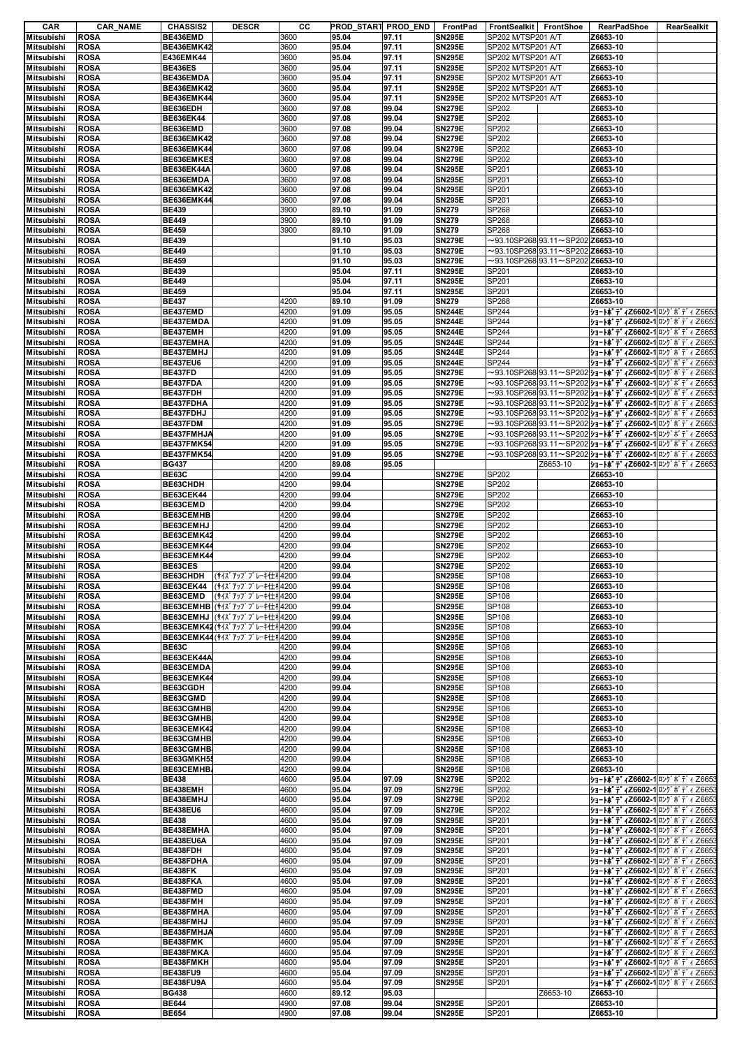| CAR               | <b>CAR_NAME</b> | <b>CHASSIS2</b>   | <b>DESCR</b>                 | cс   |       | PROD_START PROD_END | FrontPad      | FrontSealkit FrontShoe |                                               |          | RearPadShoe | RearSealkit                                                  |
|-------------------|-----------------|-------------------|------------------------------|------|-------|---------------------|---------------|------------------------|-----------------------------------------------|----------|-------------|--------------------------------------------------------------|
| Mitsubishi        | <b>ROSA</b>     | BE436EMD          |                              | 3600 | 95.04 | 97.11               | <b>SN295E</b> | SP202 M/TSP201 A/T     |                                               | Z6653-10 |             |                                                              |
| <b>Mitsubishi</b> | <b>ROSA</b>     | <b>BE436EMK42</b> |                              | 3600 | 95.04 | 97.11               | <b>SN295E</b> | SP202 M/TSP201 A/T     |                                               | Z6653-10 |             |                                                              |
| <b>Mitsubishi</b> | <b>ROSA</b>     | E436EMK44         |                              | 3600 | 95.04 | 97.11               | <b>SN295E</b> | SP202 M/TSP201 A/T     |                                               | Z6653-10 |             |                                                              |
| <b>Mitsubishi</b> | <b>ROSA</b>     | <b>BE436ES</b>    |                              | 3600 | 95.04 | 97.11               | <b>SN295E</b> | SP202 M/TSP201 A/T     |                                               | Z6653-10 |             |                                                              |
| Mitsubishi        | <b>ROSA</b>     | BE436EMDA         |                              | 3600 | 95.04 | 97.11               | <b>SN295E</b> | SP202 M/TSP201 A/T     |                                               | Z6653-10 |             |                                                              |
| <b>Mitsubishi</b> | <b>ROSA</b>     | <b>BE436EMK42</b> |                              | 3600 | 95.04 | 97.11               | <b>SN295E</b> | SP202 M/TSP201 A/T     |                                               | Z6653-10 |             |                                                              |
| <b>Mitsubishi</b> | <b>ROSA</b>     | <b>BE436EMK44</b> |                              | 3600 | 95.04 | 97.11               | <b>SN295E</b> | SP202 M/TSP201 A/T     |                                               | Z6653-10 |             |                                                              |
| Mitsubishi        | <b>ROSA</b>     | BE636EDH          |                              | 3600 | 97.08 | 99.04               | <b>SN279E</b> | SP202                  |                                               | Z6653-10 |             |                                                              |
| <b>Mitsubishi</b> | <b>ROSA</b>     | <b>BE636EK44</b>  |                              | 3600 | 97.08 | 99.04               | <b>SN279E</b> | SP202                  |                                               | Z6653-10 |             |                                                              |
| Mitsubishi        | <b>ROSA</b>     | BE636EMD          |                              | 3600 | 97.08 | 99.04               | <b>SN279E</b> | SP202                  |                                               | Z6653-10 |             |                                                              |
| <b>Mitsubishi</b> | <b>ROSA</b>     | <b>BE636EMK42</b> |                              | 3600 | 97.08 | 99.04               | <b>SN279E</b> | SP202                  |                                               | Z6653-10 |             |                                                              |
| <b>Mitsubishi</b> | <b>ROSA</b>     | <b>BE636EMK44</b> |                              | 3600 | 97.08 | 99.04               | <b>SN279E</b> | SP202                  |                                               | Z6653-10 |             |                                                              |
| <b>Mitsubishi</b> | <b>ROSA</b>     | BE636EMKES        |                              | 3600 | 97.08 | 99.04               | <b>SN279E</b> | SP202                  |                                               | Z6653-10 |             |                                                              |
| <b>Mitsubishi</b> | <b>ROSA</b>     | <b>BE636EK44A</b> |                              | 3600 | 97.08 | 99.04               | <b>SN295E</b> | SP201                  |                                               | Z6653-10 |             |                                                              |
| <b>Mitsubishi</b> | <b>ROSA</b>     | BE636EMDA         |                              | 3600 | 97.08 | 99.04               | <b>SN295E</b> | SP201                  |                                               | Z6653-10 |             |                                                              |
| <b>Mitsubishi</b> | <b>ROSA</b>     | <b>BE636EMK42</b> |                              | 3600 | 97.08 | 99.04               | <b>SN295E</b> | SP201                  |                                               | Z6653-10 |             |                                                              |
| <b>Mitsubishi</b> | <b>ROSA</b>     | <b>BE636EMK44</b> |                              | 3600 | 97.08 | 99.04               | <b>SN295E</b> | SP201                  |                                               | Z6653-10 |             |                                                              |
| <b>Mitsubishi</b> | <b>ROSA</b>     | <b>BE439</b>      |                              | 3900 | 89.10 | 91.09               | <b>SN279</b>  | SP268                  |                                               | Z6653-10 |             |                                                              |
| <b>Mitsubishi</b> | <b>ROSA</b>     | <b>BE449</b>      |                              | 3900 | 89.10 | 91.09               | <b>SN279</b>  | SP268                  |                                               | Z6653-10 |             |                                                              |
| <b>Mitsubishi</b> | <b>ROSA</b>     | <b>BE459</b>      |                              | 3900 | 89.10 | 91.09               | <b>SN279</b>  | SP268                  |                                               | Z6653-10 |             |                                                              |
| <b>Mitsubishi</b> | <b>ROSA</b>     | <b>BE439</b>      |                              |      | 91.10 | 95.03               | <b>SN279E</b> |                        | $\sim$ 93.10SP268 93.11 $\sim$ SP202 Z6653-10 |          |             |                                                              |
| Mitsubishi        | <b>ROSA</b>     | <b>BE449</b>      |                              |      | 91.10 | 95.03               | <b>SN279E</b> |                        | $\sim$ 93.10SP268 93.11 $\sim$ SP202 Z6653-10 |          |             |                                                              |
| <b>Mitsubishi</b> | <b>ROSA</b>     | <b>BE459</b>      |                              |      | 91.10 | 95.03               | <b>SN279E</b> |                        | $\sim$ 93.10SP268 93.11 $\sim$ SP202 Z6653-10 |          |             |                                                              |
| <b>Mitsubishi</b> | <b>ROSA</b>     | <b>BE439</b>      |                              |      | 95.04 | 97.11               | <b>SN295E</b> | SP201                  |                                               | Z6653-10 |             |                                                              |
| <b>Mitsubishi</b> | <b>ROSA</b>     | <b>BE449</b>      |                              |      | 95.04 | 97.11               | <b>SN295E</b> | SP201                  |                                               | Z6653-10 |             |                                                              |
| <b>Mitsubishi</b> | <b>ROSA</b>     | <b>BE459</b>      |                              |      | 95.04 | 97.11               | <b>SN295E</b> | SP201                  |                                               | Z6653-10 |             |                                                              |
| <b>Mitsubishi</b> | <b>ROSA</b>     | <b>BE437</b>      |                              | 4200 | 89.10 | 91.09               | <b>SN279</b>  | SP268                  |                                               | Z6653-10 |             |                                                              |
| <b>Mitsubishi</b> | <b>ROSA</b>     | BE437EMD          |                              | 4200 | 91.09 | 95.05               | <b>SN244E</b> | <b>SP244</b>           |                                               |          |             | ショートポ デ 4Z6602-1 ロング ボ デ 4 Z665                              |
| <b>Mitsubishi</b> | <b>ROSA</b>     | BE437EMDA         |                              | 4200 | 91.09 | 95.05               | <b>SN244E</b> | SP244                  |                                               |          |             | ジョートボディZ6602-1ロング ボディ Z665                                   |
| Mitsubishi        | <b>ROSA</b>     | BE437EMH          |                              | 4200 | 91.09 | 95.05               | <b>SN244E</b> | SP244                  |                                               |          |             | ショートポ デ 4Z6602-1 ロング ボ デ 4 Z665                              |
| <b>Mitsubishi</b> | <b>ROSA</b>     | BE437EMHA         |                              | 4200 | 91.09 | 95.05               | <b>SN244E</b> | SP244                  |                                               |          |             |                                                              |
|                   |                 |                   |                              |      |       |                     |               |                        |                                               |          |             | ジョートポディZ6602-1 ロング ボディZ665                                   |
| Mitsubishi        | <b>ROSA</b>     | BE437EMHJ         |                              | 4200 | 91.09 | 95.05               | <b>SN244E</b> | SP244                  |                                               |          |             | ジョートボ デ 4Z6602-1 ロング ボ デ 4 Z665                              |
| <b>Mitsubishi</b> | <b>ROSA</b>     | <b>BE437EU6</b>   |                              | 4200 | 91.09 | 95.05               | <b>SN244E</b> | SP244                  |                                               |          |             | ジョートポ デ 4Z6602-1 ロング ボ デ 4 Z665                              |
| <b>Mitsubishi</b> | <b>ROSA</b>     | <b>BE437FD</b>    |                              | 4200 | 91.09 | 95.05               | <b>SN279E</b> |                        |                                               |          |             | ~93.10SP268 93.11~SP202  <b>ショートボディZ6602-1</b>  ロングボディ Z665  |
| Mitsubishi        | <b>ROSA</b>     | BE437FDA          |                              | 4200 | 91.09 | 95.05               | <b>SN279E</b> |                        |                                               |          |             | ~93.10SP268 93.11~SP202  <b>ショートボディZ6602-1</b>  ロングボディ Z665: |
| <b>Mitsubishi</b> | <b>ROSA</b>     | BE437FDH          |                              | 4200 | 91.09 | 95.05               | <b>SN279E</b> |                        |                                               |          |             | ~93.10SP268 93.11~SP202  <b>ショートボディZ6602-1</b>  ロングボディ Z6653 |
| <b>Mitsubishi</b> | <b>ROSA</b>     | BE437FDHA         |                              | 4200 | 91.09 | 95.05               | <b>SN279E</b> |                        |                                               |          |             | ~93.10SP268 93.11~SP202  <b>ショ−トボディZ6602-1</b>  ロングボディZ665:  |
| <b>Mitsubishi</b> | <b>ROSA</b>     | BE437FDHJ         |                              | 4200 | 91.09 | 95.05               | <b>SN279E</b> |                        |                                               |          |             | ~93.10SP268 93.11~SP202  <b>ショ−トボディZ6602-1</b>  ロングボディ Z665: |
| <b>Mitsubishi</b> | <b>ROSA</b>     | BE437FDM          |                              | 4200 | 91.09 | 95.05               | <b>SN279E</b> |                        |                                               |          |             | ~93.10SP268 93.11~SP202  <b>ショートボディZ6602-1</b>  ロングボディ Z665: |
| <b>Mitsubishi</b> | <b>ROSA</b>     | BE437FMHJA        |                              | 4200 | 91.09 | 95.05               | <b>SN279E</b> |                        |                                               |          |             | ~93.10SP268 93.11~SP202  <b>ショートボディZ6602-1</b>  ロングボディ Z665  |
| <b>Mitsubishi</b> | <b>ROSA</b>     | <b>BE437FMK54</b> |                              | 4200 | 91.09 | 95.05               | <b>SN279E</b> |                        |                                               |          |             | ~93.10SP268 93.11~SP202  <b>ショートボディZ6602-1</b>  ロングボディ Z665: |
| <b>Mitsubishi</b> | <b>ROSA</b>     | <b>BE437FMK54</b> |                              | 4200 | 91.09 | 95.05               | <b>SN279E</b> |                        |                                               |          |             | ~93.10SP268 93.11~SP202  <b>ショートボディZ6602-1</b>  ロングボディ Z665  |
| <b>Mitsubishi</b> | <b>ROSA</b>     | <b>BG437</b>      |                              | 4200 | 89.08 | 95.05               |               |                        | Z6653-10                                      |          |             | ショートポ デ 4Z6602-1 ロング ボ デ 4 Z6653                             |
| Mitsubishi        | <b>ROSA</b>     | <b>BE63C</b>      |                              | 4200 | 99.04 |                     | <b>SN279E</b> | SP202                  |                                               | Z6653-10 |             |                                                              |
| <b>Mitsubishi</b> | <b>ROSA</b>     | BE63CHDH          |                              | 4200 | 99.04 |                     | <b>SN279E</b> | SP202                  |                                               | Z6653-10 |             |                                                              |
| <b>Mitsubishi</b> | <b>ROSA</b>     | BE63CEK44         |                              | 4200 | 99.04 |                     | <b>SN279E</b> | SP202                  |                                               | Z6653-10 |             |                                                              |
| Mitsubishi        | <b>ROSA</b>     | BE63CEMD          |                              | 4200 | 99.04 |                     | <b>SN279E</b> | SP202                  |                                               | Z6653-10 |             |                                                              |
| <b>Mitsubishi</b> | <b>ROSA</b>     | BE63CEMHB         |                              | 4200 | 99.04 |                     | <b>SN279E</b> | SP202                  |                                               | Z6653-10 |             |                                                              |
| <b>Mitsubishi</b> | <b>ROSA</b>     | BE63CEMHJ         |                              | 4200 | 99.04 |                     | <b>SN279E</b> | SP202                  |                                               | Z6653-10 |             |                                                              |
| <b>Mitsubishi</b> | <b>ROSA</b>     | BE63CEMK42        |                              | 4200 | 99.04 |                     | <b>SN279E</b> | SP202                  |                                               | Z6653-10 |             |                                                              |
| <b>Mitsubishi</b> | <b>ROSA</b>     | BE63CEMK44        |                              | 4200 | 99.04 |                     | <b>SN279E</b> | SP202                  |                                               | Z6653-10 |             |                                                              |
| <b>Mitsubishi</b> | <b>ROSA</b>     | BE63CEMK44        |                              | 4200 | 99.04 |                     | <b>SN279E</b> | SP202                  |                                               | Z6653-10 |             |                                                              |
| <b>Mitsubishi</b> | <b>ROSA</b>     | BE63CES           |                              | 4200 | 99.04 |                     | <b>SN279E</b> | SP202                  |                                               | Z6653-10 |             |                                                              |
| <b>Mitsubishi</b> | <b>ROSA</b>     |                   | BE63CHDH (サイズアップブレーキ仕オ4200   |      | 99.04 |                     | <b>SN295E</b> | SP108                  |                                               | Z6653-10 |             |                                                              |
|                   |                 |                   | BE63CEK44 (サイズアップブレーキ仕オ4200  |      | 99.04 |                     |               | <b>SP108</b>           |                                               |          |             |                                                              |
| Mitsubishi        | <b>ROSA</b>     | BE63CEMD          |                              |      |       |                     | <b>SN295E</b> |                        |                                               | Z6653-10 |             |                                                              |
| <b>Mitsubishi</b> | <b>ROSA</b>     |                   | (サイズアップブレーキ仕キ4200            |      | 99.04 |                     | <b>SN295E</b> | SP108                  |                                               | Z6653-10 |             |                                                              |
| <b>Mitsubishi</b> | <b>ROSA</b>     |                   | BE63CEMHB (サイズアップブレーキ仕オ4200  |      | 99.04 |                     | <b>SN295E</b> | SP108                  |                                               | Z6653-10 |             |                                                              |
| Mitsubishi        | <b>ROSA</b>     |                   | BE63CEMHJ (サイズアップブレーキ仕キ4200  |      | 99.04 |                     | <b>SN295E</b> | SP108                  |                                               | Z6653-10 |             |                                                              |
| <b>Mitsubishi</b> | <b>ROSA</b>     |                   | BE63CEMK42 (サイズアップブレーキ仕オ4200 |      | 99.04 |                     | <b>SN295E</b> | SP108                  |                                               | Z6653-10 |             |                                                              |
| <b>Mitsubishi</b> | <b>ROSA</b>     |                   | BE63CEMK44 (サイズアップブレーキ仕オ4200 |      | 99.04 |                     | <b>SN295E</b> | SP108                  |                                               | Z6653-10 |             |                                                              |
| <b>Mitsubishi</b> | <b>ROSA</b>     | <b>BE63C</b>      |                              | 4200 | 99.04 |                     | <b>SN295E</b> | SP108                  |                                               | Z6653-10 |             |                                                              |
| Mitsubishi        | <b>ROSA</b>     | BE63CEK44A        |                              | 4200 | 99.04 |                     | <b>SN295E</b> | <b>SP108</b>           |                                               | Z6653-10 |             |                                                              |
| <b>Mitsubishi</b> | <b>ROSA</b>     | BE63CEMDA         |                              | 4200 | 99.04 |                     | <b>SN295E</b> | SP108                  |                                               | Z6653-10 |             |                                                              |
| <b>Mitsubishi</b> | <b>ROSA</b>     | BE63CEMK44        |                              | 4200 | 99.04 |                     | <b>SN295E</b> | SP108                  |                                               | Z6653-10 |             |                                                              |
| <b>Mitsubishi</b> | <b>ROSA</b>     | BE63CGDH          |                              | 4200 | 99.04 |                     | <b>SN295E</b> | SP108                  |                                               | Z6653-10 |             |                                                              |
| <b>Mitsubishi</b> | <b>ROSA</b>     | BE63CGMD          |                              | 4200 | 99.04 |                     | <b>SN295E</b> | SP108                  |                                               | Z6653-10 |             |                                                              |
| <b>Mitsubishi</b> | <b>ROSA</b>     | BE63CGMHB         |                              | 4200 | 99.04 |                     | <b>SN295E</b> | SP108                  |                                               | Z6653-10 |             |                                                              |
| <b>Mitsubishi</b> | <b>ROSA</b>     | BE63CGMHB         |                              | 4200 | 99.04 |                     | <b>SN295E</b> | SP108                  |                                               | Z6653-10 |             |                                                              |
| <b>Mitsubishi</b> | <b>ROSA</b>     | BE63CEMK42        |                              | 4200 | 99.04 |                     | <b>SN295E</b> | SP108                  |                                               | Z6653-10 |             |                                                              |
| <b>Mitsubishi</b> | <b>ROSA</b>     | BE63CGMHB         |                              | 4200 | 99.04 |                     | <b>SN295E</b> | SP108                  |                                               | Z6653-10 |             |                                                              |
| Mitsubishi        | <b>ROSA</b>     | BE63CGMHB         |                              | 4200 | 99.04 |                     | <b>SN295E</b> | <b>SP108</b>           |                                               | Z6653-10 |             |                                                              |
| <b>Mitsubishi</b> | <b>ROSA</b>     | BE63GMKH5         |                              | 4200 | 99.04 |                     | <b>SN295E</b> | SP108                  |                                               | Z6653-10 |             |                                                              |
| <b>Mitsubishi</b> | <b>ROSA</b>     | BE63CEMHB         |                              | 4200 | 99.04 |                     | <b>SN295E</b> | SP108                  |                                               | Z6653-10 |             |                                                              |
| <b>Mitsubishi</b> | <b>ROSA</b>     | <b>BE438</b>      |                              | 4600 | 95.04 | 97.09               | <b>SN279E</b> | SP202                  |                                               |          |             | ジョートポディZ6602-1 ロング ボディ Z6653                                 |
| <b>Mitsubishi</b> | <b>ROSA</b>     | BE438EMH          |                              | 4600 | 95.04 | 97.09               | <b>SN279E</b> | SP202                  |                                               |          |             | ジョートボディZ6602-1 ロング ボディ Z6653                                 |
| <b>Mitsubishi</b> | <b>ROSA</b>     | BE438EMHJ         |                              | 4600 | 95.04 | 97.09               | <b>SN279E</b> | SP202                  |                                               |          |             | ジョートポディZ6602-1 ロングボディ Z6653                                  |
| <b>Mitsubishi</b> | <b>ROSA</b>     | <b>BE438EU6</b>   |                              | 4600 | 95.04 | 97.09               | <b>SN279E</b> | SP202                  |                                               |          |             | ショートポ デ 4Z6602-1 ロング ボ デ 4 Z6653                             |
| <b>Mitsubishi</b> | <b>ROSA</b>     | <b>BE438</b>      |                              | 4600 | 95.04 | 97.09               | <b>SN295E</b> | SP201                  |                                               |          |             | ジョートポ デ 4Z6602-1 ロング ボ デ 4 Z6653                             |
| <b>Mitsubishi</b> | <b>ROSA</b>     | BE438EMHA         |                              | 4600 | 95.04 | 97.09               | <b>SN295E</b> | SP201                  |                                               |          |             | ジョートボディZ6602-1ロングボディZ6653                                    |
| Mitsubishi        | <b>ROSA</b>     | BE438EU6A         |                              | 4600 | 95.04 | 97.09               | <b>SN295E</b> | SP201                  |                                               |          |             | ショートホ <sup>*</sup> デ 4Z6602-1 ロング ボ デ 4 Z6653                |
| <b>Mitsubishi</b> | <b>ROSA</b>     | BE438FDH          |                              | 4600 | 95.04 | 97.09               | <b>SN295E</b> | SP201                  |                                               |          |             | ショートボ デ 4Z6602-1 ロング ボ デ 4 Z6653                             |
| <b>Mitsubishi</b> | <b>ROSA</b>     | BE438FDHA         |                              | 4600 | 95.04 | 97.09               | <b>SN295E</b> | SP201                  |                                               |          |             | ショートポ デ 4Z6602-1 ロング ボ デ 4 Z6653                             |
| Mitsubishi        | <b>ROSA</b>     | BE438FK           |                              | 4600 | 95.04 | 97.09               | <b>SN295E</b> | SP201                  |                                               |          |             | ジョートボディZ6602-1ロング ボディ Z6653                                  |
| <b>Mitsubishi</b> | <b>ROSA</b>     | BE438FKA          |                              | 4600 | 95.04 | 97.09               | <b>SN295E</b> | SP201                  |                                               |          |             | ショートホ <sup>*</sup> デ 4Z6602-1 ロング ボ デ 4 Z6653                |
| <b>Mitsubishi</b> | <b>ROSA</b>     | BE438FMD          |                              | 4600 | 95.04 | 97.09               | <b>SN295E</b> | SP201                  |                                               |          |             | ショートポ デ 4Z6602-1 ロング ボ デ 4 Z6653                             |
| <b>Mitsubishi</b> | <b>ROSA</b>     | BE438FMH          |                              | 4600 | 95.04 | 97.09               | <b>SN295E</b> | SP201                  |                                               |          |             | ショートポ デ 4Z6602-1 ロング ボ デ 4 Z6653                             |
| <b>Mitsubishi</b> | <b>ROSA</b>     | BE438FMHA         |                              | 4600 | 95.04 | 97.09               | <b>SN295E</b> | SP201                  |                                               |          |             | ジョートボ デ 4Z6602-1 ロング ボ デ 4 Z6653                             |
| <b>Mitsubishi</b> | <b>ROSA</b>     | BE438FMHJ         |                              | 4600 | 95.04 | 97.09               | <b>SN295E</b> | SP201                  |                                               |          |             | ショートホ <sup>*</sup> デ 4Z6602-1 ロング ボ デ 4 Z6653                |
| <b>Mitsubishi</b> | <b>ROSA</b>     | BE438FMHJA        |                              | 4600 | 95.04 | 97.09               | <b>SN295E</b> | SP201                  |                                               |          |             | ジョートポディZ6602-1 ロングボディ Z6653                                  |
| <b>Mitsubishi</b> | <b>ROSA</b>     | BE438FMK          |                              | 4600 | 95.04 | 97.09               | <b>SN295E</b> | SP201                  |                                               |          |             | ショートボ デ 4Z6602-1 ロング ボ デ 4 Z6653                             |
| <b>Mitsubishi</b> | <b>ROSA</b>     | BE438FMKA         |                              | 4600 | 95.04 | 97.09               | <b>SN295E</b> | SP201                  |                                               |          |             | ジョートポ デ 4Z6602-1 ロング ボ デ 4 Z6653                             |
| Mitsubishi        | <b>ROSA</b>     | BE438FMKH         |                              | 4600 | 95.04 | 97.09               | <b>SN295E</b> | SP201                  |                                               |          |             | ジョートボディZ6602-1ロング ボディ Z6653                                  |
| <b>Mitsubishi</b> | <b>ROSA</b>     | <b>BE438FU9</b>   |                              | 4600 | 95.04 | 97.09               | <b>SN295E</b> | SP201                  |                                               |          |             | ジョートポディZ6602-1 ロングボディ Z6653                                  |
| Mitsubishi        | <b>ROSA</b>     | BE438FU9A         |                              | 4600 | 95.04 | 97.09               | <b>SN295E</b> | SP201                  |                                               |          |             | ショートポ デ 4Z6602-1 ロング ボ デ 4 Z6653                             |
| <b>Mitsubishi</b> | <b>ROSA</b>     | <b>BG438</b>      |                              | 4600 | 89.12 | 95.03               |               |                        | Z6653-10                                      | Z6653-10 |             |                                                              |
| Mitsubishi        | <b>ROSA</b>     | <b>BE644</b>      |                              | 4900 | 97.08 | 99.04               | <b>SN295E</b> | SP201                  |                                               | Z6653-10 |             |                                                              |
| Mitsubishi        | <b>ROSA</b>     | <b>BE654</b>      |                              | 4900 | 97.08 | 99.04               | <b>SN295E</b> | SP201                  |                                               | Z6653-10 |             |                                                              |
|                   |                 |                   |                              |      |       |                     |               |                        |                                               |          |             |                                                              |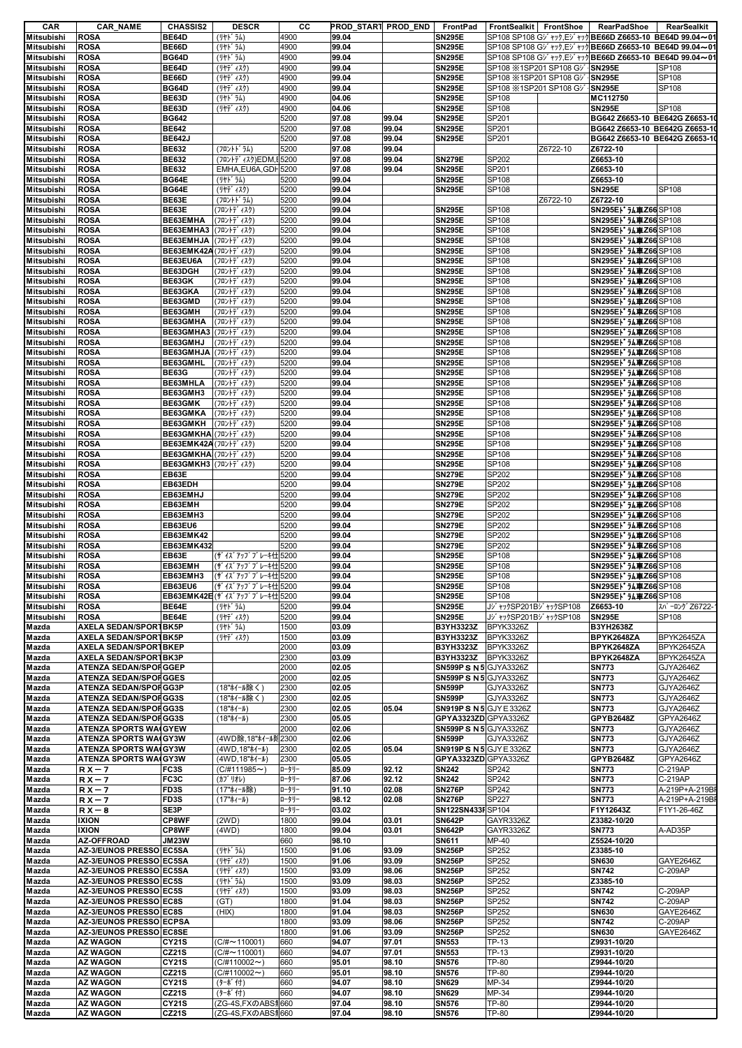| CAR                                    | <b>CAR_NAME</b>                                              | <b>CHASSIS2</b>                              | <b>DESCR</b>                                    | cс           |                | PROD_START PROD_END | FrontPad                                       | FrontSealkit FrontShoe                                           |          | RearPadShoe                                                | RearSealkit            |
|----------------------------------------|--------------------------------------------------------------|----------------------------------------------|-------------------------------------------------|--------------|----------------|---------------------|------------------------------------------------|------------------------------------------------------------------|----------|------------------------------------------------------------|------------------------|
| Mitsubishi                             | <b>ROSA</b>                                                  | BE64D                                        | (リヤト゛ラム)                                        | 4900         | 99.04          |                     | <b>SN295E</b>                                  |                                                                  |          | SP108 SP108 Gy ***, Ey *** BE66D Z6653-10 BE64D 99.04~01   |                        |
| <b>Mitsubishi</b>                      | <b>ROSA</b>                                                  | BE66D                                        | (リヤト゛ラム)                                        | 4900         | 99.04          |                     | <b>SN295E</b>                                  |                                                                  |          | SP108 SP108 Gy ***, Ey *** BE66D Z6653-10 BE64D 99.04~01   |                        |
| <b>Mitsubishi</b>                      | <b>ROSA</b>                                                  | <b>BG64D</b>                                 | (リヤト゛ラム)                                        | 4900         | 99.04          |                     | <b>SN295E</b>                                  |                                                                  |          | SP108 SP108 Gy ***, Ey *** BE66D Z6653-10 BE64D 99.04~01   |                        |
| <b>Mitsubishi</b><br><b>Mitsubishi</b> | <b>ROSA</b><br><b>ROSA</b>                                   | BE64D<br>BE66D                               | (リヤデ ィスク)<br>(リヤデ゙ィスク)                          | 4900<br>4900 | 99.04<br>99.04 |                     | <b>SN295E</b><br><b>SN295E</b>                 | SP108 %1SP201 SP108 GV {SN295E<br>SP108 %1SP201 SP108 GV {SN295E |          |                                                            | SP108<br>SP108         |
| <b>Mitsubishi</b>                      | <b>ROSA</b>                                                  | <b>BG64D</b>                                 | (リヤデ ィスク)                                       | 4900         | 99.04          |                     | <b>SN295E</b>                                  | SP108 ※1SP201 SP108 Gジ∤ <b>SN295E</b>                            |          |                                                            | SP108                  |
| <b>Mitsubishi</b>                      | <b>ROSA</b>                                                  | BE63D                                        | (リヤト゛ラム)                                        | 4900         | 04.06          |                     | <b>SN295E</b>                                  | SP108                                                            |          | MC112750                                                   |                        |
| <b>Mitsubishi</b>                      | <b>ROSA</b>                                                  | BE63D                                        | (リヤデ゛ィスク)                                       | 4900         | 04.06          |                     | <b>SN295E</b>                                  | SP108                                                            |          | <b>SN295E</b>                                              | SP108                  |
| <b>Mitsubishi</b>                      | <b>ROSA</b>                                                  | <b>BG642</b>                                 |                                                 | 5200         | 97.08          | 99.04               | <b>SN295E</b>                                  | SP201                                                            |          | BG642 Z6653-10 BE642G Z6653-1                              |                        |
| <b>Mitsubishi</b>                      | <b>ROSA</b>                                                  | <b>BE642</b>                                 |                                                 | 5200         | 97.08          | 99.04               | <b>SN295E</b>                                  | SP201                                                            |          | BG642 Z6653-10 BE642G Z6653-1                              |                        |
| <b>Mitsubishi</b>                      | <b>ROSA</b>                                                  | <b>BE642J</b>                                |                                                 | 5200         | 97.08          | 99.04               | <b>SN295E</b>                                  | SP201                                                            |          | BG642 Z6653-10 BE642G Z6653-10                             |                        |
| <b>Mitsubishi</b>                      | <b>ROSA</b>                                                  | <b>BE632</b>                                 | (フロントト゛ラム)                                      | 5200         | 97.08          | 99.04               |                                                |                                                                  | Z6722-10 | Z6722-10                                                   |                        |
| <b>Mitsubishi</b>                      | <b>ROSA</b>                                                  | <b>BE632</b>                                 | (フロントデ ィスク)EDM.I 5200                           |              | 97.08          | 99.04               | <b>SN279E</b>                                  | SP202                                                            |          | Z6653-10                                                   |                        |
| <b>Mitsubishi</b>                      | <b>ROSA</b>                                                  | <b>BE632</b>                                 | EMHA, EU6A, GDI 5200                            |              | 97.08          | 99.04               | <b>SN295E</b>                                  | SP201                                                            |          | Z6653-10                                                   |                        |
| <b>Mitsubishi</b>                      | <b>ROSA</b>                                                  | BG64E                                        | (リヤト゛ラム)                                        | 5200         | 99.04          |                     | <b>SN295E</b>                                  | SP108                                                            |          | Z6653-10                                                   |                        |
| <b>Mitsubishi</b>                      | <b>ROSA</b>                                                  | BG64E                                        | (リヤデ゙ィスク)                                       | 5200         | 99.04          |                     | <b>SN295E</b>                                  | SP108                                                            |          | <b>SN295E</b>                                              | SP108                  |
| <b>Mitsubishi</b>                      | <b>ROSA</b>                                                  | BE63E                                        | (フロントト・ラム)                                      | 5200         | 99.04          |                     |                                                |                                                                  | Z6722-10 | Z6722-10                                                   |                        |
| <b>Mitsubishi</b>                      | <b>ROSA</b>                                                  | BE63E                                        | (フロントデ ィスク)                                     | 5200         | 99.04          |                     | <b>SN295E</b>                                  | SP108                                                            |          | SN295El 54車Z66SP108                                        |                        |
| <b>Mitsubishi</b>                      | <b>ROSA</b>                                                  | BE63EMHA                                     | (フロントデ ィスク)                                     | 5200         | 99.04          |                     | <b>SN295E</b>                                  | SP108                                                            |          | SN295EI 丸車Z66 SP108                                        |                        |
| <b>Mitsubishi</b><br><b>Mitsubishi</b> | <b>ROSA</b><br><b>ROSA</b>                                   | BE63EMHA3 (フロントディスク)<br>BE63EMHJA (フロントディスク) |                                                 | 5200<br>5200 | 99.04<br>99.04 |                     | <b>SN295E</b><br><b>SN295E</b>                 | SP108<br>SP108                                                   |          | SN295E 1 74 車 Z66 SP108<br>SN295EI <sup>+</sup> 九車Z66SP108 |                        |
| <b>Mitsubishi</b>                      | <b>ROSA</b>                                                  | BE63EMK42A (フロントディスク)                        |                                                 | 5200         | 99.04          |                     | <b>SN295E</b>                                  | SP108                                                            |          | SN295El うん車Z66SP108                                        |                        |
| <b>Mitsubishi</b>                      | <b>ROSA</b>                                                  | BE63EU6A                                     | (フロントデ ィスク)                                     | 5200         | 99.04          |                     | <b>SN295E</b>                                  | SP108                                                            |          | SN295EI <sup>+</sup> 九車Z66SP108                            |                        |
| <b>Mitsubishi</b>                      | <b>ROSA</b>                                                  | BE63DGH                                      | (フロントデ ィスク)                                     | 5200         | 99.04          |                     | <b>SN295E</b>                                  | SP108                                                            |          | SN295E 1 74 車 Z66 SP108                                    |                        |
| <b>Mitsubishi</b>                      | <b>ROSA</b>                                                  | BE63GK                                       | (フロントデ ィスク)                                     | 5200         | 99.04          |                     | <b>SN295E</b>                                  | SP108                                                            |          | SN295Eドラム車Z66SP108                                         |                        |
| <b>Mitsubishi</b>                      | <b>ROSA</b>                                                  | BE63GKA                                      | (フロントデ ィスク)                                     | 5200         | 99.04          |                     | <b>SN295E</b>                                  | SP108                                                            |          | SN295E 14 1266 SP108                                       |                        |
| <b>Mitsubishi</b>                      | <b>ROSA</b>                                                  | BE63GMD                                      | (フロントデ ィスク)                                     | 5200         | 99.04          |                     | <b>SN295E</b>                                  | SP108                                                            |          | SN295EI <sup>+</sup> 认車Z66SP108                            |                        |
| <b>Mitsubishi</b>                      | <b>ROSA</b>                                                  | BE63GMH                                      | (フロントデ ィスク)                                     | 5200         | 99.04          |                     | <b>SN295E</b>                                  | SP108                                                            |          | SN295Eドラム車Z66SP108                                         |                        |
| <b>Mitsubishi</b>                      | <b>ROSA</b>                                                  | BE63GMHA                                     | (フロントデ ィスク)                                     | 5200         | 99.04          |                     | <b>SN295E</b>                                  | SP108                                                            |          | SN295Eドラム車Z66SP108                                         |                        |
| <b>Mitsubishi</b>                      | <b>ROSA</b>                                                  | BE63GMHA3 (フロントディスク)                         |                                                 | 5200         | 99.04          |                     | <b>SN295E</b>                                  | SP108                                                            |          | SN295El' 丸車Z66SP108                                        |                        |
| <b>Mitsubishi</b>                      | <b>ROSA</b>                                                  | BE63GMHJ                                     | (フロントデ ィスク)                                     | 5200         | 99.04          |                     | <b>SN295E</b>                                  | SP108                                                            |          | SN295EI 74車Z66SP108                                        |                        |
| <b>Mitsubishi</b>                      | <b>ROSA</b>                                                  | BE63GMHJA (フロントディスク)                         |                                                 | 5200         | 99.04          |                     | <b>SN295E</b>                                  | SP108                                                            |          | SN295EI 74車Z66SP108                                        |                        |
| <b>Mitsubishi</b>                      | <b>ROSA</b>                                                  | BE63GMHL                                     | (フロントデ ィスク)                                     | 5200         | 99.04          |                     | <b>SN295E</b>                                  | SP108                                                            |          | SN295E 1 74 車 Z66 SP108                                    |                        |
| <b>Mitsubishi</b>                      | <b>ROSA</b>                                                  | <b>BE63G</b>                                 | (フロントデ゛ィスク)                                     | 5200         | 99.04          |                     | <b>SN295E</b>                                  | SP108                                                            |          | SN295E 1 74 車 Z66 SP108                                    |                        |
| <b>Mitsubishi</b>                      | <b>ROSA</b>                                                  | BE63MHLA                                     | (フロントデ ィスク)                                     | 5200         | 99.04          |                     | <b>SN295E</b>                                  | SP108                                                            |          | SN295El うん車Z66SP108                                        |                        |
| <b>Mitsubishi</b>                      | <b>ROSA</b>                                                  | BE63GMH3                                     | (フロントデ ィスク)                                     | 5200         | 99.04          |                     | <b>SN295E</b>                                  | SP108                                                            |          | SN295EI 丸車Z66 SP108                                        |                        |
| <b>Mitsubishi</b><br><b>Mitsubishi</b> | <b>ROSA</b><br><b>ROSA</b>                                   | BE63GMK<br>BE63GMKA                          | (フロントデ ィスク)<br>(フロントデ ィスク)                      | 5200<br>5200 | 99.04<br>99.04 |                     | <b>SN295E</b><br><b>SN295E</b>                 | SP108<br>SP108                                                   |          | SN295E 1 74 車 Z66 SP108<br>SN295El うん車Z66SP108             |                        |
| <b>Mitsubishi</b>                      | <b>ROSA</b>                                                  | BE63GMKH                                     | (フロントデ ィスク)                                     | 5200         | 99.04          |                     | <b>SN295E</b>                                  | SP108                                                            |          | SN295El <sup>*</sup> 九車Z66 SP108                           |                        |
| <b>Mitsubishi</b>                      | <b>ROSA</b>                                                  | BE63GMKHA (フロントディスク)                         |                                                 | 5200         | 99.04          |                     | <b>SN295E</b>                                  | SP108                                                            |          | SN295EI 74車Z66SP108                                        |                        |
| <b>Mitsubishi</b>                      | <b>ROSA</b>                                                  | BE63EMK42A (フロントディスク)                        |                                                 | 5200         | 99.04          |                     | <b>SN295E</b>                                  | SP108                                                            |          | SN295E 1 74 車 Z66 SP108                                    |                        |
| <b>Mitsubishi</b>                      | <b>ROSA</b>                                                  | BE63GMKHA (フロントディスク)                         |                                                 | 5200         | 99.04          |                     | <b>SN295E</b>                                  | SP108                                                            |          | SN295Eドラム車Z66SP108                                         |                        |
| <b>Mitsubishi</b>                      | <b>ROSA</b>                                                  | BE63GMKH3 (フロントディスク)                         |                                                 | 5200         | 99.04          |                     | <b>SN295E</b>                                  | SP108                                                            |          | SN295EI 74車Z66SP108                                        |                        |
| <b>Mitsubishi</b>                      | <b>ROSA</b>                                                  | EB63E                                        |                                                 | 5200         | 99.04          |                     | <b>SN279E</b>                                  | SP202                                                            |          | SN295EI 丸車Z66SP108                                         |                        |
| <b>Mitsubishi</b>                      | <b>ROSA</b>                                                  | EB63EDH                                      |                                                 | 5200         | 99.04          |                     | <b>SN279E</b>                                  | SP202                                                            |          | SN295E 1 74 車 Z66 SP108                                    |                        |
| <b>Mitsubishi</b>                      | <b>ROSA</b>                                                  | EB63EMHJ                                     |                                                 | 5200         | 99.04          |                     | <b>SN279E</b>                                  | SP202                                                            |          | SN295Eドラム車Z66SP108                                         |                        |
| <b>Mitsubishi</b>                      | <b>ROSA</b>                                                  | EB63EMH                                      |                                                 | 5200         | 99.04          |                     | <b>SN279E</b>                                  | SP202                                                            |          | SN295El 74車Z66SP108                                        |                        |
| <b>Mitsubishi</b>                      | <b>ROSA</b>                                                  | EB63EMH3                                     |                                                 | 5200         | 99.04          |                     | <b>SN279E</b>                                  | SP202                                                            |          | SN295EI <sup>+</sup> 认車Z66SP108                            |                        |
| <b>Mitsubishi</b>                      | <b>ROSA</b>                                                  | EB63EU6                                      |                                                 | 5200         | 99.04          |                     | <b>SN279E</b>                                  | SP202                                                            |          | SN295EI 九車Z66SP108                                         |                        |
| <b>Mitsubishi</b>                      | <b>ROSA</b>                                                  | EB63EMK42                                    |                                                 | 5200         | 99.04          |                     | <b>SN279E</b>                                  | SP202                                                            |          | SN295Eドラム車Z66SP108                                         |                        |
| <b>Mitsubishi</b>                      | <b>ROSA</b>                                                  | <b>EB63EMK432</b>                            |                                                 | 5200         | 99.04          |                     | <b>SN279E</b>                                  | SP202                                                            |          | SN295E 1 74 車 Z66 SP108                                    |                        |
| <b>Mitsubishi</b>                      | <b>ROSA</b>                                                  | EB63E                                        | (ザイズアップブレーキ仕5200                                |              | 99.04          |                     | <b>SN295E</b>                                  | SP108                                                            |          | SN295EI 74車Z66SP108                                        |                        |
| <b>Mitsubishi</b>                      | <b>ROSA</b>                                                  | EB63EMH<br>EB63EMH3                          | (ザイズアップブレーキ仕5200                                |              | 99.04          |                     | <b>SN295E</b>                                  | SP108                                                            |          | SN295EI 丸車Z66SP108<br>SN295Eドラム車Z66SP108                   |                        |
| <b>Mitsubishi</b><br><b>Mitsubishi</b> | <b>ROSA</b><br><b>ROSA</b>                                   | EB63EU6                                      | (ザイズアップブレーキ仕5200                                |              | 99.04<br>99.04 |                     | <b>SN295E</b><br><b>SN295E</b>                 | SP108<br>SP108                                                   |          | SN295EI <sup>+</sup> 九車Z66 SP108                           |                        |
| Mitsubishi                             | <b>ROSA</b>                                                  |                                              | (ザイズアップブレーキ仕5200<br>EB63EMK42E (ザイズアップブレーキ仕5200 |              | 99.04          |                     | <b>SN295E</b>                                  | SP108                                                            |          | SN295El <sup>*</sup> 九車Z66 SP108                           |                        |
| <b>Mitsubishi</b>                      | <b>ROSA</b>                                                  | BE64E                                        | (リヤト゛ラム)                                        | 5200         | 99.04          |                     | <b>SN295E</b>                                  | Jジ ャックSP201Bジ ャックSP108                                           |          | Z6653-10                                                   | スパ -ロング Z6722-         |
| <b>Mitsubishi</b>                      | <b>ROSA</b>                                                  | BE64E                                        | (リヤデ゛ィスク)                                       | 5200         | 99.04          |                     | <b>SN295E</b>                                  | Jy +yhSP201By +yhSP108                                           |          | <b>SN295E</b>                                              | SP108                  |
| Mazda                                  | <b>AXELA SEDAN/SPORTBK5P</b>                                 |                                              | (リヤト゛ラム)                                        | 1500         | 03.09          |                     | B3YH3323Z                                      | BPYK3326Z                                                        |          | B3YH2638Z                                                  |                        |
| Mazda                                  | AXELA SEDAN/SPORTBK5P                                        |                                              | (リヤデ゛ィスク)                                       | 1500         | 03.09          |                     | B3YH3323Z                                      | BPYK3326Z                                                        |          | BPYK2648ZA                                                 | BPYK2645ZA             |
| Mazda                                  | <b>AXELA SEDAN/SPORTBKEP</b>                                 |                                              |                                                 | 2000         | 03.09          |                     | B3YH3323Z                                      | BPYK3326Z                                                        |          | BPYK2648ZA                                                 | BPYK2645ZA             |
| Mazda                                  | <b>AXELA SEDAN/SPORTBK3P</b>                                 |                                              |                                                 | 2300         | 03.09          |                     | <b>B3YH3323Z</b>                               | BPYK3326Z                                                        |          | BPYK2648ZA                                                 | BPYK2645ZA             |
| Mazda                                  | <b>ATENZA SEDAN/SPORGGEP</b>                                 |                                              |                                                 | 2000         | 02.05          |                     | <b>SN599P S N 5 GJYA3326Z</b>                  |                                                                  |          | <b>SN773</b>                                               | GJYA2646Z              |
| Mazda                                  | <b>ATENZA SEDAN/SPORGGES</b>                                 |                                              |                                                 | 2000         | 02.05          |                     | <b>SN599P S N 5 GJYA3326Z</b>                  |                                                                  |          | <b>SN773</b>                                               | GJYA2646Z              |
| Mazda                                  | <b>ATENZA SEDAN/SPORGG3P</b>                                 |                                              | (18"ホイール除く)                                     | 2300         | 02.05          |                     | <b>SN599P</b>                                  | GJYA3326Z                                                        |          | <b>SN773</b>                                               | GJYA2646Z              |
| Mazda                                  | <b>ATENZA SEDAN/SPORGG3S</b>                                 |                                              | (18"ホイール除く)                                     | 2300         | 02.05          |                     | <b>SN599P</b>                                  | GJYA3326Z                                                        |          | <b>SN773</b>                                               | GJYA2646Z              |
| Mazda                                  | <b>ATENZA SEDAN/SPORGG3S</b>                                 |                                              | (18"ホイール)                                       | 2300         | 02.05          | 05.04               | SN919P S N 5 GJY E 3326Z                       |                                                                  |          | <b>SN773</b>                                               | GJYA2646Z              |
| Mazda                                  | <b>ATENZA SEDAN/SPORGG3S</b>                                 |                                              | (18"ホイール)                                       | 2300         | 05.05          |                     | GPYA3323ZD GPYA3326Z                           |                                                                  |          | <b>GPYB2648Z</b>                                           | GPYA2646Z              |
| Mazda<br>Mazda                         | <b>ATENZA SPORTS WAIGYEW</b><br><b>ATENZA SPORTS WAIGY3W</b> |                                              | (4WD除,18"ホイール隙2300                              | 2000         | 02.06<br>02.06 |                     | <b>SN599P S N 5 GJYA3326Z</b><br><b>SN599P</b> | GJYA3326Z                                                        |          | <b>SN773</b><br><b>SN773</b>                               | GJYA2646Z<br>GJYA2646Z |
| Mazda                                  | <b>ATENZA SPORTS WAIGY3W</b>                                 |                                              | (4WD,18"ホイール)                                   | 2300         | 02.05          | 05.04               | SN919PS N5 GJYE3326Z                           |                                                                  |          | <b>SN773</b>                                               | GJYA2646Z              |
| Mazda                                  | <b>ATENZA SPORTS WAIGY3W</b>                                 |                                              | (4WD,18"ホイール)                                   | 2300         | 05.05          |                     | GPYA3323ZD GPYA3326Z                           |                                                                  |          | <b>GPYB2648Z</b>                                           | GPYA2646Z              |
| Mazda                                  | $RX - 7$                                                     | FC3S                                         | $(C/H111985\sim)$                               | ロータリー        | 85.09          | 92.12               | <b>SN242</b>                                   | SP242                                                            |          | <b>SN773</b>                                               | C-219AP                |
| Mazda                                  | $RX - 7$                                                     | FC3C                                         | (カブリオレ)                                         | ロータリー        | 87.06          | 92.12               | <b>SN242</b>                                   | SP242                                                            |          | <b>SN773</b>                                               | C-219AP                |
| Mazda                                  | $RX - 7$                                                     | FD3S                                         | (17"ホィール除)                                      | ロータリー        | 91.10          | 02.08               | <b>SN276P</b>                                  | SP242                                                            |          | <b>SN773</b>                                               | A-219P+A-219BF         |
| <b>Mazda</b>                           | $RX - 7$                                                     | FD3S                                         | (17"ホィール)                                       | ロータリー        | 98.12          | 02.08               | <b>SN276P</b>                                  | <b>SP227</b>                                                     |          | <b>SN773</b>                                               | A-219P+A-219BF         |
| Mazda                                  | $RX - 8$                                                     | SE3P                                         |                                                 | ロータリー        | 03.02          |                     | SN122SN433FSP104                               |                                                                  |          | F1Y12643Z                                                  | F1Y1-26-46Z            |
| Mazda                                  | <b>IXION</b>                                                 | CP8WF                                        | (2WD)                                           | 1800         | 99.04          | 03.01               | <b>SN642P</b>                                  | GAYR3326Z                                                        |          | Z3382-10/20                                                |                        |
| Mazda                                  | <b>IXION</b>                                                 | CP8WF                                        | (4WD)                                           | 1800         | 99.04          | 03.01               | <b>SN642P</b>                                  | GAYR3326Z                                                        |          | <b>SN773</b>                                               | A-AD35P                |
| Mazda                                  | <b>AZ-OFFROAD</b>                                            | <b>JM23W</b>                                 |                                                 | 660          | 98.10          |                     | <b>SN611</b>                                   | MP-40                                                            |          | Z5524-10/20                                                |                        |
| Mazda                                  | AZ-3/EUNOS PRESSO EC5SA                                      |                                              | (リヤト゛ラム)                                        | 1500         | 91.06          | 93.09               | <b>SN256P</b>                                  | SP252                                                            |          | Z3385-10                                                   |                        |
| Mazda                                  | AZ-3/EUNOS PRESSO EC5SA                                      |                                              | (リヤデ ィスク)                                       | 1500         | 91.06          | 93.09               | <b>SN256P</b>                                  | SP252                                                            |          | <b>SN630</b>                                               | GAYE2646Z              |
| Mazda                                  | AZ-3/EUNOS PRESSO EC5SA                                      |                                              | (リヤデ゛ィスク)                                       | 1500         | 93.09          | 98.06               | <b>SN256P</b><br><b>SN256P</b>                 | SP252                                                            |          | <b>SN742</b><br>Z3385-10                                   | C-209AP                |
| Mazda<br><b>Mazda</b>                  | AZ-3/EUNOS PRESSO EC5S                                       |                                              | (リヤト゛ラム)                                        | 1500<br>1500 | 93.09          | 98.03               |                                                | SP252<br>SP252                                                   |          | <b>SN742</b>                                               | C-209AP                |
| Mazda                                  | AZ-3/EUNOS PRESSO EC5S<br>AZ-3/EUNOS PRESSO EC8S             |                                              | (リヤデ ィスク)<br>(GT)                               | 1800         | 93.09<br>91.04 | 98.03<br>98.03      | <b>SN256P</b><br><b>SN256P</b>                 | SP252                                                            |          | <b>SN742</b>                                               | C-209AP                |
| Mazda                                  | AZ-3/EUNOS PRESSO EC8S                                       |                                              | (HIX)                                           | 1800         | 91.04          | 98.03               | <b>SN256P</b>                                  | SP252                                                            |          | <b>SN630</b>                                               | GAYE2646Z              |
| Mazda                                  | AZ-3/EUNOS PRESSO ECPSA                                      |                                              |                                                 | 1800         | 93.09          | 98.06               | <b>SN256P</b>                                  | SP252                                                            |          | <b>SN742</b>                                               | C-209AP                |
| Mazda                                  | AZ-3/EUNOS PRESSO EC8SE                                      |                                              |                                                 | 1800         | 91.06          | 93.09               | <b>SN256P</b>                                  | SP252                                                            |          | <b>SN630</b>                                               | GAYE2646Z              |
| Mazda                                  | <b>AZ WAGON</b>                                              | <b>CY21S</b>                                 | $(C/H \sim 110001)$                             | 660          | 94.07          | 97.01               | <b>SN553</b>                                   | TP-13                                                            |          | Z9931-10/20                                                |                        |
| Mazda                                  | <b>AZ WAGON</b>                                              | <b>CZ21S</b>                                 | $(C/H \sim 110001)$                             | 660          | 94.07          | 97.01               | <b>SN553</b>                                   | TP-13                                                            |          | Z9931-10/20                                                |                        |
| Mazda                                  | <b>AZ WAGON</b>                                              | <b>CY21S</b>                                 | $(C/H110002\sim)$                               | 660          | 95.01          | 98.10               | <b>SN576</b>                                   | TP-80                                                            |          | Z9944-10/20                                                |                        |
| Mazda                                  | <b>AZ WAGON</b>                                              | <b>CZ21S</b>                                 | $(C/H110002\sim)$                               | 660          | 95.01          | 98.10               | <b>SN576</b>                                   | TP-80                                                            |          | Z9944-10/20                                                |                        |
| Mazda                                  | <b>AZ WAGON</b>                                              | <b>CY21S</b>                                 | (ターボ付)                                          | 660          | 94.07          | 98.10               | <b>SN629</b>                                   | MP-34                                                            |          | Z9944-10/20                                                |                        |
| Mazda                                  | <b>AZ WAGON</b>                                              | <b>CZ21S</b>                                 | (ターボ付)                                          | 660          | 94.07          | 98.10               | <b>SN629</b>                                   | MP-34                                                            |          | Z9944-10/20                                                |                        |
| Mazda                                  | <b>AZ WAGON</b>                                              | <b>CY21S</b>                                 | (ZG-4S, FXのABS#660                              |              | 97.04          | 98.10               | <b>SN576</b>                                   | TP-80                                                            |          | Z9944-10/20                                                |                        |
| Mazda                                  | <b>AZ WAGON</b>                                              | <b>CZ21S</b>                                 | (ZG-4S, FXのABS#660                              |              | 97.04          | 98.10               | <b>SN576</b>                                   | <b>TP-80</b>                                                     |          | Z9944-10/20                                                |                        |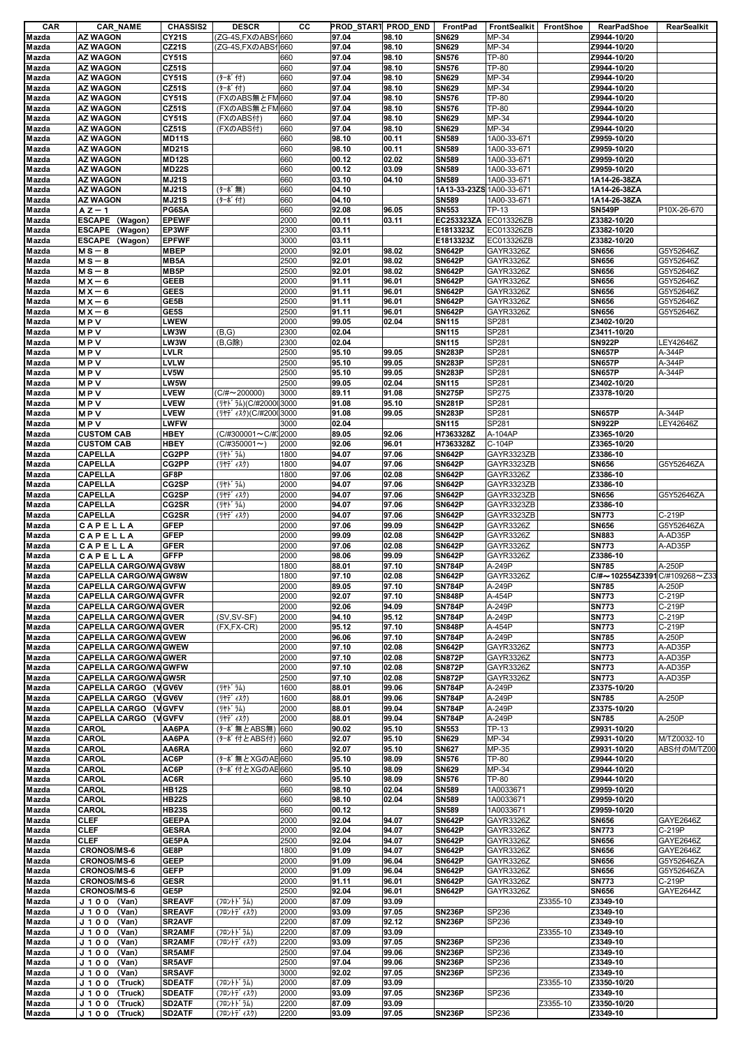| CAR            | <b>CAR_NAME</b>                          | <b>CHASSIS2</b>              | <b>DESCR</b>                                 | CС           | PROD START PROD END |                | FrontPad                       | <b>FrontSealkit</b>      | FrontShoe | RearPadShoe                  | RearSealkit          |
|----------------|------------------------------------------|------------------------------|----------------------------------------------|--------------|---------------------|----------------|--------------------------------|--------------------------|-----------|------------------------------|----------------------|
| Mazda          | <b>AZ WAGON</b><br><b>AZ WAGON</b>       | <b>CY21S</b>                 | (ZG-4S, FX のABS 1660                         |              | 97.04               | 98.10          | <b>SN629</b>                   | MP-34                    |           | Z9944-10/20                  |                      |
| Mazda<br>Mazda | <b>AZ WAGON</b>                          | <b>CZ21S</b><br><b>CY51S</b> | (ZG-4S,FXのABS仆660                            | 660          | 97.04<br>97.04      | 98.10<br>98.10 | <b>SN629</b><br><b>SN576</b>   | MP-34<br><b>TP-80</b>    |           | Z9944-10/20<br>Z9944-10/20   |                      |
| Mazda          | <b>AZ WAGON</b>                          | <b>CZ51S</b>                 |                                              | 660          | 97.04               | 98.10          | <b>SN576</b>                   | TP-80                    |           | Z9944-10/20                  |                      |
| Mazda          | <b>AZ WAGON</b>                          | <b>CY51S</b>                 | (ターボ付)                                       | 660          | 97.04               | 98.10          | <b>SN629</b>                   | MP-34                    |           | Z9944-10/20                  |                      |
| Mazda          | <b>AZ WAGON</b>                          | <b>CZ51S</b>                 | (ターボ付)                                       | 660          | 97.04               | 98.10          | <b>SN629</b>                   | MP-34                    |           | Z9944-10/20                  |                      |
| Mazda          | <b>AZ WAGON</b>                          | <b>CY51S</b>                 | (FXのABS無とFM660                               |              | 97.04               | 98.10          | <b>SN576</b>                   | <b>TP-80</b>             |           | Z9944-10/20                  |                      |
| Mazda          | <b>AZ WAGON</b>                          | <b>CZ51S</b>                 | (FXのABS無とFM660                               |              | 97.04               | 98.10          | <b>SN576</b>                   | <b>TP-80</b>             |           | Z9944-10/20                  |                      |
| Mazda          | <b>AZ WAGON</b>                          | <b>CY51S</b>                 | (FXのABS付)                                    | 660          | 97.04               | 98.10          | <b>SN629</b>                   | MP-34                    |           | Z9944-10/20                  |                      |
| Mazda          | <b>AZ WAGON</b>                          | <b>CZ51S</b>                 | (FXのABS付)                                    | 660          | 97.04               | 98.10          | <b>SN629</b>                   | MP-34                    |           | Z9944-10/20                  |                      |
| Mazda          | <b>AZ WAGON</b>                          | <b>MD11S</b>                 |                                              | 660          | 98.10               | 00.11          | <b>SN589</b>                   | 1A00-33-671              |           | Z9959-10/20                  |                      |
| Mazda          | <b>AZ WAGON</b>                          | <b>MD21S</b>                 |                                              | 660          | 98.10               | 00.11          | <b>SN589</b>                   | 1A00-33-671              |           | Z9959-10/20                  |                      |
| Mazda          | <b>AZ WAGON</b>                          | <b>MD12S</b>                 |                                              | 660          | 00.12               | 02.02          | <b>SN589</b>                   | 1A00-33-671              |           | Z9959-10/20                  |                      |
| Mazda          | <b>AZ WAGON</b>                          | <b>MD22S</b>                 |                                              | 660          | 00.12               | 03.09          | <b>SN589</b>                   | 1A00-33-671              |           | Z9959-10/20                  |                      |
| Mazda          | <b>AZ WAGON</b>                          | <b>MJ21S</b>                 |                                              | 660          | 03.10               | 04.10          | <b>SN589</b>                   | 1A00-33-671              |           | 1A14-26-38ZA                 |                      |
| Mazda          | <b>AZ WAGON</b>                          | <b>MJ21S</b>                 | (ターボ無)                                       | 660          | 04.10               |                | 1A13-33-23ZS 1A00-33-671       |                          |           | 1A14-26-38ZA                 |                      |
| Mazda          | <b>AZ WAGON</b>                          | <b>MJ21S</b>                 | (ターボ付)                                       | 660          | 04.10               |                | <b>SN589</b>                   | 1A00-33-671              |           | 1A14-26-38ZA                 |                      |
| Mazda          | A Z — 1                                  | PG6SA<br><b>EPEWF</b>        |                                              | 660          | 92.08               | 96.05          | <b>SN553</b>                   | TP-13                    |           | <b>SN549P</b>                | P10X-26-670          |
| Mazda<br>Mazda | ESCAPE (Wagon)<br>ESCAPE (Wagon)         | EP3WF                        |                                              | 2000<br>2300 | 00.11<br>03.11      | 03.11          | EC253323ZA<br>E1813323Z        | EC013326ZB<br>EC013326ZB |           | Z3382-10/20<br>Z3382-10/20   |                      |
| Mazda          | ESCAPE (Wagon)                           | <b>EPFWF</b>                 |                                              | 3000         | 03.11               |                | E1813323Z                      | EC013326ZB               |           | Z3382-10/20                  |                      |
| Mazda          | $MS - 8$                                 | <b>MBEP</b>                  |                                              | 2000         | 92.01               | 98.02          | <b>SN642P</b>                  | GAYR3326Z                |           | <b>SN656</b>                 | G5Y52646Z            |
| Mazda          | $MS - 8$                                 | MB5A                         |                                              | 2500         | 92.01               | 98.02          | <b>SN642P</b>                  | GAYR3326Z                |           | <b>SN656</b>                 | G5Y52646Z            |
| Mazda          | $MS - 8$                                 | MB <sub>5</sub> P            |                                              | 2500         | 92.01               | 98.02          | <b>SN642P</b>                  | GAYR3326Z                |           | <b>SN656</b>                 | G5Y52646Z            |
| Mazda          | $MX - 6$                                 | <b>GEEB</b>                  |                                              | 2000         | 91.11               | 96.01          | <b>SN642P</b>                  | GAYR3326Z                |           | <b>SN656</b>                 | G5Y52646Z            |
| Mazda          | $MX - 6$                                 | <b>GEES</b>                  |                                              | 2000         | 91.11               | 96.01          | <b>SN642P</b>                  | GAYR3326Z                |           | <b>SN656</b>                 | G5Y52646Z            |
| Mazda          | $MX - 6$                                 | GE5B                         |                                              | 2500         | 91.11               | 96.01          | <b>SN642P</b>                  | GAYR3326Z                |           | <b>SN656</b>                 | G5Y52646Z            |
| Mazda          | $MX - 6$                                 | GE5S                         |                                              | 2500         | 91.11               | 96.01          | <b>SN642P</b>                  | GAYR3326Z                |           | <b>SN656</b>                 | G5Y52646Z            |
| Mazda          | MPV                                      | LWEW                         |                                              | 2000         | 99.05               | 02.04          | <b>SN115</b>                   | SP281                    |           | Z3402-10/20                  |                      |
| Mazda          | <b>MPV</b>                               | LW3W                         | (B,G)                                        | 2300         | 02.04               |                | <b>SN115</b>                   | SP281                    |           | Z3411-10/20                  |                      |
| Mazda          | <b>MPV</b>                               | LW3W                         | (B,G除)                                       | 2300         | 02.04               |                | <b>SN115</b>                   | SP281                    |           | <b>SN922P</b>                | LEY42646Z            |
| Mazda          | <b>MPV</b>                               | <b>LVLR</b>                  |                                              | 2500         | 95.10               | 99.05          | <b>SN283P</b>                  | SP281                    |           | <b>SN657P</b>                | A-344P               |
| Mazda          | <b>MPV</b>                               | <b>LVLW</b>                  |                                              | 2500         | 95.10               | 99.05          | <b>SN283P</b>                  | SP281                    |           | <b>SN657P</b>                | A-344P               |
| Mazda          | MPV                                      | LV5W                         |                                              | 2500         | 95.10               | 99.05          | <b>SN283P</b>                  | SP281                    |           | <b>SN657P</b>                | A-344P               |
| Mazda          | <b>MPV</b>                               | LW5W                         |                                              | 2500         | 99.05               | 02.04          | <b>SN115</b>                   | SP281                    |           | Z3402-10/20                  |                      |
| Mazda          | <b>MPV</b><br><b>MPV</b>                 | <b>LVEW</b><br>LVEW          | $(C/H \sim 200000)$<br>(リヤト うム)(C/#200003000 | 3000         | 89.11<br>91.08      | 91.08<br>95.10 | <b>SN275P</b><br><b>SN281P</b> | SP275<br>SP281           |           | Z3378-10/20                  |                      |
| Mazda<br>Mazda | <b>MPV</b>                               | <b>LVEW</b>                  | (リヤテ 4スク)(C/#2000 3000                       |              | 91.08               | 99.05          | <b>SN283P</b>                  | SP281                    |           | <b>SN657P</b>                | A-344P               |
| Mazda          | <b>MPV</b>                               | <b>LWFW</b>                  |                                              | 3000         | 02.04               |                | <b>SN115</b>                   | SP281                    |           | <b>SN922P</b>                | LEY42646Z            |
| Mazda          | <b>CUSTOM CAB</b>                        | <b>HBEY</b>                  | (C/#300001~C/#32000                          |              | 89.05               | 92.06          | H7363328Z                      | A-104AP                  |           | Z3365-10/20                  |                      |
| Mazda          | <b>CUSTOM CAB</b>                        | HBEY                         | $(C/H350001 \sim )$                          | 2000         | 92.06               | 96.01          | H7363328Z                      | C-104P                   |           | Z3365-10/20                  |                      |
| Mazda          | <b>CAPELLA</b>                           | CG2PP                        | (リヤト゛ラム)                                     | 1800         | 94.07               | 97.06          | <b>SN642P</b>                  | GAYR3323ZB               |           | Z3386-10                     |                      |
| Mazda          | <b>CAPELLA</b>                           | CG2PP                        | (リヤデ゛ィスク)                                    | 1800         | 94.07               | 97.06          | <b>SN642P</b>                  | GAYR3323ZB               |           | <b>SN656</b>                 | G5Y52646ZA           |
| Mazda          | <b>CAPELLA</b>                           | GF8P                         |                                              | 1800         | 97.06               | 02.08          | <b>SN642P</b>                  | GAYR3326Z                |           | Z3386-10                     |                      |
| Mazda          | <b>CAPELLA</b>                           | CG2SP                        | (リヤト ラム)                                     | 2000         | 94.07               | 97.06          | <b>SN642P</b>                  | GAYR3323ZB               |           | Z3386-10                     |                      |
| Mazda          | <b>CAPELLA</b>                           | CG2SP                        | (リヤデ ィスク)                                    | 2000         | 94.07               | 97.06          | <b>SN642P</b>                  | GAYR3323ZB               |           | <b>SN656</b>                 | G5Y52646ZA           |
| Mazda          | <b>CAPELLA</b>                           | CG2SR                        | (リヤト ラム)                                     | 2000         | 94.07               | 97.06          | <b>SN642P</b>                  | GAYR3323ZB               |           | Z3386-10                     |                      |
| Mazda          | <b>CAPELLA</b>                           | CG2SR                        | (リヤデ ィスク)                                    | 2000         | 94.07               | 97.06          | <b>SN642P</b>                  | GAYR3323ZB               |           | <b>SN773</b>                 | C-219P               |
| Mazda          | CAPELLA                                  | <b>GFEP</b>                  |                                              | 2000         | 97.06               | 99.09          | <b>SN642P</b>                  | GAYR3326Z                |           | <b>SN656</b>                 | G5Y52646ZA           |
| Mazda          | <b>CAPELLA</b>                           | <b>GFEP</b>                  |                                              | 2000         | 99.09               | 02.08          | <b>SN642P</b>                  | GAYR3326Z                |           | <b>SN883</b>                 | A-AD35P              |
| Mazda          | CAPELLA                                  | <b>GFER</b><br><b>GFFP</b>   |                                              | 2000         | 97.06               | 02.08          | <b>SN642P</b><br><b>SN642P</b> | GAYR3326Z                |           | <b>SN773</b><br>Z3386-10     | A-AD35P              |
| Mazda<br>Mazda | CAPELLA<br><b>CAPELLA CARGO/WA GV8W</b>  |                              |                                              | 2000<br>1800 | 98.06<br>88.01      | 99.09<br>97.10 | <b>SN784P</b>                  | GAYR3326Z<br>A-249P      |           | <b>SN785</b>                 | A-250P               |
| Mazda          | <b>CAPELLA CARGO/WA GW8W</b>             |                              |                                              | 1800         | 97.10               | 02.08          | <b>SN642P</b>                  | GAYR3326Z                |           | C#~102554Z3391C/#109268~Z33  |                      |
| Mazda          | <b>CAPELLA CARGO/WA GVFW</b>             |                              |                                              | 2000         | 89.05               | 97.10          | <b>SN784P</b>                  | A-249P                   |           | <b>SN785</b>                 | A-250P               |
| Mazda          | <b>CAPELLA CARGO/WA GVFR</b>             |                              |                                              | 2000         | 92.07               | 97.10          | <b>SN848P</b>                  | A-454P                   |           | <b>SN773</b>                 | C-219P               |
| Mazda          | <b>CAPELLA CARGO/WA GVER</b>             |                              |                                              | 2000         | 92.06               | 94.09          | <b>SN784P</b>                  | A-249P                   |           | <b>SN773</b>                 | C-219P               |
| Mazda          | <b>CAPELLA CARGO/WA GVER</b>             |                              | (SV, SV-SF)                                  | 2000         | 94.10               | 95.12          | <b>SN784P</b>                  | A-249P                   |           | <b>SN773</b>                 | C-219P               |
| Mazda          | <b>CAPELLA CARGO/WA GVER</b>             |                              | $(FX.FX-CR)$                                 | 2000         | 95.12               | 97.10          | <b>SN848P</b>                  | A-454P                   |           | <b>SN773</b>                 | C-219P               |
| Mazda          | <b>CAPELLA CARGO/WA GVEW</b>             |                              |                                              | 2000         | 96.06               | 97.10          | <b>SN784P</b>                  | A-249P                   |           | <b>SN785</b>                 | A-250P               |
| Mazda          | <b>CAPELLA CARGO/WA GWEW</b>             |                              |                                              | 2000         | 97.10               | 02.08          | <b>SN642P</b>                  | GAYR3326Z                |           | <b>SN773</b>                 | A-AD35P              |
| Mazda          | <b>CAPELLA CARGO/WA GWER</b>             |                              |                                              | 2000         | 97.10               | 02.08          | <b>SN872P</b>                  | GAYR3326Z                |           | <b>SN773</b>                 | A-AD35P              |
| Mazda          | <b>CAPELLA CARGO/WA GWFW</b>             |                              |                                              | 2000         | 97.10               | 02.08          | <b>SN872P</b>                  | GAYR3326Z                |           | <b>SN773</b>                 | A-AD35P              |
| Mazda          | <b>CAPELLA CARGO/WA GW5R</b>             |                              |                                              | 2500         | 97.10               | 02.08          | <b>SN872P</b>                  | GAYR3326Z                |           | <b>SN773</b>                 | A-AD35P              |
| Mazda          | CAPELLA CARGO (VGV6V                     |                              | (リヤト ラム)                                     | 1600         | 88.01               | 99.06          | <b>SN784P</b>                  | A-249P                   |           | Z3375-10/20                  |                      |
| Mazda          | CAPELLA CARGO (VGV6V                     |                              | (リヤデ ィスク)                                    | 1600         | 88.01               | 99.06          | <b>SN784P</b>                  | A-249P                   |           | <b>SN785</b>                 | A-250P               |
| Mazda          | CAPELLA CARGO (VGVFV                     |                              | (リヤト゛ラム)                                     | 2000         | 88.01               | 99.04          | <b>SN784P</b>                  | A-249P                   |           | Z3375-10/20                  |                      |
| Mazda<br>Mazda | CAPELLA CARGO (VGVFV<br><b>CAROL</b>     | AA6PA                        | (リヤデ ィスク)<br>(ターボ無とABS無) 660                 | 2000         | 88.01<br>90.02      | 99.04<br>95.10 | <b>SN784P</b><br><b>SN553</b>  | A-249P<br>TP-13          |           | <b>SN785</b><br>Z9931-10/20  | A-250P               |
| Mazda          | CAROL                                    | AA6PA                        | (ターボ付とABS付) 660                              |              | 92.07               | 95.10          | <b>SN629</b>                   | MP-34                    |           | Z9931-10/20                  | M/TZ0032-10          |
| Mazda          | <b>CAROL</b>                             | AA6RA                        |                                              | 660          | 92.07               | 95.10          | <b>SN627</b>                   | MP-35                    |           | Z9931-10/20                  | ABS付のM/TZ00          |
| Mazda          | CAROL                                    | AC6P                         | (ターボ無とXGのAE 660                              |              | 95.10               | 98.09          | <b>SN576</b>                   | <b>TP-80</b>             |           | Z9944-10/20                  |                      |
| Mazda          | CAROL                                    | AC6P                         | (ターボ付とXGのAE 660                              |              | 95.10               | 98.09          | <b>SN629</b>                   | MP-34                    |           | Z9944-10/20                  |                      |
| Mazda          | CAROL                                    | AC6R                         |                                              | 660          | 95.10               | 98.09          | <b>SN576</b>                   | TP-80                    |           | Z9944-10/20                  |                      |
| Mazda          | <b>CAROL</b>                             | <b>HB12S</b>                 |                                              | 660          | 98.10               | 02.04          | <b>SN589</b>                   | 1A0033671                |           | Z9959-10/20                  |                      |
| Mazda          | CAROL                                    | <b>HB22S</b>                 |                                              | 660          | 98.10               | 02.04          | <b>SN589</b>                   | 1A0033671                |           | Z9959-10/20                  |                      |
| Mazda          | <b>CAROL</b>                             | <b>HB23S</b>                 |                                              | 660          | 00.12               |                | <b>SN589</b>                   | 1A0033671                |           | Z9959-10/20                  |                      |
| Mazda          | <b>CLEF</b>                              | <b>GEEPA</b>                 |                                              | 2000         | 92.04               | 94.07          | <b>SN642P</b>                  | GAYR3326Z                |           | <b>SN656</b>                 | GAYE2646Z            |
| Mazda          | <b>CLEF</b>                              | <b>GESRA</b>                 |                                              | 2000         | 92.04               | 94.07          | <b>SN642P</b>                  | GAYR3326Z                |           | <b>SN773</b>                 | C-219P               |
| Mazda          | <b>CLEF</b>                              | GE5PA                        |                                              | 2500         | 92.04               | 94.07          | <b>SN642P</b>                  | GAYR3326Z                |           | <b>SN656</b>                 | GAYE2646Z            |
| Mazda          | <b>CRONOS/MS-6</b>                       | GE8P                         |                                              | 1800         | 91.09               | 94.07          | <b>SN642P</b>                  | GAYR3326Z                |           | <b>SN656</b>                 | GAYE2646Z            |
| Mazda          | <b>CRONOS/MS-6</b>                       | <b>GEEP</b>                  |                                              | 2000         | 91.09               | 96.04          | <b>SN642P</b>                  | GAYR3326Z                |           | <b>SN656</b>                 | G5Y52646ZA           |
| Mazda          | <b>CRONOS/MS-6</b><br><b>CRONOS/MS-6</b> | <b>GEFP</b><br><b>GESR</b>   |                                              | 2000<br>2000 | 91.09<br>91.11      | 96.04<br>96.01 | <b>SN642P</b><br><b>SN642P</b> | GAYR3326Z<br>GAYR3326Z   |           | <b>SN656</b><br><b>SN773</b> | G5Y52646ZA<br>C-219P |
| Mazda<br>Mazda | <b>CRONOS/MS-6</b>                       | GE5P                         |                                              | 2500         | 92.04               | 96.01          | <b>SN642P</b>                  | GAYR3326Z                |           | <b>SN656</b>                 | GAYE2644Z            |
| Mazda          | J 1 0 0 (Van)                            | <b>SREAVF</b>                | (フロントト・ラム)                                   | 2000         | 87.09               | 93.09          |                                |                          | Z3355-10  | Z3349-10                     |                      |
| Mazda          | J 1 0 0 (Van)                            | <b>SREAVF</b>                | (フロントデ ィスク)                                  | 2000         | 93.09               | 97.05          | <b>SN236P</b>                  | SP236                    |           | Z3349-10                     |                      |
| Mazda          | (Van)<br>J 1 0 0                         | SR2AVF                       |                                              | 2200         | 87.09               | 92.12          | <b>SN236P</b>                  | SP236                    |           | Z3349-10                     |                      |
| Mazda          | J 1 0 0 (Van)                            | SR2AMF                       | (フロントト・ラム)                                   | 2200         | 87.09               | 93.09          |                                |                          | Z3355-10  | Z3349-10                     |                      |
| Mazda          | J 1 0 0 (Van)                            | SR2AMF                       | (フロントデ ィスク)                                  | 2200         | 93.09               | 97.05          | <b>SN236P</b>                  | SP236                    |           | Z3349-10                     |                      |
| Mazda          | J 1 0 0 (Van)                            | <b>SR5AMF</b>                |                                              | 2500         | 97.04               | 99.06          | <b>SN236P</b>                  | SP236                    |           | Z3349-10                     |                      |
| Mazda          | J 1 0 0<br>(Van)                         | <b>SR5AVF</b>                |                                              | 2500         | 97.04               | 99.06          | <b>SN236P</b>                  | SP236                    |           | Z3349-10                     |                      |
| Mazda          | J 1 0 0 (Van)                            | <b>SRSAVF</b>                |                                              | 3000         | 92.02               | 97.05          | <b>SN236P</b>                  | SP236                    |           | Z3349-10                     |                      |
| Mazda          | J 100 (Truck)                            | <b>SDEATF</b>                | (フロントト・ラム)                                   | 2000         | 87.09               | 93.09          |                                |                          | Z3355-10  | Z3350-10/20                  |                      |
| Mazda          | J 1 0 0<br>(Truck)                       | <b>SDEATF</b>                | (フロントデ ィスク)                                  | 2000         | 93.09               | 97.05          | <b>SN236P</b>                  | SP236                    |           | Z3349-10                     |                      |
| Mazda          | J100 (Truck)                             | SD2ATF                       | (フロントドラム)                                    | 2200         | 87.09               | 93.09          |                                |                          | Z3355-10  | Z3350-10/20                  |                      |
| Mazda          | J 1 0 0 (Truck)                          | SD2ATF                       | (フロントデ ィスク)                                  | 2200         | 93.09               | 97.05          | <b>SN236P</b>                  | SP236                    |           | Z3349-10                     |                      |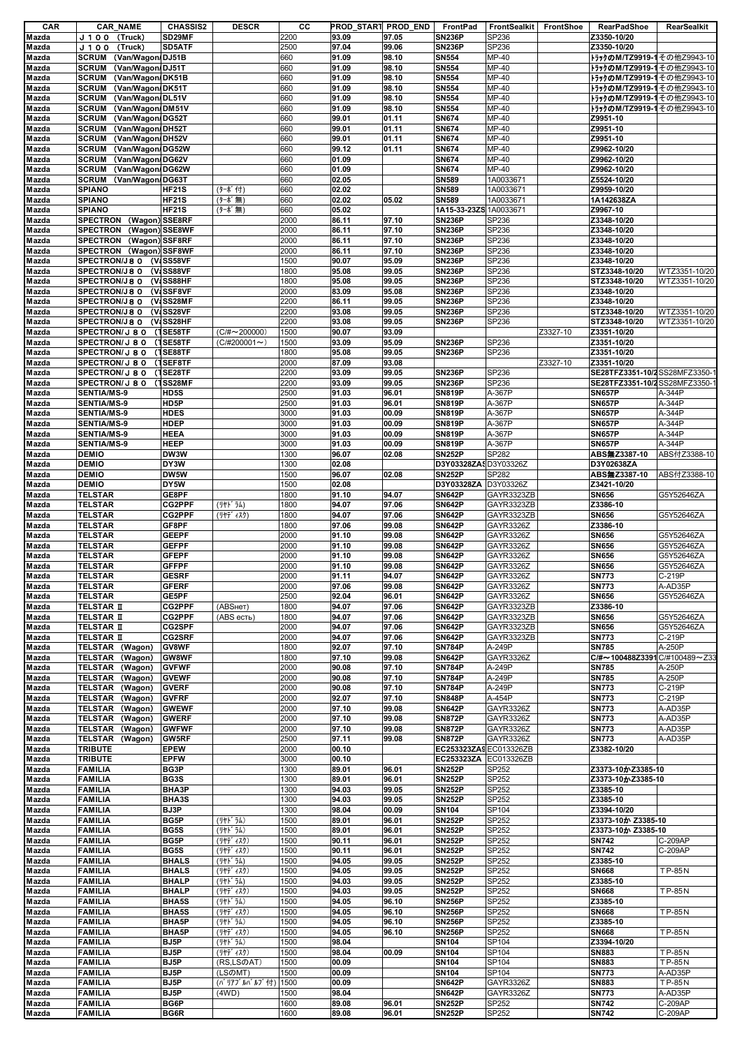| CAR            | <b>CAR_NAME</b>                   | <b>CHASSIS2</b> | <b>DESCR</b>        | cс   |       | PROD_STAR1 PROD_END | FrontPad                       | FrontSealkit   FrontShoe |          | <b>RearPadShoe</b>                | RearSealkit          |
|----------------|-----------------------------------|-----------------|---------------------|------|-------|---------------------|--------------------------------|--------------------------|----------|-----------------------------------|----------------------|
| Mazda          | J 1 0 0<br>(Truck)                | SD29MF          |                     | 2200 | 93.09 | 97.05               | <b>SN236P</b>                  | SP236                    |          | Z3350-10/20                       |                      |
| Mazda          | J 1 0 0<br>(Truck)                | SD5ATF          |                     | 2500 | 97.04 | 99.06               | <b>SN236P</b>                  | SP236                    |          | Z3350-10/20                       |                      |
| Mazda          | (Van/Wagon/DJ51B<br><b>SCRUM</b>  |                 |                     | 660  | 91.09 | 98.10               | <b>SN554</b>                   | MP-40                    |          | トラックのM/TZ9919-1その他Z9943-10        |                      |
| Mazda          | <b>SCRUM</b><br>(Van/Wagon/DJ51T  |                 |                     | 660  | 91.09 | 98.10               | <b>SN554</b>                   | MP-40                    |          | トラックのM/TZ9919-1その他Z9943-10        |                      |
| Mazda          | (Van/Wagon/DK51B<br><b>SCRUM</b>  |                 |                     | 660  | 91.09 | 98.10               | <b>SN554</b>                   | MP-40                    |          | <b>トラックのM/TZ9919-1その他Z9943-10</b> |                      |
| Mazda          | <b>SCRUM</b><br>(Van/Wagon/DK51T  |                 |                     | 660  | 91.09 | 98.10               | <b>SN554</b>                   | MP-40                    |          | トラックのM/TZ9919-1その他Z9943-10        |                      |
| Mazda          | <b>SCRUM</b><br>(Van/Wagon/DL51V  |                 |                     | 660  | 91.09 | 98.10               | <b>SN554</b>                   | MP-40                    |          | <b>トラックのM/TZ9919-1その他Z9943-10</b> |                      |
| Mazda          | (Van/Wagon/DM51V<br><b>SCRUM</b>  |                 |                     | 660  | 91.09 | 98.10               | <b>SN554</b>                   | MP-40                    |          | トラックのM/TZ9919-1その他Z9943-10        |                      |
| Mazda          | <b>SCRUM</b><br>(Van/Wagon/DG52T  |                 |                     | 660  | 99.01 | 01.11               | <b>SN674</b>                   | MP-40                    |          | Z9951-10                          |                      |
| Mazda          | <b>SCRUM</b><br>(Van/Wagon/DH52T  |                 |                     | 660  | 99.01 | 01.11               | <b>SN674</b>                   | MP-40                    |          | Z9951-10                          |                      |
| Mazda          | <b>SCRUM</b><br>(Van/Wagon/DH52V  |                 |                     | 660  | 99.01 | 01.11               | <b>SN674</b>                   | MP-40                    |          | Z9951-10                          |                      |
| Mazda          | <b>SCRUM</b><br>(Van/Wagon/DG52W  |                 |                     | 660  | 99.12 | 01.11               | <b>SN674</b>                   | MP-40                    |          | Z9962-10/20                       |                      |
| Mazda          | <b>SCRUM</b><br>(Van/Wagon/DG62V  |                 |                     | 660  | 01.09 |                     | <b>SN674</b>                   | MP-40                    |          | Z9962-10/20                       |                      |
| Mazda          | <b>SCRUM</b><br>(Van/Wagon/DG62W  |                 |                     | 660  | 01.09 |                     | <b>SN674</b>                   | MP-40                    |          | Z9962-10/20                       |                      |
| Mazda          | <b>SCRUM</b><br>(Van/Wagon/DG63T  |                 |                     | 660  | 02.05 |                     | <b>SN589</b>                   | 1A0033671                |          | Z5524-10/20                       |                      |
| Mazda          | <b>SPIANO</b>                     | <b>HF21S</b>    | (ターボ付)              | 660  | 02.02 |                     | <b>SN589</b>                   | 1A0033671                |          | Z9959-10/20                       |                      |
| Mazda          | <b>SPIANO</b>                     | <b>HF21S</b>    | (ターボ無)              | 660  | 02.02 | 05.02               | <b>SN589</b>                   | 1A0033671                |          | 1A142638ZA                        |                      |
| Mazda          | <b>SPIANO</b>                     | <b>HF21S</b>    | (ターボ無)              | 660  | 05.02 |                     | 1A15-33-23ZS 1A0033671         |                          |          | Z9967-10                          |                      |
| Mazda          | SPECTRON (Wagon) SSE8RF           |                 |                     | 2000 | 86.11 | 97.10               | <b>SN236P</b>                  | SP236                    |          | Z3348-10/20                       |                      |
| Mazda          | <b>SPECTRON</b><br>(Wagon) SSE8WF |                 |                     | 2000 | 86.11 | 97.10               | <b>SN236P</b>                  | SP236                    |          | Z3348-10/20                       |                      |
| Mazda          | SPECTRON (Wagon) SSF8RF           |                 |                     | 2000 | 86.11 | 97.10               | <b>SN236P</b>                  | SP236                    |          | Z3348-10/20                       |                      |
| Mazda          | SPECTRON (Wagon) SSF8WF           |                 |                     | 2000 | 86.11 | 97.10               | <b>SN236P</b>                  | SP236                    |          | Z3348-10/20                       |                      |
| Mazda          | SPECTRON/J8 0 (V:SS58VF           |                 |                     | 1500 | 90.07 | 95.09               | <b>SN236P</b>                  | SP236                    |          | Z3348-10/20                       |                      |
| Mazda          | SPECTRON/J8 0 (V:SS88VF           |                 |                     | 1800 | 95.08 | 99.05               | <b>SN236P</b>                  | SP236                    |          | STZ3348-10/20                     | WTZ3351-10/20        |
| Mazda          | SPECTRON/J8 0 (V:SS88HF           |                 |                     | 1800 | 95.08 | 99.05               | <b>SN236P</b>                  | SP236                    |          | STZ3348-10/20                     | WTZ3351-10/20        |
|                | SPECTRON/J8 0 (V:SSF8VF           |                 |                     | 2000 | 83.09 |                     | <b>SN236P</b>                  | SP236                    |          | Z3348-10/20                       |                      |
| Mazda<br>Mazda | <b>SPECTRON/J8 0</b>              | (V:SS28MF       |                     | 2200 | 86.11 | 95.08<br>99.05      | <b>SN236P</b>                  | SP236                    |          | Z3348-10/20                       |                      |
|                |                                   | (V:SS28VF       |                     | 2200 | 93.08 | 99.05               | <b>SN236P</b>                  | SP236                    |          | STZ3348-10/20                     | WTZ3351-10/20        |
| Mazda          | <b>SPECTRON/J8 0</b>              |                 |                     |      |       |                     |                                |                          |          |                                   |                      |
| Mazda          | SPECTRON/J8 0 (V SS28HF           |                 |                     | 2200 | 93.08 | 99.05               | <b>SN236P</b>                  | SP236                    |          | STZ3348-10/20                     | WTZ3351-10/20        |
| Mazda          | SPECTRON/J 8 0 (1SE58TF           |                 | $(C/H \sim 200000)$ | 1500 | 90.07 | 93.09               |                                |                          | Z3327-10 | Z3351-10/20                       |                      |
| Mazda          | SPECTRON/J 8 0                    | (1SE58TF        | $(C/H200001 \sim )$ | 1500 | 93.09 | 95.09               | <b>SN236P</b>                  | SP236                    |          | Z3351-10/20                       |                      |
| Mazda          | SPECTRON/J 8 0                    | (1SE88TF        |                     | 1800 | 95.08 | 99.05               | <b>SN236P</b>                  | SP236                    |          | Z3351-10/20                       |                      |
| Mazda          | SPECTRON/J 8 0                    | (1SEF8TF        |                     | 2000 | 87.09 | 93.08               |                                |                          | Z3327-10 | Z3351-10/20                       |                      |
| Mazda          | SPECTRON/J 8 0                    | (1SE28TF        |                     | 2200 | 93.09 | 99.05               | <b>SN236P</b>                  | SP236                    |          | SE28TFZ3351-10/2 SS28MFZ3350-     |                      |
| Mazda          | SPECTRON/J 8 0 (1SS28MF           |                 |                     | 2200 | 93.09 | 99.05               | <b>SN236P</b>                  | SP236                    |          | SE28TFZ3351-10/2 SS28MFZ3350-     |                      |
| Mazda          | <b>SENTIA/MS-9</b>                | HD5S            |                     | 2500 | 91.03 | 96.01               | <b>SN819P</b>                  | A-367P                   |          | <b>SN657P</b>                     | A-344P               |
| Mazda          | SENTIA/MS-9                       | HD5P            |                     | 2500 | 91.03 | 96.01               | <b>SN819P</b>                  | A-367P                   |          | <b>SN657P</b>                     | A-344P               |
| Mazda          | <b>SENTIA/MS-9</b>                | <b>HDES</b>     |                     | 3000 | 91.03 | 00.09               | <b>SN819P</b>                  | A-367P                   |          | <b>SN657P</b>                     | A-344P               |
| Mazda          | <b>SENTIA/MS-9</b>                | <b>HDEP</b>     |                     | 3000 | 91.03 | 00.09               | <b>SN819P</b>                  | A-367P                   |          | <b>SN657P</b>                     | A-344P               |
| Mazda          | <b>SENTIA/MS-9</b>                | <b>HEEA</b>     |                     | 3000 | 91.03 | 00.09               | <b>SN819P</b>                  | A-367P                   |          | <b>SN657P</b>                     | A-344P               |
| Mazda          | <b>SENTIA/MS-9</b>                | <b>HEEP</b>     |                     | 3000 | 91.03 | 00.09               | <b>SN819P</b>                  | A-367P                   |          | <b>SN657P</b>                     | A-344P               |
| Mazda          | <b>DEMIO</b>                      | DW3W            |                     | 1300 | 96.07 | 02.08               | <b>SN252P</b>                  | SP282                    |          | ABS無Z3387-10                      | ABS付Z3388-10         |
| Mazda          | <b>DEMIO</b>                      | DY3W            |                     | 1300 | 02.08 |                     | D3Y03328ZASD3Y03326Z           |                          |          | D3Y02638ZA                        |                      |
| Mazda          | <b>DEMIO</b>                      | DW5W            |                     | 1500 | 96.07 | 02.08               | <b>SN252P</b>                  | SP282                    |          | ABS無Z3387-10                      | ABS付Z3388-10         |
| Mazda          | <b>DEMIO</b>                      | DY5W            |                     | 1500 | 02.08 |                     | D3Y03328ZA                     | D3Y03326Z                |          | Z3421-10/20                       |                      |
| Mazda          | <b>TELSTAR</b>                    | GE8PF           |                     | 1800 | 91.10 | 94.07               | <b>SN642P</b>                  | GAYR3323ZB               |          | <b>SN656</b>                      | G5Y52646ZA           |
| Mazda          | <b>TELSTAR</b>                    | CG2PPF          | (リヤト・ラム)            | 1800 | 94.07 | 97.06               | <b>SN642P</b>                  | GAYR3323ZB               |          | Z3386-10                          |                      |
| Mazda          | <b>TELSTAR</b>                    | CG2PPF          | (リヤデ ィスク)           | 1800 | 94.07 | 97.06               | <b>SN642P</b>                  | GAYR3323ZB               |          | <b>SN656</b>                      | G5Y52646ZA           |
| Mazda          | <b>TELSTAR</b>                    | GF8PF           |                     | 1800 | 97.06 | 99.08               | <b>SN642P</b>                  | GAYR3326Z                |          | Z3386-10                          |                      |
| Mazda          | <b>TELSTAR</b>                    | <b>GEEPF</b>    |                     | 2000 | 91.10 | 99.08               | <b>SN642P</b>                  | GAYR3326Z                |          | <b>SN656</b>                      | G5Y52646ZA           |
| Mazda          | <b>TELSTAR</b>                    | <b>GEFPF</b>    |                     | 2000 | 91.10 | 99.08               | <b>SN642P</b>                  | GAYR3326Z                |          | <b>SN656</b>                      | G5Y52646ZA           |
| Mazda          | <b>TELSTAR</b>                    | <b>GFEPF</b>    |                     | 2000 | 91.10 | 99.08               | <b>SN642P</b>                  | GAYR3326Z                |          | <b>SN656</b>                      | G5Y52646ZA           |
|                | <b>TELSTAR</b>                    | <b>GFFPF</b>    |                     | 2000 |       |                     |                                |                          |          | <b>SN656</b>                      |                      |
| Mazda          |                                   | <b>GESRF</b>    |                     | 2000 | 91.10 | 99.08               | <b>SN642P</b><br><b>SN642P</b> | GAYR3326Z                |          | <b>SN773</b>                      | G5Y52646ZA<br>C-219P |
| Mazda          | <b>TELSTAR</b>                    |                 |                     |      | 91.11 | 94.07               |                                | GAYR3326Z                |          |                                   |                      |
| Mazda          | <b>TELSTAR</b>                    | <b>GFERF</b>    |                     | 2000 | 97.06 | 99.08               | <b>SN642P</b>                  | GAYR3326Z                |          | <b>SN773</b>                      | A-AD35P              |
| Mazda          | <b>TELSTAR</b>                    | GE5PF           |                     | 2500 | 92.04 | 96.01               | <b>SN642P</b>                  | GAYR3326Z                |          | <b>SN656</b>                      | G5Y52646ZA           |
| Mazda          | <b>TELSTAR II</b>                 | CG2PPF          | (ABSHeT)            | 1800 | 94.07 | 97.06               | <b>SN642P</b>                  | GAYR3323ZB               |          | Z3386-10                          |                      |
| Mazda          | <b>TELSTAR II</b>                 | CG2PPF          | (ABS есть)          | 1800 | 94.07 | 97.06               | <b>SN642P</b>                  | GAYR3323ZB               |          | <b>SN656</b>                      | G5Y52646ZA           |
| Mazda          | <b>TELSTAR II</b>                 | CG2SPF          |                     | 2000 | 94.07 | 97.06               | <b>SN642P</b>                  | GAYR3323ZB               |          | <b>SN656</b>                      | G5Y52646ZA           |
| Mazda          | <b>TELSTAR II</b>                 | <b>CG2SRF</b>   |                     | 2000 | 94.07 | 97.06               | <b>SN642P</b>                  | GAYR3323ZB               |          | <b>SN773</b>                      | C-219P               |
| Mazda          | TELSTAR (Wagon)                   | <b>GV8WF</b>    |                     | 1800 | 92.07 | 97.10               | <b>SN784P</b>                  | A-249P                   |          | <b>SN785</b>                      | A-250P               |
| Mazda          | TELSTAR (Wagon)                   | <b>GW8WF</b>    |                     | 1800 | 97.10 | 99.08               | <b>SN642P</b>                  | GAYR3326Z                |          | C/#~100488Z3391C/#100489~Z33      |                      |
| Mazda          | TELSTAR (Wagon)                   | <b>GVFWF</b>    |                     | 2000 | 90.08 | 97.10               | <b>SN784P</b>                  | A-249P                   |          | <b>SN785</b>                      | A-250P               |
| Mazda          | TELSTAR (Wagon)                   | <b>GVEWF</b>    |                     | 2000 | 90.08 | 97.10               | <b>SN784P</b>                  | A-249P                   |          | <b>SN785</b>                      | A-250P               |
| Mazda          | TELSTAR (Wagon)                   | <b>GVERF</b>    |                     | 2000 | 90.08 | 97.10               | <b>SN784P</b>                  | A-249P                   |          | <b>SN773</b>                      | C-219P               |
| Mazda          | TELSTAR (Wagon)                   | <b>GVFRF</b>    |                     | 2000 | 92.07 | 97.10               | <b>SN848P</b>                  | A-454P                   |          | <b>SN773</b>                      | C-219P               |
| Mazda          | TELSTAR (Wagon)                   | <b>GWEWF</b>    |                     | 2000 | 97.10 | 99.08               | <b>SN642P</b>                  | GAYR3326Z                |          | <b>SN773</b>                      | A-AD35P              |
| Mazda          | TELSTAR (Wagon)                   | <b>GWERF</b>    |                     | 2000 | 97.10 | 99.08               | <b>SN872P</b>                  | GAYR3326Z                |          | <b>SN773</b>                      | A-AD35P              |
| Mazda          | TELSTAR (Wagon)                   | <b>GWFWF</b>    |                     | 2000 | 97.10 | 99.08               | <b>SN872P</b>                  | GAYR3326Z                |          | <b>SN773</b>                      | A-AD35P              |
| Mazda          | TELSTAR (Wagon)                   | <b>GW5RF</b>    |                     | 2500 | 97.11 | 99.08               | <b>SN872P</b>                  | GAYR3326Z                |          | <b>SN773</b>                      | A-AD35P              |
| Mazda          | <b>TRIBUTE</b>                    | <b>EPEW</b>     |                     | 2000 | 00.10 |                     | EC253323ZA9 EC013326ZB         |                          |          | Z3382-10/20                       |                      |
| Mazda          | <b>TRIBUTE</b>                    | <b>EPFW</b>     |                     | 3000 | 00.10 |                     | EC253323ZA EC013326ZB          |                          |          |                                   |                      |
| Mazda          | <b>FAMILIA</b>                    | BG3P            |                     | 1300 | 89.01 | 96.01               | <b>SN252P</b>                  | SP252                    |          | Z3373-10かZ3385-10                 |                      |
| Mazda          | <b>FAMILIA</b>                    | BG3S            |                     | 1300 | 89.01 | 96.01               | <b>SN252P</b>                  | SP252                    |          | Z3373-10かZ3385-10                 |                      |
| Mazda          | <b>FAMILIA</b>                    | BHA3P           |                     | 1300 | 94.03 | 99.05               | <b>SN252P</b>                  | SP252                    |          | Z3385-10                          |                      |
| Mazda          | <b>FAMILIA</b>                    | BHA3S           |                     | 1300 | 94.03 | 99.05               | <b>SN252P</b>                  | SP252                    |          | Z3385-10                          |                      |
| Mazda          | <b>FAMILIA</b>                    | BJ3P            |                     | 1300 | 98.04 | 00.09               | <b>SN104</b>                   | SP104                    |          | Z3394-10/20                       |                      |
| Mazda          | <b>FAMILIA</b>                    | BG5P            | (リヤト・ラム)            | 1500 | 89.01 | 96.01               | <b>SN252P</b>                  | SP252                    |          | Z3373-10か Z3385-10                |                      |
| Mazda          | <b>FAMILIA</b>                    | <b>BG5S</b>     | (リヤト゛ラム)            | 1500 | 89.01 | 96.01               | <b>SN252P</b>                  | SP252                    |          | Z3373-10か Z3385-10                |                      |
| Mazda          | <b>FAMILIA</b>                    | BG5P            | (リヤデ ィスク)           | 1500 | 90.11 | 96.01               | <b>SN252P</b>                  | SP252                    |          | <b>SN742</b>                      | C-209AP              |
| Mazda          | <b>FAMILIA</b>                    | <b>BG5S</b>     | (リヤデ ィスク)           | 1500 | 90.11 | 96.01               | <b>SN252P</b>                  | SP252                    |          | <b>SN742</b>                      | C-209AP              |
| Mazda          | <b>FAMILIA</b>                    | <b>BHALS</b>    | (リヤト ラム)            | 1500 | 94.05 | 99.05               | <b>SN252P</b>                  | SP252                    |          | Z3385-10                          |                      |
| Mazda          | <b>FAMILIA</b>                    | <b>BHALS</b>    | (リヤデ゛ィスク)           | 1500 | 94.05 | 99.05               | <b>SN252P</b>                  | SP252                    |          | <b>SN668</b>                      | TP-85N               |
| Mazda          | <b>FAMILIA</b>                    | <b>BHALP</b>    | (リヤト゛ラム)            | 1500 | 94.03 | 99.05               | <b>SN252P</b>                  | SP252                    |          | Z3385-10                          |                      |
|                |                                   | <b>BHALP</b>    |                     |      |       |                     |                                |                          |          |                                   |                      |
| Mazda          | <b>FAMILIA</b>                    |                 | (リヤデ ィスク)           | 1500 | 94.03 | 99.05               | <b>SN252P</b>                  | SP252                    |          | <b>SN668</b>                      | <b>TP-85N</b>        |
| Mazda          | <b>FAMILIA</b>                    | BHA5S           | (リヤト・ラム)            | 1500 | 94.05 | 96.10               | <b>SN256P</b>                  | SP252                    |          | Z3385-10                          |                      |
| Mazda          | <b>FAMILIA</b>                    | BHA5S           | (リヤデ゛ィスク)           | 1500 | 94.05 | 96.10               | <b>SN256P</b>                  | SP252                    |          | <b>SN668</b>                      | <b>TP-85N</b>        |
| Mazda          | <b>FAMILIA</b>                    | BHA5P           | (リヤト・ラム)            | 1500 | 94.05 | 96.10               | <b>SN256P</b>                  | SP252                    |          | Z3385-10                          |                      |
| Mazda          | <b>FAMILIA</b>                    | BHA5P           | (リヤデ ィスク)           | 1500 | 94.05 | 96.10               | <b>SN256P</b>                  | SP252                    |          | <b>SN668</b>                      | <b>TP-85N</b>        |
| Mazda          | <b>FAMILIA</b>                    | BJ5P            | (リヤト ラム)            | 1500 | 98.04 |                     | <b>SN104</b>                   | SP104                    |          | Z3394-10/20                       |                      |
| Mazda          | <b>FAMILIA</b>                    | BJ5P            | (リヤデ ィスク)           | 1500 | 98.04 | 00.09               | SN104                          | SP104                    |          | <b>SN883</b>                      | <b>TP-85N</b>        |
| Mazda          | <b>FAMILIA</b>                    | BJ5P            | (RS,LSのAT)          | 1500 | 00.09 |                     | <b>SN104</b>                   | SP104                    |          | <b>SN883</b>                      | <b>TP-85N</b>        |
| Mazda          | <b>FAMILIA</b>                    | BJ5P            | (LSのMT)             | 1500 | 00.09 |                     | <b>SN104</b>                   | SP104                    |          | <b>SN773</b>                      | A-AD35P              |
| Mazda          | <b>FAMILIA</b>                    | BJ5P            | (バリアブルバルブ付)         | 1500 | 00.09 |                     | <b>SN642P</b>                  | GAYR3326Z                |          | <b>SN883</b>                      | <b>TP-85N</b>        |
| Mazda          | <b>FAMILIA</b>                    | BJ5P            | (4WD)               | 1500 | 98.04 |                     | <b>SN642P</b>                  | GAYR3326Z                |          | <b>SN773</b>                      | A-AD35P              |
| Mazda          | <b>FAMILIA</b>                    | BG6P            |                     | 1600 | 89.08 | 96.01               | <b>SN252P</b>                  | SP252                    |          | <b>SN742</b>                      | C-209AP              |
| Mazda          | <b>FAMILIA</b>                    | BG6R            |                     | 1600 | 89.08 | 96.01               | <b>SN252P</b>                  | SP252                    |          | <b>SN742</b>                      | C-209AP              |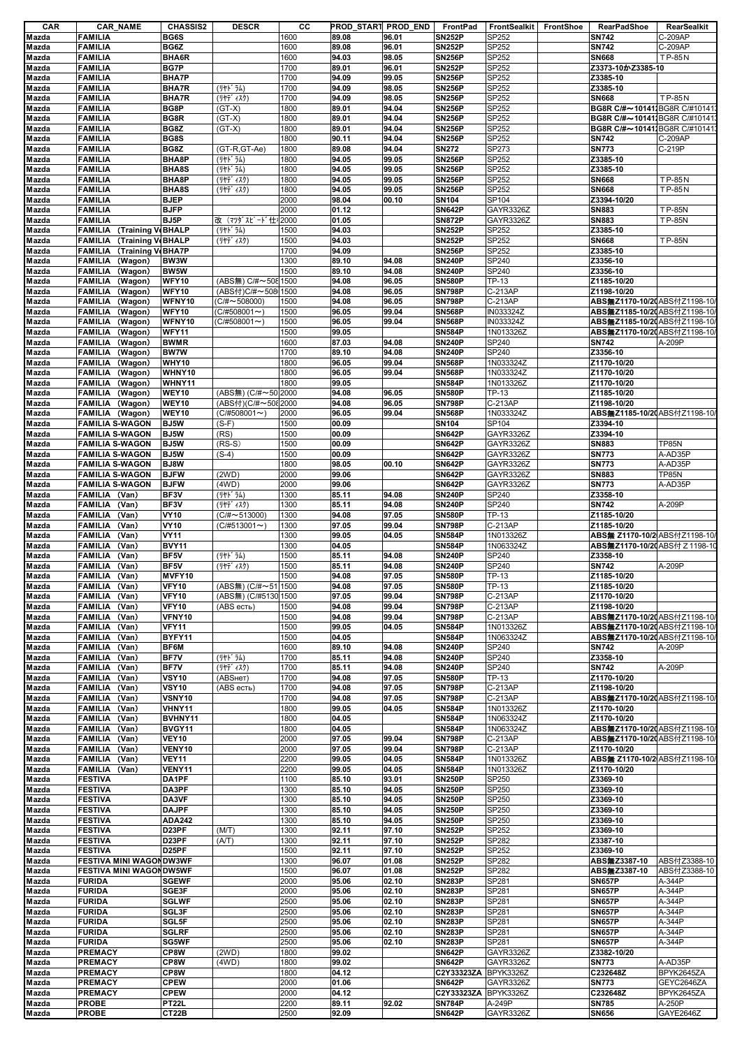| CAR                                       | <b>CAR_NAME</b>                           | <b>CHASSIS2</b>              | <b>DESCR</b>          | cс           |                | PROD_START PROD_END | FrontPad                       | FrontSealkit FrontShoe | <b>RearPadShoe</b>                          | RearSealkit             |
|-------------------------------------------|-------------------------------------------|------------------------------|-----------------------|--------------|----------------|---------------------|--------------------------------|------------------------|---------------------------------------------|-------------------------|
| Mazda                                     | <b>FAMILIA</b>                            | <b>BG6S</b>                  |                       | 1600         | 89.08          | 96.01               | <b>SN252P</b>                  | SP252                  | <b>SN742</b>                                | C-209AP                 |
| Mazda                                     | <b>FAMILIA</b>                            | BG6Z                         |                       | 1600         | 89.08          | 96.01               | <b>SN252P</b>                  | SP252                  | <b>SN742</b>                                | C-209AP                 |
| Mazda                                     | <b>FAMILIA</b>                            | BHA6R                        |                       | 1600         | 94.03          | 98.05               | <b>SN256P</b>                  | SP252                  | <b>SN668</b>                                | <b>TP-85N</b>           |
| Mazda                                     | <b>FAMILIA</b>                            | <b>BG7P</b>                  |                       | 1700         | 89.01          | 96.01               | <b>SN252P</b>                  | SP252                  | Z3373-10かZ3385-10                           |                         |
| Mazda                                     | <b>FAMILIA</b>                            | <b>BHA7P</b>                 |                       | 1700         | 94.09          | 99.05               | <b>SN256P</b>                  | SP252                  | Z3385-10                                    |                         |
| Mazda<br>Mazda                            | <b>FAMILIA</b><br><b>FAMILIA</b>          | <b>BHA7R</b><br><b>BHA7R</b> | (リヤト ラム)<br>(リヤデ ィスク) | 1700<br>1700 | 94.09<br>94.09 | 98.05<br>98.05      | <b>SN256P</b><br><b>SN256P</b> | SP252<br>SP252         | Z3385-10<br><b>SN668</b>                    | <b>TP-85N</b>           |
| Mazda                                     | <b>FAMILIA</b>                            | BG8P                         | $(GT-X)$              | 1800         | 89.01          | 94.04               | <b>SN256P</b>                  | SP252                  | BG8R C/#~10141. BG8R C/#10141               |                         |
| Mazda                                     | <b>FAMILIA</b>                            | BG8R                         | $(GT-X)$              | 1800         | 89.01          | 94.04               | <b>SN256P</b>                  | SP252                  | BG8R C/#~10141. BG8R C/#10141               |                         |
| Mazda                                     | <b>FAMILIA</b>                            | BG8Z                         | $(GT-X)$              | 1800         | 89.01          | 94.04               | <b>SN256P</b>                  | SP252                  | BG8R C/#~10141 BG8R C/#10141                |                         |
| Mazda                                     | <b>FAMILIA</b>                            | BG8S                         |                       | 1800         | 90.11          | 94.04               | <b>SN256P</b>                  | SP252                  | <b>SN742</b>                                | C-209AP                 |
| Mazda                                     | <b>FAMILIA</b>                            | BG8Z                         | (GT-R,GT-Ae)          | 1800         | 89.08          | 94.04               | <b>SN272</b>                   | SP273                  | <b>SN773</b>                                | C-219P                  |
| Mazda                                     | <b>FAMILIA</b>                            | BHA8P                        | (リヤト゛ラム)              | 1800         | 94.05          | 99.05               | <b>SN256P</b>                  | SP252                  | Z3385-10                                    |                         |
| Mazda                                     | <b>FAMILIA</b>                            | BHA8S                        | (リヤト ラム)              | 1800         | 94.05          | 99.05               | <b>SN256P</b>                  | SP252                  | Z3385-10                                    |                         |
| Mazda                                     | <b>FAMILIA</b>                            | BHA8P                        | (リヤデ ィスク)             | 1800         | 94.05          | 99.05               | <b>SN256P</b>                  | SP252                  | <b>SN668</b>                                | <b>TP-85N</b>           |
| Mazda                                     | <b>FAMILIA</b>                            | BHA8S                        | (リヤデ ィスク)             | 1800         | 94.05          | 99.05               | <b>SN256P</b>                  | SP252                  | <b>SN668</b>                                | <b>TP-85N</b>           |
| Mazda                                     | <b>FAMILIA</b>                            | <b>BJEP</b>                  |                       | 2000         | 98.04          | 00.10               | SN104                          | SP104                  | Z3394-10/20                                 |                         |
| Mazda                                     | <b>FAMILIA</b>                            | <b>BJFP</b>                  |                       | 2000         | 01.12          |                     | <b>SN642P</b>                  | GAYR3326Z              | <b>SN883</b>                                | <b>TP-85N</b>           |
| Mazda                                     | <b>FAMILIA</b>                            | BJ5P                         | 改 (マツダスピード仕キ 2000     |              | 01.05          |                     | <b>SN872P</b>                  | GAYR3326Z              | <b>SN883</b>                                | TP-85N                  |
| Mazda                                     | FAMILIA (Training V(BHALP                 |                              | (リヤト゛ラム)              | 1500         | 94.03          |                     | <b>SN252P</b>                  | SP252                  | Z3385-10                                    |                         |
| Mazda                                     | <b>FAMILIA</b> (Training V(BHALP          |                              | (リヤデ ィスク)             | 1500         | 94.03          |                     | <b>SN252P</b>                  | SP252                  | <b>SN668</b>                                | <b>TP-85N</b>           |
| Mazda                                     | <b>FAMILIA</b> (Training VeBHA7P          |                              |                       | 1700         | 94.09          |                     | <b>SN256P</b>                  | SP252                  | Z3385-10                                    |                         |
| Mazda                                     | <b>FAMILIA</b><br>(Wagon)                 | BW3W                         |                       | 1300         | 89.10          | 94.08               | <b>SN240P</b>                  | SP240                  | Z3356-10                                    |                         |
| Mazda                                     | FAMILIA (Wagon)                           | <b>BW5W</b>                  |                       | 1500         | 89.10          | 94.08               | <b>SN240P</b>                  | SP240                  | Z3356-10                                    |                         |
| Mazda                                     | <b>FAMILIA</b><br>(Wagon)                 | WFY10                        | (ABS無) C/#~508 1500   |              | 94.08          | 96.05               | <b>SN580P</b>                  | TP-13                  | Z1185-10/20                                 |                         |
| Mazda                                     | <b>FAMILIA</b><br>(Wagon)                 | WFY10                        | (ABS付)C/#~508 1500    |              | 94.08          | 96.05               | <b>SN798P</b>                  | C-213AP                | Z1198-10/20                                 |                         |
| Mazda                                     | FAMILIA (Wagon)                           | WFNY10                       | $(C/H \sim 508000)$   | 1500         | 94.08          | 96.05               | <b>SN798P</b>                  | C-213AP                | ABS無Z1170-10/20 ABS付Z1198-10                |                         |
| Mazda                                     | FAMILIA (Wagon)                           | WFY10                        | $(C/H508001\sim)$     | 1500         | 96.05          | 99.04               | <b>SN568P</b>                  | IN033324Z              | ABS無Z1185-10/20 ABS付Z1198-10                |                         |
| Mazda                                     | FAMILIA (Wagon)                           | WFNY10                       | $(C/H508001\sim)$     | 1500         | 96.05          | 99.04               | <b>SN568P</b>                  | IN033324Z              | ABS無Z1185-10/2(ABS付Z1198-10/                |                         |
| Mazda                                     | <b>FAMILIA</b><br>(Wagon)                 | <b>WFY11</b>                 |                       | 1500         | 99.05          |                     | <b>SN584P</b>                  | 1N013326Z              | ABS無Z1170-10/2(ABS付Z1198-10)                |                         |
| Mazda                                     | FAMILIA (Wagon)                           | <b>BWMR</b>                  |                       | 1600         | 87.03          | 94.08               | <b>SN240P</b>                  | SP240                  | <b>SN742</b>                                | A-209P                  |
| Mazda                                     | (Wagon)<br><b>FAMILIA</b>                 | <b>BW7W</b>                  |                       | 1700         | 89.10          | 94.08               | <b>SN240P</b>                  | SP240                  | Z3356-10                                    |                         |
| Mazda                                     | <b>FAMILIA</b><br>(Wagon)                 | WHY10                        |                       | 1800         | 96.05          | 99.04               | <b>SN568P</b>                  | 1N033324Z              | Z1170-10/20                                 |                         |
| Mazda                                     | <b>FAMILIA</b><br>(Wagon)                 | WHNY10                       |                       | 1800         | 96.05          | 99.04               | <b>SN568P</b>                  | 1N033324Z              | Z1170-10/20                                 |                         |
| Mazda                                     | FAMILIA (Wagon)                           | WHNY11                       |                       | 1800         | 99.05          |                     | <b>SN584P</b>                  | 1N013326Z              | Z1170-10/20                                 |                         |
| Mazda                                     | FAMILIA (Wagon)                           | WEY10                        | (ABS無) (C/#~50 2000   |              | 94.08          | 96.05               | <b>SN580P</b>                  | TP-13                  | Z1185-10/20                                 |                         |
| Mazda                                     | FAMILIA (Wagon)                           | WEY10                        | (ABS付)(C/#~5082000    |              | 94.08          | 96.05               | <b>SN798P</b>                  | C-213AP                | Z1198-10/20                                 |                         |
| Mazda                                     | FAMILIA (Wagon)                           | WEY10                        | $(C/H508001 \sim)$    | 2000         | 96.05          | 99.04               | <b>SN568P</b>                  | 1N033324Z              | ABS無Z1185-10/20 ABS付Z1198-10                |                         |
| Mazda                                     | <b>FAMILIA S-WAGON</b>                    | <b>BJ5W</b>                  | $(S-F)$               | 1500         | 00.09          |                     | <b>SN104</b>                   | SP104                  | Z3394-10                                    |                         |
| Mazda                                     | <b>FAMILIA S-WAGON</b>                    | BJ5W                         | (RS)                  | 1500         | 00.09          |                     | <b>SN642P</b>                  | GAYR3326Z              | Z3394-10                                    |                         |
| Mazda                                     | <b>FAMILIA S-WAGON</b>                    | BJ5W                         | $(RS-S)$              | 1500         | 00.09          |                     | <b>SN642P</b>                  | GAYR3326Z              | <b>SN883</b>                                | <b>TP85N</b>            |
| Mazda                                     | <b>FAMILIA S-WAGON</b>                    | BJ5W                         | $(S-4)$               | 1500         | 00.09          |                     | <b>SN642P</b>                  | GAYR3326Z              | <b>SN773</b>                                | A-AD35P                 |
| Mazda                                     | <b>FAMILIA S-WAGON</b>                    | BJ8W                         |                       | 1800         | 98.05          | 00.10               | <b>SN642P</b>                  | GAYR3326Z              | <b>SN773</b>                                | A-AD35P                 |
| Mazda                                     | <b>FAMILIA S-WAGON</b>                    | <b>BJFW</b><br><b>BJFW</b>   | (2WD)<br>(4WD)        | 2000<br>2000 | 99.06<br>99.06 |                     | <b>SN642P</b><br><b>SN642P</b> | GAYR3326Z              | <b>SN883</b><br><b>SN773</b>                | <b>TP85N</b><br>A-AD35P |
| Mazda<br>Mazda                            | <b>FAMILIA S-WAGON</b>                    | BF3V                         | (リヤト ラム)              | 1300         | 85.11          | 94.08               | <b>SN240P</b>                  | GAYR3326Z<br>SP240     | Z3358-10                                    |                         |
|                                           | FAMILIA (Van)<br>FAMILIA (Van)            | BF3V                         | (リヤデ゛ィスク)             | 1300         | 85.11          | 94.08               | <b>SN240P</b>                  | SP240                  | <b>SN742</b>                                | A-209P                  |
| Mazda                                     | (Van)                                     | <b>VY10</b>                  | $(C/\# \sim 513000)$  | 1300         | 94.08          | 97.05               | <b>SN580P</b>                  | TP-13                  | Z1185-10/20                                 |                         |
| Mazda                                     | <b>FAMILIA</b>                            | <b>VY10</b>                  |                       | 1300         | 97.05          | 99.04               | <b>SN798P</b>                  | C-213AP                |                                             |                         |
| Mazda<br>Mazda                            | FAMILIA (Van)                             | <b>VY11</b>                  | $(C/H513001 \sim )$   | 1300         | 99.05          | 04.05               | <b>SN584P</b>                  | 1N013326Z              | Z1185-10/20<br>ABS無 Z1170-10/2 ABS付Z1198-10 |                         |
|                                           | <b>FAMILIA</b><br>(Van)<br><b>FAMILIA</b> | <b>BVY11</b>                 |                       | 1300         | 04.05          |                     | <b>SN584P</b>                  | 1N063324Z              |                                             |                         |
| Mazda                                     | (Van)<br>(Van)                            | BF5V                         |                       | 1500         | 85.11          |                     | <b>SN240P</b>                  |                        | ABS無Z1170-10/20 ABS付 Z 1198-10<br>Z3358-10  |                         |
| Mazda                                     | <b>FAMILIA</b><br>FAMILIA (Van)           | BF5V                         | (リヤト゛ラム)              |              |                | 94.08<br>94.08      | <b>SN240P</b>                  | SP240                  | <b>SN742</b>                                | A-209P                  |
| Mazda                                     | FAMILIA (Van)                             | MVFY10                       | (リヤデ ィスク)             | 1500<br>1500 | 85.11<br>94.08 | 97.05               | <b>SN580P</b>                  | SP240<br>TP-13         | Z1185-10/20                                 |                         |
| Mazda                                     | FAMILIA (Van)                             | <b>VFY10</b>                 | (ABS無) (C/#~51 1500   |              | 94.08          | 97.05               | <b>SN580P</b>                  | TP-13                  | Z1185-10/20                                 |                         |
| Mazda<br>Mazda                            | FAMILIA (Van)                             | <b>VFY10</b>                 | (ABS無) (C/#5130 1500  |              | 97.05          | 99.04               | <b>SN798P</b>                  | C-213AP                | Z1170-10/20                                 |                         |
| Mazda                                     | <b>FAMILIA</b><br>(Van)                   | <b>VFY10</b>                 | (ABS есть)            | 1500         | 94.08          | 99.04               | <b>SN798P</b>                  | C-213AP                | Z1198-10/20                                 |                         |
| Mazda                                     | FAMILIA (Van)                             | VFNY10                       |                       | 1500         | 94.08          | 99.04               | <b>SN798P</b>                  | C-213AP                | ABS無Z1170-10/20 ABS付Z1198-10                |                         |
| Mazda                                     | <b>FAMILIA</b><br>(Van)                   | <b>VFY11</b>                 |                       | 1500         | 99.05          | 04.05               | <b>SN584P</b>                  | 1N013326Z              | ABS無Z1170-10/2(ABS付Z1198-10/                |                         |
| Mazda                                     | FAMILIA (Van)                             | BYFY11                       |                       | 1500         | 04.05          |                     | <b>SN584P</b>                  | 1N063324Z              | ABS無Z1170-10/20 ABS付Z1198-10/               |                         |
| Mazda                                     | <b>FAMILIA</b><br>(Van)                   | BF6M                         |                       | 1600         | 89.10          | 94.08               | <b>SN240P</b>                  | SP240                  | <b>SN742</b>                                | A-209P                  |
| Mazda                                     | <b>FAMILIA</b><br>(Van)                   | BF7V                         | (リヤト゛ラム)              | 1700         | 85.11          | 94.08               | <b>SN240P</b>                  | SP240                  | Z3358-10                                    |                         |
| Mazda                                     | FAMILIA (Van)                             | <b>BF7V</b>                  | (リヤデ ィスク)             | 1700         | 85.11          | 94.08               | <b>SN240P</b>                  | SP240                  | <b>SN742</b>                                | A-209P                  |
| Mazda                                     | FAMILIA (Van)                             | <b>VSY10</b>                 | (ABSHeT)              | 1700         | 94.08          | 97.05               | <b>SN580P</b>                  | TP-13                  | Z1170-10/20                                 |                         |
| Mazda                                     | FAMILIA (Van)                             | <b>VSY10</b>                 | (ABS есть)            | 1700         | 94.08          | 97.05               | <b>SN798P</b>                  | C-213AP                | Z1198-10/20                                 |                         |
| Mazda                                     | FAMILIA (Van)                             | VSNY10                       |                       | 1700         | 94.08          | 97.05               | <b>SN798P</b>                  | C-213AP                | ABS無Z1170-10/20 ABS付Z1198-10                |                         |
| Mazda                                     | FAMILIA (Van)                             | VHNY11                       |                       | 1800         | 99.05          | 04.05               | <b>SN584P</b>                  | 1N013326Z              | Z1170-10/20                                 |                         |
| Mazda                                     | FAMILIA (Van)                             | BVHNY11                      |                       | 1800         | 04.05          |                     | <b>SN584P</b>                  | 1N063324Z              | Z1170-10/20                                 |                         |
| Mazda                                     | <b>FAMILIA</b><br>(Van)                   | BVGY11                       |                       | 1800         | 04.05          |                     | <b>SN584P</b>                  | 1N063324Z              | ABS無Z1170-10/20 ABS付Z1198-10                |                         |
| Mazda                                     | FAMILIA (Van)                             | <b>VEY10</b>                 |                       | 2000         | 97.05          | 99.04               | <b>SN798P</b>                  | C-213AP                | ABS無Z1170-10/20 ABS付Z1198-10/               |                         |
| Mazda                                     | FAMILIA (Van)                             | VENY10                       |                       | 2000         | 97.05          | 99.04               | <b>SN798P</b>                  | C-213AP                | Z1170-10/20                                 |                         |
| Mazda                                     | FAMILIA (Van)                             | <b>VEY11</b>                 |                       | 2200         | 99.05          | 04.05               | <b>SN584P</b>                  | 1N013326Z              | ABS無 Z1170-10/2 ABS付Z1198-10/               |                         |
| Mazda                                     | FAMILIA (Van)                             | VENY11                       |                       | 2200         | 99.05          | 04.05               | <b>SN584P</b>                  | 1N013326Z              | Z1170-10/20                                 |                         |
| Mazda                                     | <b>FESTIVA</b>                            | DA1PF                        |                       | 1100         | 85.10          | 93.01               | <b>SN250P</b>                  | SP250                  | Z3369-10                                    |                         |
| Mazda                                     | <b>FESTIVA</b>                            | DA3PF                        |                       | 1300         | 85.10          | 94.05               | <b>SN250P</b>                  | SP250                  | Z3369-10                                    |                         |
| Mazda                                     | <b>FESTIVA</b>                            | DA3VF                        |                       | 1300         | 85.10          | 94.05               | <b>SN250P</b>                  | SP250                  | Z3369-10                                    |                         |
| Mazda                                     | <b>FESTIVA</b>                            | <b>DAJPF</b>                 |                       | 1300         | 85.10          | 94.05               | <b>SN250P</b>                  | SP250                  | Z3369-10                                    |                         |
| Mazda                                     |                                           |                              |                       |              | 85.10          |                     |                                |                        |                                             |                         |
|                                           | <b>FESTIVA</b>                            | <b>ADA242</b>                |                       | 1300         |                | 94.05               | <b>SN250P</b>                  | SP250                  | Z3369-10                                    |                         |
|                                           | <b>FESTIVA</b>                            | D23PF                        | (M/T)                 | 1300         | 92.11          | 97.10               | <b>SN252P</b>                  | SP252                  | Z3369-10                                    |                         |
|                                           | <b>FESTIVA</b>                            | D23PF                        | (A/T)                 | 1300         | 92.11          | 97.10               | <b>SN252P</b>                  | SP282                  | Z3387-10                                    |                         |
|                                           | <b>FESTIVA</b>                            | D <sub>25</sub> PF           |                       | 1500         | 92.11          | 97.10               | <b>SN252P</b>                  | SP252                  | Z3369-10                                    |                         |
|                                           | <b>FESTIVA MINI WAGON DW3WF</b>           |                              |                       | 1300         | 96.07          | 01.08               | <b>SN252P</b>                  | SP282                  | ABS無Z3387-10                                | ABS付Z3388-10            |
| Mazda<br>Mazda<br>Mazda<br>Mazda<br>Mazda | <b>FESTIVA MINI WAGON DW5WF</b>           |                              |                       | 1500         | 96.07          | 01.08               | <b>SN252P</b>                  | <b>SP282</b>           | ABS無Z3387-10                                | ABS付Z3388-10            |
|                                           | <b>FURIDA</b>                             | <b>SGEWF</b>                 |                       | 2000         | 95.06          | 02.10               | <b>SN283P</b>                  | SP281                  | <b>SN657P</b>                               | A-344P                  |
|                                           | <b>FURIDA</b>                             | SGE3F                        |                       | 2000         | 95.06          | 02.10               | <b>SN283P</b>                  | SP281                  | <b>SN657P</b>                               | A-344P                  |
| Mazda<br>Mazda<br>Mazda                   | <b>FURIDA</b>                             | <b>SGLWF</b>                 |                       | 2500         | 95.06          | 02.10               | <b>SN283P</b>                  | SP281                  | <b>SN657P</b>                               | A-344P                  |
|                                           | <b>FURIDA</b>                             | SGL3F                        |                       | 2500         | 95.06          | 02.10               | <b>SN283P</b>                  | SP281                  | <b>SN657P</b>                               | A-344P                  |
|                                           | <b>FURIDA</b>                             | SGL5F                        |                       | 2500         | 95.06          | 02.10               | <b>SN283P</b>                  | SP281                  | <b>SN657P</b>                               | A-344P                  |
|                                           | <b>FURIDA</b>                             | <b>SGLRF</b>                 |                       | 2500         | 95.06          | 02.10               | <b>SN283P</b>                  | <b>SP281</b>           | <b>SN657P</b>                               | A-344P                  |
| Mazda<br>Mazda<br>Mazda<br>Mazda          | <b>FURIDA</b>                             | SG5WF                        |                       | 2500         | 95.06          | 02.10               | <b>SN283P</b>                  | SP281                  | <b>SN657P</b>                               | A-344P                  |
| Mazda                                     | <b>PREMACY</b>                            | CP8W                         | (2WD)                 | 1800         | 99.02          |                     | <b>SN642P</b>                  | GAYR3326Z              | Z3382-10/20                                 |                         |
| Mazda                                     | PREMACY                                   | CP8W                         | (4WD)                 | 1800         | 99.02          |                     | <b>SN642P</b>                  | GAYR3326Z              | <b>SN773</b>                                | A-AD35P                 |
| Mazda                                     | PREMACY                                   | CP8W                         |                       | 1800         | 04.12          |                     | C2Y33323ZA BPYK3326Z           |                        | C232648Z                                    | BPYK2645ZA              |
| Mazda                                     | <b>PREMACY</b>                            | <b>CPEW</b>                  |                       | 2000         | 01.06          |                     | <b>SN642P</b>                  | GAYR3326Z              | <b>SN773</b>                                | GEYC2646ZA              |
| Mazda<br>Mazda                            | <b>PREMACY</b><br><b>PROBE</b>            | <b>CPEW</b><br><b>PT22L</b>  |                       | 2000<br>2200 | 04.12<br>89.11 | 92.02               | C2Y33323ZA<br><b>SN784P</b>    | BPYK3326Z<br>A-249P    | C232648Z<br><b>SN785</b>                    | BPYK2645ZA<br>A-250P    |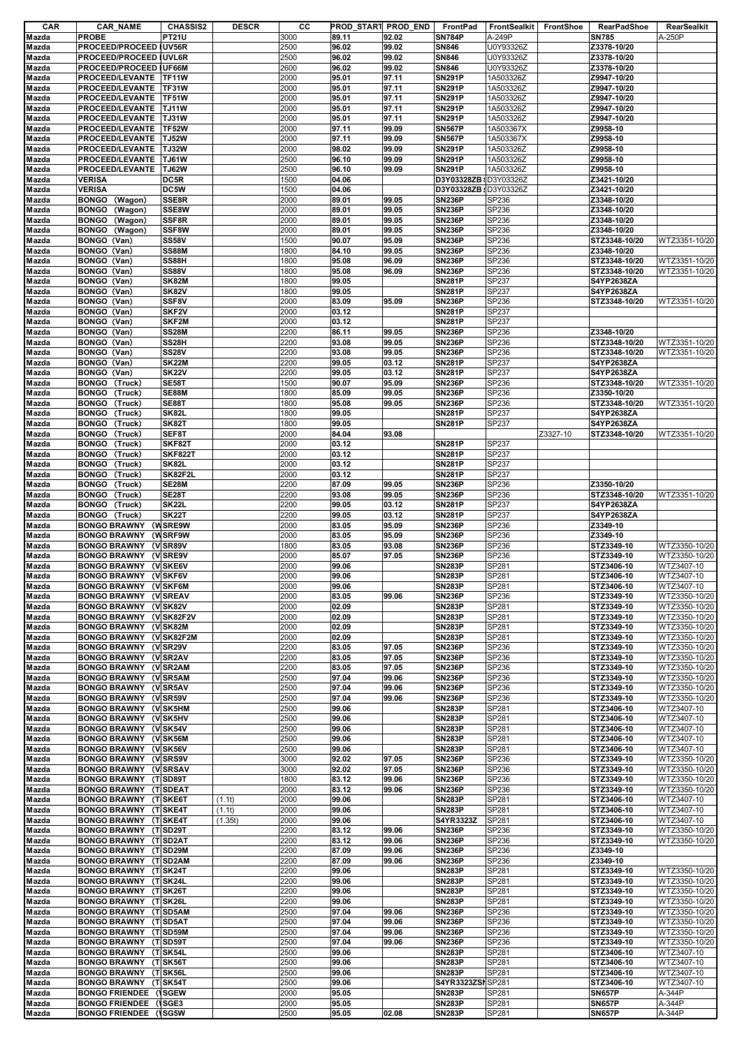| CAR            | <b>CAR_NAME</b>               | <b>CHASSIS2</b>    | <b>DESCR</b> | cс   | PROD_START PROD_END |       | FrontPad              | <b>FrontSealkit</b> | FrontShoe | <b>RearPadShoe</b> | RearSealkit      |
|----------------|-------------------------------|--------------------|--------------|------|---------------------|-------|-----------------------|---------------------|-----------|--------------------|------------------|
| Mazda          | <b>PROBE</b>                  | <b>PT21U</b>       |              | 3000 | 89.11               | 92.02 | <b>SN784P</b>         | A-249P              |           | <b>SN785</b>       | A-250P           |
| Mazda          | PROCEED/PROCEED IUV56R        |                    |              | 2500 | 96.02               | 99.02 | <b>SN846</b>          | U0Y93326Z           |           | Z3378-10/20        |                  |
| Mazda          | PROCEED/PROCEED   UVL6R       |                    |              | 2500 | 96.02               | 99.02 | <b>SN846</b>          | U0Y93326Z           |           | Z3378-10/20        |                  |
| Mazda          | PROCEED/PROCEED IUF66M        |                    |              | 2600 | 96.02               | 99.02 | SN846                 | U0Y93326Z           |           | Z3378-10/20        |                  |
| Mazda          | PROCEED/LEVANTE               | <b>TF11W</b>       |              | 2000 | 95.01               | 97.11 | <b>SN291P</b>         | 1A503326Z           |           | Z9947-10/20        |                  |
|                |                               |                    |              |      |                     |       |                       |                     |           |                    |                  |
| Mazda          | PROCEED/LEVANTE               | <b>TF31W</b>       |              | 2000 | 95.01               | 97.11 | <b>SN291P</b>         | 1A503326Z           |           | Z9947-10/20        |                  |
| Mazda          | PROCEED/LEVANTE               | <b>TF51W</b>       |              | 2000 | 95.01               | 97.11 | <b>SN291P</b>         | 1A503326Z           |           | Z9947-10/20        |                  |
| Mazda          | PROCEED/LEVANTE               | <b>TJ11W</b>       |              | 2000 | 95.01               | 97.11 | <b>SN291P</b>         | 1A503326Z           |           | Z9947-10/20        |                  |
| Mazda          | PROCEED/LEVANTE               | <b>TJ31W</b>       |              | 2000 | 95.01               | 97.11 | <b>SN291P</b>         | 1A503326Z           |           | Z9947-10/20        |                  |
| Mazda          | PROCEED/LEVANTE               | <b>TF52W</b>       |              | 2000 | 97.11               | 99.09 | <b>SN567P</b>         | 1A503367X           |           | Z9958-10           |                  |
| Mazda          | PROCEED/LEVANTE               | <b>TJ52W</b>       |              | 2000 | 97.11               | 99.09 | <b>SN567P</b>         | 1A503367X           |           | Z9958-10           |                  |
| Mazda          | PROCEED/LEVANTE               | <b>TJ32W</b>       |              | 2000 | 98.02               | 99.09 | <b>SN291P</b>         | 1A503326Z           |           | Z9958-10           |                  |
|                |                               |                    |              |      |                     |       |                       |                     |           |                    |                  |
| Mazda          | PROCEED/LEVANTE               | <b>TJ61W</b>       |              | 2500 | 96.10               | 99.09 | <b>SN291P</b>         | 1A503326Z           |           | Z9958-10           |                  |
| Mazda          | PROCEED/LEVANTE               | <b>TJ62W</b>       |              | 2500 | 96.10               | 99.09 | <b>SN291P</b>         | 1A503326Z           |           | Z9958-10           |                  |
| Mazda          | <b>VERISA</b>                 | DC5R               |              | 1500 | 04.06               |       | D3Y03328ZB \D3Y03326Z |                     |           | Z3421-10/20        |                  |
| Mazda          | <b>VERISA</b>                 | DC5W               |              | 1500 | 04.06               |       | D3Y03328ZB: D3Y03326Z |                     |           | Z3421-10/20        |                  |
| Mazda          | (Wagon)<br><b>BONGO</b>       | SSE8R              |              | 2000 | 89.01               | 99.05 | <b>SN236P</b>         | SP236               |           | Z3348-10/20        |                  |
| Mazda          | <b>BONGO</b><br>(Wagon)       | SSE8W              |              | 2000 | 89.01               | 99.05 | <b>SN236P</b>         | SP236               |           | Z3348-10/20        |                  |
| Mazda          | <b>BONGO</b>                  | SSF8R              |              | 2000 | 89.01               | 99.05 | <b>SN236P</b>         | SP236               |           | Z3348-10/20        |                  |
|                | (Wagon)                       |                    |              |      |                     |       |                       |                     |           |                    |                  |
| Mazda          | <b>BONGO</b><br>(Wagon)       | SSF8W              |              | 2000 | 89.01               | 99.05 | <b>SN236P</b>         | SP236               |           | Z3348-10/20        |                  |
| Mazda          | BONGO (Van)                   | <b>SS58V</b>       |              | 1500 | 90.07               | 95.09 | <b>SN236P</b>         | SP236               |           | STZ3348-10/20      | WTZ3351-10/20    |
| Mazda          | BONGO (Van)                   | <b>SS88M</b>       |              | 1800 | 84.10               | 99.05 | <b>SN236P</b>         | SP236               |           | Z3348-10/20        |                  |
| Mazda          | BONGO (Van)                   | SS88H              |              | 1800 | 95.08               | 96.09 | <b>SN236P</b>         | SP236               |           | STZ3348-10/20      | WTZ3351-10/20    |
| Mazda          | BONGO (Van)                   | <b>SS88V</b>       |              | 1800 | 95.08               | 96.09 | <b>SN236P</b>         | SP236               |           | STZ3348-10/20      | WTZ3351-10/20    |
|                | BONGO (Van)                   |                    |              |      |                     |       | <b>SN281P</b>         | SP237               |           | S4YP2638ZA         |                  |
| Mazda          |                               | SK82M              |              | 1800 | 99.05               |       |                       |                     |           |                    |                  |
| Mazda          | BONGO (Van)                   | <b>SK82V</b>       |              | 1800 | 99.05               |       | <b>SN281P</b>         | SP237               |           | S4YP2638ZA         |                  |
| Mazda          | BONGO (Van)                   | SSF8V              |              | 2000 | 83.09               | 95.09 | <b>SN236P</b>         | SP236               |           | STZ3348-10/20      | WTZ3351-10/20    |
| Mazda          | BONGO (Van)                   | SKF <sub>2V</sub>  |              | 2000 | 03.12               |       | <b>SN281P</b>         | SP237               |           |                    |                  |
| Mazda          | BONGO (Van)                   | SKF2M              |              | 2000 | 03.12               |       | <b>SN281P</b>         | SP237               |           |                    |                  |
| Mazda          | BONGO (Van)                   | <b>SS28M</b>       |              | 2200 | 86.11               | 99.05 | <b>SN236P</b>         | SP236               |           | Z3348-10/20        |                  |
|                |                               |                    |              |      |                     |       |                       |                     |           |                    |                  |
| Mazda          | BONGO (Van)                   | SS28H              |              | 2200 | 93.08               | 99.05 | <b>SN236P</b>         | SP236               |           | STZ3348-10/20      | WTZ3351-10/20    |
| Mazda          | BONGO (Van)                   | <b>SS28V</b>       |              | 2200 | 93.08               | 99.05 | <b>SN236P</b>         | SP236               |           | STZ3348-10/20      | WTZ3351-10/20    |
| Mazda          | BONGO (Van)                   | <b>SK22M</b>       |              | 2200 | 99.05               | 03.12 | <b>SN281P</b>         | SP237               |           | S4YP2638ZA         |                  |
| Mazda          | BONGO (Van)                   | <b>SK22V</b>       |              | 2200 | 99.05               | 03.12 | <b>SN281P</b>         | SP237               |           | S4YP2638ZA         |                  |
| Mazda          | (Truck)<br><b>BONGO</b>       | SE58T              |              | 1500 | 90.07               | 95.09 | <b>SN236P</b>         | SP236               |           | STZ3348-10/20      | WTZ3351-10/20    |
|                | <b>BONGO</b><br>(Truck)       |                    |              |      | 85.09               |       |                       | SP236               |           | Z3350-10/20        |                  |
| Mazda          |                               | SE88M              |              | 1800 |                     | 99.05 | <b>SN236P</b>         |                     |           |                    |                  |
| Mazda          | <b>BONGO</b><br>(Truck)       | <b>SE88T</b>       |              | 1800 | 95.08               | 99.05 | <b>SN236P</b>         | SP236               |           | STZ3348-10/20      | WTZ3351-10/20    |
| Mazda          | <b>BONGO</b><br>(Truck)       | SK82L              |              | 1800 | 99.05               |       | <b>SN281P</b>         | SP237               |           | S4YP2638ZA         |                  |
| Mazda          | <b>BONGO</b><br>(Truck)       | <b>SK82T</b>       |              | 1800 | 99.05               |       | <b>SN281P</b>         | SP237               |           | S4YP2638ZA         |                  |
| Mazda          | <b>BONGO</b><br>(Truck)       | SEF8T              |              | 2000 | 84.04               | 93.08 |                       |                     | Z3327-10  | STZ3348-10/20      | WTZ3351-10/20    |
| Mazda          | <b>BONGO</b><br>(Truck)       | SKF82T             |              | 2000 | 03.12               |       | <b>SN281P</b>         | SP237               |           |                    |                  |
| Mazda          | <b>BONGO</b><br>(Truck)       | <b>SKF822T</b>     |              | 2000 | 03.12               |       | <b>SN281P</b>         | SP237               |           |                    |                  |
|                |                               |                    |              |      |                     |       |                       |                     |           |                    |                  |
| Mazda          | <b>BONGO</b><br>(Truck)       | SK82L              |              | 2000 | 03.12               |       | <b>SN281P</b>         | SP237               |           |                    |                  |
| Mazda          | <b>BONGO</b><br>(Truck)       | SK82F2L            |              | 2000 | 03.12               |       | <b>SN281P</b>         | SP237               |           |                    |                  |
| Mazda          | <b>BONGO</b><br>(Truck)       | SE28M              |              | 2200 | 87.09               | 99.05 | <b>SN236P</b>         | SP236               |           | Z3350-10/20        |                  |
| Mazda          | <b>BONGO</b><br>(Truck)       | SE28T              |              | 2200 | 93.08               | 99.05 | <b>SN236P</b>         | SP236               |           | STZ3348-10/20      | WTZ3351-10/20    |
| Mazda          | <b>BONGO</b><br>(Truck)       | SK <sub>22</sub> L |              | 2200 | 99.05               | 03.12 | <b>SN281P</b>         | SP237               |           | <b>S4YP2638ZA</b>  |                  |
| Mazda          | BONGO (Truck)                 | <b>SK22T</b>       |              | 2200 | 99.05               | 03.12 | <b>SN281P</b>         | SP237               |           | S4YP2638ZA         |                  |
|                |                               |                    |              |      |                     |       |                       |                     |           |                    |                  |
| Mazda          | <b>BONGO BRAWNY</b>           | (WSRE9W            |              | 2000 | 83.05               | 95.09 | <b>SN236P</b>         | SP236               |           | Z3349-10           |                  |
| Mazda          | <b>BONGO BRAWNY</b>           | (WSRF9W            |              | 2000 | 83.05               | 95.09 | <b>SN236P</b>         | SP236               |           | Z3349-10           |                  |
| Mazda          | <b>BONGO BRAWNY</b>           | (V SR89V           |              | 1800 | 83.05               | 93.08 | <b>SN236P</b>         | SP236               |           | STZ3349-10         | WTZ3350-10/20    |
| Mazda          | <b>BONGO BRAWNY</b>           | (V SRE9V           |              | 2000 | 85.07               | 97.05 | <b>SN236P</b>         | SP236               |           | STZ3349-10         | WTZ3350-10/20    |
| Mazda          | <b>BONGO BRAWNY</b>           | (V SKE6V           |              | 2000 | 99.06               |       | <b>SN283P</b>         | SP281               |           | STZ3406-10         | WTZ3407-10       |
|                | <b>BONGO BRAWNY (V SKF6V</b>  |                    |              | 2000 | 99.06               |       | <b>SN283P</b>         | SP281               |           | STZ3406-10         | WTZ3407-10       |
| Mazda          |                               |                    |              |      |                     |       |                       |                     |           |                    |                  |
| Mazda          | <b>BONGO BRAWNY (V SKF6M</b>  |                    |              | 2000 | 99.06               |       | <b>SN283P</b>         | SP281               |           | STZ3406-10         | WTZ3407-10       |
| Mazda          | <b>BONGO BRAWNY (V SREAV</b>  |                    |              | 2000 | 83.05               | 99.06 | <b>SN236P</b>         | SP236               |           | STZ3349-10         | WTZ3350-10/20    |
| Mazda          | <b>BONGO BRAWNY</b>           | (V SK82V           |              | 2000 | 02.09               |       | <b>SN283P</b>         | SP281               |           | STZ3349-10         | WTZ3350-10/20    |
| Mazda          | BONGO BRAWNY (V SK82F2V       |                    |              | 2000 | 02.09               |       | <b>SN283P</b>         | SP281               |           | STZ3349-10         | WTZ3350-10/20    |
| Mazda          | BONGO BRAWNY (V SK82M         |                    |              | 2000 | 02.09               |       | <b>SN283P</b>         | SP281               |           | STZ3349-10         | WTZ3350-10/20    |
| Mazda          | <b>BONGO BRAWNY</b>           | (V.SK82F2M         |              | 2000 | 02.09               |       | <b>SN283P</b>         | SP281               |           | STZ3349-10         | WTZ3350-10/20    |
|                |                               |                    |              |      |                     |       |                       |                     |           |                    |                  |
| Mazda          | BONGO BRAWNY (V SR29V         |                    |              | 2200 | 83.05               | 97.05 | <b>SN236P</b>         | SP236               |           | STZ3349-10         | WTZ3350-10/20    |
| Mazda          | BONGO BRAWNY (V SR2AV         |                    |              | 2200 | 83.05               | 97.05 | <b>SN236P</b>         | SP236               |           | STZ3349-10         | WTZ3350-10/20    |
| Mazda          | BONGO BRAWNY (V SR2AM         |                    |              | 2200 | 83.05               | 97.05 | <b>SN236P</b>         | SP236               |           | STZ3349-10         | WTZ3350-10/20    |
| Mazda          | BONGO BRAWNY (V SR5AM         |                    |              | 2500 | 97.04               | 99.06 | <b>SN236P</b>         | SP236               |           | STZ3349-10         | WTZ3350-10/20    |
| Mazda          | BONGO BRAWNY (V SR5AV         |                    |              | 2500 | 97.04               | 99.06 | <b>SN236P</b>         | SP236               |           | STZ3349-10         | WTZ3350-10/20    |
| Mazda          | BONGO BRAWNY (V SR59V         |                    |              | 2500 | 97.04               | 99.06 | <b>SN236P</b>         | SP236               |           | STZ3349-10         | WTZ3350-10/20    |
|                | BONGO BRAWNY (V SK5HM         |                    |              |      |                     |       |                       |                     |           |                    |                  |
| Mazda          |                               |                    |              | 2500 | 99.06               |       | <b>SN283P</b>         | SP281               |           | STZ3406-10         | WTZ3407-10       |
| Mazda          | BONGO BRAWNY (V SK5HV         |                    |              | 2500 | 99.06               |       | <b>SN283P</b>         | SP281               |           | STZ3406-10         | WTZ3407-10       |
| Mazda          | BONGO BRAWNY (V SK54V         |                    |              | 2500 | 99.06               |       | <b>SN283P</b>         | SP281               |           | STZ3406-10         | WTZ3407-10       |
| Mazda          | BONGO BRAWNY (V SK56M         |                    |              | 2500 | 99.06               |       | <b>SN283P</b>         | SP281               |           | STZ3406-10         | WTZ3407-10       |
| Mazda          | <b>BONGO BRAWNY</b>           | (V SK56V           |              | 2500 | 99.06               |       | <b>SN283P</b>         | SP281               |           | STZ3406-10         | WTZ3407-10       |
| Mazda          | BONGO BRAWNY (V SRS9V         |                    |              | 3000 | 92.02               | 97.05 | <b>SN236P</b>         | SP236               |           | STZ3349-10         | WTZ3350-10/20    |
|                | <b>BONGO BRAWNY (V SRSAV</b>  |                    |              |      | 92.02               | 97.05 | <b>SN236P</b>         | SP236               |           | STZ3349-10         | WTZ3350-10/20    |
| Mazda          |                               |                    |              | 3000 |                     |       |                       |                     |           |                    |                  |
| Mazda          | <b>BONGO BRAWNY</b>           | (TISD89T           |              | 1800 | 83.12               | 99.06 | <b>SN236P</b>         | SP236               |           | STZ3349-10         | WTZ3350-10/20    |
| Mazda          | <b>BONGO BRAWNY (T SDEAT</b>  |                    |              | 2000 | 83.12               | 99.06 | <b>SN236P</b>         | SP236               |           | STZ3349-10         | WTZ3350-10/20    |
| Mazda          | <b>BONGO BRAWNY</b>           | (TISKE6T           | (1.1t)       | 2000 | 99.06               |       | <b>SN283P</b>         | SP281               |           | STZ3406-10         | WTZ3407-10       |
| Mazda          | <b>BONGO BRAWNY (T SKE4T</b>  |                    | (1.1t)       | 2000 | 99.06               |       | <b>SN283P</b>         | SP281               |           | STZ3406-10         | WTZ3407-10       |
| Mazda          | <b>BONGO BRAWNY</b>           | <b>(TISKE4T</b>    | (1.35t)      | 2000 | 99.06               |       | S4YR3323Z             | SP281               |           | STZ3406-10         | WTZ3407-10       |
| Mazda          | <b>BONGO BRAWNY</b>           | (TISD29T           |              | 2200 | 83.12               | 99.06 | <b>SN236P</b>         | SP236               |           | STZ3349-10         | WTZ3350-10/20    |
|                |                               |                    |              |      |                     |       |                       |                     |           |                    |                  |
| Mazda          | <b>BONGO BRAWNY (T SD2AT</b>  |                    |              | 2200 | 83.12               | 99.06 | <b>SN236P</b>         | SP236               |           | STZ3349-10         | WTZ3350-10/20    |
| Mazda          | <b>BONGO BRAWNY (TISD29M</b>  |                    |              | 2200 | 87.09               | 99.06 | <b>SN236P</b>         | SP236               |           | Z3349-10           |                  |
| Mazda          | <b>BONGO BRAWNY</b>           | (TISD2AM           |              | 2200 | 87.09               | 99.06 | <b>SN236P</b>         | SP236               |           | Z3349-10           |                  |
| Mazda          | <b>BONGO BRAWNY (T SK24T</b>  |                    |              | 2200 | 99.06               |       | <b>SN283P</b>         | SP281               |           | STZ3349-10         | WTZ3350-10/20    |
| Mazda          | BONGO BRAWNY (T SK24L         |                    |              | 2200 | 99.06               |       | <b>SN283P</b>         | SP281               |           | STZ3349-10         | WTZ3350-10/20    |
|                |                               | (T SK26T           |              | 2200 | 99.06               |       | <b>SN283P</b>         | SP281               |           |                    |                  |
| Mazda          | <b>BONGO BRAWNY</b>           |                    |              |      |                     |       |                       |                     |           | STZ3349-10         | WTZ3350-10/20    |
| Mazda          | <b>BONGO BRAWNY</b>           | (T SK26L)          |              | 2200 | 99.06               |       | <b>SN283P</b>         | SP281               |           | STZ3349-10         | WTZ3350-10/20    |
| Mazda          | <b>BONGO BRAWNY</b>           | (TISD5AM           |              | 2500 | 97.04               | 99.06 | <b>SN236P</b>         | SP236               |           | STZ3349-10         | WTZ3350-10/20    |
| Mazda          | BONGO BRAWNY (T SD5AT         |                    |              | 2500 | 97.04               | 99.06 | <b>SN236P</b>         | SP236               |           | STZ3349-10         | WTZ3350-10/20    |
| Mazda          | <b>BONGO BRAWNY</b>           | (TISD59M           |              | 2500 | 97.04               | 99.06 | <b>SN236P</b>         | SP236               |           | STZ3349-10         | WTZ3350-10/20    |
|                | <b>BONGO BRAWNY</b>           |                    |              |      | 97.04               |       | <b>SN236P</b>         | SP236               |           | STZ3349-10         | WTZ3350-10/20    |
| Mazda          |                               | (TISD59T           |              | 2500 |                     | 99.06 |                       |                     |           |                    |                  |
| Mazda          | BONGO BRAWNY (T SK54L         |                    |              | 2500 | 99.06               |       | <b>SN283P</b>         | SP281               |           | STZ3406-10         | WTZ3407-10       |
| Mazda          | <b>BONGO BRAWNY</b>           | (TISK56T           |              | 2500 | 99.06               |       | <b>SN283P</b>         | SP281               |           | STZ3406-10         | WTZ3407-10       |
| Mazda          | <b>BONGO BRAWNY</b>           | (T SK56L)          |              | 2500 | 99.06               |       | <b>SN283P</b>         | SP281               |           | STZ3406-10         | WTZ3407-10       |
| Mazda          | BONGO BRAWNY (T SK54T         |                    |              | 2500 | 99.06               |       | S4YR3323ZSI SP281     |                     |           | STZ3406-10         | WTZ3407-10       |
| Mazda          | <b>BONGO FRIENDEE (ISGEW</b>  |                    |              | 2000 | 95.05               |       | <b>SN283P</b>         | SP281               |           | <b>SN657P</b>      | A-344P           |
|                | <b>BONGO FRIENDEE</b>         |                    |              |      |                     |       |                       |                     |           |                    |                  |
| Mazda<br>Mazda |                               | (ISGE3             |              | 2000 | 95.05<br>95.05      | 02.08 | <b>SN283P</b>         | SP281               |           | <b>SN657P</b>      | A-344P<br>A-344P |
|                | <b>BONGO FRIENDEE (ISG5W)</b> |                    |              | 2500 |                     |       | <b>SN283P</b>         | SP281               |           | <b>SN657P</b>      |                  |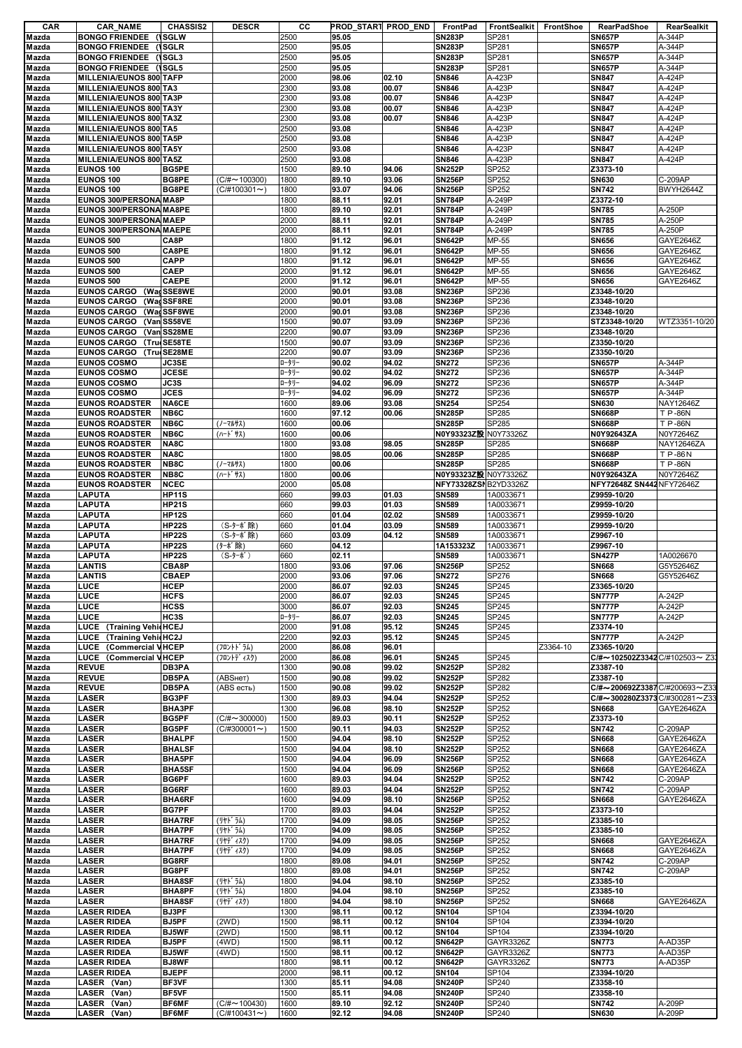| CAR            | <b>CAR NAME</b>                                   | <b>CHASSIS2</b>                | <b>DESCR</b>                              | cс           | PROD_START PROD_END |                | FrontPad                       | FrontSealkit     | FrontShoe | <b>RearPadShoe</b>                  | RearSealkit                 |
|----------------|---------------------------------------------------|--------------------------------|-------------------------------------------|--------------|---------------------|----------------|--------------------------------|------------------|-----------|-------------------------------------|-----------------------------|
| Mazda          | <b>BONGO FRIENDEE (ISGLW</b>                      |                                |                                           | 2500         | 95.05               |                | <b>SN283P</b>                  | SP281            |           | <b>SN657P</b>                       | A-344P                      |
| Mazda          | <b>BONGO FRIENDEE (ISGLR</b>                      |                                |                                           | 2500         | 95.05               |                | <b>SN283P</b>                  | SP281            |           | <b>SN657P</b>                       | A-344P                      |
| Mazda          | <b>BONGO FRIENDEE</b>                             | (ISGL3                         |                                           | 2500         | 95.05               |                | <b>SN283P</b>                  | SP281            |           | <b>SN657P</b>                       | A-344P                      |
| Mazda          | <b>BONGO FRIENDEE</b>                             | (\SGL5                         |                                           | 2500         | 95.05               |                | <b>SN283P</b>                  | SP281            |           | <b>SN657P</b>                       | A-344P                      |
| Mazda          | MILLENIA/EUNOS 800 TAFP                           |                                |                                           | 2000         | 98.06               | 02.10          | <b>SN846</b>                   | A-423P           |           | <b>SN847</b>                        | A-424P                      |
| Mazda          | MILLENIA/EUNOS 800 TA3<br>MILLENIA/EUNOS 800 TA3P |                                |                                           | 2300<br>2300 | 93.08<br>93.08      | 00.07<br>00.07 | <b>SN846</b><br><b>SN846</b>   | A-423P<br>A-423P |           | <b>SN847</b><br><b>SN847</b>        | A-424P<br>A-424P            |
| Mazda<br>Mazda | MILLENIA/EUNOS 800 TA3Y                           |                                |                                           | 2300         | 93.08               | 00.07          | <b>SN846</b>                   | A-423P           |           | <b>SN847</b>                        | A-424P                      |
| Mazda          | MILLENIA/EUNOS 800 TA3Z                           |                                |                                           | 2300         | 93.08               | 00.07          | <b>SN846</b>                   | A-423P           |           | <b>SN847</b>                        | A-424P                      |
| Mazda          | MILLENIA/EUNOS 800 TA5                            |                                |                                           | 2500         | 93.08               |                | <b>SN846</b>                   | A-423P           |           | <b>SN847</b>                        | A-424P                      |
| Mazda          | MILLENIA/EUNOS 800 TA5P                           |                                |                                           | 2500         | 93.08               |                | <b>SN846</b>                   | A-423P           |           | <b>SN847</b>                        | A-424P                      |
| Mazda          | MILLENIA/EUNOS 800 TA5Y                           |                                |                                           | 2500         | 93.08               |                | <b>SN846</b>                   | A-423P           |           | <b>SN847</b>                        | A-424P                      |
| Mazda          | MILLENIA/EUNOS 800 TA5Z                           |                                |                                           | 2500         | 93.08               |                | <b>SN846</b>                   | A-423P           |           | <b>SN847</b>                        | A-424P                      |
| Mazda          | <b>EUNOS 100</b>                                  | <b>BG5PE</b>                   |                                           | 1500         | 89.10               | 94.06          | <b>SN252P</b>                  | SP252            |           | Z3373-10                            |                             |
| Mazda          | <b>EUNOS 100</b>                                  | BG8PE                          | $(C/H \sim 100300)$                       | 1800         | 89.10               | 93.06          | <b>SN256P</b>                  | SP252            |           | <b>SN630</b>                        | C-209AP                     |
| Mazda          | <b>EUNOS 100</b>                                  | BG8PE                          | $(C/H100301\sim)$                         | 1800         | 93.07               | 94.06          | <b>SN256P</b>                  | SP252            |           | <b>SN742</b>                        | BWYH2644Z                   |
| Mazda          | EUNOS 300/PERSONA MA8P                            |                                |                                           | 1800         | 88.11               | 92.01          | <b>SN784P</b>                  | A-249P           |           | Z3372-10                            |                             |
| Mazda          | EUNOS 300/PERSONA MA8PE                           |                                |                                           | 1800         | 89.10               | 92.01          | <b>SN784P</b>                  | A-249P           |           | <b>SN785</b>                        | A-250P                      |
| Mazda          | EUNOS 300/PERSONA MAEP                            |                                |                                           | 2000         | 88.11               | 92.01          | <b>SN784P</b>                  | A-249P           |           | <b>SN785</b>                        | A-250P                      |
| Mazda          | EUNOS 300/PERSONA MAEPE                           |                                |                                           | 2000         | 88.11               | 92.01          | <b>SN784P</b>                  | A-249P           |           | <b>SN785</b>                        | A-250P                      |
| Mazda          | <b>EUNOS 500</b>                                  | CA8P                           |                                           | 1800         | 91.12               | 96.01          | <b>SN642P</b>                  | MP-55            |           | <b>SN656</b>                        | GAYE2646Z                   |
| Mazda          | <b>EUNOS 500</b>                                  | CA8PE                          |                                           | 1800         | 91.12               | 96.01          | <b>SN642P</b>                  | MP-55            |           | <b>SN656</b>                        | GAYE2646Z                   |
| Mazda          | <b>EUNOS 500</b>                                  | <b>CAPP</b>                    |                                           | 1800         | 91.12               | 96.01          | <b>SN642P</b>                  | MP-55            |           | <b>SN656</b>                        | GAYE2646Z                   |
| Mazda          | <b>EUNOS 500</b>                                  | <b>CAEP</b>                    |                                           | 2000         | 91.12               | 96.01          | <b>SN642P</b>                  | MP-55            |           | <b>SN656</b>                        | GAYE2646Z                   |
| Mazda          | <b>EUNOS 500</b>                                  | <b>CAEPE</b>                   |                                           | 2000         | 91.12               | 96.01          | <b>SN642P</b>                  | MP-55            |           | <b>SN656</b>                        | GAYE2646Z                   |
| Mazda          | EUNOS CARGO (WadSSE8WE                            |                                |                                           | 2000         | 90.01               | 93.08          | <b>SN236P</b>                  | SP236            |           | Z3348-10/20                         |                             |
| Mazda          | <b>EUNOS CARGO</b>                                | (Wad SSF8RE                    |                                           | 2000         | 90.01               | 93.08          | <b>SN236P</b>                  | SP236            |           | Z3348-10/20                         |                             |
| Mazda          | <b>EUNOS CARGO</b>                                | (Wag SSF8WE                    |                                           | 2000         | 90.01               | 93.08          | <b>SN236P</b>                  | SP236            |           | Z3348-10/20                         |                             |
| Mazda          | <b>EUNOS CARGO</b>                                | (Van SS58VE                    |                                           | 1500         | 90.07               | 93.09          | <b>SN236P</b>                  | SP236            |           | STZ3348-10/20                       | WTZ3351-10/20               |
| Mazda          | EUNOS CARGO (Van SS28ME                           |                                |                                           | 2200         | 90.07               | 93.09          | <b>SN236P</b>                  | SP236            |           | Z3348-10/20                         |                             |
| Mazda          | <b>EUNOS CARGO</b>                                | Tru SE58TE)                    |                                           | 1500         | 90.07               | 93.09          | <b>SN236P</b>                  | SP236            |           | Z3350-10/20                         |                             |
| Mazda          | <b>EUNOS CARGO</b>                                | <b>(TrueSE28ME)</b>            |                                           | 2200         | 90.07               | 93.09          | <b>SN236P</b>                  | SP236            |           | Z3350-10/20                         |                             |
| Mazda          | <b>EUNOS COSMO</b>                                | JC3SE                          |                                           | ロータリー        | 90.02               | 94.02          | <b>SN272</b>                   | SP236            |           | <b>SN657P</b>                       | A-344P                      |
| Mazda          | <b>EUNOS COSMO</b>                                | <b>JCESE</b>                   |                                           | ロータリー        | 90.02               | 94.02          | <b>SN272</b>                   | SP236            |           | <b>SN657P</b>                       | A-344P                      |
| Mazda          | <b>EUNOS COSMO</b>                                | JC3S                           |                                           | ロータリー        | 94.02               | 96.09          | <b>SN272</b>                   | SP236            |           | <b>SN657P</b>                       | A-344P                      |
| Mazda          | <b>EUNOS COSMO</b>                                | <b>JCES</b><br>NA6CE           |                                           | ロータリー        | 94.02               | 96.09          | <b>SN272</b>                   | SP236            |           | <b>SN657P</b>                       | A-344P                      |
| Mazda          | <b>EUNOS ROADSTER</b>                             | NB6C                           |                                           | 1600<br>1600 | 89.06<br>97.12      | 93.08<br>00.06 | <b>SN254</b><br><b>SN285P</b>  | SP254<br>SP285   |           | <b>SN630</b><br><b>SN668P</b>       | NAY12646Z<br><b>T P-86N</b> |
| Mazda<br>Mazda | <b>EUNOS ROADSTER</b><br><b>EUNOS ROADSTER</b>    | NB6C                           | (ノーマルサス)                                  | 1600         | 00.06               |                | <b>SN285P</b>                  | SP285            |           | <b>SN668P</b>                       | <b>T P-86N</b>              |
|                |                                                   | NB6C                           |                                           | 1600         | 00.06               |                | N0Y93323Z設 N0Y73326Z           |                  |           | N0Y92643ZA                          | N0Y72646Z                   |
| Mazda<br>Mazda | <b>EUNOS ROADSTER</b><br><b>EUNOS ROADSTER</b>    | NA8C                           | (ハート・サス)                                  | 1800         | 93.08               | 98.05          | <b>SN285P</b>                  | SP285            |           | <b>SN668P</b>                       | <b>NAY12646ZA</b>           |
| Mazda          | <b>EUNOS ROADSTER</b>                             | NA8C                           |                                           | 1800         | 98.05               | 00.06          | <b>SN285P</b>                  | SP285            |           | <b>SN668P</b>                       | T P-86N                     |
| Mazda          | <b>EUNOS ROADSTER</b>                             | NB8C                           | (ノーマルサス)                                  | 1800         | 00.06               |                | <b>SN285P</b>                  | SP285            |           | <b>SN668P</b>                       | <b>T P-86N</b>              |
| Mazda          | <b>EUNOS ROADSTER</b>                             | NB8C                           | (ハート゛サス)                                  | 1800         | 00.06               |                | N0Y93323Z設 N0Y73326Z           |                  |           | N0Y92643ZA                          | N0Y72646Z                   |
| Mazda          | <b>EUNOS ROADSTER</b>                             | <b>NCEC</b>                    |                                           | 2000         | 05.08               |                | NFY73328ZSNB2YD3326Z           |                  |           | NFY72648Z SN442 NFY72646Z           |                             |
| Mazda          | LAPUTA                                            | <b>HP11S</b>                   |                                           | 660          | 99.03               | 01.03          | <b>SN589</b>                   | 1A0033671        |           | Z9959-10/20                         |                             |
| Mazda          | <b>LAPUTA</b>                                     | <b>HP21S</b>                   |                                           | 660          | 99.03               | 01.03          | <b>SN589</b>                   | 1A0033671        |           | Z9959-10/20                         |                             |
| Mazda          | LAPUTA                                            | <b>HP12S</b>                   |                                           | 660          | 01.04               | 02.02          | <b>SN589</b>                   | 1A0033671        |           | Z9959-10/20                         |                             |
| Mazda          | <b>LAPUTA</b>                                     | <b>HP22S</b>                   | (S-ターボ除)                                  | 660          | 01.04               | 03.09          | <b>SN589</b>                   | 1A0033671        |           | Z9959-10/20                         |                             |
| Mazda          | <b>LAPUTA</b>                                     | <b>HP22S</b>                   | (S-ターボ除)                                  | 660          | 03.09               | 04.12          | <b>SN589</b>                   | 1A0033671        |           | Z9967-10                            |                             |
| Mazda          | <b>LAPUTA</b>                                     | <b>HP22S</b>                   | (ターボ除)                                    | 660          | 04.12               |                | 1A153323Z                      | 1A0033671        |           | Z9967-10                            |                             |
| Mazda          | <b>LAPUTA</b>                                     | <b>HP22S</b>                   | (S-9-ボ)                                   | 660          | 02.11               |                | <b>SN589</b>                   | 1A0033671        |           | <b>SN427P</b>                       | 1A0026670                   |
| Mazda          | <b>LANTIS</b>                                     | CBA8P                          |                                           | 1800         | 93.06               | 97.06          | <b>SN256P</b>                  | SP252            |           | <b>SN668</b>                        | G5Y52646Z                   |
| Mazda          | <b>LANTIS</b>                                     | <b>CBAEP</b>                   |                                           | 2000         | 93.06               | 97.06          | <b>SN272</b>                   | SP276            |           | <b>SN668</b>                        | G5Y52646Z                   |
| Mazda          | LUCE                                              | HCEP                           |                                           | 2000         | 86.07               | 92.03          | <b>SN245</b>                   | SP245            |           | Z3365-10/20                         |                             |
| Mazda          | LUCE                                              | <b>HCFS</b>                    |                                           | 2000         | 86.07               | 92.03          | <b>SN245</b>                   | SP245            |           | <b>SN777P</b>                       | A-242P                      |
| Mazda          | LUCE                                              | <b>HCSS</b>                    |                                           | 3000         | 86.07               | 92.03          | <b>SN245</b>                   | SP245            |           | <b>SN777P</b>                       | A-242P                      |
| Mazda          | LUCE                                              | HC3S                           |                                           | ロータリー        | 86.07               | 92.03          | <b>SN245</b>                   | SP245            |           | <b>SN777P</b>                       | A-242P                      |
| Mazda          | LUCE (Training VehicHCEJ                          |                                |                                           | 2000         | 91.08               | 95.12          | <b>SN245</b>                   | SP245            |           | Z3374-10                            |                             |
| Mazda          | LUCE<br>(Training VehicHC2J                       |                                |                                           | 2200         | 92.03               | 95.12          | <b>SN245</b>                   | SP245            |           | <b>SN777P</b>                       | A-242P                      |
| Mazda          | LUCE<br><b>(Commercial VHCEP</b>                  |                                | (フロントト゛ラム)                                | 2000         | 86.08               | 96.01          |                                |                  | Z3364-10  | Z3365-10/20                         |                             |
| Mazda          | LUCE<br>(Commercial VHCEP                         |                                | (フロントデ ィスク)                               | 2000         | 86.08               | 96.01          | <b>SN245</b>                   | SP245            |           | C/#~102502Z3342 C/#102503~ Z33      |                             |
| Mazda          | <b>REVUE</b>                                      | DB3PA                          |                                           | 1300         | 90.08               | 99.02          | <b>SN252P</b>                  | SP282            |           | Z3387-10                            |                             |
| Mazda          | <b>REVUE</b>                                      | DB5PA                          | (ABSHeT)                                  | 1500         | 90.08               | 99.02          | <b>SN252P</b>                  | SP282            |           | Z3387-10                            |                             |
| Mazda          | <b>REVUE</b>                                      | DB5PA                          | (ABS есть)                                | 1500         | 90.08               | 99.02          | <b>SN252P</b>                  | SP282            |           | C/#~200692Z3387C/#200693~Z33        |                             |
| Mazda          | <b>LASER</b>                                      | BG3PF                          |                                           | 1300         | 89.03               | 94.04          | <b>SN252P</b>                  | SP252            |           | $C/H$ ~300280Z3373 $C/H$ 300281~Z33 |                             |
| Mazda          | LASER                                             | BHA3PF                         |                                           | 1300         | 96.08               | 98.10          | <b>SN252P</b>                  | SP252            |           | <b>SN668</b>                        | GAYE2646ZA                  |
| Mazda          | <b>LASER</b>                                      | BG5PF                          | $(C/H \sim 300000)$                       | 1500         | 89.03               | 90.11          | <b>SN252P</b>                  | SP252            |           | Z3373-10                            |                             |
| Mazda          | LASER                                             | BG5PF                          | $(C/H300001 \sim)$                        | 1500         | 90.11               | 94.03          | <b>SN252P</b>                  | SP252            |           | <b>SN742</b>                        | C-209AP                     |
| Mazda          | <b>LASER</b>                                      | <b>BHALPF</b>                  |                                           | 1500         | 94.04               | 98.10          | <b>SN252P</b>                  | SP252            |           | <b>SN668</b>                        | GAYE2646ZA                  |
| Mazda          | LASER                                             | <b>BHALSF</b>                  |                                           | 1500         | 94.04               | 98.10          | <b>SN252P</b>                  | SP252            |           | <b>SN668</b>                        | GAYE2646ZA                  |
| Mazda          | <b>LASER</b>                                      | BHA5PF                         |                                           | 1500         | 94.04               | 96.09          | <b>SN256P</b>                  | SP252            |           | <b>SN668</b>                        | GAYE2646ZA                  |
| Mazda          | LASER                                             | <b>BHA5SF</b>                  |                                           | 1500         | 94.04               | 96.09          | <b>SN256P</b>                  | SP252            |           | <b>SN668</b>                        | GAYE2646ZA                  |
| Mazda          | <b>LASER</b>                                      | BG6PF                          |                                           | 1600         | 89.03               | 94.04          | <b>SN252P</b>                  | SP252            |           | <b>SN742</b>                        | C-209AP                     |
| Mazda          | LASER                                             | <b>BG6RF</b>                   |                                           | 1600         | 89.03               | 94.04          | <b>SN252P</b>                  | SP252            |           | <b>SN742</b>                        | C-209AP                     |
| Mazda          | LASER                                             | BHA6RF                         |                                           | 1600         | 94.09               | 98.10          | <b>SN256P</b>                  | SP252            |           | <b>SN668</b>                        | GAYE2646ZA                  |
| Mazda          | <b>LASER</b>                                      | <b>BG7PF</b>                   |                                           | 1700         | 89.03               | 94.04          | <b>SN252P</b>                  | SP252            |           | Z3373-10                            |                             |
| Mazda          | LASER<br><b>LASER</b>                             | <b>BHA7RF</b><br><b>BHA7PF</b> | (リヤト ラム)<br>(リヤト゛ラム)                      | 1700<br>1700 | 94.09<br>94.09      | 98.05          | <b>SN256P</b><br><b>SN256P</b> | SP252<br>SP252   |           | Z3385-10<br>Z3385-10                |                             |
| Mazda<br>Mazda |                                                   | <b>BHA7RF</b>                  |                                           | 1700         | 94.09               | 98.05          | <b>SN256P</b>                  | SP252            |           | <b>SN668</b>                        | GAYE2646ZA                  |
| Mazda          | <b>LASER</b><br><b>LASER</b>                      | <b>BHA7PF</b>                  | (リヤデ ィスク)<br>(リヤデ ィスク)                    | 1700         | 94.09               | 98.05<br>98.05 | <b>SN256P</b>                  | SP252            |           | <b>SN668</b>                        | GAYE2646ZA                  |
| Mazda          | <b>LASER</b>                                      | <b>BG8RF</b>                   |                                           | 1800         | 89.08               | 94.01          | <b>SN256P</b>                  | SP252            |           | <b>SN742</b>                        | C-209AP                     |
| Mazda          | LASER                                             | BG8PF                          |                                           | 1800         | 89.08               | 94.01          | <b>SN256P</b>                  | SP252            |           | <b>SN742</b>                        | C-209AP                     |
| Mazda          | <b>LASER</b>                                      | <b>BHA8SF</b>                  | (リヤト ラム)                                  | 1800         | 94.04               | 98.10          | <b>SN256P</b>                  | SP252            |           | Z3385-10                            |                             |
| Mazda          | <b>LASER</b>                                      | BHA8PF                         | ( Jヤト ラム)                                 | 1800         | 94.04               | 98.10          | <b>SN256P</b>                  | SP252            |           | Z3385-10                            |                             |
| Mazda          | LASER                                             | <b>BHA8SF</b>                  | (リヤデ ィスク)                                 | 1800         | 94.04               | 98.10          | <b>SN256P</b>                  | SP252            |           | <b>SN668</b>                        | GAYE2646ZA                  |
| Mazda          | <b>LASER RIDEA</b>                                | BJ3PF                          |                                           | 1300         | 98.11               | 00.12          | <b>SN104</b>                   | SP104            |           | Z3394-10/20                         |                             |
| Mazda          | <b>LASER RIDEA</b>                                | BJ5PF                          | (2WD)                                     | 1500         | 98.11               | 00.12          | <b>SN104</b>                   | SP104            |           | Z3394-10/20                         |                             |
| Mazda          | <b>LASER RIDEA</b>                                | <b>BJ5WF</b>                   | (2WD)                                     | 1500         | 98.11               | 00.12          | <b>SN104</b>                   | SP104            |           | Z3394-10/20                         |                             |
|                |                                                   | <b>BJ5PF</b>                   | (4WD)                                     | 1500         | 98.11               | 00.12          | <b>SN642P</b>                  | GAYR3326Z        |           |                                     | A-AD35P                     |
| Mazda          | <b>LASER RIDEA</b><br><b>LASER RIDEA</b>          |                                |                                           |              |                     |                |                                |                  |           | <b>SN773</b>                        |                             |
| Mazda          |                                                   | <b>BJ5WF</b>                   | (4WD)                                     | 1500         | 98.11               | 00.12          | <b>SN642P</b>                  | GAYR3326Z        |           | <b>SN773</b>                        | A-AD35P                     |
| Mazda          | <b>LASER RIDEA</b>                                | <b>BJ8WF</b>                   |                                           | 1800         | 98.11               | 00.12          | <b>SN642P</b>                  | GAYR3326Z        |           | <b>SN773</b>                        | A-AD35P                     |
| Mazda          | <b>LASER RIDEA</b>                                | <b>BJEPF</b>                   |                                           | 2000         | 98.11               | 00.12          | <b>SN104</b>                   | SP104            |           | Z3394-10/20                         |                             |
| Mazda          | LASER (Van)<br>LASER (Van)                        | BF3VF                          |                                           | 1300         | 85.11               | 94.08          | <b>SN240P</b>                  | SP240            |           | Z3358-10                            |                             |
| Mazda          |                                                   | BF5VF                          |                                           | 1500         | 85.11               | 94.08          | <b>SN240P</b>                  | SP240            |           | Z3358-10                            |                             |
| Mazda          | LASER (Van)                                       | BF6MF<br>BF6MF                 | $(C/\# \sim 100430)$<br>$(C/H100431\sim)$ | 1600<br>1600 | 89.10<br>92.12      | 92.12          | <b>SN240P</b><br><b>SN240P</b> | SP240<br>SP240   |           | <b>SN742</b><br><b>SN630</b>        | A-209P<br>A-209P            |
| Mazda          | LASER (Van)                                       |                                |                                           |              |                     | 94.08          |                                |                  |           |                                     |                             |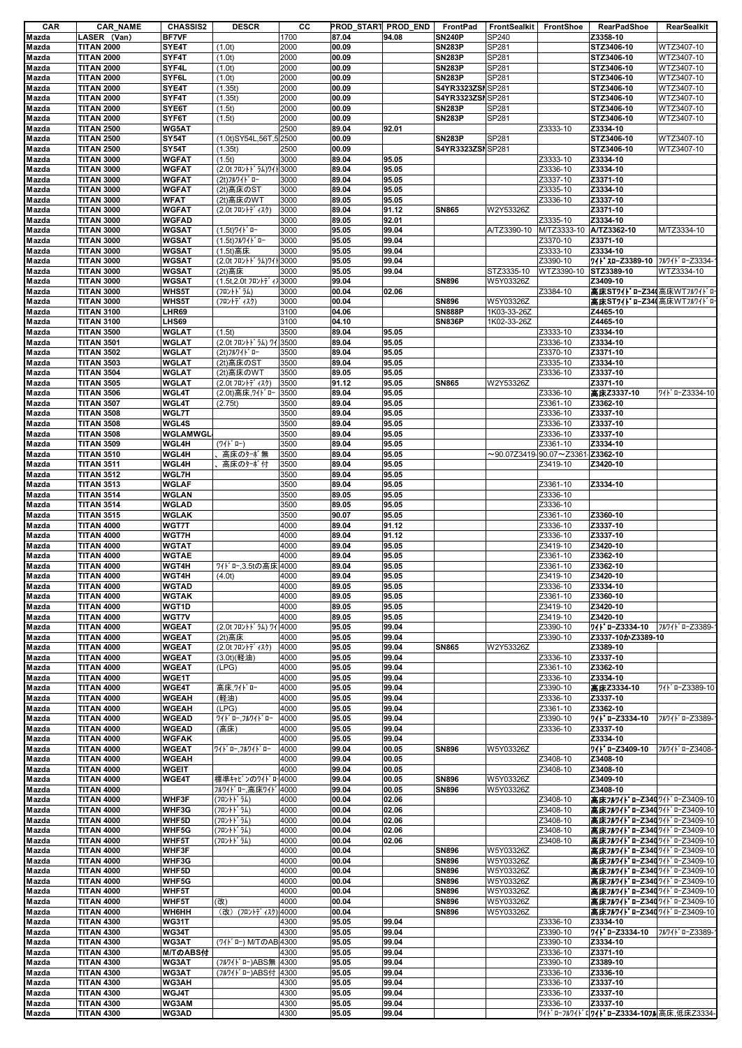| CAR            | <b>CAR_NAME</b>                        | <b>CHASSIS2</b>              | <b>DESCR</b>                              | cс           |                | PROD_START PROD_END | FrontPad                       |                          | FrontSealkit FrontShoe                        | RearPadShoe                                                | RearSealkit              |
|----------------|----------------------------------------|------------------------------|-------------------------------------------|--------------|----------------|---------------------|--------------------------------|--------------------------|-----------------------------------------------|------------------------------------------------------------|--------------------------|
| Mazda          | LASER (Van)                            | <b>BF7VF</b>                 |                                           | 1700         | 87.04          | 94.08               | <b>SN240P</b>                  | <b>SP240</b>             |                                               | Z3358-10                                                   |                          |
| Mazda          | <b>TITAN 2000</b>                      | SYE4T                        | (1.0t)                                    | 2000         | 00.09          |                     | <b>SN283P</b>                  | SP281                    |                                               | STZ3406-10                                                 | WTZ3407-10               |
| Mazda          | <b>TITAN 2000</b>                      | SYF4T<br>SYF4L               | (1.0t)                                    | 2000<br>2000 | 00.09<br>00.09 |                     | <b>SN283P</b><br><b>SN283P</b> | SP281<br>SP281           |                                               | STZ3406-10<br>STZ3406-10                                   | WTZ3407-10<br>WTZ3407-10 |
| Mazda<br>Mazda | <b>TITAN 2000</b><br><b>TITAN 2000</b> | SYF6L                        | (1.0t)<br>(1.0t)                          | 2000         | 00.09          |                     | <b>SN283P</b>                  | SP281                    |                                               | STZ3406-10                                                 | WTZ3407-10               |
| Mazda          | <b>TITAN 2000</b>                      | SYE4T                        | (1.35t)                                   | 2000         | 00.09          |                     | S4YR3323ZSNSP281               |                          |                                               | STZ3406-10                                                 | WTZ3407-10               |
| Mazda          | <b>TITAN 2000</b>                      | SYF4T                        | (1.35t)                                   | 2000         | 00.09          |                     | S4YR3323ZSI SP281              |                          |                                               | STZ3406-10                                                 | WTZ3407-10               |
| Mazda          | <b>TITAN 2000</b>                      | SYE6T                        | (1.5t)                                    | 2000         | 00.09          |                     | <b>SN283P</b>                  | SP281                    |                                               | STZ3406-10                                                 | WTZ3407-10               |
| Mazda          | <b>TITAN 2000</b>                      | SYF6T                        | (1.5t)                                    | 2000         | 00.09          |                     | <b>SN283P</b>                  | SP281                    |                                               | STZ3406-10                                                 | WTZ3407-10               |
| Mazda          | <b>TITAN 2500</b>                      | <b>WG5AT</b>                 |                                           | 2500         | 89.04          | 92.01               |                                |                          | Z3333-10                                      | Z3334-10                                                   |                          |
| Mazda          | <b>TITAN 2500</b>                      | SY54T                        | (1.0t)SY54L,56T,52500                     |              | 00.09          |                     | <b>SN283P</b>                  | SP281                    |                                               | STZ3406-10                                                 | WTZ3407-10               |
| Mazda          | <b>TITAN 2500</b>                      | SY54T                        | (1.35t)                                   | 2500         | 00.09          |                     | S4YR3323ZSN SP281              |                          |                                               | STZ3406-10                                                 | WTZ3407-10               |
| Mazda          | <b>TITAN 3000</b>                      | WGFAT                        | (1.5t)                                    | 3000         | 89.04          | 95.05               |                                |                          | Z3333-10                                      | Z3334-10                                                   |                          |
| Mazda          | <b>TITAN 3000</b>                      | WGFAT                        | (2.0t フロントト ラム)ワイト3000                    |              | 89.04          | 95.05               |                                |                          | Z3336-10                                      | Z3334-10                                                   |                          |
| Mazda          | <b>TITAN 3000</b><br><b>TITAN 3000</b> | WGFAT<br>WGFAT               | (2t)フルワイト ロー<br>(2t)高床のST                 | 3000<br>3000 | 89.04<br>89.04 | 95.05<br>95.05      |                                |                          | Z3337-10<br>Z3335-10                          | Z3371-10<br>Z3334-10                                       |                          |
| Mazda<br>Mazda | <b>TITAN 3000</b>                      | <b>WFAT</b>                  | (2t)高床のWT                                 | 3000         | 89.05          | 95.05               |                                |                          | Z3336-10                                      | Z3337-10                                                   |                          |
| Mazda          | <b>TITAN 3000</b>                      | WGFAT                        | (2.0t フロントディスク)                           | 3000         | 89.04          | 91.12               | <b>SN865</b>                   | W2Y53326Z                |                                               | Z3371-10                                                   |                          |
| Mazda          | <b>TITAN 3000</b>                      | WGFAD                        |                                           | 3000         | 89.05          | 92.01               |                                |                          | Z3335-10                                      | Z3334-10                                                   |                          |
| Mazda          | <b>TITAN 3000</b>                      | WGSAT                        | (1.5t)ワイト*ロー                              | 3000         | 95.05          | 99.04               |                                | A/TZ3390-10              | M/TZ3333-10                                   | A/TZ3362-10                                                | M/TZ3334-10              |
| Mazda          | <b>TITAN 3000</b>                      | WGSAT                        | (1.5t)フルワイドロー                             | 3000         | 95.05          | 99.04               |                                |                          | Z3370-10                                      | Z3371-10                                                   |                          |
| Mazda          | <b>TITAN 3000</b>                      | WGSAT                        | (1.5t) 高床                                 | 3000         | 95.05          | 99.04               |                                |                          | Z3333-10                                      | Z3334-10                                                   |                          |
| Mazda          | <b>TITAN 3000</b>                      | WGSAT                        | (2.0t フロントト ラム)ワイト3000                    |              | 95.05          | 99.04               |                                |                          | Z3390-10                                      | ワイト スローZ3389-10 フルワイト ローZ3334-                             |                          |
| Mazda          | <b>TITAN 3000</b>                      | WGSAT                        | (2t) 高床                                   | 3000         | 95.05          | 99.04               |                                | STZ3335-10               | WTZ3390-10                                    | STZ3389-10                                                 | WTZ3334-10               |
| Mazda          | <b>TITAN 3000</b>                      | WGSAT                        | (1.5t, 2.0t フロントディフ 3000                  |              | 99.04          |                     | <b>SN896</b>                   | W5Y03326Z                |                                               | Z3409-10                                                   |                          |
| Mazda          | <b>TITAN 3000</b>                      | WHS5T                        | (フロントト゛ラム)                                | 3000         | 00.04          | 02.06               |                                |                          | Z3384-10                                      | 高床ST71 * 0-Z34 高床WTフルワイドロ                                  |                          |
| Mazda<br>Mazda | <b>TITAN 3000</b><br><b>TITAN 3100</b> | WHS5T<br>LHR69               | (フロントデ ィスク)                               | 3000<br>3100 | 00.04<br>04.06 |                     | <b>SN896</b><br><b>SN888P</b>  | W5Y03326Z<br>1K03-33-26Z |                                               | 高床ST71 * 0-Z34 高床WTフルワイドロ<br>Z4465-10                      |                          |
| Mazda          | <b>TITAN 3100</b>                      | LHS69                        |                                           | 3100         | 04.10          |                     | <b>SN836P</b>                  | 1K02-33-26Z              |                                               | Z4465-10                                                   |                          |
| Mazda          | <b>TITAN 3500</b>                      | WGLAT                        | (1.5t)                                    | 3500         | 89.04          | 95.05               |                                |                          | Z3333-10                                      | Z3334-10                                                   |                          |
| Mazda          | <b>TITAN 3501</b>                      | WGLAT                        | (2.0t フロントト ラム) ワイ 3500                   |              | 89.04          | 95.05               |                                |                          | Z3336-10                                      | Z3334-10                                                   |                          |
| Mazda          | <b>TITAN 3502</b>                      | WGLAT                        | (2t)フルワイト ロー                              | 3500         | 89.04          | 95.05               |                                |                          | Z3370-10                                      | Z3371-10                                                   |                          |
| Mazda          | <b>TITAN 3503</b>                      | WGLAT                        | (2t)高床のST                                 | 3500         | 89.04          | 95.05               |                                |                          | Z3335-10                                      | Z3334-10                                                   |                          |
| Mazda          | <b>TITAN 3504</b>                      | WGLAT                        | (2t)高床のWT                                 | 3500         | 89.05          | 95.05               |                                |                          | Z3336-10                                      | Z3337-10                                                   |                          |
| Mazda          | <b>TITAN 3505</b>                      | WGLAT                        | (2.0t フロントディスク)                           | 3500         | 91.12          | 95.05               | <b>SN865</b>                   | W2Y53326Z                |                                               | Z3371-10                                                   |                          |
| Mazda          | <b>TITAN 3506</b>                      | <b>WGL4T</b>                 | (2.0t) 高床, 7/ \ * 마                       | 3500         | 89.04          | 95.05               |                                |                          | Z3336-10                                      | 高床Z3337-10                                                 | 711 0-Z3334-10           |
| Mazda          | <b>TITAN 3507</b>                      | <b>WGL4T</b>                 | (2.75t)                                   | 3500         | 89.04          | 95.05               |                                |                          | Z3361-10                                      | Z3362-10                                                   |                          |
| Mazda          | <b>TITAN 3508</b>                      | <b>WGL7T</b><br><b>WGL4S</b> |                                           | 3500         | 89.04          | 95.05<br>95.05      |                                |                          | Z3336-10                                      | Z3337-10<br>Z3337-10                                       |                          |
| Mazda<br>Mazda | <b>TITAN 3508</b><br><b>TITAN 3508</b> | WGLAMWGL                     |                                           | 3500<br>3500 | 89.04<br>89.04 | 95.05               |                                |                          | Z3336-10<br>Z3336-10                          | Z3337-10                                                   |                          |
| Mazda          | <b>TITAN 3509</b>                      | <b>WGL4H</b>                 | (71ドロー)                                   | 3500         | 89.04          | 95.05               |                                |                          | Z3361-10                                      | Z3334-10                                                   |                          |
| Mazda          | <b>TITAN 3510</b>                      | <b>WGL4H</b>                 | 高床のターボ無                                   | 3500         | 89.04          | 95.05               |                                |                          | $\sim$ 90.07Z3419-90.07 $\sim$ Z3361-Z3362-10 |                                                            |                          |
| Mazda          | <b>TITAN 3511</b>                      | <b>WGL4H</b>                 | 高床のターボ付                                   | 3500         | 89.04          | 95.05               |                                |                          | Z3419-10                                      | Z3420-10                                                   |                          |
| Mazda          | <b>TITAN 3512</b>                      | <b>WGL7H</b>                 |                                           | 3500         | 89.04          | 95.05               |                                |                          |                                               |                                                            |                          |
| Mazda          | <b>TITAN 3513</b>                      | <b>WGLAF</b>                 |                                           | 3500         | 89.04          | 95.05               |                                |                          | Z3361-10                                      | Z3334-10                                                   |                          |
| Mazda          | <b>TITAN 3514</b>                      | WGLAN                        |                                           | 3500         | 89.05          | 95.05               |                                |                          | Z3336-10                                      |                                                            |                          |
| Mazda          | <b>TITAN 3514</b>                      | WGLAD                        |                                           | 3500         | 89.05          | 95.05               |                                |                          | Z3336-10                                      |                                                            |                          |
| Mazda          | <b>TITAN 3515</b>                      | WGLAK                        |                                           | 3500         | 90.07          | 95.05               |                                |                          | Z3361-10                                      | Z3360-10                                                   |                          |
| Mazda          | <b>TITAN 4000</b>                      | WGT7T                        |                                           | 4000         | 89.04          | 91.12               |                                |                          | Z3336-10                                      | Z3337-10<br>Z3337-10                                       |                          |
| Mazda<br>Mazda | <b>TITAN 4000</b><br><b>TITAN 4000</b> | WGT7H<br>WGTAT               |                                           | 4000<br>4000 | 89.04<br>89.04 | 91.12<br>95.05      |                                |                          | Z3336-10<br>Z3419-10                          | Z3420-10                                                   |                          |
| Mazda          | <b>TITAN 4000</b>                      | WGTAE                        |                                           | 4000         | 89.04          | 95.05               |                                |                          | Z3361-10                                      | Z3362-10                                                   |                          |
| Mazda          | <b>TITAN 4000</b>                      | WGT4H                        | ワイドロー,3.5tの高床 4000                        |              | 89.04          | 95.05               |                                |                          | Z3361-10                                      | Z3362-10                                                   |                          |
| Mazda          | <b>TITAN 4000</b>                      | WGT4H                        | (4.0t)                                    | 4000         | 89.04          | 95.05               |                                |                          | Z3419-10                                      | Z3420-10                                                   |                          |
| Mazda          | <b>TITAN 4000</b>                      | WGTAD                        |                                           | 4000         | 89.05          | 95.05               |                                |                          | Z3336-10                                      | Z3334-10                                                   |                          |
| Mazda          | <b>TITAN 4000</b>                      | WGTAK                        |                                           | 4000         | 89.05          | 95.05               |                                |                          | Z3361-10                                      | Z3360-10                                                   |                          |
| Mazda          | <b>TITAN 4000</b>                      | <b>WGT1D</b>                 |                                           | 4000         | 89.05          | 95.05               |                                |                          | Z3419-10                                      | Z3420-10                                                   |                          |
| Mazda          | <b>TITAN 4000</b>                      | <b>WGT7V</b>                 |                                           | 4000         | 89.05          | 95.05               |                                |                          | Z3419-10                                      | Z3420-10                                                   |                          |
| Mazda          | <b>TITAN 4000</b>                      | <b>WGEAT</b>                 | (2.0t フロントト ラム) ワイ 4000                   |              | 95.05          | 99.04               |                                |                          | Z3390-10                                      | 7/ドローZ3334-10                                              | フルワイト ローZ3389-           |
| Mazda          | <b>TITAN 4000</b>                      | WGEAT                        | (2t) 高床                                   | 4000         | 95.05          | 99.04               |                                |                          | Z3390-10                                      | Z3337-10かZ3389-10                                          |                          |
| Mazda<br>Mazda | <b>TITAN 4000</b><br><b>TITAN 4000</b> | <b>WGEAT</b><br><b>WGEAT</b> | (2.0t フロントディスク)<br>(3.0t)(軽油)             | 4000<br>4000 | 95.05<br>95.05 | 99.04<br>99.04      | <b>SN865</b>                   | W2Y53326Z                | Z3336-10                                      | Z3389-10<br>Z3337-10                                       |                          |
| Mazda          | <b>TITAN 4000</b>                      | WGEAT                        | (LPG)                                     | 4000         | 95.05          | 99.04               |                                |                          | Z3361-10                                      | Z3362-10                                                   |                          |
| Mazda          | <b>TITAN 4000</b>                      | <b>WGE1T</b>                 |                                           | 4000         | 95.05          | 99.04               |                                |                          | Z3336-10                                      | Z3334-10                                                   |                          |
| Mazda          | <b>TITAN 4000</b>                      | <b>WGE4T</b>                 | 高床, ワイドロー                                 | 4000         | 95.05          | 99.04               |                                |                          | Z3390-10                                      | 高床Z3334-10                                                 | 711 0-Z3389-10           |
| Mazda          | <b>TITAN 4000</b>                      | <b>WGEAH</b>                 | (軽油)                                      | 4000         | 95.05          | 99.04               |                                |                          | Z3336-10                                      | Z3337-10                                                   |                          |
| Mazda          | <b>TITAN 4000</b>                      | WGEAH                        | (LPG)                                     | 4000         | 95.05          | 99.04               |                                |                          | Z3361-10                                      | Z3362-10                                                   |                          |
| Mazda          | <b>TITAN 4000</b>                      | <b>WGEAD</b>                 | ワイト <sup>*</sup> ロー,フルワイト <sup>*</sup> ロー | 4000         | 95.05          | 99.04               |                                |                          | Z3390-10                                      | 71 0-23334-10                                              | フルワイドローZ3389-            |
| Mazda          | <b>TITAN 4000</b>                      | WGEAD                        | (高床)                                      | 4000         | 95.05          | 99.04               |                                |                          | Z3336-10                                      | Z3337-10                                                   |                          |
| Mazda          | <b>TITAN 4000</b>                      | <b>WGFAK</b>                 | ワイト゛ロー、フルワイト゛ロー                           | 4000<br>4000 | 95.05          | 99.04               |                                | W5Y03326Z                |                                               | Z3334-10<br>741 n-Z3409-10                                 | フルワイドローZ3408-            |
| Mazda<br>Mazda | <b>TITAN 4000</b><br><b>TITAN 4000</b> | WGEAT<br>WGEAH               |                                           | 4000         | 99.04<br>99.04 | 00.05<br>00.05      | <b>SN896</b>                   |                          | Z3408-10                                      | Z3408-10                                                   |                          |
| Mazda          | <b>TITAN 4000</b>                      | WGEIT                        |                                           | 4000         | 99.04          | 00.05               |                                |                          | Z3408-10                                      | Z3408-10                                                   |                          |
| Mazda          | <b>TITAN 4000</b>                      | WGE4T                        | 標準キャビンのワイドロー4000                          |              | 99.04          | 00.05               | <b>SN896</b>                   | W5Y03326Z                |                                               | Z3409-10                                                   |                          |
| Mazda          | <b>TITAN 4000</b>                      |                              | フルワイドロー,高床ワイド4000                         |              | 99.04          | 00.05               | <b>SN896</b>                   | W5Y03326Z                |                                               | Z3408-10                                                   |                          |
| Mazda          | <b>TITAN 4000</b>                      | WHF3F                        | (フロントドラム)                                 | 4000         | 00.04          | 02.06               |                                |                          | Z3408-10                                      | <b>高床フルワイドローZ340</b> ワイドローZ3409-10                         |                          |
| Mazda          | <b>TITAN 4000</b>                      | WHF3G                        | (フロントドラム)                                 | 4000         | 00.04          | 02.06               |                                |                          | Z3408-10                                      | 高床フルワイドローZ340 ワイドローZ3409-10                                |                          |
| Mazda          | <b>TITAN 4000</b>                      | WHF5D                        | (フロントドラム)                                 | 4000         | 00.04          | 02.06               |                                |                          | Z3408-10                                      | <b>高床フルワイドローZ340</b> ワイドローZ3409-10                         |                          |
| Mazda          | <b>TITAN 4000</b>                      | WHF5G                        | (フロントドラム)                                 | 4000         | 00.04          | 02.06               |                                |                          | Z3408-10                                      | <b>高床フルワイドローZ340</b> ワイドローZ3409-10                         |                          |
| Mazda          | <b>TITAN 4000</b>                      | WHF5T                        | (フロントドラム)                                 | 4000         | 00.04          | 02.06               |                                |                          | Z3408-10                                      | 高床フルワイドローZ340 ワイドローZ3409-10                                |                          |
| Mazda          | <b>TITAN 4000</b>                      | WHF3F                        |                                           | 4000         | 00.04          |                     | <b>SN896</b>                   | W5Y03326Z                |                                               | 高床フルワイドローZ340 ワイドローZ3409-10                                |                          |
| Mazda<br>Mazda | <b>TITAN 4000</b><br><b>TITAN 4000</b> | WHF3G<br>WHF5D               |                                           | 4000<br>4000 | 00.04<br>00.04 |                     | <b>SN896</b><br><b>SN896</b>   | W5Y03326Z<br>W5Y03326Z   |                                               | 高床フルワイドローZ340 ワイドローZ3409-10<br>高床フルワイドローZ340 ワイドローZ3409-10 |                          |
| Mazda          | <b>TITAN 4000</b>                      | WHF5G                        |                                           | 4000         | 00.04          |                     | <b>SN896</b>                   | W5Y03326Z                |                                               | 高床フルワイドローZ340 ワイドローZ3409-10                                |                          |
| Mazda          | <b>TITAN 4000</b>                      | WHF5T                        |                                           | 4000         | 00.04          |                     | <b>SN896</b>                   | W5Y03326Z                |                                               | 高床フルワイドローZ340 ワイドローZ3409-10                                |                          |
| Mazda          | <b>TITAN 4000</b>                      | WHF5T                        | (改)                                       | 4000         | 00.04          |                     | <b>SN896</b>                   | W5Y03326Z                |                                               | 高床フルワイドローZ340 ワイドローZ3409-10                                |                          |
| Mazda          | <b>TITAN 4000</b>                      | WH6HH                        | (改) (フロントディスク) 4000                       |              | 00.04          |                     | <b>SN896</b>                   | W5Y03326Z                |                                               | 高床フルワイドローZ340 ワイドローZ3409-10                                |                          |
| Mazda          | <b>TITAN 4300</b>                      | WG31T                        |                                           | 4300         | 95.05          | 99.04               |                                |                          | Z3336-10                                      | Z3334-10                                                   |                          |
| Mazda          | <b>TITAN 4300</b>                      | WG34T                        |                                           | 4300         | 95.05          | 99.04               |                                |                          | Z3390-10                                      | リイドロ−Z3334-10                                              | フルワイドローZ3389-            |
| Mazda          | <b>TITAN 4300</b>                      | WG3AT                        | (ワイドロー) M/TのAB 4300                       |              | 95.05          | 99.04               |                                |                          | Z3390-10                                      | Z3334-10                                                   |                          |
| Mazda          | <b>TITAN 4300</b>                      | M/TのABS付                     |                                           | 4300         | 95.05          | 99.04               |                                |                          | Z3336-10                                      | Z3371-10                                                   |                          |
| Mazda          | <b>TITAN 4300</b>                      | WG3AT                        | (フルワイドロー)ABS無 4300                        |              | 95.05          | 99.04               |                                |                          | Z3390-10                                      | Z3389-10                                                   |                          |
| Mazda          | <b>TITAN 4300</b>                      | WG3AT                        | (フルワイドロー)ABS付 4300                        |              | 95.05          | 99.04               |                                |                          | Z3336-10                                      | Z3336-10                                                   |                          |
| Mazda<br>Mazda | <b>TITAN 4300</b><br><b>TITAN 4300</b> | <b>WG3AH</b><br><b>WGJ4T</b> |                                           | 4300<br>4300 | 95.05<br>95.05 | 99.04<br>99.04      |                                |                          | Z3336-10<br>Z3336-10                          | Z3337-10<br>Z3337-10                                       |                          |
| Mazda          | <b>TITAN 4300</b>                      | <b>WG3AM</b>                 |                                           | 4300         | 95.05          | 99.04               |                                |                          | Z3336-10                                      | Z3337-10                                                   |                          |
| Mazda          | <b>TITAN 4300</b>                      | <b>WG3AD</b>                 |                                           | 4300         | 95.05          | 99.04               |                                |                          |                                               | ワイドローフルワイドロワイドローZ3334-10フル 高床,低床Z3334-                     |                          |
|                |                                        |                              |                                           |              |                |                     |                                |                          |                                               |                                                            |                          |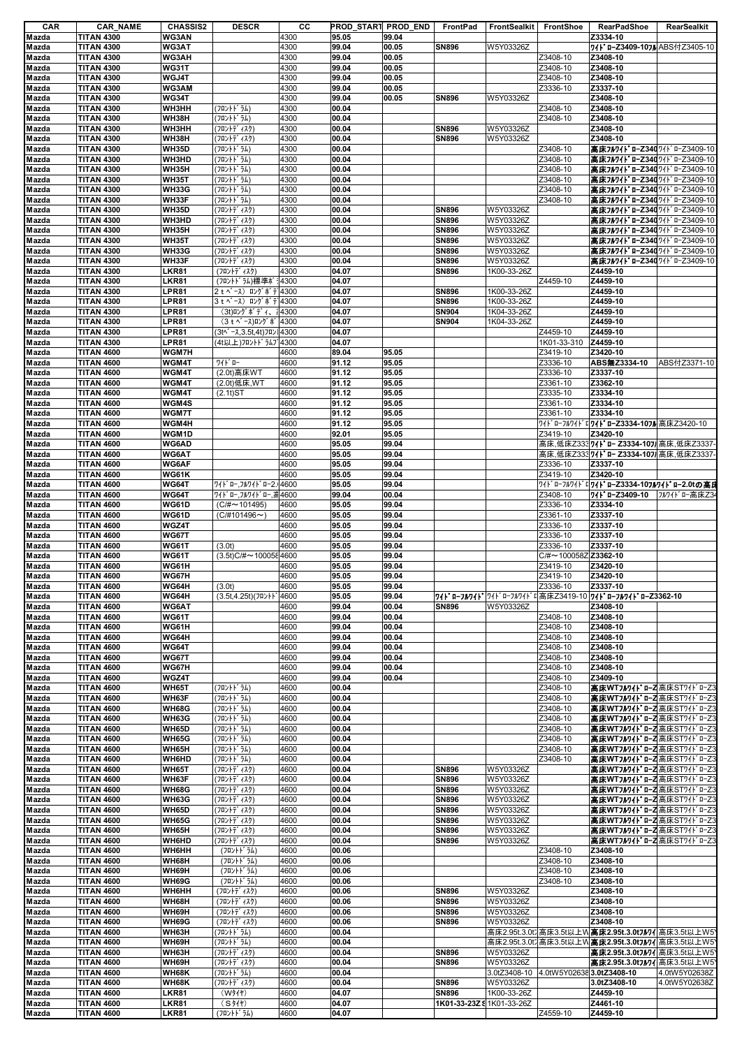| CAR            | <b>CAR_NAME</b>                        | <b>CHASSIS2</b>       | <b>DESCR</b>                                                                                                                                                                                                                                                                                         | CС           | PROD_START PROD_END |       | FrontPad                  | <b>FrontSealkit</b> | FrontShoe                | <b>RearPadShoe</b>                                    | RearSealkit   |
|----------------|----------------------------------------|-----------------------|------------------------------------------------------------------------------------------------------------------------------------------------------------------------------------------------------------------------------------------------------------------------------------------------------|--------------|---------------------|-------|---------------------------|---------------------|--------------------------|-------------------------------------------------------|---------------|
| Mazda          | <b>TITAN 4300</b>                      | WG3AN                 |                                                                                                                                                                                                                                                                                                      | 4300         | 95.05               | 99.04 |                           |                     |                          | Z3334-10                                              |               |
| Mazda          | <b>TITAN 4300</b>                      | WG3AT                 |                                                                                                                                                                                                                                                                                                      | 4300         | 99.04               | 00.05 | <b>SN896</b>              | W5Y03326Z           |                          | <b>ワイト ローZ3409-107ル</b> ABS付Z3405-10                  |               |
| Mazda          | <b>TITAN 4300</b>                      | WG3AH                 |                                                                                                                                                                                                                                                                                                      | 4300         | 99.04               | 00.05 |                           |                     | Z3408-10                 | Z3408-10                                              |               |
| Mazda          | <b>TITAN 4300</b>                      | WG31T                 |                                                                                                                                                                                                                                                                                                      | 4300         | 99.04               | 00.05 |                           |                     | Z3408-10                 | Z3408-10                                              |               |
| Mazda          | <b>TITAN 4300</b>                      | WGJ4T                 |                                                                                                                                                                                                                                                                                                      | 4300         | 99.04               | 00.05 |                           |                     | Z3408-10                 | Z3408-10                                              |               |
| Mazda          | <b>TITAN 4300</b>                      | WG3AM                 |                                                                                                                                                                                                                                                                                                      | 4300         | 99.04               | 00.05 |                           |                     | Z3336-10                 | Z3337-10                                              |               |
| Mazda          | <b>TITAN 4300</b>                      | WG34T                 |                                                                                                                                                                                                                                                                                                      | 4300         | 99.04               | 00.05 | <b>SN896</b>              | W5Y03326Z           |                          | Z3408-10                                              |               |
| Mazda          | <b>TITAN 4300</b>                      | WH3HH                 | (フロントトンラム)                                                                                                                                                                                                                                                                                           | 4300         | 00.04               |       |                           |                     | Z3408-10                 | Z3408-10                                              |               |
| Mazda          | <b>TITAN 4300</b>                      | WH38H                 | (フロントトンラム)                                                                                                                                                                                                                                                                                           | 4300         | 00.04               |       |                           |                     | Z3408-10                 | Z3408-10                                              |               |
| Mazda          | <b>TITAN 4300</b>                      | WH3HH                 | (フロントデ ィスク)                                                                                                                                                                                                                                                                                          | 4300         | 00.04               |       | <b>SN896</b>              | W5Y03326Z           |                          | Z3408-10                                              |               |
| Mazda          | <b>TITAN 4300</b>                      | WH38H                 | (フロントデ ィスク)                                                                                                                                                                                                                                                                                          | 4300         | 00.04               |       | <b>SN896</b>              | W5Y03326Z           |                          | Z3408-10                                              |               |
| Mazda          | <b>TITAN 4300</b>                      | <b>WH35D</b>          | (フロントトンラム)                                                                                                                                                                                                                                                                                           | 4300         | 00.04               |       |                           |                     | Z3408-10                 | 高床フルワイドローZ340 ワイドローZ3409-10                           |               |
| Mazda          | <b>TITAN 4300</b>                      | WH3HD                 | (フロントトンラム)                                                                                                                                                                                                                                                                                           | 4300         | 00.04               |       |                           |                     | Z3408-10                 | 高床フルワイドローZ340 ワイドローZ3409-10                           |               |
| Mazda          | <b>TITAN 4300</b>                      | WH35H                 | (フロントトンラム)                                                                                                                                                                                                                                                                                           | 4300         | 00.04               |       |                           |                     | Z3408-10                 | 高床フルワイドローZ340 ワイドローZ3409-10                           |               |
| Mazda          | <b>TITAN 4300</b>                      | <b>WH35T</b>          | (フロントドラム)                                                                                                                                                                                                                                                                                            | 4300         | 00.04               |       |                           |                     | Z3408-10                 | 高床フルワイドローZ340 ワイドローZ3409-10                           |               |
| Mazda          | <b>TITAN 4300</b>                      | WH33G                 | (フロントドラム)                                                                                                                                                                                                                                                                                            | 4300         | 00.04               |       |                           |                     | Z3408-10                 | 高床フルワイドローZ340 ワイドローZ3409-10                           |               |
| Mazda          | <b>TITAN 4300</b>                      | WH33F                 | (フロントトンラム)                                                                                                                                                                                                                                                                                           | 4300         | 00.04               |       |                           |                     | Z3408-10                 | 高床フルワイドローZ340 ワイドローZ3409-10                           |               |
| Mazda          | <b>TITAN 4300</b>                      | <b>WH35D</b>          | (フロントデ ィスク)                                                                                                                                                                                                                                                                                          | 4300         | 00.04               |       | <b>SN896</b>              | W5Y03326Z           |                          | 高床フルワイドローZ340 ワイドローZ3409-10                           |               |
| Mazda          | <b>TITAN 4300</b>                      | WH3HD                 | (フロントデ ィスク)                                                                                                                                                                                                                                                                                          | 4300         | 00.04               |       | <b>SN896</b>              | W5Y03326Z           |                          | 高床フルワイドローZ340 ワイドローZ3409-10                           |               |
| Mazda          | <b>TITAN 4300</b>                      | WH35H                 | (フロントデ ィスク)                                                                                                                                                                                                                                                                                          | 4300         | 00.04               |       | <b>SN896</b>              | W5Y03326Z           |                          | 高床フルワイドローZ340 ワイドローZ3409-10                           |               |
| Mazda          | <b>TITAN 4300</b>                      | <b>WH35T</b>          | (フロントデ ィスク)                                                                                                                                                                                                                                                                                          | 4300         | 00.04               |       | <b>SN896</b>              | W5Y03326Z           |                          | 高床フルワイドローZ340ワイドローZ3409-10                            |               |
| Mazda          | <b>TITAN 4300</b>                      | WH33G                 | (フロントデ ィスク)                                                                                                                                                                                                                                                                                          | 4300         | 00.04               |       | <b>SN896</b>              | W5Y03326Z           |                          | 高床フルワイドローZ340 ワイドローZ3409-10                           |               |
| Mazda          | <b>TITAN 4300</b>                      | WH33F                 | (フロントデ ィスク)                                                                                                                                                                                                                                                                                          | 4300         | 00.04               |       | <b>SN896</b>              | W5Y03326Z           |                          | 高床フルワイドローZ340 ワイドローZ3409-10                           |               |
| Mazda          | <b>TITAN 4300</b>                      | LKR81                 | (フロントデ ィスク)                                                                                                                                                                                                                                                                                          | 4300         | 04.07               |       | <b>SN896</b>              | 1K00-33-26Z         |                          | Z4459-10                                              |               |
| Mazda          | <b>TITAN 4300</b>                      | <b>LKR81</b>          | (フロントドラム)標準ボi4300                                                                                                                                                                                                                                                                                    |              | 04.07               |       |                           |                     | Z4459-10                 | Z4459-10                                              |               |
| Mazda          | <b>TITAN 4300</b>                      | LPR81                 | 2 t ベース) ロングボテ 4300                                                                                                                                                                                                                                                                                  |              | 04.07               |       | <b>SN896</b>              | 1K00-33-26Z         |                          | Z4459-10                                              |               |
| Mazda          | <b>TITAN 4300</b>                      | LPR81                 | 3 t ^ - ス) ロング ボ デ 4300                                                                                                                                                                                                                                                                              |              | 04.07               |       | <b>SN896</b>              | 1K00-33-26Z         |                          | Z4459-10                                              |               |
| Mazda          | <b>TITAN 4300</b>                      | LPR81                 | $(3t)$ $I$ $2^t$ $\hbar$ $\hbar$ $\hbar$ $\hbar$ $\hbar$ $\hbar$ $\hbar$ $\hbar$ $\hbar$ $\hbar$ $\hbar$ $\hbar$ $\hbar$ $\hbar$ $\hbar$ $\hbar$ $\hbar$ $\hbar$ $\hbar$ $\hbar$ $\hbar$ $\hbar$ $\hbar$ $\hbar$ $\hbar$ $\hbar$ $\hbar$ $\hbar$ $\hbar$ $\hbar$ $\hbar$ $\hbar$ $\hbar$ $\hbar$ $\$ |              | 04.07               |       | <b>SN904</b>              | 1K04-33-26Z         |                          | Z4459-10                                              |               |
| Mazda          | <b>TITAN 4300</b>                      | LPR81                 | (3 t ベース)ロングボ 4300                                                                                                                                                                                                                                                                                   |              | 04.07               |       | <b>SN904</b>              | 1K04-33-26Z         |                          | Z4459-10                                              |               |
| Mazda          | <b>TITAN 4300</b>                      | LPR81                 | (3t^゚-ス,3.5t,4t)フロン  4300                                                                                                                                                                                                                                                                            |              | 04.07               |       |                           |                     | Z4459-10                 | Z4459-10                                              |               |
| Mazda          | <b>TITAN 4300</b>                      | LPR81                 | (4t以上)フロントドラムブ 4300                                                                                                                                                                                                                                                                                  |              | 04.07               |       |                           |                     | 1K01-33-310              | Z4459-10                                              |               |
| Mazda          | <b>TITAN 4600</b>                      | <b>WGM7H</b>          |                                                                                                                                                                                                                                                                                                      | 4600         | 89.04               | 95.05 |                           |                     | Z3419-10                 | Z3420-10                                              |               |
| Mazda          | <b>TITAN 4600</b>                      | WGM4T                 |                                                                                                                                                                                                                                                                                                      | 4600         | 91.12               | 95.05 |                           |                     | Z3336-10                 | ABS無Z3334-10                                          | ABS付Z3371-10  |
| Mazda          | <b>TITAN 4600</b>                      | WGM4T                 | (2.0t) 高床WT                                                                                                                                                                                                                                                                                          | 4600         | 91.12               | 95.05 |                           |                     | Z3336-10                 | Z3337-10                                              |               |
| Mazda          | <b>TITAN 4600</b>                      | WGM4T                 | (2.0t)低床,WT                                                                                                                                                                                                                                                                                          | 4600         | 91.12               | 95.05 |                           |                     | Z3361-10                 | Z3362-10                                              |               |
| Mazda          | <b>TITAN 4600</b>                      | WGM4T                 | (2.1t)ST                                                                                                                                                                                                                                                                                             | 4600         | 91.12               | 95.05 |                           |                     | Z3335-10                 | Z3334-10                                              |               |
| Mazda          | <b>TITAN 4600</b>                      | WGM4S                 |                                                                                                                                                                                                                                                                                                      | 4600         | 91.12               | 95.05 |                           |                     | Z3361-10                 | Z3334-10                                              |               |
| Mazda          | <b>TITAN 4600</b>                      | WGM7T                 |                                                                                                                                                                                                                                                                                                      | 4600         | 91.12               | 95.05 |                           |                     | Z3361-10                 | Z3334-10                                              |               |
| Mazda          | <b>TITAN 4600</b>                      | WGM4H                 |                                                                                                                                                                                                                                                                                                      | 4600         | 91.12               | 95.05 |                           |                     |                          | ワイドローフルワイドロワイドローZ3334-10フル 高床Z3420-10                 |               |
| Mazda          | <b>TITAN 4600</b>                      | WGM1D                 |                                                                                                                                                                                                                                                                                                      | 4600         | 92.01               | 95.05 |                           |                     | Z3419-10                 | Z3420-10                                              |               |
| Mazda          | <b>TITAN 4600</b>                      | WG6AD                 |                                                                                                                                                                                                                                                                                                      | 4600         | 95.05               | 99.04 |                           |                     |                          | 高床,低床Z3337/l'ロ-Z3334-1071 高床,低床Z3337                  |               |
| Mazda          | <b>TITAN 4600</b>                      | WG6AT                 |                                                                                                                                                                                                                                                                                                      | 4600         | 95.05               | 99.04 |                           |                     |                          | 高床,低床Z333"7⁄ll * ロー Z3334-107 高床,低床Z3337              |               |
| Mazda          | <b>TITAN 4600</b>                      | <b>WG6AF</b>          |                                                                                                                                                                                                                                                                                                      | 4600         | 95.05               | 99.04 |                           |                     | Z3336-10                 | Z3337-10                                              |               |
| Mazda          | <b>TITAN 4600</b>                      | <b>WG61K</b>          |                                                                                                                                                                                                                                                                                                      | 4600         | 95.05               | 99.04 |                           |                     | Z3419-10                 | Z3420-10                                              |               |
| Mazda          | <b>TITAN 4600</b>                      | <b>WG64T</b>          | ワイト ロー,フルワイト ロー2.4600                                                                                                                                                                                                                                                                                |              | 95.05               | 99.04 |                           |                     | ワイト゛ローフルワイト゛             | ゙ロワイドローZ3334-10フルワイドロー2.0tの高月                         |               |
| Mazda          | <b>TITAN 4600</b>                      | WG64T                 | ワイト゛ロー,フルワイト゛ロー, 高4600                                                                                                                                                                                                                                                                               |              | 99.04               | 00.04 |                           |                     | Z3408-10                 | 71 * 0-Z3409-10                                       | フルワイドロー高床Z3   |
| Mazda          | <b>TITAN 4600</b>                      | <b>WG61D</b>          | $(C/\# \sim 101495)$                                                                                                                                                                                                                                                                                 | 4600         | 95.05               | 99.04 |                           |                     | Z3336-10                 | Z3334-10                                              |               |
| Mazda          | <b>TITAN 4600</b>                      | <b>WG61D</b>          | $(C/H101496\sim)$                                                                                                                                                                                                                                                                                    | 4600         | 95.05               | 99.04 |                           |                     | Z3361-10                 | Z3337-10                                              |               |
| Mazda          | <b>TITAN 4600</b>                      | WGZ4T                 |                                                                                                                                                                                                                                                                                                      | 4600         | 95.05               | 99.04 |                           |                     | Z3336-10                 | Z3337-10                                              |               |
| Mazda          | <b>TITAN 4600</b>                      | <b>WG67T</b>          |                                                                                                                                                                                                                                                                                                      | 4600         | 95.05               | 99.04 |                           |                     | Z3336-10                 | Z3337-10                                              |               |
| Mazda          | <b>TITAN 4600</b>                      | <b>WG61T</b>          | (3.0t)                                                                                                                                                                                                                                                                                               | 4600         | 95.05               | 99.04 |                           |                     | Z3336-10                 | Z3337-10                                              |               |
| Mazda          | <b>TITAN 4600</b>                      | WG61T                 | $(3.5t)C/H \sim 1000584600$                                                                                                                                                                                                                                                                          |              | 95.05               | 99.04 |                           |                     | C/#~100058Z Z3362-10     |                                                       |               |
| Mazda          | <b>TITAN 4600</b>                      | WG61H                 |                                                                                                                                                                                                                                                                                                      | 4600         | 95.05               | 99.04 |                           |                     | Z3419-10                 | Z3420-10                                              |               |
| Mazda          | <b>TITAN 4600</b>                      | WG67H                 |                                                                                                                                                                                                                                                                                                      | 4600         | 95.05               | 99.04 |                           |                     | Z3419-10                 | Z3420-10                                              |               |
| Mazda          | <b>TITAN 4600</b>                      | WG64H                 | (3.0t)                                                                                                                                                                                                                                                                                               | 4600         | 95.05               | 99.04 |                           |                     | Z3336-10                 | Z3337-10                                              |               |
| Mazda          | <b>TITAN 4600</b>                      | WG64H                 | (3.5t,4.25t)(フロントド                                                                                                                                                                                                                                                                                   | 4600         | 95.05               | 99.04 |                           |                     |                          | ワイドローフルワイド ワイドローフルワイドロ高床Z3419-10 ワイドローフルワイドローZ3362-10 |               |
| Mazda          | <b>TITAN 4600</b>                      | <b>WG6AT</b>          |                                                                                                                                                                                                                                                                                                      | 4600         | 99.04               | 00.04 | <b>SN896</b>              | W5Y03326Z           |                          | Z3408-10                                              |               |
| Mazda          | <b>TITAN 4600</b>                      | <b>WG61T</b>          |                                                                                                                                                                                                                                                                                                      | 4600         | 99.04               | 00.04 |                           |                     | Z3408-10                 | Z3408-10                                              |               |
| Mazda          | <b>TITAN 4600</b>                      | WG61H                 |                                                                                                                                                                                                                                                                                                      | 4600         | 99.04               | 00.04 |                           |                     | Z3408-10                 | Z3408-10                                              |               |
| Mazda          | <b>TITAN 4600</b>                      | WG64H                 |                                                                                                                                                                                                                                                                                                      | 4600         | 99.04               | 00.04 |                           |                     | Z3408-10                 | Z3408-10                                              |               |
| Mazda          | <b>TITAN 4600</b>                      | WG64T                 |                                                                                                                                                                                                                                                                                                      | 4600         | 99.04               | 00.04 |                           |                     | Z3408-10                 | Z3408-10                                              |               |
| Mazda          | <b>TITAN 4600</b>                      | <b>WG67T</b>          |                                                                                                                                                                                                                                                                                                      | 4600         | 99.04               | 00.04 |                           |                     | Z3408-10                 | Z3408-10                                              |               |
| Mazda          | <b>TITAN 4600</b>                      | WG67H                 |                                                                                                                                                                                                                                                                                                      | 4600         | 99.04               | 00.04 |                           |                     | Z3408-10                 | Z3408-10                                              |               |
| Mazda          | <b>TITAN 4600</b>                      | WGZ4T                 |                                                                                                                                                                                                                                                                                                      | 4600         | 99.04               | 00.04 |                           |                     | Z3408-10<br>Z3408-10     | Z3409-10                                              |               |
| Mazda          | <b>TITAN 4600</b>                      | <b>WH65T</b>          | (フロントト・ラム)                                                                                                                                                                                                                                                                                           | 4600         | 00.04               |       |                           |                     |                          | 高床WTフルワイドローZ高床STワイドローZ3                               |               |
| Mazda<br>Mazda | <b>TITAN 4600</b>                      | WH63F<br><b>WH68G</b> | (フロントト・ラム)<br>(フロントト・ラム)                                                                                                                                                                                                                                                                             | 4600<br>4600 | 00.04<br>00.04      |       |                           |                     | Z3408-10<br>Z3408-10     | 高床WTフルワイドローZ高床STワイドローZ3<br>高床WTフルワイドローZ高床STワイドローZ3    |               |
|                | <b>TITAN 4600</b><br><b>TITAN 4600</b> | WH63G                 | (フロントドラム)                                                                                                                                                                                                                                                                                            | 4600         | 00.04               |       |                           |                     | Z3408-10                 | 高床WTフルワイドローZ高床STワイドローZ3                               |               |
| Mazda          | <b>TITAN 4600</b>                      | <b>WH65D</b>          | (フロントトンラム)                                                                                                                                                                                                                                                                                           |              | 00.04               |       |                           |                     | Z3408-10                 | 高床WTフルワイドローZ高床STワイドローZ3                               |               |
| Mazda<br>Mazda | <b>TITAN 4600</b>                      | <b>WH65G</b>          | (フロントト・ラム)                                                                                                                                                                                                                                                                                           | 4600<br>4600 | 00.04               |       |                           |                     | Z3408-10                 | 高床WTフルワイドローZ高床STワイドローZ3                               |               |
| Mazda          | <b>TITAN 4600</b>                      | WH65H                 | (フロントト・ラム)                                                                                                                                                                                                                                                                                           | 4600         | 00.04               |       |                           |                     | Z3408-10                 | 高床WTフルワイドローZ高床STワイドローZ3                               |               |
| Mazda          | <b>TITAN 4600</b>                      | WH6HD                 | (フロントト・ラム)                                                                                                                                                                                                                                                                                           | 4600         | 00.04               |       |                           |                     | Z3408-10                 | 高床WTフルワイドローZ高床STワイドローZ3                               |               |
| Mazda          | <b>TITAN 4600</b>                      | <b>WH65T</b>          | (フロントデ ィスク)                                                                                                                                                                                                                                                                                          | 4600         | 00.04               |       | <b>SN896</b>              | W5Y03326Z           |                          | 高床WTフルワイドローZ高床STワイドローZ3                               |               |
| Mazda          | <b>TITAN 4600</b>                      | WH63F                 | (フロントデ ィスク)                                                                                                                                                                                                                                                                                          | 4600         | 00.04               |       | <b>SN896</b>              | W5Y03326Z           |                          | <b>高床WTフルワイドローZ</b> 高床STワイドローZ3                       |               |
| Mazda          | <b>TITAN 4600</b>                      | <b>WH68G</b>          | (フロントデ ィスク)                                                                                                                                                                                                                                                                                          | 4600         | 00.04               |       | <b>SN896</b>              | W5Y03326Z           |                          | 高床WTフルワイドローZ高床STワイドローZ3                               |               |
| Mazda          | <b>TITAN 4600</b>                      | <b>WH63G</b>          | (フロントデ ィスク)                                                                                                                                                                                                                                                                                          | 4600         | 00.04               |       | <b>SN896</b>              | W5Y03326Z           |                          | 高床WTフルワイドローZ高床STワイドローZ3                               |               |
| Mazda          | <b>TITAN 4600</b>                      | <b>WH65D</b>          | (フロントデ ィスク)                                                                                                                                                                                                                                                                                          | 4600         | 00.04               |       | <b>SN896</b>              | W5Y03326Z           |                          | 高床WTフルワイドローZ高床STワイドローZ3                               |               |
| Mazda          | <b>TITAN 4600</b>                      | <b>WH65G</b>          | (フロントデ ィスク)                                                                                                                                                                                                                                                                                          | 4600         | 00.04               |       | <b>SN896</b>              | W5Y03326Z           |                          | <b>高床WTフルワイドローZ</b> 高床STワイドローZ3                       |               |
| Mazda          | <b>TITAN 4600</b>                      | WH65H                 | (フロントデ ィスク)                                                                                                                                                                                                                                                                                          | 4600         | 00.04               |       | <b>SN896</b>              | W5Y03326Z           |                          | 高床WTフルワイドローZ高床STワイドローZ3                               |               |
| Mazda          | <b>TITAN 4600</b>                      | WH6HD                 | (フロントデ ィスク)                                                                                                                                                                                                                                                                                          | 4600         | 00.04               |       | <b>SN896</b>              | W5Y03326Z           |                          | 高床WTフルワイドローZ 高床STワイドローZ3                              |               |
| Mazda          | <b>TITAN 4600</b>                      | WH6HH                 | (フロントト・ラム)                                                                                                                                                                                                                                                                                           | 4600         | 00.06               |       |                           |                     | Z3408-10                 | Z3408-10                                              |               |
| Mazda          | <b>TITAN 4600</b>                      | WH68H                 | (フロントト・ラム)                                                                                                                                                                                                                                                                                           | 4600         | 00.06               |       |                           |                     | Z3408-10                 | Z3408-10                                              |               |
| Mazda          | <b>TITAN 4600</b>                      | WH69H                 | (フロントト・ラム)                                                                                                                                                                                                                                                                                           | 4600         | 00.06               |       |                           |                     | Z3408-10                 | Z3408-10                                              |               |
| Mazda          | <b>TITAN 4600</b>                      | WH69G                 | (フロントト・ラム)                                                                                                                                                                                                                                                                                           | 4600         | 00.06               |       |                           |                     | Z3408-10                 | Z3408-10                                              |               |
| Mazda          | <b>TITAN 4600</b>                      | WH6HH                 | (フロントデ ィスク)                                                                                                                                                                                                                                                                                          | 4600         | 00.06               |       | <b>SN896</b>              | W5Y03326Z           |                          | Z3408-10                                              |               |
| Mazda          | <b>TITAN 4600</b>                      | WH68H                 | (フロントデ ィスク)                                                                                                                                                                                                                                                                                          | 4600         | 00.06               |       | <b>SN896</b>              | W5Y03326Z           |                          | Z3408-10                                              |               |
| Mazda          | <b>TITAN 4600</b>                      | WH69H                 | (フロントデ ィスク)                                                                                                                                                                                                                                                                                          | 4600         | 00.06               |       | <b>SN896</b>              | W5Y03326Z           |                          | Z3408-10                                              |               |
| Mazda          | <b>TITAN 4600</b>                      | WH69G                 | (フロントデ ィスク)                                                                                                                                                                                                                                                                                          | 4600         | 00.06               |       | <b>SN896</b>              | W5Y03326Z           |                          | Z3408-10                                              |               |
| Mazda          | <b>TITAN 4600</b>                      | WH63H                 | (フロントト・ラム)                                                                                                                                                                                                                                                                                           | 4600         | 00.04               |       |                           |                     |                          | 高床2.95t.3.0t7高床3.5t以上W 高床2.95t.3.0t7ル7/ 高床3.5t以上W5    |               |
| Mazda          | <b>TITAN 4600</b>                      | WH69H                 | (フロントドラム)                                                                                                                                                                                                                                                                                            | 4600         | 00.04               |       |                           |                     |                          | 高床2.95t.3.0t7高床3.5t以上WAD 第2.95t.3.0t7 7/高床3.5t以上W5    |               |
| Mazda          | <b>TITAN 4600</b>                      | WH63H                 | (フロントデ ィスク)                                                                                                                                                                                                                                                                                          | 4600         | 00.04               |       | <b>SN896</b>              | W5Y03326Z           |                          | 高床2.95t.3.0t7M7 高床3.5t以上W5                            |               |
| Mazda          | <b>TITAN 4600</b>                      | WH69H                 | (フロントデ ィスク)                                                                                                                                                                                                                                                                                          | 4600         | 00.04               |       | <b>SN896</b>              | W5Y03326Z           |                          | 高床2.95t.3.0tフルワイ 高床3.5t以上W5                           |               |
| Mazda          | <b>TITAN 4600</b>                      | WH68K                 | (フロントト・ラム)                                                                                                                                                                                                                                                                                           | 4600         | 00.04               |       |                           | 3.0tZ3408-10        | 4.0tW5Y026383.0tZ3408-10 |                                                       | 4.0tW5Y02638Z |
| Mazda          | <b>TITAN 4600</b>                      | WH68K                 | (フロントデ ィスク)                                                                                                                                                                                                                                                                                          | 4600         | 00.04               |       | <b>SN896</b>              | W5Y03326Z           |                          | 3.0tZ3408-10                                          | 4.0tW5Y02638Z |
| Mazda          | <b>TITAN 4600</b>                      | <b>LKR81</b>          | (W31)                                                                                                                                                                                                                                                                                                | 4600         | 04.07               |       | <b>SN896</b>              | 1K00-33-26Z         |                          | Z4459-10                                              |               |
| Mazda          | <b>TITAN 4600</b>                      | <b>LKR81</b>          | (S/4)                                                                                                                                                                                                                                                                                                | 4600         | 04.07               |       | 1K01-33-23Z & 1K01-33-26Z |                     |                          | Z4461-10                                              |               |
| Mazda          | <b>TITAN 4600</b>                      | LKR81                 | (フロントト・ラム)                                                                                                                                                                                                                                                                                           | 4600         | 04.07               |       |                           |                     | Z4559-10                 | Z4459-10                                              |               |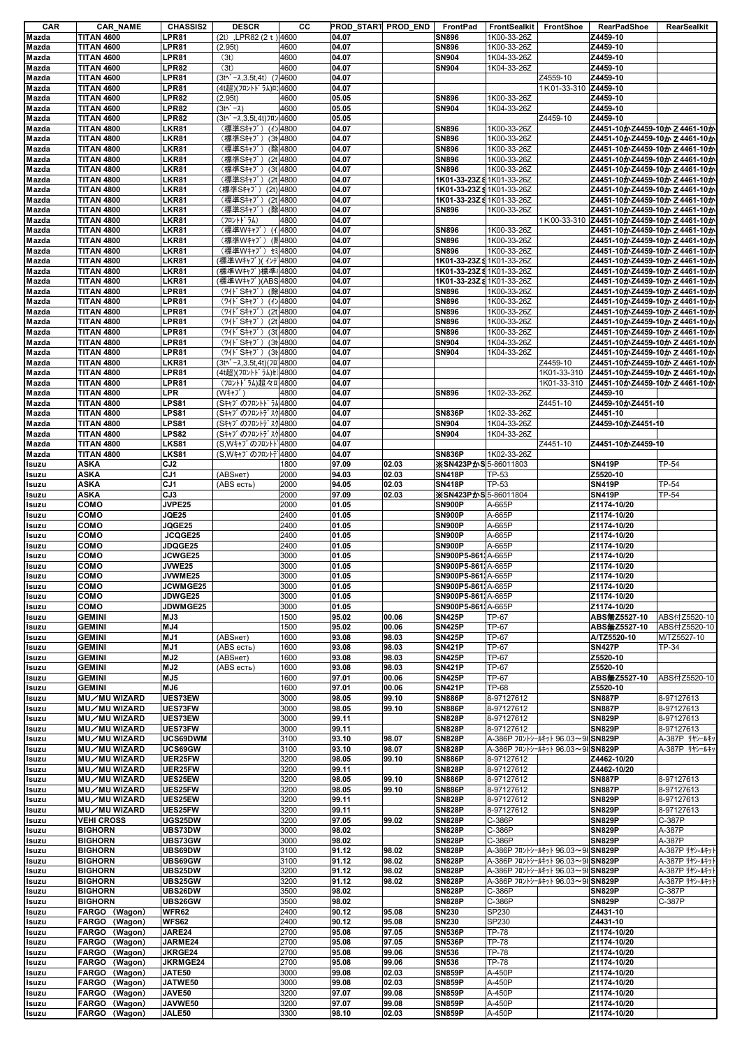| CAR            | <b>CAR NAME</b>   | <b>CHASSIS2</b> | <b>DESCR</b>                        | CС          |       | PROD_START PROD_END | FrontPad                  | FrontSealkit | FrontShoe                         | <b>RearPadShoe</b>            | <b>RearSealkit</b> |
|----------------|-------------------|-----------------|-------------------------------------|-------------|-------|---------------------|---------------------------|--------------|-----------------------------------|-------------------------------|--------------------|
| Mazda          | <b>TITAN 4600</b> | LPR81           | (2t), LPR82 (2t) 4600               |             | 04.07 |                     | <b>SN896</b>              | 1K00-33-26Z  |                                   | Z4459-10                      |                    |
| Mazda          | <b>TITAN 4600</b> | LPR81           | (2.95t)                             | 4600        | 04.07 |                     | <b>SN896</b>              | 1K00-33-26Z  |                                   | Z4459-10                      |                    |
| Mazda          | <b>TITAN 4600</b> | LPR81           | (3t)                                | 4600        | 04.07 |                     | <b>SN904</b>              | 1K04-33-26Z  |                                   | Z4459-10                      |                    |
| Mazda          | <b>TITAN 4600</b> | LPR82           | (3t)                                | 4600        | 04.07 |                     | <b>SN904</b>              | 1K04-33-26Z  |                                   | Z4459-10                      |                    |
| Mazda          | <b>TITAN 4600</b> | LPR81           | $(3t^2 - \lambda, 3.5t, 4t)$ (74600 |             | 04.07 |                     |                           |              | Z4559-10                          | Z4459-10                      |                    |
| Mazda          | <b>TITAN 4600</b> | LPR81           | (4t超)(フロントドラム)ロ'4600                |             | 04.07 |                     |                           |              | 1K01-33-310 Z4459-10              |                               |                    |
|                |                   |                 |                                     |             |       |                     |                           |              |                                   |                               |                    |
| Mazda          | <b>TITAN 4600</b> | LPR82           | (2.95t)                             | 4600        | 05.05 |                     | <b>SN896</b>              | 1K00-33-26Z  |                                   | Z4459-10                      |                    |
| Mazda          | <b>TITAN 4600</b> | LPR82           | $(3t^{\wedge} - \lambda)$           | 4600        | 05.05 |                     | <b>SN904</b>              | 1K04-33-26Z  |                                   | Z4459-10                      |                    |
| Mazda          | <b>TITAN 4600</b> | LPR82           | (3t^* - x, 3.5t, 4t) 7 0 / 4600     |             | 05.05 |                     |                           |              | Z4459-10                          | Z4459-10                      |                    |
| Mazda          | <b>TITAN 4800</b> | LKR81           | (標準Sキャブ) (イン4800                    |             | 04.07 |                     | <b>SN896</b>              | 1K00-33-26Z  |                                   | Z4451-10かZ4459-10か Z 4461-10か |                    |
| Mazda          | <b>TITAN 4800</b> | LKR81           | (標準Sキャブ) (3t 4800                   |             | 04.07 |                     | <b>SN896</b>              | 1K00-33-26Z  |                                   | Z4451-10かZ4459-10か Z 4461-10か |                    |
| Mazda          | <b>TITAN 4800</b> | LKR81           | (標準Sキャブ)                            | (除 4800     | 04.07 |                     | <b>SN896</b>              | 1K00-33-26Z  |                                   | Z4451-10かZ4459-10か Z 4461-10か |                    |
| Mazda          | <b>TITAN 4800</b> | LKR81           | (標準Sキャブ) (2t 4800                   |             | 04.07 |                     | <b>SN896</b>              | 1K00-33-26Z  |                                   | Z4451-10かZ4459-10か Z 4461-10か |                    |
| Mazda          | <b>TITAN 4800</b> | LKR81           | (標準Sキャブ) (3t 4800                   |             | 04.07 |                     | <b>SN896</b>              | 1K00-33-26Z  |                                   | Z4451-10かZ4459-10か Z 4461-10か |                    |
|                |                   |                 |                                     |             |       |                     |                           |              |                                   |                               |                    |
| Mazda          | <b>TITAN 4800</b> | LKR81           | (標準Sキャブ)                            | $(2t)$ 4800 | 04.07 |                     | 1K01-33-23Z & 1K01-33-26Z |              |                                   | Z4451-10かZ4459-10か Z 4461-10か |                    |
| Mazda          | <b>TITAN 4800</b> | LKR81           | (標準Sキャブ)(2t) 4800                   |             | 04.07 |                     | 1K01-33-23Z \$1K01-33-26Z |              |                                   | Z4451-10かZ4459-10か Z 4461-10か |                    |
| Mazda          | <b>TITAN 4800</b> | LKR81           | (標準Sキャブ) (2t 4800                   |             | 04.07 |                     | 1K01-33-23Z § 1K01-33-26Z |              |                                   | Z4451-10かZ4459-10か Z 4461-10か |                    |
| Mazda          | <b>TITAN 4800</b> | LKR81           | (標準Sキャブ)                            | (除 4800     | 04.07 |                     | <b>SN896</b>              | 1K00-33-26Z  |                                   | Z4451-10かZ4459-10か Z 4461-10か |                    |
| Mazda          | <b>TITAN 4800</b> | LKR81           | (フロントト・ラム)                          | 4800        | 04.07 |                     |                           |              | 1K00-33-310                       | Z4451-10かZ4459-10か Z 4461-10か |                    |
| Mazda          | <b>TITAN 4800</b> | LKR81           | (標準Wキャブ) (イ 4800                    |             | 04.07 |                     | <b>SN896</b>              | 1K00-33-26Z  |                                   | Z4451-10かZ4459-10か Z 4461-10か |                    |
| Mazda          | <b>TITAN 4800</b> | LKR81           | (標準Wキャブ) (隙4800                     |             | 04.07 |                     | <b>SN896</b>              | 1K00-33-26Z  |                                   | Z4451-10かZ4459-10か Z 4461-10か |                    |
| Mazda          | <b>TITAN 4800</b> | LKR81           | (標準Wキャブ) セミ4800                     |             | 04.07 |                     | <b>SN896</b>              | 1K00-33-26Z  |                                   | Z4451-10かZ4459-10か Z 4461-10か |                    |
| Mazda          | <b>TITAN 4800</b> | <b>LKR81</b>    | (標準Wキャブ)( インデ4800                   |             | 04.07 |                     | 1K01-33-23Z & 1K01-33-26Z |              |                                   | Z4451-10かZ4459-10か Z 4461-10か |                    |
| Mazda          | <b>TITAN 4800</b> | LKR81           | (標準Wキャブ)標準オ4800                     |             | 04.07 |                     | 1K01-33-23Z & 1K01-33-26Z |              |                                   | Z4451-10かZ4459-10か Z 4461-10か |                    |
|                |                   |                 |                                     |             |       |                     |                           |              |                                   |                               |                    |
| Mazda          | <b>TITAN 4800</b> | LKR81           | (標準Wキャブ)(ABS 4800                   |             | 04.07 |                     | 1K01-33-23Z & 1K01-33-26Z |              |                                   | Z4451-10かZ4459-10か Z 4461-10か |                    |
| Mazda          | <b>TITAN 4800</b> | LPR81           | (ワイト Sキャブ) (除4800                   |             | 04.07 |                     | <b>SN896</b>              | 1K00-33-26Z  |                                   | Z4451-10かZ4459-10か Z 4461-10か |                    |
| Mazda          | <b>TITAN 4800</b> | LPR81           | (741' S++7') (1) 4800               |             | 04.07 |                     | <b>SN896</b>              | 1K00-33-26Z  |                                   | Z4451-10かZ4459-10か Z 4461-10か |                    |
| Mazda          | <b>TITAN 4800</b> | LPR81           | (741' S++7') (2t 4800               |             | 04.07 |                     | <b>SN896</b>              | 1K00-33-26Z  |                                   | Z4451-10かZ4459-10か Z 4461-10か |                    |
| Mazda          | <b>TITAN 4800</b> | LPR81           | (71ドSキャブ)                           | $(2t)$ 4800 | 04.07 |                     | <b>SN896</b>              | 1K00-33-26Z  |                                   | Z4451-10かZ4459-10か Z 4461-10か |                    |
| Mazda          | <b>TITAN 4800</b> | LPR81           | (741' S++7') (3t 4800               |             | 04.07 |                     | <b>SN896</b>              | 1K00-33-26Z  |                                   | Z4451-10かZ4459-10か Z 4461-10か |                    |
| Mazda          | <b>TITAN 4800</b> | LPR81           | (741' S++7') (3t-4800               |             | 04.07 |                     | <b>SN904</b>              | 1K04-33-26Z  |                                   | Z4451-10かZ4459-10か Z 4461-10か |                    |
| Mazda          | <b>TITAN 4800</b> | LPR81           | (741' S++7') (3t-4800               |             | 04.07 |                     | <b>SN904</b>              | 1K04-33-26Z  |                                   | Z4451-10かZ4459-10か Z 4461-10か |                    |
| Mazda          | <b>TITAN 4800</b> | LKR81           | (3t^ - 7, 3.5t, 4t) (7n 4800        |             | 04.07 |                     |                           |              | Z4459-10                          | Z4451-10かZ4459-10か Z 4461-10か |                    |
|                |                   |                 |                                     |             |       |                     |                           |              |                                   |                               |                    |
| Mazda          | <b>TITAN 4800</b> | LPR81           | (4t超)(フロントドラム)セミ4800                |             | 04.07 |                     |                           |              | 1K01-33-310                       | Z4451-10かZ4459-10か Z 4461-10か |                    |
| Mazda          | <b>TITAN 4800</b> | LPR81           | (フロントドラム)超々ロ 4800                   |             | 04.07 |                     |                           |              | 1K01-33-310                       | Z4451-10かZ4459-10か Z 4461-10か |                    |
| Mazda          | <b>TITAN 4800</b> | LPR             | $(W + \tau^*)$                      | 4800        | 04.07 |                     | <b>SN896</b>              | 1K02-33-26Z  |                                   | Z4459-10                      |                    |
| Mazda          | <b>TITAN 4800</b> | <b>LPS81</b>    | (Sキャブ のフロントドラム4800                  |             | 04.07 |                     |                           |              | Z4451-10                          | Z4459-10かZ4451-10             |                    |
| Mazda          | <b>TITAN 4800</b> | <b>LPS81</b>    | (Sキャブ のフロントデスク4800                  |             | 04.07 |                     | <b>SN836P</b>             | 1K02-33-26Z  |                                   | Z4451-10                      |                    |
| Mazda          | <b>TITAN 4800</b> | <b>LPS81</b>    | (Sキャブのフロントデスク 4800                  |             | 04.07 |                     | <b>SN904</b>              | 1K04-33-26Z  |                                   | Z4459-10かZ4451-10             |                    |
| Mazda          | <b>TITAN 4800</b> | <b>LPS82</b>    | (Sキャブ のフロントデ スク4800                 |             | 04.07 |                     | <b>SN904</b>              | 1K04-33-26Z  |                                   |                               |                    |
| Mazda          | <b>TITAN 4800</b> | LKS81           | (S,Wキャブのフロントト)4800                  |             | 04.07 |                     |                           |              | Z4451-10                          | Z4451-10かZ4459-10             |                    |
| Mazda          | <b>TITAN 4800</b> | LKS81           | (S, W キャブ のフロントデ 4800               |             | 04.07 |                     | <b>SN836P</b>             | 1K02-33-26Z  |                                   |                               |                    |
|                |                   | CJ2             |                                     |             |       |                     | ※SN423PかS 5-86011803      |              |                                   | <b>SN419P</b>                 | <b>TP-54</b>       |
| Isuzu          | <b>ASKA</b>       |                 |                                     | 1800        | 97.09 | 02.03               |                           |              |                                   |                               |                    |
| Isuzu          | <b>ASKA</b>       | CJ1             | (ABSHeT)                            | 2000        | 94.03 | 02.03               | <b>SN418P</b>             | TP-53        |                                   | Z5520-10                      |                    |
| Isuzu          | <b>ASKA</b>       | CJ1             | (ABS есть)                          | 2000        | 94.05 | 02.03               | <b>SN418P</b>             | TP-53        |                                   | <b>SN419P</b>                 | <b>TP-54</b>       |
| Isuzu          | <b>ASKA</b>       | CJ3             |                                     | 2000        | 97.09 | 02.03               | ※SN423PかS5-86011804       |              |                                   | <b>SN419P</b>                 | <b>TP-54</b>       |
| Isuzu          | COMO              | JVPE25          |                                     | 2000        | 01.05 |                     | <b>SN900P</b>             | A-665P       |                                   | Z1174-10/20                   |                    |
| Isuzu          | COMO              | <b>JQE25</b>    |                                     | 2400        | 01.05 |                     | SN900P                    | A-665P       |                                   | Z1174-10/20                   |                    |
| Isuzu          | COMO              | <b>JQGE25</b>   |                                     | 2400        | 01.05 |                     | <b>SN900P</b>             | A-665P       |                                   | Z1174-10/20                   |                    |
| Isuzu          | COMO              | JCQGE25         |                                     | 2400        | 01.05 |                     | <b>SN900P</b>             | A-665P       |                                   | Z1174-10/20                   |                    |
| Isuzu          | COMO              | <b>JDQGE25</b>  |                                     | 2400        | 01.05 |                     | <b>SN900P</b>             | A-665P       |                                   | Z1174-10/20                   |                    |
|                |                   |                 |                                     |             |       |                     |                           |              |                                   |                               |                    |
| Isuzu          | COMO              | <b>JCWGE25</b>  |                                     | 3000        | 01.05 |                     | SN900P5-861. A-665P       |              |                                   | Z1174-10/20                   |                    |
| Isuzu          | COMO              | JVWE25          |                                     | 3000        | 01.05 |                     | SN900P5-861. A-665P       |              |                                   | Z1174-10/20                   |                    |
| Isuzu          | COMO              | JVWME25         |                                     | 3000        | 01.05 |                     | SN900P5-861. A-665P       |              |                                   | Z1174-10/20                   |                    |
| Isuzu          | COMO              | <b>JCWMGE25</b> |                                     | 3000        | 01.05 |                     | SN900P5-861. A-665P       |              |                                   | Z1174-10/20                   |                    |
| Isuzu          | COMO              | <b>JDWGE25</b>  |                                     | 3000        | 01.05 |                     | SN900P5-861: A-665P       |              |                                   | Z1174-10/20                   |                    |
| Isuzu          | COMO              | JDWMGE25        |                                     | 3000        | 01.05 |                     | SN900P5-861: A-665P       |              |                                   | Z1174-10/20                   |                    |
| Isuzu          | <b>GEMINI</b>     | MJ3             |                                     | 1500        | 95.02 | 00.06               | <b>SN425P</b>             | TP-67        |                                   | ABS無Z5527-10                  | ABS付Z5520-10       |
| Isuzu          | <b>GEMINI</b>     | MJ4             |                                     | 1500        | 95.02 | 00.06               | <b>SN425P</b>             | <b>TP-67</b> |                                   | ABS無Z5527-10                  | ABS付Z5520-10       |
| Isuzu          | <b>GEMINI</b>     | MJ1             | (ABSHeT)                            | 1600        | 93.08 | 98.03               | <b>SN425P</b>             | <b>TP-67</b> |                                   | A/TZ5520-10                   | M/TZ5527-10        |
|                |                   |                 |                                     |             |       |                     |                           |              |                                   |                               |                    |
| Isuzu          | <b>GEMINI</b>     | MJ1             | (ABS есть)                          | 1600        | 93.08 | 98.03               | <b>SN421P</b>             | <b>TP-67</b> |                                   | <b>SN427P</b>                 | TP-34              |
| Isuzu          | <b>GEMINI</b>     | MJ <sub>2</sub> | (ABSHeT)                            | 1600        | 93.08 | 98.03               | <b>SN425P</b>             | <b>TP-67</b> |                                   | Z5520-10                      |                    |
| Isuzu          | <b>GEMINI</b>     | MJ <sub>2</sub> | (ABS есть)                          | 1600        | 93.08 | 98.03               | <b>SN421P</b>             | <b>TP-67</b> |                                   | Z5520-10                      |                    |
| Isuzu          | <b>GEMINI</b>     | MJ5             |                                     | 1600        | 97.01 | 00.06               | <b>SN425P</b>             | <b>TP-67</b> |                                   | ABS無Z5527-10                  | ABS付Z5520-10       |
| Isuzu          | <b>GEMINI</b>     | MJ6             |                                     | 1600        | 97.01 | 00.06               | <b>SN421P</b>             | TP-68        |                                   | Z5520-10                      |                    |
| Isuzu          | MU/MU WIZARD      | UES73EW         |                                     | 3000        | 98.05 | 99.10               | <b>SN886P</b>             | 8-97127612   |                                   | <b>SN887P</b>                 | 8-97127613         |
| Isuzu          | MU/MU WIZARD      | UES73FW         |                                     | 3000        | 98.05 | 99.10               | <b>SN886P</b>             | 8-97127612   |                                   | <b>SN887P</b>                 | 8-97127613         |
| Isuzu          | MU/MU WIZARD      | UES73EW         |                                     | 3000        | 99.11 |                     | <b>SN828P</b>             | 8-97127612   |                                   | <b>SN829P</b>                 | 8-97127613         |
| Isuzu          | MU/MU WIZARD      | UES73FW         |                                     | 3000        | 99.11 |                     | <b>SN828P</b>             | 8-97127612   |                                   | <b>SN829P</b>                 | 8-97127613         |
| Isuzu          | MU/MU WIZARD      | UCS69DWM        |                                     | 3100        | 93.10 | 98.07               | <b>SN828P</b>             |              | A-386P フロントシールキット 96.03~98 SN829P |                               | A-387P リヤシールキッ     |
| Isuzu          | MU/MU WIZARD      | UCS69GW         |                                     | 3100        | 93.10 | 98.07               | <b>SN828P</b>             |              | A-386P フロントシールキット 96.03~98 SN829P |                               | A-387P リヤシールキッ     |
| Isuzu          | MU/MU WIZARD      | UER25FW         |                                     | 3200        | 98.05 | 99.10               | <b>SN886P</b>             | 8-97127612   |                                   | Z4462-10/20                   |                    |
|                |                   |                 |                                     |             |       |                     | <b>SN828P</b>             |              |                                   |                               |                    |
| Isuzu          | MU/MU WIZARD      | UER25FW         |                                     | 3200        | 99.11 |                     |                           | 8-97127612   |                                   | Z4462-10/20                   |                    |
| Isuzu          | MU/MU WIZARD      | UES25EW         |                                     | 3200        | 98.05 | 99.10               | <b>SN886P</b>             | 8-97127612   |                                   | <b>SN887P</b>                 | 8-97127613         |
| Isuzu          | MU/MU WIZARD      | UES25FW         |                                     | 3200        | 98.05 | 99.10               | <b>SN886P</b>             | 8-97127612   |                                   | <b>SN887P</b>                 | 8-97127613         |
| Isuzu          | MU/MU WIZARD      | UES25EW         |                                     | 3200        | 99.11 |                     | <b>SN828P</b>             | 8-97127612   |                                   | <b>SN829P</b>                 | 8-97127613         |
| Isuzu          | MU/MU WIZARD      | UES25FW         |                                     | 3200        | 99.11 |                     | <b>SN828P</b>             | 8-97127612   |                                   | <b>SN829P</b>                 | 8-97127613         |
| Isuzu          | <b>VEHI CROSS</b> | UGS25DW         |                                     | 3200        | 97.05 | 99.02               | <b>SN828P</b>             | C-386P       |                                   | <b>SN829P</b>                 | C-387P             |
| Isuzu          | <b>BIGHORN</b>    | UBS73DW         |                                     | 3000        | 98.02 |                     | <b>SN828P</b>             | C-386P       |                                   | <b>SN829P</b>                 | A-387P             |
| Isuzu          | <b>BIGHORN</b>    | UBS73GW         |                                     | 3000        | 98.02 |                     | <b>SN828P</b>             | C-386P       |                                   | <b>SN829P</b>                 | A-387P             |
| Isuzu          | <b>BIGHORN</b>    | UBS69DW         |                                     | 3100        | 91.12 | 98.02               | <b>SN828P</b>             |              | A-386P フロントシールキット 96.03~98 SN829P |                               | A-387P リヤシ-ルキット    |
| Isuzu          | <b>BIGHORN</b>    | UBS69GW         |                                     | 3100        | 91.12 | 98.02               | <b>SN828P</b>             |              | A-386P フロントシールキット 96.03~98 SN829P |                               | A-387P リヤシ-ルキット    |
| Isuzu          | <b>BIGHORN</b>    | UBS25DW         |                                     | 3200        | 91.12 | 98.02               | <b>SN828P</b>             |              | A-386P フロントシールキット 96.03~98 SN829P |                               | A-387P リヤシ-ルキット    |
|                |                   |                 |                                     |             |       |                     |                           |              |                                   |                               |                    |
| Isuzu          | <b>BIGHORN</b>    | UBS25GW         |                                     | 3200        | 91.12 | 98.02               | <b>SN828P</b>             |              | A-386P フロントシールキット 96.03~98 SN829P |                               | A-387P リヤシ-ルキット    |
| Isuzu          | <b>BIGHORN</b>    | UBS26DW         |                                     | 3500        | 98.02 |                     | <b>SN828P</b>             | C-386P       |                                   | <b>SN829P</b>                 | C-387P             |
| Isuzu          | <b>BIGHORN</b>    | UBS26GW         |                                     | 3500        | 98.02 |                     | <b>SN828P</b>             | C-386P       |                                   | <b>SN829P</b>                 | C-387P             |
| Isuzu          | FARGO (Wagon)     | <b>WFR62</b>    |                                     | 2400        | 90.12 | 95.08               | <b>SN230</b>              | SP230        |                                   | Z4431-10                      |                    |
| Isuzu          | FARGO (Wagon)     | <b>WFS62</b>    |                                     | 2400        | 90.12 | 95.08               | <b>SN230</b>              | SP230        |                                   | Z4431-10                      |                    |
| Isuzu          | FARGO (Wagon)     | JARE24          |                                     | 2700        | 95.08 | 97.05               | <b>SN536P</b>             | <b>TP-78</b> |                                   | Z1174-10/20                   |                    |
| Isuzu          | FARGO (Wagon)     | JARME24         |                                     | 2700        | 95.08 | 97.05               | <b>SN536P</b>             | <b>TP-78</b> |                                   | Z1174-10/20                   |                    |
|                | FARGO (Wagon)     |                 |                                     | 2700        | 95.08 | 99.06               | <b>SN536</b>              | <b>TP-78</b> |                                   |                               |                    |
| Isuzu          |                   | JKRGE24         |                                     |             |       |                     |                           |              |                                   | Z1174-10/20                   |                    |
| Isuzu          | FARGO (Wagon)     | JKRMGE24        |                                     | 2700        | 95.08 | 99.06               | <b>SN536</b>              | <b>TP-78</b> |                                   | Z1174-10/20                   |                    |
| Isuzu          | FARGO (Wagon)     | <b>JATE50</b>   |                                     | 3000        | 99.08 | 02.03               | <b>SN859P</b>             | A-450P       |                                   | Z1174-10/20                   |                    |
| Isuzu          | FARGO (Wagon)     | JATWE50         |                                     | 3000        | 99.08 | 02.03               | <b>SN859P</b>             | A-450P       |                                   | Z1174-10/20                   |                    |
| Isuzu          | FARGO (Wagon)     | JAVE50          |                                     | 3200        | 97.07 | 99.08               | <b>SN859P</b>             | A-450P       |                                   | Z1174-10/20                   |                    |
|                | FARGO (Wagon)     | JAVWE50         |                                     | 3200        | 97.07 | 99.08               | <b>SN859P</b>             | A-450P       |                                   | Z1174-10/20                   |                    |
| Isuzu<br>Isuzu | FARGO (Wagon)     | JALE50          |                                     | 3300        | 98.10 | 02.03               | <b>SN859P</b>             | A-450P       |                                   | Z1174-10/20                   |                    |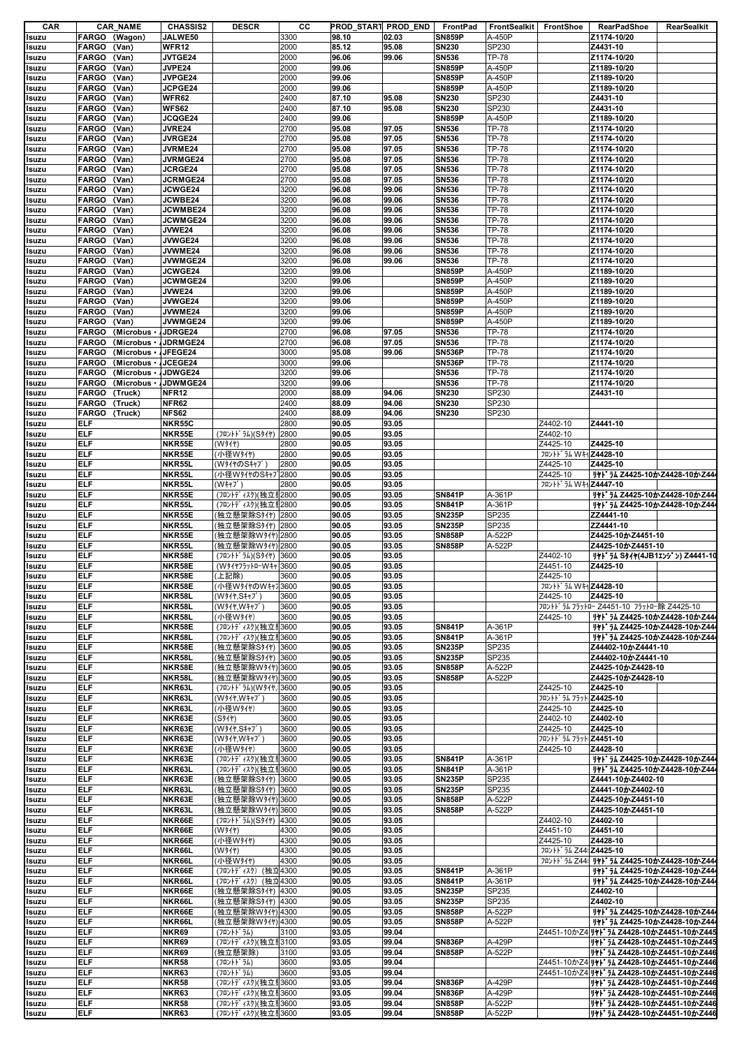| CAR   |               | <b>CAR_NAME</b>     | <b>CHASSIS2</b>   | <b>DESCR</b>          | cс   |       | PROD START PROD END | FrontPad      | <b>FrontSealkit</b> | FrontShoe                           | <b>RearPadShoe</b>                              | RearSealkit |
|-------|---------------|---------------------|-------------------|-----------------------|------|-------|---------------------|---------------|---------------------|-------------------------------------|-------------------------------------------------|-------------|
| Isuzu | FARGO (Wagon) |                     | JALWE50           |                       | 3300 | 98.10 | 02.03               | <b>SN859P</b> | A-450P              |                                     | Z1174-10/20                                     |             |
| Isuzu | FARGO (Van)   |                     | WFR12             |                       | 2000 | 85.12 | 95.08               | <b>SN230</b>  | SP230               |                                     | Z4431-10                                        |             |
| Isuzu | <b>FARGO</b>  | (Van)               | JVTGE24           |                       | 2000 | 96.06 | 99.06               | <b>SN536</b>  | TP-78               |                                     | Z1174-10/20                                     |             |
| Isuzu | <b>FARGO</b>  | (Van)               | JVPE24            |                       | 2000 | 99.06 |                     | <b>SN859P</b> | A-450P              |                                     | Z1189-10/20                                     |             |
|       | FARGO (Van)   |                     | <b>JVPGE24</b>    |                       | 2000 | 99.06 |                     | <b>SN859P</b> | A-450P              |                                     | Z1189-10/20                                     |             |
| Isuzu |               |                     |                   |                       |      |       |                     |               |                     |                                     |                                                 |             |
| Isuzu | <b>FARGO</b>  | (Van)               | JCPGE24           |                       | 2000 | 99.06 |                     | <b>SN859P</b> | A-450P              |                                     | Z1189-10/20                                     |             |
| Isuzu | <b>FARGO</b>  | (Van)               | <b>WFR62</b>      |                       | 2400 | 87.10 | 95.08               | <b>SN230</b>  | SP230               |                                     | Z4431-10                                        |             |
| Isuzu | <b>FARGO</b>  | (Van)               | <b>WFS62</b>      |                       | 2400 | 87.10 | 95.08               | <b>SN230</b>  | SP230               |                                     | Z4431-10                                        |             |
| Isuzu | <b>FARGO</b>  | (Van)               | <b>JCQGE24</b>    |                       | 2400 | 99.06 |                     | <b>SN859P</b> | A-450P              |                                     | Z1189-10/20                                     |             |
| Isuzu | <b>FARGO</b>  | (Van)               | <b>JVRE24</b>     |                       | 2700 | 95.08 | 97.05               | <b>SN536</b>  | TP-78               |                                     | Z1174-10/20                                     |             |
| Isuzu | <b>FARGO</b>  | (Van)               | <b>JVRGE24</b>    |                       | 2700 | 95.08 | 97.05               | <b>SN536</b>  | <b>TP-78</b>        |                                     | Z1174-10/20                                     |             |
| Isuzu | <b>FARGO</b>  | (Van)               | <b>JVRME24</b>    |                       | 2700 | 95.08 | 97.05               | <b>SN536</b>  | <b>TP-78</b>        |                                     | Z1174-10/20                                     |             |
| Isuzu | <b>FARGO</b>  | (Van)               | <b>JVRMGE24</b>   |                       | 2700 | 95.08 | 97.05               | <b>SN536</b>  | <b>TP-78</b>        |                                     | Z1174-10/20                                     |             |
| Isuzu | FARGO (Van)   |                     | <b>JCRGE24</b>    |                       | 2700 | 95.08 | 97.05               | <b>SN536</b>  | TP-78               |                                     | Z1174-10/20                                     |             |
| Isuzu | <b>FARGO</b>  | (Van)               | <b>JCRMGE24</b>   |                       | 2700 | 95.08 | 97.05               | <b>SN536</b>  | <b>TP-78</b>        |                                     | Z1174-10/20                                     |             |
| Isuzu | <b>FARGO</b>  | (Van)               | <b>JCWGE24</b>    |                       | 3200 | 96.08 | 99.06               | <b>SN536</b>  | <b>TP-78</b>        |                                     | Z1174-10/20                                     |             |
|       | FARGO (Van)   |                     | <b>JCWBE24</b>    |                       | 3200 | 96.08 | 99.06               | <b>SN536</b>  | <b>TP-78</b>        |                                     | Z1174-10/20                                     |             |
| Isuzu |               |                     |                   |                       |      |       |                     |               |                     |                                     |                                                 |             |
| Isuzu | <b>FARGO</b>  | (Van)               | <b>JCWMBE24</b>   |                       | 3200 | 96.08 | 99.06               | <b>SN536</b>  | <b>TP-78</b>        |                                     | Z1174-10/20                                     |             |
| Isuzu | <b>FARGO</b>  | (Van)               | <b>JCWMGE24</b>   |                       | 3200 | 96.08 | 99.06               | <b>SN536</b>  | <b>TP-78</b>        |                                     | Z1174-10/20                                     |             |
| Isuzu | <b>FARGO</b>  | (Van)               | JVWE24            |                       | 3200 | 96.08 | 99.06               | <b>SN536</b>  | <b>TP-78</b>        |                                     | Z1174-10/20                                     |             |
| Isuzu | <b>FARGO</b>  | (Van)               | <b>JVWGE24</b>    |                       | 3200 | 96.08 | 99.06               | <b>SN536</b>  | <b>TP-78</b>        |                                     | Z1174-10/20                                     |             |
| Isuzu | FARGO (Van)   |                     | JVWME24           |                       | 3200 | 96.08 | 99.06               | <b>SN536</b>  | <b>TP-78</b>        |                                     | Z1174-10/20                                     |             |
| Isuzu | <b>FARGO</b>  | (Van)               | <b>JVWMGE24</b>   |                       | 3200 | 96.08 | 99.06               | <b>SN536</b>  | <b>TP-78</b>        |                                     | Z1174-10/20                                     |             |
| Isuzu | <b>FARGO</b>  | (Van)               | <b>JCWGE24</b>    |                       | 3200 | 99.06 |                     | <b>SN859P</b> | A-450P              |                                     | Z1189-10/20                                     |             |
| Isuzu | <b>FARGO</b>  | (Van)               | <b>JCWMGE24</b>   |                       | 3200 | 99.06 |                     | <b>SN859P</b> | A-450P              |                                     | Z1189-10/20                                     |             |
| Isuzu | <b>FARGO</b>  | (Van)               | <b>JVWE24</b>     |                       | 3200 | 99.06 |                     | <b>SN859P</b> | A-450P              |                                     | Z1189-10/20                                     |             |
| Isuzu | <b>FARGO</b>  | (Van)               | <b>JVWGE24</b>    |                       | 3200 | 99.06 |                     | <b>SN859P</b> | A-450P              |                                     | Z1189-10/20                                     |             |
| Isuzu | <b>FARGO</b>  | (Van)               | JVWME24           |                       | 3200 | 99.06 |                     | <b>SN859P</b> | A-450P              |                                     | Z1189-10/20                                     |             |
| Isuzu | <b>FARGO</b>  | (Van)               | <b>JVWMGE24</b>   |                       | 3200 | 99.06 |                     | <b>SN859P</b> | A-450P              |                                     | Z1189-10/20                                     |             |
| Isuzu | <b>FARGO</b>  | (Microbus JDRGE24   |                   |                       | 2700 | 96.08 | 97.05               | <b>SN536</b>  | <b>TP-78</b>        |                                     | Z1174-10/20                                     |             |
| Isuzu | <b>FARGO</b>  | (Microbus JDRMGE24  |                   |                       | 2700 | 96.08 | 97.05               | <b>SN536</b>  | <b>TP-78</b>        |                                     | Z1174-10/20                                     |             |
|       | <b>FARGO</b>  | (Microbus · JFEGE24 |                   |                       | 3000 | 95.08 | 99.06               | <b>SN536P</b> | <b>TP-78</b>        |                                     | Z1174-10/20                                     |             |
| Isuzu |               |                     |                   |                       |      |       |                     |               |                     |                                     |                                                 |             |
| Isuzu | <b>FARGO</b>  | (Microbus JCEGE24   |                   |                       | 3000 | 99.06 |                     | <b>SN536P</b> | <b>TP-78</b>        |                                     | Z1174-10/20                                     |             |
| Isuzu | <b>FARGO</b>  | (Microbus           | JDWGE24           |                       | 3200 | 99.06 |                     | <b>SN536</b>  | TP-78               |                                     | Z1174-10/20                                     |             |
| Isuzu | <b>FARGO</b>  | (Microbus -         | JDWMGE24          |                       | 3200 | 99.06 |                     | <b>SN536</b>  | <b>TP-78</b>        |                                     | Z1174-10/20                                     |             |
| Isuzu | FARGO (Truck) |                     | NFR <sub>12</sub> |                       | 2000 | 88.09 | 94.06               | <b>SN230</b>  | SP230               |                                     | Z4431-10                                        |             |
| Isuzu | FARGO (Truck) |                     | NFR62             |                       | 2400 | 88.09 | 94.06               | <b>SN230</b>  | SP230               |                                     |                                                 |             |
| Isuzu | FARGO (Truck) |                     | <b>NFS62</b>      |                       | 2400 | 88.09 | 94.06               | <b>SN230</b>  | SP230               |                                     |                                                 |             |
| Isuzu | <b>ELF</b>    |                     | <b>NKR55C</b>     |                       | 2800 | 90.05 | 93.05               |               |                     | Z4402-10                            | Z4441-10                                        |             |
| Isuzu | <b>ELF</b>    |                     | NKR55E            | (フロントドラム)(Sタイヤ) 2800  |      | 90.05 | 93.05               |               |                     | Z4402-10                            |                                                 |             |
| Isuzu | <b>ELF</b>    |                     | NKR55E            | (W31+)                | 2800 | 90.05 | 93.05               |               |                     | Z4425-10                            | Z4425-10                                        |             |
| Isuzu | <b>ELF</b>    |                     | NKR55E            | (小径W好付)               | 2800 | 90.05 | 93.05               |               |                     | フロントト ラム Wキャ Z4428-10               |                                                 |             |
| Isuzu | <b>ELF</b>    |                     | NKR55L            | (WタイヤのSキャブ            | 2800 | 90.05 | 93.05               |               |                     | Z4425-10                            | Z4425-10                                        |             |
|       | <b>ELF</b>    |                     | NKR55L            | (小径WタイヤのSキャプ2800      |      | 90.05 | 93.05               |               |                     | Z4425-10                            | リヤドラム Z4425-10かZ4428-10かZ44                     |             |
| Isuzu | <b>ELF</b>    |                     |                   |                       | 2800 |       |                     |               |                     |                                     |                                                 |             |
| Isuzu |               |                     | NKR55L            | (W‡†J゛)               |      | 90.05 | 93.05               |               |                     | フロントト <sup>*</sup> ラム WキャZ4447-10   |                                                 |             |
| Isuzu | <b>ELF</b>    |                     | NKR55E            | (フロントディスク)(独立リ2800    |      | 90.05 | 93.05               | <b>SN841P</b> | A-361P              |                                     | リヤドラム Z4425-10かZ4428-10かZ44                     |             |
| Isuzu | <b>ELF</b>    |                     | NKR55L            | (フロントディスク)(独立リ2800    |      | 90.05 | 93.05               | <b>SN841P</b> | A-361P              |                                     | ዛተኑ' 54 Z4425-10かZ4428-10かZ44                   |             |
| Isuzu | <b>ELF</b>    |                     | NKR55E            | (独立懸架除Sタイヤ) 2800      |      | 90.05 | 93.05               | <b>SN235P</b> | SP235               |                                     | ZZ4441-10                                       |             |
| Isuzu | <b>ELF</b>    |                     | NKR55L            | (独立懸架除Sタイヤ)  2800     |      | 90.05 | 93.05               | <b>SN235P</b> | SP235               |                                     | ZZ4441-10                                       |             |
| Isuzu | <b>ELF</b>    |                     | NKR55E            | (独立懸架除Wタイヤ) 2800      |      | 90.05 | 93.05               | <b>SN858P</b> | A-522P              |                                     | Z4425-10かZ4451-10                               |             |
| Isuzu | <b>ELF</b>    |                     | NKR55L            | (独立懸架除Wタイヤ) 2800      |      | 90.05 | 93.05               | <b>SN858P</b> | A-522P              |                                     | Z4425-10かZ4451-10                               |             |
| Isuzu | <b>ELF</b>    |                     | NKR58E            | (フロントドラム)(Sタイヤ)       | 3600 | 90.05 | 93.05               |               |                     | Z4402-10                            | リヤドラム Sタイヤ(4JB1エンジン) Z4441-10                   |             |
| Isuzu | <b>ELF</b>    |                     | NKR58E            | (W91175">10-W++       | 3600 | 90.05 | 93.05               |               |                     | Z4451-10                            | Z4425-10                                        |             |
| Isuzu | <b>ELF</b>    |                     | NKR58E            | (上記除)                 | 3600 | 90.05 | 93.05               |               |                     | Z4425-10                            |                                                 |             |
|       | ELF           |                     |                   | (小径WタイヤのWキャフ3600      |      | 90.05 | 93.05               |               |                     | フロントト ラム WキャZ4428-10                |                                                 |             |
| Isuzu |               |                     | NKR58E            |                       |      |       |                     |               |                     | Z4425-10                            |                                                 |             |
| Isuzu | ELF           |                     | NKR58L            | (W917, S++7')         | 3600 | 90.05 | 93.05               |               |                     |                                     | Z4425-10                                        |             |
| Isuzu | <b>ELF</b>    |                     | NKR58L            | (W911.W++7')          | 3600 | 90.05 | 93.05               |               |                     |                                     | フロントドラム フラットロー Z4451-10 フラットロー除 Z4425-10        |             |
| Isuzu | <b>ELF</b>    |                     | NKR58L            | (小径W好)                | 3600 | 90.05 | 93.05               |               |                     | Z4425-10                            | Jትኑ՝ ラム Z4425-10かZ4428-10かZ44                   |             |
| Isuzu | <b>ELF</b>    |                     | NKR58E            | (フロントディスク)(独立リ3600    |      | 90.05 | 93.05               | <b>SN841P</b> | A-361P              |                                     | リヤドラム Z4425-10かZ4428-10かZ44                     |             |
| Isuzu | <b>ELF</b>    |                     | NKR58L            | (フロントディスク)(独立リ3600    |      | 90.05 | 93.05               | <b>SN841P</b> | A-361P              |                                     | リヤドラム Z4425-10かZ4428-10かZ444                    |             |
| Isuzu | <b>ELF</b>    |                     | NKR58E            | (独立懸架除Sタイヤ) 3600      |      | 90.05 | 93.05               | <b>SN235P</b> | SP235               |                                     | Z44402-10かZ4441-10                              |             |
| Isuzu | <b>ELF</b>    |                     | NKR58L            | (独立懸架除Sタイヤ) 3600      |      | 90.05 | 93.05               | <b>SN235P</b> | SP235               |                                     | Z44402-10かZ4441-10                              |             |
| Isuzu | <b>ELF</b>    |                     | NKR58E            | (独立懸架除W * / 1) 3600   |      | 90.05 | 93.05               | <b>SN858P</b> | A-522P              |                                     | Z4425-10かZ4428-10                               |             |
| Isuzu | <b>ELF</b>    |                     | NKR58L            | (独立懸架除Wタイヤ) 3600      |      | 90.05 | 93.05               | <b>SN858P</b> | A-522P              |                                     | Z4425-10かZ4428-10                               |             |
| Isuzu | <b>ELF</b>    |                     | NKR63L            | (フロントト うム)(Wタイヤ, 3600 |      | 90.05 | 93.05               |               |                     | Z4425-10                            | Z4425-10                                        |             |
| Isuzu | <b>ELF</b>    |                     | NKR63L            | (W911, W++7')         | 3600 | 90.05 | 93.05               |               |                     | フロントト <sup>*</sup> ラム フラット Z4425-10 |                                                 |             |
| Isuzu | <b>ELF</b>    |                     | NKR63L            | (小径W好(*)              | 3600 | 90.05 | 93.05               |               |                     | Z4425-10                            | Z4425-10                                        |             |
| Isuzu | <b>ELF</b>    |                     | NKR63E            | (S3/1)                | 3600 | 90.05 | 93.05               |               |                     | Z4402-10                            | Z4402-10                                        |             |
| Isuzu | <b>ELF</b>    |                     | NKR63E            | (W911.S++7')          | 3600 | 90.05 | 93.05               |               |                     | Z4425-10                            | Z4425-10                                        |             |
|       | <b>ELF</b>    |                     | NKR63E            | (W911.W++7')          | 3600 | 90.05 | 93.05               |               |                     | フロントト <sup>*</sup> ラム フラット Z4451-10 |                                                 |             |
| Isuzu | <b>ELF</b>    |                     |                   |                       | 3600 | 90.05 | 93.05               |               |                     | Z4425-10                            |                                                 |             |
| Isuzu |               |                     | NKR63E            | (小径W好(*)              |      |       |                     |               |                     |                                     | Z4428-10                                        |             |
| Isuzu | <b>ELF</b>    |                     | NKR63E            | (フロントディスク)(独立リ3600    |      | 90.05 | 93.05               | <b>SN841P</b> | A-361P              |                                     | リヤドラム Z4425-10かZ4428-10かZ44                     |             |
| Isuzu | <b>ELF</b>    |                     | NKR63L            | (フロントディスク)(独立リ3600    |      | 90.05 | 93.05               | <b>SN841P</b> | A-361P              |                                     | リヤドラム Z4425-10かZ4428-10かZ44                     |             |
| Isuzu | <b>ELF</b>    |                     | NKR63E            | (独立懸架除Sタイヤ) 3600      |      | 90.05 | 93.05               | <b>SN235P</b> | SP235               |                                     | Z4441-10かZ4402-10                               |             |
| Isuzu | <b>ELF</b>    |                     | NKR63L            | (独立懸架除Sタイヤ) 3600      |      | 90.05 | 93.05               | <b>SN235P</b> | SP235               |                                     | Z4441-10かZ4402-10                               |             |
| Isuzu | <b>ELF</b>    |                     | NKR63E            | (独立懸架除Wタイヤ) 3600      |      | 90.05 | 93.05               | <b>SN858P</b> | A-522P              |                                     | Z4425-10かZ4451-10                               |             |
| Isuzu | <b>ELF</b>    |                     | NKR63L            | (独立懸架除Wタイヤ) 3600      |      | 90.05 | 93.05               | <b>SN858P</b> | A-522P              |                                     | Z4425-10かZ4451-10                               |             |
| Isuzu | <b>ELF</b>    |                     | NKR66E            | (フロントドラム)(Sタイヤ) 4300  |      | 90.05 | 93.05               |               |                     | Z4402-10                            | Z4402-10                                        |             |
| Isuzu | <b>ELF</b>    |                     | NKR66E            | (W31t)                | 4300 | 90.05 | 93.05               |               |                     | Z4451-10                            | Z4451-10                                        |             |
| Isuzu | <b>ELF</b>    |                     | NKR66E            | (小径Wタイヤ)              | 4300 | 90.05 | 93.05               |               |                     | Z4425-10                            | Z4428-10                                        |             |
| Isuzu | <b>ELF</b>    |                     | NKR66L            | (W31)                 | 4300 | 90.05 | 93.05               |               |                     | フロントト ラム Z444Z4425-10               |                                                 |             |
| Isuzu | <b>ELF</b>    |                     | NKR66L            | (小径W好)                | 4300 | 90.05 | 93.05               |               |                     |                                     | フロントドラム Z44! リヤドラム Z4425-10かZ4428-10かZ44        |             |
| Isuzu | <b>ELF</b>    |                     | NKR66E            | (フロントディスク) (独立4300    |      | 90.05 | 93.05               | <b>SN841P</b> | A-361P              |                                     | リヤドラム Z4425-10かZ4428-10かZ44                     |             |
| Isuzu | <b>ELF</b>    |                     | NKR66L            | (フロントディスク) (独立4300    |      | 90.05 | 93.05               | <b>SN841P</b> | A-361P              |                                     | リヤドラム Z4425-10かZ4428-10かZ44                     |             |
| Isuzu | <b>ELF</b>    |                     | NKR66E            | (独立懸架除Sタイヤ)  4300     |      | 90.05 | 93.05               | <b>SN235P</b> | SP235               |                                     | Z4402-10                                        |             |
| Isuzu | <b>ELF</b>    |                     | NKR66L            | (独立懸架除Sタイヤ) 4300      |      | 90.05 | 93.05               | <b>SN235P</b> | SP235               |                                     | Z4402-10                                        |             |
|       |               |                     |                   |                       |      |       |                     |               |                     |                                     |                                                 |             |
| Isuzu | <b>ELF</b>    |                     | NKR66E            | (独立懸架除Wタイヤ) 4300      |      | 90.05 | 93.05               | <b>SN858P</b> | A-522P              |                                     | リヤドラム Z4425-10かZ4428-10かZ44                     |             |
| Isuzu | <b>ELF</b>    |                     | NKR66L            | (独立懸架除Wタイヤ) 4300      |      | 90.05 | 93.05               | <b>SN858P</b> | A-522P              |                                     | リヤドラム Z4425-10かZ4428-10かZ44                     |             |
| Isuzu | <b>ELF</b>    |                     | <b>NKR69</b>      | (フロントト・ラム)            | 3100 | 93.05 | 99.04               |               |                     |                                     | Z4451-10かZ4 リャト・ラム Z4428-10かZ4451-10かZ445       |             |
| Isuzu | <b>ELF</b>    |                     | <b>NKR69</b>      | (フロントディスク)(独立リ3100    |      | 93.05 | 99.04               | <b>SN836P</b> | A-429P              |                                     | リヤドラム Z4428-10かZ4451-10かZ445                    |             |
| Isuzu | <b>ELF</b>    |                     | NKR69             | (独立懸架除)               | 3100 | 93.05 | 99.04               | <b>SN858P</b> | A-522P              |                                     | リヤドラム Z4428-10かZ4451-10かZ446                    |             |
| Isuzu | <b>ELF</b>    |                     | <b>NKR58</b>      | (フロントドラム)             | 3600 | 93.05 | 99.04               |               |                     |                                     | Z4451-10かZ4 リヤト うん Z4428-10かZ4451-10かZ446       |             |
| Isuzu | <b>ELF</b>    |                     | <b>NKR63</b>      | (フロントト゛ラム)            | 3600 | 93.05 | 99.04               |               |                     |                                     | Z4451-10かZ4 <b>リヤドラム Z4428-10かZ4451-10かZ446</b> |             |
| Isuzu | <b>ELF</b>    |                     | <b>NKR58</b>      | (フロントディスク)(独立リ3600    |      | 93.05 | 99.04               | <b>SN836P</b> | A-429P              |                                     | リヤドラム Z4428-10かZ4451-10かZ446                    |             |
| Isuzu | <b>ELF</b>    |                     | <b>NKR63</b>      | (フロントディスク)(独立リ3600    |      | 93.05 | 99.04               | <b>SN836P</b> | A-429P              |                                     | リヤドラム Z4428-10かZ4451-10かZ446                    |             |
| Isuzu | <b>ELF</b>    |                     | <b>NKR58</b>      | (フロントディスク)(独立リ3600    |      | 93.05 | 99.04               | <b>SN858P</b> | A-522P              |                                     | リヤドラム Z4428-10かZ4451-10かZ446                    |             |
| Isuzu | <b>ELF</b>    |                     | <b>NKR63</b>      | (フロントディスク)(独立リ3600    |      | 93.05 | 99.04               | <b>SN858P</b> | A-522P              |                                     | Jヤドラム Z4428-10かZ4451-10かZ446                    |             |
|       |               |                     |                   |                       |      |       |                     |               |                     |                                     |                                                 |             |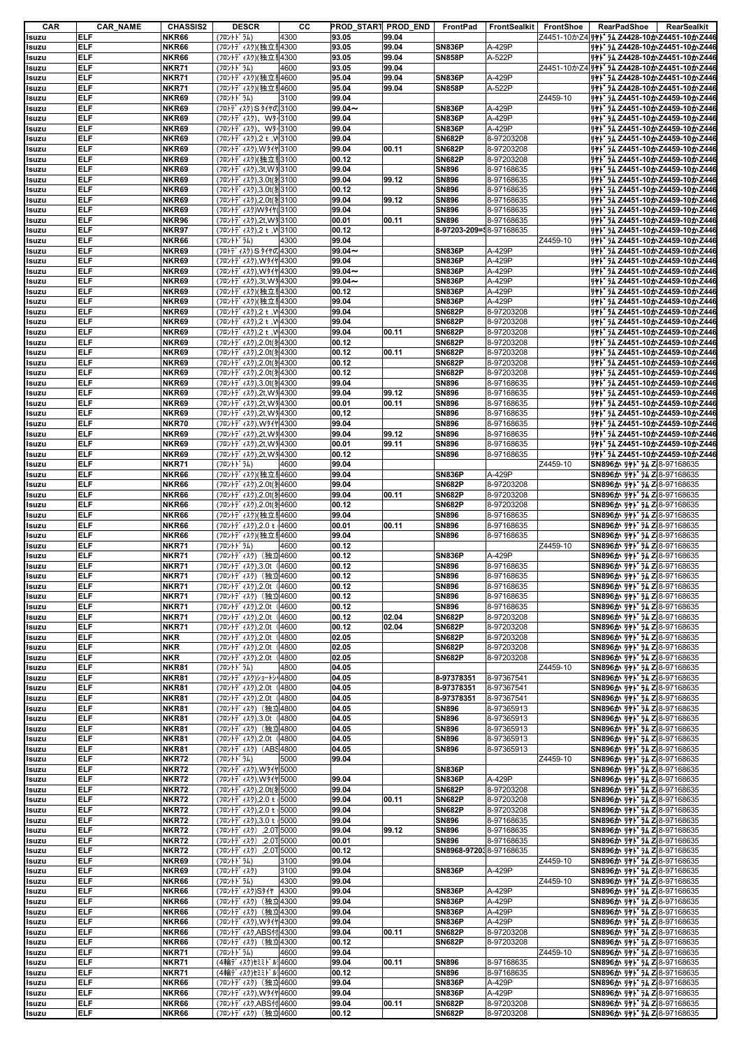| CAR            | <b>CAR_NAME</b>          | <b>CHASSIS2</b>              | <b>DESCR</b>                                        | cс   |                | PROD START PROD END | FrontPad                       | FrontSealkit         | FrontShoe | <b>RearPadShoe</b><br>RearSealkit                             |
|----------------|--------------------------|------------------------------|-----------------------------------------------------|------|----------------|---------------------|--------------------------------|----------------------|-----------|---------------------------------------------------------------|
| Isuzu          | <b>ELF</b>               | <b>NKR66</b>                 | (フロントト ラム)                                          | 4300 | 93.05          | 99.04               |                                |                      |           | Z4451-10かZ4 JII 74 Z4428-10かZ4451-10かZ446                     |
| Isuzu          | ELF                      | <b>NKR66</b>                 | (フロントディスク)(独立リ4300                                  |      | 93.05          | 99.04               | <b>SN836P</b>                  | A-429P               |           | リヤドラム Z4428-10かZ4451-10かZ446                                  |
| Isuzu          | ELF                      | <b>NKR66</b>                 | (フロントディスク)(独立リ4300                                  |      | 93.05          | 99.04               | <b>SN858P</b>                  | A-522P               |           | リヤドラム Z4428-10かZ4451-10かZ446                                  |
| Isuzu          | ELF                      | <b>NKR71</b>                 | (フロントト゛ラム)                                          | 4600 | 93.05          | 99.04               |                                |                      |           | Z4451-10かZ4 JII JA Z4428-10かZ4451-10かZ446                     |
| Isuzu          | ELF                      | <b>NKR71</b>                 | (フロントディスク)(独立サ4600                                  |      | 95.04          | 99.04               | <b>SN836P</b>                  | A-429P               |           | リヤドラム Z4428-10かZ4451-10かZ446                                  |
| Isuzu          | ELF                      | <b>NKR71</b>                 | (フロントディスク)(独立サ4600                                  |      | 95.04          | 99.04               | <b>SN858P</b>                  | A-522P               |           | リャト ラム Z4428-10かZ4451-10かZ446                                 |
| Isuzu          | ELF                      | <b>NKR69</b>                 | (フロントト゛ラム)                                          | 3100 | 99.04          |                     |                                |                      | Z4459-10  | リヤドラム Z4451-10かZ4459-10かZ446                                  |
| Isuzu          | <b>ELF</b>               | <b>NKR69</b>                 | (フロトディスク) S タイヤの3100                                |      | $99.04 -$      |                     | <b>SN836P</b>                  | A-429P               |           | リヤドラム Z4451-10かZ4459-10かZ446                                  |
| Isuzu          | <b>ELF</b>               | <b>NKR69</b>                 | (フロントデ ィスク)、Wタイ3100                                 |      | 99.04          |                     | <b>SN836P</b>                  | A-429P               |           | リヤドラム Z4451-10かZ4459-10かZ446                                  |
| Isuzu          | ELF                      | NKR69                        | (フロントデ ィスク)、Wター3100                                 |      | 99.04          |                     | <b>SN836P</b>                  | A-429P               |           | リヤドラム Z4451-10かZ4459-10かZ446                                  |
| Isuzu          | <b>ELF</b>               | <b>NKR69</b>                 | (フロントデ ィスク), 2 t, M 3100                            |      | 99.04          |                     | <b>SN682P</b>                  | 8-97203208           |           | リヤドラム Z4451-10かZ4459-10かZ446                                  |
| Isuzu          | <b>ELF</b>               | <b>NKR69</b>                 | (フロントディスク),Wタイヤ3100                                 |      | 99.04          | 00.11               | <b>SN682P</b>                  | 8-97203208           |           | リヤドラム Z4451-10かZ4459-10かZ446                                  |
| Isuzu          | ELF                      | <b>NKR69</b>                 | (フロントディスク)(独立リ3100                                  |      | 00.12          |                     | <b>SN682P</b>                  | 8-97203208           |           | ዛተኑ* 54 Z4451-10かZ4459-10かZ446                                |
| Isuzu          | <b>ELF</b>               | <b>NKR69</b>                 | (フロントデ ィスク), 3t, W 9 3100                           |      | 99.04          |                     | <b>SN896</b>                   | 8-97168635           |           | リヤドラム Z4451-10かZ4459-10かZ446                                  |
| Isuzu          | ELF                      | <b>NKR69</b>                 | (フロントディスク),3.0t(犯3100                               |      | 99.04          | 99.12               | <b>SN896</b>                   | 8-97168635           |           | リヤドラム Z4451-10かZ4459-10かZ446                                  |
| Isuzu          | ELF                      | <b>NKR69</b>                 | (フロントディスク),3.0t(犯3100                               |      | 00.12          |                     | <b>SN896</b>                   | 8-97168635           |           | リヤドラム Z4451-10かZ4459-10かZ446                                  |
| Isuzu          | <b>ELF</b>               | NKR69                        | (フロントデ ィスク), 2.0t(3 3100                            |      | 99.04          | 99.12               | <b>SN896</b>                   | 8-97168635           |           | リヤドラム Z4451-10かZ4459-10かZ446                                  |
| Isuzu          | ELF                      | <b>NKR69</b>                 | (フロントディスク)Wタイヤ(3100                                 |      | 99.04          |                     | <b>SN896</b>                   | 8-97168635           |           | リヤドラム Z4451-10かZ4459-10かZ446                                  |
| Isuzu          | <b>ELF</b>               | <b>NKR96</b>                 | (フロントデ ィスク), 2t, W 93100                            |      | 00.01          | 00.11               | <b>SN896</b>                   | 8-97168635           |           | リヤドラム Z4451-10かZ4459-10かZ446                                  |
| Isuzu          | ELF                      | <b>NKR97</b>                 | (フロントデ ィスク),2 t, VI3100                             |      | 00.12          |                     | 8-97203-209=18-97168635        |                      |           | リヤドラム Z4451-10かZ4459-10かZ446                                  |
| Isuzu          | ELF                      | <b>NKR66</b>                 | (フロントト゛ラム)                                          | 4300 | 99.04          |                     |                                |                      | Z4459-10  | リヤドラム Z4451-10かZ4459-10かZ446                                  |
| Isuzu          | ELF                      | <b>NKR69</b>                 | (フロトディスク) S タイヤの4300                                |      | $99.04 -$      |                     | <b>SN836P</b>                  | A-429P               |           | リャト ラム Z4451-10かZ4459-10かZ446                                 |
| Isuzu          | <b>ELF</b>               | <b>NKR69</b>                 | (フロントデ ィスク), Wタイヤ 4300                              |      | 99.04          |                     | <b>SN836P</b>                  | A-429P               |           | リヤドラム Z4451-10かZ4459-10かZ446                                  |
| Isuzu          | ELF                      | <b>NKR69</b>                 | (フロントディスク),Wタイヤ4300                                 |      | $99.04 -$      |                     | <b>SN836P</b>                  | A-429P               |           | リヤドラム Z4451-10かZ4459-10かZ446                                  |
| Isuzu          | ELF                      | <b>NKR69</b>                 | (フロントデ ィスク), 3t, W 94300                            |      | $99.04 -$      |                     | <b>SN836P</b>                  | A-429P               |           | リヤドラム Z4451-10かZ4459-10かZ446                                  |
| Isuzu          | <b>ELF</b>               | <b>NKR69</b>                 | (フロントディスク)(独立リ4300                                  |      | 00.12          |                     | <b>SN836P</b>                  | A-429P               |           | リヤドラム Z4451-10かZ4459-10かZ446<br>リャト うん Z4451-10かZ4459-10かZ446 |
| Isuzu          | ELF<br>ELF               | <b>NKR69</b><br><b>NKR69</b> | (フロントディスク)(独立リ4300                                  |      | 99.04          |                     | <b>SN836P</b>                  | A-429P<br>8-97203208 |           |                                                               |
| Isuzu          | ELF                      | <b>NKR69</b>                 | (フロントデ ィスク), 2 t, VI4300<br>(フロントデ ィスク), 2 t, M4300 |      | 99.04<br>99.04 |                     | <b>SN682P</b><br><b>SN682P</b> | 8-97203208           |           | リヤドラム Z4451-10かZ4459-10かZ446                                  |
| Isuzu          | <b>ELF</b>               | <b>NKR69</b>                 | (フロントデ ィスク), 2 t, M4300                             |      | 99.04          | 00.11               | <b>SN682P</b>                  | 8-97203208           |           | リヤドラム Z4451-10かZ4459-10かZ446<br>リヤドラム Z4451-10かZ4459-10かZ446  |
| Isuzu<br>Isuzu | ELF                      | <b>NKR69</b>                 | (フロントデ ィスク), 2.0t(3 4300                            |      | 00.12          |                     | <b>SN682P</b>                  | 8-97203208           |           | リャト ラム Z4451-10かZ4459-10かZ446                                 |
|                | ELF                      | <b>NKR69</b>                 | (フロントデ ィスク), 2.0t(3! 4300                           |      | 00.12          | 00.11               | <b>SN682P</b>                  | 8-97203208           |           | リャト ラム Z4451-10かZ4459-10かZ446                                 |
| Isuzu<br>Isuzu | <b>ELF</b>               | <b>NKR69</b>                 | (フロントデ ィスク),2.0t(犯4300                              |      | 00.12          |                     | <b>SN682P</b>                  | 8-97203208           |           | リヤドラム Z4451-10かZ4459-10かZ446                                  |
| Isuzu          | ELF                      | <b>NKR69</b>                 | (フロントデ ィスク), 2.0t(3! 4300                           |      | 00.12          |                     | <b>SN682P</b>                  | 8-97203208           |           | リヤドラム Z4451-10かZ4459-10かZ446                                  |
| Isuzu          | ELF                      | NKR69                        | (フロントデ ィスク), 3.0t(3 4300                            |      | 99.04          |                     | <b>SN896</b>                   | 8-97168635           |           | リヤドラム Z4451-10かZ4459-10かZ446                                  |
| Isuzu          | ELF                      | <b>NKR69</b>                 | (フロントデ ィスク), 2t, W 94300                            |      | 99.04          | 99.12               | <b>SN896</b>                   | 8-97168635           |           | リヤドラム Z4451-10かZ4459-10かZ446                                  |
| Isuzu          | ELF                      | <b>NKR69</b>                 | (フロントデ ィスク), 2t, W9 4300                            |      | 00.01          | 00.11               | <b>SN896</b>                   | 8-97168635           |           | リヤドラム Z4451-10かZ4459-10かZ446                                  |
| Isuzu          | ELF                      | <b>NKR69</b>                 | (フロントテ ィスク), 2t, W 9 4300                           |      | 00,12          |                     | <b>SN896</b>                   | 8-97168635           |           | リヤドラム Z4451-10かZ4459-10かZ446                                  |
| Isuzu          | ELF                      | <b>NKR70</b>                 | (フロントディスク),Wタイヤ4300                                 |      | 99.04          |                     | <b>SN896</b>                   | 8-97168635           |           | リヤドラム Z4451-10かZ4459-10かZ446                                  |
| Isuzu          | ELF                      | <b>NKR69</b>                 | (フロントデ ィスク), 2t, W 94300                            |      | 99.04          | 99.12               | <b>SN896</b>                   | 8-97168635           |           | リヤドラム Z4451-10かZ4459-10かZ446                                  |
| Isuzu          | ELF                      | <b>NKR69</b>                 | (フロントデ ィスク), 2t, W 94300                            |      | 00.01          | 99.11               | <b>SN896</b>                   | 8-97168635           |           | リヤドラム Z4451-10かZ4459-10かZ446                                  |
| Isuzu          | <b>ELF</b>               | NKR69                        | (フロントデ ィスク), 2t, W 94300                            |      | 00.12          |                     | <b>SN896</b>                   | 8-97168635           |           | リヤドラム Z4451-10かZ4459-10かZ446                                  |
| Isuzu          | ELF                      | <b>NKR71</b>                 | (フロントト ラム)                                          | 4600 | 99.04          |                     |                                |                      | Z4459-10  | SN896か リヤドラム Z 8-97168635                                     |
| Isuzu          | ELF                      | <b>NKR66</b>                 | (フロントディスク)(独立 !4600                                 |      | 99.04          |                     | <b>SN836P</b>                  | A-429P               |           | SN896か リヤドラム Z 8-97168635                                     |
| Isuzu          | ELF                      | <b>NKR66</b>                 | (フロントデ ィスク),2.0t(犯4600                              |      | 99.04          |                     | <b>SN682P</b>                  | 8-97203208           |           | SN896か リヤドラム Z 8-97168635                                     |
| Isuzu          | ELF                      | <b>NKR66</b>                 | (フロントデ ィスク),2.0t(犯4600                              |      | 99.04          | 00.11               | <b>SN682P</b>                  | 8-97203208           |           | SN896か リヤドラム Z 8-97168635                                     |
| Isuzu          | ELF                      | <b>NKR66</b>                 | (フロントデ ィスク), 2.0t(3! 4600                           |      | 00.12          |                     | <b>SN682P</b>                  | 8-97203208           |           | SN896か リヤドラム Z 8-97168635                                     |
| Isuzu          | <b>ELF</b>               | <b>NKR66</b>                 | (フロントディスク)(独立リ4600                                  |      | 99.04          |                     | <b>SN896</b>                   | 8-97168635           |           | SN896か リヤト ラム Z 8-97168635                                    |
| Isuzu          | ELF                      | <b>NKR66</b>                 | (フロントデ ィスク), 2.0 t 4600                             |      | 00.01          | 00.11               | <b>SN896</b>                   | 8-97168635           |           | SN896か リヤドラム Z 8-97168635                                     |
| Isuzu          | ELF                      | <b>NKR66</b>                 | (フロントディスク)(独立リ4600                                  |      | 99.04          |                     | <b>SN896</b>                   | 8-97168635           |           | SN896か リヤドラム Z 8-97168635                                     |
| Isuzu          | <b>ELF</b>               | <b>NKR71</b>                 | (フロントドラム)                                           | 4600 | 00.12          |                     |                                |                      | Z4459-10  | SN896か リヤドラム Z 8-97168635                                     |
| Isuzu          | ELF                      | <b>NKR71</b>                 | (フロントディスク) (独立4600                                  |      | 00.12          |                     | <b>SN836P</b>                  | A-429P               |           | SN896か リヤドラム Z 8-97168635                                     |
| Isuzu          | <b>ELF</b>               | <b>NKR71</b>                 | (フロントデ ィスク),3.0t (4600                              |      | 00.12          |                     | <b>SN896</b>                   | 8-97168635           |           | SN896か リヤドラム Z 8-97168635                                     |
| Isuzu          | ELF                      | <b>NKR71</b>                 | (フロントディスク) (独立4600                                  |      | 00.12          |                     | <b>SN896</b>                   | 8-97168635           |           | SN896か リヤドラム Z 8-97168635                                     |
| Isuzu          | <b>ELF</b>               | <b>NKR71</b>                 | (フロントデ ィスク), 2.0t (4600                             |      | 00.12          |                     | <b>SN896</b>                   | 8-97168635           |           | SN896か リヤト ラム Z 8-97168635                                    |
| Isuzu          | <b>ELF</b>               | <b>NKR71</b>                 | (フロントディスク) (独立4600                                  |      | 00.12          |                     | <b>SN896</b>                   | 8-97168635           |           | SN896か リヤドラム Z 8-97168635                                     |
| Isuzu          | <b>ELF</b>               | <b>NKR71</b>                 | (フロントデ ィスク), 2.0t (4600                             |      | 00.12          |                     | <b>SN896</b>                   | 8-97168635           |           | SN896か リヤドラム Z 8-97168635                                     |
| Isuzu          | <b>ELF</b>               | <b>NKR71</b>                 | (フロントデ ィスク), 2.0t (4600                             |      | 00.12          | 02.04               | <b>SN682P</b>                  | 8-97203208           |           | SN896か リヤドラム Z 8-97168635                                     |
| Isuzu          | <b>ELF</b>               | <b>NKR71</b>                 | (フロントデ ィスク), 2.0t<br>(4600)                         |      | 00.12          | 02.04               | <b>SN682P</b>                  | 8-97203208           |           | SN896か リヤドラム Z 8-97168635                                     |
| Isuzu          | <b>ELF</b>               | <b>NKR</b>                   | (4800)<br>(フロントデ ィスク),2.0t                          |      | 02.05          |                     | <b>SN682P</b>                  | 8-97203208           |           | SN896か リヤドラム Z 8-97168635                                     |
| Isuzu          | <b>ELF</b>               | <b>NKR</b>                   | (フロントデ ィスク), 2.0t (4800                             |      | 02.05          |                     | <b>SN682P</b>                  | 8-97203208           |           | SN896か リヤト ラム Z 8-97168635                                    |
| Isuzu          | <b>ELF</b>               | <b>NKR</b>                   | (フロントデ ィスク), 2.0t (4800                             |      | 02.05          |                     | <b>SN682P</b>                  | 8-97203208           |           | SN896か リヤト ラム Z 8-97168635                                    |
| Isuzu          | ELF                      | <b>NKR81</b>                 | (フロントト・ラム)                                          | 4800 | 04.05          |                     |                                |                      | Z4459-10  | SN896か リヤドラム Z 8-97168635                                     |
| Isuzu          | <b>ELF</b>               | <b>NKR81</b>                 | (フロントデ ィスク)ショートシー4800                               |      | 04.05          |                     | 8-97378351                     | 8-97367541           |           | SN896か リヤドラム Z 8-97168635                                     |
| Isuzu          | <b>ELF</b>               | <b>NKR81</b>                 | (フロントデ ィスク), 2.0t (4800                             |      | 04.05          |                     | 8-97378351                     | 8-97367541           |           | SN896か リヤドラム Z 8-97168635                                     |
| Isuzu          | <b>ELF</b>               | <b>NKR81</b>                 | (フロントデ ィスク), 2.0t (4800                             |      | 04.05          |                     | 8-97378351                     | 8-97367541           |           | SN896か リヤト ラム Z 8-97168635                                    |
| Isuzu          | <b>ELF</b>               | <b>NKR81</b>                 | (フロントディスク) (独立4800                                  |      | 04.05          |                     | <b>SN896</b>                   | 8-97365913           |           | SN896か リヤドラム Z 8-97168635                                     |
| Isuzu          | <b>ELF</b>               | <b>NKR81</b>                 | (フロントデ ィスク), 3.0t (4800                             |      | 04.05          |                     | <b>SN896</b>                   | 8-97365913           |           | SN896か リャドラム Z 8-97168635                                     |
| Isuzu          | <b>ELF</b>               | <b>NKR81</b>                 | (フロントディスク) (独立4800                                  |      | 04.05          |                     | <b>SN896</b>                   | 8-97365913           |           | SN896か リヤドラム Z 8-97168635                                     |
| Isuzu          | <b>ELF</b><br><b>ELF</b> | <b>NKR81</b>                 | (フロントデ ィスク), 2.0t (4800<br>(フロントデ ィスク) (ABS 4800    |      | 04.05<br>04.05 |                     | <b>SN896</b><br><b>SN896</b>   | 8-97365913           |           | SN896か リヤドラム Z 8-97168635                                     |
| Isuzu          | <b>ELF</b>               | <b>NKR81</b>                 |                                                     |      | 99.04          |                     |                                | 8-97365913           | Z4459-10  | SN896か リヤドラム Z 8-97168635                                     |
| Isuzu          | <b>ELF</b>               | <b>NKR72</b><br><b>NKR72</b> | (フロントト゛ラム)<br>(フロントデ ィスク), Wタイヤ 5000                | 5000 |                |                     | <b>SN836P</b>                  |                      |           | SN896か リヤドラム Z 8-97168635<br>SN896か リャト ラム Z 8-97168635       |
| Isuzu<br>Isuzu | <b>ELF</b>               | <b>NKR72</b>                 | (フロントデ ィスク), Wタイヤ 5000                              |      | 99.04          |                     | <b>SN836P</b>                  | A-429P               |           | SN896か リヤドラム Z 8-97168635                                     |
| Isuzu          | <b>ELF</b>               | <b>NKR72</b>                 | (フロントデ ィスク), 2.0t(图 5000                            |      | 99.04          |                     | <b>SN682P</b>                  | 8-97203208           |           | SN896か リヤドラム Z 8-97168635                                     |
| Isuzu          | <b>ELF</b>               | <b>NKR72</b>                 | (フロントデ ィスク), 2.0 t 5000                             |      | 99.04          | 00.11               | <b>SN682P</b>                  | 8-97203208           |           | SN896か リヤドラム Z 8-97168635                                     |
| Isuzu          | <b>ELF</b>               | <b>NKR72</b>                 | (フロントデ ィスク), 2.0 t 5000                             |      | 99.04          |                     | <b>SN682P</b>                  | 8-97203208           |           | SN896か リヤドラム Z 8-97168635                                     |
| Isuzu          | <b>ELF</b>               | <b>NKR72</b>                 | (フロントデ ィスク), 3.0 t 5000                             |      | 99.04          |                     | <b>SN896</b>                   | 8-97168635           |           | SN896か リヤドラム Z 8-97168635                                     |
| Isuzu          | <b>ELF</b>               | <b>NKR72</b>                 | (フロントデ ィスク), 2.0T 5000                              |      | 99.04          | 99.12               | <b>SN896</b>                   | 8-97168635           |           | SN896か リヤドラム Z 8-97168635                                     |
| Isuzu          | <b>ELF</b>               | <b>NKR72</b>                 | (フロントデ ィスク), 2.0T 5000                              |      | 00.01          |                     | <b>SN896</b>                   | 8-97168635           |           | SN896か リトト・ラム Z 8-97168635                                    |
| Isuzu          | <b>ELF</b>               | <b>NKR72</b>                 | (フロントデ ィスク), 2.0T 5000                              |      | 00.12          |                     | SN8968-972038-97168635         |                      |           | SN896か リヤドラム Z 8-97168635                                     |
| Isuzu          | <b>ELF</b>               | <b>NKR69</b>                 | (フロントト・ラム)                                          | 3100 | 99.04          |                     |                                |                      | Z4459-10  | SN896か リヤドラム Z 8-97168635                                     |
| Isuzu          | <b>ELF</b>               | <b>NKR69</b>                 | (フロントデ ィスク)                                         | 3100 | 99.04          |                     | <b>SN836P</b>                  | A-429P               |           | SN896か リヤドラム Z 8-97168635                                     |
| Isuzu          | <b>ELF</b>               | <b>NKR66</b>                 | (フロントト゛ラム)                                          | 4300 | 99.04          |                     |                                |                      | Z4459-10  | SN896か リヤドラム Z 8-97168635                                     |
| Isuzu          | <b>ELF</b>               | <b>NKR66</b>                 | (フロントデ ィスク)Sタイヤ 4300                                |      | 99.04          |                     | <b>SN836P</b>                  | A-429P               |           | SN896か リヤドラム Z 8-97168635                                     |
| Isuzu          | <b>ELF</b>               | <b>NKR66</b>                 | (フロントディスク) (独立4300                                  |      | 99.04          |                     | <b>SN836P</b>                  | A-429P               |           | SN896か リヤドラム Z 8-97168635                                     |
| Isuzu          | <b>ELF</b>               | <b>NKR66</b>                 | (フロントディスク) (独立4300                                  |      | 99.04          |                     | <b>SN836P</b>                  | A-429P               |           | SN896か リヤドラム Z 8-97168635                                     |
| Isuzu          | <b>ELF</b>               | <b>NKR66</b>                 | (フロントディスク),Wタイヤ4300                                 |      | 99.04          |                     | <b>SN836P</b>                  | A-429P               |           | SN896か リヤドラム Z 8-97168635                                     |
| Isuzu          | <b>ELF</b>               | <b>NKR66</b>                 | (フロントディスク,ABS付4300                                  |      | 99.04          | 00.11               | <b>SN682P</b>                  | 8-97203208           |           | SN896か リヤドラム Z 8-97168635                                     |
| Isuzu          | ELF                      | <b>NKR66</b>                 | (フロントディスク) (独立4300                                  |      | 00.12          |                     | <b>SN682P</b>                  | 8-97203208           |           | SN896か リヤドラム Z 8-97168635                                     |
| Isuzu          | <b>ELF</b>               | <b>NKR71</b>                 | (フロントト゛ラム)                                          | 4600 | 99.04          |                     |                                |                      | Z4459-10  | SN896か リヤト ラム Z 8-97168635                                    |
| Isuzu          | <b>ELF</b>               | <b>NKR71</b>                 | (4輪ディスク)セミミドル!4600                                  |      | 99.04          | 00.11               | <b>SN896</b>                   | 8-97168635           |           | SN896か リヤドラム Z 8-97168635                                     |
| Isuzu          | <b>ELF</b>               | <b>NKR71</b>                 | (4輪ディスク)セミミドル!4600                                  |      | 00.12          |                     | <b>SN896</b>                   | 8-97168635           |           | SN896か リヤドラム Z 8-97168635                                     |
| Isuzu          | <b>ELF</b>               | NKR66                        | (フロントディスク) (独立4600                                  |      | 99.04          |                     | <b>SN836P</b>                  | A-429P               |           | SN896か リヤドラム Z 8-97168635                                     |
| Isuzu          | <b>ELF</b>               | <b>NKR66</b>                 | (フロントデ ィスク), Wタイヤ 4600                              |      | 99.04          |                     | <b>SN836P</b>                  | A-429P               |           | SN896か リヤドラム Z 8-97168635                                     |
| Isuzu          | <b>ELF</b>               | NKR66                        | (フロントディスク,ABS付4600                                  |      | 99.04          | 00.11               | <b>SN682P</b>                  | 8-97203208           |           | SN896か リヤドラム Z 8-97168635                                     |
| Isuzu          | <b>ELF</b>               | NKR66                        | (フロントディスク) (独立4600                                  |      | 00.12          |                     | <b>SN682P</b>                  | 8-97203208           |           | SN896か リヤドラム Z 8-97168635                                     |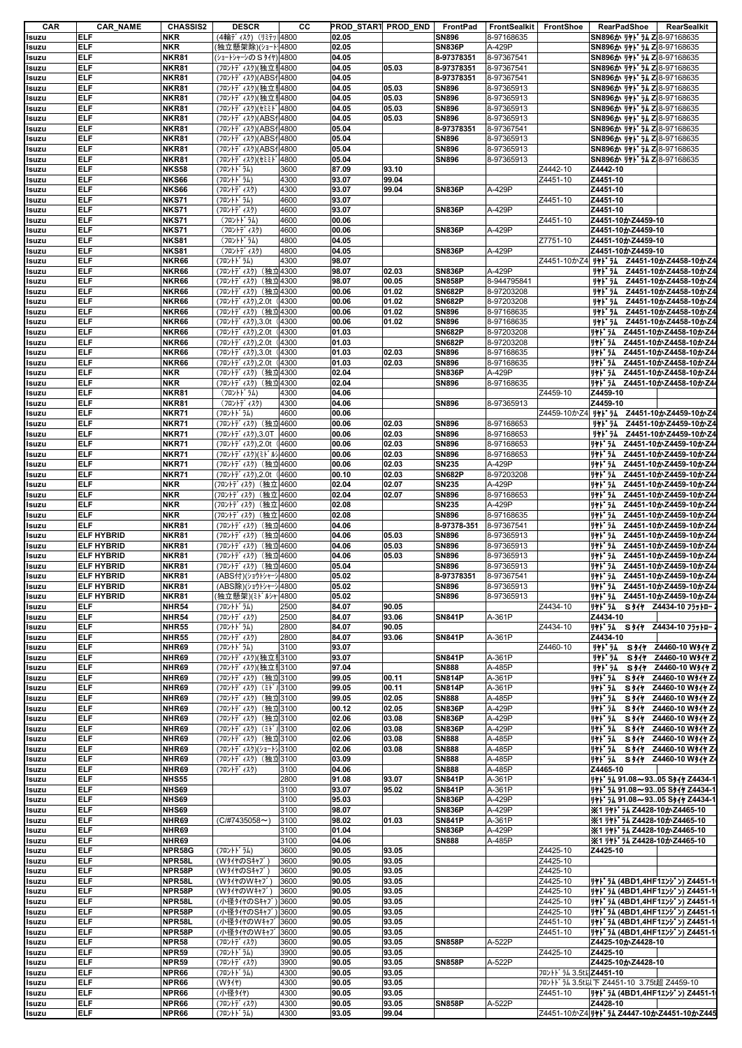| CAR                                                                                                                                                                                                         | <b>CAR_NAME</b>   | <b>CHASSIS2</b> | <b>DESCR</b>            | CС      | PROD_START PROD_END |       | FrontPad      | FrontSealkit | FrontShoe                           | <b>RearPadShoe</b><br>RearSealkit                                                                  |
|-------------------------------------------------------------------------------------------------------------------------------------------------------------------------------------------------------------|-------------------|-----------------|-------------------------|---------|---------------------|-------|---------------|--------------|-------------------------------------|----------------------------------------------------------------------------------------------------|
| Isuzu                                                                                                                                                                                                       | <b>ELF</b>        | <b>NKR</b>      | (4輪ディスク) (リミテッ  4800    |         | 02.05               |       | <b>SN896</b>  | 8-97168635   |                                     | SN896か リヤドラム Z 8-97168635                                                                          |
| Isuzu                                                                                                                                                                                                       | <b>ELF</b>        | <b>NKR</b>      | (独立懸架除)(ショート┆4800       |         | 02.05               |       | <b>SN836P</b> | A-429P       |                                     | SN896か リヤドラム Z 8-97168635                                                                          |
| Isuzu                                                                                                                                                                                                       | <b>ELF</b>        | <b>NKR81</b>    | (ショートシャーシのSタイヤ) 4800    |         | 04.05               |       | 8-97378351    | 8-97367541   |                                     | SN896か リヤドラム Z 8-97168635                                                                          |
| Isuzu                                                                                                                                                                                                       | <b>ELF</b>        | <b>NKR81</b>    | (フロントディスク)(独立リ4800      |         | 04.05               | 05.03 | 8-97378351    | 8-97367541   |                                     | SN896か リヤト ラム Z 8-97168635                                                                         |
|                                                                                                                                                                                                             | <b>ELF</b>        | NKR81           |                         |         | 04.05               |       | 8-97378351    |              |                                     | SN896か リヤドラム Z 8-97168635                                                                          |
| Isuzu                                                                                                                                                                                                       |                   |                 | (フロントディスク)(ABSf 4800    |         |                     |       |               | 8-97367541   |                                     |                                                                                                    |
| Isuzu                                                                                                                                                                                                       | <b>ELF</b>        | NKR81           | (フロントディスク)(独立リ4800      |         | 04.05               | 05.03 | <b>SN896</b>  | 8-97365913   |                                     | SN896か リヤドラム Z 8-97168635                                                                          |
| Isuzu                                                                                                                                                                                                       | <b>ELF</b>        | <b>NKR81</b>    | (フロントディスク)(独立リ4800      |         | 04.05               | 05.03 | <b>SN896</b>  | 8-97365913   |                                     | SN896か リヤドラム Z 8-97168635                                                                          |
| Isuzu                                                                                                                                                                                                       | <b>ELF</b>        | <b>NKR81</b>    | (フロントディスク)(セミミド4800     |         | 04.05               | 05.03 | <b>SN896</b>  | 8-97365913   |                                     | SN896か リヤドラム Z 8-97168635                                                                          |
| Isuzu                                                                                                                                                                                                       | ELF.              | NKR81           | (フロントディスク)(ABSf 4800    |         | 04.05               | 05.03 | <b>SN896</b>  | 8-97365913   |                                     | SN896か リヤドラム Z 8-97168635                                                                          |
| Isuzu                                                                                                                                                                                                       | <b>ELF</b>        | <b>NKR81</b>    | (フロントディスク)(ABSf 4800    |         | 05.04               |       | 8-97378351    | 8-97367541   |                                     | SN896か リヤドラム Z 8-97168635                                                                          |
|                                                                                                                                                                                                             | <b>ELF</b>        | <b>NKR81</b>    | (フロントデ ィスク)(ABS14800    |         | 05.04               |       | <b>SN896</b>  | 8-97365913   |                                     | SN896か リヤト ラム Z 8-97168635                                                                         |
| Isuzu                                                                                                                                                                                                       |                   |                 |                         |         |                     |       |               |              |                                     |                                                                                                    |
| Isuzu                                                                                                                                                                                                       | <b>ELF</b>        | <b>NKR81</b>    | (フロントデ ィスク)(ABS14800    |         | 05.04               |       | <b>SN896</b>  | 8-97365913   |                                     | SN896か リヤドラム Z 8-97168635                                                                          |
| Isuzu                                                                                                                                                                                                       | <b>ELF</b>        | <b>NKR81</b>    | (フロントディスク)(セミミド4800     |         | 05.04               |       | <b>SN896</b>  | 8-97365913   |                                     | SN896か リヤドラム Z 8-97168635                                                                          |
| Isuzu                                                                                                                                                                                                       | <b>ELF</b>        | <b>NKS58</b>    | (フロントト゛ラム)              | 3600    | 87.09               | 93.10 |               |              | Z4442-10                            | Z4442-10                                                                                           |
| Isuzu                                                                                                                                                                                                       | <b>ELF</b>        | <b>NKS66</b>    | (フロントト・ラム)              | 4300    | 93.07               | 99.04 |               |              | Z4451-10                            | Z4451-10                                                                                           |
| Isuzu                                                                                                                                                                                                       | <b>ELF</b>        | <b>NKS66</b>    | (フロントデ ィスク)             | 4300    | 93.07               | 99.04 | <b>SN836P</b> | A-429P       |                                     | Z4451-10                                                                                           |
| Isuzu                                                                                                                                                                                                       | <b>ELF</b>        | <b>NKS71</b>    | (フロントト゛ラム)              | 4600    | 93.07               |       |               |              | Z4451-10                            | Z4451-10                                                                                           |
|                                                                                                                                                                                                             |                   |                 |                         |         |                     |       |               |              |                                     |                                                                                                    |
| Isuzu                                                                                                                                                                                                       | ELF.              | <b>NKS71</b>    | (フロントデ ィスク)             | 4600    | 93.07               |       | <b>SN836P</b> | A-429P       |                                     | Z4451-10                                                                                           |
| Isuzu                                                                                                                                                                                                       | <b>ELF</b>        | <b>NKS71</b>    | (フロントト・ラム)              | 4600    | 00.06               |       |               |              | Z4451-10                            | Z4451-10かZ4459-10                                                                                  |
| Isuzu                                                                                                                                                                                                       | ELF               | <b>NKS71</b>    | (フロントデ ィスク)             | 4600    | 00.06               |       | <b>SN836P</b> | A-429P       |                                     | Z4451-10かZ4459-10                                                                                  |
| Isuzu                                                                                                                                                                                                       | ELF.              | <b>NKS81</b>    | (フロントドラム)               | 4800    | 04.05               |       |               |              | Z7751-10                            | Z4451-10かZ4459-10                                                                                  |
| Isuzu                                                                                                                                                                                                       | <b>ELF</b>        | <b>NKS81</b>    | (フロントディスク)              | 4800    | 04.05               |       | <b>SN836P</b> | A-429P       |                                     | Z4451-10かZ4459-10                                                                                  |
| Isuzu                                                                                                                                                                                                       | ELF.              | NKR66           | (フロントドラム)               | 4300    | 98.07               |       |               |              | Z4451-10かZ4                         | リヤドラム Z4451-10かZ4458-10かZ4                                                                         |
|                                                                                                                                                                                                             |                   |                 |                         |         |                     |       |               |              |                                     |                                                                                                    |
| Isuzu                                                                                                                                                                                                       | <b>ELF</b>        | NKR66           | (フロントディスク) (独立4300      |         | 98.07               | 02.03 | <b>SN836P</b> | A-429P       |                                     | リヤドラム Z4451-10かZ4458-10かZ4                                                                         |
| Isuzu                                                                                                                                                                                                       | <b>ELF</b>        | NKR66           | (フロントデ ィスク)<br>(独立4300  |         | 98.07               | 00.05 | <b>SN858P</b> | 8-944795841  |                                     | リヤドラム Z4451-10かZ4458-10かZ4                                                                         |
| Isuzu                                                                                                                                                                                                       | <b>ELF</b>        | NKR66           | (フロントデ ィスク)<br>(独立4300  |         | 00.06               | 01.02 | <b>SN682P</b> | 8-97203208   |                                     | Z4451-10かZ4458-10かZ4<br>リヤト・ラム                                                                     |
| Isuzu                                                                                                                                                                                                       | <b>ELF</b>        | NKR66           | (フロントデ ィスク), 2.0t       | (4300)  | 00.06               | 01.02 | <b>SN682P</b> | 8-97203208   |                                     | Z4451-10かZ4458-10かZ4<br>リヤト・ラム                                                                     |
|                                                                                                                                                                                                             | <b>ELF</b>        | NKR66           |                         |         | 00.06               | 01.02 | <b>SN896</b>  | 8-97168635   |                                     | リヤドラム<br>Z4451-10かZ4458-10かZ4                                                                      |
| Isuzu                                                                                                                                                                                                       |                   |                 | (フロントディスク) (独立4300      |         |                     |       |               |              |                                     |                                                                                                    |
| Isuzu                                                                                                                                                                                                       | <b>ELF</b>        | NKR66           | (フロントデ ィスク),3.0t        | 4300    | 00.06               | 01.02 | <b>SN896</b>  | 8-97168635   |                                     | Z4451-10かZ4458-10かZ<br>リヤド・ラム                                                                      |
| Isuzu                                                                                                                                                                                                       | <b>ELF</b>        | NKR66           | (フロントデ ィスク),2.0t        | 4300    | 01.03               |       | <b>SN682P</b> | 8-97203208   |                                     | リヤドラム Z4451-10かZ4458-10かZ4                                                                         |
| Isuzu                                                                                                                                                                                                       | <b>ELF</b>        | NKR66           | (フロントデ ィスク),2.0t        | (4300   | 01.03               |       | <b>SN682P</b> | 8-97203208   |                                     | リヤドラム Z4451-10かZ4458-10かZ4                                                                         |
| Isuzu                                                                                                                                                                                                       | <b>ELF</b>        | NKR66           | (フロントデ ィスク),3.0t        | 4300    | 01.03               | 02.03 | <b>SN896</b>  | 8-97168635   |                                     | リヤト・ラム<br>Z4451-10かZ4458-10かZ4                                                                     |
|                                                                                                                                                                                                             | <b>ELF</b>        | NKR66           |                         |         | 01.03               |       | <b>SN896</b>  |              |                                     | リヤドラム Z4451-10かZ4458-10かZ4                                                                         |
| Isuzu                                                                                                                                                                                                       |                   |                 | (フロントディスク),2.0t         | 4300    |                     | 02.03 |               | 8-97168635   |                                     |                                                                                                    |
| Isuzu                                                                                                                                                                                                       | ELF.              | <b>NKR</b>      | (フロントディスク) (独立4300      |         | 02.04               |       | <b>SN836P</b> | A-429P       |                                     | リヤドラム Z4451-10かZ4458-10かZ4                                                                         |
| Isuzu                                                                                                                                                                                                       | <b>ELF</b>        | <b>NKR</b>      | (フロントディスク) (独立4300      |         | 02.04               |       | <b>SN896</b>  | 8-97168635   |                                     | リヤドラム Z4451-10かZ4458-10かZ4                                                                         |
| Isuzu                                                                                                                                                                                                       | <b>ELF</b>        | <b>NKR81</b>    | (フロントト・ラム)              | 4300    | 04.06               |       |               |              | Z4459-10                            | Z4459-10                                                                                           |
| Isuzu                                                                                                                                                                                                       | ELF               | <b>NKR81</b>    | (フロントデ ィスク)             | 4300    | 04.06               |       | <b>SN896</b>  | 8-97365913   |                                     | Z4459-10                                                                                           |
|                                                                                                                                                                                                             | <b>ELF</b>        | <b>NKR71</b>    | (フロントト゛ラム)              | 4600    | 00.06               |       |               |              |                                     | Z4459-10かZ4 <b>リヤドラム Z4451-10かZ4459-10かZ4</b>                                                      |
| Isuzu                                                                                                                                                                                                       |                   |                 |                         |         |                     |       |               |              |                                     |                                                                                                    |
| Isuzu                                                                                                                                                                                                       | ELF               | <b>NKR71</b>    | (フロントディスク) (独立4600      |         | 00.06               | 02.03 | <b>SN896</b>  | 8-97168653   |                                     | Z4451-10かZ4459-10かZ4<br>リヤト・ラム                                                                     |
| Isuzu                                                                                                                                                                                                       | <b>ELF</b>        | <b>NKR71</b>    | (フロントデ ィスク), 3.0T       | 4600    | 00.06               | 02.03 | <b>SN896</b>  | 8-97168653   |                                     | リヤド・ラム<br>Z4451-10かZ4459-10かZ4                                                                     |
| Isuzu                                                                                                                                                                                                       | <b>ELF</b>        | <b>NKR71</b>    | (フロントデ ィスク),2.0t        | 4600    | 00.06               | 02.03 | <b>SN896</b>  | 8-97168653   |                                     | リヤドラム Z4451-10かZ4459-10かZ4                                                                         |
| Isuzu                                                                                                                                                                                                       | <b>ELF</b>        | <b>NKR71</b>    | (フロントデ ィスク)(ミト ル)4600   |         | 00.06               | 02.03 | <b>SN896</b>  | 8-97168653   |                                     | リヤドラム Z4451-10かZ4459-10かZ4                                                                         |
|                                                                                                                                                                                                             |                   |                 |                         |         |                     | 02.03 |               | A-429P       |                                     | リヤドラム Z4451-10かZ4459-10かZ4                                                                         |
| Isuzu                                                                                                                                                                                                       | ELF.              | <b>NKR71</b>    | (フロントディスク) (独立4600      |         | 00.06               |       | <b>SN235</b>  |              |                                     |                                                                                                    |
| Isuzu                                                                                                                                                                                                       | <b>ELF</b>        | <b>NKR71</b>    | (フロントデ ィスク), 2.0t       | 4600    | 00.10               | 02.03 | <b>SN682P</b> | 8-97203208   |                                     | リヤドラム Z4451-10かZ4459-10かZ4                                                                         |
| Isuzu                                                                                                                                                                                                       | <b>ELF</b>        | <b>NKR</b>      | (フロントディスク)(独立4600       |         | 02.04               | 02.07 | <b>SN235</b>  | A-429P       |                                     | リヤト・ラム<br>Z4451-10かZ4459-10かZ4                                                                     |
| Isuzu                                                                                                                                                                                                       | <b>ELF</b>        | <b>NKR</b>      | (フロントディスク)(独立 4600      |         | 02.04               | 02.07 | <b>SN896</b>  | 8-97168653   |                                     | Z4451-10かZ4459-10かZ4<br>リヤド・ラム                                                                     |
| Isuzu                                                                                                                                                                                                       | <b>ELF</b>        | <b>NKR</b>      | (フロントデ゛ィスク)<br>(独立 4600 |         | 02.08               |       | <b>SN235</b>  | A-429P       |                                     | リヤト・ラム<br>Z4451-10かZ4459-10かZ4                                                                     |
|                                                                                                                                                                                                             |                   |                 |                         |         |                     |       |               |              |                                     |                                                                                                    |
| Isuzu                                                                                                                                                                                                       | <b>ELF</b>        | <b>NKR</b>      | (フロントデ゛ィスク)<br>(独立 4600 |         | 02.08               |       | <b>SN896</b>  | 8-97168635   |                                     | リヤト・ラム<br>Z4451-10かZ4459-10かZ4                                                                     |
| Isuzu                                                                                                                                                                                                       | <b>ELF</b>        | NKR81           | (フロントデ ィスク)             | (独立4600 | 04.06               |       | 8-97378-351   | 8-97367541   |                                     | リヤドラム Z4451-10かZ4459-10かZ4                                                                         |
| Isuzu                                                                                                                                                                                                       | <b>ELF HYBRID</b> | <b>NKR81</b>    | (フロントデ゛ィスク)<br>(独立4600  |         | 04.06               | 05.03 | <b>SN896</b>  | 8-97365913   |                                     | リャト・ラム Z4451-10かZ4459-10かZ4                                                                        |
| Isuzu                                                                                                                                                                                                       | <b>ELF HYBRID</b> | NKR81           | (フロントデ ィスク)             | (独立4600 | 04.06               | 05.03 | <b>SN896</b>  | 8-97365913   |                                     | Z4451-10かZ4459-10かZ4<br>リヤト・ラム                                                                     |
|                                                                                                                                                                                                             |                   |                 |                         |         |                     |       |               |              |                                     |                                                                                                    |
| Isuzu                                                                                                                                                                                                       | <b>ELF HYBRID</b> | NKR81           | (フロントデ゛ィスク)<br>(独立4600  |         | 04.06               | 05.03 | <b>SN896</b>  | 8-97365913   |                                     | リヤト・ラム<br>Z4451-10かZ4459-10かZ4                                                                     |
| Isuzu                                                                                                                                                                                                       | <b>ELF HYBRID</b> | NKR81           | (フロントディスク) (独立4600      |         | 05.04               |       | <b>SN896</b>  | 8-97365913   |                                     | リヤドラム Z4451-10かZ4459-10かZ4                                                                         |
| Isuzu                                                                                                                                                                                                       | <b>ELF HYBRID</b> | <b>NKR81</b>    | (ABS付)(ショウトシャーシ4800     |         | 05.02               |       | 8-97378351    | 8-97367541   |                                     | リヤドラム Z4451-10かZ4459-10かZ44                                                                        |
| Isuzu                                                                                                                                                                                                       | <b>ELF HYBRID</b> | NKR81           | (ABS除)(ショウトシャーシ 4800    |         | 05.02               |       | <b>SN896</b>  | 8-97365913   |                                     | リヤドラム Z4451-10かZ4459-10かZ44                                                                        |
| Isuzu                                                                                                                                                                                                       | <b>ELF HYBRID</b> | <b>NKR81</b>    | (独立懸架)(ミドルシャ・4800       |         | 05.02               |       | <b>SN896</b>  | 8-97365913   |                                     | リヤドラム Z4451-10かZ4459-10かZ44                                                                        |
|                                                                                                                                                                                                             | <b>ELF</b>        | <b>NHR54</b>    | (フロントト゛ラム)              | 2500    | 84.07               | 90.05 |               |              | Z4434-10                            | S 947 Z4434-10 7571-<br>リヤト・ラム                                                                     |
| Isuzu                                                                                                                                                                                                       |                   |                 |                         |         |                     |       |               |              |                                     |                                                                                                    |
| Isuzu                                                                                                                                                                                                       | <b>ELF</b>        | <b>NHR54</b>    | (フロントディスク)              | 2500    | 84.07               | 93.06 | <b>SN841P</b> | A-361P       |                                     | Z4434-10                                                                                           |
| Isuzu                                                                                                                                                                                                       | <b>ELF</b>        | <b>NHR55</b>    | (フロントト・ラム)              | 2800    | 84.07               | 90.05 |               |              | Z4434-10                            | リヤト・ラム S タイヤ Z4434-10 フラットロー                                                                       |
| Isuzu                                                                                                                                                                                                       | <b>ELF</b>        | <b>NHR55</b>    | (フロントデ ィスク)             | 2800    | 84.07               | 93.06 | <b>SN841P</b> | A-361P       |                                     | Z4434-10                                                                                           |
| Isuzu                                                                                                                                                                                                       | <b>ELF</b>        | NHR69           | (フロントト・ラム)              | 3100    | 93.07               |       |               |              | Z4460-10                            | リヤドラム S タイヤ Z4460-10 Wタイヤ Z                                                                        |
|                                                                                                                                                                                                             |                   |                 |                         |         |                     |       |               |              |                                     |                                                                                                    |
| Isuzu                                                                                                                                                                                                       | <b>ELF</b>        | NHR69           | (フロントディスク)(独立リ3100      |         | 93.07               |       | <b>SN841P</b> | A-361P       |                                     | S 911 Z4460-10 W 911 Z<br>リヤト・ラム                                                                   |
| Isuzu                                                                                                                                                                                                       | <b>ELF</b>        | NHR69           | (フロントディスク)(独立リ3100      |         | 97.04               |       | <b>SN888</b>  | A-485P       |                                     | リヤト・ラム<br>S 911 Z4460-10 W911 Z                                                                    |
| Isuzu                                                                                                                                                                                                       | <b>ELF</b>        | NHR69           | (フロントディスク) (独立3100      |         | 99.05               | 00.11 | <b>SN814P</b> | A-361P       |                                     | リヤト・ラム<br>S 917 Z4460-10 W917 Z                                                                    |
| Isuzu                                                                                                                                                                                                       | <b>ELF</b>        | NHR69           | (フロントディスク) (ミドリ3100     |         | 99.05               | 00.11 | <b>SN814P</b> | A-361P       |                                     | リヤト・ラム<br>Z4460-10 W911 Z<br><b>S911</b>                                                           |
| Isuzu                                                                                                                                                                                                       | <b>ELF</b>        | NHR69           | (フロントディスク) (独立3100      |         | 99.05               | 02.05 | <b>SN888</b>  | A-485P       |                                     | リヤト・ラム<br>S 917 Z4460-10 W917 Z4                                                                   |
|                                                                                                                                                                                                             | <b>ELF</b>        |                 |                         |         |                     | 02.05 |               | A-429P       |                                     |                                                                                                    |
| Isuzu                                                                                                                                                                                                       |                   | NHR69           | (フロントディスク) (独立3100      |         | 00.12               |       | <b>SN836P</b> |              |                                     | リヤド・ラム<br>S 917 Z4460-10 W 917 Z4                                                                  |
| Isuzu                                                                                                                                                                                                       | <b>ELF</b>        | NHR69           | (フロントディスク) (独立3100      |         | 02.06               | 03.08 | <b>SN836P</b> | A-429P       |                                     | リヤト・ラム<br><b>S917</b><br>Z4460-10 W911 Z                                                           |
| Isuzu                                                                                                                                                                                                       | <b>ELF</b>        | NHR69           | (フロントディスク) (ミトン)3100    |         | 02.06               | 03.08 | <b>SN836P</b> | A-429P       |                                     | リヤドラム S タイヤ Z4460-10 Wタイヤ Z4                                                                       |
| Isuzu                                                                                                                                                                                                       | <b>ELF</b>        | NHR69           | (フロントディスク) (独立3100      |         | 02.06               | 03.08 | <b>SN888</b>  | A-485P       |                                     | リヤドラム S タイヤ Z4460-10 Wタイヤ Z4                                                                       |
| Isuzu                                                                                                                                                                                                       | <b>ELF</b>        | NHR69           | (フロントディスク)(ショートシ 3100   |         | 02.06               | 03.08 | <b>SN888</b>  | A-485P       |                                     | リヤト・ラム<br>S911 Z4460-10 W911 Z                                                                     |
| Isuzu                                                                                                                                                                                                       | <b>ELF</b>        | NHR69           | (フロントディスク) (独立3100      |         | 03.09               |       | <b>SN888</b>  | A-485P       |                                     | リヤドラム S タイヤ Z4460-10 Wタイヤ Z4                                                                       |
|                                                                                                                                                                                                             |                   |                 |                         |         |                     |       | <b>SN888</b>  |              |                                     |                                                                                                    |
| Isuzu                                                                                                                                                                                                       |                   |                 |                         | 3100    | 04.06               |       |               |              |                                     | Z4465-10                                                                                           |
| Isuzu                                                                                                                                                                                                       | <b>ELF</b>        | NHR69           | (フロントデ ィスク)             |         |                     |       |               | A-485P       |                                     |                                                                                                    |
|                                                                                                                                                                                                             | <b>ELF</b>        | <b>NHS55</b>    |                         | 2800    | 91.08               | 93.07 | <b>SN841P</b> | A-361P       |                                     | JYI 74 91.08~9305 S911 Z4434-1                                                                     |
|                                                                                                                                                                                                             | <b>ELF</b>        | NHS69           |                         | 3100    | 93.07               | 95.02 | <b>SN841P</b> | A-361P       |                                     | J+1 54 91.08~9305 S11+ Z4434-1                                                                     |
|                                                                                                                                                                                                             |                   |                 |                         |         |                     |       |               |              |                                     |                                                                                                    |
|                                                                                                                                                                                                             | <b>ELF</b>        | NHS69           |                         | 3100    | 95.03               |       | <b>SN836P</b> | A-429P       |                                     | リヤドラム 91.08~9305 S9イヤ Z4434-1                                                                      |
|                                                                                                                                                                                                             | <b>ELF</b>        | <b>NHS69</b>    |                         | 3100    | 98.07               |       | <b>SN836P</b> | A-429P       |                                     | ※1 リヤドラム Z4428-10かZ4465-10                                                                         |
|                                                                                                                                                                                                             | <b>ELF</b>        | NHR69           | $(C/H7435058\sim)$      | 3100    | 98.02               | 01.03 | <b>SN841P</b> | A-361P       |                                     | ※1 リヤドラム Z4428-10かZ4465-10                                                                         |
|                                                                                                                                                                                                             | <b>ELF</b>        | NHR69           |                         | 3100    | 01.04               |       | <b>SN836P</b> | A-429P       |                                     | ※1 リヤドラム Z4428-10かZ4465-10                                                                         |
|                                                                                                                                                                                                             | <b>ELF</b>        | NHR69           |                         | 3100    | 04.06               |       | <b>SN888</b>  | A-485P       |                                     | ※1 リヤドラム Z4428-10かZ4465-10                                                                         |
|                                                                                                                                                                                                             |                   |                 |                         |         |                     |       |               |              |                                     |                                                                                                    |
|                                                                                                                                                                                                             | <b>ELF</b>        | NPR58G          | (フロントト゛ラム)              | 3600    | 90.05               | 93.05 |               |              | Z4425-10                            | Z4425-10                                                                                           |
|                                                                                                                                                                                                             | <b>ELF</b>        | NPR58L          | (W9イヤのSキャブ)             | 3600    | 90.05               | 93.05 |               |              | Z4425-10                            |                                                                                                    |
|                                                                                                                                                                                                             | <b>ELF</b>        | NPR58P          | (WタイヤのSキャブ)             | 3600    | 90.05               | 93.05 |               |              | Z4425-10                            |                                                                                                    |
|                                                                                                                                                                                                             | <b>ELF</b>        | NPR58L          | (WタイヤのWキャブ)             | 3600    | 90.05               | 93.05 |               |              | Z4425-10                            | リャト ラム (4BD1,4HF1エンジン) Z4451-1                                                                     |
|                                                                                                                                                                                                             |                   |                 |                         |         |                     |       |               |              |                                     |                                                                                                    |
|                                                                                                                                                                                                             | <b>ELF</b>        | NPR58P          | (W91ヤのWキャブ              | 3600    | 90.05               | 93.05 |               |              | Z4425-10                            | リヤト ラム (4BD1,4HF1エンジン) Z4451-1                                                                     |
|                                                                                                                                                                                                             | <b>ELF</b>        | NPR58L          | (小径タイヤのSキャブ             | 3600    | 90.05               | 93.05 |               |              | Z4425-10                            |                                                                                                    |
|                                                                                                                                                                                                             | <b>ELF</b>        | NPR58P          | (小径タイヤのSキャブ)            | 3600    | 90.05               | 93.05 |               |              | Z4425-10                            |                                                                                                    |
|                                                                                                                                                                                                             | <b>ELF</b>        | NPR58L          | (小径タイヤのWキャブ             | 3600    | 90.05               | 93.05 |               |              | Z4451-10                            |                                                                                                    |
|                                                                                                                                                                                                             |                   |                 |                         |         |                     |       |               |              |                                     | リヤト ラム (4BD1,4HF1エンジン) Z4451-1<br>リヤト ラム (4BD1,4HF1エンジン) Z4451-1<br>リヤト ラム (4BD1,4HF1エンジン) Z4451-1 |
|                                                                                                                                                                                                             | <b>ELF</b>        | NPR58P          | (小径タイヤのWキャブ             | 3600    | 90.05               | 93.05 |               |              | Z4451-10                            | リヤト ラム (4BD1,4HF1エンジン) Z4451-1                                                                     |
|                                                                                                                                                                                                             | <b>ELF</b>        | <b>NPR58</b>    | (フロントディスク)              | 3600    | 90.05               | 93.05 | <b>SN858P</b> | A-522P       |                                     | Z4425-10かZ4428-10                                                                                  |
|                                                                                                                                                                                                             | <b>ELF</b>        | <b>NPR59</b>    | (フロントト゛ラム)              | 3900    | 90.05               | 93.05 |               |              | Z4425-10                            | Z4425-10                                                                                           |
|                                                                                                                                                                                                             | <b>ELF</b>        |                 |                         |         | 90.05               |       | <b>SN858P</b> |              |                                     |                                                                                                    |
|                                                                                                                                                                                                             |                   | <b>NPR59</b>    | (フロントディスク)              | 3900    |                     | 93.05 |               | A-522P       |                                     | Z4425-10かZ4428-10                                                                                  |
|                                                                                                                                                                                                             | <b>ELF</b>        | NPR66           | (フロントト゛ラム)              | 4300    | 90.05               | 93.05 |               |              | フロントト <sup>*</sup> ラム 3.5t以Z4451-10 |                                                                                                    |
|                                                                                                                                                                                                             | <b>ELF</b>        | NPR66           | (W34)                   | 4300    | 90.05               | 93.05 |               |              |                                     | フロントドラム 3.5t以下 Z4451-10 3.75t超 Z4459-10                                                            |
|                                                                                                                                                                                                             | <b>ELF</b>        | NPR66           | (小径タイヤ)                 | 4300    | 90.05               | 93.05 |               |              | Z4451-10                            | リヤト ラム (4BD1,4HF1エンジン) Z4451-1                                                                     |
|                                                                                                                                                                                                             | <b>ELF</b>        | NPR66           | (フロントデ ィスク)             | 4300    | 90.05               | 93.05 | <b>SN858P</b> | A-522P       |                                     | Z4428-10                                                                                           |
| Isuzu<br>Isuzu<br>Isuzu<br>Isuzu<br>Isuzu<br>Isuzu<br>Isuzu<br>Isuzu<br>Isuzu<br>Isuzu<br>Isuzu<br>Isuzu<br>Isuzu<br>Isuzu<br>Isuzu<br>Isuzu<br>Isuzu<br>Isuzu<br>Isuzu<br>Isuzu<br>Isuzu<br>Isuzu<br>Isuzu | <b>ELF</b>        | NPR66           | (フロントト・ラム)              | 4300    | 93.05               | 99.04 |               |              |                                     | Z4451-10かZ4 リャト・ラム Z4447-10かZ4451-10かZ445                                                          |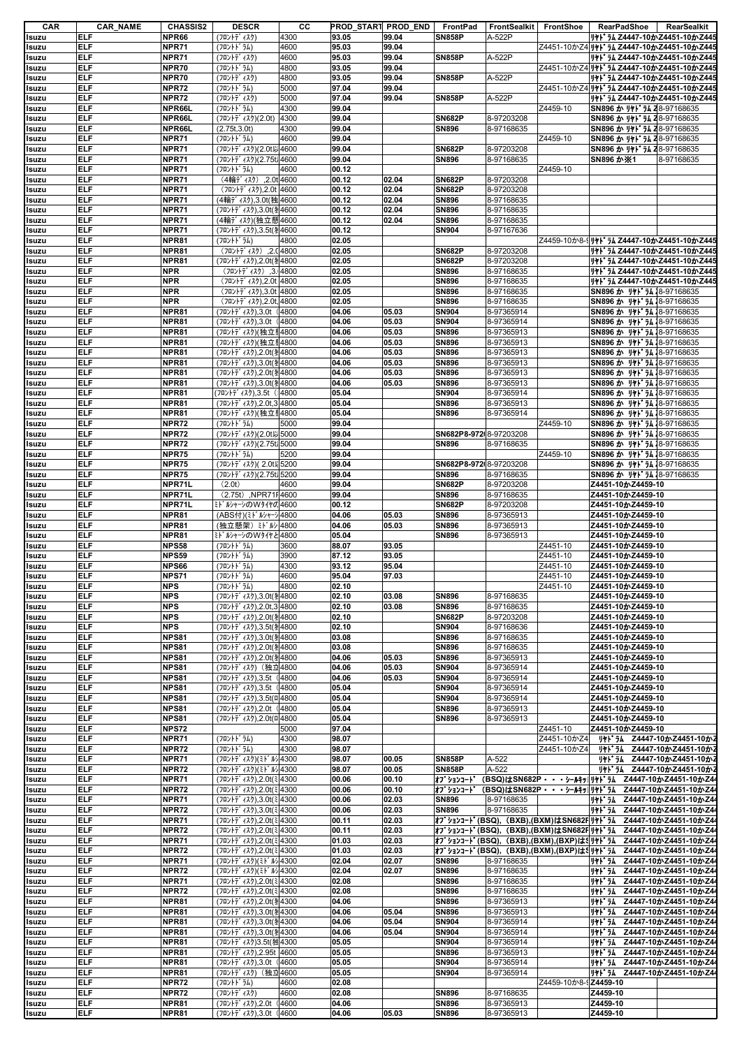| CAR   | <b>CAR_NAME</b> | <b>CHASSIS2</b> | <b>DESCR</b>                      | CС   | PROD START PROD END |       | FrontPad               | <b>FrontSealkit</b> | FrontShoe            | RearPadShoe<br>RearSealkit                                         |
|-------|-----------------|-----------------|-----------------------------------|------|---------------------|-------|------------------------|---------------------|----------------------|--------------------------------------------------------------------|
| Isuzu | <b>ELF</b>      | NPR66           | (フロントデ ィスク)                       | 4300 | 93.05               | 99.04 | <b>SN858P</b>          | A-522P              |                      | リヤドラム Z4447-10かZ4451-10かZ445                                       |
| Isuzu | <b>ELF</b>      | NPR71           | (フロントト゛ラム)                        | 4600 | 95.03               | 99.04 |                        |                     |                      | Z4451-10かZ4 JII 74 Z4447-10かZ4451-10かZ445                          |
| Isuzu | <b>ELF</b>      | NPR71           | (フロントデ ィスク)                       | 4600 | 95.03               | 99.04 | <b>SN858P</b>          | A-522P              |                      | リヤト ラム Z4447-10かZ4451-10かZ445                                      |
| Isuzu | <b>ELF</b>      | NPR70           | (フロントト゛ラム)                        | 4800 | 93.05               | 99.04 |                        |                     |                      | Z4451-10かZ4 <b>リヤドラム Z4447-10かZ4451-10かZ445</b>                    |
| Isuzu | <b>ELF</b>      | NPR70           | (フロントデ ィスク)                       | 4800 | 93.05               | 99.04 | <b>SN858P</b>          | A-522P              |                      | リヤドラム Z4447-10かZ4451-10かZ445                                       |
|       | <b>ELF</b>      | <b>NPR72</b>    |                                   | 5000 | 97.04               |       |                        |                     |                      |                                                                    |
| Isuzu |                 |                 | (フロントト゛ラム)                        |      |                     | 99.04 |                        |                     |                      | Z4451-10かZ4 <b>リヤドラム Z4447-10かZ4451-10かZ445</b>                    |
| Isuzu | <b>ELF</b>      | <b>NPR72</b>    | (フロントディスク)                        | 5000 | 97.04               | 99.04 | <b>SN858P</b>          | A-522P              |                      | Jヤドラム Z4447-10かZ4451-10かZ445                                       |
| Isuzu | <b>ELF</b>      | NPR66L          | (フロントト・ラム)                        | 4300 | 99.04               |       |                        |                     | Z4459-10             | SN896 か リヤドラム Z8-97168635                                          |
| Isuzu | <b>ELF</b>      | NPR66L          | (フロントデ ィスク)(2.0t) 4300            |      | 99.04               |       | <b>SN682P</b>          | 8-97203208          |                      | SN896 か リヤドラム Z8-97168635                                          |
| Isuzu | <b>ELF</b>      | NPR66L          | (2.75t, 3.0t)                     | 4300 | 99.04               |       | <b>SN896</b>           | 8-97168635          |                      | SN896 か リヤドラム 28-97168635                                          |
| Isuzu | <b>ELF</b>      | NPR71           | (フロントト・ラム)                        | 4600 | 99.04               |       |                        |                     | Z4459-10             | SN896 か リヤドラム Z8-97168635                                          |
| Isuzu | <b>ELF</b>      | NPR71           | (フロントデ ィスク)(2.0t以4600             |      | 99.04               |       | <b>SN682P</b>          | 8-97203208          |                      | SN896 か リヤドラム Z8-97168635                                          |
| Isuzu | <b>ELF</b>      | NPR71           | (フロントデ ィスク)(2.75tj 4600           |      | 99.04               |       | <b>SN896</b>           | 8-97168635          |                      | SN896 か※1<br>8-97168635                                            |
| Isuzu | <b>ELF</b>      | NPR71           | (フロントト・ラム)                        | 4600 | 00.12               |       |                        |                     | Z4459-10             |                                                                    |
|       |                 |                 |                                   |      |                     |       |                        |                     |                      |                                                                    |
| Isuzu | <b>ELF</b>      | NPR71           | (4輪ディスク) ,2.0t 4600               |      | 00.12               | 02.04 | <b>SN682P</b>          | 8-97203208          |                      |                                                                    |
| Isuzu | <b>ELF</b>      | NPR71           | (フロントディスク),2.0t 4600              |      | 00.12               | 02.04 | <b>SN682P</b>          | 8-97203208          |                      |                                                                    |
| Isuzu | <b>ELF</b>      | NPR71           | (4輪デ ィスク), 3.0t(独 4600            |      | 00.12               | 02.04 | <b>SN896</b>           | 8-97168635          |                      |                                                                    |
| Isuzu | <b>ELF</b>      | NPR71           | (フロントデ ィスク), 3.0t(犯4600           |      | 00.12               | 02.04 | <b>SN896</b>           | 8-97168635          |                      |                                                                    |
| Isuzu | <b>ELF</b>      | NPR71           | (4輪ディスク)(独立懸4600                  |      | 00.12               | 02.04 | <b>SN896</b>           | 8-97168635          |                      |                                                                    |
| Isuzu | <b>ELF</b>      | NPR71           | (フロントディスク),3.5t(犯4600             |      | 00.12               |       | <b>SN904</b>           | 8-97167636          |                      |                                                                    |
| Isuzu | <b>ELF</b>      | NPR81           | (フロントト゛ラム)                        | 4800 | 02.05               |       |                        |                     |                      | Z4459-10か8-9 <b>リヤドラム Z4447-10かZ4451-10かZ445</b>                   |
| Isuzu | <b>ELF</b>      | NPR81           | (フロントデ ィスク) ,2.0 4800             |      | 02.05               |       | <b>SN682P</b>          | 8-97203208          |                      | リヤドラム Z4447-10かZ4451-10かZ445                                       |
| Isuzu | <b>ELF</b>      | NPR81           | (フロントディスク),2.0t(¾4800             |      | 02.05               |       | <b>SN682P</b>          | 8-97203208          |                      | リヤドラム Z4447-10かZ4451-10かZ445                                       |
| Isuzu | <b>ELF</b>      | <b>NPR</b>      | (フロントディスク) ,3.4800                |      | 02.05               |       | <b>SN896</b>           | 8-97168635          |                      | リヤドラム Z4447-10かZ4451-10かZ445                                       |
|       |                 |                 |                                   |      |                     |       |                        |                     |                      |                                                                    |
| Isuzu | <b>ELF</b>      | <b>NPR</b>      | (フロントデ ィスク), 2.0t 4800            |      | 02.05               |       | <b>SN896</b>           | 8-97168635          |                      | Jヤドラム Z4447-10かZ4451-10かZ445                                       |
| Isuzu | <b>ELF</b>      | <b>NPR</b>      | (フロントデ ィスク), 3.0t 4800            |      | 02.05               |       | <b>SN896</b>           | 8-97168635          |                      | SN896 か リヤドラム 8-97168635                                           |
| Isuzu | <b>ELF</b>      | <b>NPR</b>      | (フロントデ ィスク), 2.0t, 4800           |      | 02.05               |       | <b>SN896</b>           | 8-97168635          |                      | SN896 か Jヤト ラム 8-97168635                                          |
| Isuzu | <b>ELF</b>      | NPR81           | (フロントデ ィスク), 3.0t (4800           |      | 04.06               | 05.03 | <b>SN904</b>           | 8-97365914          |                      | SN896 か リヤドラム 8-97168635                                           |
| Isuzu | <b>ELF</b>      | NPR81           | (フロントデ ィスク),3.0t (4800            |      | 04.06               | 05.03 | <b>SN904</b>           | 8-97365914          |                      | SN896 か リヤドラム 8-97168635                                           |
| Isuzu | <b>ELF</b>      | NPR81           | (フロントディスク)(独立リ4800                |      | 04.06               | 05.03 | <b>SN896</b>           | 8-97365913          |                      | SN896 か リヤドラム 8-97168635                                           |
| Isuzu | <b>ELF</b>      | NPR81           | (フロントディスク)(独立リ4800                |      | 04.06               | 05.03 | <b>SN896</b>           | 8-97365913          |                      | SN896 か Jヤト ラム 8-97168635                                          |
|       |                 |                 |                                   |      |                     |       |                        |                     |                      |                                                                    |
| Isuzu | <b>ELF</b>      | NPR81           | (フロントデ ィスク), 2.0t(3 4800          |      | 04.06               | 05.03 | <b>SN896</b>           | 8-97365913          |                      | SN896 か JIII 74 8-97168635                                         |
| Isuzu | <b>ELF</b>      | NPR81           | (フロントデ ィスク), 3.0t(犯4800           |      | 04.06               | 05.03 | <b>SN896</b>           | 8-97365913          |                      | SN896 か リヤドラム 8-97168635                                           |
| Isuzu | <b>ELF</b>      | NPR81           | (フロントデ ィスク), 2.0t(3! 4800         |      | 04.06               | 05.03 | <b>SN896</b>           | 8-97365913          |                      | SN896 か リヤドラム 8-97168635                                           |
| Isuzu | <b>ELF</b>      | NPR81           | (フロントデ ィスク), 3.0t(3 4800          |      | 04.06               | 05.03 | <b>SN896</b>           | 8-97365913          |                      | SN896 か リヤドラム 8-97168635                                           |
| Isuzu | <b>ELF</b>      | NPR81           | (フロントディスク),3.5t (4800             |      | 05.04               |       | <b>SN904</b>           | 8-97365914          |                      | SN896 か Jヤドラム 8-97168635                                           |
| Isuzu | <b>ELF</b>      | NPR81           | (フロントデ ィスク), 2.0t, 3 4800         |      | 05.04               |       | <b>SN896</b>           | 8-97365913          |                      | SN896 か リヤドラム 8-97168635                                           |
| Isuzu | <b>ELF</b>      | NPR81           | (フロントディスク)(独立リ4800                |      | 05.04               |       | <b>SN896</b>           | 8-97365914          |                      | SN896 か リヤドラム 8-97168635                                           |
| Isuzu | <b>ELF</b>      | <b>NPR72</b>    | (フロントト゛ラム)                        | 5000 | 99.04               |       |                        |                     | Z4459-10             | SN896 か リャト・ラム 8-97168635                                          |
|       |                 |                 |                                   |      |                     |       |                        |                     |                      |                                                                    |
| Isuzu | <b>ELF</b>      | <b>NPR72</b>    | (フロントデ ィスク)(2.0t以 5000            |      | 99.04               |       | SN682P8-972 8-97203208 |                     |                      | SN896 か Jヤドラム 8-97168635                                           |
| Isuzu | <b>ELF</b>      | <b>NPR72</b>    | (フロントデ ィスク)(2.75tj 5000           |      | 99.04               |       | <b>SN896</b>           | 8-97168635          |                      | SN896 か JI+1 54 8-97168635                                         |
| Isuzu | <b>ELF</b>      | <b>NPR75</b>    | (フロントドラム)                         | 5200 | 99.04               |       |                        |                     | Z4459-10             | SN896 か リヤドラム 8-97168635                                           |
| Isuzu | <b>ELF</b>      | <b>NPR75</b>    | (フロントデ ィスク)(2.0tl 5200            |      | 99.04               |       | SN682P8-972 8-97203208 |                     |                      | SN896 か リヤドラム 8-97168635                                           |
| Isuzu | <b>ELF</b>      | <b>NPR75</b>    | (フロントデ ィスク)(2.75tj 5200           |      | 99.04               |       | <b>SN896</b>           | 8-97168635          |                      | SN896 か リヤドラム 8-97168635                                           |
| Isuzu | <b>ELF</b>      | NPR71L          | (2.0t)                            | 4600 | 99.04               |       | <b>SN682P</b>          | 8-97203208          |                      | Z4451-10かZ4459-10                                                  |
| Isuzu | <b>ELF</b>      | NPR71L          | (2.75t) ,NPR71F4600               |      | 99.04               |       | <b>SN896</b>           | 8-97168635          |                      | Z4451-10かZ4459-10                                                  |
| Isuzu | <b>ELF</b>      | NPR71L          | ミト <sup>*</sup> ルシャーシのWタイヤの4600   |      | 00.12               |       | <b>SN682P</b>          | 8-97203208          |                      | Z4451-10かZ4459-10                                                  |
|       | <b>ELF</b>      | NPR81           | (ABS付)(ミト <sup>*</sup> ルシャーシ 4800 |      | 04.06               | 05.03 | <b>SN896</b>           | 8-97365913          |                      | Z4451-10かZ4459-10                                                  |
| Isuzu |                 |                 |                                   |      |                     |       |                        |                     |                      |                                                                    |
| Isuzu | <b>ELF</b>      | NPR81           | (独立懸架) ミドル 4800                   |      | 04.06               | 05.03 | <b>SN896</b>           | 8-97365913          |                      | Z4451-10かZ4459-10                                                  |
| Isuzu | <b>ELF</b>      | NPR81           | ミドルシャーシのWタイヤと4800                 |      | 05.04               |       | <b>SN896</b>           | 8-97365913          |                      | Z4451-10かZ4459-10                                                  |
| Isuzu | <b>ELF</b>      | <b>NPS58</b>    | (フロントト゛ラム)                        | 3600 | 88.07               | 93.05 |                        |                     | Z4451-10             | Z4451-10かZ4459-10                                                  |
| Isuzu | <b>ELF</b>      | <b>NPS59</b>    | (フロントト・ラム)                        | 3900 | 87.12               | 93.05 |                        |                     | Z4451-10             | Z4451-10かZ4459-10                                                  |
| Isuzu | <b>ELF</b>      | <b>NPS66</b>    | (フロントト゛ラム)                        | 4300 | 93.12               | 95.04 |                        |                     | Z4451-10             | Z4451-10かZ4459-10                                                  |
| Isuzu | <b>ELF</b>      | <b>NPS71</b>    | (フロントト゛ラム)                        | 4600 | 95.04               | 97.03 |                        |                     | Z4451-10             | Z4451-10かZ4459-10                                                  |
| Isuzu | <b>ELF</b>      | <b>NPS</b>      | (フロントト・ラム)                        | 4800 | 02.10               |       |                        |                     | Z4451-10             | Z4451-10かZ4459-10                                                  |
| Isuzu | <b>ELF</b>      | <b>NPS</b>      | (フロントデ ィスク),3.0t(犯4800            |      | 02.10               | 03.08 | <b>SN896</b>           | 8-97168635          |                      | Z4451-10かZ4459-10                                                  |
|       |                 |                 |                                   |      |                     |       |                        |                     |                      |                                                                    |
| Isuzu | <b>ELF</b>      | <b>NPS</b>      | (フロントデ ィスク).2.0t.34800            |      | 02.10               | 03.08 | <b>SN896</b>           | 8-97168635          |                      | Z4451-10かZ4459-10                                                  |
| Isuzu | <b>ELF</b>      | <b>NPS</b>      | (フロントデ ィスク),2.0t(3 4800           |      | 02.10               |       | <b>SN682P</b>          | 8-97203208          |                      | Z4451-10かZ4459-10                                                  |
| Isuzu | <b>ELF</b>      | <b>NPS</b>      | (フロントデ ィスク), 3.5t(3!4800          |      | 02.10               |       | <b>SN904</b>           | 8-97168636          |                      | Z4451-10かZ4459-10                                                  |
| Isuzu | <b>ELF</b>      | <b>NPS81</b>    | (フロントデ ィスク), 3.0t(3 4800          |      | 03.08               |       | <b>SN896</b>           | 8-97168635          |                      | Z4451-10かZ4459-10                                                  |
| Isuzu | <b>ELF</b>      | <b>NPS81</b>    | (フロントデ ィスク), 2.0t(3!4800          |      | 03.08               |       | <b>SN896</b>           | 8-97168635          |                      | Z4451-10かZ4459-10                                                  |
| Isuzu | <b>ELF</b>      | <b>NPS81</b>    | (フロントデ ィスク), 2.0t(3 4800          |      | 04.06               | 05.03 | <b>SN896</b>           | 8-97365913          |                      | Z4451-10かZ4459-10                                                  |
| Isuzu | <b>ELF</b>      | <b>NPS81</b>    | (フロントディスク) (独立4800                |      | 04.06               | 05.03 | SN904                  | 8-97365914          |                      | Z4451-10かZ4459-10                                                  |
| Isuzu | <b>ELF</b>      | <b>NPS81</b>    | (フロントデ ィスク), 3.5t (4800           |      | 04.06               | 05.03 | <b>SN904</b>           | 8-97365914          |                      | Z4451-10かZ4459-10                                                  |
|       |                 |                 |                                   |      |                     |       |                        |                     |                      |                                                                    |
| Isuzu | <b>ELF</b>      | <b>NPS81</b>    | (フロントデ ィスク), 3.5t (4800           |      | 05.04               |       | <b>SN904</b>           | 8-97365914          |                      | Z4451-10かZ4459-10                                                  |
| Isuzu | <b>ELF</b>      | <b>NPS81</b>    | (フロントデ ィスク), 3.5t(ロ 4800          |      | 05.04               |       | <b>SN904</b>           | 8-97365914          |                      | Z4451-10かZ4459-10                                                  |
| Isuzu | <b>ELF</b>      | <b>NPS81</b>    | (フロントデ ィスク), 2.0t (4800           |      | 05.04               |       | <b>SN896</b>           | 8-97365913          |                      | Z4451-10かZ4459-10                                                  |
| Isuzu | <b>ELF</b>      | <b>NPS81</b>    | (フロントデ ィスク), 2.0t(ロ 4800          |      | 05.04               |       | <b>SN896</b>           | 8-97365913          |                      | Z4451-10かZ4459-10                                                  |
| Isuzu | <b>ELF</b>      | <b>NPS72</b>    |                                   | 5000 | 97.04               |       |                        |                     | Z4451-10             | Z4451-10かZ4459-10                                                  |
| Isuzu | <b>ELF</b>      | NPR71           | (フロントト゛ラム)                        | 4300 | 98.07               |       |                        |                     | Z4451-10かZ4          | リヤドラム Z4447-10かZ4451-10かZ                                          |
| Isuzu | <b>ELF</b>      | <b>NPR72</b>    | (フロントト゛ラム)                        | 4300 | 98.07               |       |                        |                     | Z4451-10かZ4          | リヤドラム Z4447-10かZ4451-10かZ                                          |
| Isuzu | <b>ELF</b>      | NPR71           | (フロントデ ィスク)(ミト ル)4300             |      | 98.07               | 00.05 | <b>SN858P</b>          | A-522               |                      | リヤドラム Z4447-10かZ4451-10かZ                                          |
| Isuzu | <b>ELF</b>      | <b>NPR72</b>    | (フロントデ ィスク)(ミト ルシ4300             |      | 98.07               | 00.05 | <b>SN858P</b>          | A-522               |                      | リヤドラム Z4447-10かZ4451-10かZ                                          |
| Isuzu | <b>ELF</b>      | NPR71           | (フロントデ ィスク), 2.0t(ミ 4300          |      | 00.06               | 00.10 | オプションコード               |                     |                      | (BSQ)はSN682P · · · シールキッ リヤト・ラム Z4447-10かZ4451-10かZ44              |
| Isuzu | <b>ELF</b>      | <b>NPR72</b>    | (フロントデ ィスク), 2.0t(ミ4300           |      | 00.06               | 00.10 | オプ ションコード              |                     |                      | (BSQ)はSN682P · · · シールキッ リヤト・ラム Z4447-10かZ4451-10かZ44              |
| Isuzu | <b>ELF</b>      | NPR71           | (フロントデ ィスク), 3.0t(ミ 4300          |      | 00.06               | 02.03 | <b>SN896</b>           | 8-97168635          |                      | リヤドラム Z4447-10かZ4451-10かZ44                                        |
|       |                 |                 |                                   |      |                     |       |                        |                     |                      |                                                                    |
| Isuzu | <b>ELF</b>      | <b>NPR72</b>    | (フロントデ ィスク), 3.0t(ミ4300           |      | 00.06               | 02.03 | <b>SN896</b>           | 8-97168635          |                      | リヤドラム Z4447-10かZ4451-10かZ44                                        |
| Isuzu | <b>ELF</b>      | NPR71           | (フロントデ ィスク), 2.0t(ミ 4300          |      | 00.11               | 02.03 |                        |                     |                      | オプ ションコート (BSQ), (BXB),(BXM)はSN682Fリヤト ラム Z4447-10かZ4451-10かZ44    |
| Isuzu | <b>ELF</b>      | <b>NPR72</b>    | (フロントデ ィスク), 2.0t(ミ4300           |      | 00.11               | 02.03 |                        |                     |                      | オプションコード(BSQ), (BXB),(BXM)はSN682Fリヤドラム Z4447-10かZ4451-10かZ44       |
| Isuzu | <b>ELF</b>      | NPR71           | (フロントデ ィスク), 2.0t(ミ4300           |      | 01.03               | 02.03 |                        |                     |                      | オプ ションコート (BSQ), (BXB),(BXM),(BXP)は 5 リャト ラム Z4447-10かZ4451-10かZ44 |
| Isuzu | <b>ELF</b>      | <b>NPR72</b>    | (フロントデ ィスク), 2.0t(ミ 4300          |      | 01.03               | 02.03 |                        |                     |                      | オプ ションコード(BSQ), (BXB),(BXM),(BXP)はรりヤドラム Z4447-10かZ4451-10かZ44     |
| Isuzu | <b>ELF</b>      | NPR71           | (フロントデ ィスク)(ミドルシ/4300             |      | 02.04               | 02.07 | <b>SN896</b>           | 8-97168635          |                      | リヤト ラム Z4447-10かZ4451-10かZ44                                       |
| Isuzu | <b>ELF</b>      | <b>NPR72</b>    | (フロントデ ィスク)(ミト ルシ4300             |      | 02.04               | 02.07 | <b>SN896</b>           | 8-97168635          |                      | リャト・ラム Z4447-10かZ4451-10かZ44                                       |
| Isuzu | <b>ELF</b>      | NPR71           | (フロントデ ィスク), 2.0t(ミ4300           |      | 02.08               |       | <b>SN896</b>           | 8-97168635          |                      | リヤドラム Z4447-10かZ4451-10かZ44                                        |
|       | <b>ELF</b>      | <b>NPR72</b>    | (フロントデ ィスク), 2.0t(ミ 4300          |      | 02.08               |       | <b>SN896</b>           | 8-97168635          |                      | リャト・ラム Z4447-10かZ4451-10かZ44                                       |
| Isuzu |                 |                 |                                   |      |                     |       |                        |                     |                      |                                                                    |
| Isuzu | <b>ELF</b>      | NPR81           | (フロントデ ィスク), 2.0t(3!4300          |      | 04.06               |       | <b>SN896</b>           | 8-97365913          |                      | リヤドラム Z4447-10かZ4451-10かZ44                                        |
| Isuzu | <b>ELF</b>      | NPR81           | (フロントデ ィスク), 3.0t(3! 4300         |      | 04.06               | 05.04 | <b>SN896</b>           | 8-97365913          |                      | リヤト ラム Z4447-10かZ4451-10かZ44                                       |
| Isuzu | <b>ELF</b>      | NPR81           | (フロントデ ィスク),3.0t(犯4300            |      | 04.06               | 05.04 | <b>SN904</b>           | 8-97365914          |                      | リヤドラム Z4447-10かZ4451-10かZ44                                        |
| Isuzu | <b>ELF</b>      | NPR81           | (フロントデ ィスク), 3.0t(3!4300          |      | 04.06               | 05.04 | <b>SN904</b>           | 8-97365914          |                      | リャト・ラム Z4447-10かZ4451-10かZ44                                       |
| Isuzu | <b>ELF</b>      | <b>NPR81</b>    | (フロントディスク)3.5t(独4300              |      | 05.05               |       | <b>SN904</b>           | 8-97365914          |                      | リヤドラム Z4447-10かZ4451-10かZ44                                        |
| Isuzu | <b>ELF</b>      | NPR81           | (フロントデ ィスク), 2.95t 4600           |      | 05.05               |       | <b>SN896</b>           | 8-97365913          |                      | リヤト ラム Z4447-10かZ4451-10かZ44                                       |
|       |                 |                 |                                   |      |                     |       |                        |                     |                      |                                                                    |
| Isuzu | <b>ELF</b>      | NPR81           | (フロントデ ィスク),3.0t (4600            |      | 05.05               |       | <b>SN904</b>           | 8-97365914          |                      | リヤドラム Z4447-10かZ4451-10かZ44                                        |
| Isuzu | <b>ELF</b>      | NPR81           | (フロントディスク) (独立4600                |      | 05.05               |       | <b>SN904</b>           | 8-97365914          |                      | リヤドラム Z4447-10かZ4451-10かZ44                                        |
| Isuzu | <b>ELF</b>      | <b>NPR72</b>    | (フロントト゛ラム)                        | 4600 | 02.08               |       |                        |                     | Z4459-10か8-9Z4459-10 |                                                                    |
| Isuzu | <b>ELF</b>      | <b>NPR72</b>    | (フロントディスク)                        | 4600 | 02.08               |       | <b>SN896</b>           | 8-97168635          |                      | Z4459-10                                                           |
| Isuzu | <b>ELF</b>      | NPR81           | (フロントデ ィスク), 2.0t (4600           |      | 04.06               |       | <b>SN896</b>           | 8-97365913          |                      | Z4459-10                                                           |
| Isuzu | <b>ELF</b>      | NPR81           | (フロントデ ィスク), 3.0t (4600           |      | 04.06               | 05.03 | <b>SN896</b>           | 8-97365913          |                      | Z4459-10                                                           |